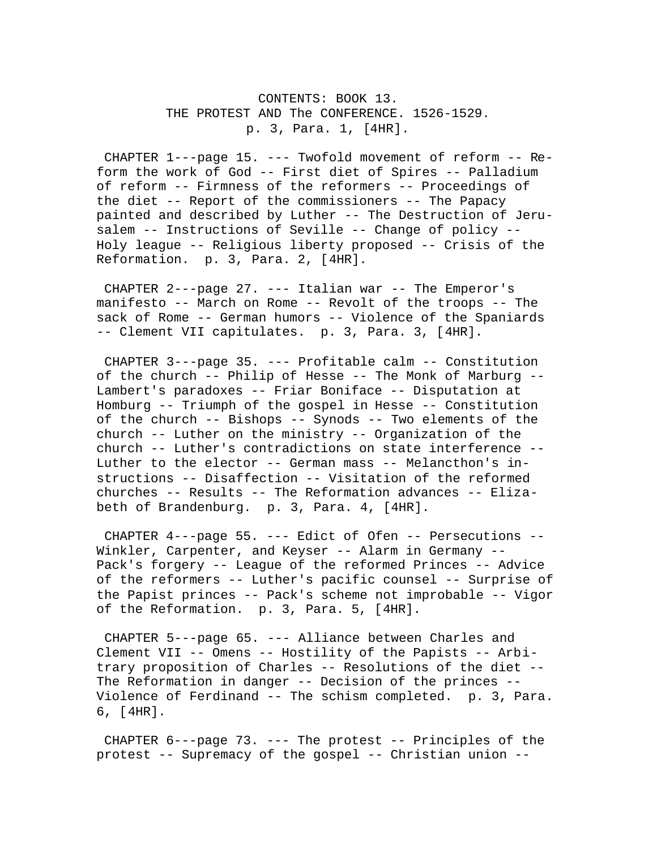CONTENTS: BOOK 13. THE PROTEST AND The CONFERENCE. 1526-1529. p. 3, Para. 1, [4HR].

 CHAPTER 1---page 15. --- Twofold movement of reform -- Reform the work of God -- First diet of Spires -- Palladium of reform -- Firmness of the reformers -- Proceedings of the diet -- Report of the commissioners -- The Papacy painted and described by Luther -- The Destruction of Jerusalem -- Instructions of Seville -- Change of policy -- Holy league -- Religious liberty proposed -- Crisis of the Reformation. p. 3, Para. 2, [4HR].

 CHAPTER 2---page 27. --- Italian war -- The Emperor's manifesto -- March on Rome -- Revolt of the troops -- The sack of Rome -- German humors -- Violence of the Spaniards -- Clement VII capitulates. p. 3, Para. 3, [4HR].

 CHAPTER 3---page 35. --- Profitable calm -- Constitution of the church -- Philip of Hesse -- The Monk of Marburg -- Lambert's paradoxes -- Friar Boniface -- Disputation at Homburg -- Triumph of the gospel in Hesse -- Constitution of the church -- Bishops -- Synods -- Two elements of the church -- Luther on the ministry -- Organization of the church -- Luther's contradictions on state interference -- Luther to the elector -- German mass -- Melancthon's instructions -- Disaffection -- Visitation of the reformed churches -- Results -- The Reformation advances -- Elizabeth of Brandenburg. p. 3, Para. 4, [4HR].

 CHAPTER 4---page 55. --- Edict of Ofen -- Persecutions -- Winkler, Carpenter, and Keyser -- Alarm in Germany -- Pack's forgery -- League of the reformed Princes -- Advice of the reformers -- Luther's pacific counsel -- Surprise of the Papist princes -- Pack's scheme not improbable -- Vigor of the Reformation. p. 3, Para. 5, [4HR].

 CHAPTER 5---page 65. --- Alliance between Charles and Clement VII -- Omens -- Hostility of the Papists -- Arbitrary proposition of Charles -- Resolutions of the diet -- The Reformation in danger -- Decision of the princes -- Violence of Ferdinand -- The schism completed. p. 3, Para. 6, [4HR].

 CHAPTER 6---page 73. --- The protest -- Principles of the protest -- Supremacy of the gospel -- Christian union --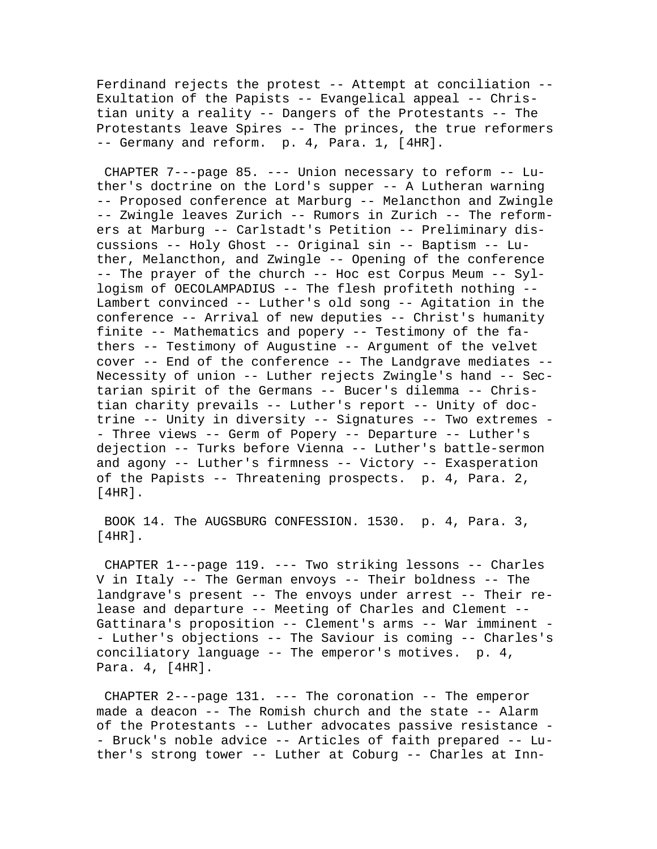Ferdinand rejects the protest -- Attempt at conciliation -- Exultation of the Papists -- Evangelical appeal -- Christian unity a reality -- Dangers of the Protestants -- The Protestants leave Spires -- The princes, the true reformers -- Germany and reform. p. 4, Para. 1, [4HR].

 CHAPTER 7---page 85. --- Union necessary to reform -- Luther's doctrine on the Lord's supper -- A Lutheran warning -- Proposed conference at Marburg -- Melancthon and Zwingle -- Zwingle leaves Zurich -- Rumors in Zurich -- The reformers at Marburg -- Carlstadt's Petition -- Preliminary discussions -- Holy Ghost -- Original sin -- Baptism -- Luther, Melancthon, and Zwingle -- Opening of the conference -- The prayer of the church -- Hoc est Corpus Meum -- Syllogism of OECOLAMPADIUS -- The flesh profiteth nothing -- Lambert convinced -- Luther's old song -- Agitation in the conference -- Arrival of new deputies -- Christ's humanity finite -- Mathematics and popery -- Testimony of the fathers -- Testimony of Augustine -- Argument of the velvet cover -- End of the conference -- The Landgrave mediates -- Necessity of union -- Luther rejects Zwingle's hand -- Sectarian spirit of the Germans -- Bucer's dilemma -- Christian charity prevails -- Luther's report -- Unity of doctrine -- Unity in diversity -- Signatures -- Two extremes - - Three views -- Germ of Popery -- Departure -- Luther's dejection -- Turks before Vienna -- Luther's battle-sermon and agony -- Luther's firmness -- Victory -- Exasperation of the Papists -- Threatening prospects. p. 4, Para. 2, [4HR].

 BOOK 14. The AUGSBURG CONFESSION. 1530. p. 4, Para. 3, [4HR].

 CHAPTER 1---page 119. --- Two striking lessons -- Charles V in Italy -- The German envoys -- Their boldness -- The landgrave's present -- The envoys under arrest -- Their release and departure -- Meeting of Charles and Clement -- Gattinara's proposition -- Clement's arms -- War imminent - - Luther's objections -- The Saviour is coming -- Charles's conciliatory language -- The emperor's motives. p. 4, Para. 4, [4HR].

 CHAPTER 2---page 131. --- The coronation -- The emperor made a deacon -- The Romish church and the state -- Alarm of the Protestants -- Luther advocates passive resistance - - Bruck's noble advice -- Articles of faith prepared -- Luther's strong tower -- Luther at Coburg -- Charles at Inn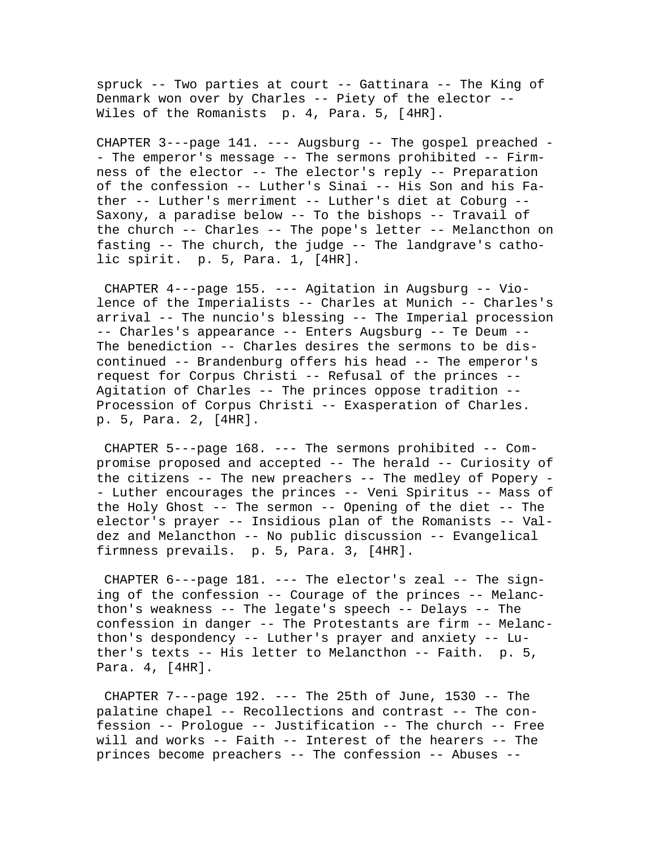spruck -- Two parties at court -- Gattinara -- The King of Denmark won over by Charles -- Piety of the elector -- Wiles of the Romanists p. 4, Para. 5, [4HR].

CHAPTER 3---page 141. --- Augsburg -- The gospel preached - - The emperor's message -- The sermons prohibited -- Firmness of the elector -- The elector's reply -- Preparation of the confession -- Luther's Sinai -- His Son and his Father -- Luther's merriment -- Luther's diet at Coburg -- Saxony, a paradise below -- To the bishops -- Travail of the church -- Charles -- The pope's letter -- Melancthon on fasting -- The church, the judge -- The landgrave's catholic spirit. p. 5, Para. 1, [4HR].

 CHAPTER 4---page 155. --- Agitation in Augsburg -- Violence of the Imperialists -- Charles at Munich -- Charles's arrival -- The nuncio's blessing -- The Imperial procession -- Charles's appearance -- Enters Augsburg -- Te Deum -- The benediction -- Charles desires the sermons to be discontinued -- Brandenburg offers his head -- The emperor's request for Corpus Christi -- Refusal of the princes -- Agitation of Charles -- The princes oppose tradition -- Procession of Corpus Christi -- Exasperation of Charles. p. 5, Para. 2, [4HR].

 CHAPTER 5---page 168. --- The sermons prohibited -- Compromise proposed and accepted -- The herald -- Curiosity of the citizens -- The new preachers -- The medley of Popery - - Luther encourages the princes -- Veni Spiritus -- Mass of the Holy Ghost -- The sermon -- Opening of the diet -- The elector's prayer -- Insidious plan of the Romanists -- Valdez and Melancthon -- No public discussion -- Evangelical firmness prevails. p. 5, Para. 3, [4HR].

CHAPTER  $6---page 181. --- The elector's real -- The sign-$ ing of the confession -- Courage of the princes -- Melancthon's weakness -- The legate's speech -- Delays -- The confession in danger -- The Protestants are firm -- Melancthon's despondency -- Luther's prayer and anxiety -- Luther's texts -- His letter to Melancthon -- Faith. p. 5, Para. 4, [4HR].

 CHAPTER 7---page 192. --- The 25th of June, 1530 -- The palatine chapel -- Recollections and contrast -- The confession -- Prologue -- Justification -- The church -- Free will and works -- Faith -- Interest of the hearers -- The princes become preachers -- The confession -- Abuses --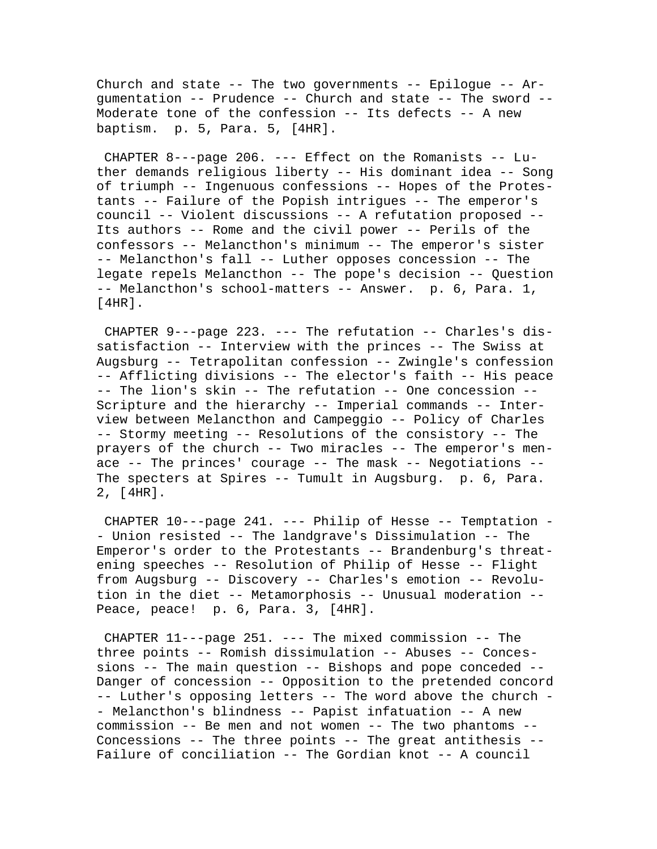Church and state  $-$ - The two governments  $-$ - Epiloque  $-$ - Argumentation -- Prudence -- Church and state -- The sword -- Moderate tone of the confession -- Its defects -- A new baptism. p. 5, Para. 5, [4HR].

CHAPTER  $8--$ -page 206. --- Effect on the Romanists -- Luther demands religious liberty -- His dominant idea -- Song of triumph -- Ingenuous confessions -- Hopes of the Protestants -- Failure of the Popish intrigues -- The emperor's council -- Violent discussions -- A refutation proposed -- Its authors -- Rome and the civil power -- Perils of the confessors -- Melancthon's minimum -- The emperor's sister -- Melancthon's fall -- Luther opposes concession -- The legate repels Melancthon -- The pope's decision -- Question -- Melancthon's school-matters -- Answer. p. 6, Para. 1,  $[4HR]$ .

 CHAPTER 9---page 223. --- The refutation -- Charles's dissatisfaction -- Interview with the princes -- The Swiss at Augsburg -- Tetrapolitan confession -- Zwingle's confession -- Afflicting divisions -- The elector's faith -- His peace -- The lion's skin -- The refutation -- One concession -- Scripture and the hierarchy -- Imperial commands -- Interview between Melancthon and Campeggio -- Policy of Charles -- Stormy meeting -- Resolutions of the consistory -- The prayers of the church -- Two miracles -- The emperor's menace -- The princes' courage -- The mask -- Negotiations -- The specters at Spires -- Tumult in Augsburg. p. 6, Para. 2, [4HR].

 CHAPTER 10---page 241. --- Philip of Hesse -- Temptation - - Union resisted -- The landgrave's Dissimulation -- The Emperor's order to the Protestants -- Brandenburg's threatening speeches -- Resolution of Philip of Hesse -- Flight from Augsburg -- Discovery -- Charles's emotion -- Revolution in the diet -- Metamorphosis -- Unusual moderation -- Peace, peace! p. 6, Para. 3, [4HR].

 CHAPTER 11---page 251. --- The mixed commission -- The three points -- Romish dissimulation -- Abuses -- Concessions -- The main question -- Bishops and pope conceded -- Danger of concession -- Opposition to the pretended concord -- Luther's opposing letters -- The word above the church - - Melancthon's blindness -- Papist infatuation -- A new commission -- Be men and not women -- The two phantoms -- Concessions -- The three points -- The great antithesis -- Failure of conciliation -- The Gordian knot -- A council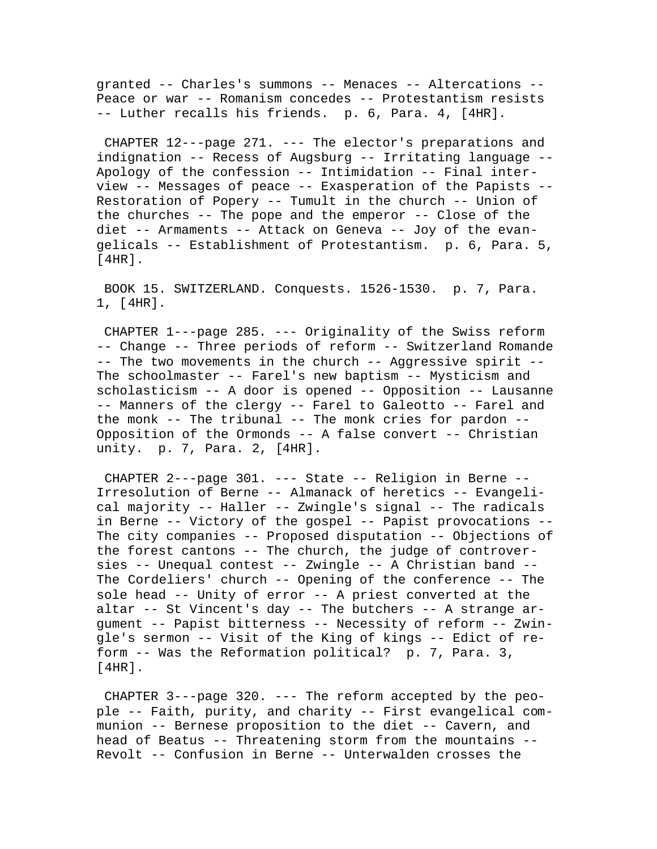granted -- Charles's summons -- Menaces -- Altercations -- Peace or war -- Romanism concedes -- Protestantism resists -- Luther recalls his friends. p. 6, Para. 4, [4HR].

 CHAPTER 12---page 271. --- The elector's preparations and indignation -- Recess of Augsburg -- Irritating language -- Apology of the confession -- Intimidation -- Final interview -- Messages of peace -- Exasperation of the Papists -- Restoration of Popery -- Tumult in the church -- Union of the churches -- The pope and the emperor -- Close of the diet -- Armaments -- Attack on Geneva -- Joy of the evangelicals -- Establishment of Protestantism. p. 6, Para. 5, [4HR].

 BOOK 15. SWITZERLAND. Conquests. 1526-1530. p. 7, Para. 1, [4HR].

 CHAPTER 1---page 285. --- Originality of the Swiss reform -- Change -- Three periods of reform -- Switzerland Romande -- The two movements in the church -- Aggressive spirit -- The schoolmaster -- Farel's new baptism -- Mysticism and scholasticism -- A door is opened -- Opposition -- Lausanne -- Manners of the clergy -- Farel to Galeotto -- Farel and the monk -- The tribunal -- The monk cries for pardon -- Opposition of the Ormonds -- A false convert -- Christian unity. p. 7, Para. 2, [4HR].

CHAPTER  $2---page 301. --- State --- Religion in Berne --$ Irresolution of Berne -- Almanack of heretics -- Evangelical majority -- Haller -- Zwingle's signal -- The radicals in Berne -- Victory of the gospel -- Papist provocations -- The city companies -- Proposed disputation -- Objections of the forest cantons -- The church, the judge of controversies -- Unequal contest -- Zwingle -- A Christian band -- The Cordeliers' church -- Opening of the conference -- The sole head -- Unity of error -- A priest converted at the altar -- St Vincent's day -- The butchers -- A strange argument -- Papist bitterness -- Necessity of reform -- Zwingle's sermon -- Visit of the King of kings -- Edict of reform -- Was the Reformation political? p. 7, Para. 3, [4HR].

 CHAPTER 3---page 320. --- The reform accepted by the people -- Faith, purity, and charity -- First evangelical communion -- Bernese proposition to the diet -- Cavern, and head of Beatus -- Threatening storm from the mountains -- Revolt -- Confusion in Berne -- Unterwalden crosses the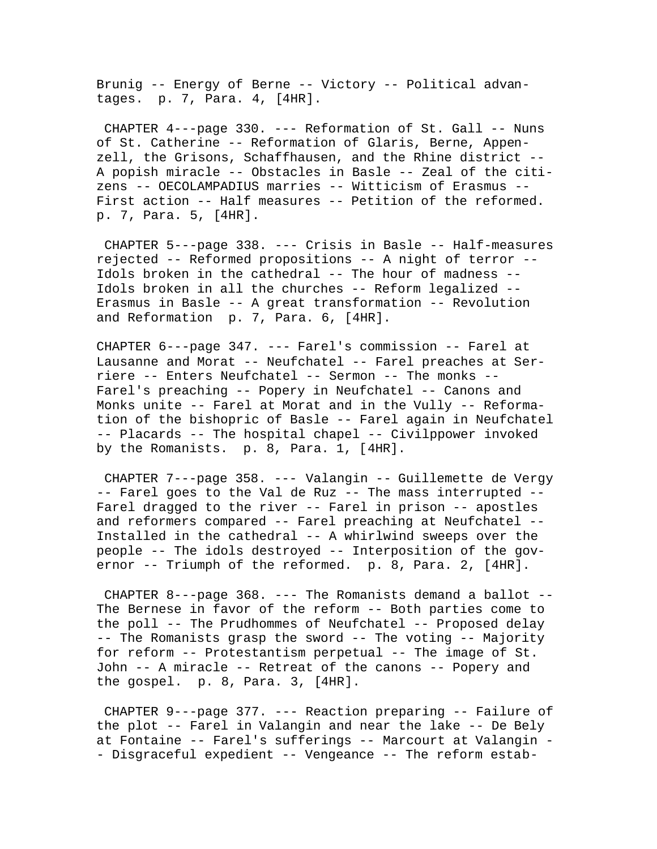Brunig -- Energy of Berne -- Victory -- Political advantages. p. 7, Para. 4, [4HR].

 CHAPTER 4---page 330. --- Reformation of St. Gall -- Nuns of St. Catherine -- Reformation of Glaris, Berne, Appenzell, the Grisons, Schaffhausen, and the Rhine district -- A popish miracle -- Obstacles in Basle -- Zeal of the citizens -- OECOLAMPADIUS marries -- Witticism of Erasmus -- First action -- Half measures -- Petition of the reformed. p. 7, Para. 5, [4HR].

 CHAPTER 5---page 338. --- Crisis in Basle -- Half-measures rejected -- Reformed propositions -- A night of terror -- Idols broken in the cathedral -- The hour of madness -- Idols broken in all the churches -- Reform legalized -- Erasmus in Basle -- A great transformation -- Revolution and Reformation p. 7, Para. 6, [4HR].

CHAPTER 6---page 347. --- Farel's commission -- Farel at Lausanne and Morat -- Neufchatel -- Farel preaches at Serriere -- Enters Neufchatel -- Sermon -- The monks -- Farel's preaching -- Popery in Neufchatel -- Canons and Monks unite -- Farel at Morat and in the Vully -- Reformation of the bishopric of Basle -- Farel again in Neufchatel -- Placards -- The hospital chapel -- Civilppower invoked by the Romanists. p. 8, Para. 1, [4HR].

 CHAPTER 7---page 358. --- Valangin -- Guillemette de Vergy -- Farel goes to the Val de Ruz -- The mass interrupted -- Farel dragged to the river -- Farel in prison -- apostles and reformers compared -- Farel preaching at Neufchatel -- Installed in the cathedral -- A whirlwind sweeps over the people -- The idols destroyed -- Interposition of the governor -- Triumph of the reformed. p. 8, Para. 2, [4HR].

 CHAPTER 8---page 368. --- The Romanists demand a ballot -- The Bernese in favor of the reform -- Both parties come to the poll -- The Prudhommes of Neufchatel -- Proposed delay -- The Romanists grasp the sword -- The voting -- Majority for reform -- Protestantism perpetual -- The image of St. John -- A miracle -- Retreat of the canons -- Popery and the gospel. p. 8, Para. 3, [4HR].

 CHAPTER 9---page 377. --- Reaction preparing -- Failure of the plot -- Farel in Valangin and near the lake -- De Bely at Fontaine -- Farel's sufferings -- Marcourt at Valangin - - Disgraceful expedient -- Vengeance -- The reform estab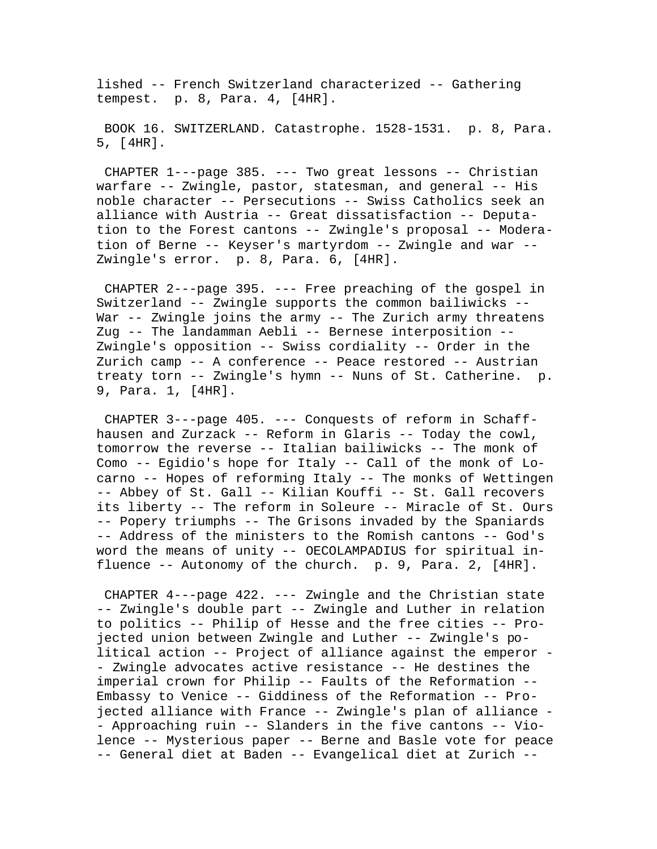lished -- French Switzerland characterized -- Gathering tempest. p. 8, Para. 4, [4HR].

 BOOK 16. SWITZERLAND. Catastrophe. 1528-1531. p. 8, Para. 5, [4HR].

 CHAPTER 1---page 385. --- Two great lessons -- Christian warfare -- Zwingle, pastor, statesman, and general -- His noble character -- Persecutions -- Swiss Catholics seek an alliance with Austria -- Great dissatisfaction -- Deputation to the Forest cantons -- Zwingle's proposal -- Moderation of Berne -- Keyser's martyrdom -- Zwingle and war -- Zwingle's error. p. 8, Para. 6, [4HR].

 CHAPTER 2---page 395. --- Free preaching of the gospel in Switzerland -- Zwingle supports the common bailiwicks -- War -- Zwingle joins the army -- The Zurich army threatens Zug -- The landamman Aebli -- Bernese interposition -- Zwingle's opposition -- Swiss cordiality -- Order in the Zurich camp -- A conference -- Peace restored -- Austrian treaty torn -- Zwingle's hymn -- Nuns of St. Catherine. p. 9, Para. 1, [4HR].

 CHAPTER 3---page 405. --- Conquests of reform in Schaffhausen and Zurzack -- Reform in Glaris -- Today the cowl, tomorrow the reverse -- Italian bailiwicks -- The monk of Como -- Egidio's hope for Italy -- Call of the monk of Locarno -- Hopes of reforming Italy -- The monks of Wettingen -- Abbey of St. Gall -- Kilian Kouffi -- St. Gall recovers its liberty -- The reform in Soleure -- Miracle of St. Ours -- Popery triumphs -- The Grisons invaded by the Spaniards -- Address of the ministers to the Romish cantons -- God's word the means of unity -- OECOLAMPADIUS for spiritual influence -- Autonomy of the church. p. 9, Para. 2, [4HR].

 CHAPTER 4---page 422. --- Zwingle and the Christian state -- Zwingle's double part -- Zwingle and Luther in relation to politics -- Philip of Hesse and the free cities -- Projected union between Zwingle and Luther -- Zwingle's political action -- Project of alliance against the emperor - - Zwingle advocates active resistance -- He destines the imperial crown for Philip -- Faults of the Reformation -- Embassy to Venice -- Giddiness of the Reformation -- Projected alliance with France -- Zwingle's plan of alliance - - Approaching ruin -- Slanders in the five cantons -- Violence -- Mysterious paper -- Berne and Basle vote for peace -- General diet at Baden -- Evangelical diet at Zurich --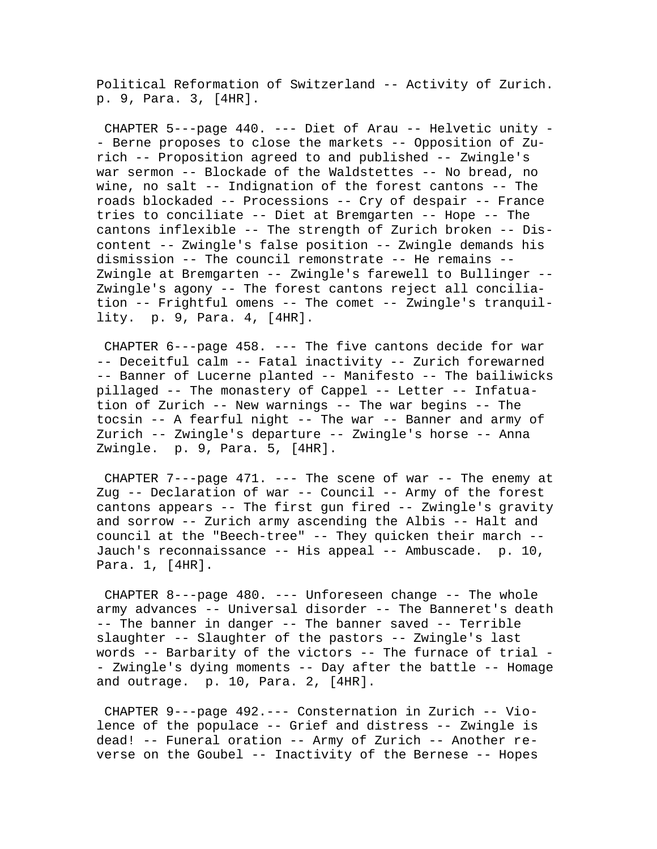Political Reformation of Switzerland -- Activity of Zurich. p. 9, Para. 3, [4HR].

 CHAPTER 5---page 440. --- Diet of Arau -- Helvetic unity - - Berne proposes to close the markets -- Opposition of Zurich -- Proposition agreed to and published -- Zwingle's war sermon -- Blockade of the Waldstettes -- No bread, no wine, no salt -- Indignation of the forest cantons -- The roads blockaded -- Processions -- Cry of despair -- France tries to conciliate -- Diet at Bremgarten -- Hope -- The cantons inflexible -- The strength of Zurich broken -- Discontent -- Zwingle's false position -- Zwingle demands his dismission -- The council remonstrate -- He remains -- Zwingle at Bremgarten -- Zwingle's farewell to Bullinger -- Zwingle's agony -- The forest cantons reject all conciliation -- Frightful omens -- The comet -- Zwingle's tranquillity. p. 9, Para. 4, [4HR].

 CHAPTER 6---page 458. --- The five cantons decide for war -- Deceitful calm -- Fatal inactivity -- Zurich forewarned -- Banner of Lucerne planted -- Manifesto -- The bailiwicks pillaged -- The monastery of Cappel -- Letter -- Infatuation of Zurich -- New warnings -- The war begins -- The tocsin -- A fearful night -- The war -- Banner and army of Zurich -- Zwingle's departure -- Zwingle's horse -- Anna Zwingle. p. 9, Para. 5, [4HR].

CHAPTER  $7--$ page  $471. ---$  The scene of war  $-$ - The enemy at Zug -- Declaration of war -- Council -- Army of the forest cantons appears -- The first gun fired -- Zwingle's gravity and sorrow -- Zurich army ascending the Albis -- Halt and council at the "Beech-tree" -- They quicken their march -- Jauch's reconnaissance -- His appeal -- Ambuscade. p. 10, Para. 1, [4HR].

 CHAPTER 8---page 480. --- Unforeseen change -- The whole army advances -- Universal disorder -- The Banneret's death -- The banner in danger -- The banner saved -- Terrible slaughter -- Slaughter of the pastors -- Zwingle's last words -- Barbarity of the victors -- The furnace of trial - - Zwingle's dying moments -- Day after the battle -- Homage and outrage. p. 10, Para. 2, [4HR].

 CHAPTER 9---page 492.--- Consternation in Zurich -- Violence of the populace -- Grief and distress -- Zwingle is dead! -- Funeral oration -- Army of Zurich -- Another reverse on the Goubel -- Inactivity of the Bernese -- Hopes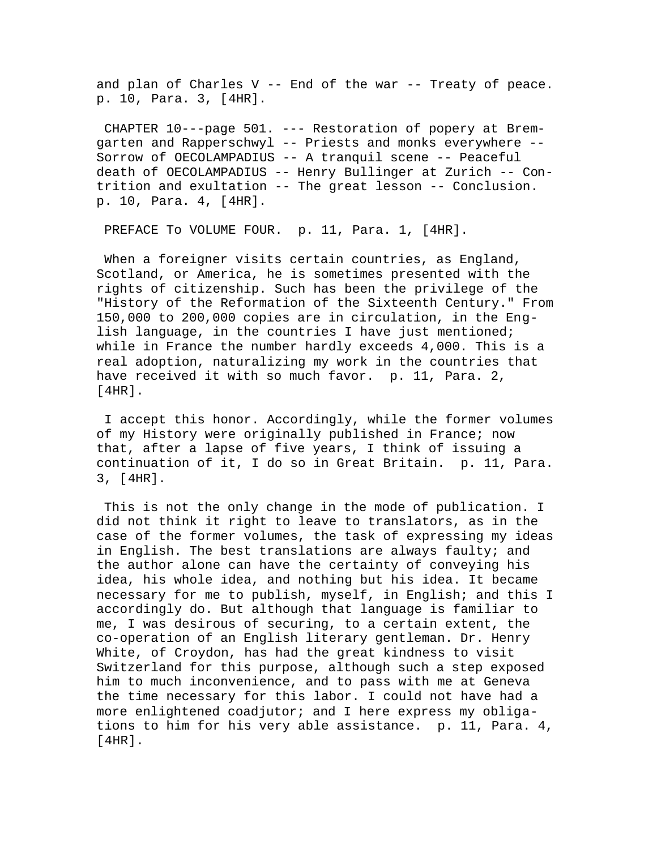and plan of Charles V -- End of the war -- Treaty of peace. p. 10, Para. 3, [4HR].

 CHAPTER 10---page 501. --- Restoration of popery at Bremgarten and Rapperschwyl -- Priests and monks everywhere -- Sorrow of OECOLAMPADIUS -- A tranquil scene -- Peaceful death of OECOLAMPADIUS -- Henry Bullinger at Zurich -- Contrition and exultation -- The great lesson -- Conclusion. p. 10, Para. 4, [4HR].

PREFACE TO VOLUME FOUR. p. 11, Para. 1, [4HR].

When a foreigner visits certain countries, as England, Scotland, or America, he is sometimes presented with the rights of citizenship. Such has been the privilege of the "History of the Reformation of the Sixteenth Century." From 150,000 to 200,000 copies are in circulation, in the English language, in the countries I have just mentioned; while in France the number hardly exceeds 4,000. This is a real adoption, naturalizing my work in the countries that have received it with so much favor. p. 11, Para. 2, [4HR].

 I accept this honor. Accordingly, while the former volumes of my History were originally published in France; now that, after a lapse of five years, I think of issuing a continuation of it, I do so in Great Britain. p. 11, Para. 3, [4HR].

 This is not the only change in the mode of publication. I did not think it right to leave to translators, as in the case of the former volumes, the task of expressing my ideas in English. The best translations are always faulty; and the author alone can have the certainty of conveying his idea, his whole idea, and nothing but his idea. It became necessary for me to publish, myself, in English; and this I accordingly do. But although that language is familiar to me, I was desirous of securing, to a certain extent, the co-operation of an English literary gentleman. Dr. Henry White, of Croydon, has had the great kindness to visit Switzerland for this purpose, although such a step exposed him to much inconvenience, and to pass with me at Geneva the time necessary for this labor. I could not have had a more enlightened coadjutor; and I here express my obligations to him for his very able assistance. p. 11, Para. 4, [4HR].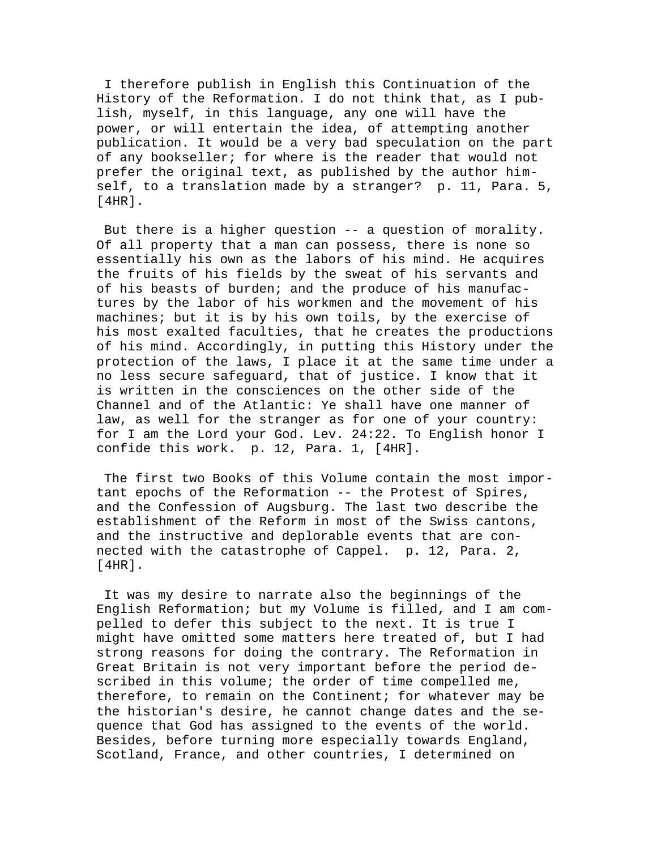I therefore publish in English this Continuation of the History of the Reformation. I do not think that, as I publish, myself, in this language, any one will have the power, or will entertain the idea, of attempting another publication. It would be a very bad speculation on the part of any bookseller; for where is the reader that would not prefer the original text, as published by the author himself, to a translation made by a stranger? p. 11, Para. 5, [4HR].

 But there is a higher question -- a question of morality. Of all property that a man can possess, there is none so essentially his own as the labors of his mind. He acquires the fruits of his fields by the sweat of his servants and of his beasts of burden; and the produce of his manufactures by the labor of his workmen and the movement of his machines; but it is by his own toils, by the exercise of his most exalted faculties, that he creates the productions of his mind. Accordingly, in putting this History under the protection of the laws, I place it at the same time under a no less secure safeguard, that of justice. I know that it is written in the consciences on the other side of the Channel and of the Atlantic: Ye shall have one manner of law, as well for the stranger as for one of your country: for I am the Lord your God. Lev. 24:22. To English honor I confide this work. p. 12, Para. 1, [4HR].

 The first two Books of this Volume contain the most important epochs of the Reformation -- the Protest of Spires, and the Confession of Augsburg. The last two describe the establishment of the Reform in most of the Swiss cantons, and the instructive and deplorable events that are connected with the catastrophe of Cappel. p. 12, Para. 2, [4HR].

 It was my desire to narrate also the beginnings of the English Reformation; but my Volume is filled, and I am compelled to defer this subject to the next. It is true I might have omitted some matters here treated of, but I had strong reasons for doing the contrary. The Reformation in Great Britain is not very important before the period described in this volume; the order of time compelled me, therefore, to remain on the Continent; for whatever may be the historian's desire, he cannot change dates and the sequence that God has assigned to the events of the world. Besides, before turning more especially towards England, Scotland, France, and other countries, I determined on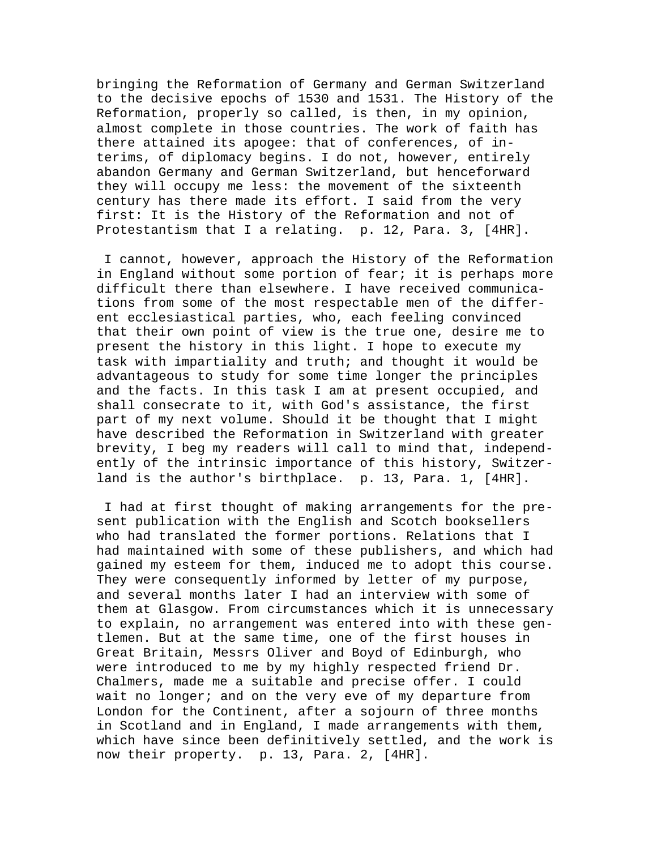bringing the Reformation of Germany and German Switzerland to the decisive epochs of 1530 and 1531. The History of the Reformation, properly so called, is then, in my opinion, almost complete in those countries. The work of faith has there attained its apogee: that of conferences, of interims, of diplomacy begins. I do not, however, entirely abandon Germany and German Switzerland, but henceforward they will occupy me less: the movement of the sixteenth century has there made its effort. I said from the very first: It is the History of the Reformation and not of Protestantism that I a relating. p. 12, Para. 3, [4HR].

 I cannot, however, approach the History of the Reformation in England without some portion of fear; it is perhaps more difficult there than elsewhere. I have received communications from some of the most respectable men of the different ecclesiastical parties, who, each feeling convinced that their own point of view is the true one, desire me to present the history in this light. I hope to execute my task with impartiality and truth; and thought it would be advantageous to study for some time longer the principles and the facts. In this task I am at present occupied, and shall consecrate to it, with God's assistance, the first part of my next volume. Should it be thought that I might have described the Reformation in Switzerland with greater brevity, I beg my readers will call to mind that, independently of the intrinsic importance of this history, Switzerland is the author's birthplace. p. 13, Para. 1, [4HR].

 I had at first thought of making arrangements for the present publication with the English and Scotch booksellers who had translated the former portions. Relations that I had maintained with some of these publishers, and which had gained my esteem for them, induced me to adopt this course. They were consequently informed by letter of my purpose, and several months later I had an interview with some of them at Glasgow. From circumstances which it is unnecessary to explain, no arrangement was entered into with these gentlemen. But at the same time, one of the first houses in Great Britain, Messrs Oliver and Boyd of Edinburgh, who were introduced to me by my highly respected friend Dr. Chalmers, made me a suitable and precise offer. I could wait no longer; and on the very eve of my departure from London for the Continent, after a sojourn of three months in Scotland and in England, I made arrangements with them, which have since been definitively settled, and the work is now their property. p. 13, Para. 2, [4HR].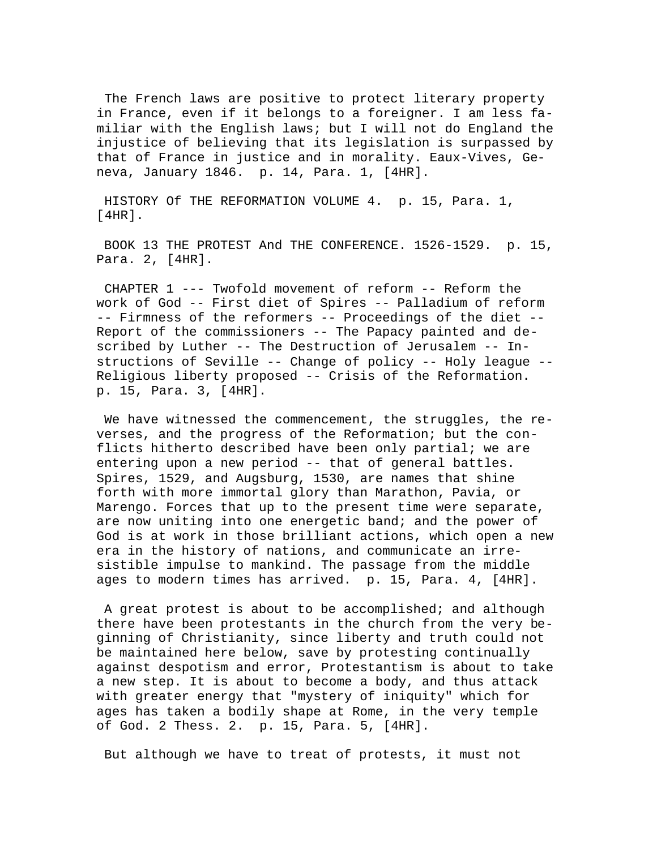The French laws are positive to protect literary property in France, even if it belongs to a foreigner. I am less familiar with the English laws; but I will not do England the injustice of believing that its legislation is surpassed by that of France in justice and in morality. Eaux-Vives, Geneva, January 1846. p. 14, Para. 1, [4HR].

 HISTORY Of THE REFORMATION VOLUME 4. p. 15, Para. 1, [4HR].

 BOOK 13 THE PROTEST And THE CONFERENCE. 1526-1529. p. 15, Para. 2, [4HR].

 CHAPTER 1 --- Twofold movement of reform -- Reform the work of God -- First diet of Spires -- Palladium of reform -- Firmness of the reformers -- Proceedings of the diet -- Report of the commissioners -- The Papacy painted and described by Luther -- The Destruction of Jerusalem -- Instructions of Seville -- Change of policy -- Holy league -- Religious liberty proposed -- Crisis of the Reformation. p. 15, Para. 3, [4HR].

We have witnessed the commencement, the struggles, the reverses, and the progress of the Reformation; but the conflicts hitherto described have been only partial; we are entering upon a new period -- that of general battles. Spires, 1529, and Augsburg, 1530, are names that shine forth with more immortal glory than Marathon, Pavia, or Marengo. Forces that up to the present time were separate, are now uniting into one energetic band; and the power of God is at work in those brilliant actions, which open a new era in the history of nations, and communicate an irresistible impulse to mankind. The passage from the middle ages to modern times has arrived. p. 15, Para. 4, [4HR].

 A great protest is about to be accomplished; and although there have been protestants in the church from the very beginning of Christianity, since liberty and truth could not be maintained here below, save by protesting continually against despotism and error, Protestantism is about to take a new step. It is about to become a body, and thus attack with greater energy that "mystery of iniquity" which for ages has taken a bodily shape at Rome, in the very temple of God. 2 Thess. 2. p. 15, Para. 5, [4HR].

But although we have to treat of protests, it must not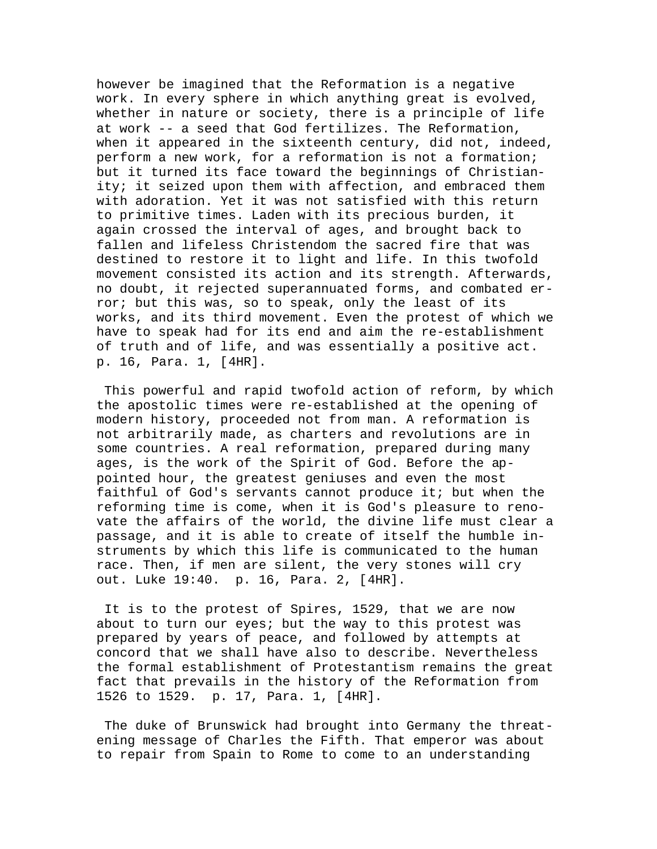however be imagined that the Reformation is a negative work. In every sphere in which anything great is evolved, whether in nature or society, there is a principle of life at work -- a seed that God fertilizes. The Reformation, when it appeared in the sixteenth century, did not, indeed, perform a new work, for a reformation is not a formation; but it turned its face toward the beginnings of Christianity; it seized upon them with affection, and embraced them with adoration. Yet it was not satisfied with this return to primitive times. Laden with its precious burden, it again crossed the interval of ages, and brought back to fallen and lifeless Christendom the sacred fire that was destined to restore it to light and life. In this twofold movement consisted its action and its strength. Afterwards, no doubt, it rejected superannuated forms, and combated error; but this was, so to speak, only the least of its works, and its third movement. Even the protest of which we have to speak had for its end and aim the re-establishment of truth and of life, and was essentially a positive act. p. 16, Para. 1, [4HR].

 This powerful and rapid twofold action of reform, by which the apostolic times were re-established at the opening of modern history, proceeded not from man. A reformation is not arbitrarily made, as charters and revolutions are in some countries. A real reformation, prepared during many ages, is the work of the Spirit of God. Before the appointed hour, the greatest geniuses and even the most faithful of God's servants cannot produce it; but when the reforming time is come, when it is God's pleasure to renovate the affairs of the world, the divine life must clear a passage, and it is able to create of itself the humble instruments by which this life is communicated to the human race. Then, if men are silent, the very stones will cry out. Luke 19:40. p. 16, Para. 2, [4HR].

 It is to the protest of Spires, 1529, that we are now about to turn our eyes; but the way to this protest was prepared by years of peace, and followed by attempts at concord that we shall have also to describe. Nevertheless the formal establishment of Protestantism remains the great fact that prevails in the history of the Reformation from 1526 to 1529. p. 17, Para. 1, [4HR].

 The duke of Brunswick had brought into Germany the threatening message of Charles the Fifth. That emperor was about to repair from Spain to Rome to come to an understanding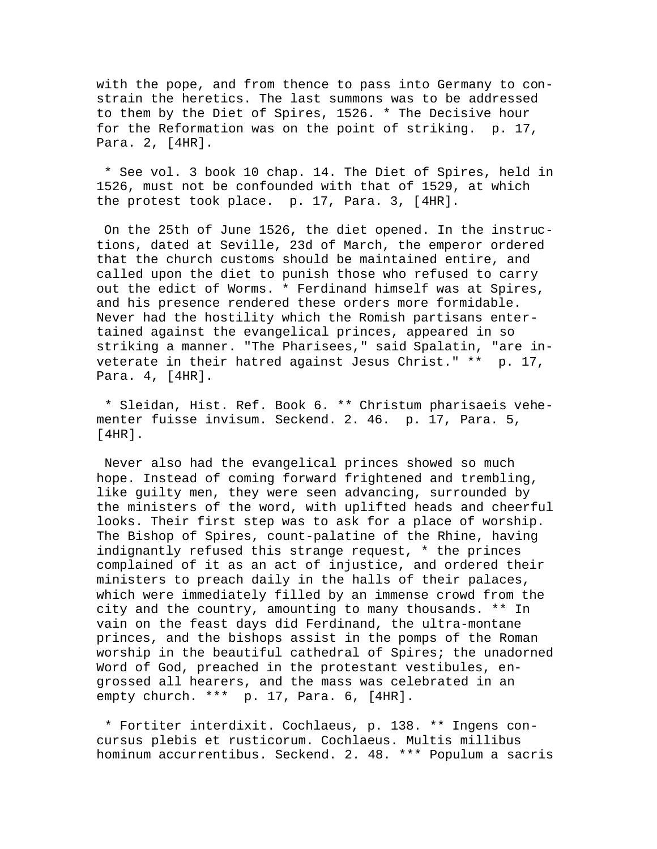with the pope, and from thence to pass into Germany to constrain the heretics. The last summons was to be addressed to them by the Diet of Spires, 1526. \* The Decisive hour for the Reformation was on the point of striking. p. 17, Para. 2, [4HR].

 \* See vol. 3 book 10 chap. 14. The Diet of Spires, held in 1526, must not be confounded with that of 1529, at which the protest took place. p. 17, Para. 3, [4HR].

 On the 25th of June 1526, the diet opened. In the instructions, dated at Seville, 23d of March, the emperor ordered that the church customs should be maintained entire, and called upon the diet to punish those who refused to carry out the edict of Worms. \* Ferdinand himself was at Spires, and his presence rendered these orders more formidable. Never had the hostility which the Romish partisans entertained against the evangelical princes, appeared in so striking a manner. "The Pharisees," said Spalatin, "are inveterate in their hatred against Jesus Christ." \*\* p. 17, Para. 4, [4HR].

 \* Sleidan, Hist. Ref. Book 6. \*\* Christum pharisaeis vehementer fuisse invisum. Seckend. 2. 46. p. 17, Para. 5, [4HR].

 Never also had the evangelical princes showed so much hope. Instead of coming forward frightened and trembling, like guilty men, they were seen advancing, surrounded by the ministers of the word, with uplifted heads and cheerful looks. Their first step was to ask for a place of worship. The Bishop of Spires, count-palatine of the Rhine, having indignantly refused this strange request, \* the princes complained of it as an act of injustice, and ordered their ministers to preach daily in the halls of their palaces, which were immediately filled by an immense crowd from the city and the country, amounting to many thousands. \*\* In vain on the feast days did Ferdinand, the ultra-montane princes, and the bishops assist in the pomps of the Roman worship in the beautiful cathedral of Spires; the unadorned Word of God, preached in the protestant vestibules, engrossed all hearers, and the mass was celebrated in an empty church. \*\*\* p. 17, Para. 6, [4HR].

 \* Fortiter interdixit. Cochlaeus, p. 138. \*\* Ingens concursus plebis et rusticorum. Cochlaeus. Multis millibus hominum accurrentibus. Seckend. 2. 48. \*\*\* Populum a sacris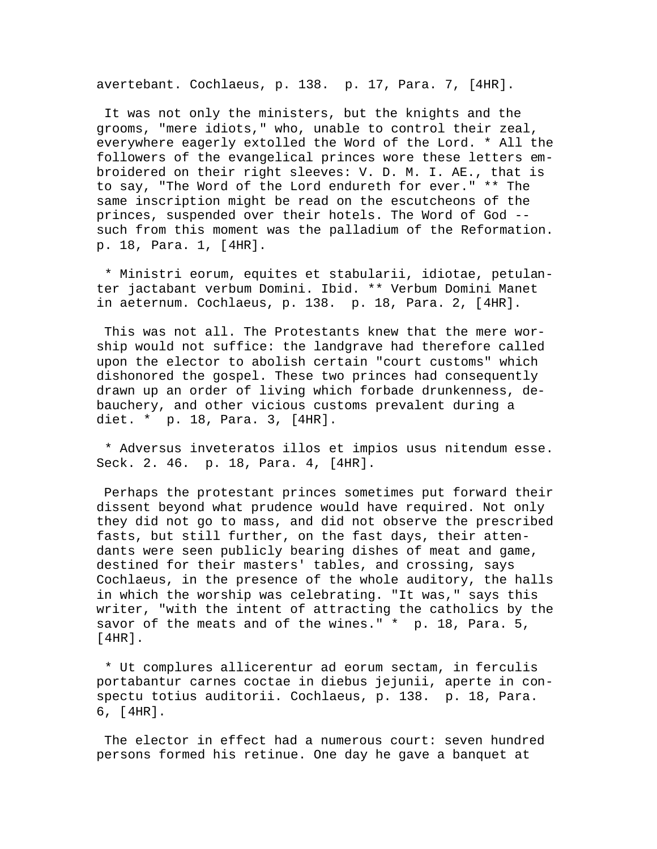avertebant. Cochlaeus, p. 138. p. 17, Para. 7, [4HR].

 It was not only the ministers, but the knights and the grooms, "mere idiots," who, unable to control their zeal, everywhere eagerly extolled the Word of the Lord. \* All the followers of the evangelical princes wore these letters embroidered on their right sleeves: V. D. M. I. AE., that is to say, "The Word of the Lord endureth for ever." \*\* The same inscription might be read on the escutcheons of the princes, suspended over their hotels. The Word of God - such from this moment was the palladium of the Reformation. p. 18, Para. 1, [4HR].

 \* Ministri eorum, equites et stabularii, idiotae, petulanter jactabant verbum Domini. Ibid. \*\* Verbum Domini Manet in aeternum. Cochlaeus, p. 138. p. 18, Para. 2, [4HR].

 This was not all. The Protestants knew that the mere worship would not suffice: the landgrave had therefore called upon the elector to abolish certain "court customs" which dishonored the gospel. These two princes had consequently drawn up an order of living which forbade drunkenness, debauchery, and other vicious customs prevalent during a diet. \* p. 18, Para. 3, [4HR].

 \* Adversus inveteratos illos et impios usus nitendum esse. Seck. 2. 46. p. 18, Para. 4, [4HR].

 Perhaps the protestant princes sometimes put forward their dissent beyond what prudence would have required. Not only they did not go to mass, and did not observe the prescribed fasts, but still further, on the fast days, their attendants were seen publicly bearing dishes of meat and game, destined for their masters' tables, and crossing, says Cochlaeus, in the presence of the whole auditory, the halls in which the worship was celebrating. "It was," says this writer, "with the intent of attracting the catholics by the savor of the meats and of the wines." \* p. 18, Para. 5, [4HR].

 \* Ut complures allicerentur ad eorum sectam, in ferculis portabantur carnes coctae in diebus jejunii, aperte in conspectu totius auditorii. Cochlaeus, p. 138. p. 18, Para. 6, [4HR].

 The elector in effect had a numerous court: seven hundred persons formed his retinue. One day he gave a banquet at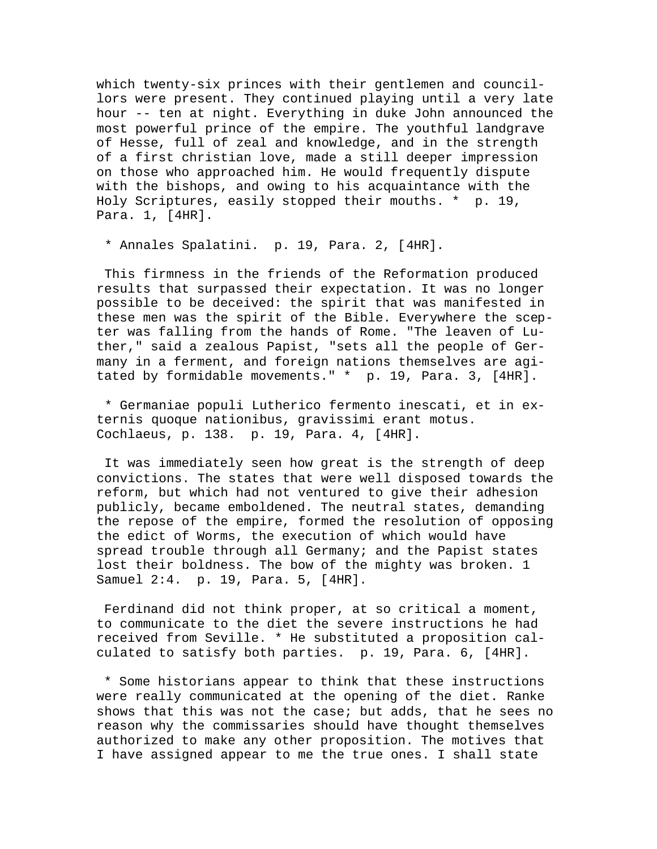which twenty-six princes with their gentlemen and councillors were present. They continued playing until a very late hour -- ten at night. Everything in duke John announced the most powerful prince of the empire. The youthful landgrave of Hesse, full of zeal and knowledge, and in the strength of a first christian love, made a still deeper impression on those who approached him. He would frequently dispute with the bishops, and owing to his acquaintance with the Holy Scriptures, easily stopped their mouths. \* p. 19, Para. 1, [4HR].

\* Annales Spalatini. p. 19, Para. 2, [4HR].

 This firmness in the friends of the Reformation produced results that surpassed their expectation. It was no longer possible to be deceived: the spirit that was manifested in these men was the spirit of the Bible. Everywhere the scepter was falling from the hands of Rome. "The leaven of Luther," said a zealous Papist, "sets all the people of Germany in a ferment, and foreign nations themselves are agitated by formidable movements." \* p. 19, Para. 3, [4HR].

 \* Germaniae populi Lutherico fermento inescati, et in externis quoque nationibus, gravissimi erant motus. Cochlaeus, p. 138. p. 19, Para. 4, [4HR].

 It was immediately seen how great is the strength of deep convictions. The states that were well disposed towards the reform, but which had not ventured to give their adhesion publicly, became emboldened. The neutral states, demanding the repose of the empire, formed the resolution of opposing the edict of Worms, the execution of which would have spread trouble through all Germany; and the Papist states lost their boldness. The bow of the mighty was broken. 1 Samuel 2:4. p. 19, Para. 5, [4HR].

 Ferdinand did not think proper, at so critical a moment, to communicate to the diet the severe instructions he had received from Seville. \* He substituted a proposition calculated to satisfy both parties. p. 19, Para. 6, [4HR].

 \* Some historians appear to think that these instructions were really communicated at the opening of the diet. Ranke shows that this was not the case; but adds, that he sees no reason why the commissaries should have thought themselves authorized to make any other proposition. The motives that I have assigned appear to me the true ones. I shall state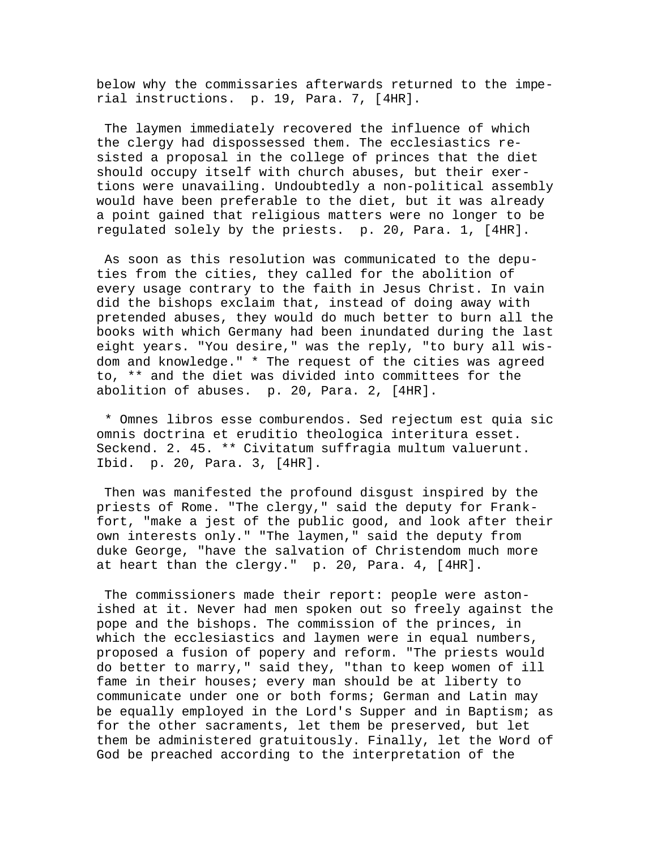below why the commissaries afterwards returned to the imperial instructions. p. 19, Para. 7, [4HR].

 The laymen immediately recovered the influence of which the clergy had dispossessed them. The ecclesiastics resisted a proposal in the college of princes that the diet should occupy itself with church abuses, but their exertions were unavailing. Undoubtedly a non-political assembly would have been preferable to the diet, but it was already a point gained that religious matters were no longer to be regulated solely by the priests. p. 20, Para. 1, [4HR].

 As soon as this resolution was communicated to the deputies from the cities, they called for the abolition of every usage contrary to the faith in Jesus Christ. In vain did the bishops exclaim that, instead of doing away with pretended abuses, they would do much better to burn all the books with which Germany had been inundated during the last eight years. "You desire," was the reply, "to bury all wisdom and knowledge." \* The request of the cities was agreed to, \*\* and the diet was divided into committees for the abolition of abuses. p. 20, Para. 2, [4HR].

 \* Omnes libros esse comburendos. Sed rejectum est quia sic omnis doctrina et eruditio theologica interitura esset. Seckend. 2. 45. \*\* Civitatum suffragia multum valuerunt. Ibid. p. 20, Para. 3, [4HR].

 Then was manifested the profound disgust inspired by the priests of Rome. "The clergy," said the deputy for Frankfort, "make a jest of the public good, and look after their own interests only." "The laymen," said the deputy from duke George, "have the salvation of Christendom much more at heart than the clergy." p. 20, Para. 4, [4HR].

 The commissioners made their report: people were astonished at it. Never had men spoken out so freely against the pope and the bishops. The commission of the princes, in which the ecclesiastics and laymen were in equal numbers, proposed a fusion of popery and reform. "The priests would do better to marry," said they, "than to keep women of ill fame in their houses; every man should be at liberty to communicate under one or both forms; German and Latin may be equally employed in the Lord's Supper and in Baptism; as for the other sacraments, let them be preserved, but let them be administered gratuitously. Finally, let the Word of God be preached according to the interpretation of the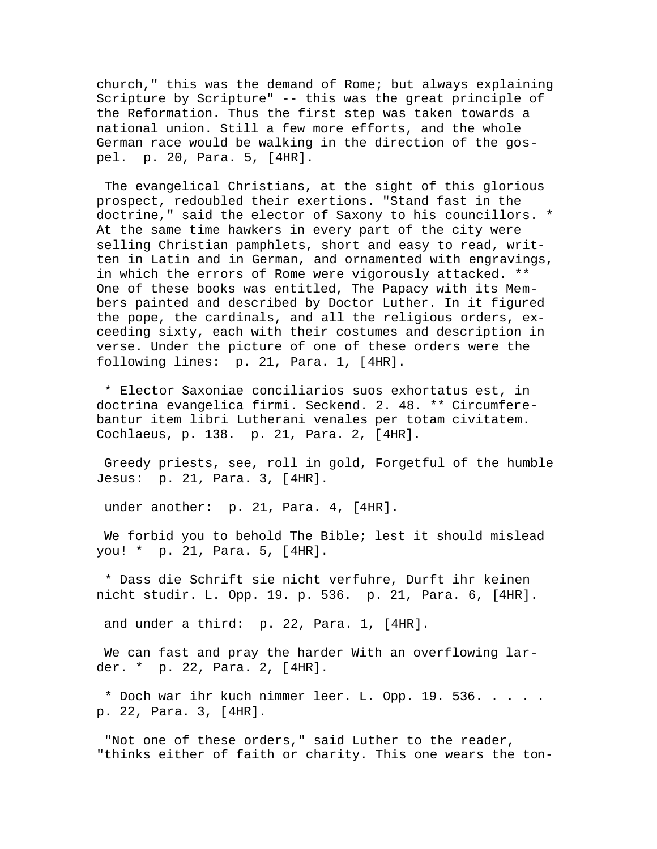church," this was the demand of Rome; but always explaining Scripture by Scripture" -- this was the great principle of the Reformation. Thus the first step was taken towards a national union. Still a few more efforts, and the whole German race would be walking in the direction of the gospel. p. 20, Para. 5, [4HR].

 The evangelical Christians, at the sight of this glorious prospect, redoubled their exertions. "Stand fast in the doctrine," said the elector of Saxony to his councillors. \* At the same time hawkers in every part of the city were selling Christian pamphlets, short and easy to read, written in Latin and in German, and ornamented with engravings, in which the errors of Rome were vigorously attacked. \*\* One of these books was entitled, The Papacy with its Members painted and described by Doctor Luther. In it figured the pope, the cardinals, and all the religious orders, exceeding sixty, each with their costumes and description in verse. Under the picture of one of these orders were the following lines: p. 21, Para. 1, [4HR].

 \* Elector Saxoniae conciliarios suos exhortatus est, in doctrina evangelica firmi. Seckend. 2. 48. \*\* Circumferebantur item libri Lutherani venales per totam civitatem. Cochlaeus, p. 138. p. 21, Para. 2, [4HR].

 Greedy priests, see, roll in gold, Forgetful of the humble Jesus: p. 21, Para. 3, [4HR].

under another: p. 21, Para. 4, [4HR].

 We forbid you to behold The Bible; lest it should mislead you! \* p. 21, Para. 5, [4HR].

 \* Dass die Schrift sie nicht verfuhre, Durft ihr keinen nicht studir. L. Opp. 19. p. 536. p. 21, Para. 6, [4HR].

and under a third: p. 22, Para. 1, [4HR].

 We can fast and pray the harder With an overflowing larder. \* p. 22, Para. 2, [4HR].

 \* Doch war ihr kuch nimmer leer. L. Opp. 19. 536. . . . . p. 22, Para. 3, [4HR].

 "Not one of these orders," said Luther to the reader, "thinks either of faith or charity. This one wears the ton-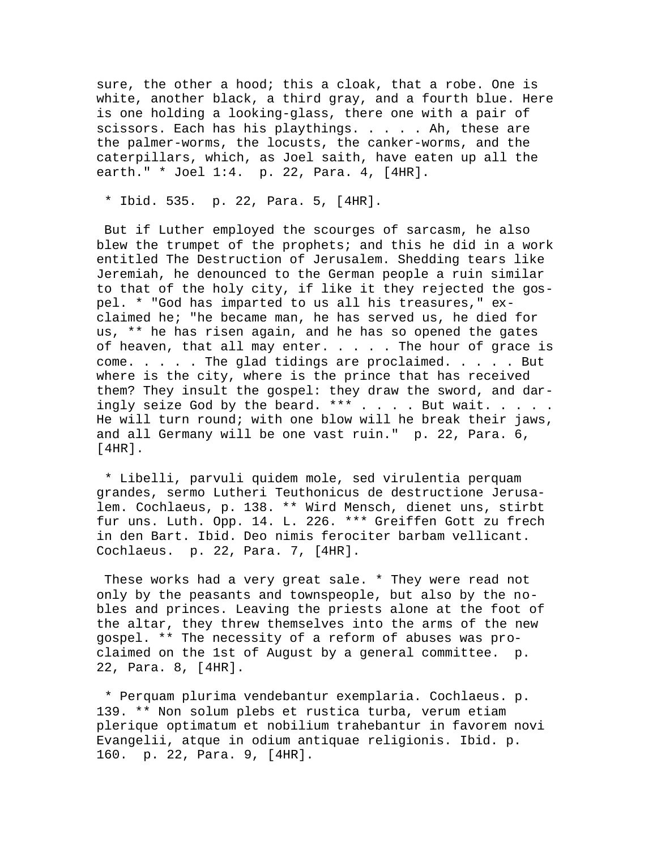sure, the other a hood; this a cloak, that a robe. One is white, another black, a third gray, and a fourth blue. Here is one holding a looking-glass, there one with a pair of scissors. Each has his playthings. . . . . Ah, these are the palmer-worms, the locusts, the canker-worms, and the caterpillars, which, as Joel saith, have eaten up all the earth." \* Joel 1:4. p. 22, Para. 4, [4HR].

\* Ibid. 535. p. 22, Para. 5, [4HR].

 But if Luther employed the scourges of sarcasm, he also blew the trumpet of the prophets; and this he did in a work entitled The Destruction of Jerusalem. Shedding tears like Jeremiah, he denounced to the German people a ruin similar to that of the holy city, if like it they rejected the gospel. \* "God has imparted to us all his treasures," exclaimed he; "he became man, he has served us, he died for us, \*\* he has risen again, and he has so opened the gates of heaven, that all may enter.  $\ldots$  . . The hour of grace is come. . . . . The glad tidings are proclaimed. . . . . But where is the city, where is the prince that has received them? They insult the gospel: they draw the sword, and daringly seize God by the beard. \*\*\* . . . . But wait. . . . . He will turn round; with one blow will he break their jaws, and all Germany will be one vast ruin." p. 22, Para. 6, [4HR].

 \* Libelli, parvuli quidem mole, sed virulentia perquam grandes, sermo Lutheri Teuthonicus de destructione Jerusalem. Cochlaeus, p. 138. \*\* Wird Mensch, dienet uns, stirbt fur uns. Luth. Opp. 14. L. 226. \*\*\* Greiffen Gott zu frech in den Bart. Ibid. Deo nimis ferociter barbam vellicant. Cochlaeus. p. 22, Para. 7, [4HR].

 These works had a very great sale. \* They were read not only by the peasants and townspeople, but also by the nobles and princes. Leaving the priests alone at the foot of the altar, they threw themselves into the arms of the new gospel. \*\* The necessity of a reform of abuses was proclaimed on the 1st of August by a general committee. p. 22, Para. 8, [4HR].

 \* Perquam plurima vendebantur exemplaria. Cochlaeus. p. 139. \*\* Non solum plebs et rustica turba, verum etiam plerique optimatum et nobilium trahebantur in favorem novi Evangelii, atque in odium antiquae religionis. Ibid. p. 160. p. 22, Para. 9, [4HR].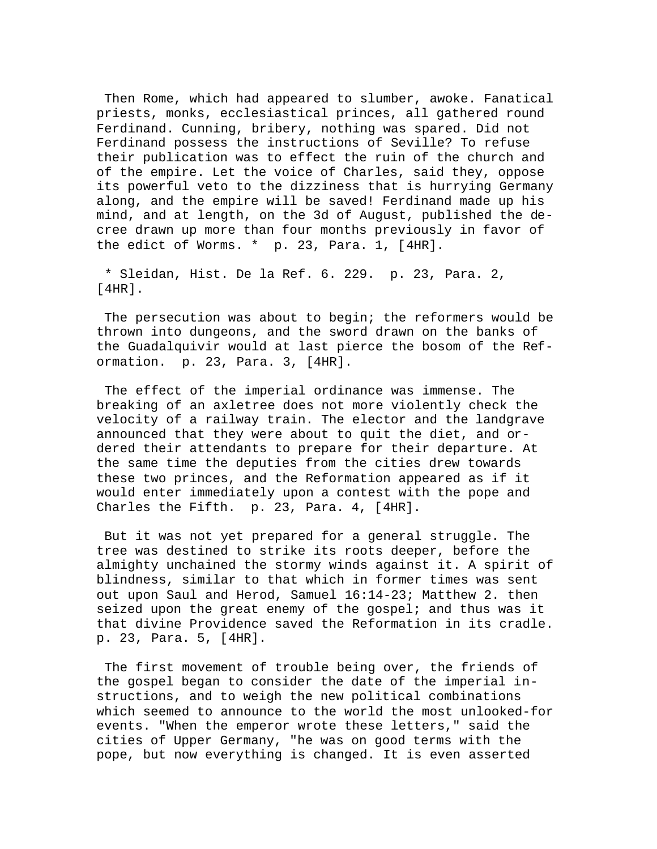Then Rome, which had appeared to slumber, awoke. Fanatical priests, monks, ecclesiastical princes, all gathered round Ferdinand. Cunning, bribery, nothing was spared. Did not Ferdinand possess the instructions of Seville? To refuse their publication was to effect the ruin of the church and of the empire. Let the voice of Charles, said they, oppose its powerful veto to the dizziness that is hurrying Germany along, and the empire will be saved! Ferdinand made up his mind, and at length, on the 3d of August, published the decree drawn up more than four months previously in favor of the edict of Worms. \* p. 23, Para. 1, [4HR].

 \* Sleidan, Hist. De la Ref. 6. 229. p. 23, Para. 2, [4HR].

 The persecution was about to begin; the reformers would be thrown into dungeons, and the sword drawn on the banks of the Guadalquivir would at last pierce the bosom of the Reformation. p. 23, Para. 3, [4HR].

 The effect of the imperial ordinance was immense. The breaking of an axletree does not more violently check the velocity of a railway train. The elector and the landgrave announced that they were about to quit the diet, and ordered their attendants to prepare for their departure. At the same time the deputies from the cities drew towards these two princes, and the Reformation appeared as if it would enter immediately upon a contest with the pope and Charles the Fifth. p. 23, Para. 4, [4HR].

 But it was not yet prepared for a general struggle. The tree was destined to strike its roots deeper, before the almighty unchained the stormy winds against it. A spirit of blindness, similar to that which in former times was sent out upon Saul and Herod, Samuel 16:14-23; Matthew 2. then seized upon the great enemy of the gospel; and thus was it that divine Providence saved the Reformation in its cradle. p. 23, Para. 5, [4HR].

 The first movement of trouble being over, the friends of the gospel began to consider the date of the imperial instructions, and to weigh the new political combinations which seemed to announce to the world the most unlooked-for events. "When the emperor wrote these letters," said the cities of Upper Germany, "he was on good terms with the pope, but now everything is changed. It is even asserted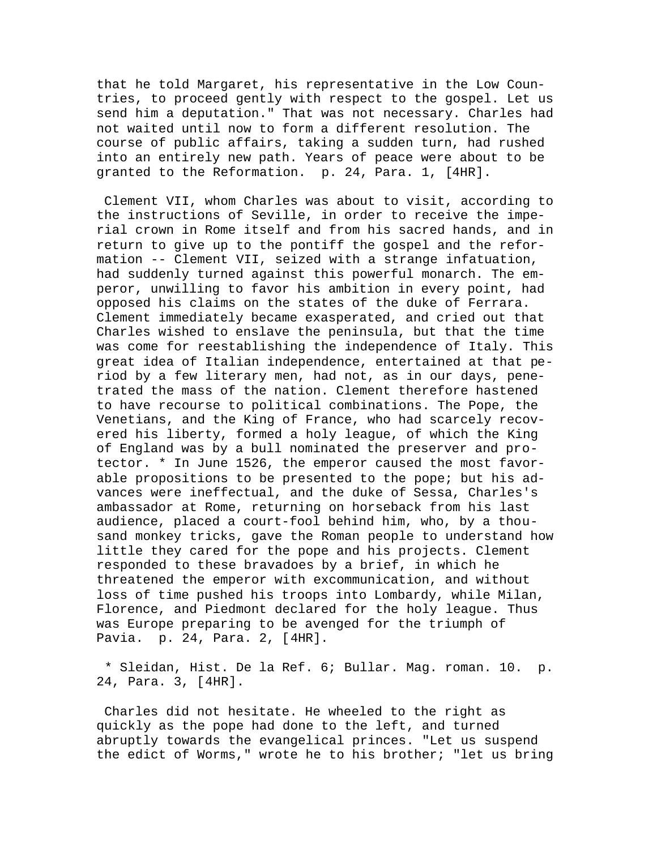that he told Margaret, his representative in the Low Countries, to proceed gently with respect to the gospel. Let us send him a deputation." That was not necessary. Charles had not waited until now to form a different resolution. The course of public affairs, taking a sudden turn, had rushed into an entirely new path. Years of peace were about to be granted to the Reformation. p. 24, Para. 1, [4HR].

 Clement VII, whom Charles was about to visit, according to the instructions of Seville, in order to receive the imperial crown in Rome itself and from his sacred hands, and in return to give up to the pontiff the gospel and the reformation -- Clement VII, seized with a strange infatuation, had suddenly turned against this powerful monarch. The emperor, unwilling to favor his ambition in every point, had opposed his claims on the states of the duke of Ferrara. Clement immediately became exasperated, and cried out that Charles wished to enslave the peninsula, but that the time was come for reestablishing the independence of Italy. This great idea of Italian independence, entertained at that period by a few literary men, had not, as in our days, penetrated the mass of the nation. Clement therefore hastened to have recourse to political combinations. The Pope, the Venetians, and the King of France, who had scarcely recovered his liberty, formed a holy league, of which the King of England was by a bull nominated the preserver and protector. \* In June 1526, the emperor caused the most favorable propositions to be presented to the pope; but his advances were ineffectual, and the duke of Sessa, Charles's ambassador at Rome, returning on horseback from his last audience, placed a court-fool behind him, who, by a thousand monkey tricks, gave the Roman people to understand how little they cared for the pope and his projects. Clement responded to these bravadoes by a brief, in which he threatened the emperor with excommunication, and without loss of time pushed his troops into Lombardy, while Milan, Florence, and Piedmont declared for the holy league. Thus was Europe preparing to be avenged for the triumph of Pavia. p. 24, Para. 2, [4HR].

 \* Sleidan, Hist. De la Ref. 6; Bullar. Mag. roman. 10. p. 24, Para. 3, [4HR].

 Charles did not hesitate. He wheeled to the right as quickly as the pope had done to the left, and turned abruptly towards the evangelical princes. "Let us suspend the edict of Worms," wrote he to his brother; "let us bring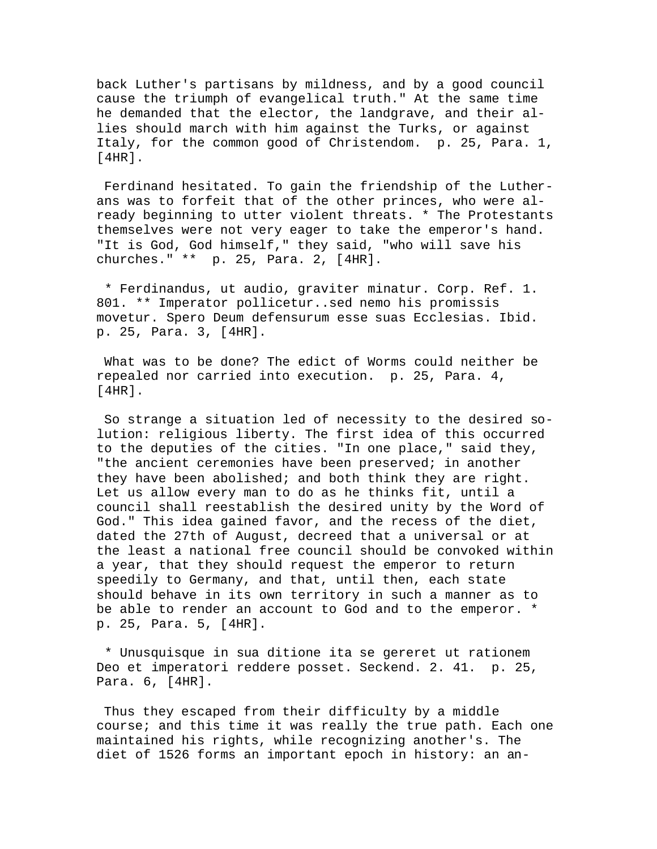back Luther's partisans by mildness, and by a good council cause the triumph of evangelical truth." At the same time he demanded that the elector, the landgrave, and their allies should march with him against the Turks, or against Italy, for the common good of Christendom. p. 25, Para. 1, [4HR].

 Ferdinand hesitated. To gain the friendship of the Lutherans was to forfeit that of the other princes, who were already beginning to utter violent threats. \* The Protestants themselves were not very eager to take the emperor's hand. "It is God, God himself," they said, "who will save his churches." \*\* p. 25, Para. 2, [4HR].

 \* Ferdinandus, ut audio, graviter minatur. Corp. Ref. 1. 801. \*\* Imperator pollicetur..sed nemo his promissis movetur. Spero Deum defensurum esse suas Ecclesias. Ibid. p. 25, Para. 3, [4HR].

 What was to be done? The edict of Worms could neither be repealed nor carried into execution. p. 25, Para. 4, [4HR].

 So strange a situation led of necessity to the desired solution: religious liberty. The first idea of this occurred to the deputies of the cities. "In one place," said they, "the ancient ceremonies have been preserved; in another they have been abolished; and both think they are right. Let us allow every man to do as he thinks fit, until a council shall reestablish the desired unity by the Word of God." This idea gained favor, and the recess of the diet, dated the 27th of August, decreed that a universal or at the least a national free council should be convoked within a year, that they should request the emperor to return speedily to Germany, and that, until then, each state should behave in its own territory in such a manner as to be able to render an account to God and to the emperor. \* p. 25, Para. 5, [4HR].

 \* Unusquisque in sua ditione ita se gereret ut rationem Deo et imperatori reddere posset. Seckend. 2. 41. p. 25, Para. 6, [4HR].

 Thus they escaped from their difficulty by a middle course; and this time it was really the true path. Each one maintained his rights, while recognizing another's. The diet of 1526 forms an important epoch in history: an an-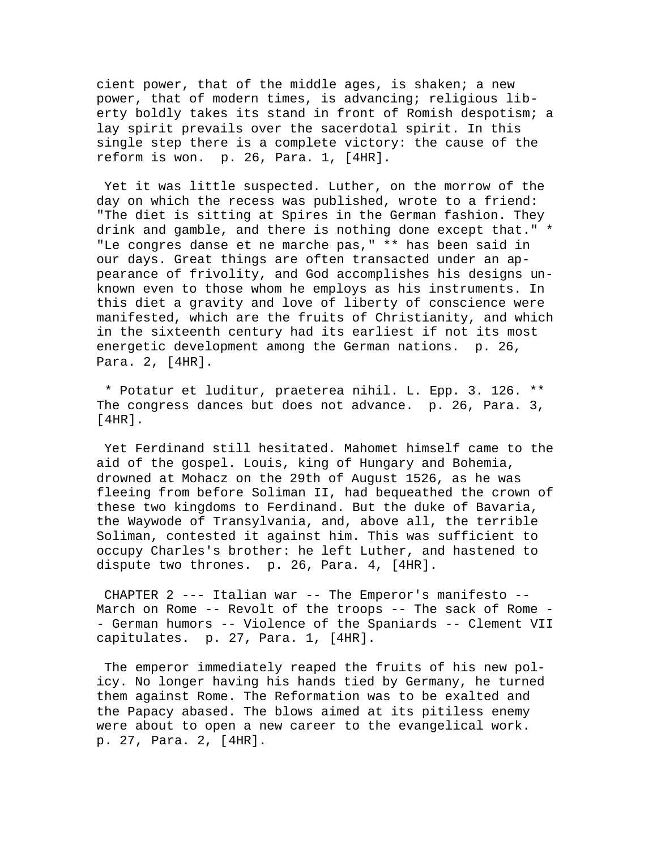cient power, that of the middle ages, is shaken; a new power, that of modern times, is advancing; religious liberty boldly takes its stand in front of Romish despotism; a lay spirit prevails over the sacerdotal spirit. In this single step there is a complete victory: the cause of the reform is won. p. 26, Para. 1, [4HR].

 Yet it was little suspected. Luther, on the morrow of the day on which the recess was published, wrote to a friend: "The diet is sitting at Spires in the German fashion. They drink and gamble, and there is nothing done except that." \* "Le congres danse et ne marche pas," \*\* has been said in our days. Great things are often transacted under an appearance of frivolity, and God accomplishes his designs unknown even to those whom he employs as his instruments. In this diet a gravity and love of liberty of conscience were manifested, which are the fruits of Christianity, and which in the sixteenth century had its earliest if not its most energetic development among the German nations. p. 26, Para. 2, [4HR].

 \* Potatur et luditur, praeterea nihil. L. Epp. 3. 126. \*\* The congress dances but does not advance. p. 26, Para. 3, [4HR].

 Yet Ferdinand still hesitated. Mahomet himself came to the aid of the gospel. Louis, king of Hungary and Bohemia, drowned at Mohacz on the 29th of August 1526, as he was fleeing from before Soliman II, had bequeathed the crown of these two kingdoms to Ferdinand. But the duke of Bavaria, the Waywode of Transylvania, and, above all, the terrible Soliman, contested it against him. This was sufficient to occupy Charles's brother: he left Luther, and hastened to dispute two thrones. p. 26, Para. 4, [4HR].

 CHAPTER 2 --- Italian war -- The Emperor's manifesto -- March on Rome -- Revolt of the troops -- The sack of Rome - - German humors -- Violence of the Spaniards -- Clement VII capitulates. p. 27, Para. 1, [4HR].

 The emperor immediately reaped the fruits of his new policy. No longer having his hands tied by Germany, he turned them against Rome. The Reformation was to be exalted and the Papacy abased. The blows aimed at its pitiless enemy were about to open a new career to the evangelical work. p. 27, Para. 2, [4HR].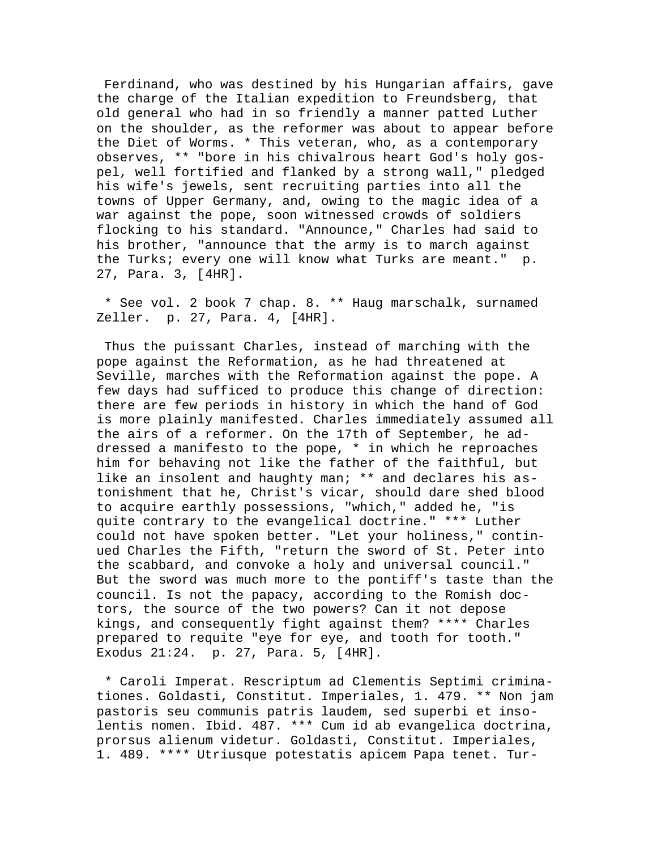Ferdinand, who was destined by his Hungarian affairs, gave the charge of the Italian expedition to Freundsberg, that old general who had in so friendly a manner patted Luther on the shoulder, as the reformer was about to appear before the Diet of Worms. \* This veteran, who, as a contemporary observes, \*\* "bore in his chivalrous heart God's holy gospel, well fortified and flanked by a strong wall," pledged his wife's jewels, sent recruiting parties into all the towns of Upper Germany, and, owing to the magic idea of a war against the pope, soon witnessed crowds of soldiers flocking to his standard. "Announce," Charles had said to his brother, "announce that the army is to march against the Turks; every one will know what Turks are meant." p. 27, Para. 3, [4HR].

 \* See vol. 2 book 7 chap. 8. \*\* Haug marschalk, surnamed Zeller. p. 27, Para. 4, [4HR].

 Thus the puissant Charles, instead of marching with the pope against the Reformation, as he had threatened at Seville, marches with the Reformation against the pope. A few days had sufficed to produce this change of direction: there are few periods in history in which the hand of God is more plainly manifested. Charles immediately assumed all the airs of a reformer. On the 17th of September, he addressed a manifesto to the pope, \* in which he reproaches him for behaving not like the father of the faithful, but like an insolent and haughty man; \*\* and declares his astonishment that he, Christ's vicar, should dare shed blood to acquire earthly possessions, "which," added he, "is quite contrary to the evangelical doctrine." \*\*\* Luther could not have spoken better. "Let your holiness," continued Charles the Fifth, "return the sword of St. Peter into the scabbard, and convoke a holy and universal council." But the sword was much more to the pontiff's taste than the council. Is not the papacy, according to the Romish doctors, the source of the two powers? Can it not depose kings, and consequently fight against them? \*\*\*\* Charles prepared to requite "eye for eye, and tooth for tooth." Exodus 21:24. p. 27, Para. 5, [4HR].

 \* Caroli Imperat. Rescriptum ad Clementis Septimi criminationes. Goldasti, Constitut. Imperiales, 1. 479. \*\* Non jam pastoris seu communis patris laudem, sed superbi et insolentis nomen. Ibid. 487. \*\*\* Cum id ab evangelica doctrina, prorsus alienum videtur. Goldasti, Constitut. Imperiales, 1. 489. \*\*\*\* Utriusque potestatis apicem Papa tenet. Tur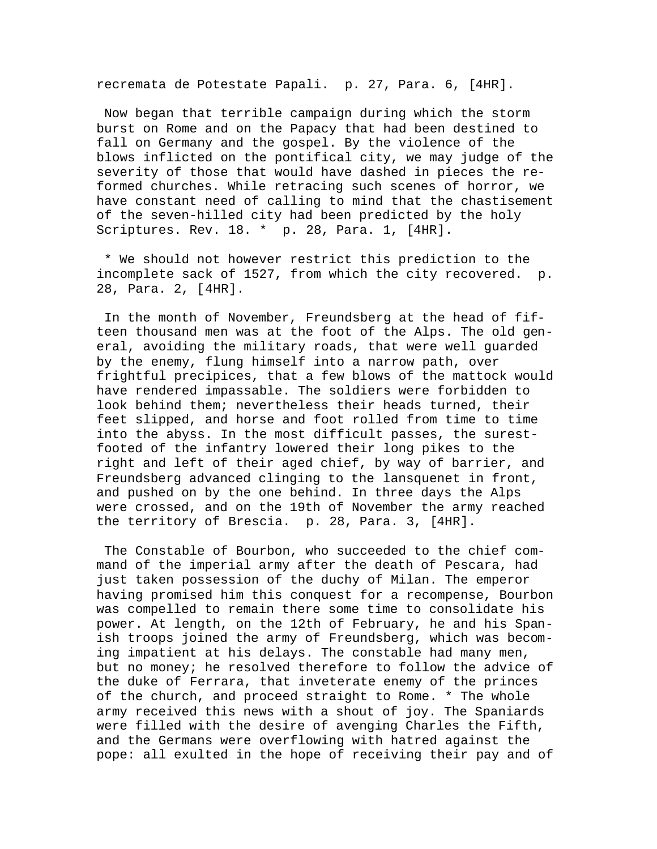recremata de Potestate Papali. p. 27, Para. 6, [4HR].

 Now began that terrible campaign during which the storm burst on Rome and on the Papacy that had been destined to fall on Germany and the gospel. By the violence of the blows inflicted on the pontifical city, we may judge of the severity of those that would have dashed in pieces the reformed churches. While retracing such scenes of horror, we have constant need of calling to mind that the chastisement of the seven-hilled city had been predicted by the holy Scriptures. Rev. 18. \* p. 28, Para. 1, [4HR].

 \* We should not however restrict this prediction to the incomplete sack of 1527, from which the city recovered. p. 28, Para. 2, [4HR].

 In the month of November, Freundsberg at the head of fifteen thousand men was at the foot of the Alps. The old general, avoiding the military roads, that were well guarded by the enemy, flung himself into a narrow path, over frightful precipices, that a few blows of the mattock would have rendered impassable. The soldiers were forbidden to look behind them; nevertheless their heads turned, their feet slipped, and horse and foot rolled from time to time into the abyss. In the most difficult passes, the surestfooted of the infantry lowered their long pikes to the right and left of their aged chief, by way of barrier, and Freundsberg advanced clinging to the lansquenet in front, and pushed on by the one behind. In three days the Alps were crossed, and on the 19th of November the army reached the territory of Brescia. p. 28, Para. 3, [4HR].

 The Constable of Bourbon, who succeeded to the chief command of the imperial army after the death of Pescara, had just taken possession of the duchy of Milan. The emperor having promised him this conquest for a recompense, Bourbon was compelled to remain there some time to consolidate his power. At length, on the 12th of February, he and his Spanish troops joined the army of Freundsberg, which was becoming impatient at his delays. The constable had many men, but no money; he resolved therefore to follow the advice of the duke of Ferrara, that inveterate enemy of the princes of the church, and proceed straight to Rome. \* The whole army received this news with a shout of joy. The Spaniards were filled with the desire of avenging Charles the Fifth, and the Germans were overflowing with hatred against the pope: all exulted in the hope of receiving their pay and of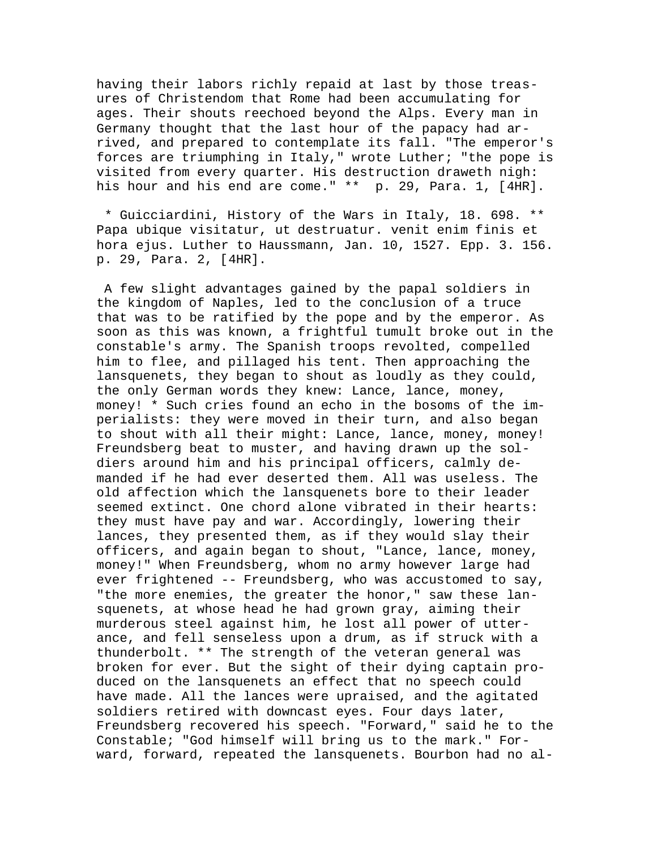having their labors richly repaid at last by those treasures of Christendom that Rome had been accumulating for ages. Their shouts reechoed beyond the Alps. Every man in Germany thought that the last hour of the papacy had arrived, and prepared to contemplate its fall. "The emperor's forces are triumphing in Italy," wrote Luther; "the pope is visited from every quarter. His destruction draweth nigh: his hour and his end are come." \*\* p. 29, Para. 1, [4HR].

 \* Guicciardini, History of the Wars in Italy, 18. 698. \*\* Papa ubique visitatur, ut destruatur. venit enim finis et hora ejus. Luther to Haussmann, Jan. 10, 1527. Epp. 3. 156. p. 29, Para. 2, [4HR].

 A few slight advantages gained by the papal soldiers in the kingdom of Naples, led to the conclusion of a truce that was to be ratified by the pope and by the emperor. As soon as this was known, a frightful tumult broke out in the constable's army. The Spanish troops revolted, compelled him to flee, and pillaged his tent. Then approaching the lansquenets, they began to shout as loudly as they could, the only German words they knew: Lance, lance, money, money! \* Such cries found an echo in the bosoms of the imperialists: they were moved in their turn, and also began to shout with all their might: Lance, lance, money, money! Freundsberg beat to muster, and having drawn up the soldiers around him and his principal officers, calmly demanded if he had ever deserted them. All was useless. The old affection which the lansquenets bore to their leader seemed extinct. One chord alone vibrated in their hearts: they must have pay and war. Accordingly, lowering their lances, they presented them, as if they would slay their officers, and again began to shout, "Lance, lance, money, money!" When Freundsberg, whom no army however large had ever frightened -- Freundsberg, who was accustomed to say, "the more enemies, the greater the honor," saw these lansquenets, at whose head he had grown gray, aiming their murderous steel against him, he lost all power of utterance, and fell senseless upon a drum, as if struck with a thunderbolt. \*\* The strength of the veteran general was broken for ever. But the sight of their dying captain produced on the lansquenets an effect that no speech could have made. All the lances were upraised, and the agitated soldiers retired with downcast eyes. Four days later, Freundsberg recovered his speech. "Forward," said he to the Constable; "God himself will bring us to the mark." Forward, forward, repeated the lansquenets. Bourbon had no al-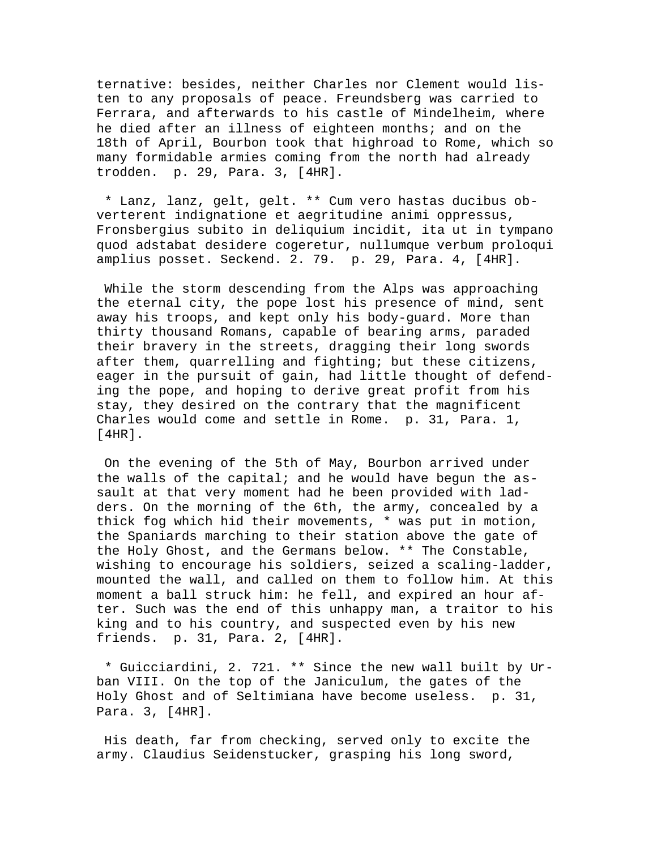ternative: besides, neither Charles nor Clement would listen to any proposals of peace. Freundsberg was carried to Ferrara, and afterwards to his castle of Mindelheim, where he died after an illness of eighteen months; and on the 18th of April, Bourbon took that highroad to Rome, which so many formidable armies coming from the north had already trodden. p. 29, Para. 3, [4HR].

 \* Lanz, lanz, gelt, gelt. \*\* Cum vero hastas ducibus obverterent indignatione et aegritudine animi oppressus, Fronsbergius subito in deliquium incidit, ita ut in tympano quod adstabat desidere cogeretur, nullumque verbum proloqui amplius posset. Seckend. 2. 79. p. 29, Para. 4, [4HR].

 While the storm descending from the Alps was approaching the eternal city, the pope lost his presence of mind, sent away his troops, and kept only his body-guard. More than thirty thousand Romans, capable of bearing arms, paraded their bravery in the streets, dragging their long swords after them, quarrelling and fighting; but these citizens, eager in the pursuit of gain, had little thought of defending the pope, and hoping to derive great profit from his stay, they desired on the contrary that the magnificent Charles would come and settle in Rome. p. 31, Para. 1, [4HR].

 On the evening of the 5th of May, Bourbon arrived under the walls of the capital; and he would have begun the assault at that very moment had he been provided with ladders. On the morning of the 6th, the army, concealed by a thick fog which hid their movements, \* was put in motion, the Spaniards marching to their station above the gate of the Holy Ghost, and the Germans below. \*\* The Constable, wishing to encourage his soldiers, seized a scaling-ladder, mounted the wall, and called on them to follow him. At this moment a ball struck him: he fell, and expired an hour after. Such was the end of this unhappy man, a traitor to his king and to his country, and suspected even by his new friends. p. 31, Para. 2, [4HR].

 \* Guicciardini, 2. 721. \*\* Since the new wall built by Urban VIII. On the top of the Janiculum, the gates of the Holy Ghost and of Seltimiana have become useless. p. 31, Para. 3, [4HR].

 His death, far from checking, served only to excite the army. Claudius Seidenstucker, grasping his long sword,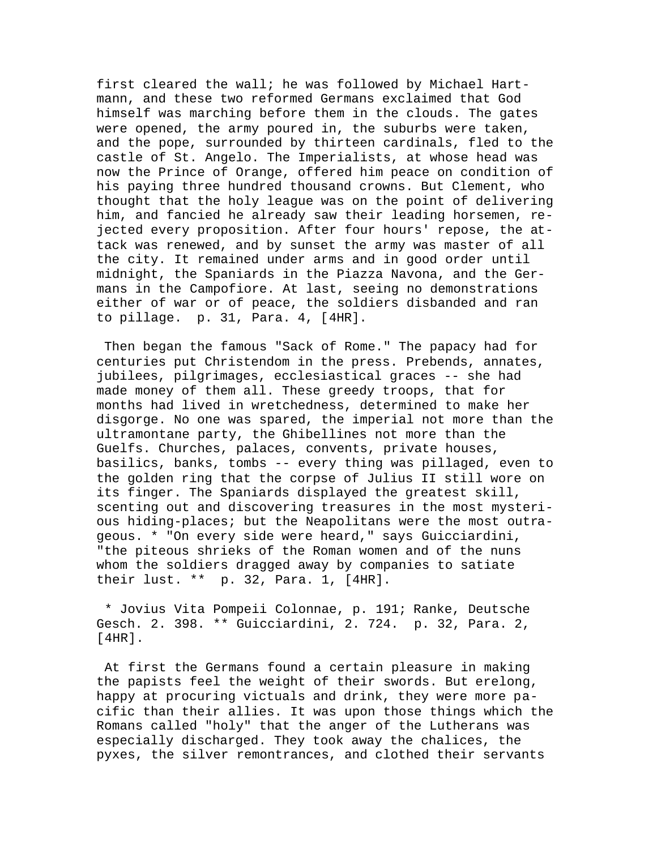first cleared the wall; he was followed by Michael Hartmann, and these two reformed Germans exclaimed that God himself was marching before them in the clouds. The gates were opened, the army poured in, the suburbs were taken, and the pope, surrounded by thirteen cardinals, fled to the castle of St. Angelo. The Imperialists, at whose head was now the Prince of Orange, offered him peace on condition of his paying three hundred thousand crowns. But Clement, who thought that the holy league was on the point of delivering him, and fancied he already saw their leading horsemen, rejected every proposition. After four hours' repose, the attack was renewed, and by sunset the army was master of all the city. It remained under arms and in good order until midnight, the Spaniards in the Piazza Navona, and the Germans in the Campofiore. At last, seeing no demonstrations either of war or of peace, the soldiers disbanded and ran to pillage. p. 31, Para. 4, [4HR].

 Then began the famous "Sack of Rome." The papacy had for centuries put Christendom in the press. Prebends, annates, jubilees, pilgrimages, ecclesiastical graces -- she had made money of them all. These greedy troops, that for months had lived in wretchedness, determined to make her disgorge. No one was spared, the imperial not more than the ultramontane party, the Ghibellines not more than the Guelfs. Churches, palaces, convents, private houses, basilics, banks, tombs -- every thing was pillaged, even to the golden ring that the corpse of Julius II still wore on its finger. The Spaniards displayed the greatest skill, scenting out and discovering treasures in the most mysterious hiding-places; but the Neapolitans were the most outrageous. \* "On every side were heard," says Guicciardini, "the piteous shrieks of the Roman women and of the nuns whom the soldiers dragged away by companies to satiate their lust. \*\* p. 32, Para. 1, [4HR].

 \* Jovius Vita Pompeii Colonnae, p. 191; Ranke, Deutsche Gesch. 2. 398. \*\* Guicciardini, 2. 724. p. 32, Para. 2, [4HR].

 At first the Germans found a certain pleasure in making the papists feel the weight of their swords. But erelong, happy at procuring victuals and drink, they were more pacific than their allies. It was upon those things which the Romans called "holy" that the anger of the Lutherans was especially discharged. They took away the chalices, the pyxes, the silver remontrances, and clothed their servants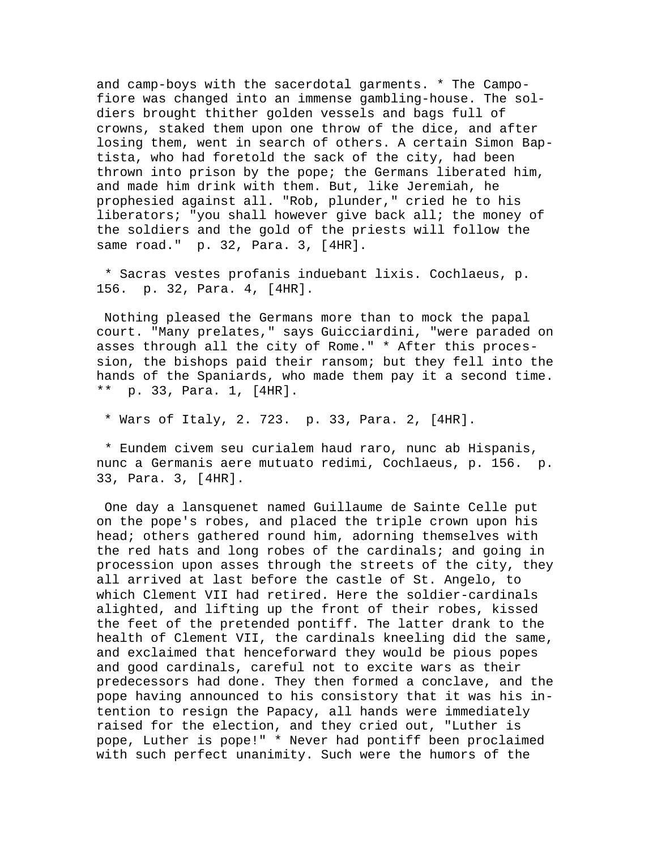and camp-boys with the sacerdotal garments. \* The Campofiore was changed into an immense gambling-house. The soldiers brought thither golden vessels and bags full of crowns, staked them upon one throw of the dice, and after losing them, went in search of others. A certain Simon Baptista, who had foretold the sack of the city, had been thrown into prison by the pope; the Germans liberated him, and made him drink with them. But, like Jeremiah, he prophesied against all. "Rob, plunder," cried he to his liberators; "you shall however give back all; the money of the soldiers and the gold of the priests will follow the same road." p. 32, Para. 3, [4HR].

 \* Sacras vestes profanis induebant lixis. Cochlaeus, p. 156. p. 32, Para. 4, [4HR].

 Nothing pleased the Germans more than to mock the papal court. "Many prelates," says Guicciardini, "were paraded on asses through all the city of Rome." \* After this procession, the bishops paid their ransom; but they fell into the hands of the Spaniards, who made them pay it a second time. \*\* p. 33, Para. 1, [4HR].

\* Wars of Italy, 2. 723. p. 33, Para. 2, [4HR].

 \* Eundem civem seu curialem haud raro, nunc ab Hispanis, nunc a Germanis aere mutuato redimi, Cochlaeus, p. 156. p. 33, Para. 3, [4HR].

 One day a lansquenet named Guillaume de Sainte Celle put on the pope's robes, and placed the triple crown upon his head; others gathered round him, adorning themselves with the red hats and long robes of the cardinals; and going in procession upon asses through the streets of the city, they all arrived at last before the castle of St. Angelo, to which Clement VII had retired. Here the soldier-cardinals alighted, and lifting up the front of their robes, kissed the feet of the pretended pontiff. The latter drank to the health of Clement VII, the cardinals kneeling did the same, and exclaimed that henceforward they would be pious popes and good cardinals, careful not to excite wars as their predecessors had done. They then formed a conclave, and the pope having announced to his consistory that it was his intention to resign the Papacy, all hands were immediately raised for the election, and they cried out, "Luther is pope, Luther is pope!" \* Never had pontiff been proclaimed with such perfect unanimity. Such were the humors of the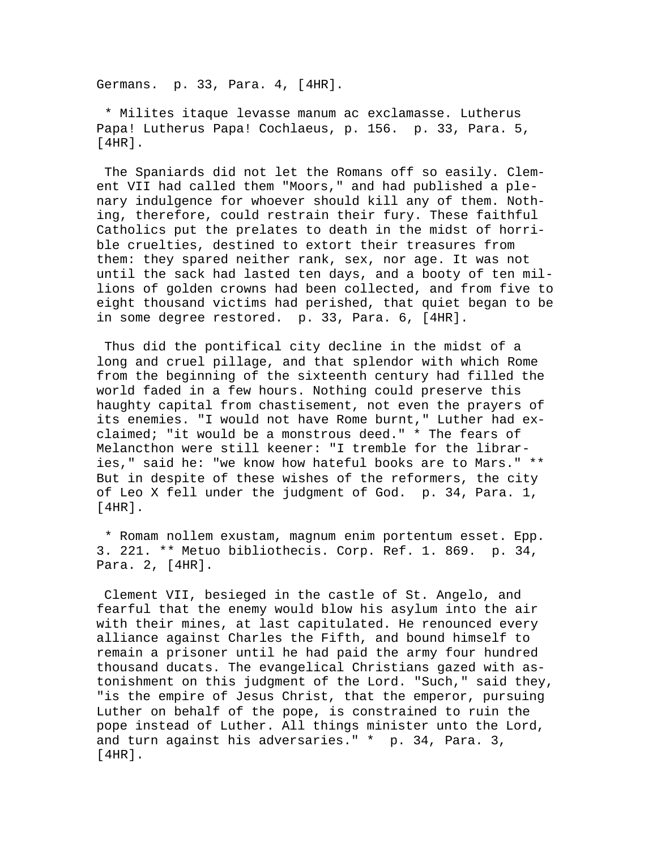Germans. p. 33, Para. 4, [4HR].

 \* Milites itaque levasse manum ac exclamasse. Lutherus Papa! Lutherus Papa! Cochlaeus, p. 156. p. 33, Para. 5,  $[4HR]$ .

 The Spaniards did not let the Romans off so easily. Clement VII had called them "Moors," and had published a plenary indulgence for whoever should kill any of them. Nothing, therefore, could restrain their fury. These faithful Catholics put the prelates to death in the midst of horrible cruelties, destined to extort their treasures from them: they spared neither rank, sex, nor age. It was not until the sack had lasted ten days, and a booty of ten millions of golden crowns had been collected, and from five to eight thousand victims had perished, that quiet began to be in some degree restored. p. 33, Para. 6, [4HR].

 Thus did the pontifical city decline in the midst of a long and cruel pillage, and that splendor with which Rome from the beginning of the sixteenth century had filled the world faded in a few hours. Nothing could preserve this haughty capital from chastisement, not even the prayers of its enemies. "I would not have Rome burnt," Luther had exclaimed; "it would be a monstrous deed." \* The fears of Melancthon were still keener: "I tremble for the libraries," said he: "we know how hateful books are to Mars." \*\* But in despite of these wishes of the reformers, the city of Leo X fell under the judgment of God. p. 34, Para. 1, [4HR].

 \* Romam nollem exustam, magnum enim portentum esset. Epp. 3. 221. \*\* Metuo bibliothecis. Corp. Ref. 1. 869. p. 34, Para. 2, [4HR].

 Clement VII, besieged in the castle of St. Angelo, and fearful that the enemy would blow his asylum into the air with their mines, at last capitulated. He renounced every alliance against Charles the Fifth, and bound himself to remain a prisoner until he had paid the army four hundred thousand ducats. The evangelical Christians gazed with astonishment on this judgment of the Lord. "Such," said they, "is the empire of Jesus Christ, that the emperor, pursuing Luther on behalf of the pope, is constrained to ruin the pope instead of Luther. All things minister unto the Lord, and turn against his adversaries." \* p. 34, Para. 3, [4HR].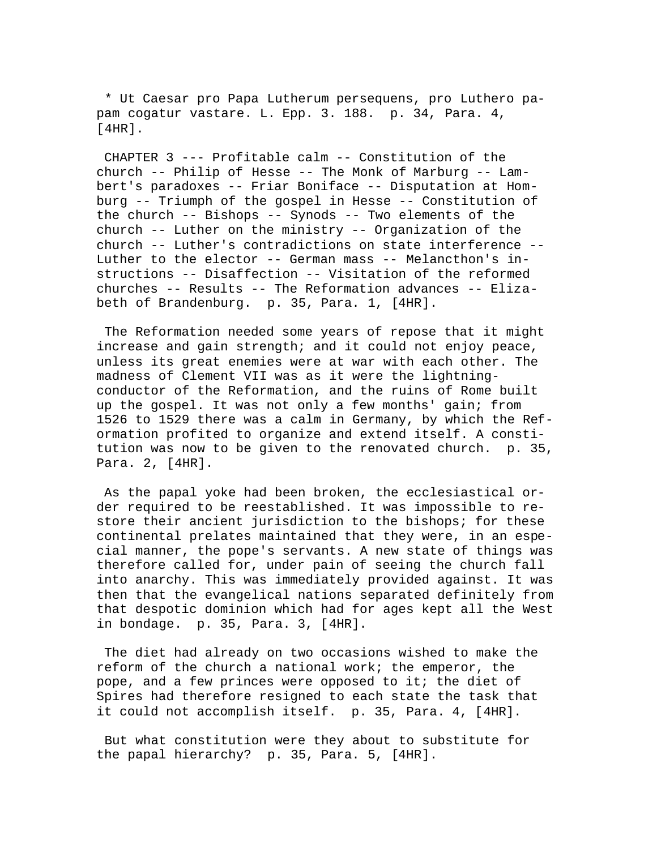\* Ut Caesar pro Papa Lutherum persequens, pro Luthero papam cogatur vastare. L. Epp. 3. 188. p. 34, Para. 4, [4HR].

 CHAPTER 3 --- Profitable calm -- Constitution of the church -- Philip of Hesse -- The Monk of Marburg -- Lambert's paradoxes -- Friar Boniface -- Disputation at Homburg -- Triumph of the gospel in Hesse -- Constitution of the church -- Bishops -- Synods -- Two elements of the church -- Luther on the ministry -- Organization of the church -- Luther's contradictions on state interference -- Luther to the elector -- German mass -- Melancthon's instructions -- Disaffection -- Visitation of the reformed churches -- Results -- The Reformation advances -- Elizabeth of Brandenburg. p. 35, Para. 1, [4HR].

 The Reformation needed some years of repose that it might increase and gain strength; and it could not enjoy peace, unless its great enemies were at war with each other. The madness of Clement VII was as it were the lightningconductor of the Reformation, and the ruins of Rome built up the gospel. It was not only a few months' gain; from 1526 to 1529 there was a calm in Germany, by which the Reformation profited to organize and extend itself. A constitution was now to be given to the renovated church. p. 35, Para. 2, [4HR].

 As the papal yoke had been broken, the ecclesiastical order required to be reestablished. It was impossible to restore their ancient jurisdiction to the bishops; for these continental prelates maintained that they were, in an especial manner, the pope's servants. A new state of things was therefore called for, under pain of seeing the church fall into anarchy. This was immediately provided against. It was then that the evangelical nations separated definitely from that despotic dominion which had for ages kept all the West in bondage. p. 35, Para. 3, [4HR].

 The diet had already on two occasions wished to make the reform of the church a national work; the emperor, the pope, and a few princes were opposed to it; the diet of Spires had therefore resigned to each state the task that it could not accomplish itself. p. 35, Para. 4, [4HR].

 But what constitution were they about to substitute for the papal hierarchy? p. 35, Para. 5, [4HR].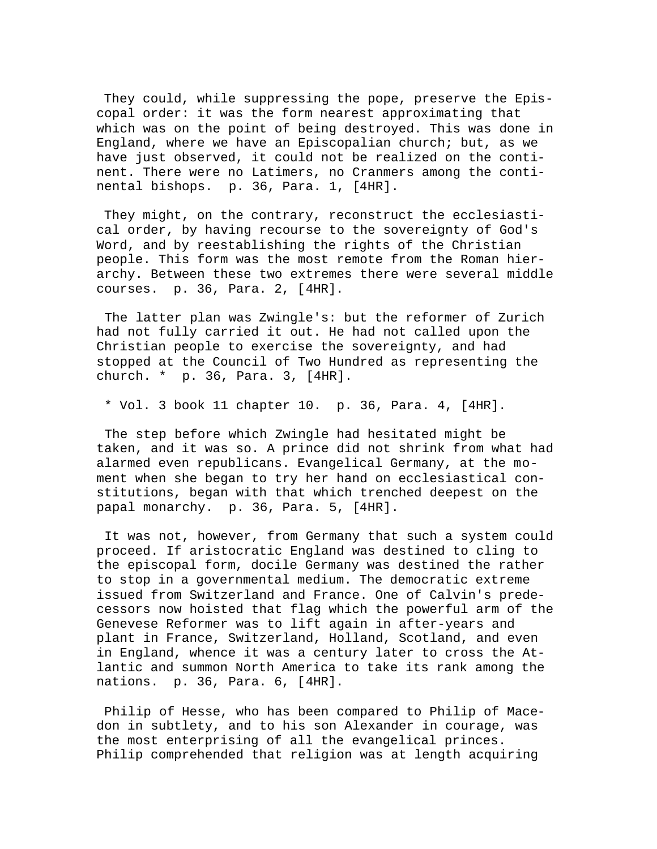They could, while suppressing the pope, preserve the Episcopal order: it was the form nearest approximating that which was on the point of being destroyed. This was done in England, where we have an Episcopalian church; but, as we have just observed, it could not be realized on the continent. There were no Latimers, no Cranmers among the continental bishops. p. 36, Para. 1, [4HR].

 They might, on the contrary, reconstruct the ecclesiastical order, by having recourse to the sovereignty of God's Word, and by reestablishing the rights of the Christian people. This form was the most remote from the Roman hierarchy. Between these two extremes there were several middle courses. p. 36, Para. 2, [4HR].

 The latter plan was Zwingle's: but the reformer of Zurich had not fully carried it out. He had not called upon the Christian people to exercise the sovereignty, and had stopped at the Council of Two Hundred as representing the church. \* p. 36, Para. 3, [4HR].

\* Vol. 3 book 11 chapter 10. p. 36, Para. 4, [4HR].

 The step before which Zwingle had hesitated might be taken, and it was so. A prince did not shrink from what had alarmed even republicans. Evangelical Germany, at the moment when she began to try her hand on ecclesiastical constitutions, began with that which trenched deepest on the papal monarchy. p. 36, Para. 5, [4HR].

 It was not, however, from Germany that such a system could proceed. If aristocratic England was destined to cling to the episcopal form, docile Germany was destined the rather to stop in a governmental medium. The democratic extreme issued from Switzerland and France. One of Calvin's predecessors now hoisted that flag which the powerful arm of the Genevese Reformer was to lift again in after-years and plant in France, Switzerland, Holland, Scotland, and even in England, whence it was a century later to cross the Atlantic and summon North America to take its rank among the nations. p. 36, Para. 6, [4HR].

 Philip of Hesse, who has been compared to Philip of Macedon in subtlety, and to his son Alexander in courage, was the most enterprising of all the evangelical princes. Philip comprehended that religion was at length acquiring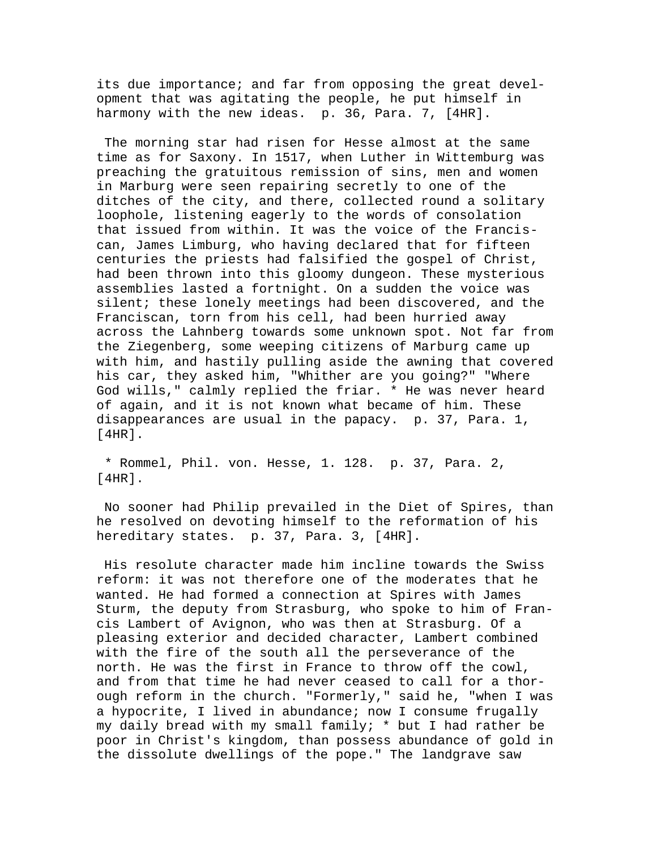its due importance; and far from opposing the great development that was agitating the people, he put himself in harmony with the new ideas. p. 36, Para. 7, [4HR].

 The morning star had risen for Hesse almost at the same time as for Saxony. In 1517, when Luther in Wittemburg was preaching the gratuitous remission of sins, men and women in Marburg were seen repairing secretly to one of the ditches of the city, and there, collected round a solitary loophole, listening eagerly to the words of consolation that issued from within. It was the voice of the Franciscan, James Limburg, who having declared that for fifteen centuries the priests had falsified the gospel of Christ, had been thrown into this gloomy dungeon. These mysterious assemblies lasted a fortnight. On a sudden the voice was silent; these lonely meetings had been discovered, and the Franciscan, torn from his cell, had been hurried away across the Lahnberg towards some unknown spot. Not far from the Ziegenberg, some weeping citizens of Marburg came up with him, and hastily pulling aside the awning that covered his car, they asked him, "Whither are you going?" "Where God wills," calmly replied the friar. \* He was never heard of again, and it is not known what became of him. These disappearances are usual in the papacy. p. 37, Para. 1, [4HR].

 \* Rommel, Phil. von. Hesse, 1. 128. p. 37, Para. 2, [4HR].

 No sooner had Philip prevailed in the Diet of Spires, than he resolved on devoting himself to the reformation of his hereditary states. p. 37, Para. 3, [4HR].

 His resolute character made him incline towards the Swiss reform: it was not therefore one of the moderates that he wanted. He had formed a connection at Spires with James Sturm, the deputy from Strasburg, who spoke to him of Francis Lambert of Avignon, who was then at Strasburg. Of a pleasing exterior and decided character, Lambert combined with the fire of the south all the perseverance of the north. He was the first in France to throw off the cowl, and from that time he had never ceased to call for a thorough reform in the church. "Formerly," said he, "when I was a hypocrite, I lived in abundance; now I consume frugally my daily bread with my small family; \* but I had rather be poor in Christ's kingdom, than possess abundance of gold in the dissolute dwellings of the pope." The landgrave saw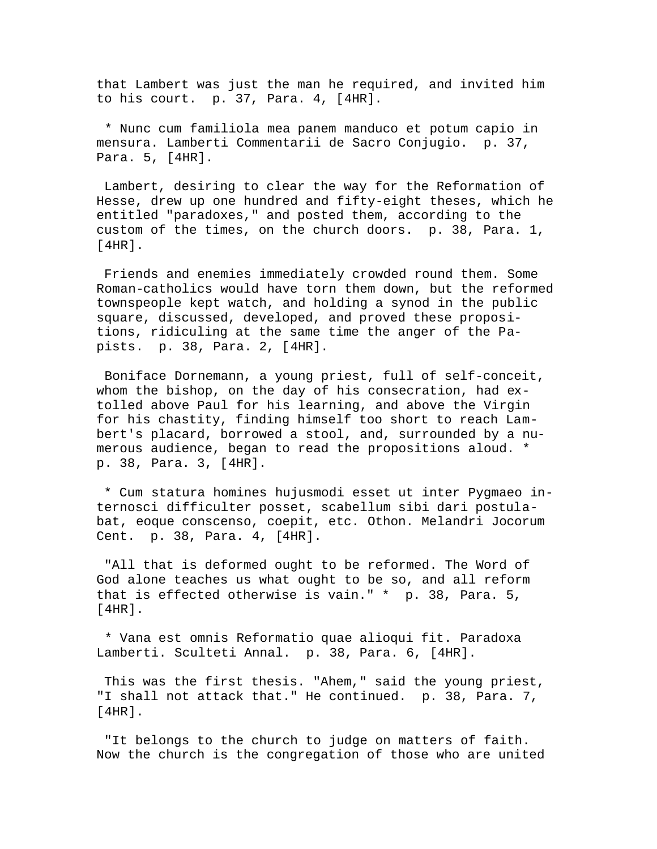that Lambert was just the man he required, and invited him to his court. p. 37, Para. 4, [4HR].

 \* Nunc cum familiola mea panem manduco et potum capio in mensura. Lamberti Commentarii de Sacro Conjugio. p. 37, Para. 5, [4HR].

 Lambert, desiring to clear the way for the Reformation of Hesse, drew up one hundred and fifty-eight theses, which he entitled "paradoxes," and posted them, according to the custom of the times, on the church doors. p. 38, Para. 1, [4HR].

 Friends and enemies immediately crowded round them. Some Roman-catholics would have torn them down, but the reformed townspeople kept watch, and holding a synod in the public square, discussed, developed, and proved these propositions, ridiculing at the same time the anger of the Papists. p. 38, Para. 2, [4HR].

 Boniface Dornemann, a young priest, full of self-conceit, whom the bishop, on the day of his consecration, had extolled above Paul for his learning, and above the Virgin for his chastity, finding himself too short to reach Lambert's placard, borrowed a stool, and, surrounded by a numerous audience, began to read the propositions aloud. \* p. 38, Para. 3, [4HR].

 \* Cum statura homines hujusmodi esset ut inter Pygmaeo internosci difficulter posset, scabellum sibi dari postulabat, eoque conscenso, coepit, etc. Othon. Melandri Jocorum Cent. p. 38, Para. 4, [4HR].

 "All that is deformed ought to be reformed. The Word of God alone teaches us what ought to be so, and all reform that is effected otherwise is vain." \* p. 38, Para. 5, [4HR].

 \* Vana est omnis Reformatio quae alioqui fit. Paradoxa Lamberti. Sculteti Annal. p. 38, Para. 6, [4HR].

 This was the first thesis. "Ahem," said the young priest, "I shall not attack that." He continued. p. 38, Para. 7, [4HR].

 "It belongs to the church to judge on matters of faith. Now the church is the congregation of those who are united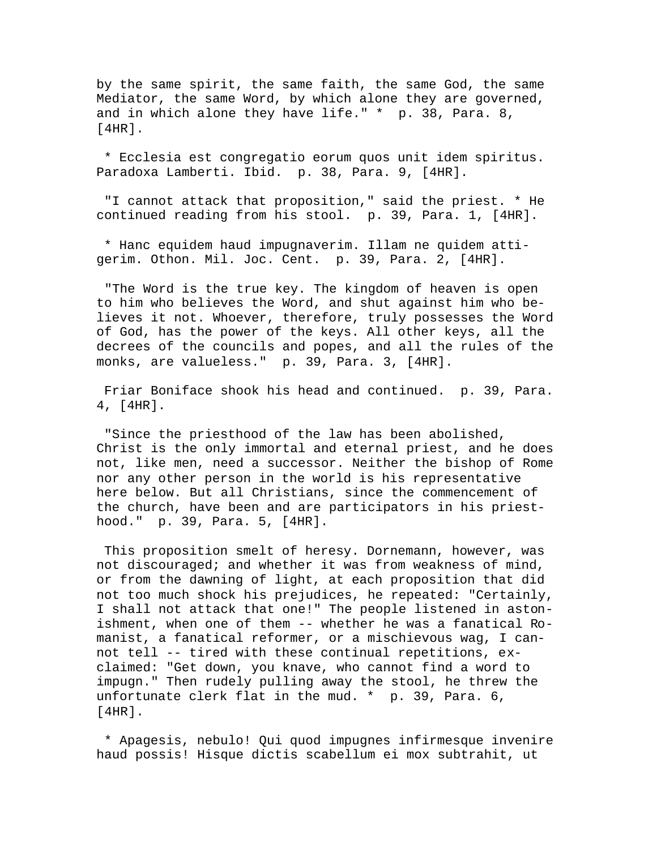by the same spirit, the same faith, the same God, the same Mediator, the same Word, by which alone they are governed, and in which alone they have life." \* p. 38, Para. 8, [4HR].

 \* Ecclesia est congregatio eorum quos unit idem spiritus. Paradoxa Lamberti. Ibid. p. 38, Para. 9, [4HR].

 "I cannot attack that proposition," said the priest. \* He continued reading from his stool. p. 39, Para. 1, [4HR].

 \* Hanc equidem haud impugnaverim. Illam ne quidem attigerim. Othon. Mil. Joc. Cent. p. 39, Para. 2, [4HR].

 "The Word is the true key. The kingdom of heaven is open to him who believes the Word, and shut against him who believes it not. Whoever, therefore, truly possesses the Word of God, has the power of the keys. All other keys, all the decrees of the councils and popes, and all the rules of the monks, are valueless." p. 39, Para. 3, [4HR].

 Friar Boniface shook his head and continued. p. 39, Para. 4, [4HR].

 "Since the priesthood of the law has been abolished, Christ is the only immortal and eternal priest, and he does not, like men, need a successor. Neither the bishop of Rome nor any other person in the world is his representative here below. But all Christians, since the commencement of the church, have been and are participators in his priesthood." p. 39, Para. 5, [4HR].

 This proposition smelt of heresy. Dornemann, however, was not discouraged; and whether it was from weakness of mind, or from the dawning of light, at each proposition that did not too much shock his prejudices, he repeated: "Certainly, I shall not attack that one!" The people listened in astonishment, when one of them -- whether he was a fanatical Romanist, a fanatical reformer, or a mischievous wag, I cannot tell -- tired with these continual repetitions, exclaimed: "Get down, you knave, who cannot find a word to impugn." Then rudely pulling away the stool, he threw the unfortunate clerk flat in the mud. \* p. 39, Para. 6, [4HR].

 \* Apagesis, nebulo! Qui quod impugnes infirmesque invenire haud possis! Hisque dictis scabellum ei mox subtrahit, ut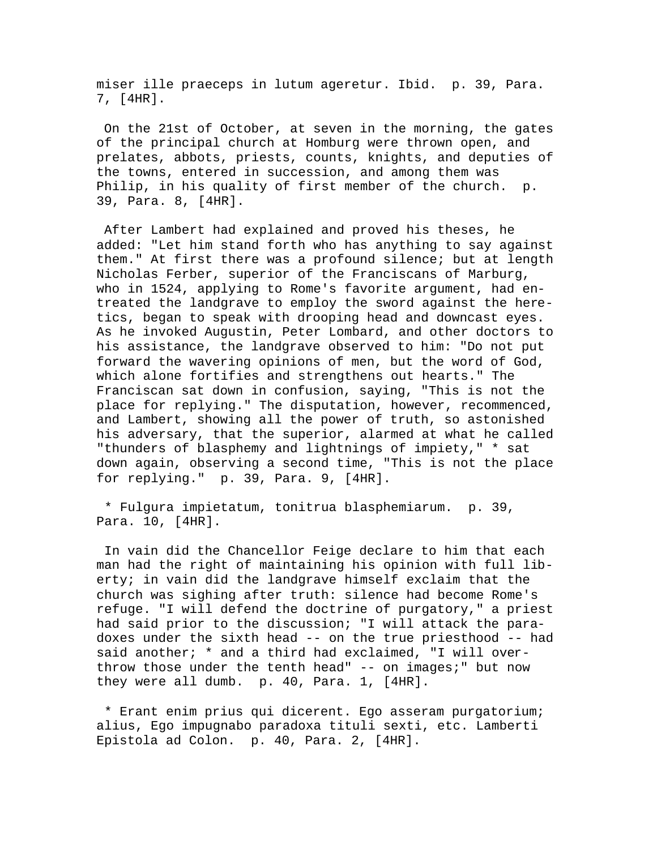miser ille praeceps in lutum ageretur. Ibid. p. 39, Para. 7, [4HR].

 On the 21st of October, at seven in the morning, the gates of the principal church at Homburg were thrown open, and prelates, abbots, priests, counts, knights, and deputies of the towns, entered in succession, and among them was Philip, in his quality of first member of the church. p. 39, Para. 8, [4HR].

 After Lambert had explained and proved his theses, he added: "Let him stand forth who has anything to say against them." At first there was a profound silence; but at length Nicholas Ferber, superior of the Franciscans of Marburg, who in 1524, applying to Rome's favorite argument, had entreated the landgrave to employ the sword against the heretics, began to speak with drooping head and downcast eyes. As he invoked Augustin, Peter Lombard, and other doctors to his assistance, the landgrave observed to him: "Do not put forward the wavering opinions of men, but the word of God, which alone fortifies and strengthens out hearts." The Franciscan sat down in confusion, saying, "This is not the place for replying." The disputation, however, recommenced, and Lambert, showing all the power of truth, so astonished his adversary, that the superior, alarmed at what he called "thunders of blasphemy and lightnings of impiety," \* sat down again, observing a second time, "This is not the place for replying." p. 39, Para. 9, [4HR].

 \* Fulgura impietatum, tonitrua blasphemiarum. p. 39, Para. 10, [4HR].

 In vain did the Chancellor Feige declare to him that each man had the right of maintaining his opinion with full liberty; in vain did the landgrave himself exclaim that the church was sighing after truth: silence had become Rome's refuge. "I will defend the doctrine of purgatory," a priest had said prior to the discussion; "I will attack the paradoxes under the sixth head -- on the true priesthood -- had said another; \* and a third had exclaimed, "I will overthrow those under the tenth head" -- on images;" but now they were all dumb. p. 40, Para. 1, [4HR].

 \* Erant enim prius qui dicerent. Ego asseram purgatorium; alius, Ego impugnabo paradoxa tituli sexti, etc. Lamberti Epistola ad Colon. p. 40, Para. 2, [4HR].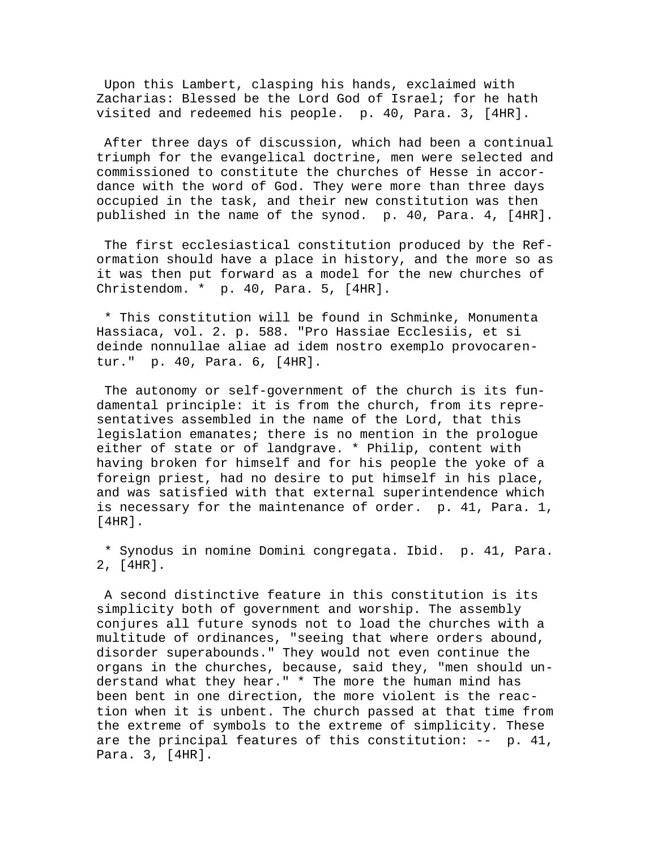Upon this Lambert, clasping his hands, exclaimed with Zacharias: Blessed be the Lord God of Israel; for he hath visited and redeemed his people. p. 40, Para. 3, [4HR].

 After three days of discussion, which had been a continual triumph for the evangelical doctrine, men were selected and commissioned to constitute the churches of Hesse in accordance with the word of God. They were more than three days occupied in the task, and their new constitution was then published in the name of the synod. p. 40, Para. 4, [4HR].

 The first ecclesiastical constitution produced by the Reformation should have a place in history, and the more so as it was then put forward as a model for the new churches of Christendom. \* p. 40, Para. 5, [4HR].

 \* This constitution will be found in Schminke, Monumenta Hassiaca, vol. 2. p. 588. "Pro Hassiae Ecclesiis, et si deinde nonnullae aliae ad idem nostro exemplo provocarentur." p. 40, Para. 6, [4HR].

 The autonomy or self-government of the church is its fundamental principle: it is from the church, from its representatives assembled in the name of the Lord, that this legislation emanates; there is no mention in the prologue either of state or of landgrave. \* Philip, content with having broken for himself and for his people the yoke of a foreign priest, had no desire to put himself in his place, and was satisfied with that external superintendence which is necessary for the maintenance of order. p. 41, Para. 1, [4HR].

 \* Synodus in nomine Domini congregata. Ibid. p. 41, Para. 2, [4HR].

 A second distinctive feature in this constitution is its simplicity both of government and worship. The assembly conjures all future synods not to load the churches with a multitude of ordinances, "seeing that where orders abound, disorder superabounds." They would not even continue the organs in the churches, because, said they, "men should understand what they hear." \* The more the human mind has been bent in one direction, the more violent is the reaction when it is unbent. The church passed at that time from the extreme of symbols to the extreme of simplicity. These are the principal features of this constitution: -- p. 41, Para. 3, [4HR].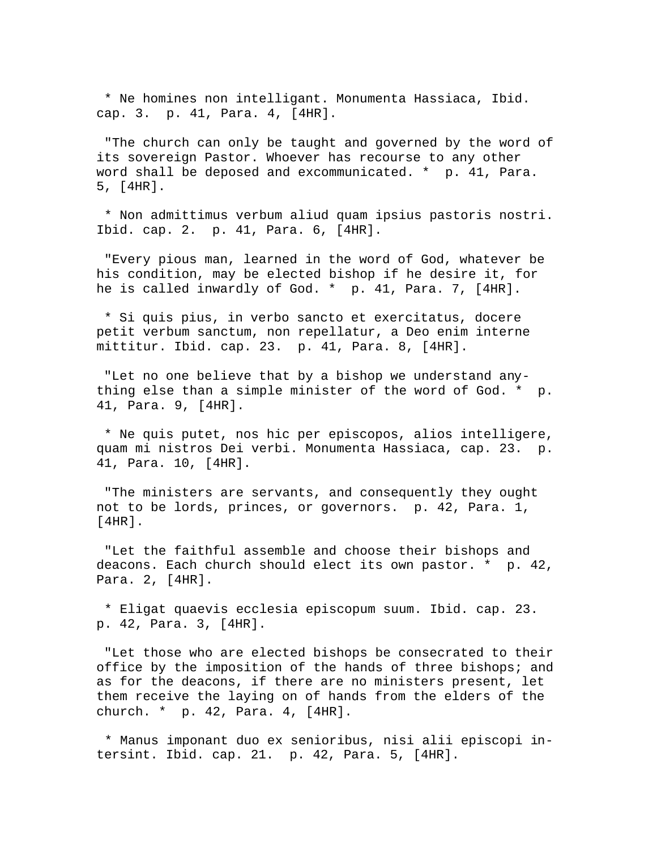\* Ne homines non intelligant. Monumenta Hassiaca, Ibid. cap. 3. p. 41, Para. 4, [4HR].

 "The church can only be taught and governed by the word of its sovereign Pastor. Whoever has recourse to any other word shall be deposed and excommunicated. \* p. 41, Para. 5, [4HR].

 \* Non admittimus verbum aliud quam ipsius pastoris nostri. Ibid. cap. 2. p. 41, Para. 6, [4HR].

 "Every pious man, learned in the word of God, whatever be his condition, may be elected bishop if he desire it, for he is called inwardly of God. \* p. 41, Para. 7, [4HR].

 \* Si quis pius, in verbo sancto et exercitatus, docere petit verbum sanctum, non repellatur, a Deo enim interne mittitur. Ibid. cap. 23. p. 41, Para. 8, [4HR].

 "Let no one believe that by a bishop we understand anything else than a simple minister of the word of God. \* p. 41, Para. 9, [4HR].

 \* Ne quis putet, nos hic per episcopos, alios intelligere, quam mi nistros Dei verbi. Monumenta Hassiaca, cap. 23. p. 41, Para. 10, [4HR].

 "The ministers are servants, and consequently they ought not to be lords, princes, or governors. p. 42, Para. 1, [4HR].

 "Let the faithful assemble and choose their bishops and deacons. Each church should elect its own pastor. \* p. 42, Para. 2, [4HR].

 \* Eligat quaevis ecclesia episcopum suum. Ibid. cap. 23. p. 42, Para. 3, [4HR].

 "Let those who are elected bishops be consecrated to their office by the imposition of the hands of three bishops; and as for the deacons, if there are no ministers present, let them receive the laying on of hands from the elders of the church. \* p. 42, Para. 4, [4HR].

 \* Manus imponant duo ex senioribus, nisi alii episcopi intersint. Ibid. cap. 21. p. 42, Para. 5, [4HR].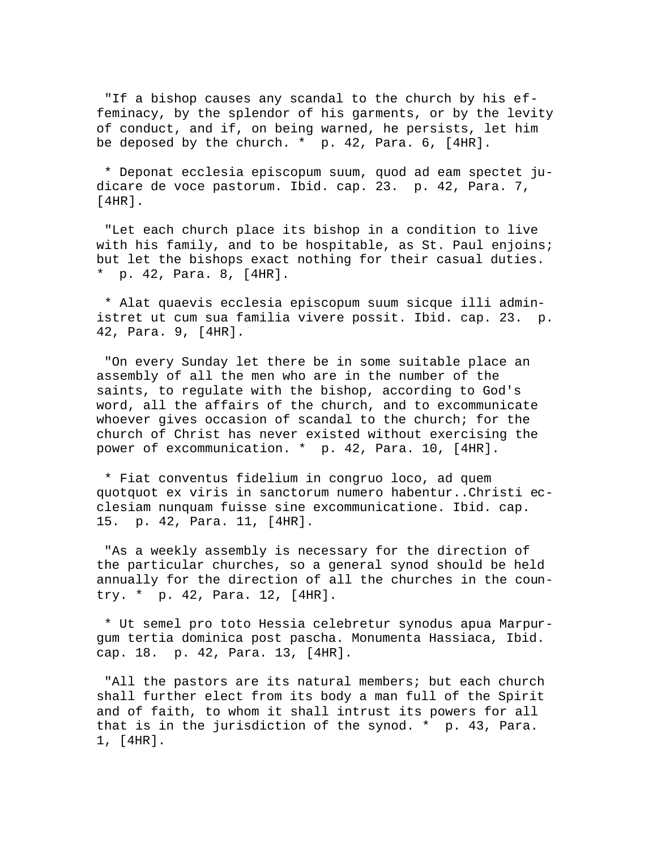"If a bishop causes any scandal to the church by his effeminacy, by the splendor of his garments, or by the levity of conduct, and if, on being warned, he persists, let him be deposed by the church.  $*$  p. 42, Para. 6,  $[4HR]$ .

 \* Deponat ecclesia episcopum suum, quod ad eam spectet judicare de voce pastorum. Ibid. cap. 23. p. 42, Para. 7, [4HR].

 "Let each church place its bishop in a condition to live with his family, and to be hospitable, as St. Paul enjoins; but let the bishops exact nothing for their casual duties. \* p. 42, Para. 8, [4HR].

 \* Alat quaevis ecclesia episcopum suum sicque illi administret ut cum sua familia vivere possit. Ibid. cap. 23. p. 42, Para. 9, [4HR].

 "On every Sunday let there be in some suitable place an assembly of all the men who are in the number of the saints, to regulate with the bishop, according to God's word, all the affairs of the church, and to excommunicate whoever gives occasion of scandal to the church; for the church of Christ has never existed without exercising the power of excommunication. \* p. 42, Para. 10, [4HR].

 \* Fiat conventus fidelium in congruo loco, ad quem quotquot ex viris in sanctorum numero habentur..Christi ecclesiam nunquam fuisse sine excommunicatione. Ibid. cap. 15. p. 42, Para. 11, [4HR].

 "As a weekly assembly is necessary for the direction of the particular churches, so a general synod should be held annually for the direction of all the churches in the country. \* p. 42, Para. 12, [4HR].

 \* Ut semel pro toto Hessia celebretur synodus apua Marpurgum tertia dominica post pascha. Monumenta Hassiaca, Ibid. cap. 18. p. 42, Para. 13, [4HR].

 "All the pastors are its natural members; but each church shall further elect from its body a man full of the Spirit and of faith, to whom it shall intrust its powers for all that is in the jurisdiction of the synod. \* p. 43, Para. 1, [4HR].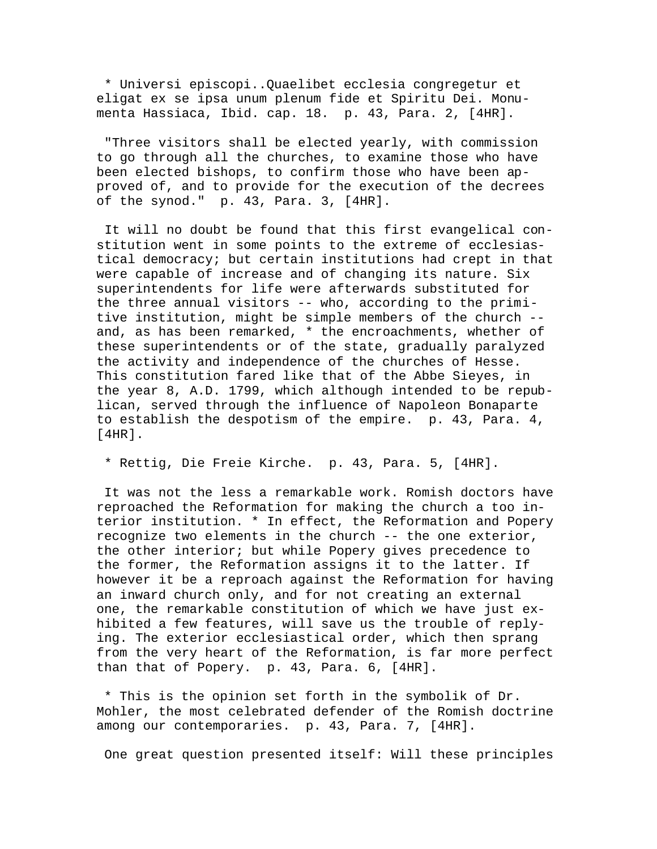\* Universi episcopi..Quaelibet ecclesia congregetur et eligat ex se ipsa unum plenum fide et Spiritu Dei. Monumenta Hassiaca, Ibid. cap. 18. p. 43, Para. 2, [4HR].

 "Three visitors shall be elected yearly, with commission to go through all the churches, to examine those who have been elected bishops, to confirm those who have been approved of, and to provide for the execution of the decrees of the synod." p. 43, Para. 3, [4HR].

 It will no doubt be found that this first evangelical constitution went in some points to the extreme of ecclesiastical democracy; but certain institutions had crept in that were capable of increase and of changing its nature. Six superintendents for life were afterwards substituted for the three annual visitors -- who, according to the primitive institution, might be simple members of the church - and, as has been remarked, \* the encroachments, whether of these superintendents or of the state, gradually paralyzed the activity and independence of the churches of Hesse. This constitution fared like that of the Abbe Sieyes, in the year 8, A.D. 1799, which although intended to be republican, served through the influence of Napoleon Bonaparte to establish the despotism of the empire. p. 43, Para. 4, [4HR].

\* Rettig, Die Freie Kirche. p. 43, Para. 5, [4HR].

 It was not the less a remarkable work. Romish doctors have reproached the Reformation for making the church a too interior institution. \* In effect, the Reformation and Popery recognize two elements in the church -- the one exterior, the other interior; but while Popery gives precedence to the former, the Reformation assigns it to the latter. If however it be a reproach against the Reformation for having an inward church only, and for not creating an external one, the remarkable constitution of which we have just exhibited a few features, will save us the trouble of replying. The exterior ecclesiastical order, which then sprang from the very heart of the Reformation, is far more perfect than that of Popery. p. 43, Para. 6, [4HR].

 \* This is the opinion set forth in the symbolik of Dr. Mohler, the most celebrated defender of the Romish doctrine among our contemporaries. p. 43, Para. 7, [4HR].

One great question presented itself: Will these principles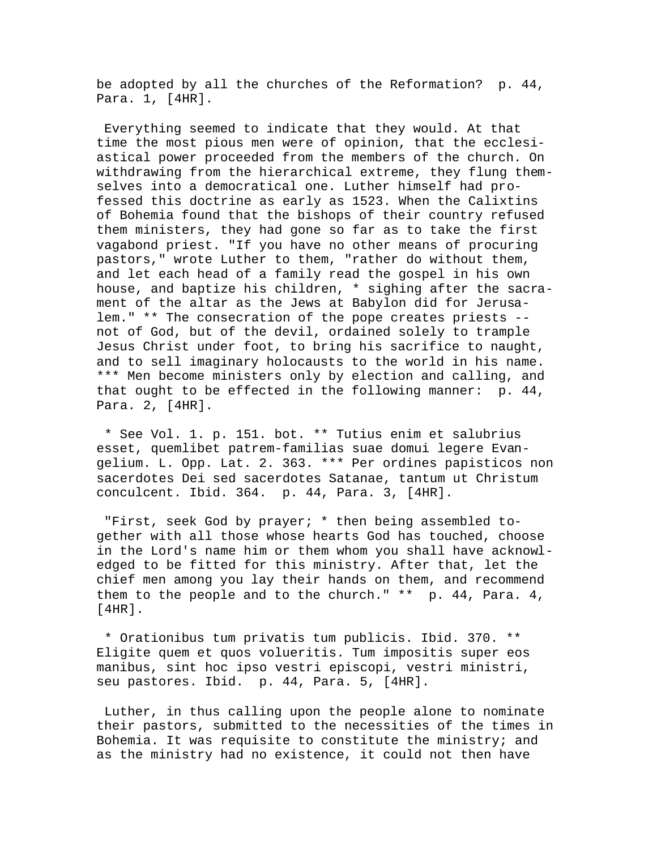be adopted by all the churches of the Reformation? p. 44, Para. 1, [4HR].

 Everything seemed to indicate that they would. At that time the most pious men were of opinion, that the ecclesiastical power proceeded from the members of the church. On withdrawing from the hierarchical extreme, they flung themselves into a democratical one. Luther himself had professed this doctrine as early as 1523. When the Calixtins of Bohemia found that the bishops of their country refused them ministers, they had gone so far as to take the first vagabond priest. "If you have no other means of procuring pastors," wrote Luther to them, "rather do without them, and let each head of a family read the gospel in his own house, and baptize his children, \* sighing after the sacrament of the altar as the Jews at Babylon did for Jerusalem." \*\* The consecration of the pope creates priests - not of God, but of the devil, ordained solely to trample Jesus Christ under foot, to bring his sacrifice to naught, and to sell imaginary holocausts to the world in his name. \*\*\* Men become ministers only by election and calling, and that ought to be effected in the following manner: p. 44, Para. 2, [4HR].

 \* See Vol. 1. p. 151. bot. \*\* Tutius enim et salubrius esset, quemlibet patrem-familias suae domui legere Evangelium. L. Opp. Lat. 2. 363. \*\*\* Per ordines papisticos non sacerdotes Dei sed sacerdotes Satanae, tantum ut Christum conculcent. Ibid. 364. p. 44, Para. 3, [4HR].

 "First, seek God by prayer; \* then being assembled together with all those whose hearts God has touched, choose in the Lord's name him or them whom you shall have acknowledged to be fitted for this ministry. After that, let the chief men among you lay their hands on them, and recommend them to the people and to the church." \*\* p. 44, Para. 4, [4HR].

 \* Orationibus tum privatis tum publicis. Ibid. 370. \*\* Eligite quem et quos volueritis. Tum impositis super eos manibus, sint hoc ipso vestri episcopi, vestri ministri, seu pastores. Ibid. p. 44, Para. 5, [4HR].

 Luther, in thus calling upon the people alone to nominate their pastors, submitted to the necessities of the times in Bohemia. It was requisite to constitute the ministry; and as the ministry had no existence, it could not then have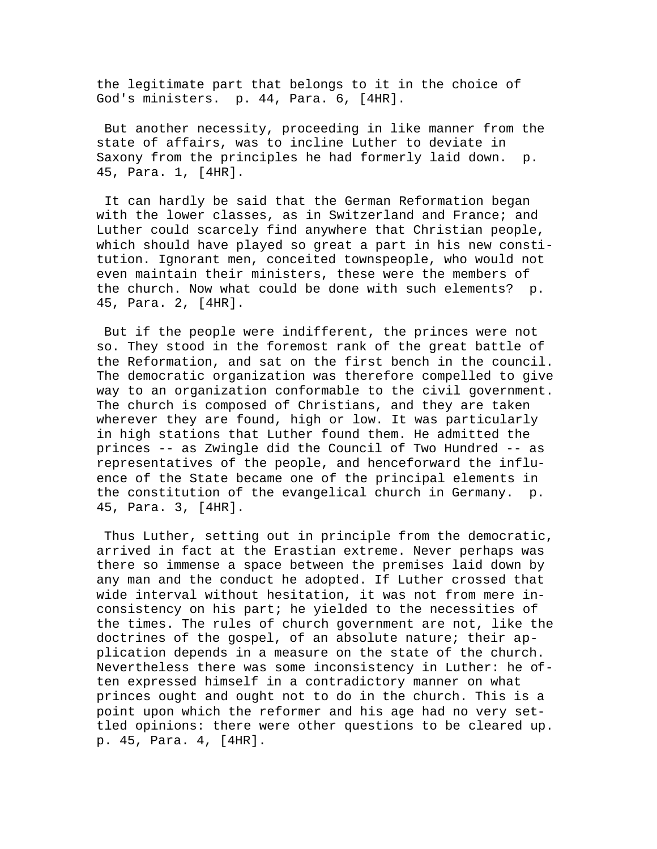the legitimate part that belongs to it in the choice of God's ministers. p. 44, Para. 6, [4HR].

 But another necessity, proceeding in like manner from the state of affairs, was to incline Luther to deviate in Saxony from the principles he had formerly laid down. p. 45, Para. 1, [4HR].

 It can hardly be said that the German Reformation began with the lower classes, as in Switzerland and France; and Luther could scarcely find anywhere that Christian people, which should have played so great a part in his new constitution. Ignorant men, conceited townspeople, who would not even maintain their ministers, these were the members of the church. Now what could be done with such elements? p. 45, Para. 2, [4HR].

 But if the people were indifferent, the princes were not so. They stood in the foremost rank of the great battle of the Reformation, and sat on the first bench in the council. The democratic organization was therefore compelled to give way to an organization conformable to the civil government. The church is composed of Christians, and they are taken wherever they are found, high or low. It was particularly in high stations that Luther found them. He admitted the princes -- as Zwingle did the Council of Two Hundred -- as representatives of the people, and henceforward the influence of the State became one of the principal elements in the constitution of the evangelical church in Germany. p. 45, Para. 3, [4HR].

 Thus Luther, setting out in principle from the democratic, arrived in fact at the Erastian extreme. Never perhaps was there so immense a space between the premises laid down by any man and the conduct he adopted. If Luther crossed that wide interval without hesitation, it was not from mere inconsistency on his part; he yielded to the necessities of the times. The rules of church government are not, like the doctrines of the gospel, of an absolute nature; their application depends in a measure on the state of the church. Nevertheless there was some inconsistency in Luther: he often expressed himself in a contradictory manner on what princes ought and ought not to do in the church. This is a point upon which the reformer and his age had no very settled opinions: there were other questions to be cleared up. p. 45, Para. 4, [4HR].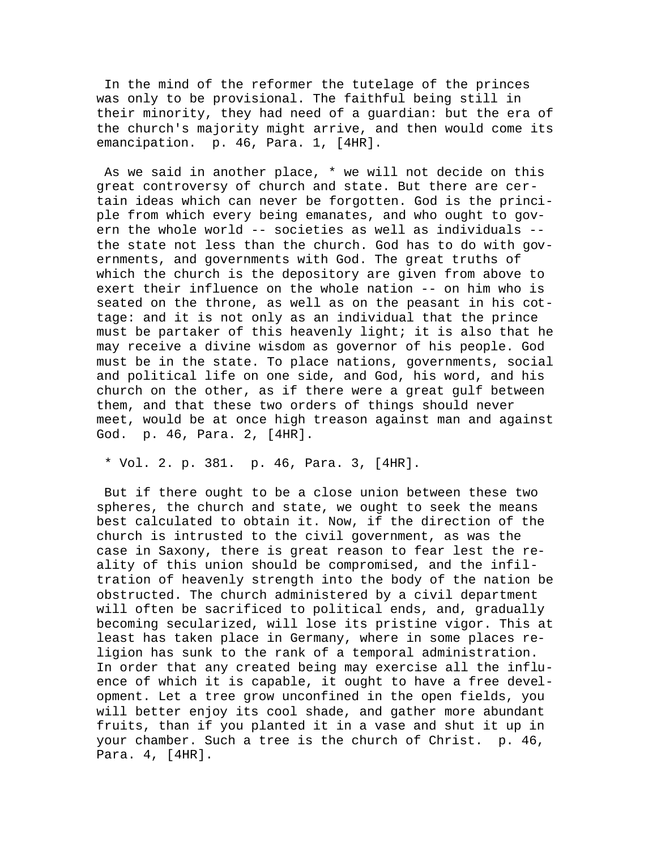In the mind of the reformer the tutelage of the princes was only to be provisional. The faithful being still in their minority, they had need of a guardian: but the era of the church's majority might arrive, and then would come its emancipation. p. 46, Para. 1, [4HR].

 As we said in another place, \* we will not decide on this great controversy of church and state. But there are certain ideas which can never be forgotten. God is the principle from which every being emanates, and who ought to govern the whole world -- societies as well as individuals - the state not less than the church. God has to do with governments, and governments with God. The great truths of which the church is the depository are given from above to exert their influence on the whole nation -- on him who is seated on the throne, as well as on the peasant in his cottage: and it is not only as an individual that the prince must be partaker of this heavenly light; it is also that he may receive a divine wisdom as governor of his people. God must be in the state. To place nations, governments, social and political life on one side, and God, his word, and his church on the other, as if there were a great gulf between them, and that these two orders of things should never meet, would be at once high treason against man and against God. p. 46, Para. 2, [4HR].

\* Vol. 2. p. 381. p. 46, Para. 3, [4HR].

 But if there ought to be a close union between these two spheres, the church and state, we ought to seek the means best calculated to obtain it. Now, if the direction of the church is intrusted to the civil government, as was the case in Saxony, there is great reason to fear lest the reality of this union should be compromised, and the infiltration of heavenly strength into the body of the nation be obstructed. The church administered by a civil department will often be sacrificed to political ends, and, gradually becoming secularized, will lose its pristine vigor. This at least has taken place in Germany, where in some places religion has sunk to the rank of a temporal administration. In order that any created being may exercise all the influence of which it is capable, it ought to have a free development. Let a tree grow unconfined in the open fields, you will better enjoy its cool shade, and gather more abundant fruits, than if you planted it in a vase and shut it up in your chamber. Such a tree is the church of Christ. p. 46, Para. 4, [4HR].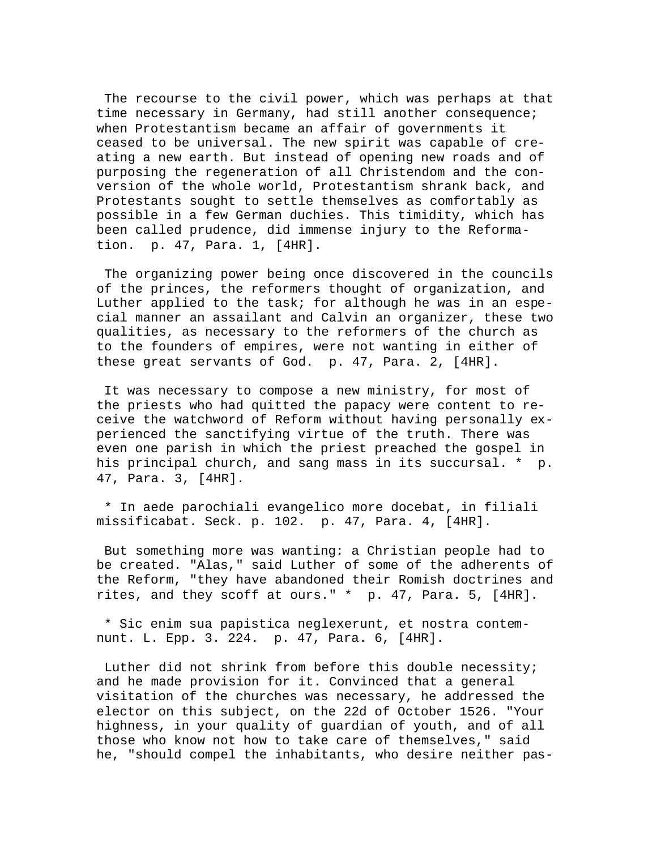The recourse to the civil power, which was perhaps at that time necessary in Germany, had still another consequence; when Protestantism became an affair of governments it ceased to be universal. The new spirit was capable of creating a new earth. But instead of opening new roads and of purposing the regeneration of all Christendom and the conversion of the whole world, Protestantism shrank back, and Protestants sought to settle themselves as comfortably as possible in a few German duchies. This timidity, which has been called prudence, did immense injury to the Reformation. p. 47, Para. 1, [4HR].

 The organizing power being once discovered in the councils of the princes, the reformers thought of organization, and Luther applied to the task; for although he was in an especial manner an assailant and Calvin an organizer, these two qualities, as necessary to the reformers of the church as to the founders of empires, were not wanting in either of these great servants of God. p. 47, Para. 2, [4HR].

 It was necessary to compose a new ministry, for most of the priests who had quitted the papacy were content to receive the watchword of Reform without having personally experienced the sanctifying virtue of the truth. There was even one parish in which the priest preached the gospel in his principal church, and sang mass in its succursal. \* p. 47, Para. 3, [4HR].

 \* In aede parochiali evangelico more docebat, in filiali missificabat. Seck. p. 102. p. 47, Para. 4, [4HR].

 But something more was wanting: a Christian people had to be created. "Alas," said Luther of some of the adherents of the Reform, "they have abandoned their Romish doctrines and rites, and they scoff at ours." \* p. 47, Para. 5, [4HR].

 \* Sic enim sua papistica neglexerunt, et nostra contemnunt. L. Epp. 3. 224. p. 47, Para. 6, [4HR].

 Luther did not shrink from before this double necessity; and he made provision for it. Convinced that a general visitation of the churches was necessary, he addressed the elector on this subject, on the 22d of October 1526. "Your highness, in your quality of guardian of youth, and of all those who know not how to take care of themselves," said he, "should compel the inhabitants, who desire neither pas-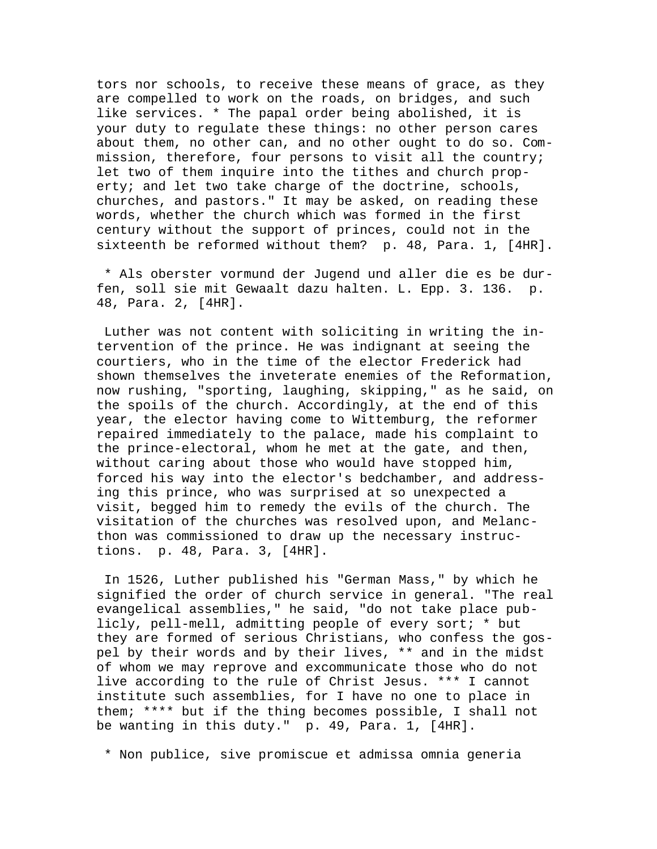tors nor schools, to receive these means of grace, as they are compelled to work on the roads, on bridges, and such like services. \* The papal order being abolished, it is your duty to regulate these things: no other person cares about them, no other can, and no other ought to do so. Commission, therefore, four persons to visit all the country; let two of them inquire into the tithes and church property; and let two take charge of the doctrine, schools, churches, and pastors." It may be asked, on reading these words, whether the church which was formed in the first century without the support of princes, could not in the sixteenth be reformed without them? p. 48, Para. 1, [4HR].

 \* Als oberster vormund der Jugend und aller die es be durfen, soll sie mit Gewaalt dazu halten. L. Epp. 3. 136. p. 48, Para. 2, [4HR].

 Luther was not content with soliciting in writing the intervention of the prince. He was indignant at seeing the courtiers, who in the time of the elector Frederick had shown themselves the inveterate enemies of the Reformation, now rushing, "sporting, laughing, skipping," as he said, on the spoils of the church. Accordingly, at the end of this year, the elector having come to Wittemburg, the reformer repaired immediately to the palace, made his complaint to the prince-electoral, whom he met at the gate, and then, without caring about those who would have stopped him, forced his way into the elector's bedchamber, and addressing this prince, who was surprised at so unexpected a visit, begged him to remedy the evils of the church. The visitation of the churches was resolved upon, and Melancthon was commissioned to draw up the necessary instructions. p. 48, Para. 3, [4HR].

 In 1526, Luther published his "German Mass," by which he signified the order of church service in general. "The real evangelical assemblies," he said, "do not take place publicly, pell-mell, admitting people of every sort; \* but they are formed of serious Christians, who confess the gospel by their words and by their lives, \*\* and in the midst of whom we may reprove and excommunicate those who do not live according to the rule of Christ Jesus. \*\*\* I cannot institute such assemblies, for I have no one to place in them; \*\*\*\* but if the thing becomes possible, I shall not be wanting in this duty." p. 49, Para. 1, [4HR].

\* Non publice, sive promiscue et admissa omnia generia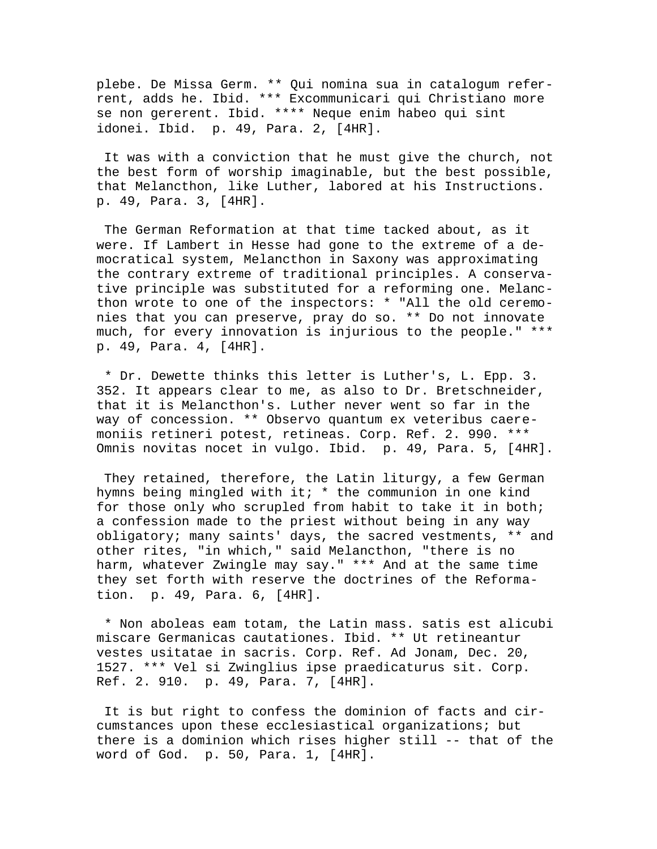plebe. De Missa Germ. \*\* Qui nomina sua in catalogum referrent, adds he. Ibid. \*\*\* Excommunicari qui Christiano more se non gererent. Ibid. \*\*\*\* Neque enim habeo qui sint idonei. Ibid. p. 49, Para. 2, [4HR].

 It was with a conviction that he must give the church, not the best form of worship imaginable, but the best possible, that Melancthon, like Luther, labored at his Instructions. p. 49, Para. 3, [4HR].

 The German Reformation at that time tacked about, as it were. If Lambert in Hesse had gone to the extreme of a democratical system, Melancthon in Saxony was approximating the contrary extreme of traditional principles. A conservative principle was substituted for a reforming one. Melancthon wrote to one of the inspectors: \* "All the old ceremonies that you can preserve, pray do so. \*\* Do not innovate much, for every innovation is injurious to the people." \*\*\* p. 49, Para. 4, [4HR].

 \* Dr. Dewette thinks this letter is Luther's, L. Epp. 3. 352. It appears clear to me, as also to Dr. Bretschneider, that it is Melancthon's. Luther never went so far in the way of concession. \*\* Observo quantum ex veteribus caeremoniis retineri potest, retineas. Corp. Ref. 2. 990. \*\*\* Omnis novitas nocet in vulgo. Ibid. p. 49, Para. 5, [4HR].

 They retained, therefore, the Latin liturgy, a few German hymns being mingled with it; \* the communion in one kind for those only who scrupled from habit to take it in both; a confession made to the priest without being in any way obligatory; many saints' days, the sacred vestments, \*\* and other rites, "in which," said Melancthon, "there is no harm, whatever Zwingle may say." \*\*\* And at the same time they set forth with reserve the doctrines of the Reformation. p. 49, Para. 6, [4HR].

 \* Non aboleas eam totam, the Latin mass. satis est alicubi miscare Germanicas cautationes. Ibid. \*\* Ut retineantur vestes usitatae in sacris. Corp. Ref. Ad Jonam, Dec. 20, 1527. \*\*\* Vel si Zwinglius ipse praedicaturus sit. Corp. Ref. 2. 910. p. 49, Para. 7, [4HR].

 It is but right to confess the dominion of facts and circumstances upon these ecclesiastical organizations; but there is a dominion which rises higher still -- that of the word of God. p. 50, Para. 1, [4HR].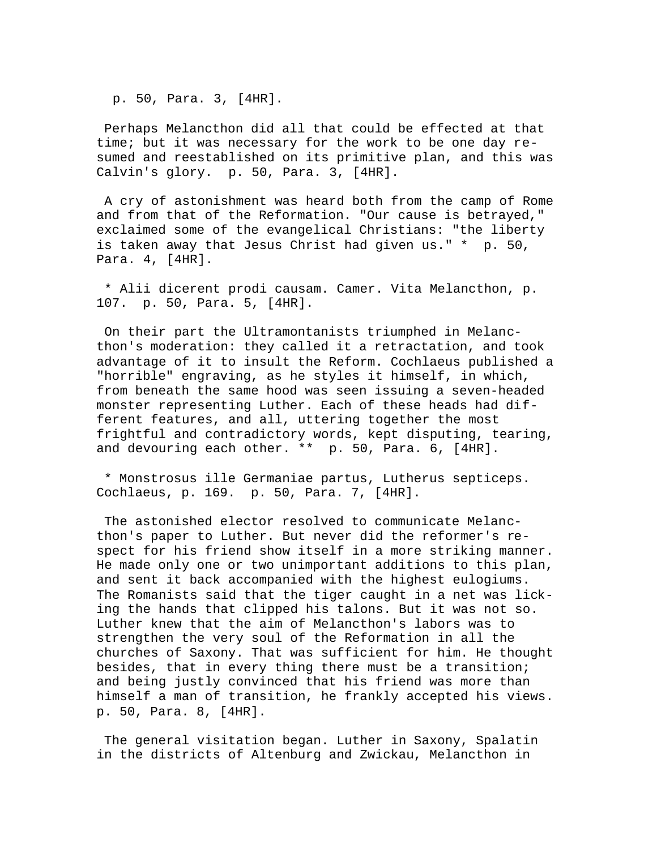p. 50, Para. 3, [4HR].

 Perhaps Melancthon did all that could be effected at that time; but it was necessary for the work to be one day resumed and reestablished on its primitive plan, and this was Calvin's glory. p. 50, Para. 3, [4HR].

 A cry of astonishment was heard both from the camp of Rome and from that of the Reformation. "Our cause is betrayed," exclaimed some of the evangelical Christians: "the liberty is taken away that Jesus Christ had given us." \* p. 50, Para. 4, [4HR].

 \* Alii dicerent prodi causam. Camer. Vita Melancthon, p. 107. p. 50, Para. 5, [4HR].

 On their part the Ultramontanists triumphed in Melancthon's moderation: they called it a retractation, and took advantage of it to insult the Reform. Cochlaeus published a "horrible" engraving, as he styles it himself, in which, from beneath the same hood was seen issuing a seven-headed monster representing Luther. Each of these heads had different features, and all, uttering together the most frightful and contradictory words, kept disputing, tearing, and devouring each other. \*\* p. 50, Para. 6, [4HR].

 \* Monstrosus ille Germaniae partus, Lutherus septiceps. Cochlaeus, p. 169. p. 50, Para. 7, [4HR].

 The astonished elector resolved to communicate Melancthon's paper to Luther. But never did the reformer's respect for his friend show itself in a more striking manner. He made only one or two unimportant additions to this plan, and sent it back accompanied with the highest eulogiums. The Romanists said that the tiger caught in a net was licking the hands that clipped his talons. But it was not so. Luther knew that the aim of Melancthon's labors was to strengthen the very soul of the Reformation in all the churches of Saxony. That was sufficient for him. He thought besides, that in every thing there must be a transition; and being justly convinced that his friend was more than himself a man of transition, he frankly accepted his views. p. 50, Para. 8, [4HR].

 The general visitation began. Luther in Saxony, Spalatin in the districts of Altenburg and Zwickau, Melancthon in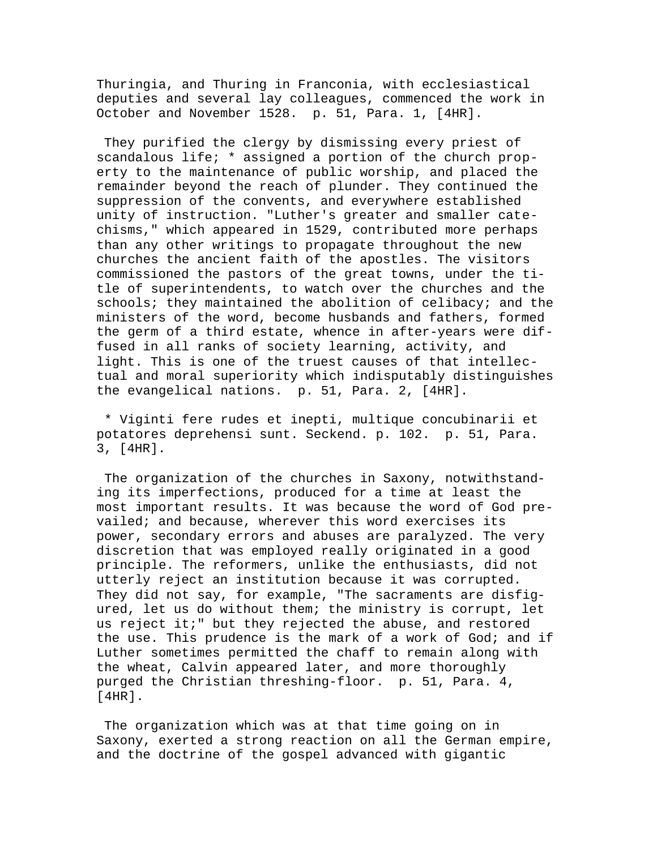Thuringia, and Thuring in Franconia, with ecclesiastical deputies and several lay colleagues, commenced the work in October and November 1528. p. 51, Para. 1, [4HR].

 They purified the clergy by dismissing every priest of scandalous life; \* assigned a portion of the church property to the maintenance of public worship, and placed the remainder beyond the reach of plunder. They continued the suppression of the convents, and everywhere established unity of instruction. "Luther's greater and smaller catechisms," which appeared in 1529, contributed more perhaps than any other writings to propagate throughout the new churches the ancient faith of the apostles. The visitors commissioned the pastors of the great towns, under the title of superintendents, to watch over the churches and the schools; they maintained the abolition of celibacy; and the ministers of the word, become husbands and fathers, formed the germ of a third estate, whence in after-years were diffused in all ranks of society learning, activity, and light. This is one of the truest causes of that intellectual and moral superiority which indisputably distinguishes the evangelical nations. p. 51, Para. 2, [4HR].

 \* Viginti fere rudes et inepti, multique concubinarii et potatores deprehensi sunt. Seckend. p. 102. p. 51, Para. 3, [4HR].

 The organization of the churches in Saxony, notwithstanding its imperfections, produced for a time at least the most important results. It was because the word of God prevailed; and because, wherever this word exercises its power, secondary errors and abuses are paralyzed. The very discretion that was employed really originated in a good principle. The reformers, unlike the enthusiasts, did not utterly reject an institution because it was corrupted. They did not say, for example, "The sacraments are disfigured, let us do without them; the ministry is corrupt, let us reject it;" but they rejected the abuse, and restored the use. This prudence is the mark of a work of God; and if Luther sometimes permitted the chaff to remain along with the wheat, Calvin appeared later, and more thoroughly purged the Christian threshing-floor. p. 51, Para. 4, [4HR].

 The organization which was at that time going on in Saxony, exerted a strong reaction on all the German empire, and the doctrine of the gospel advanced with gigantic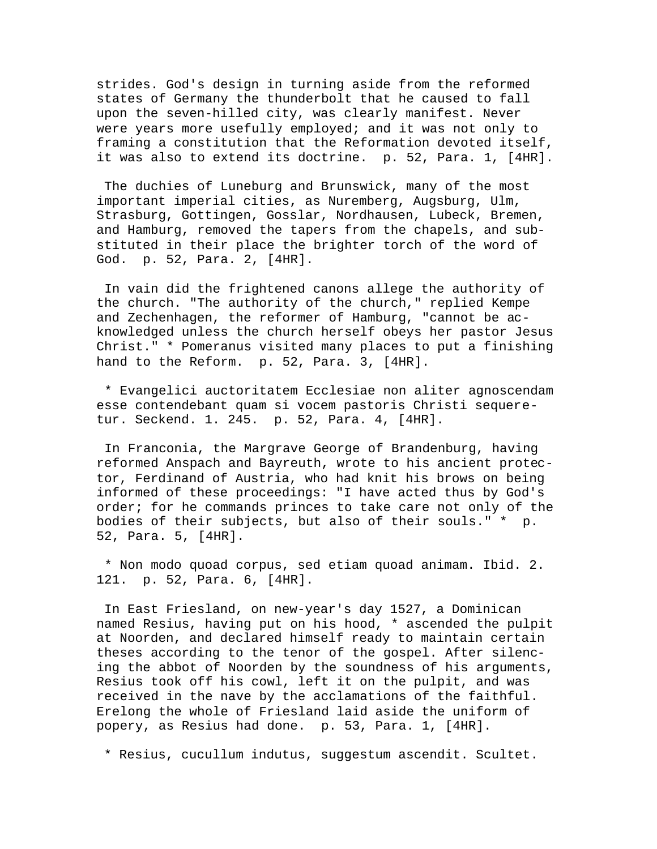strides. God's design in turning aside from the reformed states of Germany the thunderbolt that he caused to fall upon the seven-hilled city, was clearly manifest. Never were years more usefully employed; and it was not only to framing a constitution that the Reformation devoted itself, it was also to extend its doctrine. p. 52, Para. 1, [4HR].

 The duchies of Luneburg and Brunswick, many of the most important imperial cities, as Nuremberg, Augsburg, Ulm, Strasburg, Gottingen, Gosslar, Nordhausen, Lubeck, Bremen, and Hamburg, removed the tapers from the chapels, and substituted in their place the brighter torch of the word of God. p. 52, Para. 2, [4HR].

 In vain did the frightened canons allege the authority of the church. "The authority of the church," replied Kempe and Zechenhagen, the reformer of Hamburg, "cannot be acknowledged unless the church herself obeys her pastor Jesus Christ." \* Pomeranus visited many places to put a finishing hand to the Reform. p. 52, Para. 3, [4HR].

 \* Evangelici auctoritatem Ecclesiae non aliter agnoscendam esse contendebant quam si vocem pastoris Christi sequeretur. Seckend. 1. 245. p. 52, Para. 4, [4HR].

 In Franconia, the Margrave George of Brandenburg, having reformed Anspach and Bayreuth, wrote to his ancient protector, Ferdinand of Austria, who had knit his brows on being informed of these proceedings: "I have acted thus by God's order; for he commands princes to take care not only of the bodies of their subjects, but also of their souls." \* p. 52, Para. 5, [4HR].

 \* Non modo quoad corpus, sed etiam quoad animam. Ibid. 2. 121. p. 52, Para. 6, [4HR].

 In East Friesland, on new-year's day 1527, a Dominican named Resius, having put on his hood, \* ascended the pulpit at Noorden, and declared himself ready to maintain certain theses according to the tenor of the gospel. After silencing the abbot of Noorden by the soundness of his arguments, Resius took off his cowl, left it on the pulpit, and was received in the nave by the acclamations of the faithful. Erelong the whole of Friesland laid aside the uniform of popery, as Resius had done. p. 53, Para. 1, [4HR].

\* Resius, cucullum indutus, suggestum ascendit. Scultet.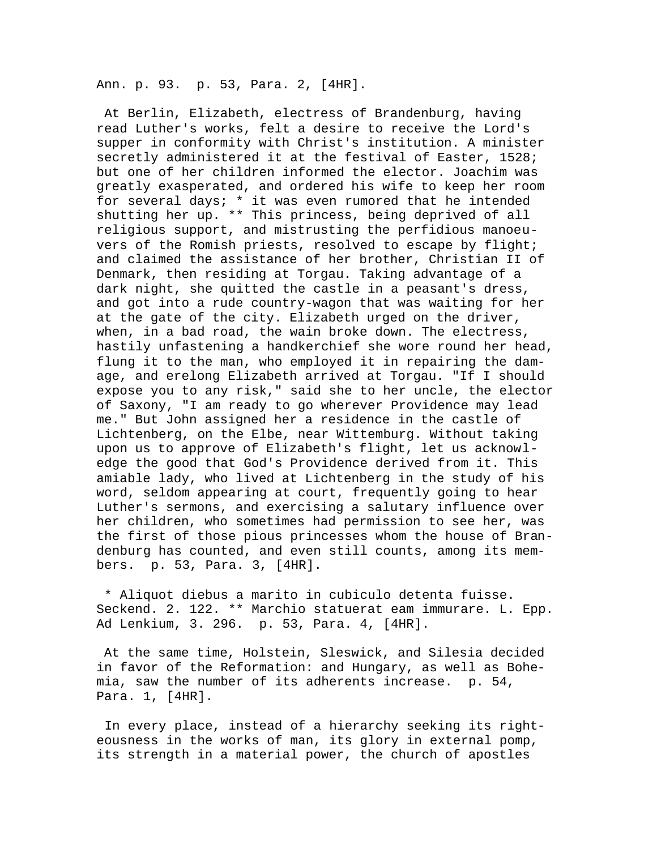Ann. p. 93. p. 53, Para. 2, [4HR].

 At Berlin, Elizabeth, electress of Brandenburg, having read Luther's works, felt a desire to receive the Lord's supper in conformity with Christ's institution. A minister secretly administered it at the festival of Easter, 1528; but one of her children informed the elector. Joachim was greatly exasperated, and ordered his wife to keep her room for several days; \* it was even rumored that he intended shutting her up. \*\* This princess, being deprived of all religious support, and mistrusting the perfidious manoeuvers of the Romish priests, resolved to escape by flight; and claimed the assistance of her brother, Christian II of Denmark, then residing at Torgau. Taking advantage of a dark night, she quitted the castle in a peasant's dress, and got into a rude country-wagon that was waiting for her at the gate of the city. Elizabeth urged on the driver, when, in a bad road, the wain broke down. The electress, hastily unfastening a handkerchief she wore round her head, flung it to the man, who employed it in repairing the damage, and erelong Elizabeth arrived at Torgau. "If I should expose you to any risk," said she to her uncle, the elector of Saxony, "I am ready to go wherever Providence may lead me." But John assigned her a residence in the castle of Lichtenberg, on the Elbe, near Wittemburg. Without taking upon us to approve of Elizabeth's flight, let us acknowledge the good that God's Providence derived from it. This amiable lady, who lived at Lichtenberg in the study of his word, seldom appearing at court, frequently going to hear Luther's sermons, and exercising a salutary influence over her children, who sometimes had permission to see her, was the first of those pious princesses whom the house of Brandenburg has counted, and even still counts, among its members. p. 53, Para. 3, [4HR].

 \* Aliquot diebus a marito in cubiculo detenta fuisse. Seckend. 2. 122. \*\* Marchio statuerat eam immurare. L. Epp. Ad Lenkium, 3. 296. p. 53, Para. 4, [4HR].

 At the same time, Holstein, Sleswick, and Silesia decided in favor of the Reformation: and Hungary, as well as Bohemia, saw the number of its adherents increase. p. 54, Para. 1, [4HR].

 In every place, instead of a hierarchy seeking its righteousness in the works of man, its glory in external pomp, its strength in a material power, the church of apostles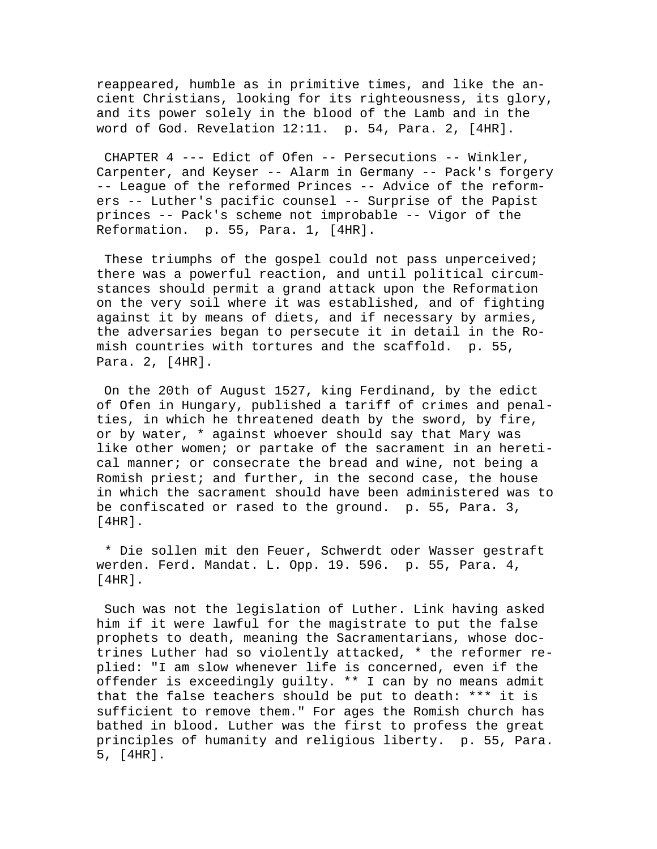reappeared, humble as in primitive times, and like the ancient Christians, looking for its righteousness, its glory, and its power solely in the blood of the Lamb and in the word of God. Revelation 12:11. p. 54, Para. 2, [4HR].

 CHAPTER 4 --- Edict of Ofen -- Persecutions -- Winkler, Carpenter, and Keyser -- Alarm in Germany -- Pack's forgery -- League of the reformed Princes -- Advice of the reformers -- Luther's pacific counsel -- Surprise of the Papist princes -- Pack's scheme not improbable -- Vigor of the Reformation. p. 55, Para. 1, [4HR].

These triumphs of the gospel could not pass unperceived; there was a powerful reaction, and until political circumstances should permit a grand attack upon the Reformation on the very soil where it was established, and of fighting against it by means of diets, and if necessary by armies, the adversaries began to persecute it in detail in the Romish countries with tortures and the scaffold. p. 55, Para. 2, [4HR].

 On the 20th of August 1527, king Ferdinand, by the edict of Ofen in Hungary, published a tariff of crimes and penalties, in which he threatened death by the sword, by fire, or by water, \* against whoever should say that Mary was like other women; or partake of the sacrament in an heretical manner; or consecrate the bread and wine, not being a Romish priest; and further, in the second case, the house in which the sacrament should have been administered was to be confiscated or rased to the ground. p. 55, Para. 3, [4HR].

 \* Die sollen mit den Feuer, Schwerdt oder Wasser gestraft werden. Ferd. Mandat. L. Opp. 19. 596. p. 55, Para. 4, [4HR].

 Such was not the legislation of Luther. Link having asked him if it were lawful for the magistrate to put the false prophets to death, meaning the Sacramentarians, whose doctrines Luther had so violently attacked, \* the reformer replied: "I am slow whenever life is concerned, even if the offender is exceedingly guilty. \*\* I can by no means admit that the false teachers should be put to death: \*\*\* it is sufficient to remove them." For ages the Romish church has bathed in blood. Luther was the first to profess the great principles of humanity and religious liberty. p. 55, Para. 5, [4HR].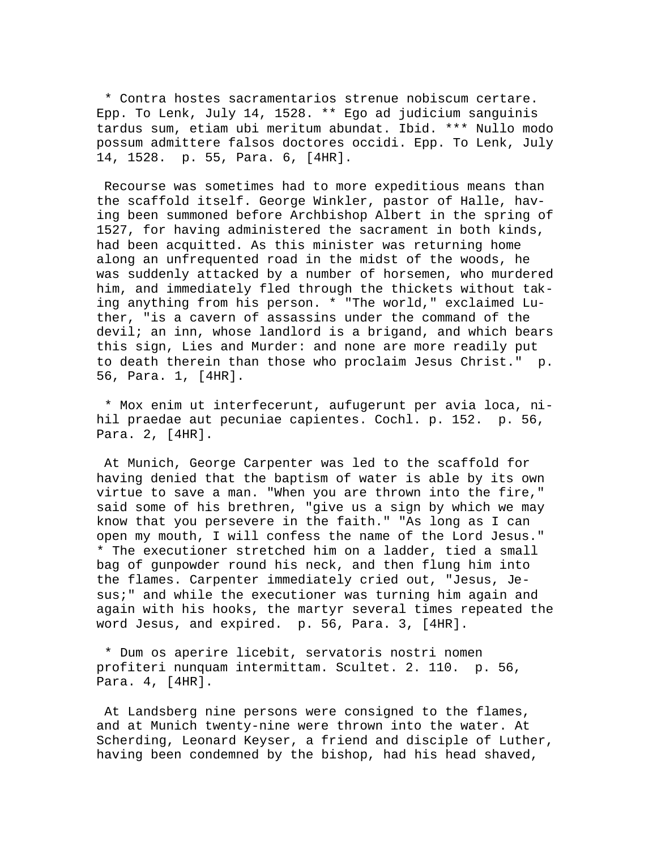\* Contra hostes sacramentarios strenue nobiscum certare. Epp. To Lenk, July 14, 1528. \*\* Ego ad judicium sanguinis tardus sum, etiam ubi meritum abundat. Ibid. \*\*\* Nullo modo possum admittere falsos doctores occidi. Epp. To Lenk, July 14, 1528. p. 55, Para. 6, [4HR].

 Recourse was sometimes had to more expeditious means than the scaffold itself. George Winkler, pastor of Halle, having been summoned before Archbishop Albert in the spring of 1527, for having administered the sacrament in both kinds, had been acquitted. As this minister was returning home along an unfrequented road in the midst of the woods, he was suddenly attacked by a number of horsemen, who murdered him, and immediately fled through the thickets without taking anything from his person. \* "The world," exclaimed Luther, "is a cavern of assassins under the command of the devil; an inn, whose landlord is a brigand, and which bears this sign, Lies and Murder: and none are more readily put to death therein than those who proclaim Jesus Christ." p. 56, Para. 1, [4HR].

 \* Mox enim ut interfecerunt, aufugerunt per avia loca, nihil praedae aut pecuniae capientes. Cochl. p. 152. p. 56, Para. 2, [4HR].

 At Munich, George Carpenter was led to the scaffold for having denied that the baptism of water is able by its own virtue to save a man. "When you are thrown into the fire," said some of his brethren, "give us a sign by which we may know that you persevere in the faith." "As long as I can open my mouth, I will confess the name of the Lord Jesus." \* The executioner stretched him on a ladder, tied a small bag of gunpowder round his neck, and then flung him into the flames. Carpenter immediately cried out, "Jesus, Jesus;" and while the executioner was turning him again and again with his hooks, the martyr several times repeated the word Jesus, and expired. p. 56, Para. 3, [4HR].

 \* Dum os aperire licebit, servatoris nostri nomen profiteri nunquam intermittam. Scultet. 2. 110. p. 56, Para. 4, [4HR].

 At Landsberg nine persons were consigned to the flames, and at Munich twenty-nine were thrown into the water. At Scherding, Leonard Keyser, a friend and disciple of Luther, having been condemned by the bishop, had his head shaved,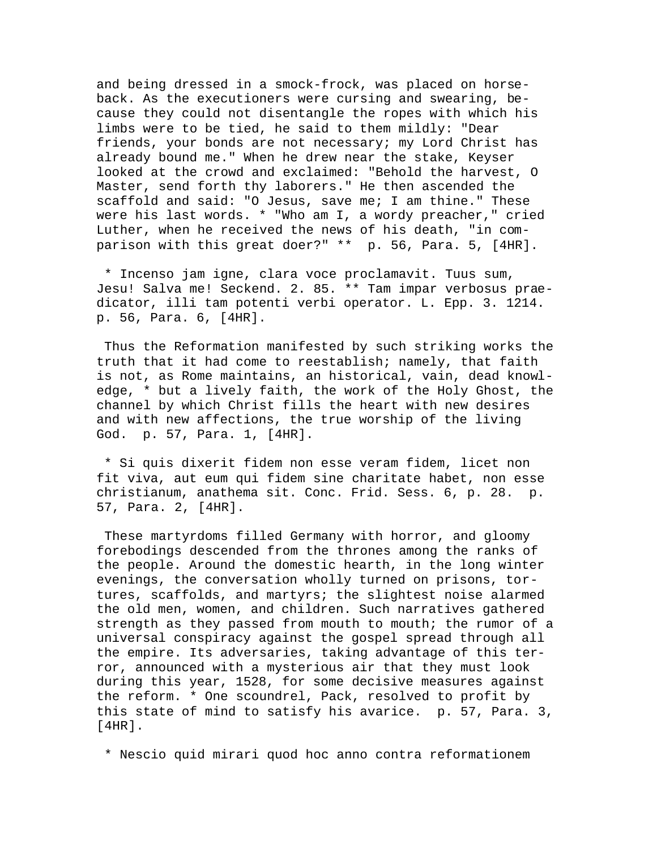and being dressed in a smock-frock, was placed on horseback. As the executioners were cursing and swearing, because they could not disentangle the ropes with which his limbs were to be tied, he said to them mildly: "Dear friends, your bonds are not necessary; my Lord Christ has already bound me." When he drew near the stake, Keyser looked at the crowd and exclaimed: "Behold the harvest, O Master, send forth thy laborers." He then ascended the scaffold and said: "O Jesus, save me; I am thine." These were his last words. \* "Who am I, a wordy preacher," cried Luther, when he received the news of his death, "in comparison with this great doer?" \*\* p. 56, Para. 5, [4HR].

 \* Incenso jam igne, clara voce proclamavit. Tuus sum, Jesu! Salva me! Seckend. 2. 85. \*\* Tam impar verbosus praedicator, illi tam potenti verbi operator. L. Epp. 3. 1214. p. 56, Para. 6, [4HR].

 Thus the Reformation manifested by such striking works the truth that it had come to reestablish; namely, that faith is not, as Rome maintains, an historical, vain, dead knowledge, \* but a lively faith, the work of the Holy Ghost, the channel by which Christ fills the heart with new desires and with new affections, the true worship of the living God. p. 57, Para. 1, [4HR].

 \* Si quis dixerit fidem non esse veram fidem, licet non fit viva, aut eum qui fidem sine charitate habet, non esse christianum, anathema sit. Conc. Frid. Sess. 6, p. 28. p. 57, Para. 2, [4HR].

 These martyrdoms filled Germany with horror, and gloomy forebodings descended from the thrones among the ranks of the people. Around the domestic hearth, in the long winter evenings, the conversation wholly turned on prisons, tortures, scaffolds, and martyrs; the slightest noise alarmed the old men, women, and children. Such narratives gathered strength as they passed from mouth to mouth; the rumor of a universal conspiracy against the gospel spread through all the empire. Its adversaries, taking advantage of this terror, announced with a mysterious air that they must look during this year, 1528, for some decisive measures against the reform. \* One scoundrel, Pack, resolved to profit by this state of mind to satisfy his avarice. p. 57, Para. 3, [4HR].

\* Nescio quid mirari quod hoc anno contra reformationem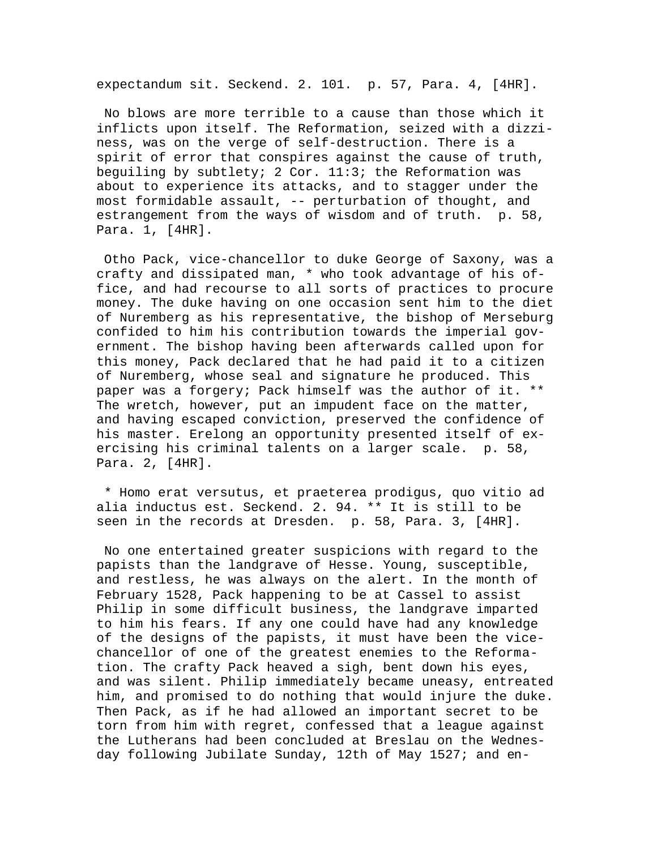expectandum sit. Seckend. 2. 101. p. 57, Para. 4, [4HR].

 No blows are more terrible to a cause than those which it inflicts upon itself. The Reformation, seized with a dizziness, was on the verge of self-destruction. There is a spirit of error that conspires against the cause of truth, beguiling by subtlety; 2 Cor. 11:3; the Reformation was about to experience its attacks, and to stagger under the most formidable assault, -- perturbation of thought, and estrangement from the ways of wisdom and of truth. p. 58, Para. 1, [4HR].

 Otho Pack, vice-chancellor to duke George of Saxony, was a crafty and dissipated man, \* who took advantage of his office, and had recourse to all sorts of practices to procure money. The duke having on one occasion sent him to the diet of Nuremberg as his representative, the bishop of Merseburg confided to him his contribution towards the imperial government. The bishop having been afterwards called upon for this money, Pack declared that he had paid it to a citizen of Nuremberg, whose seal and signature he produced. This paper was a forgery; Pack himself was the author of it. \*\* The wretch, however, put an impudent face on the matter, and having escaped conviction, preserved the confidence of his master. Erelong an opportunity presented itself of exercising his criminal talents on a larger scale. p. 58, Para. 2, [4HR].

 \* Homo erat versutus, et praeterea prodigus, quo vitio ad alia inductus est. Seckend. 2. 94. \*\* It is still to be seen in the records at Dresden. p. 58, Para. 3, [4HR].

 No one entertained greater suspicions with regard to the papists than the landgrave of Hesse. Young, susceptible, and restless, he was always on the alert. In the month of February 1528, Pack happening to be at Cassel to assist Philip in some difficult business, the landgrave imparted to him his fears. If any one could have had any knowledge of the designs of the papists, it must have been the vicechancellor of one of the greatest enemies to the Reformation. The crafty Pack heaved a sigh, bent down his eyes, and was silent. Philip immediately became uneasy, entreated him, and promised to do nothing that would injure the duke. Then Pack, as if he had allowed an important secret to be torn from him with regret, confessed that a league against the Lutherans had been concluded at Breslau on the Wednesday following Jubilate Sunday, 12th of May 1527; and en-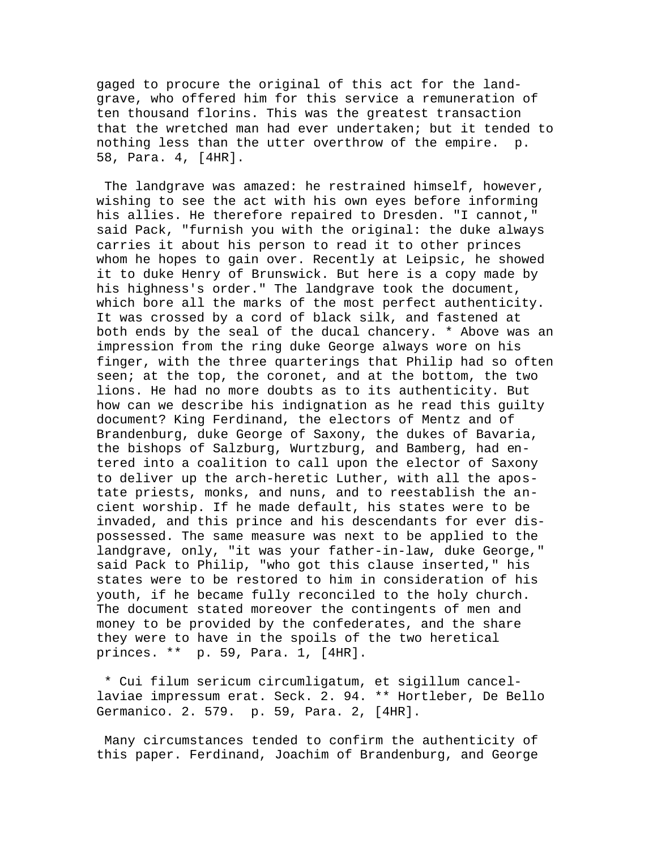gaged to procure the original of this act for the landgrave, who offered him for this service a remuneration of ten thousand florins. This was the greatest transaction that the wretched man had ever undertaken; but it tended to nothing less than the utter overthrow of the empire. p. 58, Para. 4, [4HR].

 The landgrave was amazed: he restrained himself, however, wishing to see the act with his own eyes before informing his allies. He therefore repaired to Dresden. "I cannot," said Pack, "furnish you with the original: the duke always carries it about his person to read it to other princes whom he hopes to gain over. Recently at Leipsic, he showed it to duke Henry of Brunswick. But here is a copy made by his highness's order." The landgrave took the document, which bore all the marks of the most perfect authenticity. It was crossed by a cord of black silk, and fastened at both ends by the seal of the ducal chancery. \* Above was an impression from the ring duke George always wore on his finger, with the three quarterings that Philip had so often seen; at the top, the coronet, and at the bottom, the two lions. He had no more doubts as to its authenticity. But how can we describe his indignation as he read this guilty document? King Ferdinand, the electors of Mentz and of Brandenburg, duke George of Saxony, the dukes of Bavaria, the bishops of Salzburg, Wurtzburg, and Bamberg, had entered into a coalition to call upon the elector of Saxony to deliver up the arch-heretic Luther, with all the apostate priests, monks, and nuns, and to reestablish the ancient worship. If he made default, his states were to be invaded, and this prince and his descendants for ever dispossessed. The same measure was next to be applied to the landgrave, only, "it was your father-in-law, duke George," said Pack to Philip, "who got this clause inserted," his states were to be restored to him in consideration of his youth, if he became fully reconciled to the holy church. The document stated moreover the contingents of men and money to be provided by the confederates, and the share they were to have in the spoils of the two heretical princes. \*\* p. 59, Para. 1, [4HR].

 \* Cui filum sericum circumligatum, et sigillum cancellaviae impressum erat. Seck. 2. 94. \*\* Hortleber, De Bello Germanico. 2. 579. p. 59, Para. 2, [4HR].

 Many circumstances tended to confirm the authenticity of this paper. Ferdinand, Joachim of Brandenburg, and George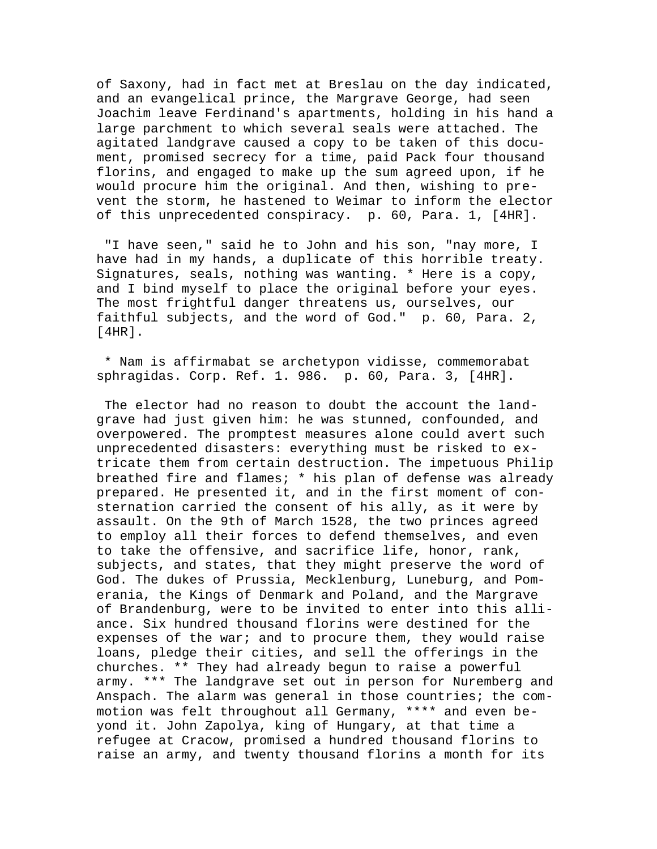of Saxony, had in fact met at Breslau on the day indicated, and an evangelical prince, the Margrave George, had seen Joachim leave Ferdinand's apartments, holding in his hand a large parchment to which several seals were attached. The agitated landgrave caused a copy to be taken of this document, promised secrecy for a time, paid Pack four thousand florins, and engaged to make up the sum agreed upon, if he would procure him the original. And then, wishing to prevent the storm, he hastened to Weimar to inform the elector of this unprecedented conspiracy. p. 60, Para. 1, [4HR].

 "I have seen," said he to John and his son, "nay more, I have had in my hands, a duplicate of this horrible treaty. Signatures, seals, nothing was wanting. \* Here is a copy, and I bind myself to place the original before your eyes. The most frightful danger threatens us, ourselves, our faithful subjects, and the word of God." p. 60, Para. 2, [4HR].

 \* Nam is affirmabat se archetypon vidisse, commemorabat sphragidas. Corp. Ref. 1. 986. p. 60, Para. 3, [4HR].

 The elector had no reason to doubt the account the landgrave had just given him: he was stunned, confounded, and overpowered. The promptest measures alone could avert such unprecedented disasters: everything must be risked to extricate them from certain destruction. The impetuous Philip breathed fire and flames; \* his plan of defense was already prepared. He presented it, and in the first moment of consternation carried the consent of his ally, as it were by assault. On the 9th of March 1528, the two princes agreed to employ all their forces to defend themselves, and even to take the offensive, and sacrifice life, honor, rank, subjects, and states, that they might preserve the word of God. The dukes of Prussia, Mecklenburg, Luneburg, and Pomerania, the Kings of Denmark and Poland, and the Margrave of Brandenburg, were to be invited to enter into this alliance. Six hundred thousand florins were destined for the expenses of the war; and to procure them, they would raise loans, pledge their cities, and sell the offerings in the churches. \*\* They had already begun to raise a powerful army. \*\*\* The landgrave set out in person for Nuremberg and Anspach. The alarm was general in those countries; the commotion was felt throughout all Germany, \*\*\*\* and even beyond it. John Zapolya, king of Hungary, at that time a refugee at Cracow, promised a hundred thousand florins to raise an army, and twenty thousand florins a month for its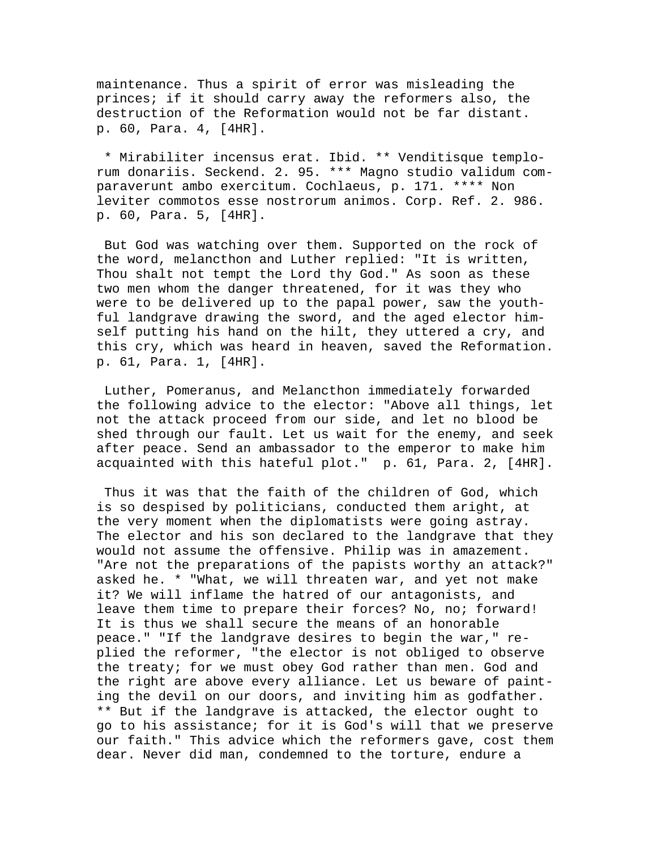maintenance. Thus a spirit of error was misleading the princes; if it should carry away the reformers also, the destruction of the Reformation would not be far distant. p. 60, Para. 4, [4HR].

 \* Mirabiliter incensus erat. Ibid. \*\* Venditisque templorum donariis. Seckend. 2. 95. \*\*\* Magno studio validum comparaverunt ambo exercitum. Cochlaeus, p. 171. \*\*\*\* Non leviter commotos esse nostrorum animos. Corp. Ref. 2. 986. p. 60, Para. 5, [4HR].

 But God was watching over them. Supported on the rock of the word, melancthon and Luther replied: "It is written, Thou shalt not tempt the Lord thy God." As soon as these two men whom the danger threatened, for it was they who were to be delivered up to the papal power, saw the youthful landgrave drawing the sword, and the aged elector himself putting his hand on the hilt, they uttered a cry, and this cry, which was heard in heaven, saved the Reformation. p. 61, Para. 1, [4HR].

 Luther, Pomeranus, and Melancthon immediately forwarded the following advice to the elector: "Above all things, let not the attack proceed from our side, and let no blood be shed through our fault. Let us wait for the enemy, and seek after peace. Send an ambassador to the emperor to make him acquainted with this hateful plot." p. 61, Para. 2, [4HR].

 Thus it was that the faith of the children of God, which is so despised by politicians, conducted them aright, at the very moment when the diplomatists were going astray. The elector and his son declared to the landgrave that they would not assume the offensive. Philip was in amazement. "Are not the preparations of the papists worthy an attack?" asked he. \* "What, we will threaten war, and yet not make it? We will inflame the hatred of our antagonists, and leave them time to prepare their forces? No, no; forward! It is thus we shall secure the means of an honorable peace." "If the landgrave desires to begin the war," replied the reformer, "the elector is not obliged to observe the treaty; for we must obey God rather than men. God and the right are above every alliance. Let us beware of painting the devil on our doors, and inviting him as godfather. \*\* But if the landgrave is attacked, the elector ought to go to his assistance; for it is God's will that we preserve our faith." This advice which the reformers gave, cost them dear. Never did man, condemned to the torture, endure a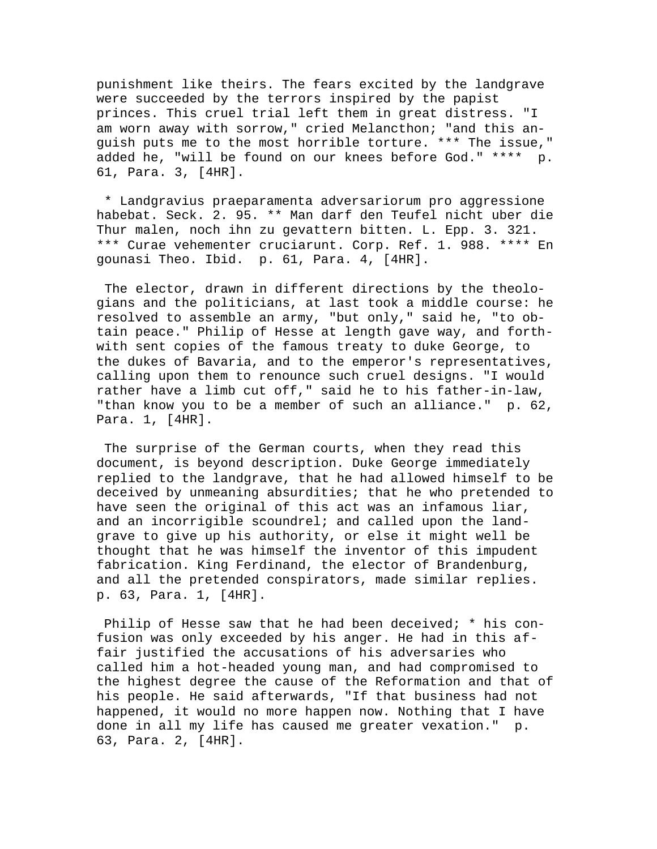punishment like theirs. The fears excited by the landgrave were succeeded by the terrors inspired by the papist princes. This cruel trial left them in great distress. "I am worn away with sorrow," cried Melancthon; "and this anguish puts me to the most horrible torture. \*\*\* The issue," added he, "will be found on our knees before God." \*\*\*\* p. 61, Para. 3, [4HR].

 \* Landgravius praeparamenta adversariorum pro aggressione habebat. Seck. 2. 95. \*\* Man darf den Teufel nicht uber die Thur malen, noch ihn zu gevattern bitten. L. Epp. 3. 321. \*\*\* Curae vehementer cruciarunt. Corp. Ref. 1. 988. \*\*\*\* En gounasi Theo. Ibid. p. 61, Para. 4, [4HR].

 The elector, drawn in different directions by the theologians and the politicians, at last took a middle course: he resolved to assemble an army, "but only," said he, "to obtain peace." Philip of Hesse at length gave way, and forthwith sent copies of the famous treaty to duke George, to the dukes of Bavaria, and to the emperor's representatives, calling upon them to renounce such cruel designs. "I would rather have a limb cut off," said he to his father-in-law, "than know you to be a member of such an alliance." p. 62, Para. 1, [4HR].

 The surprise of the German courts, when they read this document, is beyond description. Duke George immediately replied to the landgrave, that he had allowed himself to be deceived by unmeaning absurdities; that he who pretended to have seen the original of this act was an infamous liar, and an incorrigible scoundrel; and called upon the landgrave to give up his authority, or else it might well be thought that he was himself the inventor of this impudent fabrication. King Ferdinand, the elector of Brandenburg, and all the pretended conspirators, made similar replies. p. 63, Para. 1, [4HR].

 Philip of Hesse saw that he had been deceived; \* his confusion was only exceeded by his anger. He had in this affair justified the accusations of his adversaries who called him a hot-headed young man, and had compromised to the highest degree the cause of the Reformation and that of his people. He said afterwards, "If that business had not happened, it would no more happen now. Nothing that I have done in all my life has caused me greater vexation." p. 63, Para. 2, [4HR].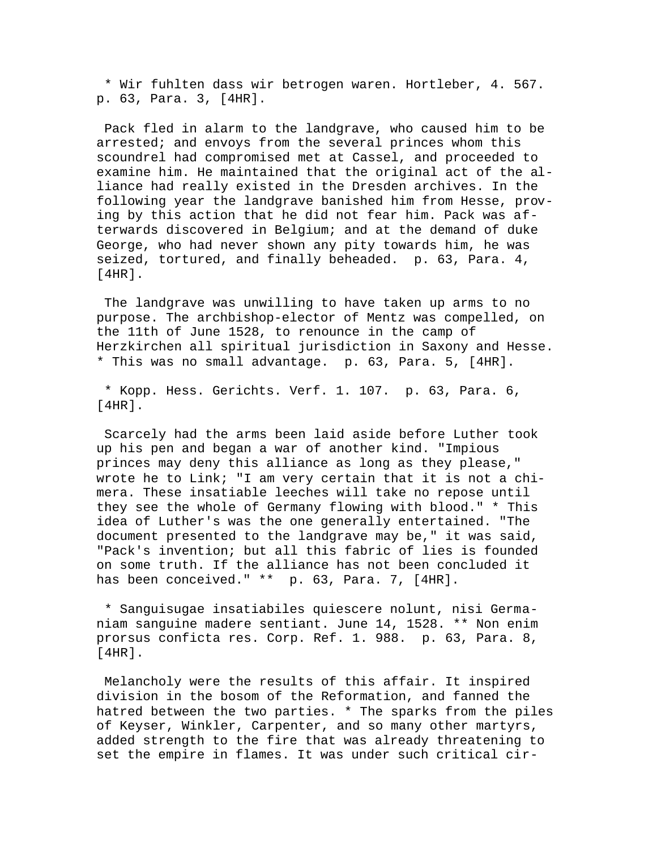\* Wir fuhlten dass wir betrogen waren. Hortleber, 4. 567. p. 63, Para. 3, [4HR].

 Pack fled in alarm to the landgrave, who caused him to be arrested; and envoys from the several princes whom this scoundrel had compromised met at Cassel, and proceeded to examine him. He maintained that the original act of the alliance had really existed in the Dresden archives. In the following year the landgrave banished him from Hesse, proving by this action that he did not fear him. Pack was afterwards discovered in Belgium; and at the demand of duke George, who had never shown any pity towards him, he was seized, tortured, and finally beheaded. p. 63, Para. 4,  $[4HR]$ .

 The landgrave was unwilling to have taken up arms to no purpose. The archbishop-elector of Mentz was compelled, on the 11th of June 1528, to renounce in the camp of Herzkirchen all spiritual jurisdiction in Saxony and Hesse. \* This was no small advantage. p. 63, Para. 5, [4HR].

 \* Kopp. Hess. Gerichts. Verf. 1. 107. p. 63, Para. 6, [4HR].

 Scarcely had the arms been laid aside before Luther took up his pen and began a war of another kind. "Impious princes may deny this alliance as long as they please," wrote he to Link; "I am very certain that it is not a chimera. These insatiable leeches will take no repose until they see the whole of Germany flowing with blood." \* This idea of Luther's was the one generally entertained. "The document presented to the landgrave may be," it was said, "Pack's invention; but all this fabric of lies is founded on some truth. If the alliance has not been concluded it has been conceived." \*\* p. 63, Para. 7, [4HR].

 \* Sanguisugae insatiabiles quiescere nolunt, nisi Germaniam sanguine madere sentiant. June 14, 1528. \*\* Non enim prorsus conficta res. Corp. Ref. 1. 988. p. 63, Para. 8, [4HR].

 Melancholy were the results of this affair. It inspired division in the bosom of the Reformation, and fanned the hatred between the two parties. \* The sparks from the piles of Keyser, Winkler, Carpenter, and so many other martyrs, added strength to the fire that was already threatening to set the empire in flames. It was under such critical cir-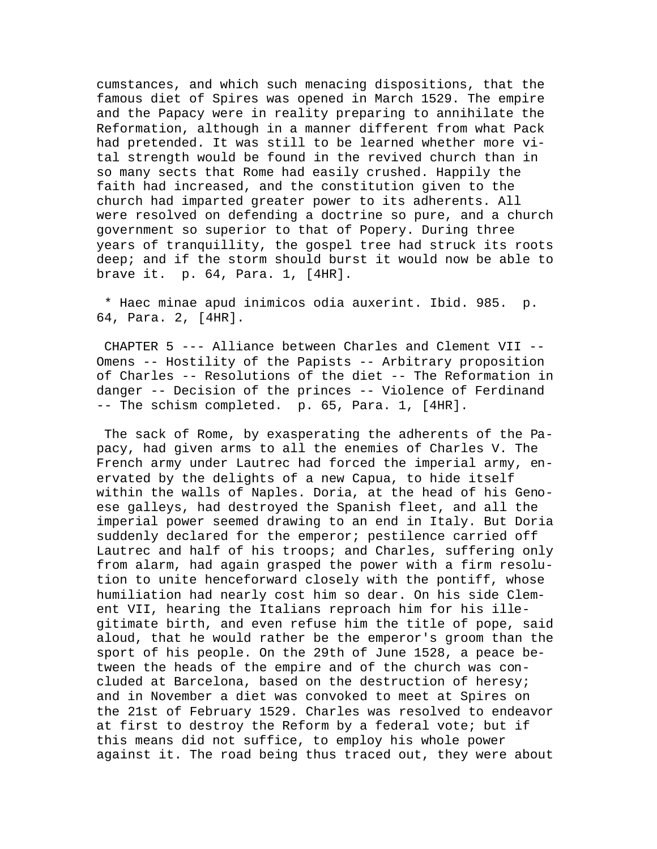cumstances, and which such menacing dispositions, that the famous diet of Spires was opened in March 1529. The empire and the Papacy were in reality preparing to annihilate the Reformation, although in a manner different from what Pack had pretended. It was still to be learned whether more vital strength would be found in the revived church than in so many sects that Rome had easily crushed. Happily the faith had increased, and the constitution given to the church had imparted greater power to its adherents. All were resolved on defending a doctrine so pure, and a church government so superior to that of Popery. During three years of tranquillity, the gospel tree had struck its roots deep; and if the storm should burst it would now be able to brave it. p. 64, Para. 1, [4HR].

 \* Haec minae apud inimicos odia auxerint. Ibid. 985. p. 64, Para. 2, [4HR].

 CHAPTER 5 --- Alliance between Charles and Clement VII -- Omens -- Hostility of the Papists -- Arbitrary proposition of Charles -- Resolutions of the diet -- The Reformation in danger -- Decision of the princes -- Violence of Ferdinand -- The schism completed. p. 65, Para. 1, [4HR].

 The sack of Rome, by exasperating the adherents of the Papacy, had given arms to all the enemies of Charles V. The French army under Lautrec had forced the imperial army, enervated by the delights of a new Capua, to hide itself within the walls of Naples. Doria, at the head of his Genoese galleys, had destroyed the Spanish fleet, and all the imperial power seemed drawing to an end in Italy. But Doria suddenly declared for the emperor; pestilence carried off Lautrec and half of his troops; and Charles, suffering only from alarm, had again grasped the power with a firm resolution to unite henceforward closely with the pontiff, whose humiliation had nearly cost him so dear. On his side Clement VII, hearing the Italians reproach him for his illegitimate birth, and even refuse him the title of pope, said aloud, that he would rather be the emperor's groom than the sport of his people. On the 29th of June 1528, a peace between the heads of the empire and of the church was concluded at Barcelona, based on the destruction of heresy; and in November a diet was convoked to meet at Spires on the 21st of February 1529. Charles was resolved to endeavor at first to destroy the Reform by a federal vote; but if this means did not suffice, to employ his whole power against it. The road being thus traced out, they were about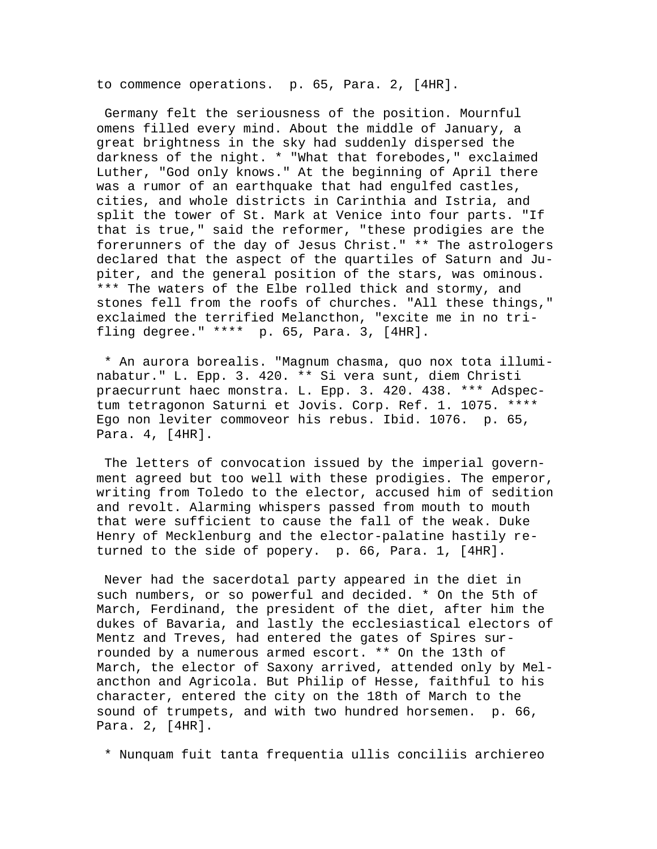to commence operations. p. 65, Para. 2, [4HR].

 Germany felt the seriousness of the position. Mournful omens filled every mind. About the middle of January, a great brightness in the sky had suddenly dispersed the darkness of the night. \* "What that forebodes," exclaimed Luther, "God only knows." At the beginning of April there was a rumor of an earthquake that had engulfed castles, cities, and whole districts in Carinthia and Istria, and split the tower of St. Mark at Venice into four parts. "If that is true," said the reformer, "these prodigies are the forerunners of the day of Jesus Christ." \*\* The astrologers declared that the aspect of the quartiles of Saturn and Jupiter, and the general position of the stars, was ominous. \*\*\* The waters of the Elbe rolled thick and stormy, and stones fell from the roofs of churches. "All these things," exclaimed the terrified Melancthon, "excite me in no trifling degree." \*\*\*\* p. 65, Para. 3, [4HR].

 \* An aurora borealis. "Magnum chasma, quo nox tota illuminabatur." L. Epp. 3. 420. \*\* Si vera sunt, diem Christi praecurrunt haec monstra. L. Epp. 3. 420. 438. \*\*\* Adspectum tetragonon Saturni et Jovis. Corp. Ref. 1. 1075. \*\*\*\* Ego non leviter commoveor his rebus. Ibid. 1076. p. 65, Para. 4, [4HR].

 The letters of convocation issued by the imperial government agreed but too well with these prodigies. The emperor, writing from Toledo to the elector, accused him of sedition and revolt. Alarming whispers passed from mouth to mouth that were sufficient to cause the fall of the weak. Duke Henry of Mecklenburg and the elector-palatine hastily returned to the side of popery. p. 66, Para. 1, [4HR].

 Never had the sacerdotal party appeared in the diet in such numbers, or so powerful and decided. \* On the 5th of March, Ferdinand, the president of the diet, after him the dukes of Bavaria, and lastly the ecclesiastical electors of Mentz and Treves, had entered the gates of Spires surrounded by a numerous armed escort. \*\* On the 13th of March, the elector of Saxony arrived, attended only by Melancthon and Agricola. But Philip of Hesse, faithful to his character, entered the city on the 18th of March to the sound of trumpets, and with two hundred horsemen. p. 66, Para. 2, [4HR].

\* Nunquam fuit tanta frequentia ullis conciliis archiereo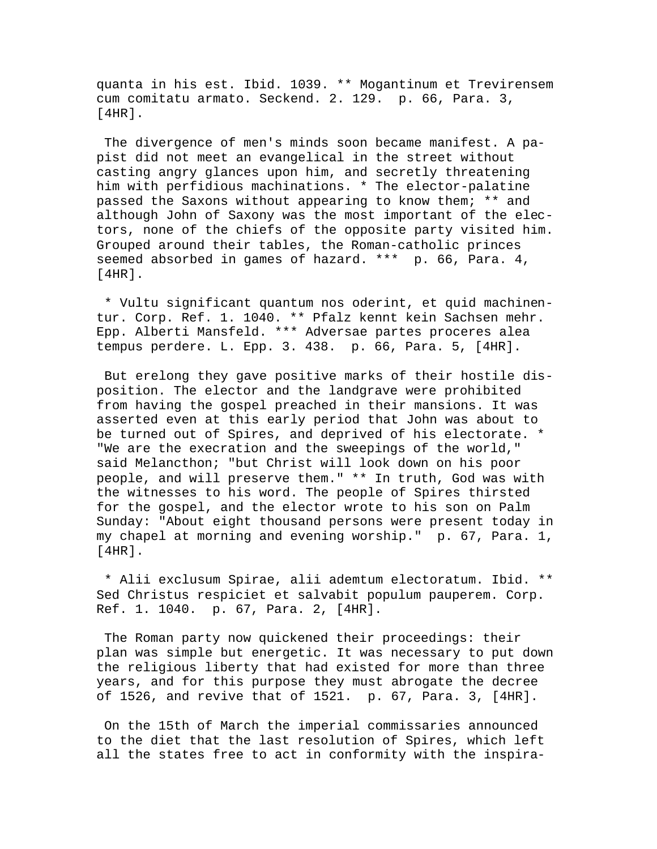quanta in his est. Ibid. 1039. \*\* Mogantinum et Trevirensem cum comitatu armato. Seckend. 2. 129. p. 66, Para. 3, [4HR].

 The divergence of men's minds soon became manifest. A papist did not meet an evangelical in the street without casting angry glances upon him, and secretly threatening him with perfidious machinations. \* The elector-palatine passed the Saxons without appearing to know them; \*\* and although John of Saxony was the most important of the electors, none of the chiefs of the opposite party visited him. Grouped around their tables, the Roman-catholic princes seemed absorbed in games of hazard. \*\*\* p. 66, Para. 4,  $[4HR]$ .

 \* Vultu significant quantum nos oderint, et quid machinentur. Corp. Ref. 1. 1040. \*\* Pfalz kennt kein Sachsen mehr. Epp. Alberti Mansfeld. \*\*\* Adversae partes proceres alea tempus perdere. L. Epp. 3. 438. p. 66, Para. 5, [4HR].

 But erelong they gave positive marks of their hostile disposition. The elector and the landgrave were prohibited from having the gospel preached in their mansions. It was asserted even at this early period that John was about to be turned out of Spires, and deprived of his electorate. \* "We are the execration and the sweepings of the world," said Melancthon; "but Christ will look down on his poor people, and will preserve them." \*\* In truth, God was with the witnesses to his word. The people of Spires thirsted for the gospel, and the elector wrote to his son on Palm Sunday: "About eight thousand persons were present today in my chapel at morning and evening worship." p. 67, Para. 1, [4HR].

 \* Alii exclusum Spirae, alii ademtum electoratum. Ibid. \*\* Sed Christus respiciet et salvabit populum pauperem. Corp. Ref. 1. 1040. p. 67, Para. 2, [4HR].

 The Roman party now quickened their proceedings: their plan was simple but energetic. It was necessary to put down the religious liberty that had existed for more than three years, and for this purpose they must abrogate the decree of 1526, and revive that of 1521. p. 67, Para. 3, [4HR].

 On the 15th of March the imperial commissaries announced to the diet that the last resolution of Spires, which left all the states free to act in conformity with the inspira-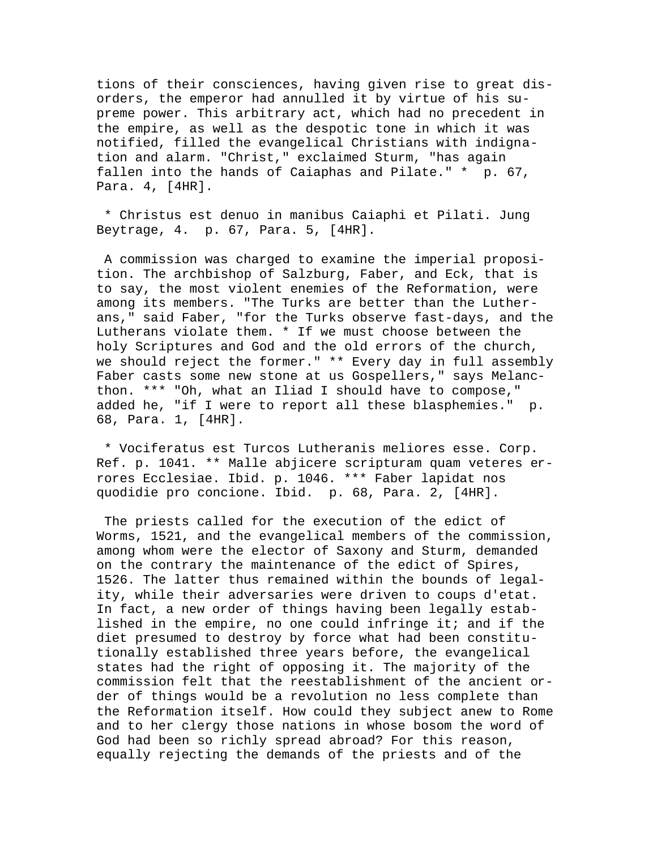tions of their consciences, having given rise to great disorders, the emperor had annulled it by virtue of his supreme power. This arbitrary act, which had no precedent in the empire, as well as the despotic tone in which it was notified, filled the evangelical Christians with indignation and alarm. "Christ," exclaimed Sturm, "has again fallen into the hands of Caiaphas and Pilate." \* p. 67, Para. 4, [4HR].

 \* Christus est denuo in manibus Caiaphi et Pilati. Jung Beytrage, 4. p. 67, Para. 5, [4HR].

 A commission was charged to examine the imperial proposition. The archbishop of Salzburg, Faber, and Eck, that is to say, the most violent enemies of the Reformation, were among its members. "The Turks are better than the Lutherans," said Faber, "for the Turks observe fast-days, and the Lutherans violate them. \* If we must choose between the holy Scriptures and God and the old errors of the church, we should reject the former." \*\* Every day in full assembly Faber casts some new stone at us Gospellers," says Melancthon. \*\*\* "Oh, what an Iliad I should have to compose," added he, "if I were to report all these blasphemies." p. 68, Para. 1, [4HR].

 \* Vociferatus est Turcos Lutheranis meliores esse. Corp. Ref. p. 1041. \*\* Malle abjicere scripturam quam veteres errores Ecclesiae. Ibid. p. 1046. \*\*\* Faber lapidat nos quodidie pro concione. Ibid. p. 68, Para. 2, [4HR].

 The priests called for the execution of the edict of Worms, 1521, and the evangelical members of the commission, among whom were the elector of Saxony and Sturm, demanded on the contrary the maintenance of the edict of Spires, 1526. The latter thus remained within the bounds of legality, while their adversaries were driven to coups d'etat. In fact, a new order of things having been legally established in the empire, no one could infringe it; and if the diet presumed to destroy by force what had been constitutionally established three years before, the evangelical states had the right of opposing it. The majority of the commission felt that the reestablishment of the ancient order of things would be a revolution no less complete than the Reformation itself. How could they subject anew to Rome and to her clergy those nations in whose bosom the word of God had been so richly spread abroad? For this reason, equally rejecting the demands of the priests and of the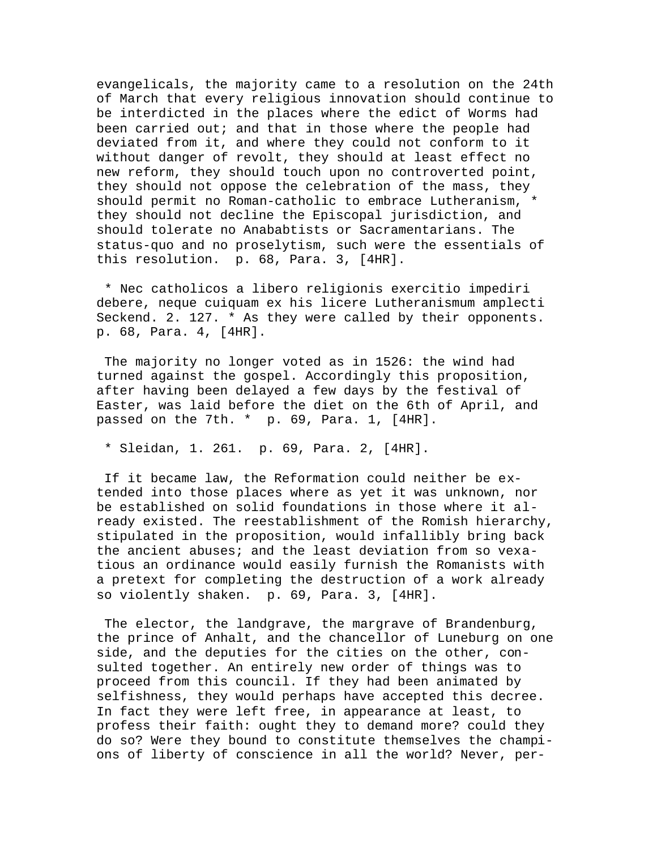evangelicals, the majority came to a resolution on the 24th of March that every religious innovation should continue to be interdicted in the places where the edict of Worms had been carried out; and that in those where the people had deviated from it, and where they could not conform to it without danger of revolt, they should at least effect no new reform, they should touch upon no controverted point, they should not oppose the celebration of the mass, they should permit no Roman-catholic to embrace Lutheranism, \* they should not decline the Episcopal jurisdiction, and should tolerate no Anababtists or Sacramentarians. The status-quo and no proselytism, such were the essentials of this resolution. p. 68, Para. 3, [4HR].

 \* Nec catholicos a libero religionis exercitio impediri debere, neque cuiquam ex his licere Lutheranismum amplecti Seckend. 2. 127. \* As they were called by their opponents. p. 68, Para. 4, [4HR].

 The majority no longer voted as in 1526: the wind had turned against the gospel. Accordingly this proposition, after having been delayed a few days by the festival of Easter, was laid before the diet on the 6th of April, and passed on the 7th. \* p. 69, Para. 1, [4HR].

\* Sleidan, 1. 261. p. 69, Para. 2, [4HR].

 If it became law, the Reformation could neither be extended into those places where as yet it was unknown, nor be established on solid foundations in those where it already existed. The reestablishment of the Romish hierarchy, stipulated in the proposition, would infallibly bring back the ancient abuses; and the least deviation from so vexatious an ordinance would easily furnish the Romanists with a pretext for completing the destruction of a work already so violently shaken. p. 69, Para. 3, [4HR].

 The elector, the landgrave, the margrave of Brandenburg, the prince of Anhalt, and the chancellor of Luneburg on one side, and the deputies for the cities on the other, consulted together. An entirely new order of things was to proceed from this council. If they had been animated by selfishness, they would perhaps have accepted this decree. In fact they were left free, in appearance at least, to profess their faith: ought they to demand more? could they do so? Were they bound to constitute themselves the champions of liberty of conscience in all the world? Never, per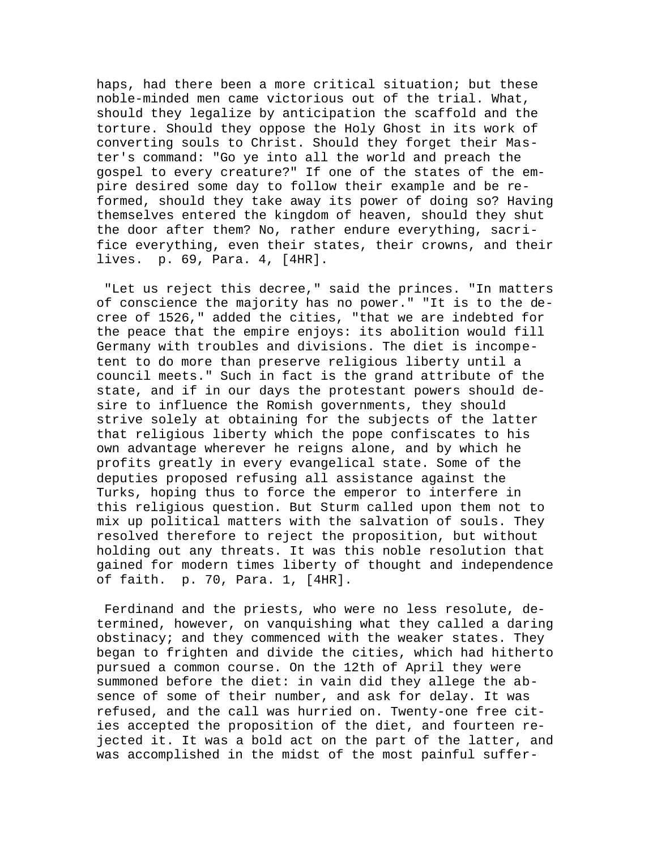haps, had there been a more critical situation; but these noble-minded men came victorious out of the trial. What, should they legalize by anticipation the scaffold and the torture. Should they oppose the Holy Ghost in its work of converting souls to Christ. Should they forget their Master's command: "Go ye into all the world and preach the gospel to every creature?" If one of the states of the empire desired some day to follow their example and be reformed, should they take away its power of doing so? Having themselves entered the kingdom of heaven, should they shut the door after them? No, rather endure everything, sacrifice everything, even their states, their crowns, and their lives. p. 69, Para. 4, [4HR].

 "Let us reject this decree," said the princes. "In matters of conscience the majority has no power." "It is to the decree of 1526," added the cities, "that we are indebted for the peace that the empire enjoys: its abolition would fill Germany with troubles and divisions. The diet is incompetent to do more than preserve religious liberty until a council meets." Such in fact is the grand attribute of the state, and if in our days the protestant powers should desire to influence the Romish governments, they should strive solely at obtaining for the subjects of the latter that religious liberty which the pope confiscates to his own advantage wherever he reigns alone, and by which he profits greatly in every evangelical state. Some of the deputies proposed refusing all assistance against the Turks, hoping thus to force the emperor to interfere in this religious question. But Sturm called upon them not to mix up political matters with the salvation of souls. They resolved therefore to reject the proposition, but without holding out any threats. It was this noble resolution that gained for modern times liberty of thought and independence of faith. p. 70, Para. 1, [4HR].

 Ferdinand and the priests, who were no less resolute, determined, however, on vanquishing what they called a daring obstinacy; and they commenced with the weaker states. They began to frighten and divide the cities, which had hitherto pursued a common course. On the 12th of April they were summoned before the diet: in vain did they allege the absence of some of their number, and ask for delay. It was refused, and the call was hurried on. Twenty-one free cities accepted the proposition of the diet, and fourteen rejected it. It was a bold act on the part of the latter, and was accomplished in the midst of the most painful suffer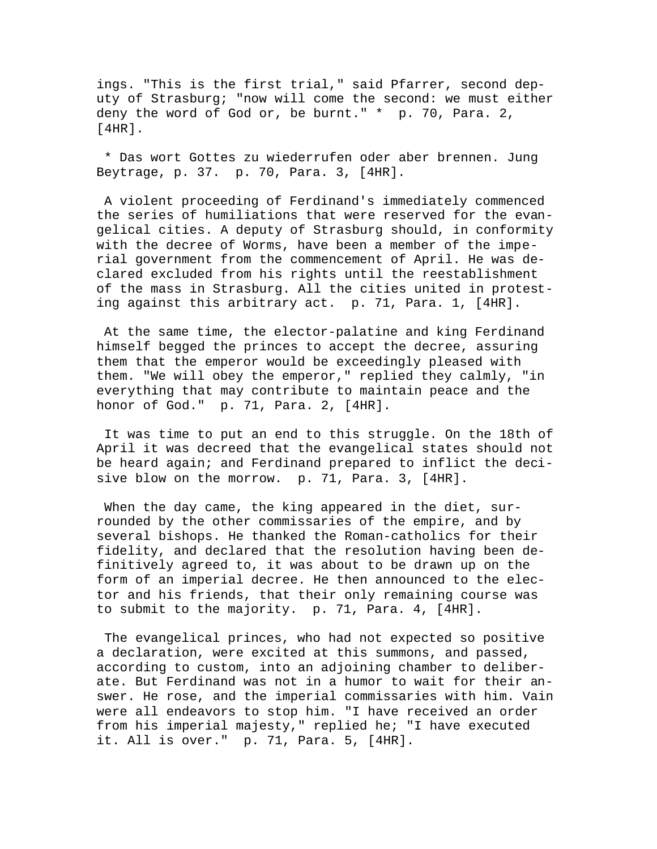ings. "This is the first trial," said Pfarrer, second deputy of Strasburg; "now will come the second: we must either deny the word of God or, be burnt." \* p. 70, Para. 2, [4HR].

 \* Das wort Gottes zu wiederrufen oder aber brennen. Jung Beytrage, p. 37. p. 70, Para. 3, [4HR].

 A violent proceeding of Ferdinand's immediately commenced the series of humiliations that were reserved for the evangelical cities. A deputy of Strasburg should, in conformity with the decree of Worms, have been a member of the imperial government from the commencement of April. He was declared excluded from his rights until the reestablishment of the mass in Strasburg. All the cities united in protesting against this arbitrary act. p. 71, Para. 1, [4HR].

 At the same time, the elector-palatine and king Ferdinand himself begged the princes to accept the decree, assuring them that the emperor would be exceedingly pleased with them. "We will obey the emperor," replied they calmly, "in everything that may contribute to maintain peace and the honor of God." p. 71, Para. 2, [4HR].

 It was time to put an end to this struggle. On the 18th of April it was decreed that the evangelical states should not be heard again; and Ferdinand prepared to inflict the decisive blow on the morrow. p. 71, Para. 3, [4HR].

When the day came, the king appeared in the diet, surrounded by the other commissaries of the empire, and by several bishops. He thanked the Roman-catholics for their fidelity, and declared that the resolution having been definitively agreed to, it was about to be drawn up on the form of an imperial decree. He then announced to the elector and his friends, that their only remaining course was to submit to the majority. p. 71, Para. 4, [4HR].

 The evangelical princes, who had not expected so positive a declaration, were excited at this summons, and passed, according to custom, into an adjoining chamber to deliberate. But Ferdinand was not in a humor to wait for their answer. He rose, and the imperial commissaries with him. Vain were all endeavors to stop him. "I have received an order from his imperial majesty," replied he; "I have executed it. All is over." p. 71, Para. 5, [4HR].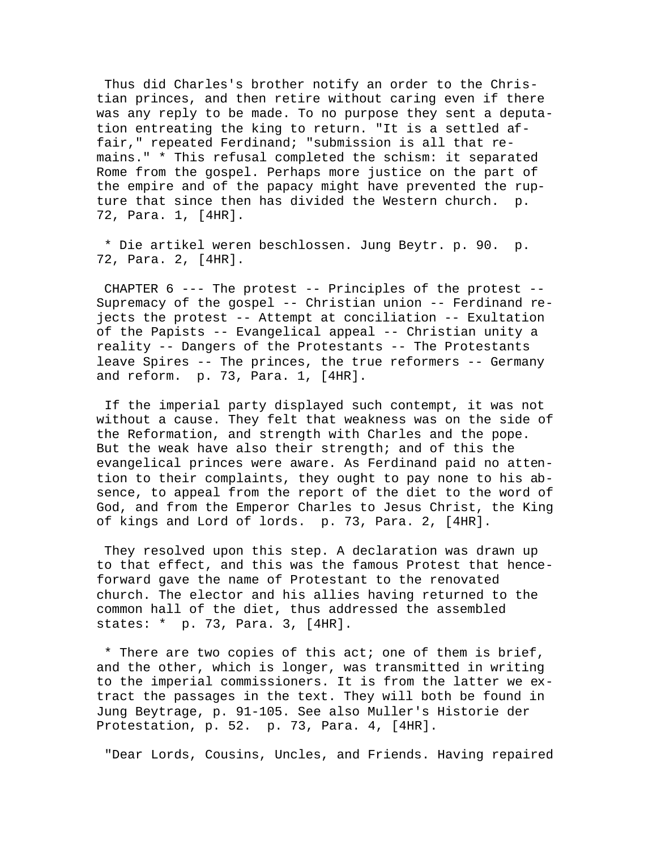Thus did Charles's brother notify an order to the Christian princes, and then retire without caring even if there was any reply to be made. To no purpose they sent a deputation entreating the king to return. "It is a settled affair," repeated Ferdinand; "submission is all that remains." \* This refusal completed the schism: it separated Rome from the gospel. Perhaps more justice on the part of the empire and of the papacy might have prevented the rupture that since then has divided the Western church. p. 72, Para. 1, [4HR].

 \* Die artikel weren beschlossen. Jung Beytr. p. 90. p. 72, Para. 2, [4HR].

 CHAPTER 6 --- The protest -- Principles of the protest -- Supremacy of the gospel -- Christian union -- Ferdinand rejects the protest -- Attempt at conciliation -- Exultation of the Papists -- Evangelical appeal -- Christian unity a reality -- Dangers of the Protestants -- The Protestants leave Spires -- The princes, the true reformers -- Germany and reform. p. 73, Para. 1, [4HR].

 If the imperial party displayed such contempt, it was not without a cause. They felt that weakness was on the side of the Reformation, and strength with Charles and the pope. But the weak have also their strength; and of this the evangelical princes were aware. As Ferdinand paid no attention to their complaints, they ought to pay none to his absence, to appeal from the report of the diet to the word of God, and from the Emperor Charles to Jesus Christ, the King of kings and Lord of lords. p. 73, Para. 2, [4HR].

 They resolved upon this step. A declaration was drawn up to that effect, and this was the famous Protest that henceforward gave the name of Protestant to the renovated church. The elector and his allies having returned to the common hall of the diet, thus addressed the assembled states: \* p. 73, Para. 3, [4HR].

 \* There are two copies of this act; one of them is brief, and the other, which is longer, was transmitted in writing to the imperial commissioners. It is from the latter we extract the passages in the text. They will both be found in Jung Beytrage, p. 91-105. See also Muller's Historie der Protestation, p. 52. p. 73, Para. 4, [4HR].

"Dear Lords, Cousins, Uncles, and Friends. Having repaired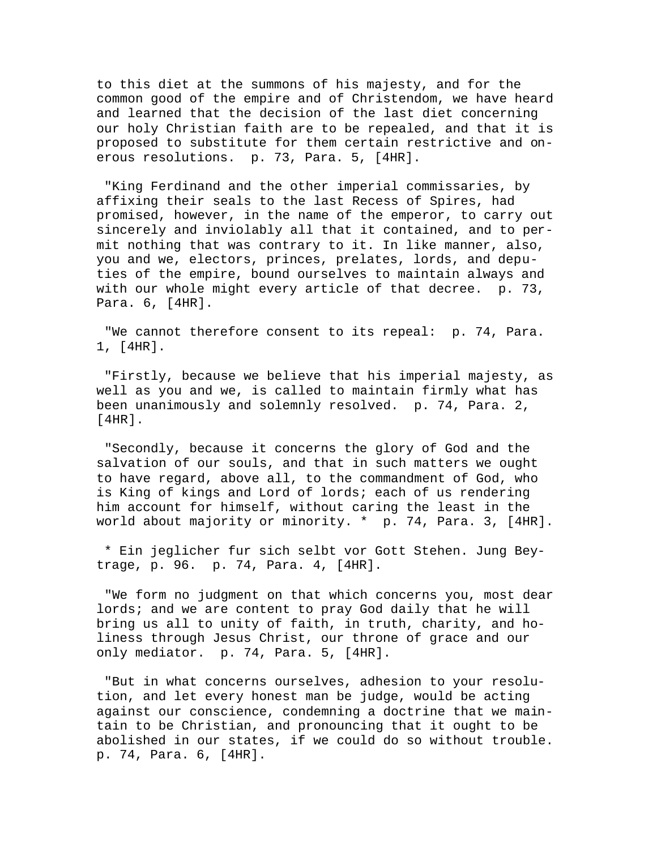to this diet at the summons of his majesty, and for the common good of the empire and of Christendom, we have heard and learned that the decision of the last diet concerning our holy Christian faith are to be repealed, and that it is proposed to substitute for them certain restrictive and onerous resolutions. p. 73, Para. 5, [4HR].

 "King Ferdinand and the other imperial commissaries, by affixing their seals to the last Recess of Spires, had promised, however, in the name of the emperor, to carry out sincerely and inviolably all that it contained, and to permit nothing that was contrary to it. In like manner, also, you and we, electors, princes, prelates, lords, and deputies of the empire, bound ourselves to maintain always and with our whole might every article of that decree. p. 73, Para. 6, [4HR].

 "We cannot therefore consent to its repeal: p. 74, Para. 1, [4HR].

 "Firstly, because we believe that his imperial majesty, as well as you and we, is called to maintain firmly what has been unanimously and solemnly resolved. p. 74, Para. 2, [4HR].

 "Secondly, because it concerns the glory of God and the salvation of our souls, and that in such matters we ought to have regard, above all, to the commandment of God, who is King of kings and Lord of lords; each of us rendering him account for himself, without caring the least in the world about majority or minority. \* p. 74, Para. 3, [4HR].

 \* Ein jeglicher fur sich selbt vor Gott Stehen. Jung Beytrage, p. 96. p. 74, Para. 4, [4HR].

 "We form no judgment on that which concerns you, most dear lords; and we are content to pray God daily that he will bring us all to unity of faith, in truth, charity, and holiness through Jesus Christ, our throne of grace and our only mediator. p. 74, Para. 5, [4HR].

 "But in what concerns ourselves, adhesion to your resolution, and let every honest man be judge, would be acting against our conscience, condemning a doctrine that we maintain to be Christian, and pronouncing that it ought to be abolished in our states, if we could do so without trouble. p. 74, Para. 6, [4HR].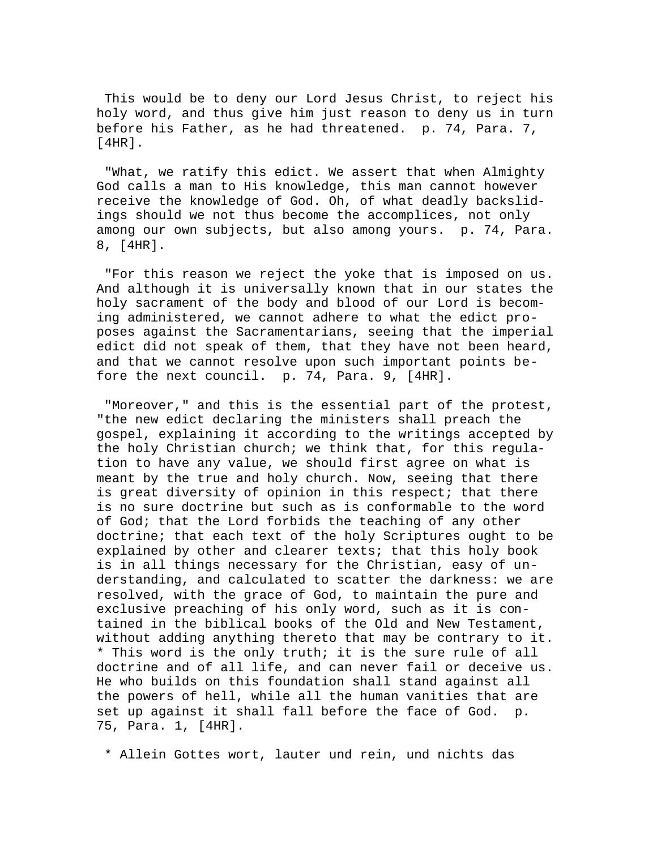This would be to deny our Lord Jesus Christ, to reject his holy word, and thus give him just reason to deny us in turn before his Father, as he had threatened. p. 74, Para. 7, [4HR].

 "What, we ratify this edict. We assert that when Almighty God calls a man to His knowledge, this man cannot however receive the knowledge of God. Oh, of what deadly backslidings should we not thus become the accomplices, not only among our own subjects, but also among yours. p. 74, Para. 8, [4HR].

 "For this reason we reject the yoke that is imposed on us. And although it is universally known that in our states the holy sacrament of the body and blood of our Lord is becoming administered, we cannot adhere to what the edict proposes against the Sacramentarians, seeing that the imperial edict did not speak of them, that they have not been heard, and that we cannot resolve upon such important points before the next council. p. 74, Para. 9, [4HR].

 "Moreover," and this is the essential part of the protest, "the new edict declaring the ministers shall preach the gospel, explaining it according to the writings accepted by the holy Christian church; we think that, for this regulation to have any value, we should first agree on what is meant by the true and holy church. Now, seeing that there is great diversity of opinion in this respect; that there is no sure doctrine but such as is conformable to the word of God; that the Lord forbids the teaching of any other doctrine; that each text of the holy Scriptures ought to be explained by other and clearer texts; that this holy book is in all things necessary for the Christian, easy of understanding, and calculated to scatter the darkness: we are resolved, with the grace of God, to maintain the pure and exclusive preaching of his only word, such as it is contained in the biblical books of the Old and New Testament, without adding anything thereto that may be contrary to it. \* This word is the only truth; it is the sure rule of all doctrine and of all life, and can never fail or deceive us. He who builds on this foundation shall stand against all the powers of hell, while all the human vanities that are set up against it shall fall before the face of God. p. 75, Para. 1, [4HR].

\* Allein Gottes wort, lauter und rein, und nichts das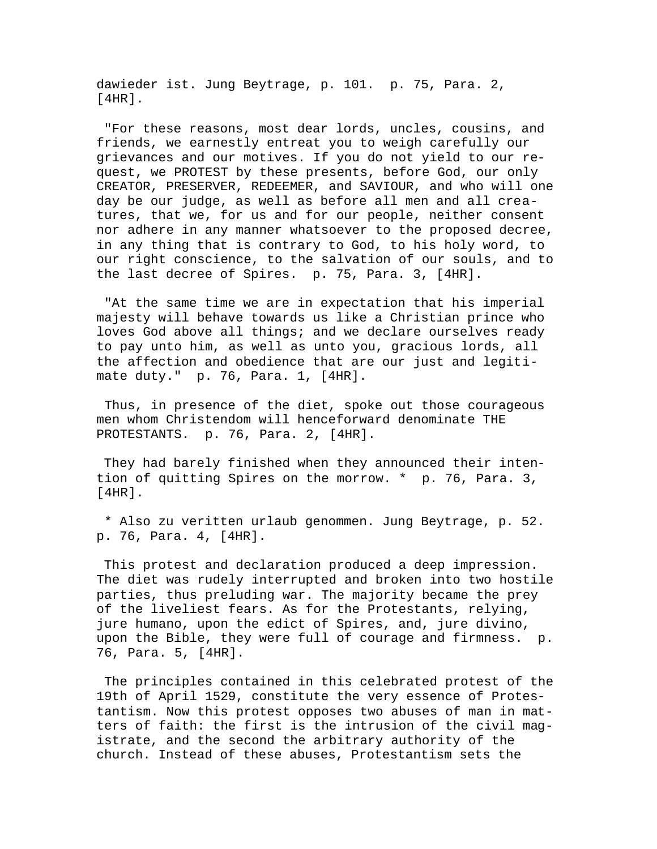dawieder ist. Jung Beytrage, p. 101. p. 75, Para. 2, [4HR].

 "For these reasons, most dear lords, uncles, cousins, and friends, we earnestly entreat you to weigh carefully our grievances and our motives. If you do not yield to our request, we PROTEST by these presents, before God, our only CREATOR, PRESERVER, REDEEMER, and SAVIOUR, and who will one day be our judge, as well as before all men and all creatures, that we, for us and for our people, neither consent nor adhere in any manner whatsoever to the proposed decree, in any thing that is contrary to God, to his holy word, to our right conscience, to the salvation of our souls, and to the last decree of Spires. p. 75, Para. 3, [4HR].

 "At the same time we are in expectation that his imperial majesty will behave towards us like a Christian prince who loves God above all things; and we declare ourselves ready to pay unto him, as well as unto you, gracious lords, all the affection and obedience that are our just and legitimate duty." p. 76, Para. 1, [4HR].

 Thus, in presence of the diet, spoke out those courageous men whom Christendom will henceforward denominate THE PROTESTANTS. p. 76, Para. 2, [4HR].

 They had barely finished when they announced their intention of quitting Spires on the morrow. \* p. 76, Para. 3, [4HR].

 \* Also zu veritten urlaub genommen. Jung Beytrage, p. 52. p. 76, Para. 4, [4HR].

 This protest and declaration produced a deep impression. The diet was rudely interrupted and broken into two hostile parties, thus preluding war. The majority became the prey of the liveliest fears. As for the Protestants, relying, jure humano, upon the edict of Spires, and, jure divino, upon the Bible, they were full of courage and firmness. p. 76, Para. 5, [4HR].

 The principles contained in this celebrated protest of the 19th of April 1529, constitute the very essence of Protestantism. Now this protest opposes two abuses of man in matters of faith: the first is the intrusion of the civil magistrate, and the second the arbitrary authority of the church. Instead of these abuses, Protestantism sets the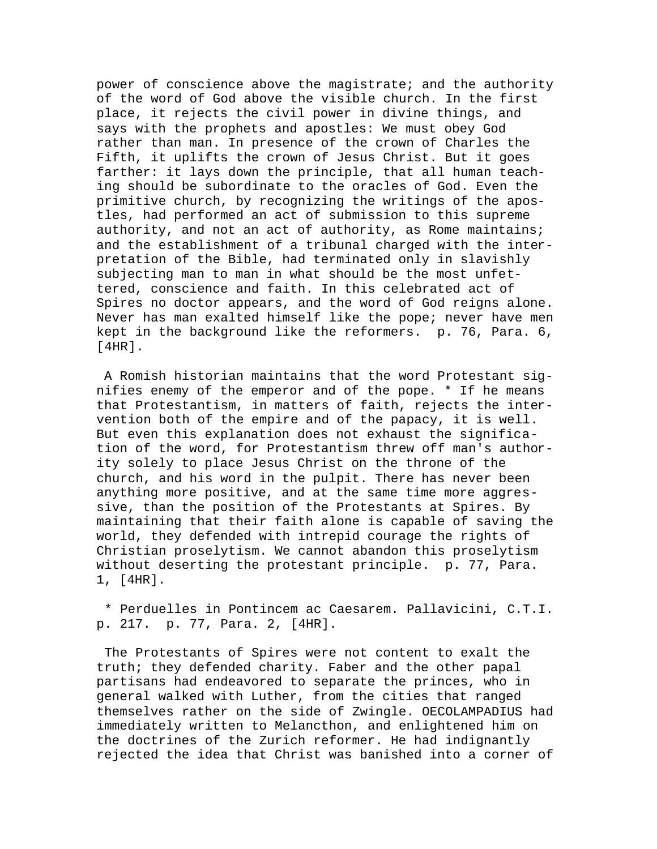power of conscience above the magistrate; and the authority of the word of God above the visible church. In the first place, it rejects the civil power in divine things, and says with the prophets and apostles: We must obey God rather than man. In presence of the crown of Charles the Fifth, it uplifts the crown of Jesus Christ. But it goes farther: it lays down the principle, that all human teaching should be subordinate to the oracles of God. Even the primitive church, by recognizing the writings of the apostles, had performed an act of submission to this supreme authority, and not an act of authority, as Rome maintains; and the establishment of a tribunal charged with the interpretation of the Bible, had terminated only in slavishly subjecting man to man in what should be the most unfettered, conscience and faith. In this celebrated act of Spires no doctor appears, and the word of God reigns alone. Never has man exalted himself like the pope; never have men kept in the background like the reformers. p. 76, Para. 6, [4HR].

 A Romish historian maintains that the word Protestant signifies enemy of the emperor and of the pope. \* If he means that Protestantism, in matters of faith, rejects the intervention both of the empire and of the papacy, it is well. But even this explanation does not exhaust the signification of the word, for Protestantism threw off man's authority solely to place Jesus Christ on the throne of the church, and his word in the pulpit. There has never been anything more positive, and at the same time more aggressive, than the position of the Protestants at Spires. By maintaining that their faith alone is capable of saving the world, they defended with intrepid courage the rights of Christian proselytism. We cannot abandon this proselytism without deserting the protestant principle. p. 77, Para. 1, [4HR].

 \* Perduelles in Pontincem ac Caesarem. Pallavicini, C.T.I. p. 217. p. 77, Para. 2, [4HR].

 The Protestants of Spires were not content to exalt the truth; they defended charity. Faber and the other papal partisans had endeavored to separate the princes, who in general walked with Luther, from the cities that ranged themselves rather on the side of Zwingle. OECOLAMPADIUS had immediately written to Melancthon, and enlightened him on the doctrines of the Zurich reformer. He had indignantly rejected the idea that Christ was banished into a corner of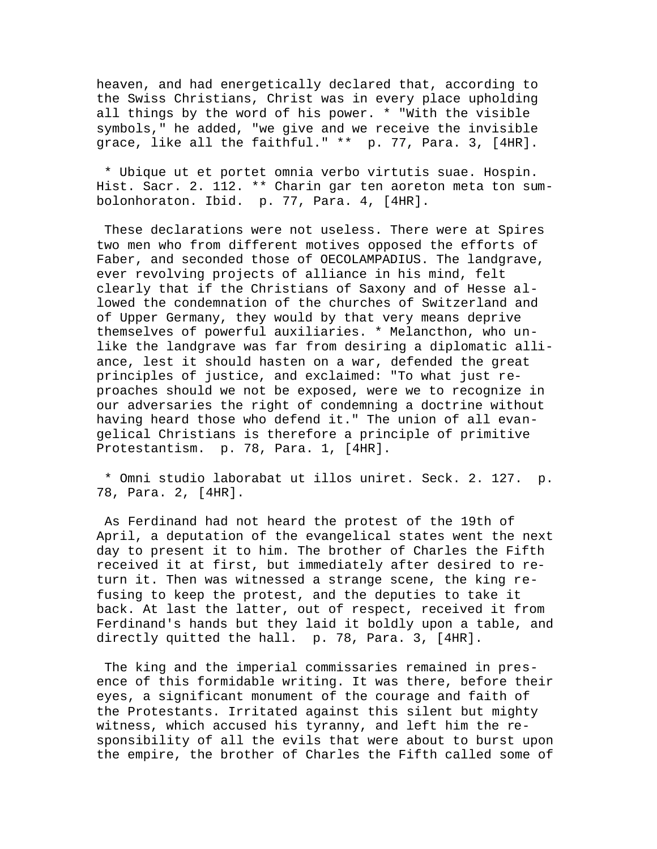heaven, and had energetically declared that, according to the Swiss Christians, Christ was in every place upholding all things by the word of his power. \* "With the visible symbols," he added, "we give and we receive the invisible grace, like all the faithful." \*\* p. 77, Para. 3, [4HR].

 \* Ubique ut et portet omnia verbo virtutis suae. Hospin. Hist. Sacr. 2. 112. \*\* Charin gar ten aoreton meta ton sumbolonhoraton. Ibid. p. 77, Para. 4, [4HR].

 These declarations were not useless. There were at Spires two men who from different motives opposed the efforts of Faber, and seconded those of OECOLAMPADIUS. The landgrave, ever revolving projects of alliance in his mind, felt clearly that if the Christians of Saxony and of Hesse allowed the condemnation of the churches of Switzerland and of Upper Germany, they would by that very means deprive themselves of powerful auxiliaries. \* Melancthon, who unlike the landgrave was far from desiring a diplomatic alliance, lest it should hasten on a war, defended the great principles of justice, and exclaimed: "To what just reproaches should we not be exposed, were we to recognize in our adversaries the right of condemning a doctrine without having heard those who defend it." The union of all evangelical Christians is therefore a principle of primitive Protestantism. p. 78, Para. 1, [4HR].

 \* Omni studio laborabat ut illos uniret. Seck. 2. 127. p. 78, Para. 2, [4HR].

 As Ferdinand had not heard the protest of the 19th of April, a deputation of the evangelical states went the next day to present it to him. The brother of Charles the Fifth received it at first, but immediately after desired to return it. Then was witnessed a strange scene, the king refusing to keep the protest, and the deputies to take it back. At last the latter, out of respect, received it from Ferdinand's hands but they laid it boldly upon a table, and directly quitted the hall. p. 78, Para. 3, [4HR].

 The king and the imperial commissaries remained in presence of this formidable writing. It was there, before their eyes, a significant monument of the courage and faith of the Protestants. Irritated against this silent but mighty witness, which accused his tyranny, and left him the responsibility of all the evils that were about to burst upon the empire, the brother of Charles the Fifth called some of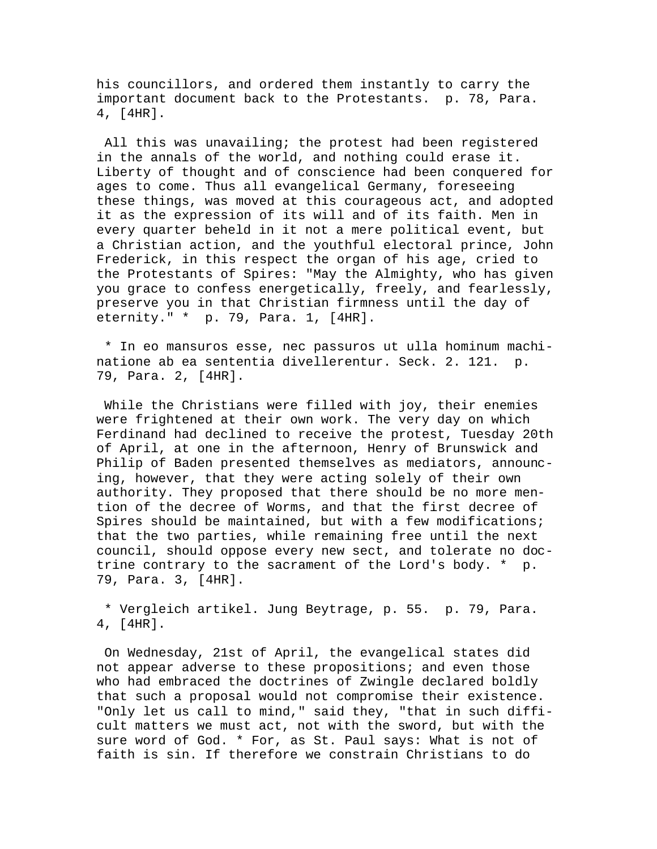his councillors, and ordered them instantly to carry the important document back to the Protestants. p. 78, Para. 4, [4HR].

 All this was unavailing; the protest had been registered in the annals of the world, and nothing could erase it. Liberty of thought and of conscience had been conquered for ages to come. Thus all evangelical Germany, foreseeing these things, was moved at this courageous act, and adopted it as the expression of its will and of its faith. Men in every quarter beheld in it not a mere political event, but a Christian action, and the youthful electoral prince, John Frederick, in this respect the organ of his age, cried to the Protestants of Spires: "May the Almighty, who has given you grace to confess energetically, freely, and fearlessly, preserve you in that Christian firmness until the day of eternity." \* p. 79, Para. 1, [4HR].

 \* In eo mansuros esse, nec passuros ut ulla hominum machinatione ab ea sententia divellerentur. Seck. 2. 121. p. 79, Para. 2, [4HR].

 While the Christians were filled with joy, their enemies were frightened at their own work. The very day on which Ferdinand had declined to receive the protest, Tuesday 20th of April, at one in the afternoon, Henry of Brunswick and Philip of Baden presented themselves as mediators, announcing, however, that they were acting solely of their own authority. They proposed that there should be no more mention of the decree of Worms, and that the first decree of Spires should be maintained, but with a few modifications; that the two parties, while remaining free until the next council, should oppose every new sect, and tolerate no doctrine contrary to the sacrament of the Lord's body. \* p. 79, Para. 3, [4HR].

 \* Vergleich artikel. Jung Beytrage, p. 55. p. 79, Para. 4, [4HR].

 On Wednesday, 21st of April, the evangelical states did not appear adverse to these propositions; and even those who had embraced the doctrines of Zwingle declared boldly that such a proposal would not compromise their existence. "Only let us call to mind," said they, "that in such difficult matters we must act, not with the sword, but with the sure word of God. \* For, as St. Paul says: What is not of faith is sin. If therefore we constrain Christians to do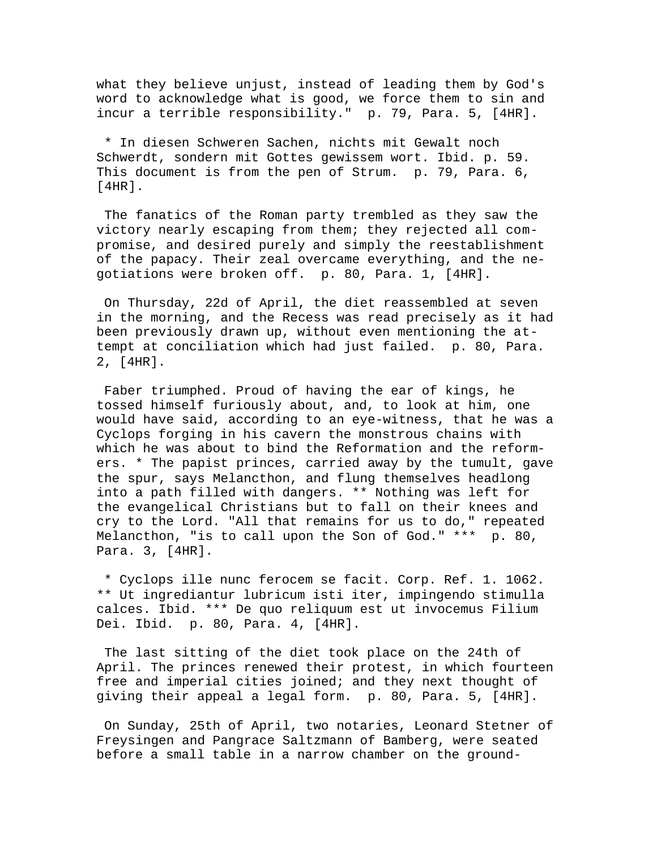what they believe unjust, instead of leading them by God's word to acknowledge what is good, we force them to sin and incur a terrible responsibility." p. 79, Para. 5, [4HR].

 \* In diesen Schweren Sachen, nichts mit Gewalt noch Schwerdt, sondern mit Gottes gewissem wort. Ibid. p. 59. This document is from the pen of Strum. p. 79, Para. 6, [4HR].

 The fanatics of the Roman party trembled as they saw the victory nearly escaping from them; they rejected all compromise, and desired purely and simply the reestablishment of the papacy. Their zeal overcame everything, and the negotiations were broken off. p. 80, Para. 1, [4HR].

 On Thursday, 22d of April, the diet reassembled at seven in the morning, and the Recess was read precisely as it had been previously drawn up, without even mentioning the attempt at conciliation which had just failed. p. 80, Para. 2, [4HR].

 Faber triumphed. Proud of having the ear of kings, he tossed himself furiously about, and, to look at him, one would have said, according to an eye-witness, that he was a Cyclops forging in his cavern the monstrous chains with which he was about to bind the Reformation and the reformers. \* The papist princes, carried away by the tumult, gave the spur, says Melancthon, and flung themselves headlong into a path filled with dangers. \*\* Nothing was left for the evangelical Christians but to fall on their knees and cry to the Lord. "All that remains for us to do," repeated Melancthon, "is to call upon the Son of God." \*\*\* p. 80, Para. 3, [4HR].

 \* Cyclops ille nunc ferocem se facit. Corp. Ref. 1. 1062. \*\* Ut ingrediantur lubricum isti iter, impingendo stimulla calces. Ibid. \*\*\* De quo reliquum est ut invocemus Filium Dei. Ibid. p. 80, Para. 4, [4HR].

 The last sitting of the diet took place on the 24th of April. The princes renewed their protest, in which fourteen free and imperial cities joined; and they next thought of giving their appeal a legal form. p. 80, Para. 5, [4HR].

 On Sunday, 25th of April, two notaries, Leonard Stetner of Freysingen and Pangrace Saltzmann of Bamberg, were seated before a small table in a narrow chamber on the ground-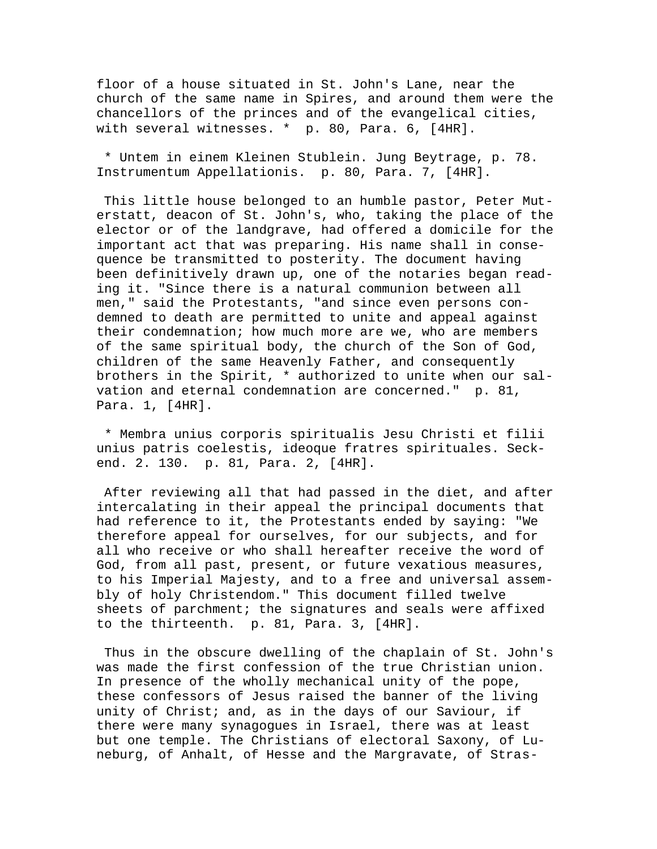floor of a house situated in St. John's Lane, near the church of the same name in Spires, and around them were the chancellors of the princes and of the evangelical cities, with several witnesses. \* p. 80, Para. 6, [4HR].

 \* Untem in einem Kleinen Stublein. Jung Beytrage, p. 78. Instrumentum Appellationis. p. 80, Para. 7, [4HR].

 This little house belonged to an humble pastor, Peter Muterstatt, deacon of St. John's, who, taking the place of the elector or of the landgrave, had offered a domicile for the important act that was preparing. His name shall in consequence be transmitted to posterity. The document having been definitively drawn up, one of the notaries began reading it. "Since there is a natural communion between all men," said the Protestants, "and since even persons condemned to death are permitted to unite and appeal against their condemnation; how much more are we, who are members of the same spiritual body, the church of the Son of God, children of the same Heavenly Father, and consequently brothers in the Spirit, \* authorized to unite when our salvation and eternal condemnation are concerned." p. 81, Para. 1, [4HR].

 \* Membra unius corporis spiritualis Jesu Christi et filii unius patris coelestis, ideoque fratres spirituales. Seckend. 2. 130. p. 81, Para. 2, [4HR].

 After reviewing all that had passed in the diet, and after intercalating in their appeal the principal documents that had reference to it, the Protestants ended by saying: "We therefore appeal for ourselves, for our subjects, and for all who receive or who shall hereafter receive the word of God, from all past, present, or future vexatious measures, to his Imperial Majesty, and to a free and universal assembly of holy Christendom." This document filled twelve sheets of parchment; the signatures and seals were affixed to the thirteenth. p. 81, Para. 3, [4HR].

 Thus in the obscure dwelling of the chaplain of St. John's was made the first confession of the true Christian union. In presence of the wholly mechanical unity of the pope, these confessors of Jesus raised the banner of the living unity of Christ; and, as in the days of our Saviour, if there were many synagogues in Israel, there was at least but one temple. The Christians of electoral Saxony, of Luneburg, of Anhalt, of Hesse and the Margravate, of Stras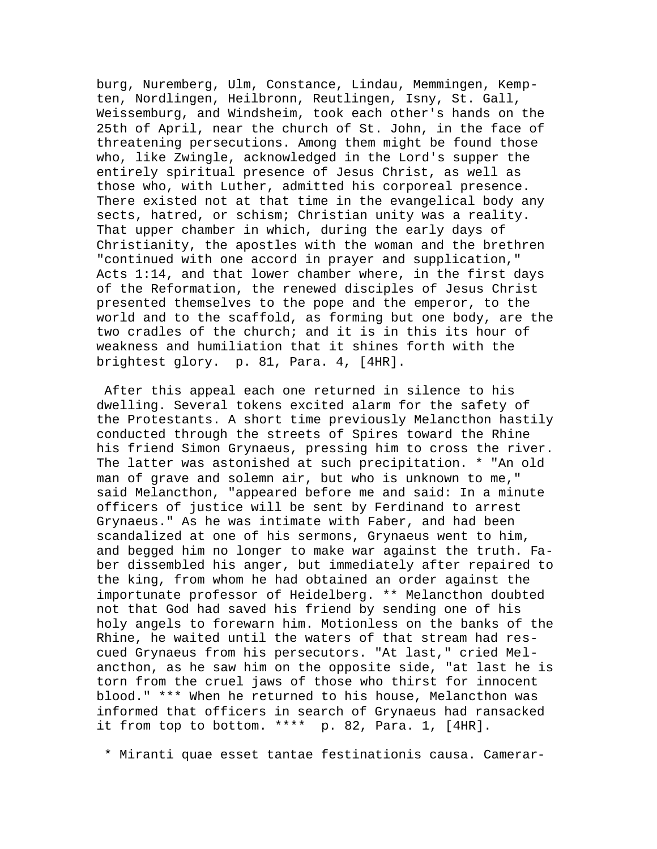burg, Nuremberg, Ulm, Constance, Lindau, Memmingen, Kempten, Nordlingen, Heilbronn, Reutlingen, Isny, St. Gall, Weissemburg, and Windsheim, took each other's hands on the 25th of April, near the church of St. John, in the face of threatening persecutions. Among them might be found those who, like Zwingle, acknowledged in the Lord's supper the entirely spiritual presence of Jesus Christ, as well as those who, with Luther, admitted his corporeal presence. There existed not at that time in the evangelical body any sects, hatred, or schism; Christian unity was a reality. That upper chamber in which, during the early days of Christianity, the apostles with the woman and the brethren "continued with one accord in prayer and supplication," Acts 1:14, and that lower chamber where, in the first days of the Reformation, the renewed disciples of Jesus Christ presented themselves to the pope and the emperor, to the world and to the scaffold, as forming but one body, are the two cradles of the church; and it is in this its hour of weakness and humiliation that it shines forth with the brightest glory. p. 81, Para. 4, [4HR].

 After this appeal each one returned in silence to his dwelling. Several tokens excited alarm for the safety of the Protestants. A short time previously Melancthon hastily conducted through the streets of Spires toward the Rhine his friend Simon Grynaeus, pressing him to cross the river. The latter was astonished at such precipitation. \* "An old man of grave and solemn air, but who is unknown to me," said Melancthon, "appeared before me and said: In a minute officers of justice will be sent by Ferdinand to arrest Grynaeus." As he was intimate with Faber, and had been scandalized at one of his sermons, Grynaeus went to him, and begged him no longer to make war against the truth. Faber dissembled his anger, but immediately after repaired to the king, from whom he had obtained an order against the importunate professor of Heidelberg. \*\* Melancthon doubted not that God had saved his friend by sending one of his holy angels to forewarn him. Motionless on the banks of the Rhine, he waited until the waters of that stream had rescued Grynaeus from his persecutors. "At last," cried Melancthon, as he saw him on the opposite side, "at last he is torn from the cruel jaws of those who thirst for innocent blood." \*\*\* When he returned to his house, Melancthon was informed that officers in search of Grynaeus had ransacked it from top to bottom. \*\*\*\* p. 82, Para. 1, [4HR].

\* Miranti quae esset tantae festinationis causa. Camerar-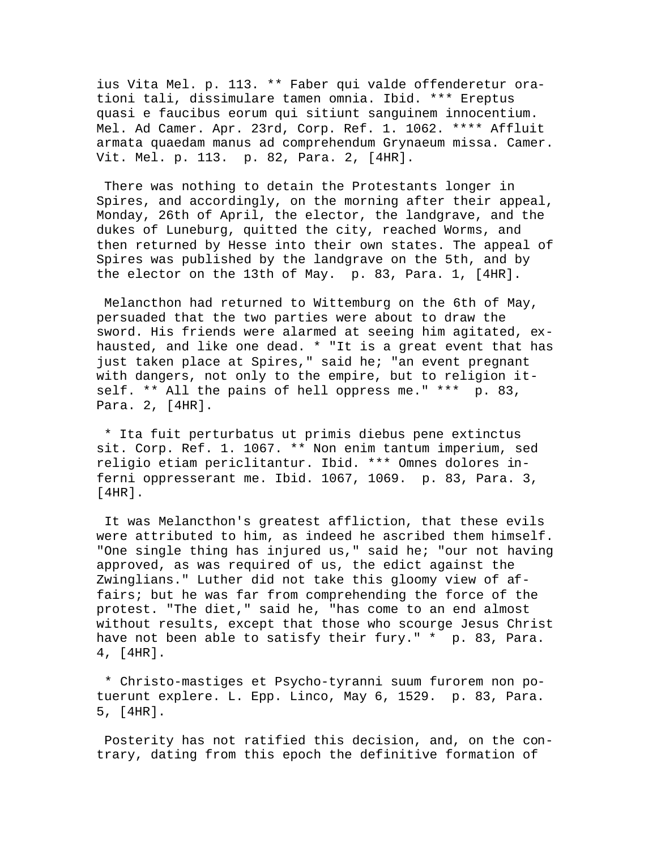ius Vita Mel. p. 113. \*\* Faber qui valde offenderetur orationi tali, dissimulare tamen omnia. Ibid. \*\*\* Ereptus quasi e faucibus eorum qui sitiunt sanguinem innocentium. Mel. Ad Camer. Apr. 23rd, Corp. Ref. 1. 1062. \*\*\*\* Affluit armata quaedam manus ad comprehendum Grynaeum missa. Camer. Vit. Mel. p. 113. p. 82, Para. 2, [4HR].

 There was nothing to detain the Protestants longer in Spires, and accordingly, on the morning after their appeal, Monday, 26th of April, the elector, the landgrave, and the dukes of Luneburg, quitted the city, reached Worms, and then returned by Hesse into their own states. The appeal of Spires was published by the landgrave on the 5th, and by the elector on the 13th of May. p. 83, Para. 1, [4HR].

 Melancthon had returned to Wittemburg on the 6th of May, persuaded that the two parties were about to draw the sword. His friends were alarmed at seeing him agitated, exhausted, and like one dead. \* "It is a great event that has just taken place at Spires," said he; "an event pregnant with dangers, not only to the empire, but to religion itself. \*\* All the pains of hell oppress me." \*\*\* p. 83, Para. 2, [4HR].

 \* Ita fuit perturbatus ut primis diebus pene extinctus sit. Corp. Ref. 1. 1067. \*\* Non enim tantum imperium, sed religio etiam periclitantur. Ibid. \*\*\* Omnes dolores inferni oppresserant me. Ibid. 1067, 1069. p. 83, Para. 3, [4HR].

 It was Melancthon's greatest affliction, that these evils were attributed to him, as indeed he ascribed them himself. "One single thing has injured us," said he; "our not having approved, as was required of us, the edict against the Zwinglians." Luther did not take this gloomy view of affairs; but he was far from comprehending the force of the protest. "The diet," said he, "has come to an end almost without results, except that those who scourge Jesus Christ have not been able to satisfy their fury." \* p. 83, Para. 4, [4HR].

 \* Christo-mastiges et Psycho-tyranni suum furorem non potuerunt explere. L. Epp. Linco, May 6, 1529. p. 83, Para. 5, [4HR].

 Posterity has not ratified this decision, and, on the contrary, dating from this epoch the definitive formation of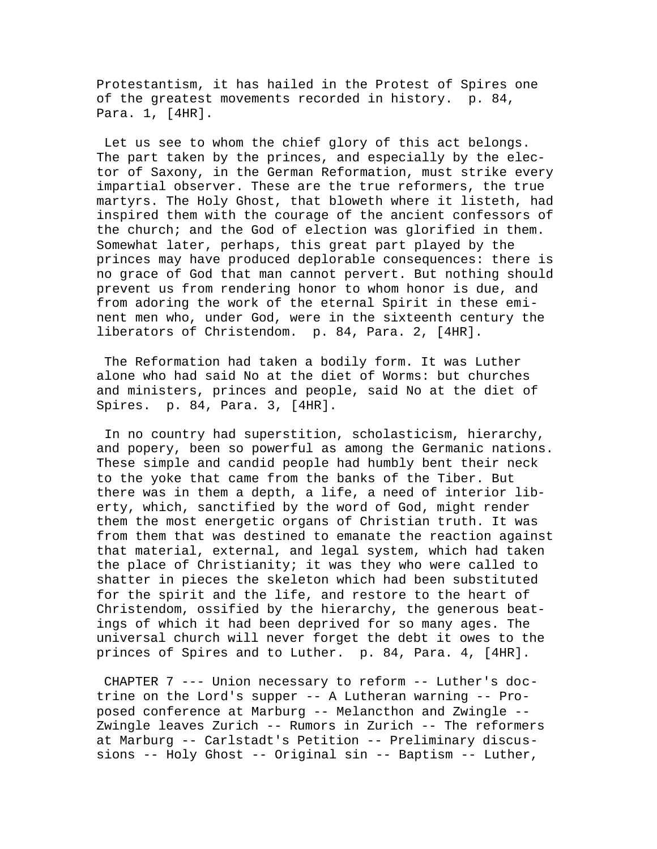Protestantism, it has hailed in the Protest of Spires one of the greatest movements recorded in history. p. 84, Para. 1, [4HR].

 Let us see to whom the chief glory of this act belongs. The part taken by the princes, and especially by the elector of Saxony, in the German Reformation, must strike every impartial observer. These are the true reformers, the true martyrs. The Holy Ghost, that bloweth where it listeth, had inspired them with the courage of the ancient confessors of the church; and the God of election was glorified in them. Somewhat later, perhaps, this great part played by the princes may have produced deplorable consequences: there is no grace of God that man cannot pervert. But nothing should prevent us from rendering honor to whom honor is due, and from adoring the work of the eternal Spirit in these eminent men who, under God, were in the sixteenth century the liberators of Christendom. p. 84, Para. 2, [4HR].

 The Reformation had taken a bodily form. It was Luther alone who had said No at the diet of Worms: but churches and ministers, princes and people, said No at the diet of Spires. p. 84, Para. 3, [4HR].

 In no country had superstition, scholasticism, hierarchy, and popery, been so powerful as among the Germanic nations. These simple and candid people had humbly bent their neck to the yoke that came from the banks of the Tiber. But there was in them a depth, a life, a need of interior liberty, which, sanctified by the word of God, might render them the most energetic organs of Christian truth. It was from them that was destined to emanate the reaction against that material, external, and legal system, which had taken the place of Christianity; it was they who were called to shatter in pieces the skeleton which had been substituted for the spirit and the life, and restore to the heart of Christendom, ossified by the hierarchy, the generous beatings of which it had been deprived for so many ages. The universal church will never forget the debt it owes to the princes of Spires and to Luther. p. 84, Para. 4, [4HR].

 CHAPTER 7 --- Union necessary to reform -- Luther's doctrine on the Lord's supper -- A Lutheran warning -- Proposed conference at Marburg -- Melancthon and Zwingle -- Zwingle leaves Zurich -- Rumors in Zurich -- The reformers at Marburg -- Carlstadt's Petition -- Preliminary discussions -- Holy Ghost -- Original sin -- Baptism -- Luther,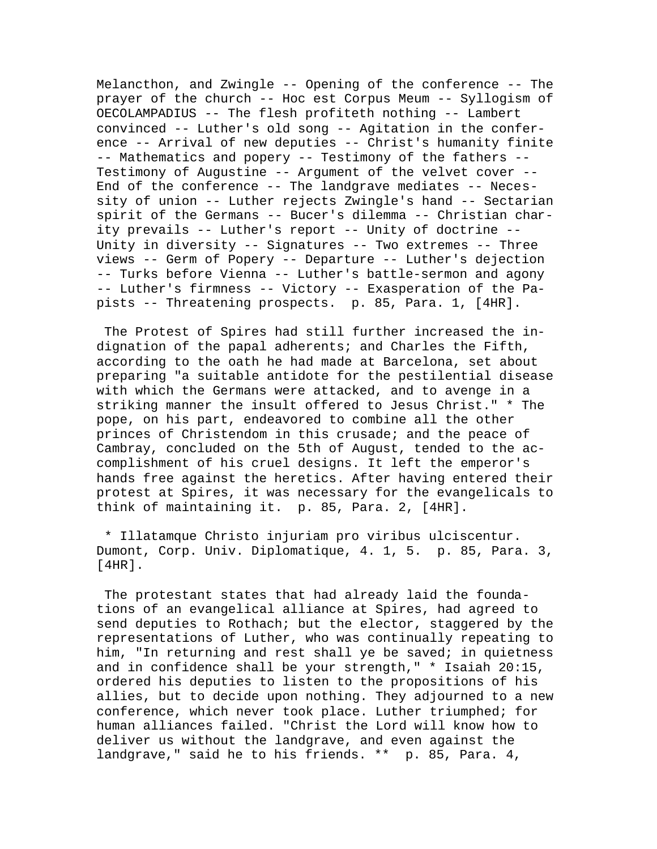Melancthon, and Zwingle -- Opening of the conference -- The prayer of the church -- Hoc est Corpus Meum -- Syllogism of OECOLAMPADIUS -- The flesh profiteth nothing -- Lambert convinced -- Luther's old song -- Agitation in the conference -- Arrival of new deputies -- Christ's humanity finite -- Mathematics and popery -- Testimony of the fathers -- Testimony of Augustine -- Argument of the velvet cover -- End of the conference -- The landgrave mediates -- Necessity of union -- Luther rejects Zwingle's hand -- Sectarian spirit of the Germans -- Bucer's dilemma -- Christian charity prevails -- Luther's report -- Unity of doctrine -- Unity in diversity -- Signatures -- Two extremes -- Three views -- Germ of Popery -- Departure -- Luther's dejection -- Turks before Vienna -- Luther's battle-sermon and agony -- Luther's firmness -- Victory -- Exasperation of the Papists -- Threatening prospects. p. 85, Para. 1, [4HR].

 The Protest of Spires had still further increased the indignation of the papal adherents; and Charles the Fifth, according to the oath he had made at Barcelona, set about preparing "a suitable antidote for the pestilential disease with which the Germans were attacked, and to avenge in a striking manner the insult offered to Jesus Christ." \* The pope, on his part, endeavored to combine all the other princes of Christendom in this crusade; and the peace of Cambray, concluded on the 5th of August, tended to the accomplishment of his cruel designs. It left the emperor's hands free against the heretics. After having entered their protest at Spires, it was necessary for the evangelicals to think of maintaining it. p. 85, Para. 2, [4HR].

 \* Illatamque Christo injuriam pro viribus ulciscentur. Dumont, Corp. Univ. Diplomatique, 4. 1, 5. p. 85, Para. 3, [4HR].

 The protestant states that had already laid the foundations of an evangelical alliance at Spires, had agreed to send deputies to Rothach; but the elector, staggered by the representations of Luther, who was continually repeating to him, "In returning and rest shall ye be saved; in quietness and in confidence shall be your strength," \* Isaiah 20:15, ordered his deputies to listen to the propositions of his allies, but to decide upon nothing. They adjourned to a new conference, which never took place. Luther triumphed; for human alliances failed. "Christ the Lord will know how to deliver us without the landgrave, and even against the landgrave," said he to his friends. \*\* p. 85, Para. 4,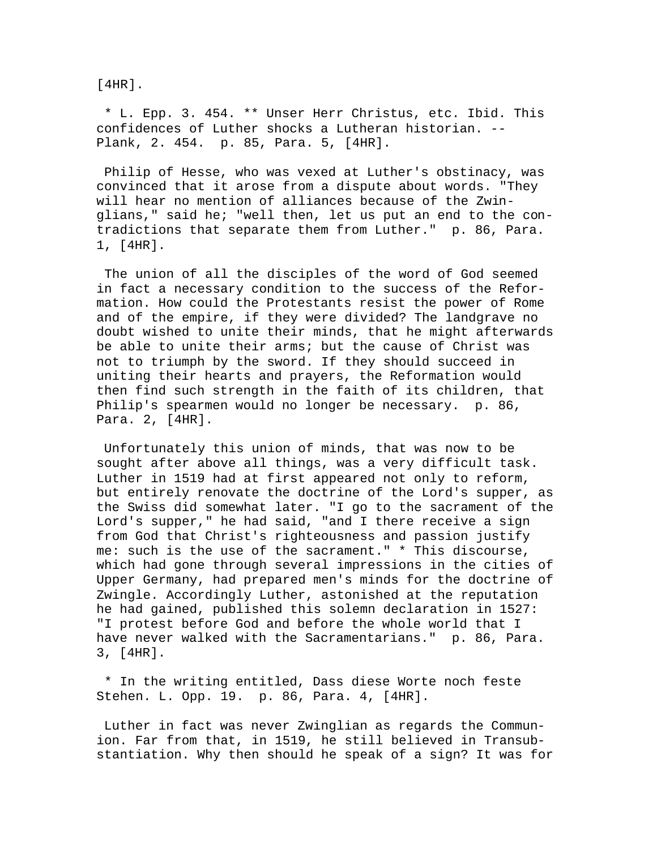[4HR].

 \* L. Epp. 3. 454. \*\* Unser Herr Christus, etc. Ibid. This confidences of Luther shocks a Lutheran historian. -- Plank, 2. 454. p. 85, Para. 5, [4HR].

 Philip of Hesse, who was vexed at Luther's obstinacy, was convinced that it arose from a dispute about words. "They will hear no mention of alliances because of the Zwinglians," said he; "well then, let us put an end to the contradictions that separate them from Luther." p. 86, Para. 1, [4HR].

 The union of all the disciples of the word of God seemed in fact a necessary condition to the success of the Reformation. How could the Protestants resist the power of Rome and of the empire, if they were divided? The landgrave no doubt wished to unite their minds, that he might afterwards be able to unite their arms; but the cause of Christ was not to triumph by the sword. If they should succeed in uniting their hearts and prayers, the Reformation would then find such strength in the faith of its children, that Philip's spearmen would no longer be necessary. p. 86, Para. 2, [4HR].

 Unfortunately this union of minds, that was now to be sought after above all things, was a very difficult task. Luther in 1519 had at first appeared not only to reform, but entirely renovate the doctrine of the Lord's supper, as the Swiss did somewhat later. "I go to the sacrament of the Lord's supper," he had said, "and I there receive a sign from God that Christ's righteousness and passion justify me: such is the use of the sacrament." \* This discourse, which had gone through several impressions in the cities of Upper Germany, had prepared men's minds for the doctrine of Zwingle. Accordingly Luther, astonished at the reputation he had gained, published this solemn declaration in 1527: "I protest before God and before the whole world that I have never walked with the Sacramentarians." p. 86, Para. 3, [4HR].

 \* In the writing entitled, Dass diese Worte noch feste Stehen. L. Opp. 19. p. 86, Para. 4, [4HR].

 Luther in fact was never Zwinglian as regards the Communion. Far from that, in 1519, he still believed in Transubstantiation. Why then should he speak of a sign? It was for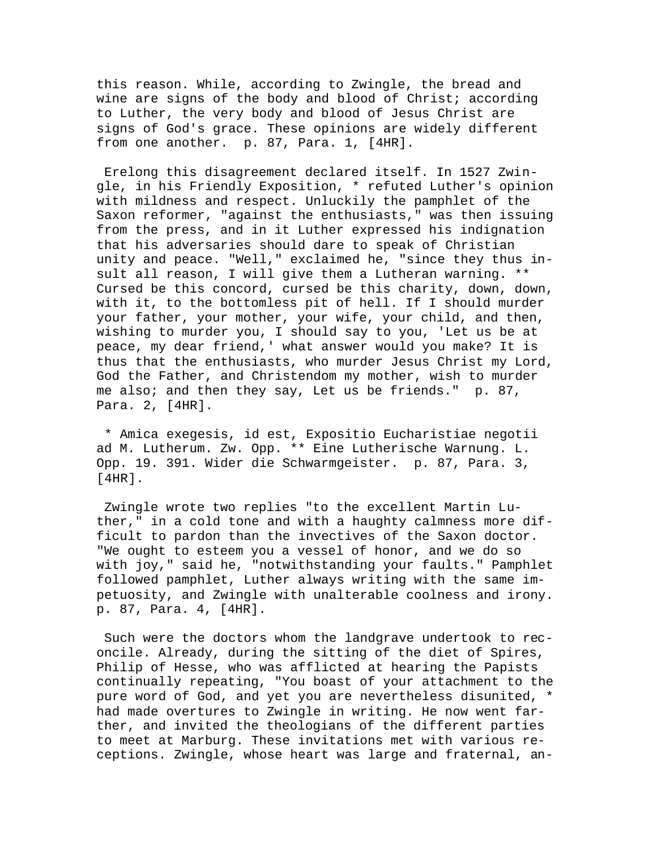this reason. While, according to Zwingle, the bread and wine are signs of the body and blood of Christ; according to Luther, the very body and blood of Jesus Christ are signs of God's grace. These opinions are widely different from one another. p. 87, Para. 1, [4HR].

 Erelong this disagreement declared itself. In 1527 Zwingle, in his Friendly Exposition, \* refuted Luther's opinion with mildness and respect. Unluckily the pamphlet of the Saxon reformer, "against the enthusiasts," was then issuing from the press, and in it Luther expressed his indignation that his adversaries should dare to speak of Christian unity and peace. "Well," exclaimed he, "since they thus insult all reason, I will give them a Lutheran warning. \*\* Cursed be this concord, cursed be this charity, down, down, with it, to the bottomless pit of hell. If I should murder your father, your mother, your wife, your child, and then, wishing to murder you, I should say to you, 'Let us be at peace, my dear friend,' what answer would you make? It is thus that the enthusiasts, who murder Jesus Christ my Lord, God the Father, and Christendom my mother, wish to murder me also; and then they say, Let us be friends." p. 87, Para. 2, [4HR].

 \* Amica exegesis, id est, Expositio Eucharistiae negotii ad M. Lutherum. Zw. Opp. \*\* Eine Lutherische Warnung. L. Opp. 19. 391. Wider die Schwarmgeister. p. 87, Para. 3, [4HR].

 Zwingle wrote two replies "to the excellent Martin Luther," in a cold tone and with a haughty calmness more difficult to pardon than the invectives of the Saxon doctor. "We ought to esteem you a vessel of honor, and we do so with joy," said he, "notwithstanding your faults." Pamphlet followed pamphlet, Luther always writing with the same impetuosity, and Zwingle with unalterable coolness and irony. p. 87, Para. 4, [4HR].

 Such were the doctors whom the landgrave undertook to reconcile. Already, during the sitting of the diet of Spires, Philip of Hesse, who was afflicted at hearing the Papists continually repeating, "You boast of your attachment to the pure word of God, and yet you are nevertheless disunited, \* had made overtures to Zwingle in writing. He now went farther, and invited the theologians of the different parties to meet at Marburg. These invitations met with various receptions. Zwingle, whose heart was large and fraternal, an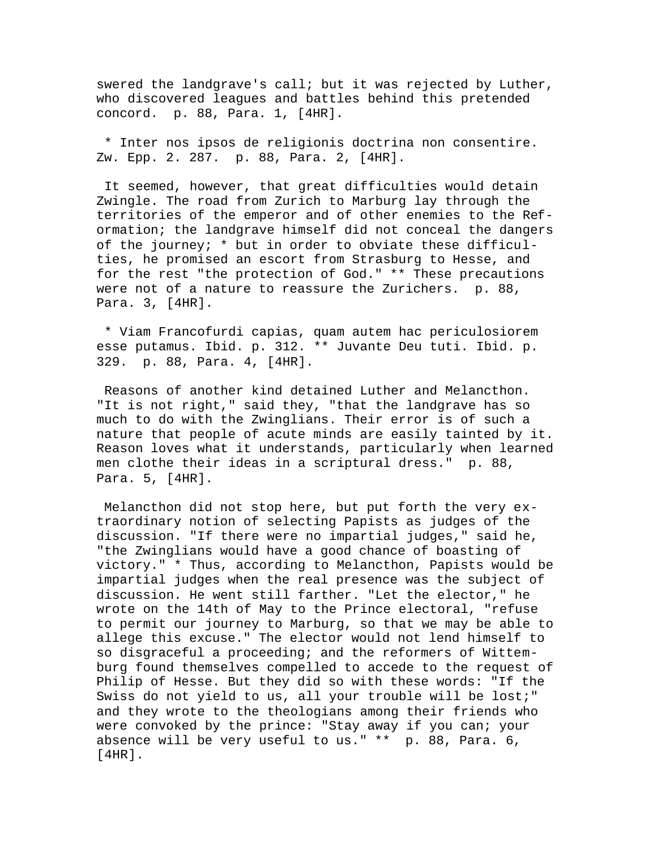swered the landgrave's call; but it was rejected by Luther, who discovered leagues and battles behind this pretended concord. p. 88, Para. 1, [4HR].

 \* Inter nos ipsos de religionis doctrina non consentire. Zw. Epp. 2. 287. p. 88, Para. 2, [4HR].

 It seemed, however, that great difficulties would detain Zwingle. The road from Zurich to Marburg lay through the territories of the emperor and of other enemies to the Reformation; the landgrave himself did not conceal the dangers of the journey; \* but in order to obviate these difficulties, he promised an escort from Strasburg to Hesse, and for the rest "the protection of God." \*\* These precautions were not of a nature to reassure the Zurichers. p. 88, Para. 3, [4HR].

 \* Viam Francofurdi capias, quam autem hac periculosiorem esse putamus. Ibid. p. 312. \*\* Juvante Deu tuti. Ibid. p. 329. p. 88, Para. 4, [4HR].

 Reasons of another kind detained Luther and Melancthon. "It is not right," said they, "that the landgrave has so much to do with the Zwinglians. Their error is of such a nature that people of acute minds are easily tainted by it. Reason loves what it understands, particularly when learned men clothe their ideas in a scriptural dress." p. 88, Para. 5, [4HR].

 Melancthon did not stop here, but put forth the very extraordinary notion of selecting Papists as judges of the discussion. "If there were no impartial judges," said he, "the Zwinglians would have a good chance of boasting of victory." \* Thus, according to Melancthon, Papists would be impartial judges when the real presence was the subject of discussion. He went still farther. "Let the elector," he wrote on the 14th of May to the Prince electoral, "refuse to permit our journey to Marburg, so that we may be able to allege this excuse." The elector would not lend himself to so disgraceful a proceeding; and the reformers of Wittemburg found themselves compelled to accede to the request of Philip of Hesse. But they did so with these words: "If the Swiss do not yield to us, all your trouble will be lost;" and they wrote to the theologians among their friends who were convoked by the prince: "Stay away if you can; your absence will be very useful to us." \*\* p. 88, Para. 6, [4HR].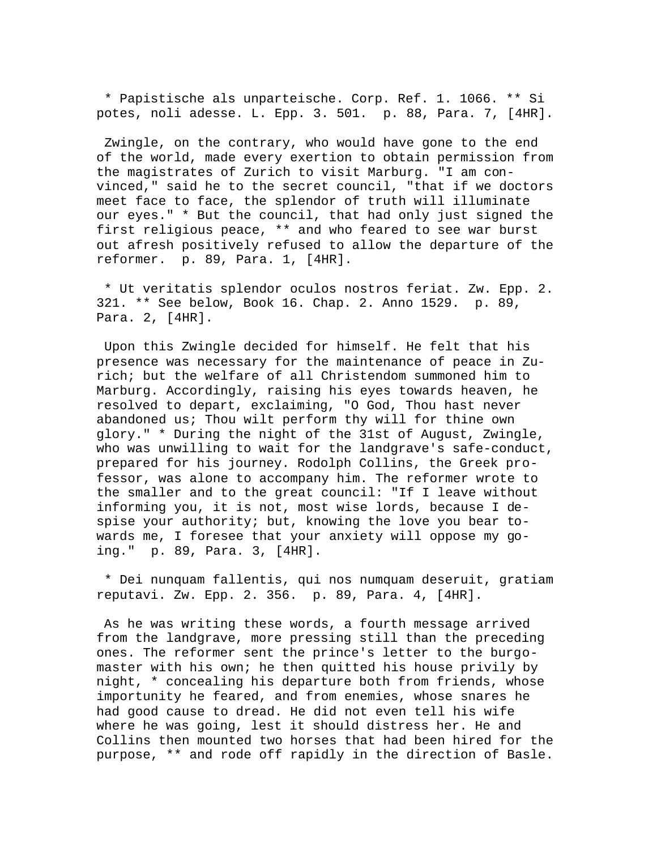\* Papistische als unparteische. Corp. Ref. 1. 1066. \*\* Si potes, noli adesse. L. Epp. 3. 501. p. 88, Para. 7, [4HR].

 Zwingle, on the contrary, who would have gone to the end of the world, made every exertion to obtain permission from the magistrates of Zurich to visit Marburg. "I am convinced," said he to the secret council, "that if we doctors meet face to face, the splendor of truth will illuminate our eyes." \* But the council, that had only just signed the first religious peace, \*\* and who feared to see war burst out afresh positively refused to allow the departure of the reformer. p. 89, Para. 1, [4HR].

 \* Ut veritatis splendor oculos nostros feriat. Zw. Epp. 2. 321. \*\* See below, Book 16. Chap. 2. Anno 1529. p. 89, Para. 2, [4HR].

 Upon this Zwingle decided for himself. He felt that his presence was necessary for the maintenance of peace in Zurich; but the welfare of all Christendom summoned him to Marburg. Accordingly, raising his eyes towards heaven, he resolved to depart, exclaiming, "O God, Thou hast never abandoned us; Thou wilt perform thy will for thine own glory." \* During the night of the 31st of August, Zwingle, who was unwilling to wait for the landgrave's safe-conduct, prepared for his journey. Rodolph Collins, the Greek professor, was alone to accompany him. The reformer wrote to the smaller and to the great council: "If I leave without informing you, it is not, most wise lords, because I despise your authority; but, knowing the love you bear towards me, I foresee that your anxiety will oppose my going." p. 89, Para. 3, [4HR].

 \* Dei nunquam fallentis, qui nos numquam deseruit, gratiam reputavi. Zw. Epp. 2. 356. p. 89, Para. 4, [4HR].

 As he was writing these words, a fourth message arrived from the landgrave, more pressing still than the preceding ones. The reformer sent the prince's letter to the burgomaster with his own; he then quitted his house privily by night, \* concealing his departure both from friends, whose importunity he feared, and from enemies, whose snares he had good cause to dread. He did not even tell his wife where he was going, lest it should distress her. He and Collins then mounted two horses that had been hired for the purpose, \*\* and rode off rapidly in the direction of Basle.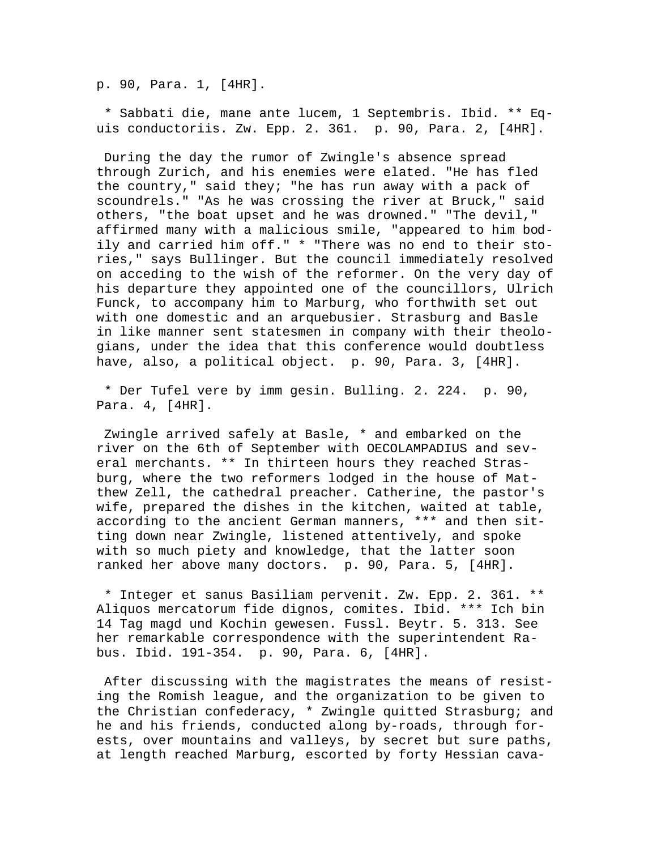p. 90, Para. 1, [4HR].

 \* Sabbati die, mane ante lucem, 1 Septembris. Ibid. \*\* Equis conductoriis. Zw. Epp. 2. 361. p. 90, Para. 2, [4HR].

 During the day the rumor of Zwingle's absence spread through Zurich, and his enemies were elated. "He has fled the country," said they; "he has run away with a pack of scoundrels." "As he was crossing the river at Bruck," said others, "the boat upset and he was drowned." "The devil," affirmed many with a malicious smile, "appeared to him bodily and carried him off." \* "There was no end to their stories," says Bullinger. But the council immediately resolved on acceding to the wish of the reformer. On the very day of his departure they appointed one of the councillors, Ulrich Funck, to accompany him to Marburg, who forthwith set out with one domestic and an arquebusier. Strasburg and Basle in like manner sent statesmen in company with their theologians, under the idea that this conference would doubtless have, also, a political object. p. 90, Para. 3, [4HR].

 \* Der Tufel vere by imm gesin. Bulling. 2. 224. p. 90, Para. 4, [4HR].

 Zwingle arrived safely at Basle, \* and embarked on the river on the 6th of September with OECOLAMPADIUS and several merchants. \*\* In thirteen hours they reached Strasburg, where the two reformers lodged in the house of Matthew Zell, the cathedral preacher. Catherine, the pastor's wife, prepared the dishes in the kitchen, waited at table, according to the ancient German manners, \*\*\* and then sitting down near Zwingle, listened attentively, and spoke with so much piety and knowledge, that the latter soon ranked her above many doctors. p. 90, Para. 5, [4HR].

 \* Integer et sanus Basiliam pervenit. Zw. Epp. 2. 361. \*\* Aliquos mercatorum fide dignos, comites. Ibid. \*\*\* Ich bin 14 Tag magd und Kochin gewesen. Fussl. Beytr. 5. 313. See her remarkable correspondence with the superintendent Rabus. Ibid. 191-354. p. 90, Para. 6, [4HR].

 After discussing with the magistrates the means of resisting the Romish league, and the organization to be given to the Christian confederacy, \* Zwingle quitted Strasburg; and he and his friends, conducted along by-roads, through forests, over mountains and valleys, by secret but sure paths, at length reached Marburg, escorted by forty Hessian cava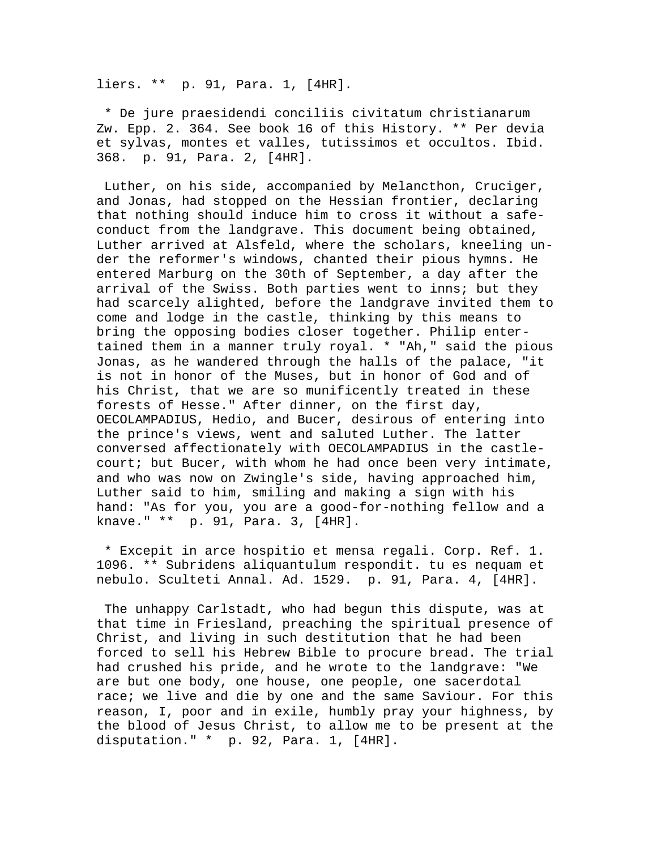liers. \*\* p. 91, Para. 1, [4HR].

 \* De jure praesidendi conciliis civitatum christianarum Zw. Epp. 2. 364. See book 16 of this History. \*\* Per devia et sylvas, montes et valles, tutissimos et occultos. Ibid. 368. p. 91, Para. 2, [4HR].

 Luther, on his side, accompanied by Melancthon, Cruciger, and Jonas, had stopped on the Hessian frontier, declaring that nothing should induce him to cross it without a safeconduct from the landgrave. This document being obtained, Luther arrived at Alsfeld, where the scholars, kneeling under the reformer's windows, chanted their pious hymns. He entered Marburg on the 30th of September, a day after the arrival of the Swiss. Both parties went to inns; but they had scarcely alighted, before the landgrave invited them to come and lodge in the castle, thinking by this means to bring the opposing bodies closer together. Philip entertained them in a manner truly royal. \* "Ah," said the pious Jonas, as he wandered through the halls of the palace, "it is not in honor of the Muses, but in honor of God and of his Christ, that we are so munificently treated in these forests of Hesse." After dinner, on the first day, OECOLAMPADIUS, Hedio, and Bucer, desirous of entering into the prince's views, went and saluted Luther. The latter conversed affectionately with OECOLAMPADIUS in the castlecourt; but Bucer, with whom he had once been very intimate, and who was now on Zwingle's side, having approached him, Luther said to him, smiling and making a sign with his hand: "As for you, you are a good-for-nothing fellow and a knave." \*\* p. 91, Para. 3, [4HR].

 \* Excepit in arce hospitio et mensa regali. Corp. Ref. 1. 1096. \*\* Subridens aliquantulum respondit. tu es nequam et nebulo. Sculteti Annal. Ad. 1529. p. 91, Para. 4, [4HR].

 The unhappy Carlstadt, who had begun this dispute, was at that time in Friesland, preaching the spiritual presence of Christ, and living in such destitution that he had been forced to sell his Hebrew Bible to procure bread. The trial had crushed his pride, and he wrote to the landgrave: "We are but one body, one house, one people, one sacerdotal race; we live and die by one and the same Saviour. For this reason, I, poor and in exile, humbly pray your highness, by the blood of Jesus Christ, to allow me to be present at the disputation." \* p. 92, Para. 1, [4HR].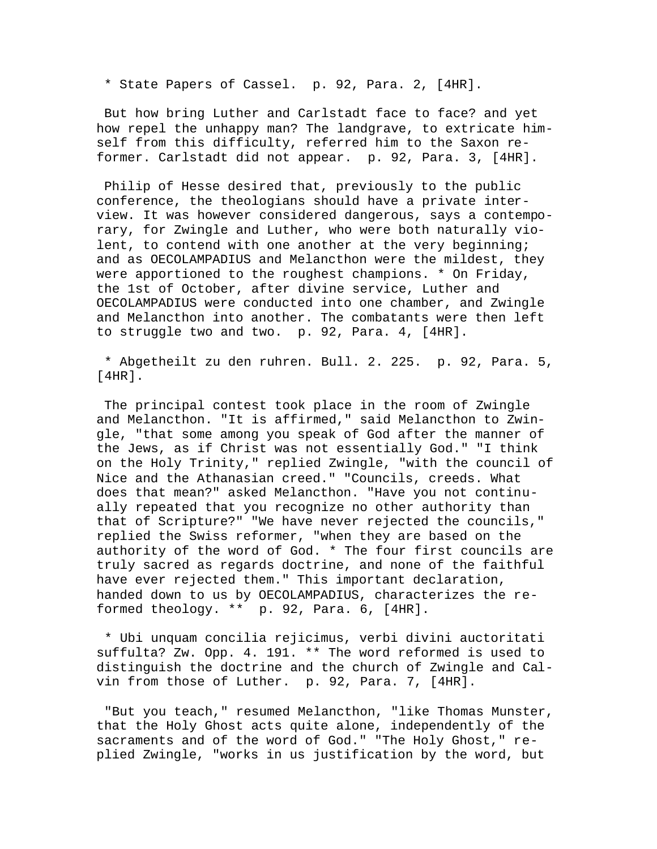\* State Papers of Cassel. p. 92, Para. 2, [4HR].

 But how bring Luther and Carlstadt face to face? and yet how repel the unhappy man? The landgrave, to extricate himself from this difficulty, referred him to the Saxon reformer. Carlstadt did not appear. p. 92, Para. 3, [4HR].

 Philip of Hesse desired that, previously to the public conference, the theologians should have a private interview. It was however considered dangerous, says a contemporary, for Zwingle and Luther, who were both naturally violent, to contend with one another at the very beginning; and as OECOLAMPADIUS and Melancthon were the mildest, they were apportioned to the roughest champions. \* On Friday, the 1st of October, after divine service, Luther and OECOLAMPADIUS were conducted into one chamber, and Zwingle and Melancthon into another. The combatants were then left to struggle two and two. p. 92, Para. 4, [4HR].

 \* Abgetheilt zu den ruhren. Bull. 2. 225. p. 92, Para. 5, [4HR].

 The principal contest took place in the room of Zwingle and Melancthon. "It is affirmed," said Melancthon to Zwingle, "that some among you speak of God after the manner of the Jews, as if Christ was not essentially God." "I think on the Holy Trinity," replied Zwingle, "with the council of Nice and the Athanasian creed." "Councils, creeds. What does that mean?" asked Melancthon. "Have you not continually repeated that you recognize no other authority than that of Scripture?" "We have never rejected the councils," replied the Swiss reformer, "when they are based on the authority of the word of God. \* The four first councils are truly sacred as regards doctrine, and none of the faithful have ever rejected them." This important declaration, handed down to us by OECOLAMPADIUS, characterizes the reformed theology. \*\* p. 92, Para. 6, [4HR].

 \* Ubi unquam concilia rejicimus, verbi divini auctoritati suffulta? Zw. Opp. 4. 191. \*\* The word reformed is used to distinguish the doctrine and the church of Zwingle and Calvin from those of Luther. p. 92, Para. 7, [4HR].

 "But you teach," resumed Melancthon, "like Thomas Munster, that the Holy Ghost acts quite alone, independently of the sacraments and of the word of God." "The Holy Ghost," replied Zwingle, "works in us justification by the word, but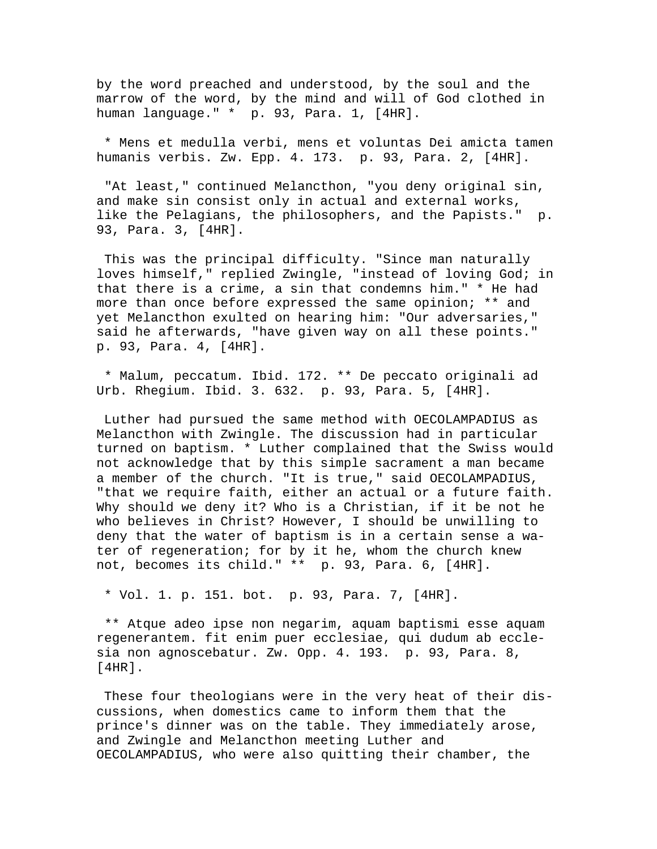by the word preached and understood, by the soul and the marrow of the word, by the mind and will of God clothed in human language." \* p. 93, Para. 1, [4HR].

 \* Mens et medulla verbi, mens et voluntas Dei amicta tamen humanis verbis. Zw. Epp. 4. 173. p. 93, Para. 2, [4HR].

 "At least," continued Melancthon, "you deny original sin, and make sin consist only in actual and external works, like the Pelagians, the philosophers, and the Papists." p. 93, Para. 3, [4HR].

 This was the principal difficulty. "Since man naturally loves himself," replied Zwingle, "instead of loving God; in that there is a crime, a sin that condemns him." \* He had more than once before expressed the same opinion; \*\* and yet Melancthon exulted on hearing him: "Our adversaries," said he afterwards, "have given way on all these points." p. 93, Para. 4, [4HR].

 \* Malum, peccatum. Ibid. 172. \*\* De peccato originali ad Urb. Rhegium. Ibid. 3. 632. p. 93, Para. 5, [4HR].

 Luther had pursued the same method with OECOLAMPADIUS as Melancthon with Zwingle. The discussion had in particular turned on baptism. \* Luther complained that the Swiss would not acknowledge that by this simple sacrament a man became a member of the church. "It is true," said OECOLAMPADIUS, "that we require faith, either an actual or a future faith. Why should we deny it? Who is a Christian, if it be not he who believes in Christ? However, I should be unwilling to deny that the water of baptism is in a certain sense a water of regeneration; for by it he, whom the church knew not, becomes its child." \*\* p. 93, Para. 6, [4HR].

\* Vol. 1. p. 151. bot. p. 93, Para. 7, [4HR].

 \*\* Atque adeo ipse non negarim, aquam baptismi esse aquam regenerantem. fit enim puer ecclesiae, qui dudum ab ecclesia non agnoscebatur. Zw. Opp. 4. 193. p. 93, Para. 8, [4HR].

 These four theologians were in the very heat of their discussions, when domestics came to inform them that the prince's dinner was on the table. They immediately arose, and Zwingle and Melancthon meeting Luther and OECOLAMPADIUS, who were also quitting their chamber, the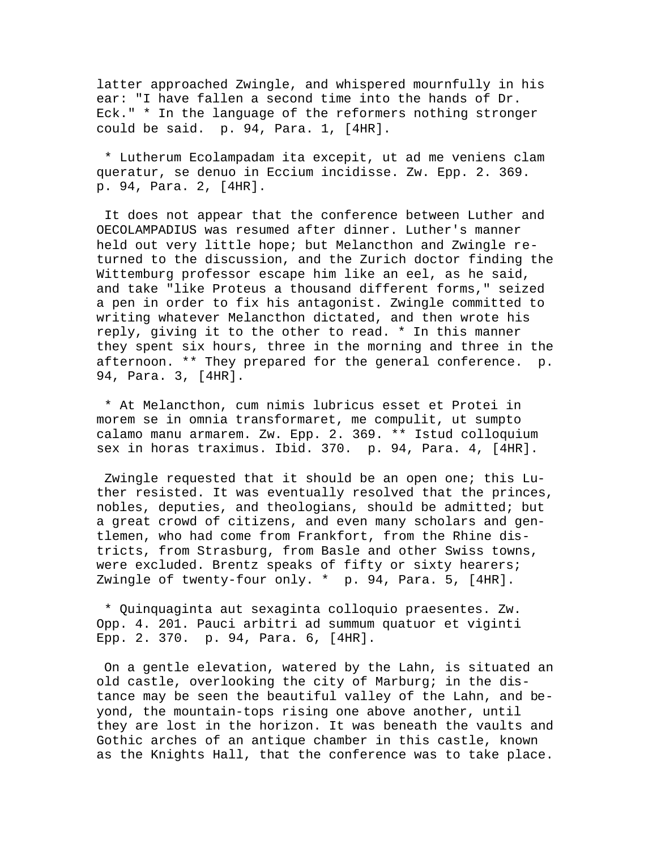latter approached Zwingle, and whispered mournfully in his ear: "I have fallen a second time into the hands of Dr. Eck." \* In the language of the reformers nothing stronger could be said. p. 94, Para. 1, [4HR].

 \* Lutherum Ecolampadam ita excepit, ut ad me veniens clam queratur, se denuo in Eccium incidisse. Zw. Epp. 2. 369. p. 94, Para. 2, [4HR].

 It does not appear that the conference between Luther and OECOLAMPADIUS was resumed after dinner. Luther's manner held out very little hope; but Melancthon and Zwingle returned to the discussion, and the Zurich doctor finding the Wittemburg professor escape him like an eel, as he said, and take "like Proteus a thousand different forms," seized a pen in order to fix his antagonist. Zwingle committed to writing whatever Melancthon dictated, and then wrote his reply, giving it to the other to read. \* In this manner they spent six hours, three in the morning and three in the afternoon. \*\* They prepared for the general conference. p. 94, Para. 3, [4HR].

 \* At Melancthon, cum nimis lubricus esset et Protei in morem se in omnia transformaret, me compulit, ut sumpto calamo manu armarem. Zw. Epp. 2. 369. \*\* Istud colloquium sex in horas traximus. Ibid. 370. p. 94, Para. 4, [4HR].

 Zwingle requested that it should be an open one; this Luther resisted. It was eventually resolved that the princes, nobles, deputies, and theologians, should be admitted; but a great crowd of citizens, and even many scholars and gentlemen, who had come from Frankfort, from the Rhine districts, from Strasburg, from Basle and other Swiss towns, were excluded. Brentz speaks of fifty or sixty hearers; Zwingle of twenty-four only. \* p. 94, Para. 5, [4HR].

 \* Quinquaginta aut sexaginta colloquio praesentes. Zw. Opp. 4. 201. Pauci arbitri ad summum quatuor et viginti Epp. 2. 370. p. 94, Para. 6, [4HR].

 On a gentle elevation, watered by the Lahn, is situated an old castle, overlooking the city of Marburg; in the distance may be seen the beautiful valley of the Lahn, and beyond, the mountain-tops rising one above another, until they are lost in the horizon. It was beneath the vaults and Gothic arches of an antique chamber in this castle, known as the Knights Hall, that the conference was to take place.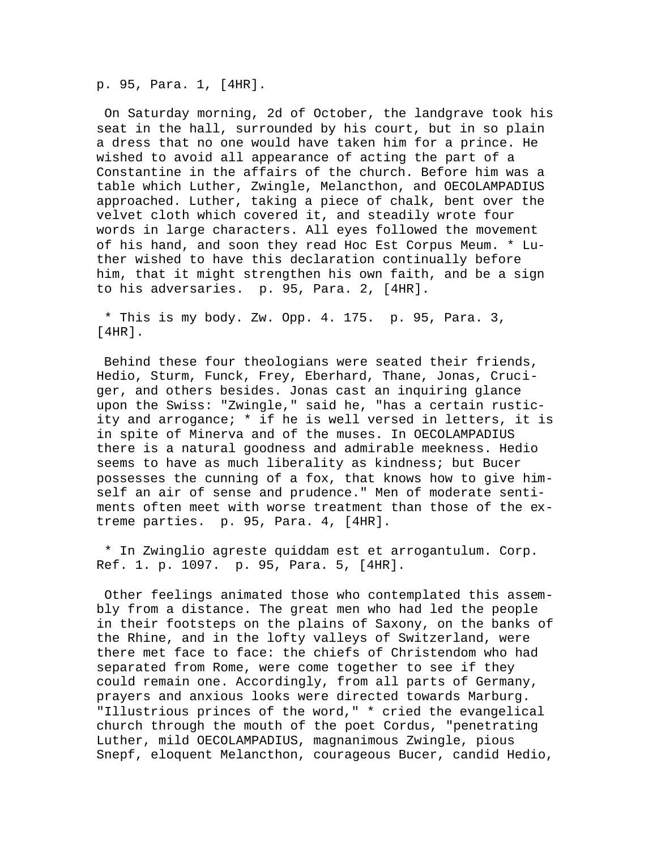p. 95, Para. 1, [4HR].

 On Saturday morning, 2d of October, the landgrave took his seat in the hall, surrounded by his court, but in so plain a dress that no one would have taken him for a prince. He wished to avoid all appearance of acting the part of a Constantine in the affairs of the church. Before him was a table which Luther, Zwingle, Melancthon, and OECOLAMPADIUS approached. Luther, taking a piece of chalk, bent over the velvet cloth which covered it, and steadily wrote four words in large characters. All eyes followed the movement of his hand, and soon they read Hoc Est Corpus Meum. \* Luther wished to have this declaration continually before him, that it might strengthen his own faith, and be a sign to his adversaries. p. 95, Para. 2, [4HR].

 \* This is my body. Zw. Opp. 4. 175. p. 95, Para. 3, [4HR].

 Behind these four theologians were seated their friends, Hedio, Sturm, Funck, Frey, Eberhard, Thane, Jonas, Cruciger, and others besides. Jonas cast an inquiring glance upon the Swiss: "Zwingle," said he, "has a certain rusticity and arrogance; \* if he is well versed in letters, it is in spite of Minerva and of the muses. In OECOLAMPADIUS there is a natural goodness and admirable meekness. Hedio seems to have as much liberality as kindness; but Bucer possesses the cunning of a fox, that knows how to give himself an air of sense and prudence." Men of moderate sentiments often meet with worse treatment than those of the extreme parties. p. 95, Para. 4, [4HR].

 \* In Zwinglio agreste quiddam est et arrogantulum. Corp. Ref. 1. p. 1097. p. 95, Para. 5, [4HR].

 Other feelings animated those who contemplated this assembly from a distance. The great men who had led the people in their footsteps on the plains of Saxony, on the banks of the Rhine, and in the lofty valleys of Switzerland, were there met face to face: the chiefs of Christendom who had separated from Rome, were come together to see if they could remain one. Accordingly, from all parts of Germany, prayers and anxious looks were directed towards Marburg. "Illustrious princes of the word," \* cried the evangelical church through the mouth of the poet Cordus, "penetrating Luther, mild OECOLAMPADIUS, magnanimous Zwingle, pious Snepf, eloquent Melancthon, courageous Bucer, candid Hedio,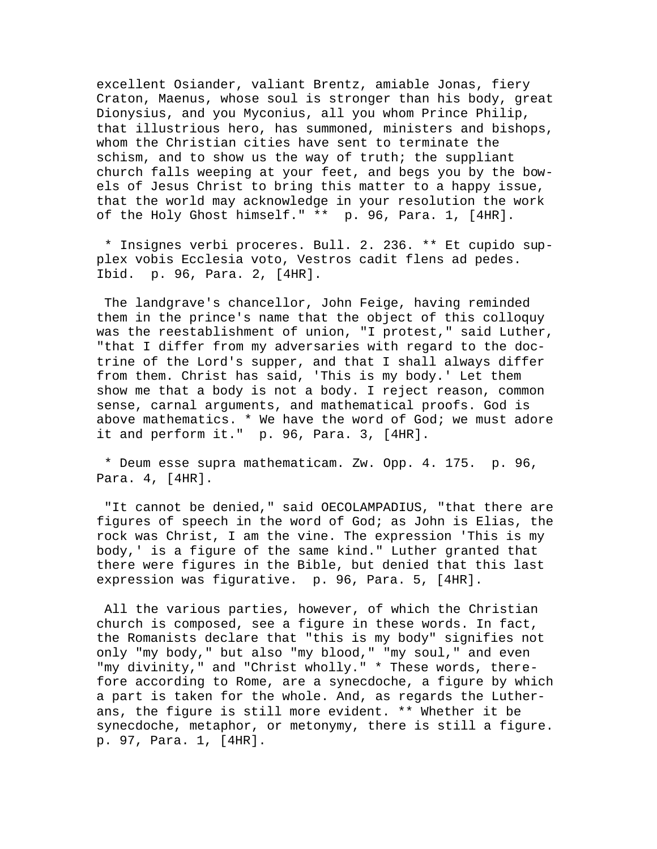excellent Osiander, valiant Brentz, amiable Jonas, fiery Craton, Maenus, whose soul is stronger than his body, great Dionysius, and you Myconius, all you whom Prince Philip, that illustrious hero, has summoned, ministers and bishops, whom the Christian cities have sent to terminate the schism, and to show us the way of truth; the suppliant church falls weeping at your feet, and begs you by the bowels of Jesus Christ to bring this matter to a happy issue, that the world may acknowledge in your resolution the work of the Holy Ghost himself." \*\* p. 96, Para. 1, [4HR].

 \* Insignes verbi proceres. Bull. 2. 236. \*\* Et cupido supplex vobis Ecclesia voto, Vestros cadit flens ad pedes. Ibid. p. 96, Para. 2, [4HR].

 The landgrave's chancellor, John Feige, having reminded them in the prince's name that the object of this colloquy was the reestablishment of union, "I protest," said Luther, "that I differ from my adversaries with regard to the doctrine of the Lord's supper, and that I shall always differ from them. Christ has said, 'This is my body.' Let them show me that a body is not a body. I reject reason, common sense, carnal arguments, and mathematical proofs. God is above mathematics. \* We have the word of God; we must adore it and perform it." p. 96, Para. 3, [4HR].

 \* Deum esse supra mathematicam. Zw. Opp. 4. 175. p. 96, Para. 4, [4HR].

 "It cannot be denied," said OECOLAMPADIUS, "that there are figures of speech in the word of God; as John is Elias, the rock was Christ, I am the vine. The expression 'This is my body,' is a figure of the same kind." Luther granted that there were figures in the Bible, but denied that this last expression was figurative. p. 96, Para. 5, [4HR].

 All the various parties, however, of which the Christian church is composed, see a figure in these words. In fact, the Romanists declare that "this is my body" signifies not only "my body," but also "my blood," "my soul," and even "my divinity," and "Christ wholly." \* These words, therefore according to Rome, are a synecdoche, a figure by which a part is taken for the whole. And, as regards the Lutherans, the figure is still more evident. \*\* Whether it be synecdoche, metaphor, or metonymy, there is still a figure. p. 97, Para. 1, [4HR].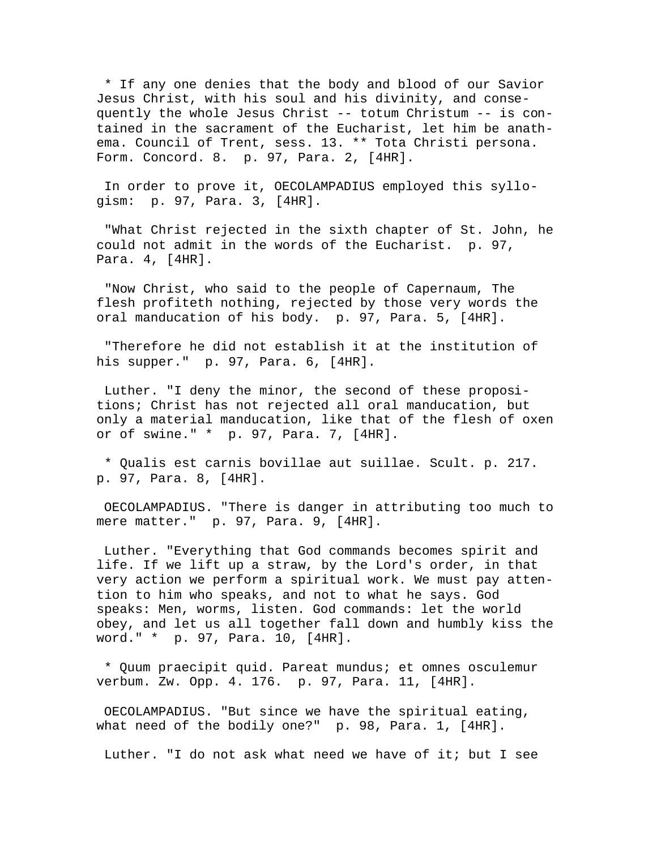\* If any one denies that the body and blood of our Savior Jesus Christ, with his soul and his divinity, and consequently the whole Jesus Christ -- totum Christum -- is contained in the sacrament of the Eucharist, let him be anathema. Council of Trent, sess. 13. \*\* Tota Christi persona. Form. Concord. 8. p. 97, Para. 2, [4HR].

 In order to prove it, OECOLAMPADIUS employed this syllogism: p. 97, Para. 3, [4HR].

 "What Christ rejected in the sixth chapter of St. John, he could not admit in the words of the Eucharist. p. 97, Para. 4, [4HR].

 "Now Christ, who said to the people of Capernaum, The flesh profiteth nothing, rejected by those very words the oral manducation of his body. p. 97, Para. 5, [4HR].

 "Therefore he did not establish it at the institution of his supper." p. 97, Para. 6, [4HR].

 Luther. "I deny the minor, the second of these propositions; Christ has not rejected all oral manducation, but only a material manducation, like that of the flesh of oxen or of swine." \* p. 97, Para. 7, [4HR].

 \* Qualis est carnis bovillae aut suillae. Scult. p. 217. p. 97, Para. 8, [4HR].

 OECOLAMPADIUS. "There is danger in attributing too much to mere matter." p. 97, Para. 9, [4HR].

 Luther. "Everything that God commands becomes spirit and life. If we lift up a straw, by the Lord's order, in that very action we perform a spiritual work. We must pay attention to him who speaks, and not to what he says. God speaks: Men, worms, listen. God commands: let the world obey, and let us all together fall down and humbly kiss the word." \* p. 97, Para. 10, [4HR].

 \* Quum praecipit quid. Pareat mundus; et omnes osculemur verbum. Zw. Opp. 4. 176. p. 97, Para. 11, [4HR].

 OECOLAMPADIUS. "But since we have the spiritual eating, what need of the bodily one?" p. 98, Para. 1, [4HR].

Luther. "I do not ask what need we have of it; but I see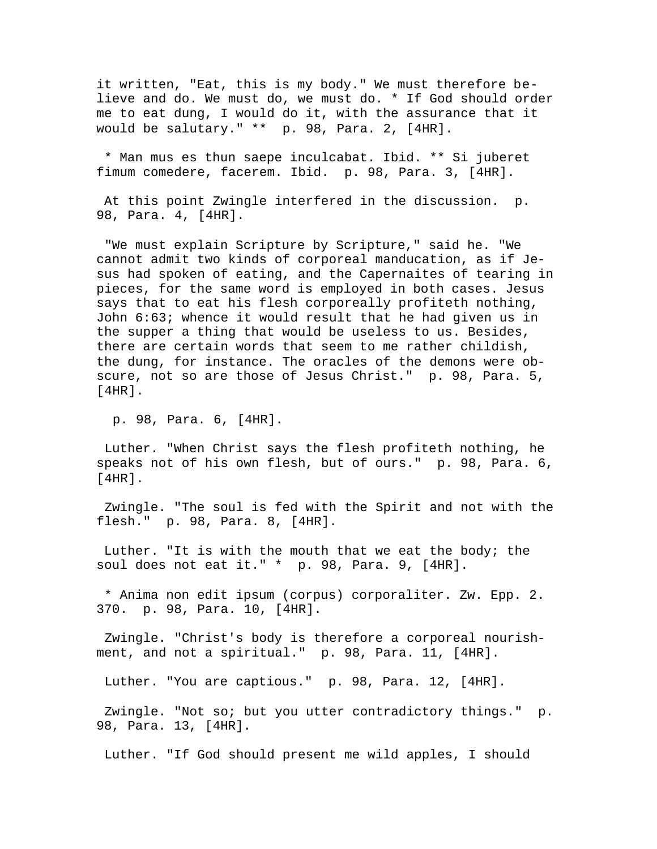it written, "Eat, this is my body." We must therefore believe and do. We must do, we must do. \* If God should order me to eat dung, I would do it, with the assurance that it would be salutary." \*\* p. 98, Para. 2, [4HR].

 \* Man mus es thun saepe inculcabat. Ibid. \*\* Si juberet fimum comedere, facerem. Ibid. p. 98, Para. 3, [4HR].

 At this point Zwingle interfered in the discussion. p. 98, Para. 4, [4HR].

 "We must explain Scripture by Scripture," said he. "We cannot admit two kinds of corporeal manducation, as if Jesus had spoken of eating, and the Capernaites of tearing in pieces, for the same word is employed in both cases. Jesus says that to eat his flesh corporeally profiteth nothing, John 6:63; whence it would result that he had given us in the supper a thing that would be useless to us. Besides, there are certain words that seem to me rather childish, the dung, for instance. The oracles of the demons were obscure, not so are those of Jesus Christ." p. 98, Para. 5, [4HR].

p. 98, Para. 6, [4HR].

 Luther. "When Christ says the flesh profiteth nothing, he speaks not of his own flesh, but of ours." p. 98, Para. 6, [4HR].

 Zwingle. "The soul is fed with the Spirit and not with the flesh." p. 98, Para. 8, [4HR].

 Luther. "It is with the mouth that we eat the body; the soul does not eat it." \* p. 98, Para. 9, [4HR].

 \* Anima non edit ipsum (corpus) corporaliter. Zw. Epp. 2. 370. p. 98, Para. 10, [4HR].

 Zwingle. "Christ's body is therefore a corporeal nourishment, and not a spiritual." p. 98, Para. 11, [4HR].

Luther. "You are captious." p. 98, Para. 12, [4HR].

 Zwingle. "Not so; but you utter contradictory things." p. 98, Para. 13, [4HR].

Luther. "If God should present me wild apples, I should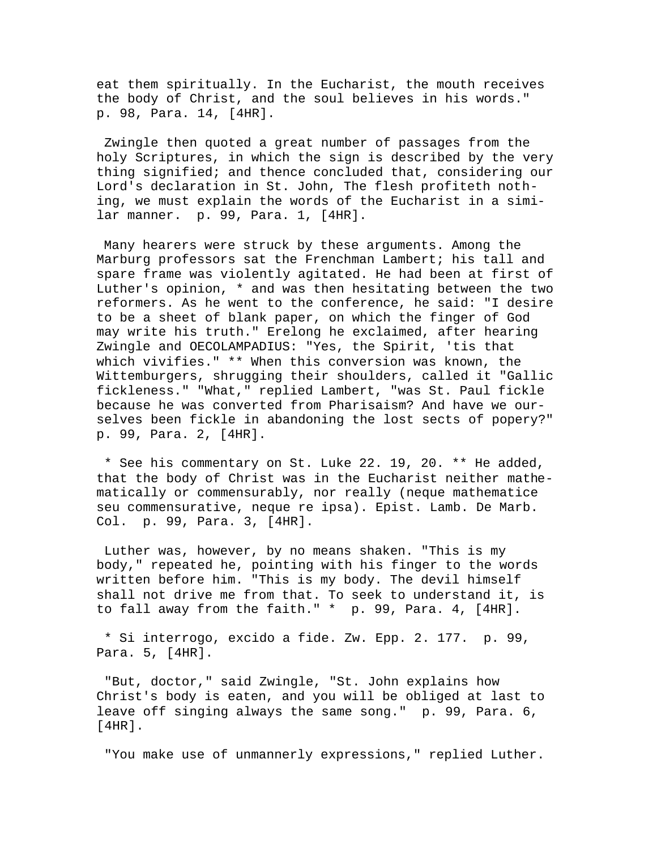eat them spiritually. In the Eucharist, the mouth receives the body of Christ, and the soul believes in his words." p. 98, Para. 14, [4HR].

 Zwingle then quoted a great number of passages from the holy Scriptures, in which the sign is described by the very thing signified; and thence concluded that, considering our Lord's declaration in St. John, The flesh profiteth nothing, we must explain the words of the Eucharist in a similar manner. p. 99, Para. 1, [4HR].

 Many hearers were struck by these arguments. Among the Marburg professors sat the Frenchman Lambert; his tall and spare frame was violently agitated. He had been at first of Luther's opinion, \* and was then hesitating between the two reformers. As he went to the conference, he said: "I desire to be a sheet of blank paper, on which the finger of God may write his truth." Erelong he exclaimed, after hearing Zwingle and OECOLAMPADIUS: "Yes, the Spirit, 'tis that which vivifies." \*\* When this conversion was known, the Wittemburgers, shrugging their shoulders, called it "Gallic fickleness." "What," replied Lambert, "was St. Paul fickle because he was converted from Pharisaism? And have we ourselves been fickle in abandoning the lost sects of popery?" p. 99, Para. 2, [4HR].

 \* See his commentary on St. Luke 22. 19, 20. \*\* He added, that the body of Christ was in the Eucharist neither mathematically or commensurably, nor really (neque mathematice seu commensurative, neque re ipsa). Epist. Lamb. De Marb. Col. p. 99, Para. 3, [4HR].

 Luther was, however, by no means shaken. "This is my body," repeated he, pointing with his finger to the words written before him. "This is my body. The devil himself shall not drive me from that. To seek to understand it, is to fall away from the faith." \* p. 99, Para. 4, [4HR].

 \* Si interrogo, excido a fide. Zw. Epp. 2. 177. p. 99, Para. 5, [4HR].

 "But, doctor," said Zwingle, "St. John explains how Christ's body is eaten, and you will be obliged at last to leave off singing always the same song." p. 99, Para. 6, [4HR].

"You make use of unmannerly expressions," replied Luther.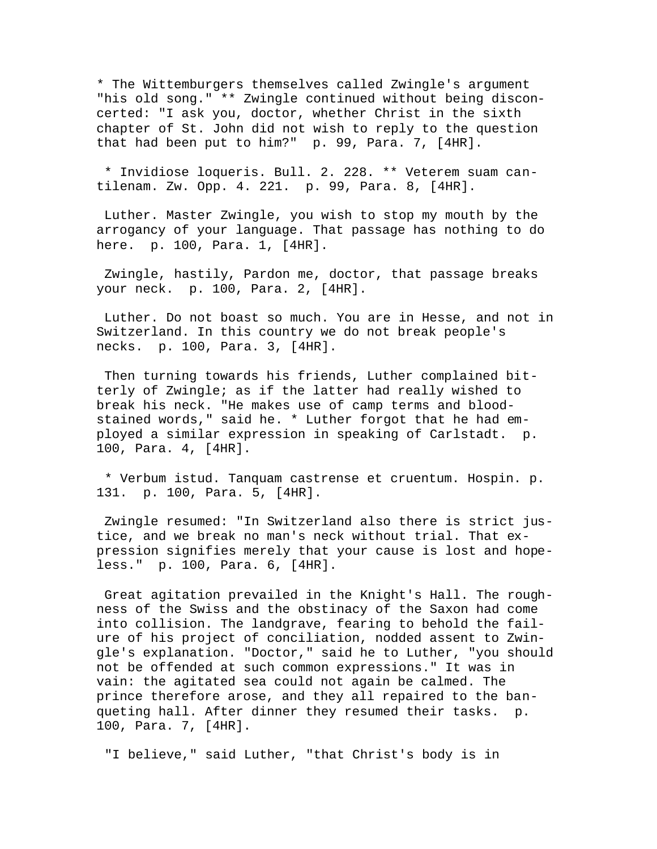\* The Wittemburgers themselves called Zwingle's argument "his old song." \*\* Zwingle continued without being disconcerted: "I ask you, doctor, whether Christ in the sixth chapter of St. John did not wish to reply to the question that had been put to him?" p. 99, Para. 7, [4HR].

 \* Invidiose loqueris. Bull. 2. 228. \*\* Veterem suam cantilenam. Zw. Opp. 4. 221. p. 99, Para. 8, [4HR].

 Luther. Master Zwingle, you wish to stop my mouth by the arrogancy of your language. That passage has nothing to do here. p. 100, Para. 1, [4HR].

 Zwingle, hastily, Pardon me, doctor, that passage breaks your neck. p. 100, Para. 2, [4HR].

 Luther. Do not boast so much. You are in Hesse, and not in Switzerland. In this country we do not break people's necks. p. 100, Para. 3, [4HR].

 Then turning towards his friends, Luther complained bitterly of Zwingle; as if the latter had really wished to break his neck. "He makes use of camp terms and bloodstained words," said he. \* Luther forgot that he had employed a similar expression in speaking of Carlstadt. p. 100, Para. 4, [4HR].

 \* Verbum istud. Tanquam castrense et cruentum. Hospin. p. 131. p. 100, Para. 5, [4HR].

 Zwingle resumed: "In Switzerland also there is strict justice, and we break no man's neck without trial. That expression signifies merely that your cause is lost and hopeless." p. 100, Para. 6, [4HR].

 Great agitation prevailed in the Knight's Hall. The roughness of the Swiss and the obstinacy of the Saxon had come into collision. The landgrave, fearing to behold the failure of his project of conciliation, nodded assent to Zwingle's explanation. "Doctor," said he to Luther, "you should not be offended at such common expressions." It was in vain: the agitated sea could not again be calmed. The prince therefore arose, and they all repaired to the banqueting hall. After dinner they resumed their tasks. p. 100, Para. 7, [4HR].

"I believe," said Luther, "that Christ's body is in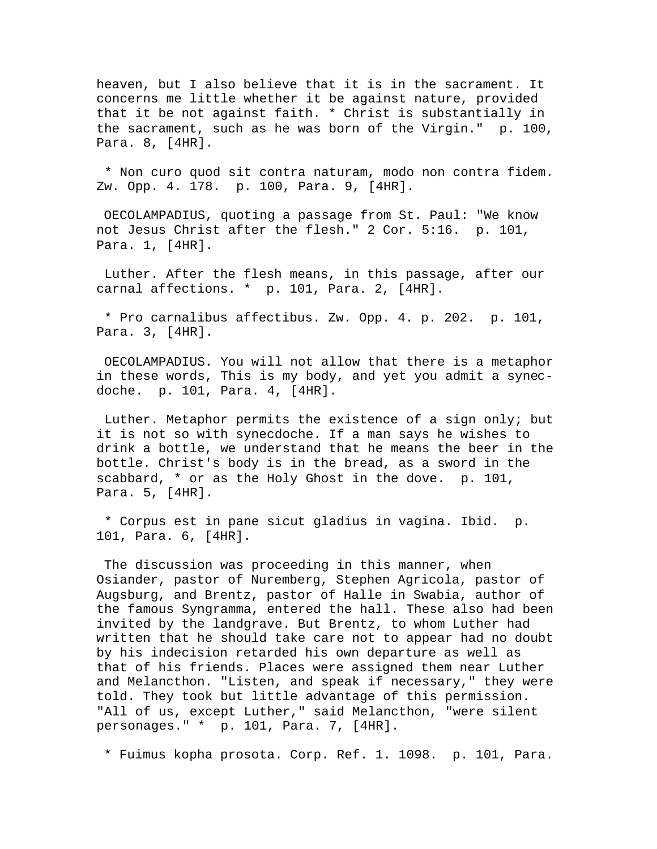heaven, but I also believe that it is in the sacrament. It concerns me little whether it be against nature, provided that it be not against faith. \* Christ is substantially in the sacrament, such as he was born of the Virgin." p. 100, Para. 8, [4HR].

 \* Non curo quod sit contra naturam, modo non contra fidem. Zw. Opp. 4. 178. p. 100, Para. 9, [4HR].

 OECOLAMPADIUS, quoting a passage from St. Paul: "We know not Jesus Christ after the flesh." 2 Cor. 5:16. p. 101, Para. 1, [4HR].

 Luther. After the flesh means, in this passage, after our carnal affections. \* p. 101, Para. 2, [4HR].

 \* Pro carnalibus affectibus. Zw. Opp. 4. p. 202. p. 101, Para. 3, [4HR].

 OECOLAMPADIUS. You will not allow that there is a metaphor in these words, This is my body, and yet you admit a synecdoche. p. 101, Para. 4, [4HR].

 Luther. Metaphor permits the existence of a sign only; but it is not so with synecdoche. If a man says he wishes to drink a bottle, we understand that he means the beer in the bottle. Christ's body is in the bread, as a sword in the scabbard, \* or as the Holy Ghost in the dove. p. 101, Para. 5, [4HR].

 \* Corpus est in pane sicut gladius in vagina. Ibid. p. 101, Para. 6, [4HR].

 The discussion was proceeding in this manner, when Osiander, pastor of Nuremberg, Stephen Agricola, pastor of Augsburg, and Brentz, pastor of Halle in Swabia, author of the famous Syngramma, entered the hall. These also had been invited by the landgrave. But Brentz, to whom Luther had written that he should take care not to appear had no doubt by his indecision retarded his own departure as well as that of his friends. Places were assigned them near Luther and Melancthon. "Listen, and speak if necessary," they were told. They took but little advantage of this permission. "All of us, except Luther," said Melancthon, "were silent personages." \* p. 101, Para. 7, [4HR].

\* Fuimus kopha prosota. Corp. Ref. 1. 1098. p. 101, Para.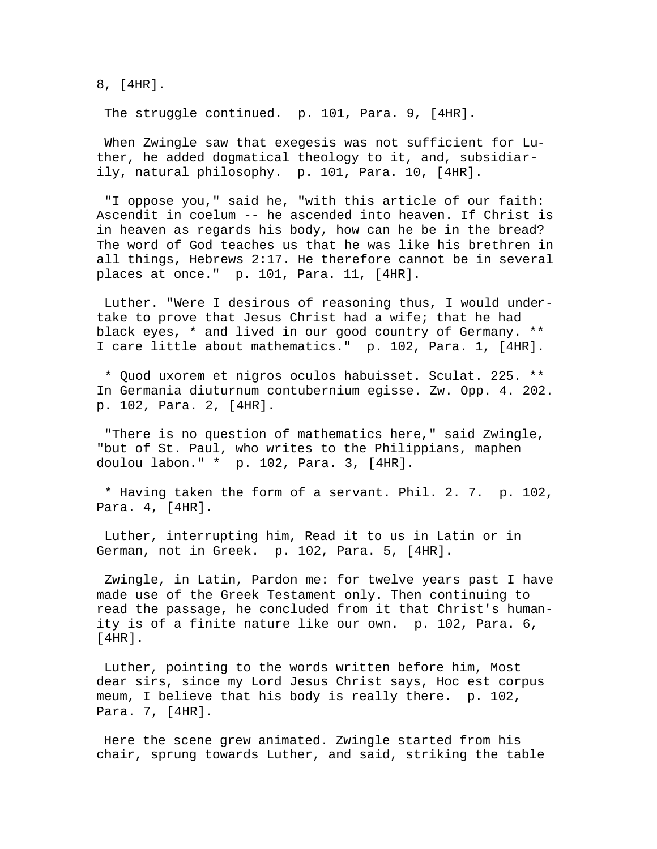8, [4HR].

The struggle continued. p. 101, Para. 9, [4HR].

When Zwingle saw that exegesis was not sufficient for Luther, he added dogmatical theology to it, and, subsidiarily, natural philosophy. p. 101, Para. 10, [4HR].

 "I oppose you," said he, "with this article of our faith: Ascendit in coelum -- he ascended into heaven. If Christ is in heaven as regards his body, how can he be in the bread? The word of God teaches us that he was like his brethren in all things, Hebrews 2:17. He therefore cannot be in several places at once." p. 101, Para. 11, [4HR].

 Luther. "Were I desirous of reasoning thus, I would undertake to prove that Jesus Christ had a wife; that he had black eyes, \* and lived in our good country of Germany. \*\* I care little about mathematics." p. 102, Para. 1, [4HR].

 \* Quod uxorem et nigros oculos habuisset. Sculat. 225. \*\* In Germania diuturnum contubernium egisse. Zw. Opp. 4. 202. p. 102, Para. 2, [4HR].

 "There is no question of mathematics here," said Zwingle, "but of St. Paul, who writes to the Philippians, maphen doulou labon." \* p. 102, Para. 3, [4HR].

 \* Having taken the form of a servant. Phil. 2. 7. p. 102, Para. 4, [4HR].

 Luther, interrupting him, Read it to us in Latin or in German, not in Greek. p. 102, Para. 5, [4HR].

 Zwingle, in Latin, Pardon me: for twelve years past I have made use of the Greek Testament only. Then continuing to read the passage, he concluded from it that Christ's humanity is of a finite nature like our own. p. 102, Para. 6, [4HR].

 Luther, pointing to the words written before him, Most dear sirs, since my Lord Jesus Christ says, Hoc est corpus meum, I believe that his body is really there. p. 102, Para. 7, [4HR].

 Here the scene grew animated. Zwingle started from his chair, sprung towards Luther, and said, striking the table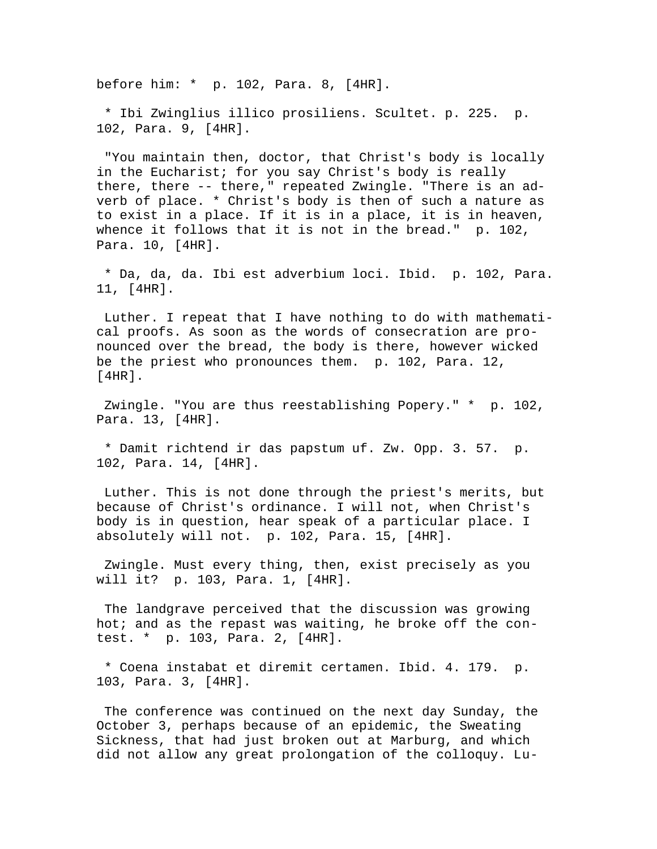before him: \* p. 102, Para. 8, [4HR].

 \* Ibi Zwinglius illico prosiliens. Scultet. p. 225. p. 102, Para. 9, [4HR].

 "You maintain then, doctor, that Christ's body is locally in the Eucharist; for you say Christ's body is really there, there -- there," repeated Zwingle. "There is an adverb of place. \* Christ's body is then of such a nature as to exist in a place. If it is in a place, it is in heaven, whence it follows that it is not in the bread." p. 102, Para. 10, [4HR].

 \* Da, da, da. Ibi est adverbium loci. Ibid. p. 102, Para. 11, [4HR].

 Luther. I repeat that I have nothing to do with mathematical proofs. As soon as the words of consecration are pronounced over the bread, the body is there, however wicked be the priest who pronounces them. p. 102, Para. 12, [4HR].

 Zwingle. "You are thus reestablishing Popery." \* p. 102, Para. 13, [4HR].

 \* Damit richtend ir das papstum uf. Zw. Opp. 3. 57. p. 102, Para. 14, [4HR].

 Luther. This is not done through the priest's merits, but because of Christ's ordinance. I will not, when Christ's body is in question, hear speak of a particular place. I absolutely will not. p. 102, Para. 15, [4HR].

 Zwingle. Must every thing, then, exist precisely as you will it? p. 103, Para. 1, [4HR].

 The landgrave perceived that the discussion was growing hot; and as the repast was waiting, he broke off the contest. \* p. 103, Para. 2, [4HR].

 \* Coena instabat et diremit certamen. Ibid. 4. 179. p. 103, Para. 3, [4HR].

 The conference was continued on the next day Sunday, the October 3, perhaps because of an epidemic, the Sweating Sickness, that had just broken out at Marburg, and which did not allow any great prolongation of the colloquy. Lu-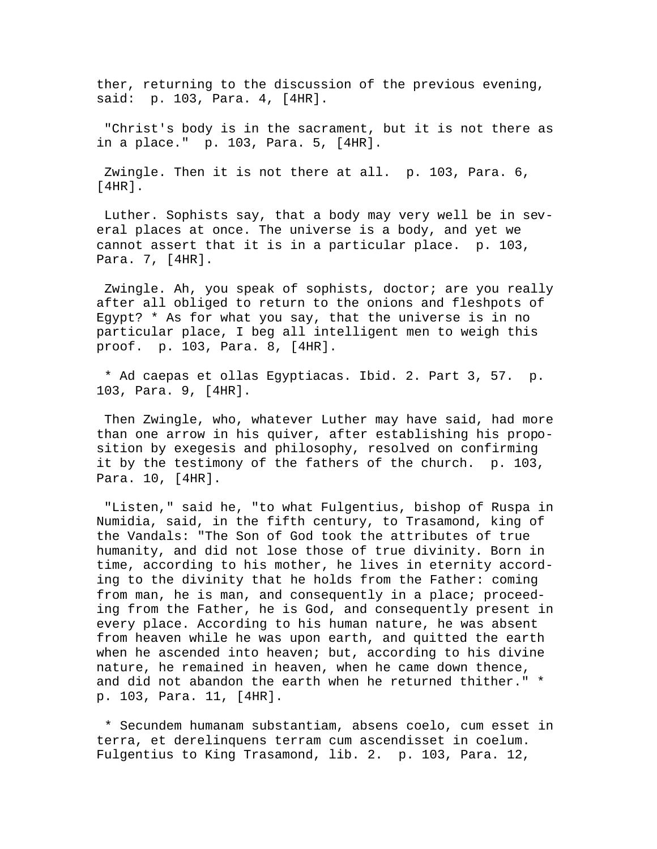ther, returning to the discussion of the previous evening, said: p. 103, Para. 4, [4HR].

 "Christ's body is in the sacrament, but it is not there as in a place." p. 103, Para. 5, [4HR].

 Zwingle. Then it is not there at all. p. 103, Para. 6, [4HR].

 Luther. Sophists say, that a body may very well be in several places at once. The universe is a body, and yet we cannot assert that it is in a particular place. p. 103, Para. 7, [4HR].

 Zwingle. Ah, you speak of sophists, doctor; are you really after all obliged to return to the onions and fleshpots of Egypt? \* As for what you say, that the universe is in no particular place, I beg all intelligent men to weigh this proof. p. 103, Para. 8, [4HR].

 \* Ad caepas et ollas Egyptiacas. Ibid. 2. Part 3, 57. p. 103, Para. 9, [4HR].

 Then Zwingle, who, whatever Luther may have said, had more than one arrow in his quiver, after establishing his proposition by exegesis and philosophy, resolved on confirming it by the testimony of the fathers of the church. p. 103, Para. 10, [4HR].

 "Listen," said he, "to what Fulgentius, bishop of Ruspa in Numidia, said, in the fifth century, to Trasamond, king of the Vandals: "The Son of God took the attributes of true humanity, and did not lose those of true divinity. Born in time, according to his mother, he lives in eternity according to the divinity that he holds from the Father: coming from man, he is man, and consequently in a place; proceeding from the Father, he is God, and consequently present in every place. According to his human nature, he was absent from heaven while he was upon earth, and quitted the earth when he ascended into heaven; but, according to his divine nature, he remained in heaven, when he came down thence, and did not abandon the earth when he returned thither." \* p. 103, Para. 11, [4HR].

 \* Secundem humanam substantiam, absens coelo, cum esset in terra, et derelinquens terram cum ascendisset in coelum. Fulgentius to King Trasamond, lib. 2. p. 103, Para. 12,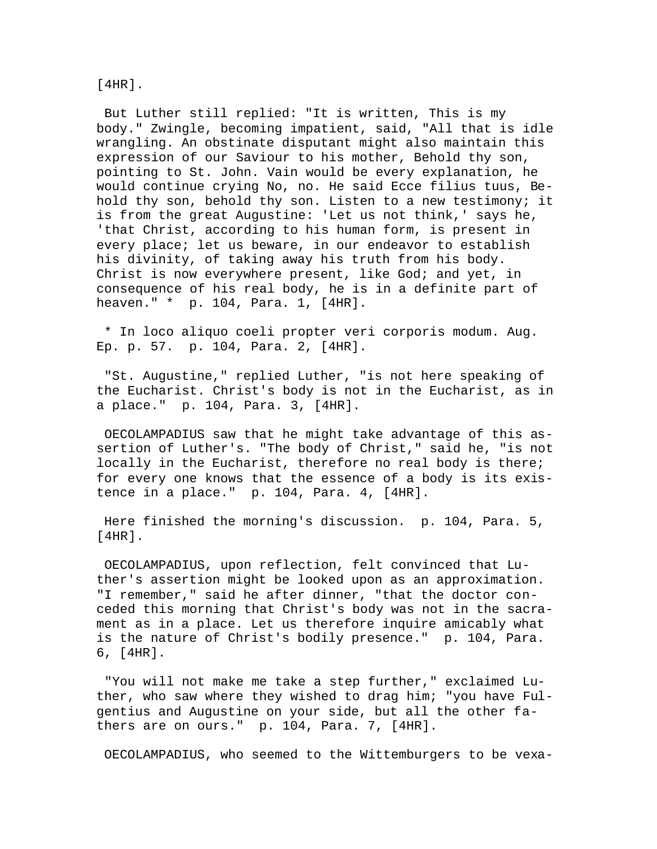## [4HR].

 But Luther still replied: "It is written, This is my body." Zwingle, becoming impatient, said, "All that is idle wrangling. An obstinate disputant might also maintain this expression of our Saviour to his mother, Behold thy son, pointing to St. John. Vain would be every explanation, he would continue crying No, no. He said Ecce filius tuus, Behold thy son, behold thy son. Listen to a new testimony; it is from the great Augustine: 'Let us not think,' says he, 'that Christ, according to his human form, is present in every place; let us beware, in our endeavor to establish his divinity, of taking away his truth from his body. Christ is now everywhere present, like God; and yet, in consequence of his real body, he is in a definite part of heaven." \* p. 104, Para. 1, [4HR].

 \* In loco aliquo coeli propter veri corporis modum. Aug. Ep. p. 57. p. 104, Para. 2, [4HR].

 "St. Augustine," replied Luther, "is not here speaking of the Eucharist. Christ's body is not in the Eucharist, as in a place." p. 104, Para. 3, [4HR].

 OECOLAMPADIUS saw that he might take advantage of this assertion of Luther's. "The body of Christ," said he, "is not locally in the Eucharist, therefore no real body is there; for every one knows that the essence of a body is its existence in a place." p. 104, Para. 4, [4HR].

 Here finished the morning's discussion. p. 104, Para. 5, [4HR].

 OECOLAMPADIUS, upon reflection, felt convinced that Luther's assertion might be looked upon as an approximation. "I remember," said he after dinner, "that the doctor conceded this morning that Christ's body was not in the sacrament as in a place. Let us therefore inquire amicably what is the nature of Christ's bodily presence." p. 104, Para. 6, [4HR].

 "You will not make me take a step further," exclaimed Luther, who saw where they wished to drag him; "you have Fulgentius and Augustine on your side, but all the other fathers are on ours." p. 104, Para. 7, [4HR].

OECOLAMPADIUS, who seemed to the Wittemburgers to be vexa-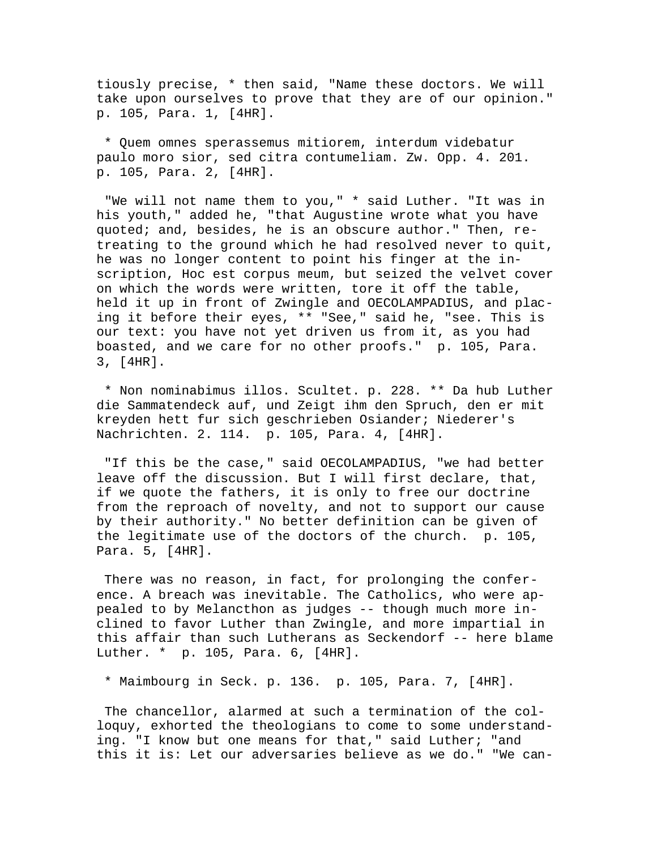tiously precise, \* then said, "Name these doctors. We will take upon ourselves to prove that they are of our opinion." p. 105, Para. 1, [4HR].

 \* Quem omnes sperassemus mitiorem, interdum videbatur paulo moro sior, sed citra contumeliam. Zw. Opp. 4. 201. p. 105, Para. 2, [4HR].

 "We will not name them to you," \* said Luther. "It was in his youth," added he, "that Augustine wrote what you have quoted; and, besides, he is an obscure author." Then, retreating to the ground which he had resolved never to quit, he was no longer content to point his finger at the inscription, Hoc est corpus meum, but seized the velvet cover on which the words were written, tore it off the table, held it up in front of Zwingle and OECOLAMPADIUS, and placing it before their eyes, \*\* "See," said he, "see. This is our text: you have not yet driven us from it, as you had boasted, and we care for no other proofs." p. 105, Para. 3, [4HR].

 \* Non nominabimus illos. Scultet. p. 228. \*\* Da hub Luther die Sammatendeck auf, und Zeigt ihm den Spruch, den er mit kreyden hett fur sich geschrieben Osiander; Niederer's Nachrichten. 2. 114. p. 105, Para. 4, [4HR].

 "If this be the case," said OECOLAMPADIUS, "we had better leave off the discussion. But I will first declare, that, if we quote the fathers, it is only to free our doctrine from the reproach of novelty, and not to support our cause by their authority." No better definition can be given of the legitimate use of the doctors of the church. p. 105, Para. 5, [4HR].

 There was no reason, in fact, for prolonging the conference. A breach was inevitable. The Catholics, who were appealed to by Melancthon as judges -- though much more inclined to favor Luther than Zwingle, and more impartial in this affair than such Lutherans as Seckendorf -- here blame Luther. \* p. 105, Para. 6, [4HR].

\* Maimbourg in Seck. p. 136. p. 105, Para. 7, [4HR].

 The chancellor, alarmed at such a termination of the colloquy, exhorted the theologians to come to some understanding. "I know but one means for that," said Luther; "and this it is: Let our adversaries believe as we do." "We can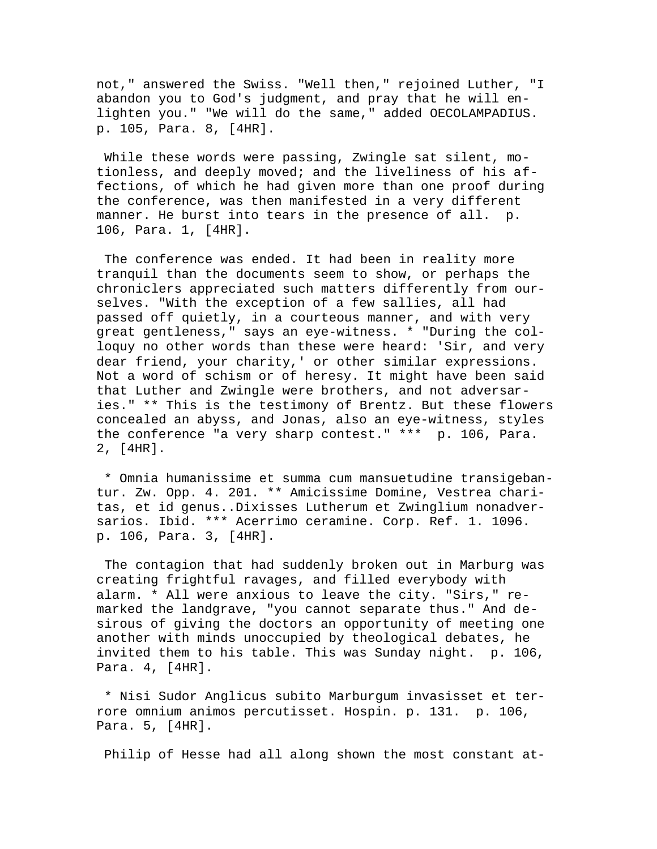not," answered the Swiss. "Well then," rejoined Luther, "I abandon you to God's judgment, and pray that he will enlighten you." "We will do the same," added OECOLAMPADIUS. p. 105, Para. 8, [4HR].

 While these words were passing, Zwingle sat silent, motionless, and deeply moved; and the liveliness of his affections, of which he had given more than one proof during the conference, was then manifested in a very different manner. He burst into tears in the presence of all. p. 106, Para. 1, [4HR].

 The conference was ended. It had been in reality more tranquil than the documents seem to show, or perhaps the chroniclers appreciated such matters differently from ourselves. "With the exception of a few sallies, all had passed off quietly, in a courteous manner, and with very great gentleness," says an eye-witness. \* "During the colloquy no other words than these were heard: 'Sir, and very dear friend, your charity,' or other similar expressions. Not a word of schism or of heresy. It might have been said that Luther and Zwingle were brothers, and not adversaries." \*\* This is the testimony of Brentz. But these flowers concealed an abyss, and Jonas, also an eye-witness, styles the conference "a very sharp contest." \*\*\* p. 106, Para. 2, [4HR].

 \* Omnia humanissime et summa cum mansuetudine transigebantur. Zw. Opp. 4. 201. \*\* Amicissime Domine, Vestrea charitas, et id genus..Dixisses Lutherum et Zwinglium nonadversarios. Ibid. \*\*\* Acerrimo ceramine. Corp. Ref. 1. 1096. p. 106, Para. 3, [4HR].

 The contagion that had suddenly broken out in Marburg was creating frightful ravages, and filled everybody with alarm. \* All were anxious to leave the city. "Sirs," remarked the landgrave, "you cannot separate thus." And desirous of giving the doctors an opportunity of meeting one another with minds unoccupied by theological debates, he invited them to his table. This was Sunday night. p. 106, Para. 4, [4HR].

 \* Nisi Sudor Anglicus subito Marburgum invasisset et terrore omnium animos percutisset. Hospin. p. 131. p. 106, Para. 5, [4HR].

Philip of Hesse had all along shown the most constant at-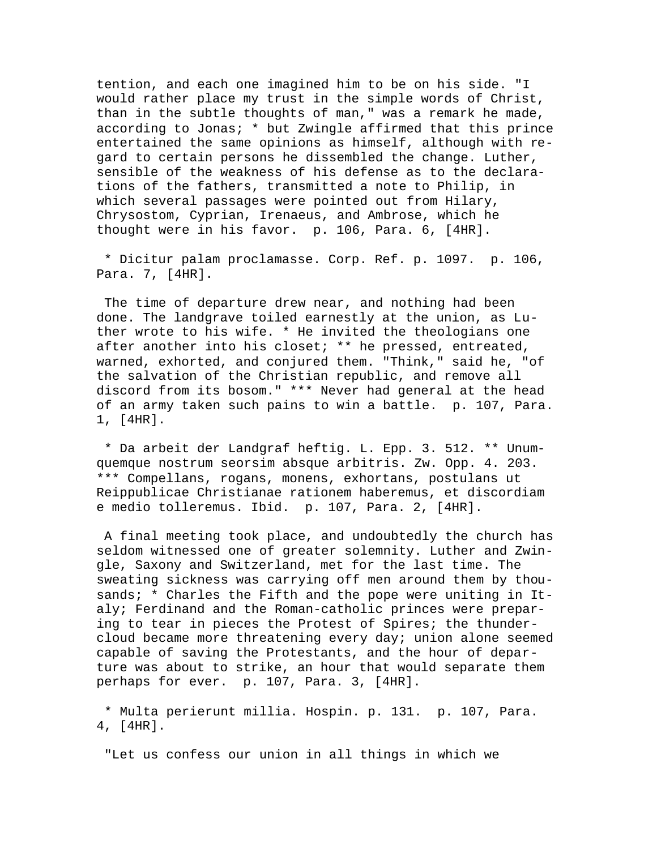tention, and each one imagined him to be on his side. "I would rather place my trust in the simple words of Christ, than in the subtle thoughts of man," was a remark he made, according to Jonas; \* but Zwingle affirmed that this prince entertained the same opinions as himself, although with regard to certain persons he dissembled the change. Luther, sensible of the weakness of his defense as to the declarations of the fathers, transmitted a note to Philip, in which several passages were pointed out from Hilary, Chrysostom, Cyprian, Irenaeus, and Ambrose, which he thought were in his favor. p. 106, Para. 6, [4HR].

 \* Dicitur palam proclamasse. Corp. Ref. p. 1097. p. 106, Para. 7, [4HR].

 The time of departure drew near, and nothing had been done. The landgrave toiled earnestly at the union, as Luther wrote to his wife. \* He invited the theologians one after another into his closet; \*\* he pressed, entreated, warned, exhorted, and conjured them. "Think," said he, "of the salvation of the Christian republic, and remove all discord from its bosom." \*\*\* Never had general at the head of an army taken such pains to win a battle. p. 107, Para. 1, [4HR].

 \* Da arbeit der Landgraf heftig. L. Epp. 3. 512. \*\* Unumquemque nostrum seorsim absque arbitris. Zw. Opp. 4. 203. \*\*\* Compellans, rogans, monens, exhortans, postulans ut Reippublicae Christianae rationem haberemus, et discordiam e medio tolleremus. Ibid. p. 107, Para. 2, [4HR].

 A final meeting took place, and undoubtedly the church has seldom witnessed one of greater solemnity. Luther and Zwingle, Saxony and Switzerland, met for the last time. The sweating sickness was carrying off men around them by thousands; \* Charles the Fifth and the pope were uniting in Italy; Ferdinand and the Roman-catholic princes were preparing to tear in pieces the Protest of Spires; the thundercloud became more threatening every day; union alone seemed capable of saving the Protestants, and the hour of departure was about to strike, an hour that would separate them perhaps for ever. p. 107, Para. 3, [4HR].

 \* Multa perierunt millia. Hospin. p. 131. p. 107, Para. 4, [4HR].

"Let us confess our union in all things in which we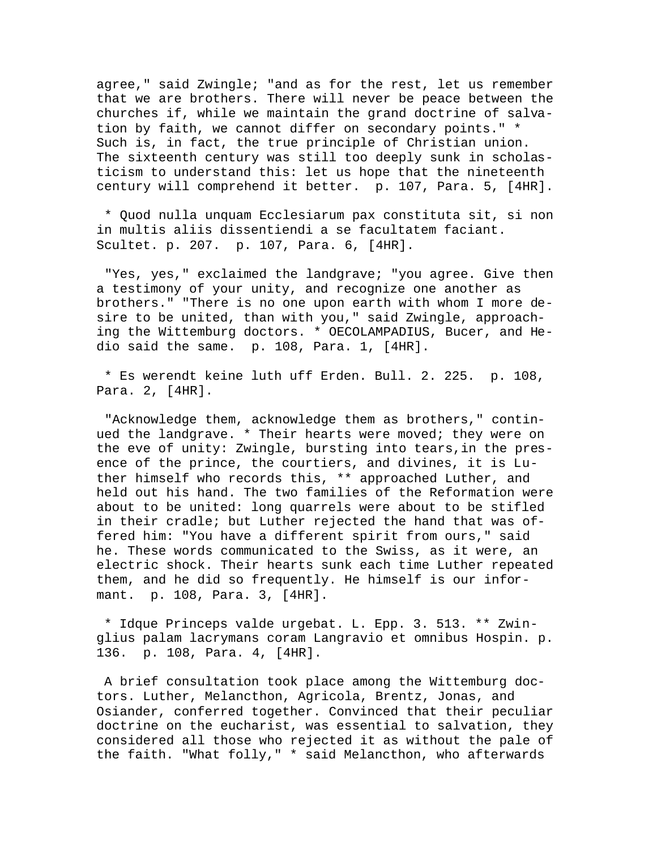agree," said Zwingle; "and as for the rest, let us remember that we are brothers. There will never be peace between the churches if, while we maintain the grand doctrine of salvation by faith, we cannot differ on secondary points." \* Such is, in fact, the true principle of Christian union. The sixteenth century was still too deeply sunk in scholasticism to understand this: let us hope that the nineteenth century will comprehend it better. p. 107, Para. 5, [4HR].

 \* Quod nulla unquam Ecclesiarum pax constituta sit, si non in multis aliis dissentiendi a se facultatem faciant. Scultet. p. 207. p. 107, Para. 6, [4HR].

 "Yes, yes," exclaimed the landgrave; "you agree. Give then a testimony of your unity, and recognize one another as brothers." "There is no one upon earth with whom I more desire to be united, than with you," said Zwingle, approaching the Wittemburg doctors. \* OECOLAMPADIUS, Bucer, and Hedio said the same. p. 108, Para. 1, [4HR].

 \* Es werendt keine luth uff Erden. Bull. 2. 225. p. 108, Para. 2, [4HR].

 "Acknowledge them, acknowledge them as brothers," continued the landgrave. \* Their hearts were moved; they were on the eve of unity: Zwingle, bursting into tears,in the presence of the prince, the courtiers, and divines, it is Luther himself who records this, \*\* approached Luther, and held out his hand. The two families of the Reformation were about to be united: long quarrels were about to be stifled in their cradle; but Luther rejected the hand that was offered him: "You have a different spirit from ours," said he. These words communicated to the Swiss, as it were, an electric shock. Their hearts sunk each time Luther repeated them, and he did so frequently. He himself is our informant. p. 108, Para. 3, [4HR].

 \* Idque Princeps valde urgebat. L. Epp. 3. 513. \*\* Zwinglius palam lacrymans coram Langravio et omnibus Hospin. p. 136. p. 108, Para. 4, [4HR].

 A brief consultation took place among the Wittemburg doctors. Luther, Melancthon, Agricola, Brentz, Jonas, and Osiander, conferred together. Convinced that their peculiar doctrine on the eucharist, was essential to salvation, they considered all those who rejected it as without the pale of the faith. "What folly," \* said Melancthon, who afterwards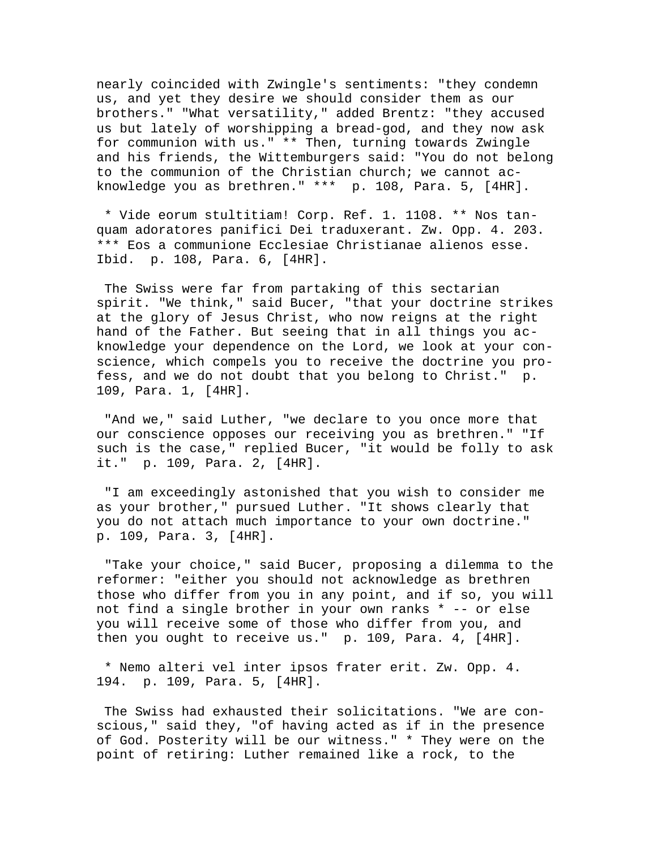nearly coincided with Zwingle's sentiments: "they condemn us, and yet they desire we should consider them as our brothers." "What versatility," added Brentz: "they accused us but lately of worshipping a bread-god, and they now ask for communion with us." \*\* Then, turning towards Zwingle and his friends, the Wittemburgers said: "You do not belong to the communion of the Christian church; we cannot acknowledge you as brethren." \*\*\* p. 108, Para. 5, [4HR].

 \* Vide eorum stultitiam! Corp. Ref. 1. 1108. \*\* Nos tanquam adoratores panifici Dei traduxerant. Zw. Opp. 4. 203. \*\*\* Eos a communione Ecclesiae Christianae alienos esse. Ibid. p. 108, Para. 6, [4HR].

 The Swiss were far from partaking of this sectarian spirit. "We think," said Bucer, "that your doctrine strikes at the glory of Jesus Christ, who now reigns at the right hand of the Father. But seeing that in all things you acknowledge your dependence on the Lord, we look at your conscience, which compels you to receive the doctrine you profess, and we do not doubt that you belong to Christ." p. 109, Para. 1, [4HR].

"And we," said Luther, "we declare to you once more that our conscience opposes our receiving you as brethren." "If such is the case," replied Bucer, "it would be folly to ask it." p. 109, Para. 2, [4HR].

 "I am exceedingly astonished that you wish to consider me as your brother," pursued Luther. "It shows clearly that you do not attach much importance to your own doctrine." p. 109, Para. 3, [4HR].

 "Take your choice," said Bucer, proposing a dilemma to the reformer: "either you should not acknowledge as brethren those who differ from you in any point, and if so, you will not find a single brother in your own ranks \* -- or else you will receive some of those who differ from you, and then you ought to receive us." p. 109, Para. 4, [4HR].

 \* Nemo alteri vel inter ipsos frater erit. Zw. Opp. 4. 194. p. 109, Para. 5, [4HR].

 The Swiss had exhausted their solicitations. "We are conscious," said they, "of having acted as if in the presence of God. Posterity will be our witness." \* They were on the point of retiring: Luther remained like a rock, to the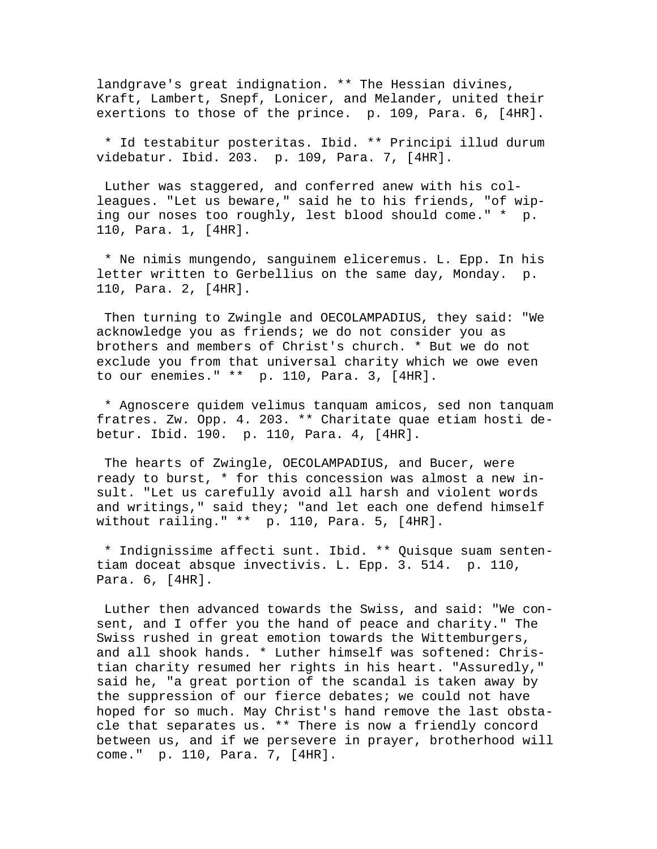landgrave's great indignation. \*\* The Hessian divines, Kraft, Lambert, Snepf, Lonicer, and Melander, united their exertions to those of the prince. p. 109, Para. 6, [4HR].

 \* Id testabitur posteritas. Ibid. \*\* Principi illud durum videbatur. Ibid. 203. p. 109, Para. 7, [4HR].

 Luther was staggered, and conferred anew with his colleagues. "Let us beware," said he to his friends, "of wiping our noses too roughly, lest blood should come." \* p. 110, Para. 1, [4HR].

 \* Ne nimis mungendo, sanguinem eliceremus. L. Epp. In his letter written to Gerbellius on the same day, Monday. p. 110, Para. 2, [4HR].

 Then turning to Zwingle and OECOLAMPADIUS, they said: "We acknowledge you as friends; we do not consider you as brothers and members of Christ's church. \* But we do not exclude you from that universal charity which we owe even to our enemies." \*\* p. 110, Para. 3, [4HR].

 \* Agnoscere quidem velimus tanquam amicos, sed non tanquam fratres. Zw. Opp. 4. 203. \*\* Charitate quae etiam hosti debetur. Ibid. 190. p. 110, Para. 4, [4HR].

 The hearts of Zwingle, OECOLAMPADIUS, and Bucer, were ready to burst, \* for this concession was almost a new insult. "Let us carefully avoid all harsh and violent words and writings," said they; "and let each one defend himself without railing." \*\* p. 110, Para. 5, [4HR].

 \* Indignissime affecti sunt. Ibid. \*\* Quisque suam sententiam doceat absque invectivis. L. Epp. 3. 514. p. 110, Para. 6, [4HR].

 Luther then advanced towards the Swiss, and said: "We consent, and I offer you the hand of peace and charity." The Swiss rushed in great emotion towards the Wittemburgers, and all shook hands. \* Luther himself was softened: Christian charity resumed her rights in his heart. "Assuredly," said he, "a great portion of the scandal is taken away by the suppression of our fierce debates; we could not have hoped for so much. May Christ's hand remove the last obstacle that separates us. \*\* There is now a friendly concord between us, and if we persevere in prayer, brotherhood will come." p. 110, Para. 7, [4HR].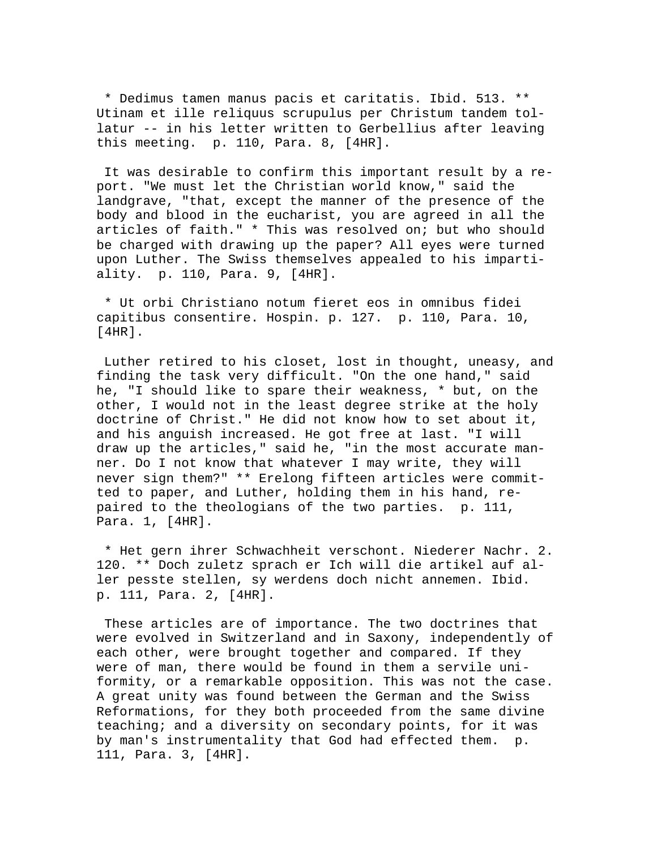\* Dedimus tamen manus pacis et caritatis. Ibid. 513. \*\* Utinam et ille reliquus scrupulus per Christum tandem tollatur -- in his letter written to Gerbellius after leaving this meeting. p. 110, Para. 8, [4HR].

 It was desirable to confirm this important result by a report. "We must let the Christian world know," said the landgrave, "that, except the manner of the presence of the body and blood in the eucharist, you are agreed in all the articles of faith." \* This was resolved on; but who should be charged with drawing up the paper? All eyes were turned upon Luther. The Swiss themselves appealed to his impartiality. p. 110, Para. 9, [4HR].

 \* Ut orbi Christiano notum fieret eos in omnibus fidei capitibus consentire. Hospin. p. 127. p. 110, Para. 10, [4HR].

 Luther retired to his closet, lost in thought, uneasy, and finding the task very difficult. "On the one hand," said he, "I should like to spare their weakness, \* but, on the other, I would not in the least degree strike at the holy doctrine of Christ." He did not know how to set about it, and his anguish increased. He got free at last. "I will draw up the articles," said he, "in the most accurate manner. Do I not know that whatever I may write, they will never sign them?" \*\* Erelong fifteen articles were committed to paper, and Luther, holding them in his hand, repaired to the theologians of the two parties. p. 111, Para. 1, [4HR].

 \* Het gern ihrer Schwachheit verschont. Niederer Nachr. 2. 120. \*\* Doch zuletz sprach er Ich will die artikel auf aller pesste stellen, sy werdens doch nicht annemen. Ibid. p. 111, Para. 2, [4HR].

 These articles are of importance. The two doctrines that were evolved in Switzerland and in Saxony, independently of each other, were brought together and compared. If they were of man, there would be found in them a servile uniformity, or a remarkable opposition. This was not the case. A great unity was found between the German and the Swiss Reformations, for they both proceeded from the same divine teaching; and a diversity on secondary points, for it was by man's instrumentality that God had effected them. p. 111, Para. 3, [4HR].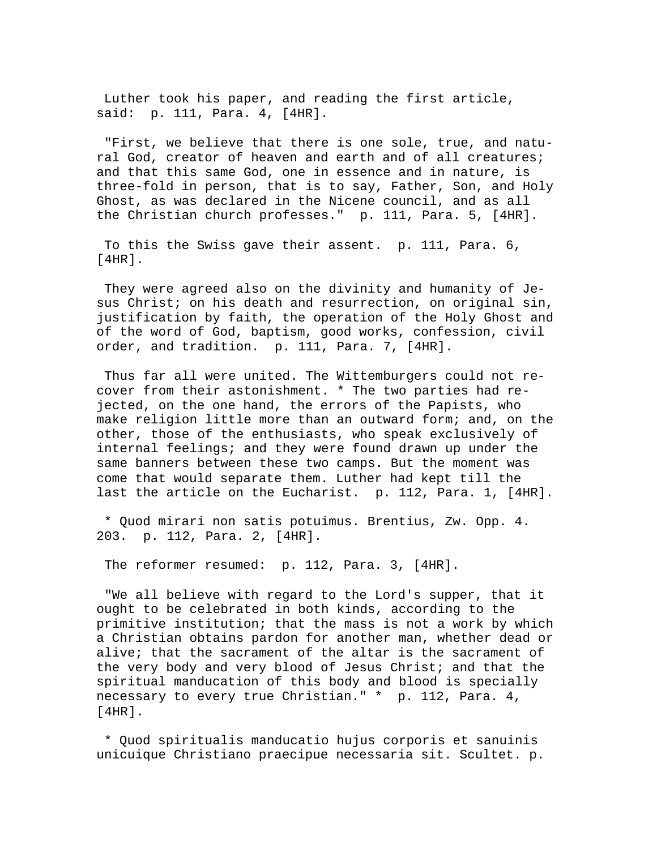Luther took his paper, and reading the first article, said: p. 111, Para. 4, [4HR].

 "First, we believe that there is one sole, true, and natural God, creator of heaven and earth and of all creatures; and that this same God, one in essence and in nature, is three-fold in person, that is to say, Father, Son, and Holy Ghost, as was declared in the Nicene council, and as all the Christian church professes." p. 111, Para. 5, [4HR].

 To this the Swiss gave their assent. p. 111, Para. 6, [4HR].

 They were agreed also on the divinity and humanity of Jesus Christ; on his death and resurrection, on original sin, justification by faith, the operation of the Holy Ghost and of the word of God, baptism, good works, confession, civil order, and tradition. p. 111, Para. 7, [4HR].

 Thus far all were united. The Wittemburgers could not recover from their astonishment. \* The two parties had rejected, on the one hand, the errors of the Papists, who make religion little more than an outward form; and, on the other, those of the enthusiasts, who speak exclusively of internal feelings; and they were found drawn up under the same banners between these two camps. But the moment was come that would separate them. Luther had kept till the last the article on the Eucharist. p. 112, Para. 1, [4HR].

 \* Quod mirari non satis potuimus. Brentius, Zw. Opp. 4. 203. p. 112, Para. 2, [4HR].

The reformer resumed: p. 112, Para. 3, [4HR].

 "We all believe with regard to the Lord's supper, that it ought to be celebrated in both kinds, according to the primitive institution; that the mass is not a work by which a Christian obtains pardon for another man, whether dead or alive; that the sacrament of the altar is the sacrament of the very body and very blood of Jesus Christ; and that the spiritual manducation of this body and blood is specially necessary to every true Christian." \* p. 112, Para. 4, [4HR].

 \* Quod spiritualis manducatio hujus corporis et sanuinis unicuique Christiano praecipue necessaria sit. Scultet. p.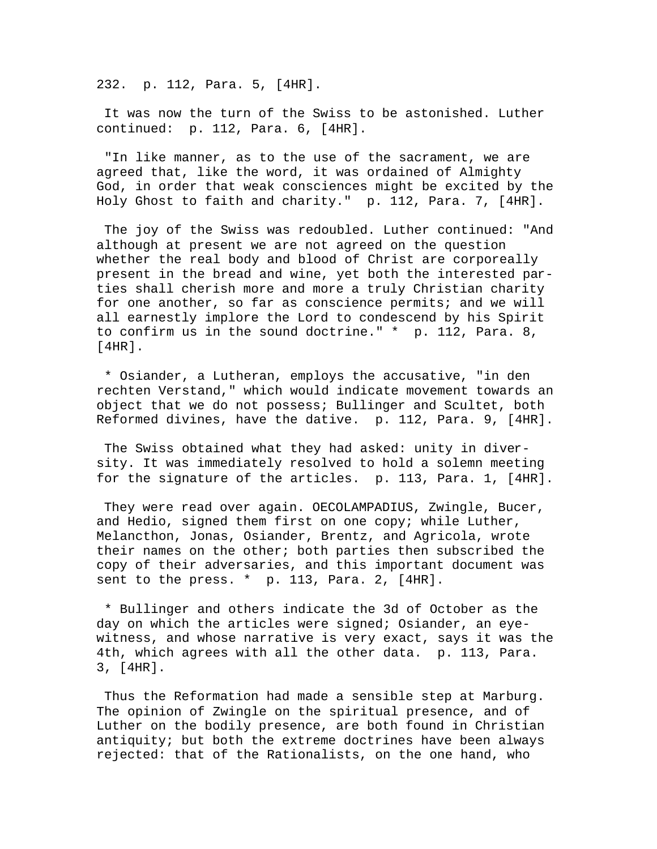232. p. 112, Para. 5, [4HR].

 It was now the turn of the Swiss to be astonished. Luther continued: p. 112, Para. 6, [4HR].

 "In like manner, as to the use of the sacrament, we are agreed that, like the word, it was ordained of Almighty God, in order that weak consciences might be excited by the Holy Ghost to faith and charity." p. 112, Para. 7, [4HR].

 The joy of the Swiss was redoubled. Luther continued: "And although at present we are not agreed on the question whether the real body and blood of Christ are corporeally present in the bread and wine, yet both the interested parties shall cherish more and more a truly Christian charity for one another, so far as conscience permits; and we will all earnestly implore the Lord to condescend by his Spirit to confirm us in the sound doctrine." \* p. 112, Para. 8, [4HR].

 \* Osiander, a Lutheran, employs the accusative, "in den rechten Verstand," which would indicate movement towards an object that we do not possess; Bullinger and Scultet, both Reformed divines, have the dative. p. 112, Para. 9, [4HR].

 The Swiss obtained what they had asked: unity in diversity. It was immediately resolved to hold a solemn meeting for the signature of the articles. p. 113, Para. 1, [4HR].

 They were read over again. OECOLAMPADIUS, Zwingle, Bucer, and Hedio, signed them first on one copy; while Luther, Melancthon, Jonas, Osiander, Brentz, and Agricola, wrote their names on the other; both parties then subscribed the copy of their adversaries, and this important document was sent to the press. \* p. 113, Para. 2, [4HR].

 \* Bullinger and others indicate the 3d of October as the day on which the articles were signed; Osiander, an eyewitness, and whose narrative is very exact, says it was the 4th, which agrees with all the other data. p. 113, Para. 3, [4HR].

 Thus the Reformation had made a sensible step at Marburg. The opinion of Zwingle on the spiritual presence, and of Luther on the bodily presence, are both found in Christian antiquity; but both the extreme doctrines have been always rejected: that of the Rationalists, on the one hand, who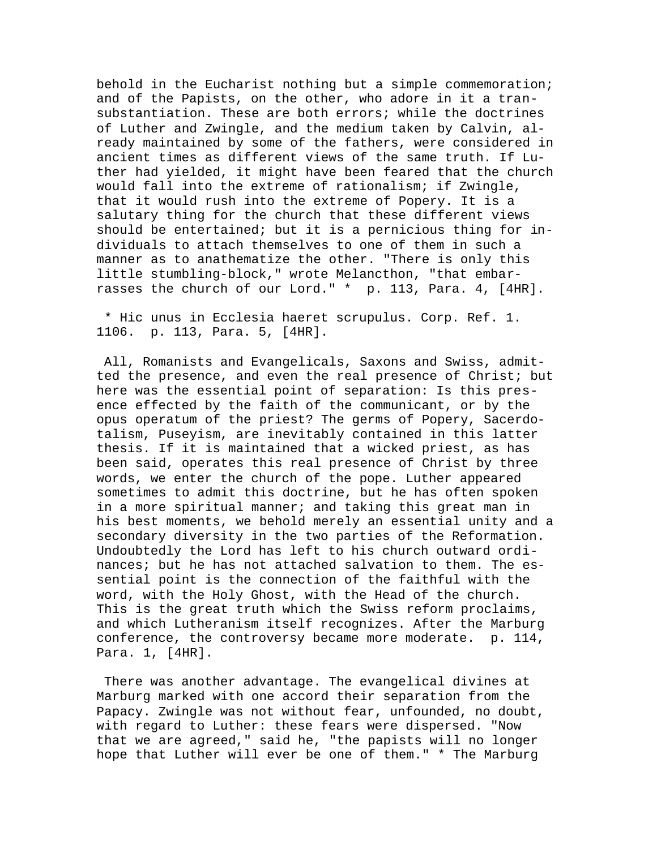behold in the Eucharist nothing but a simple commemoration; and of the Papists, on the other, who adore in it a transubstantiation. These are both errors; while the doctrines of Luther and Zwingle, and the medium taken by Calvin, already maintained by some of the fathers, were considered in ancient times as different views of the same truth. If Luther had yielded, it might have been feared that the church would fall into the extreme of rationalism; if Zwingle, that it would rush into the extreme of Popery. It is a salutary thing for the church that these different views should be entertained; but it is a pernicious thing for individuals to attach themselves to one of them in such a manner as to anathematize the other. "There is only this little stumbling-block," wrote Melancthon, "that embarrasses the church of our Lord." \* p. 113, Para. 4, [4HR].

 \* Hic unus in Ecclesia haeret scrupulus. Corp. Ref. 1. 1106. p. 113, Para. 5, [4HR].

 All, Romanists and Evangelicals, Saxons and Swiss, admitted the presence, and even the real presence of Christ; but here was the essential point of separation: Is this presence effected by the faith of the communicant, or by the opus operatum of the priest? The germs of Popery, Sacerdotalism, Puseyism, are inevitably contained in this latter thesis. If it is maintained that a wicked priest, as has been said, operates this real presence of Christ by three words, we enter the church of the pope. Luther appeared sometimes to admit this doctrine, but he has often spoken in a more spiritual manner; and taking this great man in his best moments, we behold merely an essential unity and a secondary diversity in the two parties of the Reformation. Undoubtedly the Lord has left to his church outward ordinances; but he has not attached salvation to them. The essential point is the connection of the faithful with the word, with the Holy Ghost, with the Head of the church. This is the great truth which the Swiss reform proclaims, and which Lutheranism itself recognizes. After the Marburg conference, the controversy became more moderate. p. 114, Para. 1, [4HR].

 There was another advantage. The evangelical divines at Marburg marked with one accord their separation from the Papacy. Zwingle was not without fear, unfounded, no doubt, with regard to Luther: these fears were dispersed. "Now that we are agreed," said he, "the papists will no longer hope that Luther will ever be one of them." \* The Marburg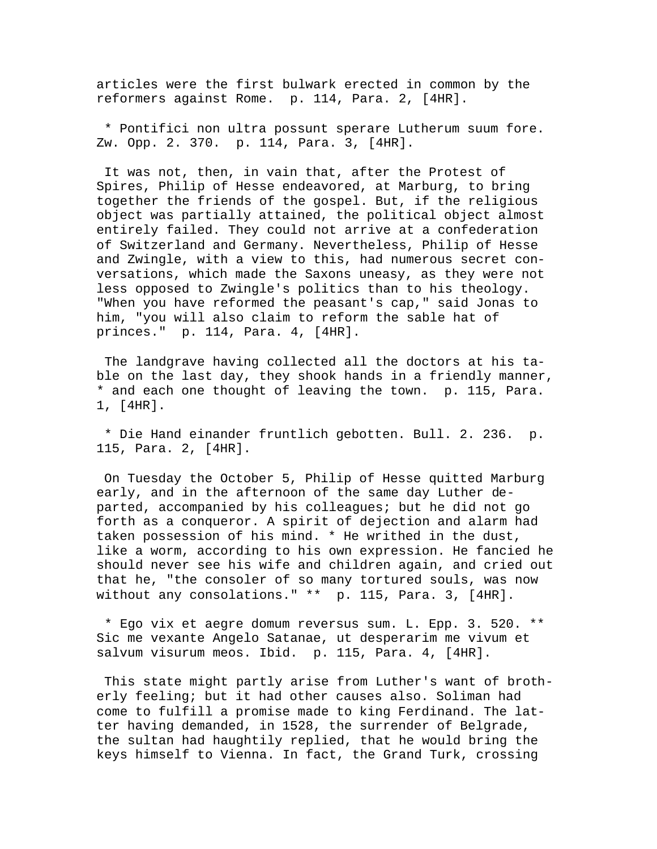articles were the first bulwark erected in common by the reformers against Rome. p. 114, Para. 2, [4HR].

 \* Pontifici non ultra possunt sperare Lutherum suum fore. Zw. Opp. 2. 370. p. 114, Para. 3, [4HR].

 It was not, then, in vain that, after the Protest of Spires, Philip of Hesse endeavored, at Marburg, to bring together the friends of the gospel. But, if the religious object was partially attained, the political object almost entirely failed. They could not arrive at a confederation of Switzerland and Germany. Nevertheless, Philip of Hesse and Zwingle, with a view to this, had numerous secret conversations, which made the Saxons uneasy, as they were not less opposed to Zwingle's politics than to his theology. "When you have reformed the peasant's cap," said Jonas to him, "you will also claim to reform the sable hat of princes." p. 114, Para. 4, [4HR].

 The landgrave having collected all the doctors at his table on the last day, they shook hands in a friendly manner, \* and each one thought of leaving the town. p. 115, Para. 1, [4HR].

 \* Die Hand einander fruntlich gebotten. Bull. 2. 236. p. 115, Para. 2, [4HR].

 On Tuesday the October 5, Philip of Hesse quitted Marburg early, and in the afternoon of the same day Luther departed, accompanied by his colleagues; but he did not go forth as a conqueror. A spirit of dejection and alarm had taken possession of his mind. \* He writhed in the dust, like a worm, according to his own expression. He fancied he should never see his wife and children again, and cried out that he, "the consoler of so many tortured souls, was now without any consolations." \*\* p. 115, Para. 3, [4HR].

 \* Ego vix et aegre domum reversus sum. L. Epp. 3. 520. \*\* Sic me vexante Angelo Satanae, ut desperarim me vivum et salvum visurum meos. Ibid. p. 115, Para. 4, [4HR].

 This state might partly arise from Luther's want of brotherly feeling; but it had other causes also. Soliman had come to fulfill a promise made to king Ferdinand. The latter having demanded, in 1528, the surrender of Belgrade, the sultan had haughtily replied, that he would bring the keys himself to Vienna. In fact, the Grand Turk, crossing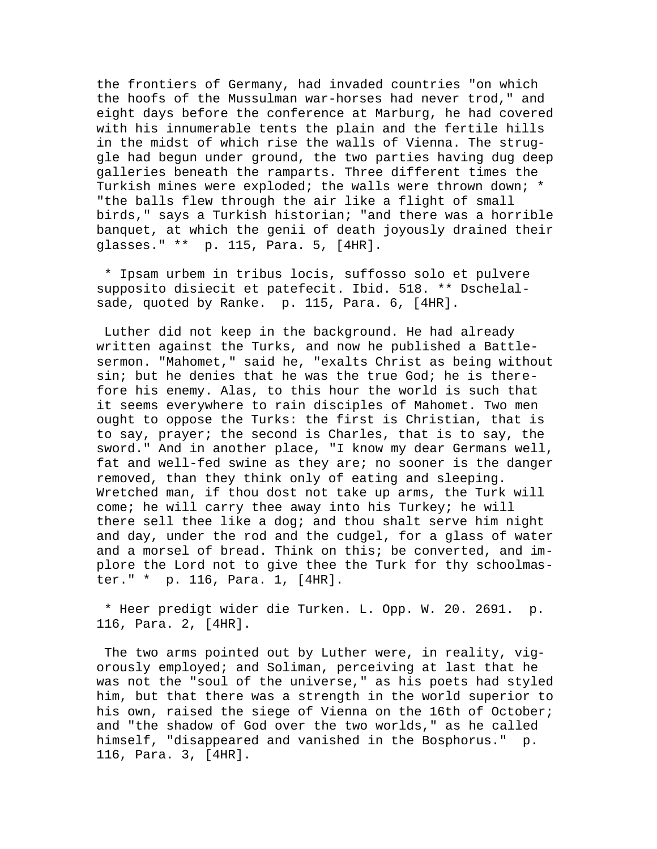the frontiers of Germany, had invaded countries "on which the hoofs of the Mussulman war-horses had never trod," and eight days before the conference at Marburg, he had covered with his innumerable tents the plain and the fertile hills in the midst of which rise the walls of Vienna. The struggle had begun under ground, the two parties having dug deep galleries beneath the ramparts. Three different times the Turkish mines were exploded; the walls were thrown down; \* "the balls flew through the air like a flight of small birds," says a Turkish historian; "and there was a horrible banquet, at which the genii of death joyously drained their glasses." \*\* p. 115, Para. 5, [4HR].

 \* Ipsam urbem in tribus locis, suffosso solo et pulvere supposito disiecit et patefecit. Ibid. 518. \*\* Dschelalsade, quoted by Ranke. p. 115, Para. 6, [4HR].

 Luther did not keep in the background. He had already written against the Turks, and now he published a Battlesermon. "Mahomet," said he, "exalts Christ as being without sin; but he denies that he was the true God; he is therefore his enemy. Alas, to this hour the world is such that it seems everywhere to rain disciples of Mahomet. Two men ought to oppose the Turks: the first is Christian, that is to say, prayer; the second is Charles, that is to say, the sword." And in another place, "I know my dear Germans well, fat and well-fed swine as they are; no sooner is the danger removed, than they think only of eating and sleeping. Wretched man, if thou dost not take up arms, the Turk will come; he will carry thee away into his Turkey; he will there sell thee like a dog; and thou shalt serve him night and day, under the rod and the cudgel, for a glass of water and a morsel of bread. Think on this; be converted, and implore the Lord not to give thee the Turk for thy schoolmaster." \* p. 116, Para. 1, [4HR].

 \* Heer predigt wider die Turken. L. Opp. W. 20. 2691. p. 116, Para. 2, [4HR].

 The two arms pointed out by Luther were, in reality, vigorously employed; and Soliman, perceiving at last that he was not the "soul of the universe," as his poets had styled him, but that there was a strength in the world superior to his own, raised the siege of Vienna on the 16th of October; and "the shadow of God over the two worlds," as he called himself, "disappeared and vanished in the Bosphorus." p. 116, Para. 3, [4HR].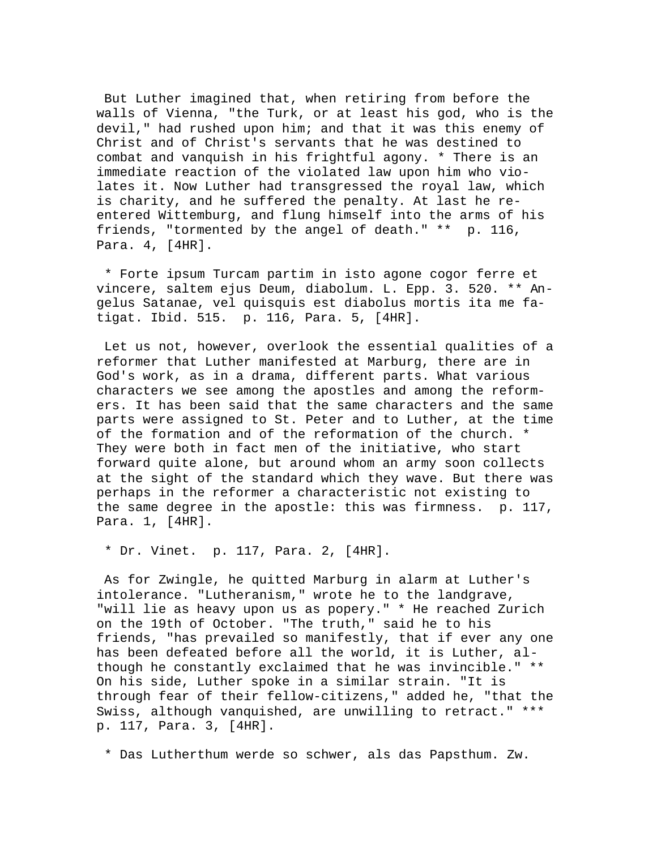But Luther imagined that, when retiring from before the walls of Vienna, "the Turk, or at least his god, who is the devil," had rushed upon him; and that it was this enemy of Christ and of Christ's servants that he was destined to combat and vanquish in his frightful agony. \* There is an immediate reaction of the violated law upon him who violates it. Now Luther had transgressed the royal law, which is charity, and he suffered the penalty. At last he reentered Wittemburg, and flung himself into the arms of his friends, "tormented by the angel of death." \*\* p. 116, Para. 4, [4HR].

 \* Forte ipsum Turcam partim in isto agone cogor ferre et vincere, saltem ejus Deum, diabolum. L. Epp. 3. 520. \*\* Angelus Satanae, vel quisquis est diabolus mortis ita me fatigat. Ibid. 515. p. 116, Para. 5, [4HR].

 Let us not, however, overlook the essential qualities of a reformer that Luther manifested at Marburg, there are in God's work, as in a drama, different parts. What various characters we see among the apostles and among the reformers. It has been said that the same characters and the same parts were assigned to St. Peter and to Luther, at the time of the formation and of the reformation of the church. \* They were both in fact men of the initiative, who start forward quite alone, but around whom an army soon collects at the sight of the standard which they wave. But there was perhaps in the reformer a characteristic not existing to the same degree in the apostle: this was firmness. p. 117, Para. 1, [4HR].

\* Dr. Vinet. p. 117, Para. 2, [4HR].

 As for Zwingle, he quitted Marburg in alarm at Luther's intolerance. "Lutheranism," wrote he to the landgrave, "will lie as heavy upon us as popery." \* He reached Zurich on the 19th of October. "The truth," said he to his friends, "has prevailed so manifestly, that if ever any one has been defeated before all the world, it is Luther, although he constantly exclaimed that he was invincible." \*\* On his side, Luther spoke in a similar strain. "It is through fear of their fellow-citizens," added he, "that the Swiss, although vanquished, are unwilling to retract." \*\*\* p. 117, Para. 3, [4HR].

\* Das Lutherthum werde so schwer, als das Papsthum. Zw.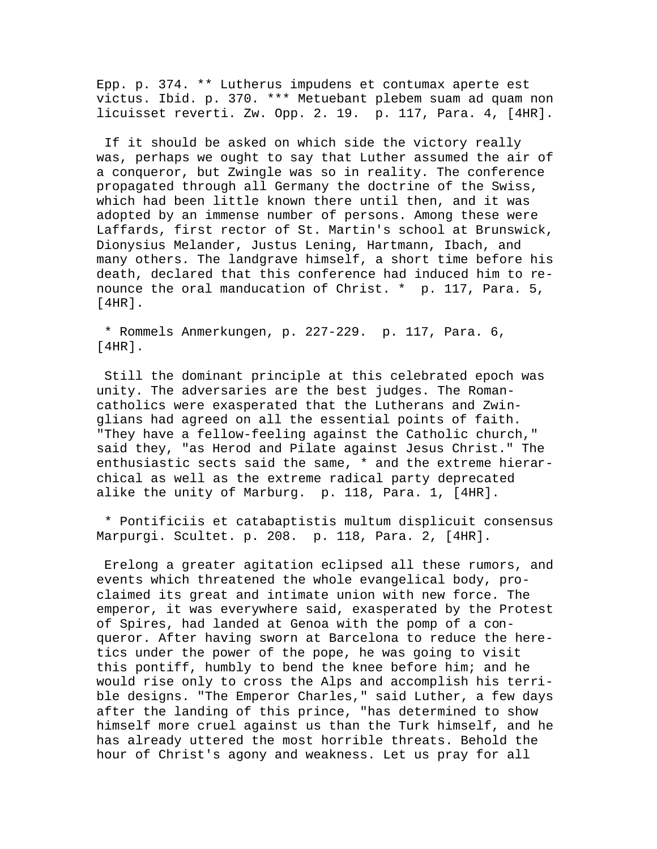Epp. p. 374. \*\* Lutherus impudens et contumax aperte est victus. Ibid. p. 370. \*\*\* Metuebant plebem suam ad quam non licuisset reverti. Zw. Opp. 2. 19. p. 117, Para. 4, [4HR].

 If it should be asked on which side the victory really was, perhaps we ought to say that Luther assumed the air of a conqueror, but Zwingle was so in reality. The conference propagated through all Germany the doctrine of the Swiss, which had been little known there until then, and it was adopted by an immense number of persons. Among these were Laffards, first rector of St. Martin's school at Brunswick, Dionysius Melander, Justus Lening, Hartmann, Ibach, and many others. The landgrave himself, a short time before his death, declared that this conference had induced him to renounce the oral manducation of Christ. \* p. 117, Para. 5, [4HR].

 \* Rommels Anmerkungen, p. 227-229. p. 117, Para. 6, [4HR].

 Still the dominant principle at this celebrated epoch was unity. The adversaries are the best judges. The Romancatholics were exasperated that the Lutherans and Zwinglians had agreed on all the essential points of faith. "They have a fellow-feeling against the Catholic church," said they, "as Herod and Pilate against Jesus Christ." The enthusiastic sects said the same, \* and the extreme hierarchical as well as the extreme radical party deprecated alike the unity of Marburg. p. 118, Para. 1, [4HR].

 \* Pontificiis et catabaptistis multum displicuit consensus Marpurgi. Scultet. p. 208. p. 118, Para. 2, [4HR].

 Erelong a greater agitation eclipsed all these rumors, and events which threatened the whole evangelical body, proclaimed its great and intimate union with new force. The emperor, it was everywhere said, exasperated by the Protest of Spires, had landed at Genoa with the pomp of a conqueror. After having sworn at Barcelona to reduce the heretics under the power of the pope, he was going to visit this pontiff, humbly to bend the knee before him; and he would rise only to cross the Alps and accomplish his terrible designs. "The Emperor Charles," said Luther, a few days after the landing of this prince, "has determined to show himself more cruel against us than the Turk himself, and he has already uttered the most horrible threats. Behold the hour of Christ's agony and weakness. Let us pray for all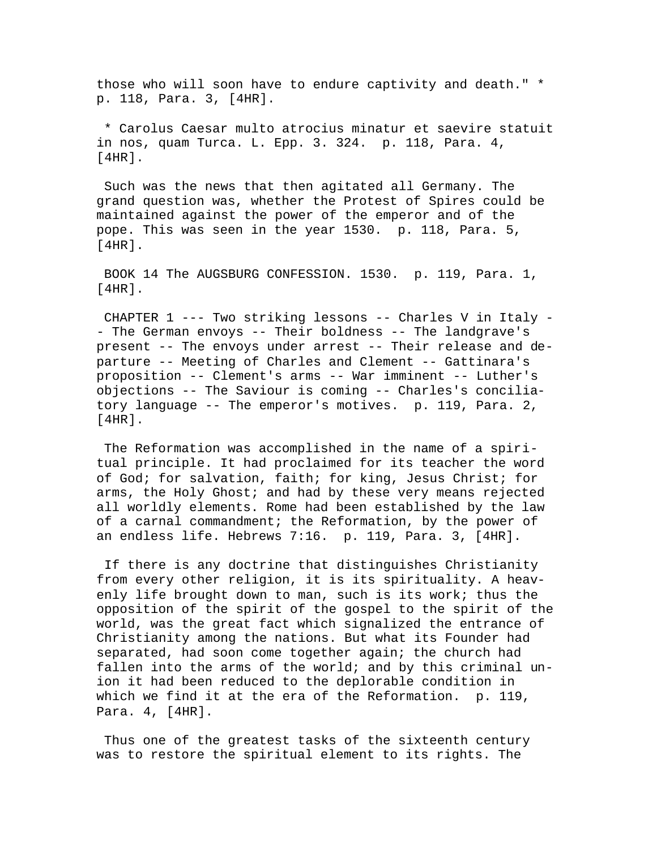those who will soon have to endure captivity and death." \* p. 118, Para. 3, [4HR].

 \* Carolus Caesar multo atrocius minatur et saevire statuit in nos, quam Turca. L. Epp. 3. 324. p. 118, Para. 4,  $[4HR]$ .

 Such was the news that then agitated all Germany. The grand question was, whether the Protest of Spires could be maintained against the power of the emperor and of the pope. This was seen in the year 1530. p. 118, Para. 5,  $[4HR]$ .

 BOOK 14 The AUGSBURG CONFESSION. 1530. p. 119, Para. 1, [4HR].

 CHAPTER 1 --- Two striking lessons -- Charles V in Italy - - The German envoys -- Their boldness -- The landgrave's present -- The envoys under arrest -- Their release and departure -- Meeting of Charles and Clement -- Gattinara's proposition -- Clement's arms -- War imminent -- Luther's objections -- The Saviour is coming -- Charles's conciliatory language -- The emperor's motives. p. 119, Para. 2, [4HR].

 The Reformation was accomplished in the name of a spiritual principle. It had proclaimed for its teacher the word of God; for salvation, faith; for king, Jesus Christ; for arms, the Holy Ghost; and had by these very means rejected all worldly elements. Rome had been established by the law of a carnal commandment; the Reformation, by the power of an endless life. Hebrews 7:16. p. 119, Para. 3, [4HR].

 If there is any doctrine that distinguishes Christianity from every other religion, it is its spirituality. A heavenly life brought down to man, such is its work; thus the opposition of the spirit of the gospel to the spirit of the world, was the great fact which signalized the entrance of Christianity among the nations. But what its Founder had separated, had soon come together again; the church had fallen into the arms of the world; and by this criminal union it had been reduced to the deplorable condition in which we find it at the era of the Reformation. p. 119, Para. 4, [4HR].

 Thus one of the greatest tasks of the sixteenth century was to restore the spiritual element to its rights. The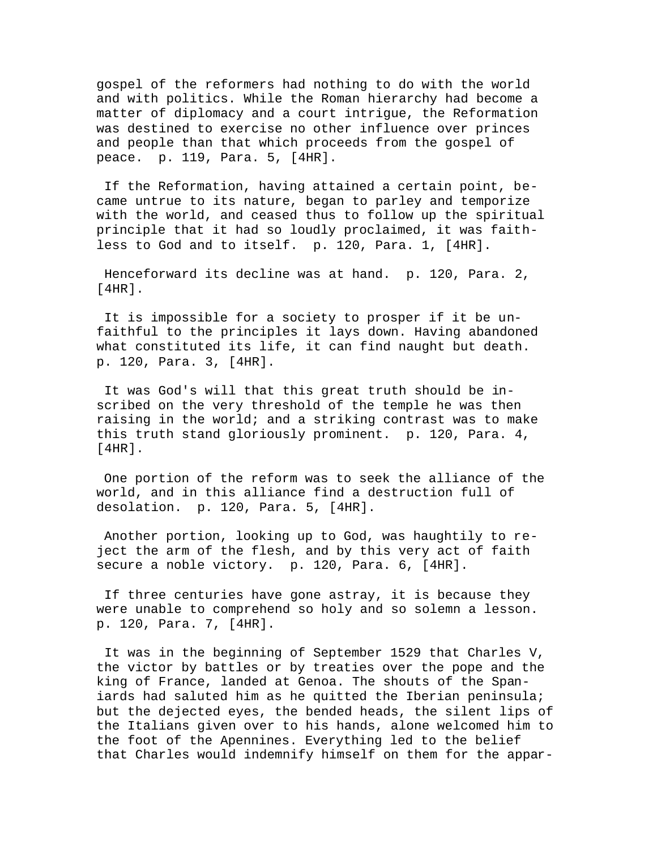gospel of the reformers had nothing to do with the world and with politics. While the Roman hierarchy had become a matter of diplomacy and a court intrigue, the Reformation was destined to exercise no other influence over princes and people than that which proceeds from the gospel of peace. p. 119, Para. 5, [4HR].

 If the Reformation, having attained a certain point, became untrue to its nature, began to parley and temporize with the world, and ceased thus to follow up the spiritual principle that it had so loudly proclaimed, it was faithless to God and to itself. p. 120, Para. 1, [4HR].

 Henceforward its decline was at hand. p. 120, Para. 2, [4HR].

 It is impossible for a society to prosper if it be unfaithful to the principles it lays down. Having abandoned what constituted its life, it can find naught but death. p. 120, Para. 3, [4HR].

 It was God's will that this great truth should be inscribed on the very threshold of the temple he was then raising in the world; and a striking contrast was to make this truth stand gloriously prominent. p. 120, Para. 4, [4HR].

 One portion of the reform was to seek the alliance of the world, and in this alliance find a destruction full of desolation. p. 120, Para. 5, [4HR].

 Another portion, looking up to God, was haughtily to reject the arm of the flesh, and by this very act of faith secure a noble victory. p. 120, Para. 6, [4HR].

 If three centuries have gone astray, it is because they were unable to comprehend so holy and so solemn a lesson. p. 120, Para. 7, [4HR].

 It was in the beginning of September 1529 that Charles V, the victor by battles or by treaties over the pope and the king of France, landed at Genoa. The shouts of the Spaniards had saluted him as he quitted the Iberian peninsula; but the dejected eyes, the bended heads, the silent lips of the Italians given over to his hands, alone welcomed him to the foot of the Apennines. Everything led to the belief that Charles would indemnify himself on them for the appar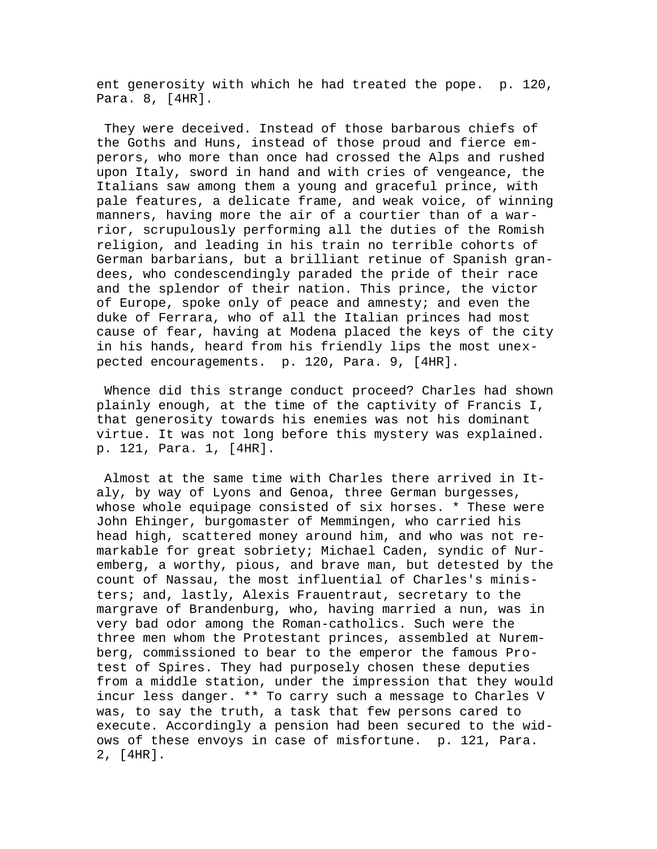ent generosity with which he had treated the pope. p. 120, Para. 8, [4HR].

 They were deceived. Instead of those barbarous chiefs of the Goths and Huns, instead of those proud and fierce emperors, who more than once had crossed the Alps and rushed upon Italy, sword in hand and with cries of vengeance, the Italians saw among them a young and graceful prince, with pale features, a delicate frame, and weak voice, of winning manners, having more the air of a courtier than of a warrior, scrupulously performing all the duties of the Romish religion, and leading in his train no terrible cohorts of German barbarians, but a brilliant retinue of Spanish grandees, who condescendingly paraded the pride of their race and the splendor of their nation. This prince, the victor of Europe, spoke only of peace and amnesty; and even the duke of Ferrara, who of all the Italian princes had most cause of fear, having at Modena placed the keys of the city in his hands, heard from his friendly lips the most unexpected encouragements. p. 120, Para. 9, [4HR].

 Whence did this strange conduct proceed? Charles had shown plainly enough, at the time of the captivity of Francis I, that generosity towards his enemies was not his dominant virtue. It was not long before this mystery was explained. p. 121, Para. 1, [4HR].

 Almost at the same time with Charles there arrived in Italy, by way of Lyons and Genoa, three German burgesses, whose whole equipage consisted of six horses. \* These were John Ehinger, burgomaster of Memmingen, who carried his head high, scattered money around him, and who was not remarkable for great sobriety; Michael Caden, syndic of Nuremberg, a worthy, pious, and brave man, but detested by the count of Nassau, the most influential of Charles's ministers; and, lastly, Alexis Frauentraut, secretary to the margrave of Brandenburg, who, having married a nun, was in very bad odor among the Roman-catholics. Such were the three men whom the Protestant princes, assembled at Nuremberg, commissioned to bear to the emperor the famous Protest of Spires. They had purposely chosen these deputies from a middle station, under the impression that they would incur less danger. \*\* To carry such a message to Charles V was, to say the truth, a task that few persons cared to execute. Accordingly a pension had been secured to the widows of these envoys in case of misfortune. p. 121, Para. 2, [4HR].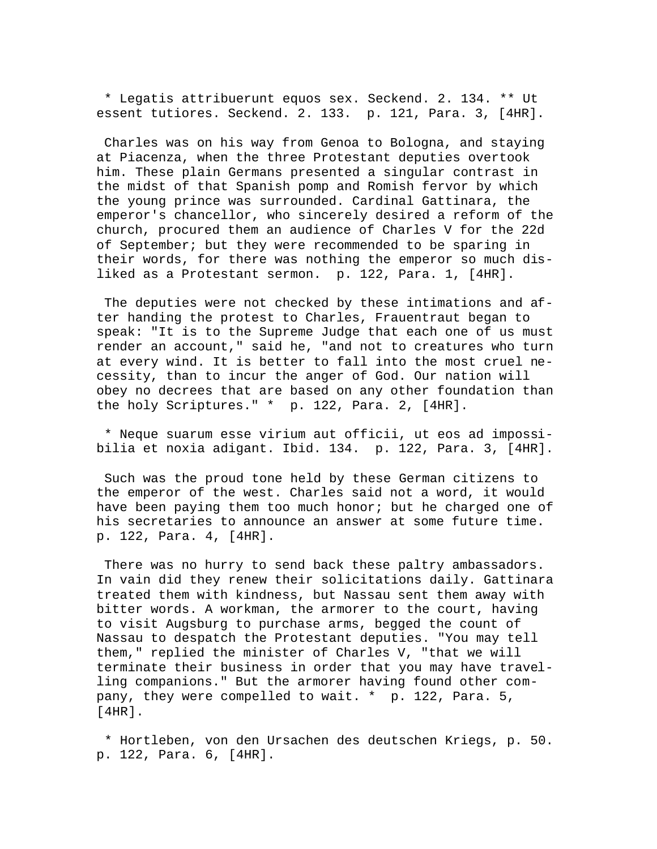\* Legatis attribuerunt equos sex. Seckend. 2. 134. \*\* Ut essent tutiores. Seckend. 2. 133. p. 121, Para. 3, [4HR].

 Charles was on his way from Genoa to Bologna, and staying at Piacenza, when the three Protestant deputies overtook him. These plain Germans presented a singular contrast in the midst of that Spanish pomp and Romish fervor by which the young prince was surrounded. Cardinal Gattinara, the emperor's chancellor, who sincerely desired a reform of the church, procured them an audience of Charles V for the 22d of September; but they were recommended to be sparing in their words, for there was nothing the emperor so much disliked as a Protestant sermon. p. 122, Para. 1, [4HR].

 The deputies were not checked by these intimations and after handing the protest to Charles, Frauentraut began to speak: "It is to the Supreme Judge that each one of us must render an account," said he, "and not to creatures who turn at every wind. It is better to fall into the most cruel necessity, than to incur the anger of God. Our nation will obey no decrees that are based on any other foundation than the holy Scriptures." \* p. 122, Para. 2, [4HR].

 \* Neque suarum esse virium aut officii, ut eos ad impossibilia et noxia adigant. Ibid. 134. p. 122, Para. 3, [4HR].

 Such was the proud tone held by these German citizens to the emperor of the west. Charles said not a word, it would have been paying them too much honor; but he charged one of his secretaries to announce an answer at some future time. p. 122, Para. 4, [4HR].

 There was no hurry to send back these paltry ambassadors. In vain did they renew their solicitations daily. Gattinara treated them with kindness, but Nassau sent them away with bitter words. A workman, the armorer to the court, having to visit Augsburg to purchase arms, begged the count of Nassau to despatch the Protestant deputies. "You may tell them," replied the minister of Charles V, "that we will terminate their business in order that you may have travelling companions." But the armorer having found other company, they were compelled to wait. \* p. 122, Para. 5, [4HR].

 \* Hortleben, von den Ursachen des deutschen Kriegs, p. 50. p. 122, Para. 6, [4HR].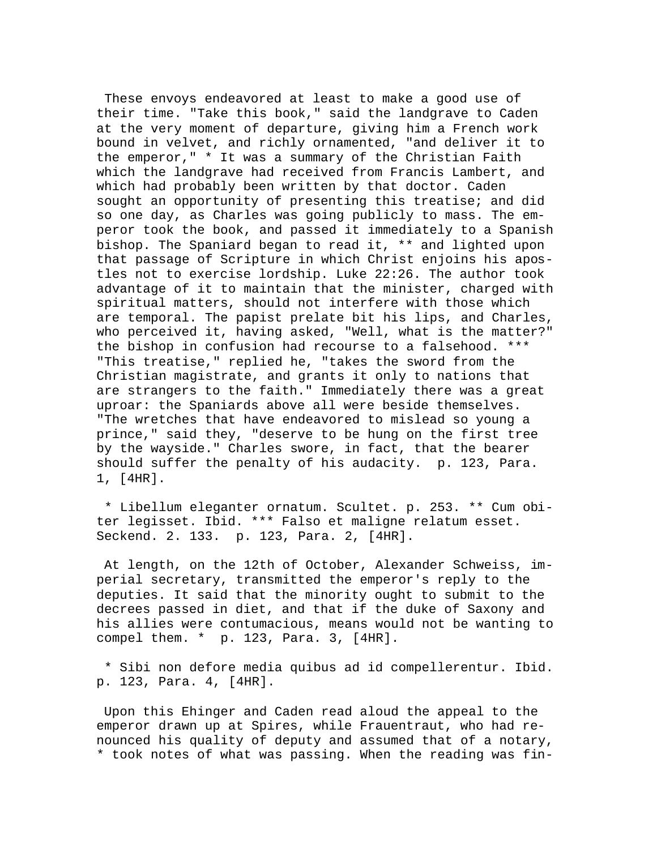These envoys endeavored at least to make a good use of their time. "Take this book," said the landgrave to Caden at the very moment of departure, giving him a French work bound in velvet, and richly ornamented, "and deliver it to the emperor," \* It was a summary of the Christian Faith which the landgrave had received from Francis Lambert, and which had probably been written by that doctor. Caden sought an opportunity of presenting this treatise; and did so one day, as Charles was going publicly to mass. The emperor took the book, and passed it immediately to a Spanish bishop. The Spaniard began to read it, \*\* and lighted upon that passage of Scripture in which Christ enjoins his apostles not to exercise lordship. Luke 22:26. The author took advantage of it to maintain that the minister, charged with spiritual matters, should not interfere with those which are temporal. The papist prelate bit his lips, and Charles, who perceived it, having asked, "Well, what is the matter?" the bishop in confusion had recourse to a falsehood. \*\*\* "This treatise," replied he, "takes the sword from the Christian magistrate, and grants it only to nations that are strangers to the faith." Immediately there was a great uproar: the Spaniards above all were beside themselves. "The wretches that have endeavored to mislead so young a prince," said they, "deserve to be hung on the first tree by the wayside." Charles swore, in fact, that the bearer should suffer the penalty of his audacity. p. 123, Para. 1, [4HR].

 \* Libellum eleganter ornatum. Scultet. p. 253. \*\* Cum obiter legisset. Ibid. \*\*\* Falso et maligne relatum esset. Seckend. 2. 133. p. 123, Para. 2, [4HR].

 At length, on the 12th of October, Alexander Schweiss, imperial secretary, transmitted the emperor's reply to the deputies. It said that the minority ought to submit to the decrees passed in diet, and that if the duke of Saxony and his allies were contumacious, means would not be wanting to compel them. \* p. 123, Para. 3, [4HR].

 \* Sibi non defore media quibus ad id compellerentur. Ibid. p. 123, Para. 4, [4HR].

 Upon this Ehinger and Caden read aloud the appeal to the emperor drawn up at Spires, while Frauentraut, who had renounced his quality of deputy and assumed that of a notary, \* took notes of what was passing. When the reading was fin-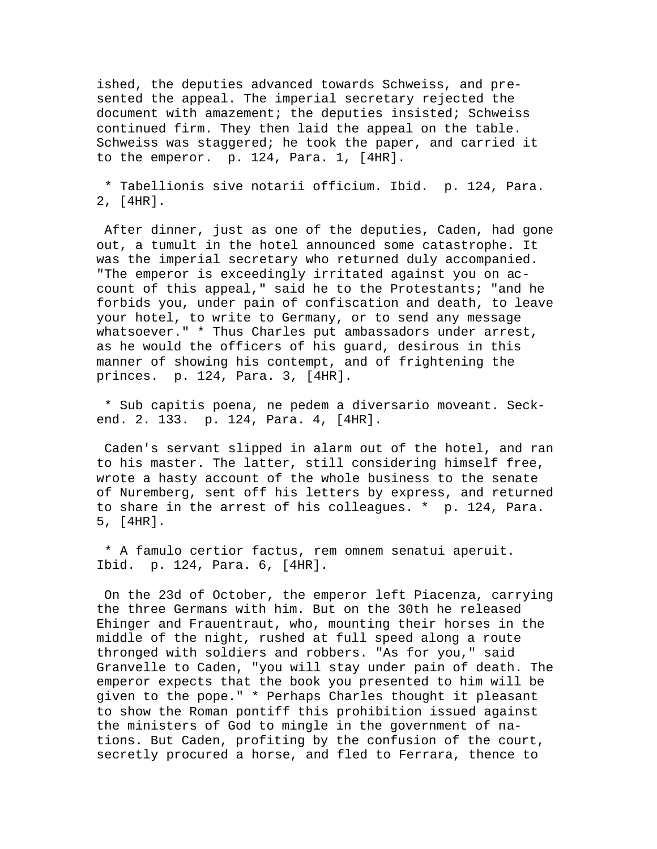ished, the deputies advanced towards Schweiss, and presented the appeal. The imperial secretary rejected the document with amazement; the deputies insisted; Schweiss continued firm. They then laid the appeal on the table. Schweiss was staggered; he took the paper, and carried it to the emperor. p. 124, Para. 1, [4HR].

 \* Tabellionis sive notarii officium. Ibid. p. 124, Para. 2, [4HR].

 After dinner, just as one of the deputies, Caden, had gone out, a tumult in the hotel announced some catastrophe. It was the imperial secretary who returned duly accompanied. "The emperor is exceedingly irritated against you on account of this appeal," said he to the Protestants; "and he forbids you, under pain of confiscation and death, to leave your hotel, to write to Germany, or to send any message whatsoever." \* Thus Charles put ambassadors under arrest, as he would the officers of his guard, desirous in this manner of showing his contempt, and of frightening the princes. p. 124, Para. 3, [4HR].

 \* Sub capitis poena, ne pedem a diversario moveant. Seckend. 2. 133. p. 124, Para. 4, [4HR].

 Caden's servant slipped in alarm out of the hotel, and ran to his master. The latter, still considering himself free, wrote a hasty account of the whole business to the senate of Nuremberg, sent off his letters by express, and returned to share in the arrest of his colleagues. \* p. 124, Para. 5, [4HR].

 \* A famulo certior factus, rem omnem senatui aperuit. Ibid. p. 124, Para. 6, [4HR].

 On the 23d of October, the emperor left Piacenza, carrying the three Germans with him. But on the 30th he released Ehinger and Frauentraut, who, mounting their horses in the middle of the night, rushed at full speed along a route thronged with soldiers and robbers. "As for you," said Granvelle to Caden, "you will stay under pain of death. The emperor expects that the book you presented to him will be given to the pope." \* Perhaps Charles thought it pleasant to show the Roman pontiff this prohibition issued against the ministers of God to mingle in the government of nations. But Caden, profiting by the confusion of the court, secretly procured a horse, and fled to Ferrara, thence to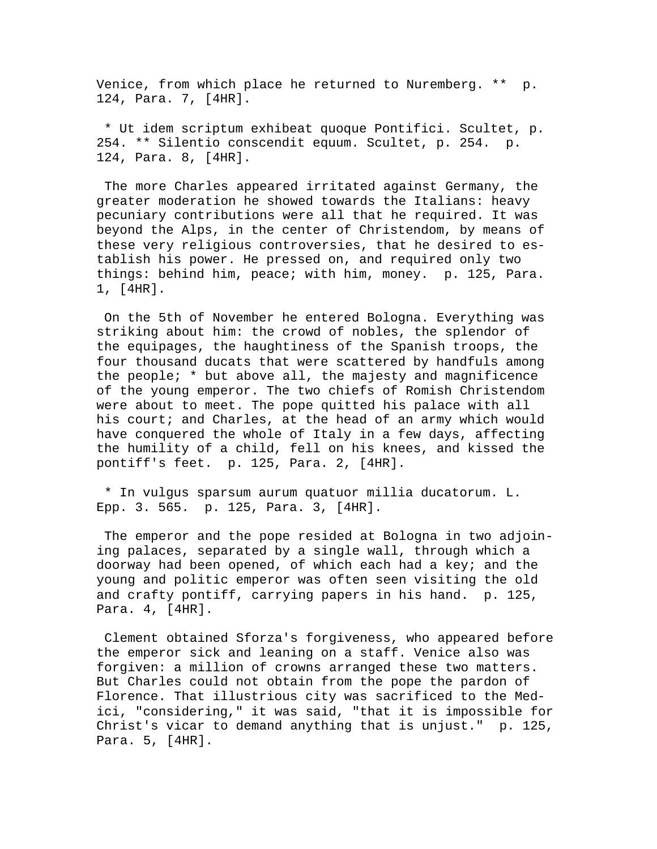Venice, from which place he returned to Nuremberg. \*\* p. 124, Para. 7, [4HR].

 \* Ut idem scriptum exhibeat quoque Pontifici. Scultet, p. 254. \*\* Silentio conscendit equum. Scultet, p. 254. p. 124, Para. 8, [4HR].

 The more Charles appeared irritated against Germany, the greater moderation he showed towards the Italians: heavy pecuniary contributions were all that he required. It was beyond the Alps, in the center of Christendom, by means of these very religious controversies, that he desired to establish his power. He pressed on, and required only two things: behind him, peace; with him, money. p. 125, Para. 1, [4HR].

 On the 5th of November he entered Bologna. Everything was striking about him: the crowd of nobles, the splendor of the equipages, the haughtiness of the Spanish troops, the four thousand ducats that were scattered by handfuls among the people; \* but above all, the majesty and magnificence of the young emperor. The two chiefs of Romish Christendom were about to meet. The pope quitted his palace with all his court; and Charles, at the head of an army which would have conquered the whole of Italy in a few days, affecting the humility of a child, fell on his knees, and kissed the pontiff's feet. p. 125, Para. 2, [4HR].

 \* In vulgus sparsum aurum quatuor millia ducatorum. L. Epp. 3. 565. p. 125, Para. 3, [4HR].

 The emperor and the pope resided at Bologna in two adjoining palaces, separated by a single wall, through which a doorway had been opened, of which each had a key; and the young and politic emperor was often seen visiting the old and crafty pontiff, carrying papers in his hand. p. 125, Para. 4, [4HR].

 Clement obtained Sforza's forgiveness, who appeared before the emperor sick and leaning on a staff. Venice also was forgiven: a million of crowns arranged these two matters. But Charles could not obtain from the pope the pardon of Florence. That illustrious city was sacrificed to the Medici, "considering," it was said, "that it is impossible for Christ's vicar to demand anything that is unjust." p. 125, Para. 5, [4HR].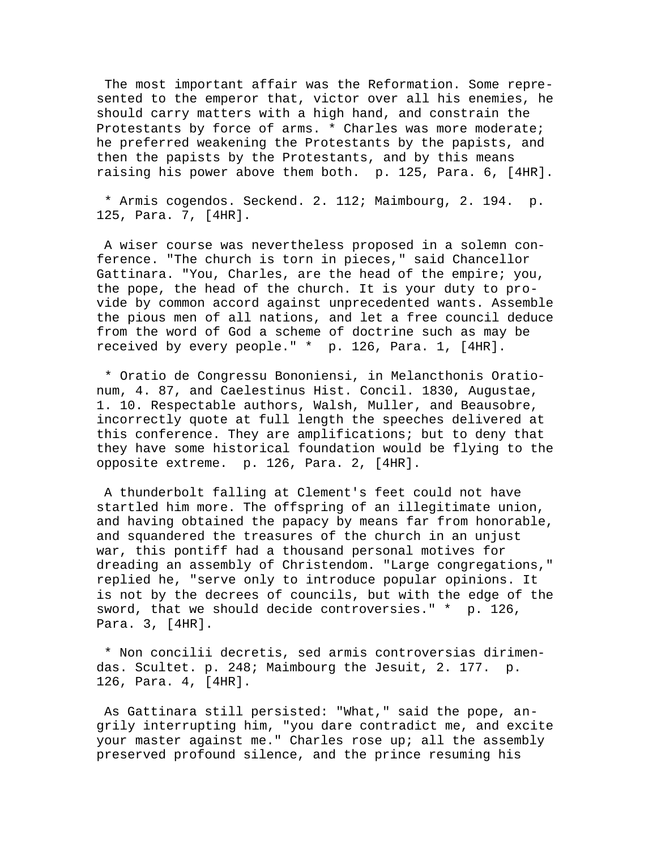The most important affair was the Reformation. Some represented to the emperor that, victor over all his enemies, he should carry matters with a high hand, and constrain the Protestants by force of arms. \* Charles was more moderate; he preferred weakening the Protestants by the papists, and then the papists by the Protestants, and by this means raising his power above them both. p. 125, Para. 6, [4HR].

 \* Armis cogendos. Seckend. 2. 112; Maimbourg, 2. 194. p. 125, Para. 7, [4HR].

 A wiser course was nevertheless proposed in a solemn conference. "The church is torn in pieces," said Chancellor Gattinara. "You, Charles, are the head of the empire; you, the pope, the head of the church. It is your duty to provide by common accord against unprecedented wants. Assemble the pious men of all nations, and let a free council deduce from the word of God a scheme of doctrine such as may be received by every people." \* p. 126, Para. 1, [4HR].

 \* Oratio de Congressu Bononiensi, in Melancthonis Orationum, 4. 87, and Caelestinus Hist. Concil. 1830, Augustae, 1. 10. Respectable authors, Walsh, Muller, and Beausobre, incorrectly quote at full length the speeches delivered at this conference. They are amplifications; but to deny that they have some historical foundation would be flying to the opposite extreme. p. 126, Para. 2, [4HR].

 A thunderbolt falling at Clement's feet could not have startled him more. The offspring of an illegitimate union, and having obtained the papacy by means far from honorable, and squandered the treasures of the church in an unjust war, this pontiff had a thousand personal motives for dreading an assembly of Christendom. "Large congregations," replied he, "serve only to introduce popular opinions. It is not by the decrees of councils, but with the edge of the sword, that we should decide controversies." \* p. 126, Para. 3, [4HR].

 \* Non concilii decretis, sed armis controversias dirimendas. Scultet. p. 248; Maimbourg the Jesuit, 2. 177. p. 126, Para. 4, [4HR].

 As Gattinara still persisted: "What," said the pope, angrily interrupting him, "you dare contradict me, and excite your master against me." Charles rose up; all the assembly preserved profound silence, and the prince resuming his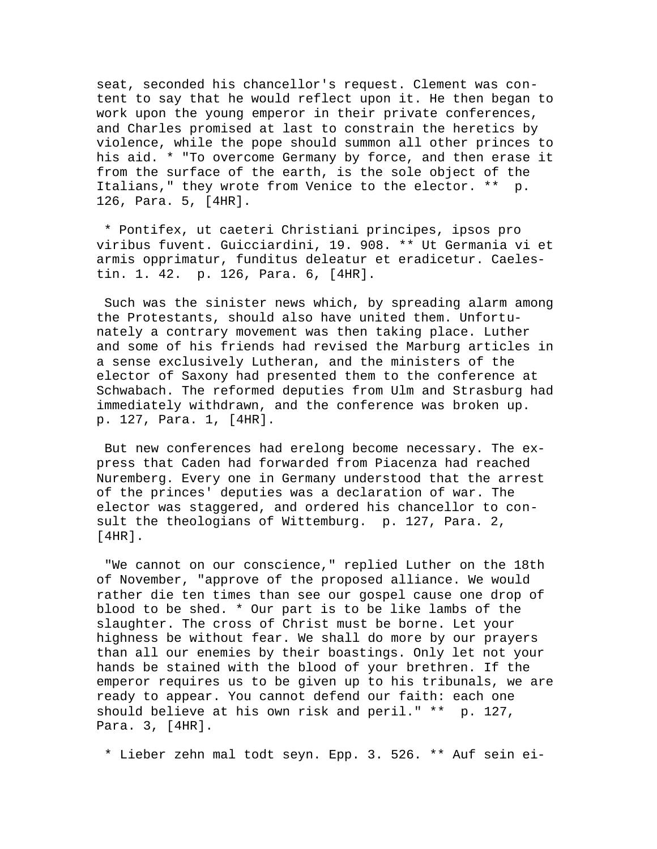seat, seconded his chancellor's request. Clement was content to say that he would reflect upon it. He then began to work upon the young emperor in their private conferences, and Charles promised at last to constrain the heretics by violence, while the pope should summon all other princes to his aid. \* "To overcome Germany by force, and then erase it from the surface of the earth, is the sole object of the Italians," they wrote from Venice to the elector. \*\* p. 126, Para. 5, [4HR].

 \* Pontifex, ut caeteri Christiani principes, ipsos pro viribus fuvent. Guicciardini, 19. 908. \*\* Ut Germania vi et armis opprimatur, funditus deleatur et eradicetur. Caelestin. 1. 42. p. 126, Para. 6, [4HR].

 Such was the sinister news which, by spreading alarm among the Protestants, should also have united them. Unfortunately a contrary movement was then taking place. Luther and some of his friends had revised the Marburg articles in a sense exclusively Lutheran, and the ministers of the elector of Saxony had presented them to the conference at Schwabach. The reformed deputies from Ulm and Strasburg had immediately withdrawn, and the conference was broken up. p. 127, Para. 1, [4HR].

 But new conferences had erelong become necessary. The express that Caden had forwarded from Piacenza had reached Nuremberg. Every one in Germany understood that the arrest of the princes' deputies was a declaration of war. The elector was staggered, and ordered his chancellor to consult the theologians of Wittemburg. p. 127, Para. 2, [4HR].

 "We cannot on our conscience," replied Luther on the 18th of November, "approve of the proposed alliance. We would rather die ten times than see our gospel cause one drop of blood to be shed. \* Our part is to be like lambs of the slaughter. The cross of Christ must be borne. Let your highness be without fear. We shall do more by our prayers than all our enemies by their boastings. Only let not your hands be stained with the blood of your brethren. If the emperor requires us to be given up to his tribunals, we are ready to appear. You cannot defend our faith: each one should believe at his own risk and peril." \*\* p. 127, Para. 3, [4HR].

\* Lieber zehn mal todt seyn. Epp. 3. 526. \*\* Auf sein ei-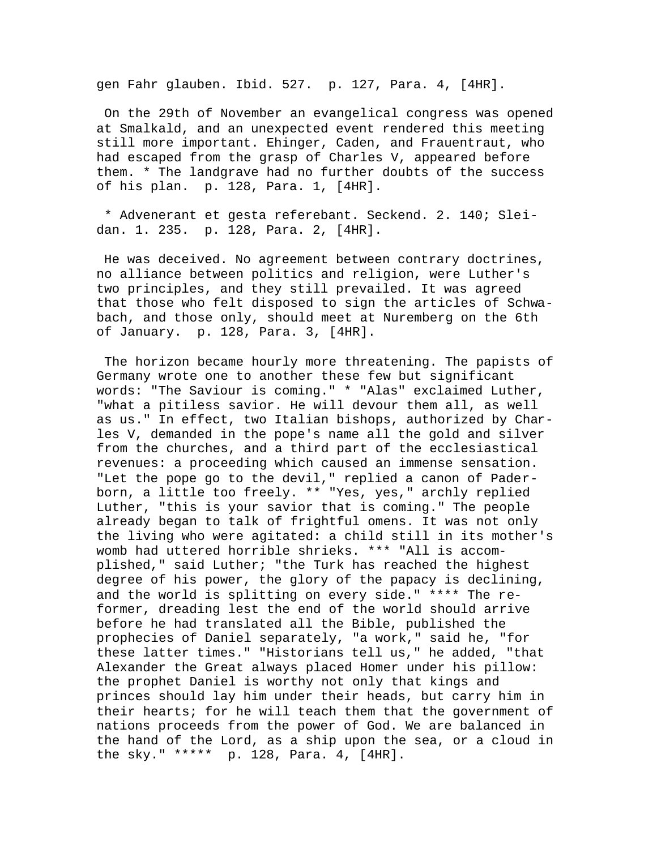gen Fahr glauben. Ibid. 527. p. 127, Para. 4, [4HR].

 On the 29th of November an evangelical congress was opened at Smalkald, and an unexpected event rendered this meeting still more important. Ehinger, Caden, and Frauentraut, who had escaped from the grasp of Charles V, appeared before them. \* The landgrave had no further doubts of the success of his plan. p. 128, Para. 1, [4HR].

 \* Advenerant et gesta referebant. Seckend. 2. 140; Sleidan. 1. 235. p. 128, Para. 2, [4HR].

 He was deceived. No agreement between contrary doctrines, no alliance between politics and religion, were Luther's two principles, and they still prevailed. It was agreed that those who felt disposed to sign the articles of Schwabach, and those only, should meet at Nuremberg on the 6th of January. p. 128, Para. 3, [4HR].

 The horizon became hourly more threatening. The papists of Germany wrote one to another these few but significant words: "The Saviour is coming." \* "Alas" exclaimed Luther, "what a pitiless savior. He will devour them all, as well as us." In effect, two Italian bishops, authorized by Charles V, demanded in the pope's name all the gold and silver from the churches, and a third part of the ecclesiastical revenues: a proceeding which caused an immense sensation. "Let the pope go to the devil," replied a canon of Paderborn, a little too freely. \*\* "Yes, yes," archly replied Luther, "this is your savior that is coming." The people already began to talk of frightful omens. It was not only the living who were agitated: a child still in its mother's womb had uttered horrible shrieks. \*\*\* "All is accomplished," said Luther; "the Turk has reached the highest degree of his power, the glory of the papacy is declining, and the world is splitting on every side." \*\*\*\* The reformer, dreading lest the end of the world should arrive before he had translated all the Bible, published the prophecies of Daniel separately, "a work," said he, "for these latter times." "Historians tell us," he added, "that Alexander the Great always placed Homer under his pillow: the prophet Daniel is worthy not only that kings and princes should lay him under their heads, but carry him in their hearts; for he will teach them that the government of nations proceeds from the power of God. We are balanced in the hand of the Lord, as a ship upon the sea, or a cloud in the sky." \*\*\*\*\* p. 128, Para. 4, [4HR].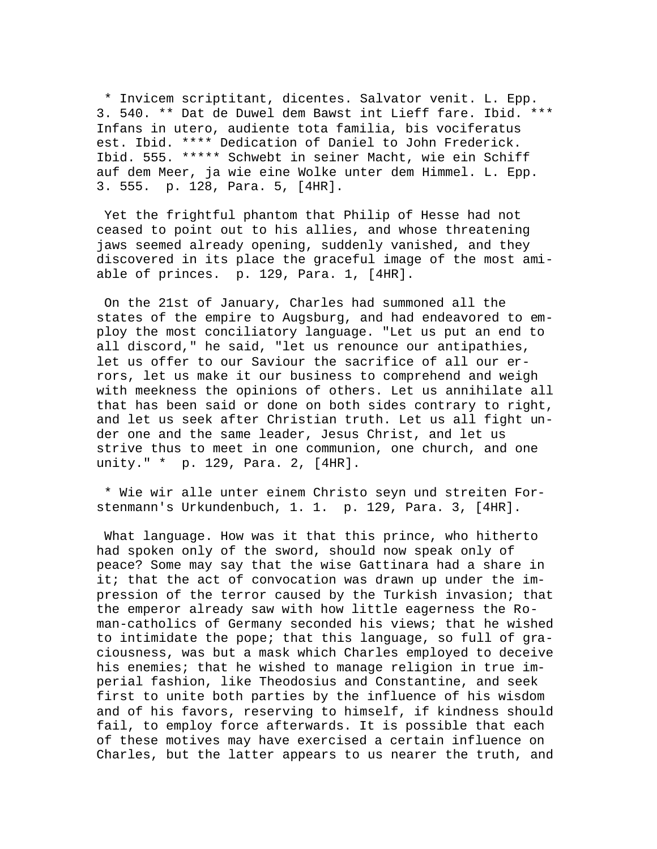\* Invicem scriptitant, dicentes. Salvator venit. L. Epp. 3. 540. \*\* Dat de Duwel dem Bawst int Lieff fare. Ibid. \*\*\* Infans in utero, audiente tota familia, bis vociferatus est. Ibid. \*\*\*\* Dedication of Daniel to John Frederick. Ibid. 555. \*\*\*\*\* Schwebt in seiner Macht, wie ein Schiff auf dem Meer, ja wie eine Wolke unter dem Himmel. L. Epp. 3. 555. p. 128, Para. 5, [4HR].

 Yet the frightful phantom that Philip of Hesse had not ceased to point out to his allies, and whose threatening jaws seemed already opening, suddenly vanished, and they discovered in its place the graceful image of the most amiable of princes. p. 129, Para. 1, [4HR].

 On the 21st of January, Charles had summoned all the states of the empire to Augsburg, and had endeavored to employ the most conciliatory language. "Let us put an end to all discord," he said, "let us renounce our antipathies, let us offer to our Saviour the sacrifice of all our errors, let us make it our business to comprehend and weigh with meekness the opinions of others. Let us annihilate all that has been said or done on both sides contrary to right, and let us seek after Christian truth. Let us all fight under one and the same leader, Jesus Christ, and let us strive thus to meet in one communion, one church, and one unity." \* p. 129, Para. 2, [4HR].

 \* Wie wir alle unter einem Christo seyn und streiten Forstenmann's Urkundenbuch, 1. 1. p. 129, Para. 3, [4HR].

 What language. How was it that this prince, who hitherto had spoken only of the sword, should now speak only of peace? Some may say that the wise Gattinara had a share in it; that the act of convocation was drawn up under the impression of the terror caused by the Turkish invasion; that the emperor already saw with how little eagerness the Roman-catholics of Germany seconded his views; that he wished to intimidate the pope; that this language, so full of graciousness, was but a mask which Charles employed to deceive his enemies; that he wished to manage religion in true imperial fashion, like Theodosius and Constantine, and seek first to unite both parties by the influence of his wisdom and of his favors, reserving to himself, if kindness should fail, to employ force afterwards. It is possible that each of these motives may have exercised a certain influence on Charles, but the latter appears to us nearer the truth, and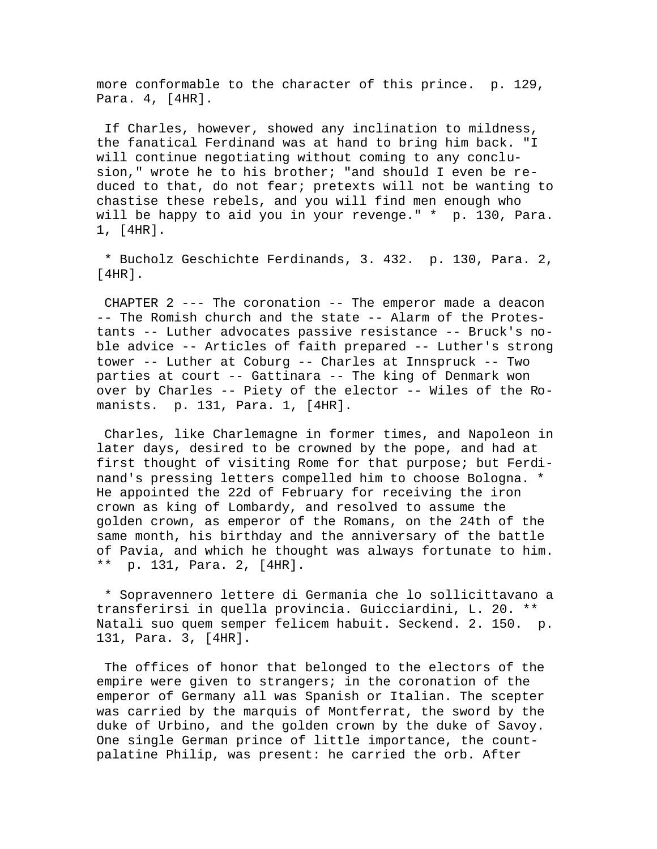more conformable to the character of this prince. p. 129, Para. 4, [4HR].

 If Charles, however, showed any inclination to mildness, the fanatical Ferdinand was at hand to bring him back. "I will continue negotiating without coming to any conclusion," wrote he to his brother; "and should I even be reduced to that, do not fear; pretexts will not be wanting to chastise these rebels, and you will find men enough who will be happy to aid you in your revenge." \* p. 130, Para. 1, [4HR].

 \* Bucholz Geschichte Ferdinands, 3. 432. p. 130, Para. 2, [4HR].

 CHAPTER 2 --- The coronation -- The emperor made a deacon -- The Romish church and the state -- Alarm of the Protestants -- Luther advocates passive resistance -- Bruck's noble advice -- Articles of faith prepared -- Luther's strong tower -- Luther at Coburg -- Charles at Innspruck -- Two parties at court -- Gattinara -- The king of Denmark won over by Charles -- Piety of the elector -- Wiles of the Romanists. p. 131, Para. 1, [4HR].

 Charles, like Charlemagne in former times, and Napoleon in later days, desired to be crowned by the pope, and had at first thought of visiting Rome for that purpose; but Ferdinand's pressing letters compelled him to choose Bologna. \* He appointed the 22d of February for receiving the iron crown as king of Lombardy, and resolved to assume the golden crown, as emperor of the Romans, on the 24th of the same month, his birthday and the anniversary of the battle of Pavia, and which he thought was always fortunate to him. \*\* p. 131, Para. 2, [4HR].

 \* Sopravennero lettere di Germania che lo sollicittavano a transferirsi in quella provincia. Guicciardini, L. 20. \*\* Natali suo quem semper felicem habuit. Seckend. 2. 150. p. 131, Para. 3, [4HR].

 The offices of honor that belonged to the electors of the empire were given to strangers; in the coronation of the emperor of Germany all was Spanish or Italian. The scepter was carried by the marquis of Montferrat, the sword by the duke of Urbino, and the golden crown by the duke of Savoy. One single German prince of little importance, the countpalatine Philip, was present: he carried the orb. After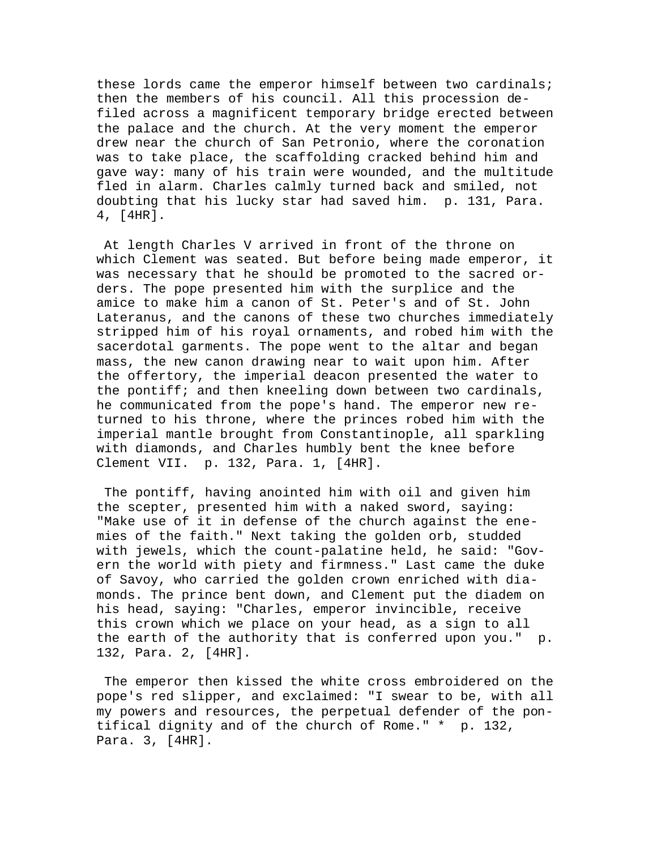these lords came the emperor himself between two cardinals; then the members of his council. All this procession defiled across a magnificent temporary bridge erected between the palace and the church. At the very moment the emperor drew near the church of San Petronio, where the coronation was to take place, the scaffolding cracked behind him and gave way: many of his train were wounded, and the multitude fled in alarm. Charles calmly turned back and smiled, not doubting that his lucky star had saved him. p. 131, Para. 4, [4HR].

 At length Charles V arrived in front of the throne on which Clement was seated. But before being made emperor, it was necessary that he should be promoted to the sacred orders. The pope presented him with the surplice and the amice to make him a canon of St. Peter's and of St. John Lateranus, and the canons of these two churches immediately stripped him of his royal ornaments, and robed him with the sacerdotal garments. The pope went to the altar and began mass, the new canon drawing near to wait upon him. After the offertory, the imperial deacon presented the water to the pontiff; and then kneeling down between two cardinals, he communicated from the pope's hand. The emperor new returned to his throne, where the princes robed him with the imperial mantle brought from Constantinople, all sparkling with diamonds, and Charles humbly bent the knee before Clement VII. p. 132, Para. 1, [4HR].

 The pontiff, having anointed him with oil and given him the scepter, presented him with a naked sword, saying: "Make use of it in defense of the church against the enemies of the faith." Next taking the golden orb, studded with jewels, which the count-palatine held, he said: "Govern the world with piety and firmness." Last came the duke of Savoy, who carried the golden crown enriched with diamonds. The prince bent down, and Clement put the diadem on his head, saying: "Charles, emperor invincible, receive this crown which we place on your head, as a sign to all the earth of the authority that is conferred upon you." p. 132, Para. 2, [4HR].

 The emperor then kissed the white cross embroidered on the pope's red slipper, and exclaimed: "I swear to be, with all my powers and resources, the perpetual defender of the pontifical dignity and of the church of Rome." \* p. 132, Para. 3, [4HR].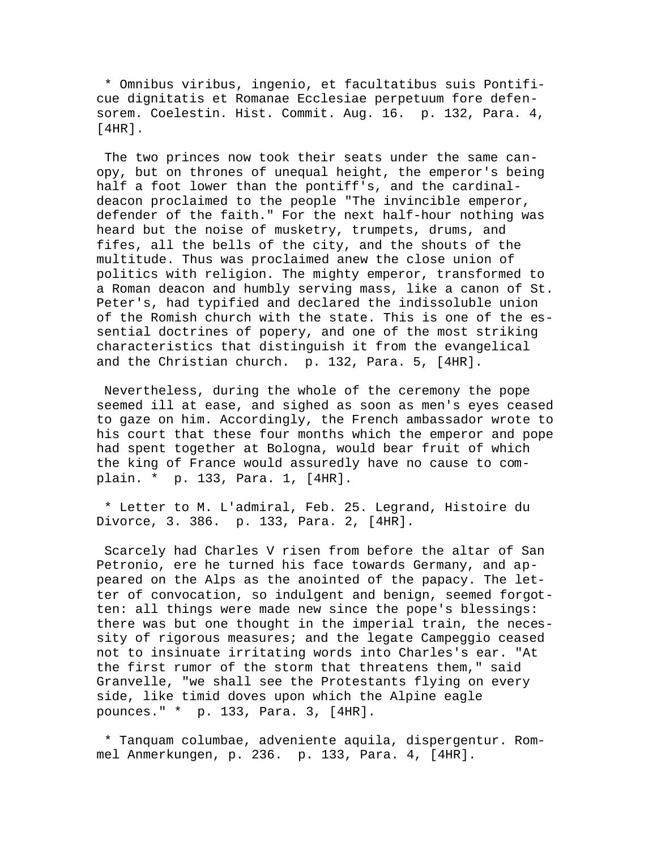\* Omnibus viribus, ingenio, et facultatibus suis Pontificue dignitatis et Romanae Ecclesiae perpetuum fore defensorem. Coelestin. Hist. Commit. Aug. 16. p. 132, Para. 4, [4HR].

 The two princes now took their seats under the same canopy, but on thrones of unequal height, the emperor's being half a foot lower than the pontiff's, and the cardinaldeacon proclaimed to the people "The invincible emperor, defender of the faith." For the next half-hour nothing was heard but the noise of musketry, trumpets, drums, and fifes, all the bells of the city, and the shouts of the multitude. Thus was proclaimed anew the close union of politics with religion. The mighty emperor, transformed to a Roman deacon and humbly serving mass, like a canon of St. Peter's, had typified and declared the indissoluble union of the Romish church with the state. This is one of the essential doctrines of popery, and one of the most striking characteristics that distinguish it from the evangelical and the Christian church. p. 132, Para. 5, [4HR].

 Nevertheless, during the whole of the ceremony the pope seemed ill at ease, and sighed as soon as men's eyes ceased to gaze on him. Accordingly, the French ambassador wrote to his court that these four months which the emperor and pope had spent together at Bologna, would bear fruit of which the king of France would assuredly have no cause to complain. \* p. 133, Para. 1, [4HR].

 \* Letter to M. L'admiral, Feb. 25. Legrand, Histoire du Divorce, 3. 386. p. 133, Para. 2, [4HR].

 Scarcely had Charles V risen from before the altar of San Petronio, ere he turned his face towards Germany, and appeared on the Alps as the anointed of the papacy. The letter of convocation, so indulgent and benign, seemed forgotten: all things were made new since the pope's blessings: there was but one thought in the imperial train, the necessity of rigorous measures; and the legate Campeggio ceased not to insinuate irritating words into Charles's ear. "At the first rumor of the storm that threatens them," said Granvelle, "we shall see the Protestants flying on every side, like timid doves upon which the Alpine eagle pounces." \* p. 133, Para. 3, [4HR].

 \* Tanquam columbae, adveniente aquila, dispergentur. Rommel Anmerkungen, p. 236. p. 133, Para. 4, [4HR].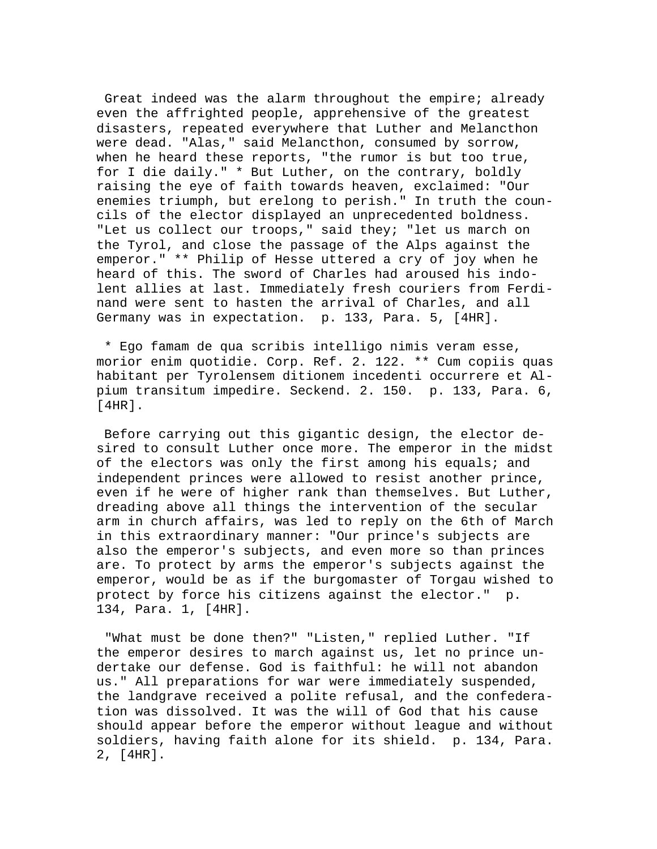Great indeed was the alarm throughout the empire; already even the affrighted people, apprehensive of the greatest disasters, repeated everywhere that Luther and Melancthon were dead. "Alas," said Melancthon, consumed by sorrow, when he heard these reports, "the rumor is but too true, for I die daily." \* But Luther, on the contrary, boldly raising the eye of faith towards heaven, exclaimed: "Our enemies triumph, but erelong to perish." In truth the councils of the elector displayed an unprecedented boldness. "Let us collect our troops," said they; "let us march on the Tyrol, and close the passage of the Alps against the emperor." \*\* Philip of Hesse uttered a cry of joy when he heard of this. The sword of Charles had aroused his indolent allies at last. Immediately fresh couriers from Ferdinand were sent to hasten the arrival of Charles, and all Germany was in expectation. p. 133, Para. 5, [4HR].

 \* Ego famam de qua scribis intelligo nimis veram esse, morior enim quotidie. Corp. Ref. 2. 122. \*\* Cum copiis quas habitant per Tyrolensem ditionem incedenti occurrere et Alpium transitum impedire. Seckend. 2. 150. p. 133, Para. 6, [4HR].

 Before carrying out this gigantic design, the elector desired to consult Luther once more. The emperor in the midst of the electors was only the first among his equals; and independent princes were allowed to resist another prince, even if he were of higher rank than themselves. But Luther, dreading above all things the intervention of the secular arm in church affairs, was led to reply on the 6th of March in this extraordinary manner: "Our prince's subjects are also the emperor's subjects, and even more so than princes are. To protect by arms the emperor's subjects against the emperor, would be as if the burgomaster of Torgau wished to protect by force his citizens against the elector." p. 134, Para. 1, [4HR].

 "What must be done then?" "Listen," replied Luther. "If the emperor desires to march against us, let no prince undertake our defense. God is faithful: he will not abandon us." All preparations for war were immediately suspended, the landgrave received a polite refusal, and the confederation was dissolved. It was the will of God that his cause should appear before the emperor without league and without soldiers, having faith alone for its shield. p. 134, Para. 2, [4HR].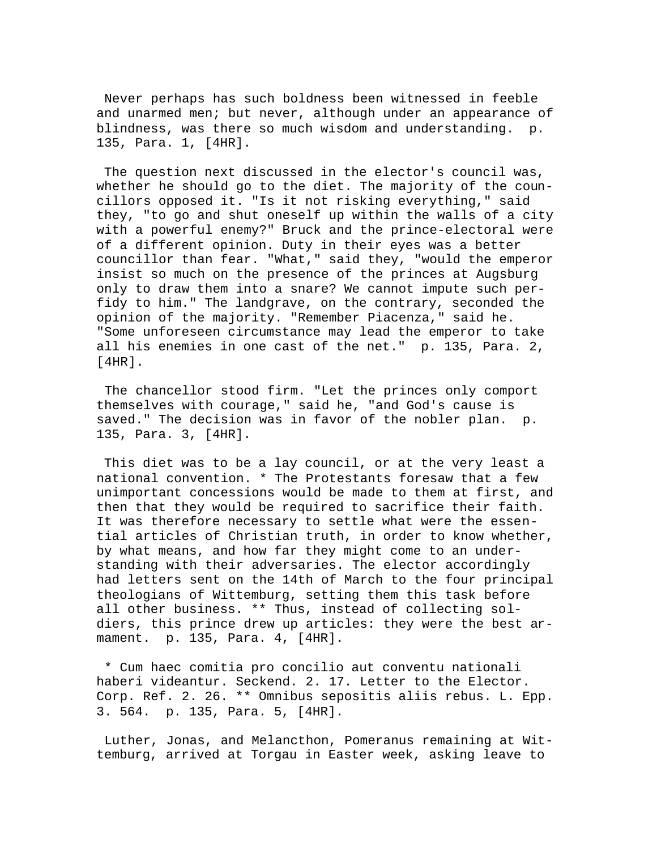Never perhaps has such boldness been witnessed in feeble and unarmed men; but never, although under an appearance of blindness, was there so much wisdom and understanding. p. 135, Para. 1, [4HR].

 The question next discussed in the elector's council was, whether he should go to the diet. The majority of the councillors opposed it. "Is it not risking everything," said they, "to go and shut oneself up within the walls of a city with a powerful enemy?" Bruck and the prince-electoral were of a different opinion. Duty in their eyes was a better councillor than fear. "What," said they, "would the emperor insist so much on the presence of the princes at Augsburg only to draw them into a snare? We cannot impute such perfidy to him." The landgrave, on the contrary, seconded the opinion of the majority. "Remember Piacenza," said he. "Some unforeseen circumstance may lead the emperor to take all his enemies in one cast of the net." p. 135, Para. 2, [4HR].

 The chancellor stood firm. "Let the princes only comport themselves with courage," said he, "and God's cause is saved." The decision was in favor of the nobler plan. p. 135, Para. 3, [4HR].

 This diet was to be a lay council, or at the very least a national convention. \* The Protestants foresaw that a few unimportant concessions would be made to them at first, and then that they would be required to sacrifice their faith. It was therefore necessary to settle what were the essential articles of Christian truth, in order to know whether, by what means, and how far they might come to an understanding with their adversaries. The elector accordingly had letters sent on the 14th of March to the four principal theologians of Wittemburg, setting them this task before all other business. \*\* Thus, instead of collecting soldiers, this prince drew up articles: they were the best armament. p. 135, Para. 4, [4HR].

 \* Cum haec comitia pro concilio aut conventu nationali haberi videantur. Seckend. 2. 17. Letter to the Elector. Corp. Ref. 2. 26. \*\* Omnibus sepositis aliis rebus. L. Epp. 3. 564. p. 135, Para. 5, [4HR].

 Luther, Jonas, and Melancthon, Pomeranus remaining at Wittemburg, arrived at Torgau in Easter week, asking leave to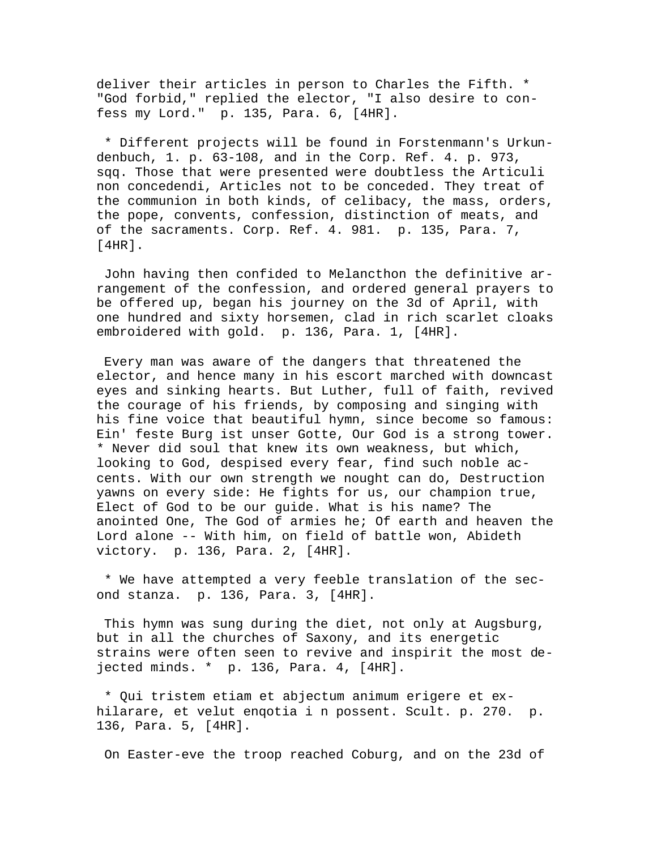deliver their articles in person to Charles the Fifth. \* "God forbid," replied the elector, "I also desire to confess my Lord." p. 135, Para. 6, [4HR].

 \* Different projects will be found in Forstenmann's Urkundenbuch, 1. p. 63-108, and in the Corp. Ref. 4. p. 973, sqq. Those that were presented were doubtless the Articuli non concedendi, Articles not to be conceded. They treat of the communion in both kinds, of celibacy, the mass, orders, the pope, convents, confession, distinction of meats, and of the sacraments. Corp. Ref. 4. 981. p. 135, Para. 7, [4HR].

 John having then confided to Melancthon the definitive arrangement of the confession, and ordered general prayers to be offered up, began his journey on the 3d of April, with one hundred and sixty horsemen, clad in rich scarlet cloaks embroidered with gold. p. 136, Para. 1, [4HR].

 Every man was aware of the dangers that threatened the elector, and hence many in his escort marched with downcast eyes and sinking hearts. But Luther, full of faith, revived the courage of his friends, by composing and singing with his fine voice that beautiful hymn, since become so famous: Ein' feste Burg ist unser Gotte, Our God is a strong tower. \* Never did soul that knew its own weakness, but which, looking to God, despised every fear, find such noble accents. With our own strength we nought can do, Destruction yawns on every side: He fights for us, our champion true, Elect of God to be our guide. What is his name? The anointed One, The God of armies he; Of earth and heaven the Lord alone -- With him, on field of battle won, Abideth victory. p. 136, Para. 2, [4HR].

 \* We have attempted a very feeble translation of the second stanza. p. 136, Para. 3, [4HR].

 This hymn was sung during the diet, not only at Augsburg, but in all the churches of Saxony, and its energetic strains were often seen to revive and inspirit the most dejected minds. \* p. 136, Para. 4, [4HR].

 \* Qui tristem etiam et abjectum animum erigere et exhilarare, et velut enqotia i n possent. Scult. p. 270. p. 136, Para. 5, [4HR].

On Easter-eve the troop reached Coburg, and on the 23d of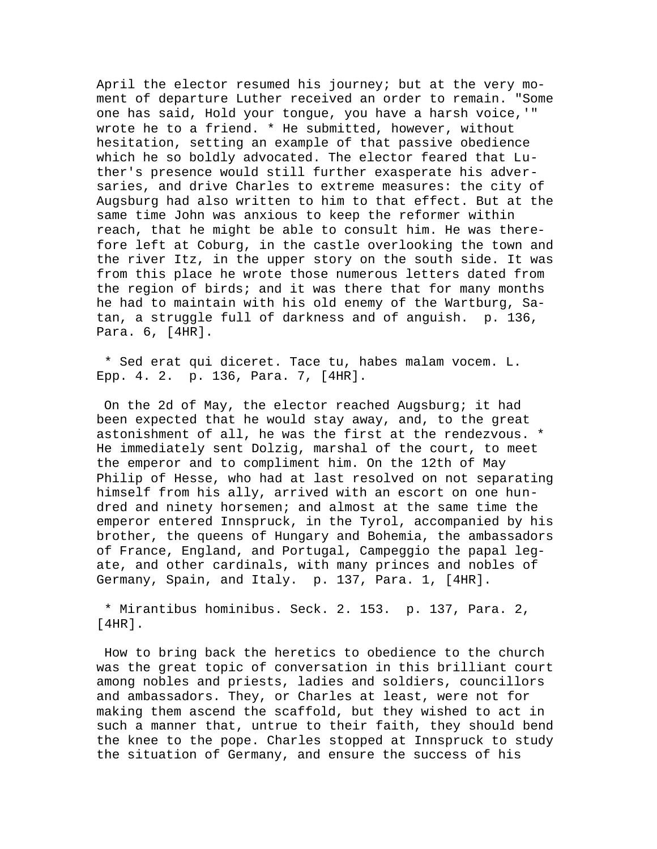April the elector resumed his journey; but at the very moment of departure Luther received an order to remain. "Some one has said, Hold your tongue, you have a harsh voice,'" wrote he to a friend. \* He submitted, however, without hesitation, setting an example of that passive obedience which he so boldly advocated. The elector feared that Luther's presence would still further exasperate his adversaries, and drive Charles to extreme measures: the city of Augsburg had also written to him to that effect. But at the same time John was anxious to keep the reformer within reach, that he might be able to consult him. He was therefore left at Coburg, in the castle overlooking the town and the river Itz, in the upper story on the south side. It was from this place he wrote those numerous letters dated from the region of birds; and it was there that for many months he had to maintain with his old enemy of the Wartburg, Satan, a struggle full of darkness and of anguish. p. 136, Para. 6, [4HR].

 \* Sed erat qui diceret. Tace tu, habes malam vocem. L. Epp. 4. 2. p. 136, Para. 7, [4HR].

 On the 2d of May, the elector reached Augsburg; it had been expected that he would stay away, and, to the great astonishment of all, he was the first at the rendezvous. \* He immediately sent Dolzig, marshal of the court, to meet the emperor and to compliment him. On the 12th of May Philip of Hesse, who had at last resolved on not separating himself from his ally, arrived with an escort on one hundred and ninety horsemen; and almost at the same time the emperor entered Innspruck, in the Tyrol, accompanied by his brother, the queens of Hungary and Bohemia, the ambassadors of France, England, and Portugal, Campeggio the papal legate, and other cardinals, with many princes and nobles of Germany, Spain, and Italy. p. 137, Para. 1, [4HR].

 \* Mirantibus hominibus. Seck. 2. 153. p. 137, Para. 2, [4HR].

 How to bring back the heretics to obedience to the church was the great topic of conversation in this brilliant court among nobles and priests, ladies and soldiers, councillors and ambassadors. They, or Charles at least, were not for making them ascend the scaffold, but they wished to act in such a manner that, untrue to their faith, they should bend the knee to the pope. Charles stopped at Innspruck to study the situation of Germany, and ensure the success of his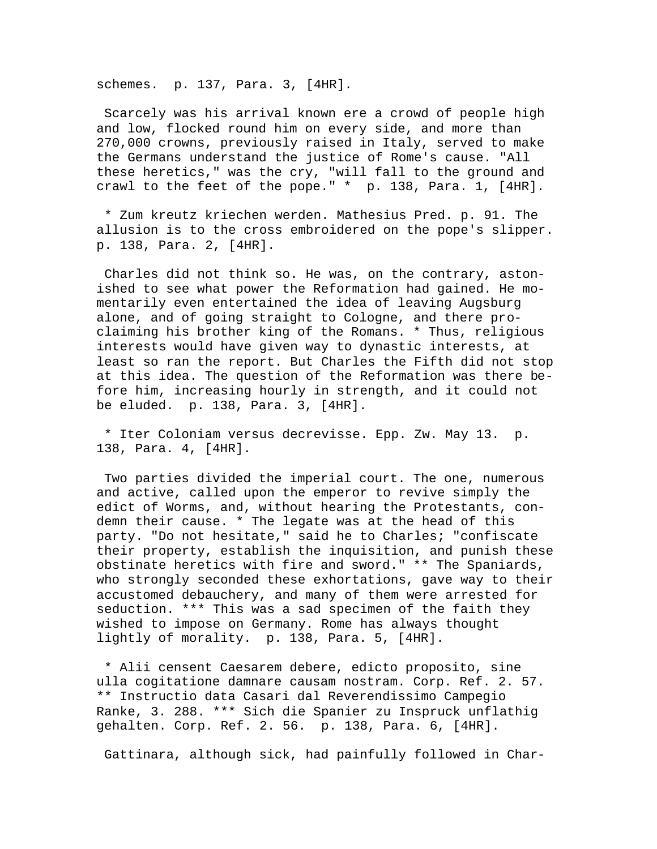schemes. p. 137, Para. 3, [4HR].

 Scarcely was his arrival known ere a crowd of people high and low, flocked round him on every side, and more than 270,000 crowns, previously raised in Italy, served to make the Germans understand the justice of Rome's cause. "All these heretics," was the cry, "will fall to the ground and crawl to the feet of the pope." \* p. 138, Para. 1, [4HR].

 \* Zum kreutz kriechen werden. Mathesius Pred. p. 91. The allusion is to the cross embroidered on the pope's slipper. p. 138, Para. 2, [4HR].

 Charles did not think so. He was, on the contrary, astonished to see what power the Reformation had gained. He momentarily even entertained the idea of leaving Augsburg alone, and of going straight to Cologne, and there proclaiming his brother king of the Romans. \* Thus, religious interests would have given way to dynastic interests, at least so ran the report. But Charles the Fifth did not stop at this idea. The question of the Reformation was there before him, increasing hourly in strength, and it could not be eluded. p. 138, Para. 3, [4HR].

 \* Iter Coloniam versus decrevisse. Epp. Zw. May 13. p. 138, Para. 4, [4HR].

 Two parties divided the imperial court. The one, numerous and active, called upon the emperor to revive simply the edict of Worms, and, without hearing the Protestants, condemn their cause. \* The legate was at the head of this party. "Do not hesitate," said he to Charles; "confiscate their property, establish the inquisition, and punish these obstinate heretics with fire and sword." \*\* The Spaniards, who strongly seconded these exhortations, gave way to their accustomed debauchery, and many of them were arrested for seduction. \*\*\* This was a sad specimen of the faith they wished to impose on Germany. Rome has always thought lightly of morality. p. 138, Para. 5, [4HR].

 \* Alii censent Caesarem debere, edicto proposito, sine ulla cogitatione damnare causam nostram. Corp. Ref. 2. 57. \*\* Instructio data Casari dal Reverendissimo Campegio Ranke, 3. 288. \*\*\* Sich die Spanier zu Inspruck unflathig gehalten. Corp. Ref. 2. 56. p. 138, Para. 6, [4HR].

Gattinara, although sick, had painfully followed in Char-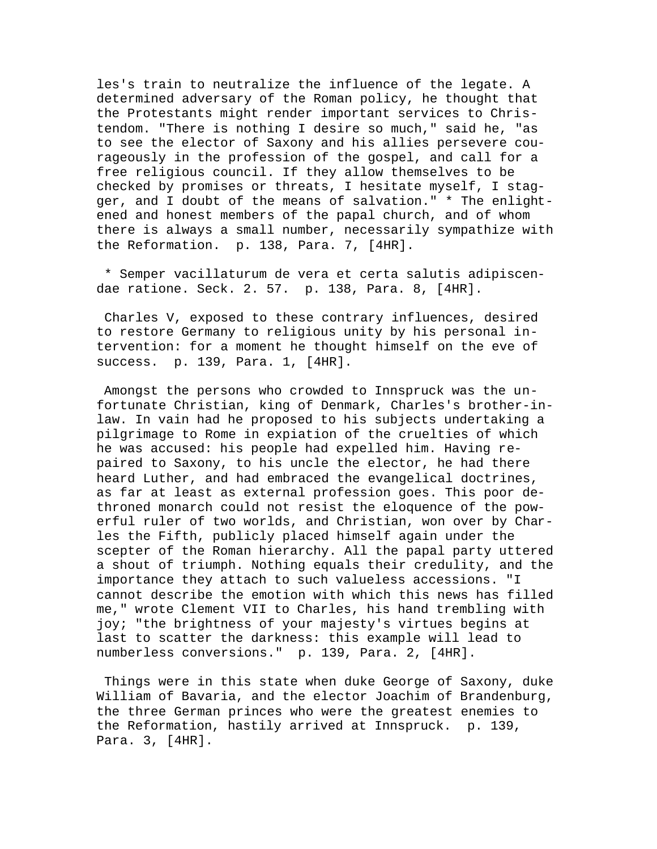les's train to neutralize the influence of the legate. A determined adversary of the Roman policy, he thought that the Protestants might render important services to Christendom. "There is nothing I desire so much," said he, "as to see the elector of Saxony and his allies persevere courageously in the profession of the gospel, and call for a free religious council. If they allow themselves to be checked by promises or threats, I hesitate myself, I stagger, and I doubt of the means of salvation." \* The enlightened and honest members of the papal church, and of whom there is always a small number, necessarily sympathize with the Reformation. p. 138, Para. 7, [4HR].

 \* Semper vacillaturum de vera et certa salutis adipiscendae ratione. Seck. 2. 57. p. 138, Para. 8, [4HR].

 Charles V, exposed to these contrary influences, desired to restore Germany to religious unity by his personal intervention: for a moment he thought himself on the eve of success. p. 139, Para. 1, [4HR].

 Amongst the persons who crowded to Innspruck was the unfortunate Christian, king of Denmark, Charles's brother-inlaw. In vain had he proposed to his subjects undertaking a pilgrimage to Rome in expiation of the cruelties of which he was accused: his people had expelled him. Having repaired to Saxony, to his uncle the elector, he had there heard Luther, and had embraced the evangelical doctrines, as far at least as external profession goes. This poor dethroned monarch could not resist the eloquence of the powerful ruler of two worlds, and Christian, won over by Charles the Fifth, publicly placed himself again under the scepter of the Roman hierarchy. All the papal party uttered a shout of triumph. Nothing equals their credulity, and the importance they attach to such valueless accessions. "I cannot describe the emotion with which this news has filled me," wrote Clement VII to Charles, his hand trembling with joy; "the brightness of your majesty's virtues begins at last to scatter the darkness: this example will lead to numberless conversions." p. 139, Para. 2, [4HR].

 Things were in this state when duke George of Saxony, duke William of Bavaria, and the elector Joachim of Brandenburg, the three German princes who were the greatest enemies to the Reformation, hastily arrived at Innspruck. p. 139, Para. 3, [4HR].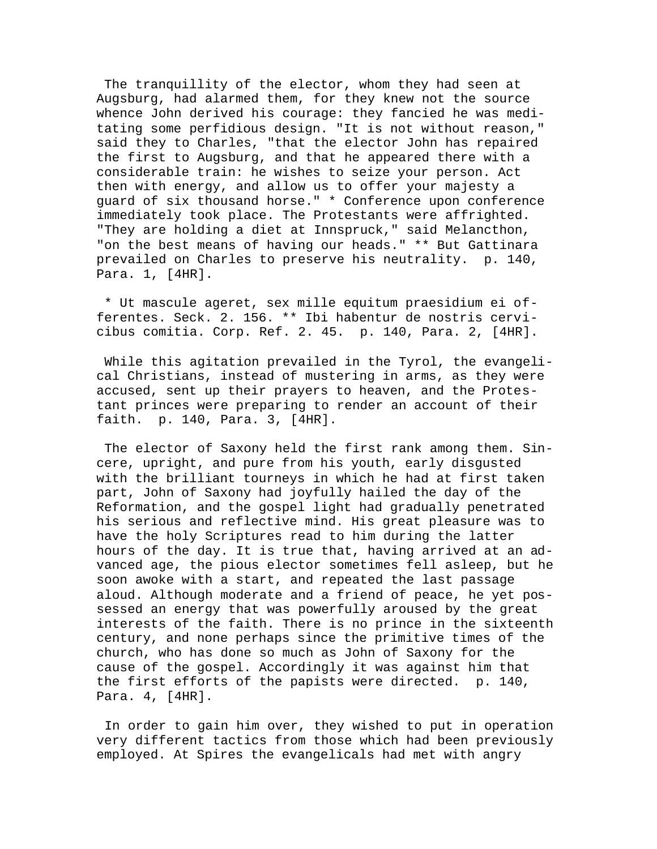The tranquillity of the elector, whom they had seen at Augsburg, had alarmed them, for they knew not the source whence John derived his courage: they fancied he was meditating some perfidious design. "It is not without reason," said they to Charles, "that the elector John has repaired the first to Augsburg, and that he appeared there with a considerable train: he wishes to seize your person. Act then with energy, and allow us to offer your majesty a guard of six thousand horse." \* Conference upon conference immediately took place. The Protestants were affrighted. "They are holding a diet at Innspruck," said Melancthon, "on the best means of having our heads." \*\* But Gattinara prevailed on Charles to preserve his neutrality. p. 140, Para. 1, [4HR].

 \* Ut mascule ageret, sex mille equitum praesidium ei offerentes. Seck. 2. 156. \*\* Ibi habentur de nostris cervicibus comitia. Corp. Ref. 2. 45. p. 140, Para. 2, [4HR].

 While this agitation prevailed in the Tyrol, the evangelical Christians, instead of mustering in arms, as they were accused, sent up their prayers to heaven, and the Protestant princes were preparing to render an account of their faith. p. 140, Para. 3, [4HR].

 The elector of Saxony held the first rank among them. Sincere, upright, and pure from his youth, early disgusted with the brilliant tourneys in which he had at first taken part, John of Saxony had joyfully hailed the day of the Reformation, and the gospel light had gradually penetrated his serious and reflective mind. His great pleasure was to have the holy Scriptures read to him during the latter hours of the day. It is true that, having arrived at an advanced age, the pious elector sometimes fell asleep, but he soon awoke with a start, and repeated the last passage aloud. Although moderate and a friend of peace, he yet possessed an energy that was powerfully aroused by the great interests of the faith. There is no prince in the sixteenth century, and none perhaps since the primitive times of the church, who has done so much as John of Saxony for the cause of the gospel. Accordingly it was against him that the first efforts of the papists were directed. p. 140, Para. 4, [4HR].

 In order to gain him over, they wished to put in operation very different tactics from those which had been previously employed. At Spires the evangelicals had met with angry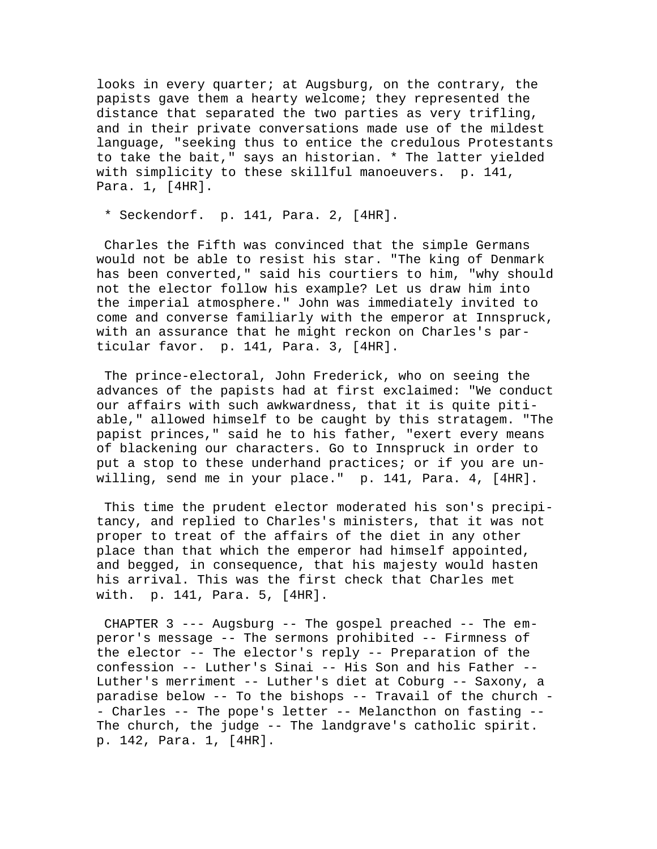looks in every quarter; at Augsburg, on the contrary, the papists gave them a hearty welcome; they represented the distance that separated the two parties as very trifling, and in their private conversations made use of the mildest language, "seeking thus to entice the credulous Protestants to take the bait," says an historian. \* The latter yielded with simplicity to these skillful manoeuvers. p. 141, Para. 1, [4HR].

\* Seckendorf. p. 141, Para. 2, [4HR].

 Charles the Fifth was convinced that the simple Germans would not be able to resist his star. "The king of Denmark has been converted," said his courtiers to him, "why should not the elector follow his example? Let us draw him into the imperial atmosphere." John was immediately invited to come and converse familiarly with the emperor at Innspruck, with an assurance that he might reckon on Charles's particular favor. p. 141, Para. 3, [4HR].

 The prince-electoral, John Frederick, who on seeing the advances of the papists had at first exclaimed: "We conduct our affairs with such awkwardness, that it is quite pitiable," allowed himself to be caught by this stratagem. "The papist princes," said he to his father, "exert every means of blackening our characters. Go to Innspruck in order to put a stop to these underhand practices; or if you are unwilling, send me in your place." p. 141, Para. 4, [4HR].

 This time the prudent elector moderated his son's precipitancy, and replied to Charles's ministers, that it was not proper to treat of the affairs of the diet in any other place than that which the emperor had himself appointed, and begged, in consequence, that his majesty would hasten his arrival. This was the first check that Charles met with. p. 141, Para. 5, [4HR].

 CHAPTER 3 --- Augsburg -- The gospel preached -- The emperor's message -- The sermons prohibited -- Firmness of the elector -- The elector's reply -- Preparation of the confession -- Luther's Sinai -- His Son and his Father -- Luther's merriment -- Luther's diet at Coburg -- Saxony, a paradise below -- To the bishops -- Travail of the church - - Charles -- The pope's letter -- Melancthon on fasting -- The church, the judge -- The landgrave's catholic spirit. p. 142, Para. 1, [4HR].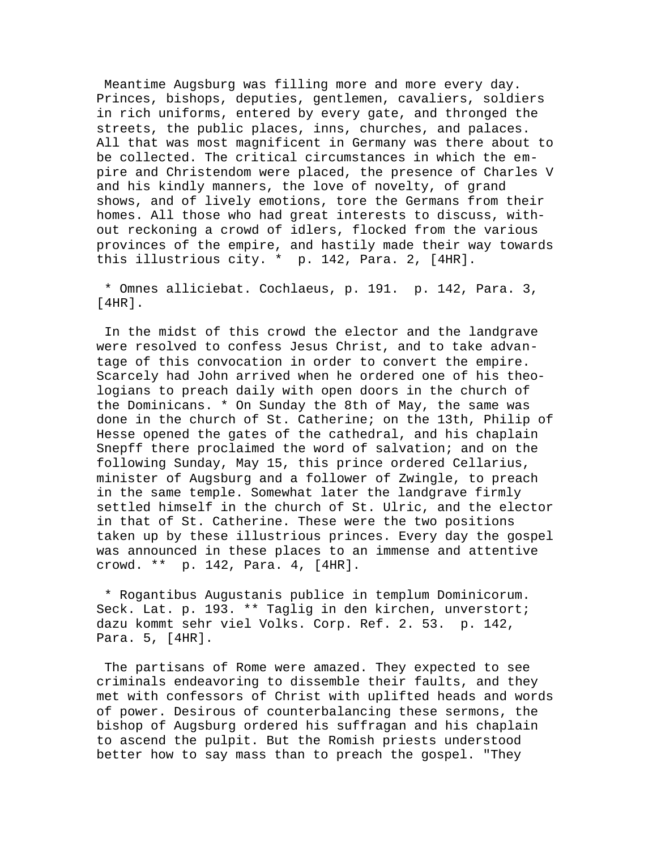Meantime Augsburg was filling more and more every day. Princes, bishops, deputies, gentlemen, cavaliers, soldiers in rich uniforms, entered by every gate, and thronged the streets, the public places, inns, churches, and palaces. All that was most magnificent in Germany was there about to be collected. The critical circumstances in which the empire and Christendom were placed, the presence of Charles V and his kindly manners, the love of novelty, of grand shows, and of lively emotions, tore the Germans from their homes. All those who had great interests to discuss, without reckoning a crowd of idlers, flocked from the various provinces of the empire, and hastily made their way towards this illustrious city. \* p. 142, Para. 2, [4HR].

 \* Omnes alliciebat. Cochlaeus, p. 191. p. 142, Para. 3, [4HR].

 In the midst of this crowd the elector and the landgrave were resolved to confess Jesus Christ, and to take advantage of this convocation in order to convert the empire. Scarcely had John arrived when he ordered one of his theologians to preach daily with open doors in the church of the Dominicans. \* On Sunday the 8th of May, the same was done in the church of St. Catherine; on the 13th, Philip of Hesse opened the gates of the cathedral, and his chaplain Snepff there proclaimed the word of salvation; and on the following Sunday, May 15, this prince ordered Cellarius, minister of Augsburg and a follower of Zwingle, to preach in the same temple. Somewhat later the landgrave firmly settled himself in the church of St. Ulric, and the elector in that of St. Catherine. These were the two positions taken up by these illustrious princes. Every day the gospel was announced in these places to an immense and attentive crowd. \*\* p. 142, Para. 4, [4HR].

 \* Rogantibus Augustanis publice in templum Dominicorum. Seck. Lat. p. 193. \*\* Taglig in den kirchen, unverstort; dazu kommt sehr viel Volks. Corp. Ref. 2. 53. p. 142, Para. 5, [4HR].

 The partisans of Rome were amazed. They expected to see criminals endeavoring to dissemble their faults, and they met with confessors of Christ with uplifted heads and words of power. Desirous of counterbalancing these sermons, the bishop of Augsburg ordered his suffragan and his chaplain to ascend the pulpit. But the Romish priests understood better how to say mass than to preach the gospel. "They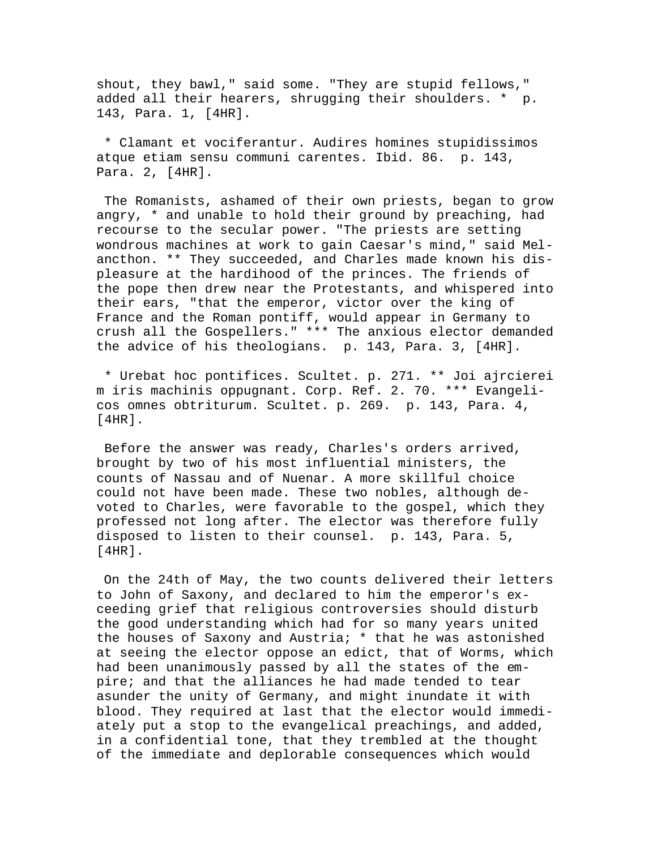shout, they bawl," said some. "They are stupid fellows," added all their hearers, shrugging their shoulders. \* p. 143, Para. 1, [4HR].

 \* Clamant et vociferantur. Audires homines stupidissimos atque etiam sensu communi carentes. Ibid. 86. p. 143, Para. 2, [4HR].

 The Romanists, ashamed of their own priests, began to grow angry, \* and unable to hold their ground by preaching, had recourse to the secular power. "The priests are setting wondrous machines at work to gain Caesar's mind," said Melancthon. \*\* They succeeded, and Charles made known his displeasure at the hardihood of the princes. The friends of the pope then drew near the Protestants, and whispered into their ears, "that the emperor, victor over the king of France and the Roman pontiff, would appear in Germany to crush all the Gospellers." \*\*\* The anxious elector demanded the advice of his theologians. p. 143, Para. 3, [4HR].

 \* Urebat hoc pontifices. Scultet. p. 271. \*\* Joi ajrcierei m iris machinis oppugnant. Corp. Ref. 2. 70. \*\*\* Evangelicos omnes obtriturum. Scultet. p. 269. p. 143, Para. 4, [4HR].

 Before the answer was ready, Charles's orders arrived, brought by two of his most influential ministers, the counts of Nassau and of Nuenar. A more skillful choice could not have been made. These two nobles, although devoted to Charles, were favorable to the gospel, which they professed not long after. The elector was therefore fully disposed to listen to their counsel. p. 143, Para. 5, [4HR].

 On the 24th of May, the two counts delivered their letters to John of Saxony, and declared to him the emperor's exceeding grief that religious controversies should disturb the good understanding which had for so many years united the houses of Saxony and Austria; \* that he was astonished at seeing the elector oppose an edict, that of Worms, which had been unanimously passed by all the states of the empire; and that the alliances he had made tended to tear asunder the unity of Germany, and might inundate it with blood. They required at last that the elector would immediately put a stop to the evangelical preachings, and added, in a confidential tone, that they trembled at the thought of the immediate and deplorable consequences which would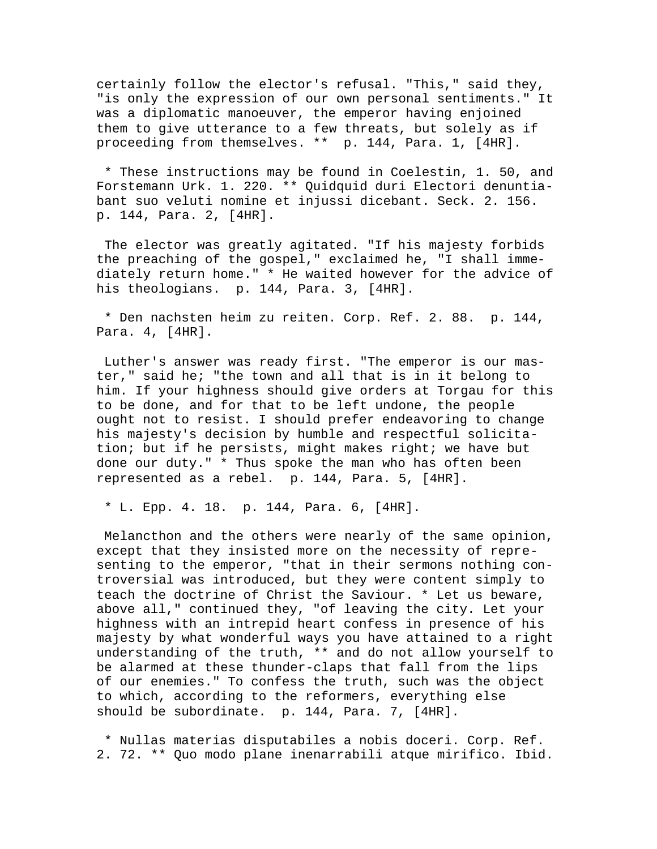certainly follow the elector's refusal. "This," said they, "is only the expression of our own personal sentiments." It was a diplomatic manoeuver, the emperor having enjoined them to give utterance to a few threats, but solely as if proceeding from themselves. \*\* p. 144, Para. 1, [4HR].

 \* These instructions may be found in Coelestin, 1. 50, and Forstemann Urk. 1. 220. \*\* Quidquid duri Electori denuntiabant suo veluti nomine et injussi dicebant. Seck. 2. 156. p. 144, Para. 2, [4HR].

 The elector was greatly agitated. "If his majesty forbids the preaching of the gospel," exclaimed he, "I shall immediately return home." \* He waited however for the advice of his theologians. p. 144, Para. 3, [4HR].

 \* Den nachsten heim zu reiten. Corp. Ref. 2. 88. p. 144, Para. 4, [4HR].

 Luther's answer was ready first. "The emperor is our master," said he; "the town and all that is in it belong to him. If your highness should give orders at Torgau for this to be done, and for that to be left undone, the people ought not to resist. I should prefer endeavoring to change his majesty's decision by humble and respectful solicitation; but if he persists, might makes right; we have but done our duty." \* Thus spoke the man who has often been represented as a rebel. p. 144, Para. 5, [4HR].

\* L. Epp. 4. 18. p. 144, Para. 6, [4HR].

 Melancthon and the others were nearly of the same opinion, except that they insisted more on the necessity of representing to the emperor, "that in their sermons nothing controversial was introduced, but they were content simply to teach the doctrine of Christ the Saviour. \* Let us beware, above all," continued they, "of leaving the city. Let your highness with an intrepid heart confess in presence of his majesty by what wonderful ways you have attained to a right understanding of the truth, \*\* and do not allow yourself to be alarmed at these thunder-claps that fall from the lips of our enemies." To confess the truth, such was the object to which, according to the reformers, everything else should be subordinate. p. 144, Para. 7, [4HR].

 \* Nullas materias disputabiles a nobis doceri. Corp. Ref. 2. 72. \*\* Quo modo plane inenarrabili atque mirifico. Ibid.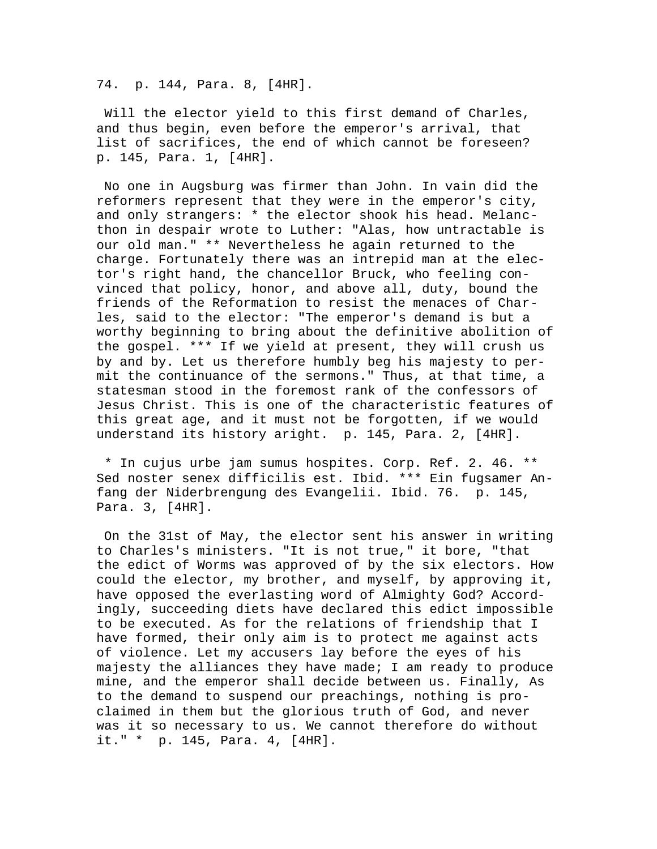74. p. 144, Para. 8, [4HR].

 Will the elector yield to this first demand of Charles, and thus begin, even before the emperor's arrival, that list of sacrifices, the end of which cannot be foreseen? p. 145, Para. 1, [4HR].

 No one in Augsburg was firmer than John. In vain did the reformers represent that they were in the emperor's city, and only strangers: \* the elector shook his head. Melancthon in despair wrote to Luther: "Alas, how untractable is our old man." \*\* Nevertheless he again returned to the charge. Fortunately there was an intrepid man at the elector's right hand, the chancellor Bruck, who feeling convinced that policy, honor, and above all, duty, bound the friends of the Reformation to resist the menaces of Charles, said to the elector: "The emperor's demand is but a worthy beginning to bring about the definitive abolition of the gospel. \*\*\* If we yield at present, they will crush us by and by. Let us therefore humbly beg his majesty to permit the continuance of the sermons." Thus, at that time, a statesman stood in the foremost rank of the confessors of Jesus Christ. This is one of the characteristic features of this great age, and it must not be forgotten, if we would understand its history aright. p. 145, Para. 2, [4HR].

 \* In cujus urbe jam sumus hospites. Corp. Ref. 2. 46. \*\* Sed noster senex difficilis est. Ibid. \*\*\* Ein fugsamer Anfang der Niderbrengung des Evangelii. Ibid. 76. p. 145, Para. 3, [4HR].

 On the 31st of May, the elector sent his answer in writing to Charles's ministers. "It is not true," it bore, "that the edict of Worms was approved of by the six electors. How could the elector, my brother, and myself, by approving it, have opposed the everlasting word of Almighty God? Accordingly, succeeding diets have declared this edict impossible to be executed. As for the relations of friendship that I have formed, their only aim is to protect me against acts of violence. Let my accusers lay before the eyes of his majesty the alliances they have made; I am ready to produce mine, and the emperor shall decide between us. Finally, As to the demand to suspend our preachings, nothing is proclaimed in them but the glorious truth of God, and never was it so necessary to us. We cannot therefore do without it." \* p. 145, Para. 4, [4HR].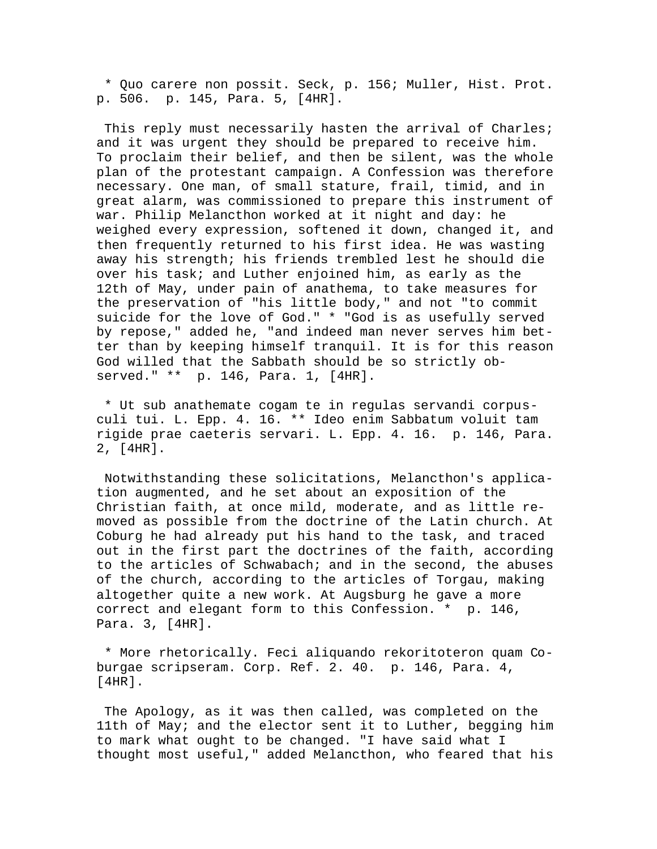\* Quo carere non possit. Seck, p. 156; Muller, Hist. Prot. p. 506. p. 145, Para. 5, [4HR].

This reply must necessarily hasten the arrival of Charles; and it was urgent they should be prepared to receive him. To proclaim their belief, and then be silent, was the whole plan of the protestant campaign. A Confession was therefore necessary. One man, of small stature, frail, timid, and in great alarm, was commissioned to prepare this instrument of war. Philip Melancthon worked at it night and day: he weighed every expression, softened it down, changed it, and then frequently returned to his first idea. He was wasting away his strength; his friends trembled lest he should die over his task; and Luther enjoined him, as early as the 12th of May, under pain of anathema, to take measures for the preservation of "his little body," and not "to commit suicide for the love of God." \* "God is as usefully served by repose," added he, "and indeed man never serves him better than by keeping himself tranquil. It is for this reason God willed that the Sabbath should be so strictly observed." \*\* p. 146, Para. 1, [4HR].

 \* Ut sub anathemate cogam te in regulas servandi corpusculi tui. L. Epp. 4. 16. \*\* Ideo enim Sabbatum voluit tam rigide prae caeteris servari. L. Epp. 4. 16. p. 146, Para. 2, [4HR].

 Notwithstanding these solicitations, Melancthon's application augmented, and he set about an exposition of the Christian faith, at once mild, moderate, and as little removed as possible from the doctrine of the Latin church. At Coburg he had already put his hand to the task, and traced out in the first part the doctrines of the faith, according to the articles of Schwabach; and in the second, the abuses of the church, according to the articles of Torgau, making altogether quite a new work. At Augsburg he gave a more correct and elegant form to this Confession. \* p. 146, Para. 3, [4HR].

 \* More rhetorically. Feci aliquando rekoritoteron quam Coburgae scripseram. Corp. Ref. 2. 40. p. 146, Para. 4, [4HR].

 The Apology, as it was then called, was completed on the 11th of May; and the elector sent it to Luther, begging him to mark what ought to be changed. "I have said what I thought most useful," added Melancthon, who feared that his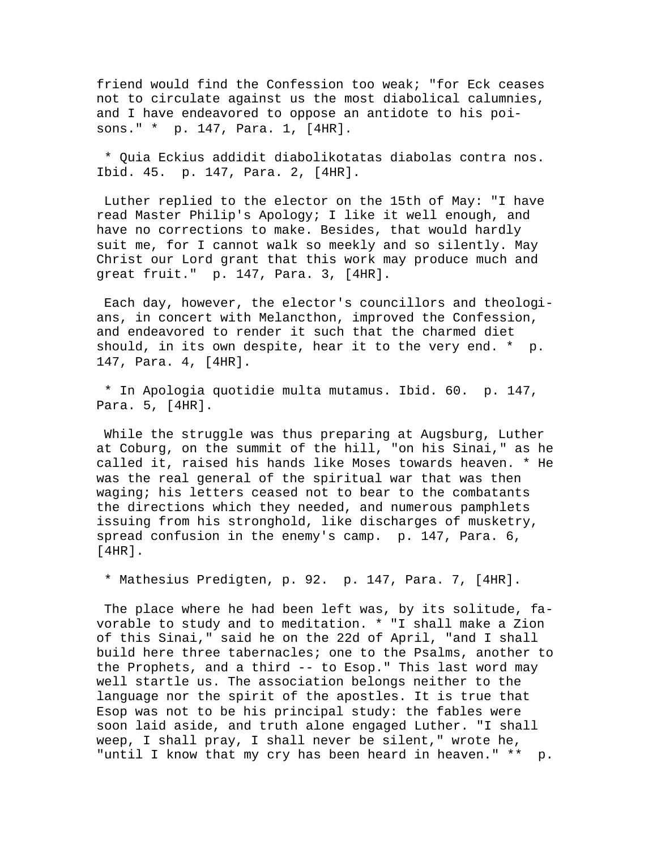friend would find the Confession too weak; "for Eck ceases not to circulate against us the most diabolical calumnies, and I have endeavored to oppose an antidote to his poisons." \* p. 147, Para. 1, [4HR].

 \* Quia Eckius addidit diabolikotatas diabolas contra nos. Ibid. 45. p. 147, Para. 2, [4HR].

 Luther replied to the elector on the 15th of May: "I have read Master Philip's Apology; I like it well enough, and have no corrections to make. Besides, that would hardly suit me, for I cannot walk so meekly and so silently. May Christ our Lord grant that this work may produce much and great fruit." p. 147, Para. 3, [4HR].

 Each day, however, the elector's councillors and theologians, in concert with Melancthon, improved the Confession, and endeavored to render it such that the charmed diet should, in its own despite, hear it to the very end. \* p. 147, Para. 4, [4HR].

 \* In Apologia quotidie multa mutamus. Ibid. 60. p. 147, Para. 5, [4HR].

 While the struggle was thus preparing at Augsburg, Luther at Coburg, on the summit of the hill, "on his Sinai," as he called it, raised his hands like Moses towards heaven. \* He was the real general of the spiritual war that was then waging; his letters ceased not to bear to the combatants the directions which they needed, and numerous pamphlets issuing from his stronghold, like discharges of musketry, spread confusion in the enemy's camp. p. 147, Para. 6, [4HR].

\* Mathesius Predigten, p. 92. p. 147, Para. 7, [4HR].

 The place where he had been left was, by its solitude, favorable to study and to meditation. \* "I shall make a Zion of this Sinai," said he on the 22d of April, "and I shall build here three tabernacles; one to the Psalms, another to the Prophets, and a third -- to Esop." This last word may well startle us. The association belongs neither to the language nor the spirit of the apostles. It is true that Esop was not to be his principal study: the fables were soon laid aside, and truth alone engaged Luther. "I shall weep, I shall pray, I shall never be silent," wrote he, "until I know that my cry has been heard in heaven." \*\* p.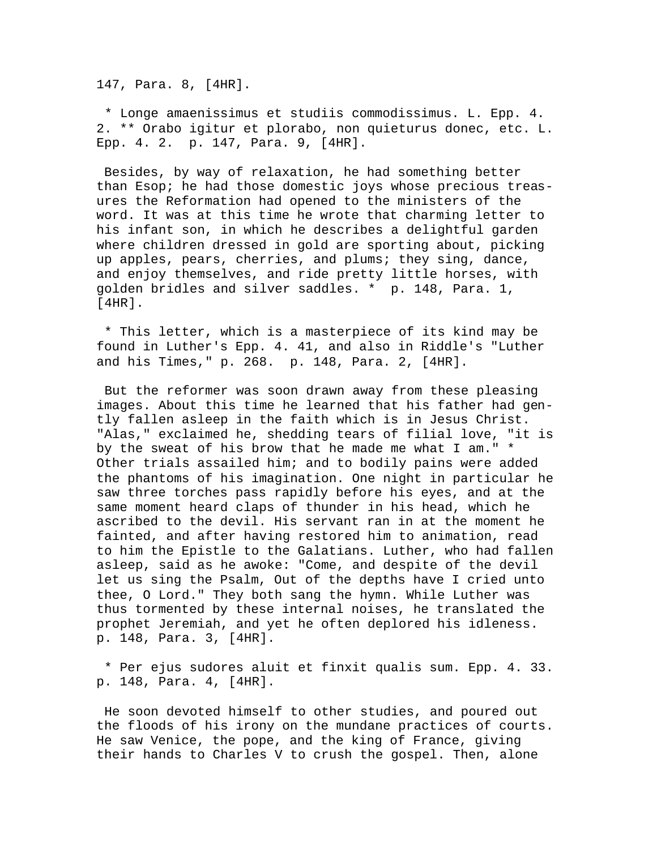147, Para. 8, [4HR].

 \* Longe amaenissimus et studiis commodissimus. L. Epp. 4. 2. \*\* Orabo igitur et plorabo, non quieturus donec, etc. L. Epp. 4. 2. p. 147, Para. 9, [4HR].

 Besides, by way of relaxation, he had something better than Esop; he had those domestic joys whose precious treasures the Reformation had opened to the ministers of the word. It was at this time he wrote that charming letter to his infant son, in which he describes a delightful garden where children dressed in gold are sporting about, picking up apples, pears, cherries, and plums; they sing, dance, and enjoy themselves, and ride pretty little horses, with golden bridles and silver saddles. \* p. 148, Para. 1, [4HR].

 \* This letter, which is a masterpiece of its kind may be found in Luther's Epp. 4. 41, and also in Riddle's "Luther and his Times," p. 268. p. 148, Para. 2, [4HR].

 But the reformer was soon drawn away from these pleasing images. About this time he learned that his father had gently fallen asleep in the faith which is in Jesus Christ. "Alas," exclaimed he, shedding tears of filial love, "it is by the sweat of his brow that he made me what I am." \* Other trials assailed him; and to bodily pains were added the phantoms of his imagination. One night in particular he saw three torches pass rapidly before his eyes, and at the same moment heard claps of thunder in his head, which he ascribed to the devil. His servant ran in at the moment he fainted, and after having restored him to animation, read to him the Epistle to the Galatians. Luther, who had fallen asleep, said as he awoke: "Come, and despite of the devil let us sing the Psalm, Out of the depths have I cried unto thee, O Lord." They both sang the hymn. While Luther was thus tormented by these internal noises, he translated the prophet Jeremiah, and yet he often deplored his idleness. p. 148, Para. 3, [4HR].

 \* Per ejus sudores aluit et finxit qualis sum. Epp. 4. 33. p. 148, Para. 4, [4HR].

 He soon devoted himself to other studies, and poured out the floods of his irony on the mundane practices of courts. He saw Venice, the pope, and the king of France, giving their hands to Charles V to crush the gospel. Then, alone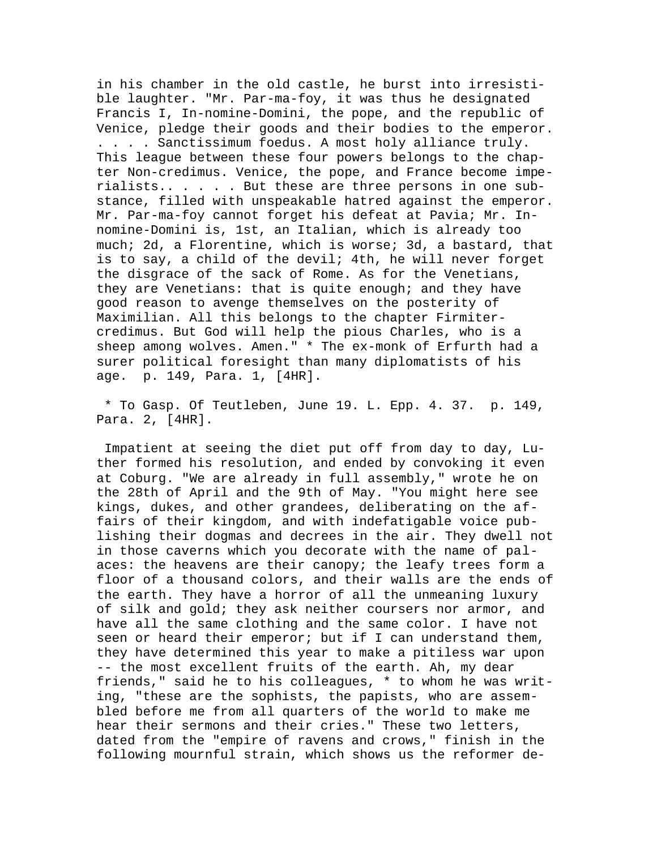in his chamber in the old castle, he burst into irresistible laughter. "Mr. Par-ma-foy, it was thus he designated Francis I, In-nomine-Domini, the pope, and the republic of Venice, pledge their goods and their bodies to the emperor. . . . . Sanctissimum foedus. A most holy alliance truly. This league between these four powers belongs to the chapter Non-credimus. Venice, the pope, and France become imperialists.. . . . . But these are three persons in one substance, filled with unspeakable hatred against the emperor. Mr. Par-ma-foy cannot forget his defeat at Pavia; Mr. Innomine-Domini is, 1st, an Italian, which is already too much; 2d, a Florentine, which is worse; 3d, a bastard, that is to say, a child of the devil; 4th, he will never forget the disgrace of the sack of Rome. As for the Venetians, they are Venetians: that is quite enough; and they have good reason to avenge themselves on the posterity of Maximilian. All this belongs to the chapter Firmitercredimus. But God will help the pious Charles, who is a sheep among wolves. Amen." \* The ex-monk of Erfurth had a surer political foresight than many diplomatists of his age. p. 149, Para. 1, [4HR].

 \* To Gasp. Of Teutleben, June 19. L. Epp. 4. 37. p. 149, Para. 2, [4HR].

 Impatient at seeing the diet put off from day to day, Luther formed his resolution, and ended by convoking it even at Coburg. "We are already in full assembly," wrote he on the 28th of April and the 9th of May. "You might here see kings, dukes, and other grandees, deliberating on the affairs of their kingdom, and with indefatigable voice publishing their dogmas and decrees in the air. They dwell not in those caverns which you decorate with the name of palaces: the heavens are their canopy; the leafy trees form a floor of a thousand colors, and their walls are the ends of the earth. They have a horror of all the unmeaning luxury of silk and gold; they ask neither coursers nor armor, and have all the same clothing and the same color. I have not seen or heard their emperor; but if I can understand them, they have determined this year to make a pitiless war upon -- the most excellent fruits of the earth. Ah, my dear friends," said he to his colleagues, \* to whom he was writing, "these are the sophists, the papists, who are assembled before me from all quarters of the world to make me hear their sermons and their cries." These two letters, dated from the "empire of ravens and crows," finish in the following mournful strain, which shows us the reformer de-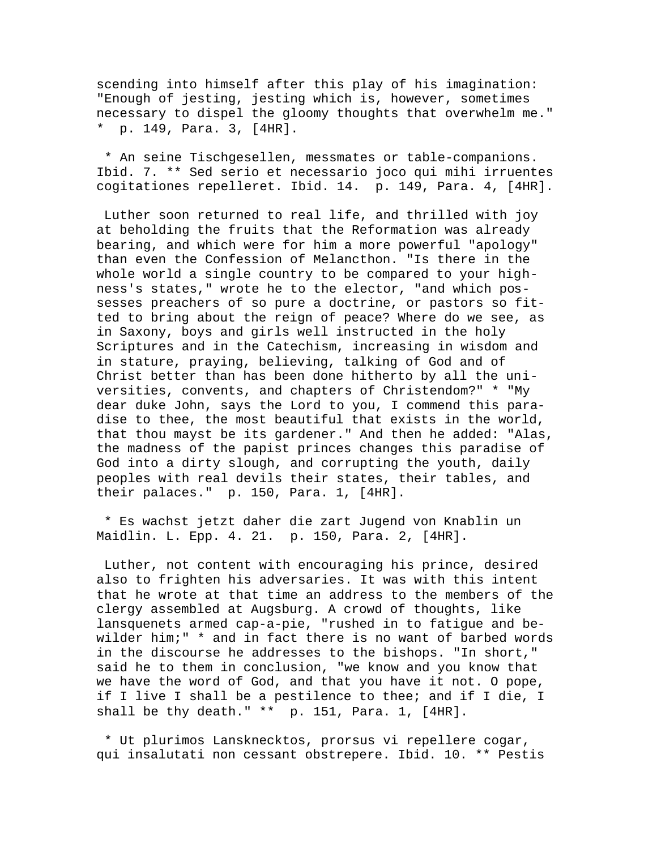scending into himself after this play of his imagination: "Enough of jesting, jesting which is, however, sometimes necessary to dispel the gloomy thoughts that overwhelm me." \* p. 149, Para. 3, [4HR].

 \* An seine Tischgesellen, messmates or table-companions. Ibid. 7. \*\* Sed serio et necessario joco qui mihi irruentes cogitationes repelleret. Ibid. 14. p. 149, Para. 4, [4HR].

 Luther soon returned to real life, and thrilled with joy at beholding the fruits that the Reformation was already bearing, and which were for him a more powerful "apology" than even the Confession of Melancthon. "Is there in the whole world a single country to be compared to your highness's states," wrote he to the elector, "and which possesses preachers of so pure a doctrine, or pastors so fitted to bring about the reign of peace? Where do we see, as in Saxony, boys and girls well instructed in the holy Scriptures and in the Catechism, increasing in wisdom and in stature, praying, believing, talking of God and of Christ better than has been done hitherto by all the universities, convents, and chapters of Christendom?" \* "My dear duke John, says the Lord to you, I commend this paradise to thee, the most beautiful that exists in the world, that thou mayst be its gardener." And then he added: "Alas, the madness of the papist princes changes this paradise of God into a dirty slough, and corrupting the youth, daily peoples with real devils their states, their tables, and their palaces." p. 150, Para. 1, [4HR].

 \* Es wachst jetzt daher die zart Jugend von Knablin un Maidlin. L. Epp. 4. 21. p. 150, Para. 2, [4HR].

 Luther, not content with encouraging his prince, desired also to frighten his adversaries. It was with this intent that he wrote at that time an address to the members of the clergy assembled at Augsburg. A crowd of thoughts, like lansquenets armed cap-a-pie, "rushed in to fatigue and bewilder him;" \* and in fact there is no want of barbed words in the discourse he addresses to the bishops. "In short," said he to them in conclusion, "we know and you know that we have the word of God, and that you have it not. O pope, if I live I shall be a pestilence to thee; and if I die, I shall be thy death." \*\* p. 151, Para. 1, [4HR].

 \* Ut plurimos Lansknecktos, prorsus vi repellere cogar, qui insalutati non cessant obstrepere. Ibid. 10. \*\* Pestis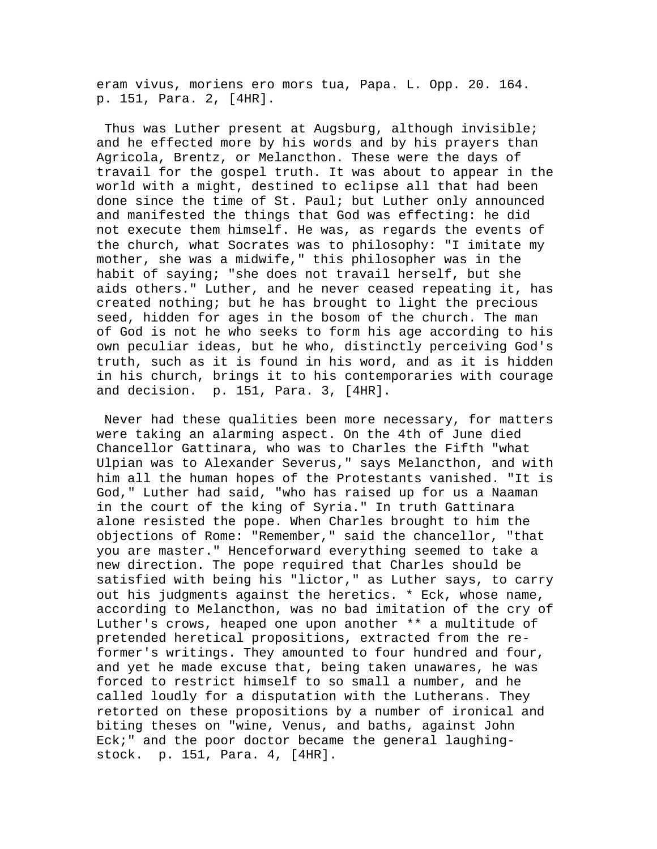eram vivus, moriens ero mors tua, Papa. L. Opp. 20. 164. p. 151, Para. 2, [4HR].

 Thus was Luther present at Augsburg, although invisible; and he effected more by his words and by his prayers than Agricola, Brentz, or Melancthon. These were the days of travail for the gospel truth. It was about to appear in the world with a might, destined to eclipse all that had been done since the time of St. Paul; but Luther only announced and manifested the things that God was effecting: he did not execute them himself. He was, as regards the events of the church, what Socrates was to philosophy: "I imitate my mother, she was a midwife," this philosopher was in the habit of saying; "she does not travail herself, but she aids others." Luther, and he never ceased repeating it, has created nothing; but he has brought to light the precious seed, hidden for ages in the bosom of the church. The man of God is not he who seeks to form his age according to his own peculiar ideas, but he who, distinctly perceiving God's truth, such as it is found in his word, and as it is hidden in his church, brings it to his contemporaries with courage and decision. p. 151, Para. 3, [4HR].

 Never had these qualities been more necessary, for matters were taking an alarming aspect. On the 4th of June died Chancellor Gattinara, who was to Charles the Fifth "what Ulpian was to Alexander Severus," says Melancthon, and with him all the human hopes of the Protestants vanished. "It is God," Luther had said, "who has raised up for us a Naaman in the court of the king of Syria." In truth Gattinara alone resisted the pope. When Charles brought to him the objections of Rome: "Remember," said the chancellor, "that you are master." Henceforward everything seemed to take a new direction. The pope required that Charles should be satisfied with being his "lictor," as Luther says, to carry out his judgments against the heretics. \* Eck, whose name, according to Melancthon, was no bad imitation of the cry of Luther's crows, heaped one upon another \*\* a multitude of pretended heretical propositions, extracted from the reformer's writings. They amounted to four hundred and four, and yet he made excuse that, being taken unawares, he was forced to restrict himself to so small a number, and he called loudly for a disputation with the Lutherans. They retorted on these propositions by a number of ironical and biting theses on "wine, Venus, and baths, against John Eck;" and the poor doctor became the general laughingstock. p. 151, Para. 4, [4HR].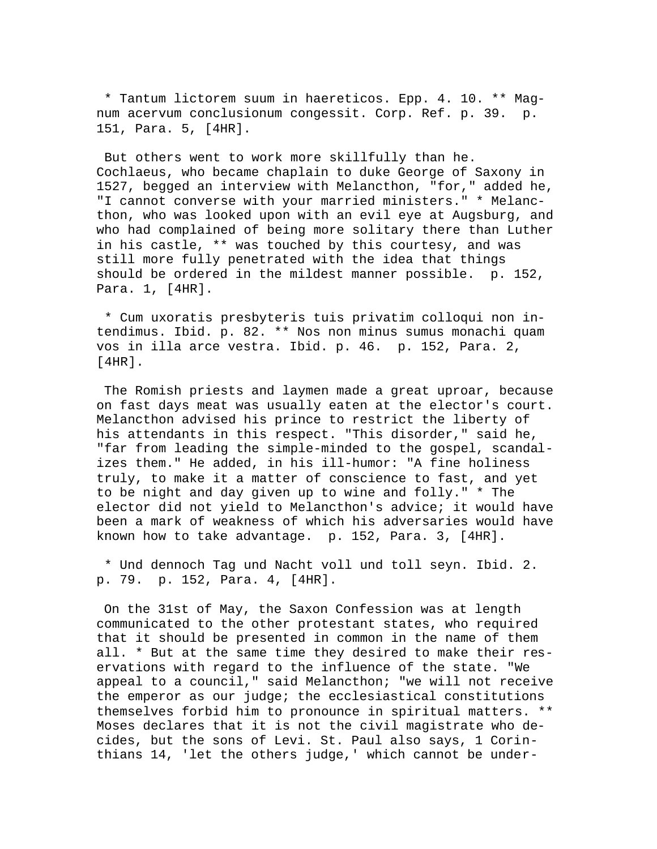\* Tantum lictorem suum in haereticos. Epp. 4. 10. \*\* Magnum acervum conclusionum congessit. Corp. Ref. p. 39. p. 151, Para. 5, [4HR].

 But others went to work more skillfully than he. Cochlaeus, who became chaplain to duke George of Saxony in 1527, begged an interview with Melancthon, "for," added he, "I cannot converse with your married ministers." \* Melancthon, who was looked upon with an evil eye at Augsburg, and who had complained of being more solitary there than Luther in his castle, \*\* was touched by this courtesy, and was still more fully penetrated with the idea that things should be ordered in the mildest manner possible. p. 152, Para. 1, [4HR].

 \* Cum uxoratis presbyteris tuis privatim colloqui non intendimus. Ibid. p. 82. \*\* Nos non minus sumus monachi quam vos in illa arce vestra. Ibid. p. 46. p. 152, Para. 2, [4HR].

 The Romish priests and laymen made a great uproar, because on fast days meat was usually eaten at the elector's court. Melancthon advised his prince to restrict the liberty of his attendants in this respect. "This disorder," said he, "far from leading the simple-minded to the gospel, scandalizes them." He added, in his ill-humor: "A fine holiness truly, to make it a matter of conscience to fast, and yet to be night and day given up to wine and folly." \* The elector did not yield to Melancthon's advice; it would have been a mark of weakness of which his adversaries would have known how to take advantage. p. 152, Para. 3, [4HR].

 \* Und dennoch Tag und Nacht voll und toll seyn. Ibid. 2. p. 79. p. 152, Para. 4, [4HR].

 On the 31st of May, the Saxon Confession was at length communicated to the other protestant states, who required that it should be presented in common in the name of them all. \* But at the same time they desired to make their reservations with regard to the influence of the state. "We appeal to a council," said Melancthon; "we will not receive the emperor as our judge; the ecclesiastical constitutions themselves forbid him to pronounce in spiritual matters. \*\* Moses declares that it is not the civil magistrate who decides, but the sons of Levi. St. Paul also says, 1 Corinthians 14, 'let the others judge,' which cannot be under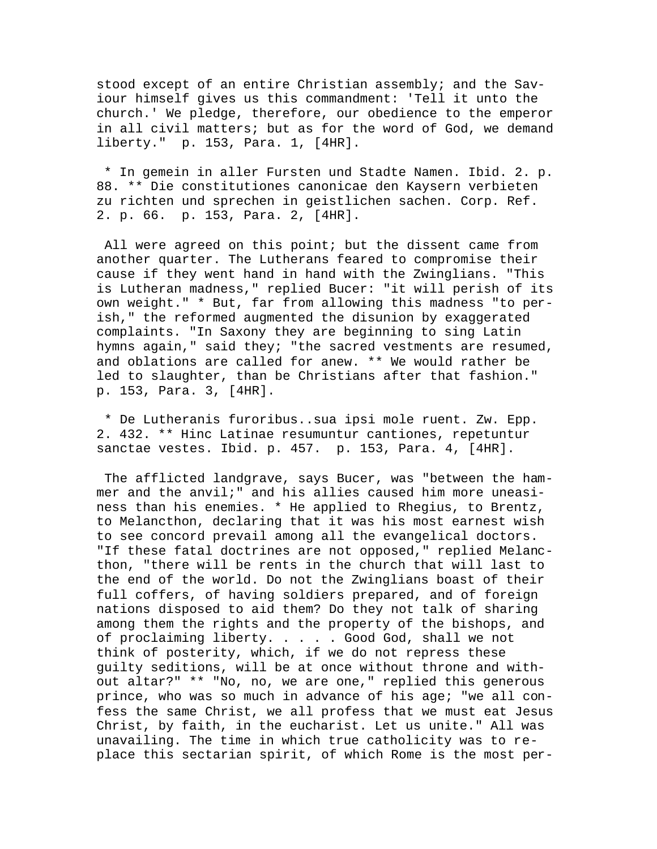stood except of an entire Christian assembly; and the Saviour himself gives us this commandment: 'Tell it unto the church.' We pledge, therefore, our obedience to the emperor in all civil matters; but as for the word of God, we demand liberty." p. 153, Para. 1, [4HR].

 \* In gemein in aller Fursten und Stadte Namen. Ibid. 2. p. 88. \*\* Die constitutiones canonicae den Kaysern verbieten zu richten und sprechen in geistlichen sachen. Corp. Ref. 2. p. 66. p. 153, Para. 2, [4HR].

 All were agreed on this point; but the dissent came from another quarter. The Lutherans feared to compromise their cause if they went hand in hand with the Zwinglians. "This is Lutheran madness," replied Bucer: "it will perish of its own weight." \* But, far from allowing this madness "to perish," the reformed augmented the disunion by exaggerated complaints. "In Saxony they are beginning to sing Latin hymns again," said they; "the sacred vestments are resumed, and oblations are called for anew. \*\* We would rather be led to slaughter, than be Christians after that fashion." p. 153, Para. 3, [4HR].

 \* De Lutheranis furoribus..sua ipsi mole ruent. Zw. Epp. 2. 432. \*\* Hinc Latinae resumuntur cantiones, repetuntur sanctae vestes. Ibid. p. 457. p. 153, Para. 4, [4HR].

 The afflicted landgrave, says Bucer, was "between the hammer and the anvil;" and his allies caused him more uneasiness than his enemies. \* He applied to Rhegius, to Brentz, to Melancthon, declaring that it was his most earnest wish to see concord prevail among all the evangelical doctors. "If these fatal doctrines are not opposed," replied Melancthon, "there will be rents in the church that will last to the end of the world. Do not the Zwinglians boast of their full coffers, of having soldiers prepared, and of foreign nations disposed to aid them? Do they not talk of sharing among them the rights and the property of the bishops, and of proclaiming liberty. . . . . Good God, shall we not think of posterity, which, if we do not repress these guilty seditions, will be at once without throne and without altar?" \*\* "No, no, we are one," replied this generous prince, who was so much in advance of his age; "we all confess the same Christ, we all profess that we must eat Jesus Christ, by faith, in the eucharist. Let us unite." All was unavailing. The time in which true catholicity was to replace this sectarian spirit, of which Rome is the most per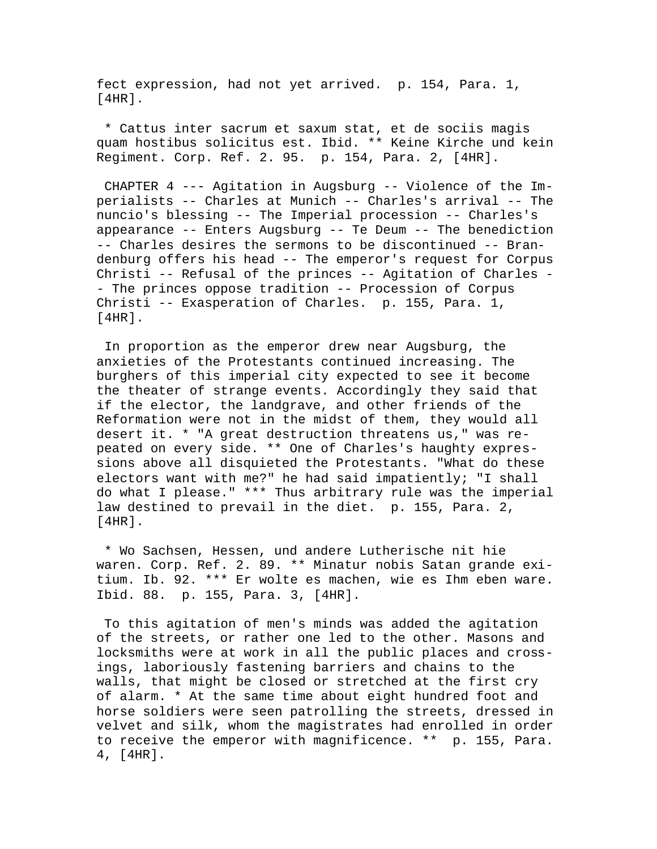fect expression, had not yet arrived. p. 154, Para. 1, [4HR].

 \* Cattus inter sacrum et saxum stat, et de sociis magis quam hostibus solicitus est. Ibid. \*\* Keine Kirche und kein Regiment. Corp. Ref. 2. 95. p. 154, Para. 2, [4HR].

 CHAPTER 4 --- Agitation in Augsburg -- Violence of the Imperialists -- Charles at Munich -- Charles's arrival -- The nuncio's blessing -- The Imperial procession -- Charles's appearance -- Enters Augsburg -- Te Deum -- The benediction -- Charles desires the sermons to be discontinued -- Brandenburg offers his head -- The emperor's request for Corpus Christi -- Refusal of the princes -- Agitation of Charles - - The princes oppose tradition -- Procession of Corpus Christi -- Exasperation of Charles. p. 155, Para. 1, [4HR].

 In proportion as the emperor drew near Augsburg, the anxieties of the Protestants continued increasing. The burghers of this imperial city expected to see it become the theater of strange events. Accordingly they said that if the elector, the landgrave, and other friends of the Reformation were not in the midst of them, they would all desert it. \* "A great destruction threatens us," was repeated on every side. \*\* One of Charles's haughty expressions above all disquieted the Protestants. "What do these electors want with me?" he had said impatiently; "I shall do what I please." \*\*\* Thus arbitrary rule was the imperial law destined to prevail in the diet. p. 155, Para. 2, [4HR].

 \* Wo Sachsen, Hessen, und andere Lutherische nit hie waren. Corp. Ref. 2. 89. \*\* Minatur nobis Satan grande exitium. Ib. 92. \*\*\* Er wolte es machen, wie es Ihm eben ware. Ibid. 88. p. 155, Para. 3, [4HR].

 To this agitation of men's minds was added the agitation of the streets, or rather one led to the other. Masons and locksmiths were at work in all the public places and crossings, laboriously fastening barriers and chains to the walls, that might be closed or stretched at the first cry of alarm. \* At the same time about eight hundred foot and horse soldiers were seen patrolling the streets, dressed in velvet and silk, whom the magistrates had enrolled in order to receive the emperor with magnificence. \*\* p. 155, Para. 4, [4HR].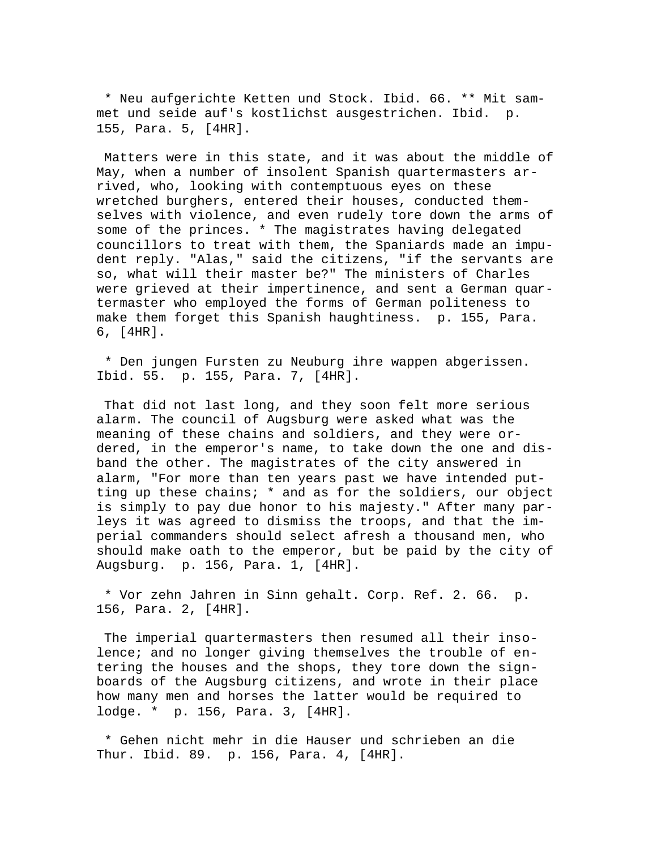\* Neu aufgerichte Ketten und Stock. Ibid. 66. \*\* Mit sammet und seide auf's kostlichst ausgestrichen. Ibid. p. 155, Para. 5, [4HR].

 Matters were in this state, and it was about the middle of May, when a number of insolent Spanish quartermasters arrived, who, looking with contemptuous eyes on these wretched burghers, entered their houses, conducted themselves with violence, and even rudely tore down the arms of some of the princes. \* The magistrates having delegated councillors to treat with them, the Spaniards made an impudent reply. "Alas," said the citizens, "if the servants are so, what will their master be?" The ministers of Charles were grieved at their impertinence, and sent a German quartermaster who employed the forms of German politeness to make them forget this Spanish haughtiness. p. 155, Para. 6, [4HR].

 \* Den jungen Fursten zu Neuburg ihre wappen abgerissen. Ibid. 55. p. 155, Para. 7, [4HR].

 That did not last long, and they soon felt more serious alarm. The council of Augsburg were asked what was the meaning of these chains and soldiers, and they were ordered, in the emperor's name, to take down the one and disband the other. The magistrates of the city answered in alarm, "For more than ten years past we have intended putting up these chains; \* and as for the soldiers, our object is simply to pay due honor to his majesty." After many parleys it was agreed to dismiss the troops, and that the imperial commanders should select afresh a thousand men, who should make oath to the emperor, but be paid by the city of Augsburg. p. 156, Para. 1, [4HR].

 \* Vor zehn Jahren in Sinn gehalt. Corp. Ref. 2. 66. p. 156, Para. 2, [4HR].

 The imperial quartermasters then resumed all their insolence; and no longer giving themselves the trouble of entering the houses and the shops, they tore down the signboards of the Augsburg citizens, and wrote in their place how many men and horses the latter would be required to lodge. \* p. 156, Para. 3, [4HR].

 \* Gehen nicht mehr in die Hauser und schrieben an die Thur. Ibid. 89. p. 156, Para. 4, [4HR].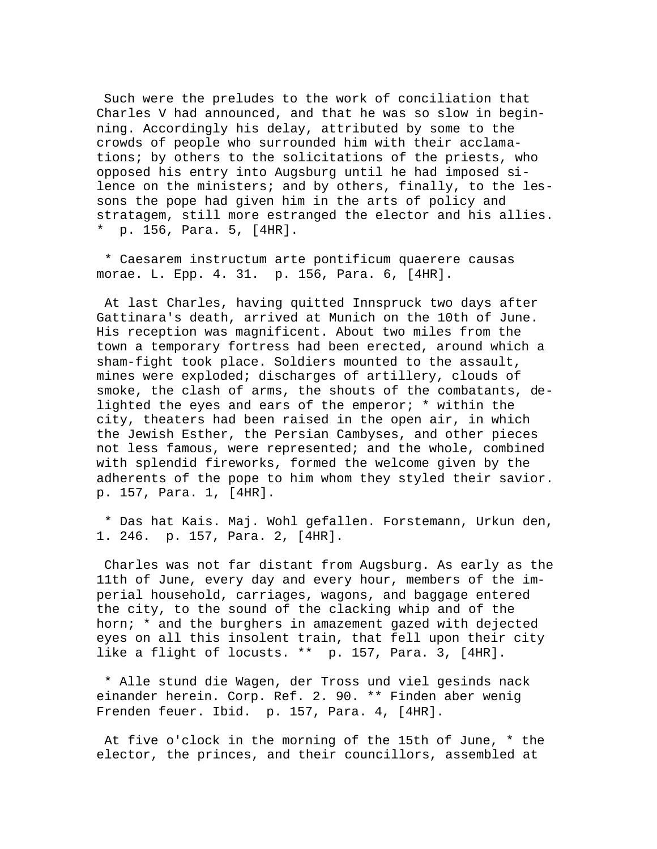Such were the preludes to the work of conciliation that Charles V had announced, and that he was so slow in beginning. Accordingly his delay, attributed by some to the crowds of people who surrounded him with their acclamations; by others to the solicitations of the priests, who opposed his entry into Augsburg until he had imposed silence on the ministers; and by others, finally, to the lessons the pope had given him in the arts of policy and stratagem, still more estranged the elector and his allies. \* p. 156, Para. 5, [4HR].

 \* Caesarem instructum arte pontificum quaerere causas morae. L. Epp. 4. 31. p. 156, Para. 6, [4HR].

 At last Charles, having quitted Innspruck two days after Gattinara's death, arrived at Munich on the 10th of June. His reception was magnificent. About two miles from the town a temporary fortress had been erected, around which a sham-fight took place. Soldiers mounted to the assault, mines were exploded; discharges of artillery, clouds of smoke, the clash of arms, the shouts of the combatants, delighted the eyes and ears of the emperor; \* within the city, theaters had been raised in the open air, in which the Jewish Esther, the Persian Cambyses, and other pieces not less famous, were represented; and the whole, combined with splendid fireworks, formed the welcome given by the adherents of the pope to him whom they styled their savior. p. 157, Para. 1, [4HR].

 \* Das hat Kais. Maj. Wohl gefallen. Forstemann, Urkun den, 1. 246. p. 157, Para. 2, [4HR].

 Charles was not far distant from Augsburg. As early as the 11th of June, every day and every hour, members of the imperial household, carriages, wagons, and baggage entered the city, to the sound of the clacking whip and of the horn; \* and the burghers in amazement gazed with dejected eyes on all this insolent train, that fell upon their city like a flight of locusts. \*\* p. 157, Para. 3, [4HR].

 \* Alle stund die Wagen, der Tross und viel gesinds nack einander herein. Corp. Ref. 2. 90. \*\* Finden aber wenig Frenden feuer. Ibid. p. 157, Para. 4, [4HR].

 At five o'clock in the morning of the 15th of June, \* the elector, the princes, and their councillors, assembled at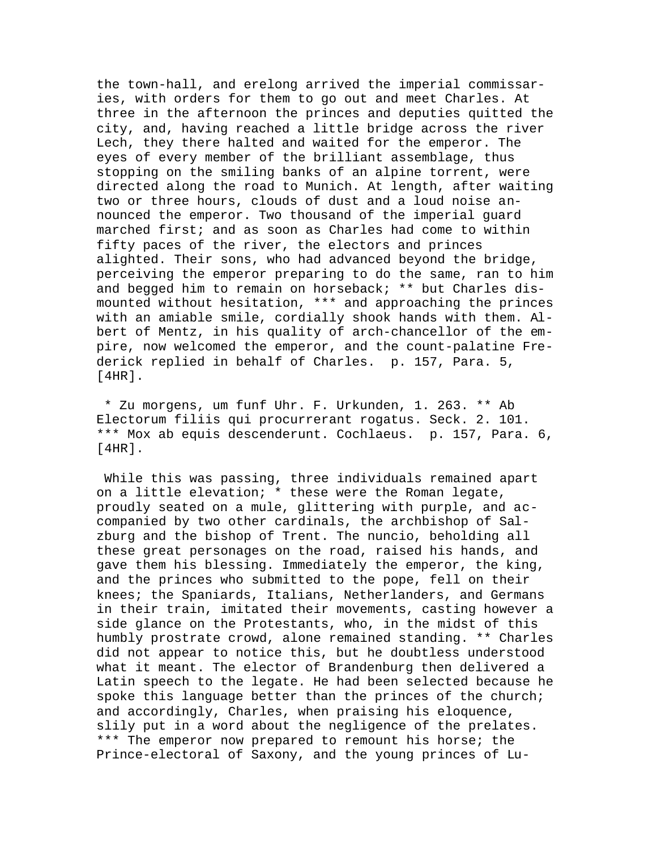the town-hall, and erelong arrived the imperial commissaries, with orders for them to go out and meet Charles. At three in the afternoon the princes and deputies quitted the city, and, having reached a little bridge across the river Lech, they there halted and waited for the emperor. The eyes of every member of the brilliant assemblage, thus stopping on the smiling banks of an alpine torrent, were directed along the road to Munich. At length, after waiting two or three hours, clouds of dust and a loud noise announced the emperor. Two thousand of the imperial guard marched first; and as soon as Charles had come to within fifty paces of the river, the electors and princes alighted. Their sons, who had advanced beyond the bridge, perceiving the emperor preparing to do the same, ran to him and begged him to remain on horseback; \*\* but Charles dismounted without hesitation, \*\*\* and approaching the princes with an amiable smile, cordially shook hands with them. Albert of Mentz, in his quality of arch-chancellor of the empire, now welcomed the emperor, and the count-palatine Frederick replied in behalf of Charles. p. 157, Para. 5, [4HR].

 \* Zu morgens, um funf Uhr. F. Urkunden, 1. 263. \*\* Ab Electorum filiis qui procurrerant rogatus. Seck. 2. 101. \*\*\* Mox ab equis descenderunt. Cochlaeus. p. 157, Para. 6, [4HR].

 While this was passing, three individuals remained apart on a little elevation; \* these were the Roman legate, proudly seated on a mule, glittering with purple, and accompanied by two other cardinals, the archbishop of Salzburg and the bishop of Trent. The nuncio, beholding all these great personages on the road, raised his hands, and gave them his blessing. Immediately the emperor, the king, and the princes who submitted to the pope, fell on their knees; the Spaniards, Italians, Netherlanders, and Germans in their train, imitated their movements, casting however a side glance on the Protestants, who, in the midst of this humbly prostrate crowd, alone remained standing. \*\* Charles did not appear to notice this, but he doubtless understood what it meant. The elector of Brandenburg then delivered a Latin speech to the legate. He had been selected because he spoke this language better than the princes of the church; and accordingly, Charles, when praising his eloquence, slily put in a word about the negligence of the prelates. \*\*\* The emperor now prepared to remount his horse; the Prince-electoral of Saxony, and the young princes of Lu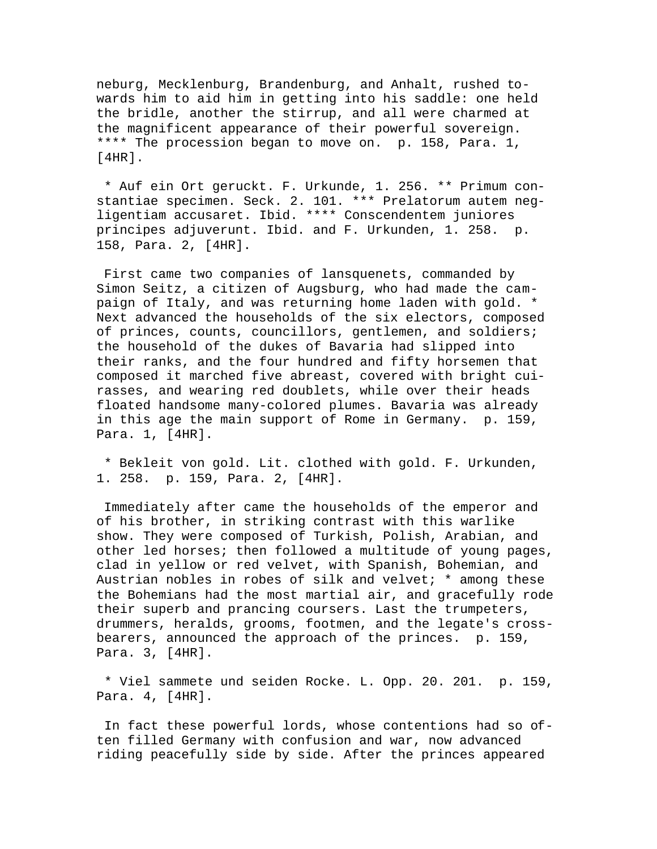neburg, Mecklenburg, Brandenburg, and Anhalt, rushed towards him to aid him in getting into his saddle: one held the bridle, another the stirrup, and all were charmed at the magnificent appearance of their powerful sovereign. \*\*\*\* The procession began to move on. p. 158, Para. 1, [4HR].

 \* Auf ein Ort geruckt. F. Urkunde, 1. 256. \*\* Primum constantiae specimen. Seck. 2. 101. \*\*\* Prelatorum autem negligentiam accusaret. Ibid. \*\*\*\* Conscendentem juniores principes adjuverunt. Ibid. and F. Urkunden, 1. 258. p. 158, Para. 2, [4HR].

 First came two companies of lansquenets, commanded by Simon Seitz, a citizen of Augsburg, who had made the campaign of Italy, and was returning home laden with gold. \* Next advanced the households of the six electors, composed of princes, counts, councillors, gentlemen, and soldiers; the household of the dukes of Bavaria had slipped into their ranks, and the four hundred and fifty horsemen that composed it marched five abreast, covered with bright cuirasses, and wearing red doublets, while over their heads floated handsome many-colored plumes. Bavaria was already in this age the main support of Rome in Germany. p. 159, Para. 1, [4HR].

 \* Bekleit von gold. Lit. clothed with gold. F. Urkunden, 1. 258. p. 159, Para. 2, [4HR].

 Immediately after came the households of the emperor and of his brother, in striking contrast with this warlike show. They were composed of Turkish, Polish, Arabian, and other led horses; then followed a multitude of young pages, clad in yellow or red velvet, with Spanish, Bohemian, and Austrian nobles in robes of silk and velvet; \* among these the Bohemians had the most martial air, and gracefully rode their superb and prancing coursers. Last the trumpeters, drummers, heralds, grooms, footmen, and the legate's crossbearers, announced the approach of the princes. p. 159, Para. 3, [4HR].

 \* Viel sammete und seiden Rocke. L. Opp. 20. 201. p. 159, Para. 4, [4HR].

 In fact these powerful lords, whose contentions had so often filled Germany with confusion and war, now advanced riding peacefully side by side. After the princes appeared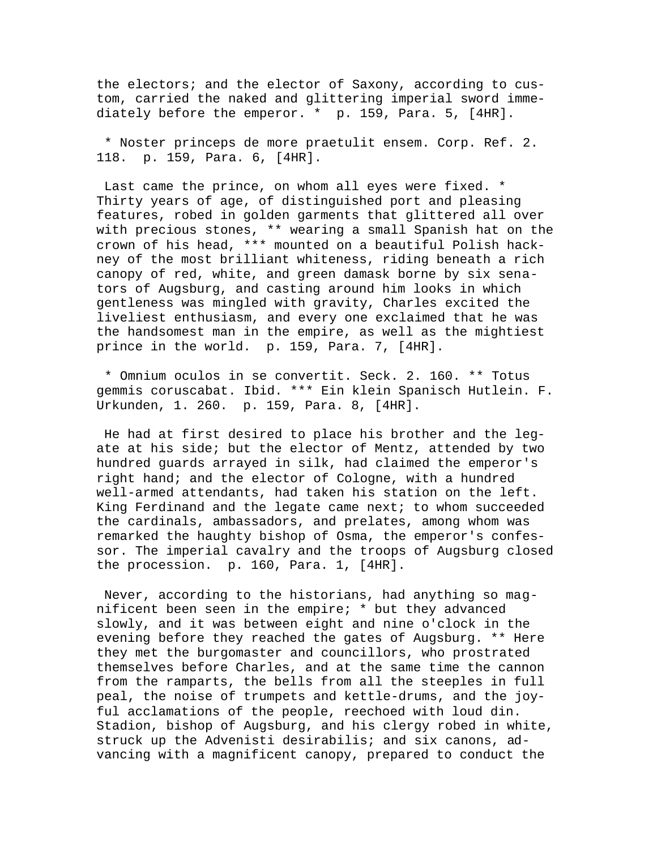the electors; and the elector of Saxony, according to custom, carried the naked and glittering imperial sword immediately before the emperor. \* p. 159, Para. 5, [4HR].

 \* Noster princeps de more praetulit ensem. Corp. Ref. 2. 118. p. 159, Para. 6, [4HR].

 Last came the prince, on whom all eyes were fixed. \* Thirty years of age, of distinguished port and pleasing features, robed in golden garments that glittered all over with precious stones, \*\* wearing a small Spanish hat on the crown of his head, \*\*\* mounted on a beautiful Polish hackney of the most brilliant whiteness, riding beneath a rich canopy of red, white, and green damask borne by six senators of Augsburg, and casting around him looks in which gentleness was mingled with gravity, Charles excited the liveliest enthusiasm, and every one exclaimed that he was the handsomest man in the empire, as well as the mightiest prince in the world. p. 159, Para. 7, [4HR].

 \* Omnium oculos in se convertit. Seck. 2. 160. \*\* Totus gemmis coruscabat. Ibid. \*\*\* Ein klein Spanisch Hutlein. F. Urkunden, 1. 260. p. 159, Para. 8, [4HR].

 He had at first desired to place his brother and the legate at his side; but the elector of Mentz, attended by two hundred guards arrayed in silk, had claimed the emperor's right hand; and the elector of Cologne, with a hundred well-armed attendants, had taken his station on the left. King Ferdinand and the legate came next; to whom succeeded the cardinals, ambassadors, and prelates, among whom was remarked the haughty bishop of Osma, the emperor's confessor. The imperial cavalry and the troops of Augsburg closed the procession. p. 160, Para. 1, [4HR].

 Never, according to the historians, had anything so magnificent been seen in the empire; \* but they advanced slowly, and it was between eight and nine o'clock in the evening before they reached the gates of Augsburg. \*\* Here they met the burgomaster and councillors, who prostrated themselves before Charles, and at the same time the cannon from the ramparts, the bells from all the steeples in full peal, the noise of trumpets and kettle-drums, and the joyful acclamations of the people, reechoed with loud din. Stadion, bishop of Augsburg, and his clergy robed in white, struck up the Advenisti desirabilis; and six canons, advancing with a magnificent canopy, prepared to conduct the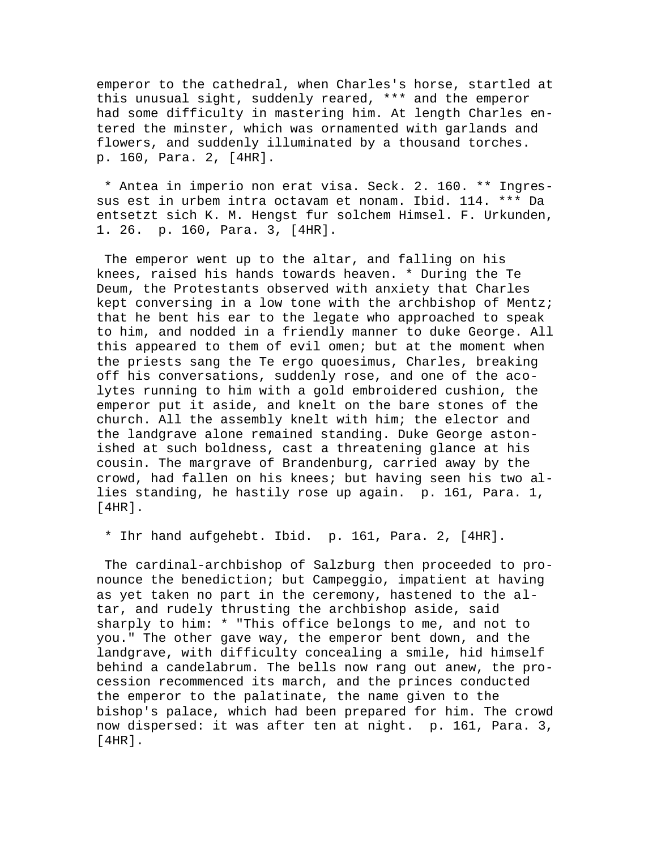emperor to the cathedral, when Charles's horse, startled at this unusual sight, suddenly reared, \*\*\* and the emperor had some difficulty in mastering him. At length Charles entered the minster, which was ornamented with garlands and flowers, and suddenly illuminated by a thousand torches. p. 160, Para. 2, [4HR].

 \* Antea in imperio non erat visa. Seck. 2. 160. \*\* Ingressus est in urbem intra octavam et nonam. Ibid. 114. \*\*\* Da entsetzt sich K. M. Hengst fur solchem Himsel. F. Urkunden, 1. 26. p. 160, Para. 3, [4HR].

 The emperor went up to the altar, and falling on his knees, raised his hands towards heaven. \* During the Te Deum, the Protestants observed with anxiety that Charles kept conversing in a low tone with the archbishop of Mentz; that he bent his ear to the legate who approached to speak to him, and nodded in a friendly manner to duke George. All this appeared to them of evil omen; but at the moment when the priests sang the Te ergo quoesimus, Charles, breaking off his conversations, suddenly rose, and one of the acolytes running to him with a gold embroidered cushion, the emperor put it aside, and knelt on the bare stones of the church. All the assembly knelt with him; the elector and the landgrave alone remained standing. Duke George astonished at such boldness, cast a threatening glance at his cousin. The margrave of Brandenburg, carried away by the crowd, had fallen on his knees; but having seen his two allies standing, he hastily rose up again. p. 161, Para. 1, [4HR].

\* Ihr hand aufgehebt. Ibid. p. 161, Para. 2, [4HR].

 The cardinal-archbishop of Salzburg then proceeded to pronounce the benediction; but Campeggio, impatient at having as yet taken no part in the ceremony, hastened to the altar, and rudely thrusting the archbishop aside, said sharply to him: \* "This office belongs to me, and not to you." The other gave way, the emperor bent down, and the landgrave, with difficulty concealing a smile, hid himself behind a candelabrum. The bells now rang out anew, the procession recommenced its march, and the princes conducted the emperor to the palatinate, the name given to the bishop's palace, which had been prepared for him. The crowd now dispersed: it was after ten at night. p. 161, Para. 3, [4HR].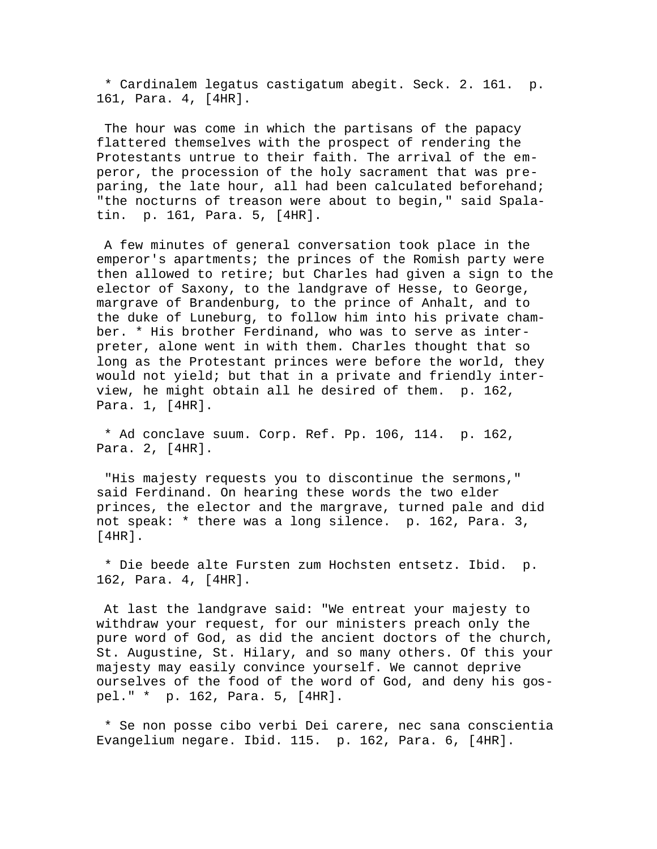\* Cardinalem legatus castigatum abegit. Seck. 2. 161. p. 161, Para. 4, [4HR].

 The hour was come in which the partisans of the papacy flattered themselves with the prospect of rendering the Protestants untrue to their faith. The arrival of the emperor, the procession of the holy sacrament that was preparing, the late hour, all had been calculated beforehand; "the nocturns of treason were about to begin," said Spalatin. p. 161, Para. 5, [4HR].

 A few minutes of general conversation took place in the emperor's apartments; the princes of the Romish party were then allowed to retire; but Charles had given a sign to the elector of Saxony, to the landgrave of Hesse, to George, margrave of Brandenburg, to the prince of Anhalt, and to the duke of Luneburg, to follow him into his private chamber. \* His brother Ferdinand, who was to serve as interpreter, alone went in with them. Charles thought that so long as the Protestant princes were before the world, they would not yield; but that in a private and friendly interview, he might obtain all he desired of them. p. 162, Para. 1, [4HR].

 \* Ad conclave suum. Corp. Ref. Pp. 106, 114. p. 162, Para. 2, [4HR].

 "His majesty requests you to discontinue the sermons," said Ferdinand. On hearing these words the two elder princes, the elector and the margrave, turned pale and did not speak: \* there was a long silence. p. 162, Para. 3, [4HR].

 \* Die beede alte Fursten zum Hochsten entsetz. Ibid. p. 162, Para. 4, [4HR].

 At last the landgrave said: "We entreat your majesty to withdraw your request, for our ministers preach only the pure word of God, as did the ancient doctors of the church, St. Augustine, St. Hilary, and so many others. Of this your majesty may easily convince yourself. We cannot deprive ourselves of the food of the word of God, and deny his gospel." \* p. 162, Para. 5, [4HR].

 \* Se non posse cibo verbi Dei carere, nec sana conscientia Evangelium negare. Ibid. 115. p. 162, Para. 6, [4HR].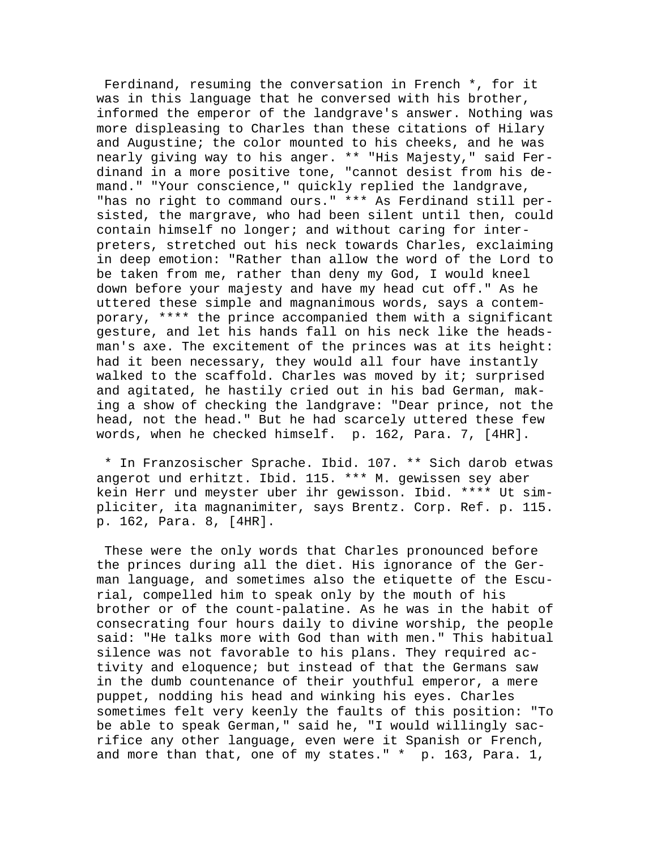Ferdinand, resuming the conversation in French \*, for it was in this language that he conversed with his brother, informed the emperor of the landgrave's answer. Nothing was more displeasing to Charles than these citations of Hilary and Augustine; the color mounted to his cheeks, and he was nearly giving way to his anger. \*\* "His Majesty," said Ferdinand in a more positive tone, "cannot desist from his demand." "Your conscience," quickly replied the landgrave, "has no right to command ours." \*\*\* As Ferdinand still persisted, the margrave, who had been silent until then, could contain himself no longer; and without caring for interpreters, stretched out his neck towards Charles, exclaiming in deep emotion: "Rather than allow the word of the Lord to be taken from me, rather than deny my God, I would kneel down before your majesty and have my head cut off." As he uttered these simple and magnanimous words, says a contemporary, \*\*\*\* the prince accompanied them with a significant gesture, and let his hands fall on his neck like the headsman's axe. The excitement of the princes was at its height: had it been necessary, they would all four have instantly walked to the scaffold. Charles was moved by it; surprised and agitated, he hastily cried out in his bad German, making a show of checking the landgrave: "Dear prince, not the head, not the head." But he had scarcely uttered these few words, when he checked himself. p. 162, Para. 7, [4HR].

 \* In Franzosischer Sprache. Ibid. 107. \*\* Sich darob etwas angerot und erhitzt. Ibid. 115. \*\*\* M. gewissen sey aber kein Herr und meyster uber ihr gewisson. Ibid. \*\*\*\* Ut simpliciter, ita magnanimiter, says Brentz. Corp. Ref. p. 115. p. 162, Para. 8, [4HR].

 These were the only words that Charles pronounced before the princes during all the diet. His ignorance of the German language, and sometimes also the etiquette of the Escurial, compelled him to speak only by the mouth of his brother or of the count-palatine. As he was in the habit of consecrating four hours daily to divine worship, the people said: "He talks more with God than with men." This habitual silence was not favorable to his plans. They required activity and eloquence; but instead of that the Germans saw in the dumb countenance of their youthful emperor, a mere puppet, nodding his head and winking his eyes. Charles sometimes felt very keenly the faults of this position: "To be able to speak German," said he, "I would willingly sacrifice any other language, even were it Spanish or French, and more than that, one of my states." \* p. 163, Para. 1,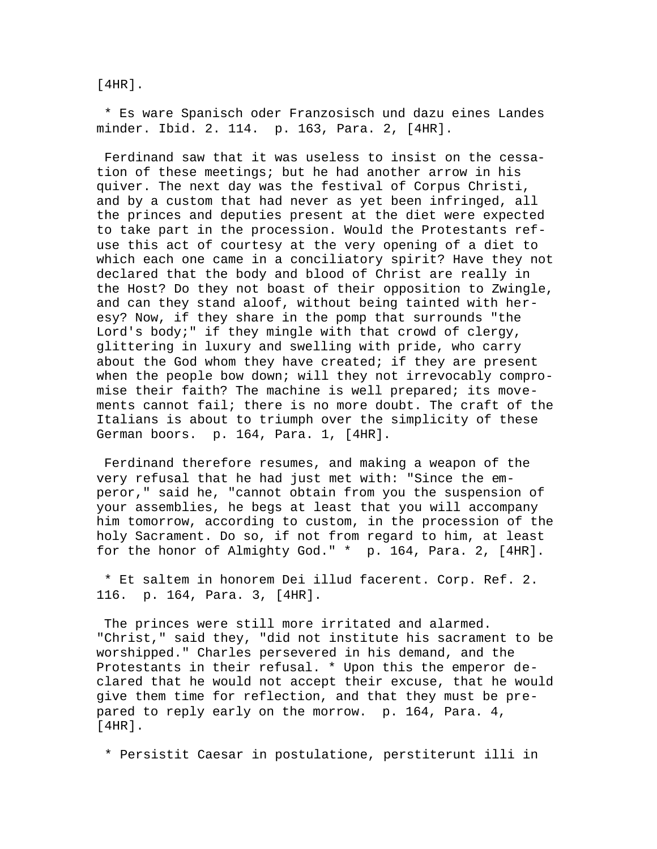[4HR].

 \* Es ware Spanisch oder Franzosisch und dazu eines Landes minder. Ibid. 2. 114. p. 163, Para. 2, [4HR].

 Ferdinand saw that it was useless to insist on the cessation of these meetings; but he had another arrow in his quiver. The next day was the festival of Corpus Christi, and by a custom that had never as yet been infringed, all the princes and deputies present at the diet were expected to take part in the procession. Would the Protestants refuse this act of courtesy at the very opening of a diet to which each one came in a conciliatory spirit? Have they not declared that the body and blood of Christ are really in the Host? Do they not boast of their opposition to Zwingle, and can they stand aloof, without being tainted with heresy? Now, if they share in the pomp that surrounds "the Lord's body;" if they mingle with that crowd of clergy, glittering in luxury and swelling with pride, who carry about the God whom they have created; if they are present when the people bow down; will they not irrevocably compromise their faith? The machine is well prepared; its movements cannot fail; there is no more doubt. The craft of the Italians is about to triumph over the simplicity of these German boors. p. 164, Para. 1, [4HR].

 Ferdinand therefore resumes, and making a weapon of the very refusal that he had just met with: "Since the emperor," said he, "cannot obtain from you the suspension of your assemblies, he begs at least that you will accompany him tomorrow, according to custom, in the procession of the holy Sacrament. Do so, if not from regard to him, at least for the honor of Almighty God." \* p. 164, Para. 2, [4HR].

 \* Et saltem in honorem Dei illud facerent. Corp. Ref. 2. 116. p. 164, Para. 3, [4HR].

 The princes were still more irritated and alarmed. "Christ," said they, "did not institute his sacrament to be worshipped." Charles persevered in his demand, and the Protestants in their refusal. \* Upon this the emperor declared that he would not accept their excuse, that he would give them time for reflection, and that they must be prepared to reply early on the morrow. p. 164, Para. 4, [4HR].

\* Persistit Caesar in postulatione, perstiterunt illi in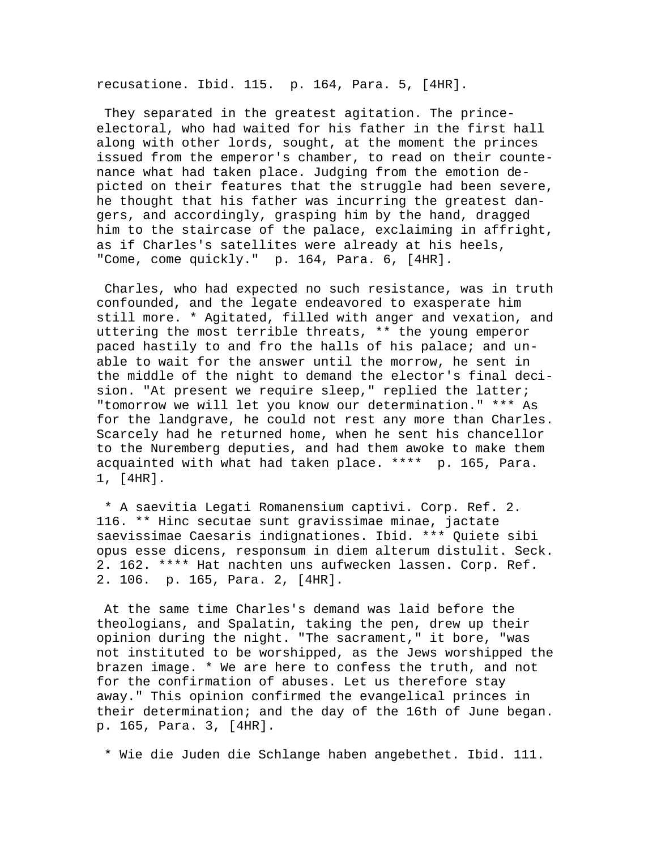recusatione. Ibid. 115. p. 164, Para. 5, [4HR].

 They separated in the greatest agitation. The princeelectoral, who had waited for his father in the first hall along with other lords, sought, at the moment the princes issued from the emperor's chamber, to read on their countenance what had taken place. Judging from the emotion depicted on their features that the struggle had been severe, he thought that his father was incurring the greatest dangers, and accordingly, grasping him by the hand, dragged him to the staircase of the palace, exclaiming in affright, as if Charles's satellites were already at his heels, "Come, come quickly." p. 164, Para. 6, [4HR].

 Charles, who had expected no such resistance, was in truth confounded, and the legate endeavored to exasperate him still more. \* Agitated, filled with anger and vexation, and uttering the most terrible threats, \*\* the young emperor paced hastily to and fro the halls of his palace; and unable to wait for the answer until the morrow, he sent in the middle of the night to demand the elector's final decision. "At present we require sleep," replied the latter; "tomorrow we will let you know our determination." \*\*\* As for the landgrave, he could not rest any more than Charles. Scarcely had he returned home, when he sent his chancellor to the Nuremberg deputies, and had them awoke to make them acquainted with what had taken place. \*\*\*\* p. 165, Para. 1, [4HR].

 \* A saevitia Legati Romanensium captivi. Corp. Ref. 2. 116. \*\* Hinc secutae sunt gravissimae minae, jactate saevissimae Caesaris indignationes. Ibid. \*\*\* Quiete sibi opus esse dicens, responsum in diem alterum distulit. Seck. 2. 162. \*\*\*\* Hat nachten uns aufwecken lassen. Corp. Ref. 2. 106. p. 165, Para. 2, [4HR].

 At the same time Charles's demand was laid before the theologians, and Spalatin, taking the pen, drew up their opinion during the night. "The sacrament," it bore, "was not instituted to be worshipped, as the Jews worshipped the brazen image. \* We are here to confess the truth, and not for the confirmation of abuses. Let us therefore stay away." This opinion confirmed the evangelical princes in their determination; and the day of the 16th of June began. p. 165, Para. 3, [4HR].

\* Wie die Juden die Schlange haben angebethet. Ibid. 111.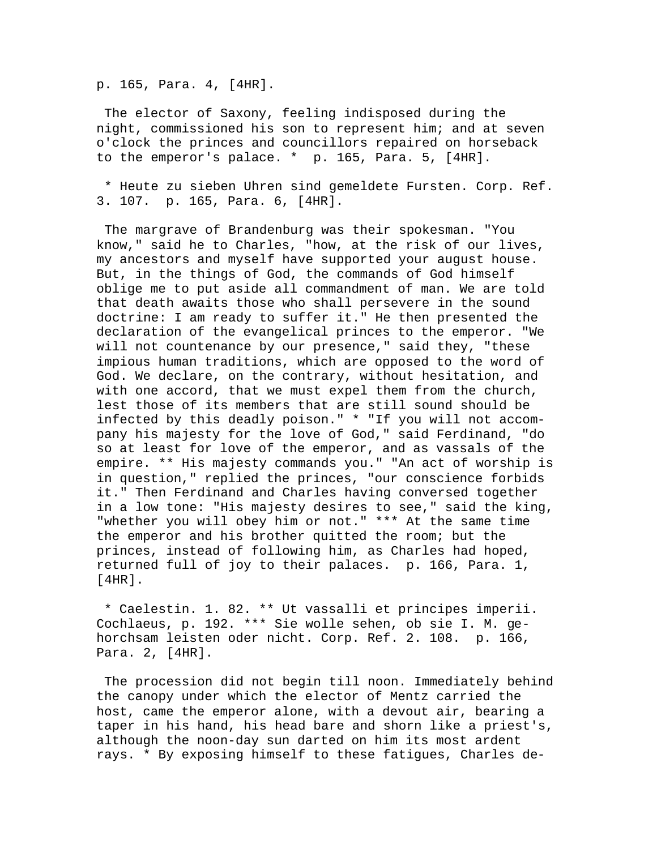p. 165, Para. 4, [4HR].

 The elector of Saxony, feeling indisposed during the night, commissioned his son to represent him; and at seven o'clock the princes and councillors repaired on horseback to the emperor's palace. \* p. 165, Para. 5, [4HR].

 \* Heute zu sieben Uhren sind gemeldete Fursten. Corp. Ref. 3. 107. p. 165, Para. 6, [4HR].

 The margrave of Brandenburg was their spokesman. "You know," said he to Charles, "how, at the risk of our lives, my ancestors and myself have supported your august house. But, in the things of God, the commands of God himself oblige me to put aside all commandment of man. We are told that death awaits those who shall persevere in the sound doctrine: I am ready to suffer it." He then presented the declaration of the evangelical princes to the emperor. "We will not countenance by our presence," said they, "these impious human traditions, which are opposed to the word of God. We declare, on the contrary, without hesitation, and with one accord, that we must expel them from the church, lest those of its members that are still sound should be infected by this deadly poison." \* "If you will not accompany his majesty for the love of God," said Ferdinand, "do so at least for love of the emperor, and as vassals of the empire. \*\* His majesty commands you." "An act of worship is in question," replied the princes, "our conscience forbids it." Then Ferdinand and Charles having conversed together in a low tone: "His majesty desires to see," said the king, "whether you will obey him or not." \*\*\* At the same time the emperor and his brother quitted the room; but the princes, instead of following him, as Charles had hoped, returned full of joy to their palaces. p. 166, Para. 1, [4HR].

 \* Caelestin. 1. 82. \*\* Ut vassalli et principes imperii. Cochlaeus, p. 192. \*\*\* Sie wolle sehen, ob sie I. M. gehorchsam leisten oder nicht. Corp. Ref. 2. 108. p. 166, Para. 2, [4HR].

 The procession did not begin till noon. Immediately behind the canopy under which the elector of Mentz carried the host, came the emperor alone, with a devout air, bearing a taper in his hand, his head bare and shorn like a priest's, although the noon-day sun darted on him its most ardent rays. \* By exposing himself to these fatigues, Charles de-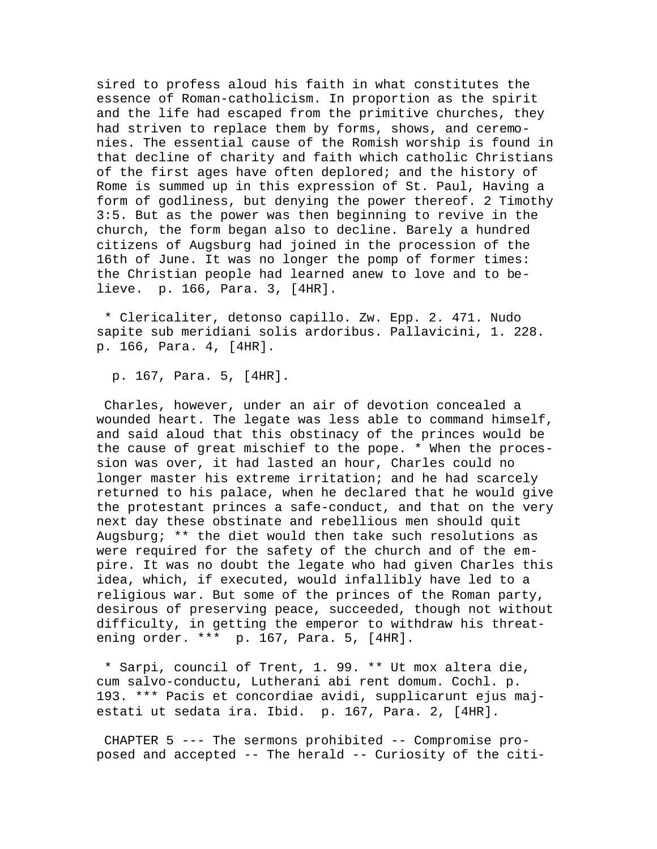sired to profess aloud his faith in what constitutes the essence of Roman-catholicism. In proportion as the spirit and the life had escaped from the primitive churches, they had striven to replace them by forms, shows, and ceremonies. The essential cause of the Romish worship is found in that decline of charity and faith which catholic Christians of the first ages have often deplored; and the history of Rome is summed up in this expression of St. Paul, Having a form of godliness, but denying the power thereof. 2 Timothy 3:5. But as the power was then beginning to revive in the church, the form began also to decline. Barely a hundred citizens of Augsburg had joined in the procession of the 16th of June. It was no longer the pomp of former times: the Christian people had learned anew to love and to believe. p. 166, Para. 3, [4HR].

 \* Clericaliter, detonso capillo. Zw. Epp. 2. 471. Nudo sapite sub meridiani solis ardoribus. Pallavicini, 1. 228. p. 166, Para. 4, [4HR].

p. 167, Para. 5, [4HR].

 Charles, however, under an air of devotion concealed a wounded heart. The legate was less able to command himself, and said aloud that this obstinacy of the princes would be the cause of great mischief to the pope. \* When the procession was over, it had lasted an hour, Charles could no longer master his extreme irritation; and he had scarcely returned to his palace, when he declared that he would give the protestant princes a safe-conduct, and that on the very next day these obstinate and rebellious men should quit Augsburg; \*\* the diet would then take such resolutions as were required for the safety of the church and of the empire. It was no doubt the legate who had given Charles this idea, which, if executed, would infallibly have led to a religious war. But some of the princes of the Roman party, desirous of preserving peace, succeeded, though not without difficulty, in getting the emperor to withdraw his threatening order. \*\*\* p. 167, Para. 5, [4HR].

 \* Sarpi, council of Trent, 1. 99. \*\* Ut mox altera die, cum salvo-conductu, Lutherani abi rent domum. Cochl. p. 193. \*\*\* Pacis et concordiae avidi, supplicarunt ejus majestati ut sedata ira. Ibid. p. 167, Para. 2, [4HR].

 CHAPTER 5 --- The sermons prohibited -- Compromise proposed and accepted -- The herald -- Curiosity of the citi-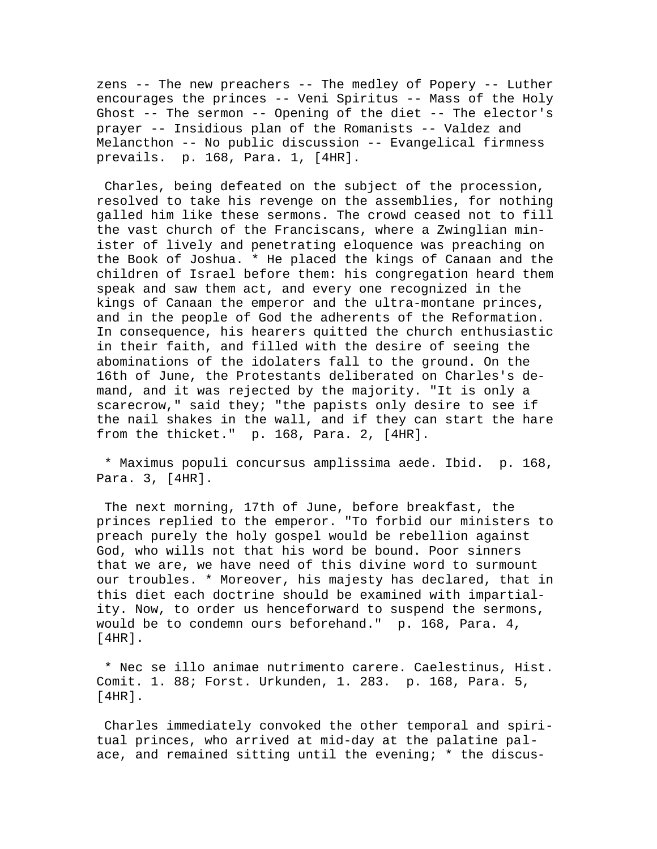zens -- The new preachers -- The medley of Popery -- Luther encourages the princes -- Veni Spiritus -- Mass of the Holy Ghost -- The sermon -- Opening of the diet -- The elector's prayer -- Insidious plan of the Romanists -- Valdez and Melancthon -- No public discussion -- Evangelical firmness prevails. p. 168, Para. 1, [4HR].

 Charles, being defeated on the subject of the procession, resolved to take his revenge on the assemblies, for nothing galled him like these sermons. The crowd ceased not to fill the vast church of the Franciscans, where a Zwinglian minister of lively and penetrating eloquence was preaching on the Book of Joshua. \* He placed the kings of Canaan and the children of Israel before them: his congregation heard them speak and saw them act, and every one recognized in the kings of Canaan the emperor and the ultra-montane princes, and in the people of God the adherents of the Reformation. In consequence, his hearers quitted the church enthusiastic in their faith, and filled with the desire of seeing the abominations of the idolaters fall to the ground. On the 16th of June, the Protestants deliberated on Charles's demand, and it was rejected by the majority. "It is only a scarecrow," said they; "the papists only desire to see if the nail shakes in the wall, and if they can start the hare from the thicket." p. 168, Para. 2, [4HR].

 \* Maximus populi concursus amplissima aede. Ibid. p. 168, Para. 3, [4HR].

 The next morning, 17th of June, before breakfast, the princes replied to the emperor. "To forbid our ministers to preach purely the holy gospel would be rebellion against God, who wills not that his word be bound. Poor sinners that we are, we have need of this divine word to surmount our troubles. \* Moreover, his majesty has declared, that in this diet each doctrine should be examined with impartiality. Now, to order us henceforward to suspend the sermons, would be to condemn ours beforehand." p. 168, Para. 4, [4HR].

 \* Nec se illo animae nutrimento carere. Caelestinus, Hist. Comit. 1. 88; Forst. Urkunden, 1. 283. p. 168, Para. 5, [4HR].

 Charles immediately convoked the other temporal and spiritual princes, who arrived at mid-day at the palatine palace, and remained sitting until the evening; \* the discus-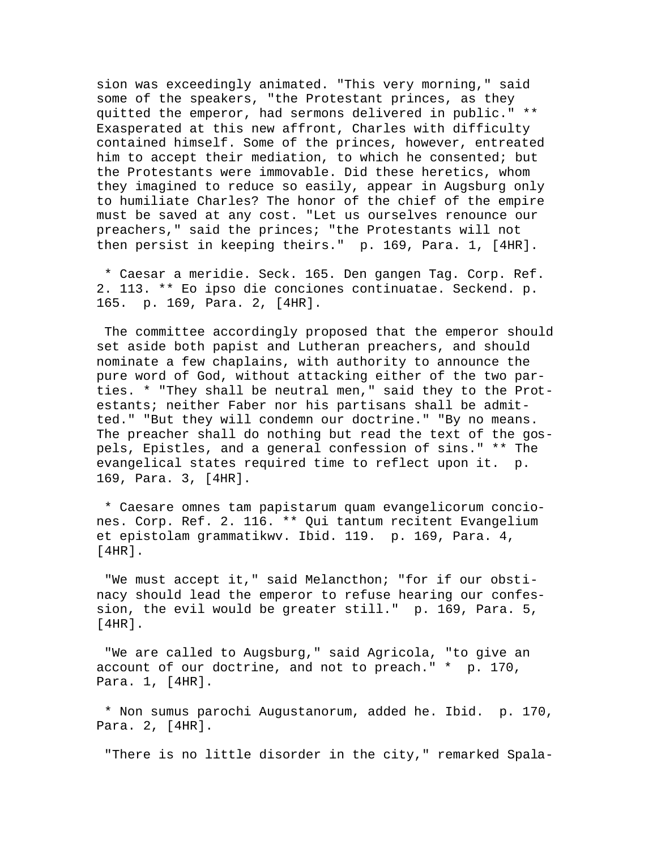sion was exceedingly animated. "This very morning," said some of the speakers, "the Protestant princes, as they quitted the emperor, had sermons delivered in public." \*\* Exasperated at this new affront, Charles with difficulty contained himself. Some of the princes, however, entreated him to accept their mediation, to which he consented; but the Protestants were immovable. Did these heretics, whom they imagined to reduce so easily, appear in Augsburg only to humiliate Charles? The honor of the chief of the empire must be saved at any cost. "Let us ourselves renounce our preachers," said the princes; "the Protestants will not then persist in keeping theirs." p. 169, Para. 1, [4HR].

 \* Caesar a meridie. Seck. 165. Den gangen Tag. Corp. Ref. 2. 113. \*\* Eo ipso die conciones continuatae. Seckend. p. 165. p. 169, Para. 2, [4HR].

 The committee accordingly proposed that the emperor should set aside both papist and Lutheran preachers, and should nominate a few chaplains, with authority to announce the pure word of God, without attacking either of the two parties. \* "They shall be neutral men," said they to the Protestants; neither Faber nor his partisans shall be admitted." "But they will condemn our doctrine." "By no means. The preacher shall do nothing but read the text of the gospels, Epistles, and a general confession of sins." \*\* The evangelical states required time to reflect upon it. p. 169, Para. 3, [4HR].

 \* Caesare omnes tam papistarum quam evangelicorum conciones. Corp. Ref. 2. 116. \*\* Qui tantum recitent Evangelium et epistolam grammatikwv. Ibid. 119. p. 169, Para. 4, [4HR].

 "We must accept it," said Melancthon; "for if our obstinacy should lead the emperor to refuse hearing our confession, the evil would be greater still." p. 169, Para. 5, [4HR].

 "We are called to Augsburg," said Agricola, "to give an account of our doctrine, and not to preach." \* p. 170, Para. 1, [4HR].

 \* Non sumus parochi Augustanorum, added he. Ibid. p. 170, Para. 2, [4HR].

"There is no little disorder in the city," remarked Spala-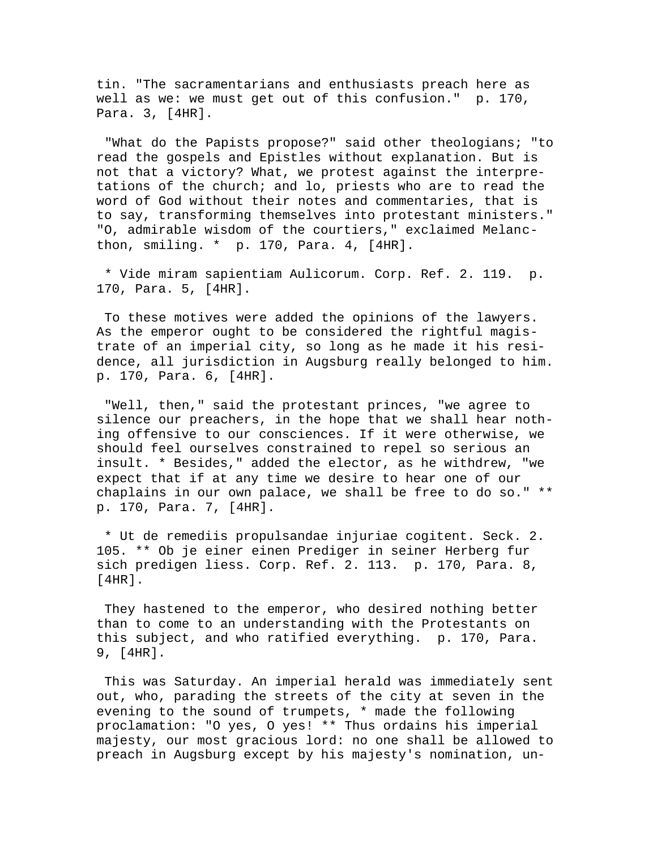tin. "The sacramentarians and enthusiasts preach here as well as we: we must get out of this confusion." p. 170, Para. 3, [4HR].

 "What do the Papists propose?" said other theologians; "to read the gospels and Epistles without explanation. But is not that a victory? What, we protest against the interpretations of the church; and lo, priests who are to read the word of God without their notes and commentaries, that is to say, transforming themselves into protestant ministers." "O, admirable wisdom of the courtiers," exclaimed Melancthon, smiling. \* p. 170, Para. 4, [4HR].

 \* Vide miram sapientiam Aulicorum. Corp. Ref. 2. 119. p. 170, Para. 5, [4HR].

 To these motives were added the opinions of the lawyers. As the emperor ought to be considered the rightful magistrate of an imperial city, so long as he made it his residence, all jurisdiction in Augsburg really belonged to him. p. 170, Para. 6, [4HR].

 "Well, then," said the protestant princes, "we agree to silence our preachers, in the hope that we shall hear nothing offensive to our consciences. If it were otherwise, we should feel ourselves constrained to repel so serious an insult. \* Besides," added the elector, as he withdrew, "we expect that if at any time we desire to hear one of our chaplains in our own palace, we shall be free to do so." \*\* p. 170, Para. 7, [4HR].

 \* Ut de remediis propulsandae injuriae cogitent. Seck. 2. 105. \*\* Ob je einer einen Prediger in seiner Herberg fur sich predigen liess. Corp. Ref. 2. 113. p. 170, Para. 8,  $[4HR]$ .

 They hastened to the emperor, who desired nothing better than to come to an understanding with the Protestants on this subject, and who ratified everything. p. 170, Para. 9, [4HR].

 This was Saturday. An imperial herald was immediately sent out, who, parading the streets of the city at seven in the evening to the sound of trumpets, \* made the following proclamation: "O yes, O yes! \*\* Thus ordains his imperial majesty, our most gracious lord: no one shall be allowed to preach in Augsburg except by his majesty's nomination, un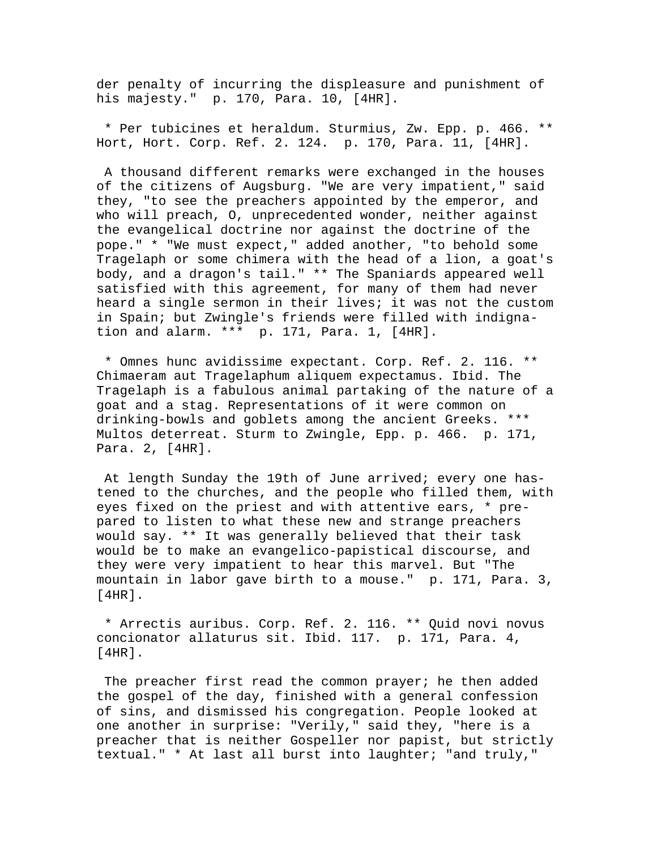der penalty of incurring the displeasure and punishment of his majesty." p. 170, Para. 10, [4HR].

 \* Per tubicines et heraldum. Sturmius, Zw. Epp. p. 466. \*\* Hort, Hort. Corp. Ref. 2. 124. p. 170, Para. 11, [4HR].

 A thousand different remarks were exchanged in the houses of the citizens of Augsburg. "We are very impatient," said they, "to see the preachers appointed by the emperor, and who will preach, O, unprecedented wonder, neither against the evangelical doctrine nor against the doctrine of the pope." \* "We must expect," added another, "to behold some Tragelaph or some chimera with the head of a lion, a goat's body, and a dragon's tail." \*\* The Spaniards appeared well satisfied with this agreement, for many of them had never heard a single sermon in their lives; it was not the custom in Spain; but Zwingle's friends were filled with indignation and alarm. \*\*\* p. 171, Para. 1, [4HR].

 \* Omnes hunc avidissime expectant. Corp. Ref. 2. 116. \*\* Chimaeram aut Tragelaphum aliquem expectamus. Ibid. The Tragelaph is a fabulous animal partaking of the nature of a goat and a stag. Representations of it were common on drinking-bowls and goblets among the ancient Greeks. \*\*\* Multos deterreat. Sturm to Zwingle, Epp. p. 466. p. 171, Para. 2, [4HR].

 At length Sunday the 19th of June arrived; every one hastened to the churches, and the people who filled them, with eyes fixed on the priest and with attentive ears, \* prepared to listen to what these new and strange preachers would say. \*\* It was generally believed that their task would be to make an evangelico-papistical discourse, and they were very impatient to hear this marvel. But "The mountain in labor gave birth to a mouse." p. 171, Para. 3,  $[4HR]$ .

 \* Arrectis auribus. Corp. Ref. 2. 116. \*\* Quid novi novus concionator allaturus sit. Ibid. 117. p. 171, Para. 4, [4HR].

The preacher first read the common prayer; he then added the gospel of the day, finished with a general confession of sins, and dismissed his congregation. People looked at one another in surprise: "Verily," said they, "here is a preacher that is neither Gospeller nor papist, but strictly textual." \* At last all burst into laughter; "and truly,"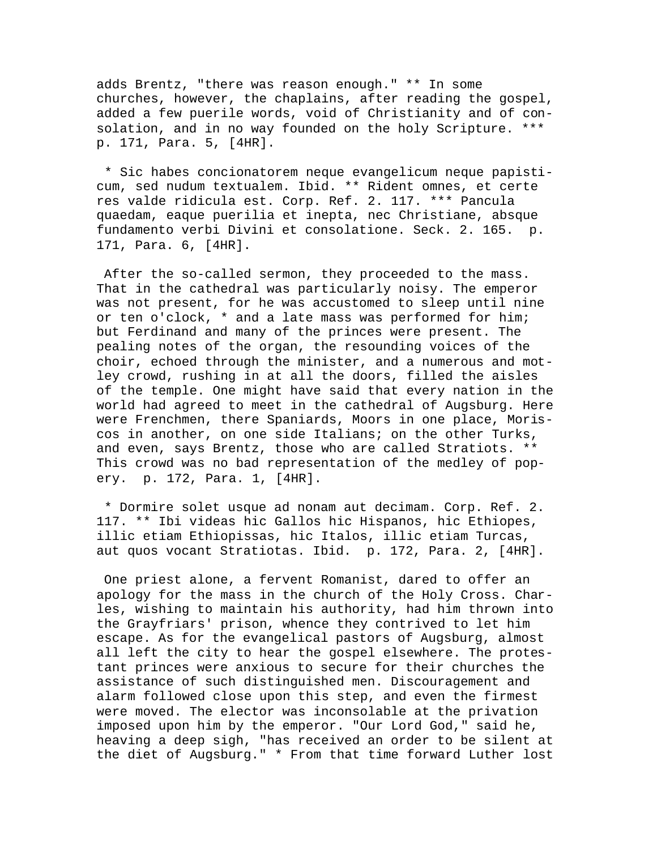adds Brentz, "there was reason enough." \*\* In some churches, however, the chaplains, after reading the gospel, added a few puerile words, void of Christianity and of consolation, and in no way founded on the holy Scripture. \*\*\* p. 171, Para. 5, [4HR].

 \* Sic habes concionatorem neque evangelicum neque papisticum, sed nudum textualem. Ibid. \*\* Rident omnes, et certe res valde ridicula est. Corp. Ref. 2. 117. \*\*\* Pancula quaedam, eaque puerilia et inepta, nec Christiane, absque fundamento verbi Divini et consolatione. Seck. 2. 165. p. 171, Para. 6, [4HR].

 After the so-called sermon, they proceeded to the mass. That in the cathedral was particularly noisy. The emperor was not present, for he was accustomed to sleep until nine or ten o'clock, \* and a late mass was performed for him; but Ferdinand and many of the princes were present. The pealing notes of the organ, the resounding voices of the choir, echoed through the minister, and a numerous and motley crowd, rushing in at all the doors, filled the aisles of the temple. One might have said that every nation in the world had agreed to meet in the cathedral of Augsburg. Here were Frenchmen, there Spaniards, Moors in one place, Moriscos in another, on one side Italians; on the other Turks, and even, says Brentz, those who are called Stratiots. \*\* This crowd was no bad representation of the medley of popery. p. 172, Para. 1, [4HR].

 \* Dormire solet usque ad nonam aut decimam. Corp. Ref. 2. 117. \*\* Ibi videas hic Gallos hic Hispanos, hic Ethiopes, illic etiam Ethiopissas, hic Italos, illic etiam Turcas, aut quos vocant Stratiotas. Ibid. p. 172, Para. 2, [4HR].

 One priest alone, a fervent Romanist, dared to offer an apology for the mass in the church of the Holy Cross. Charles, wishing to maintain his authority, had him thrown into the Grayfriars' prison, whence they contrived to let him escape. As for the evangelical pastors of Augsburg, almost all left the city to hear the gospel elsewhere. The protestant princes were anxious to secure for their churches the assistance of such distinguished men. Discouragement and alarm followed close upon this step, and even the firmest were moved. The elector was inconsolable at the privation imposed upon him by the emperor. "Our Lord God," said he, heaving a deep sigh, "has received an order to be silent at the diet of Augsburg." \* From that time forward Luther lost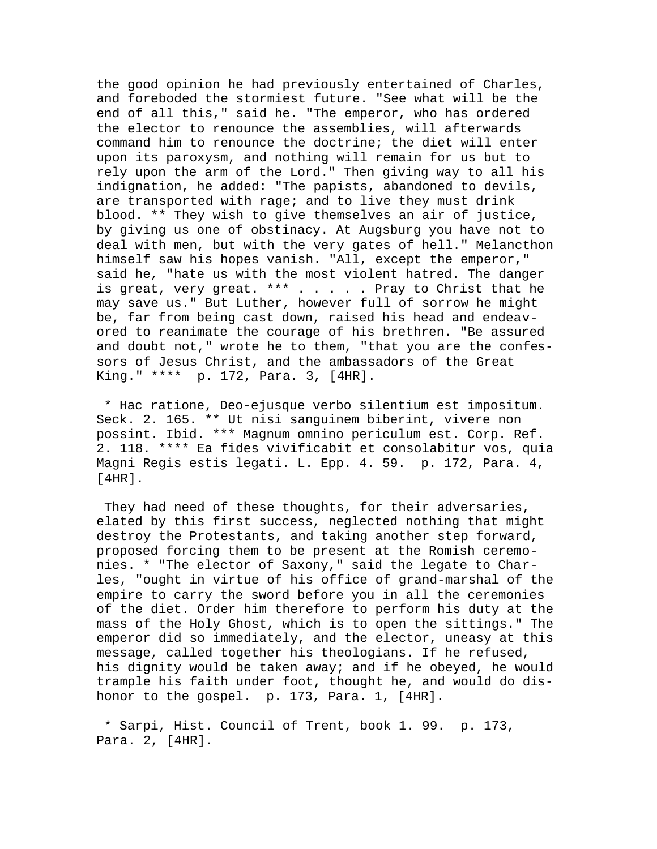the good opinion he had previously entertained of Charles, and foreboded the stormiest future. "See what will be the end of all this," said he. "The emperor, who has ordered the elector to renounce the assemblies, will afterwards command him to renounce the doctrine; the diet will enter upon its paroxysm, and nothing will remain for us but to rely upon the arm of the Lord." Then giving way to all his indignation, he added: "The papists, abandoned to devils, are transported with rage; and to live they must drink blood. \*\* They wish to give themselves an air of justice, by giving us one of obstinacy. At Augsburg you have not to deal with men, but with the very gates of hell." Melancthon himself saw his hopes vanish. "All, except the emperor," said he, "hate us with the most violent hatred. The danger is great, very great. \*\*\* . . . . . Pray to Christ that he may save us." But Luther, however full of sorrow he might be, far from being cast down, raised his head and endeavored to reanimate the courage of his brethren. "Be assured and doubt not," wrote he to them, "that you are the confessors of Jesus Christ, and the ambassadors of the Great King." \*\*\*\* p. 172, Para. 3, [4HR].

 \* Hac ratione, Deo-ejusque verbo silentium est impositum. Seck. 2. 165. \*\* Ut nisi sanguinem biberint, vivere non possint. Ibid. \*\*\* Magnum omnino periculum est. Corp. Ref. 2. 118. \*\*\*\* Ea fides vivificabit et consolabitur vos, quia Magni Regis estis legati. L. Epp. 4. 59. p. 172, Para. 4, [4HR].

 They had need of these thoughts, for their adversaries, elated by this first success, neglected nothing that might destroy the Protestants, and taking another step forward, proposed forcing them to be present at the Romish ceremonies. \* "The elector of Saxony," said the legate to Charles, "ought in virtue of his office of grand-marshal of the empire to carry the sword before you in all the ceremonies of the diet. Order him therefore to perform his duty at the mass of the Holy Ghost, which is to open the sittings." The emperor did so immediately, and the elector, uneasy at this message, called together his theologians. If he refused, his dignity would be taken away; and if he obeyed, he would trample his faith under foot, thought he, and would do dishonor to the gospel. p. 173, Para. 1, [4HR].

 \* Sarpi, Hist. Council of Trent, book 1. 99. p. 173, Para. 2, [4HR].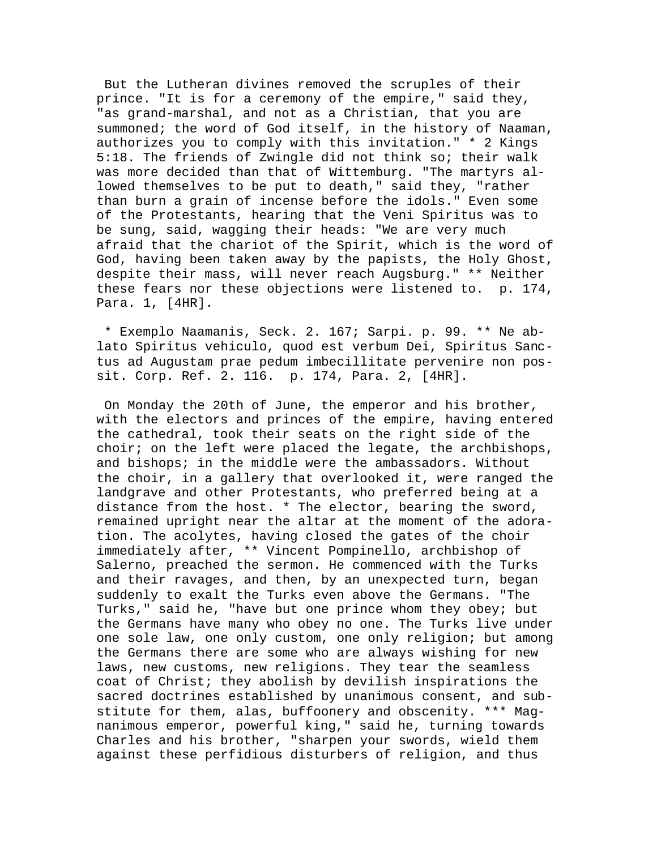But the Lutheran divines removed the scruples of their prince. "It is for a ceremony of the empire," said they, "as grand-marshal, and not as a Christian, that you are summoned; the word of God itself, in the history of Naaman, authorizes you to comply with this invitation." \* 2 Kings 5:18. The friends of Zwingle did not think so; their walk was more decided than that of Wittemburg. "The martyrs allowed themselves to be put to death," said they, "rather than burn a grain of incense before the idols." Even some of the Protestants, hearing that the Veni Spiritus was to be sung, said, wagging their heads: "We are very much afraid that the chariot of the Spirit, which is the word of God, having been taken away by the papists, the Holy Ghost, despite their mass, will never reach Augsburg." \*\* Neither these fears nor these objections were listened to. p. 174, Para. 1, [4HR].

 \* Exemplo Naamanis, Seck. 2. 167; Sarpi. p. 99. \*\* Ne ablato Spiritus vehiculo, quod est verbum Dei, Spiritus Sanctus ad Augustam prae pedum imbecillitate pervenire non possit. Corp. Ref. 2. 116. p. 174, Para. 2, [4HR].

 On Monday the 20th of June, the emperor and his brother, with the electors and princes of the empire, having entered the cathedral, took their seats on the right side of the choir; on the left were placed the legate, the archbishops, and bishops; in the middle were the ambassadors. Without the choir, in a gallery that overlooked it, were ranged the landgrave and other Protestants, who preferred being at a distance from the host. \* The elector, bearing the sword, remained upright near the altar at the moment of the adoration. The acolytes, having closed the gates of the choir immediately after, \*\* Vincent Pompinello, archbishop of Salerno, preached the sermon. He commenced with the Turks and their ravages, and then, by an unexpected turn, began suddenly to exalt the Turks even above the Germans. "The Turks," said he, "have but one prince whom they obey; but the Germans have many who obey no one. The Turks live under one sole law, one only custom, one only religion; but among the Germans there are some who are always wishing for new laws, new customs, new religions. They tear the seamless coat of Christ; they abolish by devilish inspirations the sacred doctrines established by unanimous consent, and substitute for them, alas, buffoonery and obscenity. \*\*\* Magnanimous emperor, powerful king," said he, turning towards Charles and his brother, "sharpen your swords, wield them against these perfidious disturbers of religion, and thus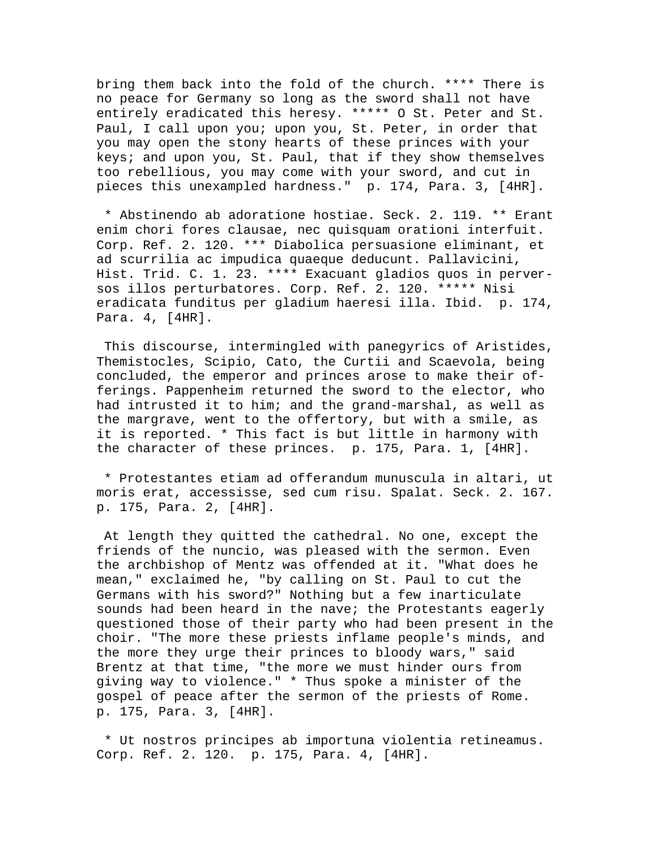bring them back into the fold of the church. \*\*\*\* There is no peace for Germany so long as the sword shall not have entirely eradicated this heresy. \*\*\*\*\* O St. Peter and St. Paul, I call upon you; upon you, St. Peter, in order that you may open the stony hearts of these princes with your keys; and upon you, St. Paul, that if they show themselves too rebellious, you may come with your sword, and cut in pieces this unexampled hardness." p. 174, Para. 3, [4HR].

 \* Abstinendo ab adoratione hostiae. Seck. 2. 119. \*\* Erant enim chori fores clausae, nec quisquam orationi interfuit. Corp. Ref. 2. 120. \*\*\* Diabolica persuasione eliminant, et ad scurrilia ac impudica quaeque deducunt. Pallavicini, Hist. Trid. C. 1. 23. \*\*\*\* Exacuant gladios quos in perversos illos perturbatores. Corp. Ref. 2. 120. \*\*\*\*\* Nisi eradicata funditus per gladium haeresi illa. Ibid. p. 174, Para. 4, [4HR].

 This discourse, intermingled with panegyrics of Aristides, Themistocles, Scipio, Cato, the Curtii and Scaevola, being concluded, the emperor and princes arose to make their offerings. Pappenheim returned the sword to the elector, who had intrusted it to him; and the grand-marshal, as well as the margrave, went to the offertory, but with a smile, as it is reported. \* This fact is but little in harmony with the character of these princes. p. 175, Para. 1, [4HR].

 \* Protestantes etiam ad offerandum munuscula in altari, ut moris erat, accessisse, sed cum risu. Spalat. Seck. 2. 167. p. 175, Para. 2, [4HR].

 At length they quitted the cathedral. No one, except the friends of the nuncio, was pleased with the sermon. Even the archbishop of Mentz was offended at it. "What does he mean," exclaimed he, "by calling on St. Paul to cut the Germans with his sword?" Nothing but a few inarticulate sounds had been heard in the nave; the Protestants eagerly questioned those of their party who had been present in the choir. "The more these priests inflame people's minds, and the more they urge their princes to bloody wars," said Brentz at that time, "the more we must hinder ours from giving way to violence." \* Thus spoke a minister of the gospel of peace after the sermon of the priests of Rome. p. 175, Para. 3, [4HR].

 \* Ut nostros principes ab importuna violentia retineamus. Corp. Ref. 2. 120. p. 175, Para. 4, [4HR].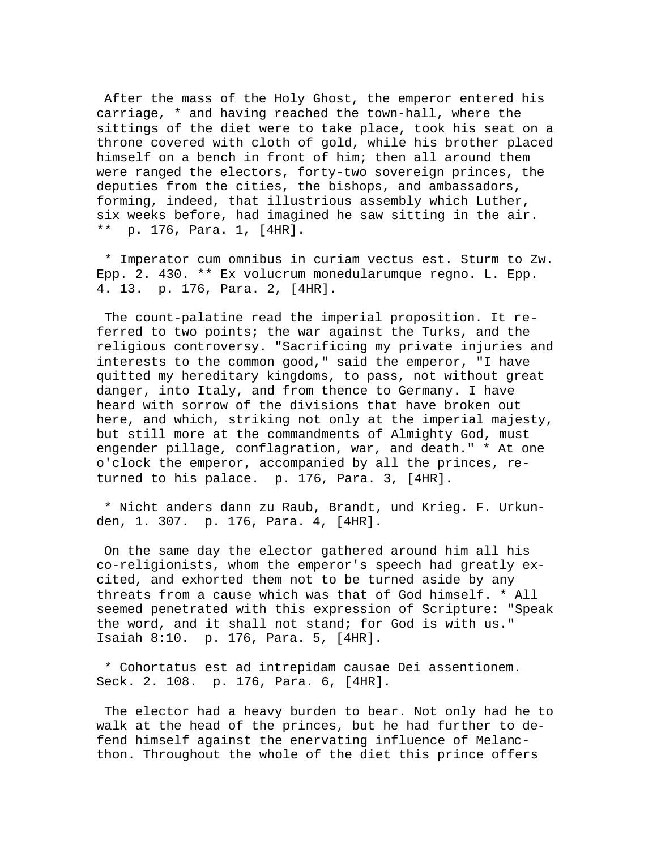After the mass of the Holy Ghost, the emperor entered his carriage, \* and having reached the town-hall, where the sittings of the diet were to take place, took his seat on a throne covered with cloth of gold, while his brother placed himself on a bench in front of him; then all around them were ranged the electors, forty-two sovereign princes, the deputies from the cities, the bishops, and ambassadors, forming, indeed, that illustrious assembly which Luther, six weeks before, had imagined he saw sitting in the air. \*\* p. 176, Para. 1, [4HR].

 \* Imperator cum omnibus in curiam vectus est. Sturm to Zw. Epp. 2. 430. \*\* Ex volucrum monedularumque regno. L. Epp. 4. 13. p. 176, Para. 2, [4HR].

 The count-palatine read the imperial proposition. It referred to two points; the war against the Turks, and the religious controversy. "Sacrificing my private injuries and interests to the common good," said the emperor, "I have quitted my hereditary kingdoms, to pass, not without great danger, into Italy, and from thence to Germany. I have heard with sorrow of the divisions that have broken out here, and which, striking not only at the imperial majesty, but still more at the commandments of Almighty God, must engender pillage, conflagration, war, and death." \* At one o'clock the emperor, accompanied by all the princes, returned to his palace. p. 176, Para. 3, [4HR].

 \* Nicht anders dann zu Raub, Brandt, und Krieg. F. Urkunden, 1. 307. p. 176, Para. 4, [4HR].

 On the same day the elector gathered around him all his co-religionists, whom the emperor's speech had greatly excited, and exhorted them not to be turned aside by any threats from a cause which was that of God himself. \* All seemed penetrated with this expression of Scripture: "Speak the word, and it shall not stand; for God is with us." Isaiah 8:10. p. 176, Para. 5, [4HR].

 \* Cohortatus est ad intrepidam causae Dei assentionem. Seck. 2. 108. p. 176, Para. 6, [4HR].

 The elector had a heavy burden to bear. Not only had he to walk at the head of the princes, but he had further to defend himself against the enervating influence of Melancthon. Throughout the whole of the diet this prince offers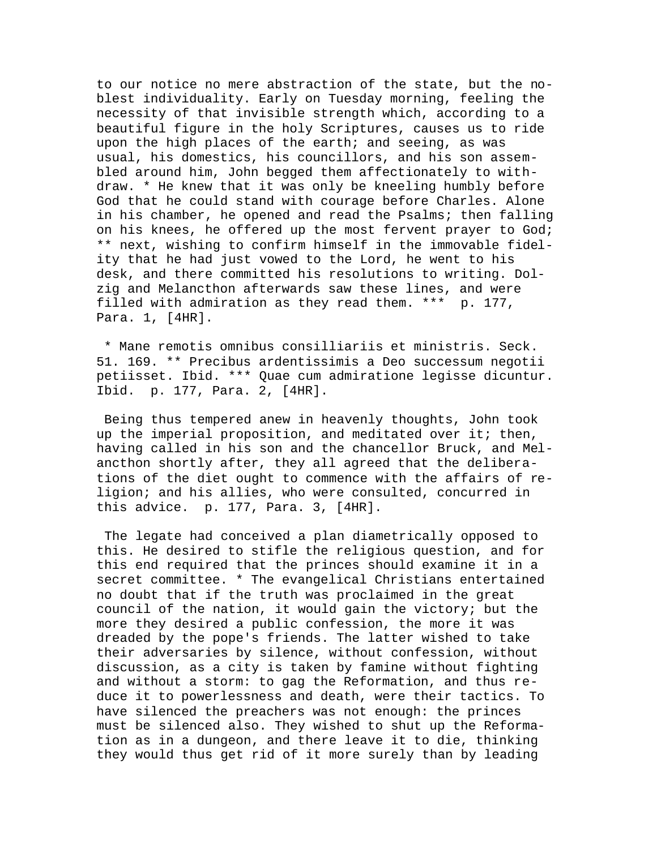to our notice no mere abstraction of the state, but the noblest individuality. Early on Tuesday morning, feeling the necessity of that invisible strength which, according to a beautiful figure in the holy Scriptures, causes us to ride upon the high places of the earth; and seeing, as was usual, his domestics, his councillors, and his son assembled around him, John begged them affectionately to withdraw. \* He knew that it was only be kneeling humbly before God that he could stand with courage before Charles. Alone in his chamber, he opened and read the Psalms; then falling on his knees, he offered up the most fervent prayer to God; \*\* next, wishing to confirm himself in the immovable fidelity that he had just vowed to the Lord, he went to his desk, and there committed his resolutions to writing. Dolzig and Melancthon afterwards saw these lines, and were filled with admiration as they read them. \*\*\* p. 177, Para. 1, [4HR].

 \* Mane remotis omnibus consilliariis et ministris. Seck. 51. 169. \*\* Precibus ardentissimis a Deo successum negotii petiisset. Ibid. \*\*\* Quae cum admiratione legisse dicuntur. Ibid. p. 177, Para. 2, [4HR].

 Being thus tempered anew in heavenly thoughts, John took up the imperial proposition, and meditated over it; then, having called in his son and the chancellor Bruck, and Melancthon shortly after, they all agreed that the deliberations of the diet ought to commence with the affairs of religion; and his allies, who were consulted, concurred in this advice. p. 177, Para. 3, [4HR].

 The legate had conceived a plan diametrically opposed to this. He desired to stifle the religious question, and for this end required that the princes should examine it in a secret committee. \* The evangelical Christians entertained no doubt that if the truth was proclaimed in the great council of the nation, it would gain the victory; but the more they desired a public confession, the more it was dreaded by the pope's friends. The latter wished to take their adversaries by silence, without confession, without discussion, as a city is taken by famine without fighting and without a storm: to gag the Reformation, and thus reduce it to powerlessness and death, were their tactics. To have silenced the preachers was not enough: the princes must be silenced also. They wished to shut up the Reformation as in a dungeon, and there leave it to die, thinking they would thus get rid of it more surely than by leading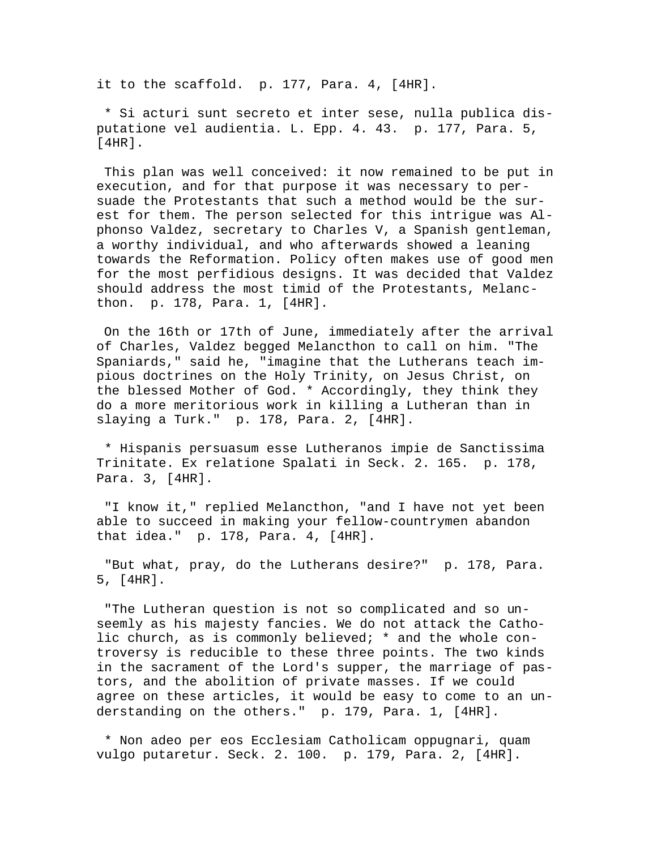it to the scaffold. p. 177, Para. 4, [4HR].

 \* Si acturi sunt secreto et inter sese, nulla publica disputatione vel audientia. L. Epp. 4. 43. p. 177, Para. 5, [4HR].

 This plan was well conceived: it now remained to be put in execution, and for that purpose it was necessary to persuade the Protestants that such a method would be the surest for them. The person selected for this intrigue was Alphonso Valdez, secretary to Charles V, a Spanish gentleman, a worthy individual, and who afterwards showed a leaning towards the Reformation. Policy often makes use of good men for the most perfidious designs. It was decided that Valdez should address the most timid of the Protestants, Melancthon. p. 178, Para. 1, [4HR].

 On the 16th or 17th of June, immediately after the arrival of Charles, Valdez begged Melancthon to call on him. "The Spaniards," said he, "imagine that the Lutherans teach impious doctrines on the Holy Trinity, on Jesus Christ, on the blessed Mother of God. \* Accordingly, they think they do a more meritorious work in killing a Lutheran than in slaying a Turk." p. 178, Para. 2, [4HR].

 \* Hispanis persuasum esse Lutheranos impie de Sanctissima Trinitate. Ex relatione Spalati in Seck. 2. 165. p. 178, Para. 3, [4HR].

 "I know it," replied Melancthon, "and I have not yet been able to succeed in making your fellow-countrymen abandon that idea." p. 178, Para. 4, [4HR].

 "But what, pray, do the Lutherans desire?" p. 178, Para. 5, [4HR].

 "The Lutheran question is not so complicated and so unseemly as his majesty fancies. We do not attack the Catholic church, as is commonly believed; \* and the whole controversy is reducible to these three points. The two kinds in the sacrament of the Lord's supper, the marriage of pastors, and the abolition of private masses. If we could agree on these articles, it would be easy to come to an understanding on the others." p. 179, Para. 1, [4HR].

 \* Non adeo per eos Ecclesiam Catholicam oppugnari, quam vulgo putaretur. Seck. 2. 100. p. 179, Para. 2, [4HR].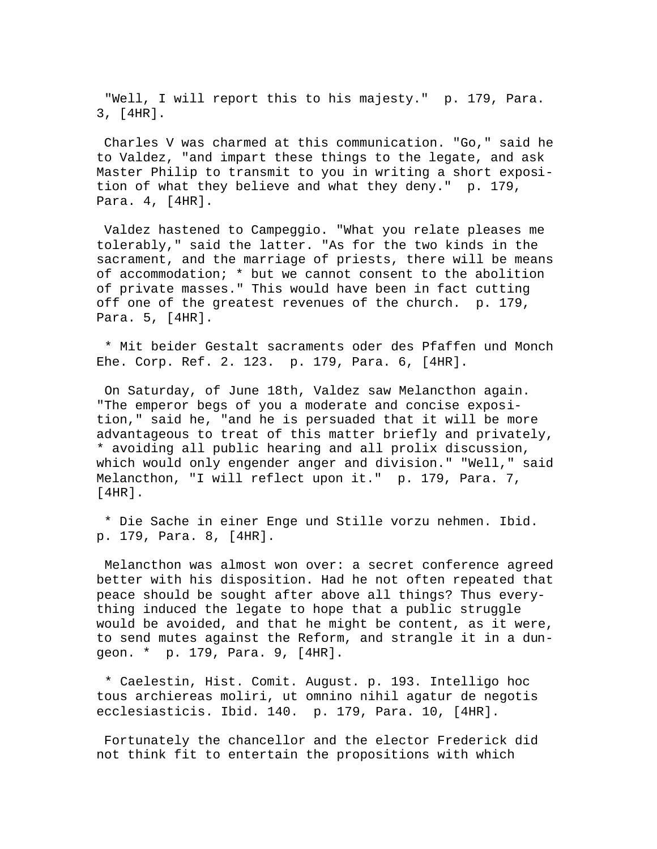"Well, I will report this to his majesty." p. 179, Para. 3, [4HR].

 Charles V was charmed at this communication. "Go," said he to Valdez, "and impart these things to the legate, and ask Master Philip to transmit to you in writing a short exposition of what they believe and what they deny." p. 179, Para. 4, [4HR].

 Valdez hastened to Campeggio. "What you relate pleases me tolerably," said the latter. "As for the two kinds in the sacrament, and the marriage of priests, there will be means of accommodation; \* but we cannot consent to the abolition of private masses." This would have been in fact cutting off one of the greatest revenues of the church. p. 179, Para. 5, [4HR].

 \* Mit beider Gestalt sacraments oder des Pfaffen und Monch Ehe. Corp. Ref. 2. 123. p. 179, Para. 6, [4HR].

 On Saturday, of June 18th, Valdez saw Melancthon again. "The emperor begs of you a moderate and concise exposition," said he, "and he is persuaded that it will be more advantageous to treat of this matter briefly and privately, \* avoiding all public hearing and all prolix discussion, which would only engender anger and division." "Well," said Melancthon, "I will reflect upon it." p. 179, Para. 7, [4HR].

 \* Die Sache in einer Enge und Stille vorzu nehmen. Ibid. p. 179, Para. 8, [4HR].

 Melancthon was almost won over: a secret conference agreed better with his disposition. Had he not often repeated that peace should be sought after above all things? Thus everything induced the legate to hope that a public struggle would be avoided, and that he might be content, as it were, to send mutes against the Reform, and strangle it in a dungeon. \* p. 179, Para. 9, [4HR].

 \* Caelestin, Hist. Comit. August. p. 193. Intelligo hoc tous archiereas moliri, ut omnino nihil agatur de negotis ecclesiasticis. Ibid. 140. p. 179, Para. 10, [4HR].

 Fortunately the chancellor and the elector Frederick did not think fit to entertain the propositions with which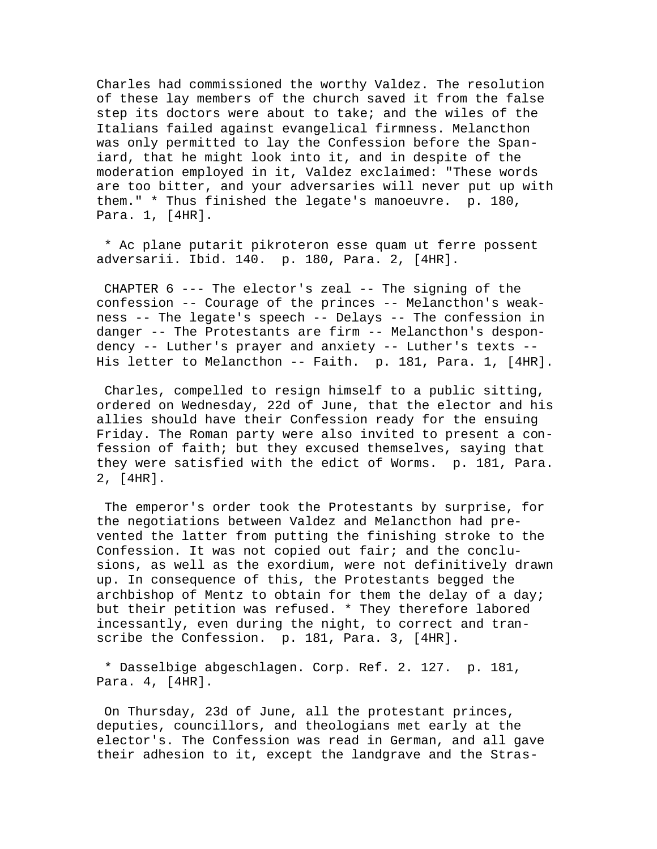Charles had commissioned the worthy Valdez. The resolution of these lay members of the church saved it from the false step its doctors were about to take; and the wiles of the Italians failed against evangelical firmness. Melancthon was only permitted to lay the Confession before the Spaniard, that he might look into it, and in despite of the moderation employed in it, Valdez exclaimed: "These words are too bitter, and your adversaries will never put up with them." \* Thus finished the legate's manoeuvre. p. 180, Para. 1, [4HR].

 \* Ac plane putarit pikroteron esse quam ut ferre possent adversarii. Ibid. 140. p. 180, Para. 2, [4HR].

 CHAPTER 6 --- The elector's zeal -- The signing of the confession -- Courage of the princes -- Melancthon's weakness -- The legate's speech -- Delays -- The confession in danger -- The Protestants are firm -- Melancthon's despondency -- Luther's prayer and anxiety -- Luther's texts -- His letter to Melancthon -- Faith. p. 181, Para. 1, [4HR].

 Charles, compelled to resign himself to a public sitting, ordered on Wednesday, 22d of June, that the elector and his allies should have their Confession ready for the ensuing Friday. The Roman party were also invited to present a confession of faith; but they excused themselves, saying that they were satisfied with the edict of Worms. p. 181, Para. 2, [4HR].

 The emperor's order took the Protestants by surprise, for the negotiations between Valdez and Melancthon had prevented the latter from putting the finishing stroke to the Confession. It was not copied out fair; and the conclusions, as well as the exordium, were not definitively drawn up. In consequence of this, the Protestants begged the archbishop of Mentz to obtain for them the delay of a day; but their petition was refused. \* They therefore labored incessantly, even during the night, to correct and transcribe the Confession. p. 181, Para. 3, [4HR].

 \* Dasselbige abgeschlagen. Corp. Ref. 2. 127. p. 181, Para. 4, [4HR].

 On Thursday, 23d of June, all the protestant princes, deputies, councillors, and theologians met early at the elector's. The Confession was read in German, and all gave their adhesion to it, except the landgrave and the Stras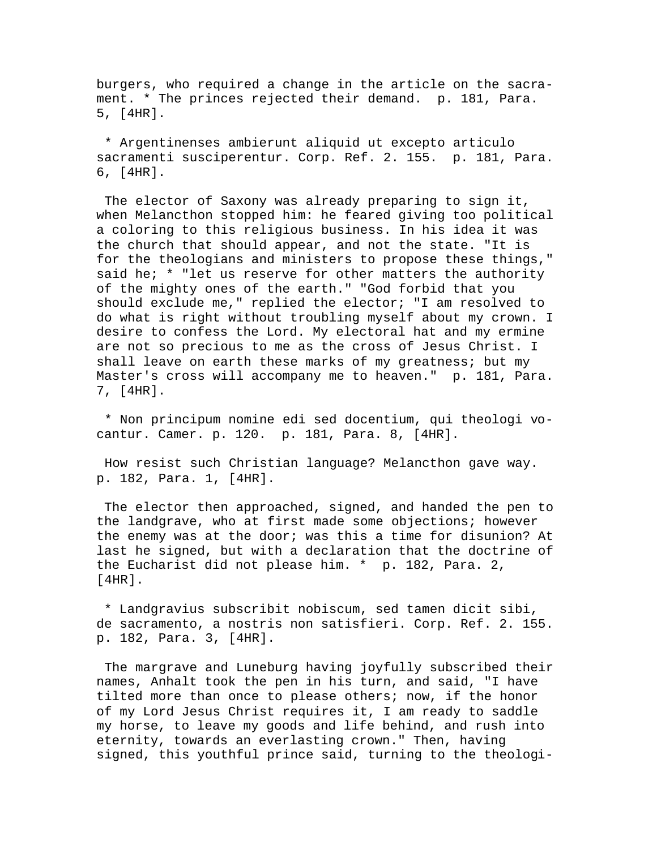burgers, who required a change in the article on the sacrament. \* The princes rejected their demand. p. 181, Para. 5, [4HR].

 \* Argentinenses ambierunt aliquid ut excepto articulo sacramenti susciperentur. Corp. Ref. 2. 155. p. 181, Para. 6, [4HR].

 The elector of Saxony was already preparing to sign it, when Melancthon stopped him: he feared giving too political a coloring to this religious business. In his idea it was the church that should appear, and not the state. "It is for the theologians and ministers to propose these things," said he; \* "let us reserve for other matters the authority of the mighty ones of the earth." "God forbid that you should exclude me," replied the elector; "I am resolved to do what is right without troubling myself about my crown. I desire to confess the Lord. My electoral hat and my ermine are not so precious to me as the cross of Jesus Christ. I shall leave on earth these marks of my greatness; but my Master's cross will accompany me to heaven." p. 181, Para. 7, [4HR].

 \* Non principum nomine edi sed docentium, qui theologi vocantur. Camer. p. 120. p. 181, Para. 8, [4HR].

 How resist such Christian language? Melancthon gave way. p. 182, Para. 1, [4HR].

 The elector then approached, signed, and handed the pen to the landgrave, who at first made some objections; however the enemy was at the door; was this a time for disunion? At last he signed, but with a declaration that the doctrine of the Eucharist did not please him. \* p. 182, Para. 2, [4HR].

 \* Landgravius subscribit nobiscum, sed tamen dicit sibi, de sacramento, a nostris non satisfieri. Corp. Ref. 2. 155. p. 182, Para. 3, [4HR].

 The margrave and Luneburg having joyfully subscribed their names, Anhalt took the pen in his turn, and said, "I have tilted more than once to please others; now, if the honor of my Lord Jesus Christ requires it, I am ready to saddle my horse, to leave my goods and life behind, and rush into eternity, towards an everlasting crown." Then, having signed, this youthful prince said, turning to the theologi-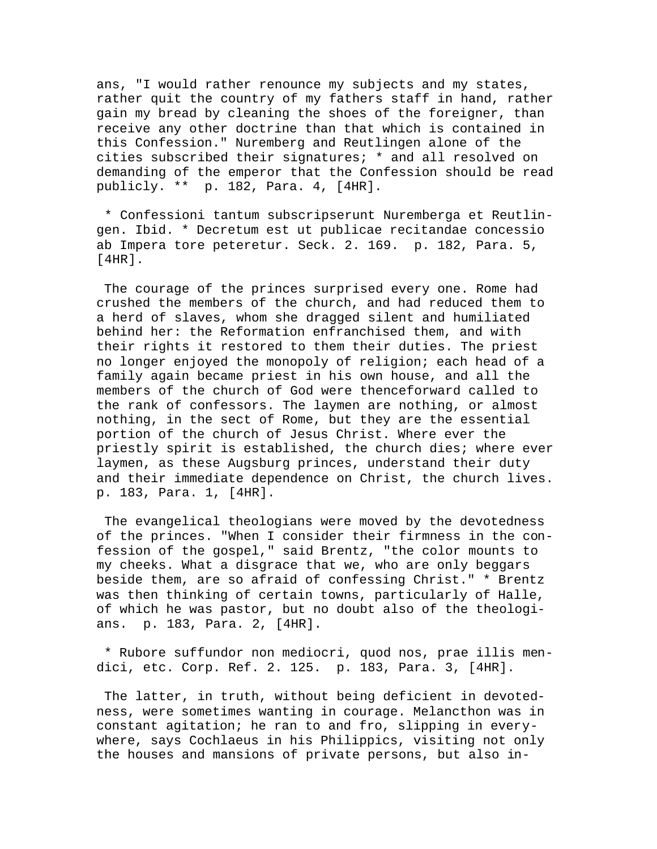ans, "I would rather renounce my subjects and my states, rather quit the country of my fathers staff in hand, rather gain my bread by cleaning the shoes of the foreigner, than receive any other doctrine than that which is contained in this Confession." Nuremberg and Reutlingen alone of the cities subscribed their signatures; \* and all resolved on demanding of the emperor that the Confession should be read publicly. \*\* p. 182, Para. 4, [4HR].

 \* Confessioni tantum subscripserunt Nuremberga et Reutlingen. Ibid. \* Decretum est ut publicae recitandae concessio ab Impera tore peteretur. Seck. 2. 169. p. 182, Para. 5, [4HR].

 The courage of the princes surprised every one. Rome had crushed the members of the church, and had reduced them to a herd of slaves, whom she dragged silent and humiliated behind her: the Reformation enfranchised them, and with their rights it restored to them their duties. The priest no longer enjoyed the monopoly of religion; each head of a family again became priest in his own house, and all the members of the church of God were thenceforward called to the rank of confessors. The laymen are nothing, or almost nothing, in the sect of Rome, but they are the essential portion of the church of Jesus Christ. Where ever the priestly spirit is established, the church dies; where ever laymen, as these Augsburg princes, understand their duty and their immediate dependence on Christ, the church lives. p. 183, Para. 1, [4HR].

 The evangelical theologians were moved by the devotedness of the princes. "When I consider their firmness in the confession of the gospel," said Brentz, "the color mounts to my cheeks. What a disgrace that we, who are only beggars beside them, are so afraid of confessing Christ." \* Brentz was then thinking of certain towns, particularly of Halle, of which he was pastor, but no doubt also of the theologians. p. 183, Para. 2, [4HR].

 \* Rubore suffundor non mediocri, quod nos, prae illis mendici, etc. Corp. Ref. 2. 125. p. 183, Para. 3, [4HR].

 The latter, in truth, without being deficient in devotedness, were sometimes wanting in courage. Melancthon was in constant agitation; he ran to and fro, slipping in everywhere, says Cochlaeus in his Philippics, visiting not only the houses and mansions of private persons, but also in-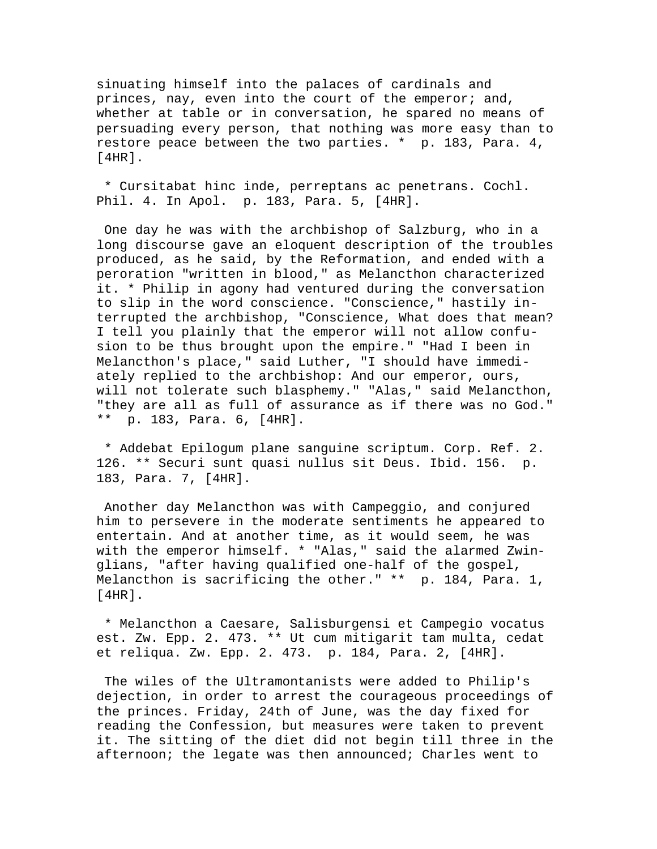sinuating himself into the palaces of cardinals and princes, nay, even into the court of the emperor; and, whether at table or in conversation, he spared no means of persuading every person, that nothing was more easy than to restore peace between the two parties. \* p. 183, Para. 4, [4HR].

 \* Cursitabat hinc inde, perreptans ac penetrans. Cochl. Phil. 4. In Apol. p. 183, Para. 5, [4HR].

 One day he was with the archbishop of Salzburg, who in a long discourse gave an eloquent description of the troubles produced, as he said, by the Reformation, and ended with a peroration "written in blood," as Melancthon characterized it. \* Philip in agony had ventured during the conversation to slip in the word conscience. "Conscience," hastily interrupted the archbishop, "Conscience, What does that mean? I tell you plainly that the emperor will not allow confusion to be thus brought upon the empire." "Had I been in Melancthon's place," said Luther, "I should have immediately replied to the archbishop: And our emperor, ours, will not tolerate such blasphemy." "Alas," said Melancthon, "they are all as full of assurance as if there was no God." \*\* p. 183, Para. 6, [4HR].

 \* Addebat Epilogum plane sanguine scriptum. Corp. Ref. 2. 126. \*\* Securi sunt quasi nullus sit Deus. Ibid. 156. p. 183, Para. 7, [4HR].

 Another day Melancthon was with Campeggio, and conjured him to persevere in the moderate sentiments he appeared to entertain. And at another time, as it would seem, he was with the emperor himself. \* "Alas," said the alarmed Zwinglians, "after having qualified one-half of the gospel, Melancthon is sacrificing the other." \*\* p. 184, Para. 1, [4HR].

 \* Melancthon a Caesare, Salisburgensi et Campegio vocatus est. Zw. Epp. 2. 473. \*\* Ut cum mitigarit tam multa, cedat et reliqua. Zw. Epp. 2. 473. p. 184, Para. 2, [4HR].

 The wiles of the Ultramontanists were added to Philip's dejection, in order to arrest the courageous proceedings of the princes. Friday, 24th of June, was the day fixed for reading the Confession, but measures were taken to prevent it. The sitting of the diet did not begin till three in the afternoon; the legate was then announced; Charles went to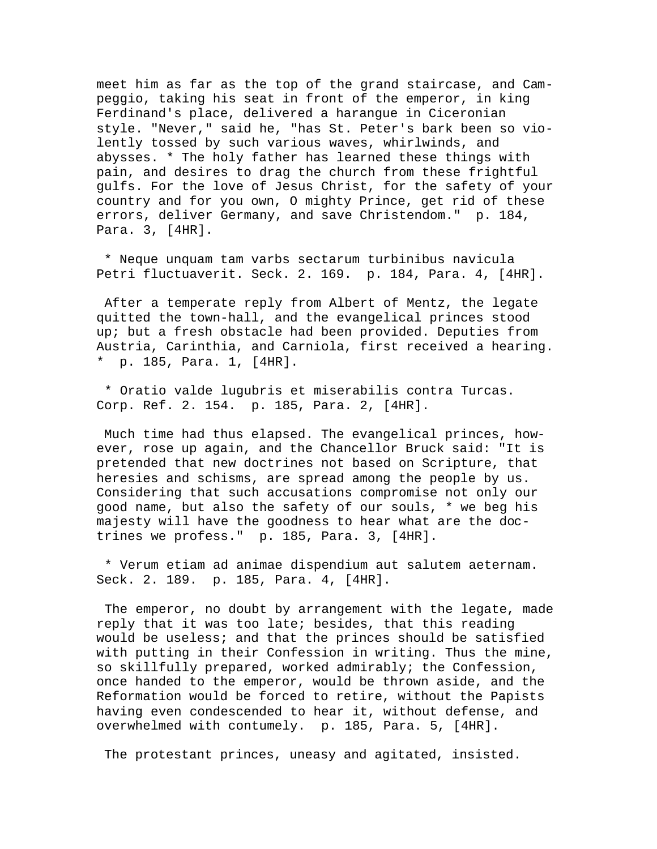meet him as far as the top of the grand staircase, and Campeggio, taking his seat in front of the emperor, in king Ferdinand's place, delivered a harangue in Ciceronian style. "Never," said he, "has St. Peter's bark been so violently tossed by such various waves, whirlwinds, and abysses. \* The holy father has learned these things with pain, and desires to drag the church from these frightful gulfs. For the love of Jesus Christ, for the safety of your country and for you own, O mighty Prince, get rid of these errors, deliver Germany, and save Christendom." p. 184, Para. 3, [4HR].

 \* Neque unquam tam varbs sectarum turbinibus navicula Petri fluctuaverit. Seck. 2. 169. p. 184, Para. 4, [4HR].

 After a temperate reply from Albert of Mentz, the legate quitted the town-hall, and the evangelical princes stood up; but a fresh obstacle had been provided. Deputies from Austria, Carinthia, and Carniola, first received a hearing. p. 185, Para. 1, [4HR].

 \* Oratio valde lugubris et miserabilis contra Turcas. Corp. Ref. 2. 154. p. 185, Para. 2, [4HR].

 Much time had thus elapsed. The evangelical princes, however, rose up again, and the Chancellor Bruck said: "It is pretended that new doctrines not based on Scripture, that heresies and schisms, are spread among the people by us. Considering that such accusations compromise not only our good name, but also the safety of our souls, \* we beg his majesty will have the goodness to hear what are the doctrines we profess." p. 185, Para. 3, [4HR].

 \* Verum etiam ad animae dispendium aut salutem aeternam. Seck. 2. 189. p. 185, Para. 4, [4HR].

 The emperor, no doubt by arrangement with the legate, made reply that it was too late; besides, that this reading would be useless; and that the princes should be satisfied with putting in their Confession in writing. Thus the mine, so skillfully prepared, worked admirably; the Confession, once handed to the emperor, would be thrown aside, and the Reformation would be forced to retire, without the Papists having even condescended to hear it, without defense, and overwhelmed with contumely. p. 185, Para. 5, [4HR].

The protestant princes, uneasy and agitated, insisted.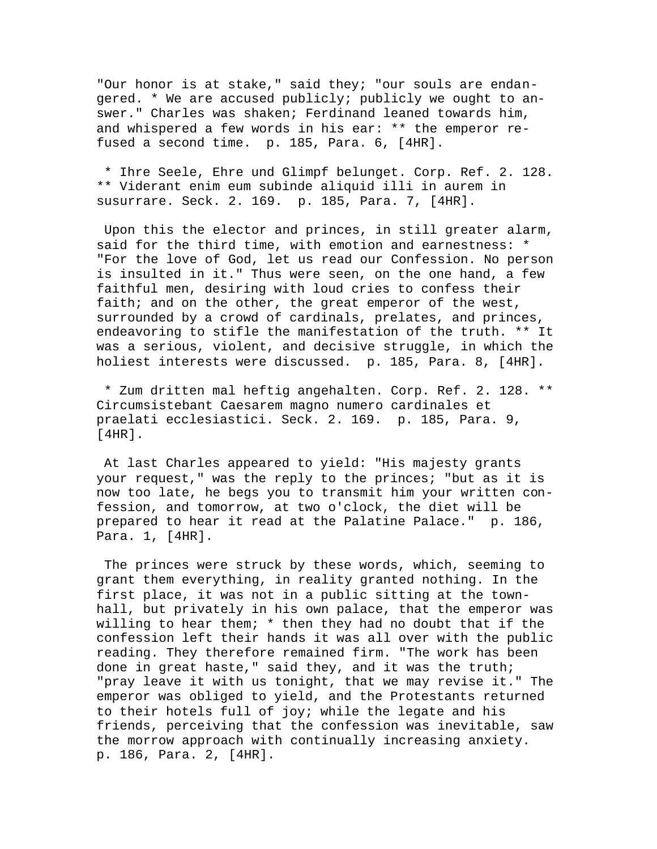"Our honor is at stake," said they; "our souls are endangered. \* We are accused publicly; publicly we ought to answer." Charles was shaken; Ferdinand leaned towards him, and whispered a few words in his ear: \*\* the emperor refused a second time. p. 185, Para. 6, [4HR].

 \* Ihre Seele, Ehre und Glimpf belunget. Corp. Ref. 2. 128. \*\* Viderant enim eum subinde aliquid illi in aurem in susurrare. Seck. 2. 169. p. 185, Para. 7, [4HR].

 Upon this the elector and princes, in still greater alarm, said for the third time, with emotion and earnestness: \* "For the love of God, let us read our Confession. No person is insulted in it." Thus were seen, on the one hand, a few faithful men, desiring with loud cries to confess their faith; and on the other, the great emperor of the west, surrounded by a crowd of cardinals, prelates, and princes, endeavoring to stifle the manifestation of the truth. \*\* It was a serious, violent, and decisive struggle, in which the holiest interests were discussed. p. 185, Para. 8, [4HR].

 \* Zum dritten mal heftig angehalten. Corp. Ref. 2. 128. \*\* Circumsistebant Caesarem magno numero cardinales et praelati ecclesiastici. Seck. 2. 169. p. 185, Para. 9, [4HR].

 At last Charles appeared to yield: "His majesty grants your request," was the reply to the princes; "but as it is now too late, he begs you to transmit him your written confession, and tomorrow, at two o'clock, the diet will be prepared to hear it read at the Palatine Palace." p. 186, Para. 1, [4HR].

 The princes were struck by these words, which, seeming to grant them everything, in reality granted nothing. In the first place, it was not in a public sitting at the townhall, but privately in his own palace, that the emperor was willing to hear them; \* then they had no doubt that if the confession left their hands it was all over with the public reading. They therefore remained firm. "The work has been done in great haste," said they, and it was the truth; "pray leave it with us tonight, that we may revise it." The emperor was obliged to yield, and the Protestants returned to their hotels full of joy; while the legate and his friends, perceiving that the confession was inevitable, saw the morrow approach with continually increasing anxiety. p. 186, Para. 2, [4HR].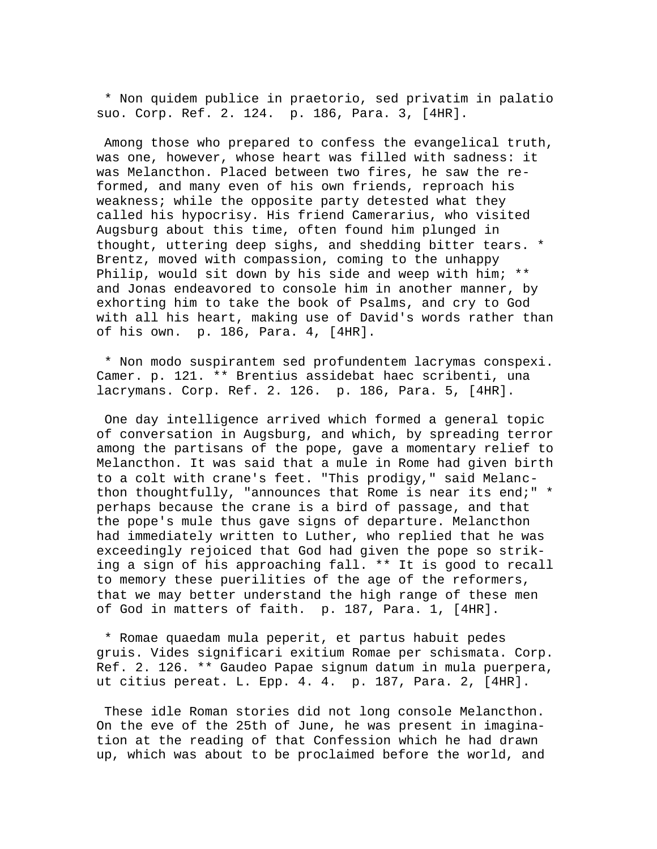\* Non quidem publice in praetorio, sed privatim in palatio suo. Corp. Ref. 2. 124. p. 186, Para. 3, [4HR].

 Among those who prepared to confess the evangelical truth, was one, however, whose heart was filled with sadness: it was Melancthon. Placed between two fires, he saw the reformed, and many even of his own friends, reproach his weakness; while the opposite party detested what they called his hypocrisy. His friend Camerarius, who visited Augsburg about this time, often found him plunged in thought, uttering deep sighs, and shedding bitter tears. \* Brentz, moved with compassion, coming to the unhappy Philip, would sit down by his side and weep with him; \*\* and Jonas endeavored to console him in another manner, by exhorting him to take the book of Psalms, and cry to God with all his heart, making use of David's words rather than of his own. p. 186, Para. 4, [4HR].

 \* Non modo suspirantem sed profundentem lacrymas conspexi. Camer. p. 121. \*\* Brentius assidebat haec scribenti, una lacrymans. Corp. Ref. 2. 126. p. 186, Para. 5, [4HR].

 One day intelligence arrived which formed a general topic of conversation in Augsburg, and which, by spreading terror among the partisans of the pope, gave a momentary relief to Melancthon. It was said that a mule in Rome had given birth to a colt with crane's feet. "This prodigy," said Melancthon thoughtfully, "announces that Rome is near its end;" \* perhaps because the crane is a bird of passage, and that the pope's mule thus gave signs of departure. Melancthon had immediately written to Luther, who replied that he was exceedingly rejoiced that God had given the pope so striking a sign of his approaching fall. \*\* It is good to recall to memory these puerilities of the age of the reformers, that we may better understand the high range of these men of God in matters of faith. p. 187, Para. 1, [4HR].

 \* Romae quaedam mula peperit, et partus habuit pedes gruis. Vides significari exitium Romae per schismata. Corp. Ref. 2. 126. \*\* Gaudeo Papae signum datum in mula puerpera, ut citius pereat. L. Epp. 4. 4. p. 187, Para. 2, [4HR].

 These idle Roman stories did not long console Melancthon. On the eve of the 25th of June, he was present in imagination at the reading of that Confession which he had drawn up, which was about to be proclaimed before the world, and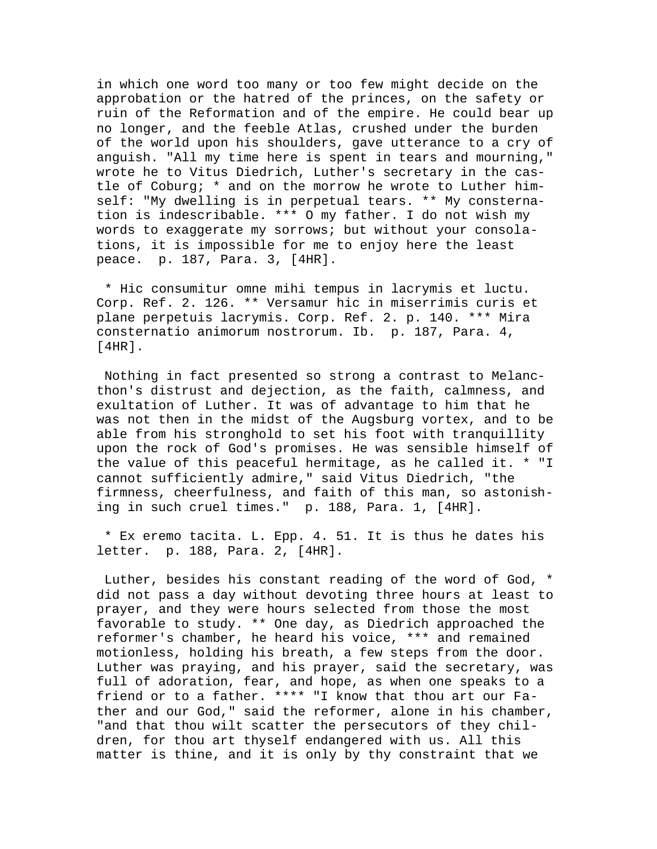in which one word too many or too few might decide on the approbation or the hatred of the princes, on the safety or ruin of the Reformation and of the empire. He could bear up no longer, and the feeble Atlas, crushed under the burden of the world upon his shoulders, gave utterance to a cry of anguish. "All my time here is spent in tears and mourning," wrote he to Vitus Diedrich, Luther's secretary in the castle of Coburg; \* and on the morrow he wrote to Luther himself: "My dwelling is in perpetual tears. \*\* My consternation is indescribable. \*\*\* O my father. I do not wish my words to exaggerate my sorrows; but without your consolations, it is impossible for me to enjoy here the least peace. p. 187, Para. 3, [4HR].

 \* Hic consumitur omne mihi tempus in lacrymis et luctu. Corp. Ref. 2. 126. \*\* Versamur hic in miserrimis curis et plane perpetuis lacrymis. Corp. Ref. 2. p. 140. \*\*\* Mira consternatio animorum nostrorum. Ib. p. 187, Para. 4, [4HR].

 Nothing in fact presented so strong a contrast to Melancthon's distrust and dejection, as the faith, calmness, and exultation of Luther. It was of advantage to him that he was not then in the midst of the Augsburg vortex, and to be able from his stronghold to set his foot with tranquillity upon the rock of God's promises. He was sensible himself of the value of this peaceful hermitage, as he called it. \* "I cannot sufficiently admire," said Vitus Diedrich, "the firmness, cheerfulness, and faith of this man, so astonishing in such cruel times." p. 188, Para. 1, [4HR].

 \* Ex eremo tacita. L. Epp. 4. 51. It is thus he dates his letter. p. 188, Para. 2, [4HR].

 Luther, besides his constant reading of the word of God, \* did not pass a day without devoting three hours at least to prayer, and they were hours selected from those the most favorable to study. \*\* One day, as Diedrich approached the reformer's chamber, he heard his voice, \*\*\* and remained motionless, holding his breath, a few steps from the door. Luther was praying, and his prayer, said the secretary, was full of adoration, fear, and hope, as when one speaks to a friend or to a father. \*\*\*\* "I know that thou art our Father and our God," said the reformer, alone in his chamber, "and that thou wilt scatter the persecutors of they children, for thou art thyself endangered with us. All this matter is thine, and it is only by thy constraint that we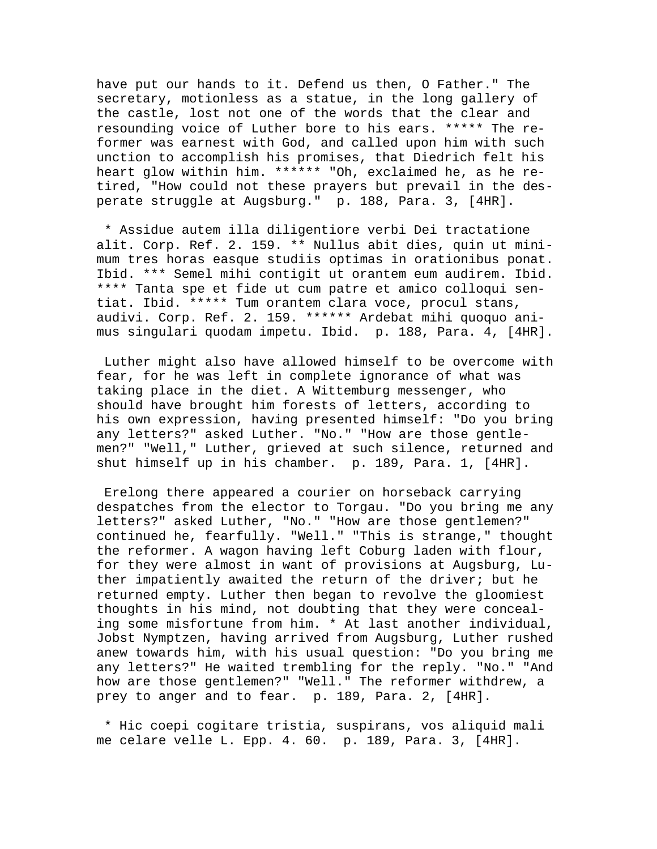have put our hands to it. Defend us then, O Father." The secretary, motionless as a statue, in the long gallery of the castle, lost not one of the words that the clear and resounding voice of Luther bore to his ears. \*\*\*\*\* The reformer was earnest with God, and called upon him with such unction to accomplish his promises, that Diedrich felt his heart glow within him. \*\*\*\*\*\* "Oh, exclaimed he, as he retired, "How could not these prayers but prevail in the desperate struggle at Augsburg." p. 188, Para. 3, [4HR].

 \* Assidue autem illa diligentiore verbi Dei tractatione alit. Corp. Ref. 2. 159. \*\* Nullus abit dies, quin ut minimum tres horas easque studiis optimas in orationibus ponat. Ibid. \*\*\* Semel mihi contigit ut orantem eum audirem. Ibid. \*\*\*\* Tanta spe et fide ut cum patre et amico colloqui sentiat. Ibid. \*\*\*\*\* Tum orantem clara voce, procul stans, audivi. Corp. Ref. 2. 159. \*\*\*\*\*\* Ardebat mihi quoquo animus singulari quodam impetu. Ibid. p. 188, Para. 4, [4HR].

 Luther might also have allowed himself to be overcome with fear, for he was left in complete ignorance of what was taking place in the diet. A Wittemburg messenger, who should have brought him forests of letters, according to his own expression, having presented himself: "Do you bring any letters?" asked Luther. "No." "How are those gentlemen?" "Well," Luther, grieved at such silence, returned and shut himself up in his chamber. p. 189, Para. 1, [4HR].

 Erelong there appeared a courier on horseback carrying despatches from the elector to Torgau. "Do you bring me any letters?" asked Luther, "No." "How are those gentlemen?" continued he, fearfully. "Well." "This is strange," thought the reformer. A wagon having left Coburg laden with flour, for they were almost in want of provisions at Augsburg, Luther impatiently awaited the return of the driver; but he returned empty. Luther then began to revolve the gloomiest thoughts in his mind, not doubting that they were concealing some misfortune from him. \* At last another individual, Jobst Nymptzen, having arrived from Augsburg, Luther rushed anew towards him, with his usual question: "Do you bring me any letters?" He waited trembling for the reply. "No." "And how are those gentlemen?" "Well." The reformer withdrew, a prey to anger and to fear. p. 189, Para. 2, [4HR].

 \* Hic coepi cogitare tristia, suspirans, vos aliquid mali me celare velle L. Epp. 4. 60. p. 189, Para. 3, [4HR].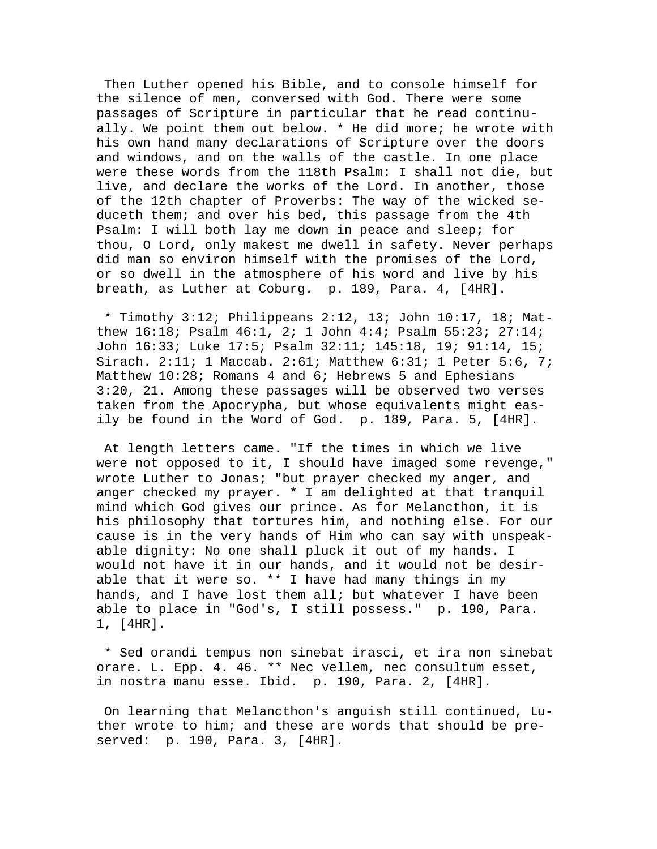Then Luther opened his Bible, and to console himself for the silence of men, conversed with God. There were some passages of Scripture in particular that he read continually. We point them out below. \* He did more; he wrote with his own hand many declarations of Scripture over the doors and windows, and on the walls of the castle. In one place were these words from the 118th Psalm: I shall not die, but live, and declare the works of the Lord. In another, those of the 12th chapter of Proverbs: The way of the wicked seduceth them; and over his bed, this passage from the 4th Psalm: I will both lay me down in peace and sleep; for thou, O Lord, only makest me dwell in safety. Never perhaps did man so environ himself with the promises of the Lord, or so dwell in the atmosphere of his word and live by his breath, as Luther at Coburg. p. 189, Para. 4, [4HR].

 \* Timothy 3:12; Philippeans 2:12, 13; John 10:17, 18; Matthew 16:18; Psalm 46:1, 2; 1 John 4:4; Psalm 55:23; 27:14; John 16:33; Luke 17:5; Psalm 32:11; 145:18, 19; 91:14, 15; Sirach. 2:11; 1 Maccab. 2:61; Matthew 6:31; 1 Peter 5:6, 7; Matthew 10:28; Romans 4 and 6; Hebrews 5 and Ephesians 3:20, 21. Among these passages will be observed two verses taken from the Apocrypha, but whose equivalents might easily be found in the Word of God. p. 189, Para. 5, [4HR].

 At length letters came. "If the times in which we live were not opposed to it, I should have imaged some revenge," wrote Luther to Jonas; "but prayer checked my anger, and anger checked my prayer. \* I am delighted at that tranquil mind which God gives our prince. As for Melancthon, it is his philosophy that tortures him, and nothing else. For our cause is in the very hands of Him who can say with unspeakable dignity: No one shall pluck it out of my hands. I would not have it in our hands, and it would not be desirable that it were so. \*\* I have had many things in my hands, and I have lost them all; but whatever I have been able to place in "God's, I still possess." p. 190, Para. 1, [4HR].

 \* Sed orandi tempus non sinebat irasci, et ira non sinebat orare. L. Epp. 4. 46. \*\* Nec vellem, nec consultum esset, in nostra manu esse. Ibid. p. 190, Para. 2, [4HR].

 On learning that Melancthon's anguish still continued, Luther wrote to him; and these are words that should be preserved: p. 190, Para. 3, [4HR].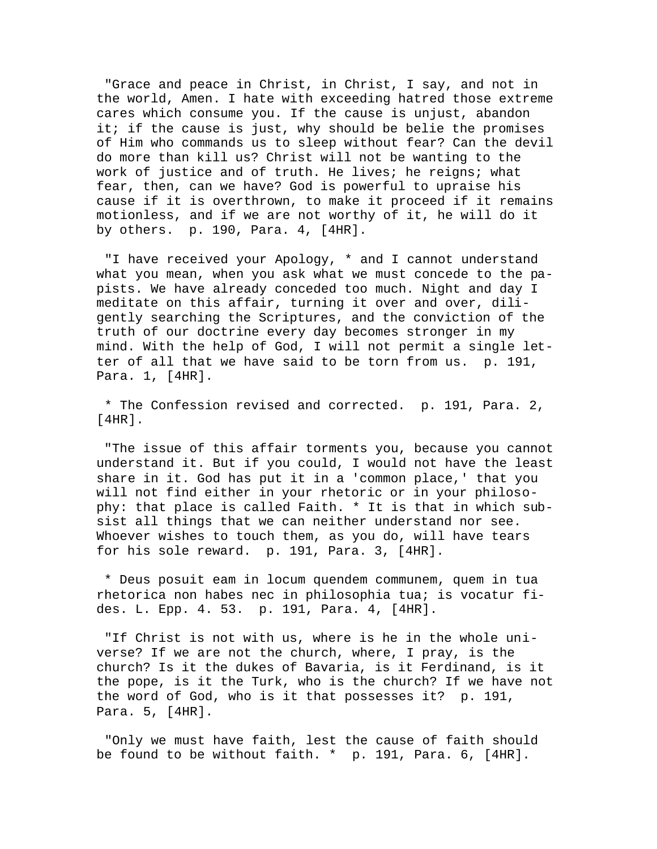"Grace and peace in Christ, in Christ, I say, and not in the world, Amen. I hate with exceeding hatred those extreme cares which consume you. If the cause is unjust, abandon it; if the cause is just, why should be belie the promises of Him who commands us to sleep without fear? Can the devil do more than kill us? Christ will not be wanting to the work of justice and of truth. He lives; he reigns; what fear, then, can we have? God is powerful to upraise his cause if it is overthrown, to make it proceed if it remains motionless, and if we are not worthy of it, he will do it by others. p. 190, Para. 4, [4HR].

 "I have received your Apology, \* and I cannot understand what you mean, when you ask what we must concede to the papists. We have already conceded too much. Night and day I meditate on this affair, turning it over and over, diligently searching the Scriptures, and the conviction of the truth of our doctrine every day becomes stronger in my mind. With the help of God, I will not permit a single letter of all that we have said to be torn from us. p. 191, Para. 1, [4HR].

 \* The Confession revised and corrected. p. 191, Para. 2, [4HR].

 "The issue of this affair torments you, because you cannot understand it. But if you could, I would not have the least share in it. God has put it in a 'common place,' that you will not find either in your rhetoric or in your philosophy: that place is called Faith. \* It is that in which subsist all things that we can neither understand nor see. Whoever wishes to touch them, as you do, will have tears for his sole reward. p. 191, Para. 3, [4HR].

 \* Deus posuit eam in locum quendem communem, quem in tua rhetorica non habes nec in philosophia tua; is vocatur fides. L. Epp. 4. 53. p. 191, Para. 4, [4HR].

 "If Christ is not with us, where is he in the whole universe? If we are not the church, where, I pray, is the church? Is it the dukes of Bavaria, is it Ferdinand, is it the pope, is it the Turk, who is the church? If we have not the word of God, who is it that possesses it? p. 191, Para. 5, [4HR].

 "Only we must have faith, lest the cause of faith should be found to be without faith. \* p. 191, Para. 6, [4HR].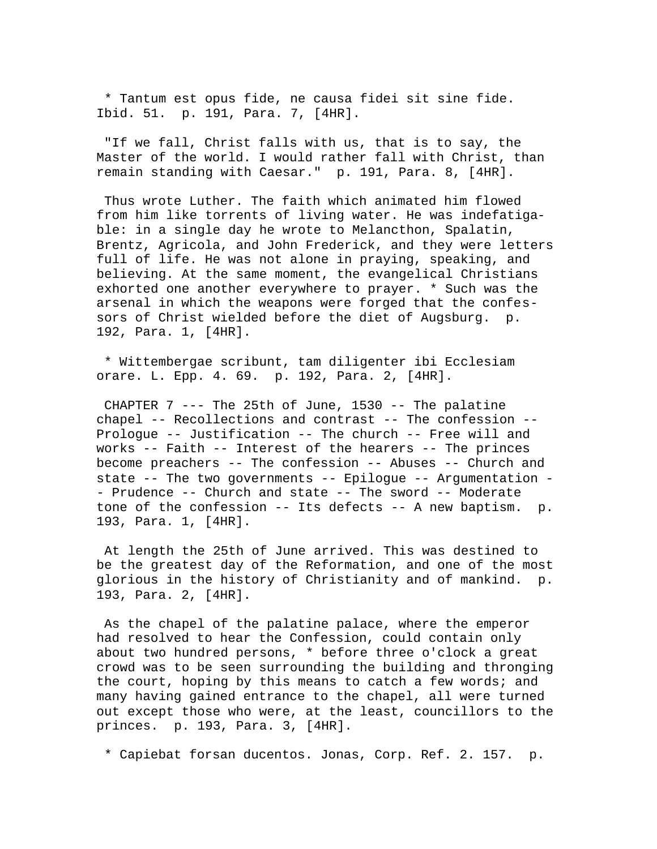\* Tantum est opus fide, ne causa fidei sit sine fide. Ibid. 51. p. 191, Para. 7, [4HR].

 "If we fall, Christ falls with us, that is to say, the Master of the world. I would rather fall with Christ, than remain standing with Caesar." p. 191, Para. 8, [4HR].

 Thus wrote Luther. The faith which animated him flowed from him like torrents of living water. He was indefatigable: in a single day he wrote to Melancthon, Spalatin, Brentz, Agricola, and John Frederick, and they were letters full of life. He was not alone in praying, speaking, and believing. At the same moment, the evangelical Christians exhorted one another everywhere to prayer. \* Such was the arsenal in which the weapons were forged that the confessors of Christ wielded before the diet of Augsburg. p. 192, Para. 1, [4HR].

 \* Wittembergae scribunt, tam diligenter ibi Ecclesiam orare. L. Epp. 4. 69. p. 192, Para. 2, [4HR].

CHAPTER  $7$  --- The 25th of June, 1530 -- The palatine chapel -- Recollections and contrast -- The confession -- Prologue -- Justification -- The church -- Free will and works -- Faith -- Interest of the hearers -- The princes become preachers -- The confession -- Abuses -- Church and state -- The two governments -- Epilogue -- Argumentation - - Prudence -- Church and state -- The sword -- Moderate tone of the confession -- Its defects -- A new baptism. p. 193, Para. 1, [4HR].

 At length the 25th of June arrived. This was destined to be the greatest day of the Reformation, and one of the most glorious in the history of Christianity and of mankind. p. 193, Para. 2, [4HR].

 As the chapel of the palatine palace, where the emperor had resolved to hear the Confession, could contain only about two hundred persons, \* before three o'clock a great crowd was to be seen surrounding the building and thronging the court, hoping by this means to catch a few words; and many having gained entrance to the chapel, all were turned out except those who were, at the least, councillors to the princes. p. 193, Para. 3, [4HR].

\* Capiebat forsan ducentos. Jonas, Corp. Ref. 2. 157. p.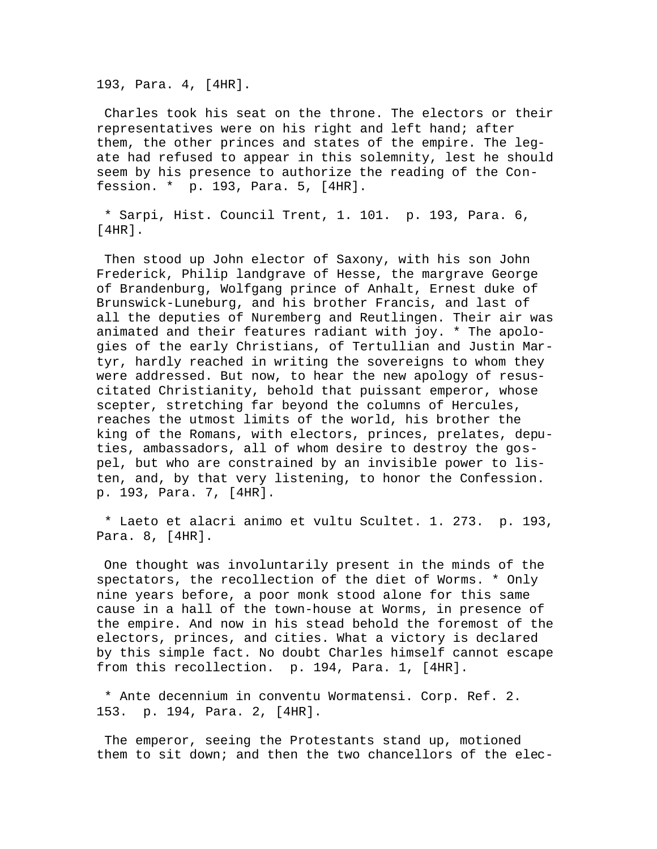193, Para. 4, [4HR].

 Charles took his seat on the throne. The electors or their representatives were on his right and left hand; after them, the other princes and states of the empire. The legate had refused to appear in this solemnity, lest he should seem by his presence to authorize the reading of the Confession. \* p. 193, Para. 5, [4HR].

 \* Sarpi, Hist. Council Trent, 1. 101. p. 193, Para. 6,  $[4HR]$ .

 Then stood up John elector of Saxony, with his son John Frederick, Philip landgrave of Hesse, the margrave George of Brandenburg, Wolfgang prince of Anhalt, Ernest duke of Brunswick-Luneburg, and his brother Francis, and last of all the deputies of Nuremberg and Reutlingen. Their air was animated and their features radiant with joy. \* The apologies of the early Christians, of Tertullian and Justin Martyr, hardly reached in writing the sovereigns to whom they were addressed. But now, to hear the new apology of resuscitated Christianity, behold that puissant emperor, whose scepter, stretching far beyond the columns of Hercules, reaches the utmost limits of the world, his brother the king of the Romans, with electors, princes, prelates, deputies, ambassadors, all of whom desire to destroy the gospel, but who are constrained by an invisible power to listen, and, by that very listening, to honor the Confession. p. 193, Para. 7, [4HR].

 \* Laeto et alacri animo et vultu Scultet. 1. 273. p. 193, Para. 8, [4HR].

 One thought was involuntarily present in the minds of the spectators, the recollection of the diet of Worms. \* Only nine years before, a poor monk stood alone for this same cause in a hall of the town-house at Worms, in presence of the empire. And now in his stead behold the foremost of the electors, princes, and cities. What a victory is declared by this simple fact. No doubt Charles himself cannot escape from this recollection. p. 194, Para. 1, [4HR].

 \* Ante decennium in conventu Wormatensi. Corp. Ref. 2. 153. p. 194, Para. 2, [4HR].

 The emperor, seeing the Protestants stand up, motioned them to sit down; and then the two chancellors of the elec-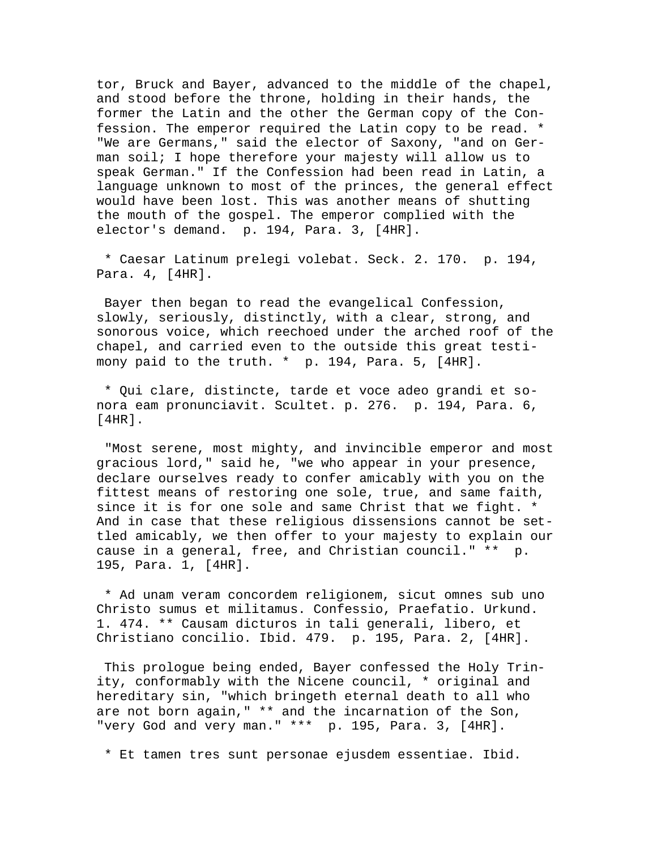tor, Bruck and Bayer, advanced to the middle of the chapel, and stood before the throne, holding in their hands, the former the Latin and the other the German copy of the Confession. The emperor required the Latin copy to be read. \* "We are Germans," said the elector of Saxony, "and on German soil; I hope therefore your majesty will allow us to speak German." If the Confession had been read in Latin, a language unknown to most of the princes, the general effect would have been lost. This was another means of shutting the mouth of the gospel. The emperor complied with the elector's demand. p. 194, Para. 3, [4HR].

 \* Caesar Latinum prelegi volebat. Seck. 2. 170. p. 194, Para. 4, [4HR].

 Bayer then began to read the evangelical Confession, slowly, seriously, distinctly, with a clear, strong, and sonorous voice, which reechoed under the arched roof of the chapel, and carried even to the outside this great testimony paid to the truth. \* p. 194, Para. 5, [4HR].

 \* Qui clare, distincte, tarde et voce adeo grandi et sonora eam pronunciavit. Scultet. p. 276. p. 194, Para. 6, [4HR].

 "Most serene, most mighty, and invincible emperor and most gracious lord," said he, "we who appear in your presence, declare ourselves ready to confer amicably with you on the fittest means of restoring one sole, true, and same faith, since it is for one sole and same Christ that we fight. \* And in case that these religious dissensions cannot be settled amicably, we then offer to your majesty to explain our cause in a general, free, and Christian council." \*\* p. 195, Para. 1, [4HR].

 \* Ad unam veram concordem religionem, sicut omnes sub uno Christo sumus et militamus. Confessio, Praefatio. Urkund. 1. 474. \*\* Causam dicturos in tali generali, libero, et Christiano concilio. Ibid. 479. p. 195, Para. 2, [4HR].

 This prologue being ended, Bayer confessed the Holy Trinity, conformably with the Nicene council, \* original and hereditary sin, "which bringeth eternal death to all who are not born again," \*\* and the incarnation of the Son, "very God and very man." \*\*\* p. 195, Para. 3, [4HR].

\* Et tamen tres sunt personae ejusdem essentiae. Ibid.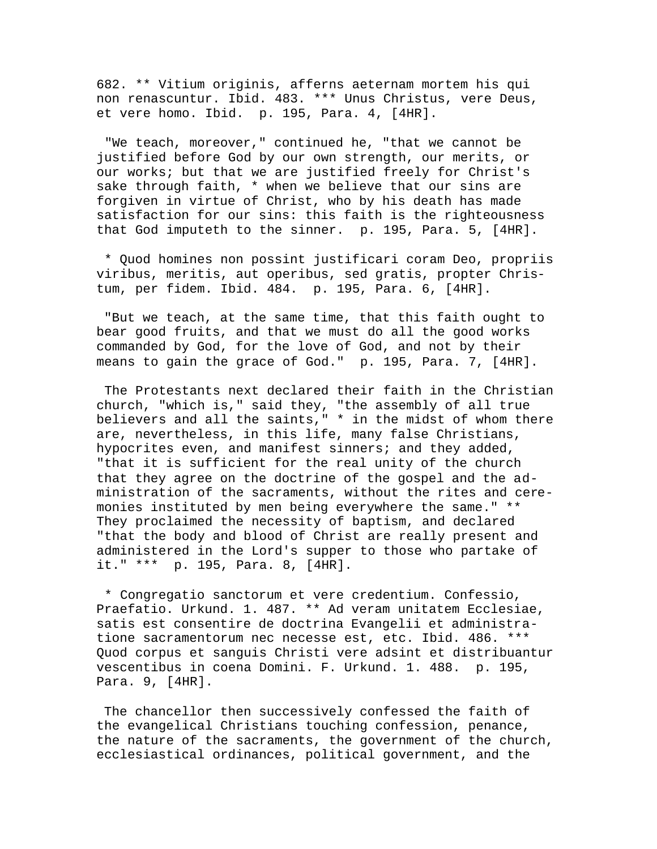682. \*\* Vitium originis, afferns aeternam mortem his qui non renascuntur. Ibid. 483. \*\*\* Unus Christus, vere Deus, et vere homo. Ibid. p. 195, Para. 4, [4HR].

 "We teach, moreover," continued he, "that we cannot be justified before God by our own strength, our merits, or our works; but that we are justified freely for Christ's sake through faith, \* when we believe that our sins are forgiven in virtue of Christ, who by his death has made satisfaction for our sins: this faith is the righteousness that God imputeth to the sinner. p. 195, Para. 5, [4HR].

 \* Quod homines non possint justificari coram Deo, propriis viribus, meritis, aut operibus, sed gratis, propter Christum, per fidem. Ibid. 484. p. 195, Para. 6, [4HR].

 "But we teach, at the same time, that this faith ought to bear good fruits, and that we must do all the good works commanded by God, for the love of God, and not by their means to gain the grace of God." p. 195, Para. 7, [4HR].

 The Protestants next declared their faith in the Christian church, "which is," said they, "the assembly of all true believers and all the saints," \* in the midst of whom there are, nevertheless, in this life, many false Christians, hypocrites even, and manifest sinners; and they added, "that it is sufficient for the real unity of the church that they agree on the doctrine of the gospel and the administration of the sacraments, without the rites and ceremonies instituted by men being everywhere the same." \*\* They proclaimed the necessity of baptism, and declared "that the body and blood of Christ are really present and administered in the Lord's supper to those who partake of it." \*\*\* p. 195, Para. 8, [4HR].

 \* Congregatio sanctorum et vere credentium. Confessio, Praefatio. Urkund. 1. 487. \*\* Ad veram unitatem Ecclesiae, satis est consentire de doctrina Evangelii et administratione sacramentorum nec necesse est, etc. Ibid. 486. \*\*\* Quod corpus et sanguis Christi vere adsint et distribuantur vescentibus in coena Domini. F. Urkund. 1. 488. p. 195, Para. 9, [4HR].

 The chancellor then successively confessed the faith of the evangelical Christians touching confession, penance, the nature of the sacraments, the government of the church, ecclesiastical ordinances, political government, and the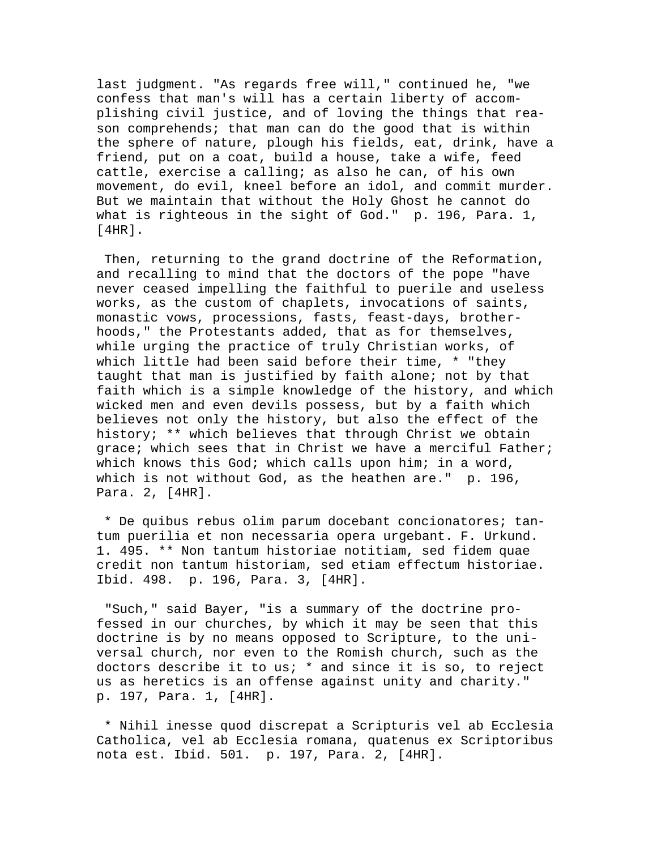last judgment. "As regards free will," continued he, "we confess that man's will has a certain liberty of accomplishing civil justice, and of loving the things that reason comprehends; that man can do the good that is within the sphere of nature, plough his fields, eat, drink, have a friend, put on a coat, build a house, take a wife, feed cattle, exercise a calling; as also he can, of his own movement, do evil, kneel before an idol, and commit murder. But we maintain that without the Holy Ghost he cannot do what is righteous in the sight of God." p. 196, Para. 1,  $[4HR]$ .

 Then, returning to the grand doctrine of the Reformation, and recalling to mind that the doctors of the pope "have never ceased impelling the faithful to puerile and useless works, as the custom of chaplets, invocations of saints, monastic vows, processions, fasts, feast-days, brotherhoods," the Protestants added, that as for themselves, while urging the practice of truly Christian works, of which little had been said before their time, \* "they taught that man is justified by faith alone; not by that faith which is a simple knowledge of the history, and which wicked men and even devils possess, but by a faith which believes not only the history, but also the effect of the history; \*\* which believes that through Christ we obtain grace; which sees that in Christ we have a merciful Father; which knows this God; which calls upon him; in a word, which is not without God, as the heathen are." p. 196, Para. 2, [4HR].

 \* De quibus rebus olim parum docebant concionatores; tantum puerilia et non necessaria opera urgebant. F. Urkund. 1. 495. \*\* Non tantum historiae notitiam, sed fidem quae credit non tantum historiam, sed etiam effectum historiae. Ibid. 498. p. 196, Para. 3, [4HR].

 "Such," said Bayer, "is a summary of the doctrine professed in our churches, by which it may be seen that this doctrine is by no means opposed to Scripture, to the universal church, nor even to the Romish church, such as the doctors describe it to us; \* and since it is so, to reject us as heretics is an offense against unity and charity." p. 197, Para. 1, [4HR].

 \* Nihil inesse quod discrepat a Scripturis vel ab Ecclesia Catholica, vel ab Ecclesia romana, quatenus ex Scriptoribus nota est. Ibid. 501. p. 197, Para. 2, [4HR].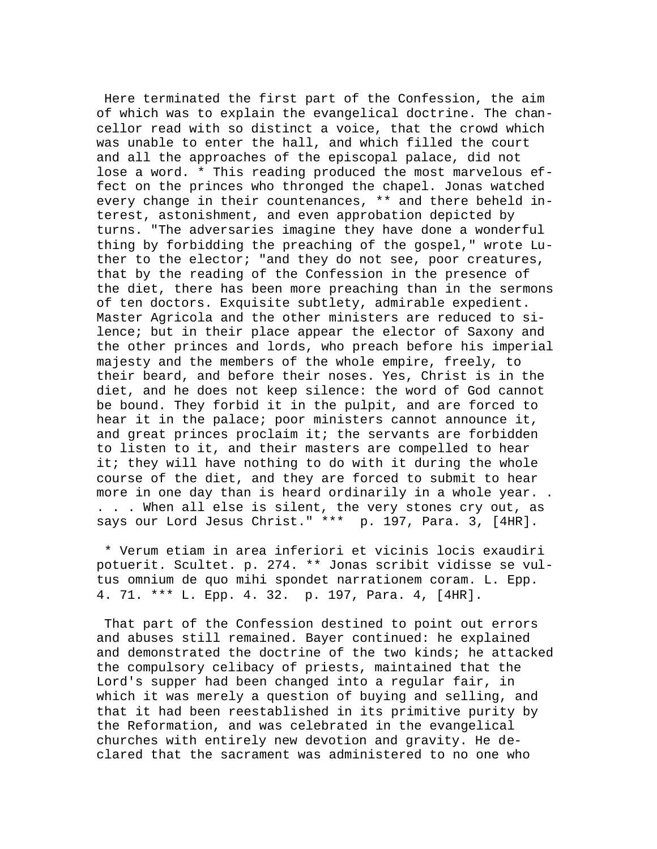Here terminated the first part of the Confession, the aim of which was to explain the evangelical doctrine. The chancellor read with so distinct a voice, that the crowd which was unable to enter the hall, and which filled the court and all the approaches of the episcopal palace, did not lose a word. \* This reading produced the most marvelous effect on the princes who thronged the chapel. Jonas watched every change in their countenances, \*\* and there beheld interest, astonishment, and even approbation depicted by turns. "The adversaries imagine they have done a wonderful thing by forbidding the preaching of the gospel," wrote Luther to the elector; "and they do not see, poor creatures, that by the reading of the Confession in the presence of the diet, there has been more preaching than in the sermons of ten doctors. Exquisite subtlety, admirable expedient. Master Agricola and the other ministers are reduced to silence; but in their place appear the elector of Saxony and the other princes and lords, who preach before his imperial majesty and the members of the whole empire, freely, to their beard, and before their noses. Yes, Christ is in the diet, and he does not keep silence: the word of God cannot be bound. They forbid it in the pulpit, and are forced to hear it in the palace; poor ministers cannot announce it, and great princes proclaim it; the servants are forbidden to listen to it, and their masters are compelled to hear it; they will have nothing to do with it during the whole course of the diet, and they are forced to submit to hear more in one day than is heard ordinarily in a whole year. . . . . When all else is silent, the very stones cry out, as says our Lord Jesus Christ." \*\*\* p. 197, Para. 3, [4HR].

 \* Verum etiam in area inferiori et vicinis locis exaudiri potuerit. Scultet. p. 274. \*\* Jonas scribit vidisse se vultus omnium de quo mihi spondet narrationem coram. L. Epp. 4. 71. \*\*\* L. Epp. 4. 32. p. 197, Para. 4, [4HR].

 That part of the Confession destined to point out errors and abuses still remained. Bayer continued: he explained and demonstrated the doctrine of the two kinds; he attacked the compulsory celibacy of priests, maintained that the Lord's supper had been changed into a regular fair, in which it was merely a question of buying and selling, and that it had been reestablished in its primitive purity by the Reformation, and was celebrated in the evangelical churches with entirely new devotion and gravity. He declared that the sacrament was administered to no one who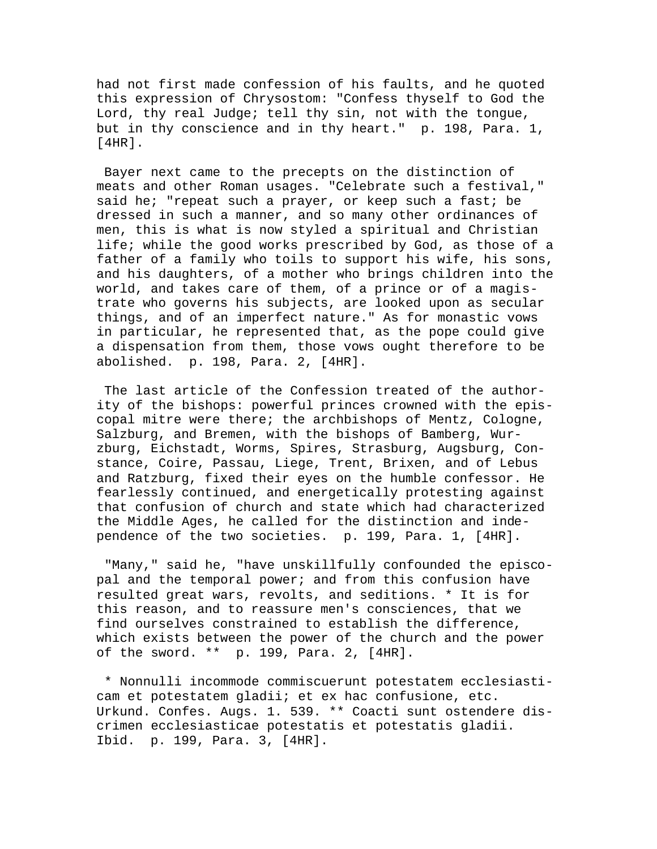had not first made confession of his faults, and he quoted this expression of Chrysostom: "Confess thyself to God the Lord, thy real Judge; tell thy sin, not with the tongue, but in thy conscience and in thy heart." p. 198, Para. 1, [4HR].

 Bayer next came to the precepts on the distinction of meats and other Roman usages. "Celebrate such a festival," said he; "repeat such a prayer, or keep such a fast; be dressed in such a manner, and so many other ordinances of men, this is what is now styled a spiritual and Christian life; while the good works prescribed by God, as those of a father of a family who toils to support his wife, his sons, and his daughters, of a mother who brings children into the world, and takes care of them, of a prince or of a magistrate who governs his subjects, are looked upon as secular things, and of an imperfect nature." As for monastic vows in particular, he represented that, as the pope could give a dispensation from them, those vows ought therefore to be abolished. p. 198, Para. 2, [4HR].

 The last article of the Confession treated of the authority of the bishops: powerful princes crowned with the episcopal mitre were there; the archbishops of Mentz, Cologne, Salzburg, and Bremen, with the bishops of Bamberg, Wurzburg, Eichstadt, Worms, Spires, Strasburg, Augsburg, Constance, Coire, Passau, Liege, Trent, Brixen, and of Lebus and Ratzburg, fixed their eyes on the humble confessor. He fearlessly continued, and energetically protesting against that confusion of church and state which had characterized the Middle Ages, he called for the distinction and independence of the two societies. p. 199, Para. 1, [4HR].

 "Many," said he, "have unskillfully confounded the episcopal and the temporal power; and from this confusion have resulted great wars, revolts, and seditions. \* It is for this reason, and to reassure men's consciences, that we find ourselves constrained to establish the difference, which exists between the power of the church and the power of the sword. \*\* p. 199, Para. 2, [4HR].

 \* Nonnulli incommode commiscuerunt potestatem ecclesiasticam et potestatem gladii; et ex hac confusione, etc. Urkund. Confes. Augs. 1. 539. \*\* Coacti sunt ostendere discrimen ecclesiasticae potestatis et potestatis gladii. Ibid. p. 199, Para. 3, [4HR].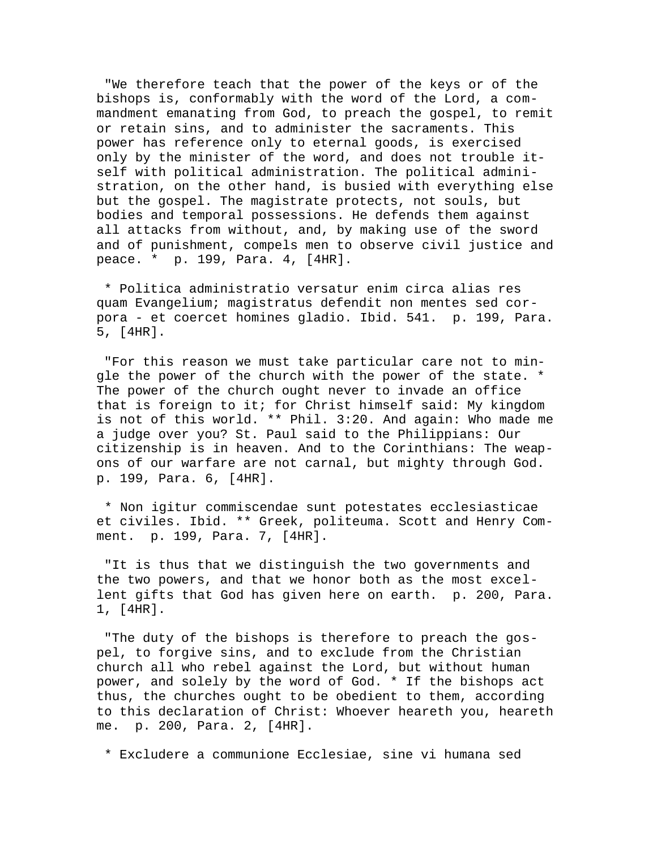"We therefore teach that the power of the keys or of the bishops is, conformably with the word of the Lord, a commandment emanating from God, to preach the gospel, to remit or retain sins, and to administer the sacraments. This power has reference only to eternal goods, is exercised only by the minister of the word, and does not trouble itself with political administration. The political administration, on the other hand, is busied with everything else but the gospel. The magistrate protects, not souls, but bodies and temporal possessions. He defends them against all attacks from without, and, by making use of the sword and of punishment, compels men to observe civil justice and peace. \* p. 199, Para. 4, [4HR].

 \* Politica administratio versatur enim circa alias res quam Evangelium; magistratus defendit non mentes sed corpora - et coercet homines gladio. Ibid. 541. p. 199, Para. 5, [4HR].

 "For this reason we must take particular care not to mingle the power of the church with the power of the state. \* The power of the church ought never to invade an office that is foreign to it; for Christ himself said: My kingdom is not of this world. \*\* Phil. 3:20. And again: Who made me a judge over you? St. Paul said to the Philippians: Our citizenship is in heaven. And to the Corinthians: The weapons of our warfare are not carnal, but mighty through God. p. 199, Para. 6, [4HR].

 \* Non igitur commiscendae sunt potestates ecclesiasticae et civiles. Ibid. \*\* Greek, politeuma. Scott and Henry Comment. p. 199, Para. 7, [4HR].

 "It is thus that we distinguish the two governments and the two powers, and that we honor both as the most excellent gifts that God has given here on earth. p. 200, Para. 1, [4HR].

 "The duty of the bishops is therefore to preach the gospel, to forgive sins, and to exclude from the Christian church all who rebel against the Lord, but without human power, and solely by the word of God. \* If the bishops act thus, the churches ought to be obedient to them, according to this declaration of Christ: Whoever heareth you, heareth me. p. 200, Para. 2, [4HR].

\* Excludere a communione Ecclesiae, sine vi humana sed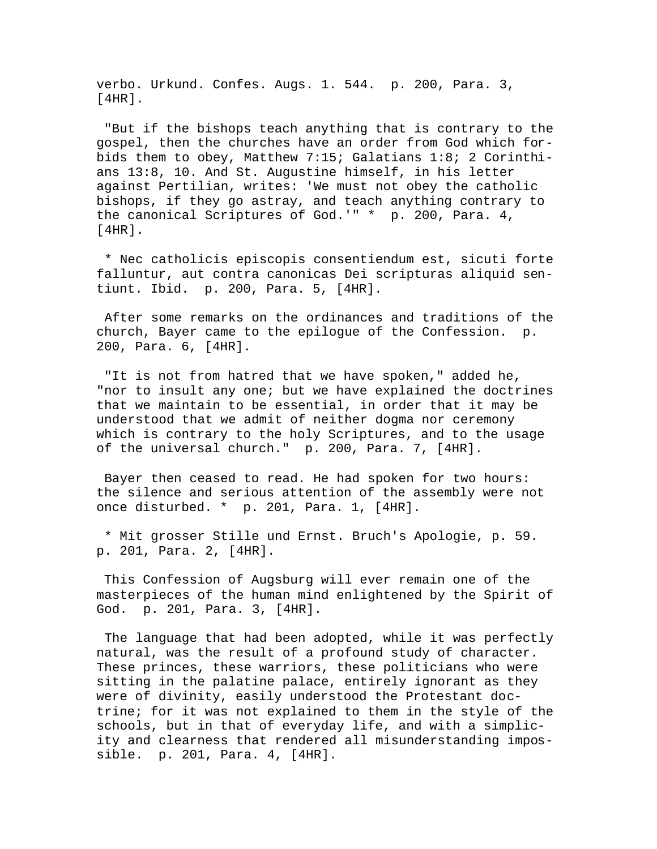verbo. Urkund. Confes. Augs. 1. 544. p. 200, Para. 3,  $[4HR]$ .

 "But if the bishops teach anything that is contrary to the gospel, then the churches have an order from God which forbids them to obey, Matthew 7:15; Galatians 1:8; 2 Corinthians 13:8, 10. And St. Augustine himself, in his letter against Pertilian, writes: 'We must not obey the catholic bishops, if they go astray, and teach anything contrary to the canonical Scriptures of God.'" \* p. 200, Para. 4, [4HR].

 \* Nec catholicis episcopis consentiendum est, sicuti forte falluntur, aut contra canonicas Dei scripturas aliquid sentiunt. Ibid. p. 200, Para. 5, [4HR].

 After some remarks on the ordinances and traditions of the church, Bayer came to the epilogue of the Confession. p. 200, Para. 6, [4HR].

 "It is not from hatred that we have spoken," added he, "nor to insult any one; but we have explained the doctrines that we maintain to be essential, in order that it may be understood that we admit of neither dogma nor ceremony which is contrary to the holy Scriptures, and to the usage of the universal church." p. 200, Para. 7, [4HR].

 Bayer then ceased to read. He had spoken for two hours: the silence and serious attention of the assembly were not once disturbed. \* p. 201, Para. 1, [4HR].

 \* Mit grosser Stille und Ernst. Bruch's Apologie, p. 59. p. 201, Para. 2, [4HR].

 This Confession of Augsburg will ever remain one of the masterpieces of the human mind enlightened by the Spirit of God. p. 201, Para. 3, [4HR].

 The language that had been adopted, while it was perfectly natural, was the result of a profound study of character. These princes, these warriors, these politicians who were sitting in the palatine palace, entirely ignorant as they were of divinity, easily understood the Protestant doctrine; for it was not explained to them in the style of the schools, but in that of everyday life, and with a simplicity and clearness that rendered all misunderstanding impossible. p. 201, Para. 4, [4HR].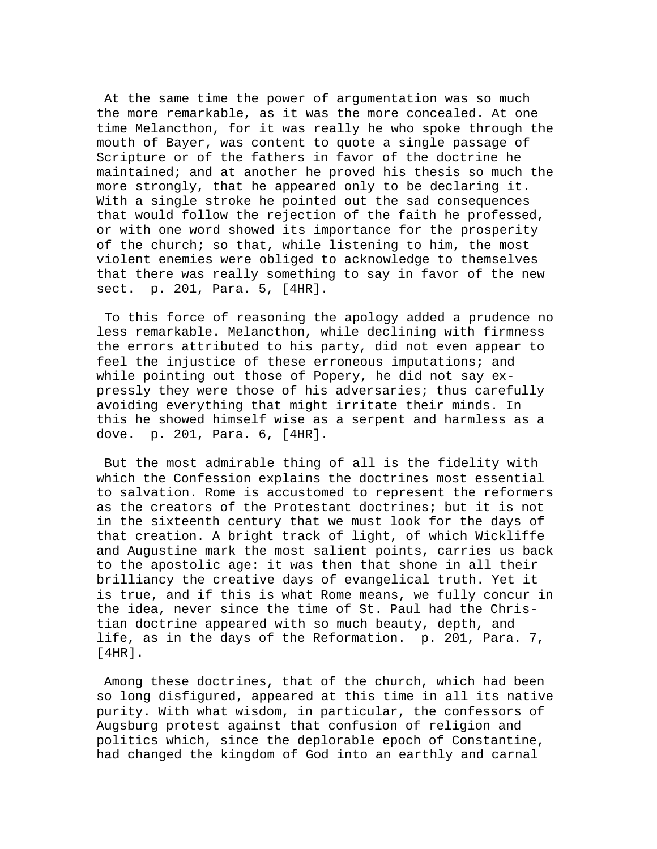At the same time the power of argumentation was so much the more remarkable, as it was the more concealed. At one time Melancthon, for it was really he who spoke through the mouth of Bayer, was content to quote a single passage of Scripture or of the fathers in favor of the doctrine he maintained; and at another he proved his thesis so much the more strongly, that he appeared only to be declaring it. With a single stroke he pointed out the sad consequences that would follow the rejection of the faith he professed, or with one word showed its importance for the prosperity of the church; so that, while listening to him, the most violent enemies were obliged to acknowledge to themselves that there was really something to say in favor of the new sect. p. 201, Para. 5, [4HR].

 To this force of reasoning the apology added a prudence no less remarkable. Melancthon, while declining with firmness the errors attributed to his party, did not even appear to feel the injustice of these erroneous imputations; and while pointing out those of Popery, he did not say expressly they were those of his adversaries; thus carefully avoiding everything that might irritate their minds. In this he showed himself wise as a serpent and harmless as a dove. p. 201, Para. 6, [4HR].

 But the most admirable thing of all is the fidelity with which the Confession explains the doctrines most essential to salvation. Rome is accustomed to represent the reformers as the creators of the Protestant doctrines; but it is not in the sixteenth century that we must look for the days of that creation. A bright track of light, of which Wickliffe and Augustine mark the most salient points, carries us back to the apostolic age: it was then that shone in all their brilliancy the creative days of evangelical truth. Yet it is true, and if this is what Rome means, we fully concur in the idea, never since the time of St. Paul had the Christian doctrine appeared with so much beauty, depth, and life, as in the days of the Reformation. p. 201, Para. 7, [4HR].

 Among these doctrines, that of the church, which had been so long disfigured, appeared at this time in all its native purity. With what wisdom, in particular, the confessors of Augsburg protest against that confusion of religion and politics which, since the deplorable epoch of Constantine, had changed the kingdom of God into an earthly and carnal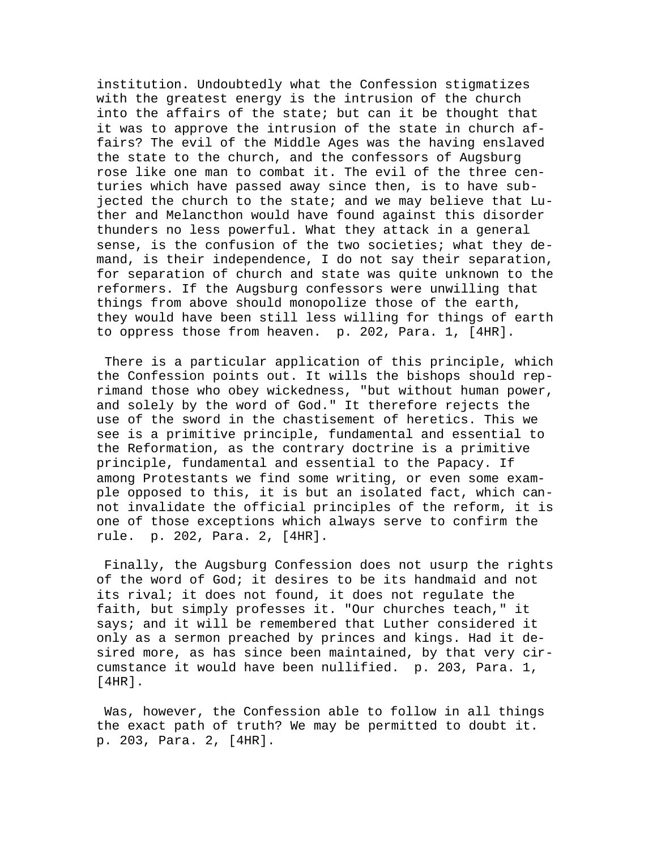institution. Undoubtedly what the Confession stigmatizes with the greatest energy is the intrusion of the church into the affairs of the state; but can it be thought that it was to approve the intrusion of the state in church affairs? The evil of the Middle Ages was the having enslaved the state to the church, and the confessors of Augsburg rose like one man to combat it. The evil of the three centuries which have passed away since then, is to have subjected the church to the state; and we may believe that Luther and Melancthon would have found against this disorder thunders no less powerful. What they attack in a general sense, is the confusion of the two societies; what they demand, is their independence, I do not say their separation, for separation of church and state was quite unknown to the reformers. If the Augsburg confessors were unwilling that things from above should monopolize those of the earth, they would have been still less willing for things of earth to oppress those from heaven. p. 202, Para. 1, [4HR].

 There is a particular application of this principle, which the Confession points out. It wills the bishops should reprimand those who obey wickedness, "but without human power, and solely by the word of God." It therefore rejects the use of the sword in the chastisement of heretics. This we see is a primitive principle, fundamental and essential to the Reformation, as the contrary doctrine is a primitive principle, fundamental and essential to the Papacy. If among Protestants we find some writing, or even some example opposed to this, it is but an isolated fact, which cannot invalidate the official principles of the reform, it is one of those exceptions which always serve to confirm the rule. p. 202, Para. 2, [4HR].

 Finally, the Augsburg Confession does not usurp the rights of the word of God; it desires to be its handmaid and not its rival; it does not found, it does not regulate the faith, but simply professes it. "Our churches teach," it says; and it will be remembered that Luther considered it only as a sermon preached by princes and kings. Had it desired more, as has since been maintained, by that very circumstance it would have been nullified. p. 203, Para. 1, [4HR].

 Was, however, the Confession able to follow in all things the exact path of truth? We may be permitted to doubt it. p. 203, Para. 2, [4HR].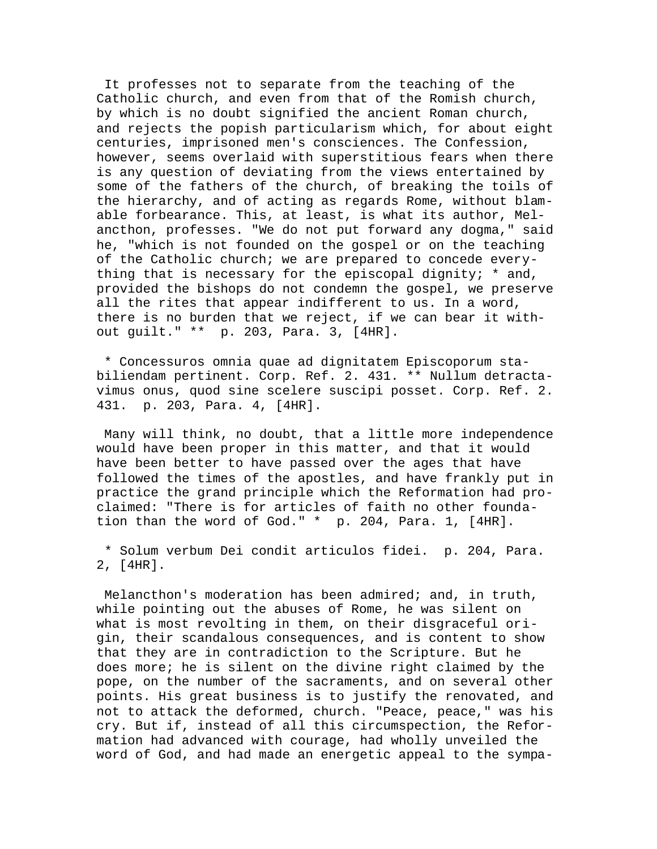It professes not to separate from the teaching of the Catholic church, and even from that of the Romish church, by which is no doubt signified the ancient Roman church, and rejects the popish particularism which, for about eight centuries, imprisoned men's consciences. The Confession, however, seems overlaid with superstitious fears when there is any question of deviating from the views entertained by some of the fathers of the church, of breaking the toils of the hierarchy, and of acting as regards Rome, without blamable forbearance. This, at least, is what its author, Melancthon, professes. "We do not put forward any dogma," said he, "which is not founded on the gospel or on the teaching of the Catholic church; we are prepared to concede everything that is necessary for the episcopal dignity;  $*$  and, provided the bishops do not condemn the gospel, we preserve all the rites that appear indifferent to us. In a word, there is no burden that we reject, if we can bear it without guilt." \*\* p. 203, Para. 3, [4HR].

 \* Concessuros omnia quae ad dignitatem Episcoporum stabiliendam pertinent. Corp. Ref. 2. 431. \*\* Nullum detractavimus onus, quod sine scelere suscipi posset. Corp. Ref. 2. 431. p. 203, Para. 4, [4HR].

 Many will think, no doubt, that a little more independence would have been proper in this matter, and that it would have been better to have passed over the ages that have followed the times of the apostles, and have frankly put in practice the grand principle which the Reformation had proclaimed: "There is for articles of faith no other foundation than the word of God." \* p. 204, Para. 1, [4HR].

 \* Solum verbum Dei condit articulos fidei. p. 204, Para. 2, [4HR].

 Melancthon's moderation has been admired; and, in truth, while pointing out the abuses of Rome, he was silent on what is most revolting in them, on their disgraceful origin, their scandalous consequences, and is content to show that they are in contradiction to the Scripture. But he does more; he is silent on the divine right claimed by the pope, on the number of the sacraments, and on several other points. His great business is to justify the renovated, and not to attack the deformed, church. "Peace, peace," was his cry. But if, instead of all this circumspection, the Reformation had advanced with courage, had wholly unveiled the word of God, and had made an energetic appeal to the sympa-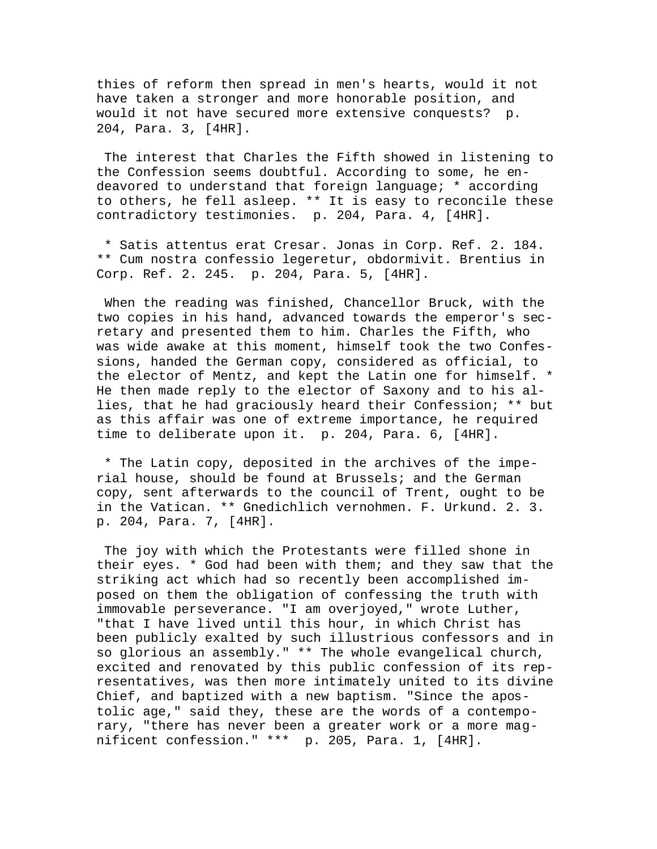thies of reform then spread in men's hearts, would it not have taken a stronger and more honorable position, and would it not have secured more extensive conquests? p. 204, Para. 3, [4HR].

 The interest that Charles the Fifth showed in listening to the Confession seems doubtful. According to some, he endeavored to understand that foreign language; \* according to others, he fell asleep. \*\* It is easy to reconcile these contradictory testimonies. p. 204, Para. 4, [4HR].

 \* Satis attentus erat Cresar. Jonas in Corp. Ref. 2. 184. \*\* Cum nostra confessio legeretur, obdormivit. Brentius in Corp. Ref. 2. 245. p. 204, Para. 5, [4HR].

 When the reading was finished, Chancellor Bruck, with the two copies in his hand, advanced towards the emperor's secretary and presented them to him. Charles the Fifth, who was wide awake at this moment, himself took the two Confessions, handed the German copy, considered as official, to the elector of Mentz, and kept the Latin one for himself. \* He then made reply to the elector of Saxony and to his allies, that he had graciously heard their Confession; \*\* but as this affair was one of extreme importance, he required time to deliberate upon it. p. 204, Para. 6, [4HR].

 \* The Latin copy, deposited in the archives of the imperial house, should be found at Brussels; and the German copy, sent afterwards to the council of Trent, ought to be in the Vatican. \*\* Gnedichlich vernohmen. F. Urkund. 2. 3. p. 204, Para. 7, [4HR].

 The joy with which the Protestants were filled shone in their eyes. \* God had been with them; and they saw that the striking act which had so recently been accomplished imposed on them the obligation of confessing the truth with immovable perseverance. "I am overjoyed," wrote Luther, "that I have lived until this hour, in which Christ has been publicly exalted by such illustrious confessors and in so glorious an assembly." \*\* The whole evangelical church, excited and renovated by this public confession of its representatives, was then more intimately united to its divine Chief, and baptized with a new baptism. "Since the apostolic age," said they, these are the words of a contemporary, "there has never been a greater work or a more magnificent confession." \*\*\* p. 205, Para. 1, [4HR].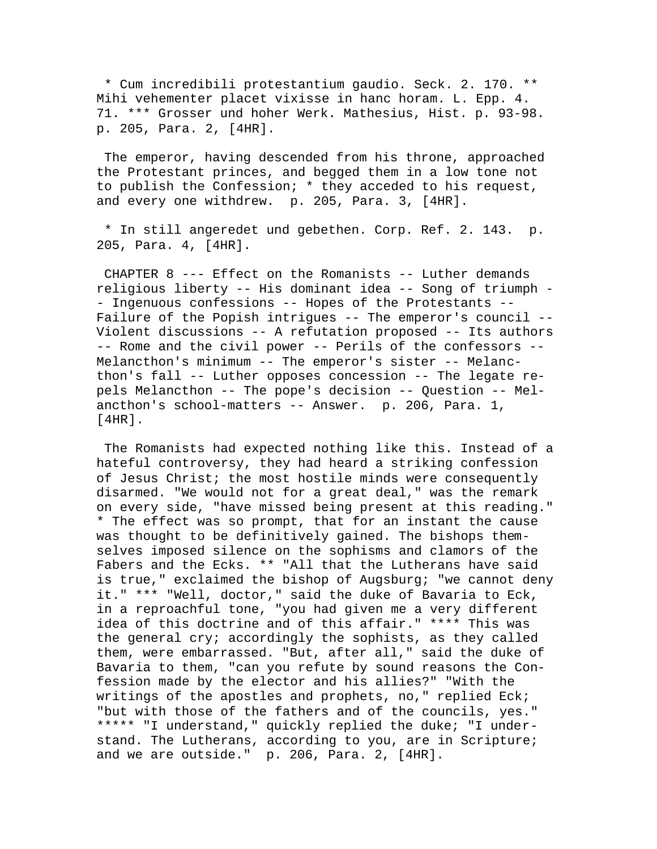\* Cum incredibili protestantium gaudio. Seck. 2. 170. \*\* Mihi vehementer placet vixisse in hanc horam. L. Epp. 4. 71. \*\*\* Grosser und hoher Werk. Mathesius, Hist. p. 93-98. p. 205, Para. 2, [4HR].

 The emperor, having descended from his throne, approached the Protestant princes, and begged them in a low tone not to publish the Confession; \* they acceded to his request, and every one withdrew. p. 205, Para. 3, [4HR].

 \* In still angeredet und gebethen. Corp. Ref. 2. 143. p. 205, Para. 4, [4HR].

 CHAPTER 8 --- Effect on the Romanists -- Luther demands religious liberty -- His dominant idea -- Song of triumph - - Ingenuous confessions -- Hopes of the Protestants -- Failure of the Popish intrigues -- The emperor's council -- Violent discussions -- A refutation proposed -- Its authors -- Rome and the civil power -- Perils of the confessors -- Melancthon's minimum -- The emperor's sister -- Melancthon's fall -- Luther opposes concession -- The legate repels Melancthon -- The pope's decision -- Question -- Melancthon's school-matters -- Answer. p. 206, Para. 1, [4HR].

 The Romanists had expected nothing like this. Instead of a hateful controversy, they had heard a striking confession of Jesus Christ; the most hostile minds were consequently disarmed. "We would not for a great deal," was the remark on every side, "have missed being present at this reading." \* The effect was so prompt, that for an instant the cause was thought to be definitively gained. The bishops themselves imposed silence on the sophisms and clamors of the Fabers and the Ecks. \*\* "All that the Lutherans have said is true," exclaimed the bishop of Augsburg; "we cannot deny it." \*\*\* "Well, doctor," said the duke of Bavaria to Eck, in a reproachful tone, "you had given me a very different idea of this doctrine and of this affair." \*\*\*\* This was the general cry; accordingly the sophists, as they called them, were embarrassed. "But, after all," said the duke of Bavaria to them, "can you refute by sound reasons the Confession made by the elector and his allies?" "With the writings of the apostles and prophets, no," replied Eck; "but with those of the fathers and of the councils, yes." \*\*\*\*\* "I understand," quickly replied the duke; "I understand. The Lutherans, according to you, are in Scripture; and we are outside." p. 206, Para. 2, [4HR].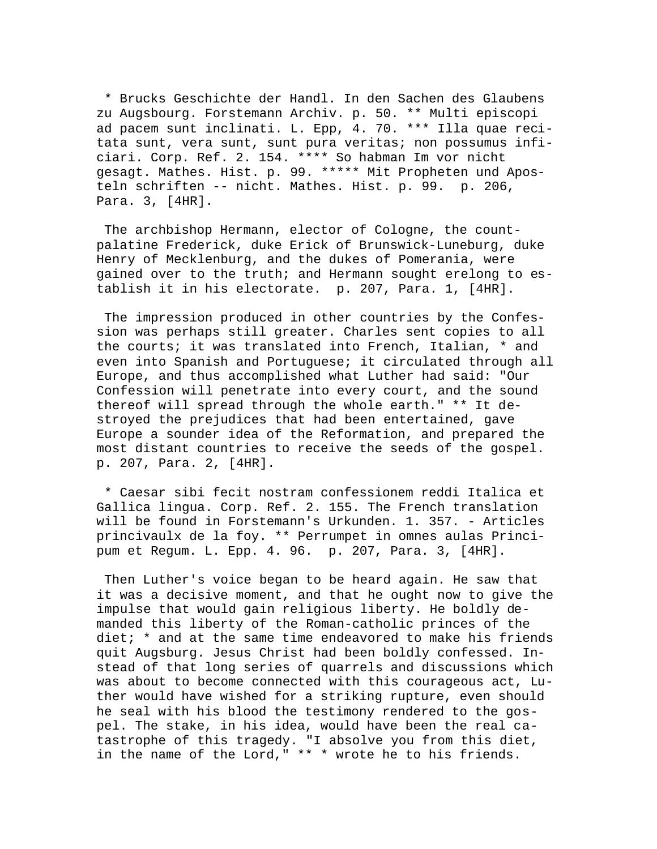\* Brucks Geschichte der Handl. In den Sachen des Glaubens zu Augsbourg. Forstemann Archiv. p. 50. \*\* Multi episcopi ad pacem sunt inclinati. L. Epp, 4. 70. \*\*\* Illa quae recitata sunt, vera sunt, sunt pura veritas; non possumus inficiari. Corp. Ref. 2. 154. \*\*\*\* So habman Im vor nicht gesagt. Mathes. Hist. p. 99. \*\*\*\*\* Mit Propheten und Aposteln schriften -- nicht. Mathes. Hist. p. 99. p. 206, Para. 3, [4HR].

 The archbishop Hermann, elector of Cologne, the countpalatine Frederick, duke Erick of Brunswick-Luneburg, duke Henry of Mecklenburg, and the dukes of Pomerania, were gained over to the truth; and Hermann sought erelong to establish it in his electorate. p. 207, Para. 1, [4HR].

 The impression produced in other countries by the Confession was perhaps still greater. Charles sent copies to all the courts; it was translated into French, Italian, \* and even into Spanish and Portuguese; it circulated through all Europe, and thus accomplished what Luther had said: "Our Confession will penetrate into every court, and the sound thereof will spread through the whole earth." \*\* It destroyed the prejudices that had been entertained, gave Europe a sounder idea of the Reformation, and prepared the most distant countries to receive the seeds of the gospel. p. 207, Para. 2, [4HR].

 \* Caesar sibi fecit nostram confessionem reddi Italica et Gallica lingua. Corp. Ref. 2. 155. The French translation will be found in Forstemann's Urkunden. 1. 357. - Articles princivaulx de la foy. \*\* Perrumpet in omnes aulas Principum et Regum. L. Epp. 4. 96. p. 207, Para. 3, [4HR].

 Then Luther's voice began to be heard again. He saw that it was a decisive moment, and that he ought now to give the impulse that would gain religious liberty. He boldly demanded this liberty of the Roman-catholic princes of the diet; \* and at the same time endeavored to make his friends quit Augsburg. Jesus Christ had been boldly confessed. Instead of that long series of quarrels and discussions which was about to become connected with this courageous act, Luther would have wished for a striking rupture, even should he seal with his blood the testimony rendered to the gospel. The stake, in his idea, would have been the real catastrophe of this tragedy. "I absolve you from this diet, in the name of the Lord," \*\* \* wrote he to his friends.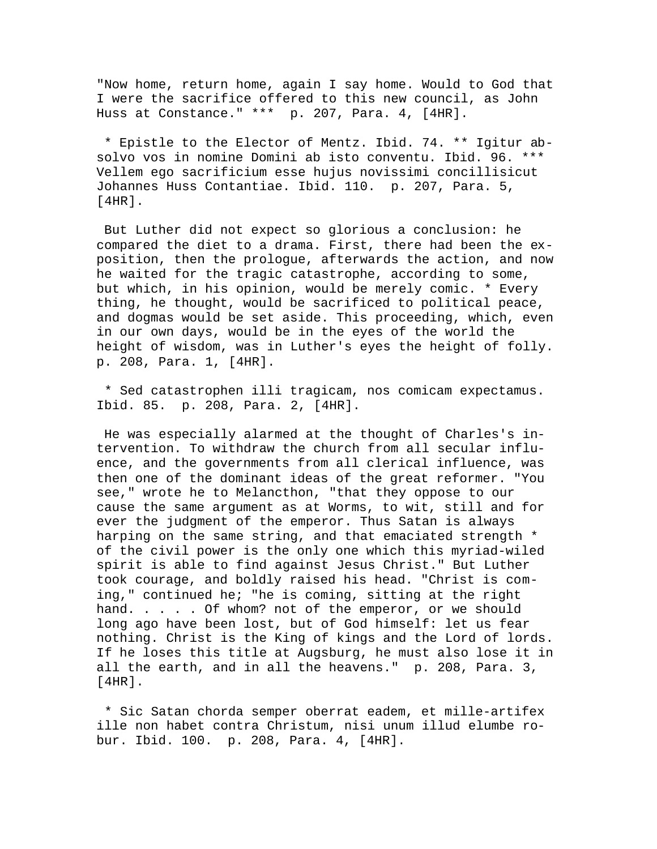"Now home, return home, again I say home. Would to God that I were the sacrifice offered to this new council, as John Huss at Constance." \*\*\* p. 207, Para. 4, [4HR].

 \* Epistle to the Elector of Mentz. Ibid. 74. \*\* Igitur absolvo vos in nomine Domini ab isto conventu. Ibid. 96. \*\*\* Vellem ego sacrificium esse hujus novissimi concillisicut Johannes Huss Contantiae. Ibid. 110. p. 207, Para. 5, [4HR].

 But Luther did not expect so glorious a conclusion: he compared the diet to a drama. First, there had been the exposition, then the prologue, afterwards the action, and now he waited for the tragic catastrophe, according to some, but which, in his opinion, would be merely comic. \* Every thing, he thought, would be sacrificed to political peace, and dogmas would be set aside. This proceeding, which, even in our own days, would be in the eyes of the world the height of wisdom, was in Luther's eyes the height of folly. p. 208, Para. 1, [4HR].

 \* Sed catastrophen illi tragicam, nos comicam expectamus. Ibid. 85. p. 208, Para. 2, [4HR].

 He was especially alarmed at the thought of Charles's intervention. To withdraw the church from all secular influence, and the governments from all clerical influence, was then one of the dominant ideas of the great reformer. "You see," wrote he to Melancthon, "that they oppose to our cause the same argument as at Worms, to wit, still and for ever the judgment of the emperor. Thus Satan is always harping on the same string, and that emaciated strength \* of the civil power is the only one which this myriad-wiled spirit is able to find against Jesus Christ." But Luther took courage, and boldly raised his head. "Christ is coming," continued he; "he is coming, sitting at the right hand. . . . . Of whom? not of the emperor, or we should long ago have been lost, but of God himself: let us fear nothing. Christ is the King of kings and the Lord of lords. If he loses this title at Augsburg, he must also lose it in all the earth, and in all the heavens." p. 208, Para. 3, [4HR].

 \* Sic Satan chorda semper oberrat eadem, et mille-artifex ille non habet contra Christum, nisi unum illud elumbe robur. Ibid. 100. p. 208, Para. 4, [4HR].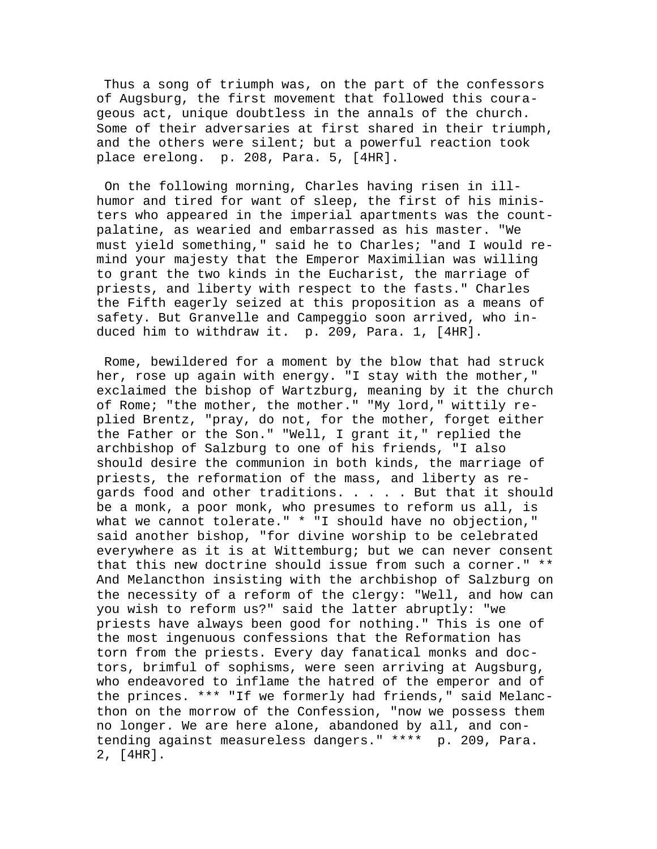Thus a song of triumph was, on the part of the confessors of Augsburg, the first movement that followed this courageous act, unique doubtless in the annals of the church. Some of their adversaries at first shared in their triumph, and the others were silent; but a powerful reaction took place erelong. p. 208, Para. 5, [4HR].

 On the following morning, Charles having risen in illhumor and tired for want of sleep, the first of his ministers who appeared in the imperial apartments was the countpalatine, as wearied and embarrassed as his master. "We must yield something," said he to Charles; "and I would remind your majesty that the Emperor Maximilian was willing to grant the two kinds in the Eucharist, the marriage of priests, and liberty with respect to the fasts." Charles the Fifth eagerly seized at this proposition as a means of safety. But Granvelle and Campeggio soon arrived, who induced him to withdraw it. p. 209, Para. 1, [4HR].

 Rome, bewildered for a moment by the blow that had struck her, rose up again with energy. "I stay with the mother," exclaimed the bishop of Wartzburg, meaning by it the church of Rome; "the mother, the mother." "My lord," wittily replied Brentz, "pray, do not, for the mother, forget either the Father or the Son." "Well, I grant it," replied the archbishop of Salzburg to one of his friends, "I also should desire the communion in both kinds, the marriage of priests, the reformation of the mass, and liberty as regards food and other traditions. . . . . But that it should be a monk, a poor monk, who presumes to reform us all, is what we cannot tolerate." \* "I should have no objection," said another bishop, "for divine worship to be celebrated everywhere as it is at Wittemburg; but we can never consent that this new doctrine should issue from such a corner." \*\* And Melancthon insisting with the archbishop of Salzburg on the necessity of a reform of the clergy: "Well, and how can you wish to reform us?" said the latter abruptly: "we priests have always been good for nothing." This is one of the most ingenuous confessions that the Reformation has torn from the priests. Every day fanatical monks and doctors, brimful of sophisms, were seen arriving at Augsburg, who endeavored to inflame the hatred of the emperor and of the princes. \*\*\* "If we formerly had friends," said Melancthon on the morrow of the Confession, "now we possess them no longer. We are here alone, abandoned by all, and contending against measureless dangers." \*\*\*\* p. 209, Para. 2, [4HR].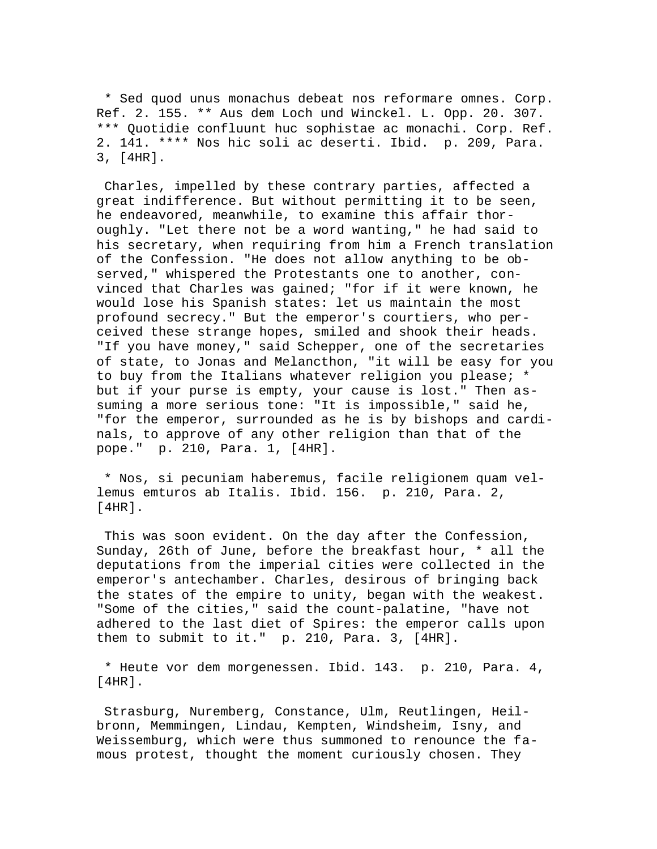\* Sed quod unus monachus debeat nos reformare omnes. Corp. Ref. 2. 155. \*\* Aus dem Loch und Winckel. L. Opp. 20. 307. \*\*\* Quotidie confluunt huc sophistae ac monachi. Corp. Ref. 2. 141. \*\*\*\* Nos hic soli ac deserti. Ibid. p. 209, Para. 3, [4HR].

 Charles, impelled by these contrary parties, affected a great indifference. But without permitting it to be seen, he endeavored, meanwhile, to examine this affair thoroughly. "Let there not be a word wanting," he had said to his secretary, when requiring from him a French translation of the Confession. "He does not allow anything to be observed," whispered the Protestants one to another, convinced that Charles was gained; "for if it were known, he would lose his Spanish states: let us maintain the most profound secrecy." But the emperor's courtiers, who perceived these strange hopes, smiled and shook their heads. "If you have money," said Schepper, one of the secretaries of state, to Jonas and Melancthon, "it will be easy for you to buy from the Italians whatever religion you please; \* but if your purse is empty, your cause is lost." Then assuming a more serious tone: "It is impossible," said he, "for the emperor, surrounded as he is by bishops and cardinals, to approve of any other religion than that of the pope." p. 210, Para. 1, [4HR].

 \* Nos, si pecuniam haberemus, facile religionem quam vellemus emturos ab Italis. Ibid. 156. p. 210, Para. 2,  $[4HR]$ .

 This was soon evident. On the day after the Confession, Sunday, 26th of June, before the breakfast hour, \* all the deputations from the imperial cities were collected in the emperor's antechamber. Charles, desirous of bringing back the states of the empire to unity, began with the weakest. "Some of the cities," said the count-palatine, "have not adhered to the last diet of Spires: the emperor calls upon them to submit to it." p. 210, Para. 3, [4HR].

 \* Heute vor dem morgenessen. Ibid. 143. p. 210, Para. 4, [4HR].

 Strasburg, Nuremberg, Constance, Ulm, Reutlingen, Heilbronn, Memmingen, Lindau, Kempten, Windsheim, Isny, and Weissemburg, which were thus summoned to renounce the famous protest, thought the moment curiously chosen. They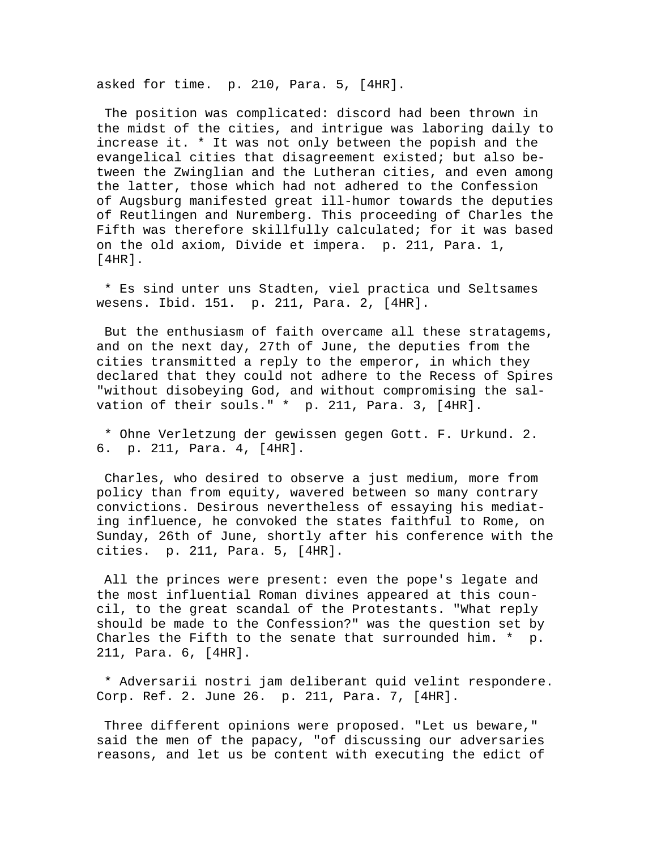asked for time. p. 210, Para. 5, [4HR].

 The position was complicated: discord had been thrown in the midst of the cities, and intrigue was laboring daily to increase it. \* It was not only between the popish and the evangelical cities that disagreement existed; but also between the Zwinglian and the Lutheran cities, and even among the latter, those which had not adhered to the Confession of Augsburg manifested great ill-humor towards the deputies of Reutlingen and Nuremberg. This proceeding of Charles the Fifth was therefore skillfully calculated; for it was based on the old axiom, Divide et impera. p. 211, Para. 1, [4HR].

 \* Es sind unter uns Stadten, viel practica und Seltsames wesens. Ibid. 151. p. 211, Para. 2, [4HR].

 But the enthusiasm of faith overcame all these stratagems, and on the next day, 27th of June, the deputies from the cities transmitted a reply to the emperor, in which they declared that they could not adhere to the Recess of Spires "without disobeying God, and without compromising the salvation of their souls." \* p. 211, Para. 3, [4HR].

 \* Ohne Verletzung der gewissen gegen Gott. F. Urkund. 2. 6. p. 211, Para. 4, [4HR].

 Charles, who desired to observe a just medium, more from policy than from equity, wavered between so many contrary convictions. Desirous nevertheless of essaying his mediating influence, he convoked the states faithful to Rome, on Sunday, 26th of June, shortly after his conference with the cities. p. 211, Para. 5, [4HR].

 All the princes were present: even the pope's legate and the most influential Roman divines appeared at this council, to the great scandal of the Protestants. "What reply should be made to the Confession?" was the question set by Charles the Fifth to the senate that surrounded him. \* p. 211, Para. 6, [4HR].

 \* Adversarii nostri jam deliberant quid velint respondere. Corp. Ref. 2. June 26. p. 211, Para. 7, [4HR].

 Three different opinions were proposed. "Let us beware," said the men of the papacy, "of discussing our adversaries reasons, and let us be content with executing the edict of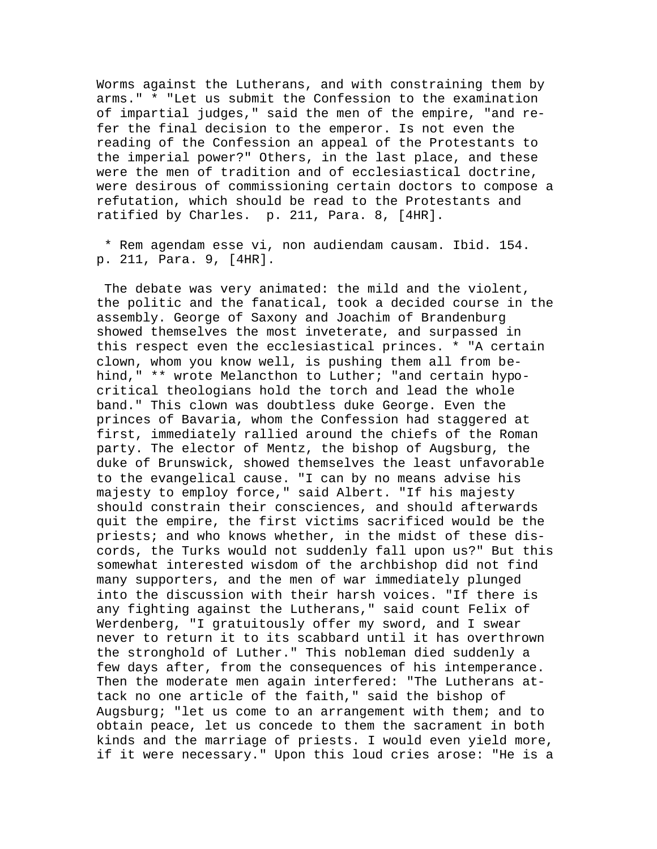Worms against the Lutherans, and with constraining them by arms." \* "Let us submit the Confession to the examination of impartial judges," said the men of the empire, "and refer the final decision to the emperor. Is not even the reading of the Confession an appeal of the Protestants to the imperial power?" Others, in the last place, and these were the men of tradition and of ecclesiastical doctrine, were desirous of commissioning certain doctors to compose a refutation, which should be read to the Protestants and ratified by Charles. p. 211, Para. 8, [4HR].

 \* Rem agendam esse vi, non audiendam causam. Ibid. 154. p. 211, Para. 9, [4HR].

 The debate was very animated: the mild and the violent, the politic and the fanatical, took a decided course in the assembly. George of Saxony and Joachim of Brandenburg showed themselves the most inveterate, and surpassed in this respect even the ecclesiastical princes. \* "A certain clown, whom you know well, is pushing them all from behind," \*\* wrote Melancthon to Luther; "and certain hypocritical theologians hold the torch and lead the whole band." This clown was doubtless duke George. Even the princes of Bavaria, whom the Confession had staggered at first, immediately rallied around the chiefs of the Roman party. The elector of Mentz, the bishop of Augsburg, the duke of Brunswick, showed themselves the least unfavorable to the evangelical cause. "I can by no means advise his majesty to employ force," said Albert. "If his majesty should constrain their consciences, and should afterwards quit the empire, the first victims sacrificed would be the priests; and who knows whether, in the midst of these discords, the Turks would not suddenly fall upon us?" But this somewhat interested wisdom of the archbishop did not find many supporters, and the men of war immediately plunged into the discussion with their harsh voices. "If there is any fighting against the Lutherans," said count Felix of Werdenberg, "I gratuitously offer my sword, and I swear never to return it to its scabbard until it has overthrown the stronghold of Luther." This nobleman died suddenly a few days after, from the consequences of his intemperance. Then the moderate men again interfered: "The Lutherans attack no one article of the faith," said the bishop of Augsburg; "let us come to an arrangement with them; and to obtain peace, let us concede to them the sacrament in both kinds and the marriage of priests. I would even yield more, if it were necessary." Upon this loud cries arose: "He is a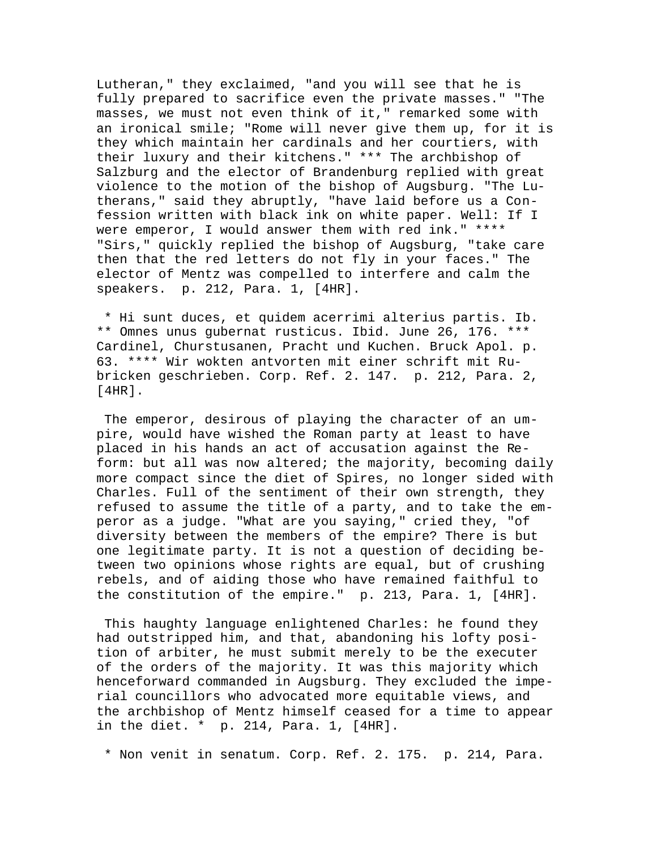Lutheran," they exclaimed, "and you will see that he is fully prepared to sacrifice even the private masses." "The masses, we must not even think of it," remarked some with an ironical smile; "Rome will never give them up, for it is they which maintain her cardinals and her courtiers, with their luxury and their kitchens." \*\*\* The archbishop of Salzburg and the elector of Brandenburg replied with great violence to the motion of the bishop of Augsburg. "The Lutherans," said they abruptly, "have laid before us a Confession written with black ink on white paper. Well: If I were emperor, I would answer them with red ink." \*\*\*\* "Sirs," quickly replied the bishop of Augsburg, "take care then that the red letters do not fly in your faces." The elector of Mentz was compelled to interfere and calm the speakers. p. 212, Para. 1, [4HR].

 \* Hi sunt duces, et quidem acerrimi alterius partis. Ib. \*\* Omnes unus gubernat rusticus. Ibid. June 26, 176. \*\*\* Cardinel, Churstusanen, Pracht und Kuchen. Bruck Apol. p. 63. \*\*\*\* Wir wokten antvorten mit einer schrift mit Rubricken geschrieben. Corp. Ref. 2. 147. p. 212, Para. 2, [4HR].

 The emperor, desirous of playing the character of an umpire, would have wished the Roman party at least to have placed in his hands an act of accusation against the Reform: but all was now altered; the majority, becoming daily more compact since the diet of Spires, no longer sided with Charles. Full of the sentiment of their own strength, they refused to assume the title of a party, and to take the emperor as a judge. "What are you saying," cried they, "of diversity between the members of the empire? There is but one legitimate party. It is not a question of deciding between two opinions whose rights are equal, but of crushing rebels, and of aiding those who have remained faithful to the constitution of the empire." p. 213, Para. 1, [4HR].

 This haughty language enlightened Charles: he found they had outstripped him, and that, abandoning his lofty position of arbiter, he must submit merely to be the executer of the orders of the majority. It was this majority which henceforward commanded in Augsburg. They excluded the imperial councillors who advocated more equitable views, and the archbishop of Mentz himself ceased for a time to appear in the diet. \* p. 214, Para. 1, [4HR].

\* Non venit in senatum. Corp. Ref. 2. 175. p. 214, Para.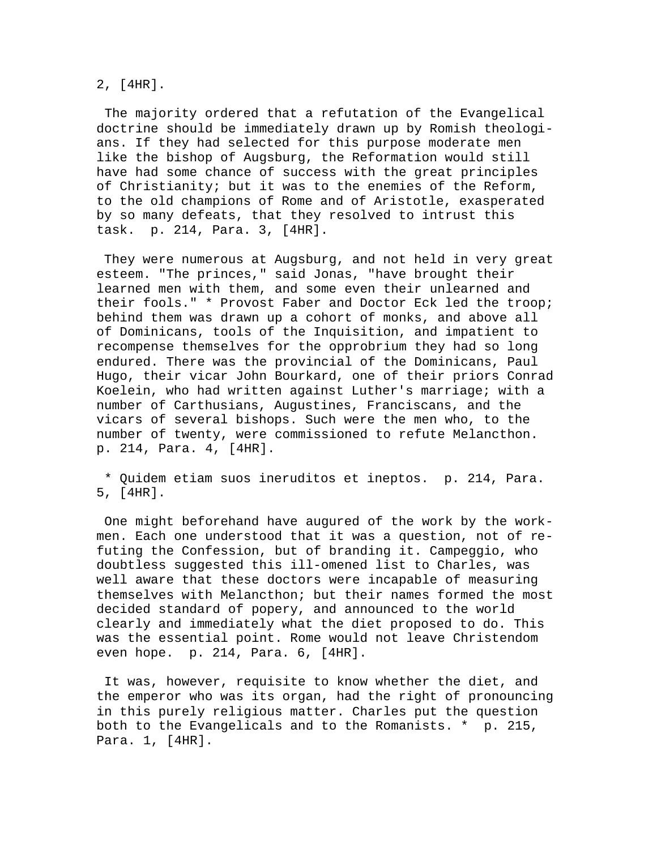2, [4HR].

 The majority ordered that a refutation of the Evangelical doctrine should be immediately drawn up by Romish theologians. If they had selected for this purpose moderate men like the bishop of Augsburg, the Reformation would still have had some chance of success with the great principles of Christianity; but it was to the enemies of the Reform, to the old champions of Rome and of Aristotle, exasperated by so many defeats, that they resolved to intrust this task. p. 214, Para. 3, [4HR].

 They were numerous at Augsburg, and not held in very great esteem. "The princes," said Jonas, "have brought their learned men with them, and some even their unlearned and their fools." \* Provost Faber and Doctor Eck led the troop; behind them was drawn up a cohort of monks, and above all of Dominicans, tools of the Inquisition, and impatient to recompense themselves for the opprobrium they had so long endured. There was the provincial of the Dominicans, Paul Hugo, their vicar John Bourkard, one of their priors Conrad Koelein, who had written against Luther's marriage; with a number of Carthusians, Augustines, Franciscans, and the vicars of several bishops. Such were the men who, to the number of twenty, were commissioned to refute Melancthon. p. 214, Para. 4, [4HR].

 \* Quidem etiam suos ineruditos et ineptos. p. 214, Para. 5, [4HR].

 One might beforehand have augured of the work by the workmen. Each one understood that it was a question, not of refuting the Confession, but of branding it. Campeggio, who doubtless suggested this ill-omened list to Charles, was well aware that these doctors were incapable of measuring themselves with Melancthon; but their names formed the most decided standard of popery, and announced to the world clearly and immediately what the diet proposed to do. This was the essential point. Rome would not leave Christendom even hope. p. 214, Para. 6, [4HR].

 It was, however, requisite to know whether the diet, and the emperor who was its organ, had the right of pronouncing in this purely religious matter. Charles put the question both to the Evangelicals and to the Romanists. \* p. 215, Para. 1, [4HR].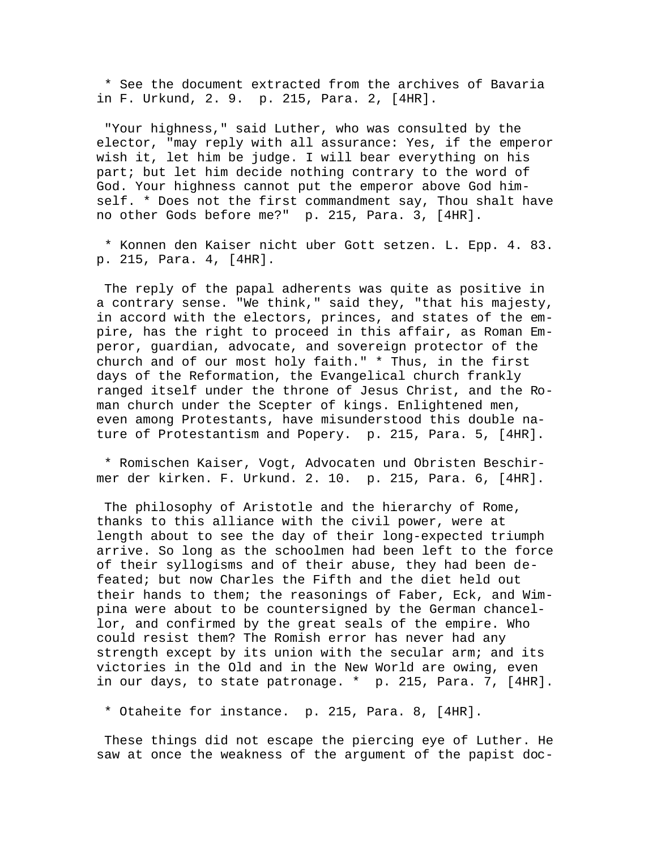\* See the document extracted from the archives of Bavaria in F. Urkund, 2. 9. p. 215, Para. 2, [4HR].

 "Your highness," said Luther, who was consulted by the elector, "may reply with all assurance: Yes, if the emperor wish it, let him be judge. I will bear everything on his part; but let him decide nothing contrary to the word of God. Your highness cannot put the emperor above God himself. \* Does not the first commandment say, Thou shalt have no other Gods before me?" p. 215, Para. 3, [4HR].

 \* Konnen den Kaiser nicht uber Gott setzen. L. Epp. 4. 83. p. 215, Para. 4, [4HR].

 The reply of the papal adherents was quite as positive in a contrary sense. "We think," said they, "that his majesty, in accord with the electors, princes, and states of the empire, has the right to proceed in this affair, as Roman Emperor, guardian, advocate, and sovereign protector of the church and of our most holy faith." \* Thus, in the first days of the Reformation, the Evangelical church frankly ranged itself under the throne of Jesus Christ, and the Roman church under the Scepter of kings. Enlightened men, even among Protestants, have misunderstood this double nature of Protestantism and Popery. p. 215, Para. 5, [4HR].

 \* Romischen Kaiser, Vogt, Advocaten und Obristen Beschirmer der kirken. F. Urkund. 2. 10. p. 215, Para. 6, [4HR].

 The philosophy of Aristotle and the hierarchy of Rome, thanks to this alliance with the civil power, were at length about to see the day of their long-expected triumph arrive. So long as the schoolmen had been left to the force of their syllogisms and of their abuse, they had been defeated; but now Charles the Fifth and the diet held out their hands to them; the reasonings of Faber, Eck, and Wimpina were about to be countersigned by the German chancellor, and confirmed by the great seals of the empire. Who could resist them? The Romish error has never had any strength except by its union with the secular arm; and its victories in the Old and in the New World are owing, even in our days, to state patronage. \* p. 215, Para. 7, [4HR].

\* Otaheite for instance. p. 215, Para. 8, [4HR].

 These things did not escape the piercing eye of Luther. He saw at once the weakness of the argument of the papist doc-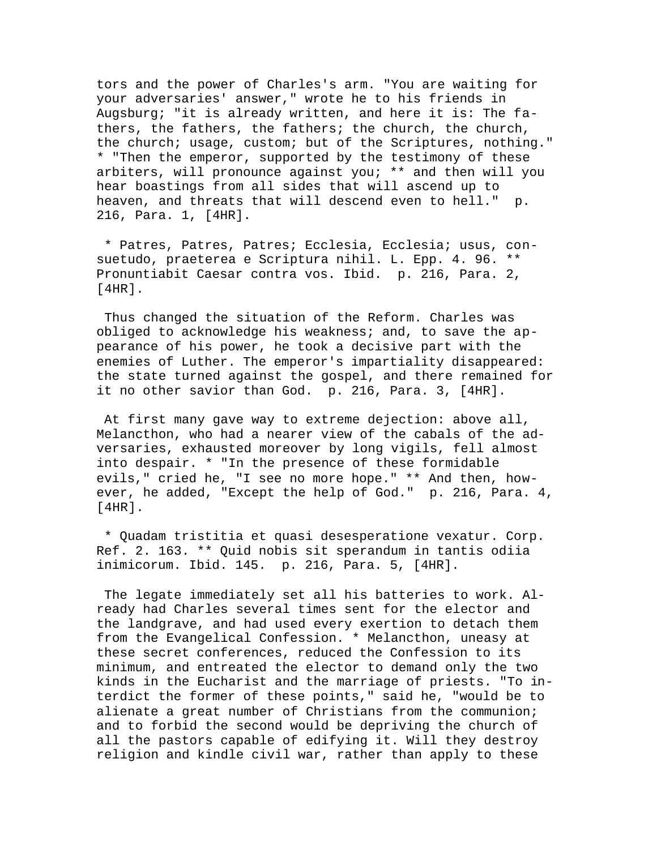tors and the power of Charles's arm. "You are waiting for your adversaries' answer," wrote he to his friends in Augsburg; "it is already written, and here it is: The fathers, the fathers, the fathers; the church, the church, the church; usage, custom; but of the Scriptures, nothing." \* "Then the emperor, supported by the testimony of these arbiters, will pronounce against you; \*\* and then will you hear boastings from all sides that will ascend up to heaven, and threats that will descend even to hell." p. 216, Para. 1, [4HR].

 \* Patres, Patres, Patres; Ecclesia, Ecclesia; usus, consuetudo, praeterea e Scriptura nihil. L. Epp. 4. 96. \*\* Pronuntiabit Caesar contra vos. Ibid. p. 216, Para. 2, [4HR].

 Thus changed the situation of the Reform. Charles was obliged to acknowledge his weakness; and, to save the appearance of his power, he took a decisive part with the enemies of Luther. The emperor's impartiality disappeared: the state turned against the gospel, and there remained for it no other savior than God. p. 216, Para. 3, [4HR].

 At first many gave way to extreme dejection: above all, Melancthon, who had a nearer view of the cabals of the adversaries, exhausted moreover by long vigils, fell almost into despair. \* "In the presence of these formidable evils," cried he, "I see no more hope." \*\* And then, however, he added, "Except the help of God." p. 216, Para. 4, [4HR].

 \* Quadam tristitia et quasi desesperatione vexatur. Corp. Ref. 2. 163. \*\* Quid nobis sit sperandum in tantis odiia inimicorum. Ibid. 145. p. 216, Para. 5, [4HR].

 The legate immediately set all his batteries to work. Already had Charles several times sent for the elector and the landgrave, and had used every exertion to detach them from the Evangelical Confession. \* Melancthon, uneasy at these secret conferences, reduced the Confession to its minimum, and entreated the elector to demand only the two kinds in the Eucharist and the marriage of priests. "To interdict the former of these points," said he, "would be to alienate a great number of Christians from the communion; and to forbid the second would be depriving the church of all the pastors capable of edifying it. Will they destroy religion and kindle civil war, rather than apply to these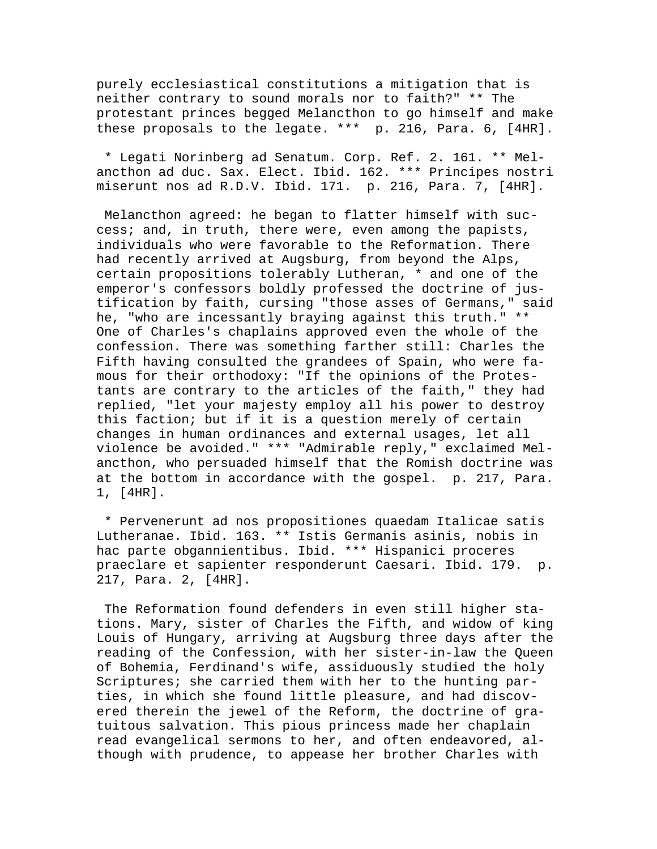purely ecclesiastical constitutions a mitigation that is neither contrary to sound morals nor to faith?" \*\* The protestant princes begged Melancthon to go himself and make these proposals to the legate. \*\*\* p. 216, Para. 6, [4HR].

 \* Legati Norinberg ad Senatum. Corp. Ref. 2. 161. \*\* Melancthon ad duc. Sax. Elect. Ibid. 162. \*\*\* Principes nostri miserunt nos ad R.D.V. Ibid. 171. p. 216, Para. 7, [4HR].

 Melancthon agreed: he began to flatter himself with success; and, in truth, there were, even among the papists, individuals who were favorable to the Reformation. There had recently arrived at Augsburg, from beyond the Alps, certain propositions tolerably Lutheran, \* and one of the emperor's confessors boldly professed the doctrine of justification by faith, cursing "those asses of Germans," said he, "who are incessantly braying against this truth." \*\* One of Charles's chaplains approved even the whole of the confession. There was something farther still: Charles the Fifth having consulted the grandees of Spain, who were famous for their orthodoxy: "If the opinions of the Protestants are contrary to the articles of the faith," they had replied, "let your majesty employ all his power to destroy this faction; but if it is a question merely of certain changes in human ordinances and external usages, let all violence be avoided." \*\*\* "Admirable reply," exclaimed Melancthon, who persuaded himself that the Romish doctrine was at the bottom in accordance with the gospel. p. 217, Para. 1, [4HR].

 \* Pervenerunt ad nos propositiones quaedam Italicae satis Lutheranae. Ibid. 163. \*\* Istis Germanis asinis, nobis in hac parte obgannientibus. Ibid. \*\*\* Hispanici proceres praeclare et sapienter responderunt Caesari. Ibid. 179. p. 217, Para. 2, [4HR].

 The Reformation found defenders in even still higher stations. Mary, sister of Charles the Fifth, and widow of king Louis of Hungary, arriving at Augsburg three days after the reading of the Confession, with her sister-in-law the Queen of Bohemia, Ferdinand's wife, assiduously studied the holy Scriptures; she carried them with her to the hunting parties, in which she found little pleasure, and had discovered therein the jewel of the Reform, the doctrine of gratuitous salvation. This pious princess made her chaplain read evangelical sermons to her, and often endeavored, although with prudence, to appease her brother Charles with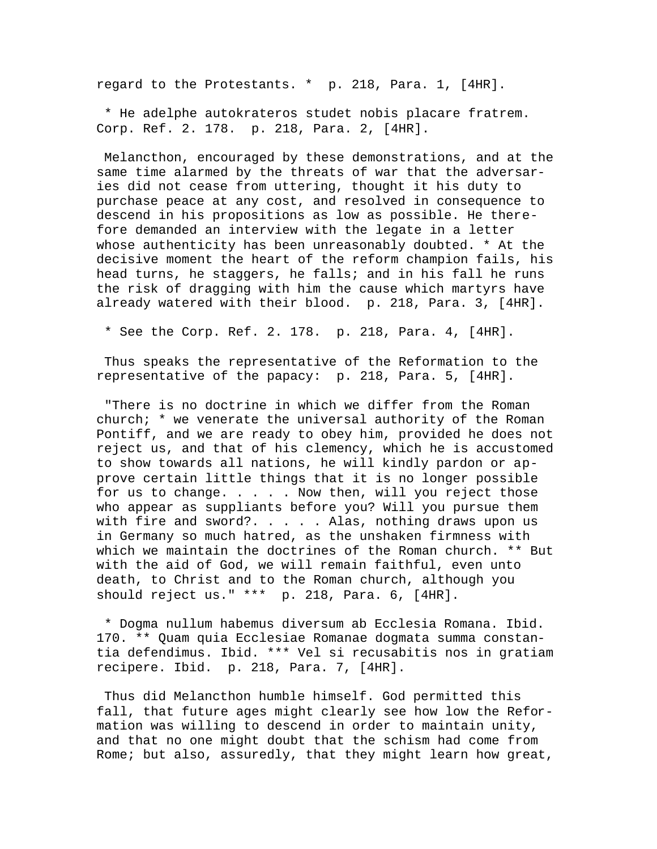regard to the Protestants. \* p. 218, Para. 1, [4HR].

 \* He adelphe autokrateros studet nobis placare fratrem. Corp. Ref. 2. 178. p. 218, Para. 2, [4HR].

 Melancthon, encouraged by these demonstrations, and at the same time alarmed by the threats of war that the adversaries did not cease from uttering, thought it his duty to purchase peace at any cost, and resolved in consequence to descend in his propositions as low as possible. He therefore demanded an interview with the legate in a letter whose authenticity has been unreasonably doubted. \* At the decisive moment the heart of the reform champion fails, his head turns, he staggers, he falls; and in his fall he runs the risk of dragging with him the cause which martyrs have already watered with their blood. p. 218, Para. 3, [4HR].

\* See the Corp. Ref. 2. 178. p. 218, Para. 4, [4HR].

 Thus speaks the representative of the Reformation to the representative of the papacy: p. 218, Para. 5, [4HR].

 "There is no doctrine in which we differ from the Roman church;  $*$  we venerate the universal authority of the Roman Pontiff, and we are ready to obey him, provided he does not reject us, and that of his clemency, which he is accustomed to show towards all nations, he will kindly pardon or approve certain little things that it is no longer possible for us to change. . . . . Now then, will you reject those who appear as suppliants before you? Will you pursue them with fire and sword?. . . . . Alas, nothing draws upon us in Germany so much hatred, as the unshaken firmness with which we maintain the doctrines of the Roman church. \*\* But with the aid of God, we will remain faithful, even unto death, to Christ and to the Roman church, although you should reject us." \*\*\* p. 218, Para. 6, [4HR].

 \* Dogma nullum habemus diversum ab Ecclesia Romana. Ibid. 170. \*\* Quam quia Ecclesiae Romanae dogmata summa constantia defendimus. Ibid. \*\*\* Vel si recusabitis nos in gratiam recipere. Ibid. p. 218, Para. 7, [4HR].

 Thus did Melancthon humble himself. God permitted this fall, that future ages might clearly see how low the Reformation was willing to descend in order to maintain unity, and that no one might doubt that the schism had come from Rome; but also, assuredly, that they might learn how great,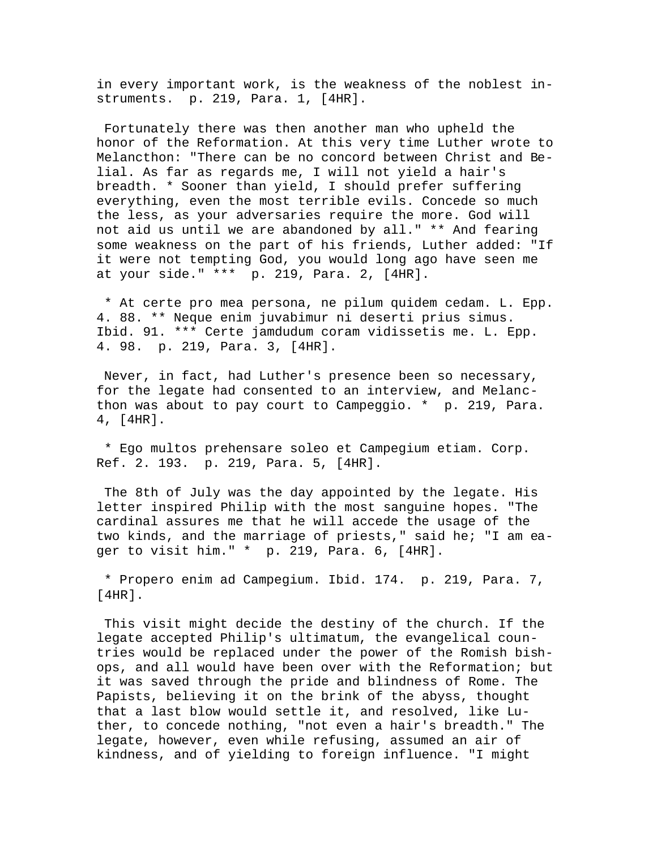in every important work, is the weakness of the noblest instruments. p. 219, Para. 1, [4HR].

 Fortunately there was then another man who upheld the honor of the Reformation. At this very time Luther wrote to Melancthon: "There can be no concord between Christ and Belial. As far as regards me, I will not yield a hair's breadth. \* Sooner than yield, I should prefer suffering everything, even the most terrible evils. Concede so much the less, as your adversaries require the more. God will not aid us until we are abandoned by all." \*\* And fearing some weakness on the part of his friends, Luther added: "If it were not tempting God, you would long ago have seen me at your side." \*\*\* p. 219, Para. 2, [4HR].

 \* At certe pro mea persona, ne pilum quidem cedam. L. Epp. 4. 88. \*\* Neque enim juvabimur ni deserti prius simus. Ibid. 91. \*\*\* Certe jamdudum coram vidissetis me. L. Epp. 4. 98. p. 219, Para. 3, [4HR].

 Never, in fact, had Luther's presence been so necessary, for the legate had consented to an interview, and Melancthon was about to pay court to Campeggio. \* p. 219, Para. 4, [4HR].

 \* Ego multos prehensare soleo et Campegium etiam. Corp. Ref. 2. 193. p. 219, Para. 5, [4HR].

 The 8th of July was the day appointed by the legate. His letter inspired Philip with the most sanguine hopes. "The cardinal assures me that he will accede the usage of the two kinds, and the marriage of priests," said he; "I am eager to visit him." \* p. 219, Para. 6, [4HR].

 \* Propero enim ad Campegium. Ibid. 174. p. 219, Para. 7, [4HR].

 This visit might decide the destiny of the church. If the legate accepted Philip's ultimatum, the evangelical countries would be replaced under the power of the Romish bishops, and all would have been over with the Reformation; but it was saved through the pride and blindness of Rome. The Papists, believing it on the brink of the abyss, thought that a last blow would settle it, and resolved, like Luther, to concede nothing, "not even a hair's breadth." The legate, however, even while refusing, assumed an air of kindness, and of yielding to foreign influence. "I might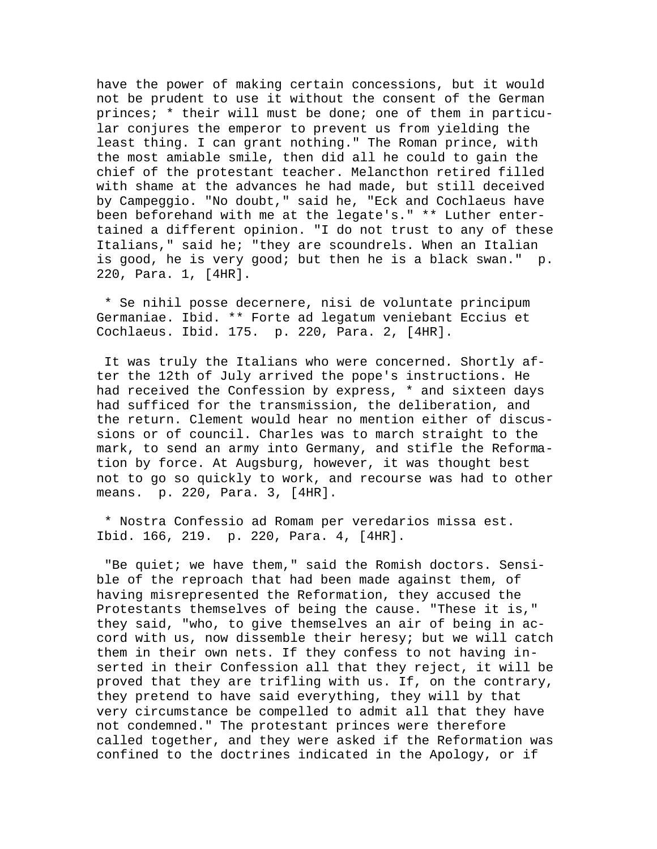have the power of making certain concessions, but it would not be prudent to use it without the consent of the German princes; \* their will must be done; one of them in particular conjures the emperor to prevent us from yielding the least thing. I can grant nothing." The Roman prince, with the most amiable smile, then did all he could to gain the chief of the protestant teacher. Melancthon retired filled with shame at the advances he had made, but still deceived by Campeggio. "No doubt," said he, "Eck and Cochlaeus have been beforehand with me at the legate's." \*\* Luther entertained a different opinion. "I do not trust to any of these Italians," said he; "they are scoundrels. When an Italian is good, he is very good; but then he is a black swan." p. 220, Para. 1, [4HR].

 \* Se nihil posse decernere, nisi de voluntate principum Germaniae. Ibid. \*\* Forte ad legatum veniebant Eccius et Cochlaeus. Ibid. 175. p. 220, Para. 2, [4HR].

 It was truly the Italians who were concerned. Shortly after the 12th of July arrived the pope's instructions. He had received the Confession by express, \* and sixteen days had sufficed for the transmission, the deliberation, and the return. Clement would hear no mention either of discussions or of council. Charles was to march straight to the mark, to send an army into Germany, and stifle the Reformation by force. At Augsburg, however, it was thought best not to go so quickly to work, and recourse was had to other means. p. 220, Para. 3, [4HR].

 \* Nostra Confessio ad Romam per veredarios missa est. Ibid. 166, 219. p. 220, Para. 4, [4HR].

 "Be quiet; we have them," said the Romish doctors. Sensible of the reproach that had been made against them, of having misrepresented the Reformation, they accused the Protestants themselves of being the cause. "These it is," they said, "who, to give themselves an air of being in accord with us, now dissemble their heresy; but we will catch them in their own nets. If they confess to not having inserted in their Confession all that they reject, it will be proved that they are trifling with us. If, on the contrary, they pretend to have said everything, they will by that very circumstance be compelled to admit all that they have not condemned." The protestant princes were therefore called together, and they were asked if the Reformation was confined to the doctrines indicated in the Apology, or if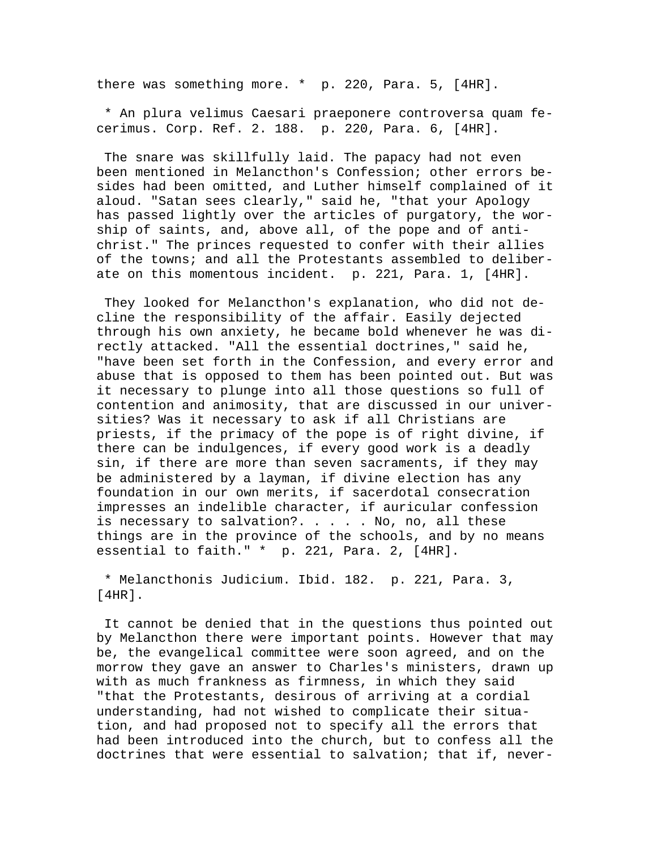there was something more. \* p. 220, Para. 5, [4HR].

 \* An plura velimus Caesari praeponere controversa quam fecerimus. Corp. Ref. 2. 188. p. 220, Para. 6, [4HR].

 The snare was skillfully laid. The papacy had not even been mentioned in Melancthon's Confession; other errors besides had been omitted, and Luther himself complained of it aloud. "Satan sees clearly," said he, "that your Apology has passed lightly over the articles of purgatory, the worship of saints, and, above all, of the pope and of antichrist." The princes requested to confer with their allies of the towns; and all the Protestants assembled to deliberate on this momentous incident. p. 221, Para. 1, [4HR].

 They looked for Melancthon's explanation, who did not decline the responsibility of the affair. Easily dejected through his own anxiety, he became bold whenever he was directly attacked. "All the essential doctrines," said he, "have been set forth in the Confession, and every error and abuse that is opposed to them has been pointed out. But was it necessary to plunge into all those questions so full of contention and animosity, that are discussed in our universities? Was it necessary to ask if all Christians are priests, if the primacy of the pope is of right divine, if there can be indulgences, if every good work is a deadly sin, if there are more than seven sacraments, if they may be administered by a layman, if divine election has any foundation in our own merits, if sacerdotal consecration impresses an indelible character, if auricular confession is necessary to salvation?. . . . . No, no, all these things are in the province of the schools, and by no means essential to faith." \* p. 221, Para. 2, [4HR].

 \* Melancthonis Judicium. Ibid. 182. p. 221, Para. 3, [4HR].

 It cannot be denied that in the questions thus pointed out by Melancthon there were important points. However that may be, the evangelical committee were soon agreed, and on the morrow they gave an answer to Charles's ministers, drawn up with as much frankness as firmness, in which they said "that the Protestants, desirous of arriving at a cordial understanding, had not wished to complicate their situation, and had proposed not to specify all the errors that had been introduced into the church, but to confess all the doctrines that were essential to salvation; that if, never-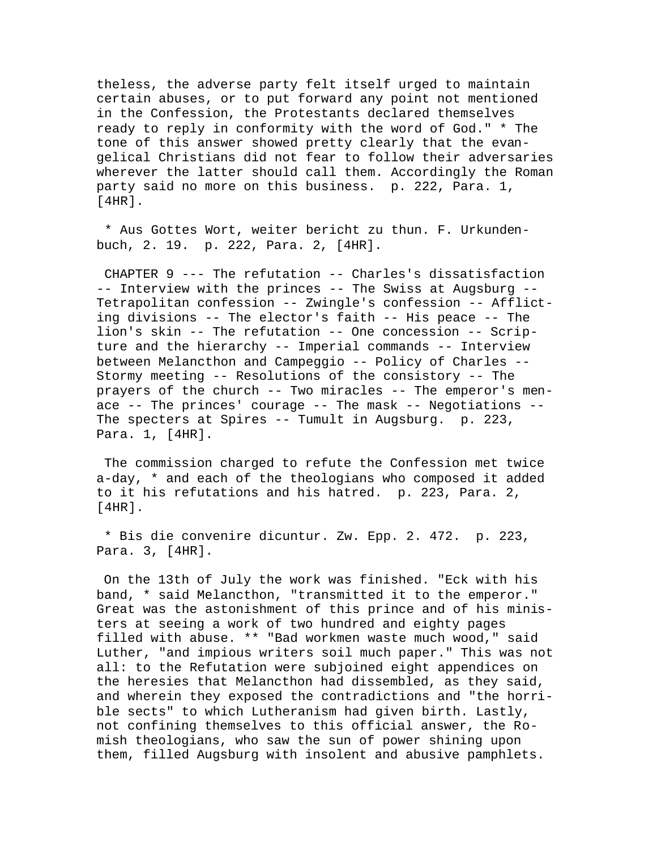theless, the adverse party felt itself urged to maintain certain abuses, or to put forward any point not mentioned in the Confession, the Protestants declared themselves ready to reply in conformity with the word of God." \* The tone of this answer showed pretty clearly that the evangelical Christians did not fear to follow their adversaries wherever the latter should call them. Accordingly the Roman party said no more on this business. p. 222, Para. 1, [4HR].

 \* Aus Gottes Wort, weiter bericht zu thun. F. Urkundenbuch, 2. 19. p. 222, Para. 2, [4HR].

 CHAPTER 9 --- The refutation -- Charles's dissatisfaction -- Interview with the princes -- The Swiss at Augsburg -- Tetrapolitan confession -- Zwingle's confession -- Afflicting divisions -- The elector's faith -- His peace -- The lion's skin -- The refutation -- One concession -- Scripture and the hierarchy -- Imperial commands -- Interview between Melancthon and Campeggio -- Policy of Charles -- Stormy meeting -- Resolutions of the consistory -- The prayers of the church -- Two miracles -- The emperor's menace -- The princes' courage -- The mask -- Negotiations -- The specters at Spires -- Tumult in Augsburg. p. 223, Para. 1, [4HR].

 The commission charged to refute the Confession met twice a-day, \* and each of the theologians who composed it added to it his refutations and his hatred. p. 223, Para. 2,  $[4HR]$ .

 \* Bis die convenire dicuntur. Zw. Epp. 2. 472. p. 223, Para. 3, [4HR].

 On the 13th of July the work was finished. "Eck with his band, \* said Melancthon, "transmitted it to the emperor." Great was the astonishment of this prince and of his ministers at seeing a work of two hundred and eighty pages filled with abuse. \*\* "Bad workmen waste much wood," said Luther, "and impious writers soil much paper." This was not all: to the Refutation were subjoined eight appendices on the heresies that Melancthon had dissembled, as they said, and wherein they exposed the contradictions and "the horrible sects" to which Lutheranism had given birth. Lastly, not confining themselves to this official answer, the Romish theologians, who saw the sun of power shining upon them, filled Augsburg with insolent and abusive pamphlets.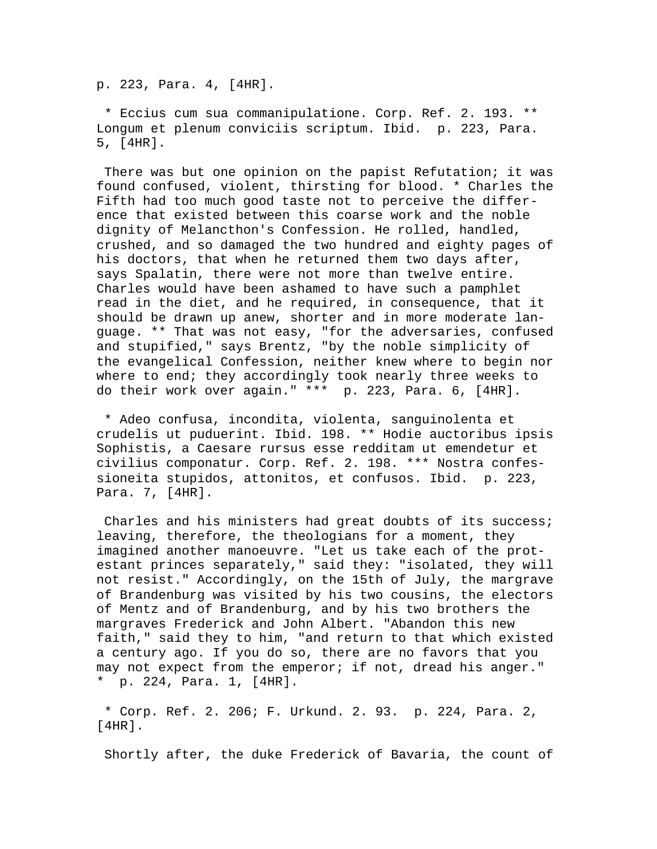p. 223, Para. 4, [4HR].

 \* Eccius cum sua commanipulatione. Corp. Ref. 2. 193. \*\* Longum et plenum conviciis scriptum. Ibid. p. 223, Para. 5, [4HR].

 There was but one opinion on the papist Refutation; it was found confused, violent, thirsting for blood. \* Charles the Fifth had too much good taste not to perceive the difference that existed between this coarse work and the noble dignity of Melancthon's Confession. He rolled, handled, crushed, and so damaged the two hundred and eighty pages of his doctors, that when he returned them two days after, says Spalatin, there were not more than twelve entire. Charles would have been ashamed to have such a pamphlet read in the diet, and he required, in consequence, that it should be drawn up anew, shorter and in more moderate language. \*\* That was not easy, "for the adversaries, confused and stupified," says Brentz, "by the noble simplicity of the evangelical Confession, neither knew where to begin nor where to end; they accordingly took nearly three weeks to do their work over again." \*\*\* p. 223, Para. 6, [4HR].

 \* Adeo confusa, incondita, violenta, sanguinolenta et crudelis ut puduerint. Ibid. 198. \*\* Hodie auctoribus ipsis Sophistis, a Caesare rursus esse redditam ut emendetur et civilius componatur. Corp. Ref. 2. 198. \*\*\* Nostra confessioneita stupidos, attonitos, et confusos. Ibid. p. 223, Para. 7, [4HR].

 Charles and his ministers had great doubts of its success; leaving, therefore, the theologians for a moment, they imagined another manoeuvre. "Let us take each of the protestant princes separately," said they: "isolated, they will not resist." Accordingly, on the 15th of July, the margrave of Brandenburg was visited by his two cousins, the electors of Mentz and of Brandenburg, and by his two brothers the margraves Frederick and John Albert. "Abandon this new faith," said they to him, "and return to that which existed a century ago. If you do so, there are no favors that you may not expect from the emperor; if not, dread his anger." \* p. 224, Para. 1, [4HR].

 \* Corp. Ref. 2. 206; F. Urkund. 2. 93. p. 224, Para. 2, [4HR].

Shortly after, the duke Frederick of Bavaria, the count of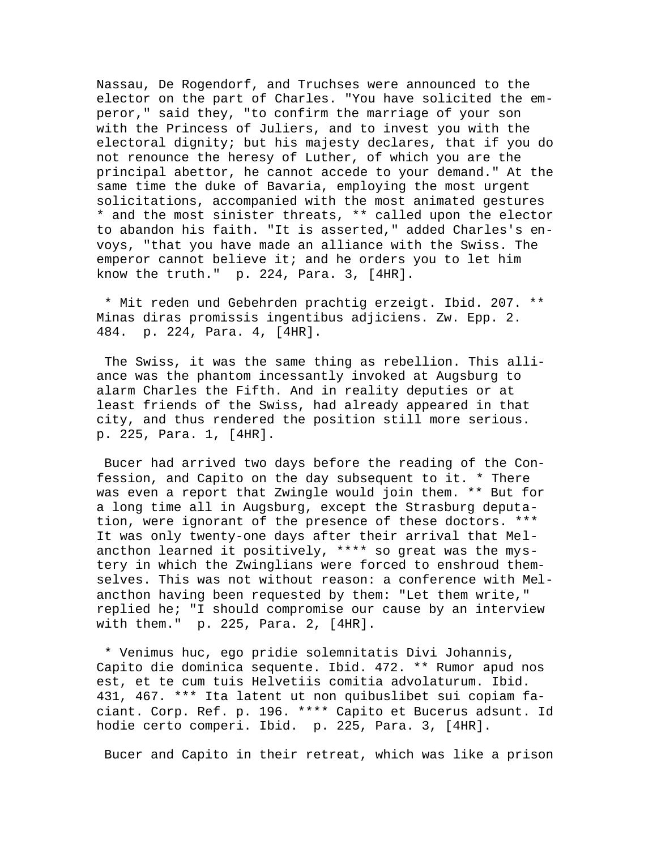Nassau, De Rogendorf, and Truchses were announced to the elector on the part of Charles. "You have solicited the emperor," said they, "to confirm the marriage of your son with the Princess of Juliers, and to invest you with the electoral dignity; but his majesty declares, that if you do not renounce the heresy of Luther, of which you are the principal abettor, he cannot accede to your demand." At the same time the duke of Bavaria, employing the most urgent solicitations, accompanied with the most animated gestures \* and the most sinister threats, \*\* called upon the elector to abandon his faith. "It is asserted," added Charles's envoys, "that you have made an alliance with the Swiss. The emperor cannot believe it; and he orders you to let him know the truth." p. 224, Para. 3, [4HR].

 \* Mit reden und Gebehrden prachtig erzeigt. Ibid. 207. \*\* Minas diras promissis ingentibus adjiciens. Zw. Epp. 2. 484. p. 224, Para. 4, [4HR].

 The Swiss, it was the same thing as rebellion. This alliance was the phantom incessantly invoked at Augsburg to alarm Charles the Fifth. And in reality deputies or at least friends of the Swiss, had already appeared in that city, and thus rendered the position still more serious. p. 225, Para. 1, [4HR].

 Bucer had arrived two days before the reading of the Confession, and Capito on the day subsequent to it. \* There was even a report that Zwingle would join them. \*\* But for a long time all in Augsburg, except the Strasburg deputation, were ignorant of the presence of these doctors. \*\*\* It was only twenty-one days after their arrival that Melancthon learned it positively, \*\*\*\* so great was the mystery in which the Zwinglians were forced to enshroud themselves. This was not without reason: a conference with Melancthon having been requested by them: "Let them write," replied he; "I should compromise our cause by an interview with them." p. 225, Para. 2, [4HR].

 \* Venimus huc, ego pridie solemnitatis Divi Johannis, Capito die dominica sequente. Ibid. 472. \*\* Rumor apud nos est, et te cum tuis Helvetiis comitia advolaturum. Ibid. 431, 467. \*\*\* Ita latent ut non quibuslibet sui copiam faciant. Corp. Ref. p. 196. \*\*\*\* Capito et Bucerus adsunt. Id hodie certo comperi. Ibid. p. 225, Para. 3, [4HR].

Bucer and Capito in their retreat, which was like a prison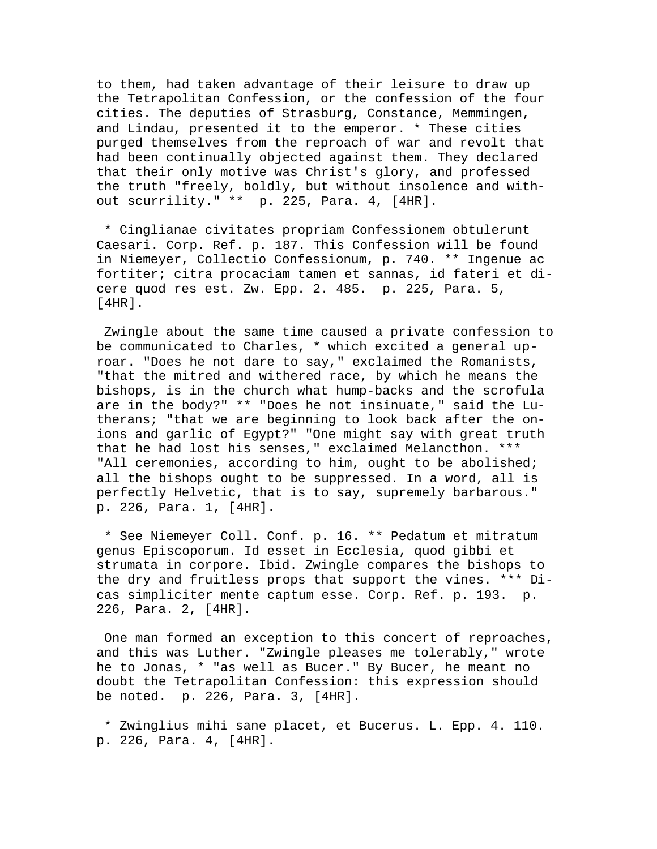to them, had taken advantage of their leisure to draw up the Tetrapolitan Confession, or the confession of the four cities. The deputies of Strasburg, Constance, Memmingen, and Lindau, presented it to the emperor. \* These cities purged themselves from the reproach of war and revolt that had been continually objected against them. They declared that their only motive was Christ's glory, and professed the truth "freely, boldly, but without insolence and without scurrility." \*\* p. 225, Para. 4, [4HR].

 \* Cinglianae civitates propriam Confessionem obtulerunt Caesari. Corp. Ref. p. 187. This Confession will be found in Niemeyer, Collectio Confessionum, p. 740. \*\* Ingenue ac fortiter; citra procaciam tamen et sannas, id fateri et dicere quod res est. Zw. Epp. 2. 485. p. 225, Para. 5, [4HR].

 Zwingle about the same time caused a private confession to be communicated to Charles, \* which excited a general uproar. "Does he not dare to say," exclaimed the Romanists, "that the mitred and withered race, by which he means the bishops, is in the church what hump-backs and the scrofula are in the body?" \*\* "Does he not insinuate," said the Lutherans; "that we are beginning to look back after the onions and garlic of Egypt?" "One might say with great truth that he had lost his senses," exclaimed Melancthon. \*\*\* "All ceremonies, according to him, ought to be abolished; all the bishops ought to be suppressed. In a word, all is perfectly Helvetic, that is to say, supremely barbarous." p. 226, Para. 1, [4HR].

 \* See Niemeyer Coll. Conf. p. 16. \*\* Pedatum et mitratum genus Episcoporum. Id esset in Ecclesia, quod gibbi et strumata in corpore. Ibid. Zwingle compares the bishops to the dry and fruitless props that support the vines. \*\*\* Dicas simpliciter mente captum esse. Corp. Ref. p. 193. p. 226, Para. 2, [4HR].

 One man formed an exception to this concert of reproaches, and this was Luther. "Zwingle pleases me tolerably," wrote he to Jonas, \* "as well as Bucer." By Bucer, he meant no doubt the Tetrapolitan Confession: this expression should be noted. p. 226, Para. 3, [4HR].

 \* Zwinglius mihi sane placet, et Bucerus. L. Epp. 4. 110. p. 226, Para. 4, [4HR].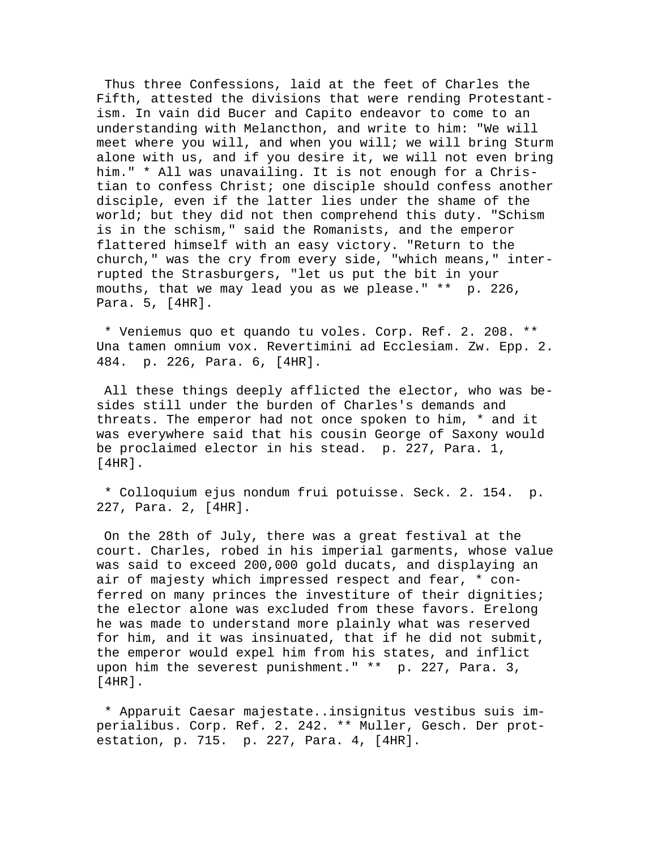Thus three Confessions, laid at the feet of Charles the Fifth, attested the divisions that were rending Protestantism. In vain did Bucer and Capito endeavor to come to an understanding with Melancthon, and write to him: "We will meet where you will, and when you will; we will bring Sturm alone with us, and if you desire it, we will not even bring him." \* All was unavailing. It is not enough for a Christian to confess Christ; one disciple should confess another disciple, even if the latter lies under the shame of the world; but they did not then comprehend this duty. "Schism is in the schism," said the Romanists, and the emperor flattered himself with an easy victory. "Return to the church," was the cry from every side, "which means," interrupted the Strasburgers, "let us put the bit in your mouths, that we may lead you as we please." \*\* p. 226, Para. 5, [4HR].

 \* Veniemus quo et quando tu voles. Corp. Ref. 2. 208. \*\* Una tamen omnium vox. Revertimini ad Ecclesiam. Zw. Epp. 2. 484. p. 226, Para. 6, [4HR].

 All these things deeply afflicted the elector, who was besides still under the burden of Charles's demands and threats. The emperor had not once spoken to him, \* and it was everywhere said that his cousin George of Saxony would be proclaimed elector in his stead. p. 227, Para. 1, [4HR].

 \* Colloquium ejus nondum frui potuisse. Seck. 2. 154. p. 227, Para. 2, [4HR].

 On the 28th of July, there was a great festival at the court. Charles, robed in his imperial garments, whose value was said to exceed 200,000 gold ducats, and displaying an air of majesty which impressed respect and fear, \* conferred on many princes the investiture of their dignities; the elector alone was excluded from these favors. Erelong he was made to understand more plainly what was reserved for him, and it was insinuated, that if he did not submit, the emperor would expel him from his states, and inflict upon him the severest punishment." \*\* p. 227, Para. 3, [4HR].

 \* Apparuit Caesar majestate..insignitus vestibus suis imperialibus. Corp. Ref. 2. 242. \*\* Muller, Gesch. Der protestation, p. 715. p. 227, Para. 4, [4HR].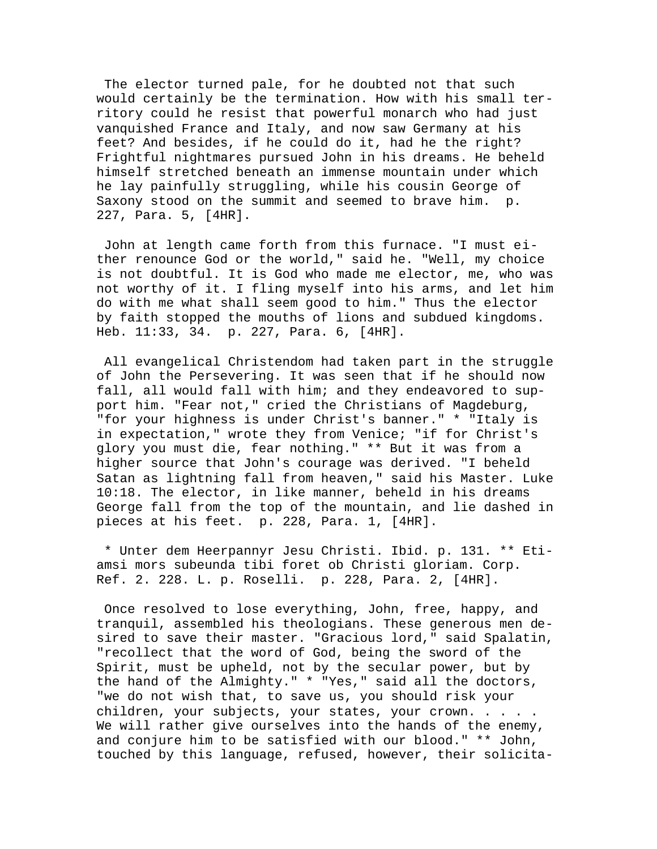The elector turned pale, for he doubted not that such would certainly be the termination. How with his small territory could he resist that powerful monarch who had just vanquished France and Italy, and now saw Germany at his feet? And besides, if he could do it, had he the right? Frightful nightmares pursued John in his dreams. He beheld himself stretched beneath an immense mountain under which he lay painfully struggling, while his cousin George of Saxony stood on the summit and seemed to brave him. p. 227, Para. 5, [4HR].

 John at length came forth from this furnace. "I must either renounce God or the world," said he. "Well, my choice is not doubtful. It is God who made me elector, me, who was not worthy of it. I fling myself into his arms, and let him do with me what shall seem good to him." Thus the elector by faith stopped the mouths of lions and subdued kingdoms. Heb. 11:33, 34. p. 227, Para. 6, [4HR].

 All evangelical Christendom had taken part in the struggle of John the Persevering. It was seen that if he should now fall, all would fall with him; and they endeavored to support him. "Fear not," cried the Christians of Magdeburg, "for your highness is under Christ's banner." \* "Italy is in expectation," wrote they from Venice; "if for Christ's glory you must die, fear nothing." \*\* But it was from a higher source that John's courage was derived. "I beheld Satan as lightning fall from heaven," said his Master. Luke 10:18. The elector, in like manner, beheld in his dreams George fall from the top of the mountain, and lie dashed in pieces at his feet. p. 228, Para. 1, [4HR].

 \* Unter dem Heerpannyr Jesu Christi. Ibid. p. 131. \*\* Etiamsi mors subeunda tibi foret ob Christi gloriam. Corp. Ref. 2. 228. L. p. Roselli. p. 228, Para. 2, [4HR].

 Once resolved to lose everything, John, free, happy, and tranquil, assembled his theologians. These generous men desired to save their master. "Gracious lord," said Spalatin, "recollect that the word of God, being the sword of the Spirit, must be upheld, not by the secular power, but by the hand of the Almighty." \* "Yes," said all the doctors, "we do not wish that, to save us, you should risk your children, your subjects, your states, your crown. . . . . We will rather give ourselves into the hands of the enemy, and conjure him to be satisfied with our blood." \*\* John, touched by this language, refused, however, their solicita-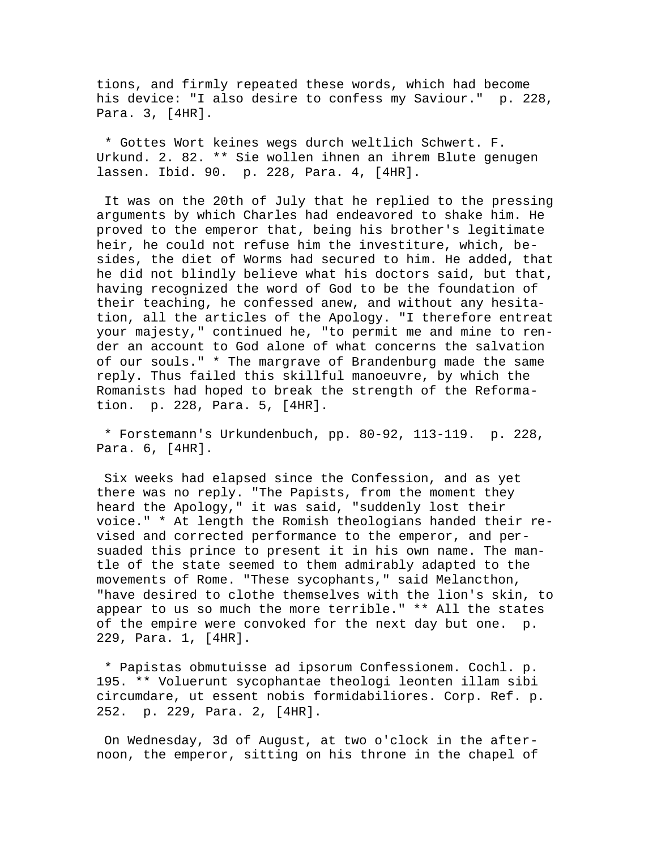tions, and firmly repeated these words, which had become his device: "I also desire to confess my Saviour." p. 228, Para. 3, [4HR].

 \* Gottes Wort keines wegs durch weltlich Schwert. F. Urkund. 2. 82. \*\* Sie wollen ihnen an ihrem Blute genugen lassen. Ibid. 90. p. 228, Para. 4, [4HR].

 It was on the 20th of July that he replied to the pressing arguments by which Charles had endeavored to shake him. He proved to the emperor that, being his brother's legitimate heir, he could not refuse him the investiture, which, besides, the diet of Worms had secured to him. He added, that he did not blindly believe what his doctors said, but that, having recognized the word of God to be the foundation of their teaching, he confessed anew, and without any hesitation, all the articles of the Apology. "I therefore entreat your majesty," continued he, "to permit me and mine to render an account to God alone of what concerns the salvation of our souls." \* The margrave of Brandenburg made the same reply. Thus failed this skillful manoeuvre, by which the Romanists had hoped to break the strength of the Reformation. p. 228, Para. 5, [4HR].

 \* Forstemann's Urkundenbuch, pp. 80-92, 113-119. p. 228, Para. 6, [4HR].

 Six weeks had elapsed since the Confession, and as yet there was no reply. "The Papists, from the moment they heard the Apology," it was said, "suddenly lost their voice." \* At length the Romish theologians handed their revised and corrected performance to the emperor, and persuaded this prince to present it in his own name. The mantle of the state seemed to them admirably adapted to the movements of Rome. "These sycophants," said Melancthon, "have desired to clothe themselves with the lion's skin, to appear to us so much the more terrible." \*\* All the states of the empire were convoked for the next day but one. p. 229, Para. 1, [4HR].

 \* Papistas obmutuisse ad ipsorum Confessionem. Cochl. p. 195. \*\* Voluerunt sycophantae theologi leonten illam sibi circumdare, ut essent nobis formidabiliores. Corp. Ref. p. 252. p. 229, Para. 2, [4HR].

 On Wednesday, 3d of August, at two o'clock in the afternoon, the emperor, sitting on his throne in the chapel of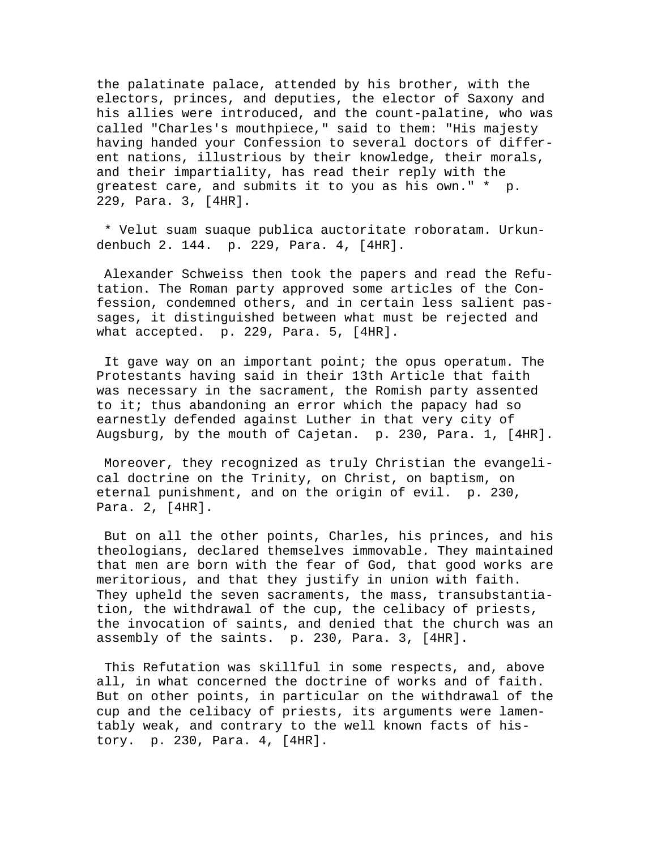the palatinate palace, attended by his brother, with the electors, princes, and deputies, the elector of Saxony and his allies were introduced, and the count-palatine, who was called "Charles's mouthpiece," said to them: "His majesty having handed your Confession to several doctors of different nations, illustrious by their knowledge, their morals, and their impartiality, has read their reply with the greatest care, and submits it to you as his own." \* p. 229, Para. 3, [4HR].

 \* Velut suam suaque publica auctoritate roboratam. Urkundenbuch 2. 144. p. 229, Para. 4, [4HR].

 Alexander Schweiss then took the papers and read the Refutation. The Roman party approved some articles of the Confession, condemned others, and in certain less salient passages, it distinguished between what must be rejected and what accepted. p. 229, Para. 5, [4HR].

 It gave way on an important point; the opus operatum. The Protestants having said in their 13th Article that faith was necessary in the sacrament, the Romish party assented to it; thus abandoning an error which the papacy had so earnestly defended against Luther in that very city of Augsburg, by the mouth of Cajetan. p. 230, Para. 1, [4HR].

 Moreover, they recognized as truly Christian the evangelical doctrine on the Trinity, on Christ, on baptism, on eternal punishment, and on the origin of evil. p. 230, Para. 2, [4HR].

 But on all the other points, Charles, his princes, and his theologians, declared themselves immovable. They maintained that men are born with the fear of God, that good works are meritorious, and that they justify in union with faith. They upheld the seven sacraments, the mass, transubstantiation, the withdrawal of the cup, the celibacy of priests, the invocation of saints, and denied that the church was an assembly of the saints. p. 230, Para. 3, [4HR].

 This Refutation was skillful in some respects, and, above all, in what concerned the doctrine of works and of faith. But on other points, in particular on the withdrawal of the cup and the celibacy of priests, its arguments were lamentably weak, and contrary to the well known facts of history. p. 230, Para. 4, [4HR].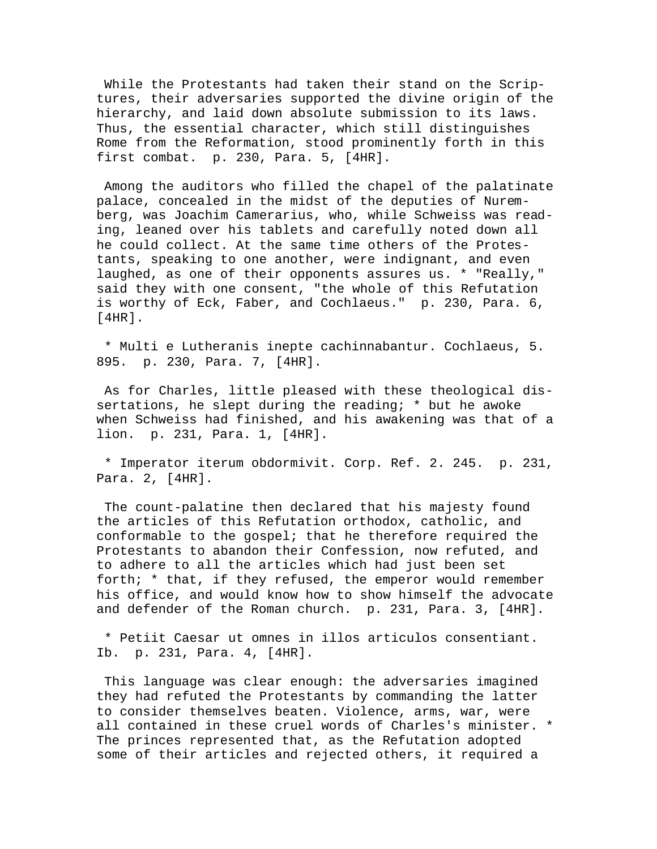While the Protestants had taken their stand on the Scriptures, their adversaries supported the divine origin of the hierarchy, and laid down absolute submission to its laws. Thus, the essential character, which still distinguishes Rome from the Reformation, stood prominently forth in this first combat. p. 230, Para. 5, [4HR].

 Among the auditors who filled the chapel of the palatinate palace, concealed in the midst of the deputies of Nuremberg, was Joachim Camerarius, who, while Schweiss was reading, leaned over his tablets and carefully noted down all he could collect. At the same time others of the Protestants, speaking to one another, were indignant, and even laughed, as one of their opponents assures us. \* "Really," said they with one consent, "the whole of this Refutation is worthy of Eck, Faber, and Cochlaeus." p. 230, Para. 6, [4HR].

 \* Multi e Lutheranis inepte cachinnabantur. Cochlaeus, 5. 895. p. 230, Para. 7, [4HR].

 As for Charles, little pleased with these theological dissertations, he slept during the reading; \* but he awoke when Schweiss had finished, and his awakening was that of a lion. p. 231, Para. 1, [4HR].

 \* Imperator iterum obdormivit. Corp. Ref. 2. 245. p. 231, Para. 2, [4HR].

 The count-palatine then declared that his majesty found the articles of this Refutation orthodox, catholic, and conformable to the gospel; that he therefore required the Protestants to abandon their Confession, now refuted, and to adhere to all the articles which had just been set forth; \* that, if they refused, the emperor would remember his office, and would know how to show himself the advocate and defender of the Roman church. p. 231, Para. 3, [4HR].

 \* Petiit Caesar ut omnes in illos articulos consentiant. Ib. p. 231, Para. 4, [4HR].

 This language was clear enough: the adversaries imagined they had refuted the Protestants by commanding the latter to consider themselves beaten. Violence, arms, war, were all contained in these cruel words of Charles's minister. \* The princes represented that, as the Refutation adopted some of their articles and rejected others, it required a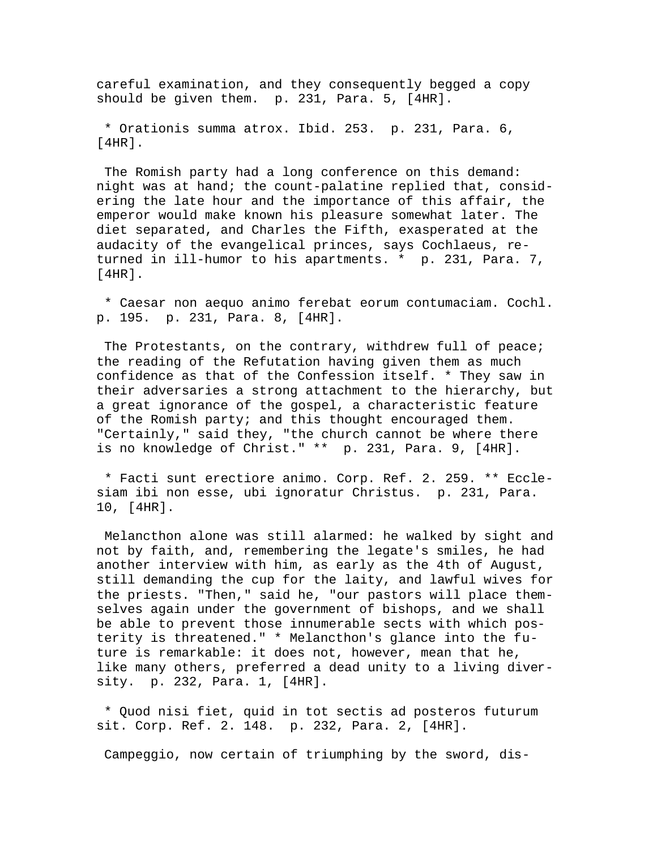careful examination, and they consequently begged a copy should be given them. p. 231, Para. 5, [4HR].

 \* Orationis summa atrox. Ibid. 253. p. 231, Para. 6,  $[4HR]$ .

 The Romish party had a long conference on this demand: night was at hand; the count-palatine replied that, considering the late hour and the importance of this affair, the emperor would make known his pleasure somewhat later. The diet separated, and Charles the Fifth, exasperated at the audacity of the evangelical princes, says Cochlaeus, returned in ill-humor to his apartments. \* p. 231, Para. 7,  $[4HR]$ .

 \* Caesar non aequo animo ferebat eorum contumaciam. Cochl. p. 195. p. 231, Para. 8, [4HR].

The Protestants, on the contrary, withdrew full of peace; the reading of the Refutation having given them as much confidence as that of the Confession itself. \* They saw in their adversaries a strong attachment to the hierarchy, but a great ignorance of the gospel, a characteristic feature of the Romish party; and this thought encouraged them. "Certainly," said they, "the church cannot be where there is no knowledge of Christ." \*\* p. 231, Para. 9, [4HR].

 \* Facti sunt erectiore animo. Corp. Ref. 2. 259. \*\* Ecclesiam ibi non esse, ubi ignoratur Christus. p. 231, Para. 10, [4HR].

 Melancthon alone was still alarmed: he walked by sight and not by faith, and, remembering the legate's smiles, he had another interview with him, as early as the 4th of August, still demanding the cup for the laity, and lawful wives for the priests. "Then," said he, "our pastors will place themselves again under the government of bishops, and we shall be able to prevent those innumerable sects with which posterity is threatened." \* Melancthon's glance into the future is remarkable: it does not, however, mean that he, like many others, preferred a dead unity to a living diversity. p. 232, Para. 1, [4HR].

 \* Quod nisi fiet, quid in tot sectis ad posteros futurum sit. Corp. Ref. 2. 148. p. 232, Para. 2, [4HR].

Campeggio, now certain of triumphing by the sword, dis-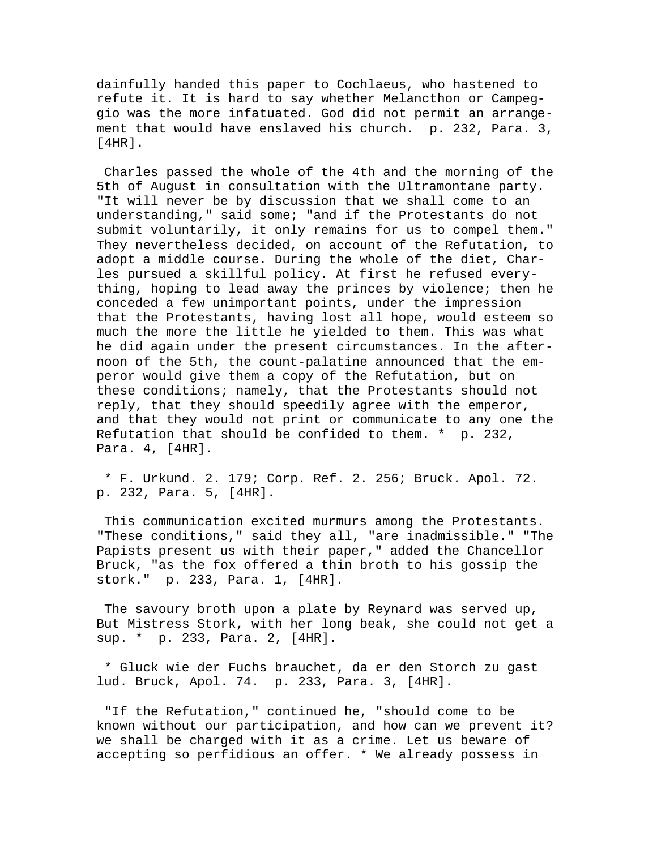dainfully handed this paper to Cochlaeus, who hastened to refute it. It is hard to say whether Melancthon or Campeggio was the more infatuated. God did not permit an arrangement that would have enslaved his church. p. 232, Para. 3, [4HR].

 Charles passed the whole of the 4th and the morning of the 5th of August in consultation with the Ultramontane party. "It will never be by discussion that we shall come to an understanding," said some; "and if the Protestants do not submit voluntarily, it only remains for us to compel them." They nevertheless decided, on account of the Refutation, to adopt a middle course. During the whole of the diet, Charles pursued a skillful policy. At first he refused everything, hoping to lead away the princes by violence; then he conceded a few unimportant points, under the impression that the Protestants, having lost all hope, would esteem so much the more the little he yielded to them. This was what he did again under the present circumstances. In the afternoon of the 5th, the count-palatine announced that the emperor would give them a copy of the Refutation, but on these conditions; namely, that the Protestants should not reply, that they should speedily agree with the emperor, and that they would not print or communicate to any one the Refutation that should be confided to them. \* p. 232, Para. 4, [4HR].

 \* F. Urkund. 2. 179; Corp. Ref. 2. 256; Bruck. Apol. 72. p. 232, Para. 5, [4HR].

 This communication excited murmurs among the Protestants. "These conditions," said they all, "are inadmissible." "The Papists present us with their paper," added the Chancellor Bruck, "as the fox offered a thin broth to his gossip the stork." p. 233, Para. 1, [4HR].

 The savoury broth upon a plate by Reynard was served up, But Mistress Stork, with her long beak, she could not get a sup. \* p. 233, Para. 2, [4HR].

 \* Gluck wie der Fuchs brauchet, da er den Storch zu gast lud. Bruck, Apol. 74. p. 233, Para. 3, [4HR].

 "If the Refutation," continued he, "should come to be known without our participation, and how can we prevent it? we shall be charged with it as a crime. Let us beware of accepting so perfidious an offer. \* We already possess in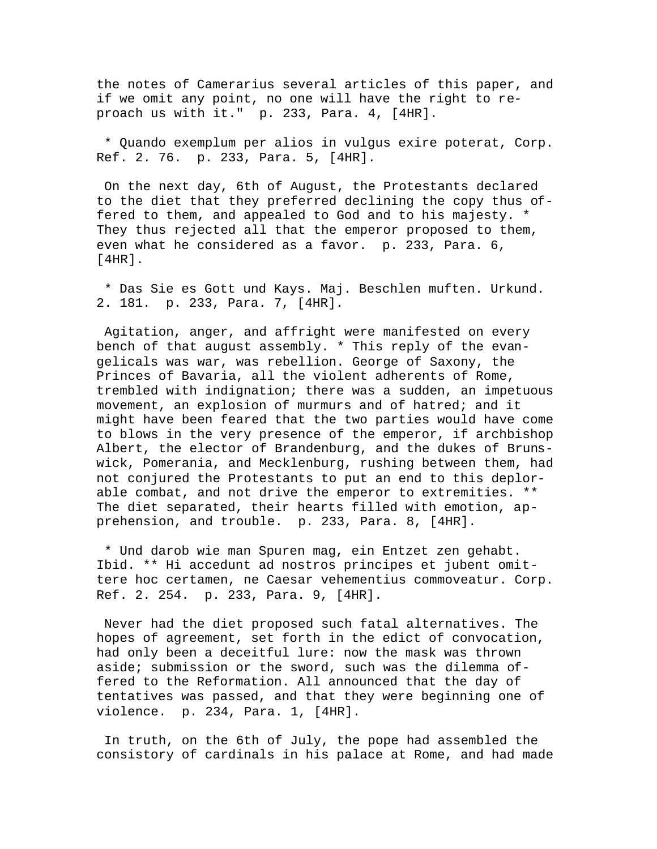the notes of Camerarius several articles of this paper, and if we omit any point, no one will have the right to reproach us with it." p. 233, Para. 4, [4HR].

 \* Quando exemplum per alios in vulgus exire poterat, Corp. Ref. 2. 76. p. 233, Para. 5, [4HR].

 On the next day, 6th of August, the Protestants declared to the diet that they preferred declining the copy thus offered to them, and appealed to God and to his majesty. \* They thus rejected all that the emperor proposed to them, even what he considered as a favor. p. 233, Para. 6, [4HR].

 \* Das Sie es Gott und Kays. Maj. Beschlen muften. Urkund. 2. 181. p. 233, Para. 7, [4HR].

 Agitation, anger, and affright were manifested on every bench of that august assembly. \* This reply of the evangelicals was war, was rebellion. George of Saxony, the Princes of Bavaria, all the violent adherents of Rome, trembled with indignation; there was a sudden, an impetuous movement, an explosion of murmurs and of hatred; and it might have been feared that the two parties would have come to blows in the very presence of the emperor, if archbishop Albert, the elector of Brandenburg, and the dukes of Brunswick, Pomerania, and Mecklenburg, rushing between them, had not conjured the Protestants to put an end to this deplorable combat, and not drive the emperor to extremities. \*\* The diet separated, their hearts filled with emotion, apprehension, and trouble. p. 233, Para. 8, [4HR].

 \* Und darob wie man Spuren mag, ein Entzet zen gehabt. Ibid. \*\* Hi accedunt ad nostros principes et jubent omittere hoc certamen, ne Caesar vehementius commoveatur. Corp. Ref. 2. 254. p. 233, Para. 9, [4HR].

 Never had the diet proposed such fatal alternatives. The hopes of agreement, set forth in the edict of convocation, had only been a deceitful lure: now the mask was thrown aside; submission or the sword, such was the dilemma offered to the Reformation. All announced that the day of tentatives was passed, and that they were beginning one of violence. p. 234, Para. 1, [4HR].

 In truth, on the 6th of July, the pope had assembled the consistory of cardinals in his palace at Rome, and had made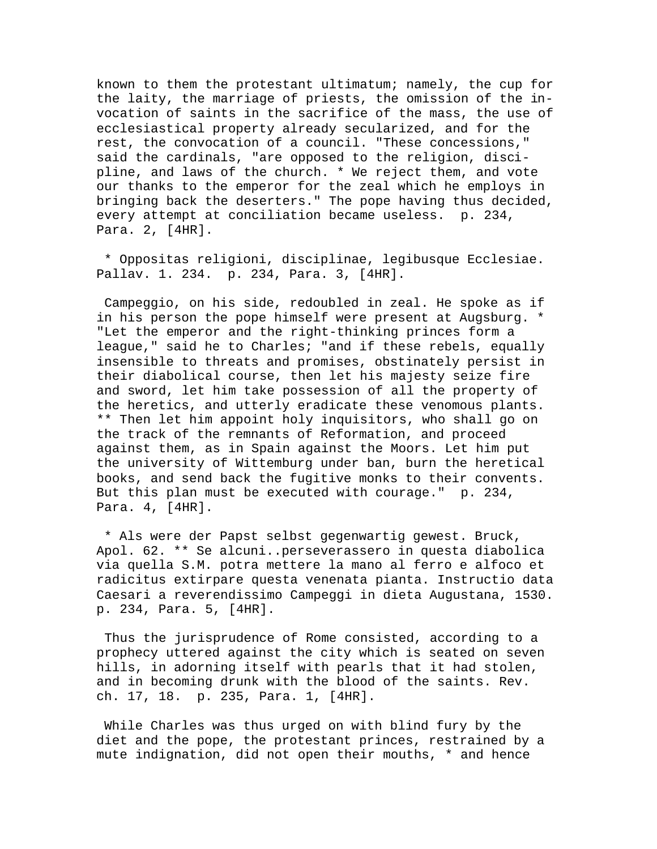known to them the protestant ultimatum; namely, the cup for the laity, the marriage of priests, the omission of the invocation of saints in the sacrifice of the mass, the use of ecclesiastical property already secularized, and for the rest, the convocation of a council. "These concessions," said the cardinals, "are opposed to the religion, discipline, and laws of the church. \* We reject them, and vote our thanks to the emperor for the zeal which he employs in bringing back the deserters." The pope having thus decided, every attempt at conciliation became useless. p. 234, Para. 2, [4HR].

 \* Oppositas religioni, disciplinae, legibusque Ecclesiae. Pallav. 1. 234. p. 234, Para. 3, [4HR].

 Campeggio, on his side, redoubled in zeal. He spoke as if in his person the pope himself were present at Augsburg. \* "Let the emperor and the right-thinking princes form a league," said he to Charles; "and if these rebels, equally insensible to threats and promises, obstinately persist in their diabolical course, then let his majesty seize fire and sword, let him take possession of all the property of the heretics, and utterly eradicate these venomous plants. \*\* Then let him appoint holy inquisitors, who shall go on the track of the remnants of Reformation, and proceed against them, as in Spain against the Moors. Let him put the university of Wittemburg under ban, burn the heretical books, and send back the fugitive monks to their convents. But this plan must be executed with courage." p. 234, Para. 4, [4HR].

 \* Als were der Papst selbst gegenwartig gewest. Bruck, Apol. 62. \*\* Se alcuni..perseverassero in questa diabolica via quella S.M. potra mettere la mano al ferro e alfoco et radicitus extirpare questa venenata pianta. Instructio data Caesari a reverendissimo Campeggi in dieta Augustana, 1530. p. 234, Para. 5, [4HR].

 Thus the jurisprudence of Rome consisted, according to a prophecy uttered against the city which is seated on seven hills, in adorning itself with pearls that it had stolen, and in becoming drunk with the blood of the saints. Rev. ch. 17, 18. p. 235, Para. 1, [4HR].

 While Charles was thus urged on with blind fury by the diet and the pope, the protestant princes, restrained by a mute indignation, did not open their mouths, \* and hence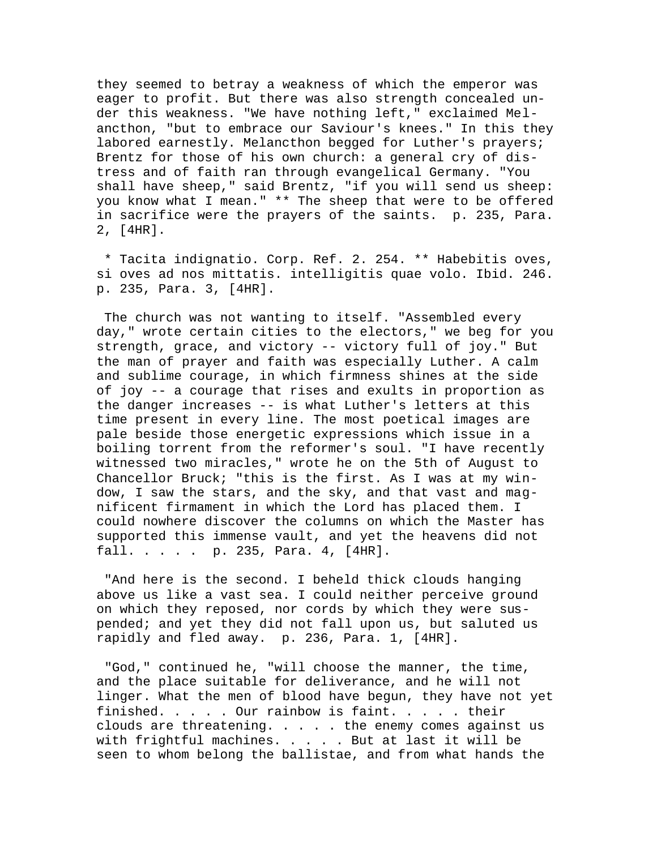they seemed to betray a weakness of which the emperor was eager to profit. But there was also strength concealed under this weakness. "We have nothing left," exclaimed Melancthon, "but to embrace our Saviour's knees." In this they labored earnestly. Melancthon begged for Luther's prayers; Brentz for those of his own church: a general cry of distress and of faith ran through evangelical Germany. "You shall have sheep," said Brentz, "if you will send us sheep: you know what I mean." \*\* The sheep that were to be offered in sacrifice were the prayers of the saints. p. 235, Para. 2, [4HR].

 \* Tacita indignatio. Corp. Ref. 2. 254. \*\* Habebitis oves, si oves ad nos mittatis. intelligitis quae volo. Ibid. 246. p. 235, Para. 3, [4HR].

 The church was not wanting to itself. "Assembled every day," wrote certain cities to the electors," we beg for you strength, grace, and victory -- victory full of joy." But the man of prayer and faith was especially Luther. A calm and sublime courage, in which firmness shines at the side of joy -- a courage that rises and exults in proportion as the danger increases -- is what Luther's letters at this time present in every line. The most poetical images are pale beside those energetic expressions which issue in a boiling torrent from the reformer's soul. "I have recently witnessed two miracles," wrote he on the 5th of August to Chancellor Bruck; "this is the first. As I was at my window, I saw the stars, and the sky, and that vast and magnificent firmament in which the Lord has placed them. I could nowhere discover the columns on which the Master has supported this immense vault, and yet the heavens did not fall. . . . . p. 235, Para. 4, [4HR].

 "And here is the second. I beheld thick clouds hanging above us like a vast sea. I could neither perceive ground on which they reposed, nor cords by which they were suspended; and yet they did not fall upon us, but saluted us rapidly and fled away. p. 236, Para. 1, [4HR].

 "God," continued he, "will choose the manner, the time, and the place suitable for deliverance, and he will not linger. What the men of blood have begun, they have not yet finished. . . . . Our rainbow is faint. . . . . their clouds are threatening.  $\ldots$  . . the enemy comes against us with frightful machines. . . . . But at last it will be seen to whom belong the ballistae, and from what hands the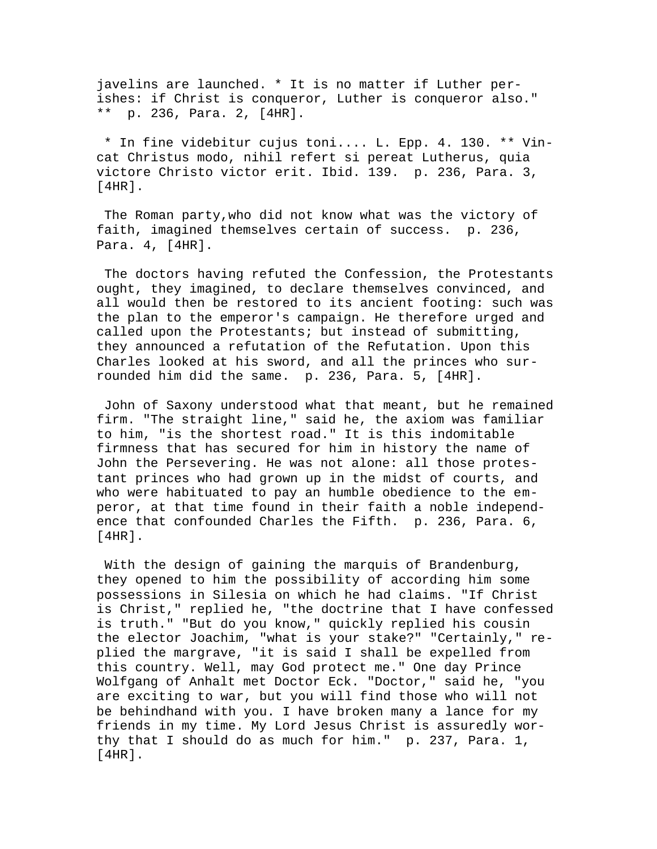javelins are launched. \* It is no matter if Luther perishes: if Christ is conqueror, Luther is conqueror also." \*\* p. 236, Para. 2, [4HR].

 \* In fine videbitur cujus toni.... L. Epp. 4. 130. \*\* Vincat Christus modo, nihil refert si pereat Lutherus, quia victore Christo victor erit. Ibid. 139. p. 236, Para. 3, [4HR].

 The Roman party,who did not know what was the victory of faith, imagined themselves certain of success. p. 236, Para. 4, [4HR].

 The doctors having refuted the Confession, the Protestants ought, they imagined, to declare themselves convinced, and all would then be restored to its ancient footing: such was the plan to the emperor's campaign. He therefore urged and called upon the Protestants; but instead of submitting, they announced a refutation of the Refutation. Upon this Charles looked at his sword, and all the princes who surrounded him did the same. p. 236, Para. 5, [4HR].

 John of Saxony understood what that meant, but he remained firm. "The straight line," said he, the axiom was familiar to him, "is the shortest road." It is this indomitable firmness that has secured for him in history the name of John the Persevering. He was not alone: all those protestant princes who had grown up in the midst of courts, and who were habituated to pay an humble obedience to the emperor, at that time found in their faith a noble independence that confounded Charles the Fifth. p. 236, Para. 6, [4HR].

 With the design of gaining the marquis of Brandenburg, they opened to him the possibility of according him some possessions in Silesia on which he had claims. "If Christ is Christ," replied he, "the doctrine that I have confessed is truth." "But do you know," quickly replied his cousin the elector Joachim, "what is your stake?" "Certainly," replied the margrave, "it is said I shall be expelled from this country. Well, may God protect me." One day Prince Wolfgang of Anhalt met Doctor Eck. "Doctor," said he, "you are exciting to war, but you will find those who will not be behindhand with you. I have broken many a lance for my friends in my time. My Lord Jesus Christ is assuredly worthy that I should do as much for him." p. 237, Para. 1, [4HR].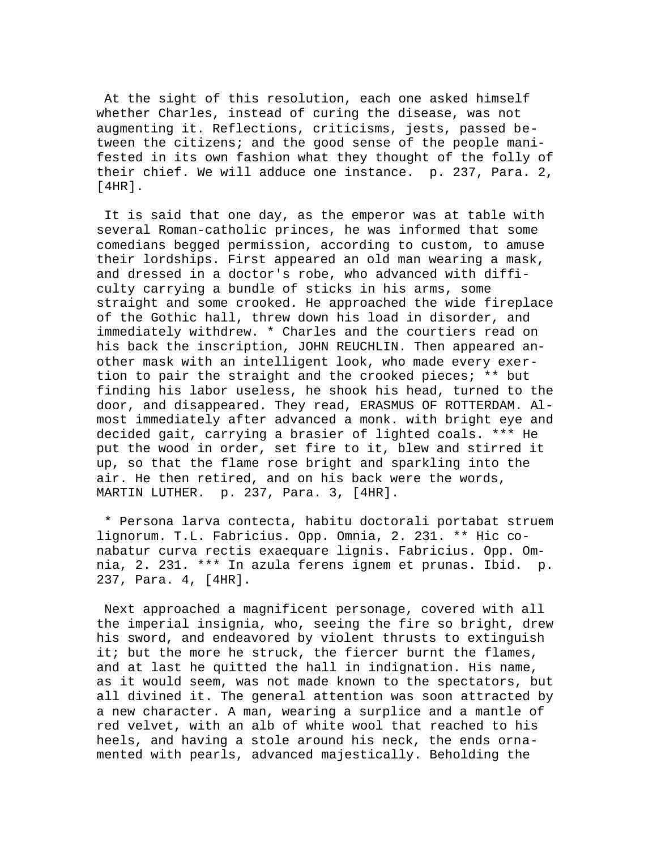At the sight of this resolution, each one asked himself whether Charles, instead of curing the disease, was not augmenting it. Reflections, criticisms, jests, passed between the citizens; and the good sense of the people manifested in its own fashion what they thought of the folly of their chief. We will adduce one instance. p. 237, Para. 2, [4HR].

 It is said that one day, as the emperor was at table with several Roman-catholic princes, he was informed that some comedians begged permission, according to custom, to amuse their lordships. First appeared an old man wearing a mask, and dressed in a doctor's robe, who advanced with difficulty carrying a bundle of sticks in his arms, some straight and some crooked. He approached the wide fireplace of the Gothic hall, threw down his load in disorder, and immediately withdrew. \* Charles and the courtiers read on his back the inscription, JOHN REUCHLIN. Then appeared another mask with an intelligent look, who made every exertion to pair the straight and the crooked pieces; \*\* but finding his labor useless, he shook his head, turned to the door, and disappeared. They read, ERASMUS OF ROTTERDAM. Almost immediately after advanced a monk. with bright eye and decided gait, carrying a brasier of lighted coals. \*\*\* He put the wood in order, set fire to it, blew and stirred it up, so that the flame rose bright and sparkling into the air. He then retired, and on his back were the words, MARTIN LUTHER. p. 237, Para. 3, [4HR].

 \* Persona larva contecta, habitu doctorali portabat struem lignorum. T.L. Fabricius. Opp. Omnia, 2. 231. \*\* Hic conabatur curva rectis exaequare lignis. Fabricius. Opp. Omnia, 2. 231. \*\*\* In azula ferens ignem et prunas. Ibid. p. 237, Para. 4, [4HR].

 Next approached a magnificent personage, covered with all the imperial insignia, who, seeing the fire so bright, drew his sword, and endeavored by violent thrusts to extinguish it; but the more he struck, the fiercer burnt the flames, and at last he quitted the hall in indignation. His name, as it would seem, was not made known to the spectators, but all divined it. The general attention was soon attracted by a new character. A man, wearing a surplice and a mantle of red velvet, with an alb of white wool that reached to his heels, and having a stole around his neck, the ends ornamented with pearls, advanced majestically. Beholding the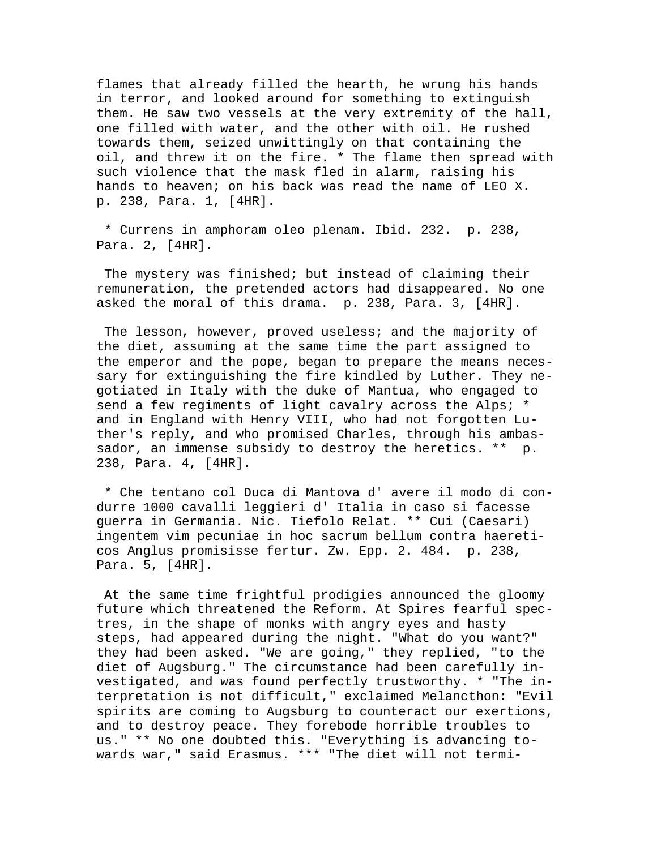flames that already filled the hearth, he wrung his hands in terror, and looked around for something to extinguish them. He saw two vessels at the very extremity of the hall, one filled with water, and the other with oil. He rushed towards them, seized unwittingly on that containing the oil, and threw it on the fire. \* The flame then spread with such violence that the mask fled in alarm, raising his hands to heaven; on his back was read the name of LEO X. p. 238, Para. 1, [4HR].

 \* Currens in amphoram oleo plenam. Ibid. 232. p. 238, Para. 2, [4HR].

 The mystery was finished; but instead of claiming their remuneration, the pretended actors had disappeared. No one asked the moral of this drama. p. 238, Para. 3, [4HR].

 The lesson, however, proved useless; and the majority of the diet, assuming at the same time the part assigned to the emperor and the pope, began to prepare the means necessary for extinguishing the fire kindled by Luther. They negotiated in Italy with the duke of Mantua, who engaged to send a few regiments of light cavalry across the Alps; \* and in England with Henry VIII, who had not forgotten Luther's reply, and who promised Charles, through his ambassador, an immense subsidy to destroy the heretics. \*\* p. 238, Para. 4, [4HR].

 \* Che tentano col Duca di Mantova d' avere il modo di condurre 1000 cavalli leggieri d' Italia in caso si facesse guerra in Germania. Nic. Tiefolo Relat. \*\* Cui (Caesari) ingentem vim pecuniae in hoc sacrum bellum contra haereticos Anglus promisisse fertur. Zw. Epp. 2. 484. p. 238, Para. 5, [4HR].

 At the same time frightful prodigies announced the gloomy future which threatened the Reform. At Spires fearful spectres, in the shape of monks with angry eyes and hasty steps, had appeared during the night. "What do you want?" they had been asked. "We are going," they replied, "to the diet of Augsburg." The circumstance had been carefully investigated, and was found perfectly trustworthy. \* "The interpretation is not difficult," exclaimed Melancthon: "Evil spirits are coming to Augsburg to counteract our exertions, and to destroy peace. They forebode horrible troubles to us." \*\* No one doubted this. "Everything is advancing towards war," said Erasmus. \*\*\* "The diet will not termi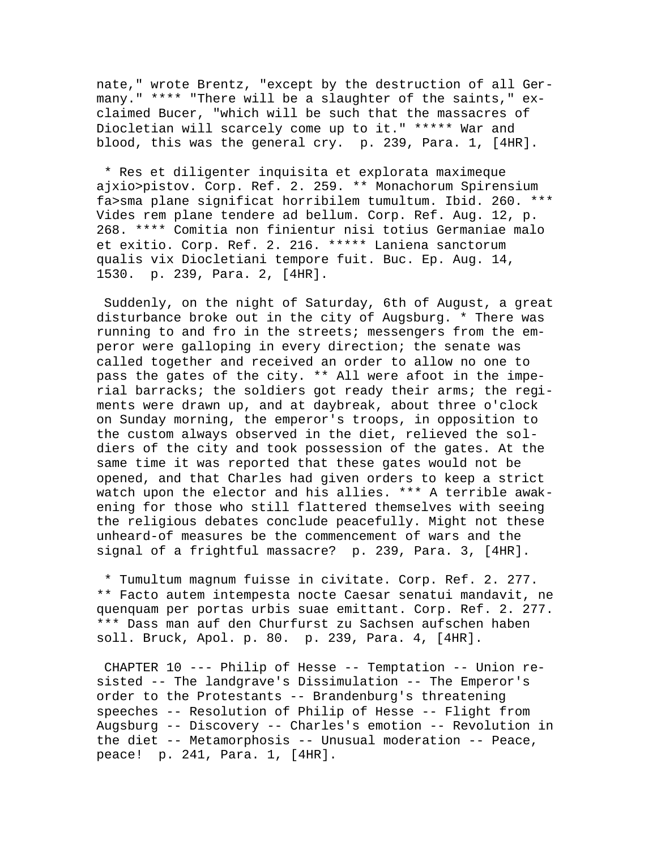nate," wrote Brentz, "except by the destruction of all Germany." \*\*\*\* "There will be a slaughter of the saints," exclaimed Bucer, "which will be such that the massacres of Diocletian will scarcely come up to it." \*\*\*\*\* War and blood, this was the general cry. p. 239, Para. 1, [4HR].

 \* Res et diligenter inquisita et explorata maximeque ajxio>pistov. Corp. Ref. 2. 259. \*\* Monachorum Spirensium fa>sma plane significat horribilem tumultum. Ibid. 260. \*\*\* Vides rem plane tendere ad bellum. Corp. Ref. Aug. 12, p. 268. \*\*\*\* Comitia non finientur nisi totius Germaniae malo et exitio. Corp. Ref. 2. 216. \*\*\*\*\* Laniena sanctorum qualis vix Diocletiani tempore fuit. Buc. Ep. Aug. 14, 1530. p. 239, Para. 2, [4HR].

 Suddenly, on the night of Saturday, 6th of August, a great disturbance broke out in the city of Augsburg. \* There was running to and fro in the streets; messengers from the emperor were galloping in every direction; the senate was called together and received an order to allow no one to pass the gates of the city. \*\* All were afoot in the imperial barracks; the soldiers got ready their arms; the regiments were drawn up, and at daybreak, about three o'clock on Sunday morning, the emperor's troops, in opposition to the custom always observed in the diet, relieved the soldiers of the city and took possession of the gates. At the same time it was reported that these gates would not be opened, and that Charles had given orders to keep a strict watch upon the elector and his allies. \*\*\* A terrible awakening for those who still flattered themselves with seeing the religious debates conclude peacefully. Might not these unheard-of measures be the commencement of wars and the signal of a frightful massacre? p. 239, Para. 3, [4HR].

 \* Tumultum magnum fuisse in civitate. Corp. Ref. 2. 277. \*\* Facto autem intempesta nocte Caesar senatui mandavit, ne quenquam per portas urbis suae emittant. Corp. Ref. 2. 277. \*\*\* Dass man auf den Churfurst zu Sachsen aufschen haben soll. Bruck, Apol. p. 80. p. 239, Para. 4, [4HR].

 CHAPTER 10 --- Philip of Hesse -- Temptation -- Union resisted -- The landgrave's Dissimulation -- The Emperor's order to the Protestants -- Brandenburg's threatening speeches -- Resolution of Philip of Hesse -- Flight from Augsburg -- Discovery -- Charles's emotion -- Revolution in the diet -- Metamorphosis -- Unusual moderation -- Peace, peace! p. 241, Para. 1, [4HR].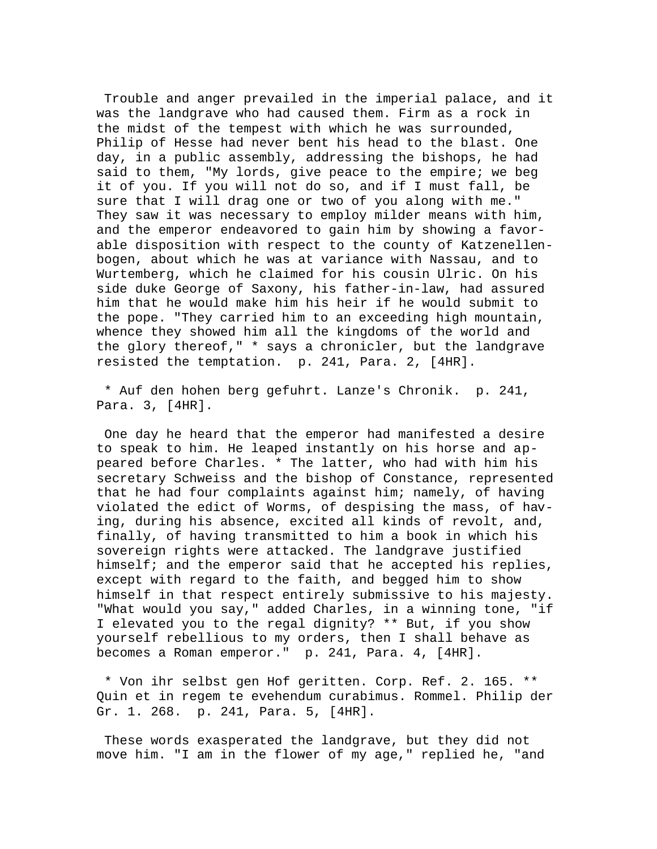Trouble and anger prevailed in the imperial palace, and it was the landgrave who had caused them. Firm as a rock in the midst of the tempest with which he was surrounded, Philip of Hesse had never bent his head to the blast. One day, in a public assembly, addressing the bishops, he had said to them, "My lords, give peace to the empire; we beg it of you. If you will not do so, and if I must fall, be sure that I will drag one or two of you along with me." They saw it was necessary to employ milder means with him, and the emperor endeavored to gain him by showing a favorable disposition with respect to the county of Katzenellenbogen, about which he was at variance with Nassau, and to Wurtemberg, which he claimed for his cousin Ulric. On his side duke George of Saxony, his father-in-law, had assured him that he would make him his heir if he would submit to the pope. "They carried him to an exceeding high mountain, whence they showed him all the kingdoms of the world and the glory thereof," \* says a chronicler, but the landgrave resisted the temptation. p. 241, Para. 2, [4HR].

 \* Auf den hohen berg gefuhrt. Lanze's Chronik. p. 241, Para. 3, [4HR].

 One day he heard that the emperor had manifested a desire to speak to him. He leaped instantly on his horse and appeared before Charles. \* The latter, who had with him his secretary Schweiss and the bishop of Constance, represented that he had four complaints against him; namely, of having violated the edict of Worms, of despising the mass, of having, during his absence, excited all kinds of revolt, and, finally, of having transmitted to him a book in which his sovereign rights were attacked. The landgrave justified himself; and the emperor said that he accepted his replies, except with regard to the faith, and begged him to show himself in that respect entirely submissive to his majesty. "What would you say," added Charles, in a winning tone, "if I elevated you to the regal dignity? \*\* But, if you show yourself rebellious to my orders, then I shall behave as becomes a Roman emperor." p. 241, Para. 4, [4HR].

 \* Von ihr selbst gen Hof geritten. Corp. Ref. 2. 165. \*\* Quin et in regem te evehendum curabimus. Rommel. Philip der Gr. 1. 268. p. 241, Para. 5, [4HR].

 These words exasperated the landgrave, but they did not move him. "I am in the flower of my age," replied he, "and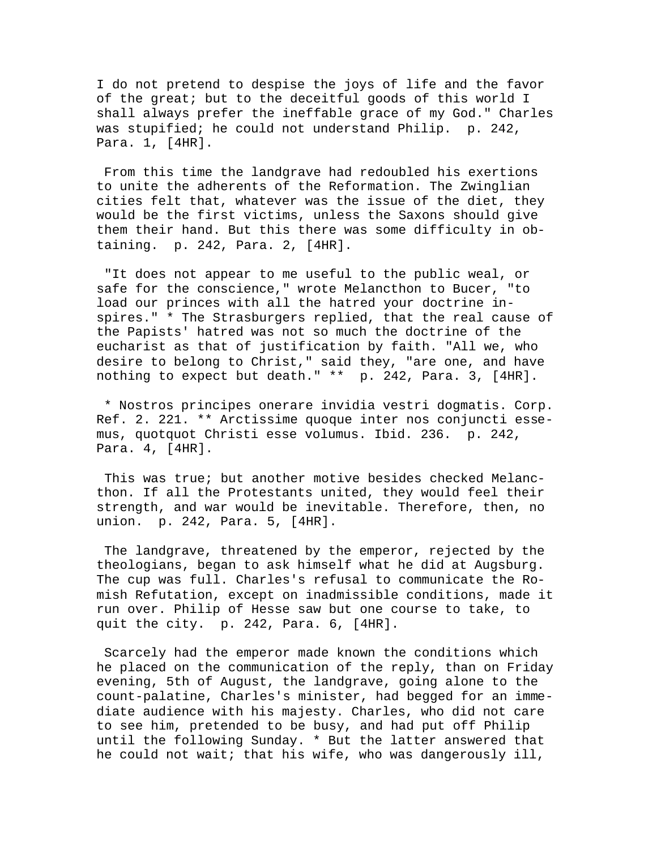I do not pretend to despise the joys of life and the favor of the great; but to the deceitful goods of this world I shall always prefer the ineffable grace of my God." Charles was stupified; he could not understand Philip. p. 242, Para. 1, [4HR].

 From this time the landgrave had redoubled his exertions to unite the adherents of the Reformation. The Zwinglian cities felt that, whatever was the issue of the diet, they would be the first victims, unless the Saxons should give them their hand. But this there was some difficulty in obtaining. p. 242, Para. 2, [4HR].

 "It does not appear to me useful to the public weal, or safe for the conscience," wrote Melancthon to Bucer, "to load our princes with all the hatred your doctrine inspires." \* The Strasburgers replied, that the real cause of the Papists' hatred was not so much the doctrine of the eucharist as that of justification by faith. "All we, who desire to belong to Christ," said they, "are one, and have nothing to expect but death." \*\* p. 242, Para. 3, [4HR].

 \* Nostros principes onerare invidia vestri dogmatis. Corp. Ref. 2. 221. \*\* Arctissime quoque inter nos conjuncti essemus, quotquot Christi esse volumus. Ibid. 236. p. 242, Para. 4, [4HR].

 This was true; but another motive besides checked Melancthon. If all the Protestants united, they would feel their strength, and war would be inevitable. Therefore, then, no union. p. 242, Para. 5, [4HR].

 The landgrave, threatened by the emperor, rejected by the theologians, began to ask himself what he did at Augsburg. The cup was full. Charles's refusal to communicate the Romish Refutation, except on inadmissible conditions, made it run over. Philip of Hesse saw but one course to take, to quit the city. p. 242, Para. 6, [4HR].

 Scarcely had the emperor made known the conditions which he placed on the communication of the reply, than on Friday evening, 5th of August, the landgrave, going alone to the count-palatine, Charles's minister, had begged for an immediate audience with his majesty. Charles, who did not care to see him, pretended to be busy, and had put off Philip until the following Sunday. \* But the latter answered that he could not wait; that his wife, who was dangerously ill,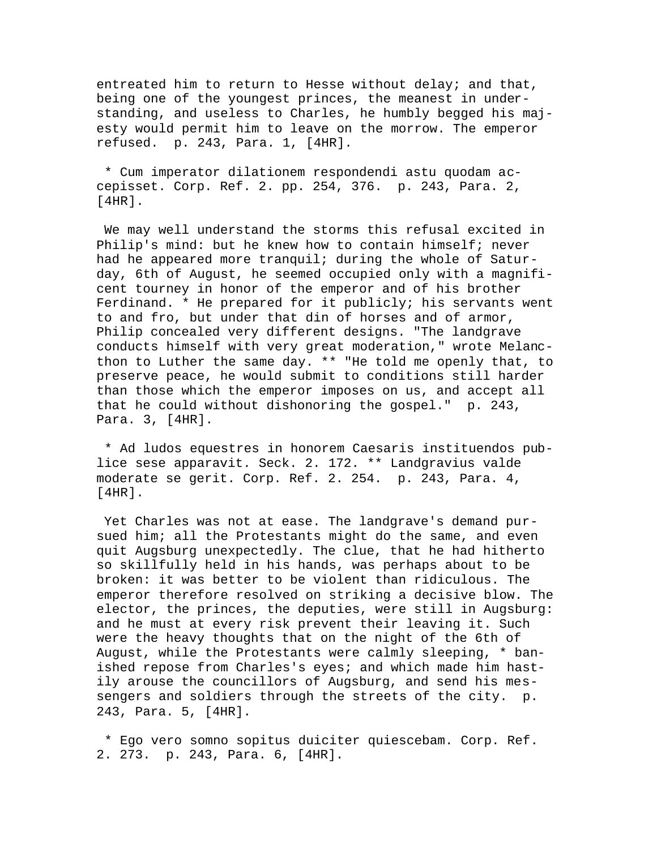entreated him to return to Hesse without delay; and that, being one of the youngest princes, the meanest in understanding, and useless to Charles, he humbly begged his majesty would permit him to leave on the morrow. The emperor refused. p. 243, Para. 1, [4HR].

 \* Cum imperator dilationem respondendi astu quodam accepisset. Corp. Ref. 2. pp. 254, 376. p. 243, Para. 2, [4HR].

 We may well understand the storms this refusal excited in Philip's mind: but he knew how to contain himself; never had he appeared more tranquil; during the whole of Saturday, 6th of August, he seemed occupied only with a magnificent tourney in honor of the emperor and of his brother Ferdinand. \* He prepared for it publicly; his servants went to and fro, but under that din of horses and of armor, Philip concealed very different designs. "The landgrave conducts himself with very great moderation," wrote Melancthon to Luther the same day. \*\* "He told me openly that, to preserve peace, he would submit to conditions still harder than those which the emperor imposes on us, and accept all that he could without dishonoring the gospel." p. 243, Para. 3, [4HR].

 \* Ad ludos equestres in honorem Caesaris instituendos publice sese apparavit. Seck. 2. 172. \*\* Landgravius valde moderate se gerit. Corp. Ref. 2. 254. p. 243, Para. 4, [4HR].

 Yet Charles was not at ease. The landgrave's demand pursued him; all the Protestants might do the same, and even quit Augsburg unexpectedly. The clue, that he had hitherto so skillfully held in his hands, was perhaps about to be broken: it was better to be violent than ridiculous. The emperor therefore resolved on striking a decisive blow. The elector, the princes, the deputies, were still in Augsburg: and he must at every risk prevent their leaving it. Such were the heavy thoughts that on the night of the 6th of August, while the Protestants were calmly sleeping, \* banished repose from Charles's eyes; and which made him hastily arouse the councillors of Augsburg, and send his messengers and soldiers through the streets of the city. p. 243, Para. 5, [4HR].

 \* Ego vero somno sopitus duiciter quiescebam. Corp. Ref. 2. 273. p. 243, Para. 6, [4HR].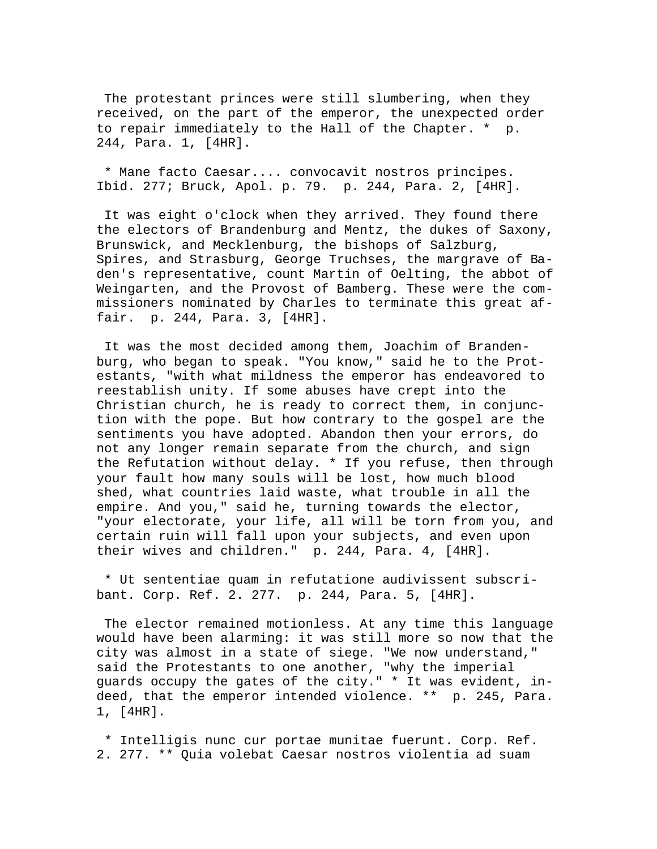The protestant princes were still slumbering, when they received, on the part of the emperor, the unexpected order to repair immediately to the Hall of the Chapter. \* p. 244, Para. 1, [4HR].

 \* Mane facto Caesar.... convocavit nostros principes. Ibid. 277; Bruck, Apol. p. 79. p. 244, Para. 2, [4HR].

 It was eight o'clock when they arrived. They found there the electors of Brandenburg and Mentz, the dukes of Saxony, Brunswick, and Mecklenburg, the bishops of Salzburg, Spires, and Strasburg, George Truchses, the margrave of Baden's representative, count Martin of Oelting, the abbot of Weingarten, and the Provost of Bamberg. These were the commissioners nominated by Charles to terminate this great affair. p. 244, Para. 3, [4HR].

 It was the most decided among them, Joachim of Brandenburg, who began to speak. "You know," said he to the Protestants, "with what mildness the emperor has endeavored to reestablish unity. If some abuses have crept into the Christian church, he is ready to correct them, in conjunction with the pope. But how contrary to the gospel are the sentiments you have adopted. Abandon then your errors, do not any longer remain separate from the church, and sign the Refutation without delay. \* If you refuse, then through your fault how many souls will be lost, how much blood shed, what countries laid waste, what trouble in all the empire. And you," said he, turning towards the elector, "your electorate, your life, all will be torn from you, and certain ruin will fall upon your subjects, and even upon their wives and children." p. 244, Para. 4, [4HR].

 \* Ut sententiae quam in refutatione audivissent subscribant. Corp. Ref. 2. 277. p. 244, Para. 5, [4HR].

 The elector remained motionless. At any time this language would have been alarming: it was still more so now that the city was almost in a state of siege. "We now understand," said the Protestants to one another, "why the imperial guards occupy the gates of the city." \* It was evident, indeed, that the emperor intended violence. \*\* p. 245, Para. 1, [4HR].

 \* Intelligis nunc cur portae munitae fuerunt. Corp. Ref. 2. 277. \*\* Quia volebat Caesar nostros violentia ad suam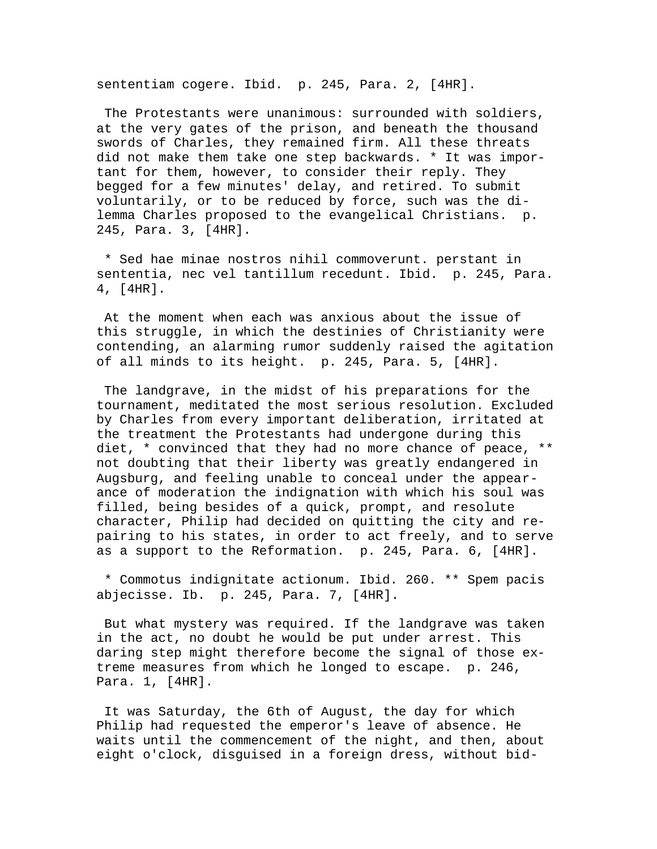sententiam cogere. Ibid. p. 245, Para. 2, [4HR].

 The Protestants were unanimous: surrounded with soldiers, at the very gates of the prison, and beneath the thousand swords of Charles, they remained firm. All these threats did not make them take one step backwards. \* It was important for them, however, to consider their reply. They begged for a few minutes' delay, and retired. To submit voluntarily, or to be reduced by force, such was the dilemma Charles proposed to the evangelical Christians. p. 245, Para. 3, [4HR].

 \* Sed hae minae nostros nihil commoverunt. perstant in sententia, nec vel tantillum recedunt. Ibid. p. 245, Para. 4, [4HR].

 At the moment when each was anxious about the issue of this struggle, in which the destinies of Christianity were contending, an alarming rumor suddenly raised the agitation of all minds to its height. p. 245, Para. 5, [4HR].

 The landgrave, in the midst of his preparations for the tournament, meditated the most serious resolution. Excluded by Charles from every important deliberation, irritated at the treatment the Protestants had undergone during this diet, \* convinced that they had no more chance of peace, \*\* not doubting that their liberty was greatly endangered in Augsburg, and feeling unable to conceal under the appearance of moderation the indignation with which his soul was filled, being besides of a quick, prompt, and resolute character, Philip had decided on quitting the city and repairing to his states, in order to act freely, and to serve as a support to the Reformation. p. 245, Para. 6, [4HR].

 \* Commotus indignitate actionum. Ibid. 260. \*\* Spem pacis abjecisse. Ib. p. 245, Para. 7, [4HR].

 But what mystery was required. If the landgrave was taken in the act, no doubt he would be put under arrest. This daring step might therefore become the signal of those extreme measures from which he longed to escape. p. 246, Para. 1, [4HR].

 It was Saturday, the 6th of August, the day for which Philip had requested the emperor's leave of absence. He waits until the commencement of the night, and then, about eight o'clock, disguised in a foreign dress, without bid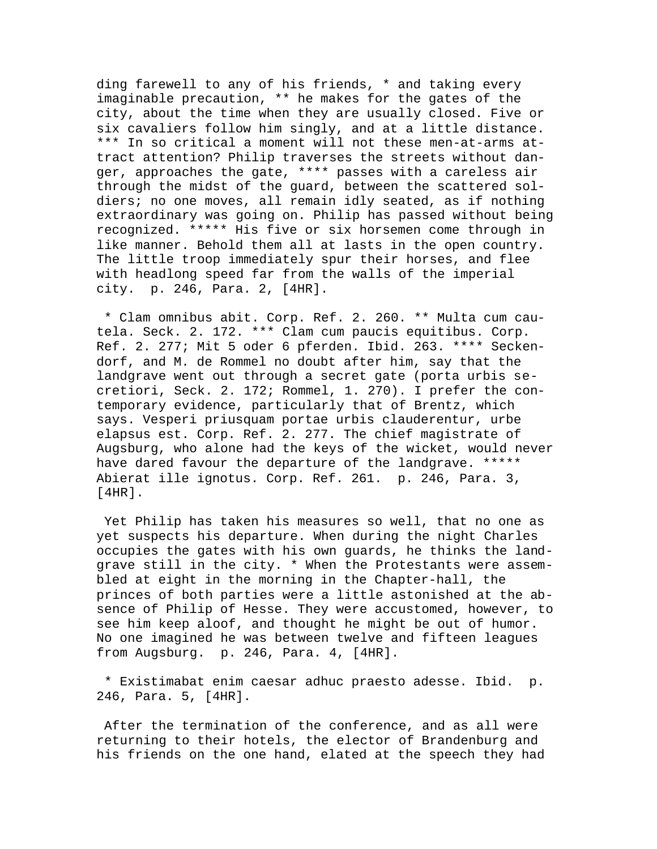ding farewell to any of his friends, \* and taking every imaginable precaution, \*\* he makes for the gates of the city, about the time when they are usually closed. Five or six cavaliers follow him singly, and at a little distance. \*\*\* In so critical a moment will not these men-at-arms attract attention? Philip traverses the streets without danger, approaches the gate, \*\*\*\* passes with a careless air through the midst of the guard, between the scattered soldiers; no one moves, all remain idly seated, as if nothing extraordinary was going on. Philip has passed without being recognized. \*\*\*\*\* His five or six horsemen come through in like manner. Behold them all at lasts in the open country. The little troop immediately spur their horses, and flee with headlong speed far from the walls of the imperial city. p. 246, Para. 2, [4HR].

 \* Clam omnibus abit. Corp. Ref. 2. 260. \*\* Multa cum cautela. Seck. 2. 172. \*\*\* Clam cum paucis equitibus. Corp. Ref. 2. 277; Mit 5 oder 6 pferden. Ibid. 263. \*\*\*\* Seckendorf, and M. de Rommel no doubt after him, say that the landgrave went out through a secret gate (porta urbis secretiori, Seck. 2. 172; Rommel, 1. 270). I prefer the contemporary evidence, particularly that of Brentz, which says. Vesperi priusquam portae urbis clauderentur, urbe elapsus est. Corp. Ref. 2. 277. The chief magistrate of Augsburg, who alone had the keys of the wicket, would never have dared favour the departure of the landgrave. \*\*\*\*\* Abierat ille ignotus. Corp. Ref. 261. p. 246, Para. 3, [4HR].

 Yet Philip has taken his measures so well, that no one as yet suspects his departure. When during the night Charles occupies the gates with his own guards, he thinks the landgrave still in the city. \* When the Protestants were assembled at eight in the morning in the Chapter-hall, the princes of both parties were a little astonished at the absence of Philip of Hesse. They were accustomed, however, to see him keep aloof, and thought he might be out of humor. No one imagined he was between twelve and fifteen leagues from Augsburg. p. 246, Para. 4, [4HR].

 \* Existimabat enim caesar adhuc praesto adesse. Ibid. p. 246, Para. 5, [4HR].

 After the termination of the conference, and as all were returning to their hotels, the elector of Brandenburg and his friends on the one hand, elated at the speech they had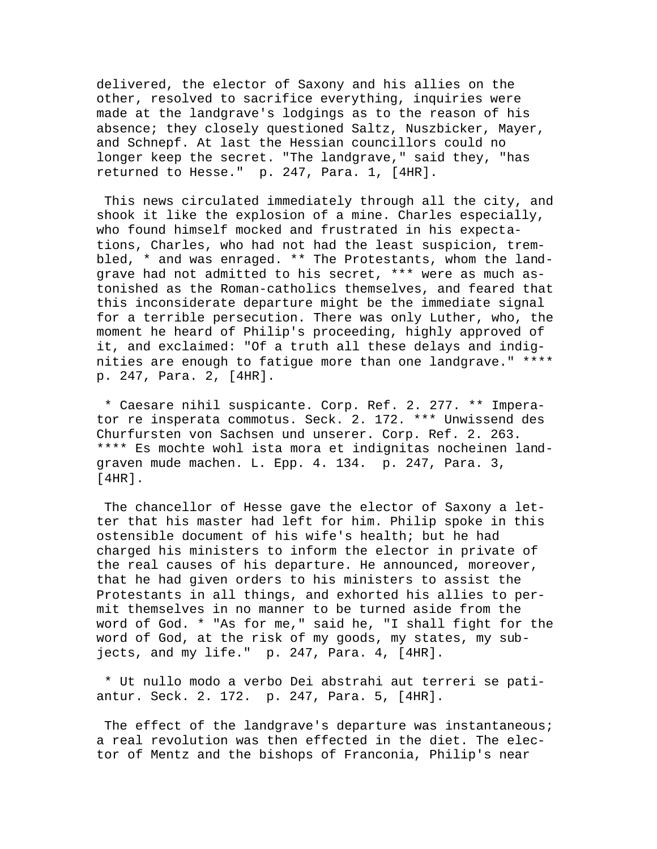delivered, the elector of Saxony and his allies on the other, resolved to sacrifice everything, inquiries were made at the landgrave's lodgings as to the reason of his absence; they closely questioned Saltz, Nuszbicker, Mayer, and Schnepf. At last the Hessian councillors could no longer keep the secret. "The landgrave," said they, "has returned to Hesse." p. 247, Para. 1, [4HR].

 This news circulated immediately through all the city, and shook it like the explosion of a mine. Charles especially, who found himself mocked and frustrated in his expectations, Charles, who had not had the least suspicion, trembled, \* and was enraged. \*\* The Protestants, whom the landgrave had not admitted to his secret, \*\*\* were as much astonished as the Roman-catholics themselves, and feared that this inconsiderate departure might be the immediate signal for a terrible persecution. There was only Luther, who, the moment he heard of Philip's proceeding, highly approved of it, and exclaimed: "Of a truth all these delays and indignities are enough to fatigue more than one landgrave." \*\*\*\* p. 247, Para. 2, [4HR].

 \* Caesare nihil suspicante. Corp. Ref. 2. 277. \*\* Imperator re insperata commotus. Seck. 2. 172. \*\*\* Unwissend des Churfursten von Sachsen und unserer. Corp. Ref. 2. 263. \*\*\*\* Es mochte wohl ista mora et indignitas nocheinen landgraven mude machen. L. Epp. 4. 134. p. 247, Para. 3, [4HR].

 The chancellor of Hesse gave the elector of Saxony a letter that his master had left for him. Philip spoke in this ostensible document of his wife's health; but he had charged his ministers to inform the elector in private of the real causes of his departure. He announced, moreover, that he had given orders to his ministers to assist the Protestants in all things, and exhorted his allies to permit themselves in no manner to be turned aside from the word of God. \* "As for me," said he, "I shall fight for the word of God, at the risk of my goods, my states, my subjects, and my life." p. 247, Para. 4, [4HR].

 \* Ut nullo modo a verbo Dei abstrahi aut terreri se patiantur. Seck. 2. 172. p. 247, Para. 5, [4HR].

The effect of the landgrave's departure was instantaneous; a real revolution was then effected in the diet. The elector of Mentz and the bishops of Franconia, Philip's near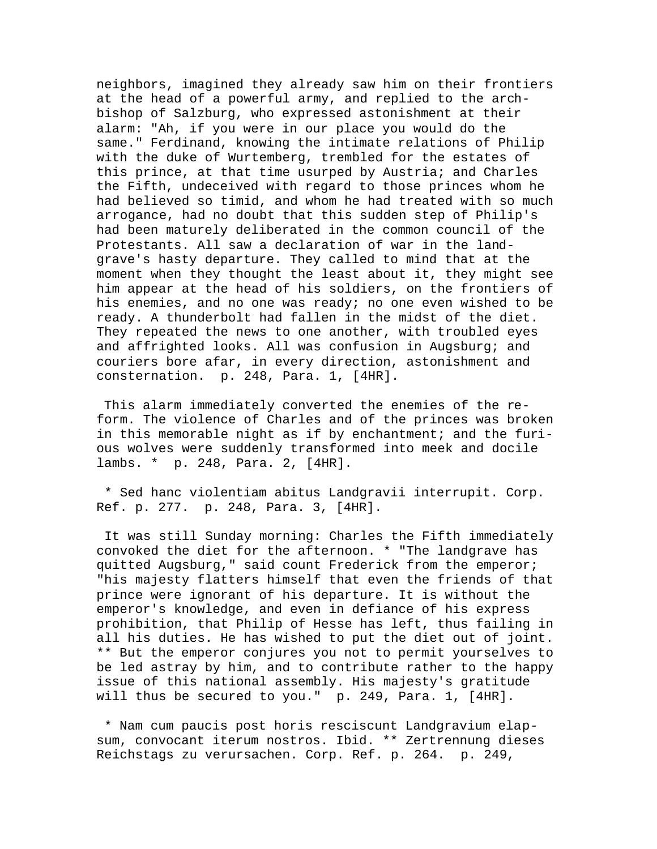neighbors, imagined they already saw him on their frontiers at the head of a powerful army, and replied to the archbishop of Salzburg, who expressed astonishment at their alarm: "Ah, if you were in our place you would do the same." Ferdinand, knowing the intimate relations of Philip with the duke of Wurtemberg, trembled for the estates of this prince, at that time usurped by Austria; and Charles the Fifth, undeceived with regard to those princes whom he had believed so timid, and whom he had treated with so much arrogance, had no doubt that this sudden step of Philip's had been maturely deliberated in the common council of the Protestants. All saw a declaration of war in the landgrave's hasty departure. They called to mind that at the moment when they thought the least about it, they might see him appear at the head of his soldiers, on the frontiers of his enemies, and no one was ready; no one even wished to be ready. A thunderbolt had fallen in the midst of the diet. They repeated the news to one another, with troubled eyes and affrighted looks. All was confusion in Augsburg; and couriers bore afar, in every direction, astonishment and consternation. p. 248, Para. 1, [4HR].

 This alarm immediately converted the enemies of the reform. The violence of Charles and of the princes was broken in this memorable night as if by enchantment; and the furious wolves were suddenly transformed into meek and docile lambs. \* p. 248, Para. 2, [4HR].

 \* Sed hanc violentiam abitus Landgravii interrupit. Corp. Ref. p. 277. p. 248, Para. 3, [4HR].

 It was still Sunday morning: Charles the Fifth immediately convoked the diet for the afternoon. \* "The landgrave has quitted Augsburg," said count Frederick from the emperor; "his majesty flatters himself that even the friends of that prince were ignorant of his departure. It is without the emperor's knowledge, and even in defiance of his express prohibition, that Philip of Hesse has left, thus failing in all his duties. He has wished to put the diet out of joint. \*\* But the emperor conjures you not to permit yourselves to be led astray by him, and to contribute rather to the happy issue of this national assembly. His majesty's gratitude will thus be secured to you." p. 249, Para. 1, [4HR].

 \* Nam cum paucis post horis resciscunt Landgravium elapsum, convocant iterum nostros. Ibid. \*\* Zertrennung dieses Reichstags zu verursachen. Corp. Ref. p. 264. p. 249,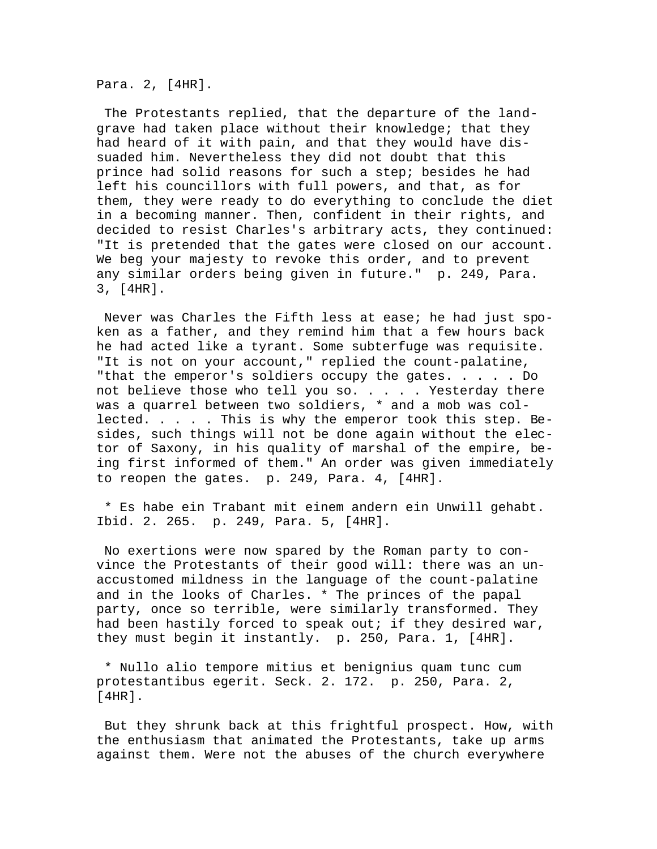Para. 2, [4HR].

 The Protestants replied, that the departure of the landgrave had taken place without their knowledge; that they had heard of it with pain, and that they would have dissuaded him. Nevertheless they did not doubt that this prince had solid reasons for such a step; besides he had left his councillors with full powers, and that, as for them, they were ready to do everything to conclude the diet in a becoming manner. Then, confident in their rights, and decided to resist Charles's arbitrary acts, they continued: "It is pretended that the gates were closed on our account. We beg your majesty to revoke this order, and to prevent any similar orders being given in future." p. 249, Para. 3, [4HR].

 Never was Charles the Fifth less at ease; he had just spoken as a father, and they remind him that a few hours back he had acted like a tyrant. Some subterfuge was requisite. "It is not on your account," replied the count-palatine, "that the emperor's soldiers occupy the gates. . . . . Do not believe those who tell you so. . . . . Yesterday there was a quarrel between two soldiers, \* and a mob was collected. . . . . This is why the emperor took this step. Besides, such things will not be done again without the elector of Saxony, in his quality of marshal of the empire, being first informed of them." An order was given immediately to reopen the gates. p. 249, Para. 4, [4HR].

 \* Es habe ein Trabant mit einem andern ein Unwill gehabt. Ibid. 2. 265. p. 249, Para. 5, [4HR].

 No exertions were now spared by the Roman party to convince the Protestants of their good will: there was an unaccustomed mildness in the language of the count-palatine and in the looks of Charles. \* The princes of the papal party, once so terrible, were similarly transformed. They had been hastily forced to speak out; if they desired war, they must begin it instantly. p. 250, Para. 1, [4HR].

 \* Nullo alio tempore mitius et benignius quam tunc cum protestantibus egerit. Seck. 2. 172. p. 250, Para. 2, [4HR].

 But they shrunk back at this frightful prospect. How, with the enthusiasm that animated the Protestants, take up arms against them. Were not the abuses of the church everywhere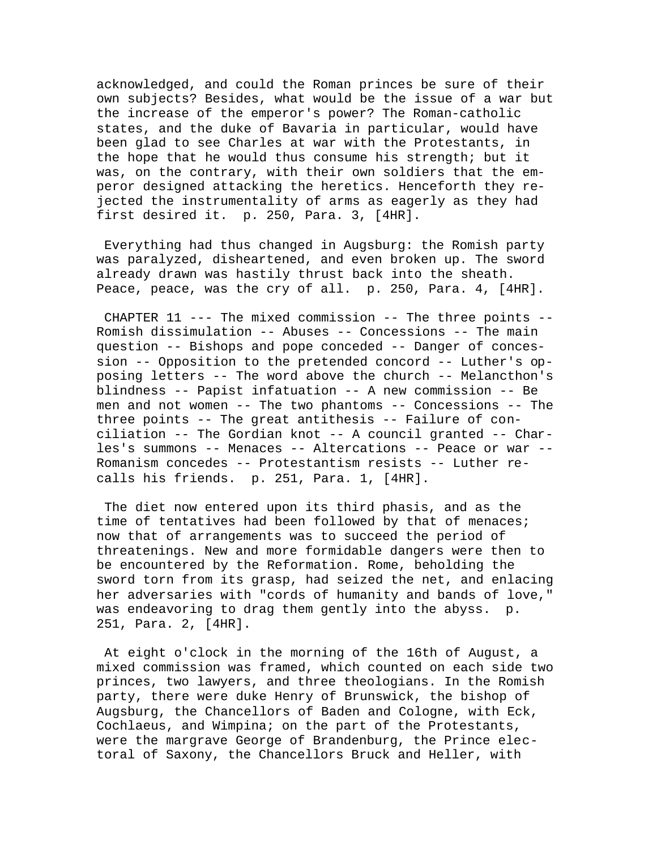acknowledged, and could the Roman princes be sure of their own subjects? Besides, what would be the issue of a war but the increase of the emperor's power? The Roman-catholic states, and the duke of Bavaria in particular, would have been glad to see Charles at war with the Protestants, in the hope that he would thus consume his strength; but it was, on the contrary, with their own soldiers that the emperor designed attacking the heretics. Henceforth they rejected the instrumentality of arms as eagerly as they had first desired it. p. 250, Para. 3, [4HR].

 Everything had thus changed in Augsburg: the Romish party was paralyzed, disheartened, and even broken up. The sword already drawn was hastily thrust back into the sheath. Peace, peace, was the cry of all. p. 250, Para. 4, [4HR].

 CHAPTER 11 --- The mixed commission -- The three points -- Romish dissimulation -- Abuses -- Concessions -- The main question -- Bishops and pope conceded -- Danger of concession -- Opposition to the pretended concord -- Luther's opposing letters -- The word above the church -- Melancthon's blindness -- Papist infatuation -- A new commission -- Be men and not women -- The two phantoms -- Concessions -- The three points -- The great antithesis -- Failure of conciliation -- The Gordian knot -- A council granted -- Charles's summons -- Menaces -- Altercations -- Peace or war -- Romanism concedes -- Protestantism resists -- Luther recalls his friends. p. 251, Para. 1, [4HR].

 The diet now entered upon its third phasis, and as the time of tentatives had been followed by that of menaces; now that of arrangements was to succeed the period of threatenings. New and more formidable dangers were then to be encountered by the Reformation. Rome, beholding the sword torn from its grasp, had seized the net, and enlacing her adversaries with "cords of humanity and bands of love," was endeavoring to drag them gently into the abyss. p. 251, Para. 2, [4HR].

 At eight o'clock in the morning of the 16th of August, a mixed commission was framed, which counted on each side two princes, two lawyers, and three theologians. In the Romish party, there were duke Henry of Brunswick, the bishop of Augsburg, the Chancellors of Baden and Cologne, with Eck, Cochlaeus, and Wimpina; on the part of the Protestants, were the margrave George of Brandenburg, the Prince electoral of Saxony, the Chancellors Bruck and Heller, with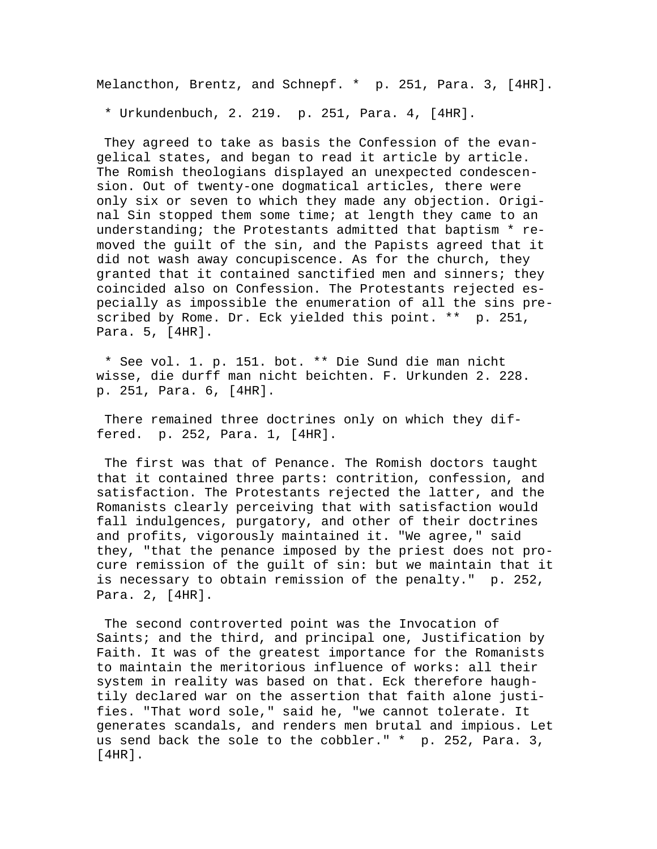Melancthon, Brentz, and Schnepf. \* p. 251, Para. 3, [4HR].

\* Urkundenbuch, 2. 219. p. 251, Para. 4, [4HR].

 They agreed to take as basis the Confession of the evangelical states, and began to read it article by article. The Romish theologians displayed an unexpected condescension. Out of twenty-one dogmatical articles, there were only six or seven to which they made any objection. Original Sin stopped them some time; at length they came to an understanding; the Protestants admitted that baptism \* removed the guilt of the sin, and the Papists agreed that it did not wash away concupiscence. As for the church, they granted that it contained sanctified men and sinners; they coincided also on Confession. The Protestants rejected especially as impossible the enumeration of all the sins prescribed by Rome. Dr. Eck yielded this point. \*\* p. 251, Para. 5, [4HR].

 \* See vol. 1. p. 151. bot. \*\* Die Sund die man nicht wisse, die durff man nicht beichten. F. Urkunden 2. 228. p. 251, Para. 6, [4HR].

 There remained three doctrines only on which they differed. p. 252, Para. 1, [4HR].

 The first was that of Penance. The Romish doctors taught that it contained three parts: contrition, confession, and satisfaction. The Protestants rejected the latter, and the Romanists clearly perceiving that with satisfaction would fall indulgences, purgatory, and other of their doctrines and profits, vigorously maintained it. "We agree," said they, "that the penance imposed by the priest does not procure remission of the guilt of sin: but we maintain that it is necessary to obtain remission of the penalty." p. 252, Para. 2, [4HR].

 The second controverted point was the Invocation of Saints; and the third, and principal one, Justification by Faith. It was of the greatest importance for the Romanists to maintain the meritorious influence of works: all their system in reality was based on that. Eck therefore haughtily declared war on the assertion that faith alone justifies. "That word sole," said he, "we cannot tolerate. It generates scandals, and renders men brutal and impious. Let us send back the sole to the cobbler." \* p. 252, Para. 3, [4HR].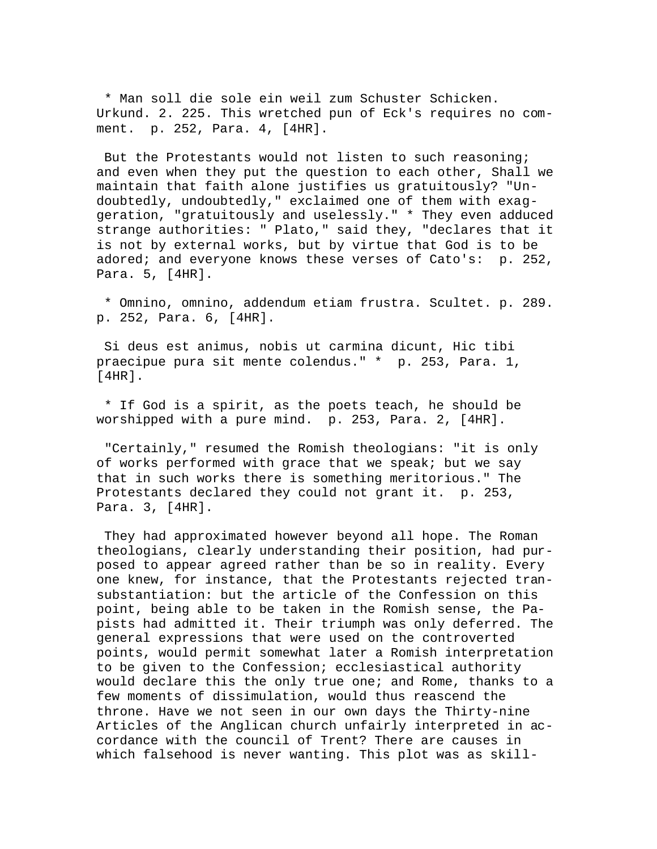\* Man soll die sole ein weil zum Schuster Schicken. Urkund. 2. 225. This wretched pun of Eck's requires no comment. p. 252, Para. 4, [4HR].

 But the Protestants would not listen to such reasoning; and even when they put the question to each other, Shall we maintain that faith alone justifies us gratuitously? "Undoubtedly, undoubtedly," exclaimed one of them with exaggeration, "gratuitously and uselessly." \* They even adduced strange authorities: " Plato," said they, "declares that it is not by external works, but by virtue that God is to be adored; and everyone knows these verses of Cato's: p. 252, Para. 5, [4HR].

 \* Omnino, omnino, addendum etiam frustra. Scultet. p. 289. p. 252, Para. 6, [4HR].

 Si deus est animus, nobis ut carmina dicunt, Hic tibi praecipue pura sit mente colendus." \* p. 253, Para. 1, [4HR].

 \* If God is a spirit, as the poets teach, he should be worshipped with a pure mind. p. 253, Para. 2, [4HR].

 "Certainly," resumed the Romish theologians: "it is only of works performed with grace that we speak; but we say that in such works there is something meritorious." The Protestants declared they could not grant it. p. 253, Para. 3, [4HR].

 They had approximated however beyond all hope. The Roman theologians, clearly understanding their position, had purposed to appear agreed rather than be so in reality. Every one knew, for instance, that the Protestants rejected transubstantiation: but the article of the Confession on this point, being able to be taken in the Romish sense, the Papists had admitted it. Their triumph was only deferred. The general expressions that were used on the controverted points, would permit somewhat later a Romish interpretation to be given to the Confession; ecclesiastical authority would declare this the only true one; and Rome, thanks to a few moments of dissimulation, would thus reascend the throne. Have we not seen in our own days the Thirty-nine Articles of the Anglican church unfairly interpreted in accordance with the council of Trent? There are causes in which falsehood is never wanting. This plot was as skill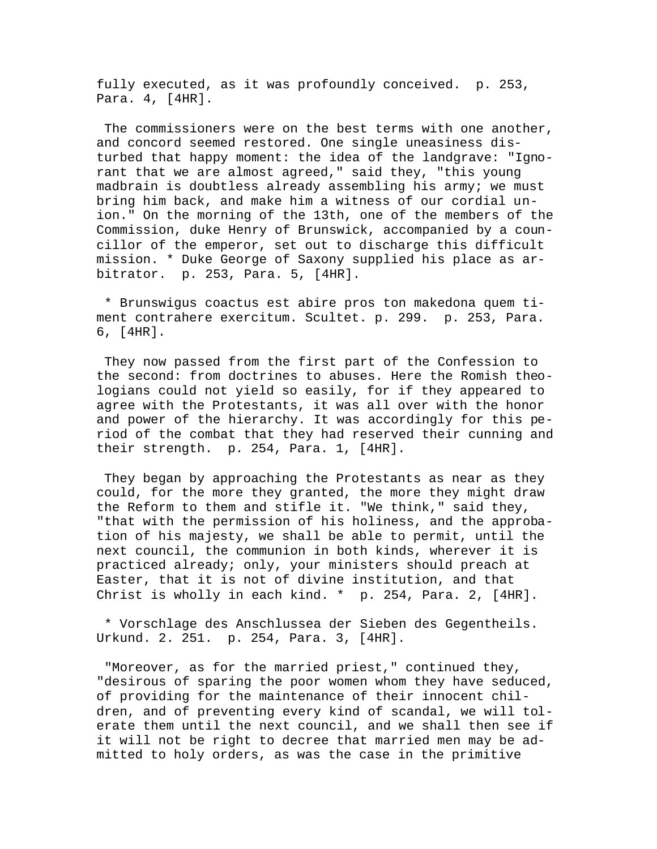fully executed, as it was profoundly conceived. p. 253, Para. 4, [4HR].

 The commissioners were on the best terms with one another, and concord seemed restored. One single uneasiness disturbed that happy moment: the idea of the landgrave: "Ignorant that we are almost agreed," said they, "this young madbrain is doubtless already assembling his army; we must bring him back, and make him a witness of our cordial union." On the morning of the 13th, one of the members of the Commission, duke Henry of Brunswick, accompanied by a councillor of the emperor, set out to discharge this difficult mission. \* Duke George of Saxony supplied his place as arbitrator. p. 253, Para. 5, [4HR].

 \* Brunswigus coactus est abire pros ton makedona quem timent contrahere exercitum. Scultet. p. 299. p. 253, Para. 6, [4HR].

 They now passed from the first part of the Confession to the second: from doctrines to abuses. Here the Romish theologians could not yield so easily, for if they appeared to agree with the Protestants, it was all over with the honor and power of the hierarchy. It was accordingly for this period of the combat that they had reserved their cunning and their strength. p. 254, Para. 1, [4HR].

 They began by approaching the Protestants as near as they could, for the more they granted, the more they might draw the Reform to them and stifle it. "We think," said they, "that with the permission of his holiness, and the approbation of his majesty, we shall be able to permit, until the next council, the communion in both kinds, wherever it is practiced already; only, your ministers should preach at Easter, that it is not of divine institution, and that Christ is wholly in each kind. \* p. 254, Para. 2, [4HR].

 \* Vorschlage des Anschlussea der Sieben des Gegentheils. Urkund. 2. 251. p. 254, Para. 3, [4HR].

 "Moreover, as for the married priest," continued they, "desirous of sparing the poor women whom they have seduced, of providing for the maintenance of their innocent children, and of preventing every kind of scandal, we will tolerate them until the next council, and we shall then see if it will not be right to decree that married men may be admitted to holy orders, as was the case in the primitive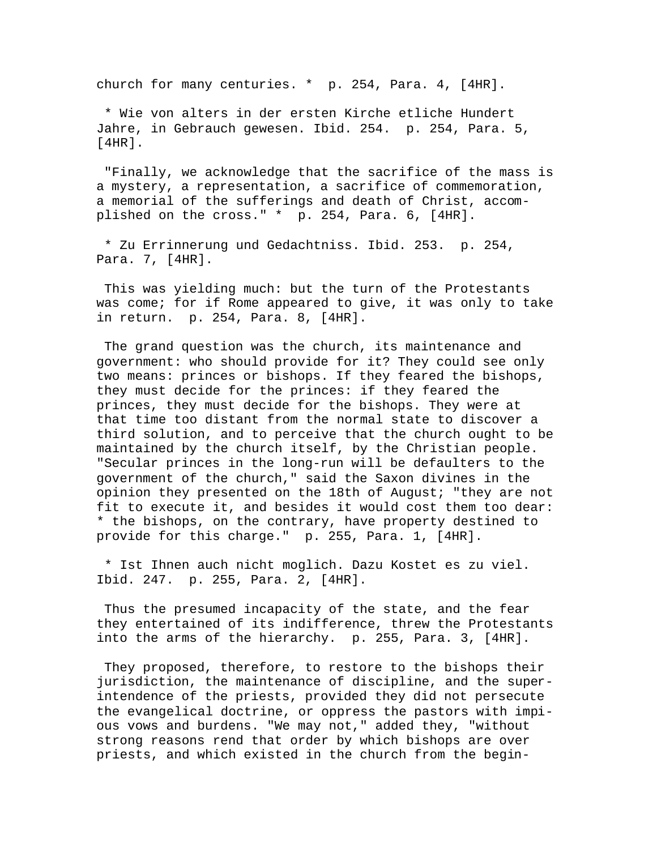church for many centuries. \* p. 254, Para. 4, [4HR].

 \* Wie von alters in der ersten Kirche etliche Hundert Jahre, in Gebrauch gewesen. Ibid. 254. p. 254, Para. 5,  $[4HR]$ .

 "Finally, we acknowledge that the sacrifice of the mass is a mystery, a representation, a sacrifice of commemoration, a memorial of the sufferings and death of Christ, accomplished on the cross." \* p. 254, Para. 6, [4HR].

 \* Zu Errinnerung und Gedachtniss. Ibid. 253. p. 254, Para. 7, [4HR].

 This was yielding much: but the turn of the Protestants was come; for if Rome appeared to give, it was only to take in return. p. 254, Para. 8, [4HR].

 The grand question was the church, its maintenance and government: who should provide for it? They could see only two means: princes or bishops. If they feared the bishops, they must decide for the princes: if they feared the princes, they must decide for the bishops. They were at that time too distant from the normal state to discover a third solution, and to perceive that the church ought to be maintained by the church itself, by the Christian people. "Secular princes in the long-run will be defaulters to the government of the church," said the Saxon divines in the opinion they presented on the 18th of August; "they are not fit to execute it, and besides it would cost them too dear: \* the bishops, on the contrary, have property destined to provide for this charge." p. 255, Para. 1, [4HR].

 \* Ist Ihnen auch nicht moglich. Dazu Kostet es zu viel. Ibid. 247. p. 255, Para. 2, [4HR].

 Thus the presumed incapacity of the state, and the fear they entertained of its indifference, threw the Protestants into the arms of the hierarchy. p. 255, Para. 3, [4HR].

 They proposed, therefore, to restore to the bishops their jurisdiction, the maintenance of discipline, and the superintendence of the priests, provided they did not persecute the evangelical doctrine, or oppress the pastors with impious vows and burdens. "We may not," added they, "without strong reasons rend that order by which bishops are over priests, and which existed in the church from the begin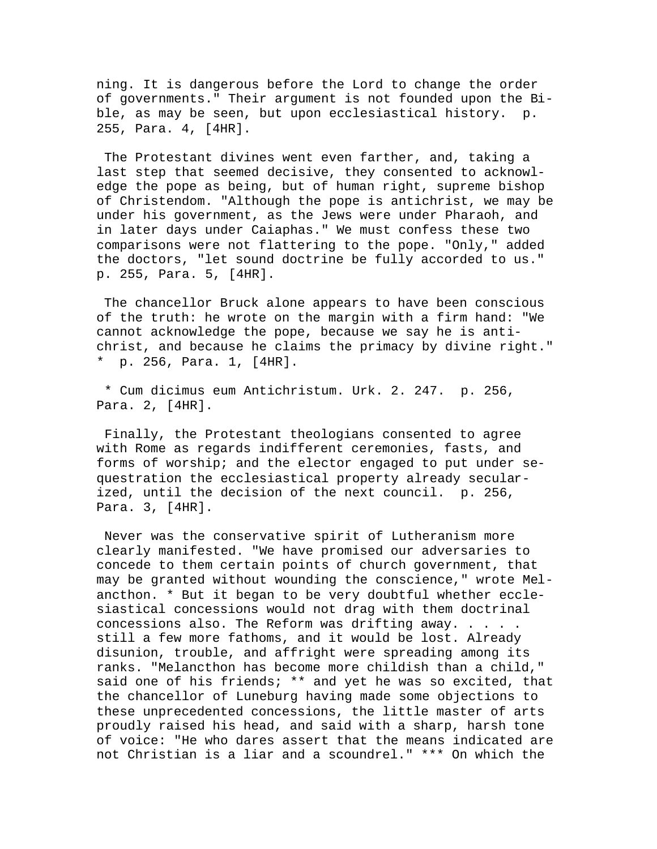ning. It is dangerous before the Lord to change the order of governments." Their argument is not founded upon the Bible, as may be seen, but upon ecclesiastical history. p. 255, Para. 4, [4HR].

 The Protestant divines went even farther, and, taking a last step that seemed decisive, they consented to acknowledge the pope as being, but of human right, supreme bishop of Christendom. "Although the pope is antichrist, we may be under his government, as the Jews were under Pharaoh, and in later days under Caiaphas." We must confess these two comparisons were not flattering to the pope. "Only," added the doctors, "let sound doctrine be fully accorded to us." p. 255, Para. 5, [4HR].

 The chancellor Bruck alone appears to have been conscious of the truth: he wrote on the margin with a firm hand: "We cannot acknowledge the pope, because we say he is antichrist, and because he claims the primacy by divine right." \* p. 256, Para. 1, [4HR].

 \* Cum dicimus eum Antichristum. Urk. 2. 247. p. 256, Para. 2, [4HR].

 Finally, the Protestant theologians consented to agree with Rome as regards indifferent ceremonies, fasts, and forms of worship; and the elector engaged to put under sequestration the ecclesiastical property already secularized, until the decision of the next council. p. 256, Para. 3, [4HR].

 Never was the conservative spirit of Lutheranism more clearly manifested. "We have promised our adversaries to concede to them certain points of church government, that may be granted without wounding the conscience," wrote Melancthon. \* But it began to be very doubtful whether ecclesiastical concessions would not drag with them doctrinal concessions also. The Reform was drifting away. . . . . still a few more fathoms, and it would be lost. Already disunion, trouble, and affright were spreading among its ranks. "Melancthon has become more childish than a child," said one of his friends; \*\* and yet he was so excited, that the chancellor of Luneburg having made some objections to these unprecedented concessions, the little master of arts proudly raised his head, and said with a sharp, harsh tone of voice: "He who dares assert that the means indicated are not Christian is a liar and a scoundrel." \*\*\* On which the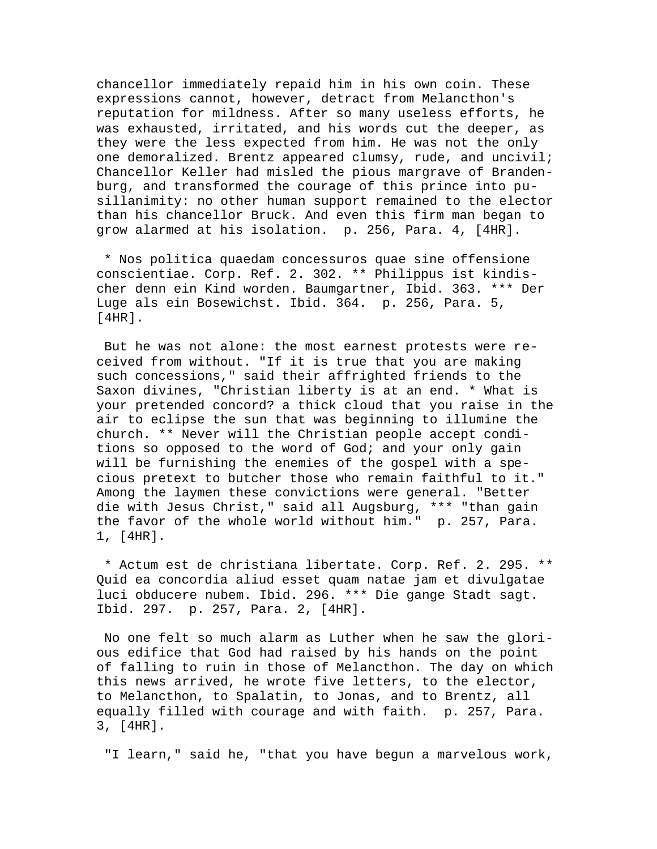chancellor immediately repaid him in his own coin. These expressions cannot, however, detract from Melancthon's reputation for mildness. After so many useless efforts, he was exhausted, irritated, and his words cut the deeper, as they were the less expected from him. He was not the only one demoralized. Brentz appeared clumsy, rude, and uncivil; Chancellor Keller had misled the pious margrave of Brandenburg, and transformed the courage of this prince into pusillanimity: no other human support remained to the elector than his chancellor Bruck. And even this firm man began to grow alarmed at his isolation. p. 256, Para. 4, [4HR].

 \* Nos politica quaedam concessuros quae sine offensione conscientiae. Corp. Ref. 2. 302. \*\* Philippus ist kindischer denn ein Kind worden. Baumgartner, Ibid. 363. \*\*\* Der Luge als ein Bosewichst. Ibid. 364. p. 256, Para. 5, [4HR].

 But he was not alone: the most earnest protests were received from without. "If it is true that you are making such concessions," said their affrighted friends to the Saxon divines, "Christian liberty is at an end. \* What is your pretended concord? a thick cloud that you raise in the air to eclipse the sun that was beginning to illumine the church. \*\* Never will the Christian people accept conditions so opposed to the word of God; and your only gain will be furnishing the enemies of the gospel with a specious pretext to butcher those who remain faithful to it." Among the laymen these convictions were general. "Better die with Jesus Christ," said all Augsburg, \*\*\* "than gain the favor of the whole world without him." p. 257, Para. 1, [4HR].

 \* Actum est de christiana libertate. Corp. Ref. 2. 295. \*\* Quid ea concordia aliud esset quam natae jam et divulgatae luci obducere nubem. Ibid. 296. \*\*\* Die gange Stadt sagt. Ibid. 297. p. 257, Para. 2, [4HR].

 No one felt so much alarm as Luther when he saw the glorious edifice that God had raised by his hands on the point of falling to ruin in those of Melancthon. The day on which this news arrived, he wrote five letters, to the elector, to Melancthon, to Spalatin, to Jonas, and to Brentz, all equally filled with courage and with faith. p. 257, Para. 3, [4HR].

"I learn," said he, "that you have begun a marvelous work,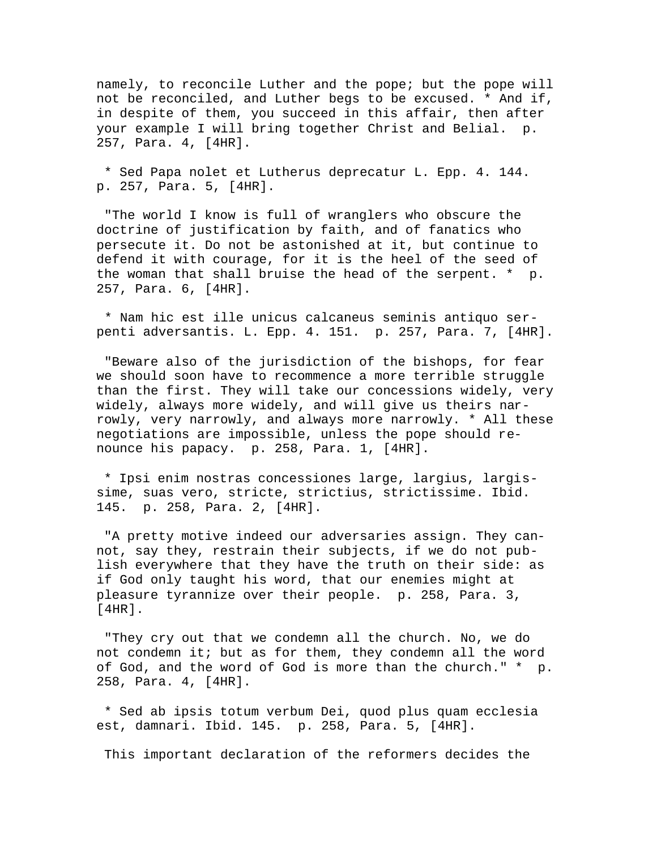namely, to reconcile Luther and the pope; but the pope will not be reconciled, and Luther begs to be excused. \* And if, in despite of them, you succeed in this affair, then after your example I will bring together Christ and Belial. p. 257, Para. 4, [4HR].

 \* Sed Papa nolet et Lutherus deprecatur L. Epp. 4. 144. p. 257, Para. 5, [4HR].

 "The world I know is full of wranglers who obscure the doctrine of justification by faith, and of fanatics who persecute it. Do not be astonished at it, but continue to defend it with courage, for it is the heel of the seed of the woman that shall bruise the head of the serpent. \* p. 257, Para. 6, [4HR].

 \* Nam hic est ille unicus calcaneus seminis antiquo serpenti adversantis. L. Epp. 4. 151. p. 257, Para. 7, [4HR].

 "Beware also of the jurisdiction of the bishops, for fear we should soon have to recommence a more terrible struggle than the first. They will take our concessions widely, very widely, always more widely, and will give us theirs narrowly, very narrowly, and always more narrowly. \* All these negotiations are impossible, unless the pope should renounce his papacy. p. 258, Para. 1, [4HR].

 \* Ipsi enim nostras concessiones large, largius, largissime, suas vero, stricte, strictius, strictissime. Ibid. 145. p. 258, Para. 2, [4HR].

 "A pretty motive indeed our adversaries assign. They cannot, say they, restrain their subjects, if we do not publish everywhere that they have the truth on their side: as if God only taught his word, that our enemies might at pleasure tyrannize over their people. p. 258, Para. 3, [4HR].

 "They cry out that we condemn all the church. No, we do not condemn it; but as for them, they condemn all the word of God, and the word of God is more than the church." \* p. 258, Para. 4, [4HR].

 \* Sed ab ipsis totum verbum Dei, quod plus quam ecclesia est, damnari. Ibid. 145. p. 258, Para. 5, [4HR].

This important declaration of the reformers decides the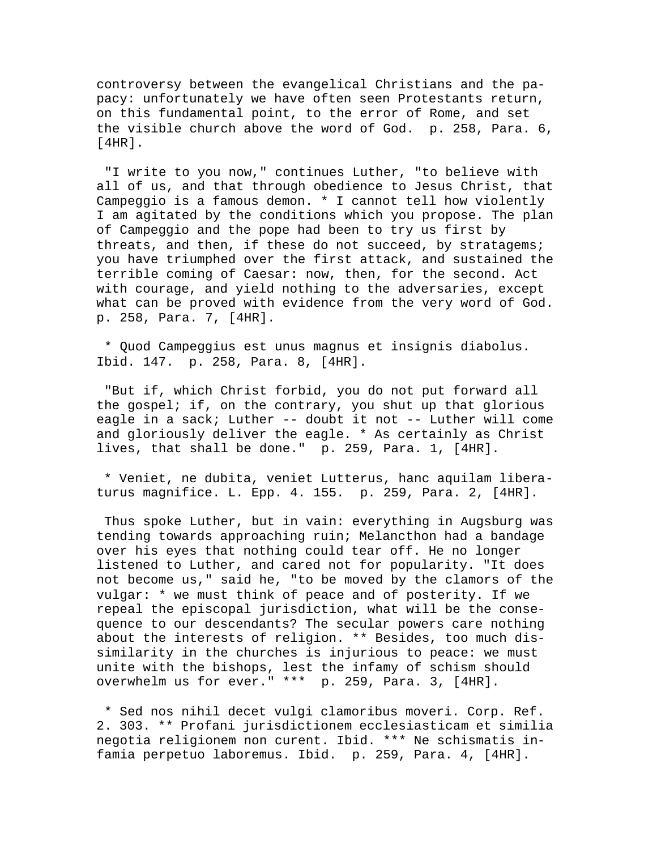controversy between the evangelical Christians and the papacy: unfortunately we have often seen Protestants return, on this fundamental point, to the error of Rome, and set the visible church above the word of God. p. 258, Para. 6, [4HR].

 "I write to you now," continues Luther, "to believe with all of us, and that through obedience to Jesus Christ, that Campeggio is a famous demon. \* I cannot tell how violently I am agitated by the conditions which you propose. The plan of Campeggio and the pope had been to try us first by threats, and then, if these do not succeed, by stratagems; you have triumphed over the first attack, and sustained the terrible coming of Caesar: now, then, for the second. Act with courage, and yield nothing to the adversaries, except what can be proved with evidence from the very word of God. p. 258, Para. 7, [4HR].

 \* Quod Campeggius est unus magnus et insignis diabolus. Ibid. 147. p. 258, Para. 8, [4HR].

 "But if, which Christ forbid, you do not put forward all the gospel; if, on the contrary, you shut up that glorious eagle in a sack; Luther -- doubt it not -- Luther will come and gloriously deliver the eagle. \* As certainly as Christ lives, that shall be done." p. 259, Para. 1, [4HR].

 \* Veniet, ne dubita, veniet Lutterus, hanc aquilam liberaturus magnifice. L. Epp. 4. 155. p. 259, Para. 2, [4HR].

 Thus spoke Luther, but in vain: everything in Augsburg was tending towards approaching ruin; Melancthon had a bandage over his eyes that nothing could tear off. He no longer listened to Luther, and cared not for popularity. "It does not become us," said he, "to be moved by the clamors of the vulgar: \* we must think of peace and of posterity. If we repeal the episcopal jurisdiction, what will be the consequence to our descendants? The secular powers care nothing about the interests of religion. \*\* Besides, too much dissimilarity in the churches is injurious to peace: we must unite with the bishops, lest the infamy of schism should overwhelm us for ever." \*\*\* p. 259, Para. 3, [4HR].

 \* Sed nos nihil decet vulgi clamoribus moveri. Corp. Ref. 2. 303. \*\* Profani jurisdictionem ecclesiasticam et similia negotia religionem non curent. Ibid. \*\*\* Ne schismatis infamia perpetuo laboremus. Ibid. p. 259, Para. 4, [4HR].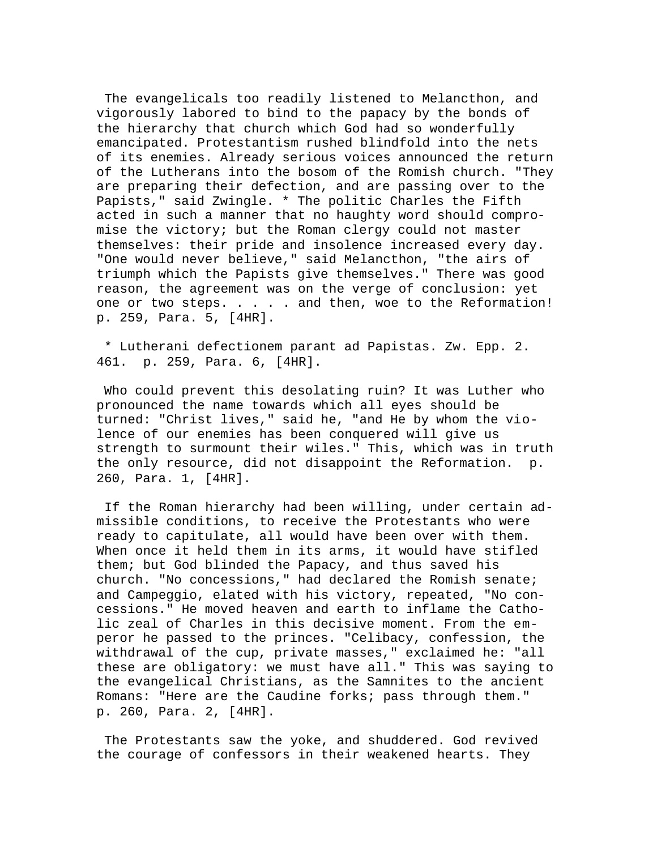The evangelicals too readily listened to Melancthon, and vigorously labored to bind to the papacy by the bonds of the hierarchy that church which God had so wonderfully emancipated. Protestantism rushed blindfold into the nets of its enemies. Already serious voices announced the return of the Lutherans into the bosom of the Romish church. "They are preparing their defection, and are passing over to the Papists," said Zwingle. \* The politic Charles the Fifth acted in such a manner that no haughty word should compromise the victory; but the Roman clergy could not master themselves: their pride and insolence increased every day. "One would never believe," said Melancthon, "the airs of triumph which the Papists give themselves." There was good reason, the agreement was on the verge of conclusion: yet one or two steps. . . . . and then, woe to the Reformation! p. 259, Para. 5, [4HR].

 \* Lutherani defectionem parant ad Papistas. Zw. Epp. 2. 461. p. 259, Para. 6, [4HR].

 Who could prevent this desolating ruin? It was Luther who pronounced the name towards which all eyes should be turned: "Christ lives," said he, "and He by whom the violence of our enemies has been conquered will give us strength to surmount their wiles." This, which was in truth the only resource, did not disappoint the Reformation. p. 260, Para. 1, [4HR].

 If the Roman hierarchy had been willing, under certain admissible conditions, to receive the Protestants who were ready to capitulate, all would have been over with them. When once it held them in its arms, it would have stifled them; but God blinded the Papacy, and thus saved his church. "No concessions," had declared the Romish senate; and Campeggio, elated with his victory, repeated, "No concessions." He moved heaven and earth to inflame the Catholic zeal of Charles in this decisive moment. From the emperor he passed to the princes. "Celibacy, confession, the withdrawal of the cup, private masses," exclaimed he: "all these are obligatory: we must have all." This was saying to the evangelical Christians, as the Samnites to the ancient Romans: "Here are the Caudine forks; pass through them." p. 260, Para. 2, [4HR].

 The Protestants saw the yoke, and shuddered. God revived the courage of confessors in their weakened hearts. They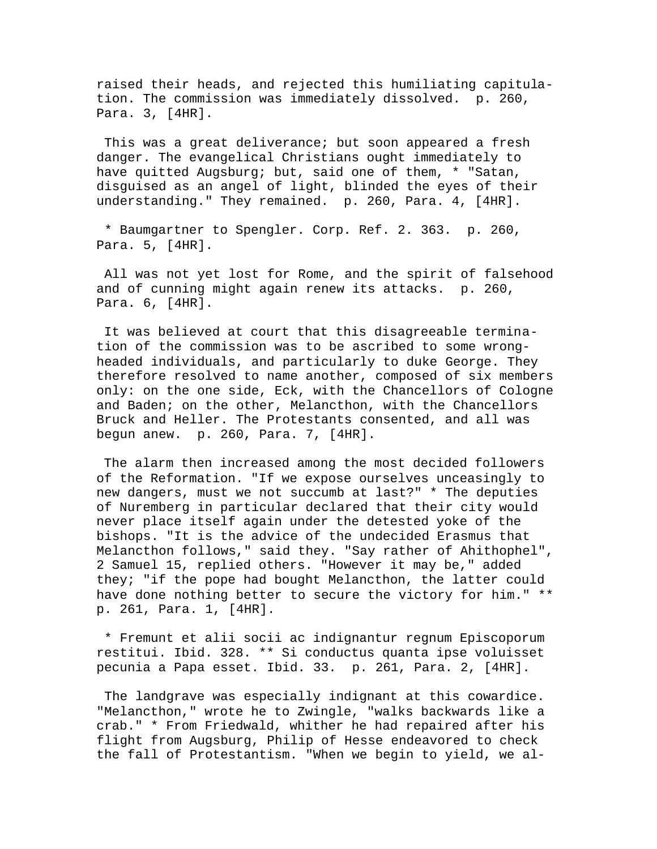raised their heads, and rejected this humiliating capitulation. The commission was immediately dissolved. p. 260, Para. 3, [4HR].

 This was a great deliverance; but soon appeared a fresh danger. The evangelical Christians ought immediately to have quitted Augsburg; but, said one of them, \* "Satan, disguised as an angel of light, blinded the eyes of their understanding." They remained. p. 260, Para. 4, [4HR].

 \* Baumgartner to Spengler. Corp. Ref. 2. 363. p. 260, Para. 5, [4HR].

 All was not yet lost for Rome, and the spirit of falsehood and of cunning might again renew its attacks. p. 260, Para. 6, [4HR].

 It was believed at court that this disagreeable termination of the commission was to be ascribed to some wrongheaded individuals, and particularly to duke George. They therefore resolved to name another, composed of six members only: on the one side, Eck, with the Chancellors of Cologne and Baden; on the other, Melancthon, with the Chancellors Bruck and Heller. The Protestants consented, and all was begun anew. p. 260, Para. 7, [4HR].

 The alarm then increased among the most decided followers of the Reformation. "If we expose ourselves unceasingly to new dangers, must we not succumb at last?" \* The deputies of Nuremberg in particular declared that their city would never place itself again under the detested yoke of the bishops. "It is the advice of the undecided Erasmus that Melancthon follows," said they. "Say rather of Ahithophel", 2 Samuel 15, replied others. "However it may be," added they; "if the pope had bought Melancthon, the latter could have done nothing better to secure the victory for him." \*\* p. 261, Para. 1, [4HR].

 \* Fremunt et alii socii ac indignantur regnum Episcoporum restitui. Ibid. 328. \*\* Si conductus quanta ipse voluisset pecunia a Papa esset. Ibid. 33. p. 261, Para. 2, [4HR].

 The landgrave was especially indignant at this cowardice. "Melancthon," wrote he to Zwingle, "walks backwards like a crab." \* From Friedwald, whither he had repaired after his flight from Augsburg, Philip of Hesse endeavored to check the fall of Protestantism. "When we begin to yield, we al-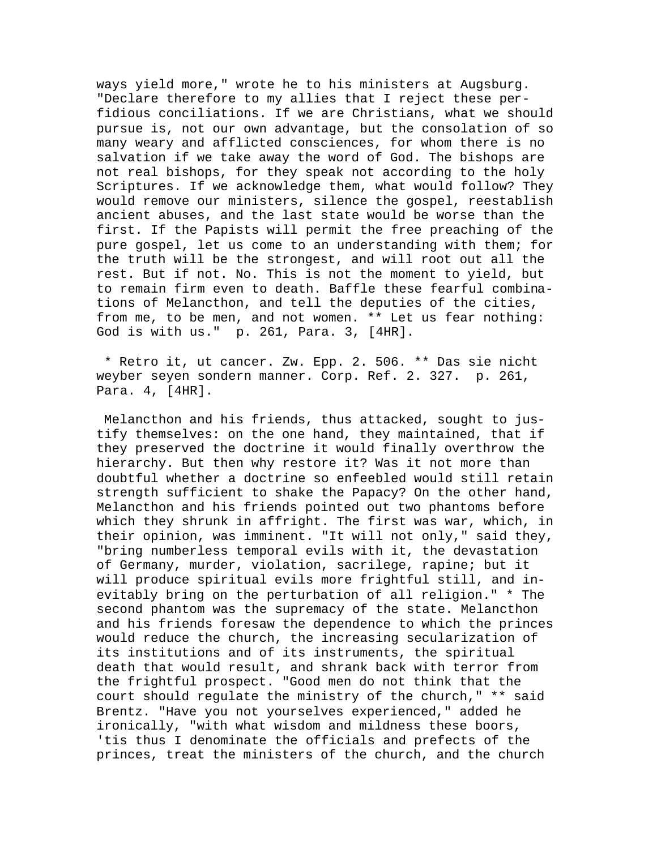ways yield more," wrote he to his ministers at Augsburg. "Declare therefore to my allies that I reject these perfidious conciliations. If we are Christians, what we should pursue is, not our own advantage, but the consolation of so many weary and afflicted consciences, for whom there is no salvation if we take away the word of God. The bishops are not real bishops, for they speak not according to the holy Scriptures. If we acknowledge them, what would follow? They would remove our ministers, silence the gospel, reestablish ancient abuses, and the last state would be worse than the first. If the Papists will permit the free preaching of the pure gospel, let us come to an understanding with them; for the truth will be the strongest, and will root out all the rest. But if not. No. This is not the moment to yield, but to remain firm even to death. Baffle these fearful combinations of Melancthon, and tell the deputies of the cities, from me, to be men, and not women. \*\* Let us fear nothing: God is with us." p. 261, Para. 3, [4HR].

 \* Retro it, ut cancer. Zw. Epp. 2. 506. \*\* Das sie nicht weyber seyen sondern manner. Corp. Ref. 2. 327. p. 261, Para. 4, [4HR].

 Melancthon and his friends, thus attacked, sought to justify themselves: on the one hand, they maintained, that if they preserved the doctrine it would finally overthrow the hierarchy. But then why restore it? Was it not more than doubtful whether a doctrine so enfeebled would still retain strength sufficient to shake the Papacy? On the other hand, Melancthon and his friends pointed out two phantoms before which they shrunk in affright. The first was war, which, in their opinion, was imminent. "It will not only," said they, "bring numberless temporal evils with it, the devastation of Germany, murder, violation, sacrilege, rapine; but it will produce spiritual evils more frightful still, and inevitably bring on the perturbation of all religion." \* The second phantom was the supremacy of the state. Melancthon and his friends foresaw the dependence to which the princes would reduce the church, the increasing secularization of its institutions and of its instruments, the spiritual death that would result, and shrank back with terror from the frightful prospect. "Good men do not think that the court should regulate the ministry of the church," \*\* said Brentz. "Have you not yourselves experienced," added he ironically, "with what wisdom and mildness these boors, 'tis thus I denominate the officials and prefects of the princes, treat the ministers of the church, and the church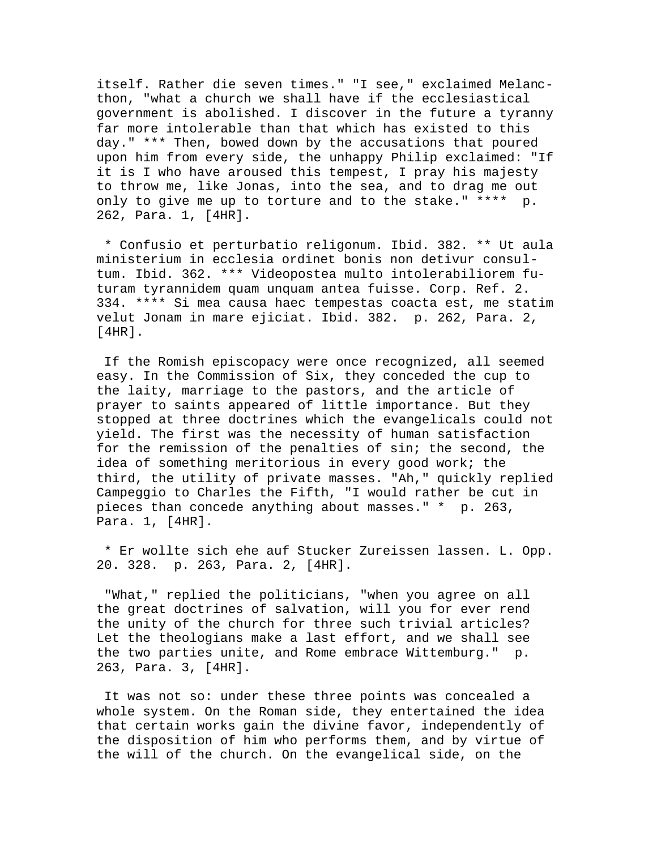itself. Rather die seven times." "I see," exclaimed Melancthon, "what a church we shall have if the ecclesiastical government is abolished. I discover in the future a tyranny far more intolerable than that which has existed to this day." \*\*\* Then, bowed down by the accusations that poured upon him from every side, the unhappy Philip exclaimed: "If it is I who have aroused this tempest, I pray his majesty to throw me, like Jonas, into the sea, and to drag me out only to give me up to torture and to the stake." \*\*\*\* p. 262, Para. 1, [4HR].

 \* Confusio et perturbatio religonum. Ibid. 382. \*\* Ut aula ministerium in ecclesia ordinet bonis non detivur consultum. Ibid. 362. \*\*\* Videopostea multo intolerabiliorem futuram tyrannidem quam unquam antea fuisse. Corp. Ref. 2. 334. \*\*\*\* Si mea causa haec tempestas coacta est, me statim velut Jonam in mare ejiciat. Ibid. 382. p. 262, Para. 2, [4HR].

 If the Romish episcopacy were once recognized, all seemed easy. In the Commission of Six, they conceded the cup to the laity, marriage to the pastors, and the article of prayer to saints appeared of little importance. But they stopped at three doctrines which the evangelicals could not yield. The first was the necessity of human satisfaction for the remission of the penalties of sin; the second, the idea of something meritorious in every good work; the third, the utility of private masses. "Ah," quickly replied Campeggio to Charles the Fifth, "I would rather be cut in pieces than concede anything about masses." \* p. 263, Para. 1, [4HR].

 \* Er wollte sich ehe auf Stucker Zureissen lassen. L. Opp. 20. 328. p. 263, Para. 2, [4HR].

 "What," replied the politicians, "when you agree on all the great doctrines of salvation, will you for ever rend the unity of the church for three such trivial articles? Let the theologians make a last effort, and we shall see the two parties unite, and Rome embrace Wittemburg." p. 263, Para. 3, [4HR].

 It was not so: under these three points was concealed a whole system. On the Roman side, they entertained the idea that certain works gain the divine favor, independently of the disposition of him who performs them, and by virtue of the will of the church. On the evangelical side, on the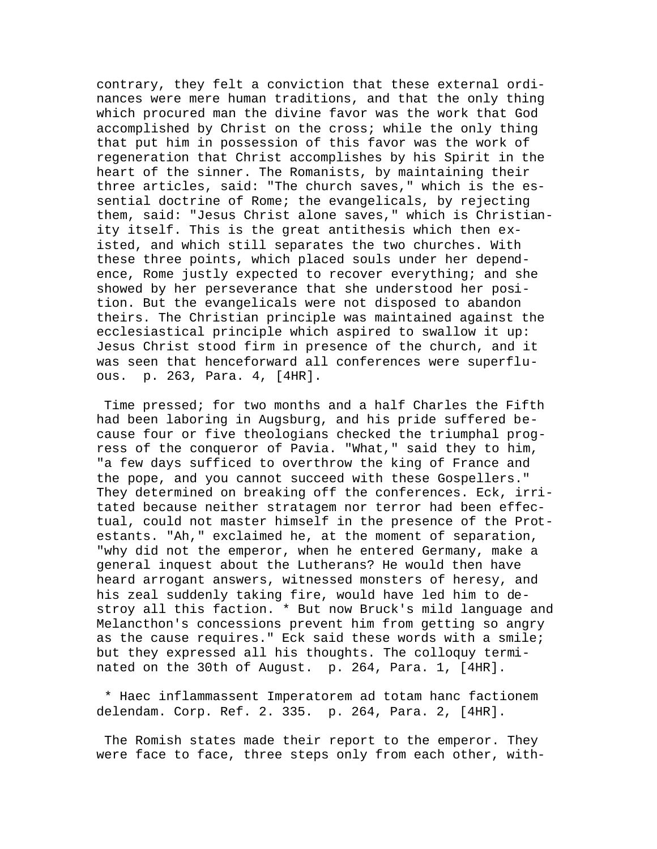contrary, they felt a conviction that these external ordinances were mere human traditions, and that the only thing which procured man the divine favor was the work that God accomplished by Christ on the cross; while the only thing that put him in possession of this favor was the work of regeneration that Christ accomplishes by his Spirit in the heart of the sinner. The Romanists, by maintaining their three articles, said: "The church saves," which is the essential doctrine of Rome; the evangelicals, by rejecting them, said: "Jesus Christ alone saves," which is Christianity itself. This is the great antithesis which then existed, and which still separates the two churches. With these three points, which placed souls under her dependence, Rome justly expected to recover everything; and she showed by her perseverance that she understood her position. But the evangelicals were not disposed to abandon theirs. The Christian principle was maintained against the ecclesiastical principle which aspired to swallow it up: Jesus Christ stood firm in presence of the church, and it was seen that henceforward all conferences were superfluous. p. 263, Para. 4, [4HR].

 Time pressed; for two months and a half Charles the Fifth had been laboring in Augsburg, and his pride suffered because four or five theologians checked the triumphal progress of the conqueror of Pavia. "What," said they to him, "a few days sufficed to overthrow the king of France and the pope, and you cannot succeed with these Gospellers." They determined on breaking off the conferences. Eck, irritated because neither stratagem nor terror had been effectual, could not master himself in the presence of the Protestants. "Ah," exclaimed he, at the moment of separation, "why did not the emperor, when he entered Germany, make a general inquest about the Lutherans? He would then have heard arrogant answers, witnessed monsters of heresy, and his zeal suddenly taking fire, would have led him to destroy all this faction. \* But now Bruck's mild language and Melancthon's concessions prevent him from getting so angry as the cause requires." Eck said these words with a smile; but they expressed all his thoughts. The colloquy terminated on the 30th of August. p. 264, Para. 1, [4HR].

 \* Haec inflammassent Imperatorem ad totam hanc factionem delendam. Corp. Ref. 2. 335. p. 264, Para. 2, [4HR].

 The Romish states made their report to the emperor. They were face to face, three steps only from each other, with-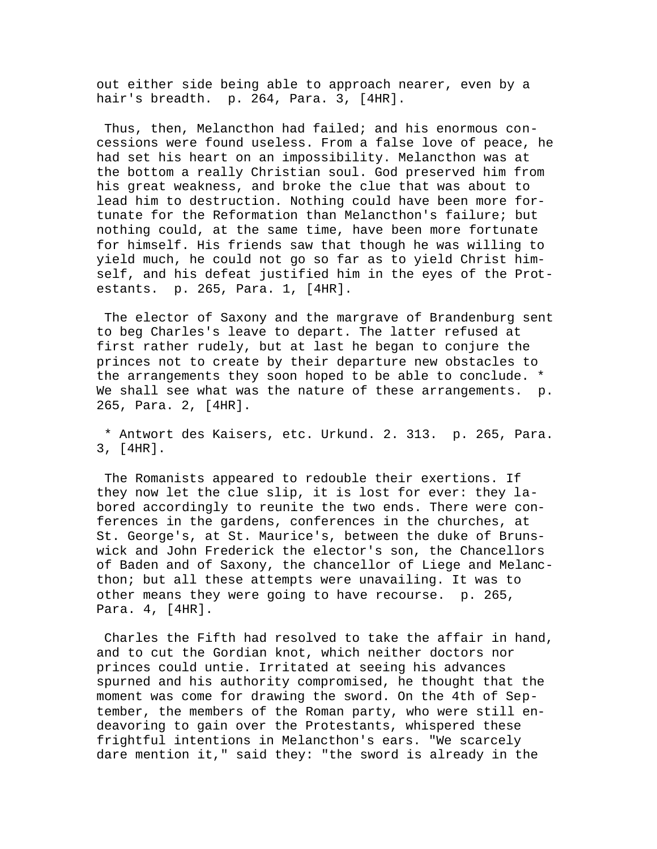out either side being able to approach nearer, even by a hair's breadth. p. 264, Para. 3, [4HR].

 Thus, then, Melancthon had failed; and his enormous concessions were found useless. From a false love of peace, he had set his heart on an impossibility. Melancthon was at the bottom a really Christian soul. God preserved him from his great weakness, and broke the clue that was about to lead him to destruction. Nothing could have been more fortunate for the Reformation than Melancthon's failure; but nothing could, at the same time, have been more fortunate for himself. His friends saw that though he was willing to yield much, he could not go so far as to yield Christ himself, and his defeat justified him in the eyes of the Protestants. p. 265, Para. 1, [4HR].

 The elector of Saxony and the margrave of Brandenburg sent to beg Charles's leave to depart. The latter refused at first rather rudely, but at last he began to conjure the princes not to create by their departure new obstacles to the arrangements they soon hoped to be able to conclude. \* We shall see what was the nature of these arrangements. p. 265, Para. 2, [4HR].

 \* Antwort des Kaisers, etc. Urkund. 2. 313. p. 265, Para. 3, [4HR].

 The Romanists appeared to redouble their exertions. If they now let the clue slip, it is lost for ever: they labored accordingly to reunite the two ends. There were conferences in the gardens, conferences in the churches, at St. George's, at St. Maurice's, between the duke of Brunswick and John Frederick the elector's son, the Chancellors of Baden and of Saxony, the chancellor of Liege and Melancthon; but all these attempts were unavailing. It was to other means they were going to have recourse. p. 265, Para. 4, [4HR].

 Charles the Fifth had resolved to take the affair in hand, and to cut the Gordian knot, which neither doctors nor princes could untie. Irritated at seeing his advances spurned and his authority compromised, he thought that the moment was come for drawing the sword. On the 4th of September, the members of the Roman party, who were still endeavoring to gain over the Protestants, whispered these frightful intentions in Melancthon's ears. "We scarcely dare mention it," said they: "the sword is already in the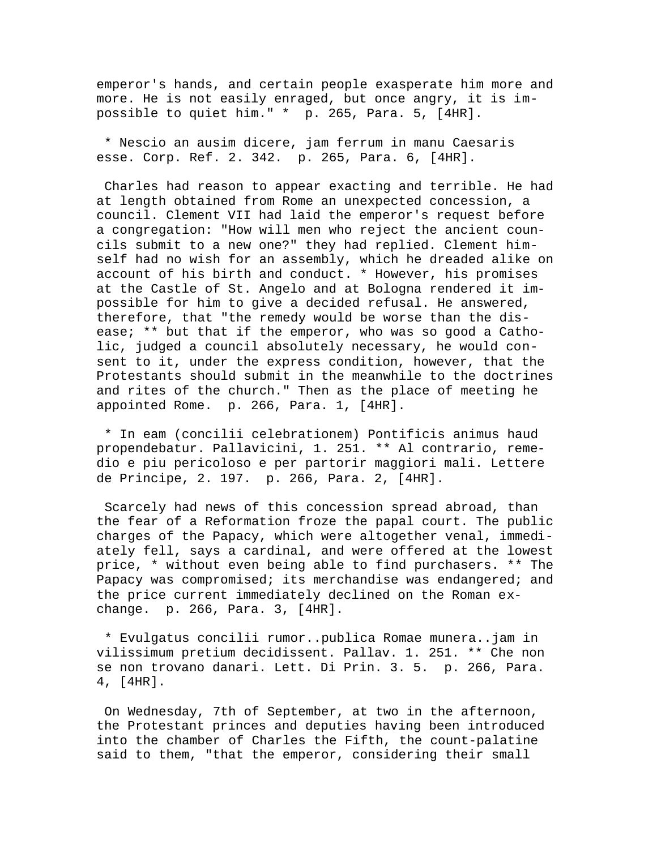emperor's hands, and certain people exasperate him more and more. He is not easily enraged, but once angry, it is impossible to quiet him." \* p. 265, Para. 5, [4HR].

 \* Nescio an ausim dicere, jam ferrum in manu Caesaris esse. Corp. Ref. 2. 342. p. 265, Para. 6, [4HR].

 Charles had reason to appear exacting and terrible. He had at length obtained from Rome an unexpected concession, a council. Clement VII had laid the emperor's request before a congregation: "How will men who reject the ancient councils submit to a new one?" they had replied. Clement himself had no wish for an assembly, which he dreaded alike on account of his birth and conduct. \* However, his promises at the Castle of St. Angelo and at Bologna rendered it impossible for him to give a decided refusal. He answered, therefore, that "the remedy would be worse than the disease; \*\* but that if the emperor, who was so good a Catholic, judged a council absolutely necessary, he would consent to it, under the express condition, however, that the Protestants should submit in the meanwhile to the doctrines and rites of the church." Then as the place of meeting he appointed Rome. p. 266, Para. 1, [4HR].

 \* In eam (concilii celebrationem) Pontificis animus haud propendebatur. Pallavicini, 1. 251. \*\* Al contrario, remedio e piu pericoloso e per partorir maggiori mali. Lettere de Principe, 2. 197. p. 266, Para. 2, [4HR].

 Scarcely had news of this concession spread abroad, than the fear of a Reformation froze the papal court. The public charges of the Papacy, which were altogether venal, immediately fell, says a cardinal, and were offered at the lowest price, \* without even being able to find purchasers. \*\* The Papacy was compromised; its merchandise was endangered; and the price current immediately declined on the Roman exchange. p. 266, Para. 3, [4HR].

 \* Evulgatus concilii rumor..publica Romae munera..jam in vilissimum pretium decidissent. Pallav. 1. 251. \*\* Che non se non trovano danari. Lett. Di Prin. 3. 5. p. 266, Para. 4, [4HR].

 On Wednesday, 7th of September, at two in the afternoon, the Protestant princes and deputies having been introduced into the chamber of Charles the Fifth, the count-palatine said to them, "that the emperor, considering their small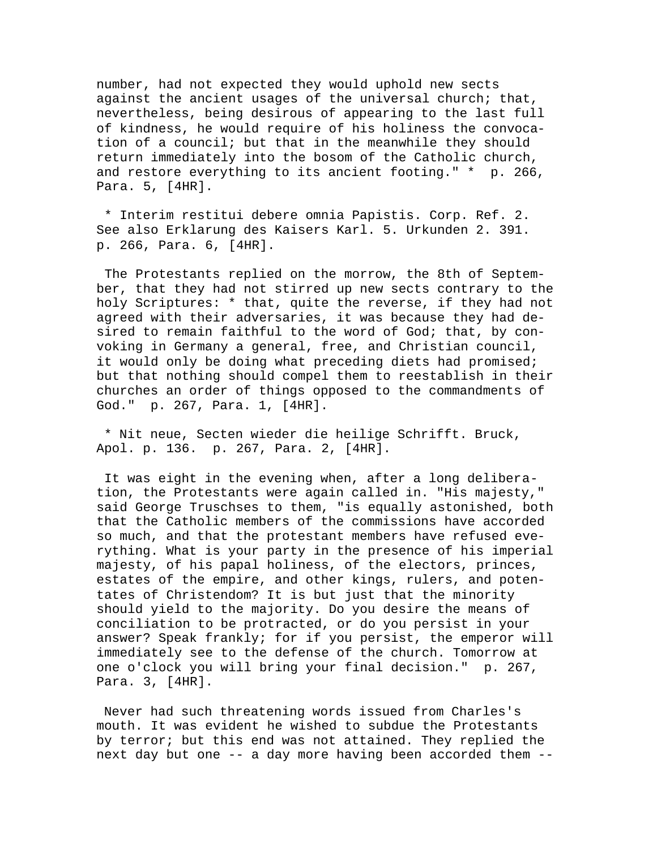number, had not expected they would uphold new sects against the ancient usages of the universal church; that, nevertheless, being desirous of appearing to the last full of kindness, he would require of his holiness the convocation of a council; but that in the meanwhile they should return immediately into the bosom of the Catholic church, and restore everything to its ancient footing." \* p. 266, Para. 5, [4HR].

 \* Interim restitui debere omnia Papistis. Corp. Ref. 2. See also Erklarung des Kaisers Karl. 5. Urkunden 2. 391. p. 266, Para. 6, [4HR].

 The Protestants replied on the morrow, the 8th of September, that they had not stirred up new sects contrary to the holy Scriptures: \* that, quite the reverse, if they had not agreed with their adversaries, it was because they had desired to remain faithful to the word of God; that, by convoking in Germany a general, free, and Christian council, it would only be doing what preceding diets had promised; but that nothing should compel them to reestablish in their churches an order of things opposed to the commandments of God." p. 267, Para. 1, [4HR].

 \* Nit neue, Secten wieder die heilige Schrifft. Bruck, Apol. p. 136. p. 267, Para. 2, [4HR].

 It was eight in the evening when, after a long deliberation, the Protestants were again called in. "His majesty," said George Truschses to them, "is equally astonished, both that the Catholic members of the commissions have accorded so much, and that the protestant members have refused everything. What is your party in the presence of his imperial majesty, of his papal holiness, of the electors, princes, estates of the empire, and other kings, rulers, and potentates of Christendom? It is but just that the minority should yield to the majority. Do you desire the means of conciliation to be protracted, or do you persist in your answer? Speak frankly; for if you persist, the emperor will immediately see to the defense of the church. Tomorrow at one o'clock you will bring your final decision." p. 267, Para. 3, [4HR].

 Never had such threatening words issued from Charles's mouth. It was evident he wished to subdue the Protestants by terror; but this end was not attained. They replied the next day but one -- a day more having been accorded them --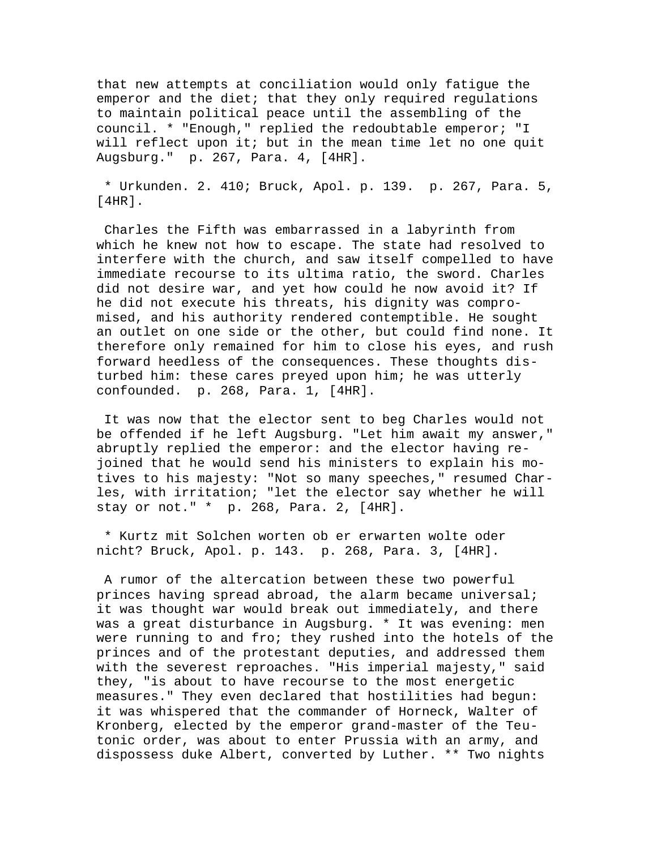that new attempts at conciliation would only fatigue the emperor and the diet; that they only required regulations to maintain political peace until the assembling of the council. \* "Enough," replied the redoubtable emperor; "I will reflect upon it; but in the mean time let no one quit Augsburg." p. 267, Para. 4, [4HR].

 \* Urkunden. 2. 410; Bruck, Apol. p. 139. p. 267, Para. 5, [4HR].

 Charles the Fifth was embarrassed in a labyrinth from which he knew not how to escape. The state had resolved to interfere with the church, and saw itself compelled to have immediate recourse to its ultima ratio, the sword. Charles did not desire war, and yet how could he now avoid it? If he did not execute his threats, his dignity was compromised, and his authority rendered contemptible. He sought an outlet on one side or the other, but could find none. It therefore only remained for him to close his eyes, and rush forward heedless of the consequences. These thoughts disturbed him: these cares preyed upon him; he was utterly confounded. p. 268, Para. 1, [4HR].

 It was now that the elector sent to beg Charles would not be offended if he left Augsburg. "Let him await my answer," abruptly replied the emperor: and the elector having rejoined that he would send his ministers to explain his motives to his majesty: "Not so many speeches," resumed Charles, with irritation; "let the elector say whether he will stay or not." \* p. 268, Para. 2, [4HR].

 \* Kurtz mit Solchen worten ob er erwarten wolte oder nicht? Bruck, Apol. p. 143. p. 268, Para. 3, [4HR].

 A rumor of the altercation between these two powerful princes having spread abroad, the alarm became universal; it was thought war would break out immediately, and there was a great disturbance in Augsburg. \* It was evening: men were running to and fro; they rushed into the hotels of the princes and of the protestant deputies, and addressed them with the severest reproaches. "His imperial majesty," said they, "is about to have recourse to the most energetic measures." They even declared that hostilities had begun: it was whispered that the commander of Horneck, Walter of Kronberg, elected by the emperor grand-master of the Teutonic order, was about to enter Prussia with an army, and dispossess duke Albert, converted by Luther. \*\* Two nights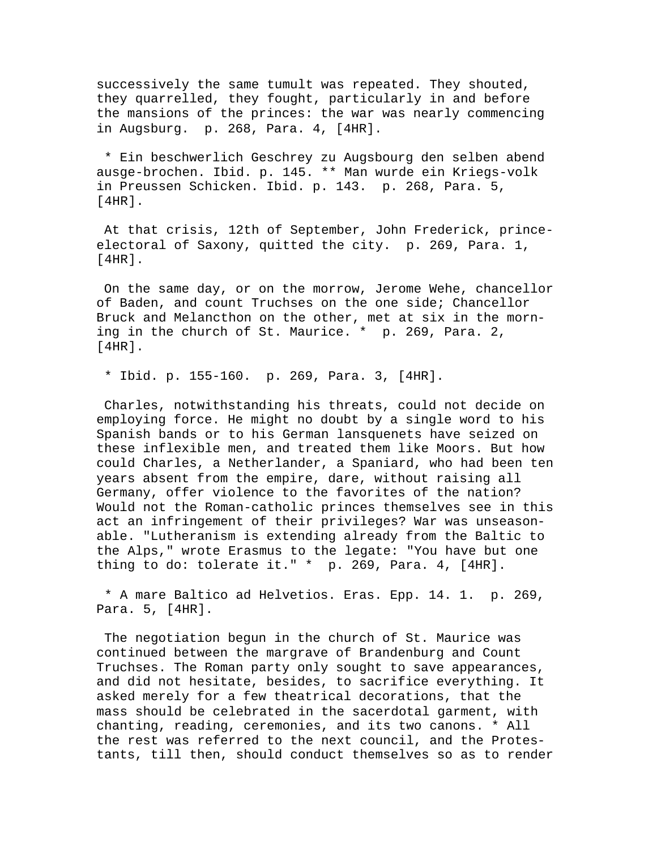successively the same tumult was repeated. They shouted, they quarrelled, they fought, particularly in and before the mansions of the princes: the war was nearly commencing in Augsburg. p. 268, Para. 4, [4HR].

 \* Ein beschwerlich Geschrey zu Augsbourg den selben abend ausge-brochen. Ibid. p. 145. \*\* Man wurde ein Kriegs-volk in Preussen Schicken. Ibid. p. 143. p. 268, Para. 5, [4HR].

 At that crisis, 12th of September, John Frederick, princeelectoral of Saxony, quitted the city. p. 269, Para. 1, [4HR].

 On the same day, or on the morrow, Jerome Wehe, chancellor of Baden, and count Truchses on the one side; Chancellor Bruck and Melancthon on the other, met at six in the morning in the church of St. Maurice. \* p. 269, Para. 2, [4HR].

\* Ibid. p. 155-160. p. 269, Para. 3, [4HR].

 Charles, notwithstanding his threats, could not decide on employing force. He might no doubt by a single word to his Spanish bands or to his German lansquenets have seized on these inflexible men, and treated them like Moors. But how could Charles, a Netherlander, a Spaniard, who had been ten years absent from the empire, dare, without raising all Germany, offer violence to the favorites of the nation? Would not the Roman-catholic princes themselves see in this act an infringement of their privileges? War was unseasonable. "Lutheranism is extending already from the Baltic to the Alps," wrote Erasmus to the legate: "You have but one thing to do: tolerate it." \* p. 269, Para. 4, [4HR].

 \* A mare Baltico ad Helvetios. Eras. Epp. 14. 1. p. 269, Para. 5, [4HR].

 The negotiation begun in the church of St. Maurice was continued between the margrave of Brandenburg and Count Truchses. The Roman party only sought to save appearances, and did not hesitate, besides, to sacrifice everything. It asked merely for a few theatrical decorations, that the mass should be celebrated in the sacerdotal garment, with chanting, reading, ceremonies, and its two canons. \* All the rest was referred to the next council, and the Protestants, till then, should conduct themselves so as to render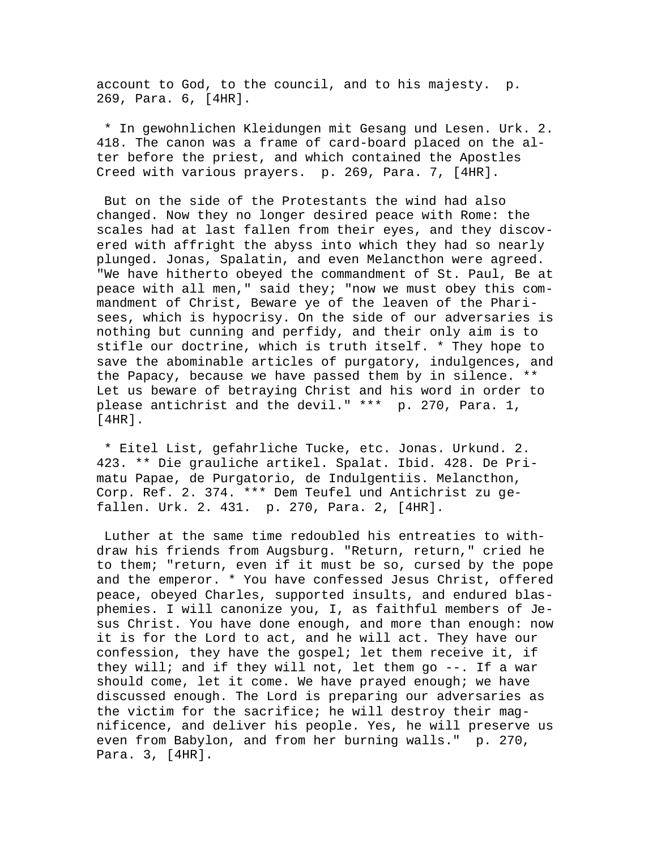account to God, to the council, and to his majesty. p. 269, Para. 6, [4HR].

 \* In gewohnlichen Kleidungen mit Gesang und Lesen. Urk. 2. 418. The canon was a frame of card-board placed on the alter before the priest, and which contained the Apostles Creed with various prayers. p. 269, Para. 7, [4HR].

 But on the side of the Protestants the wind had also changed. Now they no longer desired peace with Rome: the scales had at last fallen from their eyes, and they discovered with affright the abyss into which they had so nearly plunged. Jonas, Spalatin, and even Melancthon were agreed. "We have hitherto obeyed the commandment of St. Paul, Be at peace with all men," said they; "now we must obey this commandment of Christ, Beware ye of the leaven of the Pharisees, which is hypocrisy. On the side of our adversaries is nothing but cunning and perfidy, and their only aim is to stifle our doctrine, which is truth itself. \* They hope to save the abominable articles of purgatory, indulgences, and the Papacy, because we have passed them by in silence. \*\* Let us beware of betraying Christ and his word in order to please antichrist and the devil." \*\*\* p. 270, Para. 1, [4HR].

 \* Eitel List, gefahrliche Tucke, etc. Jonas. Urkund. 2. 423. \*\* Die grauliche artikel. Spalat. Ibid. 428. De Primatu Papae, de Purgatorio, de Indulgentiis. Melancthon, Corp. Ref. 2. 374. \*\*\* Dem Teufel und Antichrist zu gefallen. Urk. 2. 431. p. 270, Para. 2, [4HR].

 Luther at the same time redoubled his entreaties to withdraw his friends from Augsburg. "Return, return," cried he to them; "return, even if it must be so, cursed by the pope and the emperor. \* You have confessed Jesus Christ, offered peace, obeyed Charles, supported insults, and endured blasphemies. I will canonize you, I, as faithful members of Jesus Christ. You have done enough, and more than enough: now it is for the Lord to act, and he will act. They have our confession, they have the gospel; let them receive it, if they will; and if they will not, let them go --. If a war should come, let it come. We have prayed enough; we have discussed enough. The Lord is preparing our adversaries as the victim for the sacrifice; he will destroy their magnificence, and deliver his people. Yes, he will preserve us even from Babylon, and from her burning walls." p. 270, Para. 3, [4HR].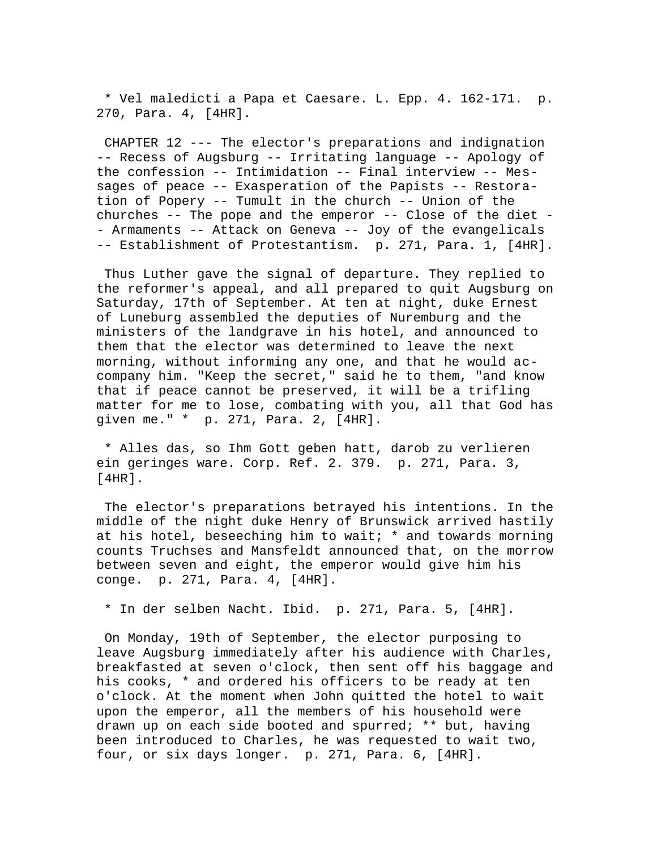\* Vel maledicti a Papa et Caesare. L. Epp. 4. 162-171. p. 270, Para. 4, [4HR].

 CHAPTER 12 --- The elector's preparations and indignation -- Recess of Augsburg -- Irritating language -- Apology of the confession -- Intimidation -- Final interview -- Messages of peace -- Exasperation of the Papists -- Restoration of Popery -- Tumult in the church -- Union of the churches  $-$ - The pope and the emperor  $-$ - Close of the diet  $-$ - Armaments -- Attack on Geneva -- Joy of the evangelicals -- Establishment of Protestantism. p. 271, Para. 1, [4HR].

 Thus Luther gave the signal of departure. They replied to the reformer's appeal, and all prepared to quit Augsburg on Saturday, 17th of September. At ten at night, duke Ernest of Luneburg assembled the deputies of Nuremburg and the ministers of the landgrave in his hotel, and announced to them that the elector was determined to leave the next morning, without informing any one, and that he would accompany him. "Keep the secret," said he to them, "and know that if peace cannot be preserved, it will be a trifling matter for me to lose, combating with you, all that God has given me." \* p. 271, Para. 2, [4HR].

 \* Alles das, so Ihm Gott geben hatt, darob zu verlieren ein geringes ware. Corp. Ref. 2. 379. p. 271, Para. 3, [4HR].

 The elector's preparations betrayed his intentions. In the middle of the night duke Henry of Brunswick arrived hastily at his hotel, beseeching him to wait;  $*$  and towards morning counts Truchses and Mansfeldt announced that, on the morrow between seven and eight, the emperor would give him his conge. p. 271, Para. 4, [4HR].

\* In der selben Nacht. Ibid. p. 271, Para. 5, [4HR].

 On Monday, 19th of September, the elector purposing to leave Augsburg immediately after his audience with Charles, breakfasted at seven o'clock, then sent off his baggage and his cooks, \* and ordered his officers to be ready at ten o'clock. At the moment when John quitted the hotel to wait upon the emperor, all the members of his household were drawn up on each side booted and spurred; \*\* but, having been introduced to Charles, he was requested to wait two, four, or six days longer. p. 271, Para. 6, [4HR].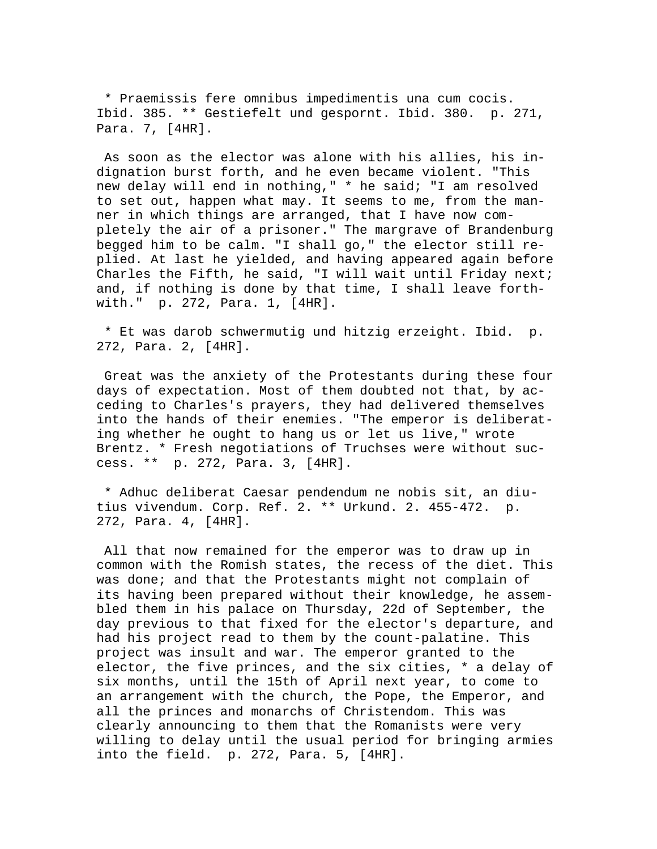\* Praemissis fere omnibus impedimentis una cum cocis. Ibid. 385. \*\* Gestiefelt und gespornt. Ibid. 380. p. 271, Para. 7, [4HR].

 As soon as the elector was alone with his allies, his indignation burst forth, and he even became violent. "This new delay will end in nothing," \* he said; "I am resolved to set out, happen what may. It seems to me, from the manner in which things are arranged, that I have now completely the air of a prisoner." The margrave of Brandenburg begged him to be calm. "I shall go," the elector still replied. At last he yielded, and having appeared again before Charles the Fifth, he said, "I will wait until Friday next; and, if nothing is done by that time, I shall leave forthwith." p. 272, Para. 1, [4HR].

 \* Et was darob schwermutig und hitzig erzeight. Ibid. p. 272, Para. 2, [4HR].

 Great was the anxiety of the Protestants during these four days of expectation. Most of them doubted not that, by acceding to Charles's prayers, they had delivered themselves into the hands of their enemies. "The emperor is deliberating whether he ought to hang us or let us live," wrote Brentz. \* Fresh negotiations of Truchses were without success. \*\* p. 272, Para. 3, [4HR].

 \* Adhuc deliberat Caesar pendendum ne nobis sit, an diutius vivendum. Corp. Ref. 2. \*\* Urkund. 2. 455-472. p. 272, Para. 4, [4HR].

 All that now remained for the emperor was to draw up in common with the Romish states, the recess of the diet. This was done; and that the Protestants might not complain of its having been prepared without their knowledge, he assembled them in his palace on Thursday, 22d of September, the day previous to that fixed for the elector's departure, and had his project read to them by the count-palatine. This project was insult and war. The emperor granted to the elector, the five princes, and the six cities, \* a delay of six months, until the 15th of April next year, to come to an arrangement with the church, the Pope, the Emperor, and all the princes and monarchs of Christendom. This was clearly announcing to them that the Romanists were very willing to delay until the usual period for bringing armies into the field. p. 272, Para. 5, [4HR].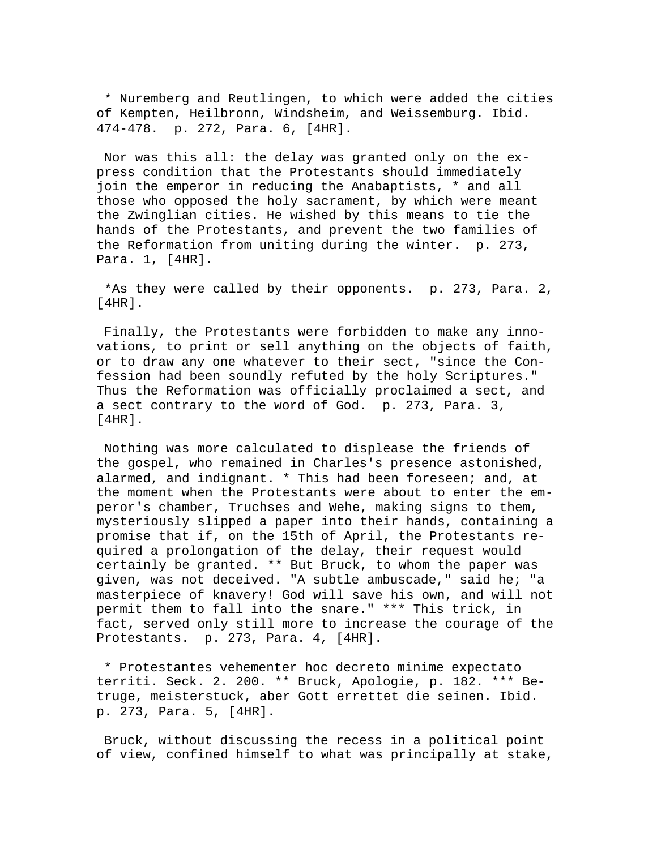\* Nuremberg and Reutlingen, to which were added the cities of Kempten, Heilbronn, Windsheim, and Weissemburg. Ibid. 474-478. p. 272, Para. 6, [4HR].

 Nor was this all: the delay was granted only on the express condition that the Protestants should immediately join the emperor in reducing the Anabaptists, \* and all those who opposed the holy sacrament, by which were meant the Zwinglian cities. He wished by this means to tie the hands of the Protestants, and prevent the two families of the Reformation from uniting during the winter. p. 273, Para. 1, [4HR].

 \*As they were called by their opponents. p. 273, Para. 2,  $[4HR]$ .

 Finally, the Protestants were forbidden to make any innovations, to print or sell anything on the objects of faith, or to draw any one whatever to their sect, "since the Confession had been soundly refuted by the holy Scriptures." Thus the Reformation was officially proclaimed a sect, and a sect contrary to the word of God. p. 273, Para. 3,  $[4HR]$ .

 Nothing was more calculated to displease the friends of the gospel, who remained in Charles's presence astonished, alarmed, and indignant. \* This had been foreseen; and, at the moment when the Protestants were about to enter the emperor's chamber, Truchses and Wehe, making signs to them, mysteriously slipped a paper into their hands, containing a promise that if, on the 15th of April, the Protestants required a prolongation of the delay, their request would certainly be granted. \*\* But Bruck, to whom the paper was given, was not deceived. "A subtle ambuscade," said he; "a masterpiece of knavery! God will save his own, and will not permit them to fall into the snare." \*\*\* This trick, in fact, served only still more to increase the courage of the Protestants. p. 273, Para. 4, [4HR].

 \* Protestantes vehementer hoc decreto minime expectato territi. Seck. 2. 200. \*\* Bruck, Apologie, p. 182. \*\*\* Betruge, meisterstuck, aber Gott errettet die seinen. Ibid. p. 273, Para. 5, [4HR].

 Bruck, without discussing the recess in a political point of view, confined himself to what was principally at stake,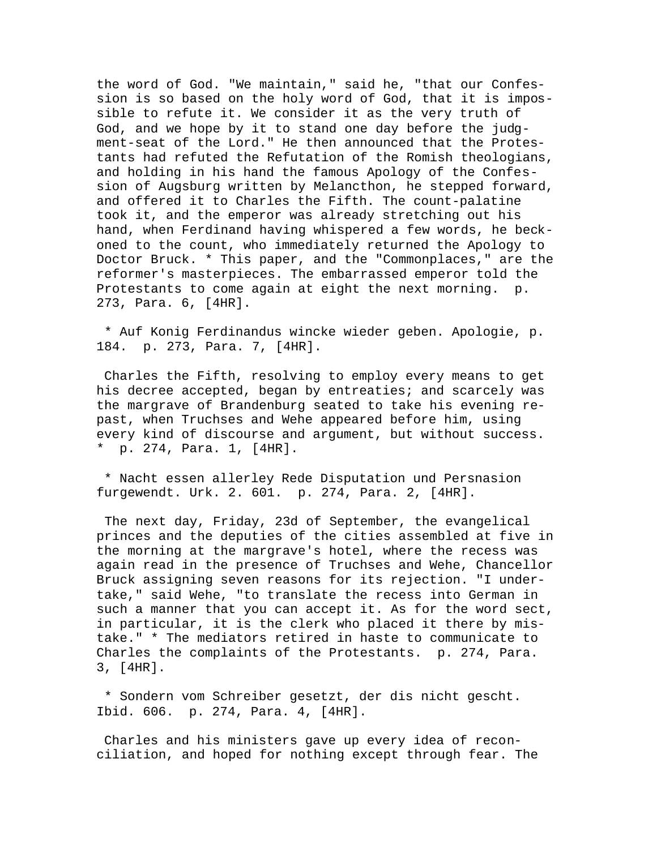the word of God. "We maintain," said he, "that our Confession is so based on the holy word of God, that it is impossible to refute it. We consider it as the very truth of God, and we hope by it to stand one day before the judgment-seat of the Lord." He then announced that the Protestants had refuted the Refutation of the Romish theologians, and holding in his hand the famous Apology of the Confession of Augsburg written by Melancthon, he stepped forward, and offered it to Charles the Fifth. The count-palatine took it, and the emperor was already stretching out his hand, when Ferdinand having whispered a few words, he beckoned to the count, who immediately returned the Apology to Doctor Bruck. \* This paper, and the "Commonplaces," are the reformer's masterpieces. The embarrassed emperor told the Protestants to come again at eight the next morning. p. 273, Para. 6, [4HR].

 \* Auf Konig Ferdinandus wincke wieder geben. Apologie, p. 184. p. 273, Para. 7, [4HR].

 Charles the Fifth, resolving to employ every means to get his decree accepted, began by entreaties; and scarcely was the margrave of Brandenburg seated to take his evening repast, when Truchses and Wehe appeared before him, using every kind of discourse and argument, but without success. \* p. 274, Para. 1, [4HR].

 \* Nacht essen allerley Rede Disputation und Persnasion furgewendt. Urk. 2. 601. p. 274, Para. 2, [4HR].

 The next day, Friday, 23d of September, the evangelical princes and the deputies of the cities assembled at five in the morning at the margrave's hotel, where the recess was again read in the presence of Truchses and Wehe, Chancellor Bruck assigning seven reasons for its rejection. "I undertake," said Wehe, "to translate the recess into German in such a manner that you can accept it. As for the word sect, in particular, it is the clerk who placed it there by mistake." \* The mediators retired in haste to communicate to Charles the complaints of the Protestants. p. 274, Para. 3, [4HR].

 \* Sondern vom Schreiber gesetzt, der dis nicht gescht. Ibid. 606. p. 274, Para. 4, [4HR].

 Charles and his ministers gave up every idea of reconciliation, and hoped for nothing except through fear. The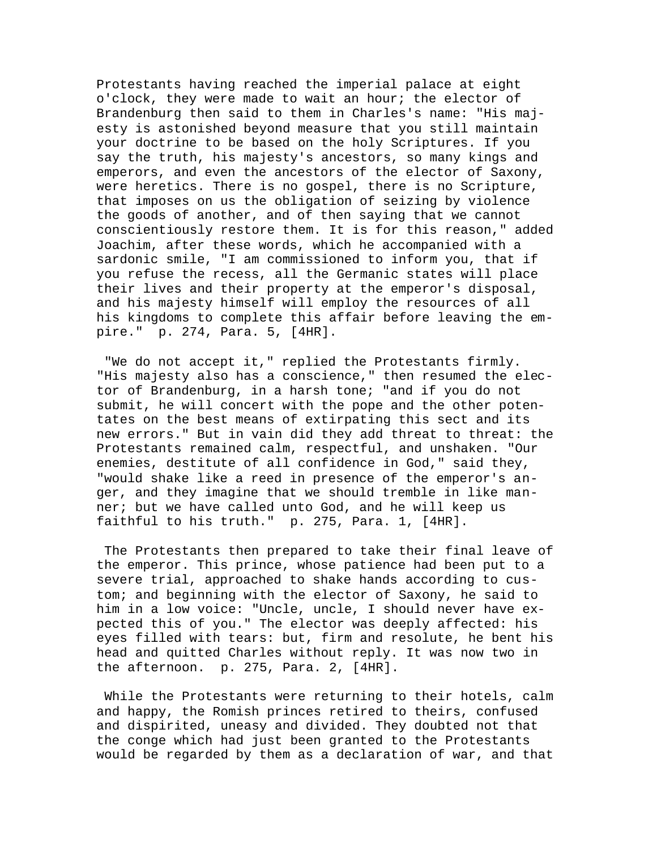Protestants having reached the imperial palace at eight o'clock, they were made to wait an hour; the elector of Brandenburg then said to them in Charles's name: "His majesty is astonished beyond measure that you still maintain your doctrine to be based on the holy Scriptures. If you say the truth, his majesty's ancestors, so many kings and emperors, and even the ancestors of the elector of Saxony, were heretics. There is no gospel, there is no Scripture, that imposes on us the obligation of seizing by violence the goods of another, and of then saying that we cannot conscientiously restore them. It is for this reason," added Joachim, after these words, which he accompanied with a sardonic smile, "I am commissioned to inform you, that if you refuse the recess, all the Germanic states will place their lives and their property at the emperor's disposal, and his majesty himself will employ the resources of all his kingdoms to complete this affair before leaving the empire." p. 274, Para. 5, [4HR].

 "We do not accept it," replied the Protestants firmly. "His majesty also has a conscience," then resumed the elector of Brandenburg, in a harsh tone; "and if you do not submit, he will concert with the pope and the other potentates on the best means of extirpating this sect and its new errors." But in vain did they add threat to threat: the Protestants remained calm, respectful, and unshaken. "Our enemies, destitute of all confidence in God," said they, "would shake like a reed in presence of the emperor's anger, and they imagine that we should tremble in like manner; but we have called unto God, and he will keep us faithful to his truth." p. 275, Para. 1, [4HR].

 The Protestants then prepared to take their final leave of the emperor. This prince, whose patience had been put to a severe trial, approached to shake hands according to custom; and beginning with the elector of Saxony, he said to him in a low voice: "Uncle, uncle, I should never have expected this of you." The elector was deeply affected: his eyes filled with tears: but, firm and resolute, he bent his head and quitted Charles without reply. It was now two in the afternoon. p. 275, Para. 2, [4HR].

 While the Protestants were returning to their hotels, calm and happy, the Romish princes retired to theirs, confused and dispirited, uneasy and divided. They doubted not that the conge which had just been granted to the Protestants would be regarded by them as a declaration of war, and that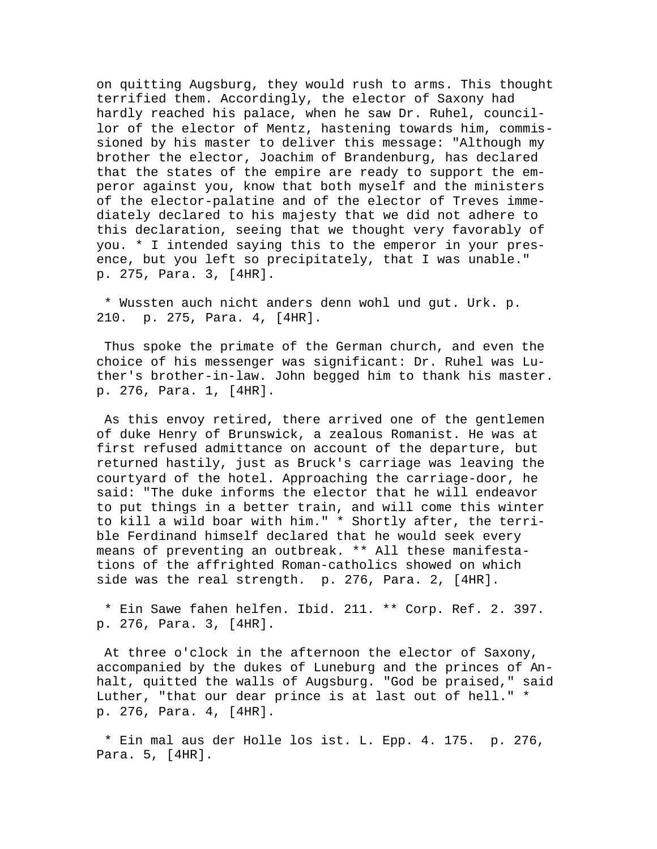on quitting Augsburg, they would rush to arms. This thought terrified them. Accordingly, the elector of Saxony had hardly reached his palace, when he saw Dr. Ruhel, councillor of the elector of Mentz, hastening towards him, commissioned by his master to deliver this message: "Although my brother the elector, Joachim of Brandenburg, has declared that the states of the empire are ready to support the emperor against you, know that both myself and the ministers of the elector-palatine and of the elector of Treves immediately declared to his majesty that we did not adhere to this declaration, seeing that we thought very favorably of you. \* I intended saying this to the emperor in your presence, but you left so precipitately, that I was unable." p. 275, Para. 3, [4HR].

 \* Wussten auch nicht anders denn wohl und gut. Urk. p. 210. p. 275, Para. 4, [4HR].

 Thus spoke the primate of the German church, and even the choice of his messenger was significant: Dr. Ruhel was Luther's brother-in-law. John begged him to thank his master. p. 276, Para. 1, [4HR].

 As this envoy retired, there arrived one of the gentlemen of duke Henry of Brunswick, a zealous Romanist. He was at first refused admittance on account of the departure, but returned hastily, just as Bruck's carriage was leaving the courtyard of the hotel. Approaching the carriage-door, he said: "The duke informs the elector that he will endeavor to put things in a better train, and will come this winter to kill a wild boar with him." \* Shortly after, the terrible Ferdinand himself declared that he would seek every means of preventing an outbreak. \*\* All these manifestations of the affrighted Roman-catholics showed on which side was the real strength. p. 276, Para. 2, [4HR].

 \* Ein Sawe fahen helfen. Ibid. 211. \*\* Corp. Ref. 2. 397. p. 276, Para. 3, [4HR].

 At three o'clock in the afternoon the elector of Saxony, accompanied by the dukes of Luneburg and the princes of Anhalt, quitted the walls of Augsburg. "God be praised," said Luther, "that our dear prince is at last out of hell." \* p. 276, Para. 4, [4HR].

 \* Ein mal aus der Holle los ist. L. Epp. 4. 175. p. 276, Para. 5, [4HR].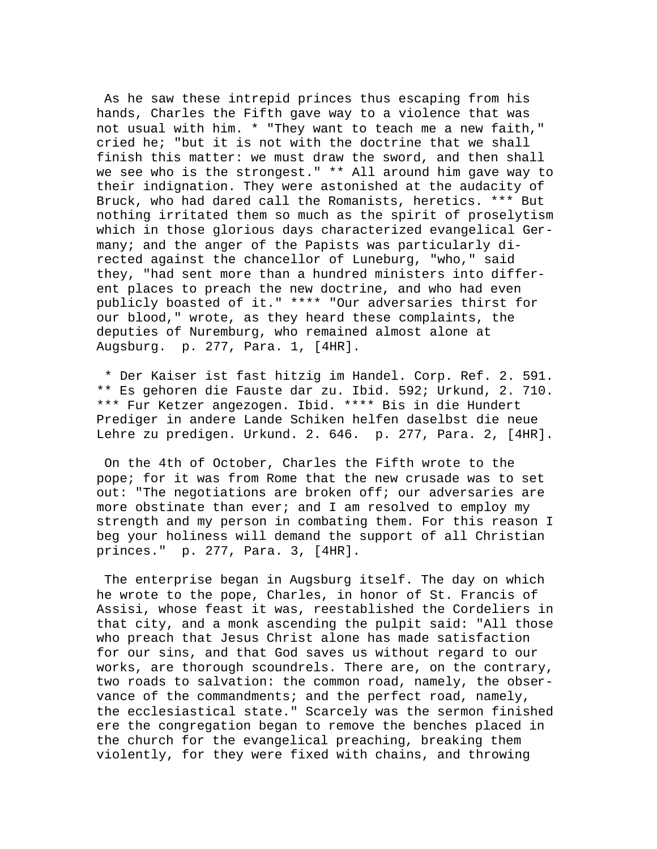As he saw these intrepid princes thus escaping from his hands, Charles the Fifth gave way to a violence that was not usual with him. \* "They want to teach me a new faith," cried he; "but it is not with the doctrine that we shall finish this matter: we must draw the sword, and then shall we see who is the strongest." \*\* All around him gave way to their indignation. They were astonished at the audacity of Bruck, who had dared call the Romanists, heretics. \*\*\* But nothing irritated them so much as the spirit of proselytism which in those glorious days characterized evangelical Germany; and the anger of the Papists was particularly directed against the chancellor of Luneburg, "who," said they, "had sent more than a hundred ministers into different places to preach the new doctrine, and who had even publicly boasted of it." \*\*\*\* "Our adversaries thirst for our blood," wrote, as they heard these complaints, the deputies of Nuremburg, who remained almost alone at Augsburg. p. 277, Para. 1, [4HR].

 \* Der Kaiser ist fast hitzig im Handel. Corp. Ref. 2. 591. \*\* Es gehoren die Fauste dar zu. Ibid. 592; Urkund, 2. 710. \*\*\* Fur Ketzer angezogen. Ibid. \*\*\*\* Bis in die Hundert Prediger in andere Lande Schiken helfen daselbst die neue Lehre zu predigen. Urkund. 2. 646. p. 277, Para. 2, [4HR].

 On the 4th of October, Charles the Fifth wrote to the pope; for it was from Rome that the new crusade was to set out: "The negotiations are broken off; our adversaries are more obstinate than ever; and I am resolved to employ my strength and my person in combating them. For this reason I beg your holiness will demand the support of all Christian princes." p. 277, Para. 3, [4HR].

 The enterprise began in Augsburg itself. The day on which he wrote to the pope, Charles, in honor of St. Francis of Assisi, whose feast it was, reestablished the Cordeliers in that city, and a monk ascending the pulpit said: "All those who preach that Jesus Christ alone has made satisfaction for our sins, and that God saves us without regard to our works, are thorough scoundrels. There are, on the contrary, two roads to salvation: the common road, namely, the observance of the commandments; and the perfect road, namely, the ecclesiastical state." Scarcely was the sermon finished ere the congregation began to remove the benches placed in the church for the evangelical preaching, breaking them violently, for they were fixed with chains, and throwing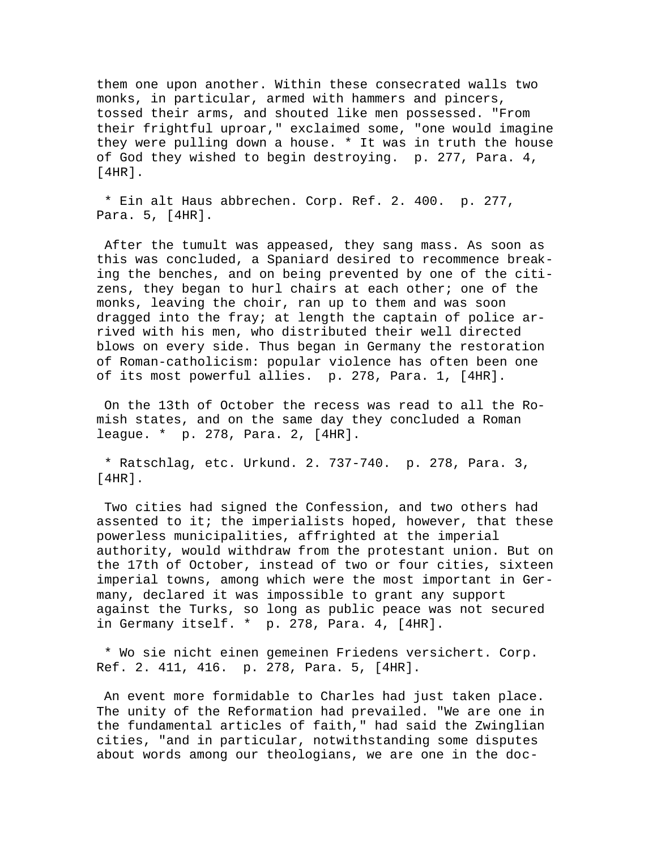them one upon another. Within these consecrated walls two monks, in particular, armed with hammers and pincers, tossed their arms, and shouted like men possessed. "From their frightful uproar," exclaimed some, "one would imagine they were pulling down a house. \* It was in truth the house of God they wished to begin destroying. p. 277, Para. 4, [4HR].

 \* Ein alt Haus abbrechen. Corp. Ref. 2. 400. p. 277, Para. 5, [4HR].

 After the tumult was appeased, they sang mass. As soon as this was concluded, a Spaniard desired to recommence breaking the benches, and on being prevented by one of the citizens, they began to hurl chairs at each other; one of the monks, leaving the choir, ran up to them and was soon dragged into the fray; at length the captain of police arrived with his men, who distributed their well directed blows on every side. Thus began in Germany the restoration of Roman-catholicism: popular violence has often been one of its most powerful allies. p. 278, Para. 1, [4HR].

 On the 13th of October the recess was read to all the Romish states, and on the same day they concluded a Roman league. \* p. 278, Para. 2, [4HR].

 \* Ratschlag, etc. Urkund. 2. 737-740. p. 278, Para. 3, [4HR].

 Two cities had signed the Confession, and two others had assented to it; the imperialists hoped, however, that these powerless municipalities, affrighted at the imperial authority, would withdraw from the protestant union. But on the 17th of October, instead of two or four cities, sixteen imperial towns, among which were the most important in Germany, declared it was impossible to grant any support against the Turks, so long as public peace was not secured in Germany itself. \* p. 278, Para. 4, [4HR].

 \* Wo sie nicht einen gemeinen Friedens versichert. Corp. Ref. 2. 411, 416. p. 278, Para. 5, [4HR].

 An event more formidable to Charles had just taken place. The unity of the Reformation had prevailed. "We are one in the fundamental articles of faith," had said the Zwinglian cities, "and in particular, notwithstanding some disputes about words among our theologians, we are one in the doc-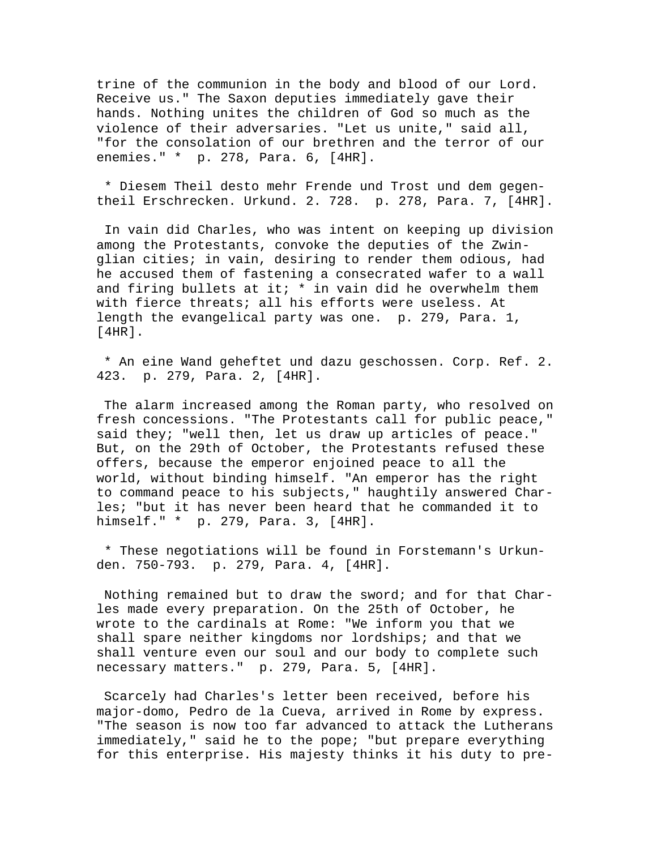trine of the communion in the body and blood of our Lord. Receive us." The Saxon deputies immediately gave their hands. Nothing unites the children of God so much as the violence of their adversaries. "Let us unite," said all, "for the consolation of our brethren and the terror of our enemies." \* p. 278, Para. 6, [4HR].

 \* Diesem Theil desto mehr Frende und Trost und dem gegentheil Erschrecken. Urkund. 2. 728. p. 278, Para. 7, [4HR].

 In vain did Charles, who was intent on keeping up division among the Protestants, convoke the deputies of the Zwinglian cities; in vain, desiring to render them odious, had he accused them of fastening a consecrated wafer to a wall and firing bullets at it;  $*$  in vain did he overwhelm them with fierce threats; all his efforts were useless. At length the evangelical party was one. p. 279, Para. 1, [4HR].

 \* An eine Wand geheftet und dazu geschossen. Corp. Ref. 2. 423. p. 279, Para. 2, [4HR].

 The alarm increased among the Roman party, who resolved on fresh concessions. "The Protestants call for public peace," said they; "well then, let us draw up articles of peace." But, on the 29th of October, the Protestants refused these offers, because the emperor enjoined peace to all the world, without binding himself. "An emperor has the right to command peace to his subjects," haughtily answered Charles; "but it has never been heard that he commanded it to himself." \* p. 279, Para. 3, [4HR].

 \* These negotiations will be found in Forstemann's Urkunden. 750-793. p. 279, Para. 4, [4HR].

 Nothing remained but to draw the sword; and for that Charles made every preparation. On the 25th of October, he wrote to the cardinals at Rome: "We inform you that we shall spare neither kingdoms nor lordships; and that we shall venture even our soul and our body to complete such necessary matters." p. 279, Para. 5, [4HR].

 Scarcely had Charles's letter been received, before his major-domo, Pedro de la Cueva, arrived in Rome by express. "The season is now too far advanced to attack the Lutherans immediately," said he to the pope; "but prepare everything for this enterprise. His majesty thinks it his duty to pre-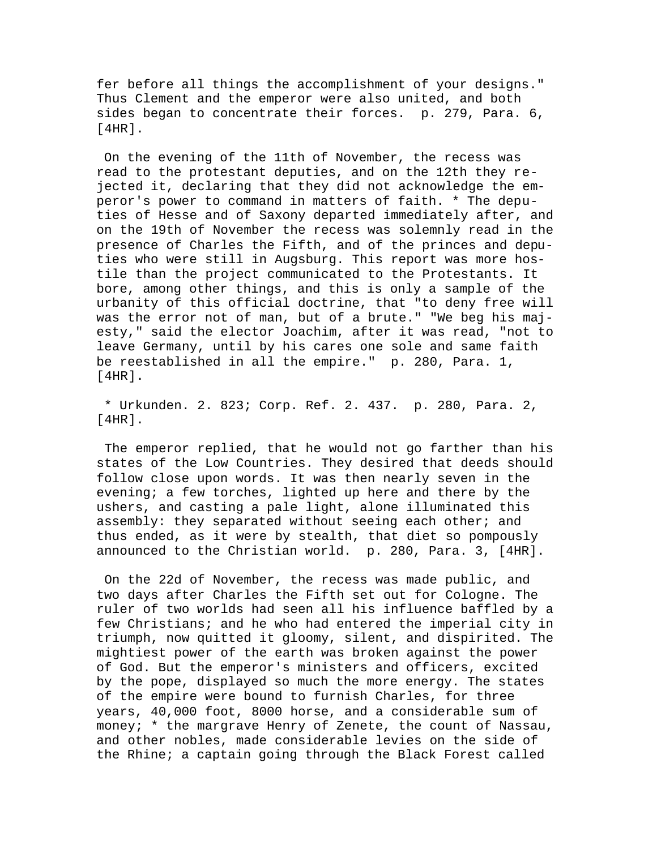fer before all things the accomplishment of your designs." Thus Clement and the emperor were also united, and both sides began to concentrate their forces. p. 279, Para. 6, [4HR].

 On the evening of the 11th of November, the recess was read to the protestant deputies, and on the 12th they rejected it, declaring that they did not acknowledge the emperor's power to command in matters of faith. \* The deputies of Hesse and of Saxony departed immediately after, and on the 19th of November the recess was solemnly read in the presence of Charles the Fifth, and of the princes and deputies who were still in Augsburg. This report was more hostile than the project communicated to the Protestants. It bore, among other things, and this is only a sample of the urbanity of this official doctrine, that "to deny free will was the error not of man, but of a brute." "We beg his majesty," said the elector Joachim, after it was read, "not to leave Germany, until by his cares one sole and same faith be reestablished in all the empire." p. 280, Para. 1,  $[4HR]$ .

 \* Urkunden. 2. 823; Corp. Ref. 2. 437. p. 280, Para. 2, [4HR].

 The emperor replied, that he would not go farther than his states of the Low Countries. They desired that deeds should follow close upon words. It was then nearly seven in the evening; a few torches, lighted up here and there by the ushers, and casting a pale light, alone illuminated this assembly: they separated without seeing each other; and thus ended, as it were by stealth, that diet so pompously announced to the Christian world. p. 280, Para. 3, [4HR].

 On the 22d of November, the recess was made public, and two days after Charles the Fifth set out for Cologne. The ruler of two worlds had seen all his influence baffled by a few Christians; and he who had entered the imperial city in triumph, now quitted it gloomy, silent, and dispirited. The mightiest power of the earth was broken against the power of God. But the emperor's ministers and officers, excited by the pope, displayed so much the more energy. The states of the empire were bound to furnish Charles, for three years, 40,000 foot, 8000 horse, and a considerable sum of money; \* the margrave Henry of Zenete, the count of Nassau, and other nobles, made considerable levies on the side of the Rhine; a captain going through the Black Forest called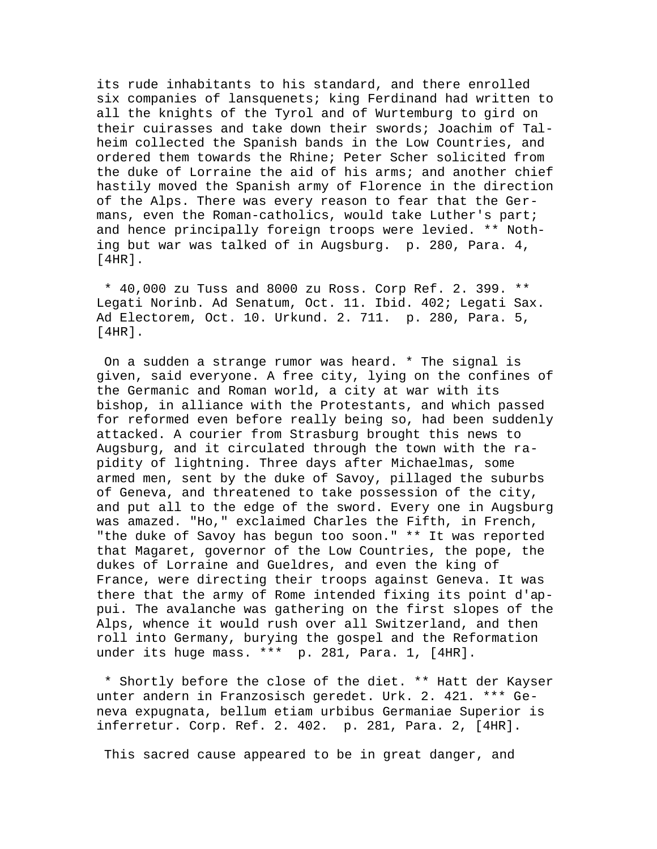its rude inhabitants to his standard, and there enrolled six companies of lansquenets; king Ferdinand had written to all the knights of the Tyrol and of Wurtemburg to gird on their cuirasses and take down their swords; Joachim of Talheim collected the Spanish bands in the Low Countries, and ordered them towards the Rhine; Peter Scher solicited from the duke of Lorraine the aid of his arms; and another chief hastily moved the Spanish army of Florence in the direction of the Alps. There was every reason to fear that the Germans, even the Roman-catholics, would take Luther's part; and hence principally foreign troops were levied. \*\* Nothing but war was talked of in Augsburg. p. 280, Para. 4, [4HR].

 \* 40,000 zu Tuss and 8000 zu Ross. Corp Ref. 2. 399. \*\* Legati Norinb. Ad Senatum, Oct. 11. Ibid. 402; Legati Sax. Ad Electorem, Oct. 10. Urkund. 2. 711. p. 280, Para. 5, [4HR].

 On a sudden a strange rumor was heard. \* The signal is given, said everyone. A free city, lying on the confines of the Germanic and Roman world, a city at war with its bishop, in alliance with the Protestants, and which passed for reformed even before really being so, had been suddenly attacked. A courier from Strasburg brought this news to Augsburg, and it circulated through the town with the rapidity of lightning. Three days after Michaelmas, some armed men, sent by the duke of Savoy, pillaged the suburbs of Geneva, and threatened to take possession of the city, and put all to the edge of the sword. Every one in Augsburg was amazed. "Ho," exclaimed Charles the Fifth, in French, "the duke of Savoy has begun too soon." \*\* It was reported that Magaret, governor of the Low Countries, the pope, the dukes of Lorraine and Gueldres, and even the king of France, were directing their troops against Geneva. It was there that the army of Rome intended fixing its point d'appui. The avalanche was gathering on the first slopes of the Alps, whence it would rush over all Switzerland, and then roll into Germany, burying the gospel and the Reformation under its huge mass. \*\*\* p. 281, Para. 1, [4HR].

 \* Shortly before the close of the diet. \*\* Hatt der Kayser unter andern in Franzosisch geredet. Urk. 2. 421. \*\*\* Geneva expugnata, bellum etiam urbibus Germaniae Superior is inferretur. Corp. Ref. 2. 402. p. 281, Para. 2, [4HR].

This sacred cause appeared to be in great danger, and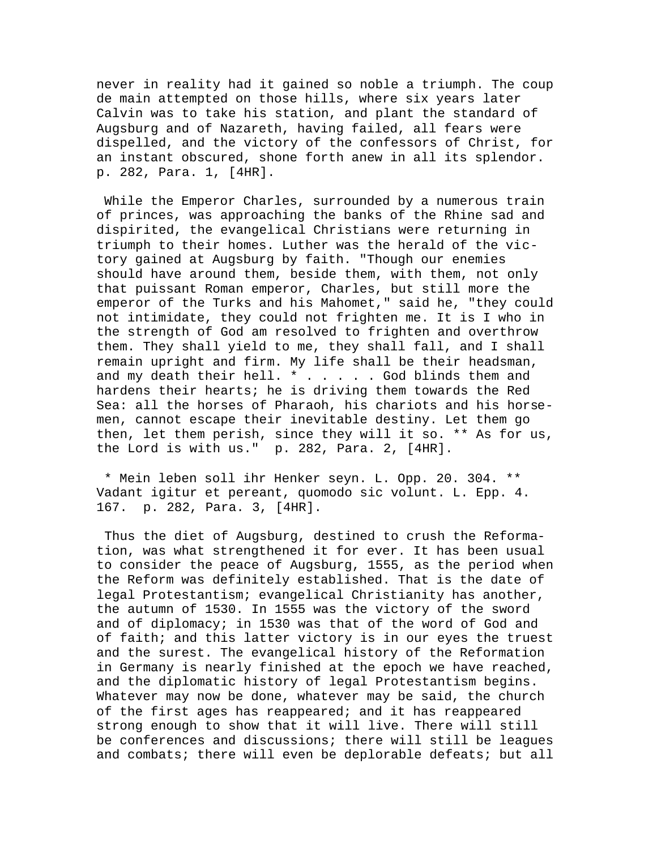never in reality had it gained so noble a triumph. The coup de main attempted on those hills, where six years later Calvin was to take his station, and plant the standard of Augsburg and of Nazareth, having failed, all fears were dispelled, and the victory of the confessors of Christ, for an instant obscured, shone forth anew in all its splendor. p. 282, Para. 1, [4HR].

 While the Emperor Charles, surrounded by a numerous train of princes, was approaching the banks of the Rhine sad and dispirited, the evangelical Christians were returning in triumph to their homes. Luther was the herald of the victory gained at Augsburg by faith. "Though our enemies should have around them, beside them, with them, not only that puissant Roman emperor, Charles, but still more the emperor of the Turks and his Mahomet," said he, "they could not intimidate, they could not frighten me. It is I who in the strength of God am resolved to frighten and overthrow them. They shall yield to me, they shall fall, and I shall remain upright and firm. My life shall be their headsman, and my death their hell. \* . . . . . God blinds them and hardens their hearts; he is driving them towards the Red Sea: all the horses of Pharaoh, his chariots and his horsemen, cannot escape their inevitable destiny. Let them go then, let them perish, since they will it so. \*\* As for us, the Lord is with us." p. 282, Para. 2, [4HR].

 \* Mein leben soll ihr Henker seyn. L. Opp. 20. 304. \*\* Vadant igitur et pereant, quomodo sic volunt. L. Epp. 4. 167. p. 282, Para. 3, [4HR].

 Thus the diet of Augsburg, destined to crush the Reformation, was what strengthened it for ever. It has been usual to consider the peace of Augsburg, 1555, as the period when the Reform was definitely established. That is the date of legal Protestantism; evangelical Christianity has another, the autumn of 1530. In 1555 was the victory of the sword and of diplomacy; in 1530 was that of the word of God and of faith; and this latter victory is in our eyes the truest and the surest. The evangelical history of the Reformation in Germany is nearly finished at the epoch we have reached, and the diplomatic history of legal Protestantism begins. Whatever may now be done, whatever may be said, the church of the first ages has reappeared; and it has reappeared strong enough to show that it will live. There will still be conferences and discussions; there will still be leagues and combats; there will even be deplorable defeats; but all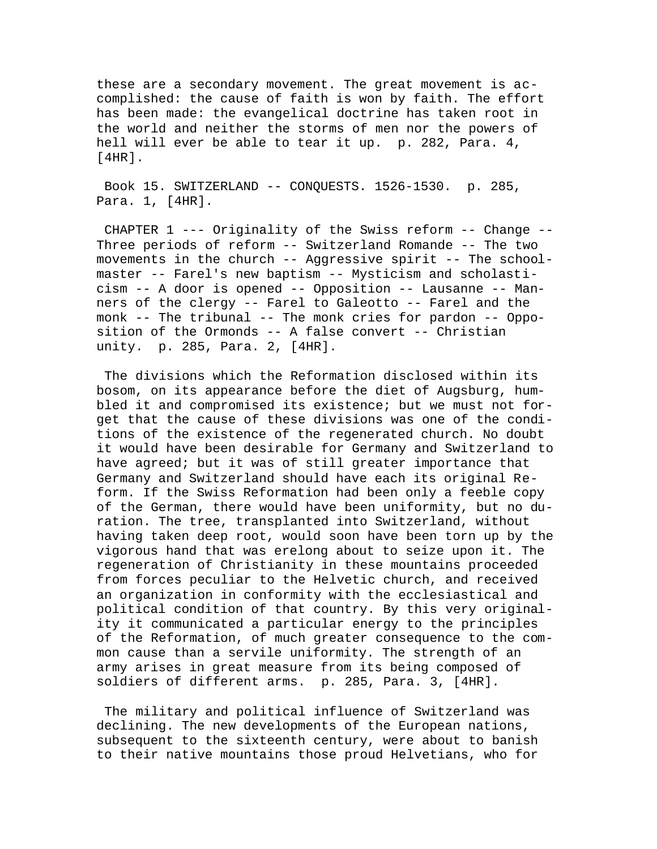these are a secondary movement. The great movement is accomplished: the cause of faith is won by faith. The effort has been made: the evangelical doctrine has taken root in the world and neither the storms of men nor the powers of hell will ever be able to tear it up. p. 282, Para. 4, [4HR].

 Book 15. SWITZERLAND -- CONQUESTS. 1526-1530. p. 285, Para. 1, [4HR].

 CHAPTER 1 --- Originality of the Swiss reform -- Change -- Three periods of reform -- Switzerland Romande -- The two movements in the church -- Aggressive spirit -- The schoolmaster -- Farel's new baptism -- Mysticism and scholasticism -- A door is opened -- Opposition -- Lausanne -- Manners of the clergy -- Farel to Galeotto -- Farel and the monk -- The tribunal -- The monk cries for pardon -- Opposition of the Ormonds -- A false convert -- Christian unity. p. 285, Para. 2, [4HR].

 The divisions which the Reformation disclosed within its bosom, on its appearance before the diet of Augsburg, humbled it and compromised its existence; but we must not forget that the cause of these divisions was one of the conditions of the existence of the regenerated church. No doubt it would have been desirable for Germany and Switzerland to have agreed; but it was of still greater importance that Germany and Switzerland should have each its original Reform. If the Swiss Reformation had been only a feeble copy of the German, there would have been uniformity, but no duration. The tree, transplanted into Switzerland, without having taken deep root, would soon have been torn up by the vigorous hand that was erelong about to seize upon it. The regeneration of Christianity in these mountains proceeded from forces peculiar to the Helvetic church, and received an organization in conformity with the ecclesiastical and political condition of that country. By this very originality it communicated a particular energy to the principles of the Reformation, of much greater consequence to the common cause than a servile uniformity. The strength of an army arises in great measure from its being composed of soldiers of different arms. p. 285, Para. 3, [4HR].

 The military and political influence of Switzerland was declining. The new developments of the European nations, subsequent to the sixteenth century, were about to banish to their native mountains those proud Helvetians, who for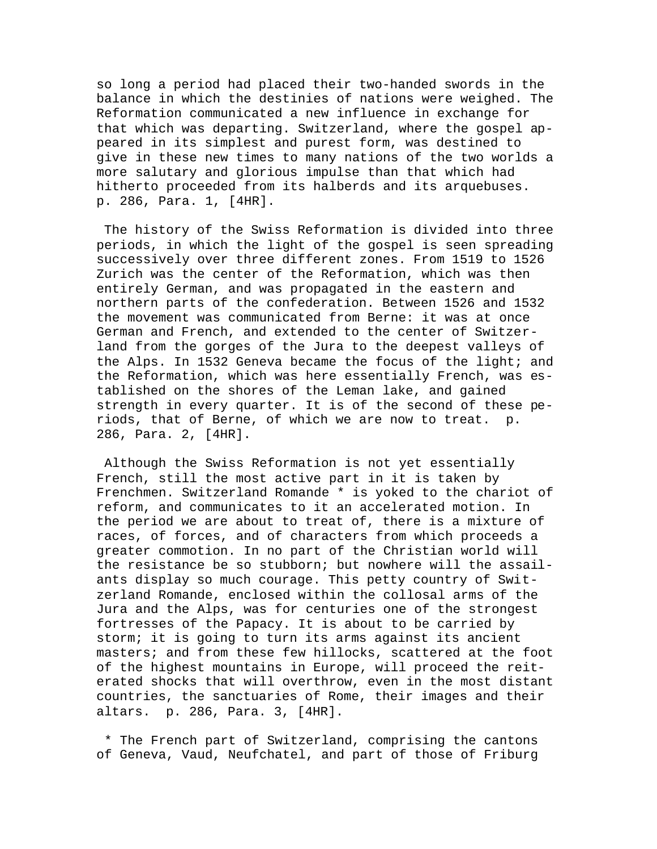so long a period had placed their two-handed swords in the balance in which the destinies of nations were weighed. The Reformation communicated a new influence in exchange for that which was departing. Switzerland, where the gospel appeared in its simplest and purest form, was destined to give in these new times to many nations of the two worlds a more salutary and glorious impulse than that which had hitherto proceeded from its halberds and its arquebuses. p. 286, Para. 1, [4HR].

 The history of the Swiss Reformation is divided into three periods, in which the light of the gospel is seen spreading successively over three different zones. From 1519 to 1526 Zurich was the center of the Reformation, which was then entirely German, and was propagated in the eastern and northern parts of the confederation. Between 1526 and 1532 the movement was communicated from Berne: it was at once German and French, and extended to the center of Switzerland from the gorges of the Jura to the deepest valleys of the Alps. In 1532 Geneva became the focus of the light; and the Reformation, which was here essentially French, was established on the shores of the Leman lake, and gained strength in every quarter. It is of the second of these periods, that of Berne, of which we are now to treat. p. 286, Para. 2, [4HR].

 Although the Swiss Reformation is not yet essentially French, still the most active part in it is taken by Frenchmen. Switzerland Romande \* is yoked to the chariot of reform, and communicates to it an accelerated motion. In the period we are about to treat of, there is a mixture of races, of forces, and of characters from which proceeds a greater commotion. In no part of the Christian world will the resistance be so stubborn; but nowhere will the assailants display so much courage. This petty country of Switzerland Romande, enclosed within the collosal arms of the Jura and the Alps, was for centuries one of the strongest fortresses of the Papacy. It is about to be carried by storm; it is going to turn its arms against its ancient masters; and from these few hillocks, scattered at the foot of the highest mountains in Europe, will proceed the reiterated shocks that will overthrow, even in the most distant countries, the sanctuaries of Rome, their images and their altars. p. 286, Para. 3, [4HR].

 \* The French part of Switzerland, comprising the cantons of Geneva, Vaud, Neufchatel, and part of those of Friburg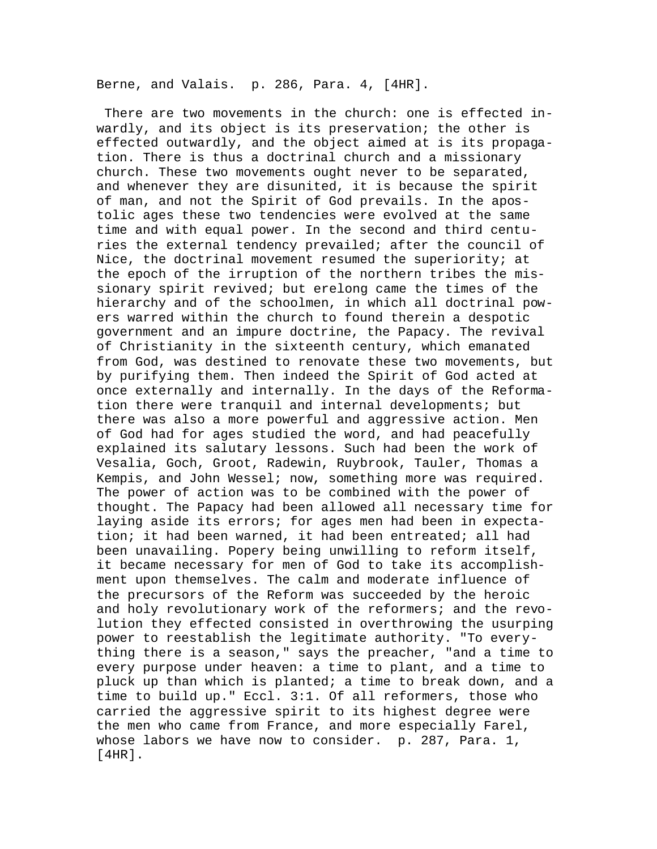Berne, and Valais. p. 286, Para. 4, [4HR].

 There are two movements in the church: one is effected inwardly, and its object is its preservation; the other is effected outwardly, and the object aimed at is its propagation. There is thus a doctrinal church and a missionary church. These two movements ought never to be separated, and whenever they are disunited, it is because the spirit of man, and not the Spirit of God prevails. In the apostolic ages these two tendencies were evolved at the same time and with equal power. In the second and third centuries the external tendency prevailed; after the council of Nice, the doctrinal movement resumed the superiority; at the epoch of the irruption of the northern tribes the missionary spirit revived; but erelong came the times of the hierarchy and of the schoolmen, in which all doctrinal powers warred within the church to found therein a despotic government and an impure doctrine, the Papacy. The revival of Christianity in the sixteenth century, which emanated from God, was destined to renovate these two movements, but by purifying them. Then indeed the Spirit of God acted at once externally and internally. In the days of the Reformation there were tranquil and internal developments; but there was also a more powerful and aggressive action. Men of God had for ages studied the word, and had peacefully explained its salutary lessons. Such had been the work of Vesalia, Goch, Groot, Radewin, Ruybrook, Tauler, Thomas a Kempis, and John Wessel; now, something more was required. The power of action was to be combined with the power of thought. The Papacy had been allowed all necessary time for laying aside its errors; for ages men had been in expectation; it had been warned, it had been entreated; all had been unavailing. Popery being unwilling to reform itself, it became necessary for men of God to take its accomplishment upon themselves. The calm and moderate influence of the precursors of the Reform was succeeded by the heroic and holy revolutionary work of the reformers; and the revolution they effected consisted in overthrowing the usurping power to reestablish the legitimate authority. "To everything there is a season," says the preacher, "and a time to every purpose under heaven: a time to plant, and a time to pluck up than which is planted; a time to break down, and a time to build up." Eccl. 3:1. Of all reformers, those who carried the aggressive spirit to its highest degree were the men who came from France, and more especially Farel, whose labors we have now to consider. p. 287, Para. 1, [4HR].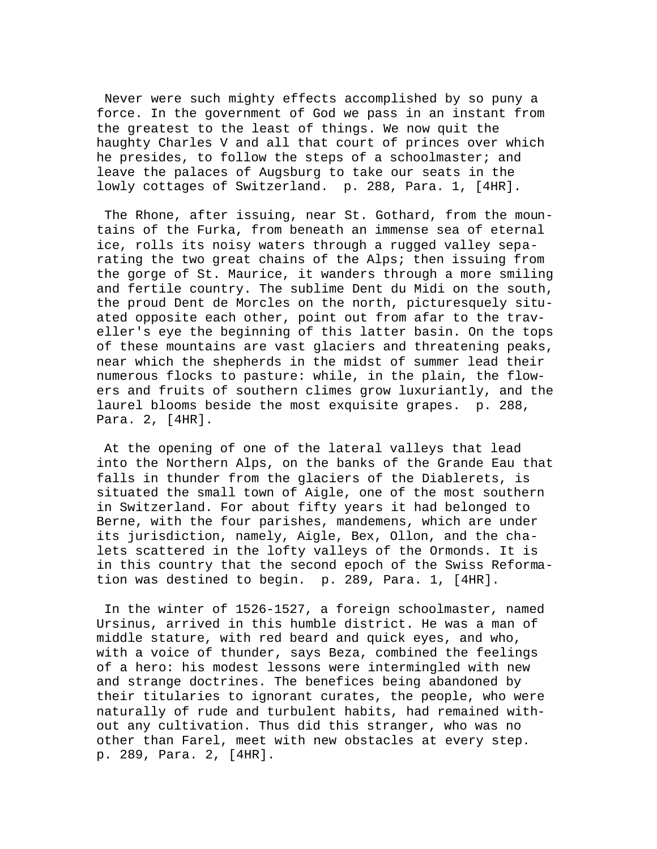Never were such mighty effects accomplished by so puny a force. In the government of God we pass in an instant from the greatest to the least of things. We now quit the haughty Charles V and all that court of princes over which he presides, to follow the steps of a schoolmaster; and leave the palaces of Augsburg to take our seats in the lowly cottages of Switzerland. p. 288, Para. 1, [4HR].

 The Rhone, after issuing, near St. Gothard, from the mountains of the Furka, from beneath an immense sea of eternal ice, rolls its noisy waters through a rugged valley separating the two great chains of the Alps; then issuing from the gorge of St. Maurice, it wanders through a more smiling and fertile country. The sublime Dent du Midi on the south, the proud Dent de Morcles on the north, picturesquely situated opposite each other, point out from afar to the traveller's eye the beginning of this latter basin. On the tops of these mountains are vast glaciers and threatening peaks, near which the shepherds in the midst of summer lead their numerous flocks to pasture: while, in the plain, the flowers and fruits of southern climes grow luxuriantly, and the laurel blooms beside the most exquisite grapes. p. 288, Para. 2, [4HR].

 At the opening of one of the lateral valleys that lead into the Northern Alps, on the banks of the Grande Eau that falls in thunder from the glaciers of the Diablerets, is situated the small town of Aigle, one of the most southern in Switzerland. For about fifty years it had belonged to Berne, with the four parishes, mandemens, which are under its jurisdiction, namely, Aigle, Bex, Ollon, and the chalets scattered in the lofty valleys of the Ormonds. It is in this country that the second epoch of the Swiss Reformation was destined to begin. p. 289, Para. 1, [4HR].

 In the winter of 1526-1527, a foreign schoolmaster, named Ursinus, arrived in this humble district. He was a man of middle stature, with red beard and quick eyes, and who, with a voice of thunder, says Beza, combined the feelings of a hero: his modest lessons were intermingled with new and strange doctrines. The benefices being abandoned by their titularies to ignorant curates, the people, who were naturally of rude and turbulent habits, had remained without any cultivation. Thus did this stranger, who was no other than Farel, meet with new obstacles at every step. p. 289, Para. 2, [4HR].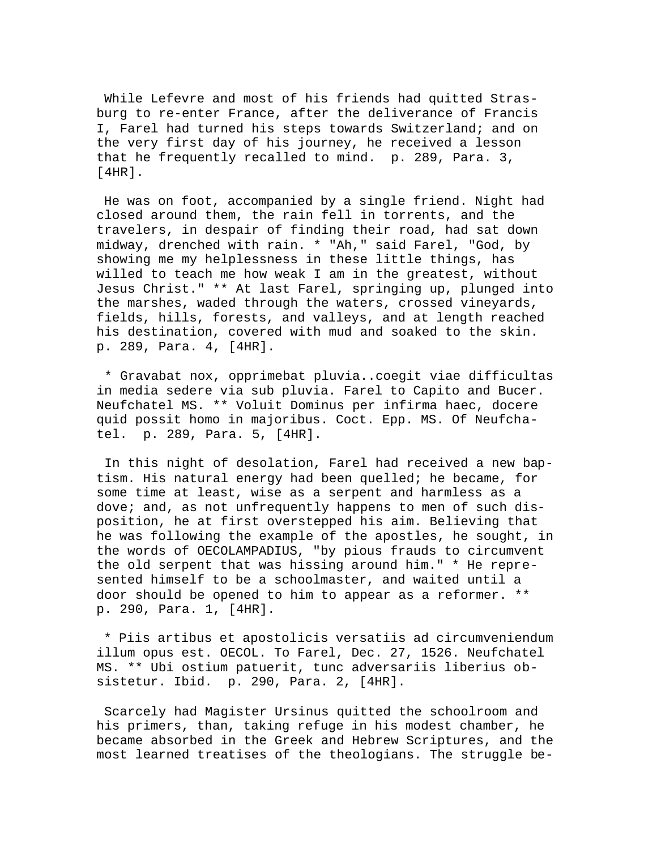While Lefevre and most of his friends had quitted Strasburg to re-enter France, after the deliverance of Francis I, Farel had turned his steps towards Switzerland; and on the very first day of his journey, he received a lesson that he frequently recalled to mind. p. 289, Para. 3, [4HR].

 He was on foot, accompanied by a single friend. Night had closed around them, the rain fell in torrents, and the travelers, in despair of finding their road, had sat down midway, drenched with rain. \* "Ah," said Farel, "God, by showing me my helplessness in these little things, has willed to teach me how weak I am in the greatest, without Jesus Christ." \*\* At last Farel, springing up, plunged into the marshes, waded through the waters, crossed vineyards, fields, hills, forests, and valleys, and at length reached his destination, covered with mud and soaked to the skin. p. 289, Para. 4, [4HR].

 \* Gravabat nox, opprimebat pluvia..coegit viae difficultas in media sedere via sub pluvia. Farel to Capito and Bucer. Neufchatel MS. \*\* Voluit Dominus per infirma haec, docere quid possit homo in majoribus. Coct. Epp. MS. Of Neufchatel. p. 289, Para. 5, [4HR].

 In this night of desolation, Farel had received a new baptism. His natural energy had been quelled; he became, for some time at least, wise as a serpent and harmless as a dove; and, as not unfrequently happens to men of such disposition, he at first overstepped his aim. Believing that he was following the example of the apostles, he sought, in the words of OECOLAMPADIUS, "by pious frauds to circumvent the old serpent that was hissing around him." \* He represented himself to be a schoolmaster, and waited until a door should be opened to him to appear as a reformer. \*\* p. 290, Para. 1, [4HR].

 \* Piis artibus et apostolicis versatiis ad circumveniendum illum opus est. OECOL. To Farel, Dec. 27, 1526. Neufchatel MS. \*\* Ubi ostium patuerit, tunc adversariis liberius obsistetur. Ibid. p. 290, Para. 2, [4HR].

 Scarcely had Magister Ursinus quitted the schoolroom and his primers, than, taking refuge in his modest chamber, he became absorbed in the Greek and Hebrew Scriptures, and the most learned treatises of the theologians. The struggle be-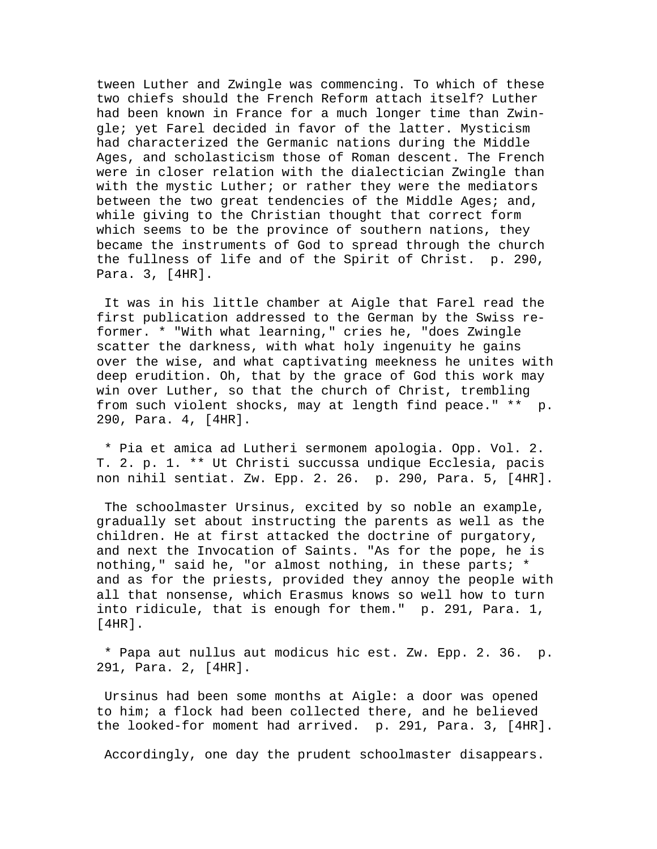tween Luther and Zwingle was commencing. To which of these two chiefs should the French Reform attach itself? Luther had been known in France for a much longer time than Zwingle; yet Farel decided in favor of the latter. Mysticism had characterized the Germanic nations during the Middle Ages, and scholasticism those of Roman descent. The French were in closer relation with the dialectician Zwingle than with the mystic Luther; or rather they were the mediators between the two great tendencies of the Middle Ages; and, while giving to the Christian thought that correct form which seems to be the province of southern nations, they became the instruments of God to spread through the church the fullness of life and of the Spirit of Christ. p. 290, Para. 3, [4HR].

 It was in his little chamber at Aigle that Farel read the first publication addressed to the German by the Swiss reformer. \* "With what learning," cries he, "does Zwingle scatter the darkness, with what holy ingenuity he gains over the wise, and what captivating meekness he unites with deep erudition. Oh, that by the grace of God this work may win over Luther, so that the church of Christ, trembling from such violent shocks, may at length find peace." \*\* p. 290, Para. 4, [4HR].

 \* Pia et amica ad Lutheri sermonem apologia. Opp. Vol. 2. T. 2. p. 1. \*\* Ut Christi succussa undique Ecclesia, pacis non nihil sentiat. Zw. Epp. 2. 26. p. 290, Para. 5, [4HR].

 The schoolmaster Ursinus, excited by so noble an example, gradually set about instructing the parents as well as the children. He at first attacked the doctrine of purgatory, and next the Invocation of Saints. "As for the pope, he is nothing," said he, "or almost nothing, in these parts; \* and as for the priests, provided they annoy the people with all that nonsense, which Erasmus knows so well how to turn into ridicule, that is enough for them." p. 291, Para. 1, [4HR].

 \* Papa aut nullus aut modicus hic est. Zw. Epp. 2. 36. p. 291, Para. 2, [4HR].

 Ursinus had been some months at Aigle: a door was opened to him; a flock had been collected there, and he believed the looked-for moment had arrived. p. 291, Para. 3, [4HR].

Accordingly, one day the prudent schoolmaster disappears.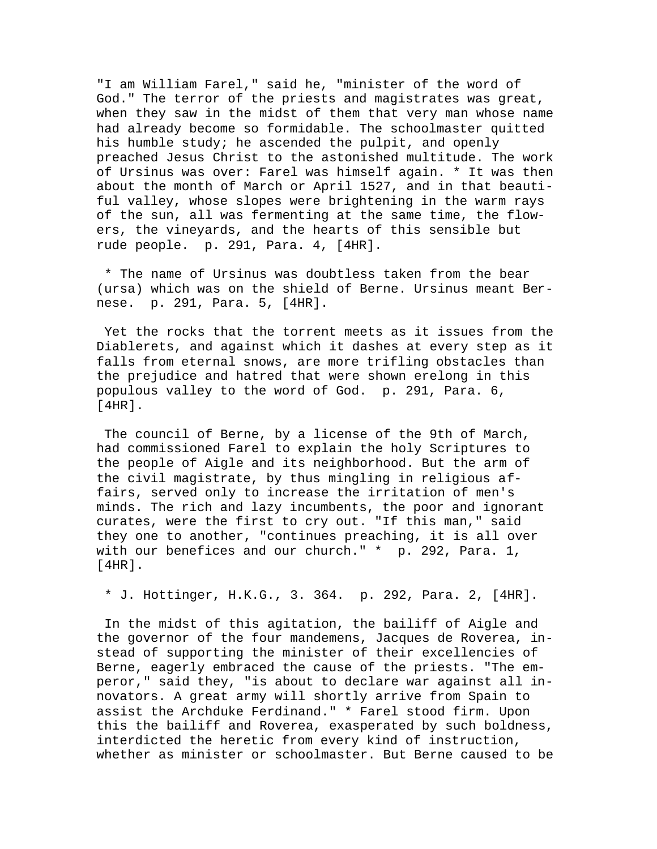"I am William Farel," said he, "minister of the word of God." The terror of the priests and magistrates was great, when they saw in the midst of them that very man whose name had already become so formidable. The schoolmaster quitted his humble study; he ascended the pulpit, and openly preached Jesus Christ to the astonished multitude. The work of Ursinus was over: Farel was himself again. \* It was then about the month of March or April 1527, and in that beautiful valley, whose slopes were brightening in the warm rays of the sun, all was fermenting at the same time, the flowers, the vineyards, and the hearts of this sensible but rude people. p. 291, Para. 4, [4HR].

 \* The name of Ursinus was doubtless taken from the bear (ursa) which was on the shield of Berne. Ursinus meant Bernese. p. 291, Para. 5, [4HR].

 Yet the rocks that the torrent meets as it issues from the Diablerets, and against which it dashes at every step as it falls from eternal snows, are more trifling obstacles than the prejudice and hatred that were shown erelong in this populous valley to the word of God. p. 291, Para. 6, [4HR].

 The council of Berne, by a license of the 9th of March, had commissioned Farel to explain the holy Scriptures to the people of Aigle and its neighborhood. But the arm of the civil magistrate, by thus mingling in religious affairs, served only to increase the irritation of men's minds. The rich and lazy incumbents, the poor and ignorant curates, were the first to cry out. "If this man," said they one to another, "continues preaching, it is all over with our benefices and our church." \* p. 292, Para. 1, [4HR].

\* J. Hottinger, H.K.G., 3. 364. p. 292, Para. 2, [4HR].

 In the midst of this agitation, the bailiff of Aigle and the governor of the four mandemens, Jacques de Roverea, instead of supporting the minister of their excellencies of Berne, eagerly embraced the cause of the priests. "The emperor," said they, "is about to declare war against all innovators. A great army will shortly arrive from Spain to assist the Archduke Ferdinand." \* Farel stood firm. Upon this the bailiff and Roverea, exasperated by such boldness, interdicted the heretic from every kind of instruction, whether as minister or schoolmaster. But Berne caused to be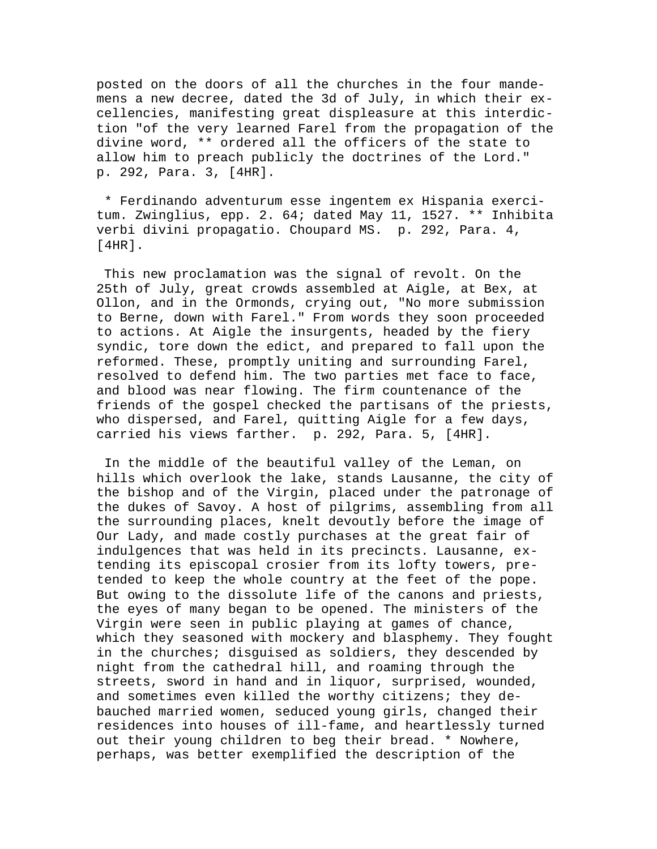posted on the doors of all the churches in the four mandemens a new decree, dated the 3d of July, in which their excellencies, manifesting great displeasure at this interdiction "of the very learned Farel from the propagation of the divine word, \*\* ordered all the officers of the state to allow him to preach publicly the doctrines of the Lord." p. 292, Para. 3, [4HR].

 \* Ferdinando adventurum esse ingentem ex Hispania exercitum. Zwinglius, epp. 2. 64; dated May 11, 1527. \*\* Inhibita verbi divini propagatio. Choupard MS. p. 292, Para. 4, [4HR].

 This new proclamation was the signal of revolt. On the 25th of July, great crowds assembled at Aigle, at Bex, at Ollon, and in the Ormonds, crying out, "No more submission to Berne, down with Farel." From words they soon proceeded to actions. At Aigle the insurgents, headed by the fiery syndic, tore down the edict, and prepared to fall upon the reformed. These, promptly uniting and surrounding Farel, resolved to defend him. The two parties met face to face, and blood was near flowing. The firm countenance of the friends of the gospel checked the partisans of the priests, who dispersed, and Farel, quitting Aigle for a few days, carried his views farther. p. 292, Para. 5, [4HR].

 In the middle of the beautiful valley of the Leman, on hills which overlook the lake, stands Lausanne, the city of the bishop and of the Virgin, placed under the patronage of the dukes of Savoy. A host of pilgrims, assembling from all the surrounding places, knelt devoutly before the image of Our Lady, and made costly purchases at the great fair of indulgences that was held in its precincts. Lausanne, extending its episcopal crosier from its lofty towers, pretended to keep the whole country at the feet of the pope. But owing to the dissolute life of the canons and priests, the eyes of many began to be opened. The ministers of the Virgin were seen in public playing at games of chance, which they seasoned with mockery and blasphemy. They fought in the churches; disguised as soldiers, they descended by night from the cathedral hill, and roaming through the streets, sword in hand and in liquor, surprised, wounded, and sometimes even killed the worthy citizens; they debauched married women, seduced young girls, changed their residences into houses of ill-fame, and heartlessly turned out their young children to beg their bread. \* Nowhere, perhaps, was better exemplified the description of the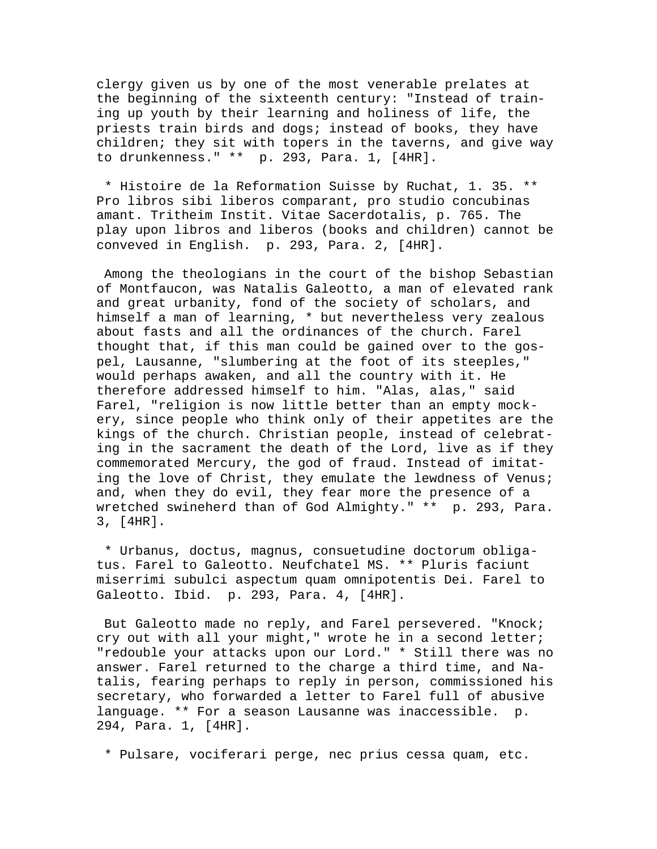clergy given us by one of the most venerable prelates at the beginning of the sixteenth century: "Instead of training up youth by their learning and holiness of life, the priests train birds and dogs; instead of books, they have children; they sit with topers in the taverns, and give way to drunkenness." \*\* p. 293, Para. 1, [4HR].

 \* Histoire de la Reformation Suisse by Ruchat, 1. 35. \*\* Pro libros sibi liberos comparant, pro studio concubinas amant. Tritheim Instit. Vitae Sacerdotalis, p. 765. The play upon libros and liberos (books and children) cannot be conveved in English. p. 293, Para. 2, [4HR].

 Among the theologians in the court of the bishop Sebastian of Montfaucon, was Natalis Galeotto, a man of elevated rank and great urbanity, fond of the society of scholars, and himself a man of learning, \* but nevertheless very zealous about fasts and all the ordinances of the church. Farel thought that, if this man could be gained over to the gospel, Lausanne, "slumbering at the foot of its steeples," would perhaps awaken, and all the country with it. He therefore addressed himself to him. "Alas, alas," said Farel, "religion is now little better than an empty mockery, since people who think only of their appetites are the kings of the church. Christian people, instead of celebrating in the sacrament the death of the Lord, live as if they commemorated Mercury, the god of fraud. Instead of imitating the love of Christ, they emulate the lewdness of Venus; and, when they do evil, they fear more the presence of a wretched swineherd than of God Almighty." \*\* p. 293, Para. 3, [4HR].

 \* Urbanus, doctus, magnus, consuetudine doctorum obligatus. Farel to Galeotto. Neufchatel MS. \*\* Pluris faciunt miserrimi subulci aspectum quam omnipotentis Dei. Farel to Galeotto. Ibid. p. 293, Para. 4, [4HR].

 But Galeotto made no reply, and Farel persevered. "Knock; cry out with all your might," wrote he in a second letter; "redouble your attacks upon our Lord." \* Still there was no answer. Farel returned to the charge a third time, and Natalis, fearing perhaps to reply in person, commissioned his secretary, who forwarded a letter to Farel full of abusive language. \*\* For a season Lausanne was inaccessible. p. 294, Para. 1, [4HR].

\* Pulsare, vociferari perge, nec prius cessa quam, etc.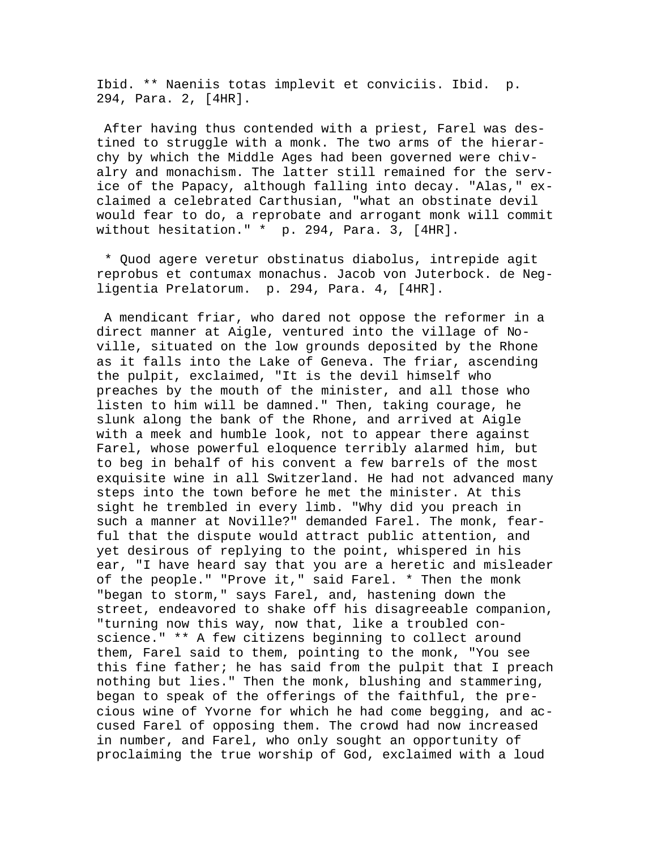Ibid. \*\* Naeniis totas implevit et conviciis. Ibid. p. 294, Para. 2, [4HR].

 After having thus contended with a priest, Farel was destined to struggle with a monk. The two arms of the hierarchy by which the Middle Ages had been governed were chivalry and monachism. The latter still remained for the service of the Papacy, although falling into decay. "Alas," exclaimed a celebrated Carthusian, "what an obstinate devil would fear to do, a reprobate and arrogant monk will commit without hesitation." \* p. 294, Para. 3, [4HR].

 \* Quod agere veretur obstinatus diabolus, intrepide agit reprobus et contumax monachus. Jacob von Juterbock. de Negligentia Prelatorum. p. 294, Para. 4, [4HR].

 A mendicant friar, who dared not oppose the reformer in a direct manner at Aigle, ventured into the village of Noville, situated on the low grounds deposited by the Rhone as it falls into the Lake of Geneva. The friar, ascending the pulpit, exclaimed, "It is the devil himself who preaches by the mouth of the minister, and all those who listen to him will be damned." Then, taking courage, he slunk along the bank of the Rhone, and arrived at Aigle with a meek and humble look, not to appear there against Farel, whose powerful eloquence terribly alarmed him, but to beg in behalf of his convent a few barrels of the most exquisite wine in all Switzerland. He had not advanced many steps into the town before he met the minister. At this sight he trembled in every limb. "Why did you preach in such a manner at Noville?" demanded Farel. The monk, fearful that the dispute would attract public attention, and yet desirous of replying to the point, whispered in his ear, "I have heard say that you are a heretic and misleader of the people." "Prove it," said Farel. \* Then the monk "began to storm," says Farel, and, hastening down the street, endeavored to shake off his disagreeable companion, "turning now this way, now that, like a troubled conscience." \*\* A few citizens beginning to collect around them, Farel said to them, pointing to the monk, "You see this fine father; he has said from the pulpit that I preach nothing but lies." Then the monk, blushing and stammering, began to speak of the offerings of the faithful, the precious wine of Yvorne for which he had come begging, and accused Farel of opposing them. The crowd had now increased in number, and Farel, who only sought an opportunity of proclaiming the true worship of God, exclaimed with a loud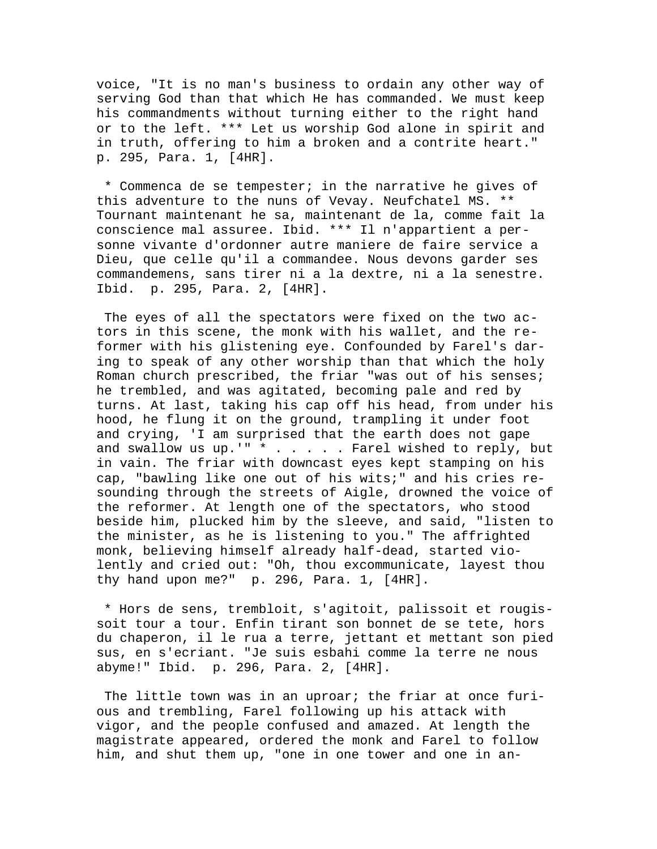voice, "It is no man's business to ordain any other way of serving God than that which He has commanded. We must keep his commandments without turning either to the right hand or to the left. \*\*\* Let us worship God alone in spirit and in truth, offering to him a broken and a contrite heart." p. 295, Para. 1, [4HR].

 \* Commenca de se tempester; in the narrative he gives of this adventure to the nuns of Vevay. Neufchatel MS. \*\* Tournant maintenant he sa, maintenant de la, comme fait la conscience mal assuree. Ibid. \*\*\* Il n'appartient a personne vivante d'ordonner autre maniere de faire service a Dieu, que celle qu'il a commandee. Nous devons garder ses commandemens, sans tirer ni a la dextre, ni a la senestre. Ibid. p. 295, Para. 2, [4HR].

 The eyes of all the spectators were fixed on the two actors in this scene, the monk with his wallet, and the reformer with his glistening eye. Confounded by Farel's daring to speak of any other worship than that which the holy Roman church prescribed, the friar "was out of his senses; he trembled, and was agitated, becoming pale and red by turns. At last, taking his cap off his head, from under his hood, he flung it on the ground, trampling it under foot and crying, 'I am surprised that the earth does not gape and swallow us up.'"  $*$  . . . . Farel wished to reply, but in vain. The friar with downcast eyes kept stamping on his cap, "bawling like one out of his wits;" and his cries resounding through the streets of Aigle, drowned the voice of the reformer. At length one of the spectators, who stood beside him, plucked him by the sleeve, and said, "listen to the minister, as he is listening to you." The affrighted monk, believing himself already half-dead, started violently and cried out: "Oh, thou excommunicate, layest thou thy hand upon me?" p. 296, Para. 1, [4HR].

 \* Hors de sens, trembloit, s'agitoit, palissoit et rougissoit tour a tour. Enfin tirant son bonnet de se tete, hors du chaperon, il le rua a terre, jettant et mettant son pied sus, en s'ecriant. "Je suis esbahi comme la terre ne nous abyme!" Ibid. p. 296, Para. 2, [4HR].

The little town was in an uproar; the friar at once furious and trembling, Farel following up his attack with vigor, and the people confused and amazed. At length the magistrate appeared, ordered the monk and Farel to follow him, and shut them up, "one in one tower and one in an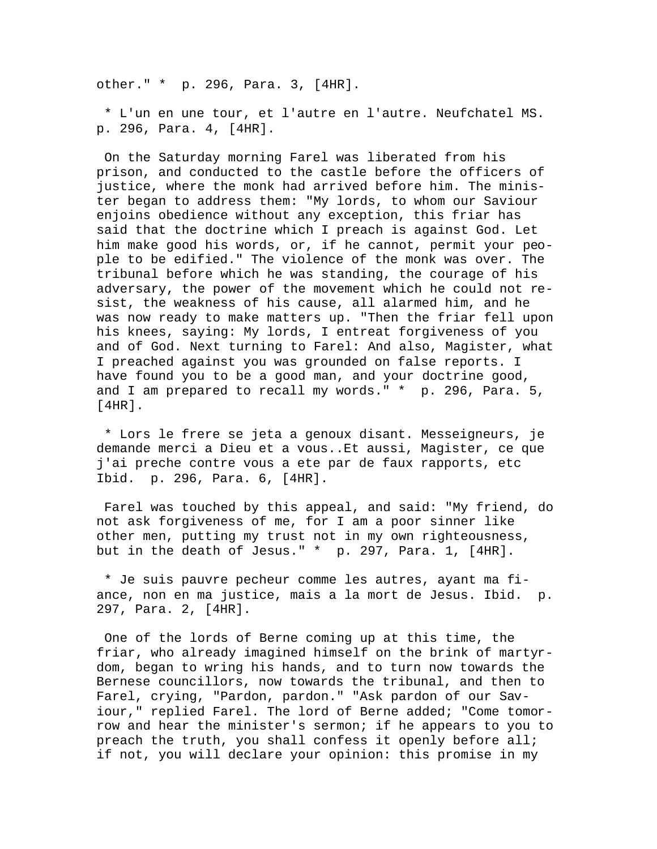other." \* p. 296, Para. 3, [4HR].

 \* L'un en une tour, et l'autre en l'autre. Neufchatel MS. p. 296, Para. 4, [4HR].

 On the Saturday morning Farel was liberated from his prison, and conducted to the castle before the officers of justice, where the monk had arrived before him. The minister began to address them: "My lords, to whom our Saviour enjoins obedience without any exception, this friar has said that the doctrine which I preach is against God. Let him make good his words, or, if he cannot, permit your people to be edified." The violence of the monk was over. The tribunal before which he was standing, the courage of his adversary, the power of the movement which he could not resist, the weakness of his cause, all alarmed him, and he was now ready to make matters up. "Then the friar fell upon his knees, saying: My lords, I entreat forgiveness of you and of God. Next turning to Farel: And also, Magister, what I preached against you was grounded on false reports. I have found you to be a good man, and your doctrine good, and I am prepared to recall my words." \* p. 296, Para. 5, [4HR].

 \* Lors le frere se jeta a genoux disant. Messeigneurs, je demande merci a Dieu et a vous..Et aussi, Magister, ce que j'ai preche contre vous a ete par de faux rapports, etc Ibid. p. 296, Para. 6, [4HR].

 Farel was touched by this appeal, and said: "My friend, do not ask forgiveness of me, for I am a poor sinner like other men, putting my trust not in my own righteousness, but in the death of Jesus." \* p. 297, Para. 1, [4HR].

 \* Je suis pauvre pecheur comme les autres, ayant ma fiance, non en ma justice, mais a la mort de Jesus. Ibid. p. 297, Para. 2, [4HR].

 One of the lords of Berne coming up at this time, the friar, who already imagined himself on the brink of martyrdom, began to wring his hands, and to turn now towards the Bernese councillors, now towards the tribunal, and then to Farel, crying, "Pardon, pardon." "Ask pardon of our Saviour," replied Farel. The lord of Berne added; "Come tomorrow and hear the minister's sermon; if he appears to you to preach the truth, you shall confess it openly before all; if not, you will declare your opinion: this promise in my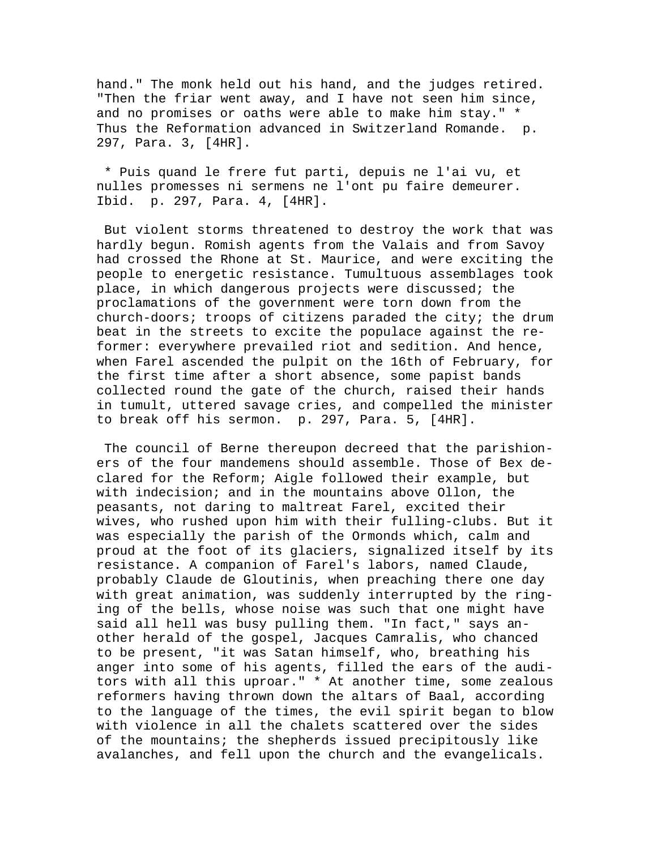hand." The monk held out his hand, and the judges retired. "Then the friar went away, and I have not seen him since, and no promises or oaths were able to make him stay." \* Thus the Reformation advanced in Switzerland Romande. p. 297, Para. 3, [4HR].

 \* Puis quand le frere fut parti, depuis ne l'ai vu, et nulles promesses ni sermens ne l'ont pu faire demeurer. Ibid. p. 297, Para. 4, [4HR].

 But violent storms threatened to destroy the work that was hardly begun. Romish agents from the Valais and from Savoy had crossed the Rhone at St. Maurice, and were exciting the people to energetic resistance. Tumultuous assemblages took place, in which dangerous projects were discussed; the proclamations of the government were torn down from the church-doors; troops of citizens paraded the city; the drum beat in the streets to excite the populace against the reformer: everywhere prevailed riot and sedition. And hence, when Farel ascended the pulpit on the 16th of February, for the first time after a short absence, some papist bands collected round the gate of the church, raised their hands in tumult, uttered savage cries, and compelled the minister to break off his sermon. p. 297, Para. 5, [4HR].

 The council of Berne thereupon decreed that the parishioners of the four mandemens should assemble. Those of Bex declared for the Reform; Aigle followed their example, but with indecision; and in the mountains above Ollon, the peasants, not daring to maltreat Farel, excited their wives, who rushed upon him with their fulling-clubs. But it was especially the parish of the Ormonds which, calm and proud at the foot of its glaciers, signalized itself by its resistance. A companion of Farel's labors, named Claude, probably Claude de Gloutinis, when preaching there one day with great animation, was suddenly interrupted by the ringing of the bells, whose noise was such that one might have said all hell was busy pulling them. "In fact," says another herald of the gospel, Jacques Camralis, who chanced to be present, "it was Satan himself, who, breathing his anger into some of his agents, filled the ears of the auditors with all this uproar." \* At another time, some zealous reformers having thrown down the altars of Baal, according to the language of the times, the evil spirit began to blow with violence in all the chalets scattered over the sides of the mountains; the shepherds issued precipitously like avalanches, and fell upon the church and the evangelicals.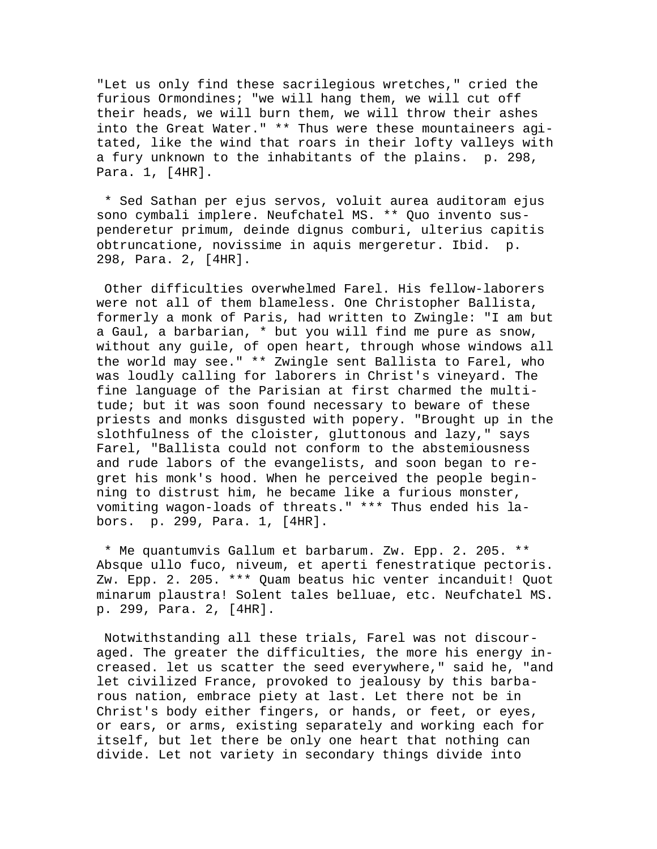"Let us only find these sacrilegious wretches," cried the furious Ormondines; "we will hang them, we will cut off their heads, we will burn them, we will throw their ashes into the Great Water." \*\* Thus were these mountaineers agitated, like the wind that roars in their lofty valleys with a fury unknown to the inhabitants of the plains. p. 298, Para. 1, [4HR].

 \* Sed Sathan per ejus servos, voluit aurea auditoram ejus sono cymbali implere. Neufchatel MS. \*\* Quo invento suspenderetur primum, deinde dignus comburi, ulterius capitis obtruncatione, novissime in aquis mergeretur. Ibid. p. 298, Para. 2, [4HR].

 Other difficulties overwhelmed Farel. His fellow-laborers were not all of them blameless. One Christopher Ballista, formerly a monk of Paris, had written to Zwingle: "I am but a Gaul, a barbarian, \* but you will find me pure as snow, without any guile, of open heart, through whose windows all the world may see." \*\* Zwingle sent Ballista to Farel, who was loudly calling for laborers in Christ's vineyard. The fine language of the Parisian at first charmed the multitude; but it was soon found necessary to beware of these priests and monks disgusted with popery. "Brought up in the slothfulness of the cloister, gluttonous and lazy," says Farel, "Ballista could not conform to the abstemiousness and rude labors of the evangelists, and soon began to regret his monk's hood. When he perceived the people beginning to distrust him, he became like a furious monster, vomiting wagon-loads of threats." \*\*\* Thus ended his labors. p. 299, Para. 1, [4HR].

 \* Me quantumvis Gallum et barbarum. Zw. Epp. 2. 205. \*\* Absque ullo fuco, niveum, et aperti fenestratique pectoris. Zw. Epp. 2. 205. \*\*\* Quam beatus hic venter incanduit! Quot minarum plaustra! Solent tales belluae, etc. Neufchatel MS. p. 299, Para. 2, [4HR].

 Notwithstanding all these trials, Farel was not discouraged. The greater the difficulties, the more his energy increased. let us scatter the seed everywhere," said he, "and let civilized France, provoked to jealousy by this barbarous nation, embrace piety at last. Let there not be in Christ's body either fingers, or hands, or feet, or eyes, or ears, or arms, existing separately and working each for itself, but let there be only one heart that nothing can divide. Let not variety in secondary things divide into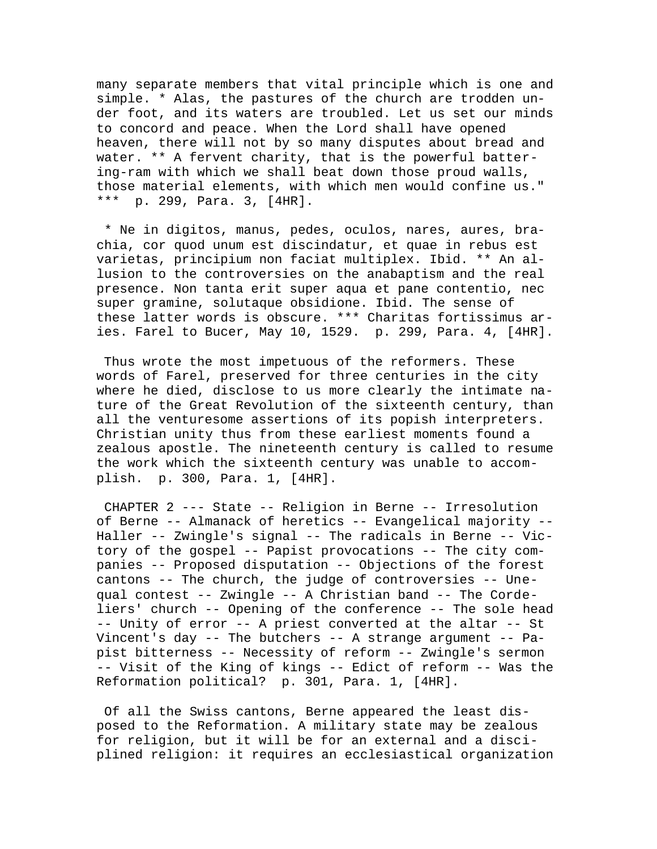many separate members that vital principle which is one and simple. \* Alas, the pastures of the church are trodden under foot, and its waters are troubled. Let us set our minds to concord and peace. When the Lord shall have opened heaven, there will not by so many disputes about bread and water. \*\* A fervent charity, that is the powerful battering-ram with which we shall beat down those proud walls, those material elements, with which men would confine us." \*\*\* p. 299, Para. 3, [4HR].

 \* Ne in digitos, manus, pedes, oculos, nares, aures, brachia, cor quod unum est discindatur, et quae in rebus est varietas, principium non faciat multiplex. Ibid. \*\* An allusion to the controversies on the anabaptism and the real presence. Non tanta erit super aqua et pane contentio, nec super gramine, solutaque obsidione. Ibid. The sense of these latter words is obscure. \*\*\* Charitas fortissimus aries. Farel to Bucer, May 10, 1529. p. 299, Para. 4, [4HR].

 Thus wrote the most impetuous of the reformers. These words of Farel, preserved for three centuries in the city where he died, disclose to us more clearly the intimate nature of the Great Revolution of the sixteenth century, than all the venturesome assertions of its popish interpreters. Christian unity thus from these earliest moments found a zealous apostle. The nineteenth century is called to resume the work which the sixteenth century was unable to accomplish. p. 300, Para. 1, [4HR].

 CHAPTER 2 --- State -- Religion in Berne -- Irresolution of Berne -- Almanack of heretics -- Evangelical majority -- Haller -- Zwingle's signal -- The radicals in Berne -- Victory of the gospel -- Papist provocations -- The city companies -- Proposed disputation -- Objections of the forest cantons -- The church, the judge of controversies -- Unequal contest -- Zwingle -- A Christian band -- The Cordeliers' church -- Opening of the conference -- The sole head -- Unity of error -- A priest converted at the altar -- St Vincent's day -- The butchers -- A strange argument -- Papist bitterness -- Necessity of reform -- Zwingle's sermon -- Visit of the King of kings -- Edict of reform -- Was the Reformation political? p. 301, Para. 1, [4HR].

 Of all the Swiss cantons, Berne appeared the least disposed to the Reformation. A military state may be zealous for religion, but it will be for an external and a disciplined religion: it requires an ecclesiastical organization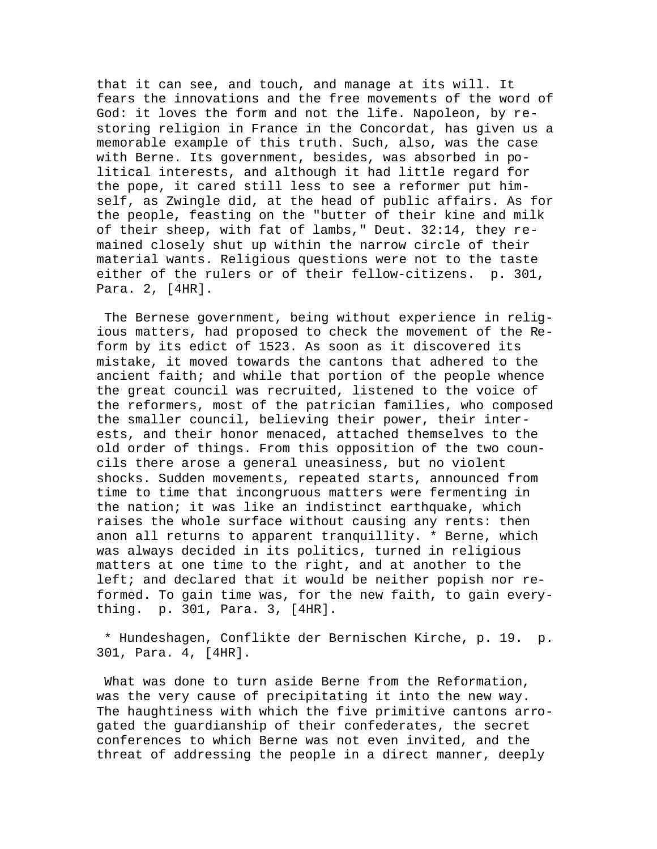that it can see, and touch, and manage at its will. It fears the innovations and the free movements of the word of God: it loves the form and not the life. Napoleon, by restoring religion in France in the Concordat, has given us a memorable example of this truth. Such, also, was the case with Berne. Its government, besides, was absorbed in political interests, and although it had little regard for the pope, it cared still less to see a reformer put himself, as Zwingle did, at the head of public affairs. As for the people, feasting on the "butter of their kine and milk of their sheep, with fat of lambs," Deut. 32:14, they remained closely shut up within the narrow circle of their material wants. Religious questions were not to the taste either of the rulers or of their fellow-citizens. p. 301, Para. 2, [4HR].

 The Bernese government, being without experience in religious matters, had proposed to check the movement of the Reform by its edict of 1523. As soon as it discovered its mistake, it moved towards the cantons that adhered to the ancient faith; and while that portion of the people whence the great council was recruited, listened to the voice of the reformers, most of the patrician families, who composed the smaller council, believing their power, their interests, and their honor menaced, attached themselves to the old order of things. From this opposition of the two councils there arose a general uneasiness, but no violent shocks. Sudden movements, repeated starts, announced from time to time that incongruous matters were fermenting in the nation; it was like an indistinct earthquake, which raises the whole surface without causing any rents: then anon all returns to apparent tranquillity. \* Berne, which was always decided in its politics, turned in religious matters at one time to the right, and at another to the left; and declared that it would be neither popish nor reformed. To gain time was, for the new faith, to gain everything. p. 301, Para. 3, [4HR].

 \* Hundeshagen, Conflikte der Bernischen Kirche, p. 19. p. 301, Para. 4, [4HR].

 What was done to turn aside Berne from the Reformation, was the very cause of precipitating it into the new way. The haughtiness with which the five primitive cantons arrogated the guardianship of their confederates, the secret conferences to which Berne was not even invited, and the threat of addressing the people in a direct manner, deeply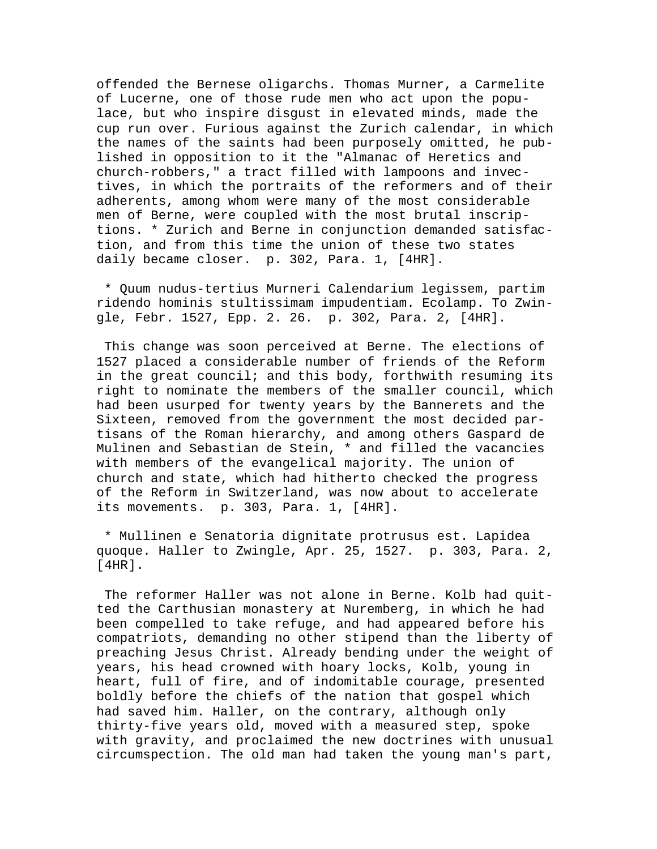offended the Bernese oligarchs. Thomas Murner, a Carmelite of Lucerne, one of those rude men who act upon the populace, but who inspire disgust in elevated minds, made the cup run over. Furious against the Zurich calendar, in which the names of the saints had been purposely omitted, he published in opposition to it the "Almanac of Heretics and church-robbers," a tract filled with lampoons and invectives, in which the portraits of the reformers and of their adherents, among whom were many of the most considerable men of Berne, were coupled with the most brutal inscriptions. \* Zurich and Berne in conjunction demanded satisfaction, and from this time the union of these two states daily became closer. p. 302, Para. 1, [4HR].

 \* Quum nudus-tertius Murneri Calendarium legissem, partim ridendo hominis stultissimam impudentiam. Ecolamp. To Zwingle, Febr. 1527, Epp. 2. 26. p. 302, Para. 2, [4HR].

 This change was soon perceived at Berne. The elections of 1527 placed a considerable number of friends of the Reform in the great council; and this body, forthwith resuming its right to nominate the members of the smaller council, which had been usurped for twenty years by the Bannerets and the Sixteen, removed from the government the most decided partisans of the Roman hierarchy, and among others Gaspard de Mulinen and Sebastian de Stein, \* and filled the vacancies with members of the evangelical majority. The union of church and state, which had hitherto checked the progress of the Reform in Switzerland, was now about to accelerate its movements. p. 303, Para. 1, [4HR].

 \* Mullinen e Senatoria dignitate protrusus est. Lapidea quoque. Haller to Zwingle, Apr. 25, 1527. p. 303, Para. 2, [4HR].

 The reformer Haller was not alone in Berne. Kolb had quitted the Carthusian monastery at Nuremberg, in which he had been compelled to take refuge, and had appeared before his compatriots, demanding no other stipend than the liberty of preaching Jesus Christ. Already bending under the weight of years, his head crowned with hoary locks, Kolb, young in heart, full of fire, and of indomitable courage, presented boldly before the chiefs of the nation that gospel which had saved him. Haller, on the contrary, although only thirty-five years old, moved with a measured step, spoke with gravity, and proclaimed the new doctrines with unusual circumspection. The old man had taken the young man's part,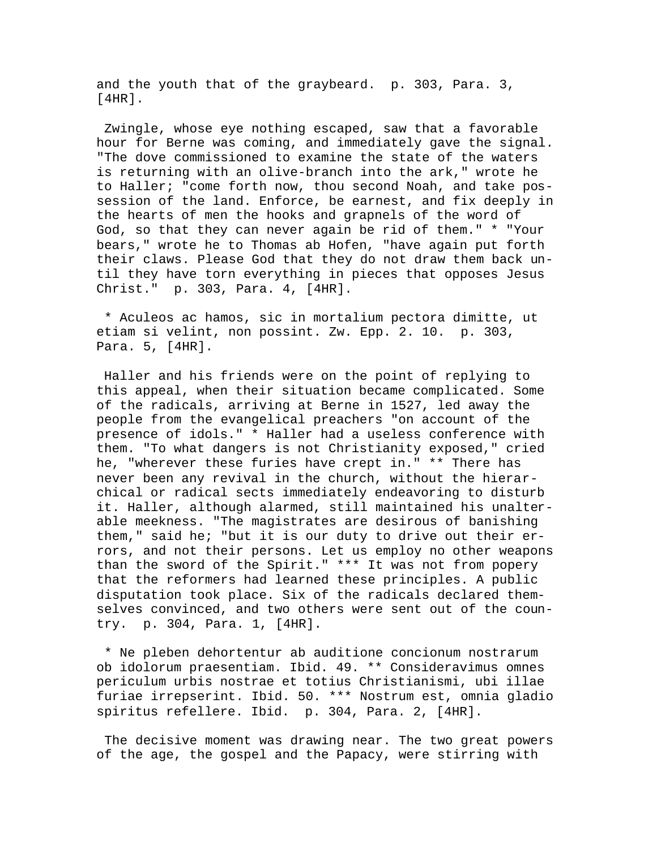and the youth that of the graybeard. p. 303, Para. 3, [4HR].

 Zwingle, whose eye nothing escaped, saw that a favorable hour for Berne was coming, and immediately gave the signal. "The dove commissioned to examine the state of the waters is returning with an olive-branch into the ark," wrote he to Haller; "come forth now, thou second Noah, and take possession of the land. Enforce, be earnest, and fix deeply in the hearts of men the hooks and grapnels of the word of God, so that they can never again be rid of them." \* "Your bears," wrote he to Thomas ab Hofen, "have again put forth their claws. Please God that they do not draw them back until they have torn everything in pieces that opposes Jesus Christ." p. 303, Para. 4, [4HR].

 \* Aculeos ac hamos, sic in mortalium pectora dimitte, ut etiam si velint, non possint. Zw. Epp. 2. 10. p. 303, Para. 5, [4HR].

 Haller and his friends were on the point of replying to this appeal, when their situation became complicated. Some of the radicals, arriving at Berne in 1527, led away the people from the evangelical preachers "on account of the presence of idols." \* Haller had a useless conference with them. "To what dangers is not Christianity exposed," cried he, "wherever these furies have crept in." \*\* There has never been any revival in the church, without the hierarchical or radical sects immediately endeavoring to disturb it. Haller, although alarmed, still maintained his unalterable meekness. "The magistrates are desirous of banishing them," said he; "but it is our duty to drive out their errors, and not their persons. Let us employ no other weapons than the sword of the Spirit." \*\*\* It was not from popery that the reformers had learned these principles. A public disputation took place. Six of the radicals declared themselves convinced, and two others were sent out of the country. p. 304, Para. 1, [4HR].

 \* Ne pleben dehortentur ab auditione concionum nostrarum ob idolorum praesentiam. Ibid. 49. \*\* Consideravimus omnes periculum urbis nostrae et totius Christianismi, ubi illae furiae irrepserint. Ibid. 50. \*\*\* Nostrum est, omnia gladio spiritus refellere. Ibid. p. 304, Para. 2, [4HR].

 The decisive moment was drawing near. The two great powers of the age, the gospel and the Papacy, were stirring with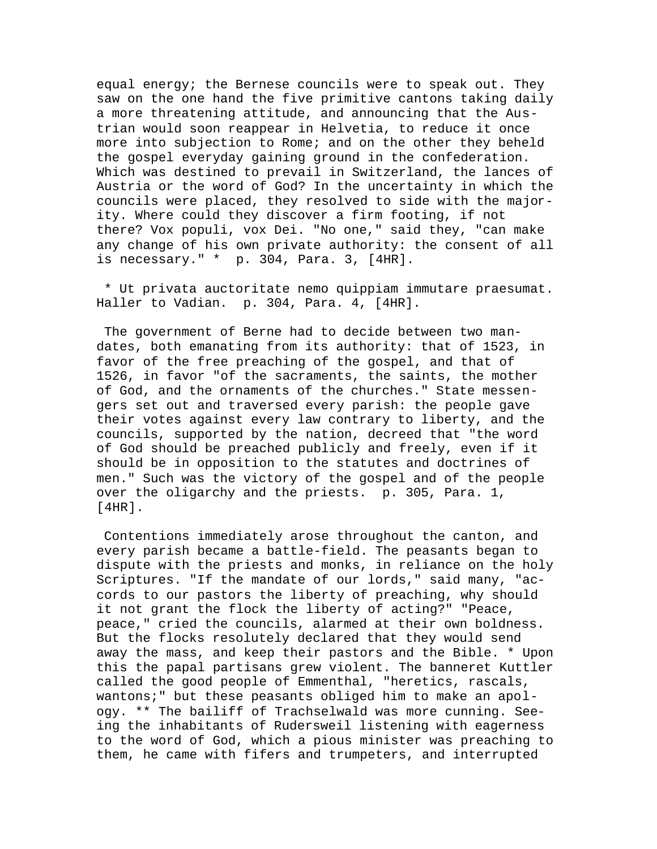equal energy; the Bernese councils were to speak out. They saw on the one hand the five primitive cantons taking daily a more threatening attitude, and announcing that the Austrian would soon reappear in Helvetia, to reduce it once more into subjection to Rome; and on the other they beheld the gospel everyday gaining ground in the confederation. Which was destined to prevail in Switzerland, the lances of Austria or the word of God? In the uncertainty in which the councils were placed, they resolved to side with the majority. Where could they discover a firm footing, if not there? Vox populi, vox Dei. "No one," said they, "can make any change of his own private authority: the consent of all is necessary." \* p. 304, Para. 3, [4HR].

 \* Ut privata auctoritate nemo quippiam immutare praesumat. Haller to Vadian. p. 304, Para. 4, [4HR].

 The government of Berne had to decide between two mandates, both emanating from its authority: that of 1523, in favor of the free preaching of the gospel, and that of 1526, in favor "of the sacraments, the saints, the mother of God, and the ornaments of the churches." State messengers set out and traversed every parish: the people gave their votes against every law contrary to liberty, and the councils, supported by the nation, decreed that "the word of God should be preached publicly and freely, even if it should be in opposition to the statutes and doctrines of men." Such was the victory of the gospel and of the people over the oligarchy and the priests. p. 305, Para. 1, [4HR].

 Contentions immediately arose throughout the canton, and every parish became a battle-field. The peasants began to dispute with the priests and monks, in reliance on the holy Scriptures. "If the mandate of our lords," said many, "accords to our pastors the liberty of preaching, why should it not grant the flock the liberty of acting?" "Peace, peace," cried the councils, alarmed at their own boldness. But the flocks resolutely declared that they would send away the mass, and keep their pastors and the Bible. \* Upon this the papal partisans grew violent. The banneret Kuttler called the good people of Emmenthal, "heretics, rascals, wantons;" but these peasants obliged him to make an apology. \*\* The bailiff of Trachselwald was more cunning. Seeing the inhabitants of Rudersweil listening with eagerness to the word of God, which a pious minister was preaching to them, he came with fifers and trumpeters, and interrupted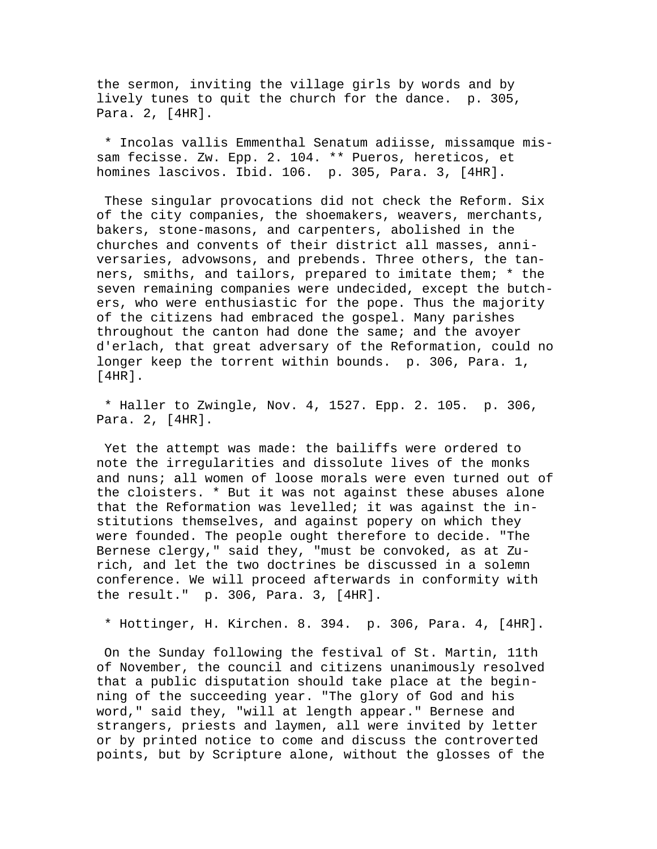the sermon, inviting the village girls by words and by lively tunes to quit the church for the dance. p. 305, Para. 2, [4HR].

 \* Incolas vallis Emmenthal Senatum adiisse, missamque missam fecisse. Zw. Epp. 2. 104. \*\* Pueros, hereticos, et homines lascivos. Ibid. 106. p. 305, Para. 3, [4HR].

 These singular provocations did not check the Reform. Six of the city companies, the shoemakers, weavers, merchants, bakers, stone-masons, and carpenters, abolished in the churches and convents of their district all masses, anniversaries, advowsons, and prebends. Three others, the tanners, smiths, and tailors, prepared to imitate them; \* the seven remaining companies were undecided, except the butchers, who were enthusiastic for the pope. Thus the majority of the citizens had embraced the gospel. Many parishes throughout the canton had done the same; and the avoyer d'erlach, that great adversary of the Reformation, could no longer keep the torrent within bounds. p. 306, Para. 1, [4HR].

 \* Haller to Zwingle, Nov. 4, 1527. Epp. 2. 105. p. 306, Para. 2, [4HR].

 Yet the attempt was made: the bailiffs were ordered to note the irregularities and dissolute lives of the monks and nuns; all women of loose morals were even turned out of the cloisters. \* But it was not against these abuses alone that the Reformation was levelled; it was against the institutions themselves, and against popery on which they were founded. The people ought therefore to decide. "The Bernese clergy," said they, "must be convoked, as at Zurich, and let the two doctrines be discussed in a solemn conference. We will proceed afterwards in conformity with the result." p. 306, Para. 3, [4HR].

\* Hottinger, H. Kirchen. 8. 394. p. 306, Para. 4, [4HR].

 On the Sunday following the festival of St. Martin, 11th of November, the council and citizens unanimously resolved that a public disputation should take place at the beginning of the succeeding year. "The glory of God and his word," said they, "will at length appear." Bernese and strangers, priests and laymen, all were invited by letter or by printed notice to come and discuss the controverted points, but by Scripture alone, without the glosses of the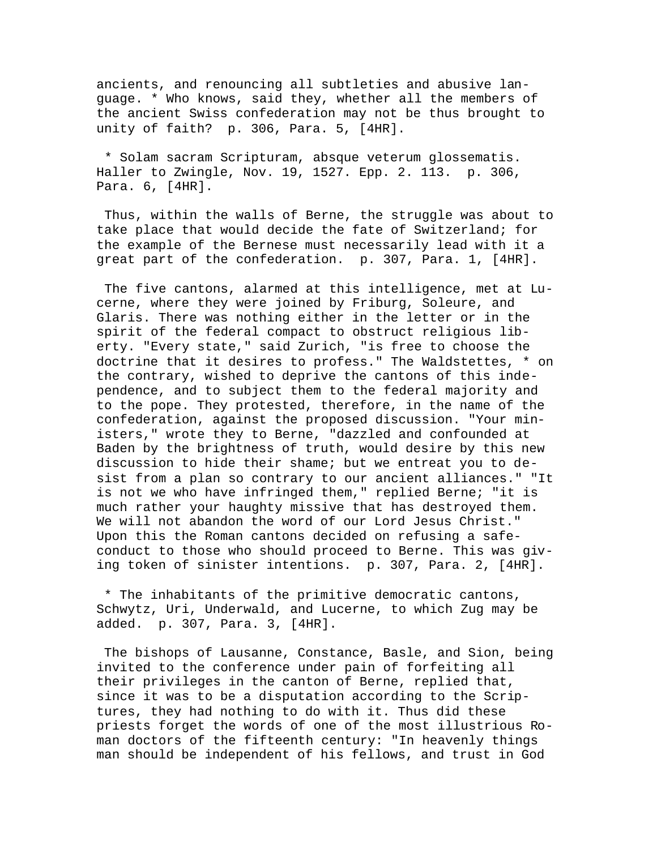ancients, and renouncing all subtleties and abusive language. \* Who knows, said they, whether all the members of the ancient Swiss confederation may not be thus brought to unity of faith? p. 306, Para. 5, [4HR].

 \* Solam sacram Scripturam, absque veterum glossematis. Haller to Zwingle, Nov. 19, 1527. Epp. 2. 113. p. 306, Para. 6, [4HR].

 Thus, within the walls of Berne, the struggle was about to take place that would decide the fate of Switzerland; for the example of the Bernese must necessarily lead with it a great part of the confederation. p. 307, Para. 1, [4HR].

 The five cantons, alarmed at this intelligence, met at Lucerne, where they were joined by Friburg, Soleure, and Glaris. There was nothing either in the letter or in the spirit of the federal compact to obstruct religious liberty. "Every state," said Zurich, "is free to choose the doctrine that it desires to profess." The Waldstettes, \* on the contrary, wished to deprive the cantons of this independence, and to subject them to the federal majority and to the pope. They protested, therefore, in the name of the confederation, against the proposed discussion. "Your ministers," wrote they to Berne, "dazzled and confounded at Baden by the brightness of truth, would desire by this new discussion to hide their shame; but we entreat you to desist from a plan so contrary to our ancient alliances." "It is not we who have infringed them," replied Berne; "it is much rather your haughty missive that has destroyed them. We will not abandon the word of our Lord Jesus Christ." Upon this the Roman cantons decided on refusing a safeconduct to those who should proceed to Berne. This was giving token of sinister intentions. p. 307, Para. 2, [4HR].

 \* The inhabitants of the primitive democratic cantons, Schwytz, Uri, Underwald, and Lucerne, to which Zug may be added. p. 307, Para. 3, [4HR].

 The bishops of Lausanne, Constance, Basle, and Sion, being invited to the conference under pain of forfeiting all their privileges in the canton of Berne, replied that, since it was to be a disputation according to the Scriptures, they had nothing to do with it. Thus did these priests forget the words of one of the most illustrious Roman doctors of the fifteenth century: "In heavenly things man should be independent of his fellows, and trust in God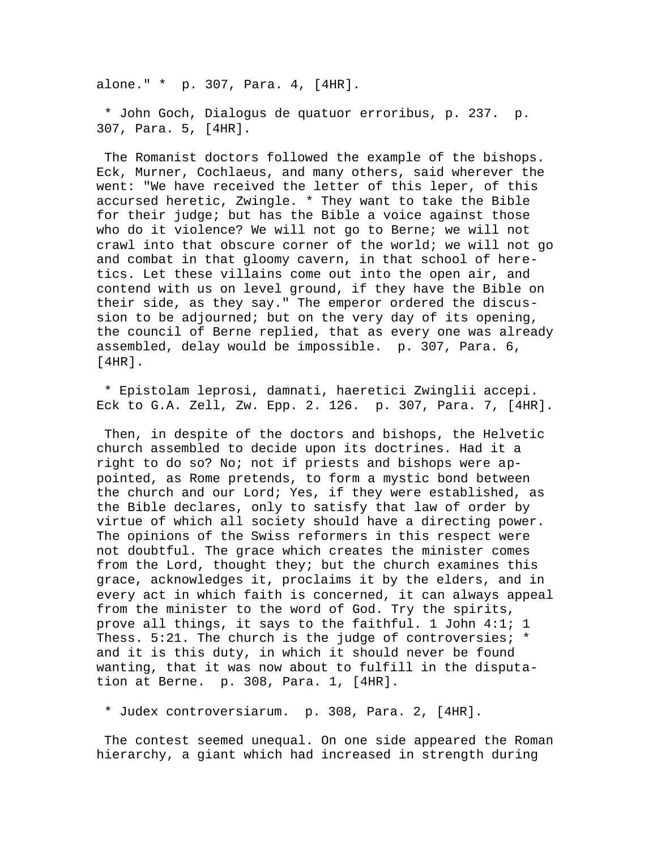alone." \* p. 307, Para. 4, [4HR].

 \* John Goch, Dialogus de quatuor erroribus, p. 237. p. 307, Para. 5, [4HR].

 The Romanist doctors followed the example of the bishops. Eck, Murner, Cochlaeus, and many others, said wherever the went: "We have received the letter of this leper, of this accursed heretic, Zwingle. \* They want to take the Bible for their judge; but has the Bible a voice against those who do it violence? We will not go to Berne; we will not crawl into that obscure corner of the world; we will not go and combat in that gloomy cavern, in that school of heretics. Let these villains come out into the open air, and contend with us on level ground, if they have the Bible on their side, as they say." The emperor ordered the discussion to be adjourned; but on the very day of its opening, the council of Berne replied, that as every one was already assembled, delay would be impossible. p. 307, Para. 6, [4HR].

 \* Epistolam leprosi, damnati, haeretici Zwinglii accepi. Eck to G.A. Zell, Zw. Epp. 2. 126. p. 307, Para. 7, [4HR].

 Then, in despite of the doctors and bishops, the Helvetic church assembled to decide upon its doctrines. Had it a right to do so? No; not if priests and bishops were appointed, as Rome pretends, to form a mystic bond between the church and our Lord; Yes, if they were established, as the Bible declares, only to satisfy that law of order by virtue of which all society should have a directing power. The opinions of the Swiss reformers in this respect were not doubtful. The grace which creates the minister comes from the Lord, thought they; but the church examines this grace, acknowledges it, proclaims it by the elders, and in every act in which faith is concerned, it can always appeal from the minister to the word of God. Try the spirits, prove all things, it says to the faithful. 1 John 4:1; 1 Thess. 5:21. The church is the judge of controversies; \* and it is this duty, in which it should never be found wanting, that it was now about to fulfill in the disputation at Berne. p. 308, Para. 1, [4HR].

\* Judex controversiarum. p. 308, Para. 2, [4HR].

 The contest seemed unequal. On one side appeared the Roman hierarchy, a giant which had increased in strength during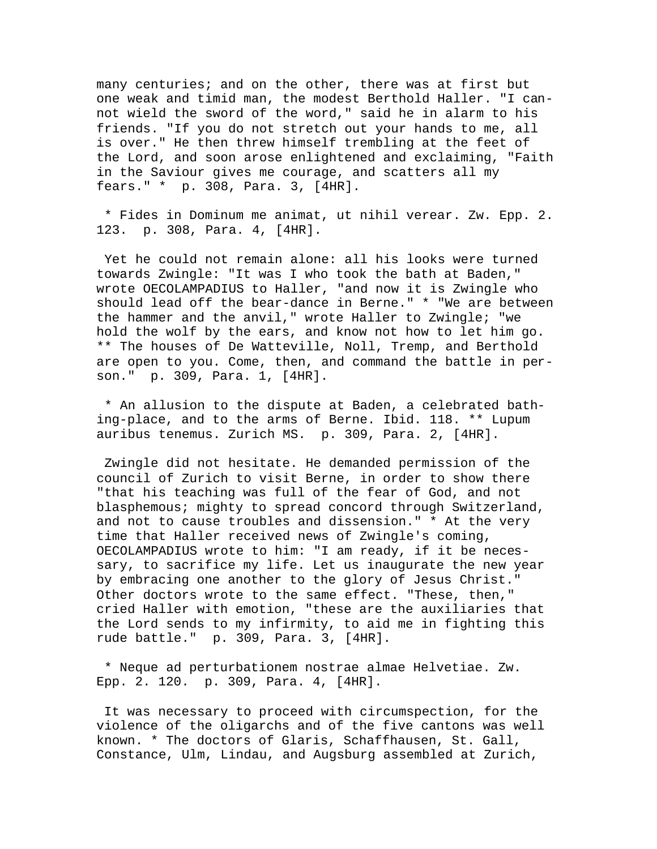many centuries; and on the other, there was at first but one weak and timid man, the modest Berthold Haller. "I cannot wield the sword of the word," said he in alarm to his friends. "If you do not stretch out your hands to me, all is over." He then threw himself trembling at the feet of the Lord, and soon arose enlightened and exclaiming, "Faith in the Saviour gives me courage, and scatters all my fears." \* p. 308, Para. 3, [4HR].

 \* Fides in Dominum me animat, ut nihil verear. Zw. Epp. 2. 123. p. 308, Para. 4, [4HR].

 Yet he could not remain alone: all his looks were turned towards Zwingle: "It was I who took the bath at Baden," wrote OECOLAMPADIUS to Haller, "and now it is Zwingle who should lead off the bear-dance in Berne." \* "We are between the hammer and the anvil," wrote Haller to Zwingle; "we hold the wolf by the ears, and know not how to let him go. \*\* The houses of De Watteville, Noll, Tremp, and Berthold are open to you. Come, then, and command the battle in person." p. 309, Para. 1, [4HR].

 \* An allusion to the dispute at Baden, a celebrated bathing-place, and to the arms of Berne. Ibid. 118. \*\* Lupum auribus tenemus. Zurich MS. p. 309, Para. 2, [4HR].

 Zwingle did not hesitate. He demanded permission of the council of Zurich to visit Berne, in order to show there "that his teaching was full of the fear of God, and not blasphemous; mighty to spread concord through Switzerland, and not to cause troubles and dissension." \* At the very time that Haller received news of Zwingle's coming, OECOLAMPADIUS wrote to him: "I am ready, if it be necessary, to sacrifice my life. Let us inaugurate the new year by embracing one another to the glory of Jesus Christ." Other doctors wrote to the same effect. "These, then," cried Haller with emotion, "these are the auxiliaries that the Lord sends to my infirmity, to aid me in fighting this rude battle." p. 309, Para. 3, [4HR].

 \* Neque ad perturbationem nostrae almae Helvetiae. Zw. Epp. 2. 120. p. 309, Para. 4, [4HR].

 It was necessary to proceed with circumspection, for the violence of the oligarchs and of the five cantons was well known. \* The doctors of Glaris, Schaffhausen, St. Gall, Constance, Ulm, Lindau, and Augsburg assembled at Zurich,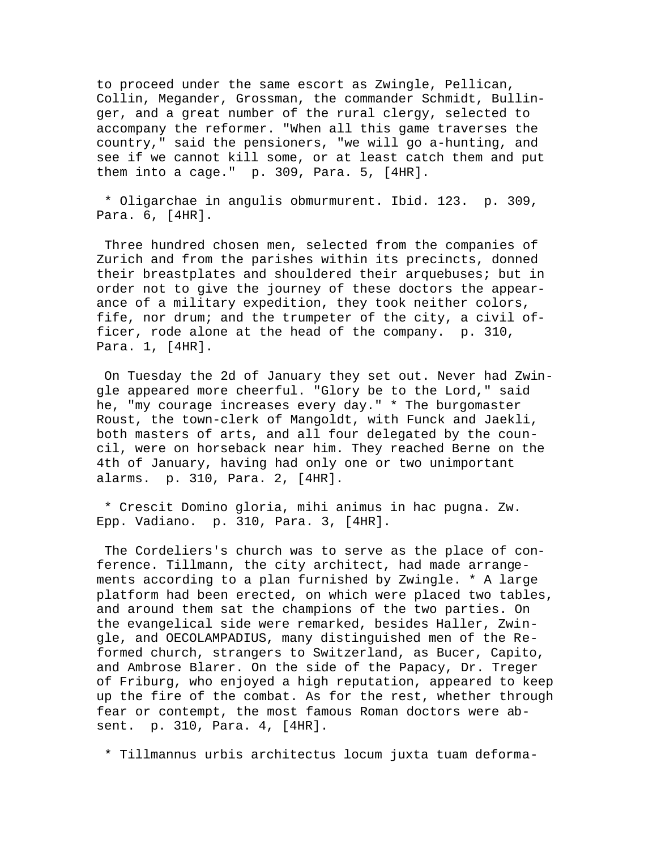to proceed under the same escort as Zwingle, Pellican, Collin, Megander, Grossman, the commander Schmidt, Bullinger, and a great number of the rural clergy, selected to accompany the reformer. "When all this game traverses the country," said the pensioners, "we will go a-hunting, and see if we cannot kill some, or at least catch them and put them into a cage." p. 309, Para. 5, [4HR].

 \* Oligarchae in angulis obmurmurent. Ibid. 123. p. 309, Para. 6, [4HR].

 Three hundred chosen men, selected from the companies of Zurich and from the parishes within its precincts, donned their breastplates and shouldered their arquebuses; but in order not to give the journey of these doctors the appearance of a military expedition, they took neither colors, fife, nor drum; and the trumpeter of the city, a civil officer, rode alone at the head of the company. p. 310, Para. 1, [4HR].

 On Tuesday the 2d of January they set out. Never had Zwingle appeared more cheerful. "Glory be to the Lord," said he, "my courage increases every day." \* The burgomaster Roust, the town-clerk of Mangoldt, with Funck and Jaekli, both masters of arts, and all four delegated by the council, were on horseback near him. They reached Berne on the 4th of January, having had only one or two unimportant alarms. p. 310, Para. 2, [4HR].

 \* Crescit Domino gloria, mihi animus in hac pugna. Zw. Epp. Vadiano. p. 310, Para. 3, [4HR].

 The Cordeliers's church was to serve as the place of conference. Tillmann, the city architect, had made arrangements according to a plan furnished by Zwingle. \* A large platform had been erected, on which were placed two tables, and around them sat the champions of the two parties. On the evangelical side were remarked, besides Haller, Zwingle, and OECOLAMPADIUS, many distinguished men of the Reformed church, strangers to Switzerland, as Bucer, Capito, and Ambrose Blarer. On the side of the Papacy, Dr. Treger of Friburg, who enjoyed a high reputation, appeared to keep up the fire of the combat. As for the rest, whether through fear or contempt, the most famous Roman doctors were absent. p. 310, Para. 4, [4HR].

\* Tillmannus urbis architectus locum juxta tuam deforma-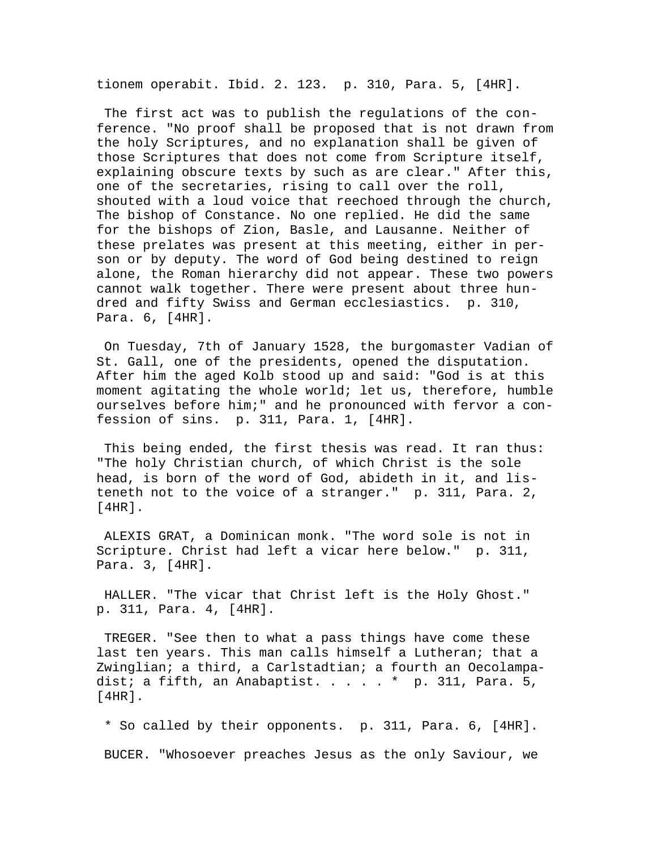tionem operabit. Ibid. 2. 123. p. 310, Para. 5, [4HR].

 The first act was to publish the regulations of the conference. "No proof shall be proposed that is not drawn from the holy Scriptures, and no explanation shall be given of those Scriptures that does not come from Scripture itself, explaining obscure texts by such as are clear." After this, one of the secretaries, rising to call over the roll, shouted with a loud voice that reechoed through the church, The bishop of Constance. No one replied. He did the same for the bishops of Zion, Basle, and Lausanne. Neither of these prelates was present at this meeting, either in person or by deputy. The word of God being destined to reign alone, the Roman hierarchy did not appear. These two powers cannot walk together. There were present about three hundred and fifty Swiss and German ecclesiastics. p. 310, Para. 6, [4HR].

 On Tuesday, 7th of January 1528, the burgomaster Vadian of St. Gall, one of the presidents, opened the disputation. After him the aged Kolb stood up and said: "God is at this moment agitating the whole world; let us, therefore, humble ourselves before him;" and he pronounced with fervor a confession of sins. p. 311, Para. 1, [4HR].

 This being ended, the first thesis was read. It ran thus: "The holy Christian church, of which Christ is the sole head, is born of the word of God, abideth in it, and listeneth not to the voice of a stranger." p. 311, Para. 2, [4HR].

 ALEXIS GRAT, a Dominican monk. "The word sole is not in Scripture. Christ had left a vicar here below." p. 311, Para. 3, [4HR].

 HALLER. "The vicar that Christ left is the Holy Ghost." p. 311, Para. 4, [4HR].

 TREGER. "See then to what a pass things have come these last ten years. This man calls himself a Lutheran; that a Zwinglian; a third, a Carlstadtian; a fourth an Oecolampadist; a fifth, an Anabaptist.  $\dots$ .  $\cdot$   $\cdot$  p. 311, Para. 5, [4HR].

 \* So called by their opponents. p. 311, Para. 6, [4HR]. BUCER. "Whosoever preaches Jesus as the only Saviour, we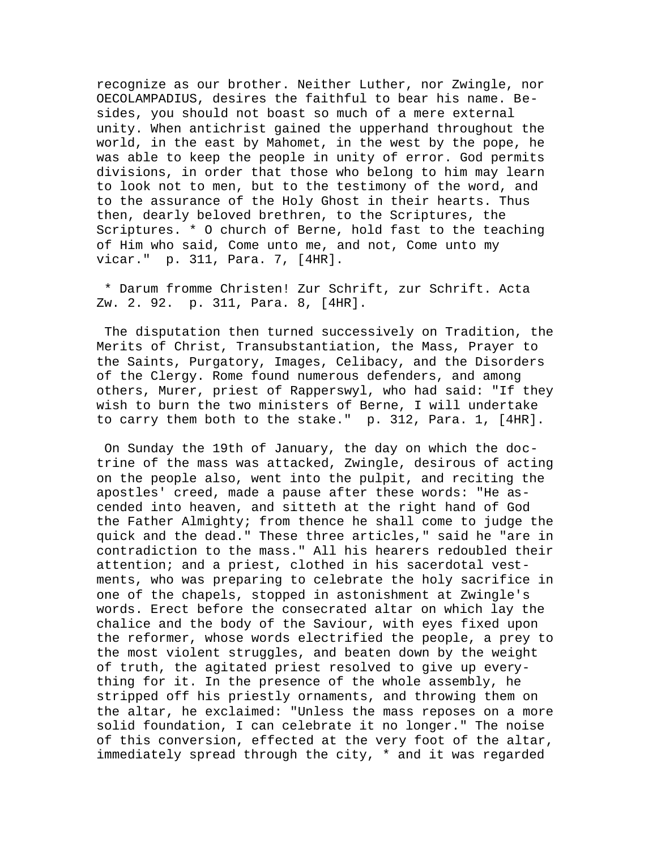recognize as our brother. Neither Luther, nor Zwingle, nor OECOLAMPADIUS, desires the faithful to bear his name. Besides, you should not boast so much of a mere external unity. When antichrist gained the upperhand throughout the world, in the east by Mahomet, in the west by the pope, he was able to keep the people in unity of error. God permits divisions, in order that those who belong to him may learn to look not to men, but to the testimony of the word, and to the assurance of the Holy Ghost in their hearts. Thus then, dearly beloved brethren, to the Scriptures, the Scriptures. \* O church of Berne, hold fast to the teaching of Him who said, Come unto me, and not, Come unto my vicar." p. 311, Para. 7, [4HR].

 \* Darum fromme Christen! Zur Schrift, zur Schrift. Acta Zw. 2. 92. p. 311, Para. 8, [4HR].

 The disputation then turned successively on Tradition, the Merits of Christ, Transubstantiation, the Mass, Prayer to the Saints, Purgatory, Images, Celibacy, and the Disorders of the Clergy. Rome found numerous defenders, and among others, Murer, priest of Rapperswyl, who had said: "If they wish to burn the two ministers of Berne, I will undertake to carry them both to the stake." p. 312, Para. 1, [4HR].

 On Sunday the 19th of January, the day on which the doctrine of the mass was attacked, Zwingle, desirous of acting on the people also, went into the pulpit, and reciting the apostles' creed, made a pause after these words: "He ascended into heaven, and sitteth at the right hand of God the Father Almighty; from thence he shall come to judge the quick and the dead." These three articles," said he "are in contradiction to the mass." All his hearers redoubled their attention; and a priest, clothed in his sacerdotal vestments, who was preparing to celebrate the holy sacrifice in one of the chapels, stopped in astonishment at Zwingle's words. Erect before the consecrated altar on which lay the chalice and the body of the Saviour, with eyes fixed upon the reformer, whose words electrified the people, a prey to the most violent struggles, and beaten down by the weight of truth, the agitated priest resolved to give up everything for it. In the presence of the whole assembly, he stripped off his priestly ornaments, and throwing them on the altar, he exclaimed: "Unless the mass reposes on a more solid foundation, I can celebrate it no longer." The noise of this conversion, effected at the very foot of the altar, immediately spread through the city, \* and it was regarded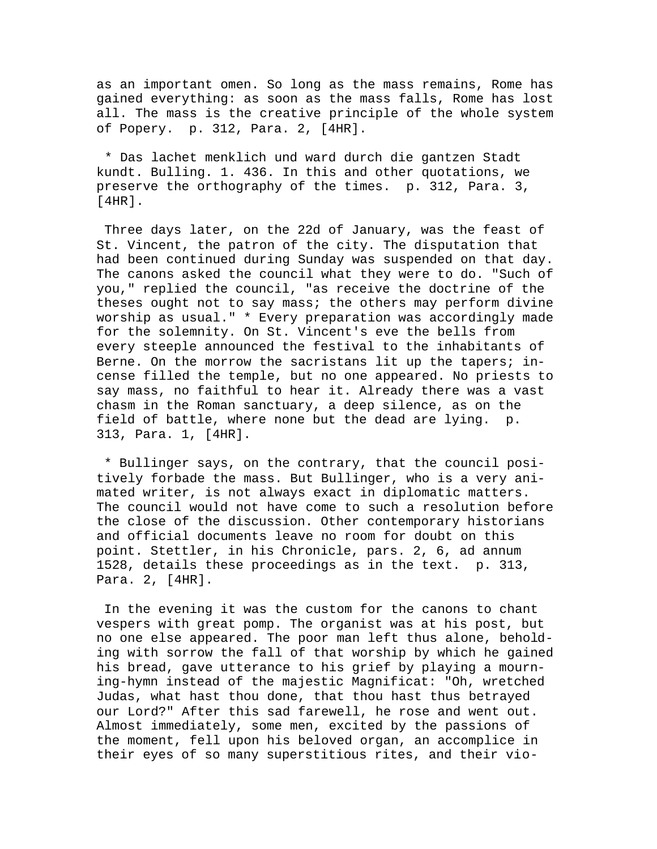as an important omen. So long as the mass remains, Rome has gained everything: as soon as the mass falls, Rome has lost all. The mass is the creative principle of the whole system of Popery. p. 312, Para. 2, [4HR].

 \* Das lachet menklich und ward durch die gantzen Stadt kundt. Bulling. 1. 436. In this and other quotations, we preserve the orthography of the times. p. 312, Para. 3, [4HR].

 Three days later, on the 22d of January, was the feast of St. Vincent, the patron of the city. The disputation that had been continued during Sunday was suspended on that day. The canons asked the council what they were to do. "Such of you," replied the council, "as receive the doctrine of the theses ought not to say mass; the others may perform divine worship as usual." \* Every preparation was accordingly made for the solemnity. On St. Vincent's eve the bells from every steeple announced the festival to the inhabitants of Berne. On the morrow the sacristans lit up the tapers; incense filled the temple, but no one appeared. No priests to say mass, no faithful to hear it. Already there was a vast chasm in the Roman sanctuary, a deep silence, as on the field of battle, where none but the dead are lying. p. 313, Para. 1, [4HR].

 \* Bullinger says, on the contrary, that the council positively forbade the mass. But Bullinger, who is a very animated writer, is not always exact in diplomatic matters. The council would not have come to such a resolution before the close of the discussion. Other contemporary historians and official documents leave no room for doubt on this point. Stettler, in his Chronicle, pars. 2, 6, ad annum 1528, details these proceedings as in the text. p. 313, Para. 2, [4HR].

 In the evening it was the custom for the canons to chant vespers with great pomp. The organist was at his post, but no one else appeared. The poor man left thus alone, beholding with sorrow the fall of that worship by which he gained his bread, gave utterance to his grief by playing a mourning-hymn instead of the majestic Magnificat: "Oh, wretched Judas, what hast thou done, that thou hast thus betrayed our Lord?" After this sad farewell, he rose and went out. Almost immediately, some men, excited by the passions of the moment, fell upon his beloved organ, an accomplice in their eyes of so many superstitious rites, and their vio-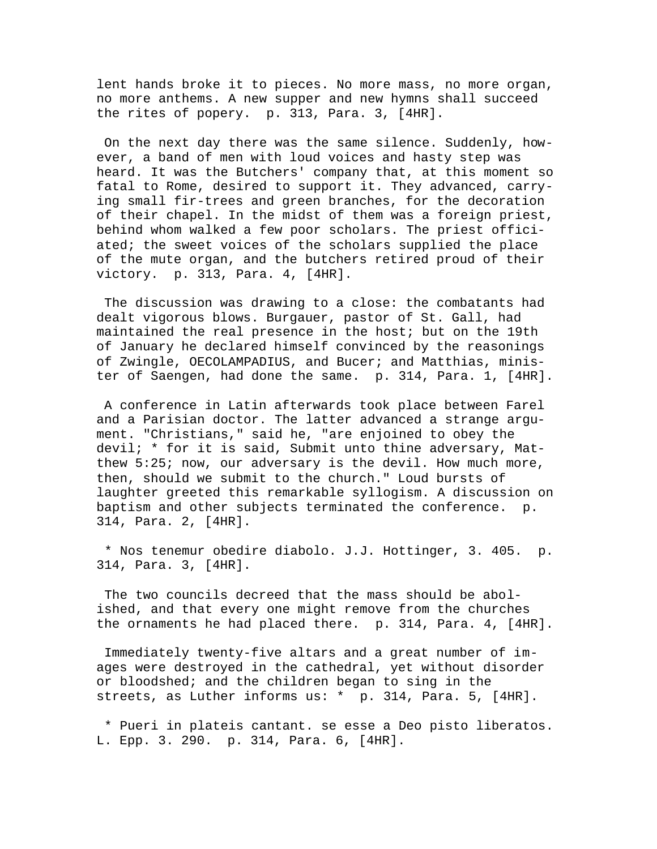lent hands broke it to pieces. No more mass, no more organ, no more anthems. A new supper and new hymns shall succeed the rites of popery. p. 313, Para. 3, [4HR].

 On the next day there was the same silence. Suddenly, however, a band of men with loud voices and hasty step was heard. It was the Butchers' company that, at this moment so fatal to Rome, desired to support it. They advanced, carrying small fir-trees and green branches, for the decoration of their chapel. In the midst of them was a foreign priest, behind whom walked a few poor scholars. The priest officiated; the sweet voices of the scholars supplied the place of the mute organ, and the butchers retired proud of their victory. p. 313, Para. 4, [4HR].

 The discussion was drawing to a close: the combatants had dealt vigorous blows. Burgauer, pastor of St. Gall, had maintained the real presence in the host; but on the 19th of January he declared himself convinced by the reasonings of Zwingle, OECOLAMPADIUS, and Bucer; and Matthias, minister of Saengen, had done the same. p. 314, Para. 1, [4HR].

 A conference in Latin afterwards took place between Farel and a Parisian doctor. The latter advanced a strange argument. "Christians," said he, "are enjoined to obey the devil; \* for it is said, Submit unto thine adversary, Matthew 5:25; now, our adversary is the devil. How much more, then, should we submit to the church." Loud bursts of laughter greeted this remarkable syllogism. A discussion on baptism and other subjects terminated the conference. p. 314, Para. 2, [4HR].

 \* Nos tenemur obedire diabolo. J.J. Hottinger, 3. 405. p. 314, Para. 3, [4HR].

 The two councils decreed that the mass should be abolished, and that every one might remove from the churches the ornaments he had placed there. p. 314, Para. 4, [4HR].

 Immediately twenty-five altars and a great number of images were destroyed in the cathedral, yet without disorder or bloodshed; and the children began to sing in the streets, as Luther informs us: \* p. 314, Para. 5, [4HR].

 \* Pueri in plateis cantant. se esse a Deo pisto liberatos. L. Epp. 3. 290. p. 314, Para. 6, [4HR].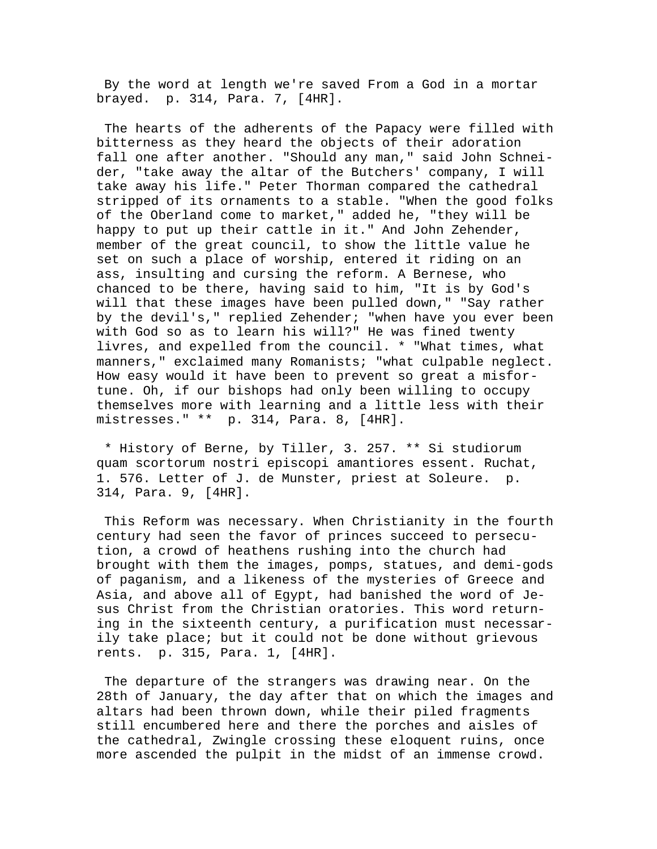By the word at length we're saved From a God in a mortar brayed. p. 314, Para. 7, [4HR].

 The hearts of the adherents of the Papacy were filled with bitterness as they heard the objects of their adoration fall one after another. "Should any man," said John Schneider, "take away the altar of the Butchers' company, I will take away his life." Peter Thorman compared the cathedral stripped of its ornaments to a stable. "When the good folks of the Oberland come to market," added he, "they will be happy to put up their cattle in it." And John Zehender, member of the great council, to show the little value he set on such a place of worship, entered it riding on an ass, insulting and cursing the reform. A Bernese, who chanced to be there, having said to him, "It is by God's will that these images have been pulled down," "Say rather by the devil's," replied Zehender; "when have you ever been with God so as to learn his will?" He was fined twenty livres, and expelled from the council. \* "What times, what manners," exclaimed many Romanists; "what culpable neglect. How easy would it have been to prevent so great a misfortune. Oh, if our bishops had only been willing to occupy themselves more with learning and a little less with their mistresses." \*\* p. 314, Para. 8, [4HR].

 \* History of Berne, by Tiller, 3. 257. \*\* Si studiorum quam scortorum nostri episcopi amantiores essent. Ruchat, 1. 576. Letter of J. de Munster, priest at Soleure. p. 314, Para. 9, [4HR].

 This Reform was necessary. When Christianity in the fourth century had seen the favor of princes succeed to persecution, a crowd of heathens rushing into the church had brought with them the images, pomps, statues, and demi-gods of paganism, and a likeness of the mysteries of Greece and Asia, and above all of Egypt, had banished the word of Jesus Christ from the Christian oratories. This word returning in the sixteenth century, a purification must necessarily take place; but it could not be done without grievous rents. p. 315, Para. 1, [4HR].

 The departure of the strangers was drawing near. On the 28th of January, the day after that on which the images and altars had been thrown down, while their piled fragments still encumbered here and there the porches and aisles of the cathedral, Zwingle crossing these eloquent ruins, once more ascended the pulpit in the midst of an immense crowd.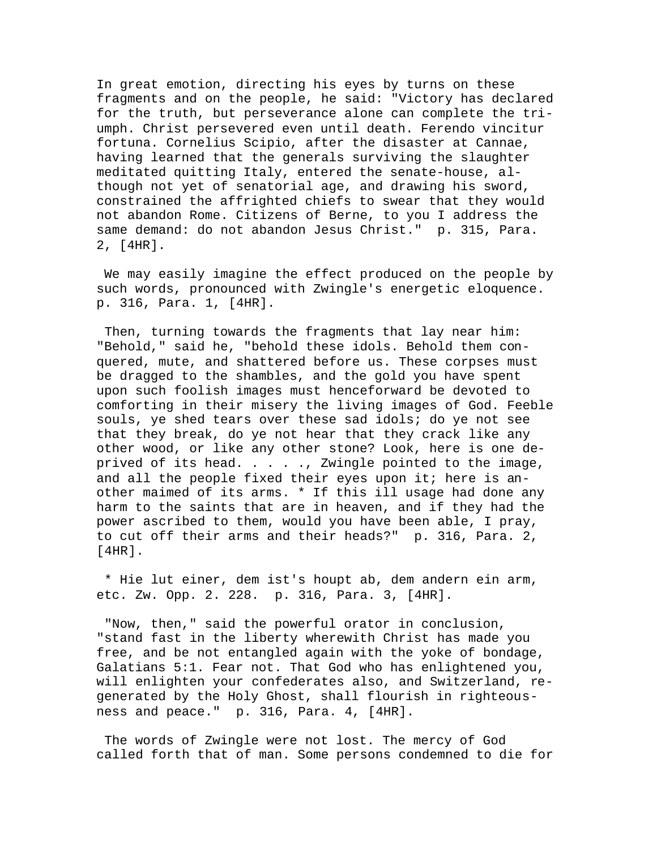In great emotion, directing his eyes by turns on these fragments and on the people, he said: "Victory has declared for the truth, but perseverance alone can complete the triumph. Christ persevered even until death. Ferendo vincitur fortuna. Cornelius Scipio, after the disaster at Cannae, having learned that the generals surviving the slaughter meditated quitting Italy, entered the senate-house, although not yet of senatorial age, and drawing his sword, constrained the affrighted chiefs to swear that they would not abandon Rome. Citizens of Berne, to you I address the same demand: do not abandon Jesus Christ." p. 315, Para. 2, [4HR].

 We may easily imagine the effect produced on the people by such words, pronounced with Zwingle's energetic eloquence. p. 316, Para. 1, [4HR].

 Then, turning towards the fragments that lay near him: "Behold," said he, "behold these idols. Behold them conquered, mute, and shattered before us. These corpses must be dragged to the shambles, and the gold you have spent upon such foolish images must henceforward be devoted to comforting in their misery the living images of God. Feeble souls, ye shed tears over these sad idols; do ye not see that they break, do ye not hear that they crack like any other wood, or like any other stone? Look, here is one deprived of its head. . . . ., Zwingle pointed to the image, and all the people fixed their eyes upon it; here is another maimed of its arms. \* If this ill usage had done any harm to the saints that are in heaven, and if they had the power ascribed to them, would you have been able, I pray, to cut off their arms and their heads?" p. 316, Para. 2, [4HR].

 \* Hie lut einer, dem ist's houpt ab, dem andern ein arm, etc. Zw. Opp. 2. 228. p. 316, Para. 3, [4HR].

 "Now, then," said the powerful orator in conclusion, "stand fast in the liberty wherewith Christ has made you free, and be not entangled again with the yoke of bondage, Galatians 5:1. Fear not. That God who has enlightened you, will enlighten your confederates also, and Switzerland, regenerated by the Holy Ghost, shall flourish in righteousness and peace." p. 316, Para. 4, [4HR].

 The words of Zwingle were not lost. The mercy of God called forth that of man. Some persons condemned to die for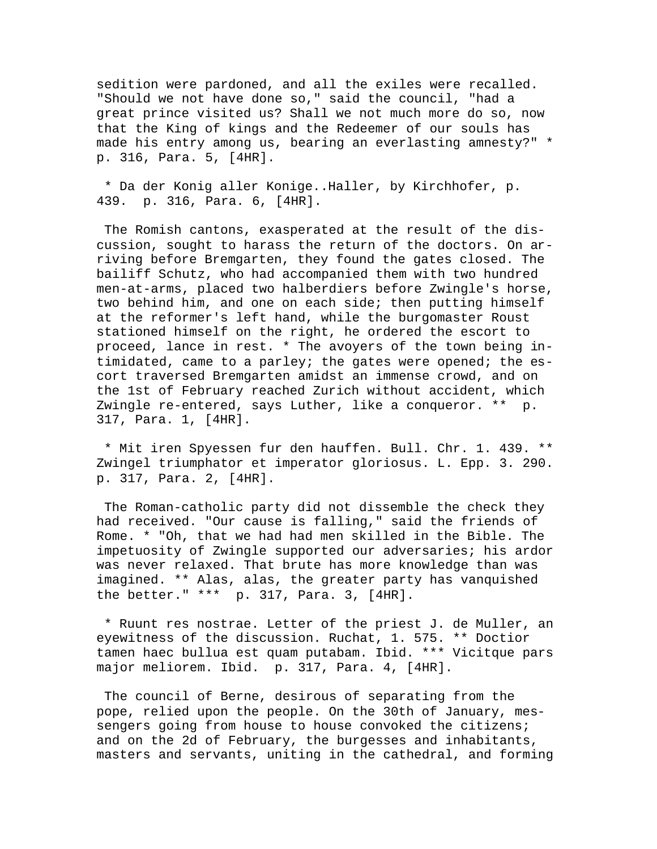sedition were pardoned, and all the exiles were recalled. "Should we not have done so," said the council, "had a great prince visited us? Shall we not much more do so, now that the King of kings and the Redeemer of our souls has made his entry among us, bearing an everlasting amnesty?" \* p. 316, Para. 5, [4HR].

 \* Da der Konig aller Konige..Haller, by Kirchhofer, p. 439. p. 316, Para. 6, [4HR].

 The Romish cantons, exasperated at the result of the discussion, sought to harass the return of the doctors. On arriving before Bremgarten, they found the gates closed. The bailiff Schutz, who had accompanied them with two hundred men-at-arms, placed two halberdiers before Zwingle's horse, two behind him, and one on each side; then putting himself at the reformer's left hand, while the burgomaster Roust stationed himself on the right, he ordered the escort to proceed, lance in rest. \* The avoyers of the town being intimidated, came to a parley; the gates were opened; the escort traversed Bremgarten amidst an immense crowd, and on the 1st of February reached Zurich without accident, which Zwingle re-entered, says Luther, like a conqueror. \*\* p. 317, Para. 1, [4HR].

 \* Mit iren Spyessen fur den hauffen. Bull. Chr. 1. 439. \*\* Zwingel triumphator et imperator gloriosus. L. Epp. 3. 290. p. 317, Para. 2, [4HR].

 The Roman-catholic party did not dissemble the check they had received. "Our cause is falling," said the friends of Rome. \* "Oh, that we had had men skilled in the Bible. The impetuosity of Zwingle supported our adversaries; his ardor was never relaxed. That brute has more knowledge than was imagined. \*\* Alas, alas, the greater party has vanquished the better." \*\*\* p. 317, Para. 3, [4HR].

 \* Ruunt res nostrae. Letter of the priest J. de Muller, an eyewitness of the discussion. Ruchat, 1. 575. \*\* Doctior tamen haec bullua est quam putabam. Ibid. \*\*\* Vicitque pars major meliorem. Ibid. p. 317, Para. 4, [4HR].

 The council of Berne, desirous of separating from the pope, relied upon the people. On the 30th of January, messengers going from house to house convoked the citizens; and on the 2d of February, the burgesses and inhabitants, masters and servants, uniting in the cathedral, and forming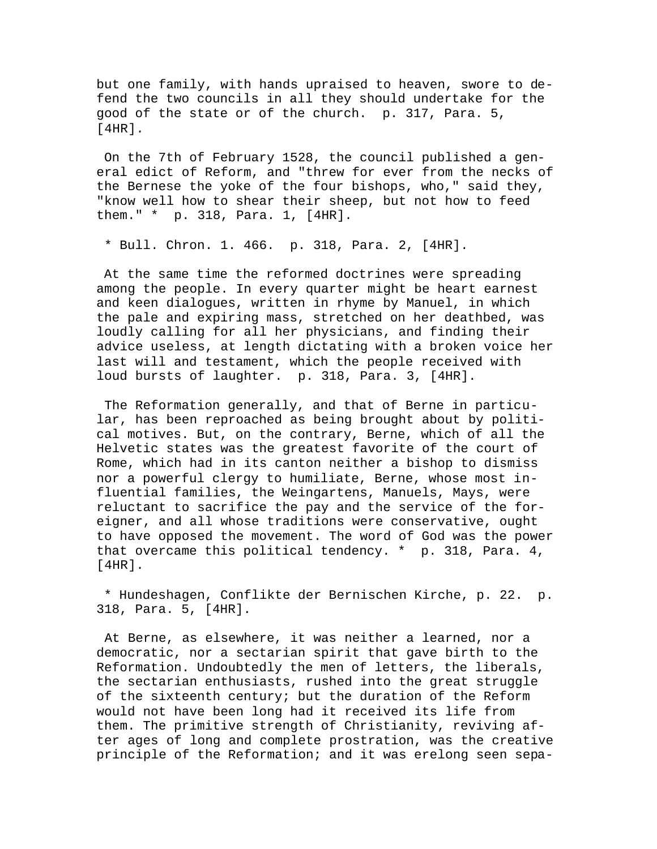but one family, with hands upraised to heaven, swore to defend the two councils in all they should undertake for the good of the state or of the church. p. 317, Para. 5, [4HR].

 On the 7th of February 1528, the council published a general edict of Reform, and "threw for ever from the necks of the Bernese the yoke of the four bishops, who," said they, "know well how to shear their sheep, but not how to feed them." \* p. 318, Para. 1, [4HR].

\* Bull. Chron. 1. 466. p. 318, Para. 2, [4HR].

 At the same time the reformed doctrines were spreading among the people. In every quarter might be heart earnest and keen dialogues, written in rhyme by Manuel, in which the pale and expiring mass, stretched on her deathbed, was loudly calling for all her physicians, and finding their advice useless, at length dictating with a broken voice her last will and testament, which the people received with loud bursts of laughter. p. 318, Para. 3, [4HR].

 The Reformation generally, and that of Berne in particular, has been reproached as being brought about by political motives. But, on the contrary, Berne, which of all the Helvetic states was the greatest favorite of the court of Rome, which had in its canton neither a bishop to dismiss nor a powerful clergy to humiliate, Berne, whose most influential families, the Weingartens, Manuels, Mays, were reluctant to sacrifice the pay and the service of the foreigner, and all whose traditions were conservative, ought to have opposed the movement. The word of God was the power that overcame this political tendency. \* p. 318, Para. 4, [4HR].

 \* Hundeshagen, Conflikte der Bernischen Kirche, p. 22. p. 318, Para. 5, [4HR].

 At Berne, as elsewhere, it was neither a learned, nor a democratic, nor a sectarian spirit that gave birth to the Reformation. Undoubtedly the men of letters, the liberals, the sectarian enthusiasts, rushed into the great struggle of the sixteenth century; but the duration of the Reform would not have been long had it received its life from them. The primitive strength of Christianity, reviving after ages of long and complete prostration, was the creative principle of the Reformation; and it was erelong seen sepa-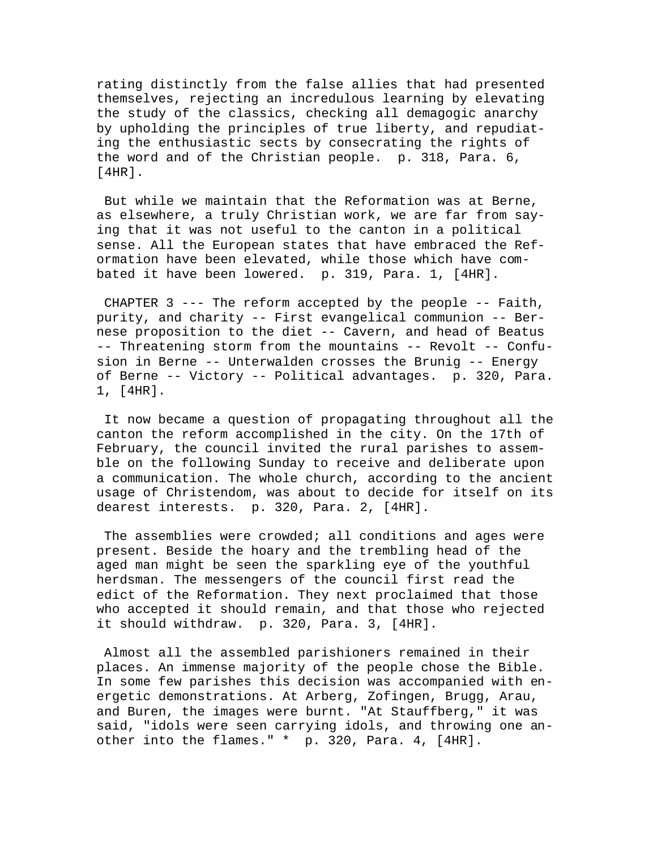rating distinctly from the false allies that had presented themselves, rejecting an incredulous learning by elevating the study of the classics, checking all demagogic anarchy by upholding the principles of true liberty, and repudiating the enthusiastic sects by consecrating the rights of the word and of the Christian people. p. 318, Para. 6, [4HR].

 But while we maintain that the Reformation was at Berne, as elsewhere, a truly Christian work, we are far from saying that it was not useful to the canton in a political sense. All the European states that have embraced the Reformation have been elevated, while those which have combated it have been lowered. p. 319, Para. 1, [4HR].

 CHAPTER 3 --- The reform accepted by the people -- Faith, purity, and charity -- First evangelical communion -- Bernese proposition to the diet -- Cavern, and head of Beatus -- Threatening storm from the mountains -- Revolt -- Confusion in Berne -- Unterwalden crosses the Brunig -- Energy of Berne -- Victory -- Political advantages. p. 320, Para. 1, [4HR].

 It now became a question of propagating throughout all the canton the reform accomplished in the city. On the 17th of February, the council invited the rural parishes to assemble on the following Sunday to receive and deliberate upon a communication. The whole church, according to the ancient usage of Christendom, was about to decide for itself on its dearest interests. p. 320, Para. 2, [4HR].

The assemblies were crowded; all conditions and ages were present. Beside the hoary and the trembling head of the aged man might be seen the sparkling eye of the youthful herdsman. The messengers of the council first read the edict of the Reformation. They next proclaimed that those who accepted it should remain, and that those who rejected it should withdraw. p. 320, Para. 3, [4HR].

 Almost all the assembled parishioners remained in their places. An immense majority of the people chose the Bible. In some few parishes this decision was accompanied with energetic demonstrations. At Arberg, Zofingen, Brugg, Arau, and Buren, the images were burnt. "At Stauffberg," it was said, "idols were seen carrying idols, and throwing one another into the flames." \* p. 320, Para. 4, [4HR].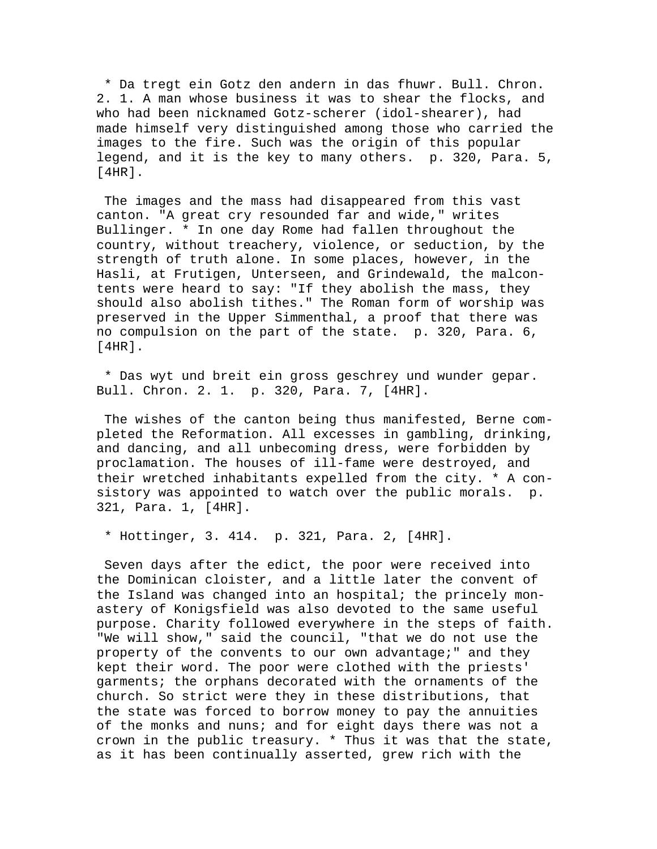\* Da tregt ein Gotz den andern in das fhuwr. Bull. Chron. 2. 1. A man whose business it was to shear the flocks, and who had been nicknamed Gotz-scherer (idol-shearer), had made himself very distinguished among those who carried the images to the fire. Such was the origin of this popular legend, and it is the key to many others. p. 320, Para. 5, [4HR].

 The images and the mass had disappeared from this vast canton. "A great cry resounded far and wide," writes Bullinger. \* In one day Rome had fallen throughout the country, without treachery, violence, or seduction, by the strength of truth alone. In some places, however, in the Hasli, at Frutigen, Unterseen, and Grindewald, the malcontents were heard to say: "If they abolish the mass, they should also abolish tithes." The Roman form of worship was preserved in the Upper Simmenthal, a proof that there was no compulsion on the part of the state. p. 320, Para. 6, [4HR].

 \* Das wyt und breit ein gross geschrey und wunder gepar. Bull. Chron. 2. 1. p. 320, Para. 7, [4HR].

 The wishes of the canton being thus manifested, Berne completed the Reformation. All excesses in gambling, drinking, and dancing, and all unbecoming dress, were forbidden by proclamation. The houses of ill-fame were destroyed, and their wretched inhabitants expelled from the city. \* A consistory was appointed to watch over the public morals. p. 321, Para. 1, [4HR].

\* Hottinger, 3. 414. p. 321, Para. 2, [4HR].

 Seven days after the edict, the poor were received into the Dominican cloister, and a little later the convent of the Island was changed into an hospital; the princely monastery of Konigsfield was also devoted to the same useful purpose. Charity followed everywhere in the steps of faith. "We will show," said the council, "that we do not use the property of the convents to our own advantage;" and they kept their word. The poor were clothed with the priests' garments; the orphans decorated with the ornaments of the church. So strict were they in these distributions, that the state was forced to borrow money to pay the annuities of the monks and nuns; and for eight days there was not a crown in the public treasury. \* Thus it was that the state, as it has been continually asserted, grew rich with the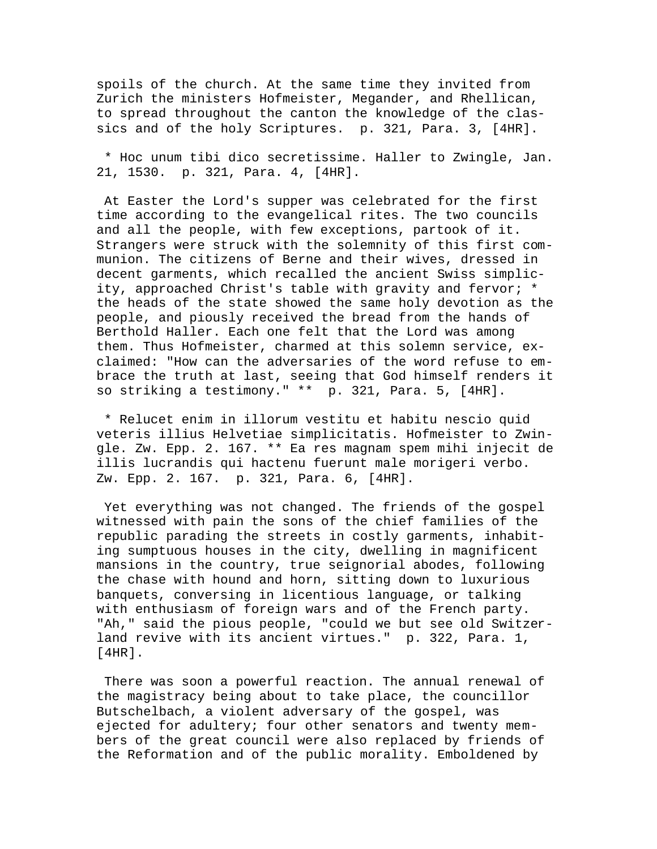spoils of the church. At the same time they invited from Zurich the ministers Hofmeister, Megander, and Rhellican, to spread throughout the canton the knowledge of the classics and of the holy Scriptures. p. 321, Para. 3, [4HR].

 \* Hoc unum tibi dico secretissime. Haller to Zwingle, Jan. 21, 1530. p. 321, Para. 4, [4HR].

 At Easter the Lord's supper was celebrated for the first time according to the evangelical rites. The two councils and all the people, with few exceptions, partook of it. Strangers were struck with the solemnity of this first communion. The citizens of Berne and their wives, dressed in decent garments, which recalled the ancient Swiss simplicity, approached Christ's table with gravity and fervor; \* the heads of the state showed the same holy devotion as the people, and piously received the bread from the hands of Berthold Haller. Each one felt that the Lord was among them. Thus Hofmeister, charmed at this solemn service, exclaimed: "How can the adversaries of the word refuse to embrace the truth at last, seeing that God himself renders it so striking a testimony." \*\* p. 321, Para. 5, [4HR].

 \* Relucet enim in illorum vestitu et habitu nescio quid veteris illius Helvetiae simplicitatis. Hofmeister to Zwingle. Zw. Epp. 2. 167. \*\* Ea res magnam spem mihi injecit de illis lucrandis qui hactenu fuerunt male morigeri verbo. Zw. Epp. 2. 167. p. 321, Para. 6, [4HR].

 Yet everything was not changed. The friends of the gospel witnessed with pain the sons of the chief families of the republic parading the streets in costly garments, inhabiting sumptuous houses in the city, dwelling in magnificent mansions in the country, true seignorial abodes, following the chase with hound and horn, sitting down to luxurious banquets, conversing in licentious language, or talking with enthusiasm of foreign wars and of the French party. "Ah," said the pious people, "could we but see old Switzerland revive with its ancient virtues." p. 322, Para. 1, [4HR].

 There was soon a powerful reaction. The annual renewal of the magistracy being about to take place, the councillor Butschelbach, a violent adversary of the gospel, was ejected for adultery; four other senators and twenty members of the great council were also replaced by friends of the Reformation and of the public morality. Emboldened by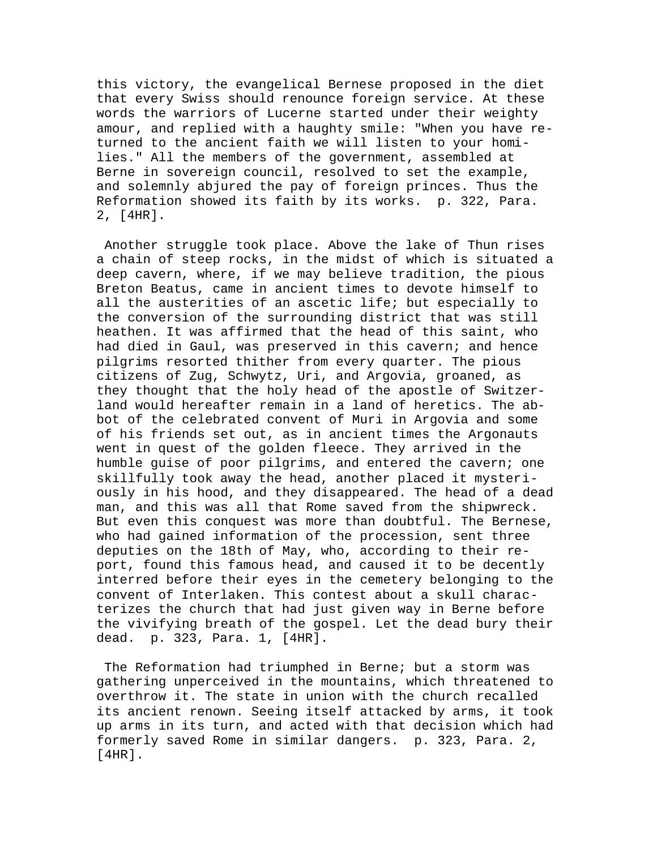this victory, the evangelical Bernese proposed in the diet that every Swiss should renounce foreign service. At these words the warriors of Lucerne started under their weighty amour, and replied with a haughty smile: "When you have returned to the ancient faith we will listen to your homilies." All the members of the government, assembled at Berne in sovereign council, resolved to set the example, and solemnly abjured the pay of foreign princes. Thus the Reformation showed its faith by its works. p. 322, Para. 2, [4HR].

 Another struggle took place. Above the lake of Thun rises a chain of steep rocks, in the midst of which is situated a deep cavern, where, if we may believe tradition, the pious Breton Beatus, came in ancient times to devote himself to all the austerities of an ascetic life; but especially to the conversion of the surrounding district that was still heathen. It was affirmed that the head of this saint, who had died in Gaul, was preserved in this cavern; and hence pilgrims resorted thither from every quarter. The pious citizens of Zug, Schwytz, Uri, and Argovia, groaned, as they thought that the holy head of the apostle of Switzerland would hereafter remain in a land of heretics. The abbot of the celebrated convent of Muri in Argovia and some of his friends set out, as in ancient times the Argonauts went in quest of the golden fleece. They arrived in the humble guise of poor pilgrims, and entered the cavern; one skillfully took away the head, another placed it mysteriously in his hood, and they disappeared. The head of a dead man, and this was all that Rome saved from the shipwreck. But even this conquest was more than doubtful. The Bernese, who had gained information of the procession, sent three deputies on the 18th of May, who, according to their report, found this famous head, and caused it to be decently interred before their eyes in the cemetery belonging to the convent of Interlaken. This contest about a skull characterizes the church that had just given way in Berne before the vivifying breath of the gospel. Let the dead bury their dead. p. 323, Para. 1, [4HR].

 The Reformation had triumphed in Berne; but a storm was gathering unperceived in the mountains, which threatened to overthrow it. The state in union with the church recalled its ancient renown. Seeing itself attacked by arms, it took up arms in its turn, and acted with that decision which had formerly saved Rome in similar dangers. p. 323, Para. 2, [4HR].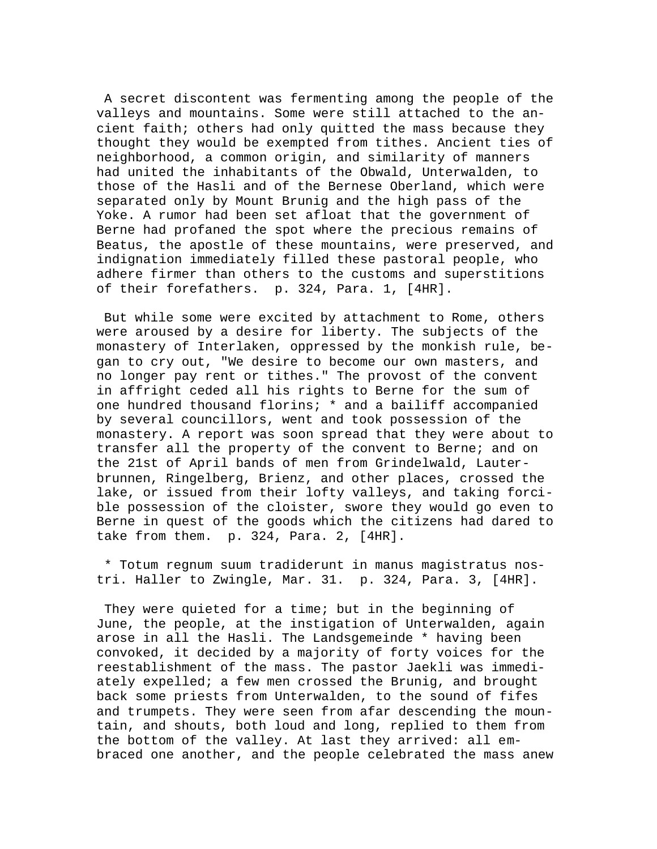A secret discontent was fermenting among the people of the valleys and mountains. Some were still attached to the ancient faith; others had only quitted the mass because they thought they would be exempted from tithes. Ancient ties of neighborhood, a common origin, and similarity of manners had united the inhabitants of the Obwald, Unterwalden, to those of the Hasli and of the Bernese Oberland, which were separated only by Mount Brunig and the high pass of the Yoke. A rumor had been set afloat that the government of Berne had profaned the spot where the precious remains of Beatus, the apostle of these mountains, were preserved, and indignation immediately filled these pastoral people, who adhere firmer than others to the customs and superstitions of their forefathers. p. 324, Para. 1, [4HR].

 But while some were excited by attachment to Rome, others were aroused by a desire for liberty. The subjects of the monastery of Interlaken, oppressed by the monkish rule, began to cry out, "We desire to become our own masters, and no longer pay rent or tithes." The provost of the convent in affright ceded all his rights to Berne for the sum of one hundred thousand florins; \* and a bailiff accompanied by several councillors, went and took possession of the monastery. A report was soon spread that they were about to transfer all the property of the convent to Berne; and on the 21st of April bands of men from Grindelwald, Lauterbrunnen, Ringelberg, Brienz, and other places, crossed the lake, or issued from their lofty valleys, and taking forcible possession of the cloister, swore they would go even to Berne in quest of the goods which the citizens had dared to take from them. p. 324, Para. 2, [4HR].

 \* Totum regnum suum tradiderunt in manus magistratus nostri. Haller to Zwingle, Mar. 31. p. 324, Para. 3, [4HR].

 They were quieted for a time; but in the beginning of June, the people, at the instigation of Unterwalden, again arose in all the Hasli. The Landsgemeinde \* having been convoked, it decided by a majority of forty voices for the reestablishment of the mass. The pastor Jaekli was immediately expelled; a few men crossed the Brunig, and brought back some priests from Unterwalden, to the sound of fifes and trumpets. They were seen from afar descending the mountain, and shouts, both loud and long, replied to them from the bottom of the valley. At last they arrived: all embraced one another, and the people celebrated the mass anew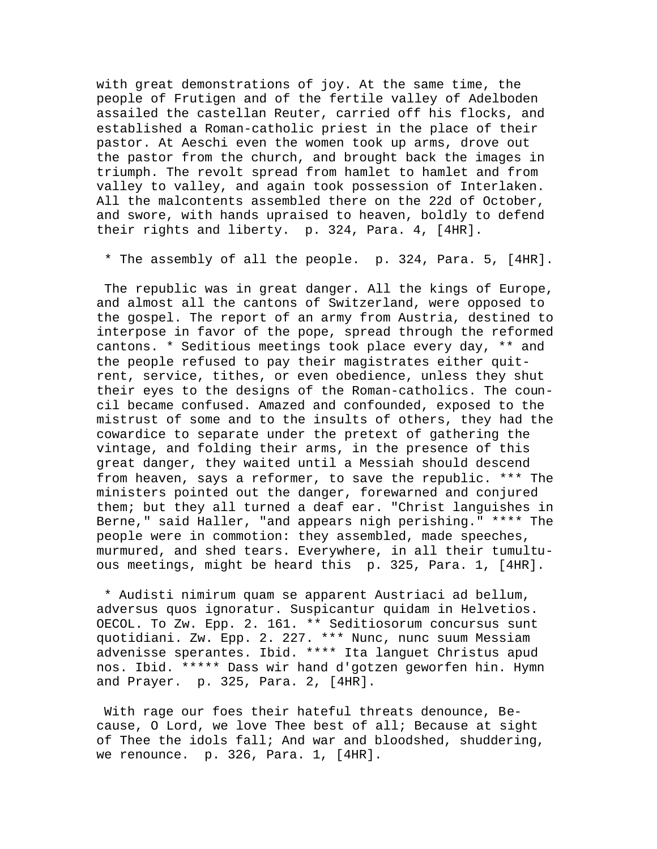with great demonstrations of joy. At the same time, the people of Frutigen and of the fertile valley of Adelboden assailed the castellan Reuter, carried off his flocks, and established a Roman-catholic priest in the place of their pastor. At Aeschi even the women took up arms, drove out the pastor from the church, and brought back the images in triumph. The revolt spread from hamlet to hamlet and from valley to valley, and again took possession of Interlaken. All the malcontents assembled there on the 22d of October, and swore, with hands upraised to heaven, boldly to defend their rights and liberty. p. 324, Para. 4, [4HR].

\* The assembly of all the people. p. 324, Para. 5, [4HR].

 The republic was in great danger. All the kings of Europe, and almost all the cantons of Switzerland, were opposed to the gospel. The report of an army from Austria, destined to interpose in favor of the pope, spread through the reformed cantons. \* Seditious meetings took place every day, \*\* and the people refused to pay their magistrates either quitrent, service, tithes, or even obedience, unless they shut their eyes to the designs of the Roman-catholics. The council became confused. Amazed and confounded, exposed to the mistrust of some and to the insults of others, they had the cowardice to separate under the pretext of gathering the vintage, and folding their arms, in the presence of this great danger, they waited until a Messiah should descend from heaven, says a reformer, to save the republic. \*\*\* The ministers pointed out the danger, forewarned and conjured them; but they all turned a deaf ear. "Christ languishes in Berne," said Haller, "and appears nigh perishing." \*\*\*\* The people were in commotion: they assembled, made speeches, murmured, and shed tears. Everywhere, in all their tumultuous meetings, might be heard this p. 325, Para. 1, [4HR].

 \* Audisti nimirum quam se apparent Austriaci ad bellum, adversus quos ignoratur. Suspicantur quidam in Helvetios. OECOL. To Zw. Epp. 2. 161. \*\* Seditiosorum concursus sunt quotidiani. Zw. Epp. 2. 227. \*\*\* Nunc, nunc suum Messiam advenisse sperantes. Ibid. \*\*\*\* Ita languet Christus apud nos. Ibid. \*\*\*\*\* Dass wir hand d'gotzen geworfen hin. Hymn and Prayer. p. 325, Para. 2, [4HR].

 With rage our foes their hateful threats denounce, Because, O Lord, we love Thee best of all; Because at sight of Thee the idols fall; And war and bloodshed, shuddering, we renounce. p. 326, Para. 1, [4HR].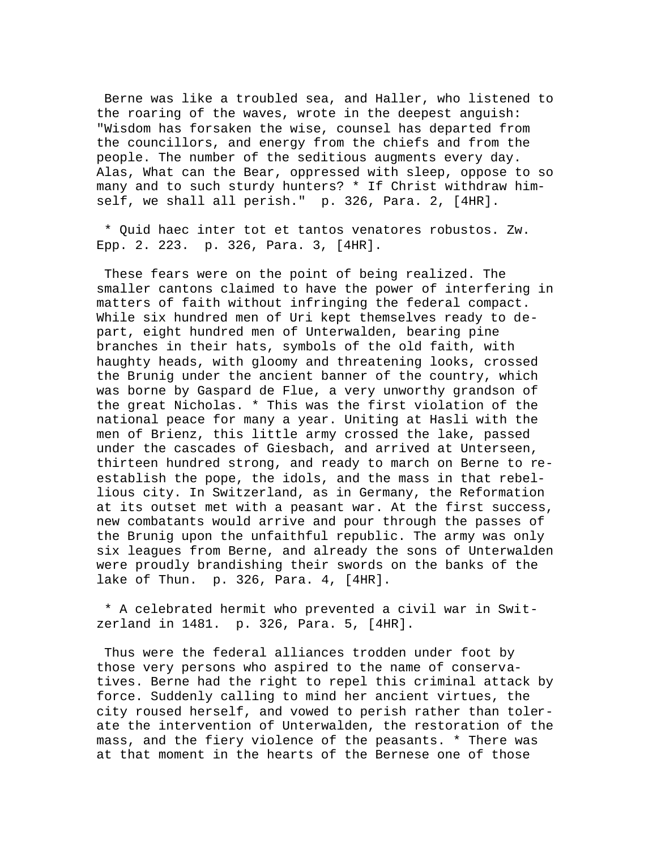Berne was like a troubled sea, and Haller, who listened to the roaring of the waves, wrote in the deepest anguish: "Wisdom has forsaken the wise, counsel has departed from the councillors, and energy from the chiefs and from the people. The number of the seditious augments every day. Alas, What can the Bear, oppressed with sleep, oppose to so many and to such sturdy hunters? \* If Christ withdraw himself, we shall all perish." p. 326, Para. 2, [4HR].

 \* Quid haec inter tot et tantos venatores robustos. Zw. Epp. 2. 223. p. 326, Para. 3, [4HR].

 These fears were on the point of being realized. The smaller cantons claimed to have the power of interfering in matters of faith without infringing the federal compact. While six hundred men of Uri kept themselves ready to depart, eight hundred men of Unterwalden, bearing pine branches in their hats, symbols of the old faith, with haughty heads, with gloomy and threatening looks, crossed the Brunig under the ancient banner of the country, which was borne by Gaspard de Flue, a very unworthy grandson of the great Nicholas. \* This was the first violation of the national peace for many a year. Uniting at Hasli with the men of Brienz, this little army crossed the lake, passed under the cascades of Giesbach, and arrived at Unterseen, thirteen hundred strong, and ready to march on Berne to reestablish the pope, the idols, and the mass in that rebellious city. In Switzerland, as in Germany, the Reformation at its outset met with a peasant war. At the first success, new combatants would arrive and pour through the passes of the Brunig upon the unfaithful republic. The army was only six leagues from Berne, and already the sons of Unterwalden were proudly brandishing their swords on the banks of the lake of Thun. p. 326, Para. 4, [4HR].

 \* A celebrated hermit who prevented a civil war in Switzerland in 1481. p. 326, Para. 5, [4HR].

 Thus were the federal alliances trodden under foot by those very persons who aspired to the name of conservatives. Berne had the right to repel this criminal attack by force. Suddenly calling to mind her ancient virtues, the city roused herself, and vowed to perish rather than tolerate the intervention of Unterwalden, the restoration of the mass, and the fiery violence of the peasants. \* There was at that moment in the hearts of the Bernese one of those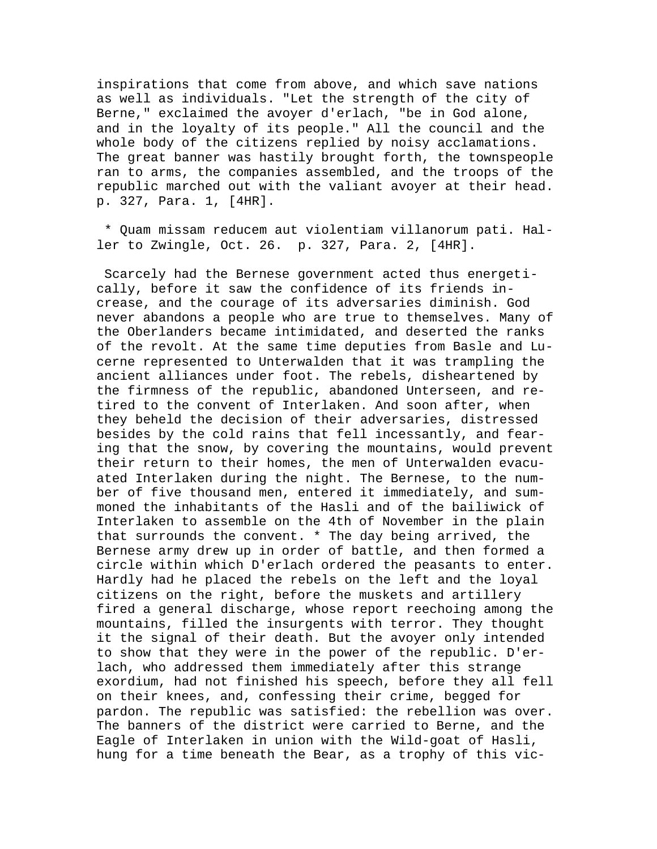inspirations that come from above, and which save nations as well as individuals. "Let the strength of the city of Berne," exclaimed the avoyer d'erlach, "be in God alone, and in the loyalty of its people." All the council and the whole body of the citizens replied by noisy acclamations. The great banner was hastily brought forth, the townspeople ran to arms, the companies assembled, and the troops of the republic marched out with the valiant avoyer at their head. p. 327, Para. 1, [4HR].

 \* Quam missam reducem aut violentiam villanorum pati. Haller to Zwingle, Oct. 26. p. 327, Para. 2, [4HR].

 Scarcely had the Bernese government acted thus energetically, before it saw the confidence of its friends increase, and the courage of its adversaries diminish. God never abandons a people who are true to themselves. Many of the Oberlanders became intimidated, and deserted the ranks of the revolt. At the same time deputies from Basle and Lucerne represented to Unterwalden that it was trampling the ancient alliances under foot. The rebels, disheartened by the firmness of the republic, abandoned Unterseen, and retired to the convent of Interlaken. And soon after, when they beheld the decision of their adversaries, distressed besides by the cold rains that fell incessantly, and fearing that the snow, by covering the mountains, would prevent their return to their homes, the men of Unterwalden evacuated Interlaken during the night. The Bernese, to the number of five thousand men, entered it immediately, and summoned the inhabitants of the Hasli and of the bailiwick of Interlaken to assemble on the 4th of November in the plain that surrounds the convent. \* The day being arrived, the Bernese army drew up in order of battle, and then formed a circle within which D'erlach ordered the peasants to enter. Hardly had he placed the rebels on the left and the loyal citizens on the right, before the muskets and artillery fired a general discharge, whose report reechoing among the mountains, filled the insurgents with terror. They thought it the signal of their death. But the avoyer only intended to show that they were in the power of the republic. D'erlach, who addressed them immediately after this strange exordium, had not finished his speech, before they all fell on their knees, and, confessing their crime, begged for pardon. The republic was satisfied: the rebellion was over. The banners of the district were carried to Berne, and the Eagle of Interlaken in union with the Wild-goat of Hasli, hung for a time beneath the Bear, as a trophy of this vic-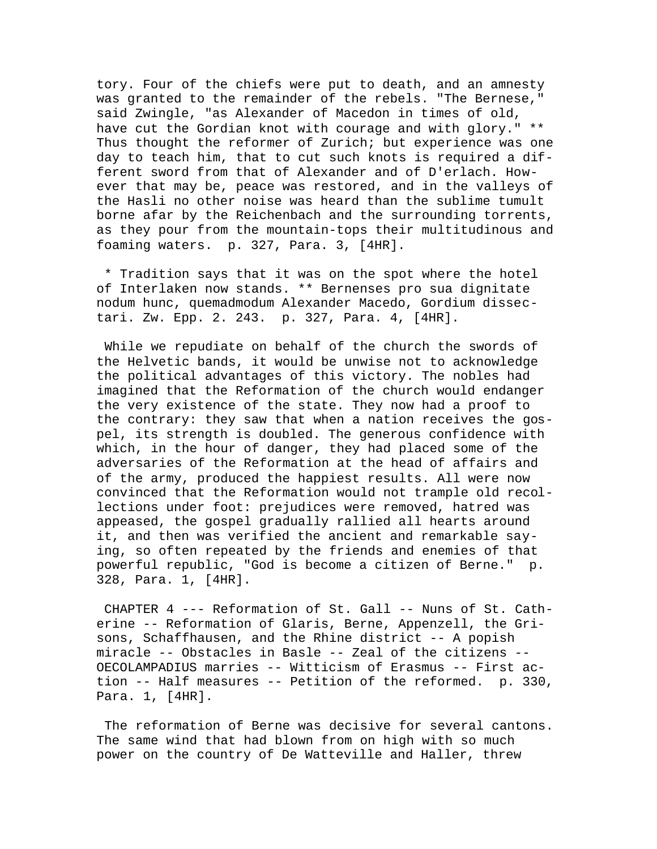tory. Four of the chiefs were put to death, and an amnesty was granted to the remainder of the rebels. "The Bernese," said Zwingle, "as Alexander of Macedon in times of old, have cut the Gordian knot with courage and with glory." \*\* Thus thought the reformer of Zurich; but experience was one day to teach him, that to cut such knots is required a different sword from that of Alexander and of D'erlach. However that may be, peace was restored, and in the valleys of the Hasli no other noise was heard than the sublime tumult borne afar by the Reichenbach and the surrounding torrents, as they pour from the mountain-tops their multitudinous and foaming waters. p. 327, Para. 3, [4HR].

 \* Tradition says that it was on the spot where the hotel of Interlaken now stands. \*\* Bernenses pro sua dignitate nodum hunc, quemadmodum Alexander Macedo, Gordium dissectari. Zw. Epp. 2. 243. p. 327, Para. 4, [4HR].

 While we repudiate on behalf of the church the swords of the Helvetic bands, it would be unwise not to acknowledge the political advantages of this victory. The nobles had imagined that the Reformation of the church would endanger the very existence of the state. They now had a proof to the contrary: they saw that when a nation receives the gospel, its strength is doubled. The generous confidence with which, in the hour of danger, they had placed some of the adversaries of the Reformation at the head of affairs and of the army, produced the happiest results. All were now convinced that the Reformation would not trample old recollections under foot: prejudices were removed, hatred was appeased, the gospel gradually rallied all hearts around it, and then was verified the ancient and remarkable saying, so often repeated by the friends and enemies of that powerful republic, "God is become a citizen of Berne." p. 328, Para. 1, [4HR].

 CHAPTER 4 --- Reformation of St. Gall -- Nuns of St. Catherine -- Reformation of Glaris, Berne, Appenzell, the Grisons, Schaffhausen, and the Rhine district -- A popish miracle -- Obstacles in Basle -- Zeal of the citizens -- OECOLAMPADIUS marries -- Witticism of Erasmus -- First action -- Half measures -- Petition of the reformed. p. 330, Para. 1, [4HR].

 The reformation of Berne was decisive for several cantons. The same wind that had blown from on high with so much power on the country of De Watteville and Haller, threw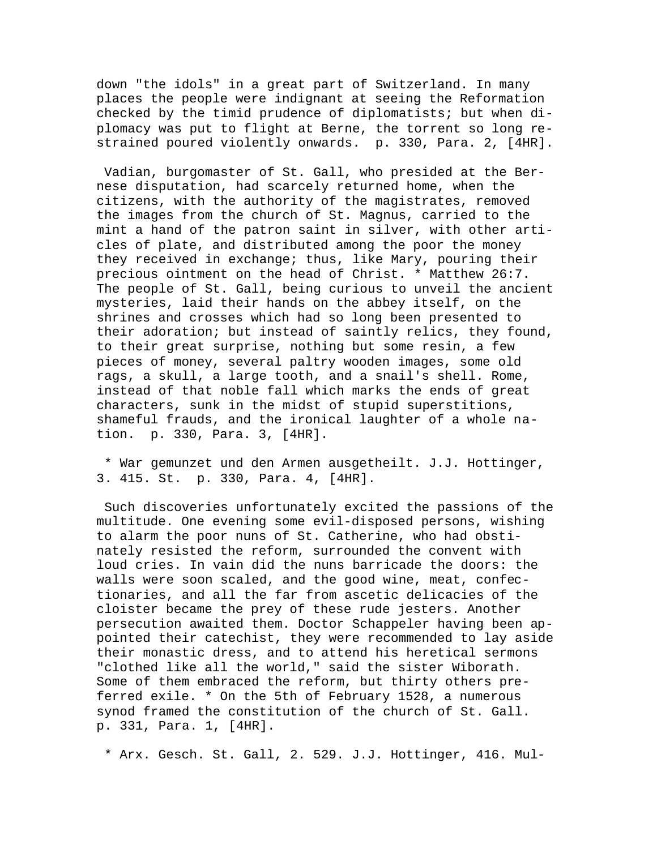down "the idols" in a great part of Switzerland. In many places the people were indignant at seeing the Reformation checked by the timid prudence of diplomatists; but when diplomacy was put to flight at Berne, the torrent so long restrained poured violently onwards. p. 330, Para. 2, [4HR].

 Vadian, burgomaster of St. Gall, who presided at the Bernese disputation, had scarcely returned home, when the citizens, with the authority of the magistrates, removed the images from the church of St. Magnus, carried to the mint a hand of the patron saint in silver, with other articles of plate, and distributed among the poor the money they received in exchange; thus, like Mary, pouring their precious ointment on the head of Christ. \* Matthew 26:7. The people of St. Gall, being curious to unveil the ancient mysteries, laid their hands on the abbey itself, on the shrines and crosses which had so long been presented to their adoration; but instead of saintly relics, they found, to their great surprise, nothing but some resin, a few pieces of money, several paltry wooden images, some old rags, a skull, a large tooth, and a snail's shell. Rome, instead of that noble fall which marks the ends of great characters, sunk in the midst of stupid superstitions, shameful frauds, and the ironical laughter of a whole nation. p. 330, Para. 3, [4HR].

 \* War gemunzet und den Armen ausgetheilt. J.J. Hottinger, 3. 415. St. p. 330, Para. 4, [4HR].

 Such discoveries unfortunately excited the passions of the multitude. One evening some evil-disposed persons, wishing to alarm the poor nuns of St. Catherine, who had obstinately resisted the reform, surrounded the convent with loud cries. In vain did the nuns barricade the doors: the walls were soon scaled, and the good wine, meat, confectionaries, and all the far from ascetic delicacies of the cloister became the prey of these rude jesters. Another persecution awaited them. Doctor Schappeler having been appointed their catechist, they were recommended to lay aside their monastic dress, and to attend his heretical sermons "clothed like all the world," said the sister Wiborath. Some of them embraced the reform, but thirty others preferred exile. \* On the 5th of February 1528, a numerous synod framed the constitution of the church of St. Gall. p. 331, Para. 1, [4HR].

\* Arx. Gesch. St. Gall, 2. 529. J.J. Hottinger, 416. Mul-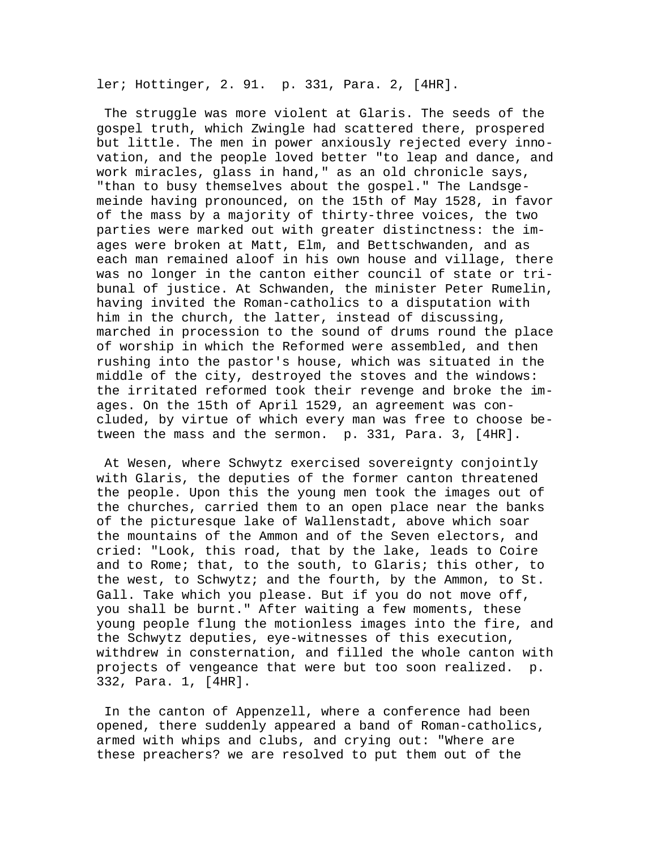ler; Hottinger, 2. 91. p. 331, Para. 2, [4HR].

 The struggle was more violent at Glaris. The seeds of the gospel truth, which Zwingle had scattered there, prospered but little. The men in power anxiously rejected every innovation, and the people loved better "to leap and dance, and work miracles, glass in hand," as an old chronicle says, "than to busy themselves about the gospel." The Landsgemeinde having pronounced, on the 15th of May 1528, in favor of the mass by a majority of thirty-three voices, the two parties were marked out with greater distinctness: the images were broken at Matt, Elm, and Bettschwanden, and as each man remained aloof in his own house and village, there was no longer in the canton either council of state or tribunal of justice. At Schwanden, the minister Peter Rumelin, having invited the Roman-catholics to a disputation with him in the church, the latter, instead of discussing, marched in procession to the sound of drums round the place of worship in which the Reformed were assembled, and then rushing into the pastor's house, which was situated in the middle of the city, destroyed the stoves and the windows: the irritated reformed took their revenge and broke the images. On the 15th of April 1529, an agreement was concluded, by virtue of which every man was free to choose between the mass and the sermon. p. 331, Para. 3, [4HR].

 At Wesen, where Schwytz exercised sovereignty conjointly with Glaris, the deputies of the former canton threatened the people. Upon this the young men took the images out of the churches, carried them to an open place near the banks of the picturesque lake of Wallenstadt, above which soar the mountains of the Ammon and of the Seven electors, and cried: "Look, this road, that by the lake, leads to Coire and to Rome; that, to the south, to Glaris; this other, to the west, to Schwytz; and the fourth, by the Ammon, to St. Gall. Take which you please. But if you do not move off, you shall be burnt." After waiting a few moments, these young people flung the motionless images into the fire, and the Schwytz deputies, eye-witnesses of this execution, withdrew in consternation, and filled the whole canton with projects of vengeance that were but too soon realized. p. 332, Para. 1, [4HR].

 In the canton of Appenzell, where a conference had been opened, there suddenly appeared a band of Roman-catholics, armed with whips and clubs, and crying out: "Where are these preachers? we are resolved to put them out of the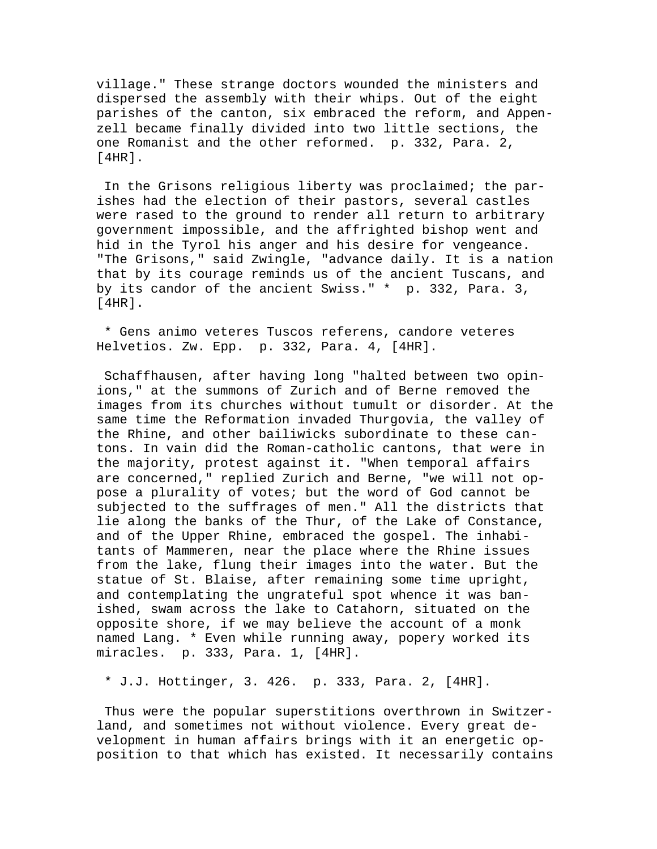village." These strange doctors wounded the ministers and dispersed the assembly with their whips. Out of the eight parishes of the canton, six embraced the reform, and Appenzell became finally divided into two little sections, the one Romanist and the other reformed. p. 332, Para. 2, [4HR].

 In the Grisons religious liberty was proclaimed; the parishes had the election of their pastors, several castles were rased to the ground to render all return to arbitrary government impossible, and the affrighted bishop went and hid in the Tyrol his anger and his desire for vengeance. "The Grisons," said Zwingle, "advance daily. It is a nation that by its courage reminds us of the ancient Tuscans, and by its candor of the ancient Swiss." \* p. 332, Para. 3, [4HR].

 \* Gens animo veteres Tuscos referens, candore veteres Helvetios. Zw. Epp. p. 332, Para. 4, [4HR].

 Schaffhausen, after having long "halted between two opinions," at the summons of Zurich and of Berne removed the images from its churches without tumult or disorder. At the same time the Reformation invaded Thurgovia, the valley of the Rhine, and other bailiwicks subordinate to these cantons. In vain did the Roman-catholic cantons, that were in the majority, protest against it. "When temporal affairs are concerned," replied Zurich and Berne, "we will not oppose a plurality of votes; but the word of God cannot be subjected to the suffrages of men." All the districts that lie along the banks of the Thur, of the Lake of Constance, and of the Upper Rhine, embraced the gospel. The inhabitants of Mammeren, near the place where the Rhine issues from the lake, flung their images into the water. But the statue of St. Blaise, after remaining some time upright, and contemplating the ungrateful spot whence it was banished, swam across the lake to Catahorn, situated on the opposite shore, if we may believe the account of a monk named Lang. \* Even while running away, popery worked its miracles. p. 333, Para. 1, [4HR].

\* J.J. Hottinger, 3. 426. p. 333, Para. 2, [4HR].

 Thus were the popular superstitions overthrown in Switzerland, and sometimes not without violence. Every great development in human affairs brings with it an energetic opposition to that which has existed. It necessarily contains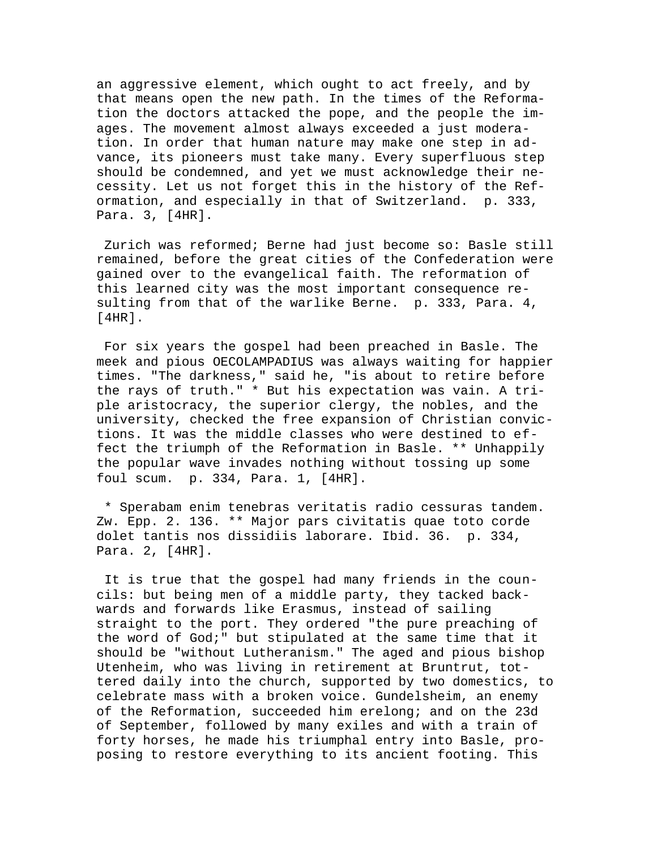an aggressive element, which ought to act freely, and by that means open the new path. In the times of the Reformation the doctors attacked the pope, and the people the images. The movement almost always exceeded a just moderation. In order that human nature may make one step in advance, its pioneers must take many. Every superfluous step should be condemned, and yet we must acknowledge their necessity. Let us not forget this in the history of the Reformation, and especially in that of Switzerland. p. 333, Para. 3, [4HR].

 Zurich was reformed; Berne had just become so: Basle still remained, before the great cities of the Confederation were gained over to the evangelical faith. The reformation of this learned city was the most important consequence resulting from that of the warlike Berne. p. 333, Para. 4, [4HR].

 For six years the gospel had been preached in Basle. The meek and pious OECOLAMPADIUS was always waiting for happier times. "The darkness," said he, "is about to retire before the rays of truth." \* But his expectation was vain. A triple aristocracy, the superior clergy, the nobles, and the university, checked the free expansion of Christian convictions. It was the middle classes who were destined to effect the triumph of the Reformation in Basle. \*\* Unhappily the popular wave invades nothing without tossing up some foul scum. p. 334, Para. 1, [4HR].

 \* Sperabam enim tenebras veritatis radio cessuras tandem. Zw. Epp. 2. 136. \*\* Major pars civitatis quae toto corde dolet tantis nos dissidiis laborare. Ibid. 36. p. 334, Para. 2, [4HR].

 It is true that the gospel had many friends in the councils: but being men of a middle party, they tacked backwards and forwards like Erasmus, instead of sailing straight to the port. They ordered "the pure preaching of the word of God;" but stipulated at the same time that it should be "without Lutheranism." The aged and pious bishop Utenheim, who was living in retirement at Bruntrut, tottered daily into the church, supported by two domestics, to celebrate mass with a broken voice. Gundelsheim, an enemy of the Reformation, succeeded him erelong; and on the 23d of September, followed by many exiles and with a train of forty horses, he made his triumphal entry into Basle, proposing to restore everything to its ancient footing. This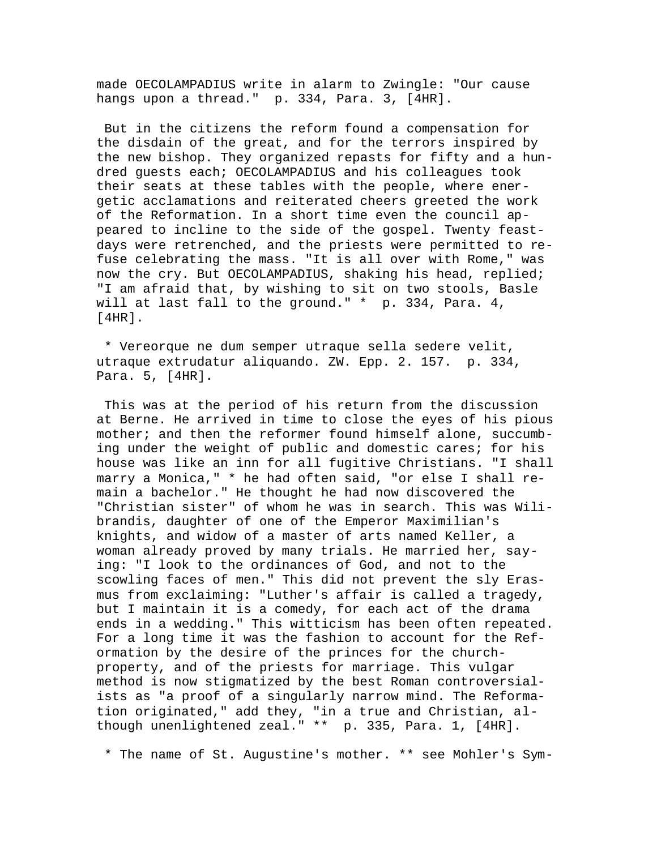made OECOLAMPADIUS write in alarm to Zwingle: "Our cause hangs upon a thread." p. 334, Para. 3, [4HR].

 But in the citizens the reform found a compensation for the disdain of the great, and for the terrors inspired by the new bishop. They organized repasts for fifty and a hundred guests each; OECOLAMPADIUS and his colleagues took their seats at these tables with the people, where energetic acclamations and reiterated cheers greeted the work of the Reformation. In a short time even the council appeared to incline to the side of the gospel. Twenty feastdays were retrenched, and the priests were permitted to refuse celebrating the mass. "It is all over with Rome," was now the cry. But OECOLAMPADIUS, shaking his head, replied; "I am afraid that, by wishing to sit on two stools, Basle will at last fall to the ground." \* p. 334, Para. 4, [4HR].

 \* Vereorque ne dum semper utraque sella sedere velit, utraque extrudatur aliquando. ZW. Epp. 2. 157. p. 334, Para. 5, [4HR].

 This was at the period of his return from the discussion at Berne. He arrived in time to close the eyes of his pious mother; and then the reformer found himself alone, succumbing under the weight of public and domestic cares; for his house was like an inn for all fugitive Christians. "I shall marry a Monica," \* he had often said, "or else I shall remain a bachelor." He thought he had now discovered the "Christian sister" of whom he was in search. This was Wilibrandis, daughter of one of the Emperor Maximilian's knights, and widow of a master of arts named Keller, a woman already proved by many trials. He married her, saying: "I look to the ordinances of God, and not to the scowling faces of men." This did not prevent the sly Erasmus from exclaiming: "Luther's affair is called a tragedy, but I maintain it is a comedy, for each act of the drama ends in a wedding." This witticism has been often repeated. For a long time it was the fashion to account for the Reformation by the desire of the princes for the churchproperty, and of the priests for marriage. This vulgar method is now stigmatized by the best Roman controversialists as "a proof of a singularly narrow mind. The Reformation originated," add they, "in a true and Christian, although unenlightened zeal." \*\* p. 335, Para. 1, [4HR].

\* The name of St. Augustine's mother. \*\* see Mohler's Sym-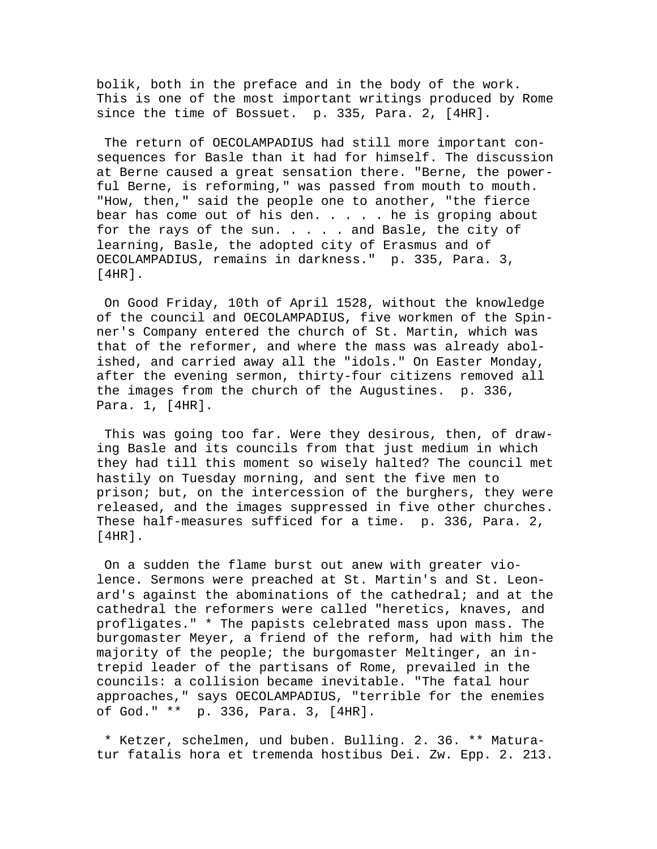bolik, both in the preface and in the body of the work. This is one of the most important writings produced by Rome since the time of Bossuet. p. 335, Para. 2, [4HR].

 The return of OECOLAMPADIUS had still more important consequences for Basle than it had for himself. The discussion at Berne caused a great sensation there. "Berne, the powerful Berne, is reforming," was passed from mouth to mouth. "How, then," said the people one to another, "the fierce bear has come out of his den. . . . . he is groping about for the rays of the sun. . . . . and Basle, the city of learning, Basle, the adopted city of Erasmus and of OECOLAMPADIUS, remains in darkness." p. 335, Para. 3,  $[4HR]$ .

 On Good Friday, 10th of April 1528, without the knowledge of the council and OECOLAMPADIUS, five workmen of the Spinner's Company entered the church of St. Martin, which was that of the reformer, and where the mass was already abolished, and carried away all the "idols." On Easter Monday, after the evening sermon, thirty-four citizens removed all the images from the church of the Augustines. p. 336, Para. 1, [4HR].

 This was going too far. Were they desirous, then, of drawing Basle and its councils from that just medium in which they had till this moment so wisely halted? The council met hastily on Tuesday morning, and sent the five men to prison; but, on the intercession of the burghers, they were released, and the images suppressed in five other churches. These half-measures sufficed for a time. p. 336, Para. 2, [4HR].

 On a sudden the flame burst out anew with greater violence. Sermons were preached at St. Martin's and St. Leonard's against the abominations of the cathedral; and at the cathedral the reformers were called "heretics, knaves, and profligates." \* The papists celebrated mass upon mass. The burgomaster Meyer, a friend of the reform, had with him the majority of the people; the burgomaster Meltinger, an intrepid leader of the partisans of Rome, prevailed in the councils: a collision became inevitable. "The fatal hour approaches," says OECOLAMPADIUS, "terrible for the enemies of God." \*\* p. 336, Para. 3, [4HR].

 \* Ketzer, schelmen, und buben. Bulling. 2. 36. \*\* Maturatur fatalis hora et tremenda hostibus Dei. Zw. Epp. 2. 213.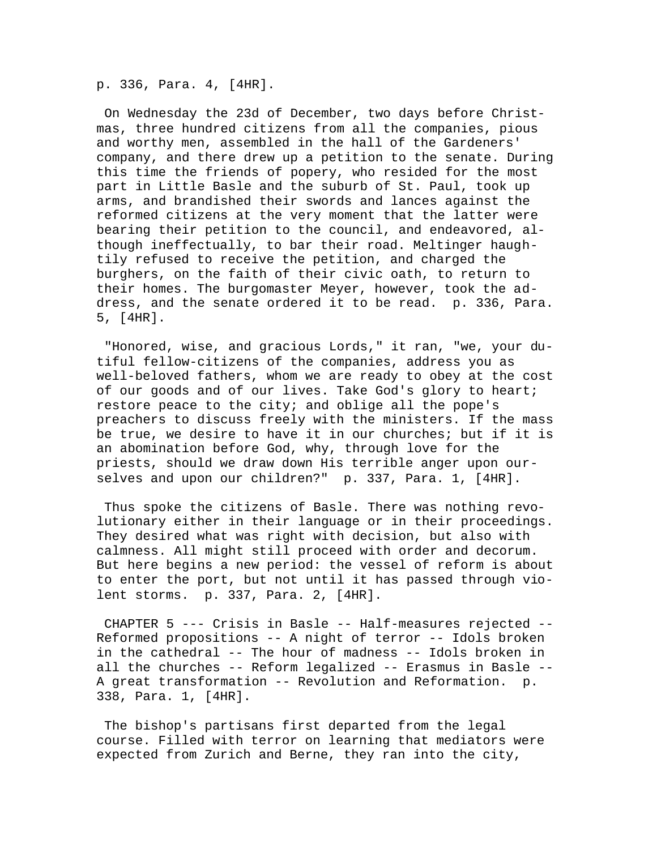p. 336, Para. 4, [4HR].

 On Wednesday the 23d of December, two days before Christmas, three hundred citizens from all the companies, pious and worthy men, assembled in the hall of the Gardeners' company, and there drew up a petition to the senate. During this time the friends of popery, who resided for the most part in Little Basle and the suburb of St. Paul, took up arms, and brandished their swords and lances against the reformed citizens at the very moment that the latter were bearing their petition to the council, and endeavored, although ineffectually, to bar their road. Meltinger haughtily refused to receive the petition, and charged the burghers, on the faith of their civic oath, to return to their homes. The burgomaster Meyer, however, took the address, and the senate ordered it to be read. p. 336, Para. 5, [4HR].

 "Honored, wise, and gracious Lords," it ran, "we, your dutiful fellow-citizens of the companies, address you as well-beloved fathers, whom we are ready to obey at the cost of our goods and of our lives. Take God's glory to heart; restore peace to the city; and oblige all the pope's preachers to discuss freely with the ministers. If the mass be true, we desire to have it in our churches; but if it is an abomination before God, why, through love for the priests, should we draw down His terrible anger upon ourselves and upon our children?" p. 337, Para. 1, [4HR].

 Thus spoke the citizens of Basle. There was nothing revolutionary either in their language or in their proceedings. They desired what was right with decision, but also with calmness. All might still proceed with order and decorum. But here begins a new period: the vessel of reform is about to enter the port, but not until it has passed through violent storms. p. 337, Para. 2, [4HR].

 CHAPTER 5 --- Crisis in Basle -- Half-measures rejected -- Reformed propositions -- A night of terror -- Idols broken in the cathedral -- The hour of madness -- Idols broken in all the churches -- Reform legalized -- Erasmus in Basle -- A great transformation -- Revolution and Reformation. p. 338, Para. 1, [4HR].

 The bishop's partisans first departed from the legal course. Filled with terror on learning that mediators were expected from Zurich and Berne, they ran into the city,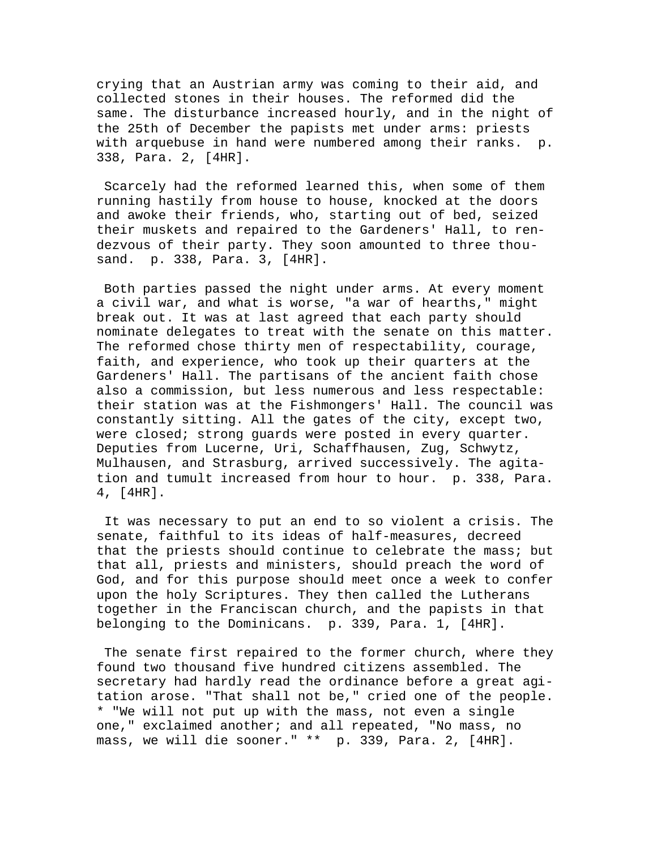crying that an Austrian army was coming to their aid, and collected stones in their houses. The reformed did the same. The disturbance increased hourly, and in the night of the 25th of December the papists met under arms: priests with arquebuse in hand were numbered among their ranks. p. 338, Para. 2, [4HR].

 Scarcely had the reformed learned this, when some of them running hastily from house to house, knocked at the doors and awoke their friends, who, starting out of bed, seized their muskets and repaired to the Gardeners' Hall, to rendezvous of their party. They soon amounted to three thousand. p. 338, Para. 3, [4HR].

 Both parties passed the night under arms. At every moment a civil war, and what is worse, "a war of hearths," might break out. It was at last agreed that each party should nominate delegates to treat with the senate on this matter. The reformed chose thirty men of respectability, courage, faith, and experience, who took up their quarters at the Gardeners' Hall. The partisans of the ancient faith chose also a commission, but less numerous and less respectable: their station was at the Fishmongers' Hall. The council was constantly sitting. All the gates of the city, except two, were closed; strong guards were posted in every quarter. Deputies from Lucerne, Uri, Schaffhausen, Zug, Schwytz, Mulhausen, and Strasburg, arrived successively. The agitation and tumult increased from hour to hour. p. 338, Para. 4, [4HR].

 It was necessary to put an end to so violent a crisis. The senate, faithful to its ideas of half-measures, decreed that the priests should continue to celebrate the mass; but that all, priests and ministers, should preach the word of God, and for this purpose should meet once a week to confer upon the holy Scriptures. They then called the Lutherans together in the Franciscan church, and the papists in that belonging to the Dominicans. p. 339, Para. 1, [4HR].

 The senate first repaired to the former church, where they found two thousand five hundred citizens assembled. The secretary had hardly read the ordinance before a great agitation arose. "That shall not be," cried one of the people. \* "We will not put up with the mass, not even a single one," exclaimed another; and all repeated, "No mass, no mass, we will die sooner." \*\* p. 339, Para. 2, [4HR].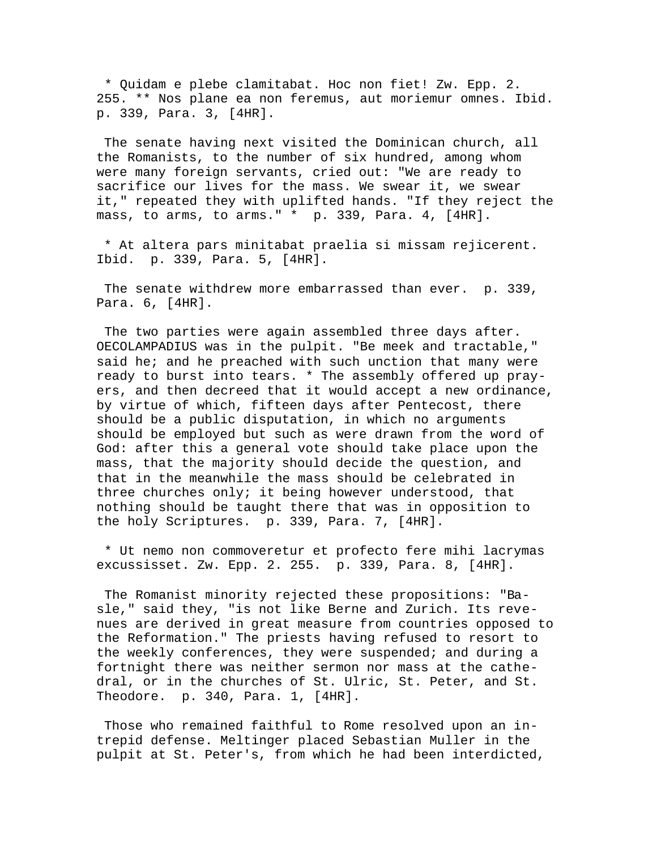\* Quidam e plebe clamitabat. Hoc non fiet! Zw. Epp. 2. 255. \*\* Nos plane ea non feremus, aut moriemur omnes. Ibid. p. 339, Para. 3, [4HR].

 The senate having next visited the Dominican church, all the Romanists, to the number of six hundred, among whom were many foreign servants, cried out: "We are ready to sacrifice our lives for the mass. We swear it, we swear it," repeated they with uplifted hands. "If they reject the mass, to arms, to arms." \* p. 339, Para. 4, [4HR].

 \* At altera pars minitabat praelia si missam rejicerent. Ibid. p. 339, Para. 5, [4HR].

 The senate withdrew more embarrassed than ever. p. 339, Para. 6, [4HR].

 The two parties were again assembled three days after. OECOLAMPADIUS was in the pulpit. "Be meek and tractable," said he; and he preached with such unction that many were ready to burst into tears. \* The assembly offered up prayers, and then decreed that it would accept a new ordinance, by virtue of which, fifteen days after Pentecost, there should be a public disputation, in which no arguments should be employed but such as were drawn from the word of God: after this a general vote should take place upon the mass, that the majority should decide the question, and that in the meanwhile the mass should be celebrated in three churches only; it being however understood, that nothing should be taught there that was in opposition to the holy Scriptures. p. 339, Para. 7, [4HR].

 \* Ut nemo non commoveretur et profecto fere mihi lacrymas excussisset. Zw. Epp. 2. 255. p. 339, Para. 8, [4HR].

 The Romanist minority rejected these propositions: "Basle," said they, "is not like Berne and Zurich. Its revenues are derived in great measure from countries opposed to the Reformation." The priests having refused to resort to the weekly conferences, they were suspended; and during a fortnight there was neither sermon nor mass at the cathedral, or in the churches of St. Ulric, St. Peter, and St. Theodore. p. 340, Para. 1, [4HR].

 Those who remained faithful to Rome resolved upon an intrepid defense. Meltinger placed Sebastian Muller in the pulpit at St. Peter's, from which he had been interdicted,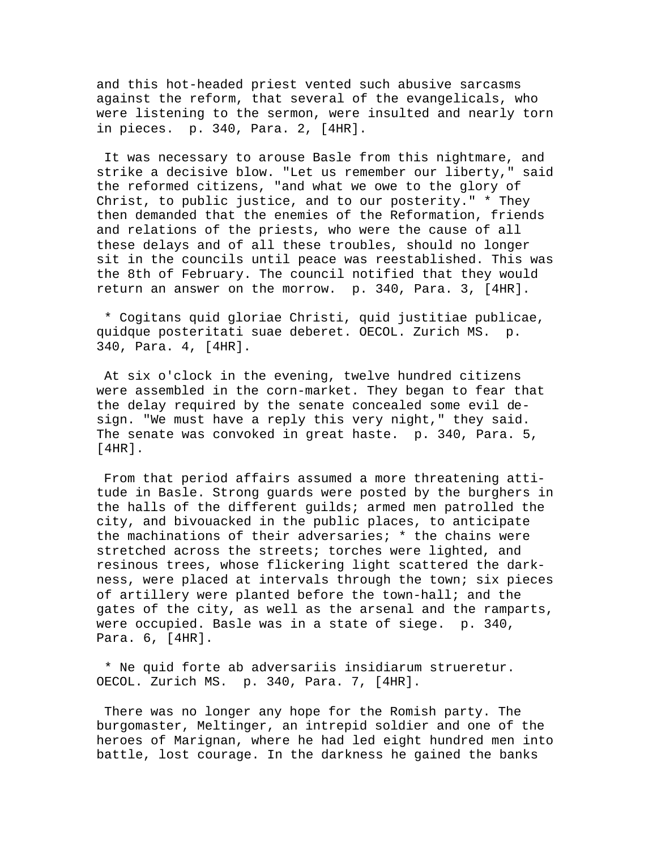and this hot-headed priest vented such abusive sarcasms against the reform, that several of the evangelicals, who were listening to the sermon, were insulted and nearly torn in pieces. p. 340, Para. 2, [4HR].

 It was necessary to arouse Basle from this nightmare, and strike a decisive blow. "Let us remember our liberty," said the reformed citizens, "and what we owe to the glory of Christ, to public justice, and to our posterity." \* They then demanded that the enemies of the Reformation, friends and relations of the priests, who were the cause of all these delays and of all these troubles, should no longer sit in the councils until peace was reestablished. This was the 8th of February. The council notified that they would return an answer on the morrow. p. 340, Para. 3, [4HR].

 \* Cogitans quid gloriae Christi, quid justitiae publicae, quidque posteritati suae deberet. OECOL. Zurich MS. p. 340, Para. 4, [4HR].

 At six o'clock in the evening, twelve hundred citizens were assembled in the corn-market. They began to fear that the delay required by the senate concealed some evil design. "We must have a reply this very night," they said. The senate was convoked in great haste. p. 340, Para. 5, [4HR].

 From that period affairs assumed a more threatening attitude in Basle. Strong guards were posted by the burghers in the halls of the different guilds; armed men patrolled the city, and bivouacked in the public places, to anticipate the machinations of their adversaries; \* the chains were stretched across the streets; torches were lighted, and resinous trees, whose flickering light scattered the darkness, were placed at intervals through the town; six pieces of artillery were planted before the town-hall; and the gates of the city, as well as the arsenal and the ramparts, were occupied. Basle was in a state of siege. p. 340, Para. 6, [4HR].

 \* Ne quid forte ab adversariis insidiarum strueretur. OECOL. Zurich MS. p. 340, Para. 7, [4HR].

 There was no longer any hope for the Romish party. The burgomaster, Meltinger, an intrepid soldier and one of the heroes of Marignan, where he had led eight hundred men into battle, lost courage. In the darkness he gained the banks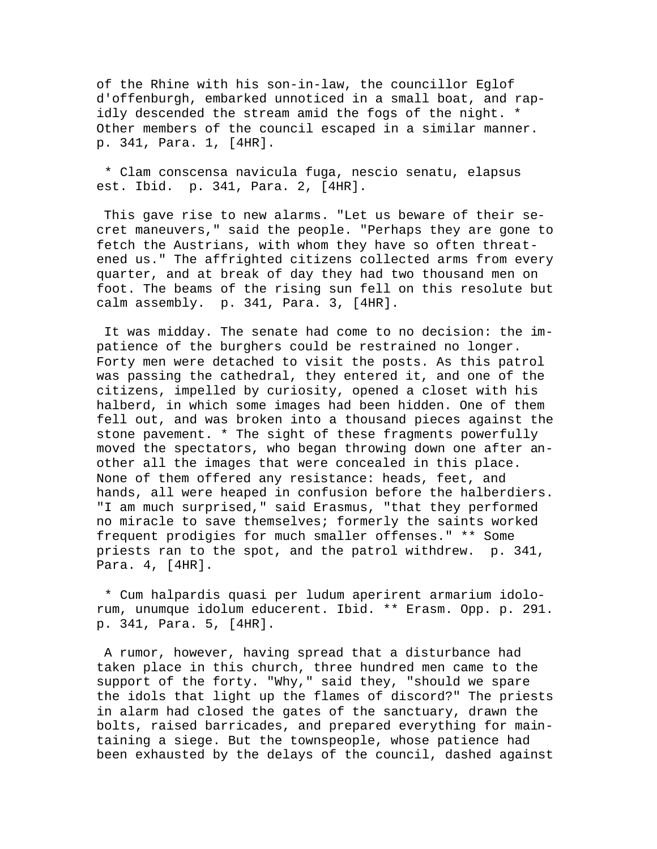of the Rhine with his son-in-law, the councillor Eglof d'offenburgh, embarked unnoticed in a small boat, and rapidly descended the stream amid the fogs of the night. \* Other members of the council escaped in a similar manner. p. 341, Para. 1, [4HR].

 \* Clam conscensa navicula fuga, nescio senatu, elapsus est. Ibid. p. 341, Para. 2, [4HR].

 This gave rise to new alarms. "Let us beware of their secret maneuvers," said the people. "Perhaps they are gone to fetch the Austrians, with whom they have so often threatened us." The affrighted citizens collected arms from every quarter, and at break of day they had two thousand men on foot. The beams of the rising sun fell on this resolute but calm assembly. p. 341, Para. 3, [4HR].

 It was midday. The senate had come to no decision: the impatience of the burghers could be restrained no longer. Forty men were detached to visit the posts. As this patrol was passing the cathedral, they entered it, and one of the citizens, impelled by curiosity, opened a closet with his halberd, in which some images had been hidden. One of them fell out, and was broken into a thousand pieces against the stone pavement. \* The sight of these fragments powerfully moved the spectators, who began throwing down one after another all the images that were concealed in this place. None of them offered any resistance: heads, feet, and hands, all were heaped in confusion before the halberdiers. "I am much surprised," said Erasmus, "that they performed no miracle to save themselves; formerly the saints worked frequent prodigies for much smaller offenses." \*\* Some priests ran to the spot, and the patrol withdrew. p. 341, Para. 4, [4HR].

 \* Cum halpardis quasi per ludum aperirent armarium idolorum, unumque idolum educerent. Ibid. \*\* Erasm. Opp. p. 291. p. 341, Para. 5, [4HR].

 A rumor, however, having spread that a disturbance had taken place in this church, three hundred men came to the support of the forty. "Why," said they, "should we spare the idols that light up the flames of discord?" The priests in alarm had closed the gates of the sanctuary, drawn the bolts, raised barricades, and prepared everything for maintaining a siege. But the townspeople, whose patience had been exhausted by the delays of the council, dashed against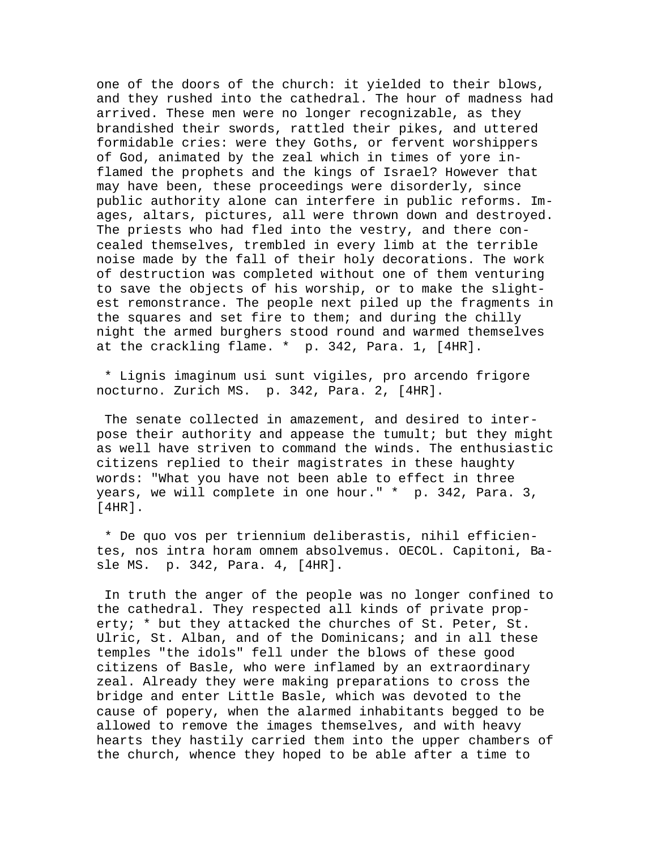one of the doors of the church: it yielded to their blows, and they rushed into the cathedral. The hour of madness had arrived. These men were no longer recognizable, as they brandished their swords, rattled their pikes, and uttered formidable cries: were they Goths, or fervent worshippers of God, animated by the zeal which in times of yore inflamed the prophets and the kings of Israel? However that may have been, these proceedings were disorderly, since public authority alone can interfere in public reforms. Images, altars, pictures, all were thrown down and destroyed. The priests who had fled into the vestry, and there concealed themselves, trembled in every limb at the terrible noise made by the fall of their holy decorations. The work of destruction was completed without one of them venturing to save the objects of his worship, or to make the slightest remonstrance. The people next piled up the fragments in the squares and set fire to them; and during the chilly night the armed burghers stood round and warmed themselves at the crackling flame. \* p. 342, Para. 1, [4HR].

 \* Lignis imaginum usi sunt vigiles, pro arcendo frigore nocturno. Zurich MS. p. 342, Para. 2, [4HR].

 The senate collected in amazement, and desired to interpose their authority and appease the tumult; but they might as well have striven to command the winds. The enthusiastic citizens replied to their magistrates in these haughty words: "What you have not been able to effect in three years, we will complete in one hour." \* p. 342, Para. 3, [4HR].

 \* De quo vos per triennium deliberastis, nihil efficientes, nos intra horam omnem absolvemus. OECOL. Capitoni, Basle MS. p. 342, Para. 4, [4HR].

 In truth the anger of the people was no longer confined to the cathedral. They respected all kinds of private property; \* but they attacked the churches of St. Peter, St. Ulric, St. Alban, and of the Dominicans; and in all these temples "the idols" fell under the blows of these good citizens of Basle, who were inflamed by an extraordinary zeal. Already they were making preparations to cross the bridge and enter Little Basle, which was devoted to the cause of popery, when the alarmed inhabitants begged to be allowed to remove the images themselves, and with heavy hearts they hastily carried them into the upper chambers of the church, whence they hoped to be able after a time to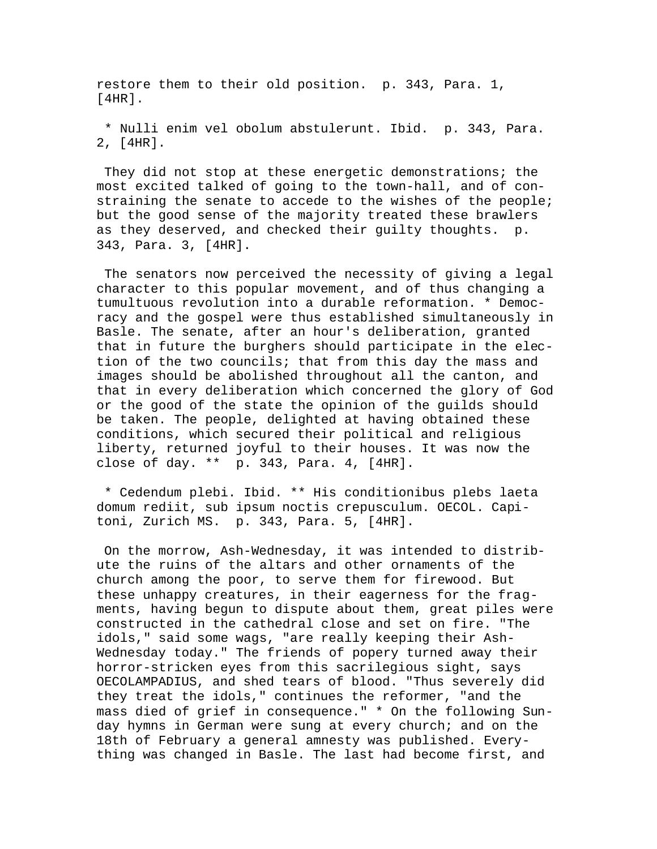restore them to their old position. p. 343, Para. 1, [4HR].

 \* Nulli enim vel obolum abstulerunt. Ibid. p. 343, Para. 2, [4HR].

 They did not stop at these energetic demonstrations; the most excited talked of going to the town-hall, and of constraining the senate to accede to the wishes of the people; but the good sense of the majority treated these brawlers as they deserved, and checked their guilty thoughts. p. 343, Para. 3, [4HR].

 The senators now perceived the necessity of giving a legal character to this popular movement, and of thus changing a tumultuous revolution into a durable reformation. \* Democracy and the gospel were thus established simultaneously in Basle. The senate, after an hour's deliberation, granted that in future the burghers should participate in the election of the two councils; that from this day the mass and images should be abolished throughout all the canton, and that in every deliberation which concerned the glory of God or the good of the state the opinion of the guilds should be taken. The people, delighted at having obtained these conditions, which secured their political and religious liberty, returned joyful to their houses. It was now the close of day. \*\* p. 343, Para. 4, [4HR].

 \* Cedendum plebi. Ibid. \*\* His conditionibus plebs laeta domum rediit, sub ipsum noctis crepusculum. OECOL. Capitoni, Zurich MS. p. 343, Para. 5, [4HR].

 On the morrow, Ash-Wednesday, it was intended to distribute the ruins of the altars and other ornaments of the church among the poor, to serve them for firewood. But these unhappy creatures, in their eagerness for the fragments, having begun to dispute about them, great piles were constructed in the cathedral close and set on fire. "The idols," said some wags, "are really keeping their Ash-Wednesday today." The friends of popery turned away their horror-stricken eyes from this sacrilegious sight, says OECOLAMPADIUS, and shed tears of blood. "Thus severely did they treat the idols," continues the reformer, "and the mass died of grief in consequence." \* On the following Sunday hymns in German were sung at every church; and on the 18th of February a general amnesty was published. Everything was changed in Basle. The last had become first, and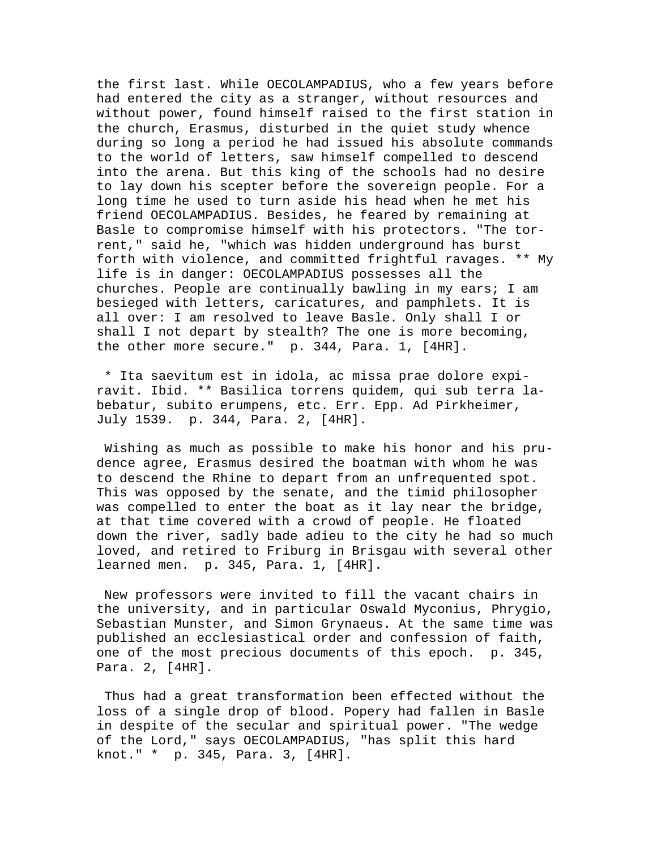the first last. While OECOLAMPADIUS, who a few years before had entered the city as a stranger, without resources and without power, found himself raised to the first station in the church, Erasmus, disturbed in the quiet study whence during so long a period he had issued his absolute commands to the world of letters, saw himself compelled to descend into the arena. But this king of the schools had no desire to lay down his scepter before the sovereign people. For a long time he used to turn aside his head when he met his friend OECOLAMPADIUS. Besides, he feared by remaining at Basle to compromise himself with his protectors. "The torrent," said he, "which was hidden underground has burst forth with violence, and committed frightful ravages. \*\* My life is in danger: OECOLAMPADIUS possesses all the churches. People are continually bawling in my ears; I am besieged with letters, caricatures, and pamphlets. It is all over: I am resolved to leave Basle. Only shall I or shall I not depart by stealth? The one is more becoming, the other more secure." p. 344, Para. 1, [4HR].

 \* Ita saevitum est in idola, ac missa prae dolore expiravit. Ibid. \*\* Basilica torrens quidem, qui sub terra labebatur, subito erumpens, etc. Err. Epp. Ad Pirkheimer, July 1539. p. 344, Para. 2, [4HR].

 Wishing as much as possible to make his honor and his prudence agree, Erasmus desired the boatman with whom he was to descend the Rhine to depart from an unfrequented spot. This was opposed by the senate, and the timid philosopher was compelled to enter the boat as it lay near the bridge, at that time covered with a crowd of people. He floated down the river, sadly bade adieu to the city he had so much loved, and retired to Friburg in Brisgau with several other learned men. p. 345, Para. 1, [4HR].

 New professors were invited to fill the vacant chairs in the university, and in particular Oswald Myconius, Phrygio, Sebastian Munster, and Simon Grynaeus. At the same time was published an ecclesiastical order and confession of faith, one of the most precious documents of this epoch. p. 345, Para. 2, [4HR].

 Thus had a great transformation been effected without the loss of a single drop of blood. Popery had fallen in Basle in despite of the secular and spiritual power. "The wedge of the Lord," says OECOLAMPADIUS, "has split this hard knot." \* p. 345, Para. 3, [4HR].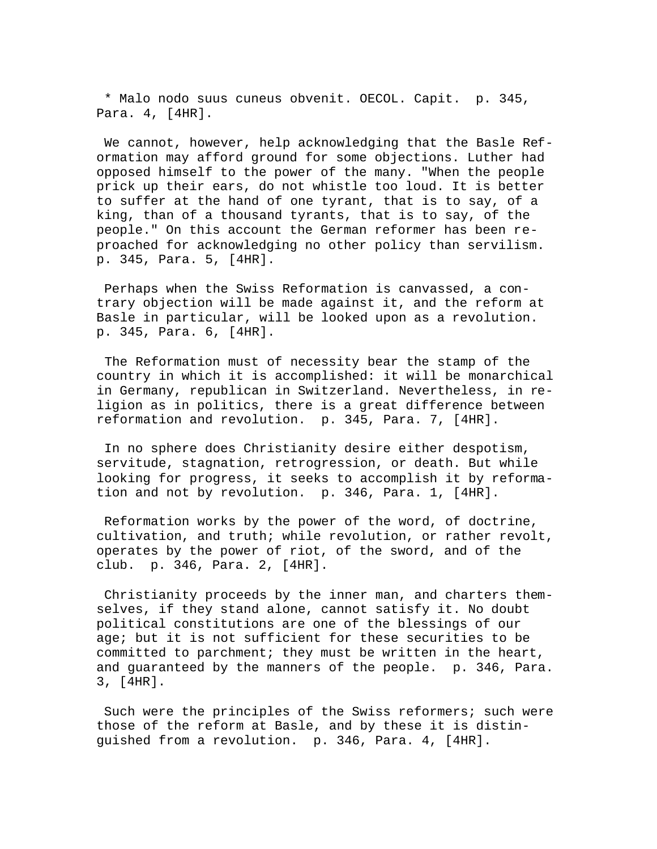\* Malo nodo suus cuneus obvenit. OECOL. Capit. p. 345, Para. 4, [4HR].

 We cannot, however, help acknowledging that the Basle Reformation may afford ground for some objections. Luther had opposed himself to the power of the many. "When the people prick up their ears, do not whistle too loud. It is better to suffer at the hand of one tyrant, that is to say, of a king, than of a thousand tyrants, that is to say, of the people." On this account the German reformer has been reproached for acknowledging no other policy than servilism. p. 345, Para. 5, [4HR].

 Perhaps when the Swiss Reformation is canvassed, a contrary objection will be made against it, and the reform at Basle in particular, will be looked upon as a revolution. p. 345, Para. 6, [4HR].

 The Reformation must of necessity bear the stamp of the country in which it is accomplished: it will be monarchical in Germany, republican in Switzerland. Nevertheless, in religion as in politics, there is a great difference between reformation and revolution. p. 345, Para. 7, [4HR].

 In no sphere does Christianity desire either despotism, servitude, stagnation, retrogression, or death. But while looking for progress, it seeks to accomplish it by reformation and not by revolution. p. 346, Para. 1, [4HR].

 Reformation works by the power of the word, of doctrine, cultivation, and truth; while revolution, or rather revolt, operates by the power of riot, of the sword, and of the club. p. 346, Para. 2, [4HR].

 Christianity proceeds by the inner man, and charters themselves, if they stand alone, cannot satisfy it. No doubt political constitutions are one of the blessings of our age; but it is not sufficient for these securities to be committed to parchment; they must be written in the heart, and guaranteed by the manners of the people. p. 346, Para. 3, [4HR].

Such were the principles of the Swiss reformers; such were those of the reform at Basle, and by these it is distinguished from a revolution. p. 346, Para. 4, [4HR].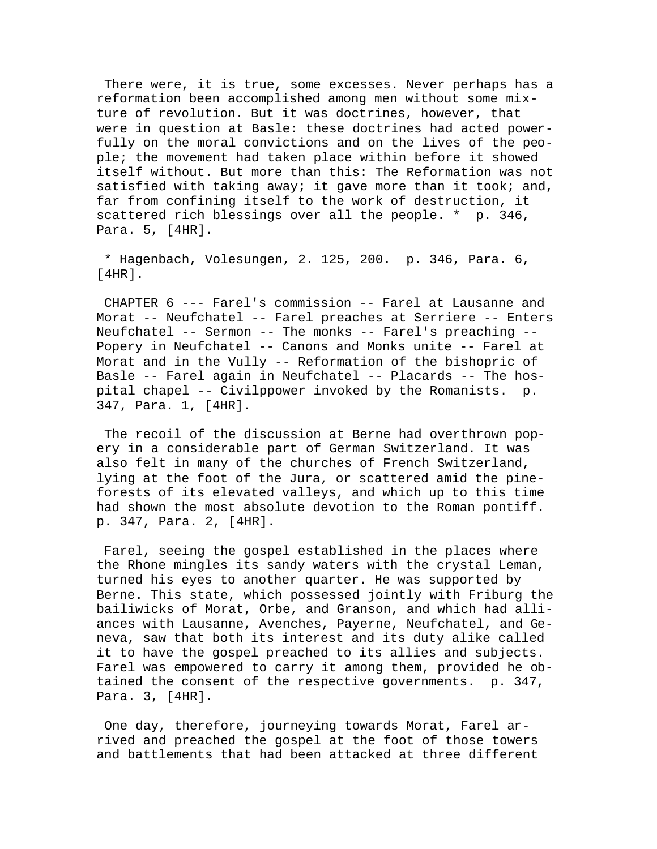There were, it is true, some excesses. Never perhaps has a reformation been accomplished among men without some mixture of revolution. But it was doctrines, however, that were in question at Basle: these doctrines had acted powerfully on the moral convictions and on the lives of the people; the movement had taken place within before it showed itself without. But more than this: The Reformation was not satisfied with taking away; it gave more than it took; and, far from confining itself to the work of destruction, it scattered rich blessings over all the people. \* p. 346, Para. 5, [4HR].

 \* Hagenbach, Volesungen, 2. 125, 200. p. 346, Para. 6, [4HR].

 CHAPTER 6 --- Farel's commission -- Farel at Lausanne and Morat -- Neufchatel -- Farel preaches at Serriere -- Enters Neufchatel -- Sermon -- The monks -- Farel's preaching -- Popery in Neufchatel -- Canons and Monks unite -- Farel at Morat and in the Vully -- Reformation of the bishopric of Basle -- Farel again in Neufchatel -- Placards -- The hospital chapel -- Civilppower invoked by the Romanists. p. 347, Para. 1, [4HR].

 The recoil of the discussion at Berne had overthrown popery in a considerable part of German Switzerland. It was also felt in many of the churches of French Switzerland, lying at the foot of the Jura, or scattered amid the pineforests of its elevated valleys, and which up to this time had shown the most absolute devotion to the Roman pontiff. p. 347, Para. 2, [4HR].

 Farel, seeing the gospel established in the places where the Rhone mingles its sandy waters with the crystal Leman, turned his eyes to another quarter. He was supported by Berne. This state, which possessed jointly with Friburg the bailiwicks of Morat, Orbe, and Granson, and which had alliances with Lausanne, Avenches, Payerne, Neufchatel, and Geneva, saw that both its interest and its duty alike called it to have the gospel preached to its allies and subjects. Farel was empowered to carry it among them, provided he obtained the consent of the respective governments. p. 347, Para. 3, [4HR].

 One day, therefore, journeying towards Morat, Farel arrived and preached the gospel at the foot of those towers and battlements that had been attacked at three different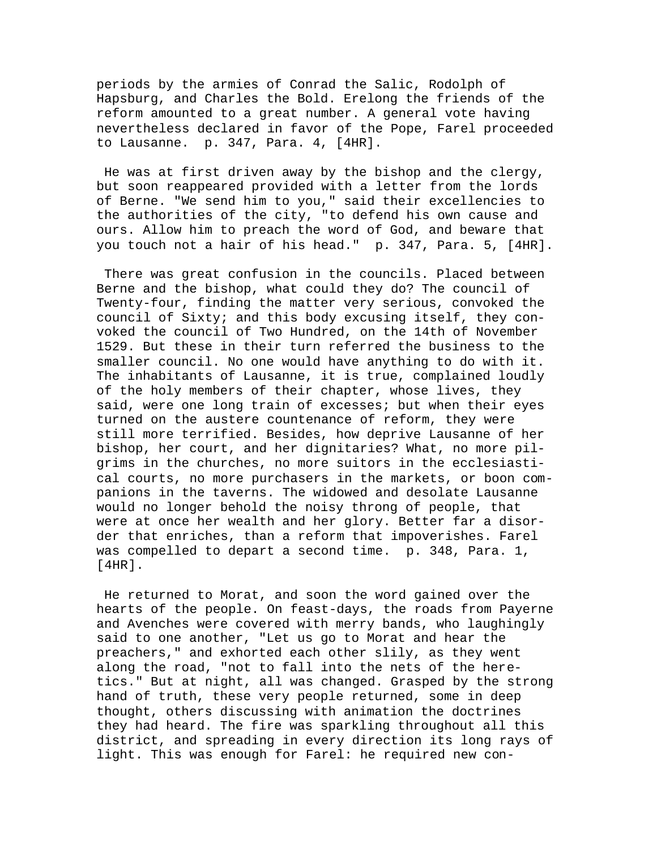periods by the armies of Conrad the Salic, Rodolph of Hapsburg, and Charles the Bold. Erelong the friends of the reform amounted to a great number. A general vote having nevertheless declared in favor of the Pope, Farel proceeded to Lausanne. p. 347, Para. 4, [4HR].

 He was at first driven away by the bishop and the clergy, but soon reappeared provided with a letter from the lords of Berne. "We send him to you," said their excellencies to the authorities of the city, "to defend his own cause and ours. Allow him to preach the word of God, and beware that you touch not a hair of his head." p. 347, Para. 5, [4HR].

 There was great confusion in the councils. Placed between Berne and the bishop, what could they do? The council of Twenty-four, finding the matter very serious, convoked the council of Sixty; and this body excusing itself, they convoked the council of Two Hundred, on the 14th of November 1529. But these in their turn referred the business to the smaller council. No one would have anything to do with it. The inhabitants of Lausanne, it is true, complained loudly of the holy members of their chapter, whose lives, they said, were one long train of excesses; but when their eyes turned on the austere countenance of reform, they were still more terrified. Besides, how deprive Lausanne of her bishop, her court, and her dignitaries? What, no more pilgrims in the churches, no more suitors in the ecclesiastical courts, no more purchasers in the markets, or boon companions in the taverns. The widowed and desolate Lausanne would no longer behold the noisy throng of people, that were at once her wealth and her glory. Better far a disorder that enriches, than a reform that impoverishes. Farel was compelled to depart a second time. p. 348, Para. 1, [4HR].

 He returned to Morat, and soon the word gained over the hearts of the people. On feast-days, the roads from Payerne and Avenches were covered with merry bands, who laughingly said to one another, "Let us go to Morat and hear the preachers," and exhorted each other slily, as they went along the road, "not to fall into the nets of the heretics." But at night, all was changed. Grasped by the strong hand of truth, these very people returned, some in deep thought, others discussing with animation the doctrines they had heard. The fire was sparkling throughout all this district, and spreading in every direction its long rays of light. This was enough for Farel: he required new con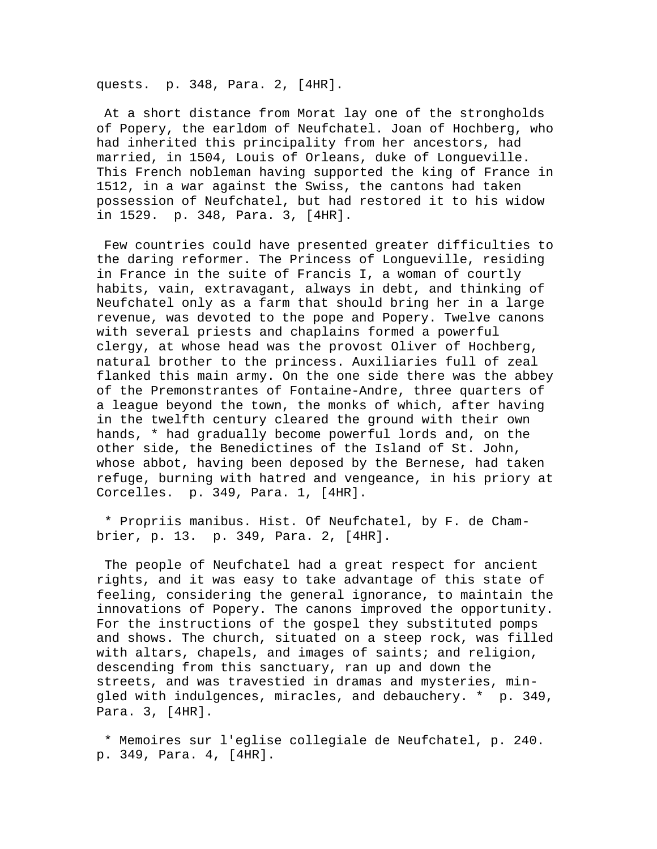quests. p. 348, Para. 2, [4HR].

 At a short distance from Morat lay one of the strongholds of Popery, the earldom of Neufchatel. Joan of Hochberg, who had inherited this principality from her ancestors, had married, in 1504, Louis of Orleans, duke of Longueville. This French nobleman having supported the king of France in 1512, in a war against the Swiss, the cantons had taken possession of Neufchatel, but had restored it to his widow in 1529. p. 348, Para. 3, [4HR].

 Few countries could have presented greater difficulties to the daring reformer. The Princess of Longueville, residing in France in the suite of Francis I, a woman of courtly habits, vain, extravagant, always in debt, and thinking of Neufchatel only as a farm that should bring her in a large revenue, was devoted to the pope and Popery. Twelve canons with several priests and chaplains formed a powerful clergy, at whose head was the provost Oliver of Hochberg, natural brother to the princess. Auxiliaries full of zeal flanked this main army. On the one side there was the abbey of the Premonstrantes of Fontaine-Andre, three quarters of a league beyond the town, the monks of which, after having in the twelfth century cleared the ground with their own hands, \* had gradually become powerful lords and, on the other side, the Benedictines of the Island of St. John, whose abbot, having been deposed by the Bernese, had taken refuge, burning with hatred and vengeance, in his priory at Corcelles. p. 349, Para. 1, [4HR].

 \* Propriis manibus. Hist. Of Neufchatel, by F. de Chambrier, p. 13. p. 349, Para. 2, [4HR].

 The people of Neufchatel had a great respect for ancient rights, and it was easy to take advantage of this state of feeling, considering the general ignorance, to maintain the innovations of Popery. The canons improved the opportunity. For the instructions of the gospel they substituted pomps and shows. The church, situated on a steep rock, was filled with altars, chapels, and images of saints; and religion, descending from this sanctuary, ran up and down the streets, and was travestied in dramas and mysteries, mingled with indulgences, miracles, and debauchery. \* p. 349, Para. 3, [4HR].

 \* Memoires sur l'eglise collegiale de Neufchatel, p. 240. p. 349, Para. 4, [4HR].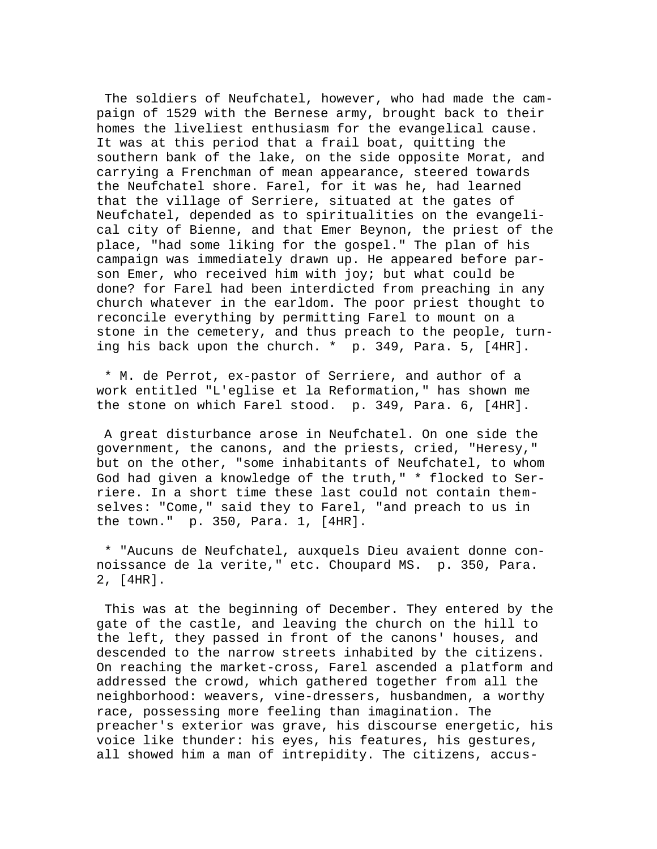The soldiers of Neufchatel, however, who had made the campaign of 1529 with the Bernese army, brought back to their homes the liveliest enthusiasm for the evangelical cause. It was at this period that a frail boat, quitting the southern bank of the lake, on the side opposite Morat, and carrying a Frenchman of mean appearance, steered towards the Neufchatel shore. Farel, for it was he, had learned that the village of Serriere, situated at the gates of Neufchatel, depended as to spiritualities on the evangelical city of Bienne, and that Emer Beynon, the priest of the place, "had some liking for the gospel." The plan of his campaign was immediately drawn up. He appeared before parson Emer, who received him with joy; but what could be done? for Farel had been interdicted from preaching in any church whatever in the earldom. The poor priest thought to reconcile everything by permitting Farel to mount on a stone in the cemetery, and thus preach to the people, turning his back upon the church. \* p. 349, Para. 5, [4HR].

 \* M. de Perrot, ex-pastor of Serriere, and author of a work entitled "L'eglise et la Reformation," has shown me the stone on which Farel stood. p. 349, Para. 6, [4HR].

 A great disturbance arose in Neufchatel. On one side the government, the canons, and the priests, cried, "Heresy," but on the other, "some inhabitants of Neufchatel, to whom God had given a knowledge of the truth," \* flocked to Serriere. In a short time these last could not contain themselves: "Come," said they to Farel, "and preach to us in the town." p. 350, Para. 1, [4HR].

 \* "Aucuns de Neufchatel, auxquels Dieu avaient donne connoissance de la verite," etc. Choupard MS. p. 350, Para. 2, [4HR].

 This was at the beginning of December. They entered by the gate of the castle, and leaving the church on the hill to the left, they passed in front of the canons' houses, and descended to the narrow streets inhabited by the citizens. On reaching the market-cross, Farel ascended a platform and addressed the crowd, which gathered together from all the neighborhood: weavers, vine-dressers, husbandmen, a worthy race, possessing more feeling than imagination. The preacher's exterior was grave, his discourse energetic, his voice like thunder: his eyes, his features, his gestures, all showed him a man of intrepidity. The citizens, accus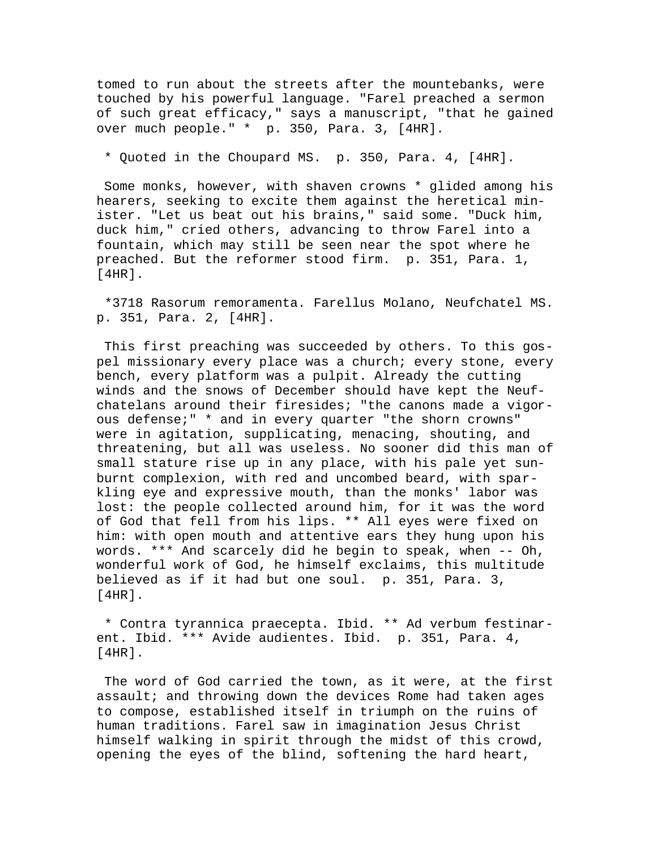tomed to run about the streets after the mountebanks, were touched by his powerful language. "Farel preached a sermon of such great efficacy," says a manuscript, "that he gained over much people." \* p. 350, Para. 3, [4HR].

\* Quoted in the Choupard MS. p. 350, Para. 4, [4HR].

 Some monks, however, with shaven crowns \* glided among his hearers, seeking to excite them against the heretical minister. "Let us beat out his brains," said some. "Duck him, duck him," cried others, advancing to throw Farel into a fountain, which may still be seen near the spot where he preached. But the reformer stood firm. p. 351, Para. 1, [4HR].

 \*3718 Rasorum remoramenta. Farellus Molano, Neufchatel MS. p. 351, Para. 2, [4HR].

 This first preaching was succeeded by others. To this gospel missionary every place was a church; every stone, every bench, every platform was a pulpit. Already the cutting winds and the snows of December should have kept the Neufchatelans around their firesides; "the canons made a vigorous defense;" \* and in every quarter "the shorn crowns" were in agitation, supplicating, menacing, shouting, and threatening, but all was useless. No sooner did this man of small stature rise up in any place, with his pale yet sunburnt complexion, with red and uncombed beard, with sparkling eye and expressive mouth, than the monks' labor was lost: the people collected around him, for it was the word of God that fell from his lips. \*\* All eyes were fixed on him: with open mouth and attentive ears they hung upon his words. \*\*\* And scarcely did he begin to speak, when -- Oh, wonderful work of God, he himself exclaims, this multitude believed as if it had but one soul. p. 351, Para. 3, [4HR].

 \* Contra tyrannica praecepta. Ibid. \*\* Ad verbum festinarent. Ibid. \*\*\* Avide audientes. Ibid. p. 351, Para. 4, [4HR].

 The word of God carried the town, as it were, at the first assault; and throwing down the devices Rome had taken ages to compose, established itself in triumph on the ruins of human traditions. Farel saw in imagination Jesus Christ himself walking in spirit through the midst of this crowd, opening the eyes of the blind, softening the hard heart,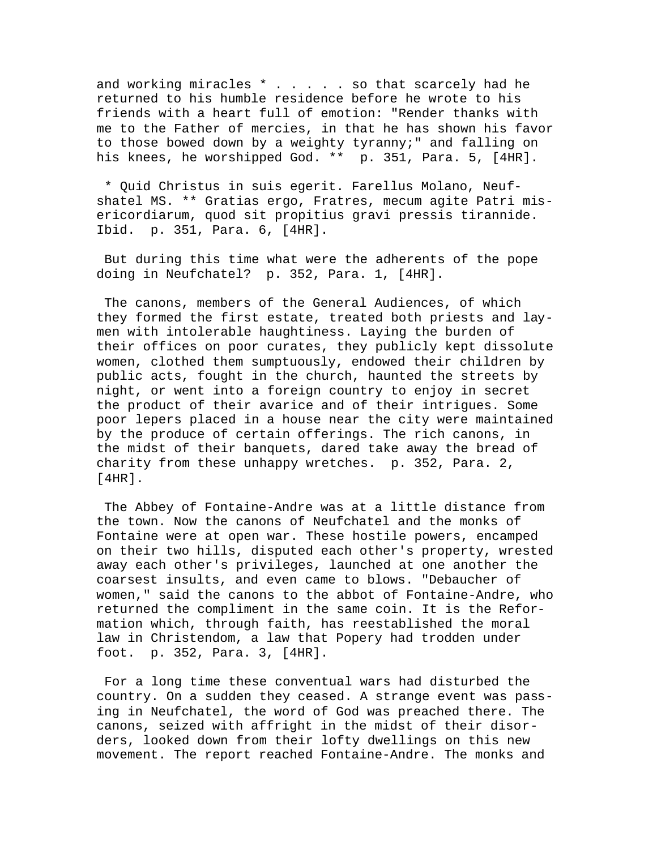and working miracles \* . . . . so that scarcely had he returned to his humble residence before he wrote to his friends with a heart full of emotion: "Render thanks with me to the Father of mercies, in that he has shown his favor to those bowed down by a weighty tyranny;" and falling on his knees, he worshipped God. \*\* p. 351, Para. 5, [4HR].

 \* Quid Christus in suis egerit. Farellus Molano, Neufshatel MS. \*\* Gratias ergo, Fratres, mecum agite Patri misericordiarum, quod sit propitius gravi pressis tirannide. Ibid. p. 351, Para. 6, [4HR].

 But during this time what were the adherents of the pope doing in Neufchatel? p. 352, Para. 1, [4HR].

 The canons, members of the General Audiences, of which they formed the first estate, treated both priests and laymen with intolerable haughtiness. Laying the burden of their offices on poor curates, they publicly kept dissolute women, clothed them sumptuously, endowed their children by public acts, fought in the church, haunted the streets by night, or went into a foreign country to enjoy in secret the product of their avarice and of their intrigues. Some poor lepers placed in a house near the city were maintained by the produce of certain offerings. The rich canons, in the midst of their banquets, dared take away the bread of charity from these unhappy wretches. p. 352, Para. 2, [4HR].

 The Abbey of Fontaine-Andre was at a little distance from the town. Now the canons of Neufchatel and the monks of Fontaine were at open war. These hostile powers, encamped on their two hills, disputed each other's property, wrested away each other's privileges, launched at one another the coarsest insults, and even came to blows. "Debaucher of women," said the canons to the abbot of Fontaine-Andre, who returned the compliment in the same coin. It is the Reformation which, through faith, has reestablished the moral law in Christendom, a law that Popery had trodden under foot. p. 352, Para. 3, [4HR].

 For a long time these conventual wars had disturbed the country. On a sudden they ceased. A strange event was passing in Neufchatel, the word of God was preached there. The canons, seized with affright in the midst of their disorders, looked down from their lofty dwellings on this new movement. The report reached Fontaine-Andre. The monks and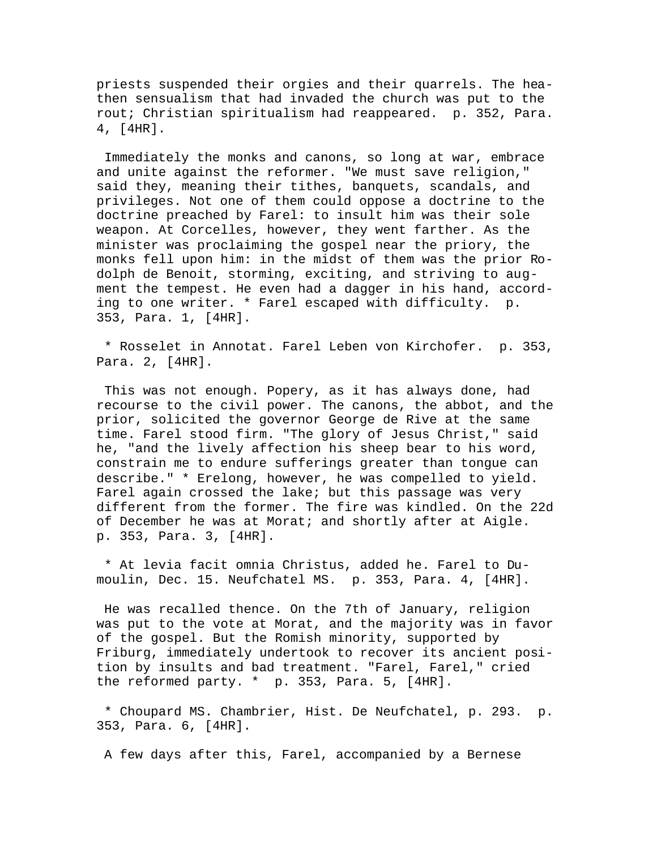priests suspended their orgies and their quarrels. The heathen sensualism that had invaded the church was put to the rout; Christian spiritualism had reappeared. p. 352, Para. 4, [4HR].

 Immediately the monks and canons, so long at war, embrace and unite against the reformer. "We must save religion," said they, meaning their tithes, banquets, scandals, and privileges. Not one of them could oppose a doctrine to the doctrine preached by Farel: to insult him was their sole weapon. At Corcelles, however, they went farther. As the minister was proclaiming the gospel near the priory, the monks fell upon him: in the midst of them was the prior Rodolph de Benoit, storming, exciting, and striving to augment the tempest. He even had a dagger in his hand, according to one writer. \* Farel escaped with difficulty. p. 353, Para. 1, [4HR].

 \* Rosselet in Annotat. Farel Leben von Kirchofer. p. 353, Para. 2, [4HR].

 This was not enough. Popery, as it has always done, had recourse to the civil power. The canons, the abbot, and the prior, solicited the governor George de Rive at the same time. Farel stood firm. "The glory of Jesus Christ," said he, "and the lively affection his sheep bear to his word, constrain me to endure sufferings greater than tongue can describe." \* Erelong, however, he was compelled to yield. Farel again crossed the lake; but this passage was very different from the former. The fire was kindled. On the 22d of December he was at Morat; and shortly after at Aigle. p. 353, Para. 3, [4HR].

 \* At levia facit omnia Christus, added he. Farel to Dumoulin, Dec. 15. Neufchatel MS. p. 353, Para. 4, [4HR].

 He was recalled thence. On the 7th of January, religion was put to the vote at Morat, and the majority was in favor of the gospel. But the Romish minority, supported by Friburg, immediately undertook to recover its ancient position by insults and bad treatment. "Farel, Farel," cried the reformed party. \* p. 353, Para. 5, [4HR].

 \* Choupard MS. Chambrier, Hist. De Neufchatel, p. 293. p. 353, Para. 6, [4HR].

A few days after this, Farel, accompanied by a Bernese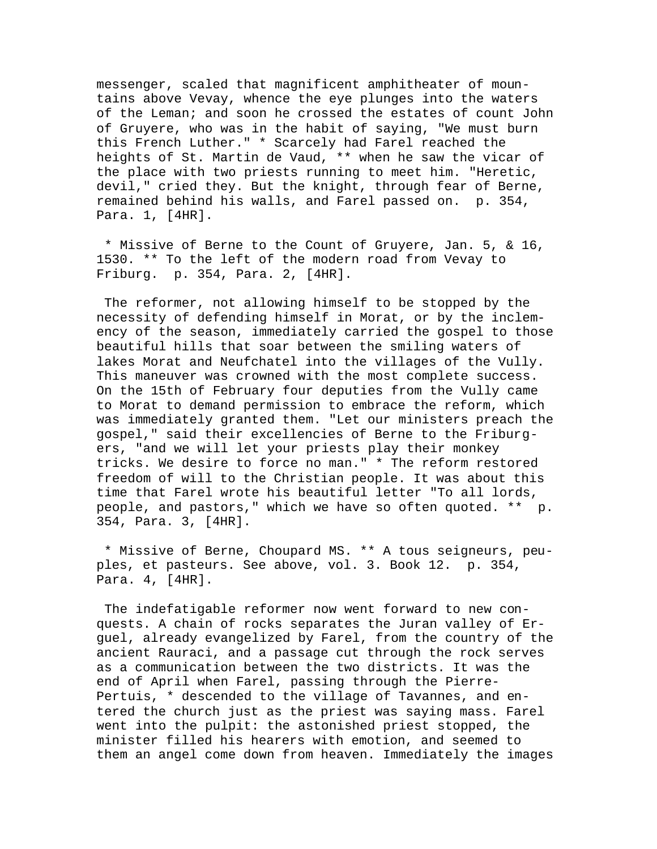messenger, scaled that magnificent amphitheater of mountains above Vevay, whence the eye plunges into the waters of the Leman; and soon he crossed the estates of count John of Gruyere, who was in the habit of saying, "We must burn this French Luther." \* Scarcely had Farel reached the heights of St. Martin de Vaud, \*\* when he saw the vicar of the place with two priests running to meet him. "Heretic, devil," cried they. But the knight, through fear of Berne, remained behind his walls, and Farel passed on. p. 354, Para. 1, [4HR].

 \* Missive of Berne to the Count of Gruyere, Jan. 5, & 16, 1530. \*\* To the left of the modern road from Vevay to Friburg. p. 354, Para. 2, [4HR].

 The reformer, not allowing himself to be stopped by the necessity of defending himself in Morat, or by the inclemency of the season, immediately carried the gospel to those beautiful hills that soar between the smiling waters of lakes Morat and Neufchatel into the villages of the Vully. This maneuver was crowned with the most complete success. On the 15th of February four deputies from the Vully came to Morat to demand permission to embrace the reform, which was immediately granted them. "Let our ministers preach the gospel," said their excellencies of Berne to the Friburgers, "and we will let your priests play their monkey tricks. We desire to force no man." \* The reform restored freedom of will to the Christian people. It was about this time that Farel wrote his beautiful letter "To all lords, people, and pastors," which we have so often quoted. \*\* p. 354, Para. 3, [4HR].

 \* Missive of Berne, Choupard MS. \*\* A tous seigneurs, peuples, et pasteurs. See above, vol. 3. Book 12. p. 354, Para. 4, [4HR].

 The indefatigable reformer now went forward to new conquests. A chain of rocks separates the Juran valley of Erguel, already evangelized by Farel, from the country of the ancient Rauraci, and a passage cut through the rock serves as a communication between the two districts. It was the end of April when Farel, passing through the Pierre-Pertuis, \* descended to the village of Tavannes, and entered the church just as the priest was saying mass. Farel went into the pulpit: the astonished priest stopped, the minister filled his hearers with emotion, and seemed to them an angel come down from heaven. Immediately the images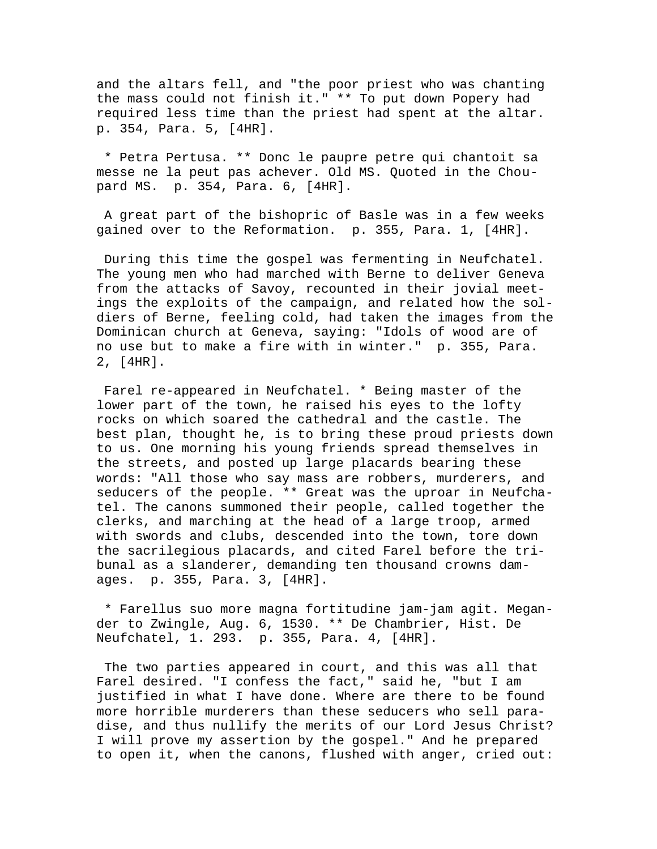and the altars fell, and "the poor priest who was chanting the mass could not finish it." \*\* To put down Popery had required less time than the priest had spent at the altar. p. 354, Para. 5, [4HR].

 \* Petra Pertusa. \*\* Donc le paupre petre qui chantoit sa messe ne la peut pas achever. Old MS. Quoted in the Choupard MS. p. 354, Para. 6, [4HR].

 A great part of the bishopric of Basle was in a few weeks gained over to the Reformation. p. 355, Para. 1, [4HR].

 During this time the gospel was fermenting in Neufchatel. The young men who had marched with Berne to deliver Geneva from the attacks of Savoy, recounted in their jovial meetings the exploits of the campaign, and related how the soldiers of Berne, feeling cold, had taken the images from the Dominican church at Geneva, saying: "Idols of wood are of no use but to make a fire with in winter." p. 355, Para. 2, [4HR].

 Farel re-appeared in Neufchatel. \* Being master of the lower part of the town, he raised his eyes to the lofty rocks on which soared the cathedral and the castle. The best plan, thought he, is to bring these proud priests down to us. One morning his young friends spread themselves in the streets, and posted up large placards bearing these words: "All those who say mass are robbers, murderers, and seducers of the people. \*\* Great was the uproar in Neufchatel. The canons summoned their people, called together the clerks, and marching at the head of a large troop, armed with swords and clubs, descended into the town, tore down the sacrilegious placards, and cited Farel before the tribunal as a slanderer, demanding ten thousand crowns damages. p. 355, Para. 3, [4HR].

 \* Farellus suo more magna fortitudine jam-jam agit. Megander to Zwingle, Aug. 6, 1530. \*\* De Chambrier, Hist. De Neufchatel, 1. 293. p. 355, Para. 4, [4HR].

 The two parties appeared in court, and this was all that Farel desired. "I confess the fact," said he, "but I am justified in what I have done. Where are there to be found more horrible murderers than these seducers who sell paradise, and thus nullify the merits of our Lord Jesus Christ? I will prove my assertion by the gospel." And he prepared to open it, when the canons, flushed with anger, cried out: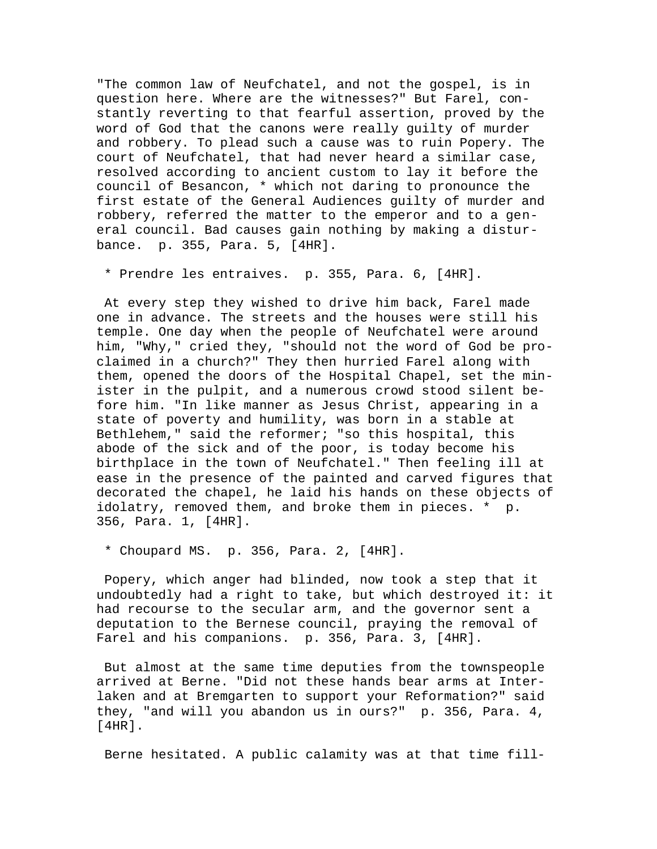"The common law of Neufchatel, and not the gospel, is in question here. Where are the witnesses?" But Farel, constantly reverting to that fearful assertion, proved by the word of God that the canons were really guilty of murder and robbery. To plead such a cause was to ruin Popery. The court of Neufchatel, that had never heard a similar case, resolved according to ancient custom to lay it before the council of Besancon, \* which not daring to pronounce the first estate of the General Audiences guilty of murder and robbery, referred the matter to the emperor and to a general council. Bad causes gain nothing by making a disturbance. p. 355, Para. 5, [4HR].

\* Prendre les entraives. p. 355, Para. 6, [4HR].

 At every step they wished to drive him back, Farel made one in advance. The streets and the houses were still his temple. One day when the people of Neufchatel were around him, "Why," cried they, "should not the word of God be proclaimed in a church?" They then hurried Farel along with them, opened the doors of the Hospital Chapel, set the minister in the pulpit, and a numerous crowd stood silent before him. "In like manner as Jesus Christ, appearing in a state of poverty and humility, was born in a stable at Bethlehem," said the reformer; "so this hospital, this abode of the sick and of the poor, is today become his birthplace in the town of Neufchatel." Then feeling ill at ease in the presence of the painted and carved figures that decorated the chapel, he laid his hands on these objects of idolatry, removed them, and broke them in pieces. \* p. 356, Para. 1, [4HR].

\* Choupard MS. p. 356, Para. 2, [4HR].

 Popery, which anger had blinded, now took a step that it undoubtedly had a right to take, but which destroyed it: it had recourse to the secular arm, and the governor sent a deputation to the Bernese council, praying the removal of Farel and his companions. p. 356, Para. 3, [4HR].

 But almost at the same time deputies from the townspeople arrived at Berne. "Did not these hands bear arms at Interlaken and at Bremgarten to support your Reformation?" said they, "and will you abandon us in ours?" p. 356, Para. 4, [4HR].

Berne hesitated. A public calamity was at that time fill-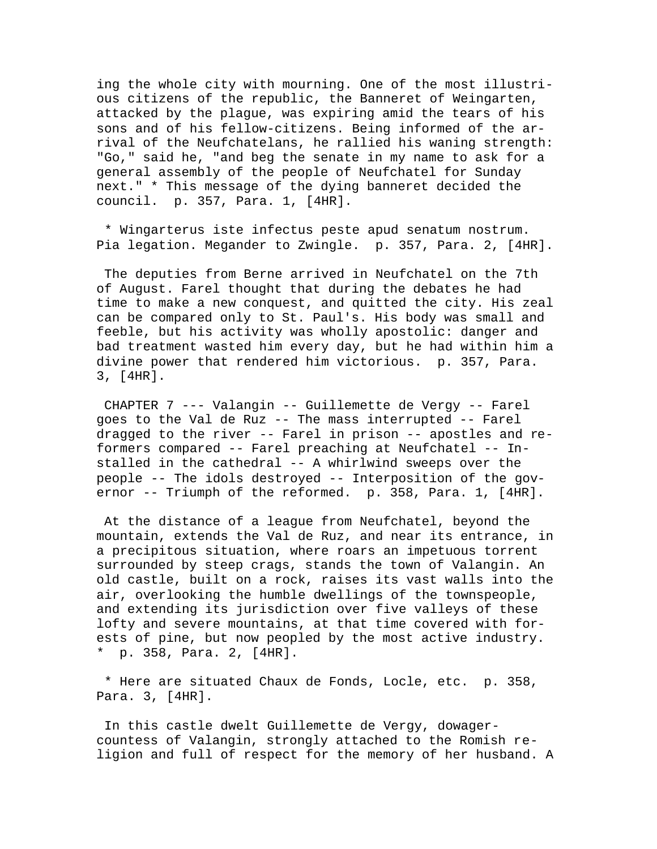ing the whole city with mourning. One of the most illustrious citizens of the republic, the Banneret of Weingarten, attacked by the plague, was expiring amid the tears of his sons and of his fellow-citizens. Being informed of the arrival of the Neufchatelans, he rallied his waning strength: "Go," said he, "and beg the senate in my name to ask for a general assembly of the people of Neufchatel for Sunday next." \* This message of the dying banneret decided the council. p. 357, Para. 1, [4HR].

 \* Wingarterus iste infectus peste apud senatum nostrum. Pia legation. Megander to Zwingle. p. 357, Para. 2, [4HR].

 The deputies from Berne arrived in Neufchatel on the 7th of August. Farel thought that during the debates he had time to make a new conquest, and quitted the city. His zeal can be compared only to St. Paul's. His body was small and feeble, but his activity was wholly apostolic: danger and bad treatment wasted him every day, but he had within him a divine power that rendered him victorious. p. 357, Para. 3, [4HR].

 CHAPTER 7 --- Valangin -- Guillemette de Vergy -- Farel goes to the Val de Ruz -- The mass interrupted -- Farel dragged to the river -- Farel in prison -- apostles and reformers compared -- Farel preaching at Neufchatel -- Installed in the cathedral -- A whirlwind sweeps over the people -- The idols destroyed -- Interposition of the governor -- Triumph of the reformed. p. 358, Para. 1, [4HR].

 At the distance of a league from Neufchatel, beyond the mountain, extends the Val de Ruz, and near its entrance, in a precipitous situation, where roars an impetuous torrent surrounded by steep crags, stands the town of Valangin. An old castle, built on a rock, raises its vast walls into the air, overlooking the humble dwellings of the townspeople, and extending its jurisdiction over five valleys of these lofty and severe mountains, at that time covered with forests of pine, but now peopled by the most active industry. \* p. 358, Para. 2, [4HR].

 \* Here are situated Chaux de Fonds, Locle, etc. p. 358, Para. 3, [4HR].

 In this castle dwelt Guillemette de Vergy, dowagercountess of Valangin, strongly attached to the Romish religion and full of respect for the memory of her husband. A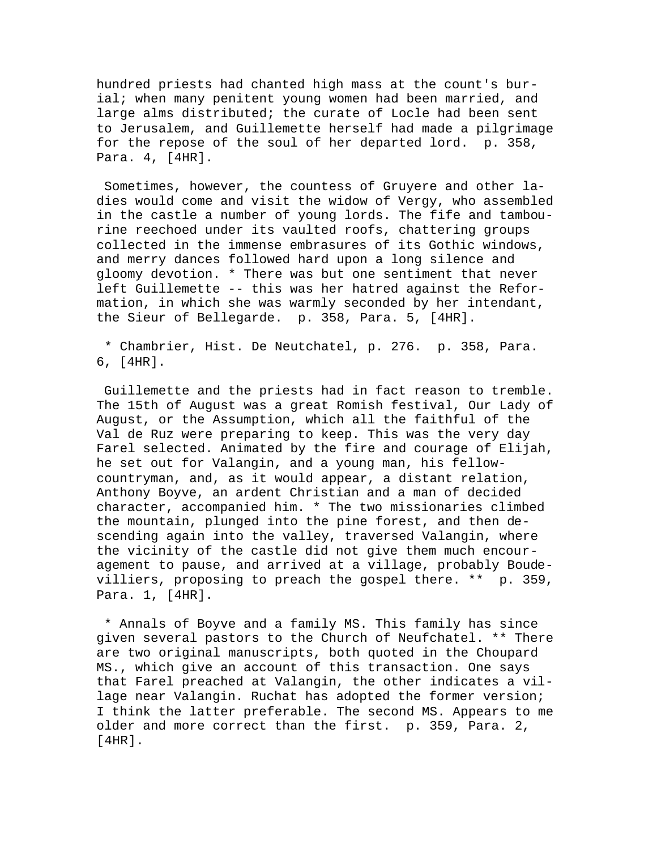hundred priests had chanted high mass at the count's burial; when many penitent young women had been married, and large alms distributed; the curate of Locle had been sent to Jerusalem, and Guillemette herself had made a pilgrimage for the repose of the soul of her departed lord. p. 358, Para. 4, [4HR].

 Sometimes, however, the countess of Gruyere and other ladies would come and visit the widow of Vergy, who assembled in the castle a number of young lords. The fife and tambourine reechoed under its vaulted roofs, chattering groups collected in the immense embrasures of its Gothic windows, and merry dances followed hard upon a long silence and gloomy devotion. \* There was but one sentiment that never left Guillemette -- this was her hatred against the Reformation, in which she was warmly seconded by her intendant, the Sieur of Bellegarde. p. 358, Para. 5, [4HR].

 \* Chambrier, Hist. De Neutchatel, p. 276. p. 358, Para. 6, [4HR].

 Guillemette and the priests had in fact reason to tremble. The 15th of August was a great Romish festival, Our Lady of August, or the Assumption, which all the faithful of the Val de Ruz were preparing to keep. This was the very day Farel selected. Animated by the fire and courage of Elijah, he set out for Valangin, and a young man, his fellowcountryman, and, as it would appear, a distant relation, Anthony Boyve, an ardent Christian and a man of decided character, accompanied him. \* The two missionaries climbed the mountain, plunged into the pine forest, and then descending again into the valley, traversed Valangin, where the vicinity of the castle did not give them much encouragement to pause, and arrived at a village, probably Boudevilliers, proposing to preach the gospel there. \*\* p. 359, Para. 1, [4HR].

 \* Annals of Boyve and a family MS. This family has since given several pastors to the Church of Neufchatel. \*\* There are two original manuscripts, both quoted in the Choupard MS., which give an account of this transaction. One says that Farel preached at Valangin, the other indicates a village near Valangin. Ruchat has adopted the former version; I think the latter preferable. The second MS. Appears to me older and more correct than the first. p. 359, Para. 2, [4HR].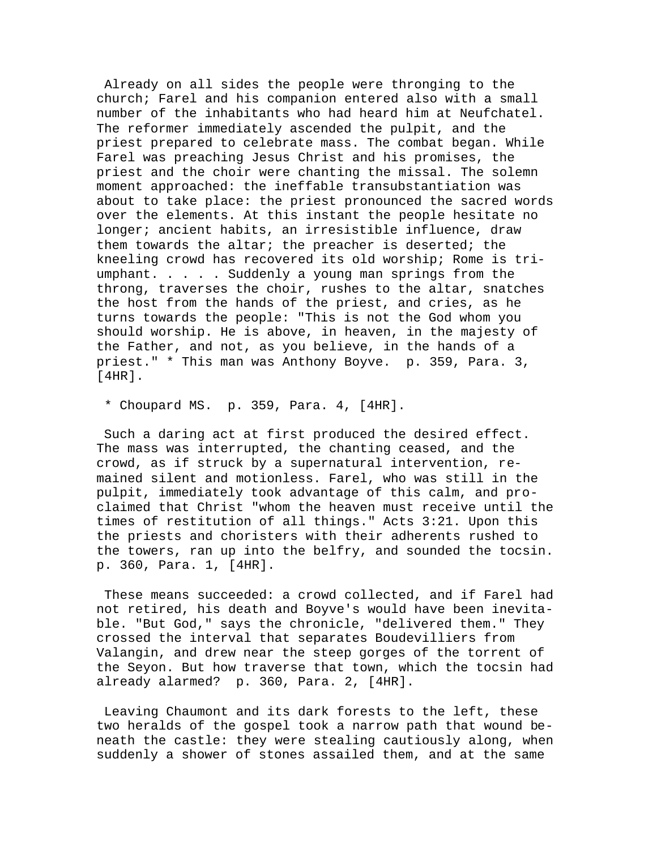Already on all sides the people were thronging to the church; Farel and his companion entered also with a small number of the inhabitants who had heard him at Neufchatel. The reformer immediately ascended the pulpit, and the priest prepared to celebrate mass. The combat began. While Farel was preaching Jesus Christ and his promises, the priest and the choir were chanting the missal. The solemn moment approached: the ineffable transubstantiation was about to take place: the priest pronounced the sacred words over the elements. At this instant the people hesitate no longer; ancient habits, an irresistible influence, draw them towards the altar; the preacher is deserted; the kneeling crowd has recovered its old worship; Rome is triumphant. . . . . Suddenly a young man springs from the throng, traverses the choir, rushes to the altar, snatches the host from the hands of the priest, and cries, as he turns towards the people: "This is not the God whom you should worship. He is above, in heaven, in the majesty of the Father, and not, as you believe, in the hands of a priest." \* This man was Anthony Boyve. p. 359, Para. 3, [4HR].

\* Choupard MS. p. 359, Para. 4, [4HR].

 Such a daring act at first produced the desired effect. The mass was interrupted, the chanting ceased, and the crowd, as if struck by a supernatural intervention, remained silent and motionless. Farel, who was still in the pulpit, immediately took advantage of this calm, and proclaimed that Christ "whom the heaven must receive until the times of restitution of all things." Acts 3:21. Upon this the priests and choristers with their adherents rushed to the towers, ran up into the belfry, and sounded the tocsin. p. 360, Para. 1, [4HR].

 These means succeeded: a crowd collected, and if Farel had not retired, his death and Boyve's would have been inevitable. "But God," says the chronicle, "delivered them." They crossed the interval that separates Boudevilliers from Valangin, and drew near the steep gorges of the torrent of the Seyon. But how traverse that town, which the tocsin had already alarmed? p. 360, Para. 2, [4HR].

 Leaving Chaumont and its dark forests to the left, these two heralds of the gospel took a narrow path that wound beneath the castle: they were stealing cautiously along, when suddenly a shower of stones assailed them, and at the same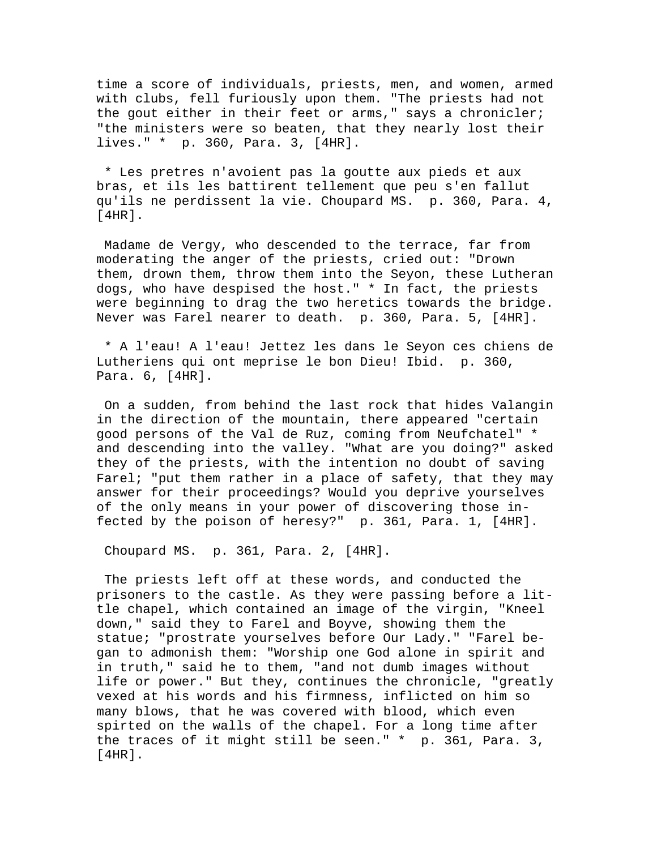time a score of individuals, priests, men, and women, armed with clubs, fell furiously upon them. "The priests had not the gout either in their feet or arms," says a chronicler; "the ministers were so beaten, that they nearly lost their lives." \* p. 360, Para. 3, [4HR].

 \* Les pretres n'avoient pas la goutte aux pieds et aux bras, et ils les battirent tellement que peu s'en fallut qu'ils ne perdissent la vie. Choupard MS. p. 360, Para. 4, [4HR].

 Madame de Vergy, who descended to the terrace, far from moderating the anger of the priests, cried out: "Drown them, drown them, throw them into the Seyon, these Lutheran dogs, who have despised the host." \* In fact, the priests were beginning to drag the two heretics towards the bridge. Never was Farel nearer to death. p. 360, Para. 5, [4HR].

 \* A l'eau! A l'eau! Jettez les dans le Seyon ces chiens de Lutheriens qui ont meprise le bon Dieu! Ibid. p. 360, Para. 6, [4HR].

 On a sudden, from behind the last rock that hides Valangin in the direction of the mountain, there appeared "certain good persons of the Val de Ruz, coming from Neufchatel" \* and descending into the valley. "What are you doing?" asked they of the priests, with the intention no doubt of saving Farel; "put them rather in a place of safety, that they may answer for their proceedings? Would you deprive yourselves of the only means in your power of discovering those infected by the poison of heresy?" p. 361, Para. 1, [4HR].

Choupard MS. p. 361, Para. 2, [4HR].

 The priests left off at these words, and conducted the prisoners to the castle. As they were passing before a little chapel, which contained an image of the virgin, "Kneel down," said they to Farel and Boyve, showing them the statue; "prostrate yourselves before Our Lady." "Farel began to admonish them: "Worship one God alone in spirit and in truth," said he to them, "and not dumb images without life or power." But they, continues the chronicle, "greatly vexed at his words and his firmness, inflicted on him so many blows, that he was covered with blood, which even spirted on the walls of the chapel. For a long time after the traces of it might still be seen." \* p. 361, Para. 3, [4HR].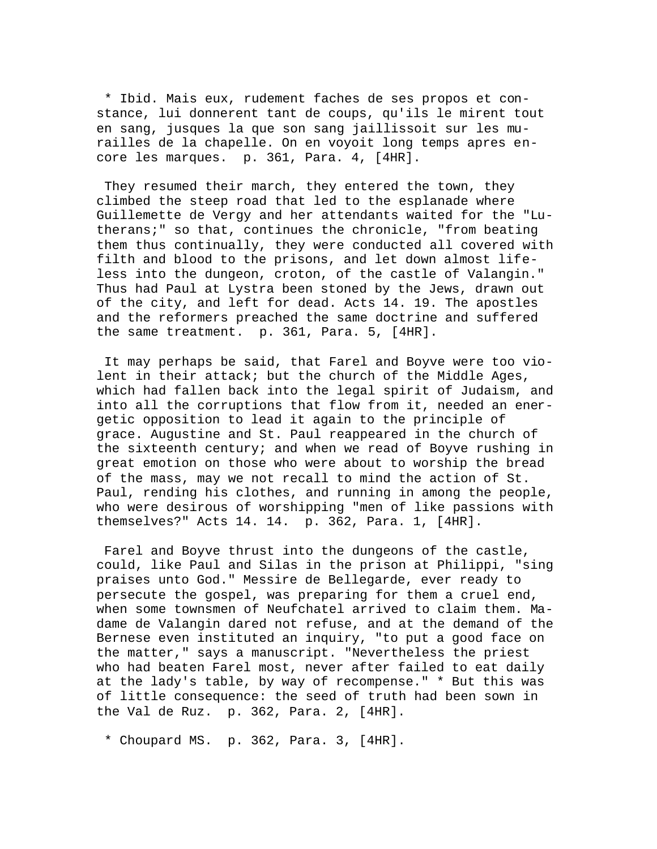\* Ibid. Mais eux, rudement faches de ses propos et constance, lui donnerent tant de coups, qu'ils le mirent tout en sang, jusques la que son sang jaillissoit sur les murailles de la chapelle. On en voyoit long temps apres encore les marques. p. 361, Para. 4, [4HR].

 They resumed their march, they entered the town, they climbed the steep road that led to the esplanade where Guillemette de Vergy and her attendants waited for the "Lutherans;" so that, continues the chronicle, "from beating them thus continually, they were conducted all covered with filth and blood to the prisons, and let down almost lifeless into the dungeon, croton, of the castle of Valangin." Thus had Paul at Lystra been stoned by the Jews, drawn out of the city, and left for dead. Acts 14. 19. The apostles and the reformers preached the same doctrine and suffered the same treatment. p. 361, Para. 5, [4HR].

 It may perhaps be said, that Farel and Boyve were too violent in their attack; but the church of the Middle Ages, which had fallen back into the legal spirit of Judaism, and into all the corruptions that flow from it, needed an energetic opposition to lead it again to the principle of grace. Augustine and St. Paul reappeared in the church of the sixteenth century; and when we read of Boyve rushing in great emotion on those who were about to worship the bread of the mass, may we not recall to mind the action of St. Paul, rending his clothes, and running in among the people, who were desirous of worshipping "men of like passions with themselves?" Acts 14. 14. p. 362, Para. 1, [4HR].

 Farel and Boyve thrust into the dungeons of the castle, could, like Paul and Silas in the prison at Philippi, "sing praises unto God." Messire de Bellegarde, ever ready to persecute the gospel, was preparing for them a cruel end, when some townsmen of Neufchatel arrived to claim them. Madame de Valangin dared not refuse, and at the demand of the Bernese even instituted an inquiry, "to put a good face on the matter," says a manuscript. "Nevertheless the priest who had beaten Farel most, never after failed to eat daily at the lady's table, by way of recompense." \* But this was of little consequence: the seed of truth had been sown in the Val de Ruz. p. 362, Para. 2, [4HR].

\* Choupard MS. p. 362, Para. 3, [4HR].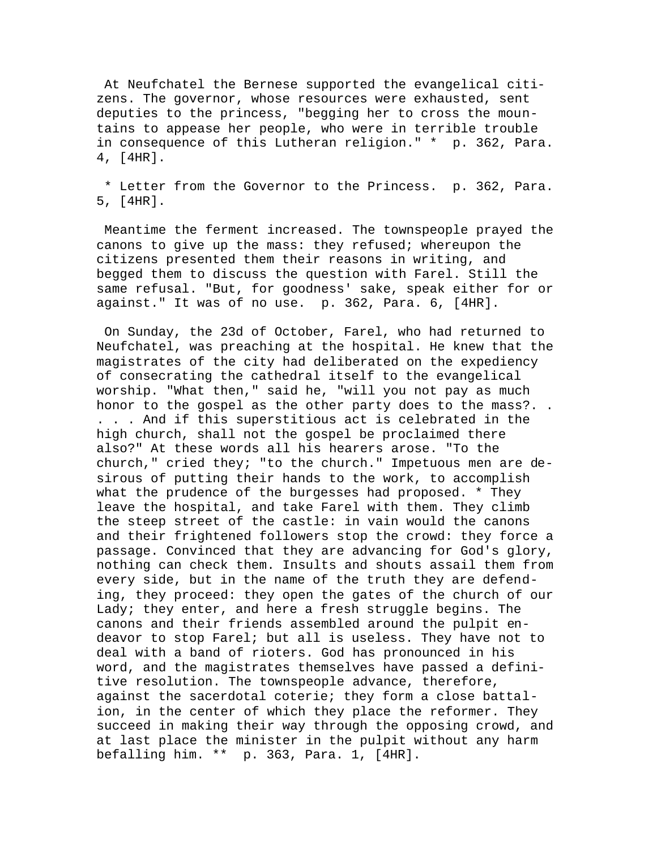At Neufchatel the Bernese supported the evangelical citizens. The governor, whose resources were exhausted, sent deputies to the princess, "begging her to cross the mountains to appease her people, who were in terrible trouble in consequence of this Lutheran religion." \* p. 362, Para. 4, [4HR].

 \* Letter from the Governor to the Princess. p. 362, Para. 5, [4HR].

 Meantime the ferment increased. The townspeople prayed the canons to give up the mass: they refused; whereupon the citizens presented them their reasons in writing, and begged them to discuss the question with Farel. Still the same refusal. "But, for goodness' sake, speak either for or against." It was of no use. p. 362, Para. 6, [4HR].

 On Sunday, the 23d of October, Farel, who had returned to Neufchatel, was preaching at the hospital. He knew that the magistrates of the city had deliberated on the expediency of consecrating the cathedral itself to the evangelical worship. "What then," said he, "will you not pay as much honor to the gospel as the other party does to the mass?. . . . . And if this superstitious act is celebrated in the high church, shall not the gospel be proclaimed there also?" At these words all his hearers arose. "To the church," cried they; "to the church." Impetuous men are desirous of putting their hands to the work, to accomplish what the prudence of the burgesses had proposed. \* They leave the hospital, and take Farel with them. They climb the steep street of the castle: in vain would the canons and their frightened followers stop the crowd: they force a passage. Convinced that they are advancing for God's glory, nothing can check them. Insults and shouts assail them from every side, but in the name of the truth they are defending, they proceed: they open the gates of the church of our Lady; they enter, and here a fresh struggle begins. The canons and their friends assembled around the pulpit endeavor to stop Farel; but all is useless. They have not to deal with a band of rioters. God has pronounced in his word, and the magistrates themselves have passed a definitive resolution. The townspeople advance, therefore, against the sacerdotal coterie; they form a close battalion, in the center of which they place the reformer. They succeed in making their way through the opposing crowd, and at last place the minister in the pulpit without any harm befalling him. \*\* p. 363, Para. 1, [4HR].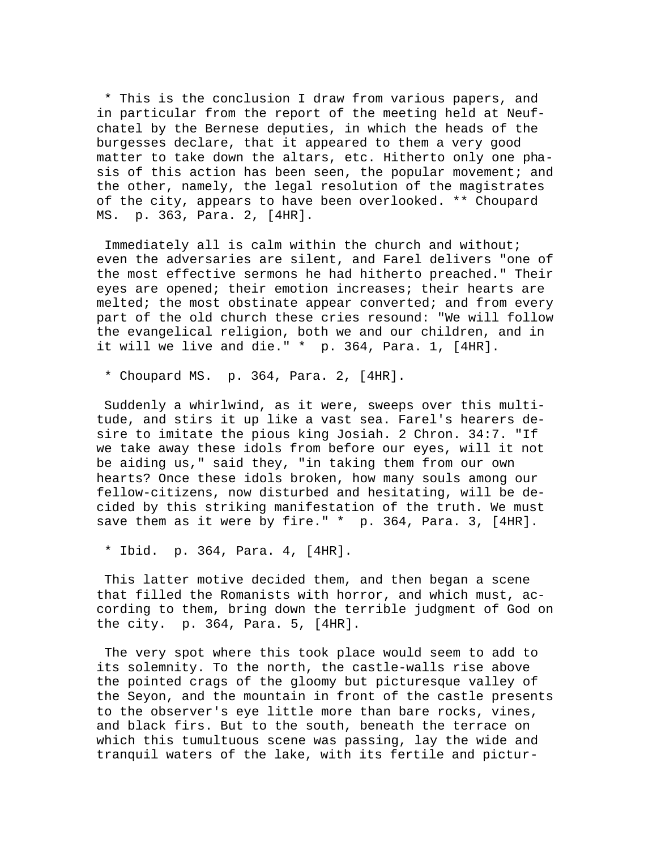\* This is the conclusion I draw from various papers, and in particular from the report of the meeting held at Neufchatel by the Bernese deputies, in which the heads of the burgesses declare, that it appeared to them a very good matter to take down the altars, etc. Hitherto only one phasis of this action has been seen, the popular movement; and the other, namely, the legal resolution of the magistrates of the city, appears to have been overlooked. \*\* Choupard MS. p. 363, Para. 2, [4HR].

 Immediately all is calm within the church and without; even the adversaries are silent, and Farel delivers "one of the most effective sermons he had hitherto preached." Their eyes are opened; their emotion increases; their hearts are melted; the most obstinate appear converted; and from every part of the old church these cries resound: "We will follow the evangelical religion, both we and our children, and in it will we live and die." \* p. 364, Para. 1, [4HR].

\* Choupard MS. p. 364, Para. 2, [4HR].

 Suddenly a whirlwind, as it were, sweeps over this multitude, and stirs it up like a vast sea. Farel's hearers desire to imitate the pious king Josiah. 2 Chron. 34:7. "If we take away these idols from before our eyes, will it not be aiding us," said they, "in taking them from our own hearts? Once these idols broken, how many souls among our fellow-citizens, now disturbed and hesitating, will be decided by this striking manifestation of the truth. We must save them as it were by fire." \* p. 364, Para. 3, [4HR].

\* Ibid. p. 364, Para. 4, [4HR].

 This latter motive decided them, and then began a scene that filled the Romanists with horror, and which must, according to them, bring down the terrible judgment of God on the city. p. 364, Para. 5, [4HR].

 The very spot where this took place would seem to add to its solemnity. To the north, the castle-walls rise above the pointed crags of the gloomy but picturesque valley of the Seyon, and the mountain in front of the castle presents to the observer's eye little more than bare rocks, vines, and black firs. But to the south, beneath the terrace on which this tumultuous scene was passing, lay the wide and tranquil waters of the lake, with its fertile and pictur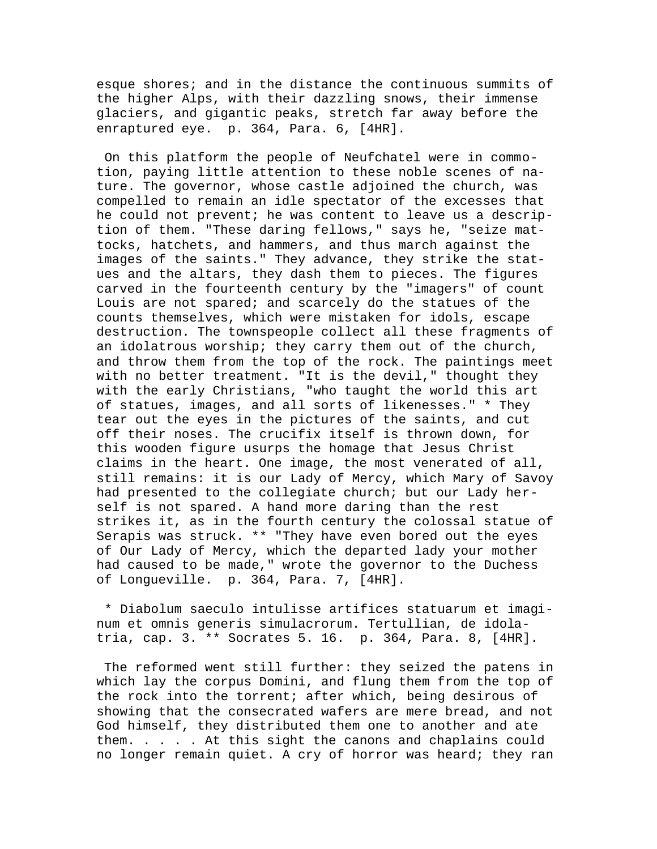esque shores; and in the distance the continuous summits of the higher Alps, with their dazzling snows, their immense glaciers, and gigantic peaks, stretch far away before the enraptured eye. p. 364, Para. 6, [4HR].

 On this platform the people of Neufchatel were in commotion, paying little attention to these noble scenes of nature. The governor, whose castle adjoined the church, was compelled to remain an idle spectator of the excesses that he could not prevent; he was content to leave us a description of them. "These daring fellows," says he, "seize mattocks, hatchets, and hammers, and thus march against the images of the saints." They advance, they strike the statues and the altars, they dash them to pieces. The figures carved in the fourteenth century by the "imagers" of count Louis are not spared; and scarcely do the statues of the counts themselves, which were mistaken for idols, escape destruction. The townspeople collect all these fragments of an idolatrous worship; they carry them out of the church, and throw them from the top of the rock. The paintings meet with no better treatment. "It is the devil," thought they with the early Christians, "who taught the world this art of statues, images, and all sorts of likenesses." \* They tear out the eyes in the pictures of the saints, and cut off their noses. The crucifix itself is thrown down, for this wooden figure usurps the homage that Jesus Christ claims in the heart. One image, the most venerated of all, still remains: it is our Lady of Mercy, which Mary of Savoy had presented to the collegiate church; but our Lady herself is not spared. A hand more daring than the rest strikes it, as in the fourth century the colossal statue of Serapis was struck. \*\* "They have even bored out the eyes of Our Lady of Mercy, which the departed lady your mother had caused to be made," wrote the governor to the Duchess of Longueville. p. 364, Para. 7, [4HR].

 \* Diabolum saeculo intulisse artifices statuarum et imaginum et omnis generis simulacrorum. Tertullian, de idolatria, cap. 3. \*\* Socrates 5. 16. p. 364, Para. 8, [4HR].

 The reformed went still further: they seized the patens in which lay the corpus Domini, and flung them from the top of the rock into the torrent; after which, being desirous of showing that the consecrated wafers are mere bread, and not God himself, they distributed them one to another and ate them. . . . . At this sight the canons and chaplains could no longer remain quiet. A cry of horror was heard; they ran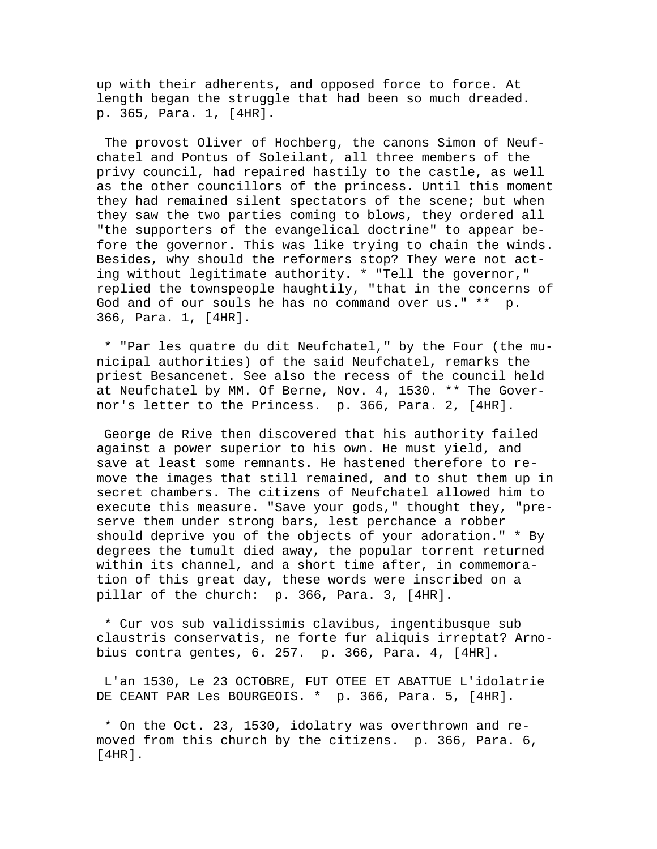up with their adherents, and opposed force to force. At length began the struggle that had been so much dreaded. p. 365, Para. 1, [4HR].

 The provost Oliver of Hochberg, the canons Simon of Neufchatel and Pontus of Soleilant, all three members of the privy council, had repaired hastily to the castle, as well as the other councillors of the princess. Until this moment they had remained silent spectators of the scene; but when they saw the two parties coming to blows, they ordered all "the supporters of the evangelical doctrine" to appear before the governor. This was like trying to chain the winds. Besides, why should the reformers stop? They were not acting without legitimate authority. \* "Tell the governor," replied the townspeople haughtily, "that in the concerns of God and of our souls he has no command over us." \*\* p. 366, Para. 1, [4HR].

 \* "Par les quatre du dit Neufchatel," by the Four (the municipal authorities) of the said Neufchatel, remarks the priest Besancenet. See also the recess of the council held at Neufchatel by MM. Of Berne, Nov. 4, 1530. \*\* The Governor's letter to the Princess. p. 366, Para. 2, [4HR].

 George de Rive then discovered that his authority failed against a power superior to his own. He must yield, and save at least some remnants. He hastened therefore to remove the images that still remained, and to shut them up in secret chambers. The citizens of Neufchatel allowed him to execute this measure. "Save your gods," thought they, "preserve them under strong bars, lest perchance a robber should deprive you of the objects of your adoration." \* By degrees the tumult died away, the popular torrent returned within its channel, and a short time after, in commemoration of this great day, these words were inscribed on a pillar of the church: p. 366, Para. 3, [4HR].

 \* Cur vos sub validissimis clavibus, ingentibusque sub claustris conservatis, ne forte fur aliquis irreptat? Arnobius contra gentes, 6. 257. p. 366, Para. 4, [4HR].

 L'an 1530, Le 23 OCTOBRE, FUT OTEE ET ABATTUE L'idolatrie DE CEANT PAR Les BOURGEOIS. \* p. 366, Para. 5, [4HR].

 \* On the Oct. 23, 1530, idolatry was overthrown and removed from this church by the citizens. p. 366, Para. 6, [4HR].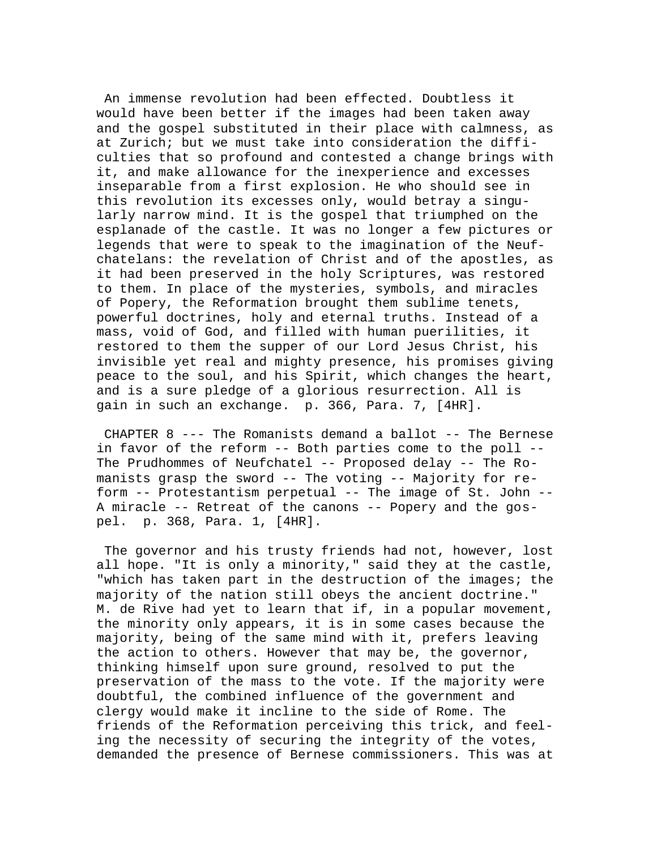An immense revolution had been effected. Doubtless it would have been better if the images had been taken away and the gospel substituted in their place with calmness, as at Zurich; but we must take into consideration the difficulties that so profound and contested a change brings with it, and make allowance for the inexperience and excesses inseparable from a first explosion. He who should see in this revolution its excesses only, would betray a singularly narrow mind. It is the gospel that triumphed on the esplanade of the castle. It was no longer a few pictures or legends that were to speak to the imagination of the Neufchatelans: the revelation of Christ and of the apostles, as it had been preserved in the holy Scriptures, was restored to them. In place of the mysteries, symbols, and miracles of Popery, the Reformation brought them sublime tenets, powerful doctrines, holy and eternal truths. Instead of a mass, void of God, and filled with human puerilities, it restored to them the supper of our Lord Jesus Christ, his invisible yet real and mighty presence, his promises giving peace to the soul, and his Spirit, which changes the heart, and is a sure pledge of a glorious resurrection. All is gain in such an exchange. p. 366, Para. 7, [4HR].

 CHAPTER 8 --- The Romanists demand a ballot -- The Bernese in favor of the reform -- Both parties come to the poll -- The Prudhommes of Neufchatel -- Proposed delay -- The Romanists grasp the sword -- The voting -- Majority for reform -- Protestantism perpetual -- The image of St. John -- A miracle -- Retreat of the canons -- Popery and the gospel. p. 368, Para. 1, [4HR].

 The governor and his trusty friends had not, however, lost all hope. "It is only a minority," said they at the castle, "which has taken part in the destruction of the images; the majority of the nation still obeys the ancient doctrine." M. de Rive had yet to learn that if, in a popular movement, the minority only appears, it is in some cases because the majority, being of the same mind with it, prefers leaving the action to others. However that may be, the governor, thinking himself upon sure ground, resolved to put the preservation of the mass to the vote. If the majority were doubtful, the combined influence of the government and clergy would make it incline to the side of Rome. The friends of the Reformation perceiving this trick, and feeling the necessity of securing the integrity of the votes, demanded the presence of Bernese commissioners. This was at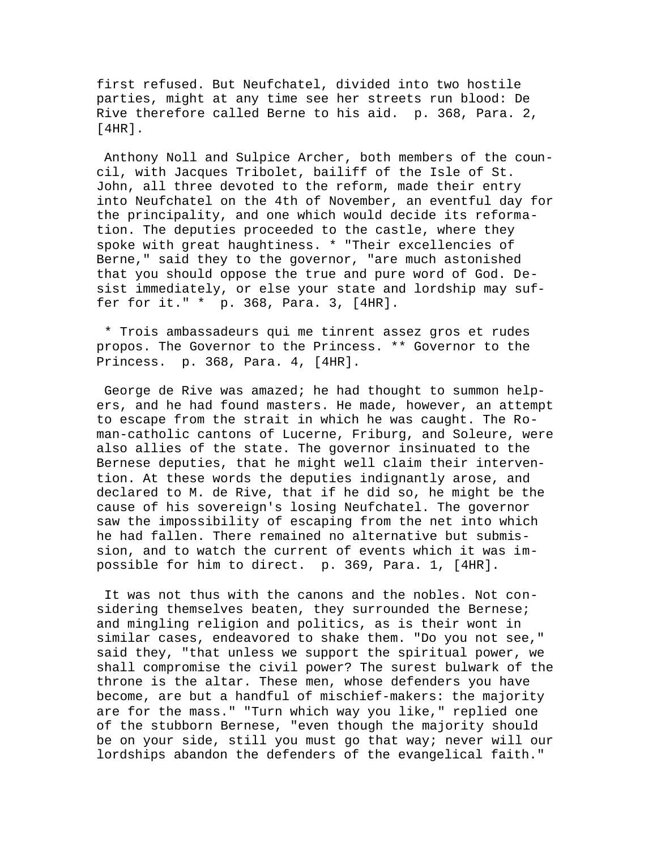first refused. But Neufchatel, divided into two hostile parties, might at any time see her streets run blood: De Rive therefore called Berne to his aid. p. 368, Para. 2, [4HR].

 Anthony Noll and Sulpice Archer, both members of the council, with Jacques Tribolet, bailiff of the Isle of St. John, all three devoted to the reform, made their entry into Neufchatel on the 4th of November, an eventful day for the principality, and one which would decide its reformation. The deputies proceeded to the castle, where they spoke with great haughtiness. \* "Their excellencies of Berne," said they to the governor, "are much astonished that you should oppose the true and pure word of God. Desist immediately, or else your state and lordship may suffer for it." \* p. 368, Para. 3, [4HR].

 \* Trois ambassadeurs qui me tinrent assez gros et rudes propos. The Governor to the Princess. \*\* Governor to the Princess. p. 368, Para. 4, [4HR].

 George de Rive was amazed; he had thought to summon helpers, and he had found masters. He made, however, an attempt to escape from the strait in which he was caught. The Roman-catholic cantons of Lucerne, Friburg, and Soleure, were also allies of the state. The governor insinuated to the Bernese deputies, that he might well claim their intervention. At these words the deputies indignantly arose, and declared to M. de Rive, that if he did so, he might be the cause of his sovereign's losing Neufchatel. The governor saw the impossibility of escaping from the net into which he had fallen. There remained no alternative but submission, and to watch the current of events which it was impossible for him to direct. p. 369, Para. 1, [4HR].

 It was not thus with the canons and the nobles. Not considering themselves beaten, they surrounded the Bernese; and mingling religion and politics, as is their wont in similar cases, endeavored to shake them. "Do you not see," said they, "that unless we support the spiritual power, we shall compromise the civil power? The surest bulwark of the throne is the altar. These men, whose defenders you have become, are but a handful of mischief-makers: the majority are for the mass." "Turn which way you like," replied one of the stubborn Bernese, "even though the majority should be on your side, still you must go that way; never will our lordships abandon the defenders of the evangelical faith."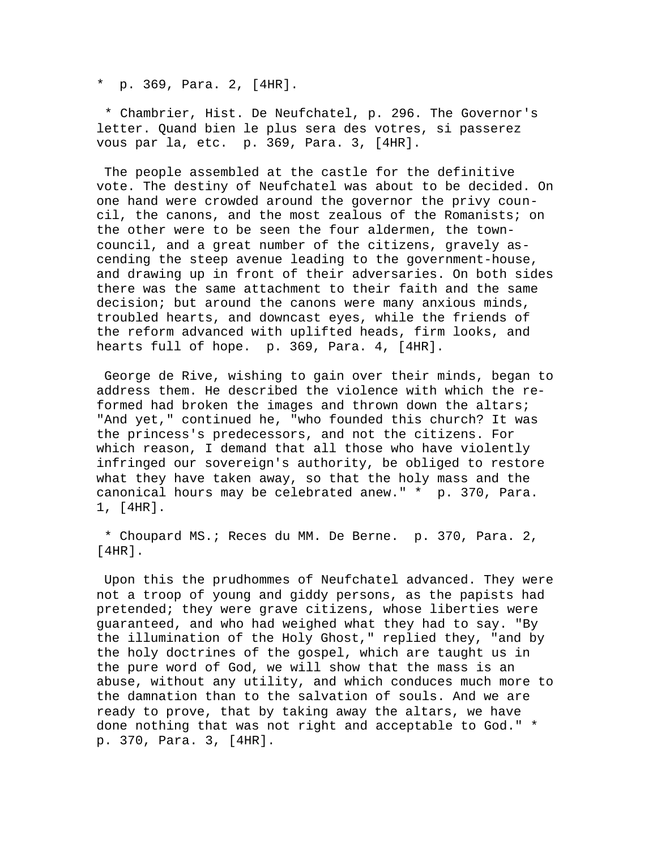\* p. 369, Para. 2, [4HR].

 \* Chambrier, Hist. De Neufchatel, p. 296. The Governor's letter. Quand bien le plus sera des votres, si passerez vous par la, etc. p. 369, Para. 3, [4HR].

 The people assembled at the castle for the definitive vote. The destiny of Neufchatel was about to be decided. On one hand were crowded around the governor the privy council, the canons, and the most zealous of the Romanists; on the other were to be seen the four aldermen, the towncouncil, and a great number of the citizens, gravely ascending the steep avenue leading to the government-house, and drawing up in front of their adversaries. On both sides there was the same attachment to their faith and the same decision; but around the canons were many anxious minds, troubled hearts, and downcast eyes, while the friends of the reform advanced with uplifted heads, firm looks, and hearts full of hope. p. 369, Para. 4, [4HR].

 George de Rive, wishing to gain over their minds, began to address them. He described the violence with which the reformed had broken the images and thrown down the altars; "And yet," continued he, "who founded this church? It was the princess's predecessors, and not the citizens. For which reason, I demand that all those who have violently infringed our sovereign's authority, be obliged to restore what they have taken away, so that the holy mass and the canonical hours may be celebrated anew." \* p. 370, Para. 1, [4HR].

 \* Choupard MS.; Reces du MM. De Berne. p. 370, Para. 2, [4HR].

 Upon this the prudhommes of Neufchatel advanced. They were not a troop of young and giddy persons, as the papists had pretended; they were grave citizens, whose liberties were guaranteed, and who had weighed what they had to say. "By the illumination of the Holy Ghost," replied they, "and by the holy doctrines of the gospel, which are taught us in the pure word of God, we will show that the mass is an abuse, without any utility, and which conduces much more to the damnation than to the salvation of souls. And we are ready to prove, that by taking away the altars, we have done nothing that was not right and acceptable to God." \* p. 370, Para. 3, [4HR].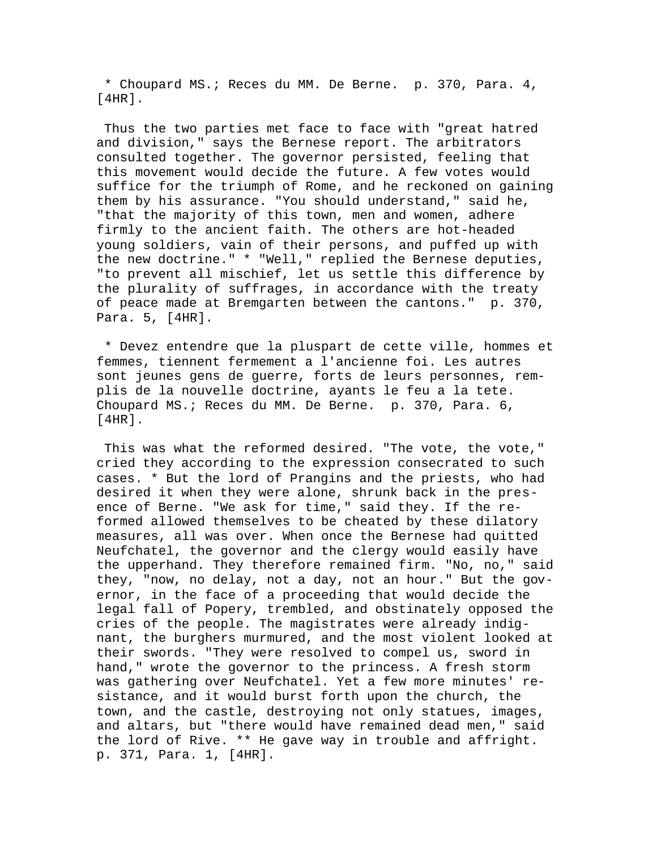\* Choupard MS.; Reces du MM. De Berne. p. 370, Para. 4, [4HR].

 Thus the two parties met face to face with "great hatred and division," says the Bernese report. The arbitrators consulted together. The governor persisted, feeling that this movement would decide the future. A few votes would suffice for the triumph of Rome, and he reckoned on gaining them by his assurance. "You should understand," said he, "that the majority of this town, men and women, adhere firmly to the ancient faith. The others are hot-headed young soldiers, vain of their persons, and puffed up with the new doctrine." \* "Well," replied the Bernese deputies, "to prevent all mischief, let us settle this difference by the plurality of suffrages, in accordance with the treaty of peace made at Bremgarten between the cantons." p. 370, Para. 5, [4HR].

 \* Devez entendre que la pluspart de cette ville, hommes et femmes, tiennent fermement a l'ancienne foi. Les autres sont jeunes gens de guerre, forts de leurs personnes, remplis de la nouvelle doctrine, ayants le feu a la tete. Choupard MS.; Reces du MM. De Berne. p. 370, Para. 6, [4HR].

This was what the reformed desired. "The vote, the vote," cried they according to the expression consecrated to such cases. \* But the lord of Prangins and the priests, who had desired it when they were alone, shrunk back in the presence of Berne. "We ask for time," said they. If the reformed allowed themselves to be cheated by these dilatory measures, all was over. When once the Bernese had quitted Neufchatel, the governor and the clergy would easily have the upperhand. They therefore remained firm. "No, no," said they, "now, no delay, not a day, not an hour." But the governor, in the face of a proceeding that would decide the legal fall of Popery, trembled, and obstinately opposed the cries of the people. The magistrates were already indignant, the burghers murmured, and the most violent looked at their swords. "They were resolved to compel us, sword in hand," wrote the governor to the princess. A fresh storm was gathering over Neufchatel. Yet a few more minutes' resistance, and it would burst forth upon the church, the town, and the castle, destroying not only statues, images, and altars, but "there would have remained dead men," said the lord of Rive. \*\* He gave way in trouble and affright. p. 371, Para. 1, [4HR].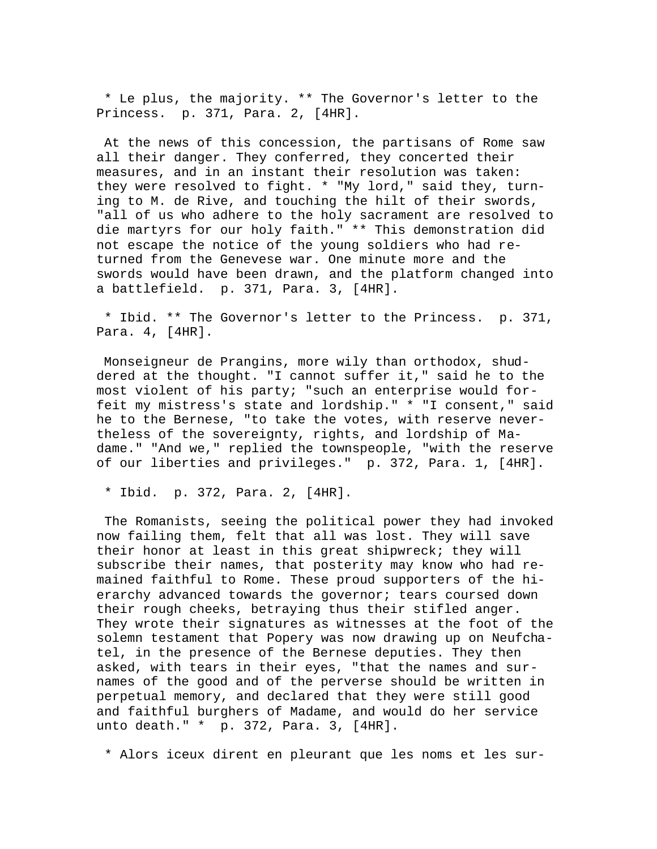\* Le plus, the majority. \*\* The Governor's letter to the Princess. p. 371, Para. 2, [4HR].

 At the news of this concession, the partisans of Rome saw all their danger. They conferred, they concerted their measures, and in an instant their resolution was taken: they were resolved to fight. \* "My lord," said they, turning to M. de Rive, and touching the hilt of their swords, "all of us who adhere to the holy sacrament are resolved to die martyrs for our holy faith." \*\* This demonstration did not escape the notice of the young soldiers who had returned from the Genevese war. One minute more and the swords would have been drawn, and the platform changed into a battlefield. p. 371, Para. 3, [4HR].

 \* Ibid. \*\* The Governor's letter to the Princess. p. 371, Para. 4, [4HR].

 Monseigneur de Prangins, more wily than orthodox, shuddered at the thought. "I cannot suffer it," said he to the most violent of his party; "such an enterprise would forfeit my mistress's state and lordship." \* "I consent," said he to the Bernese, "to take the votes, with reserve nevertheless of the sovereignty, rights, and lordship of Madame." "And we," replied the townspeople, "with the reserve of our liberties and privileges." p. 372, Para. 1, [4HR].

\* Ibid. p. 372, Para. 2, [4HR].

 The Romanists, seeing the political power they had invoked now failing them, felt that all was lost. They will save their honor at least in this great shipwreck; they will subscribe their names, that posterity may know who had remained faithful to Rome. These proud supporters of the hierarchy advanced towards the governor; tears coursed down their rough cheeks, betraying thus their stifled anger. They wrote their signatures as witnesses at the foot of the solemn testament that Popery was now drawing up on Neufchatel, in the presence of the Bernese deputies. They then asked, with tears in their eyes, "that the names and surnames of the good and of the perverse should be written in perpetual memory, and declared that they were still good and faithful burghers of Madame, and would do her service unto death." \* p. 372, Para. 3, [4HR].

\* Alors iceux dirent en pleurant que les noms et les sur-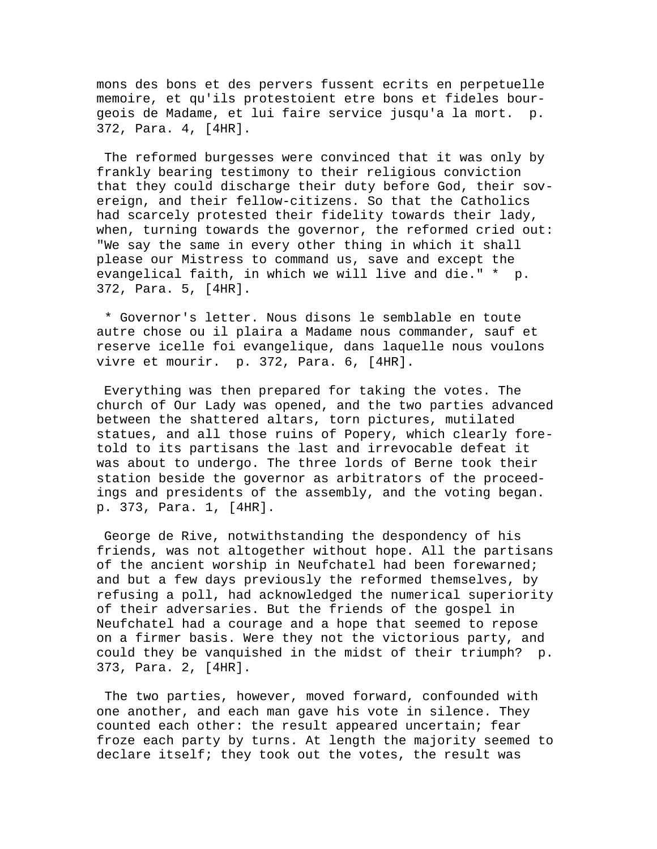mons des bons et des pervers fussent ecrits en perpetuelle memoire, et qu'ils protestoient etre bons et fideles bourgeois de Madame, et lui faire service jusqu'a la mort. p. 372, Para. 4, [4HR].

 The reformed burgesses were convinced that it was only by frankly bearing testimony to their religious conviction that they could discharge their duty before God, their sovereign, and their fellow-citizens. So that the Catholics had scarcely protested their fidelity towards their lady, when, turning towards the governor, the reformed cried out: "We say the same in every other thing in which it shall please our Mistress to command us, save and except the evangelical faith, in which we will live and die." \* p. 372, Para. 5, [4HR].

 \* Governor's letter. Nous disons le semblable en toute autre chose ou il plaira a Madame nous commander, sauf et reserve icelle foi evangelique, dans laquelle nous voulons vivre et mourir. p. 372, Para. 6, [4HR].

 Everything was then prepared for taking the votes. The church of Our Lady was opened, and the two parties advanced between the shattered altars, torn pictures, mutilated statues, and all those ruins of Popery, which clearly foretold to its partisans the last and irrevocable defeat it was about to undergo. The three lords of Berne took their station beside the governor as arbitrators of the proceedings and presidents of the assembly, and the voting began. p. 373, Para. 1, [4HR].

 George de Rive, notwithstanding the despondency of his friends, was not altogether without hope. All the partisans of the ancient worship in Neufchatel had been forewarned; and but a few days previously the reformed themselves, by refusing a poll, had acknowledged the numerical superiority of their adversaries. But the friends of the gospel in Neufchatel had a courage and a hope that seemed to repose on a firmer basis. Were they not the victorious party, and could they be vanquished in the midst of their triumph? p. 373, Para. 2, [4HR].

 The two parties, however, moved forward, confounded with one another, and each man gave his vote in silence. They counted each other: the result appeared uncertain; fear froze each party by turns. At length the majority seemed to declare itself; they took out the votes, the result was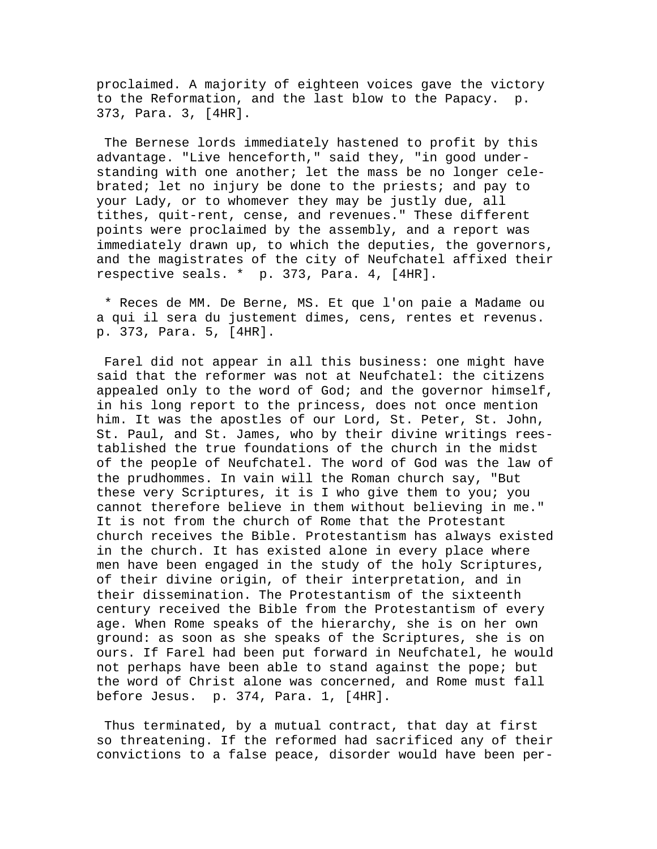proclaimed. A majority of eighteen voices gave the victory to the Reformation, and the last blow to the Papacy. p. 373, Para. 3, [4HR].

 The Bernese lords immediately hastened to profit by this advantage. "Live henceforth," said they, "in good understanding with one another; let the mass be no longer celebrated; let no injury be done to the priests; and pay to your Lady, or to whomever they may be justly due, all tithes, quit-rent, cense, and revenues." These different points were proclaimed by the assembly, and a report was immediately drawn up, to which the deputies, the governors, and the magistrates of the city of Neufchatel affixed their respective seals. \* p. 373, Para. 4, [4HR].

 \* Reces de MM. De Berne, MS. Et que l'on paie a Madame ou a qui il sera du justement dimes, cens, rentes et revenus. p. 373, Para. 5, [4HR].

 Farel did not appear in all this business: one might have said that the reformer was not at Neufchatel: the citizens appealed only to the word of God; and the governor himself, in his long report to the princess, does not once mention him. It was the apostles of our Lord, St. Peter, St. John, St. Paul, and St. James, who by their divine writings reestablished the true foundations of the church in the midst of the people of Neufchatel. The word of God was the law of the prudhommes. In vain will the Roman church say, "But these very Scriptures, it is I who give them to you; you cannot therefore believe in them without believing in me." It is not from the church of Rome that the Protestant church receives the Bible. Protestantism has always existed in the church. It has existed alone in every place where men have been engaged in the study of the holy Scriptures, of their divine origin, of their interpretation, and in their dissemination. The Protestantism of the sixteenth century received the Bible from the Protestantism of every age. When Rome speaks of the hierarchy, she is on her own ground: as soon as she speaks of the Scriptures, she is on ours. If Farel had been put forward in Neufchatel, he would not perhaps have been able to stand against the pope; but the word of Christ alone was concerned, and Rome must fall before Jesus. p. 374, Para. 1, [4HR].

 Thus terminated, by a mutual contract, that day at first so threatening. If the reformed had sacrificed any of their convictions to a false peace, disorder would have been per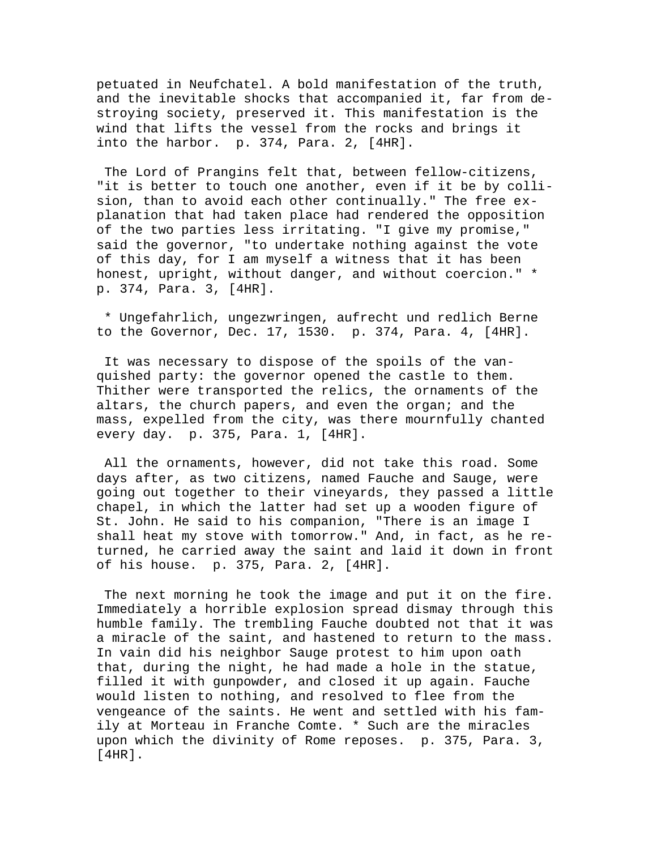petuated in Neufchatel. A bold manifestation of the truth, and the inevitable shocks that accompanied it, far from destroying society, preserved it. This manifestation is the wind that lifts the vessel from the rocks and brings it into the harbor. p. 374, Para. 2, [4HR].

 The Lord of Prangins felt that, between fellow-citizens, "it is better to touch one another, even if it be by collision, than to avoid each other continually." The free explanation that had taken place had rendered the opposition of the two parties less irritating. "I give my promise," said the governor, "to undertake nothing against the vote of this day, for I am myself a witness that it has been honest, upright, without danger, and without coercion." \* p. 374, Para. 3, [4HR].

 \* Ungefahrlich, ungezwringen, aufrecht und redlich Berne to the Governor, Dec. 17, 1530. p. 374, Para. 4, [4HR].

 It was necessary to dispose of the spoils of the vanquished party: the governor opened the castle to them. Thither were transported the relics, the ornaments of the altars, the church papers, and even the organ; and the mass, expelled from the city, was there mournfully chanted every day. p. 375, Para. 1, [4HR].

 All the ornaments, however, did not take this road. Some days after, as two citizens, named Fauche and Sauge, were going out together to their vineyards, they passed a little chapel, in which the latter had set up a wooden figure of St. John. He said to his companion, "There is an image I shall heat my stove with tomorrow." And, in fact, as he returned, he carried away the saint and laid it down in front of his house. p. 375, Para. 2, [4HR].

 The next morning he took the image and put it on the fire. Immediately a horrible explosion spread dismay through this humble family. The trembling Fauche doubted not that it was a miracle of the saint, and hastened to return to the mass. In vain did his neighbor Sauge protest to him upon oath that, during the night, he had made a hole in the statue, filled it with gunpowder, and closed it up again. Fauche would listen to nothing, and resolved to flee from the vengeance of the saints. He went and settled with his family at Morteau in Franche Comte. \* Such are the miracles upon which the divinity of Rome reposes. p. 375, Para. 3, [4HR].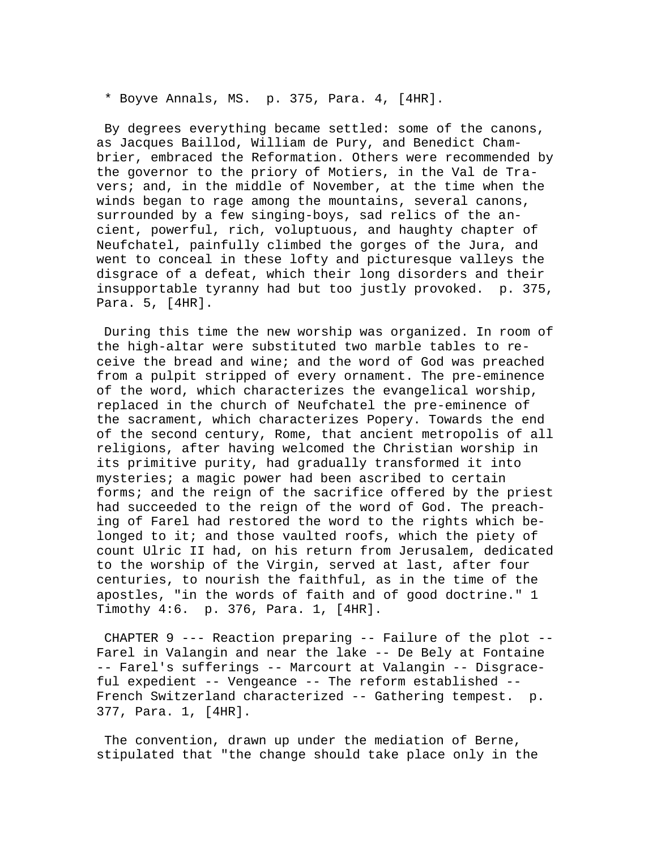\* Boyve Annals, MS. p. 375, Para. 4, [4HR].

 By degrees everything became settled: some of the canons, as Jacques Baillod, William de Pury, and Benedict Chambrier, embraced the Reformation. Others were recommended by the governor to the priory of Motiers, in the Val de Travers; and, in the middle of November, at the time when the winds began to rage among the mountains, several canons, surrounded by a few singing-boys, sad relics of the ancient, powerful, rich, voluptuous, and haughty chapter of Neufchatel, painfully climbed the gorges of the Jura, and went to conceal in these lofty and picturesque valleys the disgrace of a defeat, which their long disorders and their insupportable tyranny had but too justly provoked. p. 375, Para. 5, [4HR].

 During this time the new worship was organized. In room of the high-altar were substituted two marble tables to receive the bread and wine; and the word of God was preached from a pulpit stripped of every ornament. The pre-eminence of the word, which characterizes the evangelical worship, replaced in the church of Neufchatel the pre-eminence of the sacrament, which characterizes Popery. Towards the end of the second century, Rome, that ancient metropolis of all religions, after having welcomed the Christian worship in its primitive purity, had gradually transformed it into mysteries; a magic power had been ascribed to certain forms; and the reign of the sacrifice offered by the priest had succeeded to the reign of the word of God. The preaching of Farel had restored the word to the rights which belonged to it; and those vaulted roofs, which the piety of count Ulric II had, on his return from Jerusalem, dedicated to the worship of the Virgin, served at last, after four centuries, to nourish the faithful, as in the time of the apostles, "in the words of faith and of good doctrine." 1 Timothy 4:6. p. 376, Para. 1, [4HR].

 CHAPTER 9 --- Reaction preparing -- Failure of the plot -- Farel in Valangin and near the lake -- De Bely at Fontaine -- Farel's sufferings -- Marcourt at Valangin -- Disgraceful expedient -- Vengeance -- The reform established -- French Switzerland characterized -- Gathering tempest. p. 377, Para. 1, [4HR].

 The convention, drawn up under the mediation of Berne, stipulated that "the change should take place only in the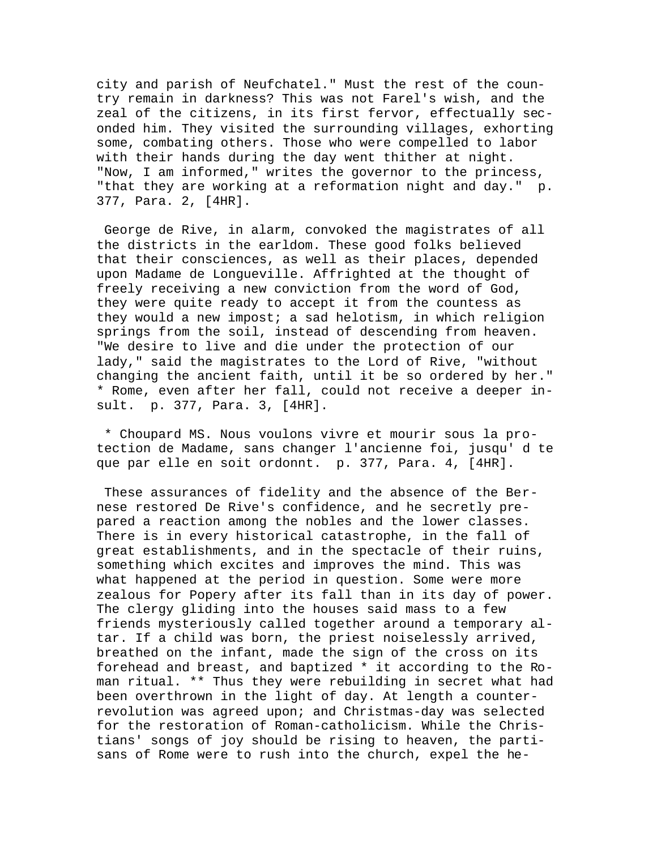city and parish of Neufchatel." Must the rest of the country remain in darkness? This was not Farel's wish, and the zeal of the citizens, in its first fervor, effectually seconded him. They visited the surrounding villages, exhorting some, combating others. Those who were compelled to labor with their hands during the day went thither at night. "Now, I am informed," writes the governor to the princess, "that they are working at a reformation night and day." p. 377, Para. 2, [4HR].

 George de Rive, in alarm, convoked the magistrates of all the districts in the earldom. These good folks believed that their consciences, as well as their places, depended upon Madame de Longueville. Affrighted at the thought of freely receiving a new conviction from the word of God, they were quite ready to accept it from the countess as they would a new impost; a sad helotism, in which religion springs from the soil, instead of descending from heaven. "We desire to live and die under the protection of our lady," said the magistrates to the Lord of Rive, "without changing the ancient faith, until it be so ordered by her." \* Rome, even after her fall, could not receive a deeper insult. p. 377, Para. 3, [4HR].

 \* Choupard MS. Nous voulons vivre et mourir sous la protection de Madame, sans changer l'ancienne foi, jusqu' d te que par elle en soit ordonnt. p. 377, Para. 4, [4HR].

 These assurances of fidelity and the absence of the Bernese restored De Rive's confidence, and he secretly prepared a reaction among the nobles and the lower classes. There is in every historical catastrophe, in the fall of great establishments, and in the spectacle of their ruins, something which excites and improves the mind. This was what happened at the period in question. Some were more zealous for Popery after its fall than in its day of power. The clergy gliding into the houses said mass to a few friends mysteriously called together around a temporary altar. If a child was born, the priest noiselessly arrived, breathed on the infant, made the sign of the cross on its forehead and breast, and baptized \* it according to the Roman ritual. \*\* Thus they were rebuilding in secret what had been overthrown in the light of day. At length a counterrevolution was agreed upon; and Christmas-day was selected for the restoration of Roman-catholicism. While the Christians' songs of joy should be rising to heaven, the partisans of Rome were to rush into the church, expel the he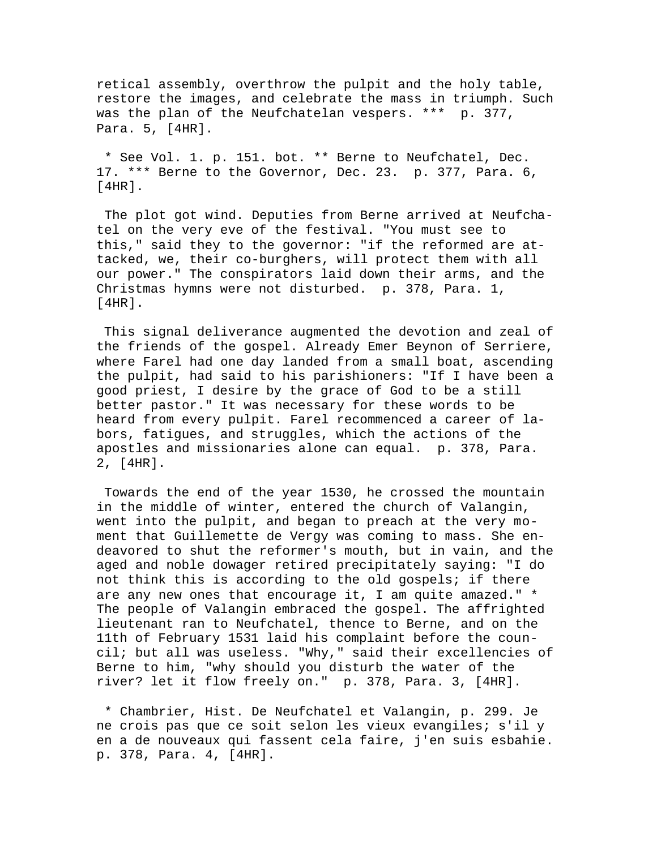retical assembly, overthrow the pulpit and the holy table, restore the images, and celebrate the mass in triumph. Such was the plan of the Neufchatelan vespers. \*\*\* p. 377, Para. 5, [4HR].

 \* See Vol. 1. p. 151. bot. \*\* Berne to Neufchatel, Dec. 17. \*\*\* Berne to the Governor, Dec. 23. p. 377, Para. 6, [4HR].

 The plot got wind. Deputies from Berne arrived at Neufchatel on the very eve of the festival. "You must see to this," said they to the governor: "if the reformed are attacked, we, their co-burghers, will protect them with all our power." The conspirators laid down their arms, and the Christmas hymns were not disturbed. p. 378, Para. 1, [4HR].

 This signal deliverance augmented the devotion and zeal of the friends of the gospel. Already Emer Beynon of Serriere, where Farel had one day landed from a small boat, ascending the pulpit, had said to his parishioners: "If I have been a good priest, I desire by the grace of God to be a still better pastor." It was necessary for these words to be heard from every pulpit. Farel recommenced a career of labors, fatigues, and struggles, which the actions of the apostles and missionaries alone can equal. p. 378, Para. 2, [4HR].

 Towards the end of the year 1530, he crossed the mountain in the middle of winter, entered the church of Valangin, went into the pulpit, and began to preach at the very moment that Guillemette de Vergy was coming to mass. She endeavored to shut the reformer's mouth, but in vain, and the aged and noble dowager retired precipitately saying: "I do not think this is according to the old gospels; if there are any new ones that encourage it, I am quite amazed." \* The people of Valangin embraced the gospel. The affrighted lieutenant ran to Neufchatel, thence to Berne, and on the 11th of February 1531 laid his complaint before the council; but all was useless. "Why," said their excellencies of Berne to him, "why should you disturb the water of the river? let it flow freely on." p. 378, Para. 3, [4HR].

 \* Chambrier, Hist. De Neufchatel et Valangin, p. 299. Je ne crois pas que ce soit selon les vieux evangiles; s'il y en a de nouveaux qui fassent cela faire, j'en suis esbahie. p. 378, Para. 4, [4HR].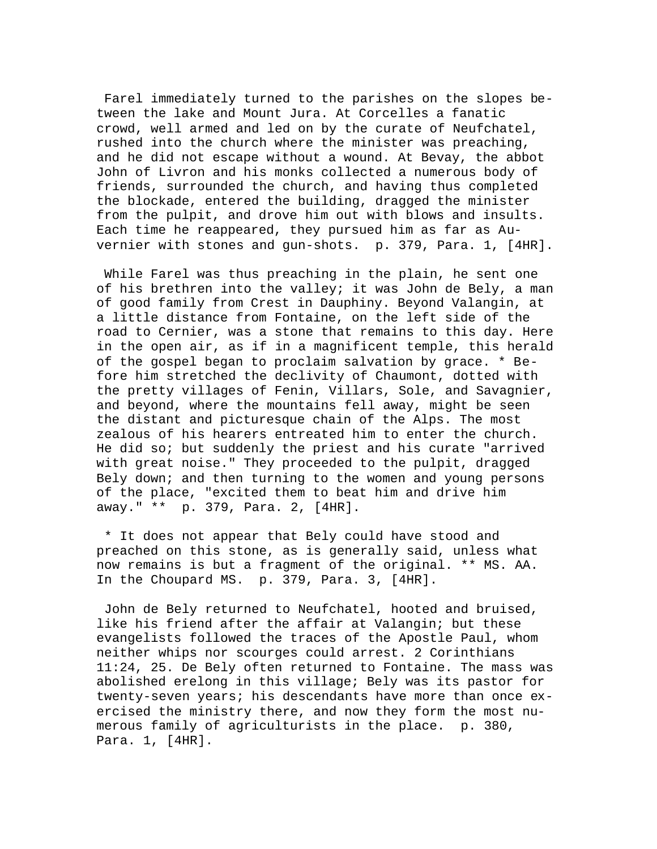Farel immediately turned to the parishes on the slopes between the lake and Mount Jura. At Corcelles a fanatic crowd, well armed and led on by the curate of Neufchatel, rushed into the church where the minister was preaching, and he did not escape without a wound. At Bevay, the abbot John of Livron and his monks collected a numerous body of friends, surrounded the church, and having thus completed the blockade, entered the building, dragged the minister from the pulpit, and drove him out with blows and insults. Each time he reappeared, they pursued him as far as Auvernier with stones and gun-shots. p. 379, Para. 1, [4HR].

 While Farel was thus preaching in the plain, he sent one of his brethren into the valley; it was John de Bely, a man of good family from Crest in Dauphiny. Beyond Valangin, at a little distance from Fontaine, on the left side of the road to Cernier, was a stone that remains to this day. Here in the open air, as if in a magnificent temple, this herald of the gospel began to proclaim salvation by grace. \* Before him stretched the declivity of Chaumont, dotted with the pretty villages of Fenin, Villars, Sole, and Savagnier, and beyond, where the mountains fell away, might be seen the distant and picturesque chain of the Alps. The most zealous of his hearers entreated him to enter the church. He did so; but suddenly the priest and his curate "arrived with great noise." They proceeded to the pulpit, dragged Bely down; and then turning to the women and young persons of the place, "excited them to beat him and drive him away." \*\* p. 379, Para. 2, [4HR].

 \* It does not appear that Bely could have stood and preached on this stone, as is generally said, unless what now remains is but a fragment of the original. \*\* MS. AA. In the Choupard MS. p. 379, Para. 3, [4HR].

 John de Bely returned to Neufchatel, hooted and bruised, like his friend after the affair at Valangin; but these evangelists followed the traces of the Apostle Paul, whom neither whips nor scourges could arrest. 2 Corinthians 11:24, 25. De Bely often returned to Fontaine. The mass was abolished erelong in this village; Bely was its pastor for twenty-seven years; his descendants have more than once exercised the ministry there, and now they form the most numerous family of agriculturists in the place. p. 380, Para. 1, [4HR].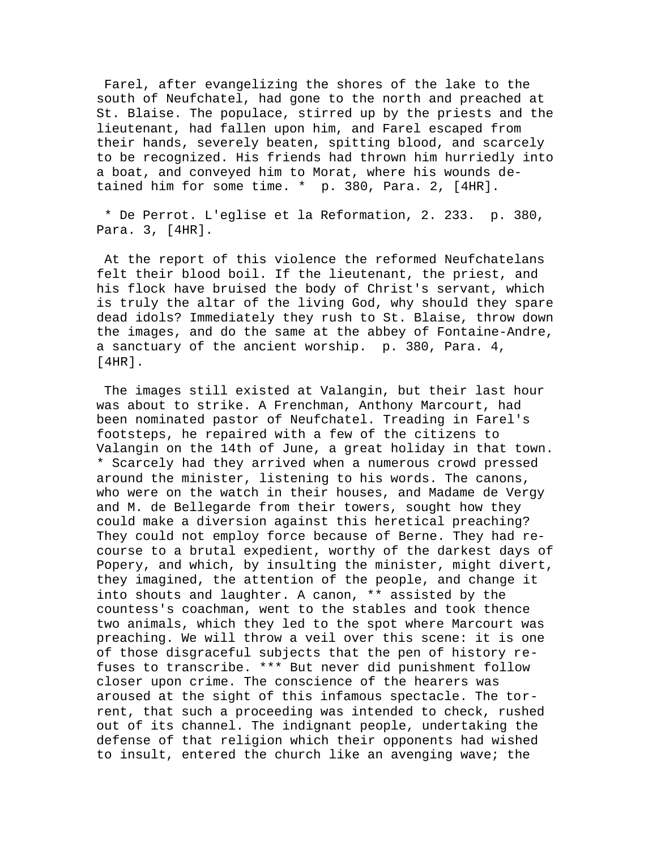Farel, after evangelizing the shores of the lake to the south of Neufchatel, had gone to the north and preached at St. Blaise. The populace, stirred up by the priests and the lieutenant, had fallen upon him, and Farel escaped from their hands, severely beaten, spitting blood, and scarcely to be recognized. His friends had thrown him hurriedly into a boat, and conveyed him to Morat, where his wounds detained him for some time. \* p. 380, Para. 2, [4HR].

 \* De Perrot. L'eglise et la Reformation, 2. 233. p. 380, Para. 3, [4HR].

 At the report of this violence the reformed Neufchatelans felt their blood boil. If the lieutenant, the priest, and his flock have bruised the body of Christ's servant, which is truly the altar of the living God, why should they spare dead idols? Immediately they rush to St. Blaise, throw down the images, and do the same at the abbey of Fontaine-Andre, a sanctuary of the ancient worship. p. 380, Para. 4, [4HR].

 The images still existed at Valangin, but their last hour was about to strike. A Frenchman, Anthony Marcourt, had been nominated pastor of Neufchatel. Treading in Farel's footsteps, he repaired with a few of the citizens to Valangin on the 14th of June, a great holiday in that town. \* Scarcely had they arrived when a numerous crowd pressed around the minister, listening to his words. The canons, who were on the watch in their houses, and Madame de Vergy and M. de Bellegarde from their towers, sought how they could make a diversion against this heretical preaching? They could not employ force because of Berne. They had recourse to a brutal expedient, worthy of the darkest days of Popery, and which, by insulting the minister, might divert, they imagined, the attention of the people, and change it into shouts and laughter. A canon, \*\* assisted by the countess's coachman, went to the stables and took thence two animals, which they led to the spot where Marcourt was preaching. We will throw a veil over this scene: it is one of those disgraceful subjects that the pen of history refuses to transcribe. \*\*\* But never did punishment follow closer upon crime. The conscience of the hearers was aroused at the sight of this infamous spectacle. The torrent, that such a proceeding was intended to check, rushed out of its channel. The indignant people, undertaking the defense of that religion which their opponents had wished to insult, entered the church like an avenging wave; the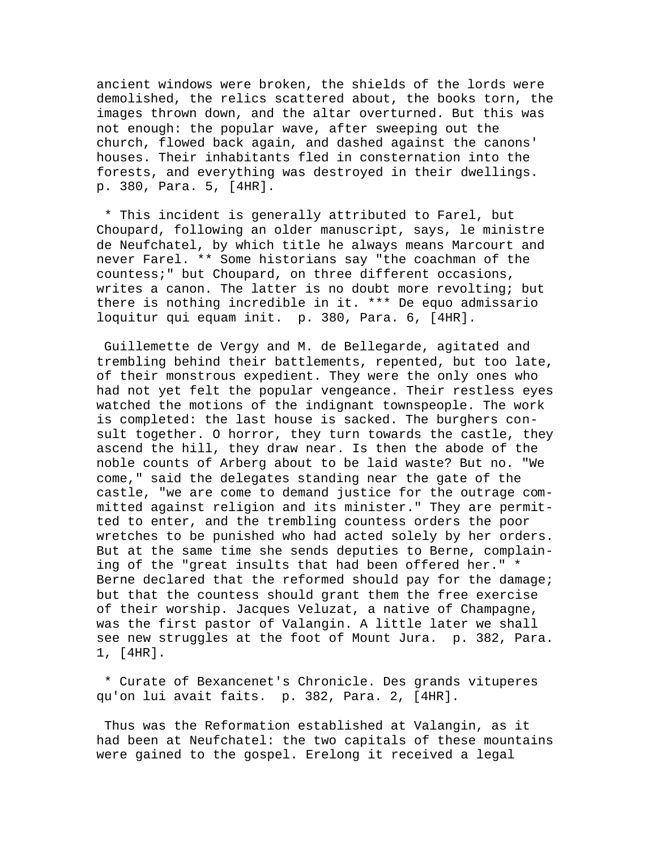ancient windows were broken, the shields of the lords were demolished, the relics scattered about, the books torn, the images thrown down, and the altar overturned. But this was not enough: the popular wave, after sweeping out the church, flowed back again, and dashed against the canons' houses. Their inhabitants fled in consternation into the forests, and everything was destroyed in their dwellings. p. 380, Para. 5, [4HR].

 \* This incident is generally attributed to Farel, but Choupard, following an older manuscript, says, le ministre de Neufchatel, by which title he always means Marcourt and never Farel. \*\* Some historians say "the coachman of the countess;" but Choupard, on three different occasions, writes a canon. The latter is no doubt more revolting; but there is nothing incredible in it. \*\*\* De equo admissario loquitur qui equam init. p. 380, Para. 6, [4HR].

 Guillemette de Vergy and M. de Bellegarde, agitated and trembling behind their battlements, repented, but too late, of their monstrous expedient. They were the only ones who had not yet felt the popular vengeance. Their restless eyes watched the motions of the indignant townspeople. The work is completed: the last house is sacked. The burghers consult together. O horror, they turn towards the castle, they ascend the hill, they draw near. Is then the abode of the noble counts of Arberg about to be laid waste? But no. "We come," said the delegates standing near the gate of the castle, "we are come to demand justice for the outrage committed against religion and its minister." They are permitted to enter, and the trembling countess orders the poor wretches to be punished who had acted solely by her orders. But at the same time she sends deputies to Berne, complaining of the "great insults that had been offered her." \* Berne declared that the reformed should pay for the damage; but that the countess should grant them the free exercise of their worship. Jacques Veluzat, a native of Champagne, was the first pastor of Valangin. A little later we shall see new struggles at the foot of Mount Jura. p. 382, Para. 1, [4HR].

 \* Curate of Bexancenet's Chronicle. Des grands vituperes qu'on lui avait faits. p. 382, Para. 2, [4HR].

 Thus was the Reformation established at Valangin, as it had been at Neufchatel: the two capitals of these mountains were gained to the gospel. Erelong it received a legal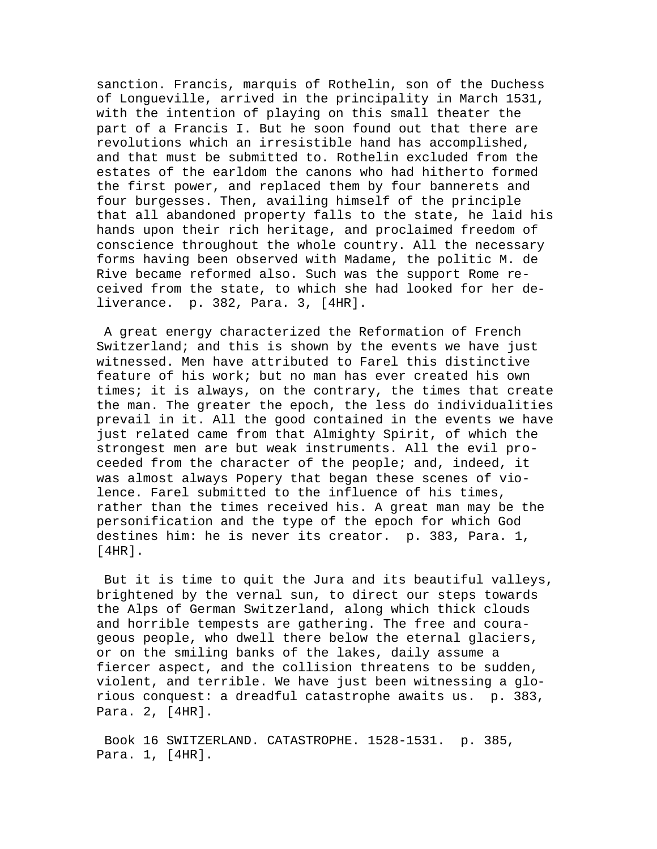sanction. Francis, marquis of Rothelin, son of the Duchess of Longueville, arrived in the principality in March 1531, with the intention of playing on this small theater the part of a Francis I. But he soon found out that there are revolutions which an irresistible hand has accomplished, and that must be submitted to. Rothelin excluded from the estates of the earldom the canons who had hitherto formed the first power, and replaced them by four bannerets and four burgesses. Then, availing himself of the principle that all abandoned property falls to the state, he laid his hands upon their rich heritage, and proclaimed freedom of conscience throughout the whole country. All the necessary forms having been observed with Madame, the politic M. de Rive became reformed also. Such was the support Rome received from the state, to which she had looked for her deliverance. p. 382, Para. 3, [4HR].

 A great energy characterized the Reformation of French Switzerland; and this is shown by the events we have just witnessed. Men have attributed to Farel this distinctive feature of his work; but no man has ever created his own times; it is always, on the contrary, the times that create the man. The greater the epoch, the less do individualities prevail in it. All the good contained in the events we have just related came from that Almighty Spirit, of which the strongest men are but weak instruments. All the evil proceeded from the character of the people; and, indeed, it was almost always Popery that began these scenes of violence. Farel submitted to the influence of his times, rather than the times received his. A great man may be the personification and the type of the epoch for which God destines him: he is never its creator. p. 383, Para. 1, [4HR].

 But it is time to quit the Jura and its beautiful valleys, brightened by the vernal sun, to direct our steps towards the Alps of German Switzerland, along which thick clouds and horrible tempests are gathering. The free and courageous people, who dwell there below the eternal glaciers, or on the smiling banks of the lakes, daily assume a fiercer aspect, and the collision threatens to be sudden, violent, and terrible. We have just been witnessing a glorious conquest: a dreadful catastrophe awaits us. p. 383, Para. 2, [4HR].

 Book 16 SWITZERLAND. CATASTROPHE. 1528-1531. p. 385, Para. 1, [4HR].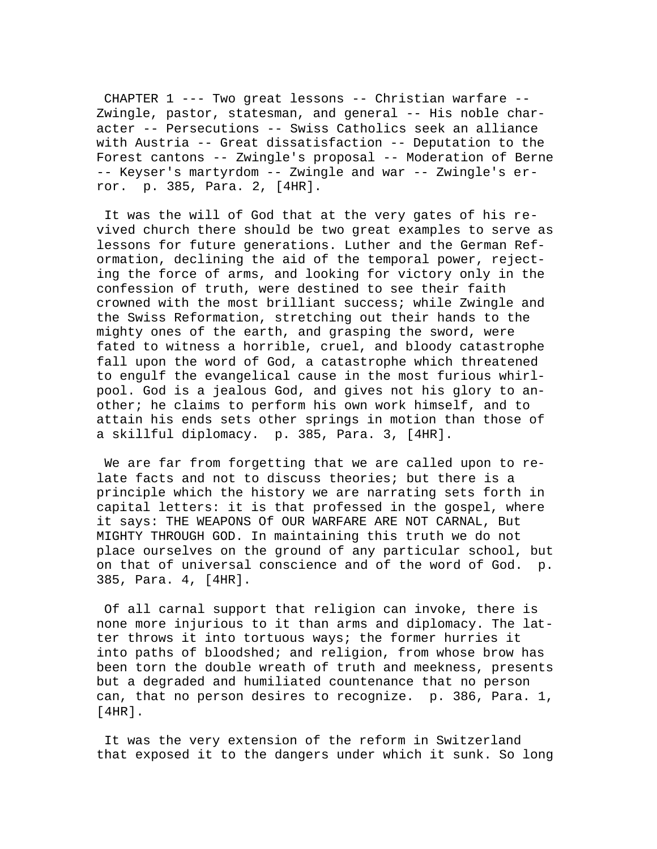CHAPTER 1 --- Two great lessons -- Christian warfare -- Zwingle, pastor, statesman, and general -- His noble character -- Persecutions -- Swiss Catholics seek an alliance with Austria -- Great dissatisfaction -- Deputation to the Forest cantons -- Zwingle's proposal -- Moderation of Berne -- Keyser's martyrdom -- Zwingle and war -- Zwingle's error. p. 385, Para. 2, [4HR].

 It was the will of God that at the very gates of his revived church there should be two great examples to serve as lessons for future generations. Luther and the German Reformation, declining the aid of the temporal power, rejecting the force of arms, and looking for victory only in the confession of truth, were destined to see their faith crowned with the most brilliant success; while Zwingle and the Swiss Reformation, stretching out their hands to the mighty ones of the earth, and grasping the sword, were fated to witness a horrible, cruel, and bloody catastrophe fall upon the word of God, a catastrophe which threatened to engulf the evangelical cause in the most furious whirlpool. God is a jealous God, and gives not his glory to another; he claims to perform his own work himself, and to attain his ends sets other springs in motion than those of a skillful diplomacy. p. 385, Para. 3, [4HR].

 We are far from forgetting that we are called upon to relate facts and not to discuss theories; but there is a principle which the history we are narrating sets forth in capital letters: it is that professed in the gospel, where it says: THE WEAPONS Of OUR WARFARE ARE NOT CARNAL, But MIGHTY THROUGH GOD. In maintaining this truth we do not place ourselves on the ground of any particular school, but on that of universal conscience and of the word of God. p. 385, Para. 4, [4HR].

 Of all carnal support that religion can invoke, there is none more injurious to it than arms and diplomacy. The latter throws it into tortuous ways; the former hurries it into paths of bloodshed; and religion, from whose brow has been torn the double wreath of truth and meekness, presents but a degraded and humiliated countenance that no person can, that no person desires to recognize. p. 386, Para. 1, [4HR].

 It was the very extension of the reform in Switzerland that exposed it to the dangers under which it sunk. So long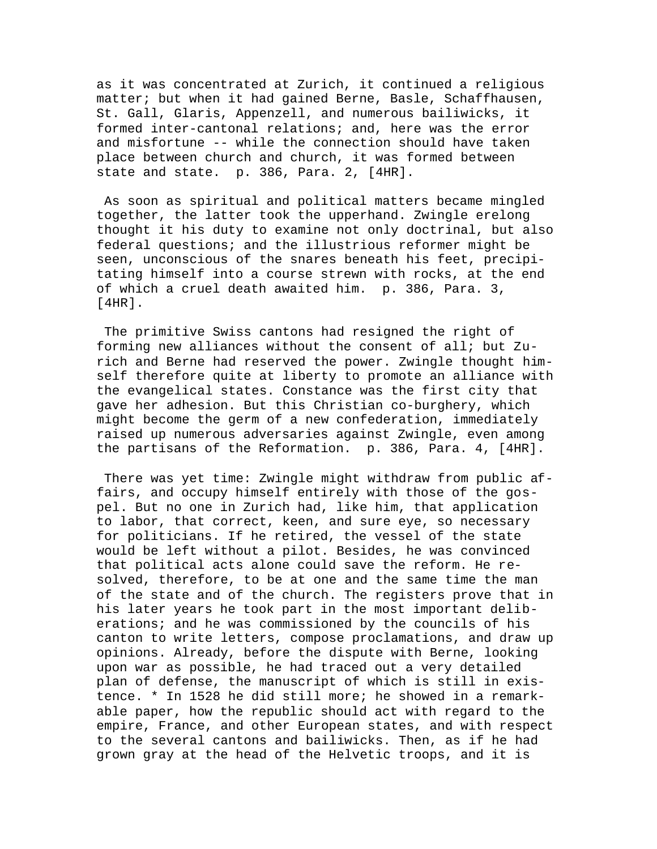as it was concentrated at Zurich, it continued a religious matter; but when it had gained Berne, Basle, Schaffhausen, St. Gall, Glaris, Appenzell, and numerous bailiwicks, it formed inter-cantonal relations; and, here was the error and misfortune -- while the connection should have taken place between church and church, it was formed between state and state. p. 386, Para. 2, [4HR].

 As soon as spiritual and political matters became mingled together, the latter took the upperhand. Zwingle erelong thought it his duty to examine not only doctrinal, but also federal questions; and the illustrious reformer might be seen, unconscious of the snares beneath his feet, precipitating himself into a course strewn with rocks, at the end of which a cruel death awaited him. p. 386, Para. 3, [4HR].

 The primitive Swiss cantons had resigned the right of forming new alliances without the consent of all; but Zurich and Berne had reserved the power. Zwingle thought himself therefore quite at liberty to promote an alliance with the evangelical states. Constance was the first city that gave her adhesion. But this Christian co-burghery, which might become the germ of a new confederation, immediately raised up numerous adversaries against Zwingle, even among the partisans of the Reformation. p. 386, Para. 4, [4HR].

 There was yet time: Zwingle might withdraw from public affairs, and occupy himself entirely with those of the gospel. But no one in Zurich had, like him, that application to labor, that correct, keen, and sure eye, so necessary for politicians. If he retired, the vessel of the state would be left without a pilot. Besides, he was convinced that political acts alone could save the reform. He resolved, therefore, to be at one and the same time the man of the state and of the church. The registers prove that in his later years he took part in the most important deliberations; and he was commissioned by the councils of his canton to write letters, compose proclamations, and draw up opinions. Already, before the dispute with Berne, looking upon war as possible, he had traced out a very detailed plan of defense, the manuscript of which is still in existence. \* In 1528 he did still more; he showed in a remarkable paper, how the republic should act with regard to the empire, France, and other European states, and with respect to the several cantons and bailiwicks. Then, as if he had grown gray at the head of the Helvetic troops, and it is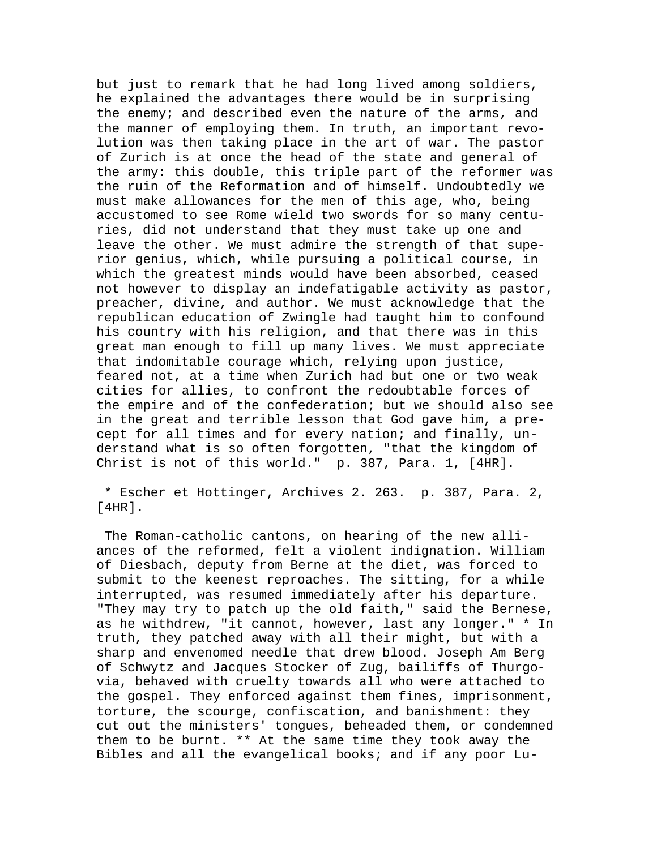but just to remark that he had long lived among soldiers, he explained the advantages there would be in surprising the enemy; and described even the nature of the arms, and the manner of employing them. In truth, an important revolution was then taking place in the art of war. The pastor of Zurich is at once the head of the state and general of the army: this double, this triple part of the reformer was the ruin of the Reformation and of himself. Undoubtedly we must make allowances for the men of this age, who, being accustomed to see Rome wield two swords for so many centuries, did not understand that they must take up one and leave the other. We must admire the strength of that superior genius, which, while pursuing a political course, in which the greatest minds would have been absorbed, ceased not however to display an indefatigable activity as pastor, preacher, divine, and author. We must acknowledge that the republican education of Zwingle had taught him to confound his country with his religion, and that there was in this great man enough to fill up many lives. We must appreciate that indomitable courage which, relying upon justice, feared not, at a time when Zurich had but one or two weak cities for allies, to confront the redoubtable forces of the empire and of the confederation; but we should also see in the great and terrible lesson that God gave him, a precept for all times and for every nation; and finally, understand what is so often forgotten, "that the kingdom of Christ is not of this world." p. 387, Para. 1, [4HR].

 \* Escher et Hottinger, Archives 2. 263. p. 387, Para. 2, [4HR].

 The Roman-catholic cantons, on hearing of the new alliances of the reformed, felt a violent indignation. William of Diesbach, deputy from Berne at the diet, was forced to submit to the keenest reproaches. The sitting, for a while interrupted, was resumed immediately after his departure. "They may try to patch up the old faith," said the Bernese, as he withdrew, "it cannot, however, last any longer." \* In truth, they patched away with all their might, but with a sharp and envenomed needle that drew blood. Joseph Am Berg of Schwytz and Jacques Stocker of Zug, bailiffs of Thurgovia, behaved with cruelty towards all who were attached to the gospel. They enforced against them fines, imprisonment, torture, the scourge, confiscation, and banishment: they cut out the ministers' tongues, beheaded them, or condemned them to be burnt. \*\* At the same time they took away the Bibles and all the evangelical books; and if any poor Lu-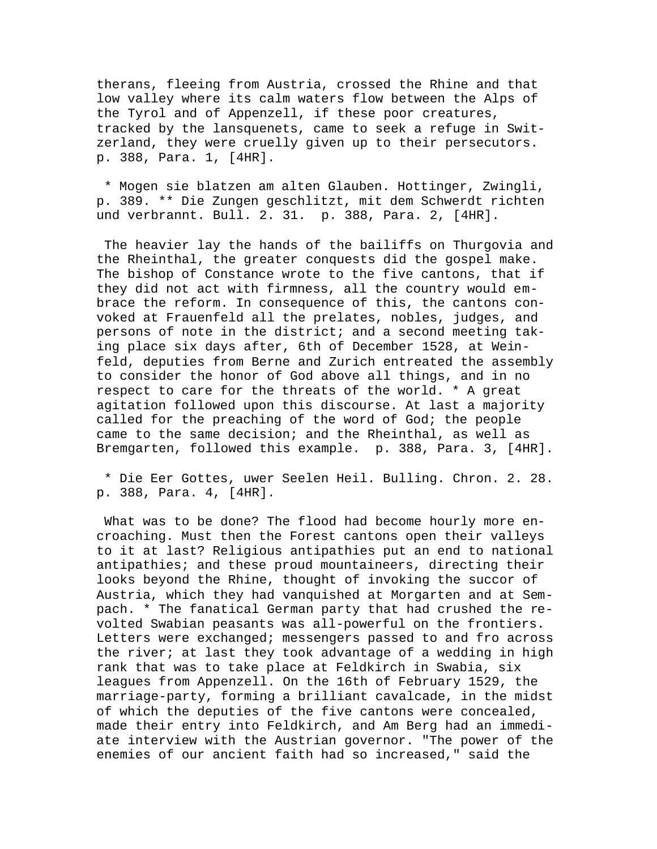therans, fleeing from Austria, crossed the Rhine and that low valley where its calm waters flow between the Alps of the Tyrol and of Appenzell, if these poor creatures, tracked by the lansquenets, came to seek a refuge in Switzerland, they were cruelly given up to their persecutors. p. 388, Para. 1, [4HR].

 \* Mogen sie blatzen am alten Glauben. Hottinger, Zwingli, p. 389. \*\* Die Zungen geschlitzt, mit dem Schwerdt richten und verbrannt. Bull. 2. 31. p. 388, Para. 2, [4HR].

 The heavier lay the hands of the bailiffs on Thurgovia and the Rheinthal, the greater conquests did the gospel make. The bishop of Constance wrote to the five cantons, that if they did not act with firmness, all the country would embrace the reform. In consequence of this, the cantons convoked at Frauenfeld all the prelates, nobles, judges, and persons of note in the district; and a second meeting taking place six days after, 6th of December 1528, at Weinfeld, deputies from Berne and Zurich entreated the assembly to consider the honor of God above all things, and in no respect to care for the threats of the world. \* A great agitation followed upon this discourse. At last a majority called for the preaching of the word of God; the people came to the same decision; and the Rheinthal, as well as Bremgarten, followed this example. p. 388, Para. 3, [4HR].

 \* Die Eer Gottes, uwer Seelen Heil. Bulling. Chron. 2. 28. p. 388, Para. 4, [4HR].

 What was to be done? The flood had become hourly more encroaching. Must then the Forest cantons open their valleys to it at last? Religious antipathies put an end to national antipathies; and these proud mountaineers, directing their looks beyond the Rhine, thought of invoking the succor of Austria, which they had vanquished at Morgarten and at Sempach. \* The fanatical German party that had crushed the revolted Swabian peasants was all-powerful on the frontiers. Letters were exchanged; messengers passed to and fro across the river; at last they took advantage of a wedding in high rank that was to take place at Feldkirch in Swabia, six leagues from Appenzell. On the 16th of February 1529, the marriage-party, forming a brilliant cavalcade, in the midst of which the deputies of the five cantons were concealed, made their entry into Feldkirch, and Am Berg had an immediate interview with the Austrian governor. "The power of the enemies of our ancient faith had so increased," said the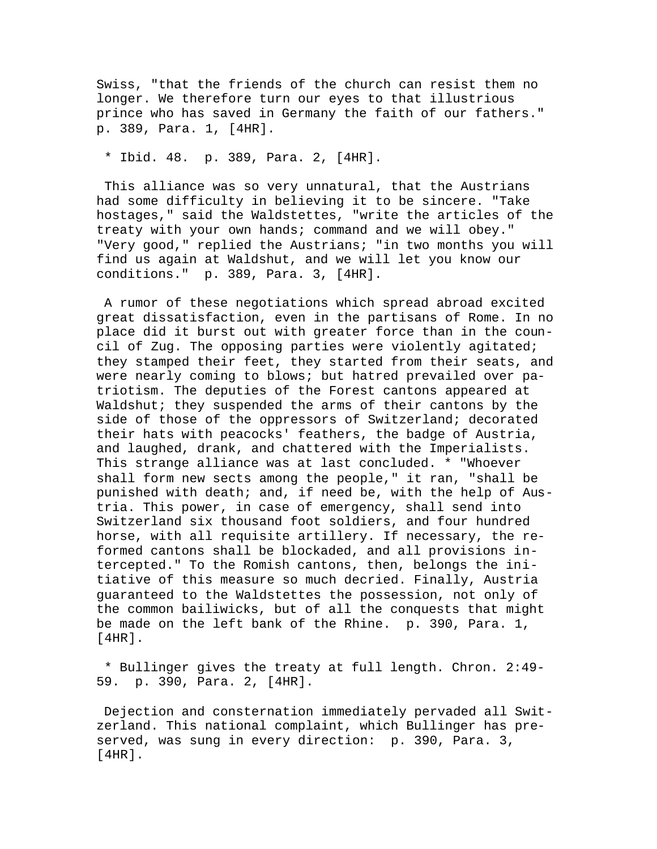Swiss, "that the friends of the church can resist them no longer. We therefore turn our eyes to that illustrious prince who has saved in Germany the faith of our fathers." p. 389, Para. 1, [4HR].

\* Ibid. 48. p. 389, Para. 2, [4HR].

 This alliance was so very unnatural, that the Austrians had some difficulty in believing it to be sincere. "Take hostages," said the Waldstettes, "write the articles of the treaty with your own hands; command and we will obey." "Very good," replied the Austrians; "in two months you will find us again at Waldshut, and we will let you know our conditions." p. 389, Para. 3, [4HR].

 A rumor of these negotiations which spread abroad excited great dissatisfaction, even in the partisans of Rome. In no place did it burst out with greater force than in the council of Zug. The opposing parties were violently agitated; they stamped their feet, they started from their seats, and were nearly coming to blows; but hatred prevailed over patriotism. The deputies of the Forest cantons appeared at Waldshut; they suspended the arms of their cantons by the side of those of the oppressors of Switzerland; decorated their hats with peacocks' feathers, the badge of Austria, and laughed, drank, and chattered with the Imperialists. This strange alliance was at last concluded. \* "Whoever shall form new sects among the people," it ran, "shall be punished with death; and, if need be, with the help of Austria. This power, in case of emergency, shall send into Switzerland six thousand foot soldiers, and four hundred horse, with all requisite artillery. If necessary, the reformed cantons shall be blockaded, and all provisions intercepted." To the Romish cantons, then, belongs the initiative of this measure so much decried. Finally, Austria guaranteed to the Waldstettes the possession, not only of the common bailiwicks, but of all the conquests that might be made on the left bank of the Rhine. p. 390, Para. 1, [4HR].

 \* Bullinger gives the treaty at full length. Chron. 2:49- 59. p. 390, Para. 2, [4HR].

 Dejection and consternation immediately pervaded all Switzerland. This national complaint, which Bullinger has preserved, was sung in every direction: p. 390, Para. 3, [4HR].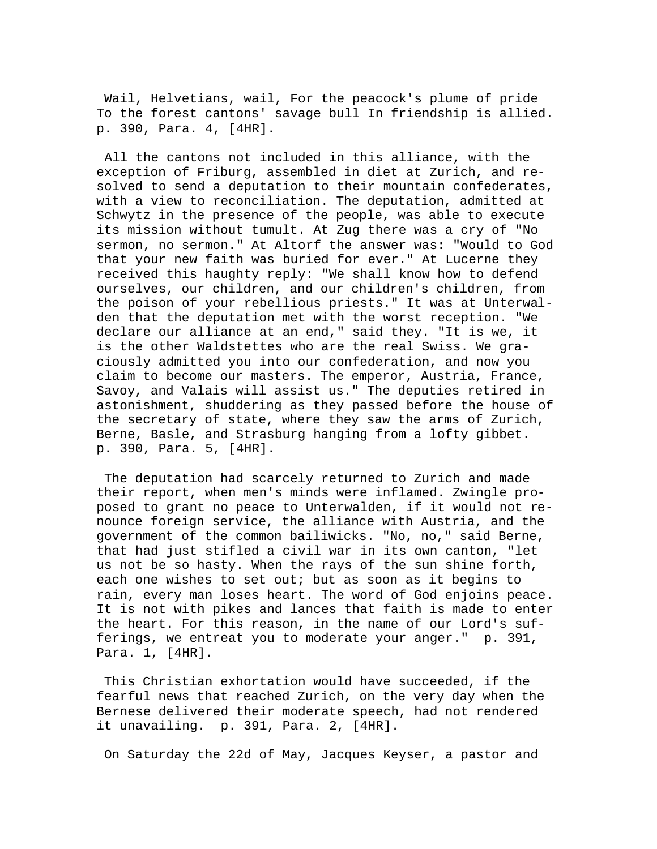Wail, Helvetians, wail, For the peacock's plume of pride To the forest cantons' savage bull In friendship is allied. p. 390, Para. 4, [4HR].

 All the cantons not included in this alliance, with the exception of Friburg, assembled in diet at Zurich, and resolved to send a deputation to their mountain confederates, with a view to reconciliation. The deputation, admitted at Schwytz in the presence of the people, was able to execute its mission without tumult. At Zug there was a cry of "No sermon, no sermon." At Altorf the answer was: "Would to God that your new faith was buried for ever." At Lucerne they received this haughty reply: "We shall know how to defend ourselves, our children, and our children's children, from the poison of your rebellious priests." It was at Unterwalden that the deputation met with the worst reception. "We declare our alliance at an end," said they. "It is we, it is the other Waldstettes who are the real Swiss. We graciously admitted you into our confederation, and now you claim to become our masters. The emperor, Austria, France, Savoy, and Valais will assist us." The deputies retired in astonishment, shuddering as they passed before the house of the secretary of state, where they saw the arms of Zurich, Berne, Basle, and Strasburg hanging from a lofty gibbet. p. 390, Para. 5, [4HR].

 The deputation had scarcely returned to Zurich and made their report, when men's minds were inflamed. Zwingle proposed to grant no peace to Unterwalden, if it would not renounce foreign service, the alliance with Austria, and the government of the common bailiwicks. "No, no," said Berne, that had just stifled a civil war in its own canton, "let us not be so hasty. When the rays of the sun shine forth, each one wishes to set out; but as soon as it begins to rain, every man loses heart. The word of God enjoins peace. It is not with pikes and lances that faith is made to enter the heart. For this reason, in the name of our Lord's sufferings, we entreat you to moderate your anger." p. 391, Para. 1, [4HR].

 This Christian exhortation would have succeeded, if the fearful news that reached Zurich, on the very day when the Bernese delivered their moderate speech, had not rendered it unavailing. p. 391, Para. 2, [4HR].

On Saturday the 22d of May, Jacques Keyser, a pastor and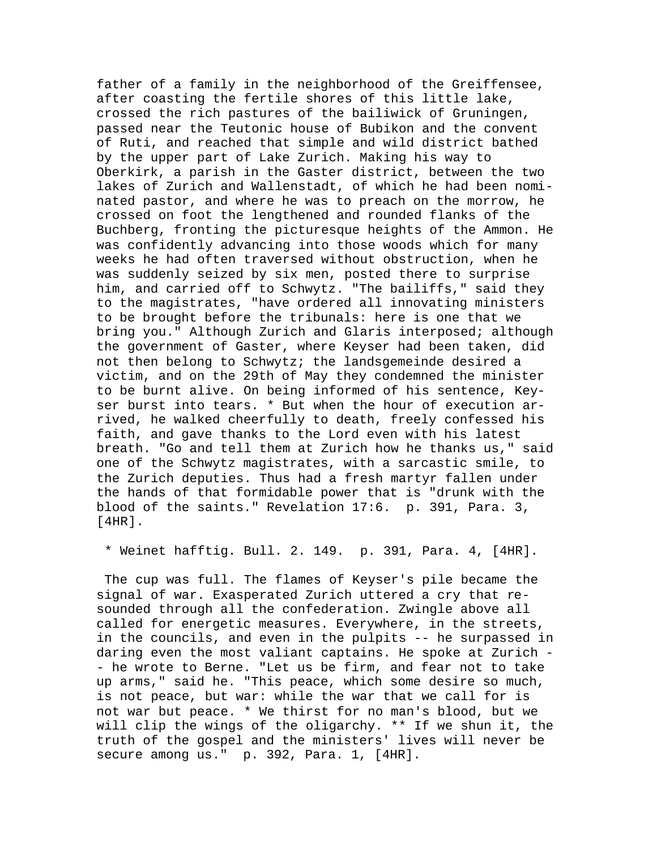father of a family in the neighborhood of the Greiffensee, after coasting the fertile shores of this little lake, crossed the rich pastures of the bailiwick of Gruningen, passed near the Teutonic house of Bubikon and the convent of Ruti, and reached that simple and wild district bathed by the upper part of Lake Zurich. Making his way to Oberkirk, a parish in the Gaster district, between the two lakes of Zurich and Wallenstadt, of which he had been nominated pastor, and where he was to preach on the morrow, he crossed on foot the lengthened and rounded flanks of the Buchberg, fronting the picturesque heights of the Ammon. He was confidently advancing into those woods which for many weeks he had often traversed without obstruction, when he was suddenly seized by six men, posted there to surprise him, and carried off to Schwytz. "The bailiffs," said they to the magistrates, "have ordered all innovating ministers to be brought before the tribunals: here is one that we bring you." Although Zurich and Glaris interposed; although the government of Gaster, where Keyser had been taken, did not then belong to Schwytz; the landsgemeinde desired a victim, and on the 29th of May they condemned the minister to be burnt alive. On being informed of his sentence, Keyser burst into tears. \* But when the hour of execution arrived, he walked cheerfully to death, freely confessed his faith, and gave thanks to the Lord even with his latest breath. "Go and tell them at Zurich how he thanks us," said one of the Schwytz magistrates, with a sarcastic smile, to the Zurich deputies. Thus had a fresh martyr fallen under the hands of that formidable power that is "drunk with the blood of the saints." Revelation 17:6. p. 391, Para. 3, [4HR].

\* Weinet hafftig. Bull. 2. 149. p. 391, Para. 4, [4HR].

 The cup was full. The flames of Keyser's pile became the signal of war. Exasperated Zurich uttered a cry that resounded through all the confederation. Zwingle above all called for energetic measures. Everywhere, in the streets, in the councils, and even in the pulpits -- he surpassed in daring even the most valiant captains. He spoke at Zurich - - he wrote to Berne. "Let us be firm, and fear not to take up arms," said he. "This peace, which some desire so much, is not peace, but war: while the war that we call for is not war but peace. \* We thirst for no man's blood, but we will clip the wings of the oligarchy. \*\* If we shun it, the truth of the gospel and the ministers' lives will never be secure among us." p. 392, Para. 1, [4HR].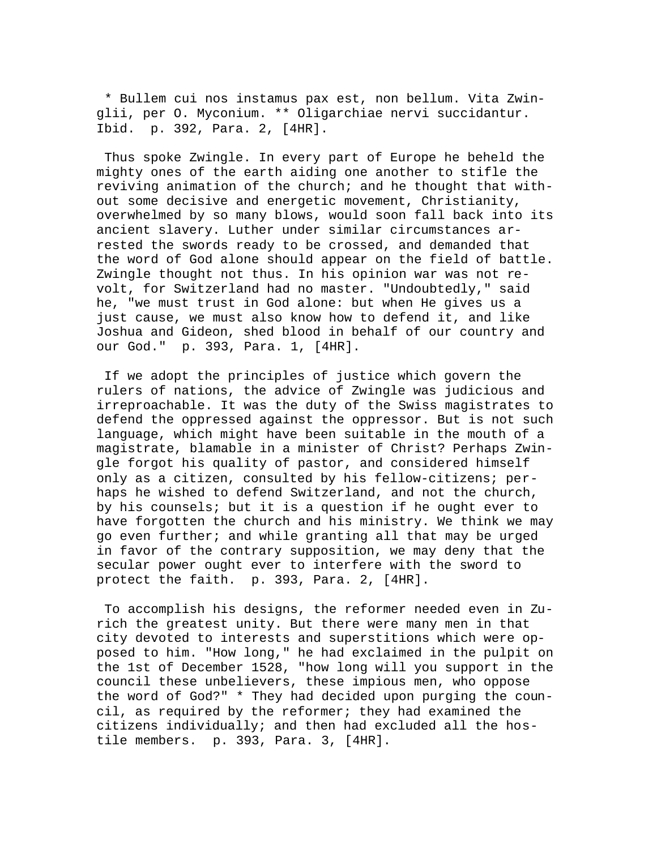\* Bullem cui nos instamus pax est, non bellum. Vita Zwinglii, per O. Myconium. \*\* Oligarchiae nervi succidantur. Ibid. p. 392, Para. 2, [4HR].

 Thus spoke Zwingle. In every part of Europe he beheld the mighty ones of the earth aiding one another to stifle the reviving animation of the church; and he thought that without some decisive and energetic movement, Christianity, overwhelmed by so many blows, would soon fall back into its ancient slavery. Luther under similar circumstances arrested the swords ready to be crossed, and demanded that the word of God alone should appear on the field of battle. Zwingle thought not thus. In his opinion war was not revolt, for Switzerland had no master. "Undoubtedly," said he, "we must trust in God alone: but when He gives us a just cause, we must also know how to defend it, and like Joshua and Gideon, shed blood in behalf of our country and our God." p. 393, Para. 1, [4HR].

 If we adopt the principles of justice which govern the rulers of nations, the advice of Zwingle was judicious and irreproachable. It was the duty of the Swiss magistrates to defend the oppressed against the oppressor. But is not such language, which might have been suitable in the mouth of a magistrate, blamable in a minister of Christ? Perhaps Zwingle forgot his quality of pastor, and considered himself only as a citizen, consulted by his fellow-citizens; perhaps he wished to defend Switzerland, and not the church, by his counsels; but it is a question if he ought ever to have forgotten the church and his ministry. We think we may go even further; and while granting all that may be urged in favor of the contrary supposition, we may deny that the secular power ought ever to interfere with the sword to protect the faith. p. 393, Para. 2, [4HR].

 To accomplish his designs, the reformer needed even in Zurich the greatest unity. But there were many men in that city devoted to interests and superstitions which were opposed to him. "How long," he had exclaimed in the pulpit on the 1st of December 1528, "how long will you support in the council these unbelievers, these impious men, who oppose the word of God?" \* They had decided upon purging the council, as required by the reformer; they had examined the citizens individually; and then had excluded all the hostile members. p. 393, Para. 3, [4HR].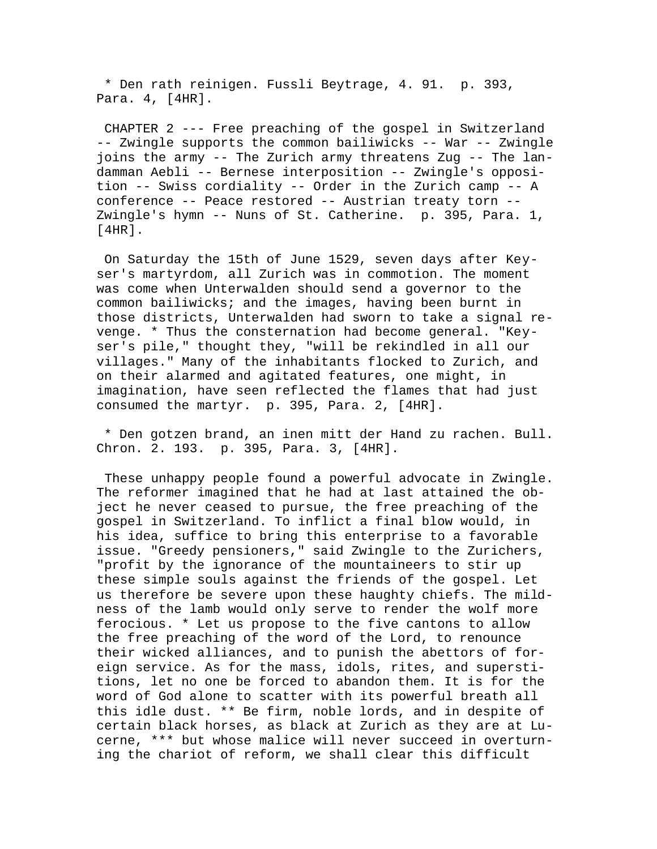\* Den rath reinigen. Fussli Beytrage, 4. 91. p. 393, Para. 4, [4HR].

 CHAPTER 2 --- Free preaching of the gospel in Switzerland -- Zwingle supports the common bailiwicks -- War -- Zwingle joins the army -- The Zurich army threatens Zug -- The landamman Aebli -- Bernese interposition -- Zwingle's opposition -- Swiss cordiality -- Order in the Zurich camp -- A conference -- Peace restored -- Austrian treaty torn -- Zwingle's hymn -- Nuns of St. Catherine. p. 395, Para. 1, [4HR].

 On Saturday the 15th of June 1529, seven days after Keyser's martyrdom, all Zurich was in commotion. The moment was come when Unterwalden should send a governor to the common bailiwicks; and the images, having been burnt in those districts, Unterwalden had sworn to take a signal revenge. \* Thus the consternation had become general. "Keyser's pile," thought they, "will be rekindled in all our villages." Many of the inhabitants flocked to Zurich, and on their alarmed and agitated features, one might, in imagination, have seen reflected the flames that had just consumed the martyr. p. 395, Para. 2, [4HR].

 \* Den gotzen brand, an inen mitt der Hand zu rachen. Bull. Chron. 2. 193. p. 395, Para. 3, [4HR].

 These unhappy people found a powerful advocate in Zwingle. The reformer imagined that he had at last attained the object he never ceased to pursue, the free preaching of the gospel in Switzerland. To inflict a final blow would, in his idea, suffice to bring this enterprise to a favorable issue. "Greedy pensioners," said Zwingle to the Zurichers, "profit by the ignorance of the mountaineers to stir up these simple souls against the friends of the gospel. Let us therefore be severe upon these haughty chiefs. The mildness of the lamb would only serve to render the wolf more ferocious. \* Let us propose to the five cantons to allow the free preaching of the word of the Lord, to renounce their wicked alliances, and to punish the abettors of foreign service. As for the mass, idols, rites, and superstitions, let no one be forced to abandon them. It is for the word of God alone to scatter with its powerful breath all this idle dust. \*\* Be firm, noble lords, and in despite of certain black horses, as black at Zurich as they are at Lucerne, \*\*\* but whose malice will never succeed in overturning the chariot of reform, we shall clear this difficult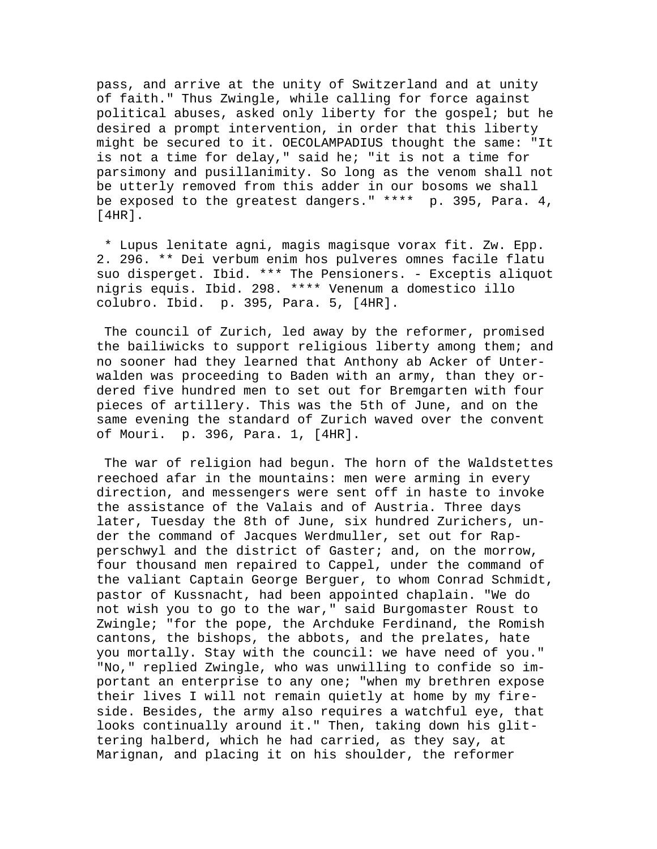pass, and arrive at the unity of Switzerland and at unity of faith." Thus Zwingle, while calling for force against political abuses, asked only liberty for the gospel; but he desired a prompt intervention, in order that this liberty might be secured to it. OECOLAMPADIUS thought the same: "It is not a time for delay," said he; "it is not a time for parsimony and pusillanimity. So long as the venom shall not be utterly removed from this adder in our bosoms we shall be exposed to the greatest dangers." \*\*\*\* p. 395, Para. 4,  $[4HR]$ .

 \* Lupus lenitate agni, magis magisque vorax fit. Zw. Epp. 2. 296. \*\* Dei verbum enim hos pulveres omnes facile flatu suo disperget. Ibid. \*\*\* The Pensioners. - Exceptis aliquot nigris equis. Ibid. 298. \*\*\*\* Venenum a domestico illo colubro. Ibid. p. 395, Para. 5, [4HR].

 The council of Zurich, led away by the reformer, promised the bailiwicks to support religious liberty among them; and no sooner had they learned that Anthony ab Acker of Unterwalden was proceeding to Baden with an army, than they ordered five hundred men to set out for Bremgarten with four pieces of artillery. This was the 5th of June, and on the same evening the standard of Zurich waved over the convent of Mouri. p. 396, Para. 1, [4HR].

 The war of religion had begun. The horn of the Waldstettes reechoed afar in the mountains: men were arming in every direction, and messengers were sent off in haste to invoke the assistance of the Valais and of Austria. Three days later, Tuesday the 8th of June, six hundred Zurichers, under the command of Jacques Werdmuller, set out for Rapperschwyl and the district of Gaster; and, on the morrow, four thousand men repaired to Cappel, under the command of the valiant Captain George Berguer, to whom Conrad Schmidt, pastor of Kussnacht, had been appointed chaplain. "We do not wish you to go to the war," said Burgomaster Roust to Zwingle; "for the pope, the Archduke Ferdinand, the Romish cantons, the bishops, the abbots, and the prelates, hate you mortally. Stay with the council: we have need of you." "No," replied Zwingle, who was unwilling to confide so important an enterprise to any one; "when my brethren expose their lives I will not remain quietly at home by my fireside. Besides, the army also requires a watchful eye, that looks continually around it." Then, taking down his glittering halberd, which he had carried, as they say, at Marignan, and placing it on his shoulder, the reformer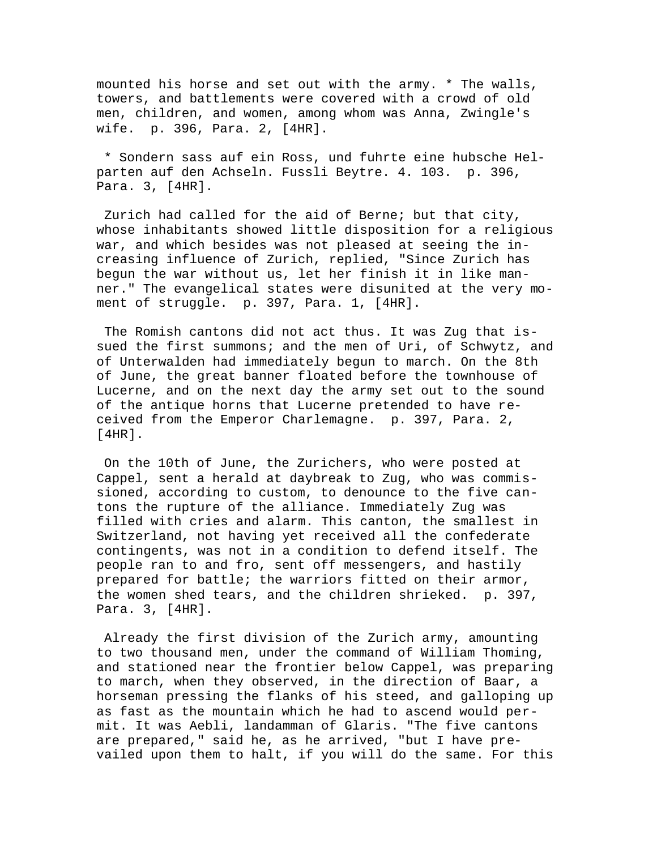mounted his horse and set out with the army. \* The walls, towers, and battlements were covered with a crowd of old men, children, and women, among whom was Anna, Zwingle's wife. p. 396, Para. 2, [4HR].

 \* Sondern sass auf ein Ross, und fuhrte eine hubsche Helparten auf den Achseln. Fussli Beytre. 4. 103. p. 396, Para. 3, [4HR].

 Zurich had called for the aid of Berne; but that city, whose inhabitants showed little disposition for a religious war, and which besides was not pleased at seeing the increasing influence of Zurich, replied, "Since Zurich has begun the war without us, let her finish it in like manner." The evangelical states were disunited at the very moment of struggle. p. 397, Para. 1, [4HR].

 The Romish cantons did not act thus. It was Zug that issued the first summons; and the men of Uri, of Schwytz, and of Unterwalden had immediately begun to march. On the 8th of June, the great banner floated before the townhouse of Lucerne, and on the next day the army set out to the sound of the antique horns that Lucerne pretended to have received from the Emperor Charlemagne. p. 397, Para. 2, [4HR].

 On the 10th of June, the Zurichers, who were posted at Cappel, sent a herald at daybreak to Zug, who was commissioned, according to custom, to denounce to the five cantons the rupture of the alliance. Immediately Zug was filled with cries and alarm. This canton, the smallest in Switzerland, not having yet received all the confederate contingents, was not in a condition to defend itself. The people ran to and fro, sent off messengers, and hastily prepared for battle; the warriors fitted on their armor, the women shed tears, and the children shrieked. p. 397, Para. 3, [4HR].

 Already the first division of the Zurich army, amounting to two thousand men, under the command of William Thoming, and stationed near the frontier below Cappel, was preparing to march, when they observed, in the direction of Baar, a horseman pressing the flanks of his steed, and galloping up as fast as the mountain which he had to ascend would permit. It was Aebli, landamman of Glaris. "The five cantons are prepared," said he, as he arrived, "but I have prevailed upon them to halt, if you will do the same. For this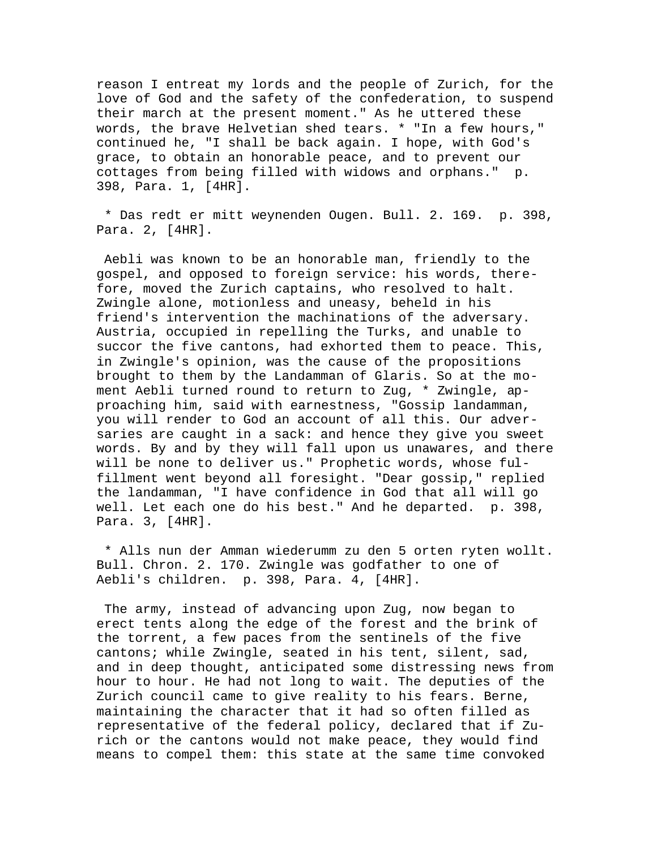reason I entreat my lords and the people of Zurich, for the love of God and the safety of the confederation, to suspend their march at the present moment." As he uttered these words, the brave Helvetian shed tears. \* "In a few hours," continued he, "I shall be back again. I hope, with God's grace, to obtain an honorable peace, and to prevent our cottages from being filled with widows and orphans." p. 398, Para. 1, [4HR].

 \* Das redt er mitt weynenden Ougen. Bull. 2. 169. p. 398, Para. 2, [4HR].

 Aebli was known to be an honorable man, friendly to the gospel, and opposed to foreign service: his words, therefore, moved the Zurich captains, who resolved to halt. Zwingle alone, motionless and uneasy, beheld in his friend's intervention the machinations of the adversary. Austria, occupied in repelling the Turks, and unable to succor the five cantons, had exhorted them to peace. This, in Zwingle's opinion, was the cause of the propositions brought to them by the Landamman of Glaris. So at the moment Aebli turned round to return to Zug, \* Zwingle, approaching him, said with earnestness, "Gossip landamman, you will render to God an account of all this. Our adversaries are caught in a sack: and hence they give you sweet words. By and by they will fall upon us unawares, and there will be none to deliver us." Prophetic words, whose fulfillment went beyond all foresight. "Dear gossip," replied the landamman, "I have confidence in God that all will go well. Let each one do his best." And he departed. p. 398, Para. 3, [4HR].

 \* Alls nun der Amman wiederumm zu den 5 orten ryten wollt. Bull. Chron. 2. 170. Zwingle was godfather to one of Aebli's children. p. 398, Para. 4, [4HR].

 The army, instead of advancing upon Zug, now began to erect tents along the edge of the forest and the brink of the torrent, a few paces from the sentinels of the five cantons; while Zwingle, seated in his tent, silent, sad, and in deep thought, anticipated some distressing news from hour to hour. He had not long to wait. The deputies of the Zurich council came to give reality to his fears. Berne, maintaining the character that it had so often filled as representative of the federal policy, declared that if Zurich or the cantons would not make peace, they would find means to compel them: this state at the same time convoked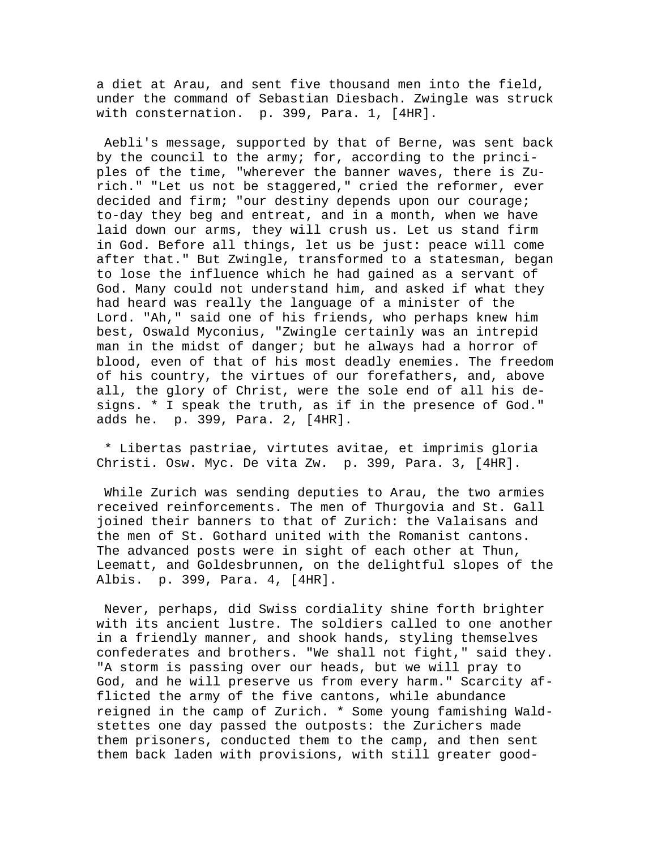a diet at Arau, and sent five thousand men into the field, under the command of Sebastian Diesbach. Zwingle was struck with consternation. p. 399, Para. 1, [4HR].

 Aebli's message, supported by that of Berne, was sent back by the council to the army; for, according to the principles of the time, "wherever the banner waves, there is Zurich." "Let us not be staggered," cried the reformer, ever decided and firm; "our destiny depends upon our courage; to-day they beg and entreat, and in a month, when we have laid down our arms, they will crush us. Let us stand firm in God. Before all things, let us be just: peace will come after that." But Zwingle, transformed to a statesman, began to lose the influence which he had gained as a servant of God. Many could not understand him, and asked if what they had heard was really the language of a minister of the Lord. "Ah," said one of his friends, who perhaps knew him best, Oswald Myconius, "Zwingle certainly was an intrepid man in the midst of danger; but he always had a horror of blood, even of that of his most deadly enemies. The freedom of his country, the virtues of our forefathers, and, above all, the glory of Christ, were the sole end of all his designs. \* I speak the truth, as if in the presence of God." adds he. p. 399, Para. 2, [4HR].

 \* Libertas pastriae, virtutes avitae, et imprimis gloria Christi. Osw. Myc. De vita Zw. p. 399, Para. 3, [4HR].

 While Zurich was sending deputies to Arau, the two armies received reinforcements. The men of Thurgovia and St. Gall joined their banners to that of Zurich: the Valaisans and the men of St. Gothard united with the Romanist cantons. The advanced posts were in sight of each other at Thun, Leematt, and Goldesbrunnen, on the delightful slopes of the Albis. p. 399, Para. 4, [4HR].

 Never, perhaps, did Swiss cordiality shine forth brighter with its ancient lustre. The soldiers called to one another in a friendly manner, and shook hands, styling themselves confederates and brothers. "We shall not fight," said they. "A storm is passing over our heads, but we will pray to God, and he will preserve us from every harm." Scarcity afflicted the army of the five cantons, while abundance reigned in the camp of Zurich. \* Some young famishing Waldstettes one day passed the outposts: the Zurichers made them prisoners, conducted them to the camp, and then sent them back laden with provisions, with still greater good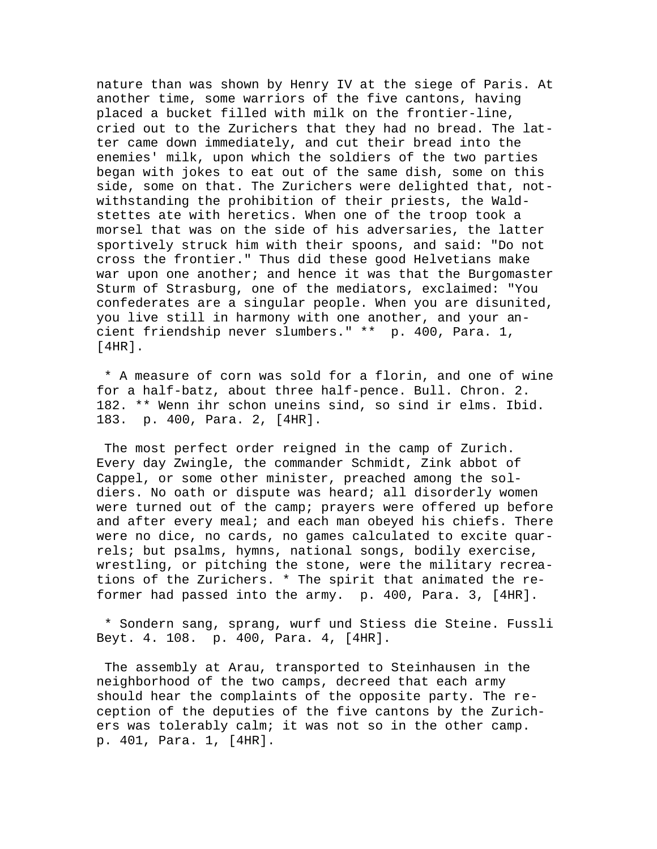nature than was shown by Henry IV at the siege of Paris. At another time, some warriors of the five cantons, having placed a bucket filled with milk on the frontier-line, cried out to the Zurichers that they had no bread. The latter came down immediately, and cut their bread into the enemies' milk, upon which the soldiers of the two parties began with jokes to eat out of the same dish, some on this side, some on that. The Zurichers were delighted that, notwithstanding the prohibition of their priests, the Waldstettes ate with heretics. When one of the troop took a morsel that was on the side of his adversaries, the latter sportively struck him with their spoons, and said: "Do not cross the frontier." Thus did these good Helvetians make war upon one another; and hence it was that the Burgomaster Sturm of Strasburg, one of the mediators, exclaimed: "You confederates are a singular people. When you are disunited, you live still in harmony with one another, and your ancient friendship never slumbers." \*\* p. 400, Para. 1, [4HR].

 \* A measure of corn was sold for a florin, and one of wine for a half-batz, about three half-pence. Bull. Chron. 2. 182. \*\* Wenn ihr schon uneins sind, so sind ir elms. Ibid. 183. p. 400, Para. 2, [4HR].

 The most perfect order reigned in the camp of Zurich. Every day Zwingle, the commander Schmidt, Zink abbot of Cappel, or some other minister, preached among the soldiers. No oath or dispute was heard; all disorderly women were turned out of the camp; prayers were offered up before and after every meal; and each man obeyed his chiefs. There were no dice, no cards, no games calculated to excite quarrels; but psalms, hymns, national songs, bodily exercise, wrestling, or pitching the stone, were the military recreations of the Zurichers. \* The spirit that animated the reformer had passed into the army. p. 400, Para. 3, [4HR].

 \* Sondern sang, sprang, wurf und Stiess die Steine. Fussli Beyt. 4. 108. p. 400, Para. 4, [4HR].

 The assembly at Arau, transported to Steinhausen in the neighborhood of the two camps, decreed that each army should hear the complaints of the opposite party. The reception of the deputies of the five cantons by the Zurichers was tolerably calm; it was not so in the other camp. p. 401, Para. 1, [4HR].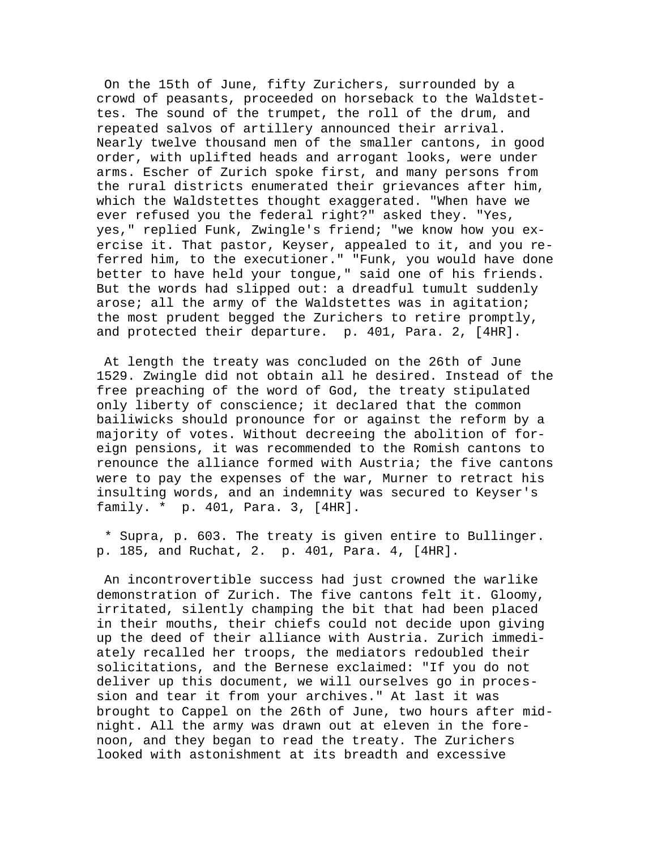On the 15th of June, fifty Zurichers, surrounded by a crowd of peasants, proceeded on horseback to the Waldstettes. The sound of the trumpet, the roll of the drum, and repeated salvos of artillery announced their arrival. Nearly twelve thousand men of the smaller cantons, in good order, with uplifted heads and arrogant looks, were under arms. Escher of Zurich spoke first, and many persons from the rural districts enumerated their grievances after him, which the Waldstettes thought exaggerated. "When have we ever refused you the federal right?" asked they. "Yes, yes," replied Funk, Zwingle's friend; "we know how you exercise it. That pastor, Keyser, appealed to it, and you referred him, to the executioner." "Funk, you would have done better to have held your tongue," said one of his friends. But the words had slipped out: a dreadful tumult suddenly arose; all the army of the Waldstettes was in agitation; the most prudent begged the Zurichers to retire promptly, and protected their departure. p. 401, Para. 2, [4HR].

 At length the treaty was concluded on the 26th of June 1529. Zwingle did not obtain all he desired. Instead of the free preaching of the word of God, the treaty stipulated only liberty of conscience; it declared that the common bailiwicks should pronounce for or against the reform by a majority of votes. Without decreeing the abolition of foreign pensions, it was recommended to the Romish cantons to renounce the alliance formed with Austria; the five cantons were to pay the expenses of the war, Murner to retract his insulting words, and an indemnity was secured to Keyser's family. \* p. 401, Para. 3, [4HR].

 \* Supra, p. 603. The treaty is given entire to Bullinger. p. 185, and Ruchat, 2. p. 401, Para. 4, [4HR].

 An incontrovertible success had just crowned the warlike demonstration of Zurich. The five cantons felt it. Gloomy, irritated, silently champing the bit that had been placed in their mouths, their chiefs could not decide upon giving up the deed of their alliance with Austria. Zurich immediately recalled her troops, the mediators redoubled their solicitations, and the Bernese exclaimed: "If you do not deliver up this document, we will ourselves go in procession and tear it from your archives." At last it was brought to Cappel on the 26th of June, two hours after midnight. All the army was drawn out at eleven in the forenoon, and they began to read the treaty. The Zurichers looked with astonishment at its breadth and excessive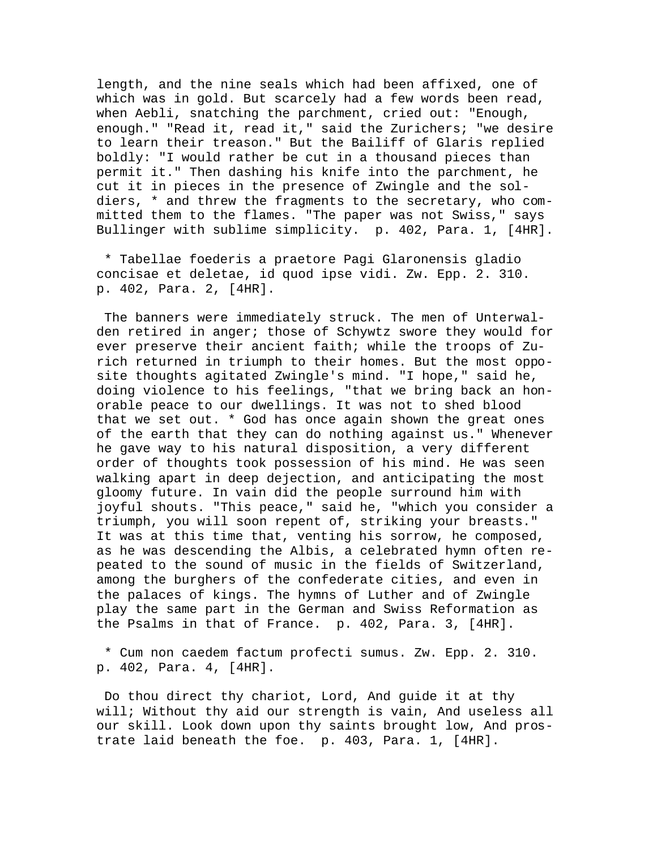length, and the nine seals which had been affixed, one of which was in gold. But scarcely had a few words been read, when Aebli, snatching the parchment, cried out: "Enough, enough." "Read it, read it," said the Zurichers; "we desire to learn their treason." But the Bailiff of Glaris replied boldly: "I would rather be cut in a thousand pieces than permit it." Then dashing his knife into the parchment, he cut it in pieces in the presence of Zwingle and the soldiers, \* and threw the fragments to the secretary, who committed them to the flames. "The paper was not Swiss," says Bullinger with sublime simplicity. p. 402, Para. 1, [4HR].

 \* Tabellae foederis a praetore Pagi Glaronensis gladio concisae et deletae, id quod ipse vidi. Zw. Epp. 2. 310. p. 402, Para. 2, [4HR].

 The banners were immediately struck. The men of Unterwalden retired in anger; those of Schywtz swore they would for ever preserve their ancient faith; while the troops of Zurich returned in triumph to their homes. But the most opposite thoughts agitated Zwingle's mind. "I hope," said he, doing violence to his feelings, "that we bring back an honorable peace to our dwellings. It was not to shed blood that we set out. \* God has once again shown the great ones of the earth that they can do nothing against us." Whenever he gave way to his natural disposition, a very different order of thoughts took possession of his mind. He was seen walking apart in deep dejection, and anticipating the most gloomy future. In vain did the people surround him with joyful shouts. "This peace," said he, "which you consider a triumph, you will soon repent of, striking your breasts." It was at this time that, venting his sorrow, he composed, as he was descending the Albis, a celebrated hymn often repeated to the sound of music in the fields of Switzerland, among the burghers of the confederate cities, and even in the palaces of kings. The hymns of Luther and of Zwingle play the same part in the German and Swiss Reformation as the Psalms in that of France. p. 402, Para. 3, [4HR].

 \* Cum non caedem factum profecti sumus. Zw. Epp. 2. 310. p. 402, Para. 4, [4HR].

 Do thou direct thy chariot, Lord, And guide it at thy will; Without thy aid our strength is vain, And useless all our skill. Look down upon thy saints brought low, And prostrate laid beneath the foe. p. 403, Para. 1, [4HR].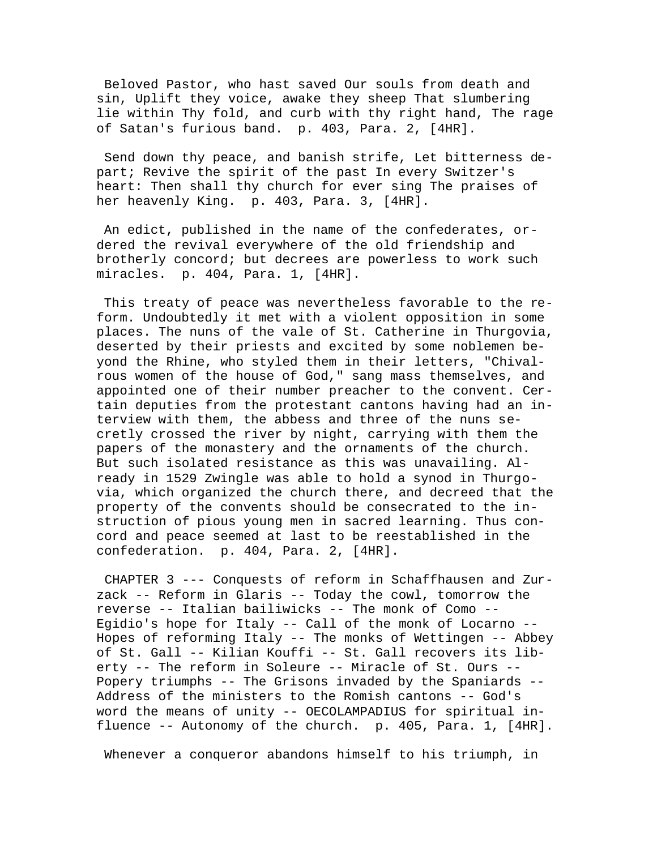Beloved Pastor, who hast saved Our souls from death and sin, Uplift they voice, awake they sheep That slumbering lie within Thy fold, and curb with thy right hand, The rage of Satan's furious band. p. 403, Para. 2, [4HR].

 Send down thy peace, and banish strife, Let bitterness depart; Revive the spirit of the past In every Switzer's heart: Then shall thy church for ever sing The praises of her heavenly King. p. 403, Para. 3, [4HR].

 An edict, published in the name of the confederates, ordered the revival everywhere of the old friendship and brotherly concord; but decrees are powerless to work such miracles. p. 404, Para. 1, [4HR].

 This treaty of peace was nevertheless favorable to the reform. Undoubtedly it met with a violent opposition in some places. The nuns of the vale of St. Catherine in Thurgovia, deserted by their priests and excited by some noblemen beyond the Rhine, who styled them in their letters, "Chivalrous women of the house of God," sang mass themselves, and appointed one of their number preacher to the convent. Certain deputies from the protestant cantons having had an interview with them, the abbess and three of the nuns secretly crossed the river by night, carrying with them the papers of the monastery and the ornaments of the church. But such isolated resistance as this was unavailing. Already in 1529 Zwingle was able to hold a synod in Thurgovia, which organized the church there, and decreed that the property of the convents should be consecrated to the instruction of pious young men in sacred learning. Thus concord and peace seemed at last to be reestablished in the confederation. p. 404, Para. 2, [4HR].

 CHAPTER 3 --- Conquests of reform in Schaffhausen and Zurzack -- Reform in Glaris -- Today the cowl, tomorrow the reverse -- Italian bailiwicks -- The monk of Como -- Egidio's hope for Italy -- Call of the monk of Locarno -- Hopes of reforming Italy -- The monks of Wettingen -- Abbey of St. Gall -- Kilian Kouffi -- St. Gall recovers its liberty -- The reform in Soleure -- Miracle of St. Ours -- Popery triumphs -- The Grisons invaded by the Spaniards -- Address of the ministers to the Romish cantons -- God's word the means of unity -- OECOLAMPADIUS for spiritual influence -- Autonomy of the church. p. 405, Para. 1, [4HR].

Whenever a conqueror abandons himself to his triumph, in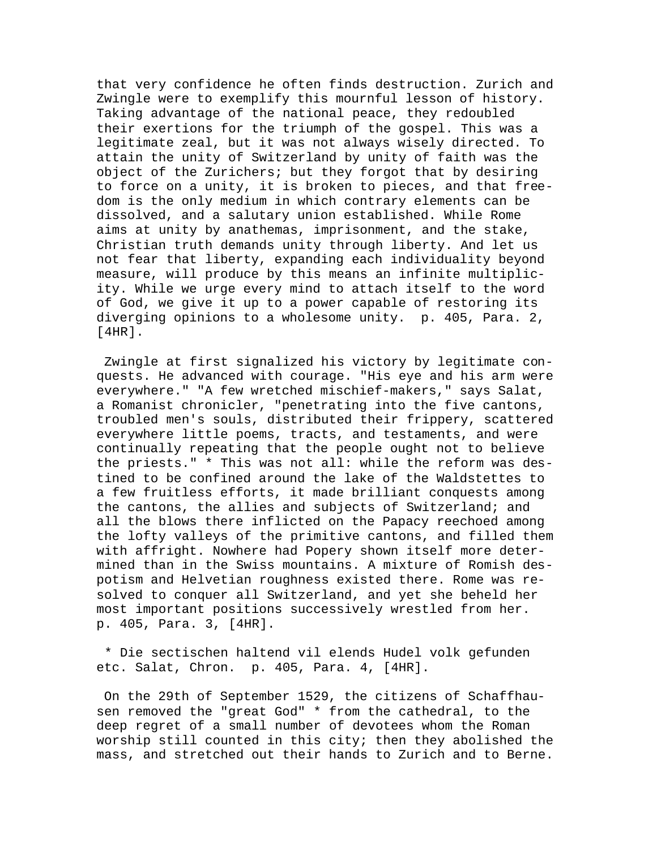that very confidence he often finds destruction. Zurich and Zwingle were to exemplify this mournful lesson of history. Taking advantage of the national peace, they redoubled their exertions for the triumph of the gospel. This was a legitimate zeal, but it was not always wisely directed. To attain the unity of Switzerland by unity of faith was the object of the Zurichers; but they forgot that by desiring to force on a unity, it is broken to pieces, and that freedom is the only medium in which contrary elements can be dissolved, and a salutary union established. While Rome aims at unity by anathemas, imprisonment, and the stake, Christian truth demands unity through liberty. And let us not fear that liberty, expanding each individuality beyond measure, will produce by this means an infinite multiplicity. While we urge every mind to attach itself to the word of God, we give it up to a power capable of restoring its diverging opinions to a wholesome unity. p. 405, Para. 2, [4HR].

 Zwingle at first signalized his victory by legitimate conquests. He advanced with courage. "His eye and his arm were everywhere." "A few wretched mischief-makers," says Salat, a Romanist chronicler, "penetrating into the five cantons, troubled men's souls, distributed their frippery, scattered everywhere little poems, tracts, and testaments, and were continually repeating that the people ought not to believe the priests." \* This was not all: while the reform was destined to be confined around the lake of the Waldstettes to a few fruitless efforts, it made brilliant conquests among the cantons, the allies and subjects of Switzerland; and all the blows there inflicted on the Papacy reechoed among the lofty valleys of the primitive cantons, and filled them with affright. Nowhere had Popery shown itself more determined than in the Swiss mountains. A mixture of Romish despotism and Helvetian roughness existed there. Rome was resolved to conquer all Switzerland, and yet she beheld her most important positions successively wrestled from her. p. 405, Para. 3, [4HR].

 \* Die sectischen haltend vil elends Hudel volk gefunden etc. Salat, Chron. p. 405, Para. 4, [4HR].

 On the 29th of September 1529, the citizens of Schaffhausen removed the "great God" \* from the cathedral, to the deep regret of a small number of devotees whom the Roman worship still counted in this city; then they abolished the mass, and stretched out their hands to Zurich and to Berne.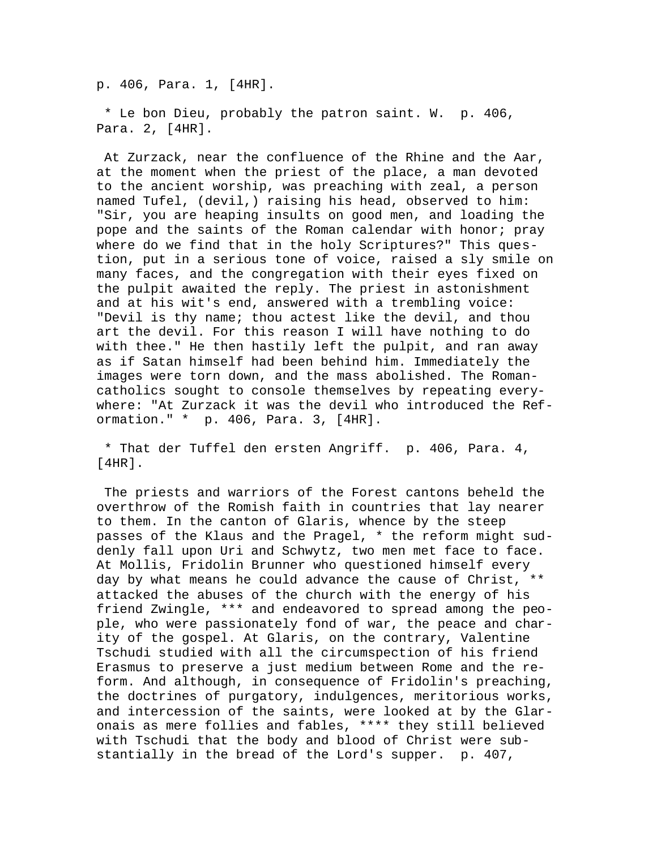p. 406, Para. 1, [4HR].

 \* Le bon Dieu, probably the patron saint. W. p. 406, Para. 2, [4HR].

 At Zurzack, near the confluence of the Rhine and the Aar, at the moment when the priest of the place, a man devoted to the ancient worship, was preaching with zeal, a person named Tufel, (devil,) raising his head, observed to him: "Sir, you are heaping insults on good men, and loading the pope and the saints of the Roman calendar with honor; pray where do we find that in the holy Scriptures?" This question, put in a serious tone of voice, raised a sly smile on many faces, and the congregation with their eyes fixed on the pulpit awaited the reply. The priest in astonishment and at his wit's end, answered with a trembling voice: "Devil is thy name; thou actest like the devil, and thou art the devil. For this reason I will have nothing to do with thee." He then hastily left the pulpit, and ran away as if Satan himself had been behind him. Immediately the images were torn down, and the mass abolished. The Romancatholics sought to console themselves by repeating everywhere: "At Zurzack it was the devil who introduced the Reformation." \* p. 406, Para. 3, [4HR].

 \* That der Tuffel den ersten Angriff. p. 406, Para. 4, [4HR].

 The priests and warriors of the Forest cantons beheld the overthrow of the Romish faith in countries that lay nearer to them. In the canton of Glaris, whence by the steep passes of the Klaus and the Pragel, \* the reform might suddenly fall upon Uri and Schwytz, two men met face to face. At Mollis, Fridolin Brunner who questioned himself every day by what means he could advance the cause of Christ, \*\* attacked the abuses of the church with the energy of his friend Zwingle, \*\*\* and endeavored to spread among the people, who were passionately fond of war, the peace and charity of the gospel. At Glaris, on the contrary, Valentine Tschudi studied with all the circumspection of his friend Erasmus to preserve a just medium between Rome and the reform. And although, in consequence of Fridolin's preaching, the doctrines of purgatory, indulgences, meritorious works, and intercession of the saints, were looked at by the Glaronais as mere follies and fables, \*\*\*\* they still believed with Tschudi that the body and blood of Christ were substantially in the bread of the Lord's supper. p. 407,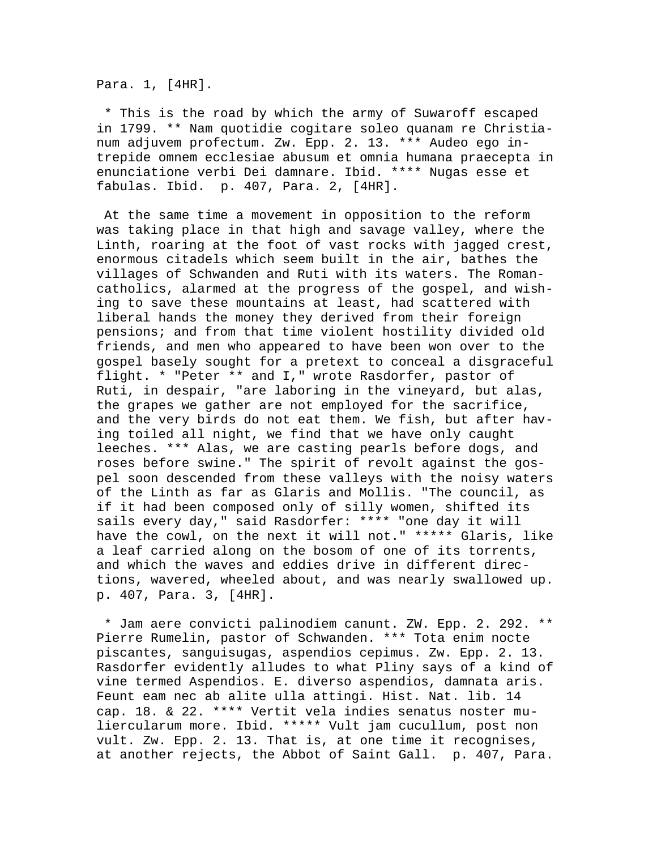Para. 1, [4HR].

 \* This is the road by which the army of Suwaroff escaped in 1799. \*\* Nam quotidie cogitare soleo quanam re Christianum adjuvem profectum. Zw. Epp. 2. 13. \*\*\* Audeo ego intrepide omnem ecclesiae abusum et omnia humana praecepta in enunciatione verbi Dei damnare. Ibid. \*\*\*\* Nugas esse et fabulas. Ibid. p. 407, Para. 2, [4HR].

 At the same time a movement in opposition to the reform was taking place in that high and savage valley, where the Linth, roaring at the foot of vast rocks with jagged crest, enormous citadels which seem built in the air, bathes the villages of Schwanden and Ruti with its waters. The Romancatholics, alarmed at the progress of the gospel, and wishing to save these mountains at least, had scattered with liberal hands the money they derived from their foreign pensions; and from that time violent hostility divided old friends, and men who appeared to have been won over to the gospel basely sought for a pretext to conceal a disgraceful flight. \* "Peter \*\* and I," wrote Rasdorfer, pastor of Ruti, in despair, "are laboring in the vineyard, but alas, the grapes we gather are not employed for the sacrifice, and the very birds do not eat them. We fish, but after having toiled all night, we find that we have only caught leeches. \*\*\* Alas, we are casting pearls before dogs, and roses before swine." The spirit of revolt against the gospel soon descended from these valleys with the noisy waters of the Linth as far as Glaris and Mollis. "The council, as if it had been composed only of silly women, shifted its sails every day," said Rasdorfer: \*\*\*\* "one day it will have the cowl, on the next it will not." \*\*\*\*\* Glaris, like a leaf carried along on the bosom of one of its torrents, and which the waves and eddies drive in different directions, wavered, wheeled about, and was nearly swallowed up. p. 407, Para. 3, [4HR].

 \* Jam aere convicti palinodiem canunt. ZW. Epp. 2. 292. \*\* Pierre Rumelin, pastor of Schwanden. \*\*\* Tota enim nocte piscantes, sanguisugas, aspendios cepimus. Zw. Epp. 2. 13. Rasdorfer evidently alludes to what Pliny says of a kind of vine termed Aspendios. E. diverso aspendios, damnata aris. Feunt eam nec ab alite ulla attingi. Hist. Nat. lib. 14 cap. 18. & 22. \*\*\*\* Vertit vela indies senatus noster muliercularum more. Ibid. \*\*\*\*\* Vult jam cucullum, post non vult. Zw. Epp. 2. 13. That is, at one time it recognises, at another rejects, the Abbot of Saint Gall. p. 407, Para.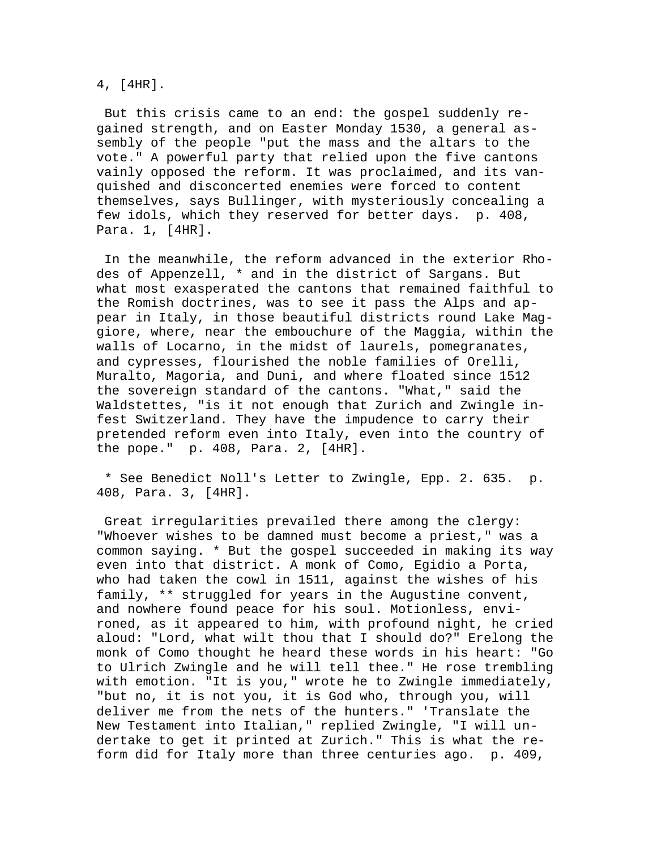4, [4HR].

 But this crisis came to an end: the gospel suddenly regained strength, and on Easter Monday 1530, a general assembly of the people "put the mass and the altars to the vote." A powerful party that relied upon the five cantons vainly opposed the reform. It was proclaimed, and its vanquished and disconcerted enemies were forced to content themselves, says Bullinger, with mysteriously concealing a few idols, which they reserved for better days. p. 408, Para. 1, [4HR].

 In the meanwhile, the reform advanced in the exterior Rhodes of Appenzell, \* and in the district of Sargans. But what most exasperated the cantons that remained faithful to the Romish doctrines, was to see it pass the Alps and appear in Italy, in those beautiful districts round Lake Maggiore, where, near the embouchure of the Maggia, within the walls of Locarno, in the midst of laurels, pomegranates, and cypresses, flourished the noble families of Orelli, Muralto, Magoria, and Duni, and where floated since 1512 the sovereign standard of the cantons. "What," said the Waldstettes, "is it not enough that Zurich and Zwingle infest Switzerland. They have the impudence to carry their pretended reform even into Italy, even into the country of the pope." p. 408, Para. 2, [4HR].

 \* See Benedict Noll's Letter to Zwingle, Epp. 2. 635. p. 408, Para. 3, [4HR].

 Great irregularities prevailed there among the clergy: "Whoever wishes to be damned must become a priest," was a common saying. \* But the gospel succeeded in making its way even into that district. A monk of Como, Egidio a Porta, who had taken the cowl in 1511, against the wishes of his family, \*\* struggled for years in the Augustine convent, and nowhere found peace for his soul. Motionless, environed, as it appeared to him, with profound night, he cried aloud: "Lord, what wilt thou that I should do?" Erelong the monk of Como thought he heard these words in his heart: "Go to Ulrich Zwingle and he will tell thee." He rose trembling with emotion. "It is you," wrote he to Zwingle immediately, "but no, it is not you, it is God who, through you, will deliver me from the nets of the hunters." 'Translate the New Testament into Italian," replied Zwingle, "I will undertake to get it printed at Zurich." This is what the reform did for Italy more than three centuries ago. p. 409,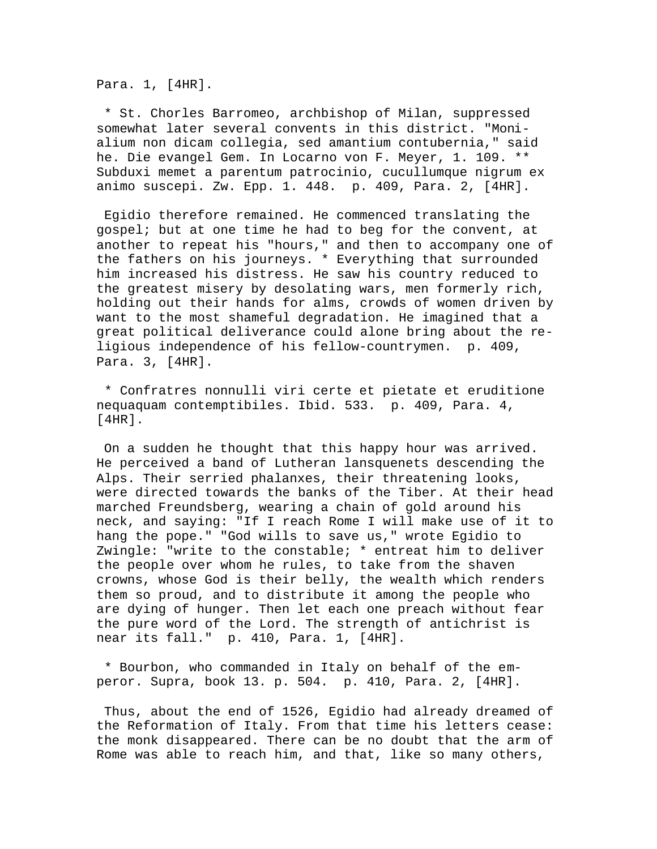Para. 1, [4HR].

 \* St. Chorles Barromeo, archbishop of Milan, suppressed somewhat later several convents in this district. "Monialium non dicam collegia, sed amantium contubernia," said he. Die evangel Gem. In Locarno von F. Meyer, 1. 109. \*\* Subduxi memet a parentum patrocinio, cucullumque nigrum ex animo suscepi. Zw. Epp. 1. 448. p. 409, Para. 2, [4HR].

 Egidio therefore remained. He commenced translating the gospel; but at one time he had to beg for the convent, at another to repeat his "hours," and then to accompany one of the fathers on his journeys. \* Everything that surrounded him increased his distress. He saw his country reduced to the greatest misery by desolating wars, men formerly rich, holding out their hands for alms, crowds of women driven by want to the most shameful degradation. He imagined that a great political deliverance could alone bring about the religious independence of his fellow-countrymen. p. 409, Para. 3, [4HR].

 \* Confratres nonnulli viri certe et pietate et eruditione nequaquam contemptibiles. Ibid. 533. p. 409, Para. 4, [4HR].

 On a sudden he thought that this happy hour was arrived. He perceived a band of Lutheran lansquenets descending the Alps. Their serried phalanxes, their threatening looks, were directed towards the banks of the Tiber. At their head marched Freundsberg, wearing a chain of gold around his neck, and saying: "If I reach Rome I will make use of it to hang the pope." "God wills to save us," wrote Egidio to Zwingle: "write to the constable; \* entreat him to deliver the people over whom he rules, to take from the shaven crowns, whose God is their belly, the wealth which renders them so proud, and to distribute it among the people who are dying of hunger. Then let each one preach without fear the pure word of the Lord. The strength of antichrist is near its fall." p. 410, Para. 1, [4HR].

 \* Bourbon, who commanded in Italy on behalf of the emperor. Supra, book 13. p. 504. p. 410, Para. 2, [4HR].

 Thus, about the end of 1526, Egidio had already dreamed of the Reformation of Italy. From that time his letters cease: the monk disappeared. There can be no doubt that the arm of Rome was able to reach him, and that, like so many others,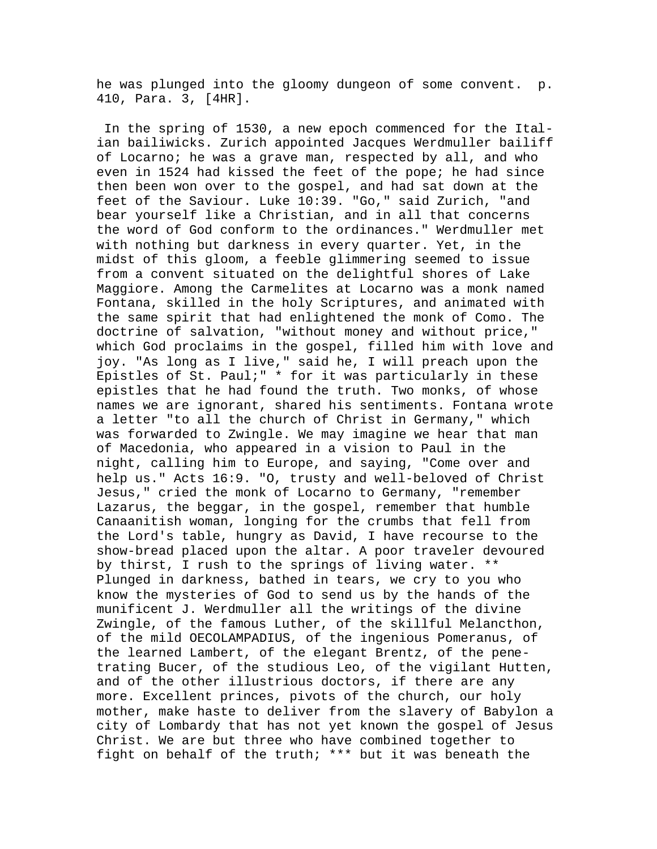he was plunged into the gloomy dungeon of some convent. p. 410, Para. 3, [4HR].

 In the spring of 1530, a new epoch commenced for the Italian bailiwicks. Zurich appointed Jacques Werdmuller bailiff of Locarno; he was a grave man, respected by all, and who even in 1524 had kissed the feet of the pope; he had since then been won over to the gospel, and had sat down at the feet of the Saviour. Luke 10:39. "Go," said Zurich, "and bear yourself like a Christian, and in all that concerns the word of God conform to the ordinances." Werdmuller met with nothing but darkness in every quarter. Yet, in the midst of this gloom, a feeble glimmering seemed to issue from a convent situated on the delightful shores of Lake Maggiore. Among the Carmelites at Locarno was a monk named Fontana, skilled in the holy Scriptures, and animated with the same spirit that had enlightened the monk of Como. The doctrine of salvation, "without money and without price," which God proclaims in the gospel, filled him with love and joy. "As long as I live," said he, I will preach upon the Epistles of St. Paul;" \* for it was particularly in these epistles that he had found the truth. Two monks, of whose names we are ignorant, shared his sentiments. Fontana wrote a letter "to all the church of Christ in Germany," which was forwarded to Zwingle. We may imagine we hear that man of Macedonia, who appeared in a vision to Paul in the night, calling him to Europe, and saying, "Come over and help us." Acts 16:9. "O, trusty and well-beloved of Christ Jesus," cried the monk of Locarno to Germany, "remember Lazarus, the beggar, in the gospel, remember that humble Canaanitish woman, longing for the crumbs that fell from the Lord's table, hungry as David, I have recourse to the show-bread placed upon the altar. A poor traveler devoured by thirst, I rush to the springs of living water. \*\* Plunged in darkness, bathed in tears, we cry to you who know the mysteries of God to send us by the hands of the munificent J. Werdmuller all the writings of the divine Zwingle, of the famous Luther, of the skillful Melancthon, of the mild OECOLAMPADIUS, of the ingenious Pomeranus, of the learned Lambert, of the elegant Brentz, of the penetrating Bucer, of the studious Leo, of the vigilant Hutten, and of the other illustrious doctors, if there are any more. Excellent princes, pivots of the church, our holy mother, make haste to deliver from the slavery of Babylon a city of Lombardy that has not yet known the gospel of Jesus Christ. We are but three who have combined together to fight on behalf of the truth; \*\*\* but it was beneath the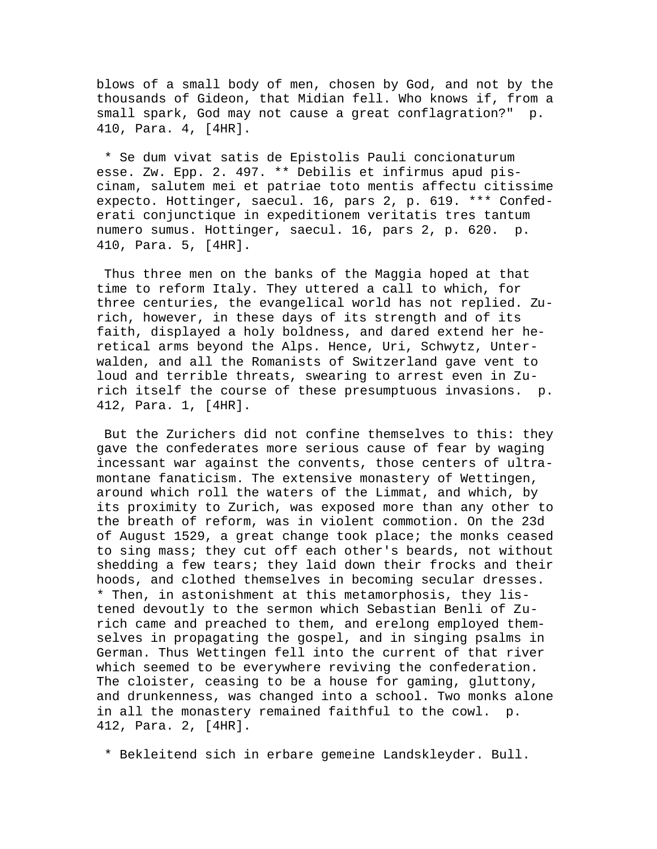blows of a small body of men, chosen by God, and not by the thousands of Gideon, that Midian fell. Who knows if, from a small spark, God may not cause a great conflagration?" p. 410, Para. 4, [4HR].

 \* Se dum vivat satis de Epistolis Pauli concionaturum esse. Zw. Epp. 2. 497. \*\* Debilis et infirmus apud piscinam, salutem mei et patriae toto mentis affectu citissime expecto. Hottinger, saecul. 16, pars 2, p. 619. \*\*\* Confederati conjunctique in expeditionem veritatis tres tantum numero sumus. Hottinger, saecul. 16, pars 2, p. 620. p. 410, Para. 5, [4HR].

 Thus three men on the banks of the Maggia hoped at that time to reform Italy. They uttered a call to which, for three centuries, the evangelical world has not replied. Zurich, however, in these days of its strength and of its faith, displayed a holy boldness, and dared extend her heretical arms beyond the Alps. Hence, Uri, Schwytz, Unterwalden, and all the Romanists of Switzerland gave vent to loud and terrible threats, swearing to arrest even in Zurich itself the course of these presumptuous invasions. p. 412, Para. 1, [4HR].

 But the Zurichers did not confine themselves to this: they gave the confederates more serious cause of fear by waging incessant war against the convents, those centers of ultramontane fanaticism. The extensive monastery of Wettingen, around which roll the waters of the Limmat, and which, by its proximity to Zurich, was exposed more than any other to the breath of reform, was in violent commotion. On the 23d of August 1529, a great change took place; the monks ceased to sing mass; they cut off each other's beards, not without shedding a few tears; they laid down their frocks and their hoods, and clothed themselves in becoming secular dresses. \* Then, in astonishment at this metamorphosis, they listened devoutly to the sermon which Sebastian Benli of Zurich came and preached to them, and erelong employed themselves in propagating the gospel, and in singing psalms in German. Thus Wettingen fell into the current of that river which seemed to be everywhere reviving the confederation. The cloister, ceasing to be a house for gaming, gluttony, and drunkenness, was changed into a school. Two monks alone in all the monastery remained faithful to the cowl. p. 412, Para. 2, [4HR].

\* Bekleitend sich in erbare gemeine Landskleyder. Bull.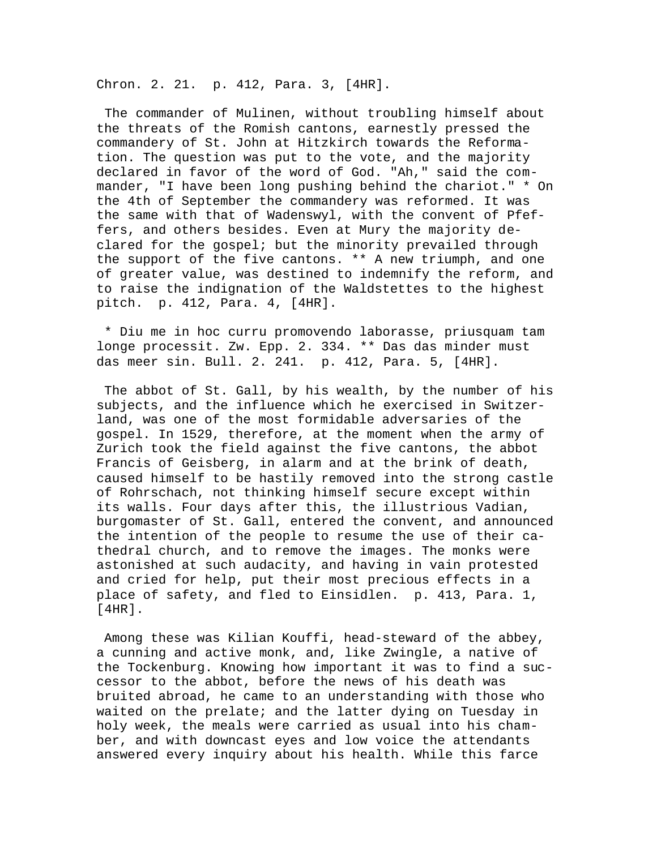Chron. 2. 21. p. 412, Para. 3, [4HR].

 The commander of Mulinen, without troubling himself about the threats of the Romish cantons, earnestly pressed the commandery of St. John at Hitzkirch towards the Reformation. The question was put to the vote, and the majority declared in favor of the word of God. "Ah," said the commander, "I have been long pushing behind the chariot." \* On the 4th of September the commandery was reformed. It was the same with that of Wadenswyl, with the convent of Pfeffers, and others besides. Even at Mury the majority declared for the gospel; but the minority prevailed through the support of the five cantons. \*\* A new triumph, and one of greater value, was destined to indemnify the reform, and to raise the indignation of the Waldstettes to the highest pitch. p. 412, Para. 4, [4HR].

 \* Diu me in hoc curru promovendo laborasse, priusquam tam longe processit. Zw. Epp. 2. 334. \*\* Das das minder must das meer sin. Bull. 2. 241. p. 412, Para. 5, [4HR].

 The abbot of St. Gall, by his wealth, by the number of his subjects, and the influence which he exercised in Switzerland, was one of the most formidable adversaries of the gospel. In 1529, therefore, at the moment when the army of Zurich took the field against the five cantons, the abbot Francis of Geisberg, in alarm and at the brink of death, caused himself to be hastily removed into the strong castle of Rohrschach, not thinking himself secure except within its walls. Four days after this, the illustrious Vadian, burgomaster of St. Gall, entered the convent, and announced the intention of the people to resume the use of their cathedral church, and to remove the images. The monks were astonished at such audacity, and having in vain protested and cried for help, put their most precious effects in a place of safety, and fled to Einsidlen. p. 413, Para. 1, [4HR].

 Among these was Kilian Kouffi, head-steward of the abbey, a cunning and active monk, and, like Zwingle, a native of the Tockenburg. Knowing how important it was to find a successor to the abbot, before the news of his death was bruited abroad, he came to an understanding with those who waited on the prelate; and the latter dying on Tuesday in holy week, the meals were carried as usual into his chamber, and with downcast eyes and low voice the attendants answered every inquiry about his health. While this farce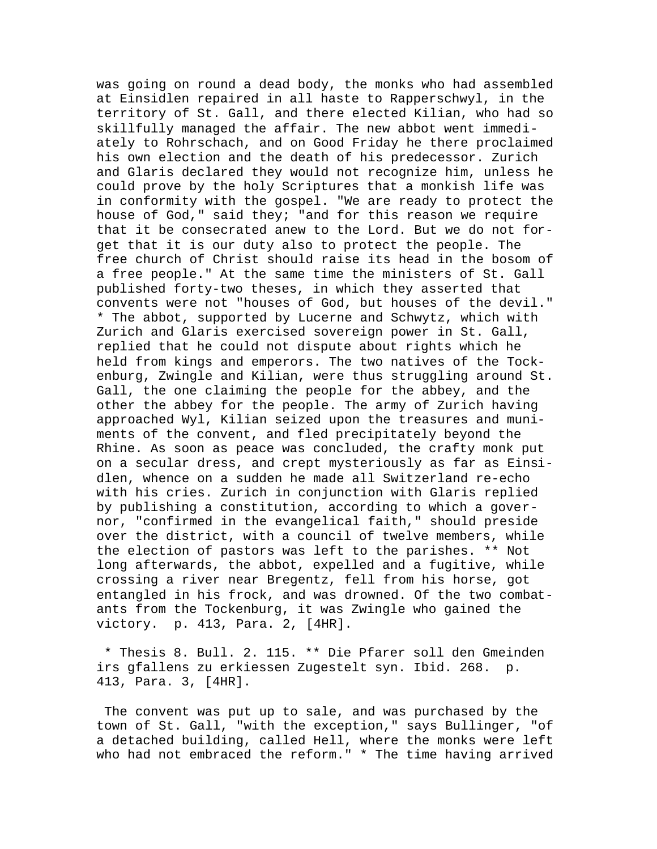was going on round a dead body, the monks who had assembled at Einsidlen repaired in all haste to Rapperschwyl, in the territory of St. Gall, and there elected Kilian, who had so skillfully managed the affair. The new abbot went immediately to Rohrschach, and on Good Friday he there proclaimed his own election and the death of his predecessor. Zurich and Glaris declared they would not recognize him, unless he could prove by the holy Scriptures that a monkish life was in conformity with the gospel. "We are ready to protect the house of God," said they; "and for this reason we require that it be consecrated anew to the Lord. But we do not forget that it is our duty also to protect the people. The free church of Christ should raise its head in the bosom of a free people." At the same time the ministers of St. Gall published forty-two theses, in which they asserted that convents were not "houses of God, but houses of the devil." \* The abbot, supported by Lucerne and Schwytz, which with Zurich and Glaris exercised sovereign power in St. Gall, replied that he could not dispute about rights which he held from kings and emperors. The two natives of the Tockenburg, Zwingle and Kilian, were thus struggling around St. Gall, the one claiming the people for the abbey, and the other the abbey for the people. The army of Zurich having approached Wyl, Kilian seized upon the treasures and muniments of the convent, and fled precipitately beyond the Rhine. As soon as peace was concluded, the crafty monk put on a secular dress, and crept mysteriously as far as Einsidlen, whence on a sudden he made all Switzerland re-echo with his cries. Zurich in conjunction with Glaris replied by publishing a constitution, according to which a governor, "confirmed in the evangelical faith," should preside over the district, with a council of twelve members, while the election of pastors was left to the parishes. \*\* Not long afterwards, the abbot, expelled and a fugitive, while crossing a river near Bregentz, fell from his horse, got entangled in his frock, and was drowned. Of the two combatants from the Tockenburg, it was Zwingle who gained the victory. p. 413, Para. 2, [4HR].

 \* Thesis 8. Bull. 2. 115. \*\* Die Pfarer soll den Gmeinden irs gfallens zu erkiessen Zugestelt syn. Ibid. 268. p. 413, Para. 3, [4HR].

 The convent was put up to sale, and was purchased by the town of St. Gall, "with the exception," says Bullinger, "of a detached building, called Hell, where the monks were left who had not embraced the reform." \* The time having arrived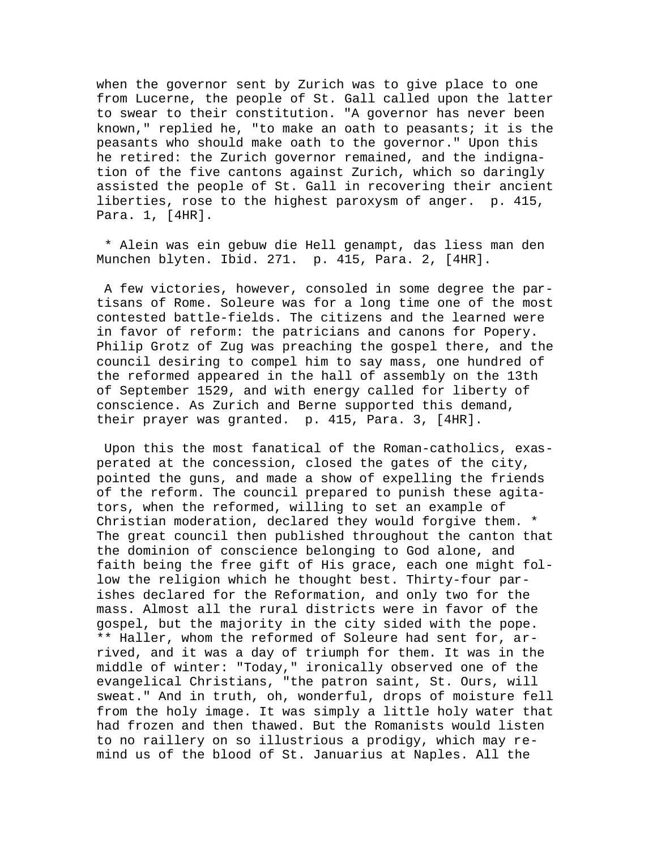when the governor sent by Zurich was to give place to one from Lucerne, the people of St. Gall called upon the latter to swear to their constitution. "A governor has never been known," replied he, "to make an oath to peasants; it is the peasants who should make oath to the governor." Upon this he retired: the Zurich governor remained, and the indignation of the five cantons against Zurich, which so daringly assisted the people of St. Gall in recovering their ancient liberties, rose to the highest paroxysm of anger. p. 415, Para. 1, [4HR].

 \* Alein was ein gebuw die Hell genampt, das liess man den Munchen blyten. Ibid. 271. p. 415, Para. 2, [4HR].

 A few victories, however, consoled in some degree the partisans of Rome. Soleure was for a long time one of the most contested battle-fields. The citizens and the learned were in favor of reform: the patricians and canons for Popery. Philip Grotz of Zug was preaching the gospel there, and the council desiring to compel him to say mass, one hundred of the reformed appeared in the hall of assembly on the 13th of September 1529, and with energy called for liberty of conscience. As Zurich and Berne supported this demand, their prayer was granted. p. 415, Para. 3, [4HR].

 Upon this the most fanatical of the Roman-catholics, exasperated at the concession, closed the gates of the city, pointed the guns, and made a show of expelling the friends of the reform. The council prepared to punish these agitators, when the reformed, willing to set an example of Christian moderation, declared they would forgive them. \* The great council then published throughout the canton that the dominion of conscience belonging to God alone, and faith being the free gift of His grace, each one might follow the religion which he thought best. Thirty-four parishes declared for the Reformation, and only two for the mass. Almost all the rural districts were in favor of the gospel, but the majority in the city sided with the pope. \*\* Haller, whom the reformed of Soleure had sent for, arrived, and it was a day of triumph for them. It was in the middle of winter: "Today," ironically observed one of the evangelical Christians, "the patron saint, St. Ours, will sweat." And in truth, oh, wonderful, drops of moisture fell from the holy image. It was simply a little holy water that had frozen and then thawed. But the Romanists would listen to no raillery on so illustrious a prodigy, which may remind us of the blood of St. Januarius at Naples. All the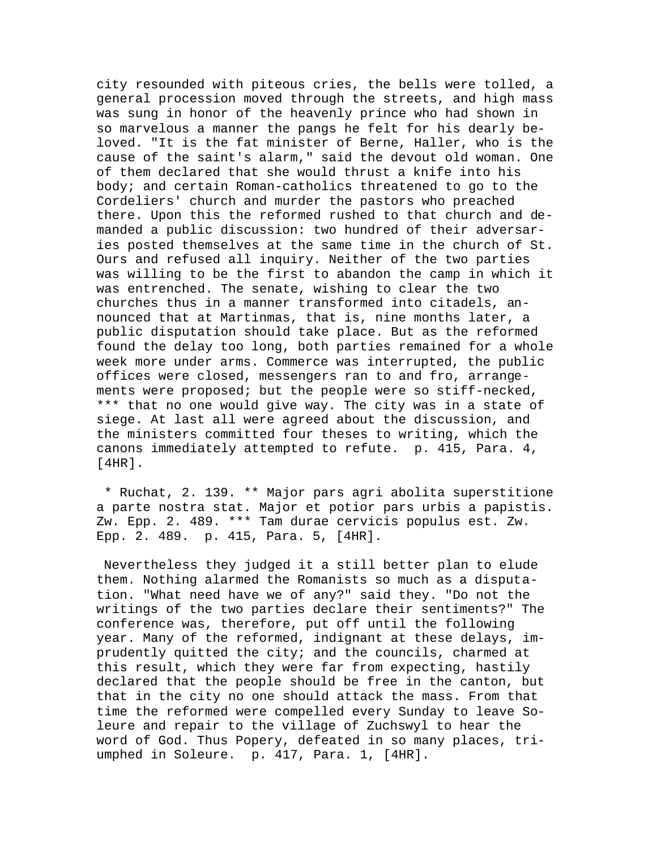city resounded with piteous cries, the bells were tolled, a general procession moved through the streets, and high mass was sung in honor of the heavenly prince who had shown in so marvelous a manner the pangs he felt for his dearly beloved. "It is the fat minister of Berne, Haller, who is the cause of the saint's alarm," said the devout old woman. One of them declared that she would thrust a knife into his body; and certain Roman-catholics threatened to go to the Cordeliers' church and murder the pastors who preached there. Upon this the reformed rushed to that church and demanded a public discussion: two hundred of their adversaries posted themselves at the same time in the church of St. Ours and refused all inquiry. Neither of the two parties was willing to be the first to abandon the camp in which it was entrenched. The senate, wishing to clear the two churches thus in a manner transformed into citadels, announced that at Martinmas, that is, nine months later, a public disputation should take place. But as the reformed found the delay too long, both parties remained for a whole week more under arms. Commerce was interrupted, the public offices were closed, messengers ran to and fro, arrangements were proposed; but the people were so stiff-necked, \*\*\* that no one would give way. The city was in a state of siege. At last all were agreed about the discussion, and the ministers committed four theses to writing, which the canons immediately attempted to refute. p. 415, Para. 4,  $[4HR]$ .

 \* Ruchat, 2. 139. \*\* Major pars agri abolita superstitione a parte nostra stat. Major et potior pars urbis a papistis. Zw. Epp. 2. 489. \*\*\* Tam durae cervicis populus est. Zw. Epp. 2. 489. p. 415, Para. 5, [4HR].

 Nevertheless they judged it a still better plan to elude them. Nothing alarmed the Romanists so much as a disputation. "What need have we of any?" said they. "Do not the writings of the two parties declare their sentiments?" The conference was, therefore, put off until the following year. Many of the reformed, indignant at these delays, imprudently quitted the city; and the councils, charmed at this result, which they were far from expecting, hastily declared that the people should be free in the canton, but that in the city no one should attack the mass. From that time the reformed were compelled every Sunday to leave Soleure and repair to the village of Zuchswyl to hear the word of God. Thus Popery, defeated in so many places, triumphed in Soleure. p. 417, Para. 1, [4HR].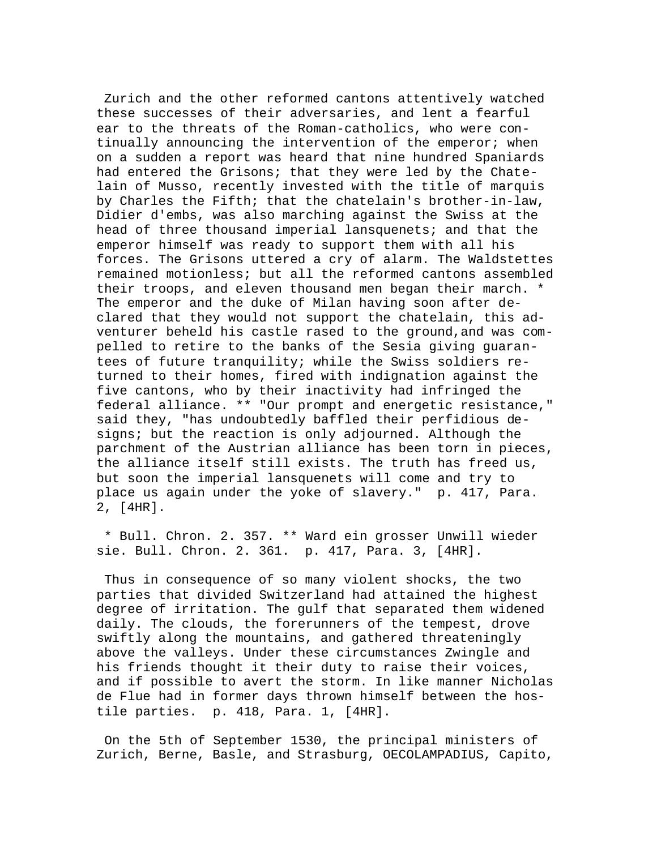Zurich and the other reformed cantons attentively watched these successes of their adversaries, and lent a fearful ear to the threats of the Roman-catholics, who were continually announcing the intervention of the emperor; when on a sudden a report was heard that nine hundred Spaniards had entered the Grisons; that they were led by the Chatelain of Musso, recently invested with the title of marquis by Charles the Fifth; that the chatelain's brother-in-law, Didier d'embs, was also marching against the Swiss at the head of three thousand imperial lansquenets; and that the emperor himself was ready to support them with all his forces. The Grisons uttered a cry of alarm. The Waldstettes remained motionless; but all the reformed cantons assembled their troops, and eleven thousand men began their march. \* The emperor and the duke of Milan having soon after declared that they would not support the chatelain, this adventurer beheld his castle rased to the ground,and was compelled to retire to the banks of the Sesia giving guarantees of future tranquility; while the Swiss soldiers returned to their homes, fired with indignation against the five cantons, who by their inactivity had infringed the federal alliance. \*\* "Our prompt and energetic resistance," said they, "has undoubtedly baffled their perfidious designs; but the reaction is only adjourned. Although the parchment of the Austrian alliance has been torn in pieces, the alliance itself still exists. The truth has freed us, but soon the imperial lansquenets will come and try to place us again under the yoke of slavery." p. 417, Para. 2, [4HR].

 \* Bull. Chron. 2. 357. \*\* Ward ein grosser Unwill wieder sie. Bull. Chron. 2. 361. p. 417, Para. 3, [4HR].

 Thus in consequence of so many violent shocks, the two parties that divided Switzerland had attained the highest degree of irritation. The gulf that separated them widened daily. The clouds, the forerunners of the tempest, drove swiftly along the mountains, and gathered threateningly above the valleys. Under these circumstances Zwingle and his friends thought it their duty to raise their voices, and if possible to avert the storm. In like manner Nicholas de Flue had in former days thrown himself between the hostile parties. p. 418, Para. 1, [4HR].

 On the 5th of September 1530, the principal ministers of Zurich, Berne, Basle, and Strasburg, OECOLAMPADIUS, Capito,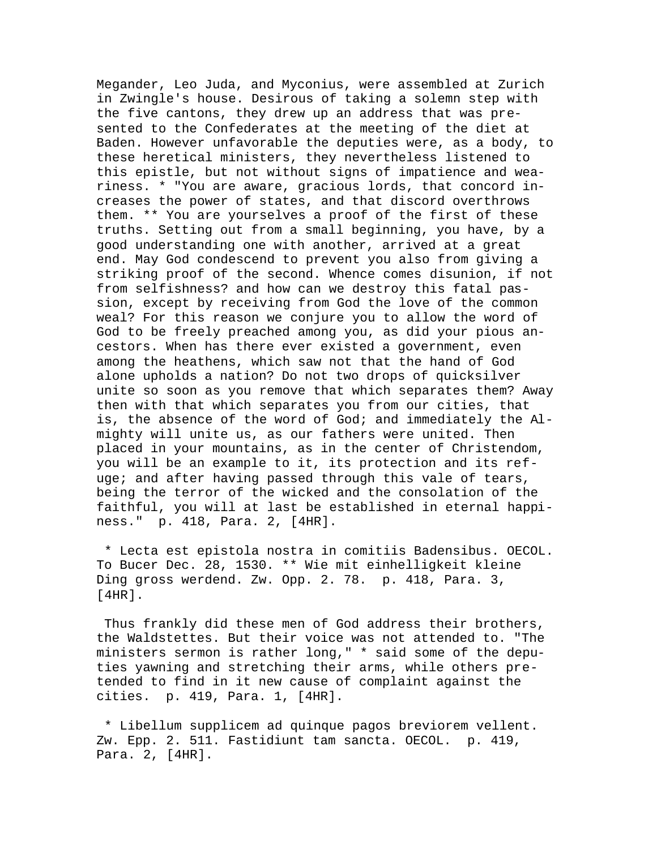Megander, Leo Juda, and Myconius, were assembled at Zurich in Zwingle's house. Desirous of taking a solemn step with the five cantons, they drew up an address that was presented to the Confederates at the meeting of the diet at Baden. However unfavorable the deputies were, as a body, to these heretical ministers, they nevertheless listened to this epistle, but not without signs of impatience and weariness. \* "You are aware, gracious lords, that concord increases the power of states, and that discord overthrows them. \*\* You are yourselves a proof of the first of these truths. Setting out from a small beginning, you have, by a good understanding one with another, arrived at a great end. May God condescend to prevent you also from giving a striking proof of the second. Whence comes disunion, if not from selfishness? and how can we destroy this fatal passion, except by receiving from God the love of the common weal? For this reason we conjure you to allow the word of God to be freely preached among you, as did your pious ancestors. When has there ever existed a government, even among the heathens, which saw not that the hand of God alone upholds a nation? Do not two drops of quicksilver unite so soon as you remove that which separates them? Away then with that which separates you from our cities, that is, the absence of the word of God; and immediately the Almighty will unite us, as our fathers were united. Then placed in your mountains, as in the center of Christendom, you will be an example to it, its protection and its refuge; and after having passed through this vale of tears, being the terror of the wicked and the consolation of the faithful, you will at last be established in eternal happiness." p. 418, Para. 2, [4HR].

 \* Lecta est epistola nostra in comitiis Badensibus. OECOL. To Bucer Dec. 28, 1530. \*\* Wie mit einhelligkeit kleine Ding gross werdend. Zw. Opp. 2. 78. p. 418, Para. 3, [4HR].

 Thus frankly did these men of God address their brothers, the Waldstettes. But their voice was not attended to. "The ministers sermon is rather long," \* said some of the deputies yawning and stretching their arms, while others pretended to find in it new cause of complaint against the cities. p. 419, Para. 1, [4HR].

 \* Libellum supplicem ad quinque pagos breviorem vellent. Zw. Epp. 2. 511. Fastidiunt tam sancta. OECOL. p. 419, Para. 2, [4HR].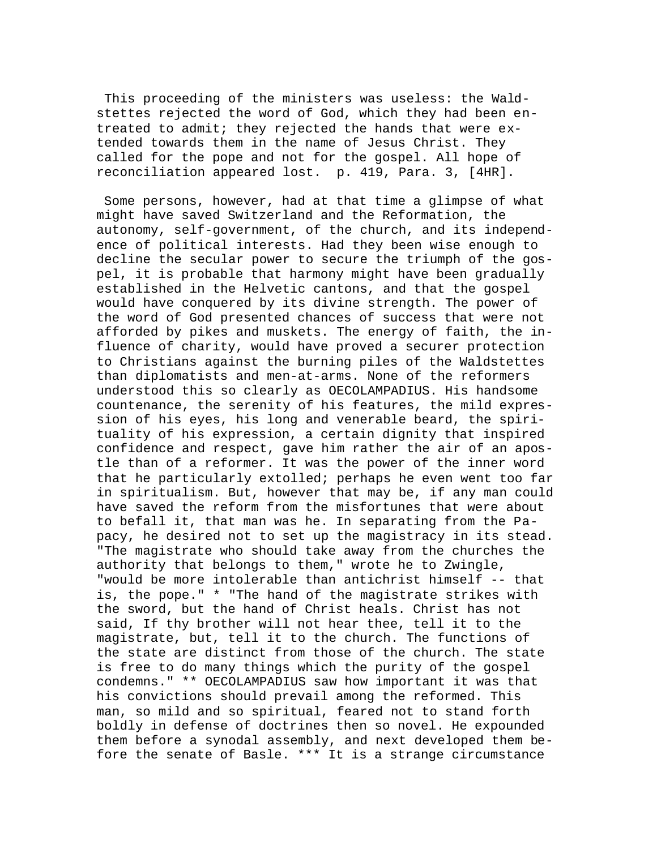This proceeding of the ministers was useless: the Waldstettes rejected the word of God, which they had been entreated to admit; they rejected the hands that were extended towards them in the name of Jesus Christ. They called for the pope and not for the gospel. All hope of reconciliation appeared lost. p. 419, Para. 3, [4HR].

 Some persons, however, had at that time a glimpse of what might have saved Switzerland and the Reformation, the autonomy, self-government, of the church, and its independence of political interests. Had they been wise enough to decline the secular power to secure the triumph of the gospel, it is probable that harmony might have been gradually established in the Helvetic cantons, and that the gospel would have conquered by its divine strength. The power of the word of God presented chances of success that were not afforded by pikes and muskets. The energy of faith, the influence of charity, would have proved a securer protection to Christians against the burning piles of the Waldstettes than diplomatists and men-at-arms. None of the reformers understood this so clearly as OECOLAMPADIUS. His handsome countenance, the serenity of his features, the mild expression of his eyes, his long and venerable beard, the spirituality of his expression, a certain dignity that inspired confidence and respect, gave him rather the air of an apostle than of a reformer. It was the power of the inner word that he particularly extolled; perhaps he even went too far in spiritualism. But, however that may be, if any man could have saved the reform from the misfortunes that were about to befall it, that man was he. In separating from the Papacy, he desired not to set up the magistracy in its stead. "The magistrate who should take away from the churches the authority that belongs to them," wrote he to Zwingle, "would be more intolerable than antichrist himself -- that is, the pope." \* "The hand of the magistrate strikes with the sword, but the hand of Christ heals. Christ has not said, If thy brother will not hear thee, tell it to the magistrate, but, tell it to the church. The functions of the state are distinct from those of the church. The state is free to do many things which the purity of the gospel condemns." \*\* OECOLAMPADIUS saw how important it was that his convictions should prevail among the reformed. This man, so mild and so spiritual, feared not to stand forth boldly in defense of doctrines then so novel. He expounded them before a synodal assembly, and next developed them before the senate of Basle. \*\*\* It is a strange circumstance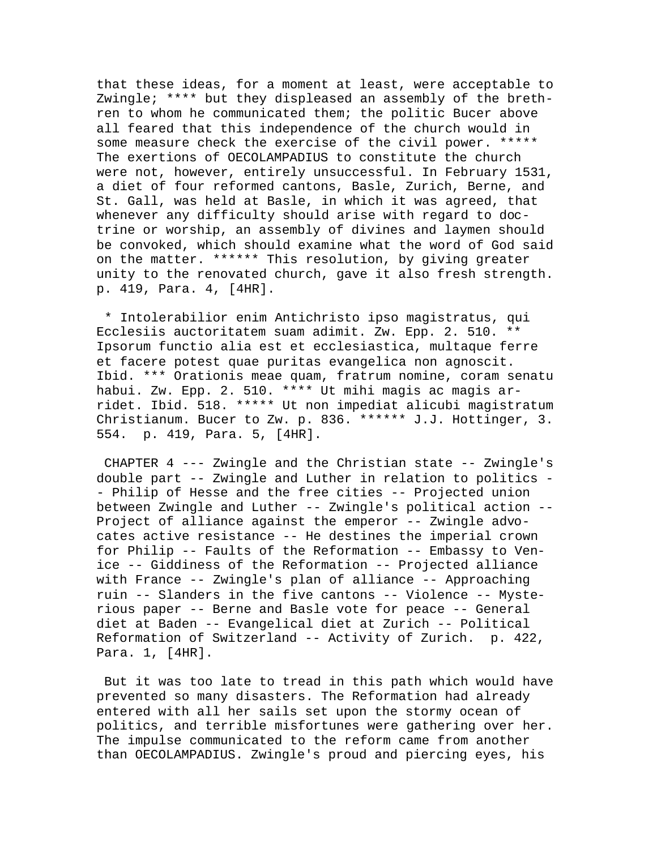that these ideas, for a moment at least, were acceptable to Zwingle; \*\*\*\* but they displeased an assembly of the brethren to whom he communicated them; the politic Bucer above all feared that this independence of the church would in some measure check the exercise of the civil power. \*\*\*\*\* The exertions of OECOLAMPADIUS to constitute the church were not, however, entirely unsuccessful. In February 1531, a diet of four reformed cantons, Basle, Zurich, Berne, and St. Gall, was held at Basle, in which it was agreed, that whenever any difficulty should arise with regard to doctrine or worship, an assembly of divines and laymen should be convoked, which should examine what the word of God said on the matter. \*\*\*\*\*\* This resolution, by giving greater unity to the renovated church, gave it also fresh strength. p. 419, Para. 4, [4HR].

 \* Intolerabilior enim Antichristo ipso magistratus, qui Ecclesiis auctoritatem suam adimit. Zw. Epp. 2. 510. \*\* Ipsorum functio alia est et ecclesiastica, multaque ferre et facere potest quae puritas evangelica non agnoscit. Ibid. \*\*\* Orationis meae quam, fratrum nomine, coram senatu habui. Zw. Epp. 2. 510. \*\*\*\* Ut mihi magis ac magis arridet. Ibid. 518. \*\*\*\*\* Ut non impediat alicubi magistratum Christianum. Bucer to Zw. p. 836. \*\*\*\*\*\* J.J. Hottinger, 3. 554. p. 419, Para. 5, [4HR].

 CHAPTER 4 --- Zwingle and the Christian state -- Zwingle's double part -- Zwingle and Luther in relation to politics - - Philip of Hesse and the free cities -- Projected union between Zwingle and Luther -- Zwingle's political action -- Project of alliance against the emperor -- Zwingle advocates active resistance -- He destines the imperial crown for Philip -- Faults of the Reformation -- Embassy to Venice -- Giddiness of the Reformation -- Projected alliance with France -- Zwingle's plan of alliance -- Approaching ruin -- Slanders in the five cantons -- Violence -- Mysterious paper -- Berne and Basle vote for peace -- General diet at Baden -- Evangelical diet at Zurich -- Political Reformation of Switzerland -- Activity of Zurich. p. 422, Para. 1, [4HR].

 But it was too late to tread in this path which would have prevented so many disasters. The Reformation had already entered with all her sails set upon the stormy ocean of politics, and terrible misfortunes were gathering over her. The impulse communicated to the reform came from another than OECOLAMPADIUS. Zwingle's proud and piercing eyes, his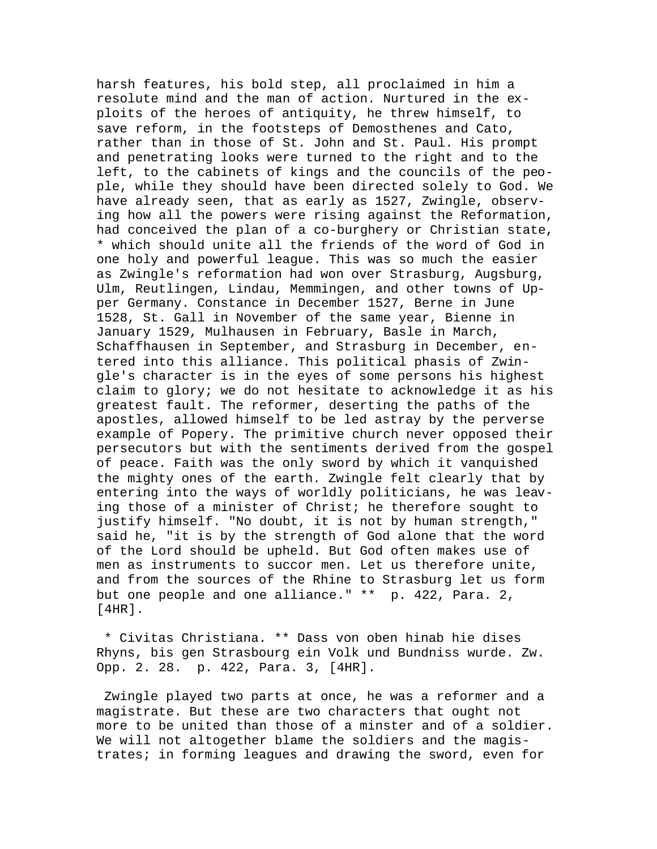harsh features, his bold step, all proclaimed in him a resolute mind and the man of action. Nurtured in the exploits of the heroes of antiquity, he threw himself, to save reform, in the footsteps of Demosthenes and Cato, rather than in those of St. John and St. Paul. His prompt and penetrating looks were turned to the right and to the left, to the cabinets of kings and the councils of the people, while they should have been directed solely to God. We have already seen, that as early as 1527, Zwingle, observing how all the powers were rising against the Reformation, had conceived the plan of a co-burghery or Christian state, \* which should unite all the friends of the word of God in one holy and powerful league. This was so much the easier as Zwingle's reformation had won over Strasburg, Augsburg, Ulm, Reutlingen, Lindau, Memmingen, and other towns of Upper Germany. Constance in December 1527, Berne in June 1528, St. Gall in November of the same year, Bienne in January 1529, Mulhausen in February, Basle in March, Schaffhausen in September, and Strasburg in December, entered into this alliance. This political phasis of Zwingle's character is in the eyes of some persons his highest claim to glory; we do not hesitate to acknowledge it as his greatest fault. The reformer, deserting the paths of the apostles, allowed himself to be led astray by the perverse example of Popery. The primitive church never opposed their persecutors but with the sentiments derived from the gospel of peace. Faith was the only sword by which it vanquished the mighty ones of the earth. Zwingle felt clearly that by entering into the ways of worldly politicians, he was leaving those of a minister of Christ; he therefore sought to justify himself. "No doubt, it is not by human strength," said he, "it is by the strength of God alone that the word of the Lord should be upheld. But God often makes use of men as instruments to succor men. Let us therefore unite, and from the sources of the Rhine to Strasburg let us form but one people and one alliance." \*\* p. 422, Para. 2, [4HR].

 \* Civitas Christiana. \*\* Dass von oben hinab hie dises Rhyns, bis gen Strasbourg ein Volk und Bundniss wurde. Zw. Opp. 2. 28. p. 422, Para. 3, [4HR].

 Zwingle played two parts at once, he was a reformer and a magistrate. But these are two characters that ought not more to be united than those of a minster and of a soldier. We will not altogether blame the soldiers and the magistrates; in forming leagues and drawing the sword, even for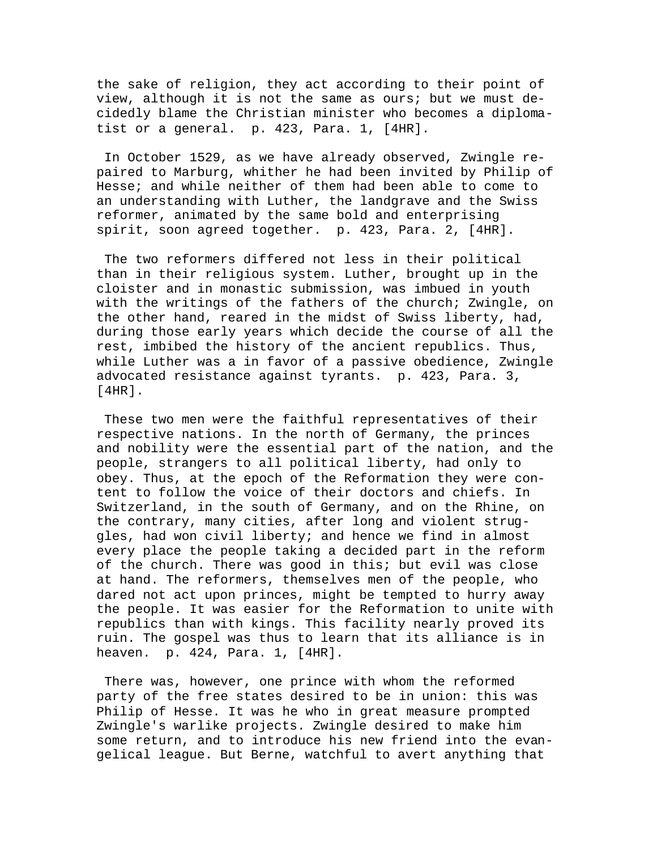the sake of religion, they act according to their point of view, although it is not the same as ours; but we must decidedly blame the Christian minister who becomes a diplomatist or a general. p. 423, Para. 1, [4HR].

 In October 1529, as we have already observed, Zwingle repaired to Marburg, whither he had been invited by Philip of Hesse; and while neither of them had been able to come to an understanding with Luther, the landgrave and the Swiss reformer, animated by the same bold and enterprising spirit, soon agreed together. p. 423, Para. 2, [4HR].

 The two reformers differed not less in their political than in their religious system. Luther, brought up in the cloister and in monastic submission, was imbued in youth with the writings of the fathers of the church; Zwingle, on the other hand, reared in the midst of Swiss liberty, had, during those early years which decide the course of all the rest, imbibed the history of the ancient republics. Thus, while Luther was a in favor of a passive obedience, Zwingle advocated resistance against tyrants. p. 423, Para. 3, [4HR].

 These two men were the faithful representatives of their respective nations. In the north of Germany, the princes and nobility were the essential part of the nation, and the people, strangers to all political liberty, had only to obey. Thus, at the epoch of the Reformation they were content to follow the voice of their doctors and chiefs. In Switzerland, in the south of Germany, and on the Rhine, on the contrary, many cities, after long and violent struggles, had won civil liberty; and hence we find in almost every place the people taking a decided part in the reform of the church. There was good in this; but evil was close at hand. The reformers, themselves men of the people, who dared not act upon princes, might be tempted to hurry away the people. It was easier for the Reformation to unite with republics than with kings. This facility nearly proved its ruin. The gospel was thus to learn that its alliance is in heaven. p. 424, Para. 1, [4HR].

 There was, however, one prince with whom the reformed party of the free states desired to be in union: this was Philip of Hesse. It was he who in great measure prompted Zwingle's warlike projects. Zwingle desired to make him some return, and to introduce his new friend into the evangelical league. But Berne, watchful to avert anything that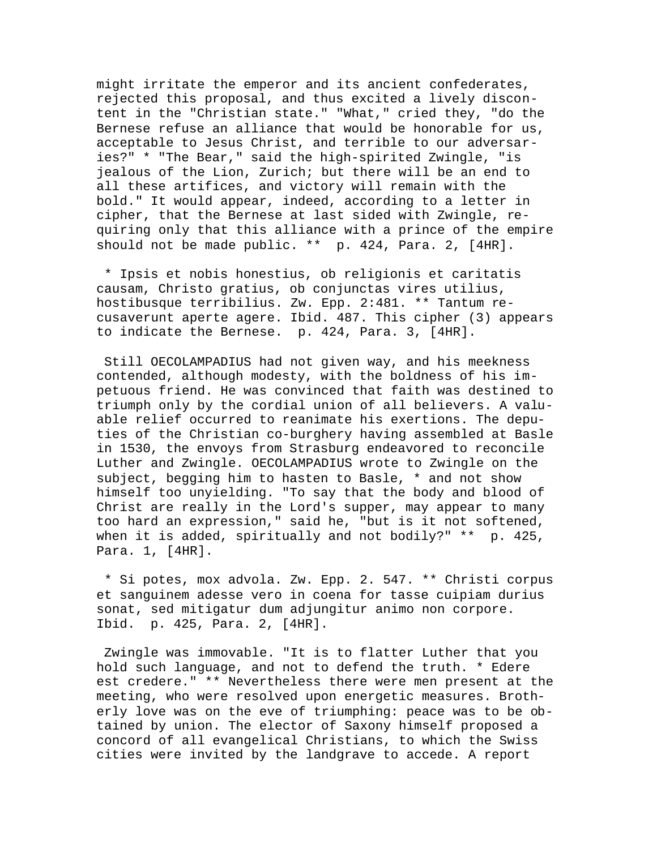might irritate the emperor and its ancient confederates, rejected this proposal, and thus excited a lively discontent in the "Christian state." "What," cried they, "do the Bernese refuse an alliance that would be honorable for us, acceptable to Jesus Christ, and terrible to our adversaries?" \* "The Bear," said the high-spirited Zwingle, "is jealous of the Lion, Zurich; but there will be an end to all these artifices, and victory will remain with the bold." It would appear, indeed, according to a letter in cipher, that the Bernese at last sided with Zwingle, requiring only that this alliance with a prince of the empire should not be made public. \*\* p. 424, Para. 2, [4HR].

 \* Ipsis et nobis honestius, ob religionis et caritatis causam, Christo gratius, ob conjunctas vires utilius, hostibusque terribilius. Zw. Epp. 2:481. \*\* Tantum recusaverunt aperte agere. Ibid. 487. This cipher (3) appears to indicate the Bernese. p. 424, Para. 3, [4HR].

 Still OECOLAMPADIUS had not given way, and his meekness contended, although modesty, with the boldness of his impetuous friend. He was convinced that faith was destined to triumph only by the cordial union of all believers. A valuable relief occurred to reanimate his exertions. The deputies of the Christian co-burghery having assembled at Basle in 1530, the envoys from Strasburg endeavored to reconcile Luther and Zwingle. OECOLAMPADIUS wrote to Zwingle on the subject, begging him to hasten to Basle, \* and not show himself too unyielding. "To say that the body and blood of Christ are really in the Lord's supper, may appear to many too hard an expression," said he, "but is it not softened, when it is added, spiritually and not bodily?" \*\* p. 425, Para. 1, [4HR].

 \* Si potes, mox advola. Zw. Epp. 2. 547. \*\* Christi corpus et sanguinem adesse vero in coena for tasse cuipiam durius sonat, sed mitigatur dum adjungitur animo non corpore. Ibid. p. 425, Para. 2, [4HR].

 Zwingle was immovable. "It is to flatter Luther that you hold such language, and not to defend the truth. \* Edere est credere." \*\* Nevertheless there were men present at the meeting, who were resolved upon energetic measures. Brotherly love was on the eve of triumphing: peace was to be obtained by union. The elector of Saxony himself proposed a concord of all evangelical Christians, to which the Swiss cities were invited by the landgrave to accede. A report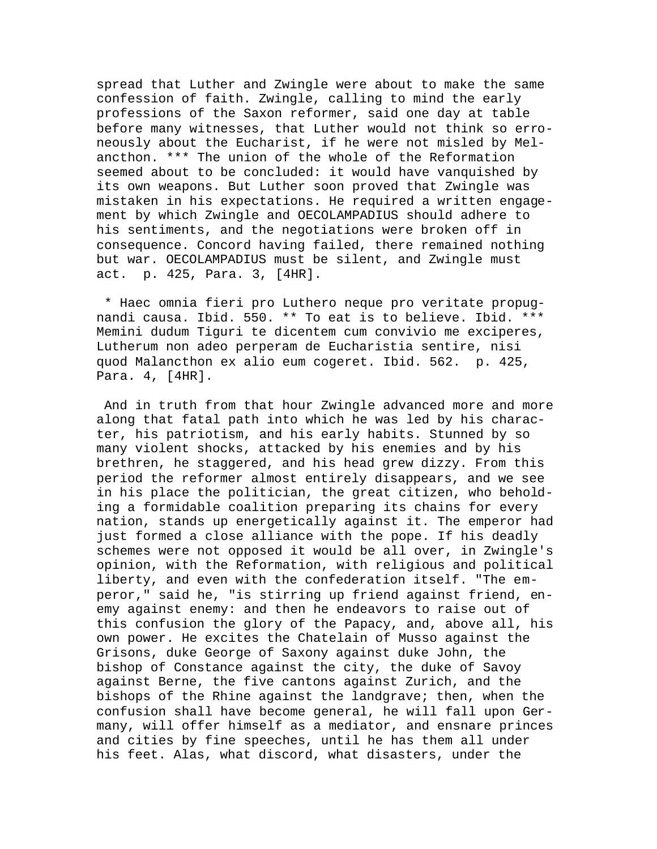spread that Luther and Zwingle were about to make the same confession of faith. Zwingle, calling to mind the early professions of the Saxon reformer, said one day at table before many witnesses, that Luther would not think so erroneously about the Eucharist, if he were not misled by Melancthon. \*\*\* The union of the whole of the Reformation seemed about to be concluded: it would have vanquished by its own weapons. But Luther soon proved that Zwingle was mistaken in his expectations. He required a written engagement by which Zwingle and OECOLAMPADIUS should adhere to his sentiments, and the negotiations were broken off in consequence. Concord having failed, there remained nothing but war. OECOLAMPADIUS must be silent, and Zwingle must act. p. 425, Para. 3, [4HR].

 \* Haec omnia fieri pro Luthero neque pro veritate propugnandi causa. Ibid. 550. \*\* To eat is to believe. Ibid. \*\*\* Memini dudum Tiguri te dicentem cum convivio me exciperes, Lutherum non adeo perperam de Eucharistia sentire, nisi quod Malancthon ex alio eum cogeret. Ibid. 562. p. 425, Para. 4, [4HR].

 And in truth from that hour Zwingle advanced more and more along that fatal path into which he was led by his character, his patriotism, and his early habits. Stunned by so many violent shocks, attacked by his enemies and by his brethren, he staggered, and his head grew dizzy. From this period the reformer almost entirely disappears, and we see in his place the politician, the great citizen, who beholding a formidable coalition preparing its chains for every nation, stands up energetically against it. The emperor had just formed a close alliance with the pope. If his deadly schemes were not opposed it would be all over, in Zwingle's opinion, with the Reformation, with religious and political liberty, and even with the confederation itself. "The emperor," said he, "is stirring up friend against friend, enemy against enemy: and then he endeavors to raise out of this confusion the glory of the Papacy, and, above all, his own power. He excites the Chatelain of Musso against the Grisons, duke George of Saxony against duke John, the bishop of Constance against the city, the duke of Savoy against Berne, the five cantons against Zurich, and the bishops of the Rhine against the landgrave; then, when the confusion shall have become general, he will fall upon Germany, will offer himself as a mediator, and ensnare princes and cities by fine speeches, until he has them all under his feet. Alas, what discord, what disasters, under the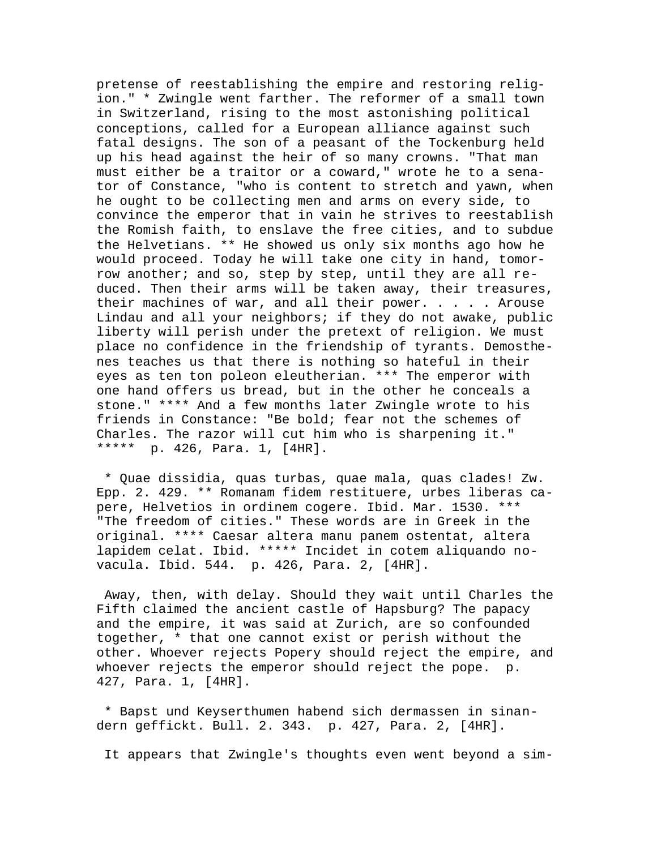pretense of reestablishing the empire and restoring religion." \* Zwingle went farther. The reformer of a small town in Switzerland, rising to the most astonishing political conceptions, called for a European alliance against such fatal designs. The son of a peasant of the Tockenburg held up his head against the heir of so many crowns. "That man must either be a traitor or a coward," wrote he to a senator of Constance, "who is content to stretch and yawn, when he ought to be collecting men and arms on every side, to convince the emperor that in vain he strives to reestablish the Romish faith, to enslave the free cities, and to subdue the Helvetians. \*\* He showed us only six months ago how he would proceed. Today he will take one city in hand, tomorrow another; and so, step by step, until they are all reduced. Then their arms will be taken away, their treasures, their machines of war, and all their power. . . . . Arouse Lindau and all your neighbors; if they do not awake, public liberty will perish under the pretext of religion. We must place no confidence in the friendship of tyrants. Demosthenes teaches us that there is nothing so hateful in their eyes as ten ton poleon eleutherian. \*\*\* The emperor with one hand offers us bread, but in the other he conceals a stone." \*\*\*\* And a few months later Zwingle wrote to his friends in Constance: "Be bold; fear not the schemes of Charles. The razor will cut him who is sharpening it." \*\*\*\*\* p. 426, Para. 1, [4HR].

 \* Quae dissidia, quas turbas, quae mala, quas clades! Zw. Epp. 2. 429. \*\* Romanam fidem restituere, urbes liberas capere, Helvetios in ordinem cogere. Ibid. Mar. 1530. \*\*\* "The freedom of cities." These words are in Greek in the original. \*\*\*\* Caesar altera manu panem ostentat, altera lapidem celat. Ibid. \*\*\*\*\* Incidet in cotem aliquando novacula. Ibid. 544. p. 426, Para. 2, [4HR].

 Away, then, with delay. Should they wait until Charles the Fifth claimed the ancient castle of Hapsburg? The papacy and the empire, it was said at Zurich, are so confounded together, \* that one cannot exist or perish without the other. Whoever rejects Popery should reject the empire, and whoever rejects the emperor should reject the pope. p. 427, Para. 1, [4HR].

 \* Bapst und Keyserthumen habend sich dermassen in sinandern geffickt. Bull. 2. 343. p. 427, Para. 2, [4HR].

It appears that Zwingle's thoughts even went beyond a sim-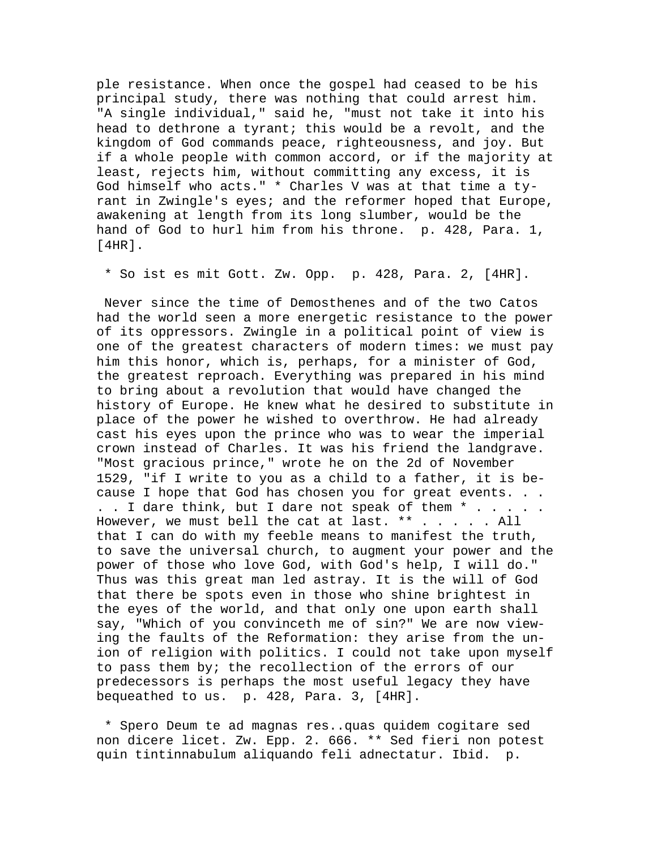ple resistance. When once the gospel had ceased to be his principal study, there was nothing that could arrest him. "A single individual," said he, "must not take it into his head to dethrone a tyrant; this would be a revolt, and the kingdom of God commands peace, righteousness, and joy. But if a whole people with common accord, or if the majority at least, rejects him, without committing any excess, it is God himself who acts." \* Charles V was at that time a tyrant in Zwingle's eyes; and the reformer hoped that Europe, awakening at length from its long slumber, would be the hand of God to hurl him from his throne. p. 428, Para. 1, [4HR].

\* So ist es mit Gott. Zw. Opp. p. 428, Para. 2, [4HR].

 Never since the time of Demosthenes and of the two Catos had the world seen a more energetic resistance to the power of its oppressors. Zwingle in a political point of view is one of the greatest characters of modern times: we must pay him this honor, which is, perhaps, for a minister of God, the greatest reproach. Everything was prepared in his mind to bring about a revolution that would have changed the history of Europe. He knew what he desired to substitute in place of the power he wished to overthrow. He had already cast his eyes upon the prince who was to wear the imperial crown instead of Charles. It was his friend the landgrave. "Most gracious prince," wrote he on the 2d of November 1529, "if I write to you as a child to a father, it is because I hope that God has chosen you for great events. . . . . I dare think, but I dare not speak of them  $*$  . . . . . However, we must bell the cat at last. \*\* . . . . . All that I can do with my feeble means to manifest the truth, to save the universal church, to augment your power and the power of those who love God, with God's help, I will do." Thus was this great man led astray. It is the will of God that there be spots even in those who shine brightest in the eyes of the world, and that only one upon earth shall say, "Which of you convinceth me of sin?" We are now viewing the faults of the Reformation: they arise from the union of religion with politics. I could not take upon myself to pass them by; the recollection of the errors of our predecessors is perhaps the most useful legacy they have bequeathed to us. p. 428, Para. 3, [4HR].

 \* Spero Deum te ad magnas res..quas quidem cogitare sed non dicere licet. Zw. Epp. 2. 666. \*\* Sed fieri non potest quin tintinnabulum aliquando feli adnectatur. Ibid. p.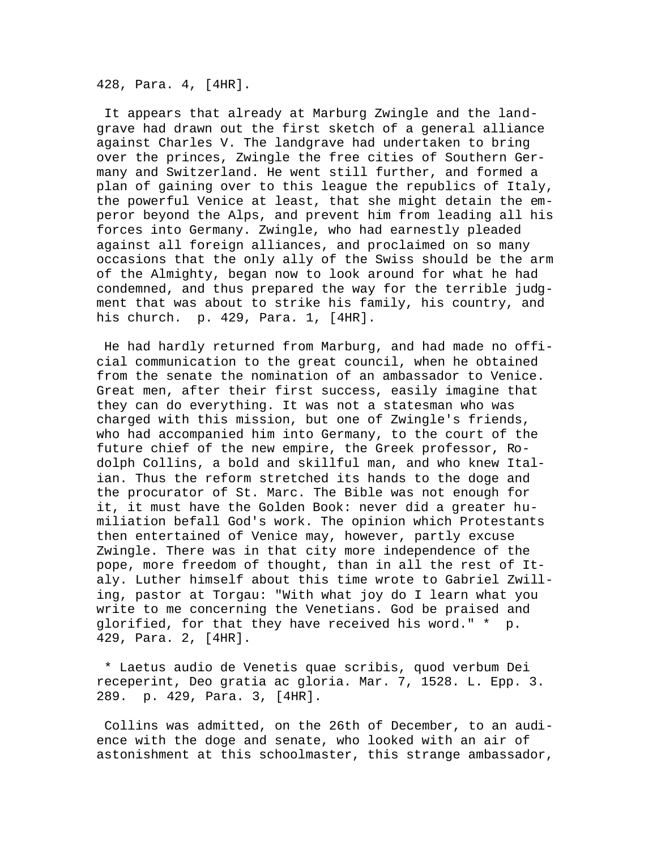428, Para. 4, [4HR].

 It appears that already at Marburg Zwingle and the landgrave had drawn out the first sketch of a general alliance against Charles V. The landgrave had undertaken to bring over the princes, Zwingle the free cities of Southern Germany and Switzerland. He went still further, and formed a plan of gaining over to this league the republics of Italy, the powerful Venice at least, that she might detain the emperor beyond the Alps, and prevent him from leading all his forces into Germany. Zwingle, who had earnestly pleaded against all foreign alliances, and proclaimed on so many occasions that the only ally of the Swiss should be the arm of the Almighty, began now to look around for what he had condemned, and thus prepared the way for the terrible judgment that was about to strike his family, his country, and his church. p. 429, Para. 1, [4HR].

 He had hardly returned from Marburg, and had made no official communication to the great council, when he obtained from the senate the nomination of an ambassador to Venice. Great men, after their first success, easily imagine that they can do everything. It was not a statesman who was charged with this mission, but one of Zwingle's friends, who had accompanied him into Germany, to the court of the future chief of the new empire, the Greek professor, Rodolph Collins, a bold and skillful man, and who knew Italian. Thus the reform stretched its hands to the doge and the procurator of St. Marc. The Bible was not enough for it, it must have the Golden Book: never did a greater humiliation befall God's work. The opinion which Protestants then entertained of Venice may, however, partly excuse Zwingle. There was in that city more independence of the pope, more freedom of thought, than in all the rest of Italy. Luther himself about this time wrote to Gabriel Zwilling, pastor at Torgau: "With what joy do I learn what you write to me concerning the Venetians. God be praised and glorified, for that they have received his word." \* p. 429, Para. 2, [4HR].

 \* Laetus audio de Venetis quae scribis, quod verbum Dei receperint, Deo gratia ac gloria. Mar. 7, 1528. L. Epp. 3. 289. p. 429, Para. 3, [4HR].

 Collins was admitted, on the 26th of December, to an audience with the doge and senate, who looked with an air of astonishment at this schoolmaster, this strange ambassador,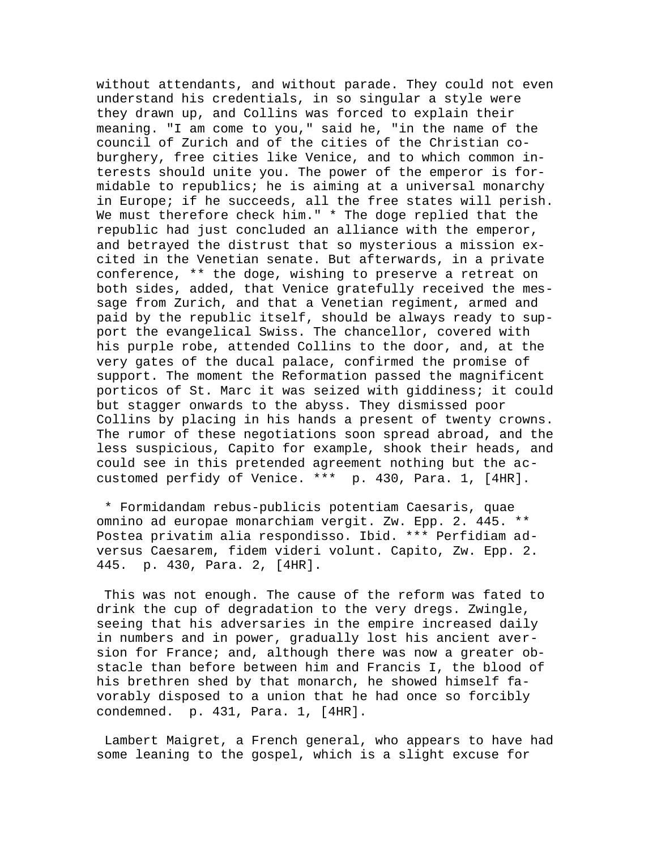without attendants, and without parade. They could not even understand his credentials, in so singular a style were they drawn up, and Collins was forced to explain their meaning. "I am come to you," said he, "in the name of the council of Zurich and of the cities of the Christian coburghery, free cities like Venice, and to which common interests should unite you. The power of the emperor is formidable to republics; he is aiming at a universal monarchy in Europe; if he succeeds, all the free states will perish. We must therefore check him." \* The doge replied that the republic had just concluded an alliance with the emperor, and betrayed the distrust that so mysterious a mission excited in the Venetian senate. But afterwards, in a private conference, \*\* the doge, wishing to preserve a retreat on both sides, added, that Venice gratefully received the message from Zurich, and that a Venetian regiment, armed and paid by the republic itself, should be always ready to support the evangelical Swiss. The chancellor, covered with his purple robe, attended Collins to the door, and, at the very gates of the ducal palace, confirmed the promise of support. The moment the Reformation passed the magnificent porticos of St. Marc it was seized with giddiness; it could but stagger onwards to the abyss. They dismissed poor Collins by placing in his hands a present of twenty crowns. The rumor of these negotiations soon spread abroad, and the less suspicious, Capito for example, shook their heads, and could see in this pretended agreement nothing but the accustomed perfidy of Venice. \*\*\* p. 430, Para. 1, [4HR].

 \* Formidandam rebus-publicis potentiam Caesaris, quae omnino ad europae monarchiam vergit. Zw. Epp. 2. 445. \*\* Postea privatim alia respondisso. Ibid. \*\*\* Perfidiam adversus Caesarem, fidem videri volunt. Capito, Zw. Epp. 2. 445. p. 430, Para. 2, [4HR].

 This was not enough. The cause of the reform was fated to drink the cup of degradation to the very dregs. Zwingle, seeing that his adversaries in the empire increased daily in numbers and in power, gradually lost his ancient aversion for France; and, although there was now a greater obstacle than before between him and Francis I, the blood of his brethren shed by that monarch, he showed himself favorably disposed to a union that he had once so forcibly condemned. p. 431, Para. 1, [4HR].

 Lambert Maigret, a French general, who appears to have had some leaning to the gospel, which is a slight excuse for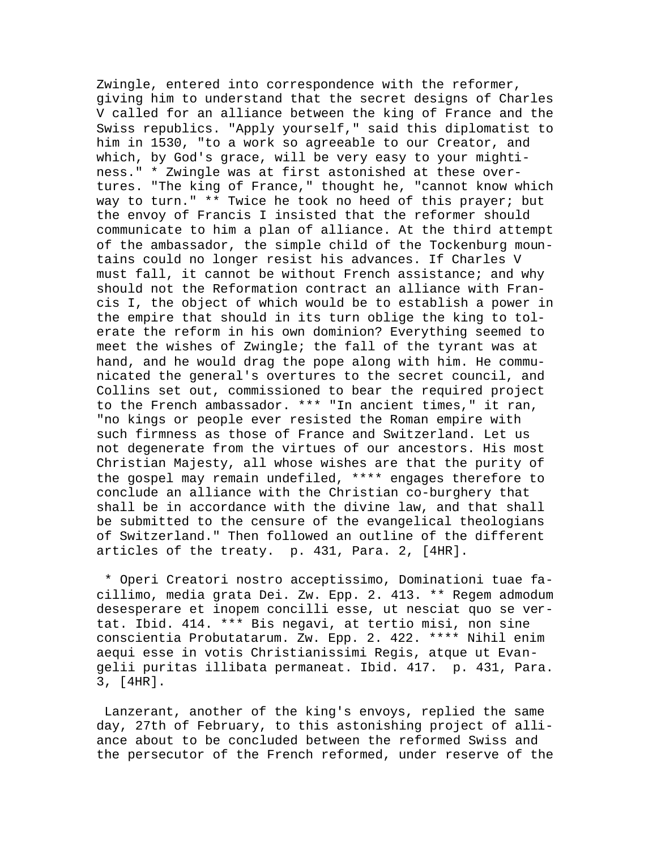Zwingle, entered into correspondence with the reformer, giving him to understand that the secret designs of Charles V called for an alliance between the king of France and the Swiss republics. "Apply yourself," said this diplomatist to him in 1530, "to a work so agreeable to our Creator, and which, by God's grace, will be very easy to your mightiness." \* Zwingle was at first astonished at these overtures. "The king of France," thought he, "cannot know which way to turn." \*\* Twice he took no heed of this prayer; but the envoy of Francis I insisted that the reformer should communicate to him a plan of alliance. At the third attempt of the ambassador, the simple child of the Tockenburg mountains could no longer resist his advances. If Charles V must fall, it cannot be without French assistance; and why should not the Reformation contract an alliance with Francis I, the object of which would be to establish a power in the empire that should in its turn oblige the king to tolerate the reform in his own dominion? Everything seemed to meet the wishes of Zwingle; the fall of the tyrant was at hand, and he would drag the pope along with him. He communicated the general's overtures to the secret council, and Collins set out, commissioned to bear the required project to the French ambassador. \*\*\* "In ancient times," it ran, "no kings or people ever resisted the Roman empire with such firmness as those of France and Switzerland. Let us not degenerate from the virtues of our ancestors. His most Christian Majesty, all whose wishes are that the purity of the gospel may remain undefiled, \*\*\*\* engages therefore to conclude an alliance with the Christian co-burghery that shall be in accordance with the divine law, and that shall be submitted to the censure of the evangelical theologians of Switzerland." Then followed an outline of the different articles of the treaty. p. 431, Para. 2, [4HR].

 \* Operi Creatori nostro acceptissimo, Dominationi tuae facillimo, media grata Dei. Zw. Epp. 2. 413. \*\* Regem admodum desesperare et inopem concilli esse, ut nesciat quo se vertat. Ibid. 414. \*\*\* Bis negavi, at tertio misi, non sine conscientia Probutatarum. Zw. Epp. 2. 422. \*\*\*\* Nihil enim aequi esse in votis Christianissimi Regis, atque ut Evangelii puritas illibata permaneat. Ibid. 417. p. 431, Para. 3, [4HR].

 Lanzerant, another of the king's envoys, replied the same day, 27th of February, to this astonishing project of alliance about to be concluded between the reformed Swiss and the persecutor of the French reformed, under reserve of the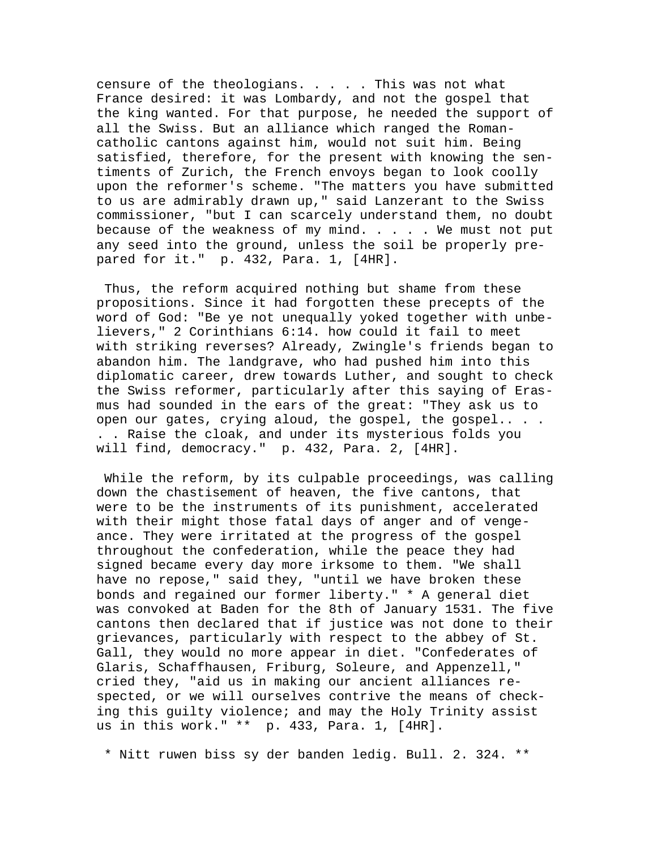censure of the theologians. . . . . This was not what France desired: it was Lombardy, and not the gospel that the king wanted. For that purpose, he needed the support of all the Swiss. But an alliance which ranged the Romancatholic cantons against him, would not suit him. Being satisfied, therefore, for the present with knowing the sentiments of Zurich, the French envoys began to look coolly upon the reformer's scheme. "The matters you have submitted to us are admirably drawn up," said Lanzerant to the Swiss commissioner, "but I can scarcely understand them, no doubt because of the weakness of my mind.  $\ldots$  . We must not put any seed into the ground, unless the soil be properly prepared for it." p. 432, Para. 1, [4HR].

 Thus, the reform acquired nothing but shame from these propositions. Since it had forgotten these precepts of the word of God: "Be ye not unequally yoked together with unbelievers," 2 Corinthians 6:14. how could it fail to meet with striking reverses? Already, Zwingle's friends began to abandon him. The landgrave, who had pushed him into this diplomatic career, drew towards Luther, and sought to check the Swiss reformer, particularly after this saying of Erasmus had sounded in the ears of the great: "They ask us to open our gates, crying aloud, the gospel, the gospel.. . . . . Raise the cloak, and under its mysterious folds you will find, democracy." p. 432, Para. 2, [4HR].

 While the reform, by its culpable proceedings, was calling down the chastisement of heaven, the five cantons, that were to be the instruments of its punishment, accelerated with their might those fatal days of anger and of vengeance. They were irritated at the progress of the gospel throughout the confederation, while the peace they had signed became every day more irksome to them. "We shall have no repose," said they, "until we have broken these bonds and regained our former liberty." \* A general diet was convoked at Baden for the 8th of January 1531. The five cantons then declared that if justice was not done to their grievances, particularly with respect to the abbey of St. Gall, they would no more appear in diet. "Confederates of Glaris, Schaffhausen, Friburg, Soleure, and Appenzell," cried they, "aid us in making our ancient alliances respected, or we will ourselves contrive the means of checking this guilty violence; and may the Holy Trinity assist us in this work." \*\* p. 433, Para. 1, [4HR].

\* Nitt ruwen biss sy der banden ledig. Bull. 2. 324. \*\*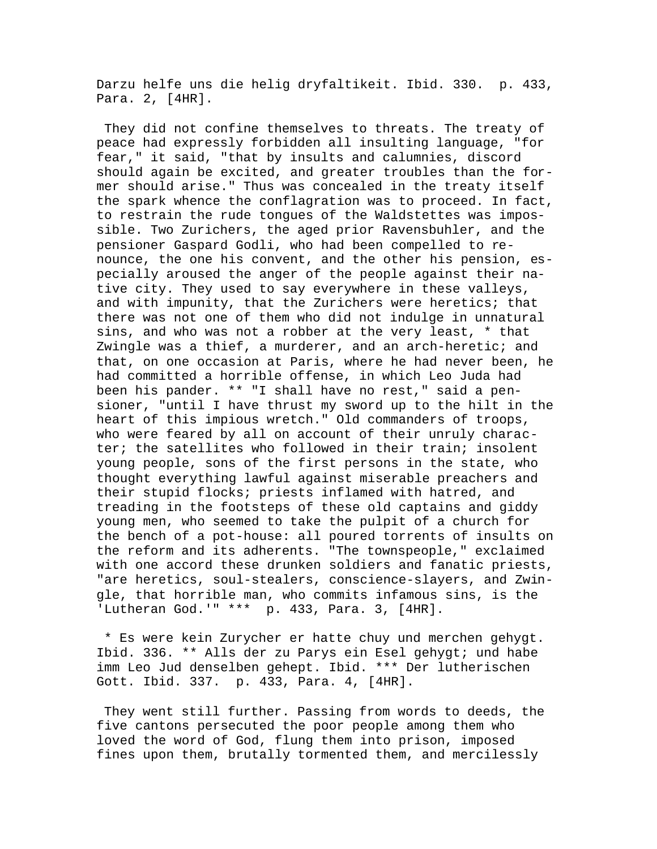Darzu helfe uns die helig dryfaltikeit. Ibid. 330. p. 433, Para. 2, [4HR].

 They did not confine themselves to threats. The treaty of peace had expressly forbidden all insulting language, "for fear," it said, "that by insults and calumnies, discord should again be excited, and greater troubles than the former should arise." Thus was concealed in the treaty itself the spark whence the conflagration was to proceed. In fact, to restrain the rude tongues of the Waldstettes was impossible. Two Zurichers, the aged prior Ravensbuhler, and the pensioner Gaspard Godli, who had been compelled to renounce, the one his convent, and the other his pension, especially aroused the anger of the people against their native city. They used to say everywhere in these valleys, and with impunity, that the Zurichers were heretics; that there was not one of them who did not indulge in unnatural sins, and who was not a robber at the very least, \* that Zwingle was a thief, a murderer, and an arch-heretic; and that, on one occasion at Paris, where he had never been, he had committed a horrible offense, in which Leo Juda had been his pander. \*\* "I shall have no rest," said a pensioner, "until I have thrust my sword up to the hilt in the heart of this impious wretch." Old commanders of troops, who were feared by all on account of their unruly character; the satellites who followed in their train; insolent young people, sons of the first persons in the state, who thought everything lawful against miserable preachers and their stupid flocks; priests inflamed with hatred, and treading in the footsteps of these old captains and giddy young men, who seemed to take the pulpit of a church for the bench of a pot-house: all poured torrents of insults on the reform and its adherents. "The townspeople," exclaimed with one accord these drunken soldiers and fanatic priests, "are heretics, soul-stealers, conscience-slayers, and Zwingle, that horrible man, who commits infamous sins, is the 'Lutheran God.'" \*\*\* p. 433, Para. 3, [4HR].

 \* Es were kein Zurycher er hatte chuy und merchen gehygt. Ibid. 336. \*\* Alls der zu Parys ein Esel gehygt; und habe imm Leo Jud denselben gehept. Ibid. \*\*\* Der lutherischen Gott. Ibid. 337. p. 433, Para. 4, [4HR].

 They went still further. Passing from words to deeds, the five cantons persecuted the poor people among them who loved the word of God, flung them into prison, imposed fines upon them, brutally tormented them, and mercilessly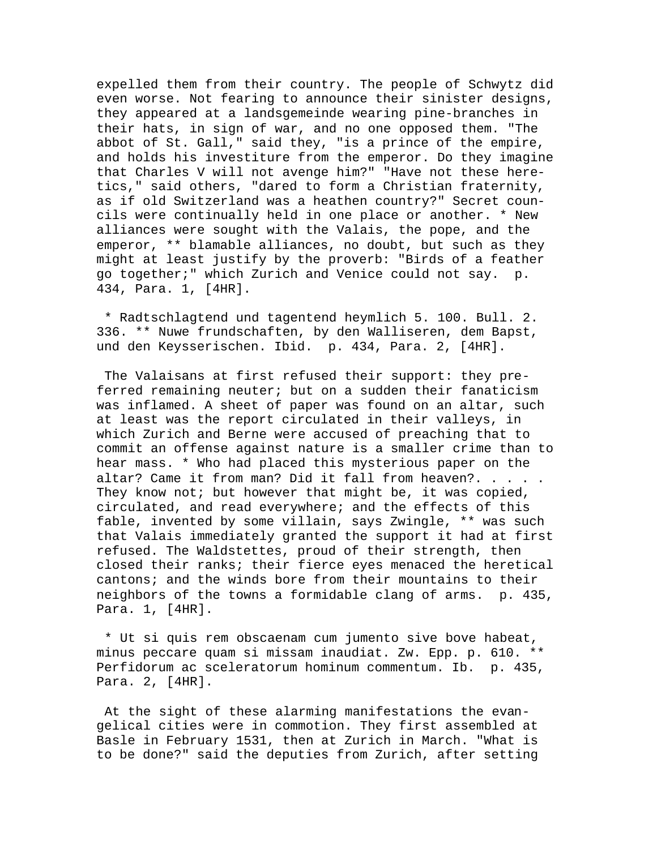expelled them from their country. The people of Schwytz did even worse. Not fearing to announce their sinister designs, they appeared at a landsgemeinde wearing pine-branches in their hats, in sign of war, and no one opposed them. "The abbot of St. Gall," said they, "is a prince of the empire, and holds his investiture from the emperor. Do they imagine that Charles V will not avenge him?" "Have not these heretics," said others, "dared to form a Christian fraternity, as if old Switzerland was a heathen country?" Secret councils were continually held in one place or another. \* New alliances were sought with the Valais, the pope, and the emperor, \*\* blamable alliances, no doubt, but such as they might at least justify by the proverb: "Birds of a feather go together;" which Zurich and Venice could not say. p. 434, Para. 1, [4HR].

 \* Radtschlagtend und tagentend heymlich 5. 100. Bull. 2. 336. \*\* Nuwe frundschaften, by den Walliseren, dem Bapst, und den Keysserischen. Ibid. p. 434, Para. 2, [4HR].

 The Valaisans at first refused their support: they preferred remaining neuter; but on a sudden their fanaticism was inflamed. A sheet of paper was found on an altar, such at least was the report circulated in their valleys, in which Zurich and Berne were accused of preaching that to commit an offense against nature is a smaller crime than to hear mass. \* Who had placed this mysterious paper on the altar? Came it from man? Did it fall from heaven?. . . . . They know not; but however that might be, it was copied, circulated, and read everywhere; and the effects of this fable, invented by some villain, says Zwingle, \*\* was such that Valais immediately granted the support it had at first refused. The Waldstettes, proud of their strength, then closed their ranks; their fierce eyes menaced the heretical cantons; and the winds bore from their mountains to their neighbors of the towns a formidable clang of arms. p. 435, Para. 1, [4HR].

 \* Ut si quis rem obscaenam cum jumento sive bove habeat, minus peccare quam si missam inaudiat. Zw. Epp. p. 610. \*\* Perfidorum ac sceleratorum hominum commentum. Ib. p. 435, Para. 2, [4HR].

 At the sight of these alarming manifestations the evangelical cities were in commotion. They first assembled at Basle in February 1531, then at Zurich in March. "What is to be done?" said the deputies from Zurich, after setting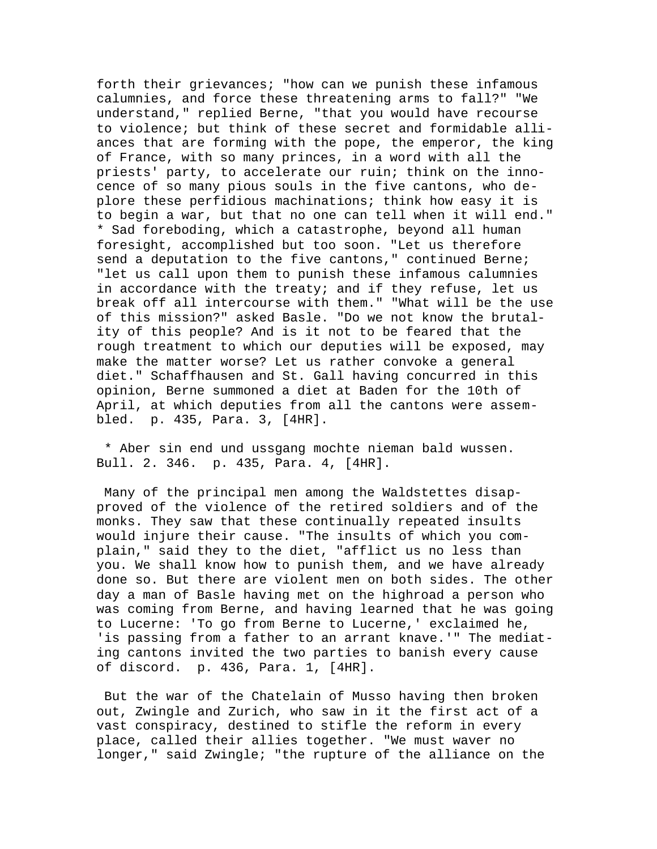forth their grievances; "how can we punish these infamous calumnies, and force these threatening arms to fall?" "We understand," replied Berne, "that you would have recourse to violence; but think of these secret and formidable alliances that are forming with the pope, the emperor, the king of France, with so many princes, in a word with all the priests' party, to accelerate our ruin; think on the innocence of so many pious souls in the five cantons, who deplore these perfidious machinations; think how easy it is to begin a war, but that no one can tell when it will end." \* Sad foreboding, which a catastrophe, beyond all human foresight, accomplished but too soon. "Let us therefore send a deputation to the five cantons," continued Berne; "let us call upon them to punish these infamous calumnies in accordance with the treaty; and if they refuse, let us break off all intercourse with them." "What will be the use of this mission?" asked Basle. "Do we not know the brutality of this people? And is it not to be feared that the rough treatment to which our deputies will be exposed, may make the matter worse? Let us rather convoke a general diet." Schaffhausen and St. Gall having concurred in this opinion, Berne summoned a diet at Baden for the 10th of April, at which deputies from all the cantons were assembled. p. 435, Para. 3, [4HR].

 \* Aber sin end und ussgang mochte nieman bald wussen. Bull. 2. 346. p. 435, Para. 4, [4HR].

 Many of the principal men among the Waldstettes disapproved of the violence of the retired soldiers and of the monks. They saw that these continually repeated insults would injure their cause. "The insults of which you complain," said they to the diet, "afflict us no less than you. We shall know how to punish them, and we have already done so. But there are violent men on both sides. The other day a man of Basle having met on the highroad a person who was coming from Berne, and having learned that he was going to Lucerne: 'To go from Berne to Lucerne,' exclaimed he, 'is passing from a father to an arrant knave.'" The mediating cantons invited the two parties to banish every cause of discord. p. 436, Para. 1, [4HR].

 But the war of the Chatelain of Musso having then broken out, Zwingle and Zurich, who saw in it the first act of a vast conspiracy, destined to stifle the reform in every place, called their allies together. "We must waver no longer," said Zwingle; "the rupture of the alliance on the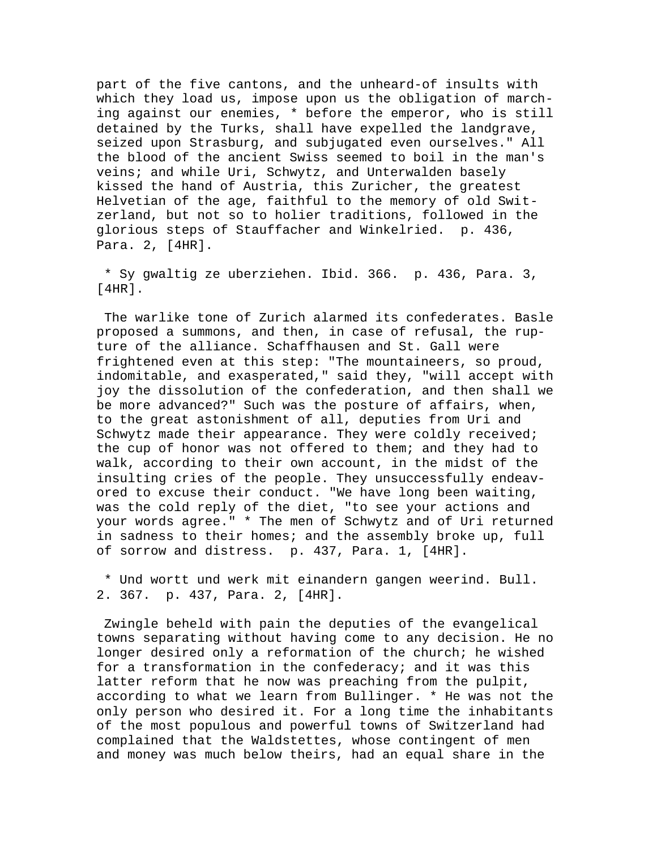part of the five cantons, and the unheard-of insults with which they load us, impose upon us the obligation of marching against our enemies, \* before the emperor, who is still detained by the Turks, shall have expelled the landgrave, seized upon Strasburg, and subjugated even ourselves." All the blood of the ancient Swiss seemed to boil in the man's veins; and while Uri, Schwytz, and Unterwalden basely kissed the hand of Austria, this Zuricher, the greatest Helvetian of the age, faithful to the memory of old Switzerland, but not so to holier traditions, followed in the glorious steps of Stauffacher and Winkelried. p. 436, Para. 2, [4HR].

 \* Sy gwaltig ze uberziehen. Ibid. 366. p. 436, Para. 3, [4HR].

 The warlike tone of Zurich alarmed its confederates. Basle proposed a summons, and then, in case of refusal, the rupture of the alliance. Schaffhausen and St. Gall were frightened even at this step: "The mountaineers, so proud, indomitable, and exasperated," said they, "will accept with joy the dissolution of the confederation, and then shall we be more advanced?" Such was the posture of affairs, when, to the great astonishment of all, deputies from Uri and Schwytz made their appearance. They were coldly received; the cup of honor was not offered to them; and they had to walk, according to their own account, in the midst of the insulting cries of the people. They unsuccessfully endeavored to excuse their conduct. "We have long been waiting, was the cold reply of the diet, "to see your actions and your words agree." \* The men of Schwytz and of Uri returned in sadness to their homes; and the assembly broke up, full of sorrow and distress. p. 437, Para. 1, [4HR].

 \* Und wortt und werk mit einandern gangen weerind. Bull. 2. 367. p. 437, Para. 2, [4HR].

 Zwingle beheld with pain the deputies of the evangelical towns separating without having come to any decision. He no longer desired only a reformation of the church; he wished for a transformation in the confederacy; and it was this latter reform that he now was preaching from the pulpit, according to what we learn from Bullinger. \* He was not the only person who desired it. For a long time the inhabitants of the most populous and powerful towns of Switzerland had complained that the Waldstettes, whose contingent of men and money was much below theirs, had an equal share in the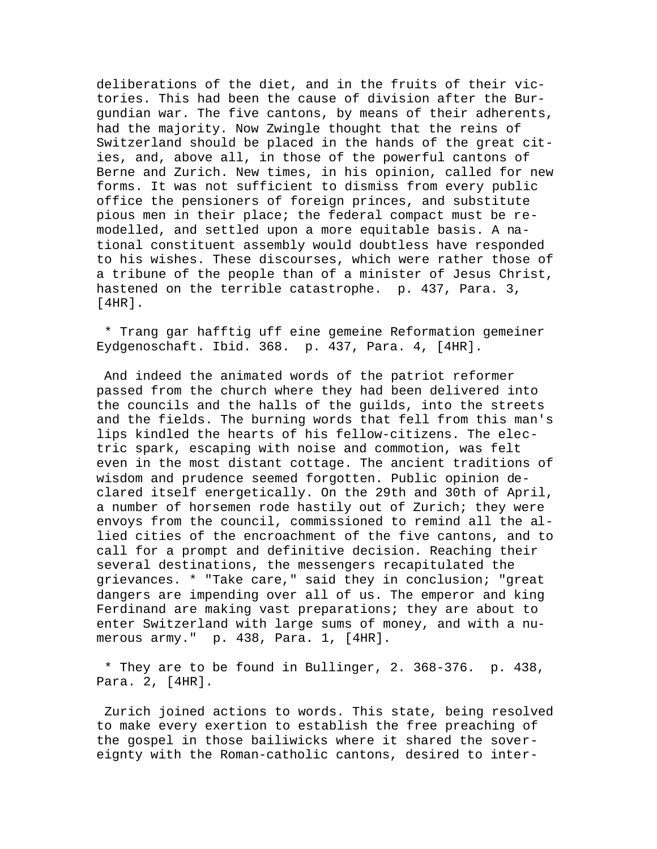deliberations of the diet, and in the fruits of their victories. This had been the cause of division after the Burgundian war. The five cantons, by means of their adherents, had the majority. Now Zwingle thought that the reins of Switzerland should be placed in the hands of the great cities, and, above all, in those of the powerful cantons of Berne and Zurich. New times, in his opinion, called for new forms. It was not sufficient to dismiss from every public office the pensioners of foreign princes, and substitute pious men in their place; the federal compact must be remodelled, and settled upon a more equitable basis. A national constituent assembly would doubtless have responded to his wishes. These discourses, which were rather those of a tribune of the people than of a minister of Jesus Christ, hastened on the terrible catastrophe. p. 437, Para. 3, [4HR].

 \* Trang gar hafftig uff eine gemeine Reformation gemeiner Eydgenoschaft. Ibid. 368. p. 437, Para. 4, [4HR].

 And indeed the animated words of the patriot reformer passed from the church where they had been delivered into the councils and the halls of the guilds, into the streets and the fields. The burning words that fell from this man's lips kindled the hearts of his fellow-citizens. The electric spark, escaping with noise and commotion, was felt even in the most distant cottage. The ancient traditions of wisdom and prudence seemed forgotten. Public opinion declared itself energetically. On the 29th and 30th of April, a number of horsemen rode hastily out of Zurich; they were envoys from the council, commissioned to remind all the allied cities of the encroachment of the five cantons, and to call for a prompt and definitive decision. Reaching their several destinations, the messengers recapitulated the grievances. \* "Take care," said they in conclusion; "great dangers are impending over all of us. The emperor and king Ferdinand are making vast preparations; they are about to enter Switzerland with large sums of money, and with a numerous army." p. 438, Para. 1, [4HR].

 \* They are to be found in Bullinger, 2. 368-376. p. 438, Para. 2, [4HR].

 Zurich joined actions to words. This state, being resolved to make every exertion to establish the free preaching of the gospel in those bailiwicks where it shared the sovereignty with the Roman-catholic cantons, desired to inter-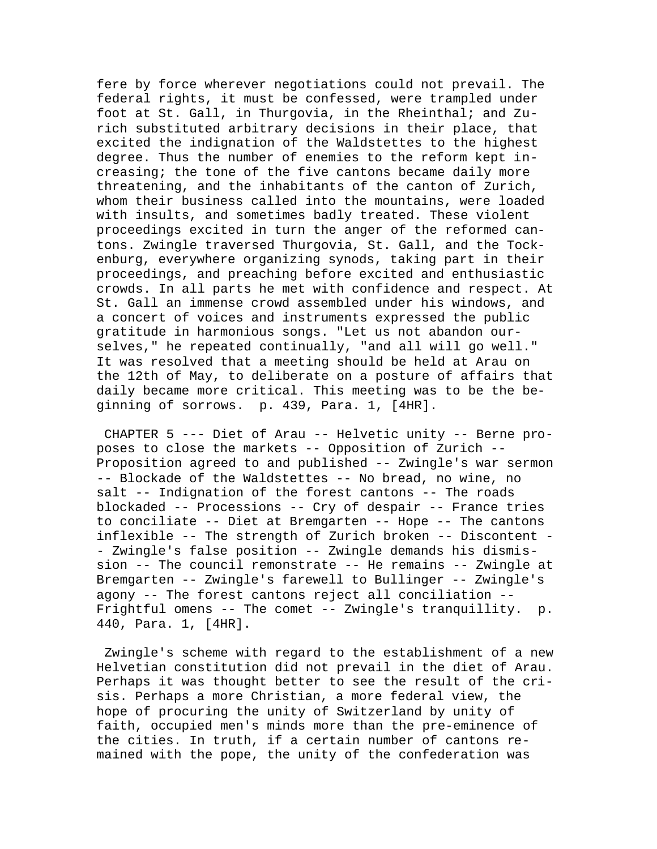fere by force wherever negotiations could not prevail. The federal rights, it must be confessed, were trampled under foot at St. Gall, in Thurgovia, in the Rheinthal; and Zurich substituted arbitrary decisions in their place, that excited the indignation of the Waldstettes to the highest degree. Thus the number of enemies to the reform kept increasing; the tone of the five cantons became daily more threatening, and the inhabitants of the canton of Zurich, whom their business called into the mountains, were loaded with insults, and sometimes badly treated. These violent proceedings excited in turn the anger of the reformed cantons. Zwingle traversed Thurgovia, St. Gall, and the Tockenburg, everywhere organizing synods, taking part in their proceedings, and preaching before excited and enthusiastic crowds. In all parts he met with confidence and respect. At St. Gall an immense crowd assembled under his windows, and a concert of voices and instruments expressed the public gratitude in harmonious songs. "Let us not abandon ourselves," he repeated continually, "and all will go well." It was resolved that a meeting should be held at Arau on the 12th of May, to deliberate on a posture of affairs that daily became more critical. This meeting was to be the beginning of sorrows. p. 439, Para. 1, [4HR].

 CHAPTER 5 --- Diet of Arau -- Helvetic unity -- Berne proposes to close the markets -- Opposition of Zurich -- Proposition agreed to and published -- Zwingle's war sermon -- Blockade of the Waldstettes -- No bread, no wine, no salt -- Indignation of the forest cantons -- The roads blockaded -- Processions -- Cry of despair -- France tries to conciliate -- Diet at Bremgarten -- Hope -- The cantons inflexible -- The strength of Zurich broken -- Discontent - - Zwingle's false position -- Zwingle demands his dismission -- The council remonstrate -- He remains -- Zwingle at Bremgarten -- Zwingle's farewell to Bullinger -- Zwingle's agony -- The forest cantons reject all conciliation -- Frightful omens -- The comet -- Zwingle's tranquillity. p. 440, Para. 1, [4HR].

 Zwingle's scheme with regard to the establishment of a new Helvetian constitution did not prevail in the diet of Arau. Perhaps it was thought better to see the result of the crisis. Perhaps a more Christian, a more federal view, the hope of procuring the unity of Switzerland by unity of faith, occupied men's minds more than the pre-eminence of the cities. In truth, if a certain number of cantons remained with the pope, the unity of the confederation was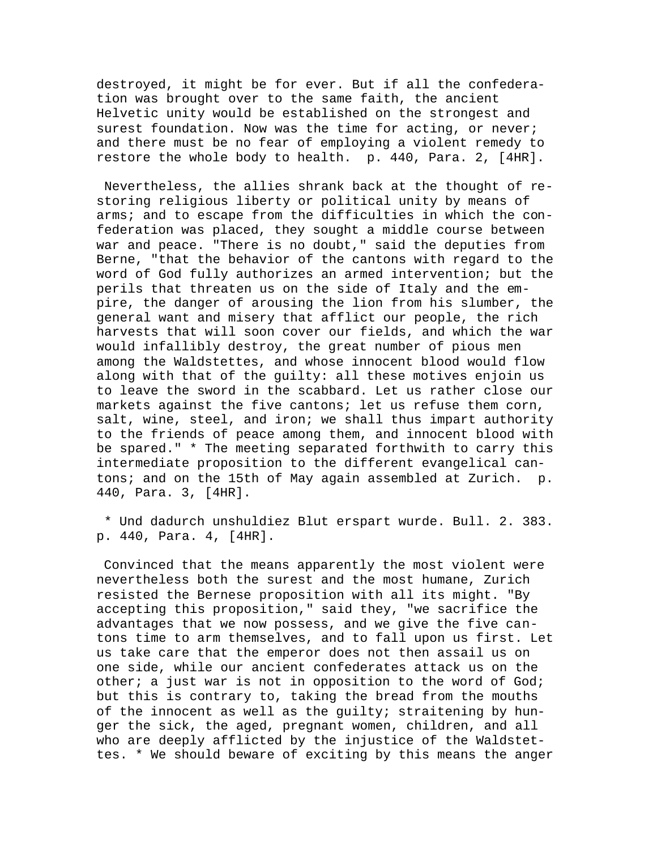destroyed, it might be for ever. But if all the confederation was brought over to the same faith, the ancient Helvetic unity would be established on the strongest and surest foundation. Now was the time for acting, or never; and there must be no fear of employing a violent remedy to restore the whole body to health. p. 440, Para. 2, [4HR].

 Nevertheless, the allies shrank back at the thought of restoring religious liberty or political unity by means of arms; and to escape from the difficulties in which the confederation was placed, they sought a middle course between war and peace. "There is no doubt," said the deputies from Berne, "that the behavior of the cantons with regard to the word of God fully authorizes an armed intervention; but the perils that threaten us on the side of Italy and the empire, the danger of arousing the lion from his slumber, the general want and misery that afflict our people, the rich harvests that will soon cover our fields, and which the war would infallibly destroy, the great number of pious men among the Waldstettes, and whose innocent blood would flow along with that of the guilty: all these motives enjoin us to leave the sword in the scabbard. Let us rather close our markets against the five cantons; let us refuse them corn, salt, wine, steel, and iron; we shall thus impart authority to the friends of peace among them, and innocent blood with be spared." \* The meeting separated forthwith to carry this intermediate proposition to the different evangelical cantons; and on the 15th of May again assembled at Zurich. p. 440, Para. 3, [4HR].

 \* Und dadurch unshuldiez Blut erspart wurde. Bull. 2. 383. p. 440, Para. 4, [4HR].

 Convinced that the means apparently the most violent were nevertheless both the surest and the most humane, Zurich resisted the Bernese proposition with all its might. "By accepting this proposition," said they, "we sacrifice the advantages that we now possess, and we give the five cantons time to arm themselves, and to fall upon us first. Let us take care that the emperor does not then assail us on one side, while our ancient confederates attack us on the other; a just war is not in opposition to the word of God; but this is contrary to, taking the bread from the mouths of the innocent as well as the guilty; straitening by hunger the sick, the aged, pregnant women, children, and all who are deeply afflicted by the injustice of the Waldstettes. \* We should beware of exciting by this means the anger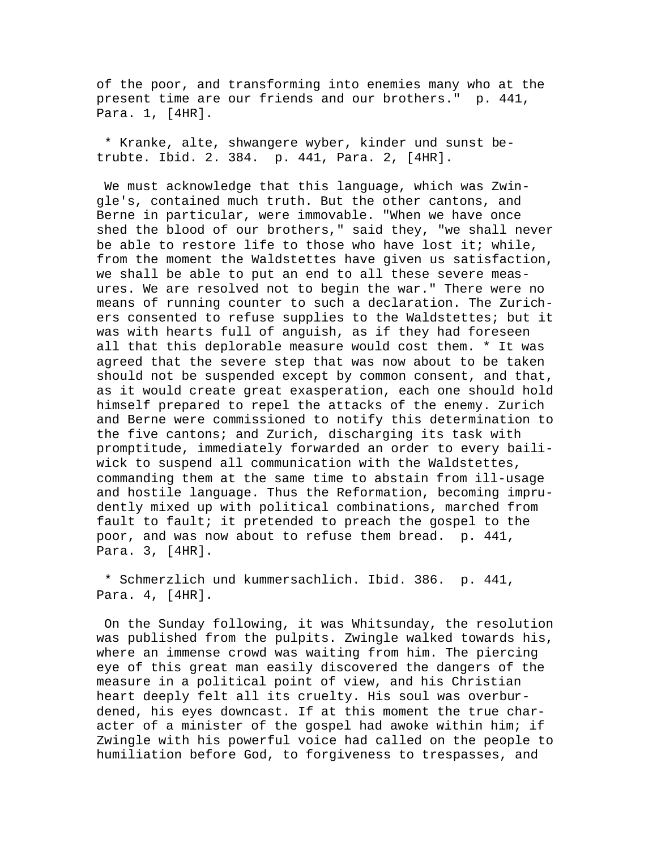of the poor, and transforming into enemies many who at the present time are our friends and our brothers." p. 441, Para. 1, [4HR].

 \* Kranke, alte, shwangere wyber, kinder und sunst betrubte. Ibid. 2. 384. p. 441, Para. 2, [4HR].

 We must acknowledge that this language, which was Zwingle's, contained much truth. But the other cantons, and Berne in particular, were immovable. "When we have once shed the blood of our brothers," said they, "we shall never be able to restore life to those who have lost it; while, from the moment the Waldstettes have given us satisfaction, we shall be able to put an end to all these severe measures. We are resolved not to begin the war." There were no means of running counter to such a declaration. The Zurichers consented to refuse supplies to the Waldstettes; but it was with hearts full of anguish, as if they had foreseen all that this deplorable measure would cost them. \* It was agreed that the severe step that was now about to be taken should not be suspended except by common consent, and that, as it would create great exasperation, each one should hold himself prepared to repel the attacks of the enemy. Zurich and Berne were commissioned to notify this determination to the five cantons; and Zurich, discharging its task with promptitude, immediately forwarded an order to every bailiwick to suspend all communication with the Waldstettes, commanding them at the same time to abstain from ill-usage and hostile language. Thus the Reformation, becoming imprudently mixed up with political combinations, marched from fault to fault; it pretended to preach the gospel to the poor, and was now about to refuse them bread. p. 441, Para. 3, [4HR].

 \* Schmerzlich und kummersachlich. Ibid. 386. p. 441, Para. 4, [4HR].

 On the Sunday following, it was Whitsunday, the resolution was published from the pulpits. Zwingle walked towards his, where an immense crowd was waiting from him. The piercing eye of this great man easily discovered the dangers of the measure in a political point of view, and his Christian heart deeply felt all its cruelty. His soul was overburdened, his eyes downcast. If at this moment the true character of a minister of the gospel had awoke within him; if Zwingle with his powerful voice had called on the people to humiliation before God, to forgiveness to trespasses, and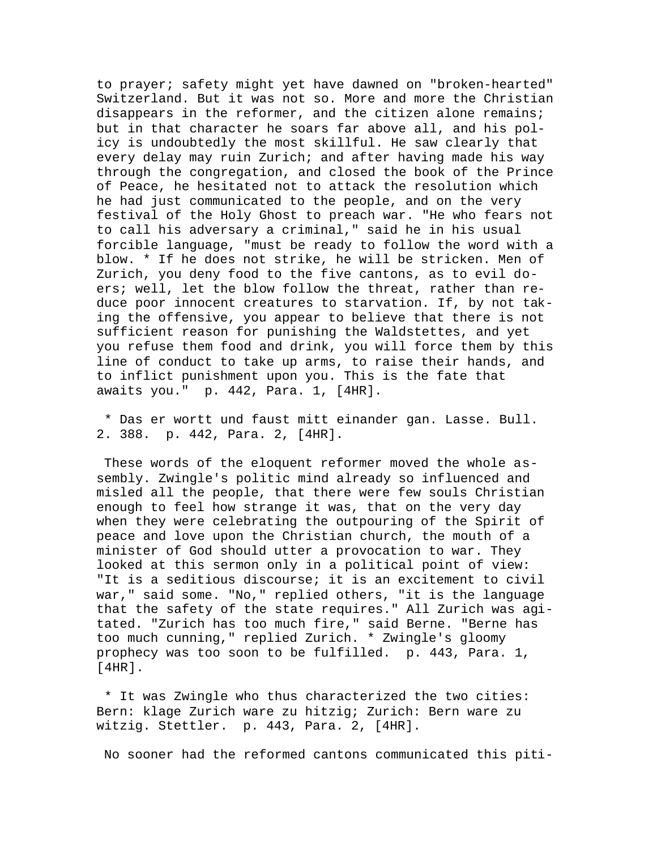to prayer; safety might yet have dawned on "broken-hearted" Switzerland. But it was not so. More and more the Christian disappears in the reformer, and the citizen alone remains; but in that character he soars far above all, and his policy is undoubtedly the most skillful. He saw clearly that every delay may ruin Zurich; and after having made his way through the congregation, and closed the book of the Prince of Peace, he hesitated not to attack the resolution which he had just communicated to the people, and on the very festival of the Holy Ghost to preach war. "He who fears not to call his adversary a criminal," said he in his usual forcible language, "must be ready to follow the word with a blow. \* If he does not strike, he will be stricken. Men of Zurich, you deny food to the five cantons, as to evil doers; well, let the blow follow the threat, rather than reduce poor innocent creatures to starvation. If, by not taking the offensive, you appear to believe that there is not sufficient reason for punishing the Waldstettes, and yet you refuse them food and drink, you will force them by this line of conduct to take up arms, to raise their hands, and to inflict punishment upon you. This is the fate that awaits you." p. 442, Para. 1, [4HR].

 \* Das er wortt und faust mitt einander gan. Lasse. Bull. 2. 388. p. 442, Para. 2, [4HR].

 These words of the eloquent reformer moved the whole assembly. Zwingle's politic mind already so influenced and misled all the people, that there were few souls Christian enough to feel how strange it was, that on the very day when they were celebrating the outpouring of the Spirit of peace and love upon the Christian church, the mouth of a minister of God should utter a provocation to war. They looked at this sermon only in a political point of view: "It is a seditious discourse; it is an excitement to civil war," said some. "No," replied others, "it is the language that the safety of the state requires." All Zurich was agitated. "Zurich has too much fire," said Berne. "Berne has too much cunning," replied Zurich. \* Zwingle's gloomy prophecy was too soon to be fulfilled. p. 443, Para. 1, [4HR].

 \* It was Zwingle who thus characterized the two cities: Bern: klage Zurich ware zu hitzig; Zurich: Bern ware zu witzig. Stettler. p. 443, Para. 2, [4HR].

No sooner had the reformed cantons communicated this piti-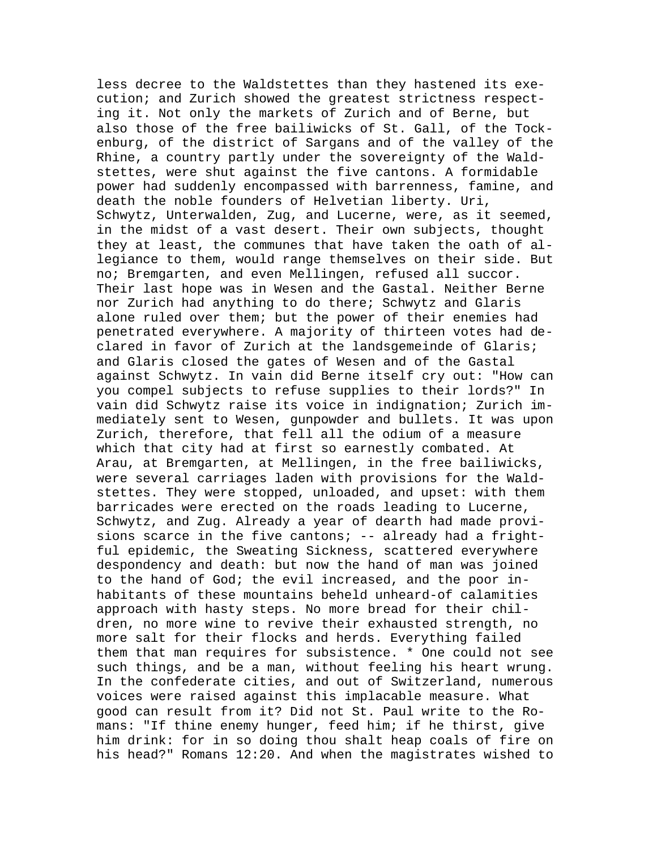less decree to the Waldstettes than they hastened its execution; and Zurich showed the greatest strictness respecting it. Not only the markets of Zurich and of Berne, but also those of the free bailiwicks of St. Gall, of the Tockenburg, of the district of Sargans and of the valley of the Rhine, a country partly under the sovereignty of the Waldstettes, were shut against the five cantons. A formidable power had suddenly encompassed with barrenness, famine, and death the noble founders of Helvetian liberty. Uri, Schwytz, Unterwalden, Zug, and Lucerne, were, as it seemed, in the midst of a vast desert. Their own subjects, thought they at least, the communes that have taken the oath of allegiance to them, would range themselves on their side. But no; Bremgarten, and even Mellingen, refused all succor. Their last hope was in Wesen and the Gastal. Neither Berne nor Zurich had anything to do there; Schwytz and Glaris alone ruled over them; but the power of their enemies had penetrated everywhere. A majority of thirteen votes had declared in favor of Zurich at the landsgemeinde of Glaris; and Glaris closed the gates of Wesen and of the Gastal against Schwytz. In vain did Berne itself cry out: "How can you compel subjects to refuse supplies to their lords?" In vain did Schwytz raise its voice in indignation; Zurich immediately sent to Wesen, gunpowder and bullets. It was upon Zurich, therefore, that fell all the odium of a measure which that city had at first so earnestly combated. At Arau, at Bremgarten, at Mellingen, in the free bailiwicks, were several carriages laden with provisions for the Waldstettes. They were stopped, unloaded, and upset: with them barricades were erected on the roads leading to Lucerne, Schwytz, and Zug. Already a year of dearth had made provisions scarce in the five cantons; -- already had a frightful epidemic, the Sweating Sickness, scattered everywhere despondency and death: but now the hand of man was joined to the hand of God; the evil increased, and the poor inhabitants of these mountains beheld unheard-of calamities approach with hasty steps. No more bread for their children, no more wine to revive their exhausted strength, no more salt for their flocks and herds. Everything failed them that man requires for subsistence. \* One could not see such things, and be a man, without feeling his heart wrung. In the confederate cities, and out of Switzerland, numerous voices were raised against this implacable measure. What good can result from it? Did not St. Paul write to the Romans: "If thine enemy hunger, feed him; if he thirst, give him drink: for in so doing thou shalt heap coals of fire on his head?" Romans 12:20. And when the magistrates wished to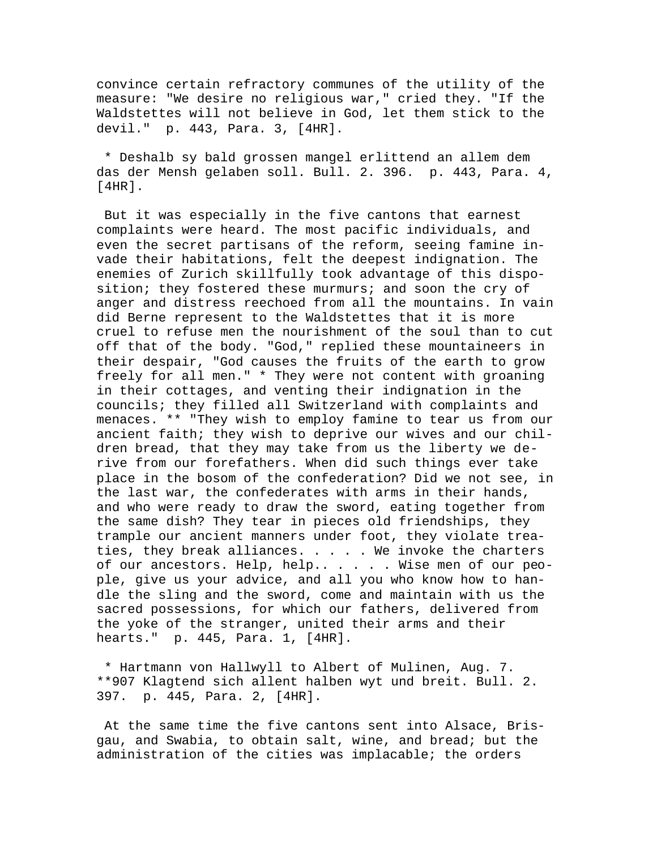convince certain refractory communes of the utility of the measure: "We desire no religious war," cried they. "If the Waldstettes will not believe in God, let them stick to the devil." p. 443, Para. 3, [4HR].

 \* Deshalb sy bald grossen mangel erlittend an allem dem das der Mensh gelaben soll. Bull. 2. 396. p. 443, Para. 4, [4HR].

 But it was especially in the five cantons that earnest complaints were heard. The most pacific individuals, and even the secret partisans of the reform, seeing famine invade their habitations, felt the deepest indignation. The enemies of Zurich skillfully took advantage of this disposition; they fostered these murmurs; and soon the cry of anger and distress reechoed from all the mountains. In vain did Berne represent to the Waldstettes that it is more cruel to refuse men the nourishment of the soul than to cut off that of the body. "God," replied these mountaineers in their despair, "God causes the fruits of the earth to grow freely for all men." \* They were not content with groaning in their cottages, and venting their indignation in the councils; they filled all Switzerland with complaints and menaces. \*\* "They wish to employ famine to tear us from our ancient faith; they wish to deprive our wives and our children bread, that they may take from us the liberty we derive from our forefathers. When did such things ever take place in the bosom of the confederation? Did we not see, in the last war, the confederates with arms in their hands, and who were ready to draw the sword, eating together from the same dish? They tear in pieces old friendships, they trample our ancient manners under foot, they violate treaties, they break alliances. . . . . We invoke the charters of our ancestors. Help, help..... . . Wise men of our people, give us your advice, and all you who know how to handle the sling and the sword, come and maintain with us the sacred possessions, for which our fathers, delivered from the yoke of the stranger, united their arms and their hearts." p. 445, Para. 1, [4HR].

 \* Hartmann von Hallwyll to Albert of Mulinen, Aug. 7. \*\*907 Klagtend sich allent halben wyt und breit. Bull. 2. 397. p. 445, Para. 2, [4HR].

 At the same time the five cantons sent into Alsace, Brisgau, and Swabia, to obtain salt, wine, and bread; but the administration of the cities was implacable; the orders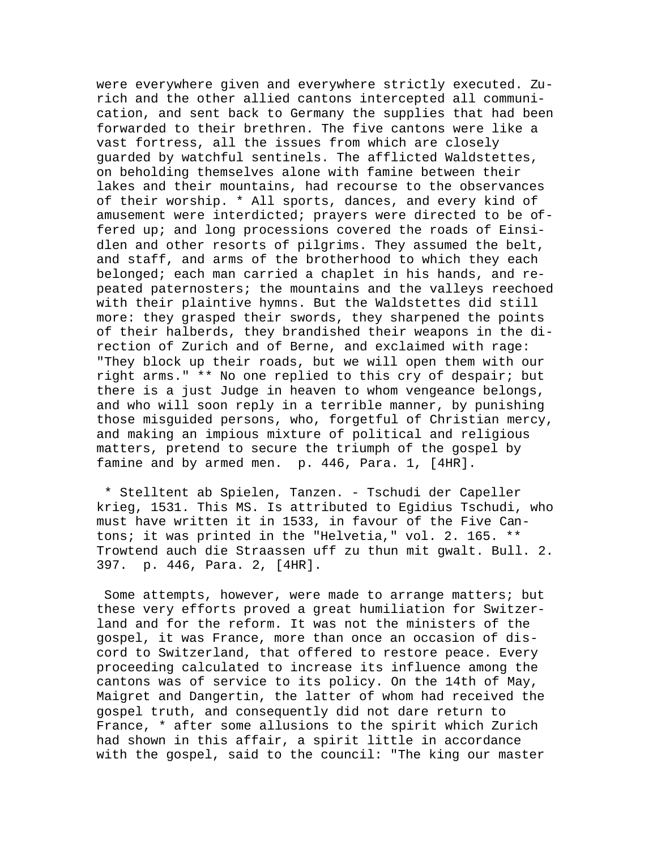were everywhere given and everywhere strictly executed. Zurich and the other allied cantons intercepted all communication, and sent back to Germany the supplies that had been forwarded to their brethren. The five cantons were like a vast fortress, all the issues from which are closely guarded by watchful sentinels. The afflicted Waldstettes, on beholding themselves alone with famine between their lakes and their mountains, had recourse to the observances of their worship. \* All sports, dances, and every kind of amusement were interdicted; prayers were directed to be offered up; and long processions covered the roads of Einsidlen and other resorts of pilgrims. They assumed the belt, and staff, and arms of the brotherhood to which they each belonged; each man carried a chaplet in his hands, and repeated paternosters; the mountains and the valleys reechoed with their plaintive hymns. But the Waldstettes did still more: they grasped their swords, they sharpened the points of their halberds, they brandished their weapons in the direction of Zurich and of Berne, and exclaimed with rage: "They block up their roads, but we will open them with our right arms." \*\* No one replied to this cry of despair; but there is a just Judge in heaven to whom vengeance belongs, and who will soon reply in a terrible manner, by punishing those misguided persons, who, forgetful of Christian mercy, and making an impious mixture of political and religious matters, pretend to secure the triumph of the gospel by famine and by armed men. p. 446, Para. 1, [4HR].

 \* Stelltent ab Spielen, Tanzen. - Tschudi der Capeller krieg, 1531. This MS. Is attributed to Egidius Tschudi, who must have written it in 1533, in favour of the Five Cantons; it was printed in the "Helvetia," vol. 2. 165. \*\* Trowtend auch die Straassen uff zu thun mit gwalt. Bull. 2. 397. p. 446, Para. 2, [4HR].

 Some attempts, however, were made to arrange matters; but these very efforts proved a great humiliation for Switzerland and for the reform. It was not the ministers of the gospel, it was France, more than once an occasion of discord to Switzerland, that offered to restore peace. Every proceeding calculated to increase its influence among the cantons was of service to its policy. On the 14th of May, Maigret and Dangertin, the latter of whom had received the gospel truth, and consequently did not dare return to France, \* after some allusions to the spirit which Zurich had shown in this affair, a spirit little in accordance with the gospel, said to the council: "The king our master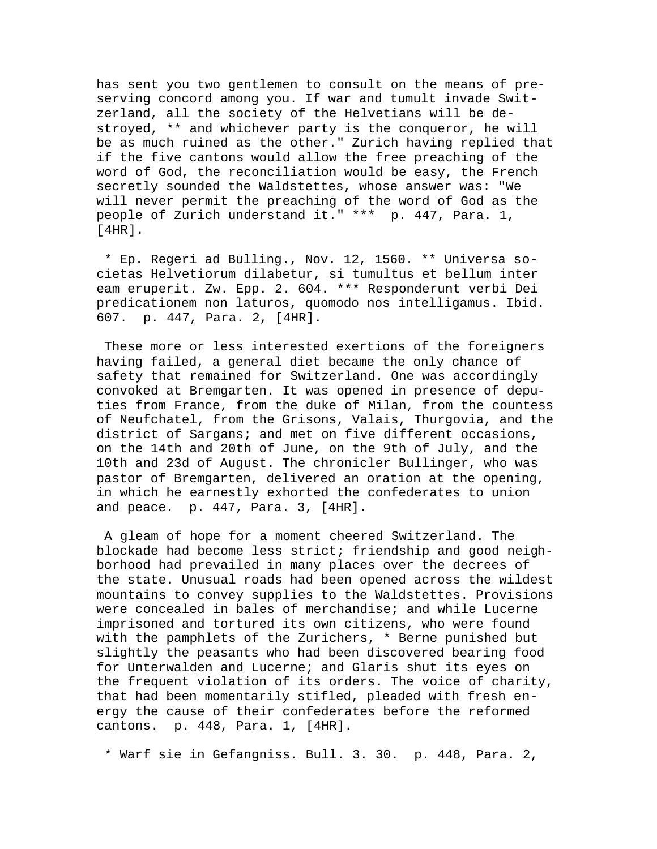has sent you two gentlemen to consult on the means of preserving concord among you. If war and tumult invade Switzerland, all the society of the Helvetians will be destroyed, \*\* and whichever party is the conqueror, he will be as much ruined as the other." Zurich having replied that if the five cantons would allow the free preaching of the word of God, the reconciliation would be easy, the French secretly sounded the Waldstettes, whose answer was: "We will never permit the preaching of the word of God as the people of Zurich understand it." \*\*\* p. 447, Para. 1, [4HR].

 \* Ep. Regeri ad Bulling., Nov. 12, 1560. \*\* Universa societas Helvetiorum dilabetur, si tumultus et bellum inter eam eruperit. Zw. Epp. 2. 604. \*\*\* Responderunt verbi Dei predicationem non laturos, quomodo nos intelligamus. Ibid. 607. p. 447, Para. 2, [4HR].

 These more or less interested exertions of the foreigners having failed, a general diet became the only chance of safety that remained for Switzerland. One was accordingly convoked at Bremgarten. It was opened in presence of deputies from France, from the duke of Milan, from the countess of Neufchatel, from the Grisons, Valais, Thurgovia, and the district of Sargans; and met on five different occasions, on the 14th and 20th of June, on the 9th of July, and the 10th and 23d of August. The chronicler Bullinger, who was pastor of Bremgarten, delivered an oration at the opening, in which he earnestly exhorted the confederates to union and peace. p. 447, Para. 3, [4HR].

 A gleam of hope for a moment cheered Switzerland. The blockade had become less strict; friendship and good neighborhood had prevailed in many places over the decrees of the state. Unusual roads had been opened across the wildest mountains to convey supplies to the Waldstettes. Provisions were concealed in bales of merchandise; and while Lucerne imprisoned and tortured its own citizens, who were found with the pamphlets of the Zurichers, \* Berne punished but slightly the peasants who had been discovered bearing food for Unterwalden and Lucerne; and Glaris shut its eyes on the frequent violation of its orders. The voice of charity, that had been momentarily stifled, pleaded with fresh energy the cause of their confederates before the reformed cantons. p. 448, Para. 1, [4HR].

\* Warf sie in Gefangniss. Bull. 3. 30. p. 448, Para. 2,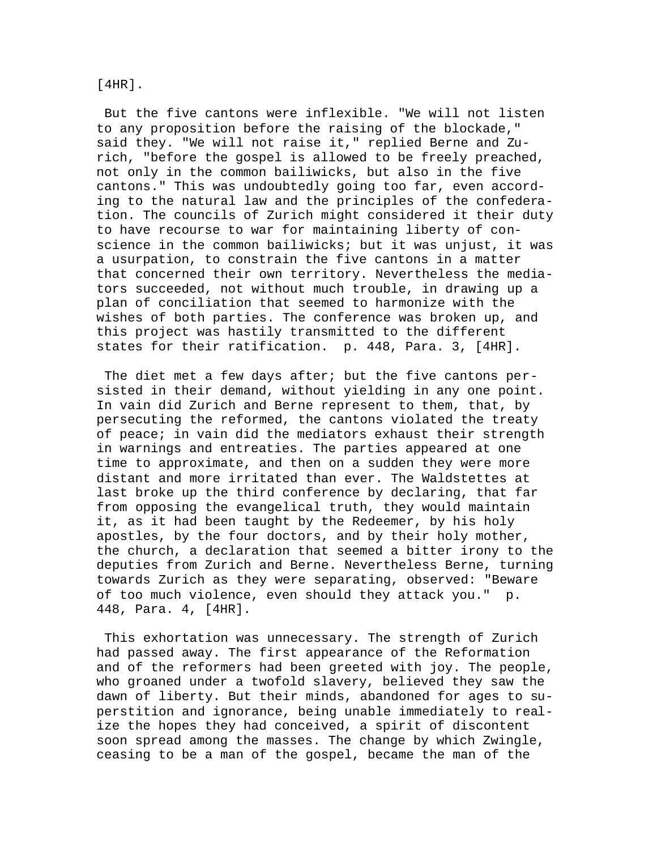## [4HR].

 But the five cantons were inflexible. "We will not listen to any proposition before the raising of the blockade," said they. "We will not raise it," replied Berne and Zurich, "before the gospel is allowed to be freely preached, not only in the common bailiwicks, but also in the five cantons." This was undoubtedly going too far, even according to the natural law and the principles of the confederation. The councils of Zurich might considered it their duty to have recourse to war for maintaining liberty of conscience in the common bailiwicks; but it was unjust, it was a usurpation, to constrain the five cantons in a matter that concerned their own territory. Nevertheless the mediators succeeded, not without much trouble, in drawing up a plan of conciliation that seemed to harmonize with the wishes of both parties. The conference was broken up, and this project was hastily transmitted to the different states for their ratification. p. 448, Para. 3, [4HR].

 The diet met a few days after; but the five cantons persisted in their demand, without yielding in any one point. In vain did Zurich and Berne represent to them, that, by persecuting the reformed, the cantons violated the treaty of peace; in vain did the mediators exhaust their strength in warnings and entreaties. The parties appeared at one time to approximate, and then on a sudden they were more distant and more irritated than ever. The Waldstettes at last broke up the third conference by declaring, that far from opposing the evangelical truth, they would maintain it, as it had been taught by the Redeemer, by his holy apostles, by the four doctors, and by their holy mother, the church, a declaration that seemed a bitter irony to the deputies from Zurich and Berne. Nevertheless Berne, turning towards Zurich as they were separating, observed: "Beware of too much violence, even should they attack you." p. 448, Para. 4, [4HR].

 This exhortation was unnecessary. The strength of Zurich had passed away. The first appearance of the Reformation and of the reformers had been greeted with joy. The people, who groaned under a twofold slavery, believed they saw the dawn of liberty. But their minds, abandoned for ages to superstition and ignorance, being unable immediately to realize the hopes they had conceived, a spirit of discontent soon spread among the masses. The change by which Zwingle, ceasing to be a man of the gospel, became the man of the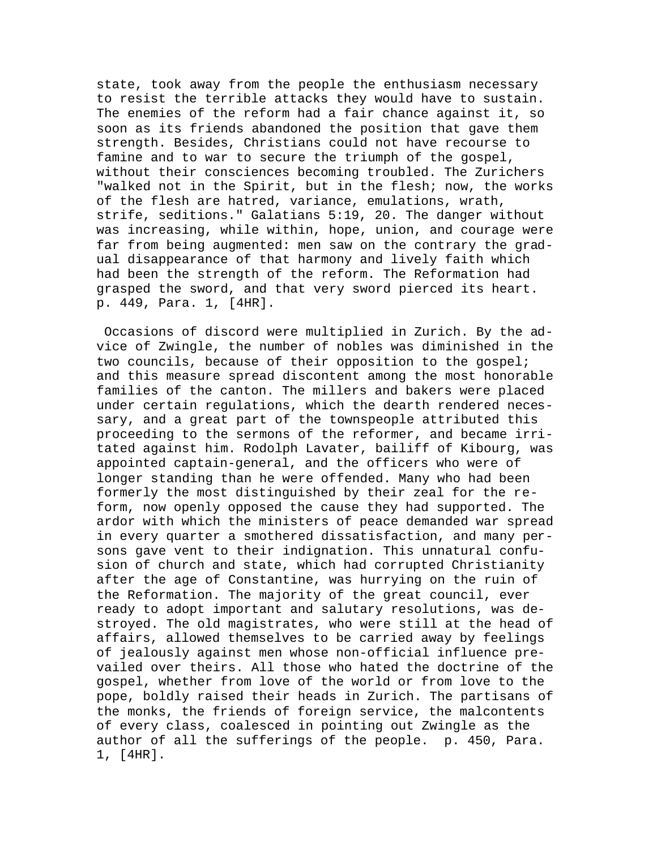state, took away from the people the enthusiasm necessary to resist the terrible attacks they would have to sustain. The enemies of the reform had a fair chance against it, so soon as its friends abandoned the position that gave them strength. Besides, Christians could not have recourse to famine and to war to secure the triumph of the gospel, without their consciences becoming troubled. The Zurichers "walked not in the Spirit, but in the flesh; now, the works of the flesh are hatred, variance, emulations, wrath, strife, seditions." Galatians 5:19, 20. The danger without was increasing, while within, hope, union, and courage were far from being augmented: men saw on the contrary the gradual disappearance of that harmony and lively faith which had been the strength of the reform. The Reformation had grasped the sword, and that very sword pierced its heart. p. 449, Para. 1, [4HR].

 Occasions of discord were multiplied in Zurich. By the advice of Zwingle, the number of nobles was diminished in the two councils, because of their opposition to the gospel; and this measure spread discontent among the most honorable families of the canton. The millers and bakers were placed under certain regulations, which the dearth rendered necessary, and a great part of the townspeople attributed this proceeding to the sermons of the reformer, and became irritated against him. Rodolph Lavater, bailiff of Kibourg, was appointed captain-general, and the officers who were of longer standing than he were offended. Many who had been formerly the most distinguished by their zeal for the reform, now openly opposed the cause they had supported. The ardor with which the ministers of peace demanded war spread in every quarter a smothered dissatisfaction, and many persons gave vent to their indignation. This unnatural confusion of church and state, which had corrupted Christianity after the age of Constantine, was hurrying on the ruin of the Reformation. The majority of the great council, ever ready to adopt important and salutary resolutions, was destroyed. The old magistrates, who were still at the head of affairs, allowed themselves to be carried away by feelings of jealously against men whose non-official influence prevailed over theirs. All those who hated the doctrine of the gospel, whether from love of the world or from love to the pope, boldly raised their heads in Zurich. The partisans of the monks, the friends of foreign service, the malcontents of every class, coalesced in pointing out Zwingle as the author of all the sufferings of the people. p. 450, Para. 1, [4HR].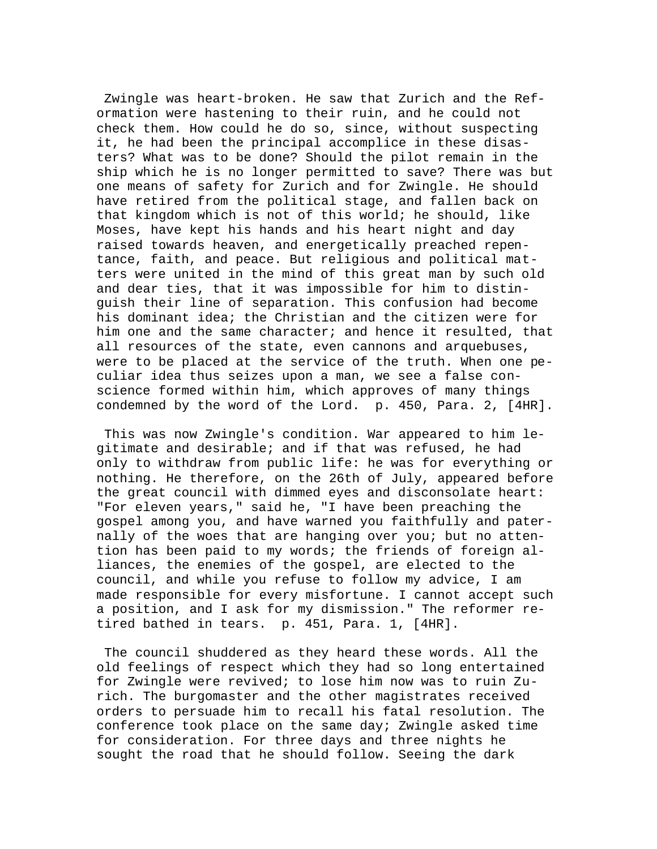Zwingle was heart-broken. He saw that Zurich and the Reformation were hastening to their ruin, and he could not check them. How could he do so, since, without suspecting it, he had been the principal accomplice in these disasters? What was to be done? Should the pilot remain in the ship which he is no longer permitted to save? There was but one means of safety for Zurich and for Zwingle. He should have retired from the political stage, and fallen back on that kingdom which is not of this world; he should, like Moses, have kept his hands and his heart night and day raised towards heaven, and energetically preached repentance, faith, and peace. But religious and political matters were united in the mind of this great man by such old and dear ties, that it was impossible for him to distinguish their line of separation. This confusion had become his dominant idea; the Christian and the citizen were for him one and the same character; and hence it resulted, that all resources of the state, even cannons and arquebuses, were to be placed at the service of the truth. When one peculiar idea thus seizes upon a man, we see a false conscience formed within him, which approves of many things condemned by the word of the Lord. p. 450, Para. 2, [4HR].

 This was now Zwingle's condition. War appeared to him legitimate and desirable; and if that was refused, he had only to withdraw from public life: he was for everything or nothing. He therefore, on the 26th of July, appeared before the great council with dimmed eyes and disconsolate heart: "For eleven years," said he, "I have been preaching the gospel among you, and have warned you faithfully and paternally of the woes that are hanging over you; but no attention has been paid to my words; the friends of foreign alliances, the enemies of the gospel, are elected to the council, and while you refuse to follow my advice, I am made responsible for every misfortune. I cannot accept such a position, and I ask for my dismission." The reformer retired bathed in tears. p. 451, Para. 1, [4HR].

 The council shuddered as they heard these words. All the old feelings of respect which they had so long entertained for Zwingle were revived; to lose him now was to ruin Zurich. The burgomaster and the other magistrates received orders to persuade him to recall his fatal resolution. The conference took place on the same day; Zwingle asked time for consideration. For three days and three nights he sought the road that he should follow. Seeing the dark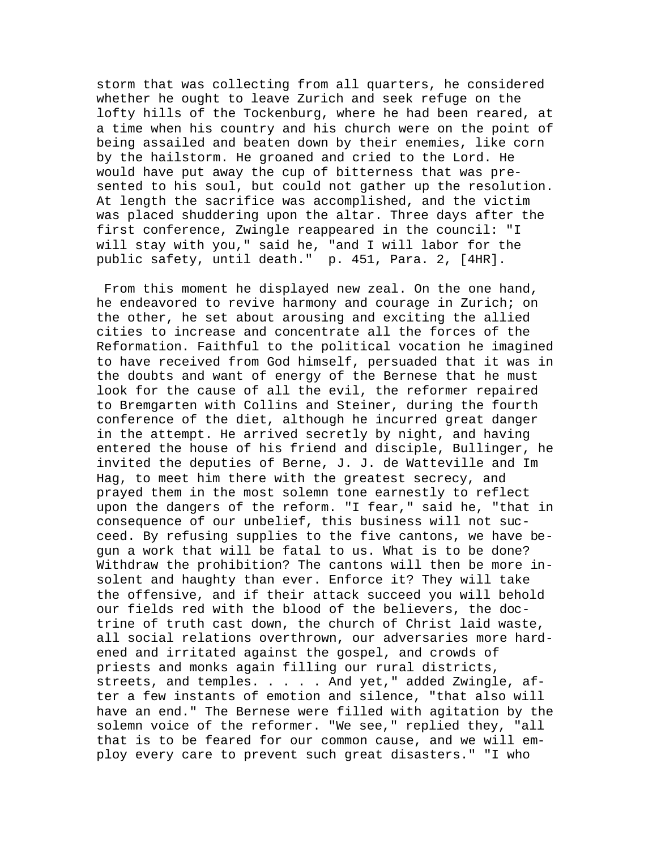storm that was collecting from all quarters, he considered whether he ought to leave Zurich and seek refuge on the lofty hills of the Tockenburg, where he had been reared, at a time when his country and his church were on the point of being assailed and beaten down by their enemies, like corn by the hailstorm. He groaned and cried to the Lord. He would have put away the cup of bitterness that was presented to his soul, but could not gather up the resolution. At length the sacrifice was accomplished, and the victim was placed shuddering upon the altar. Three days after the first conference, Zwingle reappeared in the council: "I will stay with you," said he, "and I will labor for the public safety, until death." p. 451, Para. 2, [4HR].

 From this moment he displayed new zeal. On the one hand, he endeavored to revive harmony and courage in Zurich; on the other, he set about arousing and exciting the allied cities to increase and concentrate all the forces of the Reformation. Faithful to the political vocation he imagined to have received from God himself, persuaded that it was in the doubts and want of energy of the Bernese that he must look for the cause of all the evil, the reformer repaired to Bremgarten with Collins and Steiner, during the fourth conference of the diet, although he incurred great danger in the attempt. He arrived secretly by night, and having entered the house of his friend and disciple, Bullinger, he invited the deputies of Berne, J. J. de Watteville and Im Hag, to meet him there with the greatest secrecy, and prayed them in the most solemn tone earnestly to reflect upon the dangers of the reform. "I fear," said he, "that in consequence of our unbelief, this business will not succeed. By refusing supplies to the five cantons, we have begun a work that will be fatal to us. What is to be done? Withdraw the prohibition? The cantons will then be more insolent and haughty than ever. Enforce it? They will take the offensive, and if their attack succeed you will behold our fields red with the blood of the believers, the doctrine of truth cast down, the church of Christ laid waste, all social relations overthrown, our adversaries more hardened and irritated against the gospel, and crowds of priests and monks again filling our rural districts, streets, and temples. . . . . And yet," added Zwingle, after a few instants of emotion and silence, "that also will have an end." The Bernese were filled with agitation by the solemn voice of the reformer. "We see," replied they, "all that is to be feared for our common cause, and we will employ every care to prevent such great disasters." "I who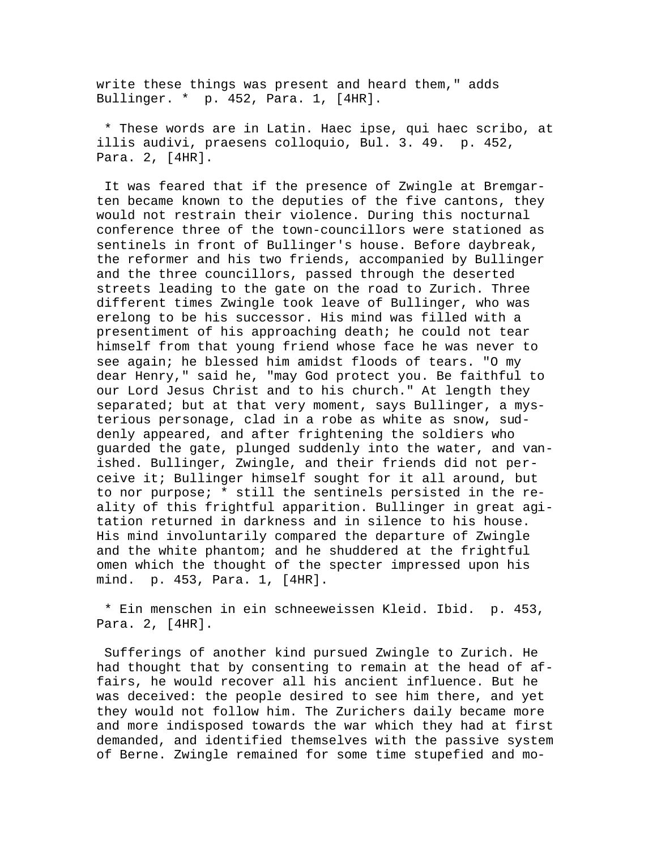write these things was present and heard them," adds Bullinger. \* p. 452, Para. 1, [4HR].

 \* These words are in Latin. Haec ipse, qui haec scribo, at illis audivi, praesens colloquio, Bul. 3. 49. p. 452, Para. 2, [4HR].

 It was feared that if the presence of Zwingle at Bremgarten became known to the deputies of the five cantons, they would not restrain their violence. During this nocturnal conference three of the town-councillors were stationed as sentinels in front of Bullinger's house. Before daybreak, the reformer and his two friends, accompanied by Bullinger and the three councillors, passed through the deserted streets leading to the gate on the road to Zurich. Three different times Zwingle took leave of Bullinger, who was erelong to be his successor. His mind was filled with a presentiment of his approaching death; he could not tear himself from that young friend whose face he was never to see again; he blessed him amidst floods of tears. "O my dear Henry," said he, "may God protect you. Be faithful to our Lord Jesus Christ and to his church." At length they separated; but at that very moment, says Bullinger, a mysterious personage, clad in a robe as white as snow, suddenly appeared, and after frightening the soldiers who guarded the gate, plunged suddenly into the water, and vanished. Bullinger, Zwingle, and their friends did not perceive it; Bullinger himself sought for it all around, but to nor purpose; \* still the sentinels persisted in the reality of this frightful apparition. Bullinger in great agitation returned in darkness and in silence to his house. His mind involuntarily compared the departure of Zwingle and the white phantom; and he shuddered at the frightful omen which the thought of the specter impressed upon his mind. p. 453, Para. 1, [4HR].

 \* Ein menschen in ein schneeweissen Kleid. Ibid. p. 453, Para. 2, [4HR].

 Sufferings of another kind pursued Zwingle to Zurich. He had thought that by consenting to remain at the head of affairs, he would recover all his ancient influence. But he was deceived: the people desired to see him there, and yet they would not follow him. The Zurichers daily became more and more indisposed towards the war which they had at first demanded, and identified themselves with the passive system of Berne. Zwingle remained for some time stupefied and mo-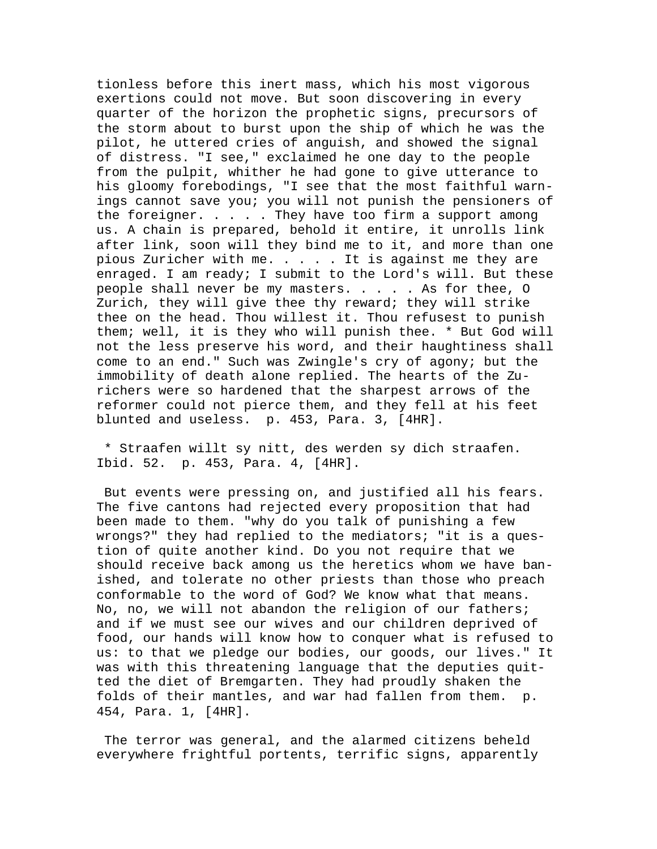tionless before this inert mass, which his most vigorous exertions could not move. But soon discovering in every quarter of the horizon the prophetic signs, precursors of the storm about to burst upon the ship of which he was the pilot, he uttered cries of anguish, and showed the signal of distress. "I see," exclaimed he one day to the people from the pulpit, whither he had gone to give utterance to his gloomy forebodings, "I see that the most faithful warnings cannot save you; you will not punish the pensioners of the foreigner. . . . . They have too firm a support among us. A chain is prepared, behold it entire, it unrolls link after link, soon will they bind me to it, and more than one pious Zuricher with me. . . . . It is against me they are enraged. I am ready; I submit to the Lord's will. But these people shall never be my masters. . . . . As for thee, O Zurich, they will give thee thy reward; they will strike thee on the head. Thou willest it. Thou refusest to punish them; well, it is they who will punish thee. \* But God will not the less preserve his word, and their haughtiness shall come to an end." Such was Zwingle's cry of agony; but the immobility of death alone replied. The hearts of the Zurichers were so hardened that the sharpest arrows of the reformer could not pierce them, and they fell at his feet blunted and useless. p. 453, Para. 3, [4HR].

 \* Straafen willt sy nitt, des werden sy dich straafen. Ibid. 52. p. 453, Para. 4, [4HR].

 But events were pressing on, and justified all his fears. The five cantons had rejected every proposition that had been made to them. "why do you talk of punishing a few wrongs?" they had replied to the mediators; "it is a question of quite another kind. Do you not require that we should receive back among us the heretics whom we have banished, and tolerate no other priests than those who preach conformable to the word of God? We know what that means. No, no, we will not abandon the religion of our fathers; and if we must see our wives and our children deprived of food, our hands will know how to conquer what is refused to us: to that we pledge our bodies, our goods, our lives." It was with this threatening language that the deputies quitted the diet of Bremgarten. They had proudly shaken the folds of their mantles, and war had fallen from them. p. 454, Para. 1, [4HR].

 The terror was general, and the alarmed citizens beheld everywhere frightful portents, terrific signs, apparently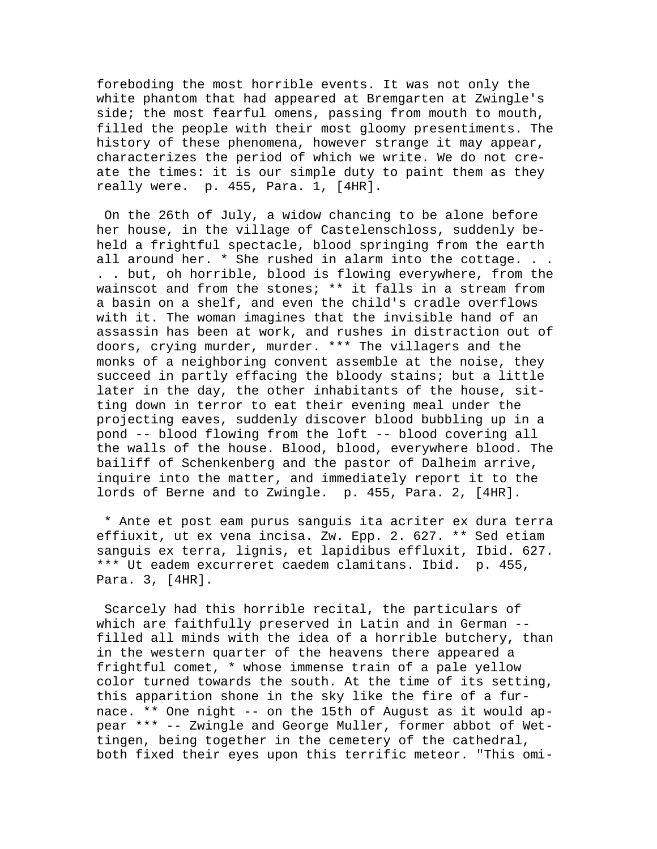foreboding the most horrible events. It was not only the white phantom that had appeared at Bremgarten at Zwingle's side; the most fearful omens, passing from mouth to mouth, filled the people with their most gloomy presentiments. The history of these phenomena, however strange it may appear, characterizes the period of which we write. We do not create the times: it is our simple duty to paint them as they really were. p. 455, Para. 1, [4HR].

 On the 26th of July, a widow chancing to be alone before her house, in the village of Castelenschloss, suddenly beheld a frightful spectacle, blood springing from the earth all around her. \* She rushed in alarm into the cottage. . . . . but, oh horrible, blood is flowing everywhere, from the wainscot and from the stones; \*\* it falls in a stream from a basin on a shelf, and even the child's cradle overflows with it. The woman imagines that the invisible hand of an assassin has been at work, and rushes in distraction out of doors, crying murder, murder. \*\*\* The villagers and the monks of a neighboring convent assemble at the noise, they succeed in partly effacing the bloody stains; but a little later in the day, the other inhabitants of the house, sitting down in terror to eat their evening meal under the projecting eaves, suddenly discover blood bubbling up in a pond -- blood flowing from the loft -- blood covering all the walls of the house. Blood, blood, everywhere blood. The bailiff of Schenkenberg and the pastor of Dalheim arrive, inquire into the matter, and immediately report it to the lords of Berne and to Zwingle. p. 455, Para. 2, [4HR].

 \* Ante et post eam purus sanguis ita acriter ex dura terra effiuxit, ut ex vena incisa. Zw. Epp. 2. 627. \*\* Sed etiam sanguis ex terra, lignis, et lapidibus effluxit, Ibid. 627. \*\*\* Ut eadem excurreret caedem clamitans. Ibid. p. 455, Para. 3, [4HR].

 Scarcely had this horrible recital, the particulars of which are faithfully preserved in Latin and in German - filled all minds with the idea of a horrible butchery, than in the western quarter of the heavens there appeared a frightful comet, \* whose immense train of a pale yellow color turned towards the south. At the time of its setting, this apparition shone in the sky like the fire of a furnace. \*\* One night -- on the 15th of August as it would appear \*\*\* -- Zwingle and George Muller, former abbot of Wettingen, being together in the cemetery of the cathedral, both fixed their eyes upon this terrific meteor. "This omi-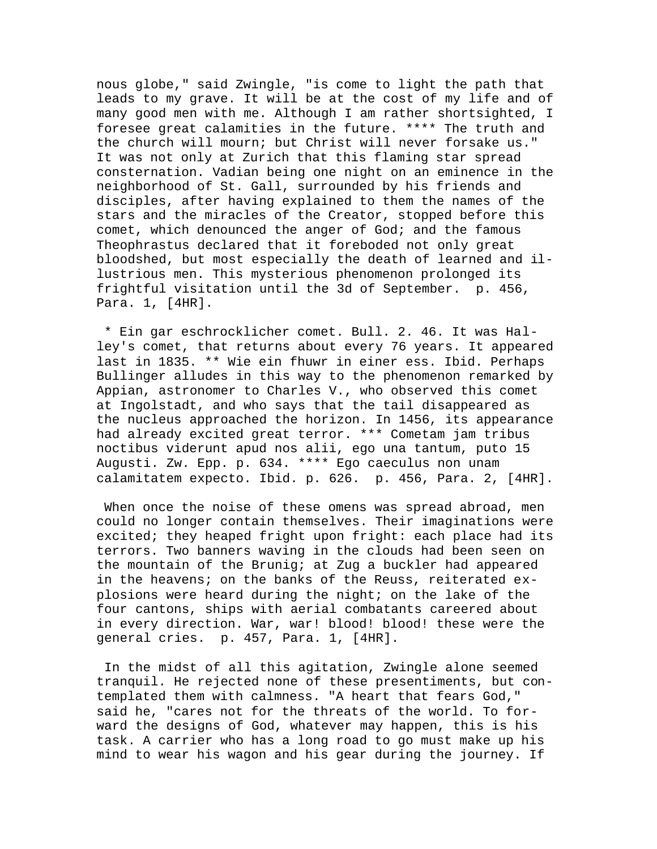nous globe," said Zwingle, "is come to light the path that leads to my grave. It will be at the cost of my life and of many good men with me. Although I am rather shortsighted, I foresee great calamities in the future. \*\*\*\* The truth and the church will mourn; but Christ will never forsake us." It was not only at Zurich that this flaming star spread consternation. Vadian being one night on an eminence in the neighborhood of St. Gall, surrounded by his friends and disciples, after having explained to them the names of the stars and the miracles of the Creator, stopped before this comet, which denounced the anger of God; and the famous Theophrastus declared that it foreboded not only great bloodshed, but most especially the death of learned and illustrious men. This mysterious phenomenon prolonged its frightful visitation until the 3d of September. p. 456, Para. 1, [4HR].

 \* Ein gar eschrocklicher comet. Bull. 2. 46. It was Halley's comet, that returns about every 76 years. It appeared last in 1835. \*\* Wie ein fhuwr in einer ess. Ibid. Perhaps Bullinger alludes in this way to the phenomenon remarked by Appian, astronomer to Charles V., who observed this comet at Ingolstadt, and who says that the tail disappeared as the nucleus approached the horizon. In 1456, its appearance had already excited great terror. \*\*\* Cometam jam tribus noctibus viderunt apud nos alii, ego una tantum, puto 15 Augusti. Zw. Epp. p. 634. \*\*\*\* Ego caeculus non unam calamitatem expecto. Ibid. p. 626. p. 456, Para. 2, [4HR].

 When once the noise of these omens was spread abroad, men could no longer contain themselves. Their imaginations were excited; they heaped fright upon fright: each place had its terrors. Two banners waving in the clouds had been seen on the mountain of the Brunig; at Zug a buckler had appeared in the heavens; on the banks of the Reuss, reiterated explosions were heard during the night; on the lake of the four cantons, ships with aerial combatants careered about in every direction. War, war! blood! blood! these were the general cries. p. 457, Para. 1, [4HR].

 In the midst of all this agitation, Zwingle alone seemed tranquil. He rejected none of these presentiments, but contemplated them with calmness. "A heart that fears God," said he, "cares not for the threats of the world. To forward the designs of God, whatever may happen, this is his task. A carrier who has a long road to go must make up his mind to wear his wagon and his gear during the journey. If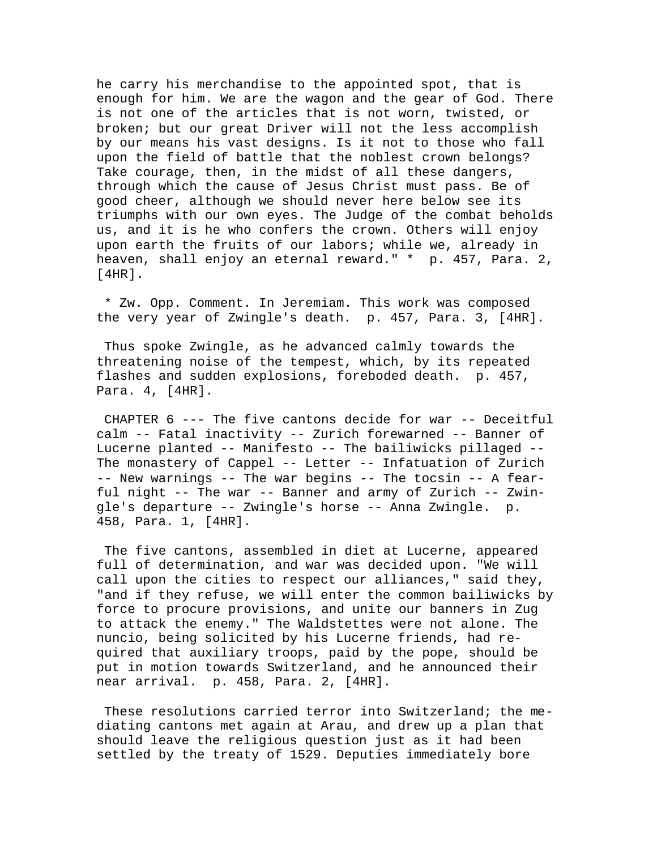he carry his merchandise to the appointed spot, that is enough for him. We are the wagon and the gear of God. There is not one of the articles that is not worn, twisted, or broken; but our great Driver will not the less accomplish by our means his vast designs. Is it not to those who fall upon the field of battle that the noblest crown belongs? Take courage, then, in the midst of all these dangers, through which the cause of Jesus Christ must pass. Be of good cheer, although we should never here below see its triumphs with our own eyes. The Judge of the combat beholds us, and it is he who confers the crown. Others will enjoy upon earth the fruits of our labors; while we, already in heaven, shall enjoy an eternal reward." \* p. 457, Para. 2,  $[4HR]$ .

 \* Zw. Opp. Comment. In Jeremiam. This work was composed the very year of Zwingle's death. p. 457, Para. 3, [4HR].

 Thus spoke Zwingle, as he advanced calmly towards the threatening noise of the tempest, which, by its repeated flashes and sudden explosions, foreboded death. p. 457, Para. 4, [4HR].

 CHAPTER 6 --- The five cantons decide for war -- Deceitful calm -- Fatal inactivity -- Zurich forewarned -- Banner of Lucerne planted -- Manifesto -- The bailiwicks pillaged -- The monastery of Cappel -- Letter -- Infatuation of Zurich -- New warnings -- The war begins -- The tocsin -- A fearful night -- The war -- Banner and army of Zurich -- Zwingle's departure -- Zwingle's horse -- Anna Zwingle. p. 458, Para. 1, [4HR].

 The five cantons, assembled in diet at Lucerne, appeared full of determination, and war was decided upon. "We will call upon the cities to respect our alliances," said they, "and if they refuse, we will enter the common bailiwicks by force to procure provisions, and unite our banners in Zug to attack the enemy." The Waldstettes were not alone. The nuncio, being solicited by his Lucerne friends, had required that auxiliary troops, paid by the pope, should be put in motion towards Switzerland, and he announced their near arrival. p. 458, Para. 2, [4HR].

 These resolutions carried terror into Switzerland; the mediating cantons met again at Arau, and drew up a plan that should leave the religious question just as it had been settled by the treaty of 1529. Deputies immediately bore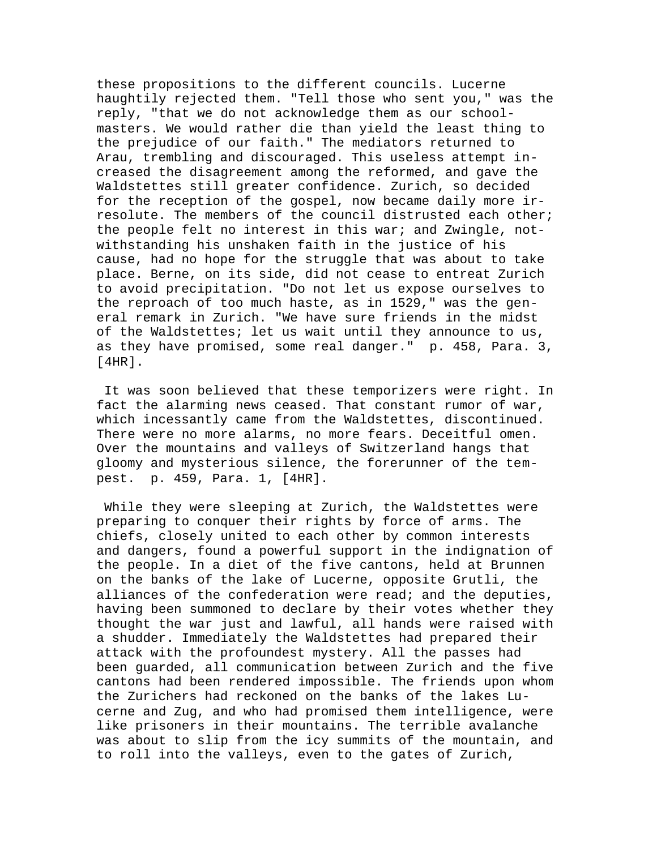these propositions to the different councils. Lucerne haughtily rejected them. "Tell those who sent you," was the reply, "that we do not acknowledge them as our schoolmasters. We would rather die than yield the least thing to the prejudice of our faith." The mediators returned to Arau, trembling and discouraged. This useless attempt increased the disagreement among the reformed, and gave the Waldstettes still greater confidence. Zurich, so decided for the reception of the gospel, now became daily more irresolute. The members of the council distrusted each other; the people felt no interest in this war; and Zwingle, notwithstanding his unshaken faith in the justice of his cause, had no hope for the struggle that was about to take place. Berne, on its side, did not cease to entreat Zurich to avoid precipitation. "Do not let us expose ourselves to the reproach of too much haste, as in 1529," was the general remark in Zurich. "We have sure friends in the midst of the Waldstettes; let us wait until they announce to us, as they have promised, some real danger." p. 458, Para. 3, [4HR].

 It was soon believed that these temporizers were right. In fact the alarming news ceased. That constant rumor of war, which incessantly came from the Waldstettes, discontinued. There were no more alarms, no more fears. Deceitful omen. Over the mountains and valleys of Switzerland hangs that gloomy and mysterious silence, the forerunner of the tempest. p. 459, Para. 1, [4HR].

 While they were sleeping at Zurich, the Waldstettes were preparing to conquer their rights by force of arms. The chiefs, closely united to each other by common interests and dangers, found a powerful support in the indignation of the people. In a diet of the five cantons, held at Brunnen on the banks of the lake of Lucerne, opposite Grutli, the alliances of the confederation were read; and the deputies, having been summoned to declare by their votes whether they thought the war just and lawful, all hands were raised with a shudder. Immediately the Waldstettes had prepared their attack with the profoundest mystery. All the passes had been guarded, all communication between Zurich and the five cantons had been rendered impossible. The friends upon whom the Zurichers had reckoned on the banks of the lakes Lucerne and Zug, and who had promised them intelligence, were like prisoners in their mountains. The terrible avalanche was about to slip from the icy summits of the mountain, and to roll into the valleys, even to the gates of Zurich,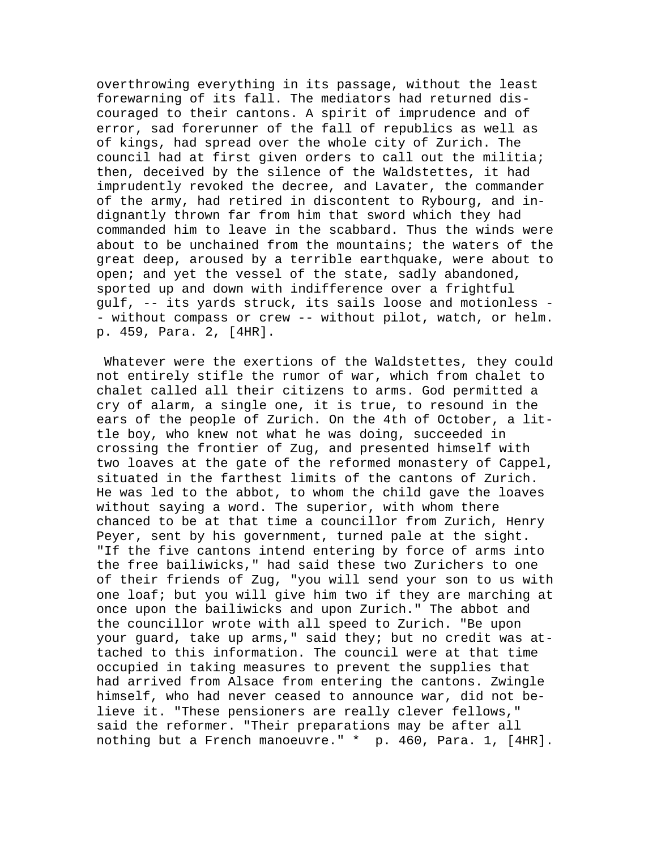overthrowing everything in its passage, without the least forewarning of its fall. The mediators had returned discouraged to their cantons. A spirit of imprudence and of error, sad forerunner of the fall of republics as well as of kings, had spread over the whole city of Zurich. The council had at first given orders to call out the militia; then, deceived by the silence of the Waldstettes, it had imprudently revoked the decree, and Lavater, the commander of the army, had retired in discontent to Rybourg, and indignantly thrown far from him that sword which they had commanded him to leave in the scabbard. Thus the winds were about to be unchained from the mountains; the waters of the great deep, aroused by a terrible earthquake, were about to open; and yet the vessel of the state, sadly abandoned, sported up and down with indifference over a frightful gulf, -- its yards struck, its sails loose and motionless - - without compass or crew -- without pilot, watch, or helm. p. 459, Para. 2, [4HR].

 Whatever were the exertions of the Waldstettes, they could not entirely stifle the rumor of war, which from chalet to chalet called all their citizens to arms. God permitted a cry of alarm, a single one, it is true, to resound in the ears of the people of Zurich. On the 4th of October, a little boy, who knew not what he was doing, succeeded in crossing the frontier of Zug, and presented himself with two loaves at the gate of the reformed monastery of Cappel, situated in the farthest limits of the cantons of Zurich. He was led to the abbot, to whom the child gave the loaves without saying a word. The superior, with whom there chanced to be at that time a councillor from Zurich, Henry Peyer, sent by his government, turned pale at the sight. "If the five cantons intend entering by force of arms into the free bailiwicks," had said these two Zurichers to one of their friends of Zug, "you will send your son to us with one loaf; but you will give him two if they are marching at once upon the bailiwicks and upon Zurich." The abbot and the councillor wrote with all speed to Zurich. "Be upon your guard, take up arms," said they; but no credit was attached to this information. The council were at that time occupied in taking measures to prevent the supplies that had arrived from Alsace from entering the cantons. Zwingle himself, who had never ceased to announce war, did not believe it. "These pensioners are really clever fellows," said the reformer. "Their preparations may be after all nothing but a French manoeuvre." \* p. 460, Para. 1, [4HR].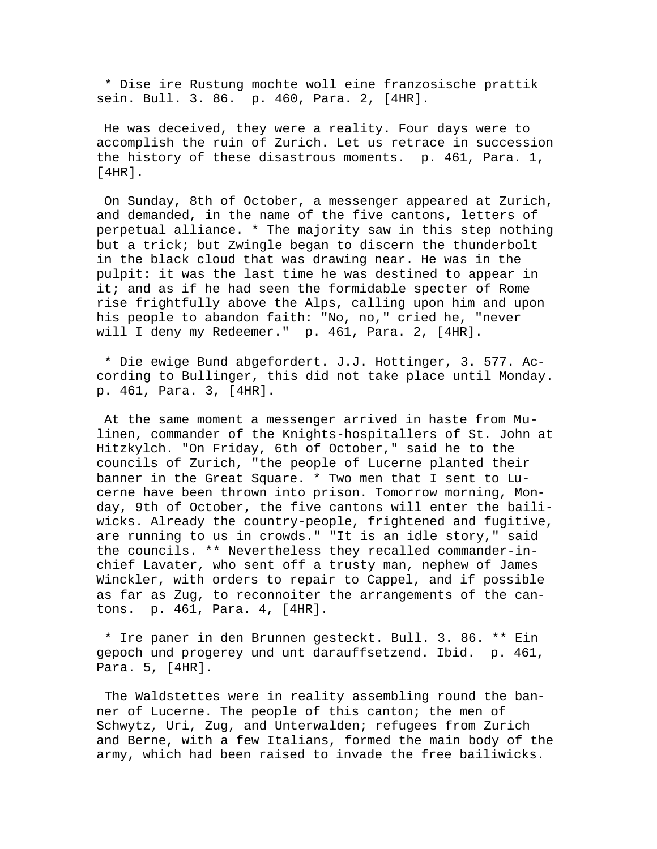\* Dise ire Rustung mochte woll eine franzosische prattik sein. Bull. 3. 86. p. 460, Para. 2, [4HR].

 He was deceived, they were a reality. Four days were to accomplish the ruin of Zurich. Let us retrace in succession the history of these disastrous moments. p. 461, Para. 1, [4HR].

 On Sunday, 8th of October, a messenger appeared at Zurich, and demanded, in the name of the five cantons, letters of perpetual alliance. \* The majority saw in this step nothing but a trick; but Zwingle began to discern the thunderbolt in the black cloud that was drawing near. He was in the pulpit: it was the last time he was destined to appear in it; and as if he had seen the formidable specter of Rome rise frightfully above the Alps, calling upon him and upon his people to abandon faith: "No, no," cried he, "never will I deny my Redeemer." p. 461, Para. 2, [4HR].

 \* Die ewige Bund abgefordert. J.J. Hottinger, 3. 577. According to Bullinger, this did not take place until Monday. p. 461, Para. 3, [4HR].

 At the same moment a messenger arrived in haste from Mulinen, commander of the Knights-hospitallers of St. John at Hitzkylch. "On Friday, 6th of October," said he to the councils of Zurich, "the people of Lucerne planted their banner in the Great Square. \* Two men that I sent to Lucerne have been thrown into prison. Tomorrow morning, Monday, 9th of October, the five cantons will enter the bailiwicks. Already the country-people, frightened and fugitive, are running to us in crowds." "It is an idle story," said the councils. \*\* Nevertheless they recalled commander-inchief Lavater, who sent off a trusty man, nephew of James Winckler, with orders to repair to Cappel, and if possible as far as Zug, to reconnoiter the arrangements of the cantons. p. 461, Para. 4, [4HR].

 \* Ire paner in den Brunnen gesteckt. Bull. 3. 86. \*\* Ein gepoch und progerey und unt darauffsetzend. Ibid. p. 461, Para. 5, [4HR].

 The Waldstettes were in reality assembling round the banner of Lucerne. The people of this canton; the men of Schwytz, Uri, Zug, and Unterwalden; refugees from Zurich and Berne, with a few Italians, formed the main body of the army, which had been raised to invade the free bailiwicks.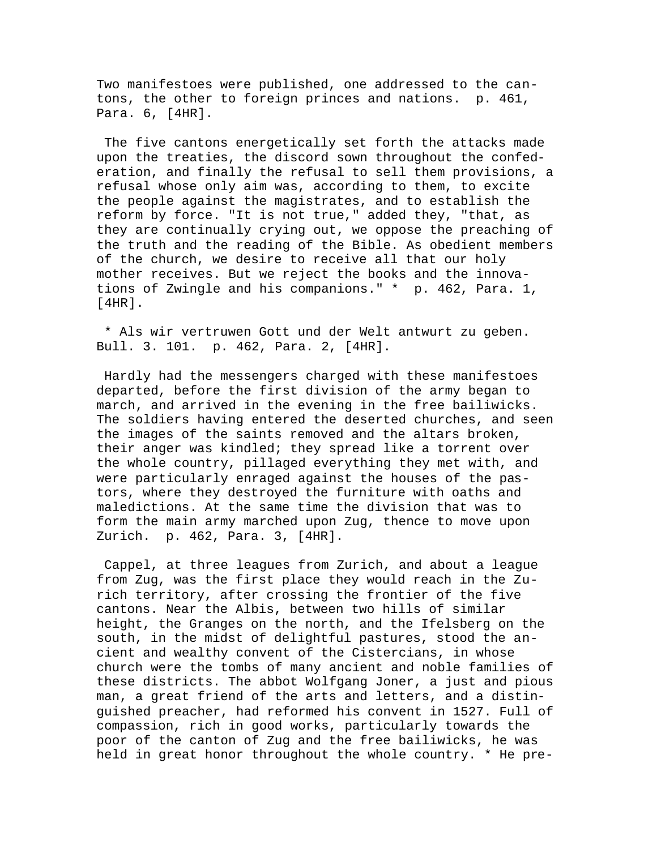Two manifestoes were published, one addressed to the cantons, the other to foreign princes and nations. p. 461, Para. 6, [4HR].

 The five cantons energetically set forth the attacks made upon the treaties, the discord sown throughout the confederation, and finally the refusal to sell them provisions, a refusal whose only aim was, according to them, to excite the people against the magistrates, and to establish the reform by force. "It is not true," added they, "that, as they are continually crying out, we oppose the preaching of the truth and the reading of the Bible. As obedient members of the church, we desire to receive all that our holy mother receives. But we reject the books and the innovations of Zwingle and his companions." \* p. 462, Para. 1, [4HR].

 \* Als wir vertruwen Gott und der Welt antwurt zu geben. Bull. 3. 101. p. 462, Para. 2, [4HR].

 Hardly had the messengers charged with these manifestoes departed, before the first division of the army began to march, and arrived in the evening in the free bailiwicks. The soldiers having entered the deserted churches, and seen the images of the saints removed and the altars broken, their anger was kindled; they spread like a torrent over the whole country, pillaged everything they met with, and were particularly enraged against the houses of the pastors, where they destroyed the furniture with oaths and maledictions. At the same time the division that was to form the main army marched upon Zug, thence to move upon Zurich. p. 462, Para. 3, [4HR].

 Cappel, at three leagues from Zurich, and about a league from Zug, was the first place they would reach in the Zurich territory, after crossing the frontier of the five cantons. Near the Albis, between two hills of similar height, the Granges on the north, and the Ifelsberg on the south, in the midst of delightful pastures, stood the ancient and wealthy convent of the Cistercians, in whose church were the tombs of many ancient and noble families of these districts. The abbot Wolfgang Joner, a just and pious man, a great friend of the arts and letters, and a distinguished preacher, had reformed his convent in 1527. Full of compassion, rich in good works, particularly towards the poor of the canton of Zug and the free bailiwicks, he was held in great honor throughout the whole country. \* He pre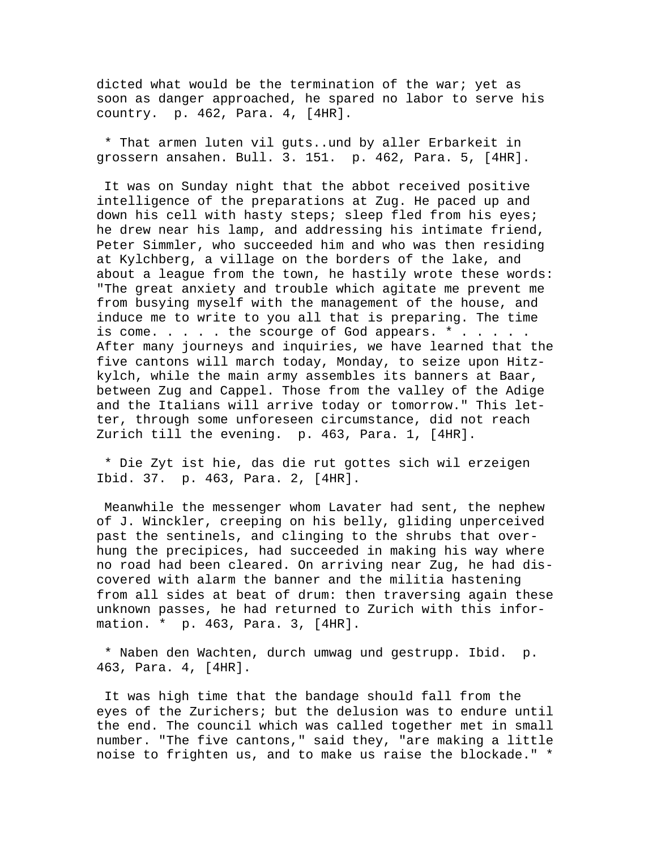dicted what would be the termination of the war; yet as soon as danger approached, he spared no labor to serve his country. p. 462, Para. 4, [4HR].

 \* That armen luten vil guts..und by aller Erbarkeit in grossern ansahen. Bull. 3. 151. p. 462, Para. 5, [4HR].

 It was on Sunday night that the abbot received positive intelligence of the preparations at Zug. He paced up and down his cell with hasty steps; sleep fled from his eyes; he drew near his lamp, and addressing his intimate friend, Peter Simmler, who succeeded him and who was then residing at Kylchberg, a village on the borders of the lake, and about a league from the town, he hastily wrote these words: "The great anxiety and trouble which agitate me prevent me from busying myself with the management of the house, and induce me to write to you all that is preparing. The time is come. . . . . the scourge of God appears. \* . . . . . After many journeys and inquiries, we have learned that the five cantons will march today, Monday, to seize upon Hitzkylch, while the main army assembles its banners at Baar, between Zug and Cappel. Those from the valley of the Adige and the Italians will arrive today or tomorrow." This letter, through some unforeseen circumstance, did not reach Zurich till the evening. p. 463, Para. 1, [4HR].

 \* Die Zyt ist hie, das die rut gottes sich wil erzeigen Ibid. 37. p. 463, Para. 2, [4HR].

 Meanwhile the messenger whom Lavater had sent, the nephew of J. Winckler, creeping on his belly, gliding unperceived past the sentinels, and clinging to the shrubs that overhung the precipices, had succeeded in making his way where no road had been cleared. On arriving near Zug, he had discovered with alarm the banner and the militia hastening from all sides at beat of drum: then traversing again these unknown passes, he had returned to Zurich with this information. \* p. 463, Para. 3, [4HR].

 \* Naben den Wachten, durch umwag und gestrupp. Ibid. p. 463, Para. 4, [4HR].

 It was high time that the bandage should fall from the eyes of the Zurichers; but the delusion was to endure until the end. The council which was called together met in small number. "The five cantons," said they, "are making a little noise to frighten us, and to make us raise the blockade." \*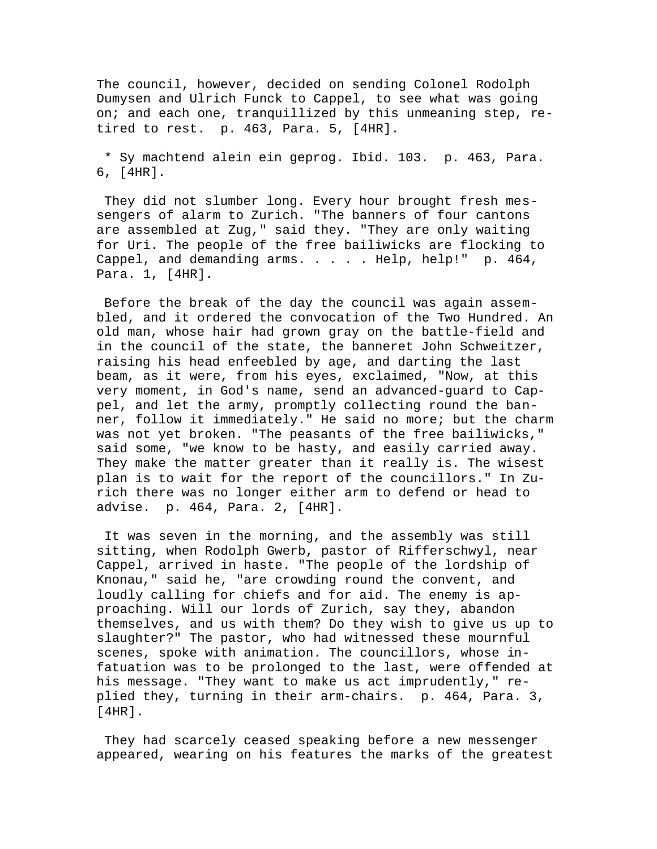The council, however, decided on sending Colonel Rodolph Dumysen and Ulrich Funck to Cappel, to see what was going on; and each one, tranquillized by this unmeaning step, retired to rest. p. 463, Para. 5, [4HR].

 \* Sy machtend alein ein geprog. Ibid. 103. p. 463, Para. 6, [4HR].

 They did not slumber long. Every hour brought fresh messengers of alarm to Zurich. "The banners of four cantons are assembled at Zug," said they. "They are only waiting for Uri. The people of the free bailiwicks are flocking to Cappel, and demanding arms. . . . . Help, help!" p. 464, Para. 1, [4HR].

 Before the break of the day the council was again assembled, and it ordered the convocation of the Two Hundred. An old man, whose hair had grown gray on the battle-field and in the council of the state, the banneret John Schweitzer, raising his head enfeebled by age, and darting the last beam, as it were, from his eyes, exclaimed, "Now, at this very moment, in God's name, send an advanced-guard to Cappel, and let the army, promptly collecting round the banner, follow it immediately." He said no more; but the charm was not yet broken. "The peasants of the free bailiwicks," said some, "we know to be hasty, and easily carried away. They make the matter greater than it really is. The wisest plan is to wait for the report of the councillors." In Zurich there was no longer either arm to defend or head to advise. p. 464, Para. 2, [4HR].

 It was seven in the morning, and the assembly was still sitting, when Rodolph Gwerb, pastor of Rifferschwyl, near Cappel, arrived in haste. "The people of the lordship of Knonau," said he, "are crowding round the convent, and loudly calling for chiefs and for aid. The enemy is approaching. Will our lords of Zurich, say they, abandon themselves, and us with them? Do they wish to give us up to slaughter?" The pastor, who had witnessed these mournful scenes, spoke with animation. The councillors, whose infatuation was to be prolonged to the last, were offended at his message. "They want to make us act imprudently," replied they, turning in their arm-chairs. p. 464, Para. 3, [4HR].

 They had scarcely ceased speaking before a new messenger appeared, wearing on his features the marks of the greatest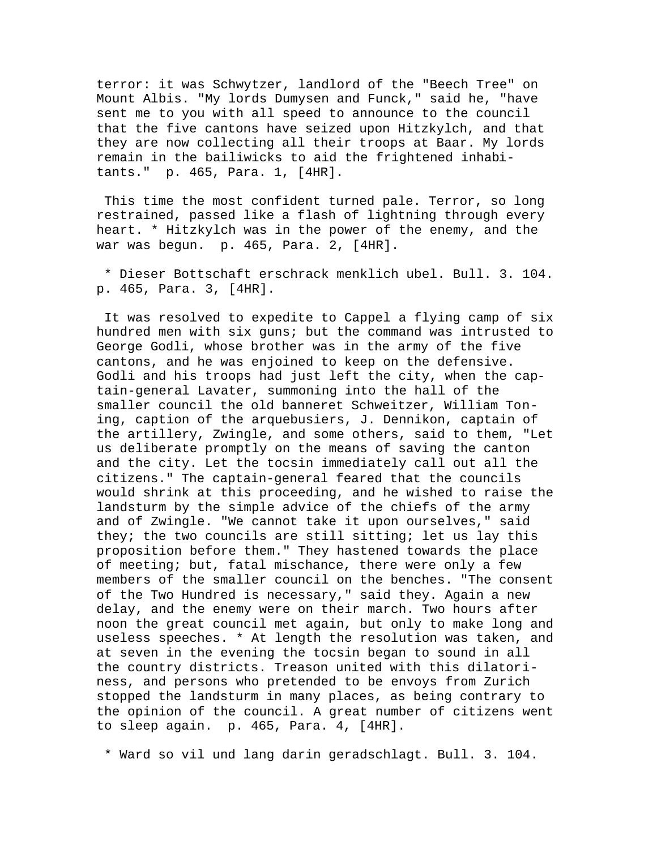terror: it was Schwytzer, landlord of the "Beech Tree" on Mount Albis. "My lords Dumysen and Funck," said he, "have sent me to you with all speed to announce to the council that the five cantons have seized upon Hitzkylch, and that they are now collecting all their troops at Baar. My lords remain in the bailiwicks to aid the frightened inhabitants." p. 465, Para. 1, [4HR].

 This time the most confident turned pale. Terror, so long restrained, passed like a flash of lightning through every heart. \* Hitzkylch was in the power of the enemy, and the war was begun. p. 465, Para. 2, [4HR].

 \* Dieser Bottschaft erschrack menklich ubel. Bull. 3. 104. p. 465, Para. 3, [4HR].

 It was resolved to expedite to Cappel a flying camp of six hundred men with six guns; but the command was intrusted to George Godli, whose brother was in the army of the five cantons, and he was enjoined to keep on the defensive. Godli and his troops had just left the city, when the captain-general Lavater, summoning into the hall of the smaller council the old banneret Schweitzer, William Toning, caption of the arquebusiers, J. Dennikon, captain of the artillery, Zwingle, and some others, said to them, "Let us deliberate promptly on the means of saving the canton and the city. Let the tocsin immediately call out all the citizens." The captain-general feared that the councils would shrink at this proceeding, and he wished to raise the landsturm by the simple advice of the chiefs of the army and of Zwingle. "We cannot take it upon ourselves," said they; the two councils are still sitting; let us lay this proposition before them." They hastened towards the place of meeting; but, fatal mischance, there were only a few members of the smaller council on the benches. "The consent of the Two Hundred is necessary," said they. Again a new delay, and the enemy were on their march. Two hours after noon the great council met again, but only to make long and useless speeches. \* At length the resolution was taken, and at seven in the evening the tocsin began to sound in all the country districts. Treason united with this dilatoriness, and persons who pretended to be envoys from Zurich stopped the landsturm in many places, as being contrary to the opinion of the council. A great number of citizens went to sleep again. p. 465, Para. 4, [4HR].

\* Ward so vil und lang darin geradschlagt. Bull. 3. 104.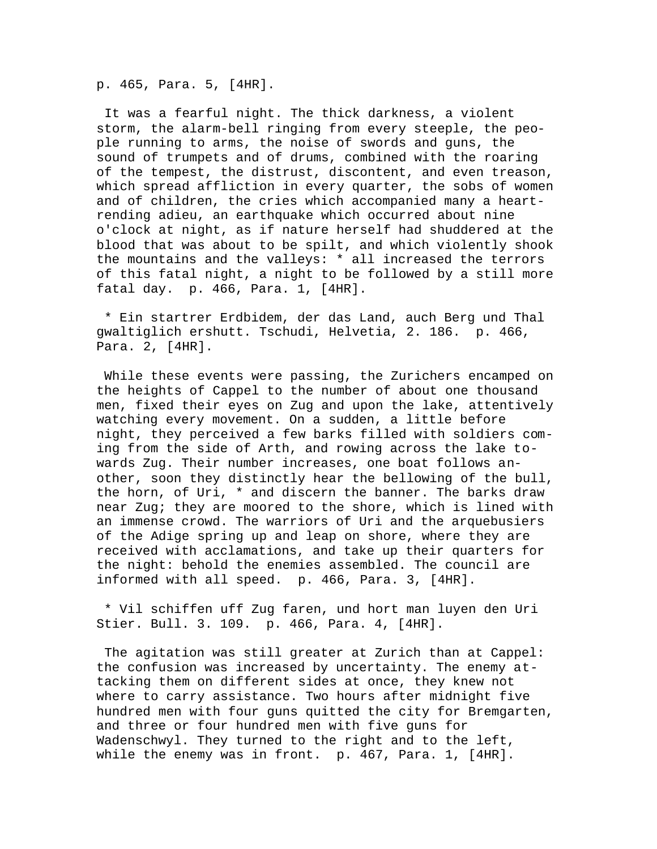p. 465, Para. 5, [4HR].

 It was a fearful night. The thick darkness, a violent storm, the alarm-bell ringing from every steeple, the people running to arms, the noise of swords and guns, the sound of trumpets and of drums, combined with the roaring of the tempest, the distrust, discontent, and even treason, which spread affliction in every quarter, the sobs of women and of children, the cries which accompanied many a heartrending adieu, an earthquake which occurred about nine o'clock at night, as if nature herself had shuddered at the blood that was about to be spilt, and which violently shook the mountains and the valleys: \* all increased the terrors of this fatal night, a night to be followed by a still more fatal day. p. 466, Para. 1, [4HR].

 \* Ein startrer Erdbidem, der das Land, auch Berg und Thal gwaltiglich ershutt. Tschudi, Helvetia, 2. 186. p. 466, Para. 2, [4HR].

 While these events were passing, the Zurichers encamped on the heights of Cappel to the number of about one thousand men, fixed their eyes on Zug and upon the lake, attentively watching every movement. On a sudden, a little before night, they perceived a few barks filled with soldiers coming from the side of Arth, and rowing across the lake towards Zug. Their number increases, one boat follows another, soon they distinctly hear the bellowing of the bull, the horn, of Uri, \* and discern the banner. The barks draw near Zug; they are moored to the shore, which is lined with an immense crowd. The warriors of Uri and the arquebusiers of the Adige spring up and leap on shore, where they are received with acclamations, and take up their quarters for the night: behold the enemies assembled. The council are informed with all speed. p. 466, Para. 3, [4HR].

 \* Vil schiffen uff Zug faren, und hort man luyen den Uri Stier. Bull. 3. 109. p. 466, Para. 4, [4HR].

 The agitation was still greater at Zurich than at Cappel: the confusion was increased by uncertainty. The enemy attacking them on different sides at once, they knew not where to carry assistance. Two hours after midnight five hundred men with four guns quitted the city for Bremgarten, and three or four hundred men with five guns for Wadenschwyl. They turned to the right and to the left, while the enemy was in front. p. 467, Para. 1, [4HR].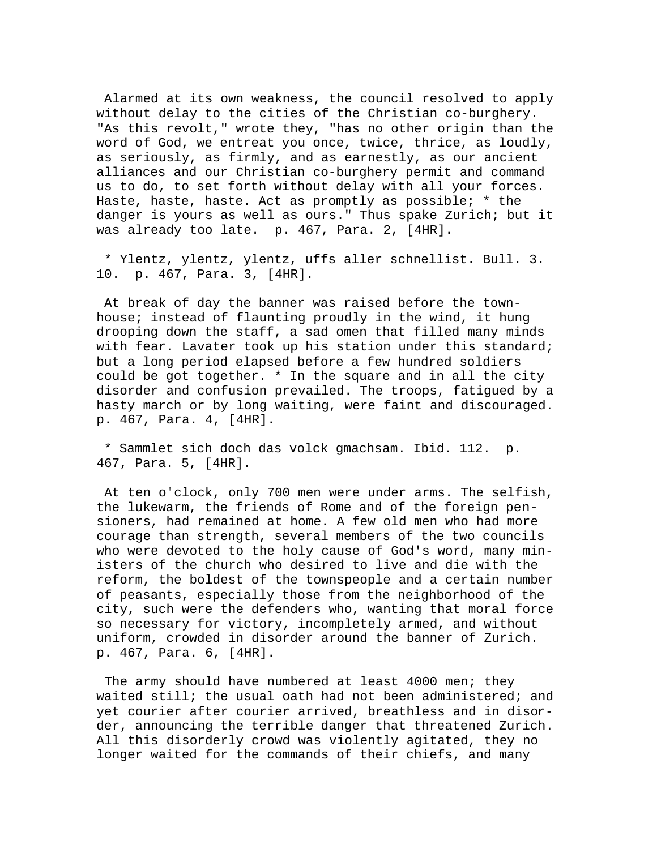Alarmed at its own weakness, the council resolved to apply without delay to the cities of the Christian co-burghery. "As this revolt," wrote they, "has no other origin than the word of God, we entreat you once, twice, thrice, as loudly, as seriously, as firmly, and as earnestly, as our ancient alliances and our Christian co-burghery permit and command us to do, to set forth without delay with all your forces. Haste, haste, haste. Act as promptly as possible; \* the danger is yours as well as ours." Thus spake Zurich; but it was already too late. p. 467, Para. 2, [4HR].

 \* Ylentz, ylentz, ylentz, uffs aller schnellist. Bull. 3. 10. p. 467, Para. 3, [4HR].

 At break of day the banner was raised before the townhouse; instead of flaunting proudly in the wind, it hung drooping down the staff, a sad omen that filled many minds with fear. Lavater took up his station under this standard; but a long period elapsed before a few hundred soldiers could be got together. \* In the square and in all the city disorder and confusion prevailed. The troops, fatigued by a hasty march or by long waiting, were faint and discouraged. p. 467, Para. 4, [4HR].

 \* Sammlet sich doch das volck gmachsam. Ibid. 112. p. 467, Para. 5, [4HR].

 At ten o'clock, only 700 men were under arms. The selfish, the lukewarm, the friends of Rome and of the foreign pensioners, had remained at home. A few old men who had more courage than strength, several members of the two councils who were devoted to the holy cause of God's word, many ministers of the church who desired to live and die with the reform, the boldest of the townspeople and a certain number of peasants, especially those from the neighborhood of the city, such were the defenders who, wanting that moral force so necessary for victory, incompletely armed, and without uniform, crowded in disorder around the banner of Zurich. p. 467, Para. 6, [4HR].

 The army should have numbered at least 4000 men; they waited still; the usual oath had not been administered; and yet courier after courier arrived, breathless and in disorder, announcing the terrible danger that threatened Zurich. All this disorderly crowd was violently agitated, they no longer waited for the commands of their chiefs, and many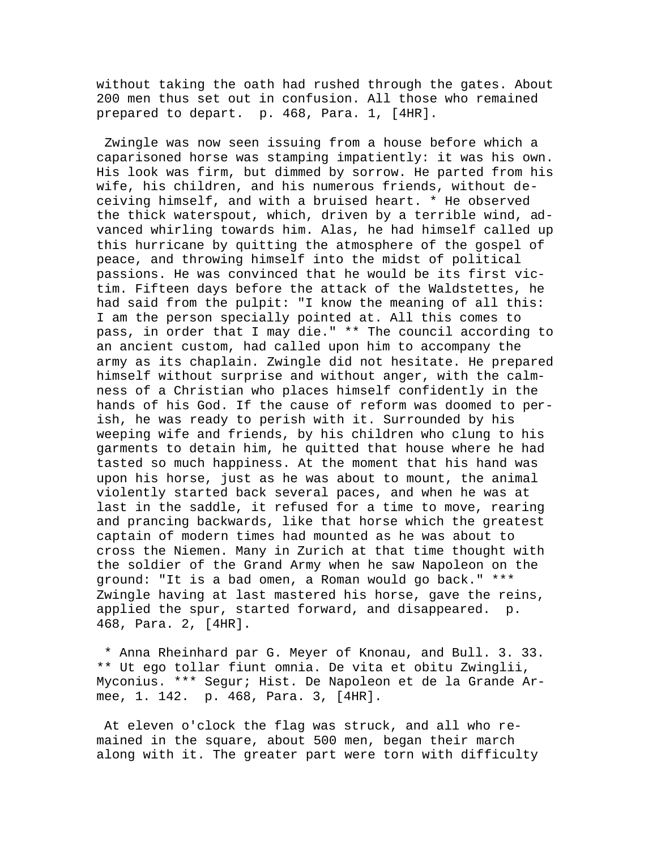without taking the oath had rushed through the gates. About 200 men thus set out in confusion. All those who remained prepared to depart. p. 468, Para. 1, [4HR].

 Zwingle was now seen issuing from a house before which a caparisoned horse was stamping impatiently: it was his own. His look was firm, but dimmed by sorrow. He parted from his wife, his children, and his numerous friends, without deceiving himself, and with a bruised heart. \* He observed the thick waterspout, which, driven by a terrible wind, advanced whirling towards him. Alas, he had himself called up this hurricane by quitting the atmosphere of the gospel of peace, and throwing himself into the midst of political passions. He was convinced that he would be its first victim. Fifteen days before the attack of the Waldstettes, he had said from the pulpit: "I know the meaning of all this: I am the person specially pointed at. All this comes to pass, in order that I may die." \*\* The council according to an ancient custom, had called upon him to accompany the army as its chaplain. Zwingle did not hesitate. He prepared himself without surprise and without anger, with the calmness of a Christian who places himself confidently in the hands of his God. If the cause of reform was doomed to perish, he was ready to perish with it. Surrounded by his weeping wife and friends, by his children who clung to his garments to detain him, he quitted that house where he had tasted so much happiness. At the moment that his hand was upon his horse, just as he was about to mount, the animal violently started back several paces, and when he was at last in the saddle, it refused for a time to move, rearing and prancing backwards, like that horse which the greatest captain of modern times had mounted as he was about to cross the Niemen. Many in Zurich at that time thought with the soldier of the Grand Army when he saw Napoleon on the ground: "It is a bad omen, a Roman would go back." \*\*\* Zwingle having at last mastered his horse, gave the reins, applied the spur, started forward, and disappeared. p. 468, Para. 2, [4HR].

 \* Anna Rheinhard par G. Meyer of Knonau, and Bull. 3. 33. \*\* Ut ego tollar fiunt omnia. De vita et obitu Zwinglii, Myconius. \*\*\* Segur; Hist. De Napoleon et de la Grande Armee, 1. 142. p. 468, Para. 3, [4HR].

 At eleven o'clock the flag was struck, and all who remained in the square, about 500 men, began their march along with it. The greater part were torn with difficulty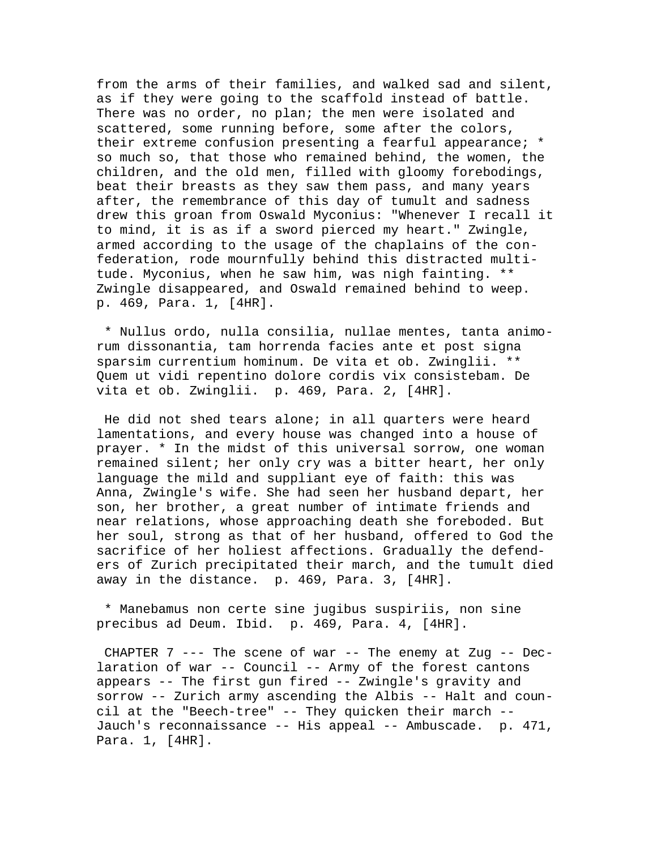from the arms of their families, and walked sad and silent, as if they were going to the scaffold instead of battle. There was no order, no plan; the men were isolated and scattered, some running before, some after the colors, their extreme confusion presenting a fearful appearance; \* so much so, that those who remained behind, the women, the children, and the old men, filled with gloomy forebodings, beat their breasts as they saw them pass, and many years after, the remembrance of this day of tumult and sadness drew this groan from Oswald Myconius: "Whenever I recall it to mind, it is as if a sword pierced my heart." Zwingle, armed according to the usage of the chaplains of the confederation, rode mournfully behind this distracted multitude. Myconius, when he saw him, was nigh fainting. \*\* Zwingle disappeared, and Oswald remained behind to weep. p. 469, Para. 1, [4HR].

 \* Nullus ordo, nulla consilia, nullae mentes, tanta animorum dissonantia, tam horrenda facies ante et post signa sparsim currentium hominum. De vita et ob. Zwinglii. \*\* Quem ut vidi repentino dolore cordis vix consistebam. De vita et ob. Zwinglii. p. 469, Para. 2, [4HR].

 He did not shed tears alone; in all quarters were heard lamentations, and every house was changed into a house of prayer. \* In the midst of this universal sorrow, one woman remained silent; her only cry was a bitter heart, her only language the mild and suppliant eye of faith: this was Anna, Zwingle's wife. She had seen her husband depart, her son, her brother, a great number of intimate friends and near relations, whose approaching death she foreboded. But her soul, strong as that of her husband, offered to God the sacrifice of her holiest affections. Gradually the defenders of Zurich precipitated their march, and the tumult died away in the distance. p. 469, Para. 3, [4HR].

 \* Manebamus non certe sine jugibus suspiriis, non sine precibus ad Deum. Ibid. p. 469, Para. 4, [4HR].

CHAPTER  $7$  --- The scene of war -- The enemy at Zug -- Declaration of war -- Council -- Army of the forest cantons appears -- The first gun fired -- Zwingle's gravity and sorrow -- Zurich army ascending the Albis -- Halt and council at the "Beech-tree" -- They quicken their march -- Jauch's reconnaissance -- His appeal -- Ambuscade. p. 471, Para. 1, [4HR].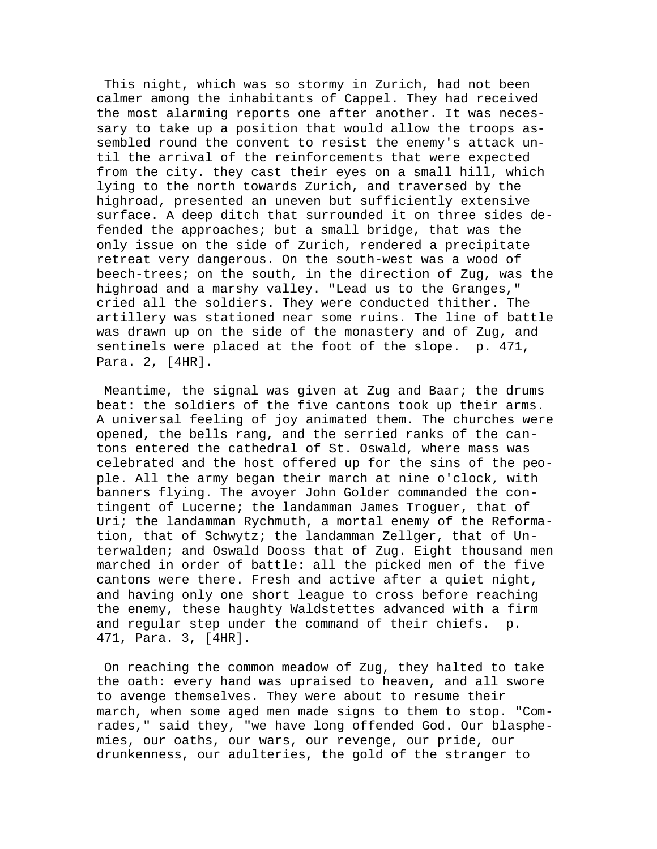This night, which was so stormy in Zurich, had not been calmer among the inhabitants of Cappel. They had received the most alarming reports one after another. It was necessary to take up a position that would allow the troops assembled round the convent to resist the enemy's attack until the arrival of the reinforcements that were expected from the city. they cast their eyes on a small hill, which lying to the north towards Zurich, and traversed by the highroad, presented an uneven but sufficiently extensive surface. A deep ditch that surrounded it on three sides defended the approaches; but a small bridge, that was the only issue on the side of Zurich, rendered a precipitate retreat very dangerous. On the south-west was a wood of beech-trees; on the south, in the direction of Zug, was the highroad and a marshy valley. "Lead us to the Granges," cried all the soldiers. They were conducted thither. The artillery was stationed near some ruins. The line of battle was drawn up on the side of the monastery and of Zug, and sentinels were placed at the foot of the slope. p. 471, Para. 2, [4HR].

 Meantime, the signal was given at Zug and Baar; the drums beat: the soldiers of the five cantons took up their arms. A universal feeling of joy animated them. The churches were opened, the bells rang, and the serried ranks of the cantons entered the cathedral of St. Oswald, where mass was celebrated and the host offered up for the sins of the people. All the army began their march at nine o'clock, with banners flying. The avoyer John Golder commanded the contingent of Lucerne; the landamman James Troguer, that of Uri; the landamman Rychmuth, a mortal enemy of the Reformation, that of Schwytz; the landamman Zellger, that of Unterwalden; and Oswald Dooss that of Zug. Eight thousand men marched in order of battle: all the picked men of the five cantons were there. Fresh and active after a quiet night, and having only one short league to cross before reaching the enemy, these haughty Waldstettes advanced with a firm and regular step under the command of their chiefs. p. 471, Para. 3, [4HR].

 On reaching the common meadow of Zug, they halted to take the oath: every hand was upraised to heaven, and all swore to avenge themselves. They were about to resume their march, when some aged men made signs to them to stop. "Comrades," said they, "we have long offended God. Our blasphemies, our oaths, our wars, our revenge, our pride, our drunkenness, our adulteries, the gold of the stranger to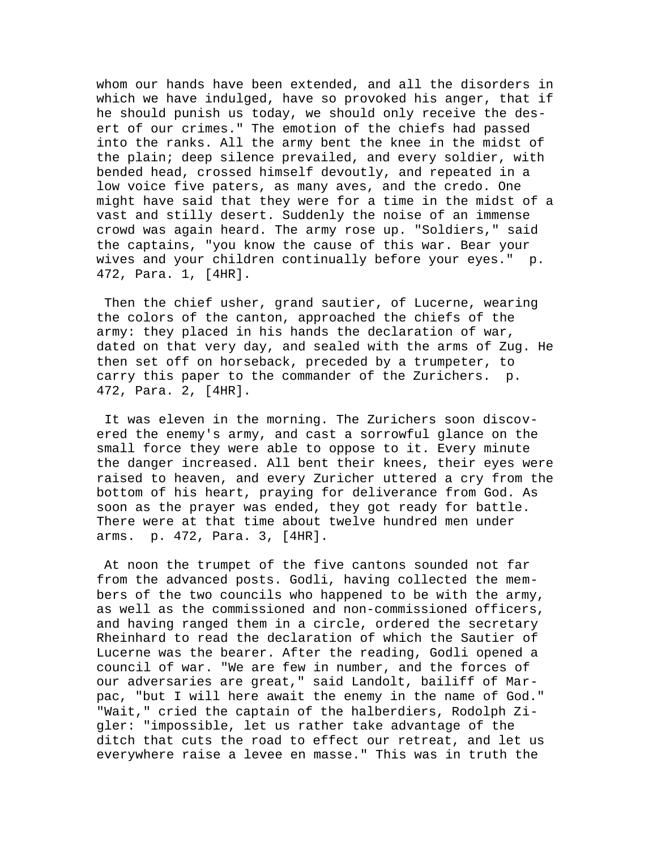whom our hands have been extended, and all the disorders in which we have indulged, have so provoked his anger, that if he should punish us today, we should only receive the desert of our crimes." The emotion of the chiefs had passed into the ranks. All the army bent the knee in the midst of the plain; deep silence prevailed, and every soldier, with bended head, crossed himself devoutly, and repeated in a low voice five paters, as many aves, and the credo. One might have said that they were for a time in the midst of a vast and stilly desert. Suddenly the noise of an immense crowd was again heard. The army rose up. "Soldiers," said the captains, "you know the cause of this war. Bear your wives and your children continually before your eyes." p. 472, Para. 1, [4HR].

 Then the chief usher, grand sautier, of Lucerne, wearing the colors of the canton, approached the chiefs of the army: they placed in his hands the declaration of war, dated on that very day, and sealed with the arms of Zug. He then set off on horseback, preceded by a trumpeter, to carry this paper to the commander of the Zurichers. p. 472, Para. 2, [4HR].

 It was eleven in the morning. The Zurichers soon discovered the enemy's army, and cast a sorrowful glance on the small force they were able to oppose to it. Every minute the danger increased. All bent their knees, their eyes were raised to heaven, and every Zuricher uttered a cry from the bottom of his heart, praying for deliverance from God. As soon as the prayer was ended, they got ready for battle. There were at that time about twelve hundred men under arms. p. 472, Para. 3, [4HR].

 At noon the trumpet of the five cantons sounded not far from the advanced posts. Godli, having collected the members of the two councils who happened to be with the army, as well as the commissioned and non-commissioned officers, and having ranged them in a circle, ordered the secretary Rheinhard to read the declaration of which the Sautier of Lucerne was the bearer. After the reading, Godli opened a council of war. "We are few in number, and the forces of our adversaries are great," said Landolt, bailiff of Marpac, "but I will here await the enemy in the name of God." "Wait," cried the captain of the halberdiers, Rodolph Zigler: "impossible, let us rather take advantage of the ditch that cuts the road to effect our retreat, and let us everywhere raise a levee en masse." This was in truth the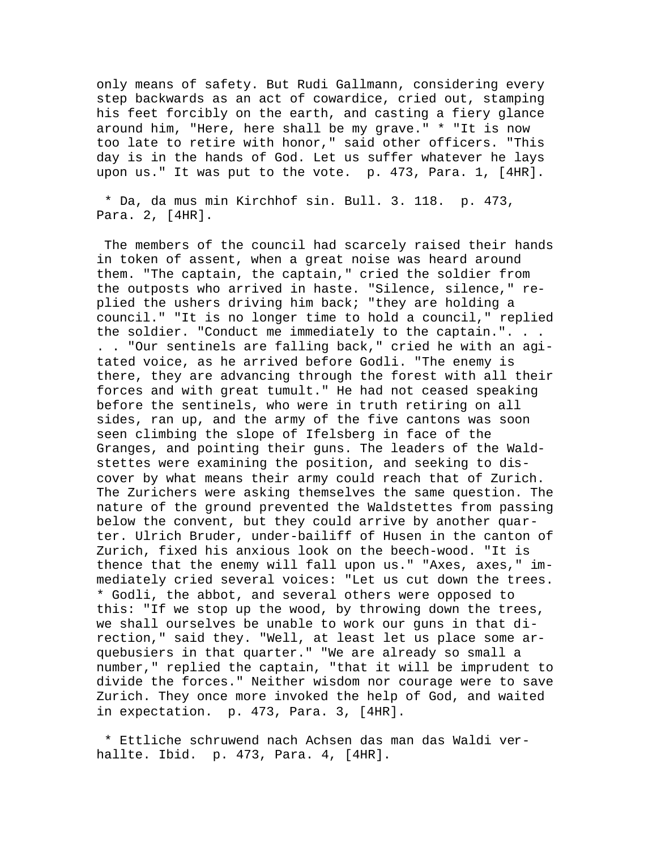only means of safety. But Rudi Gallmann, considering every step backwards as an act of cowardice, cried out, stamping his feet forcibly on the earth, and casting a fiery glance around him, "Here, here shall be my grave." \* "It is now too late to retire with honor," said other officers. "This day is in the hands of God. Let us suffer whatever he lays upon us." It was put to the vote. p. 473, Para. 1, [4HR].

 \* Da, da mus min Kirchhof sin. Bull. 3. 118. p. 473, Para. 2, [4HR].

 The members of the council had scarcely raised their hands in token of assent, when a great noise was heard around them. "The captain, the captain," cried the soldier from the outposts who arrived in haste. "Silence, silence," replied the ushers driving him back; "they are holding a council." "It is no longer time to hold a council," replied the soldier. "Conduct me immediately to the captain.". . . . . "Our sentinels are falling back," cried he with an agitated voice, as he arrived before Godli. "The enemy is there, they are advancing through the forest with all their forces and with great tumult." He had not ceased speaking before the sentinels, who were in truth retiring on all sides, ran up, and the army of the five cantons was soon seen climbing the slope of Ifelsberg in face of the Granges, and pointing their guns. The leaders of the Waldstettes were examining the position, and seeking to discover by what means their army could reach that of Zurich. The Zurichers were asking themselves the same question. The nature of the ground prevented the Waldstettes from passing below the convent, but they could arrive by another quarter. Ulrich Bruder, under-bailiff of Husen in the canton of Zurich, fixed his anxious look on the beech-wood. "It is thence that the enemy will fall upon us." "Axes, axes," immediately cried several voices: "Let us cut down the trees. \* Godli, the abbot, and several others were opposed to this: "If we stop up the wood, by throwing down the trees, we shall ourselves be unable to work our guns in that direction," said they. "Well, at least let us place some arquebusiers in that quarter." "We are already so small a number," replied the captain, "that it will be imprudent to divide the forces." Neither wisdom nor courage were to save Zurich. They once more invoked the help of God, and waited in expectation. p. 473, Para. 3, [4HR].

 \* Ettliche schruwend nach Achsen das man das Waldi verhallte. Ibid. p. 473, Para. 4, [4HR].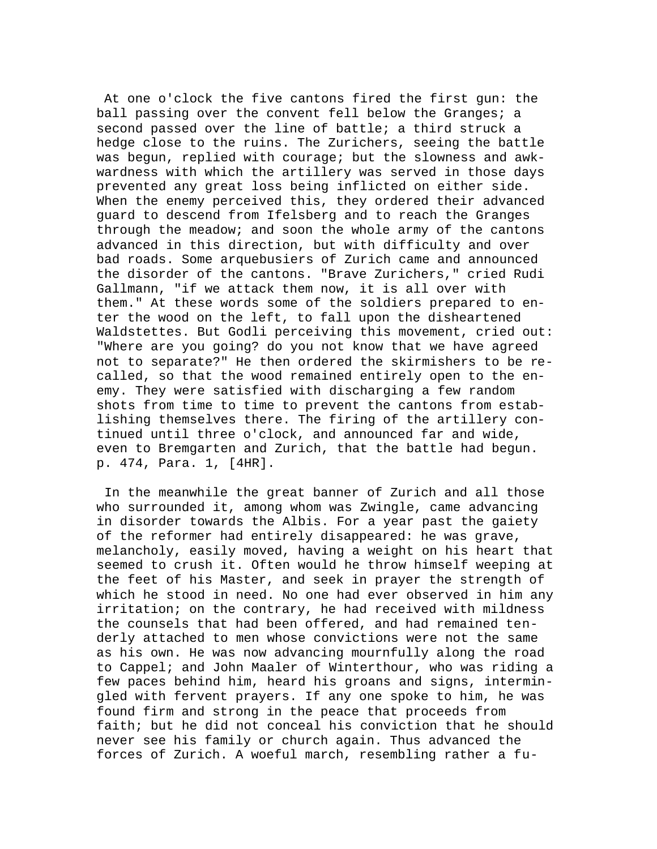At one o'clock the five cantons fired the first gun: the ball passing over the convent fell below the Granges; a second passed over the line of battle; a third struck a hedge close to the ruins. The Zurichers, seeing the battle was begun, replied with courage; but the slowness and awkwardness with which the artillery was served in those days prevented any great loss being inflicted on either side. When the enemy perceived this, they ordered their advanced guard to descend from Ifelsberg and to reach the Granges through the meadow; and soon the whole army of the cantons advanced in this direction, but with difficulty and over bad roads. Some arquebusiers of Zurich came and announced the disorder of the cantons. "Brave Zurichers," cried Rudi Gallmann, "if we attack them now, it is all over with them." At these words some of the soldiers prepared to enter the wood on the left, to fall upon the disheartened Waldstettes. But Godli perceiving this movement, cried out: "Where are you going? do you not know that we have agreed not to separate?" He then ordered the skirmishers to be recalled, so that the wood remained entirely open to the enemy. They were satisfied with discharging a few random shots from time to time to prevent the cantons from establishing themselves there. The firing of the artillery continued until three o'clock, and announced far and wide, even to Bremgarten and Zurich, that the battle had begun. p. 474, Para. 1, [4HR].

 In the meanwhile the great banner of Zurich and all those who surrounded it, among whom was Zwingle, came advancing in disorder towards the Albis. For a year past the gaiety of the reformer had entirely disappeared: he was grave, melancholy, easily moved, having a weight on his heart that seemed to crush it. Often would he throw himself weeping at the feet of his Master, and seek in prayer the strength of which he stood in need. No one had ever observed in him any irritation; on the contrary, he had received with mildness the counsels that had been offered, and had remained tenderly attached to men whose convictions were not the same as his own. He was now advancing mournfully along the road to Cappel; and John Maaler of Winterthour, who was riding a few paces behind him, heard his groans and signs, intermingled with fervent prayers. If any one spoke to him, he was found firm and strong in the peace that proceeds from faith; but he did not conceal his conviction that he should never see his family or church again. Thus advanced the forces of Zurich. A woeful march, resembling rather a fu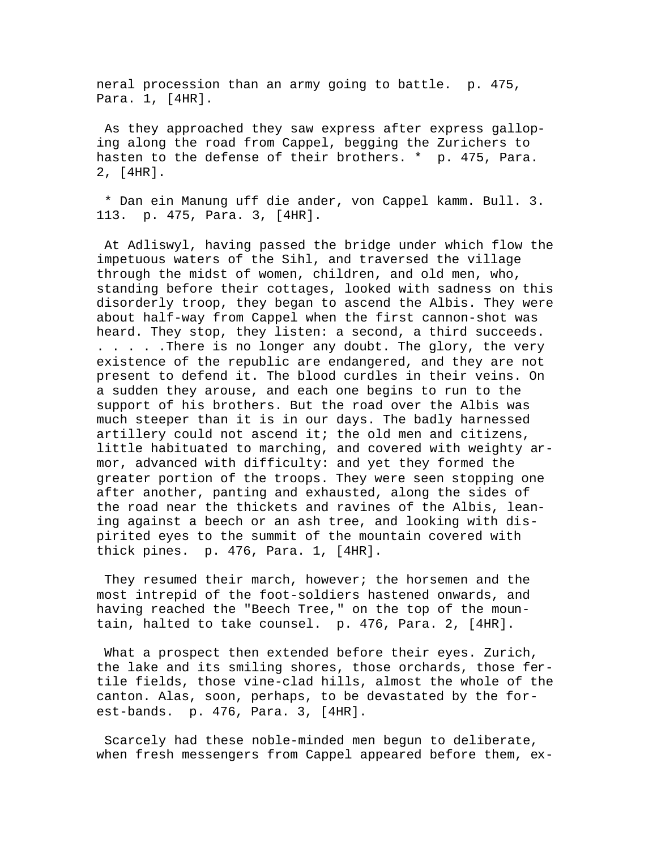neral procession than an army going to battle. p. 475, Para. 1, [4HR].

 As they approached they saw express after express galloping along the road from Cappel, begging the Zurichers to hasten to the defense of their brothers. \* p. 475, Para. 2, [4HR].

 \* Dan ein Manung uff die ander, von Cappel kamm. Bull. 3. 113. p. 475, Para. 3, [4HR].

 At Adliswyl, having passed the bridge under which flow the impetuous waters of the Sihl, and traversed the village through the midst of women, children, and old men, who, standing before their cottages, looked with sadness on this disorderly troop, they began to ascend the Albis. They were about half-way from Cappel when the first cannon-shot was heard. They stop, they listen: a second, a third succeeds. . . . . .There is no longer any doubt. The glory, the very existence of the republic are endangered, and they are not present to defend it. The blood curdles in their veins. On a sudden they arouse, and each one begins to run to the support of his brothers. But the road over the Albis was much steeper than it is in our days. The badly harnessed artillery could not ascend it; the old men and citizens, little habituated to marching, and covered with weighty armor, advanced with difficulty: and yet they formed the greater portion of the troops. They were seen stopping one after another, panting and exhausted, along the sides of the road near the thickets and ravines of the Albis, leaning against a beech or an ash tree, and looking with dispirited eyes to the summit of the mountain covered with thick pines. p. 476, Para. 1, [4HR].

They resumed their march, however; the horsemen and the most intrepid of the foot-soldiers hastened onwards, and having reached the "Beech Tree," on the top of the mountain, halted to take counsel. p. 476, Para. 2, [4HR].

 What a prospect then extended before their eyes. Zurich, the lake and its smiling shores, those orchards, those fertile fields, those vine-clad hills, almost the whole of the canton. Alas, soon, perhaps, to be devastated by the forest-bands. p. 476, Para. 3, [4HR].

 Scarcely had these noble-minded men begun to deliberate, when fresh messengers from Cappel appeared before them, ex-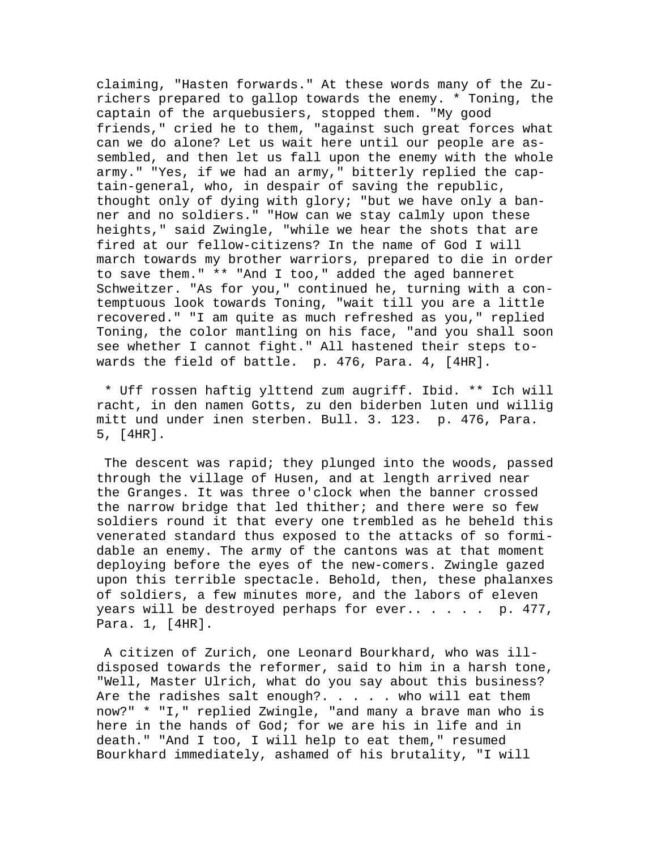claiming, "Hasten forwards." At these words many of the Zurichers prepared to gallop towards the enemy. \* Toning, the captain of the arquebusiers, stopped them. "My good friends," cried he to them, "against such great forces what can we do alone? Let us wait here until our people are assembled, and then let us fall upon the enemy with the whole army." "Yes, if we had an army," bitterly replied the captain-general, who, in despair of saving the republic, thought only of dying with glory; "but we have only a banner and no soldiers." "How can we stay calmly upon these heights," said Zwingle, "while we hear the shots that are fired at our fellow-citizens? In the name of God I will march towards my brother warriors, prepared to die in order to save them." \*\* "And I too," added the aged banneret Schweitzer. "As for you," continued he, turning with a contemptuous look towards Toning, "wait till you are a little recovered." "I am quite as much refreshed as you," replied Toning, the color mantling on his face, "and you shall soon see whether I cannot fight." All hastened their steps towards the field of battle. p. 476, Para. 4, [4HR].

 \* Uff rossen haftig ylttend zum augriff. Ibid. \*\* Ich will racht, in den namen Gotts, zu den biderben luten und willig mitt und under inen sterben. Bull. 3. 123. p. 476, Para. 5, [4HR].

 The descent was rapid; they plunged into the woods, passed through the village of Husen, and at length arrived near the Granges. It was three o'clock when the banner crossed the narrow bridge that led thither; and there were so few soldiers round it that every one trembled as he beheld this venerated standard thus exposed to the attacks of so formidable an enemy. The army of the cantons was at that moment deploying before the eyes of the new-comers. Zwingle gazed upon this terrible spectacle. Behold, then, these phalanxes of soldiers, a few minutes more, and the labors of eleven years will be destroyed perhaps for ever...... p. 477, Para. 1, [4HR].

 A citizen of Zurich, one Leonard Bourkhard, who was illdisposed towards the reformer, said to him in a harsh tone, "Well, Master Ulrich, what do you say about this business? Are the radishes salt enough?.  $\ldots$  . . who will eat them now?" \* "I," replied Zwingle, "and many a brave man who is here in the hands of God; for we are his in life and in death." "And I too, I will help to eat them," resumed Bourkhard immediately, ashamed of his brutality, "I will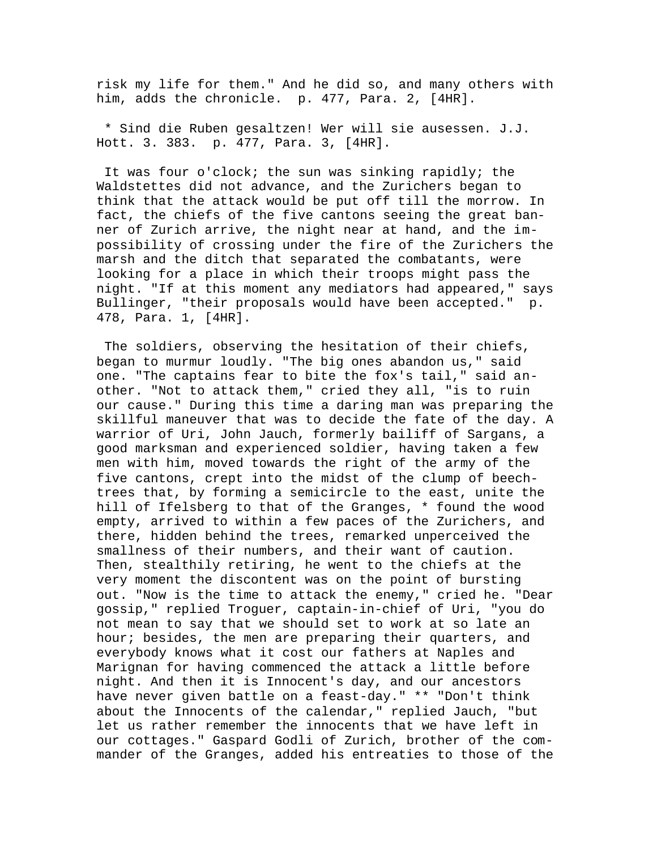risk my life for them." And he did so, and many others with him, adds the chronicle. p. 477, Para. 2, [4HR].

 \* Sind die Ruben gesaltzen! Wer will sie ausessen. J.J. Hott. 3. 383. p. 477, Para. 3, [4HR].

 It was four o'clock; the sun was sinking rapidly; the Waldstettes did not advance, and the Zurichers began to think that the attack would be put off till the morrow. In fact, the chiefs of the five cantons seeing the great banner of Zurich arrive, the night near at hand, and the impossibility of crossing under the fire of the Zurichers the marsh and the ditch that separated the combatants, were looking for a place in which their troops might pass the night. "If at this moment any mediators had appeared," says Bullinger, "their proposals would have been accepted." p. 478, Para. 1, [4HR].

 The soldiers, observing the hesitation of their chiefs, began to murmur loudly. "The big ones abandon us," said one. "The captains fear to bite the fox's tail," said another. "Not to attack them," cried they all, "is to ruin our cause." During this time a daring man was preparing the skillful maneuver that was to decide the fate of the day. A warrior of Uri, John Jauch, formerly bailiff of Sargans, a good marksman and experienced soldier, having taken a few men with him, moved towards the right of the army of the five cantons, crept into the midst of the clump of beechtrees that, by forming a semicircle to the east, unite the hill of Ifelsberg to that of the Granges, \* found the wood empty, arrived to within a few paces of the Zurichers, and there, hidden behind the trees, remarked unperceived the smallness of their numbers, and their want of caution. Then, stealthily retiring, he went to the chiefs at the very moment the discontent was on the point of bursting out. "Now is the time to attack the enemy," cried he. "Dear gossip," replied Troguer, captain-in-chief of Uri, "you do not mean to say that we should set to work at so late an hour; besides, the men are preparing their quarters, and everybody knows what it cost our fathers at Naples and Marignan for having commenced the attack a little before night. And then it is Innocent's day, and our ancestors have never given battle on a feast-day." \*\* "Don't think about the Innocents of the calendar," replied Jauch, "but let us rather remember the innocents that we have left in our cottages." Gaspard Godli of Zurich, brother of the commander of the Granges, added his entreaties to those of the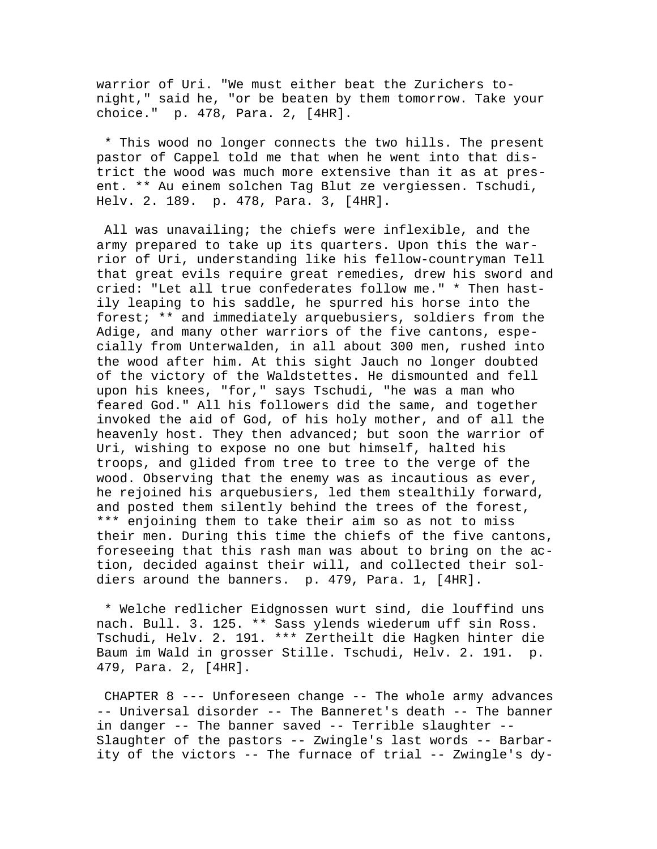warrior of Uri. "We must either beat the Zurichers tonight," said he, "or be beaten by them tomorrow. Take your choice." p. 478, Para. 2, [4HR].

 \* This wood no longer connects the two hills. The present pastor of Cappel told me that when he went into that district the wood was much more extensive than it as at present. \*\* Au einem solchen Tag Blut ze vergiessen. Tschudi, Helv. 2. 189. p. 478, Para. 3, [4HR].

 All was unavailing; the chiefs were inflexible, and the army prepared to take up its quarters. Upon this the warrior of Uri, understanding like his fellow-countryman Tell that great evils require great remedies, drew his sword and cried: "Let all true confederates follow me." \* Then hastily leaping to his saddle, he spurred his horse into the forest; \*\* and immediately arquebusiers, soldiers from the Adige, and many other warriors of the five cantons, especially from Unterwalden, in all about 300 men, rushed into the wood after him. At this sight Jauch no longer doubted of the victory of the Waldstettes. He dismounted and fell upon his knees, "for," says Tschudi, "he was a man who feared God." All his followers did the same, and together invoked the aid of God, of his holy mother, and of all the heavenly host. They then advanced; but soon the warrior of Uri, wishing to expose no one but himself, halted his troops, and glided from tree to tree to the verge of the wood. Observing that the enemy was as incautious as ever, he rejoined his arquebusiers, led them stealthily forward, and posted them silently behind the trees of the forest, \*\*\* enjoining them to take their aim so as not to miss their men. During this time the chiefs of the five cantons, foreseeing that this rash man was about to bring on the action, decided against their will, and collected their soldiers around the banners. p. 479, Para. 1, [4HR].

 \* Welche redlicher Eidgnossen wurt sind, die louffind uns nach. Bull. 3. 125. \*\* Sass ylends wiederum uff sin Ross. Tschudi, Helv. 2. 191. \*\*\* Zertheilt die Hagken hinter die Baum im Wald in grosser Stille. Tschudi, Helv. 2. 191. p. 479, Para. 2, [4HR].

 CHAPTER 8 --- Unforeseen change -- The whole army advances -- Universal disorder -- The Banneret's death -- The banner in danger -- The banner saved -- Terrible slaughter -- Slaughter of the pastors -- Zwingle's last words -- Barbarity of the victors -- The furnace of trial -- Zwingle's dy-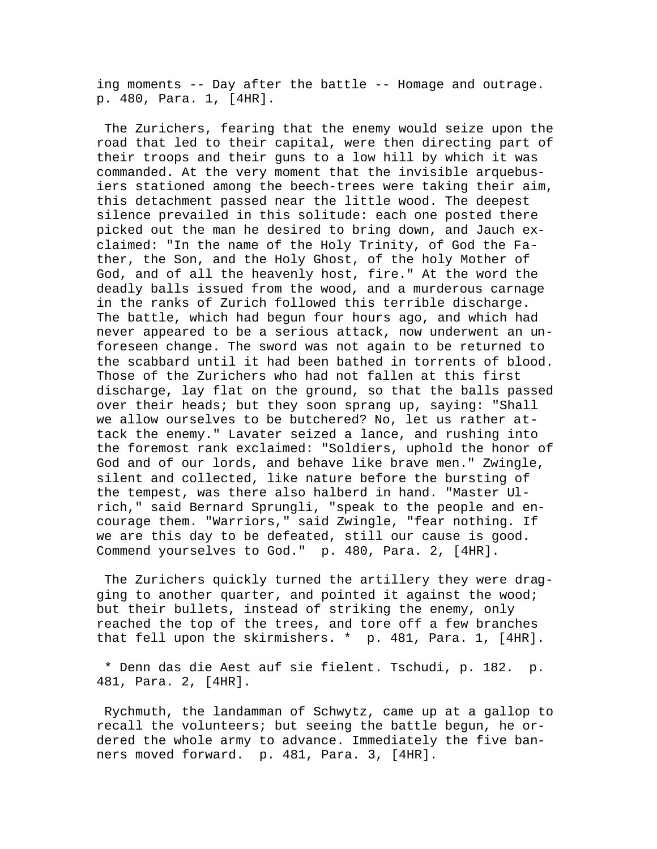ing moments -- Day after the battle -- Homage and outrage. p. 480, Para. 1, [4HR].

 The Zurichers, fearing that the enemy would seize upon the road that led to their capital, were then directing part of their troops and their guns to a low hill by which it was commanded. At the very moment that the invisible arquebusiers stationed among the beech-trees were taking their aim, this detachment passed near the little wood. The deepest silence prevailed in this solitude: each one posted there picked out the man he desired to bring down, and Jauch exclaimed: "In the name of the Holy Trinity, of God the Father, the Son, and the Holy Ghost, of the holy Mother of God, and of all the heavenly host, fire." At the word the deadly balls issued from the wood, and a murderous carnage in the ranks of Zurich followed this terrible discharge. The battle, which had begun four hours ago, and which had never appeared to be a serious attack, now underwent an unforeseen change. The sword was not again to be returned to the scabbard until it had been bathed in torrents of blood. Those of the Zurichers who had not fallen at this first discharge, lay flat on the ground, so that the balls passed over their heads; but they soon sprang up, saying: "Shall we allow ourselves to be butchered? No, let us rather attack the enemy." Lavater seized a lance, and rushing into the foremost rank exclaimed: "Soldiers, uphold the honor of God and of our lords, and behave like brave men." Zwingle, silent and collected, like nature before the bursting of the tempest, was there also halberd in hand. "Master Ulrich," said Bernard Sprungli, "speak to the people and encourage them. "Warriors," said Zwingle, "fear nothing. If we are this day to be defeated, still our cause is good. Commend yourselves to God." p. 480, Para. 2, [4HR].

 The Zurichers quickly turned the artillery they were dragging to another quarter, and pointed it against the wood; but their bullets, instead of striking the enemy, only reached the top of the trees, and tore off a few branches that fell upon the skirmishers. \* p. 481, Para. 1, [4HR].

 \* Denn das die Aest auf sie fielent. Tschudi, p. 182. p. 481, Para. 2, [4HR].

 Rychmuth, the landamman of Schwytz, came up at a gallop to recall the volunteers; but seeing the battle begun, he ordered the whole army to advance. Immediately the five banners moved forward. p. 481, Para. 3, [4HR].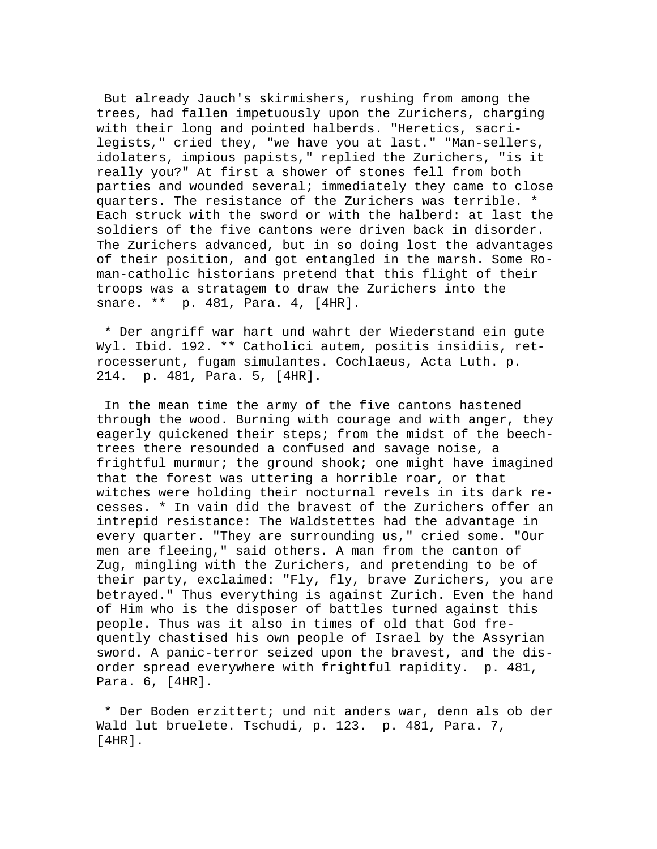But already Jauch's skirmishers, rushing from among the trees, had fallen impetuously upon the Zurichers, charging with their long and pointed halberds. "Heretics, sacrilegists," cried they, "we have you at last." "Man-sellers, idolaters, impious papists," replied the Zurichers, "is it really you?" At first a shower of stones fell from both parties and wounded several; immediately they came to close quarters. The resistance of the Zurichers was terrible. \* Each struck with the sword or with the halberd: at last the soldiers of the five cantons were driven back in disorder. The Zurichers advanced, but in so doing lost the advantages of their position, and got entangled in the marsh. Some Roman-catholic historians pretend that this flight of their troops was a stratagem to draw the Zurichers into the snare. \*\* p. 481, Para. 4, [4HR].

 \* Der angriff war hart und wahrt der Wiederstand ein gute Wyl. Ibid. 192. \*\* Catholici autem, positis insidiis, retrocesserunt, fugam simulantes. Cochlaeus, Acta Luth. p. 214. p. 481, Para. 5, [4HR].

 In the mean time the army of the five cantons hastened through the wood. Burning with courage and with anger, they eagerly quickened their steps; from the midst of the beechtrees there resounded a confused and savage noise, a frightful murmur; the ground shook; one might have imagined that the forest was uttering a horrible roar, or that witches were holding their nocturnal revels in its dark recesses. \* In vain did the bravest of the Zurichers offer an intrepid resistance: The Waldstettes had the advantage in every quarter. "They are surrounding us," cried some. "Our men are fleeing," said others. A man from the canton of Zug, mingling with the Zurichers, and pretending to be of their party, exclaimed: "Fly, fly, brave Zurichers, you are betrayed." Thus everything is against Zurich. Even the hand of Him who is the disposer of battles turned against this people. Thus was it also in times of old that God frequently chastised his own people of Israel by the Assyrian sword. A panic-terror seized upon the bravest, and the disorder spread everywhere with frightful rapidity. p. 481, Para. 6, [4HR].

 \* Der Boden erzittert; und nit anders war, denn als ob der Wald lut bruelete. Tschudi, p. 123. p. 481, Para. 7, [4HR].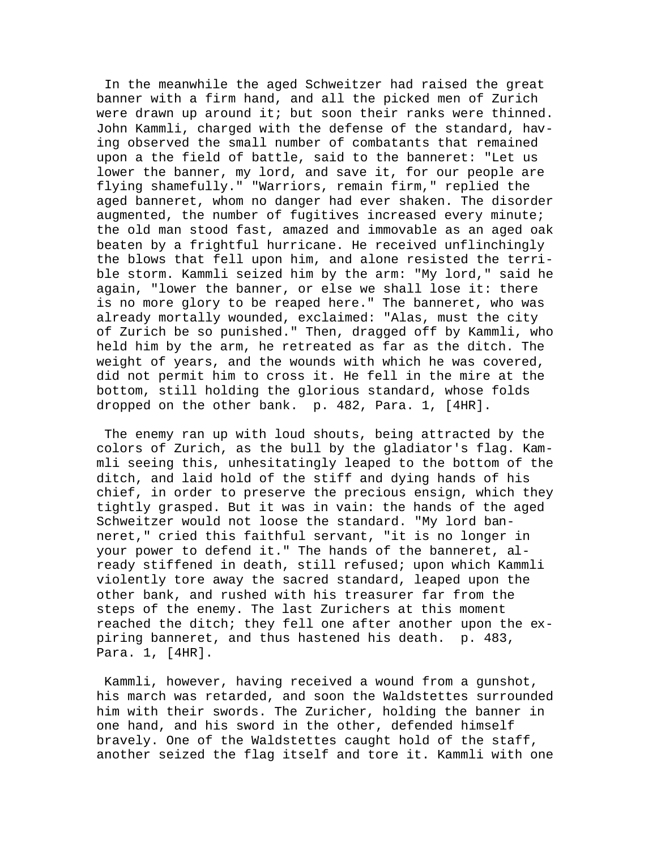In the meanwhile the aged Schweitzer had raised the great banner with a firm hand, and all the picked men of Zurich were drawn up around it; but soon their ranks were thinned. John Kammli, charged with the defense of the standard, having observed the small number of combatants that remained upon a the field of battle, said to the banneret: "Let us lower the banner, my lord, and save it, for our people are flying shamefully." "Warriors, remain firm," replied the aged banneret, whom no danger had ever shaken. The disorder augmented, the number of fugitives increased every minute; the old man stood fast, amazed and immovable as an aged oak beaten by a frightful hurricane. He received unflinchingly the blows that fell upon him, and alone resisted the terrible storm. Kammli seized him by the arm: "My lord," said he again, "lower the banner, or else we shall lose it: there is no more glory to be reaped here." The banneret, who was already mortally wounded, exclaimed: "Alas, must the city of Zurich be so punished." Then, dragged off by Kammli, who held him by the arm, he retreated as far as the ditch. The weight of years, and the wounds with which he was covered, did not permit him to cross it. He fell in the mire at the bottom, still holding the glorious standard, whose folds dropped on the other bank. p. 482, Para. 1, [4HR].

 The enemy ran up with loud shouts, being attracted by the colors of Zurich, as the bull by the gladiator's flag. Kammli seeing this, unhesitatingly leaped to the bottom of the ditch, and laid hold of the stiff and dying hands of his chief, in order to preserve the precious ensign, which they tightly grasped. But it was in vain: the hands of the aged Schweitzer would not loose the standard. "My lord banneret," cried this faithful servant, "it is no longer in your power to defend it." The hands of the banneret, already stiffened in death, still refused; upon which Kammli violently tore away the sacred standard, leaped upon the other bank, and rushed with his treasurer far from the steps of the enemy. The last Zurichers at this moment reached the ditch; they fell one after another upon the expiring banneret, and thus hastened his death. p. 483, Para. 1, [4HR].

 Kammli, however, having received a wound from a gunshot, his march was retarded, and soon the Waldstettes surrounded him with their swords. The Zuricher, holding the banner in one hand, and his sword in the other, defended himself bravely. One of the Waldstettes caught hold of the staff, another seized the flag itself and tore it. Kammli with one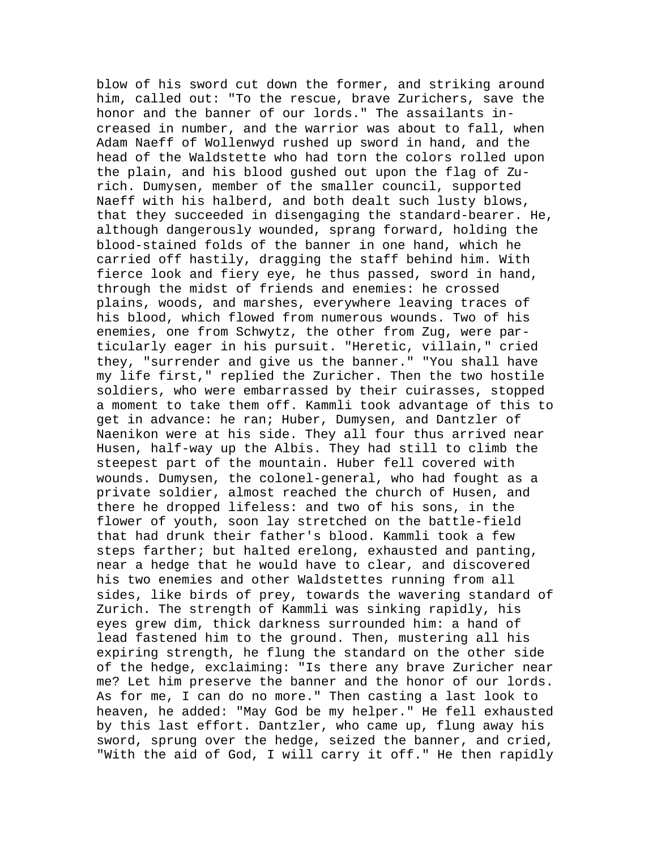blow of his sword cut down the former, and striking around him, called out: "To the rescue, brave Zurichers, save the honor and the banner of our lords." The assailants increased in number, and the warrior was about to fall, when Adam Naeff of Wollenwyd rushed up sword in hand, and the head of the Waldstette who had torn the colors rolled upon the plain, and his blood gushed out upon the flag of Zurich. Dumysen, member of the smaller council, supported Naeff with his halberd, and both dealt such lusty blows, that they succeeded in disengaging the standard-bearer. He, although dangerously wounded, sprang forward, holding the blood-stained folds of the banner in one hand, which he carried off hastily, dragging the staff behind him. With fierce look and fiery eye, he thus passed, sword in hand, through the midst of friends and enemies: he crossed plains, woods, and marshes, everywhere leaving traces of his blood, which flowed from numerous wounds. Two of his enemies, one from Schwytz, the other from Zug, were particularly eager in his pursuit. "Heretic, villain," cried they, "surrender and give us the banner." "You shall have my life first," replied the Zuricher. Then the two hostile soldiers, who were embarrassed by their cuirasses, stopped a moment to take them off. Kammli took advantage of this to get in advance: he ran; Huber, Dumysen, and Dantzler of Naenikon were at his side. They all four thus arrived near Husen, half-way up the Albis. They had still to climb the steepest part of the mountain. Huber fell covered with wounds. Dumysen, the colonel-general, who had fought as a private soldier, almost reached the church of Husen, and there he dropped lifeless: and two of his sons, in the flower of youth, soon lay stretched on the battle-field that had drunk their father's blood. Kammli took a few steps farther; but halted erelong, exhausted and panting, near a hedge that he would have to clear, and discovered his two enemies and other Waldstettes running from all sides, like birds of prey, towards the wavering standard of Zurich. The strength of Kammli was sinking rapidly, his eyes grew dim, thick darkness surrounded him: a hand of lead fastened him to the ground. Then, mustering all his expiring strength, he flung the standard on the other side of the hedge, exclaiming: "Is there any brave Zuricher near me? Let him preserve the banner and the honor of our lords. As for me, I can do no more." Then casting a last look to heaven, he added: "May God be my helper." He fell exhausted by this last effort. Dantzler, who came up, flung away his sword, sprung over the hedge, seized the banner, and cried, "With the aid of God, I will carry it off." He then rapidly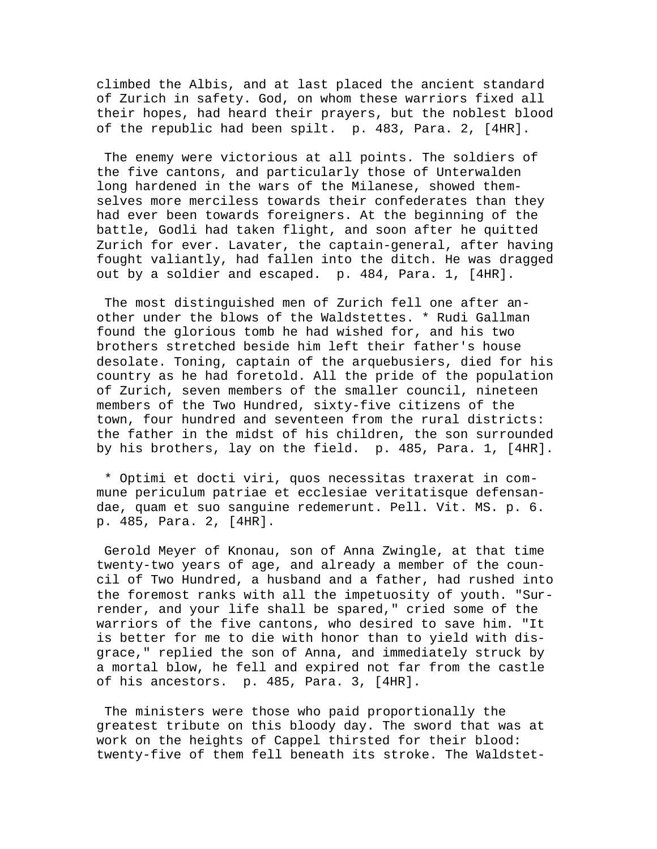climbed the Albis, and at last placed the ancient standard of Zurich in safety. God, on whom these warriors fixed all their hopes, had heard their prayers, but the noblest blood of the republic had been spilt. p. 483, Para. 2, [4HR].

 The enemy were victorious at all points. The soldiers of the five cantons, and particularly those of Unterwalden long hardened in the wars of the Milanese, showed themselves more merciless towards their confederates than they had ever been towards foreigners. At the beginning of the battle, Godli had taken flight, and soon after he quitted Zurich for ever. Lavater, the captain-general, after having fought valiantly, had fallen into the ditch. He was dragged out by a soldier and escaped. p. 484, Para. 1, [4HR].

 The most distinguished men of Zurich fell one after another under the blows of the Waldstettes. \* Rudi Gallman found the glorious tomb he had wished for, and his two brothers stretched beside him left their father's house desolate. Toning, captain of the arquebusiers, died for his country as he had foretold. All the pride of the population of Zurich, seven members of the smaller council, nineteen members of the Two Hundred, sixty-five citizens of the town, four hundred and seventeen from the rural districts: the father in the midst of his children, the son surrounded by his brothers, lay on the field. p. 485, Para. 1, [4HR].

 \* Optimi et docti viri, quos necessitas traxerat in commune periculum patriae et ecclesiae veritatisque defensandae, quam et suo sanguine redemerunt. Pell. Vit. MS. p. 6. p. 485, Para. 2, [4HR].

 Gerold Meyer of Knonau, son of Anna Zwingle, at that time twenty-two years of age, and already a member of the council of Two Hundred, a husband and a father, had rushed into the foremost ranks with all the impetuosity of youth. "Surrender, and your life shall be spared," cried some of the warriors of the five cantons, who desired to save him. "It is better for me to die with honor than to yield with disgrace," replied the son of Anna, and immediately struck by a mortal blow, he fell and expired not far from the castle of his ancestors. p. 485, Para. 3, [4HR].

 The ministers were those who paid proportionally the greatest tribute on this bloody day. The sword that was at work on the heights of Cappel thirsted for their blood: twenty-five of them fell beneath its stroke. The Waldstet-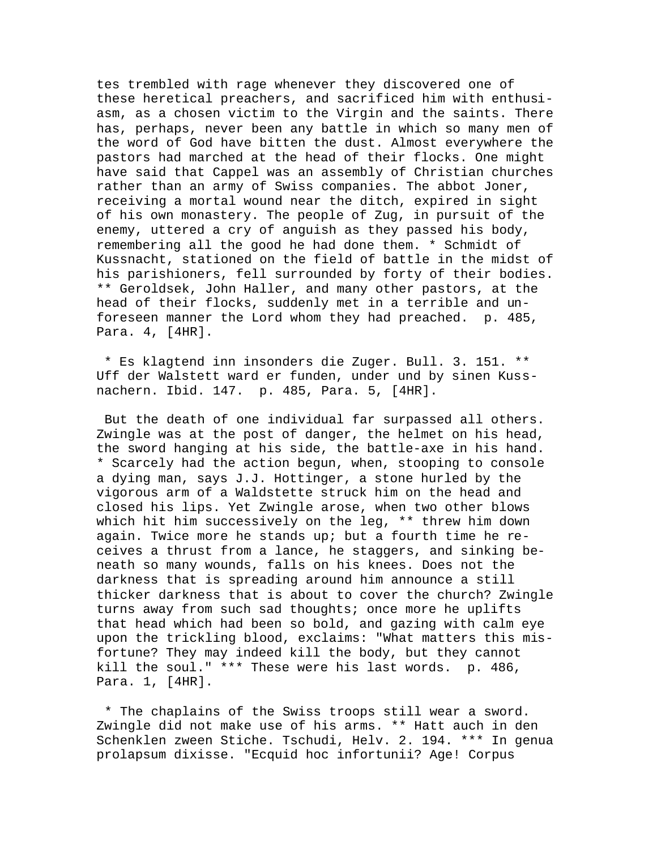tes trembled with rage whenever they discovered one of these heretical preachers, and sacrificed him with enthusiasm, as a chosen victim to the Virgin and the saints. There has, perhaps, never been any battle in which so many men of the word of God have bitten the dust. Almost everywhere the pastors had marched at the head of their flocks. One might have said that Cappel was an assembly of Christian churches rather than an army of Swiss companies. The abbot Joner, receiving a mortal wound near the ditch, expired in sight of his own monastery. The people of Zug, in pursuit of the enemy, uttered a cry of anguish as they passed his body, remembering all the good he had done them. \* Schmidt of Kussnacht, stationed on the field of battle in the midst of his parishioners, fell surrounded by forty of their bodies. \*\* Geroldsek, John Haller, and many other pastors, at the head of their flocks, suddenly met in a terrible and unforeseen manner the Lord whom they had preached. p. 485, Para. 4, [4HR].

 \* Es klagtend inn insonders die Zuger. Bull. 3. 151. \*\* Uff der Walstett ward er funden, under und by sinen Kussnachern. Ibid. 147. p. 485, Para. 5, [4HR].

 But the death of one individual far surpassed all others. Zwingle was at the post of danger, the helmet on his head, the sword hanging at his side, the battle-axe in his hand. \* Scarcely had the action begun, when, stooping to console a dying man, says J.J. Hottinger, a stone hurled by the vigorous arm of a Waldstette struck him on the head and closed his lips. Yet Zwingle arose, when two other blows which hit him successively on the leg, \*\* threw him down again. Twice more he stands up; but a fourth time he receives a thrust from a lance, he staggers, and sinking beneath so many wounds, falls on his knees. Does not the darkness that is spreading around him announce a still thicker darkness that is about to cover the church? Zwingle turns away from such sad thoughts; once more he uplifts that head which had been so bold, and gazing with calm eye upon the trickling blood, exclaims: "What matters this misfortune? They may indeed kill the body, but they cannot kill the soul." \*\*\* These were his last words. p. 486, Para. 1, [4HR].

 \* The chaplains of the Swiss troops still wear a sword. Zwingle did not make use of his arms. \*\* Hatt auch in den Schenklen zween Stiche. Tschudi, Helv. 2. 194. \*\*\* In genua prolapsum dixisse. "Ecquid hoc infortunii? Age! Corpus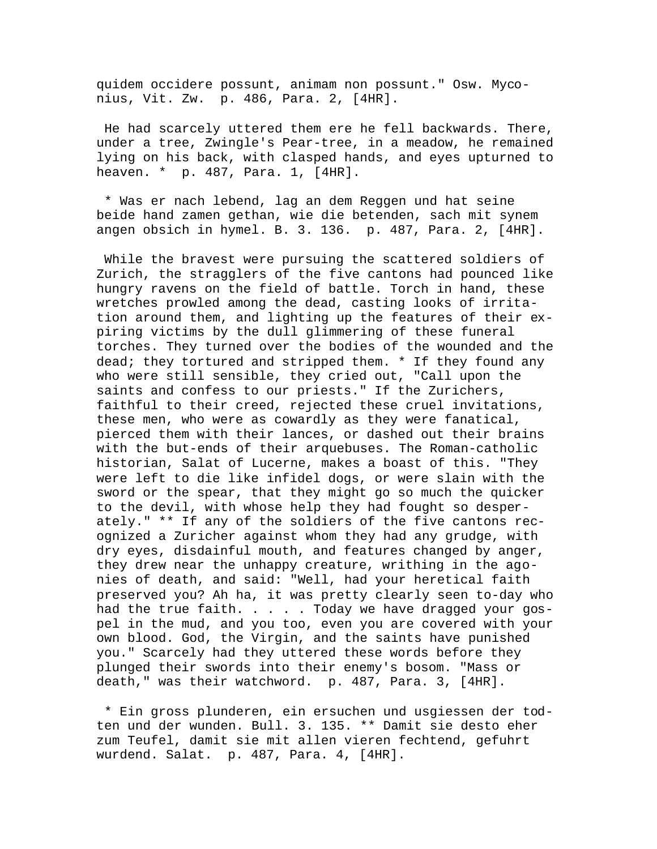quidem occidere possunt, animam non possunt." Osw. Myconius, Vit. Zw. p. 486, Para. 2, [4HR].

 He had scarcely uttered them ere he fell backwards. There, under a tree, Zwingle's Pear-tree, in a meadow, he remained lying on his back, with clasped hands, and eyes upturned to heaven. \* p. 487, Para. 1, [4HR].

 \* Was er nach lebend, lag an dem Reggen und hat seine beide hand zamen gethan, wie die betenden, sach mit synem angen obsich in hymel. B. 3. 136. p. 487, Para. 2, [4HR].

 While the bravest were pursuing the scattered soldiers of Zurich, the stragglers of the five cantons had pounced like hungry ravens on the field of battle. Torch in hand, these wretches prowled among the dead, casting looks of irritation around them, and lighting up the features of their expiring victims by the dull glimmering of these funeral torches. They turned over the bodies of the wounded and the dead; they tortured and stripped them. \* If they found any who were still sensible, they cried out, "Call upon the saints and confess to our priests." If the Zurichers, faithful to their creed, rejected these cruel invitations, these men, who were as cowardly as they were fanatical, pierced them with their lances, or dashed out their brains with the but-ends of their arquebuses. The Roman-catholic historian, Salat of Lucerne, makes a boast of this. "They were left to die like infidel dogs, or were slain with the sword or the spear, that they might go so much the quicker to the devil, with whose help they had fought so desperately." \*\* If any of the soldiers of the five cantons recognized a Zuricher against whom they had any grudge, with dry eyes, disdainful mouth, and features changed by anger, they drew near the unhappy creature, writhing in the agonies of death, and said: "Well, had your heretical faith preserved you? Ah ha, it was pretty clearly seen to-day who had the true faith. . . . . Today we have dragged your gospel in the mud, and you too, even you are covered with your own blood. God, the Virgin, and the saints have punished you." Scarcely had they uttered these words before they plunged their swords into their enemy's bosom. "Mass or death," was their watchword. p. 487, Para. 3, [4HR].

 \* Ein gross plunderen, ein ersuchen und usgiessen der todten und der wunden. Bull. 3. 135. \*\* Damit sie desto eher zum Teufel, damit sie mit allen vieren fechtend, gefuhrt wurdend. Salat. p. 487, Para. 4, [4HR].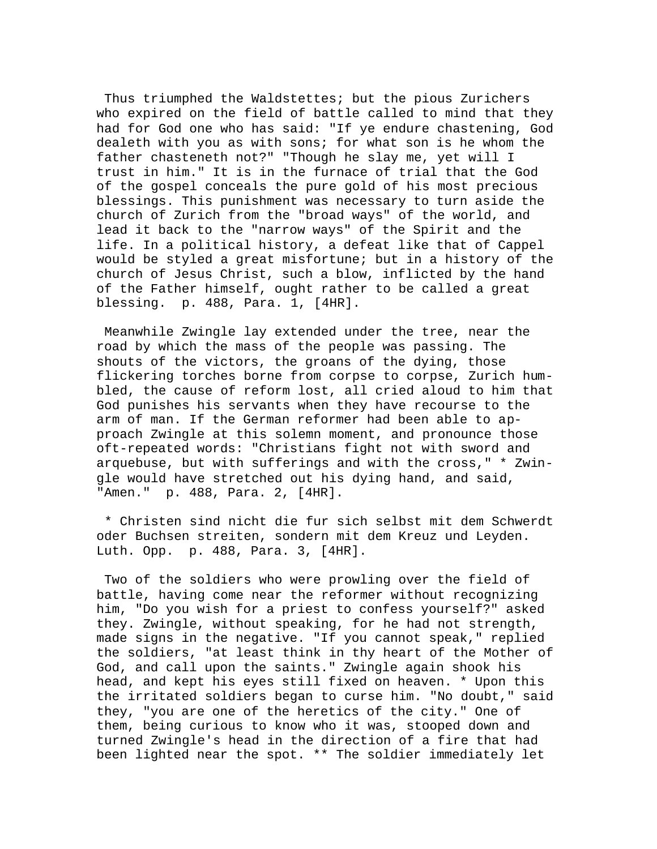Thus triumphed the Waldstettes; but the pious Zurichers who expired on the field of battle called to mind that they had for God one who has said: "If ye endure chastening, God dealeth with you as with sons; for what son is he whom the father chasteneth not?" "Though he slay me, yet will I trust in him." It is in the furnace of trial that the God of the gospel conceals the pure gold of his most precious blessings. This punishment was necessary to turn aside the church of Zurich from the "broad ways" of the world, and lead it back to the "narrow ways" of the Spirit and the life. In a political history, a defeat like that of Cappel would be styled a great misfortune; but in a history of the church of Jesus Christ, such a blow, inflicted by the hand of the Father himself, ought rather to be called a great blessing. p. 488, Para. 1, [4HR].

 Meanwhile Zwingle lay extended under the tree, near the road by which the mass of the people was passing. The shouts of the victors, the groans of the dying, those flickering torches borne from corpse to corpse, Zurich humbled, the cause of reform lost, all cried aloud to him that God punishes his servants when they have recourse to the arm of man. If the German reformer had been able to approach Zwingle at this solemn moment, and pronounce those oft-repeated words: "Christians fight not with sword and arquebuse, but with sufferings and with the cross," \* Zwingle would have stretched out his dying hand, and said, "Amen." p. 488, Para. 2, [4HR].

 \* Christen sind nicht die fur sich selbst mit dem Schwerdt oder Buchsen streiten, sondern mit dem Kreuz und Leyden. Luth. Opp. p. 488, Para. 3, [4HR].

 Two of the soldiers who were prowling over the field of battle, having come near the reformer without recognizing him, "Do you wish for a priest to confess yourself?" asked they. Zwingle, without speaking, for he had not strength, made signs in the negative. "If you cannot speak," replied the soldiers, "at least think in thy heart of the Mother of God, and call upon the saints." Zwingle again shook his head, and kept his eyes still fixed on heaven. \* Upon this the irritated soldiers began to curse him. "No doubt," said they, "you are one of the heretics of the city." One of them, being curious to know who it was, stooped down and turned Zwingle's head in the direction of a fire that had been lighted near the spot. \*\* The soldier immediately let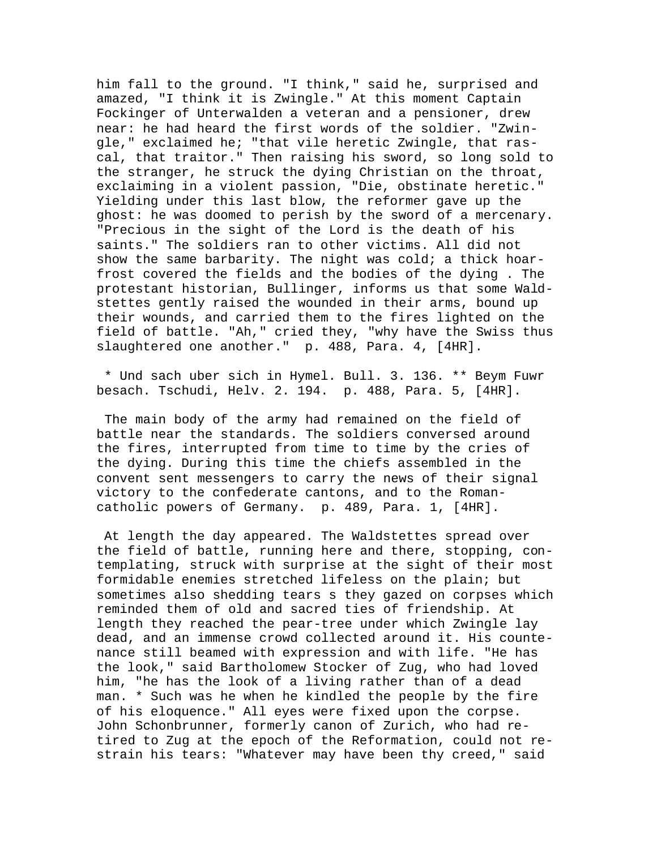him fall to the ground. "I think," said he, surprised and amazed, "I think it is Zwingle." At this moment Captain Fockinger of Unterwalden a veteran and a pensioner, drew near: he had heard the first words of the soldier. "Zwingle," exclaimed he; "that vile heretic Zwingle, that rascal, that traitor." Then raising his sword, so long sold to the stranger, he struck the dying Christian on the throat, exclaiming in a violent passion, "Die, obstinate heretic." Yielding under this last blow, the reformer gave up the ghost: he was doomed to perish by the sword of a mercenary. "Precious in the sight of the Lord is the death of his saints." The soldiers ran to other victims. All did not show the same barbarity. The night was cold; a thick hoarfrost covered the fields and the bodies of the dying . The protestant historian, Bullinger, informs us that some Waldstettes gently raised the wounded in their arms, bound up their wounds, and carried them to the fires lighted on the field of battle. "Ah," cried they, "why have the Swiss thus slaughtered one another." p. 488, Para. 4, [4HR].

 \* Und sach uber sich in Hymel. Bull. 3. 136. \*\* Beym Fuwr besach. Tschudi, Helv. 2. 194. p. 488, Para. 5, [4HR].

 The main body of the army had remained on the field of battle near the standards. The soldiers conversed around the fires, interrupted from time to time by the cries of the dying. During this time the chiefs assembled in the convent sent messengers to carry the news of their signal victory to the confederate cantons, and to the Romancatholic powers of Germany. p. 489, Para. 1, [4HR].

 At length the day appeared. The Waldstettes spread over the field of battle, running here and there, stopping, contemplating, struck with surprise at the sight of their most formidable enemies stretched lifeless on the plain; but sometimes also shedding tears s they gazed on corpses which reminded them of old and sacred ties of friendship. At length they reached the pear-tree under which Zwingle lay dead, and an immense crowd collected around it. His countenance still beamed with expression and with life. "He has the look," said Bartholomew Stocker of Zug, who had loved him, "he has the look of a living rather than of a dead man. \* Such was he when he kindled the people by the fire of his eloquence." All eyes were fixed upon the corpse. John Schonbrunner, formerly canon of Zurich, who had retired to Zug at the epoch of the Reformation, could not restrain his tears: "Whatever may have been thy creed," said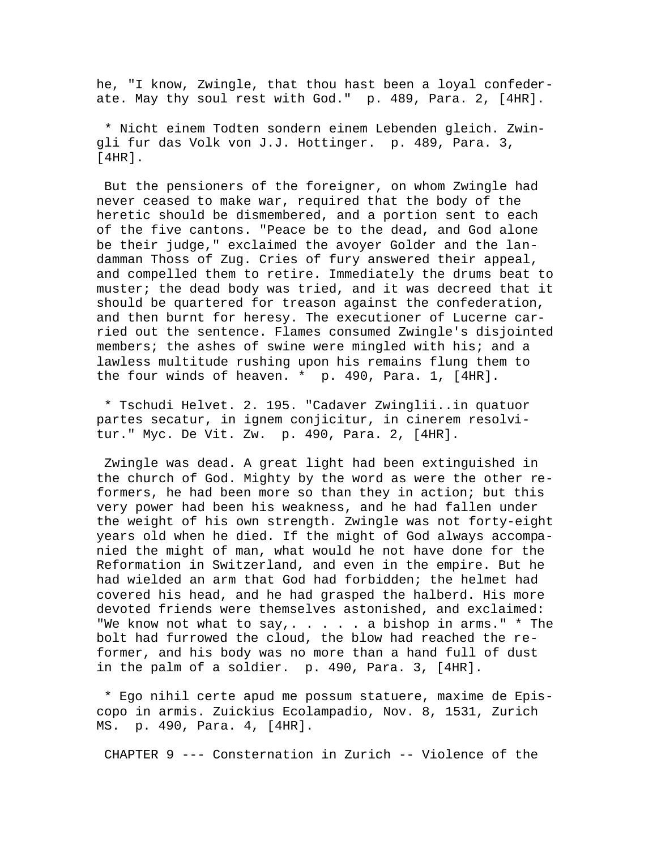he, "I know, Zwingle, that thou hast been a loyal confederate. May thy soul rest with God." p. 489, Para. 2, [4HR].

 \* Nicht einem Todten sondern einem Lebenden gleich. Zwingli fur das Volk von J.J. Hottinger. p. 489, Para. 3, [4HR].

 But the pensioners of the foreigner, on whom Zwingle had never ceased to make war, required that the body of the heretic should be dismembered, and a portion sent to each of the five cantons. "Peace be to the dead, and God alone be their judge," exclaimed the avoyer Golder and the landamman Thoss of Zug. Cries of fury answered their appeal, and compelled them to retire. Immediately the drums beat to muster; the dead body was tried, and it was decreed that it should be quartered for treason against the confederation, and then burnt for heresy. The executioner of Lucerne carried out the sentence. Flames consumed Zwingle's disjointed members; the ashes of swine were mingled with his; and a lawless multitude rushing upon his remains flung them to the four winds of heaven. \* p. 490, Para. 1, [4HR].

 \* Tschudi Helvet. 2. 195. "Cadaver Zwinglii..in quatuor partes secatur, in ignem conjicitur, in cinerem resolvitur." Myc. De Vit. Zw. p. 490, Para. 2, [4HR].

 Zwingle was dead. A great light had been extinguished in the church of God. Mighty by the word as were the other reformers, he had been more so than they in action; but this very power had been his weakness, and he had fallen under the weight of his own strength. Zwingle was not forty-eight years old when he died. If the might of God always accompanied the might of man, what would he not have done for the Reformation in Switzerland, and even in the empire. But he had wielded an arm that God had forbidden; the helmet had covered his head, and he had grasped the halberd. His more devoted friends were themselves astonished, and exclaimed: "We know not what to say,  $\dots$  . . . a bishop in arms."  $*$  The bolt had furrowed the cloud, the blow had reached the reformer, and his body was no more than a hand full of dust in the palm of a soldier. p. 490, Para. 3, [4HR].

 \* Ego nihil certe apud me possum statuere, maxime de Episcopo in armis. Zuickius Ecolampadio, Nov. 8, 1531, Zurich MS. p. 490, Para. 4, [4HR].

CHAPTER 9 --- Consternation in Zurich -- Violence of the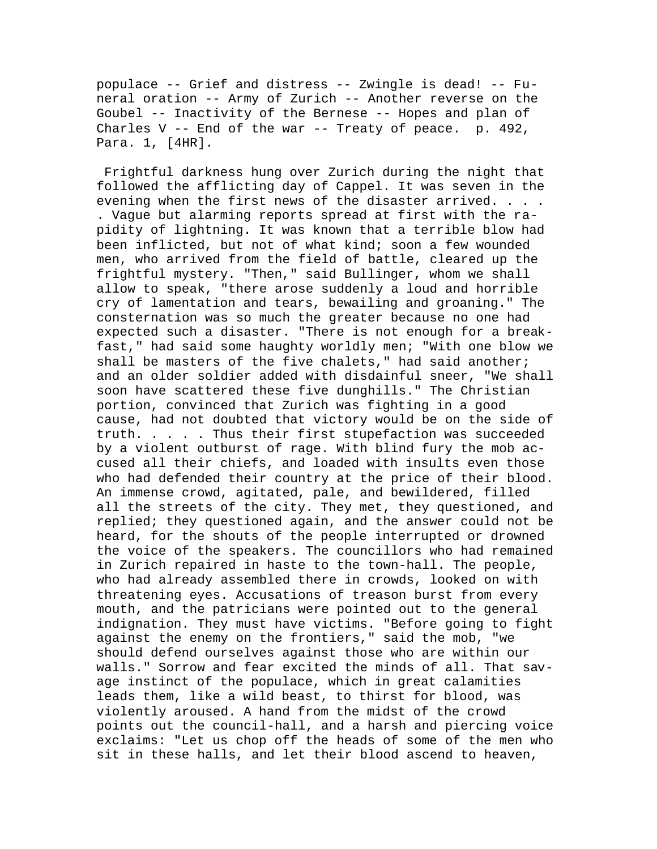populace -- Grief and distress -- Zwingle is dead! -- Funeral oration -- Army of Zurich -- Another reverse on the Goubel -- Inactivity of the Bernese -- Hopes and plan of Charles  $V - -$  End of the war  $- -$  Treaty of peace. p. 492, Para. 1, [4HR].

 Frightful darkness hung over Zurich during the night that followed the afflicting day of Cappel. It was seven in the evening when the first news of the disaster arrived. . . . . Vague but alarming reports spread at first with the rapidity of lightning. It was known that a terrible blow had been inflicted, but not of what kind; soon a few wounded men, who arrived from the field of battle, cleared up the frightful mystery. "Then," said Bullinger, whom we shall allow to speak, "there arose suddenly a loud and horrible cry of lamentation and tears, bewailing and groaning." The consternation was so much the greater because no one had expected such a disaster. "There is not enough for a breakfast," had said some haughty worldly men; "With one blow we shall be masters of the five chalets," had said another; and an older soldier added with disdainful sneer, "We shall soon have scattered these five dunghills." The Christian portion, convinced that Zurich was fighting in a good cause, had not doubted that victory would be on the side of truth. . . . . Thus their first stupefaction was succeeded by a violent outburst of rage. With blind fury the mob accused all their chiefs, and loaded with insults even those who had defended their country at the price of their blood. An immense crowd, agitated, pale, and bewildered, filled all the streets of the city. They met, they questioned, and replied; they questioned again, and the answer could not be heard, for the shouts of the people interrupted or drowned the voice of the speakers. The councillors who had remained in Zurich repaired in haste to the town-hall. The people, who had already assembled there in crowds, looked on with threatening eyes. Accusations of treason burst from every mouth, and the patricians were pointed out to the general indignation. They must have victims. "Before going to fight against the enemy on the frontiers," said the mob, "we should defend ourselves against those who are within our walls." Sorrow and fear excited the minds of all. That savage instinct of the populace, which in great calamities leads them, like a wild beast, to thirst for blood, was violently aroused. A hand from the midst of the crowd points out the council-hall, and a harsh and piercing voice exclaims: "Let us chop off the heads of some of the men who sit in these halls, and let their blood ascend to heaven,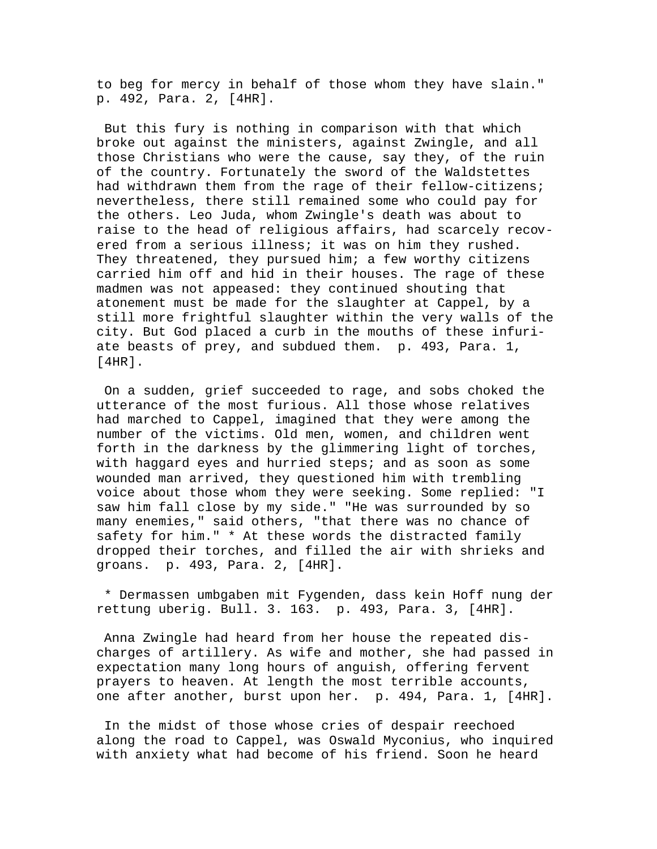to beg for mercy in behalf of those whom they have slain." p. 492, Para. 2, [4HR].

 But this fury is nothing in comparison with that which broke out against the ministers, against Zwingle, and all those Christians who were the cause, say they, of the ruin of the country. Fortunately the sword of the Waldstettes had withdrawn them from the rage of their fellow-citizens; nevertheless, there still remained some who could pay for the others. Leo Juda, whom Zwingle's death was about to raise to the head of religious affairs, had scarcely recovered from a serious illness; it was on him they rushed. They threatened, they pursued him; a few worthy citizens carried him off and hid in their houses. The rage of these madmen was not appeased: they continued shouting that atonement must be made for the slaughter at Cappel, by a still more frightful slaughter within the very walls of the city. But God placed a curb in the mouths of these infuriate beasts of prey, and subdued them. p. 493, Para. 1, [4HR].

 On a sudden, grief succeeded to rage, and sobs choked the utterance of the most furious. All those whose relatives had marched to Cappel, imagined that they were among the number of the victims. Old men, women, and children went forth in the darkness by the glimmering light of torches, with haggard eyes and hurried steps; and as soon as some wounded man arrived, they questioned him with trembling voice about those whom they were seeking. Some replied: "I saw him fall close by my side." "He was surrounded by so many enemies," said others, "that there was no chance of safety for him." \* At these words the distracted family dropped their torches, and filled the air with shrieks and groans. p. 493, Para. 2, [4HR].

 \* Dermassen umbgaben mit Fygenden, dass kein Hoff nung der rettung uberig. Bull. 3. 163. p. 493, Para. 3, [4HR].

 Anna Zwingle had heard from her house the repeated discharges of artillery. As wife and mother, she had passed in expectation many long hours of anguish, offering fervent prayers to heaven. At length the most terrible accounts, one after another, burst upon her. p. 494, Para. 1, [4HR].

 In the midst of those whose cries of despair reechoed along the road to Cappel, was Oswald Myconius, who inquired with anxiety what had become of his friend. Soon he heard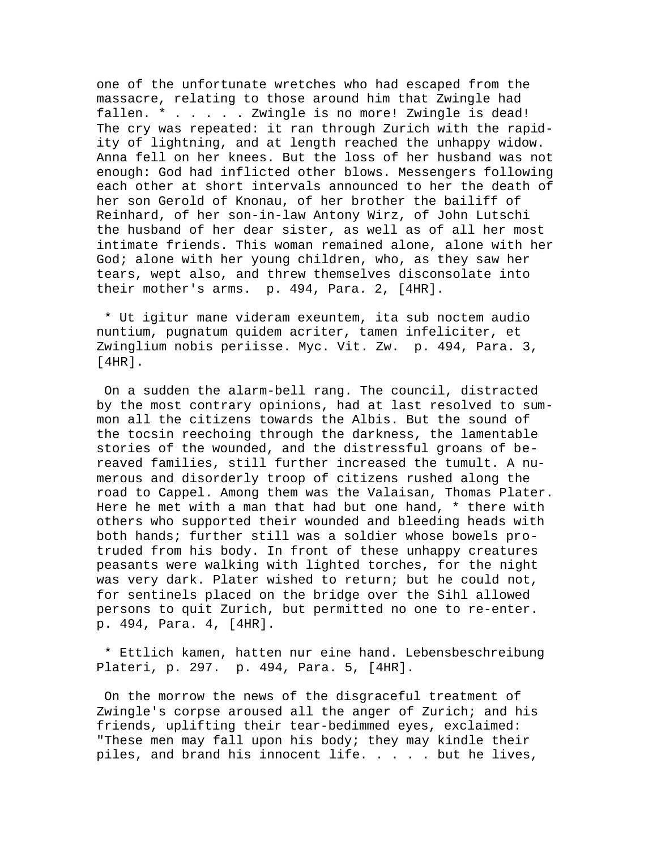one of the unfortunate wretches who had escaped from the massacre, relating to those around him that Zwingle had fallen. \* . . . . . Zwingle is no more! Zwingle is dead! The cry was repeated: it ran through Zurich with the rapidity of lightning, and at length reached the unhappy widow. Anna fell on her knees. But the loss of her husband was not enough: God had inflicted other blows. Messengers following each other at short intervals announced to her the death of her son Gerold of Knonau, of her brother the bailiff of Reinhard, of her son-in-law Antony Wirz, of John Lutschi the husband of her dear sister, as well as of all her most intimate friends. This woman remained alone, alone with her God; alone with her young children, who, as they saw her tears, wept also, and threw themselves disconsolate into their mother's arms. p. 494, Para. 2, [4HR].

 \* Ut igitur mane videram exeuntem, ita sub noctem audio nuntium, pugnatum quidem acriter, tamen infeliciter, et Zwinglium nobis periisse. Myc. Vit. Zw. p. 494, Para. 3, [4HR].

 On a sudden the alarm-bell rang. The council, distracted by the most contrary opinions, had at last resolved to summon all the citizens towards the Albis. But the sound of the tocsin reechoing through the darkness, the lamentable stories of the wounded, and the distressful groans of bereaved families, still further increased the tumult. A numerous and disorderly troop of citizens rushed along the road to Cappel. Among them was the Valaisan, Thomas Plater. Here he met with a man that had but one hand, \* there with others who supported their wounded and bleeding heads with both hands; further still was a soldier whose bowels protruded from his body. In front of these unhappy creatures peasants were walking with lighted torches, for the night was very dark. Plater wished to return; but he could not, for sentinels placed on the bridge over the Sihl allowed persons to quit Zurich, but permitted no one to re-enter. p. 494, Para. 4, [4HR].

 \* Ettlich kamen, hatten nur eine hand. Lebensbeschreibung Plateri, p. 297. p. 494, Para. 5, [4HR].

 On the morrow the news of the disgraceful treatment of Zwingle's corpse aroused all the anger of Zurich; and his friends, uplifting their tear-bedimmed eyes, exclaimed: "These men may fall upon his body; they may kindle their piles, and brand his innocent life. . . . . but he lives,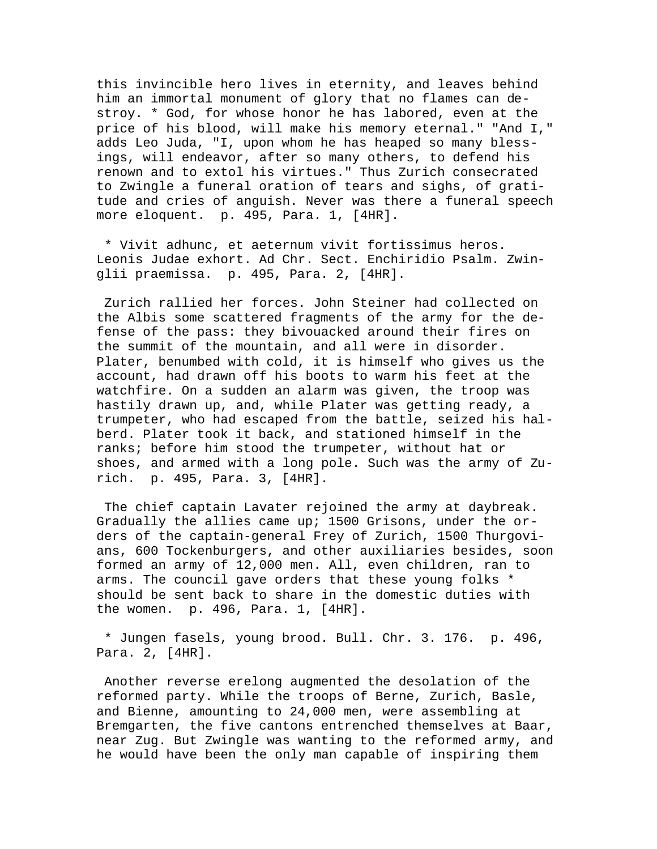this invincible hero lives in eternity, and leaves behind him an immortal monument of glory that no flames can destroy. \* God, for whose honor he has labored, even at the price of his blood, will make his memory eternal." "And I," adds Leo Juda, "I, upon whom he has heaped so many blessings, will endeavor, after so many others, to defend his renown and to extol his virtues." Thus Zurich consecrated to Zwingle a funeral oration of tears and sighs, of gratitude and cries of anguish. Never was there a funeral speech more eloquent. p. 495, Para. 1, [4HR].

 \* Vivit adhunc, et aeternum vivit fortissimus heros. Leonis Judae exhort. Ad Chr. Sect. Enchiridio Psalm. Zwinglii praemissa. p. 495, Para. 2, [4HR].

 Zurich rallied her forces. John Steiner had collected on the Albis some scattered fragments of the army for the defense of the pass: they bivouacked around their fires on the summit of the mountain, and all were in disorder. Plater, benumbed with cold, it is himself who gives us the account, had drawn off his boots to warm his feet at the watchfire. On a sudden an alarm was given, the troop was hastily drawn up, and, while Plater was getting ready, a trumpeter, who had escaped from the battle, seized his halberd. Plater took it back, and stationed himself in the ranks; before him stood the trumpeter, without hat or shoes, and armed with a long pole. Such was the army of Zurich. p. 495, Para. 3, [4HR].

 The chief captain Lavater rejoined the army at daybreak. Gradually the allies came up; 1500 Grisons, under the orders of the captain-general Frey of Zurich, 1500 Thurgovians, 600 Tockenburgers, and other auxiliaries besides, soon formed an army of 12,000 men. All, even children, ran to arms. The council gave orders that these young folks \* should be sent back to share in the domestic duties with the women. p. 496, Para. 1, [4HR].

 \* Jungen fasels, young brood. Bull. Chr. 3. 176. p. 496, Para. 2, [4HR].

 Another reverse erelong augmented the desolation of the reformed party. While the troops of Berne, Zurich, Basle, and Bienne, amounting to 24,000 men, were assembling at Bremgarten, the five cantons entrenched themselves at Baar, near Zug. But Zwingle was wanting to the reformed army, and he would have been the only man capable of inspiring them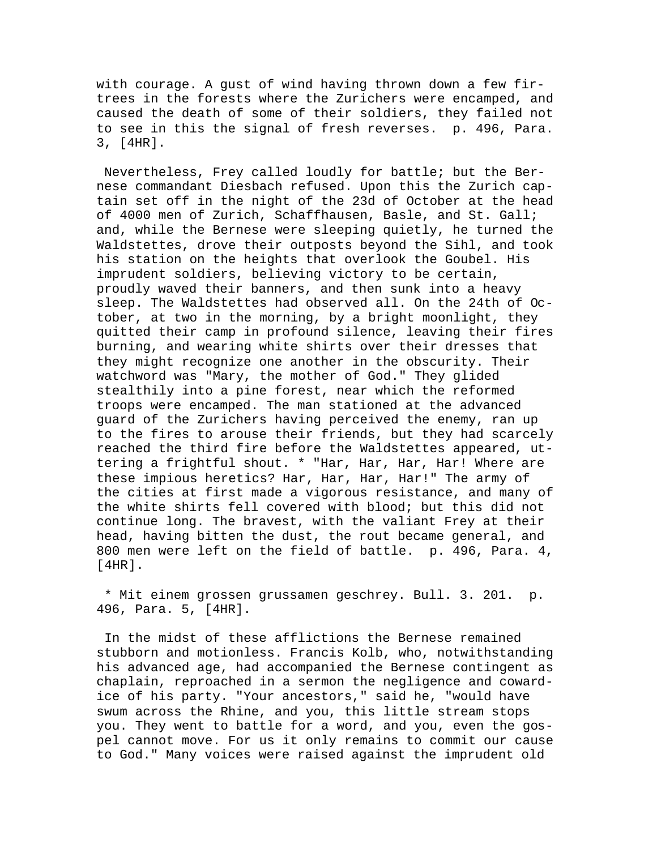with courage. A gust of wind having thrown down a few firtrees in the forests where the Zurichers were encamped, and caused the death of some of their soldiers, they failed not to see in this the signal of fresh reverses. p. 496, Para. 3, [4HR].

 Nevertheless, Frey called loudly for battle; but the Bernese commandant Diesbach refused. Upon this the Zurich captain set off in the night of the 23d of October at the head of 4000 men of Zurich, Schaffhausen, Basle, and St. Gall; and, while the Bernese were sleeping quietly, he turned the Waldstettes, drove their outposts beyond the Sihl, and took his station on the heights that overlook the Goubel. His imprudent soldiers, believing victory to be certain, proudly waved their banners, and then sunk into a heavy sleep. The Waldstettes had observed all. On the 24th of October, at two in the morning, by a bright moonlight, they quitted their camp in profound silence, leaving their fires burning, and wearing white shirts over their dresses that they might recognize one another in the obscurity. Their watchword was "Mary, the mother of God." They glided stealthily into a pine forest, near which the reformed troops were encamped. The man stationed at the advanced guard of the Zurichers having perceived the enemy, ran up to the fires to arouse their friends, but they had scarcely reached the third fire before the Waldstettes appeared, uttering a frightful shout. \* "Har, Har, Har, Har! Where are these impious heretics? Har, Har, Har, Har!" The army of the cities at first made a vigorous resistance, and many of the white shirts fell covered with blood; but this did not continue long. The bravest, with the valiant Frey at their head, having bitten the dust, the rout became general, and 800 men were left on the field of battle. p. 496, Para. 4, [4HR].

 \* Mit einem grossen grussamen geschrey. Bull. 3. 201. p. 496, Para. 5, [4HR].

 In the midst of these afflictions the Bernese remained stubborn and motionless. Francis Kolb, who, notwithstanding his advanced age, had accompanied the Bernese contingent as chaplain, reproached in a sermon the negligence and cowardice of his party. "Your ancestors," said he, "would have swum across the Rhine, and you, this little stream stops you. They went to battle for a word, and you, even the gospel cannot move. For us it only remains to commit our cause to God." Many voices were raised against the imprudent old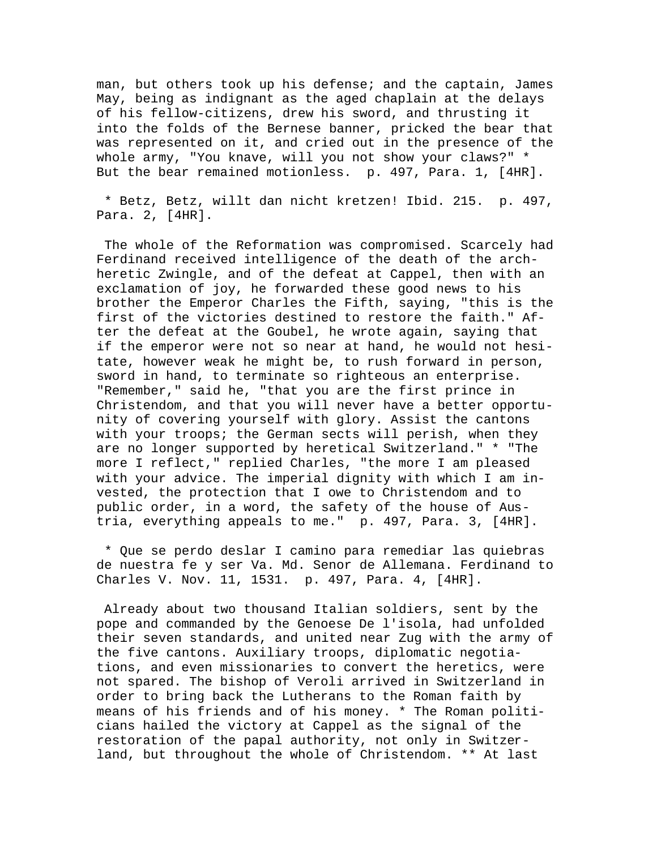man, but others took up his defense; and the captain, James May, being as indignant as the aged chaplain at the delays of his fellow-citizens, drew his sword, and thrusting it into the folds of the Bernese banner, pricked the bear that was represented on it, and cried out in the presence of the whole army, "You knave, will you not show your claws?" \* But the bear remained motionless. p. 497, Para. 1, [4HR].

 \* Betz, Betz, willt dan nicht kretzen! Ibid. 215. p. 497, Para. 2, [4HR].

 The whole of the Reformation was compromised. Scarcely had Ferdinand received intelligence of the death of the archheretic Zwingle, and of the defeat at Cappel, then with an exclamation of joy, he forwarded these good news to his brother the Emperor Charles the Fifth, saying, "this is the first of the victories destined to restore the faith." After the defeat at the Goubel, he wrote again, saying that if the emperor were not so near at hand, he would not hesitate, however weak he might be, to rush forward in person, sword in hand, to terminate so righteous an enterprise. "Remember," said he, "that you are the first prince in Christendom, and that you will never have a better opportunity of covering yourself with glory. Assist the cantons with your troops; the German sects will perish, when they are no longer supported by heretical Switzerland." \* "The more I reflect," replied Charles, "the more I am pleased with your advice. The imperial dignity with which I am invested, the protection that I owe to Christendom and to public order, in a word, the safety of the house of Austria, everything appeals to me." p. 497, Para. 3, [4HR].

 \* Que se perdo deslar I camino para remediar las quiebras de nuestra fe y ser Va. Md. Senor de Allemana. Ferdinand to Charles V. Nov. 11, 1531. p. 497, Para. 4, [4HR].

 Already about two thousand Italian soldiers, sent by the pope and commanded by the Genoese De l'isola, had unfolded their seven standards, and united near Zug with the army of the five cantons. Auxiliary troops, diplomatic negotiations, and even missionaries to convert the heretics, were not spared. The bishop of Veroli arrived in Switzerland in order to bring back the Lutherans to the Roman faith by means of his friends and of his money. \* The Roman politicians hailed the victory at Cappel as the signal of the restoration of the papal authority, not only in Switzerland, but throughout the whole of Christendom. \*\* At last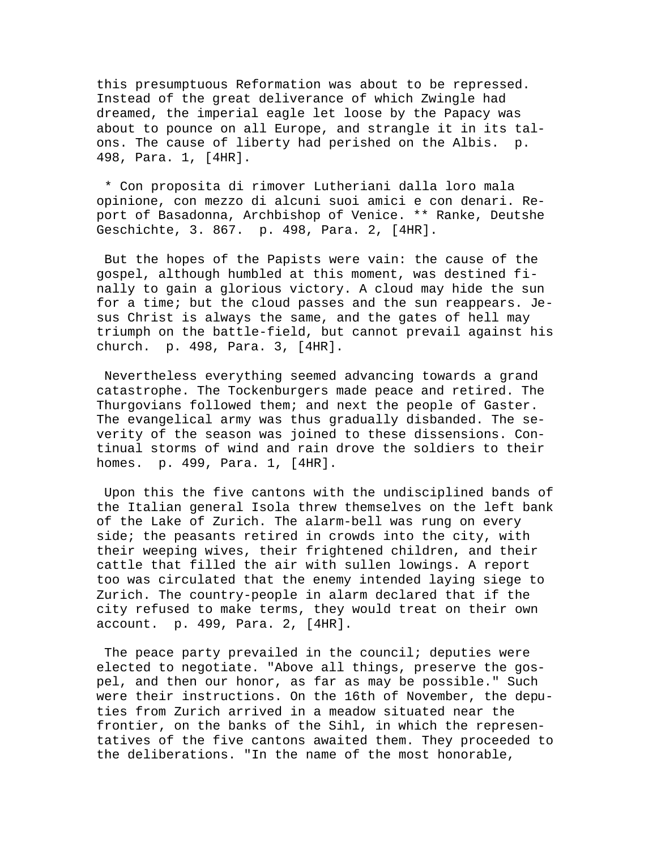this presumptuous Reformation was about to be repressed. Instead of the great deliverance of which Zwingle had dreamed, the imperial eagle let loose by the Papacy was about to pounce on all Europe, and strangle it in its talons. The cause of liberty had perished on the Albis. p. 498, Para. 1, [4HR].

 \* Con proposita di rimover Lutheriani dalla loro mala opinione, con mezzo di alcuni suoi amici e con denari. Report of Basadonna, Archbishop of Venice. \*\* Ranke, Deutshe Geschichte, 3. 867. p. 498, Para. 2, [4HR].

 But the hopes of the Papists were vain: the cause of the gospel, although humbled at this moment, was destined finally to gain a glorious victory. A cloud may hide the sun for a time; but the cloud passes and the sun reappears. Jesus Christ is always the same, and the gates of hell may triumph on the battle-field, but cannot prevail against his church. p. 498, Para. 3, [4HR].

 Nevertheless everything seemed advancing towards a grand catastrophe. The Tockenburgers made peace and retired. The Thurgovians followed them; and next the people of Gaster. The evangelical army was thus gradually disbanded. The severity of the season was joined to these dissensions. Continual storms of wind and rain drove the soldiers to their homes. p. 499, Para. 1, [4HR].

 Upon this the five cantons with the undisciplined bands of the Italian general Isola threw themselves on the left bank of the Lake of Zurich. The alarm-bell was rung on every side; the peasants retired in crowds into the city, with their weeping wives, their frightened children, and their cattle that filled the air with sullen lowings. A report too was circulated that the enemy intended laying siege to Zurich. The country-people in alarm declared that if the city refused to make terms, they would treat on their own account. p. 499, Para. 2, [4HR].

The peace party prevailed in the council; deputies were elected to negotiate. "Above all things, preserve the gospel, and then our honor, as far as may be possible." Such were their instructions. On the 16th of November, the deputies from Zurich arrived in a meadow situated near the frontier, on the banks of the Sihl, in which the representatives of the five cantons awaited them. They proceeded to the deliberations. "In the name of the most honorable,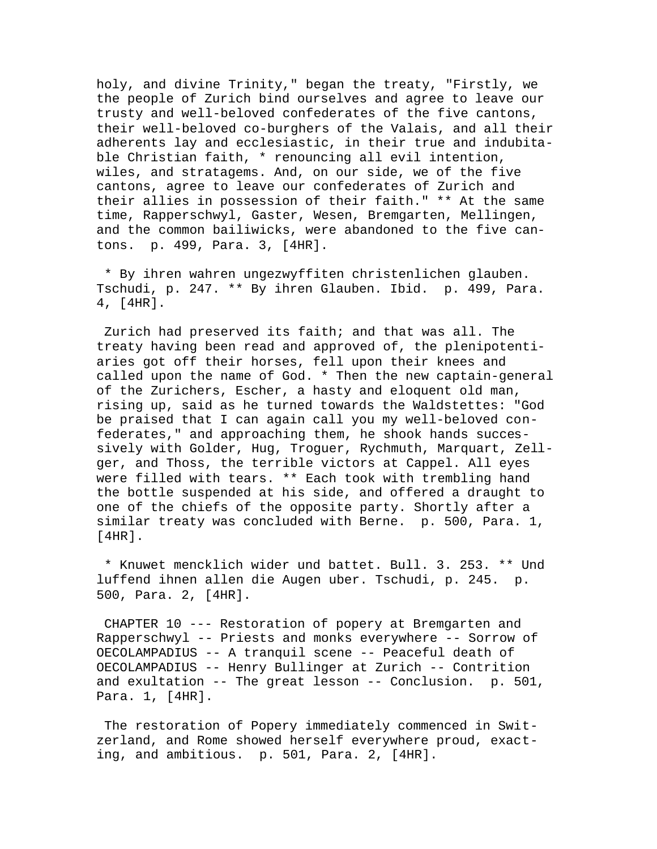holy, and divine Trinity," began the treaty, "Firstly, we the people of Zurich bind ourselves and agree to leave our trusty and well-beloved confederates of the five cantons, their well-beloved co-burghers of the Valais, and all their adherents lay and ecclesiastic, in their true and indubitable Christian faith, \* renouncing all evil intention, wiles, and stratagems. And, on our side, we of the five cantons, agree to leave our confederates of Zurich and their allies in possession of their faith." \*\* At the same time, Rapperschwyl, Gaster, Wesen, Bremgarten, Mellingen, and the common bailiwicks, were abandoned to the five cantons. p. 499, Para. 3, [4HR].

 \* By ihren wahren ungezwyffiten christenlichen glauben. Tschudi, p. 247. \*\* By ihren Glauben. Ibid. p. 499, Para. 4, [4HR].

 Zurich had preserved its faith; and that was all. The treaty having been read and approved of, the plenipotentiaries got off their horses, fell upon their knees and called upon the name of God. \* Then the new captain-general of the Zurichers, Escher, a hasty and eloquent old man, rising up, said as he turned towards the Waldstettes: "God be praised that I can again call you my well-beloved confederates," and approaching them, he shook hands successively with Golder, Hug, Troguer, Rychmuth, Marquart, Zellger, and Thoss, the terrible victors at Cappel. All eyes were filled with tears. \*\* Each took with trembling hand the bottle suspended at his side, and offered a draught to one of the chiefs of the opposite party. Shortly after a similar treaty was concluded with Berne. p. 500, Para. 1, [4HR].

 \* Knuwet mencklich wider und battet. Bull. 3. 253. \*\* Und luffend ihnen allen die Augen uber. Tschudi, p. 245. p. 500, Para. 2, [4HR].

 CHAPTER 10 --- Restoration of popery at Bremgarten and Rapperschwyl -- Priests and monks everywhere -- Sorrow of OECOLAMPADIUS -- A tranquil scene -- Peaceful death of OECOLAMPADIUS -- Henry Bullinger at Zurich -- Contrition and exultation -- The great lesson -- Conclusion. p. 501, Para. 1, [4HR].

 The restoration of Popery immediately commenced in Switzerland, and Rome showed herself everywhere proud, exacting, and ambitious. p. 501, Para. 2, [4HR].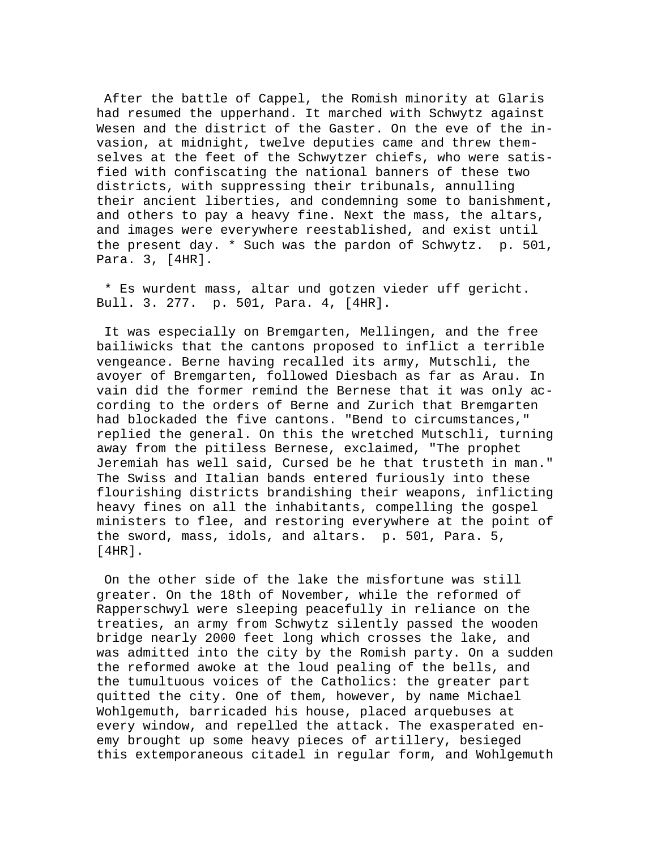After the battle of Cappel, the Romish minority at Glaris had resumed the upperhand. It marched with Schwytz against Wesen and the district of the Gaster. On the eve of the invasion, at midnight, twelve deputies came and threw themselves at the feet of the Schwytzer chiefs, who were satisfied with confiscating the national banners of these two districts, with suppressing their tribunals, annulling their ancient liberties, and condemning some to banishment, and others to pay a heavy fine. Next the mass, the altars, and images were everywhere reestablished, and exist until the present day. \* Such was the pardon of Schwytz. p. 501, Para. 3, [4HR].

 \* Es wurdent mass, altar und gotzen vieder uff gericht. Bull. 3. 277. p. 501, Para. 4, [4HR].

 It was especially on Bremgarten, Mellingen, and the free bailiwicks that the cantons proposed to inflict a terrible vengeance. Berne having recalled its army, Mutschli, the avoyer of Bremgarten, followed Diesbach as far as Arau. In vain did the former remind the Bernese that it was only according to the orders of Berne and Zurich that Bremgarten had blockaded the five cantons. "Bend to circumstances," replied the general. On this the wretched Mutschli, turning away from the pitiless Bernese, exclaimed, "The prophet Jeremiah has well said, Cursed be he that trusteth in man." The Swiss and Italian bands entered furiously into these flourishing districts brandishing their weapons, inflicting heavy fines on all the inhabitants, compelling the gospel ministers to flee, and restoring everywhere at the point of the sword, mass, idols, and altars. p. 501, Para. 5, [4HR].

 On the other side of the lake the misfortune was still greater. On the 18th of November, while the reformed of Rapperschwyl were sleeping peacefully in reliance on the treaties, an army from Schwytz silently passed the wooden bridge nearly 2000 feet long which crosses the lake, and was admitted into the city by the Romish party. On a sudden the reformed awoke at the loud pealing of the bells, and the tumultuous voices of the Catholics: the greater part quitted the city. One of them, however, by name Michael Wohlgemuth, barricaded his house, placed arquebuses at every window, and repelled the attack. The exasperated enemy brought up some heavy pieces of artillery, besieged this extemporaneous citadel in regular form, and Wohlgemuth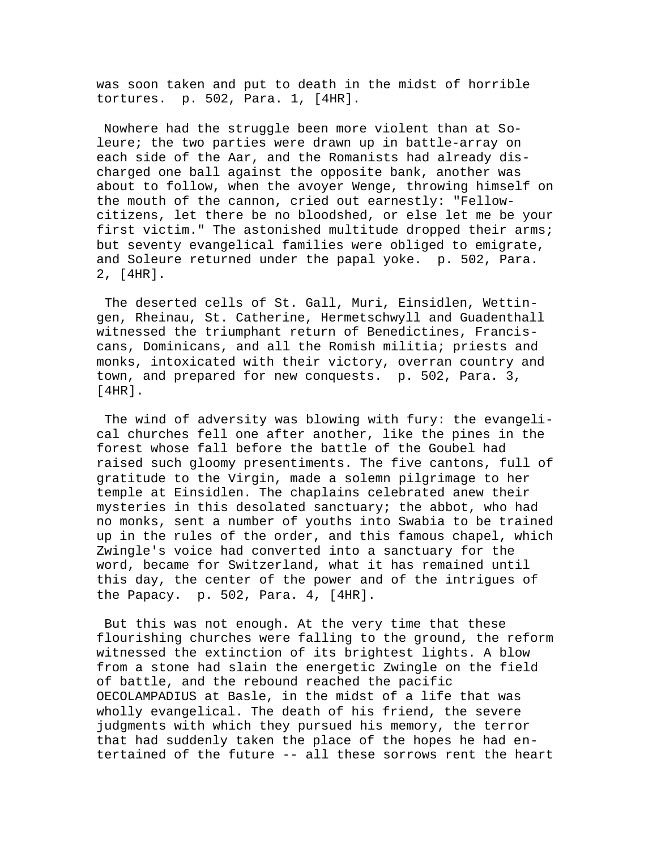was soon taken and put to death in the midst of horrible tortures. p. 502, Para. 1, [4HR].

 Nowhere had the struggle been more violent than at Soleure; the two parties were drawn up in battle-array on each side of the Aar, and the Romanists had already discharged one ball against the opposite bank, another was about to follow, when the avoyer Wenge, throwing himself on the mouth of the cannon, cried out earnestly: "Fellowcitizens, let there be no bloodshed, or else let me be your first victim." The astonished multitude dropped their arms; but seventy evangelical families were obliged to emigrate, and Soleure returned under the papal yoke. p. 502, Para. 2, [4HR].

 The deserted cells of St. Gall, Muri, Einsidlen, Wettingen, Rheinau, St. Catherine, Hermetschwyll and Guadenthall witnessed the triumphant return of Benedictines, Franciscans, Dominicans, and all the Romish militia; priests and monks, intoxicated with their victory, overran country and town, and prepared for new conquests. p. 502, Para. 3, [4HR].

 The wind of adversity was blowing with fury: the evangelical churches fell one after another, like the pines in the forest whose fall before the battle of the Goubel had raised such gloomy presentiments. The five cantons, full of gratitude to the Virgin, made a solemn pilgrimage to her temple at Einsidlen. The chaplains celebrated anew their mysteries in this desolated sanctuary; the abbot, who had no monks, sent a number of youths into Swabia to be trained up in the rules of the order, and this famous chapel, which Zwingle's voice had converted into a sanctuary for the word, became for Switzerland, what it has remained until this day, the center of the power and of the intrigues of the Papacy. p. 502, Para. 4, [4HR].

 But this was not enough. At the very time that these flourishing churches were falling to the ground, the reform witnessed the extinction of its brightest lights. A blow from a stone had slain the energetic Zwingle on the field of battle, and the rebound reached the pacific OECOLAMPADIUS at Basle, in the midst of a life that was wholly evangelical. The death of his friend, the severe judgments with which they pursued his memory, the terror that had suddenly taken the place of the hopes he had entertained of the future -- all these sorrows rent the heart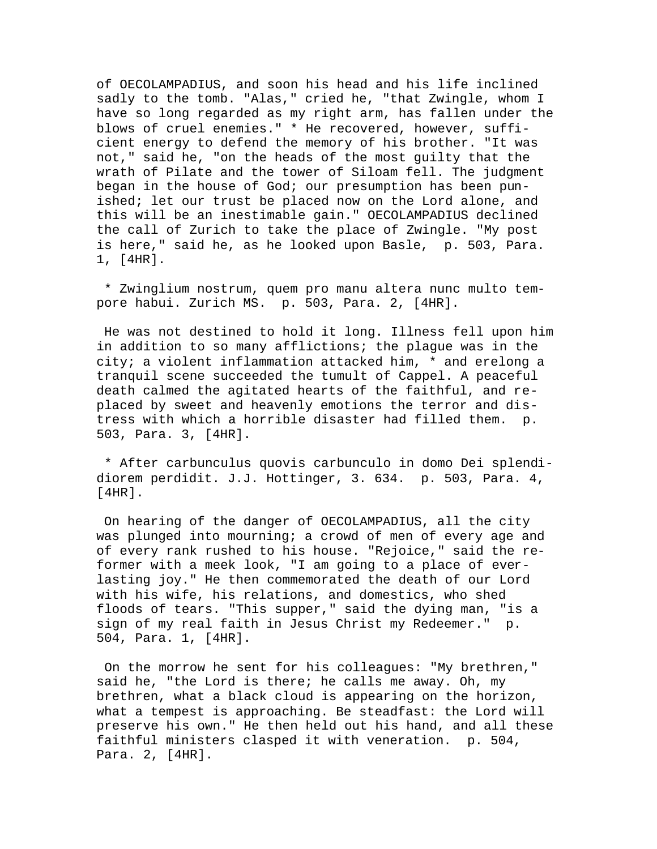of OECOLAMPADIUS, and soon his head and his life inclined sadly to the tomb. "Alas," cried he, "that Zwingle, whom I have so long regarded as my right arm, has fallen under the blows of cruel enemies." \* He recovered, however, sufficient energy to defend the memory of his brother. "It was not," said he, "on the heads of the most guilty that the wrath of Pilate and the tower of Siloam fell. The judgment began in the house of God; our presumption has been punished; let our trust be placed now on the Lord alone, and this will be an inestimable gain." OECOLAMPADIUS declined the call of Zurich to take the place of Zwingle. "My post is here," said he, as he looked upon Basle, p. 503, Para. 1, [4HR].

 \* Zwinglium nostrum, quem pro manu altera nunc multo tempore habui. Zurich MS. p. 503, Para. 2, [4HR].

 He was not destined to hold it long. Illness fell upon him in addition to so many afflictions; the plague was in the city; a violent inflammation attacked him, \* and erelong a tranquil scene succeeded the tumult of Cappel. A peaceful death calmed the agitated hearts of the faithful, and replaced by sweet and heavenly emotions the terror and distress with which a horrible disaster had filled them. p. 503, Para. 3, [4HR].

 \* After carbunculus quovis carbunculo in domo Dei splendidiorem perdidit. J.J. Hottinger, 3. 634. p. 503, Para. 4, [4HR].

 On hearing of the danger of OECOLAMPADIUS, all the city was plunged into mourning; a crowd of men of every age and of every rank rushed to his house. "Rejoice," said the reformer with a meek look, "I am going to a place of everlasting joy." He then commemorated the death of our Lord with his wife, his relations, and domestics, who shed floods of tears. "This supper," said the dying man, "is a sign of my real faith in Jesus Christ my Redeemer." p. 504, Para. 1, [4HR].

 On the morrow he sent for his colleagues: "My brethren," said he, "the Lord is there; he calls me away. Oh, my brethren, what a black cloud is appearing on the horizon, what a tempest is approaching. Be steadfast: the Lord will preserve his own." He then held out his hand, and all these faithful ministers clasped it with veneration. p. 504, Para. 2, [4HR].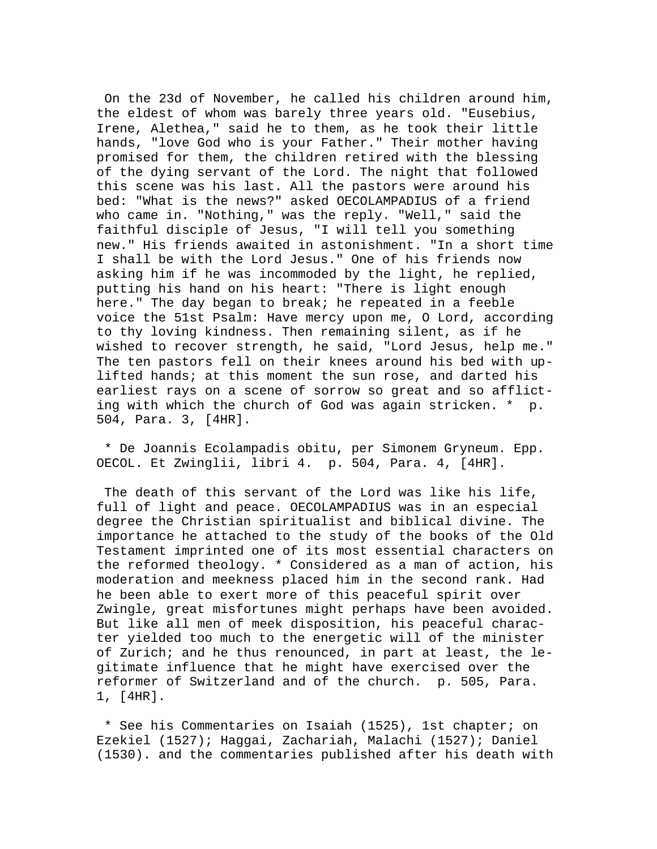On the 23d of November, he called his children around him, the eldest of whom was barely three years old. "Eusebius, Irene, Alethea," said he to them, as he took their little hands, "love God who is your Father." Their mother having promised for them, the children retired with the blessing of the dying servant of the Lord. The night that followed this scene was his last. All the pastors were around his bed: "What is the news?" asked OECOLAMPADIUS of a friend who came in. "Nothing," was the reply. "Well," said the faithful disciple of Jesus, "I will tell you something new." His friends awaited in astonishment. "In a short time I shall be with the Lord Jesus." One of his friends now asking him if he was incommoded by the light, he replied, putting his hand on his heart: "There is light enough here." The day began to break; he repeated in a feeble voice the 51st Psalm: Have mercy upon me, O Lord, according to thy loving kindness. Then remaining silent, as if he wished to recover strength, he said, "Lord Jesus, help me." The ten pastors fell on their knees around his bed with uplifted hands; at this moment the sun rose, and darted his earliest rays on a scene of sorrow so great and so afflicting with which the church of God was again stricken. \* p. 504, Para. 3, [4HR].

 \* De Joannis Ecolampadis obitu, per Simonem Gryneum. Epp. OECOL. Et Zwinglii, libri 4. p. 504, Para. 4, [4HR].

 The death of this servant of the Lord was like his life, full of light and peace. OECOLAMPADIUS was in an especial degree the Christian spiritualist and biblical divine. The importance he attached to the study of the books of the Old Testament imprinted one of its most essential characters on the reformed theology. \* Considered as a man of action, his moderation and meekness placed him in the second rank. Had he been able to exert more of this peaceful spirit over Zwingle, great misfortunes might perhaps have been avoided. But like all men of meek disposition, his peaceful character yielded too much to the energetic will of the minister of Zurich; and he thus renounced, in part at least, the legitimate influence that he might have exercised over the reformer of Switzerland and of the church. p. 505, Para. 1, [4HR].

 \* See his Commentaries on Isaiah (1525), 1st chapter; on Ezekiel (1527); Haggai, Zachariah, Malachi (1527); Daniel (1530). and the commentaries published after his death with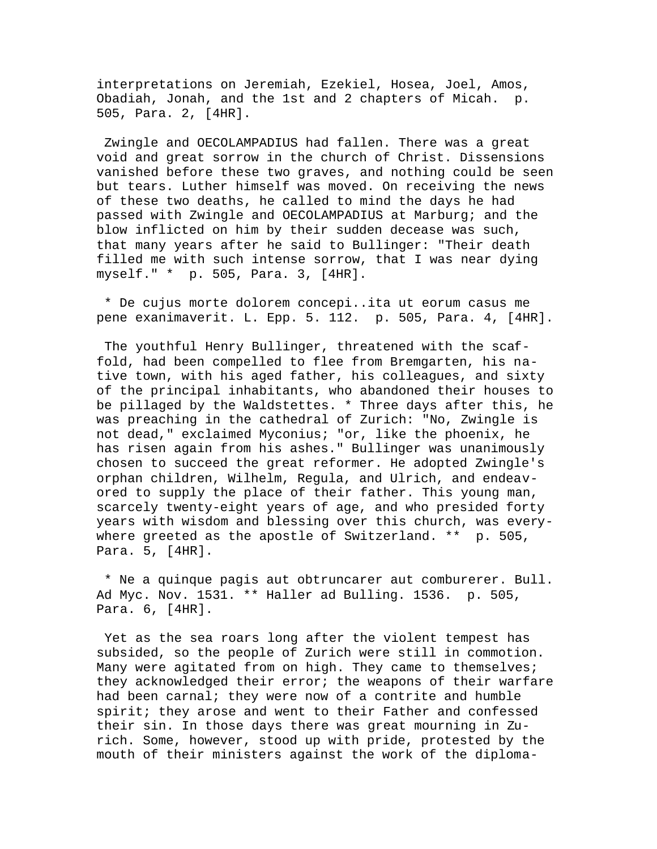interpretations on Jeremiah, Ezekiel, Hosea, Joel, Amos, Obadiah, Jonah, and the 1st and 2 chapters of Micah. p. 505, Para. 2, [4HR].

 Zwingle and OECOLAMPADIUS had fallen. There was a great void and great sorrow in the church of Christ. Dissensions vanished before these two graves, and nothing could be seen but tears. Luther himself was moved. On receiving the news of these two deaths, he called to mind the days he had passed with Zwingle and OECOLAMPADIUS at Marburg; and the blow inflicted on him by their sudden decease was such, that many years after he said to Bullinger: "Their death filled me with such intense sorrow, that I was near dying myself." \* p. 505, Para. 3, [4HR].

 \* De cujus morte dolorem concepi..ita ut eorum casus me pene exanimaverit. L. Epp. 5. 112. p. 505, Para. 4, [4HR].

 The youthful Henry Bullinger, threatened with the scaffold, had been compelled to flee from Bremgarten, his native town, with his aged father, his colleagues, and sixty of the principal inhabitants, who abandoned their houses to be pillaged by the Waldstettes. \* Three days after this, he was preaching in the cathedral of Zurich: "No, Zwingle is not dead," exclaimed Myconius; "or, like the phoenix, he has risen again from his ashes." Bullinger was unanimously chosen to succeed the great reformer. He adopted Zwingle's orphan children, Wilhelm, Regula, and Ulrich, and endeavored to supply the place of their father. This young man, scarcely twenty-eight years of age, and who presided forty years with wisdom and blessing over this church, was everywhere greeted as the apostle of Switzerland. \*\* p. 505, Para. 5, [4HR].

 \* Ne a quinque pagis aut obtruncarer aut comburerer. Bull. Ad Myc. Nov. 1531. \*\* Haller ad Bulling. 1536. p. 505, Para. 6, [4HR].

 Yet as the sea roars long after the violent tempest has subsided, so the people of Zurich were still in commotion. Many were agitated from on high. They came to themselves; they acknowledged their error; the weapons of their warfare had been carnal; they were now of a contrite and humble spirit; they arose and went to their Father and confessed their sin. In those days there was great mourning in Zurich. Some, however, stood up with pride, protested by the mouth of their ministers against the work of the diploma-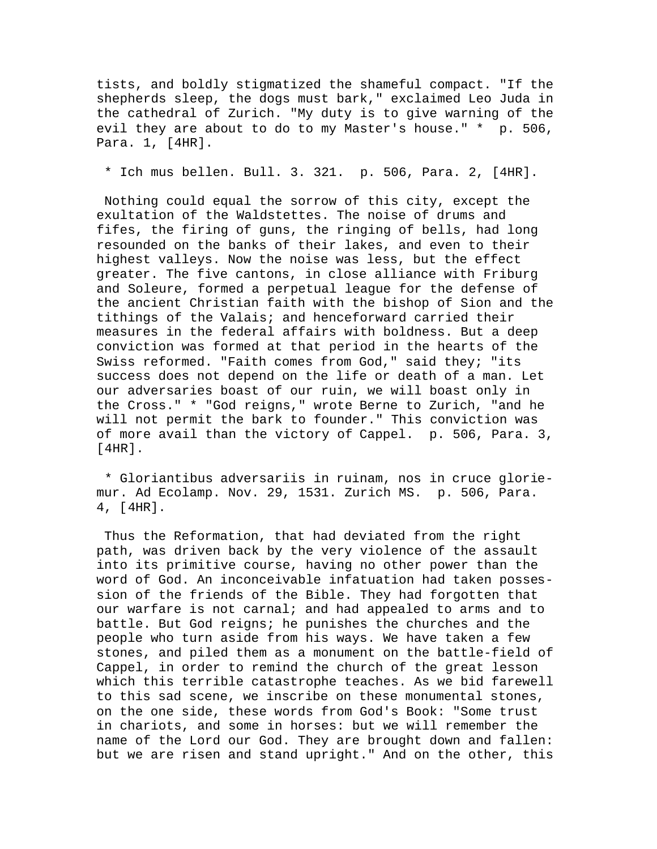tists, and boldly stigmatized the shameful compact. "If the shepherds sleep, the dogs must bark," exclaimed Leo Juda in the cathedral of Zurich. "My duty is to give warning of the evil they are about to do to my Master's house." \* p. 506, Para. 1, [4HR].

\* Ich mus bellen. Bull. 3. 321. p. 506, Para. 2, [4HR].

 Nothing could equal the sorrow of this city, except the exultation of the Waldstettes. The noise of drums and fifes, the firing of guns, the ringing of bells, had long resounded on the banks of their lakes, and even to their highest valleys. Now the noise was less, but the effect greater. The five cantons, in close alliance with Friburg and Soleure, formed a perpetual league for the defense of the ancient Christian faith with the bishop of Sion and the tithings of the Valais; and henceforward carried their measures in the federal affairs with boldness. But a deep conviction was formed at that period in the hearts of the Swiss reformed. "Faith comes from God," said they; "its success does not depend on the life or death of a man. Let our adversaries boast of our ruin, we will boast only in the Cross." \* "God reigns," wrote Berne to Zurich, "and he will not permit the bark to founder." This conviction was of more avail than the victory of Cappel. p. 506, Para. 3, [4HR].

 \* Gloriantibus adversariis in ruinam, nos in cruce gloriemur. Ad Ecolamp. Nov. 29, 1531. Zurich MS. p. 506, Para. 4, [4HR].

 Thus the Reformation, that had deviated from the right path, was driven back by the very violence of the assault into its primitive course, having no other power than the word of God. An inconceivable infatuation had taken possession of the friends of the Bible. They had forgotten that our warfare is not carnal; and had appealed to arms and to battle. But God reigns; he punishes the churches and the people who turn aside from his ways. We have taken a few stones, and piled them as a monument on the battle-field of Cappel, in order to remind the church of the great lesson which this terrible catastrophe teaches. As we bid farewell to this sad scene, we inscribe on these monumental stones, on the one side, these words from God's Book: "Some trust in chariots, and some in horses: but we will remember the name of the Lord our God. They are brought down and fallen: but we are risen and stand upright." And on the other, this